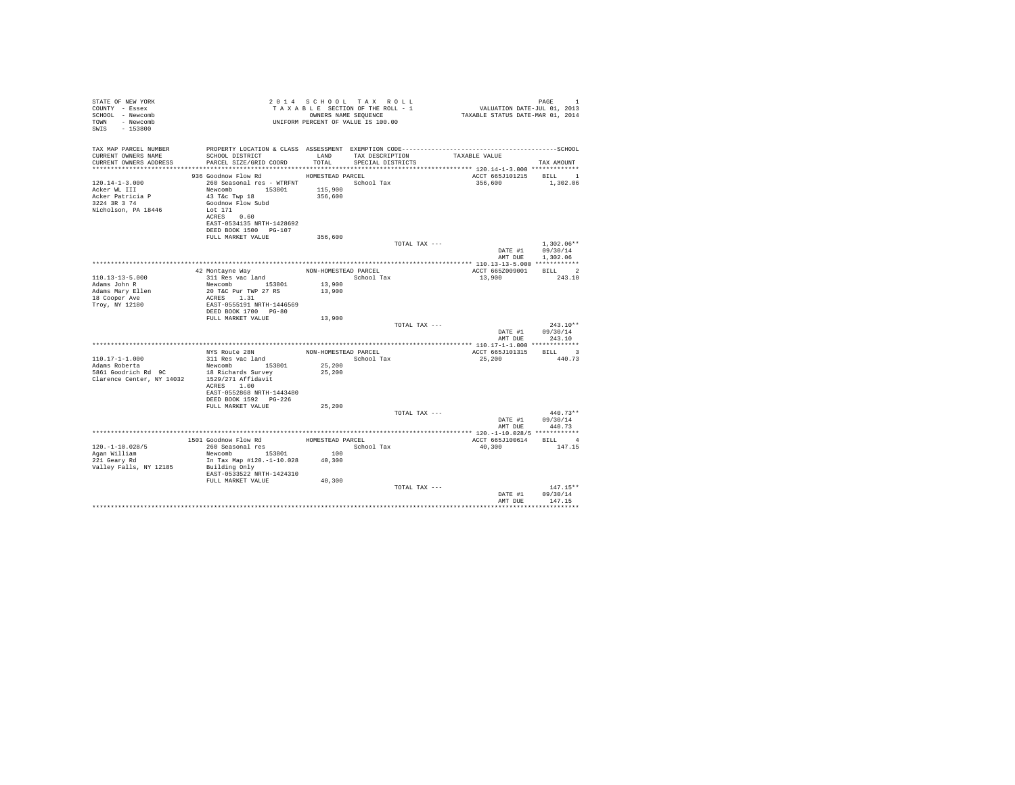| STATE OF NEW YORK<br>COUNTY - Essex<br>SCHOOL - Newcomb<br>TOWN - Newcomb<br>SWIS - 153800      |                                                                                                                                                                                                                                             |                      | UNIFORM PERCENT OF VALUE IS 100.00                 |                                   |                                                      |  |
|-------------------------------------------------------------------------------------------------|---------------------------------------------------------------------------------------------------------------------------------------------------------------------------------------------------------------------------------------------|----------------------|----------------------------------------------------|-----------------------------------|------------------------------------------------------|--|
| TAX MAP PARCEL NUMBER<br>CURRENT OWNERS NAME<br>CURRENT OWNERS ADDRESS                          | SCHOOL DISTRICT LAND<br>PARCEL SIZE/GRID COORD                                                                                                                                                                                              | TOTAL                | TAX DESCRIPTION TAXABLE VALUE<br>SPECIAL DISTRICTS |                                   | TAX AMOUNT                                           |  |
|                                                                                                 |                                                                                                                                                                                                                                             |                      |                                                    |                                   |                                                      |  |
| $120.14 - 1 - 3.000$<br>Acker WL III<br>Acker Patricia P<br>3224 3R 3 74<br>Nicholson, PA 18446 | 936 Goodnow Flow Rd MOMESTEAD PARCEL<br>260 Seasonal res - WTRFNT <a></a> School Tax<br>Newcomb 153801 115,900<br>43 T&c Twp 18 356,600<br>Goodnow Flow Subd<br>Lot 171<br>ACRES 0.60<br>EAST-0534135 NRTH-1428692<br>DEED BOOK 1500 PG-107 |                      |                                                    | ACCT 665J101215 BILL 1<br>356,600 | 1,302.06                                             |  |
|                                                                                                 | FULL MARKET VALUE                                                                                                                                                                                                                           | 356,600              |                                                    |                                   |                                                      |  |
|                                                                                                 |                                                                                                                                                                                                                                             |                      | TOTAL TAX ---                                      |                                   | $1.302.06**$<br>DATE #1 09/30/14<br>AMT DUE 1,302.06 |  |
|                                                                                                 |                                                                                                                                                                                                                                             |                      |                                                    |                                   |                                                      |  |
|                                                                                                 | 42 Montayne Way                                                                                                                                                                                                                             | NON-HOMESTEAD PARCEL |                                                    | ACCT 665Z009001 BILL 2            |                                                      |  |
| $110.13 - 13 - 5.000$<br>Adams John R<br>Adams Mary Ellen<br>18 Cooper Ave<br>Troy, NY 12180    | 311 Res vac land<br>Newcomb 153801<br>20 T&C Pur TWP 27 RS<br>ACRES 1.31<br>EAST-0555191 NRTH-1446569                                                                                                                                       | 13,900<br>13,900     | School Tax                                         | 13,900                            | 243.10                                               |  |
|                                                                                                 | DEED BOOK 1700 PG-80                                                                                                                                                                                                                        |                      |                                                    |                                   |                                                      |  |
|                                                                                                 | FULL MARKET VALUE                                                                                                                                                                                                                           | 13,900               |                                                    |                                   |                                                      |  |
|                                                                                                 |                                                                                                                                                                                                                                             |                      | TOTAL TAX ---                                      | DATE #1<br>AMT DUE                | $243.10**$<br>09/30/14<br>243.10                     |  |
|                                                                                                 |                                                                                                                                                                                                                                             |                      |                                                    |                                   |                                                      |  |
|                                                                                                 | NYS Route 28N                                                                                                                                                                                                                               |                      | NON-HOMESTEAD PARCEL                               | ACCT 665J101315 BILL 3            |                                                      |  |
| $110.17 - 1 - 1.000$                                                                            | 311 Res vac land<br>Newcomb 153801                                                                                                                                                                                                          |                      | School Tax                                         | 25,200                            | 440.73                                               |  |
| Adams Roberta<br>1861 Goodrich Rd 9C<br>Clarence Center, NY 14032 1529/271 Affidavit            | ACRES 1.00<br>EAST-0552868 NRTH-1443480                                                                                                                                                                                                     | 25,200<br>25,200     |                                                    |                                   |                                                      |  |
|                                                                                                 | DEED BOOK 1592 PG-226<br>FULL MARKET VALUE                                                                                                                                                                                                  | 25,200               |                                                    |                                   |                                                      |  |
|                                                                                                 |                                                                                                                                                                                                                                             |                      | TOTAL TAX ---                                      |                                   | $440.73**$                                           |  |
|                                                                                                 |                                                                                                                                                                                                                                             |                      |                                                    | AMT DUE                           | DATE #1 09/30/14<br>440.73                           |  |
|                                                                                                 |                                                                                                                                                                                                                                             |                      |                                                    |                                   |                                                      |  |
|                                                                                                 | 1501 Goodnow Flow Rd<br>260 Seasonal res                                                                                                                                                                                                    | HOMESTEAD PARCEL     |                                                    | ACCT 665J100614 BILL 4            |                                                      |  |
| $120. - 1 - 10.028/5$                                                                           |                                                                                                                                                                                                                                             | 100                  | School Tax                                         | 40,300                            | 147.15                                               |  |
| Agan William<br>221 Geary Rd                                                                    | In Tax Map #120.-1-10.028 40,300                                                                                                                                                                                                            |                      |                                                    |                                   |                                                      |  |
| Valley Falls, NY 12185                                                                          | Building Only<br>EAST-0533522 NRTH-1424310                                                                                                                                                                                                  |                      |                                                    |                                   |                                                      |  |
|                                                                                                 | FULL MARKET VALUE                                                                                                                                                                                                                           | 40,300               |                                                    |                                   |                                                      |  |
|                                                                                                 |                                                                                                                                                                                                                                             |                      | TOTAL TAX ---                                      | DATE #1<br>AMT DUE                | $147.15**$<br>09/30/14<br>147.15                     |  |
|                                                                                                 |                                                                                                                                                                                                                                             |                      |                                                    |                                   |                                                      |  |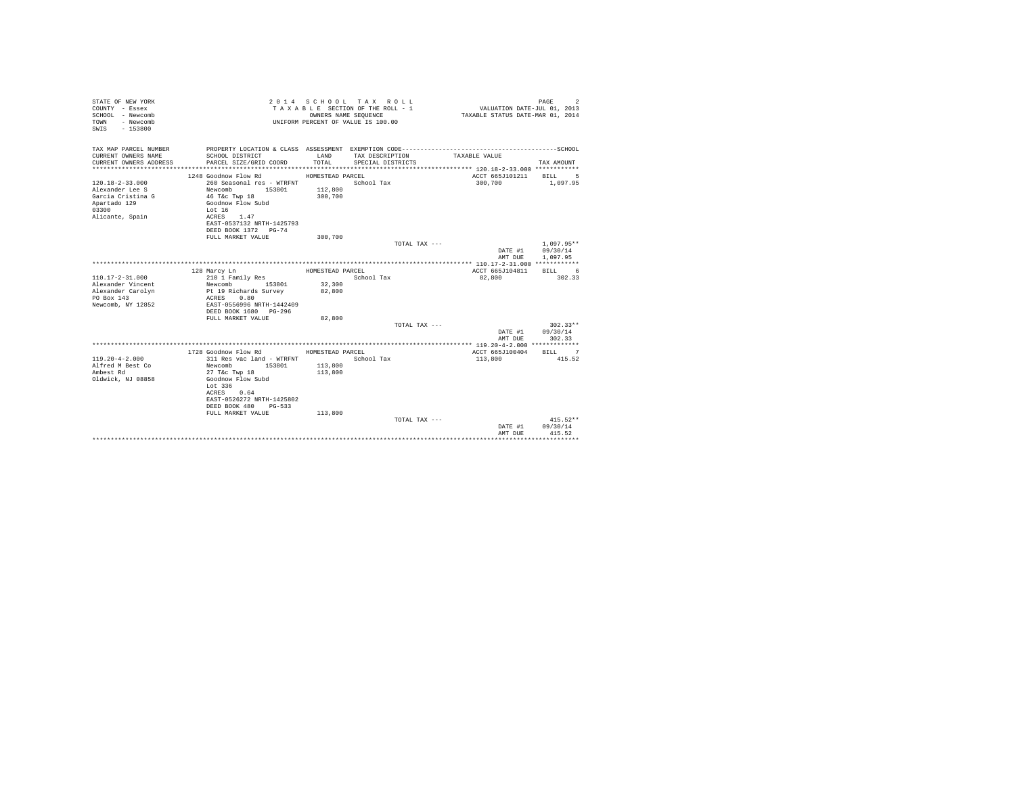| COUNTY - Essex<br>TAXABLE SECTION OF THE ROLL - 1<br>VALUATION DATE-JUL 01, 2013<br>SCHOOL - Newcomb<br>OWNERS NAME SEQUENCE<br>TAXABLE STATUS DATE-MAR 01, 2014<br>- Newcomb<br>TOWN<br>UNIFORM PERCENT OF VALUE IS 100.00<br>$-153800$<br>SWIS                                                                                                                                                     |                                      |
|------------------------------------------------------------------------------------------------------------------------------------------------------------------------------------------------------------------------------------------------------------------------------------------------------------------------------------------------------------------------------------------------------|--------------------------------------|
| TAX MAP PARCEL NUMBER<br>CURRENT OWNERS NAME<br>SCHOOL DISTRICT<br>LAND<br>TAX DESCRIPTION<br>TAXABLE VALUE<br>TOTAL<br>CURRENT OWNERS ADDRESS<br>PARCEL SIZE/GRID COORD<br>SPECIAL DISTRICTS<br>*************************                                                                                                                                                                           | TAX AMOUNT                           |
| 1248 Goodnow Flow Rd<br>HOMESTEAD PARCEL<br>ACCT 665J101211<br>$120.18 - 2 - 33.000$<br>260 Seasonal res - WTRFNT<br>School Tax<br>300,700<br>112,800<br>Alexander Lee S<br>Newcomb<br>153801<br>Garcia Cristina G<br>46 T&c Twp 18<br>300,700<br>Apartado 129<br>Goodnow Flow Subd<br>03300<br>Lot $16$<br>Alicante, Spain<br>ACRES<br>1.47<br>EAST-0537132 NRTH-1425793<br>DEED BOOK 1372 PG-74    | <b>BILL</b><br>5<br>1,097.95         |
| FULL MARKET VALUE<br>300,700<br>TOTAL TAX ---<br>DATE #1<br>AMT DUE                                                                                                                                                                                                                                                                                                                                  | $1.097.95**$<br>09/30/14<br>1,097.95 |
| ACCT 665J104811<br>128 Marcy Ln<br>HOMESTEAD PARCEL<br>$110.17 - 2 - 31.000$<br>210 1 Family Res<br>School Tax<br>82,800<br>32,300<br>Alexander Vincent<br>153801<br>Newcomb<br>Alexander Carolyn<br>Pt 19 Richards Survey<br>82,800<br>PO Box 143<br>ACRES<br>0.80<br>Newcomb, NY 12852<br>EAST-0556996 NRTH-1442409<br>DEED BOOK 1680 PG-296<br>82,800<br>FULL MARKET VALUE                        | BILL 6<br>302.33                     |
| TOTAL TAX ---<br>DATE #1<br>AMT DUE                                                                                                                                                                                                                                                                                                                                                                  | $302.33**$<br>09/30/14<br>302.33     |
| 1728 Goodnow Flow Rd<br>HOMESTEAD PARCEL<br>ACCT 665J100404<br>$119.20 - 4 - 2.000$<br>311 Res vac land - WTRFNT<br>School Tax<br>113,800<br>Alfred M Best Co<br>Newcomb<br>153801<br>113,800<br>Ambest Rd<br>27 T&c Twp 18<br>113,800<br>Oldwick, NJ 08858<br>Goodnow Flow Subd<br>Lot 336<br>0.64<br>ACRES<br>EAST-0526272 NRTH-1425802<br>DEED BOOK 480<br>PG-533<br>FULL MARKET VALUE<br>113,800 | BILL 7<br>415.52                     |
| TOTAL TAX ---<br>DATE #1<br>AMT DUE<br>****************************                                                                                                                                                                                                                                                                                                                                  | $415.52**$<br>09/30/14<br>415.52     |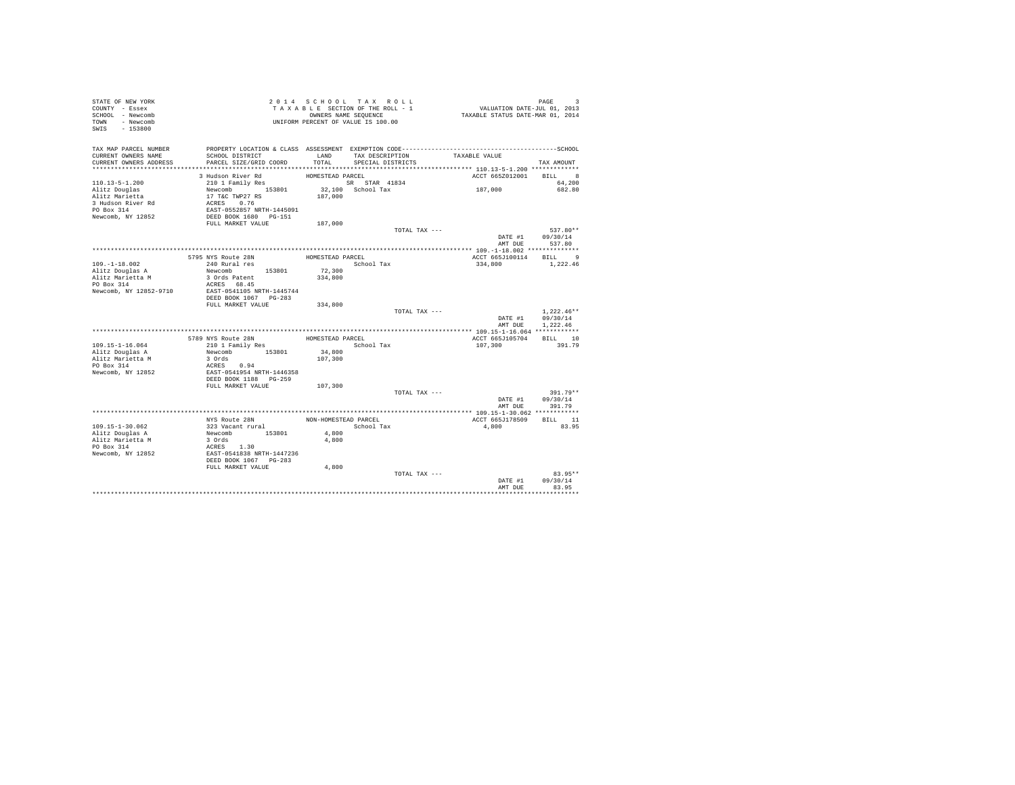| STATE OF NEW YORK<br>COUNTY - Essex<br>SCHOOL - Newcomb<br>TOWN - Newcomb<br>SWIS<br>$-153800$ |                                           |                      | 2014 SCHOOL TAX ROLL<br>TAXABLE SECTION OF THE ROLL - 1<br>OWNERS NAME SEQUENCE<br>UNIFORM PERCENT OF VALUE IS 100.00 | PAGE 3<br>VALUATION DATE-JUL 01, 2013<br>TAXABLE STATUS DATE-MAR 01, 2014 | PAGE<br>3      |
|------------------------------------------------------------------------------------------------|-------------------------------------------|----------------------|-----------------------------------------------------------------------------------------------------------------------|---------------------------------------------------------------------------|----------------|
| TAX MAP PARCEL NUMBER<br>CURRENT OWNERS NAME<br>CURRENT OWNERS ADDRESS                         | SCHOOL DISTRICT<br>PARCEL SIZE/GRID COORD | LAND<br>TOTAL        | TAX DESCRIPTION<br>SPECIAL DISTRICTS                                                                                  | TAXABLE VALUE                                                             | TAX AMOUNT     |
|                                                                                                |                                           |                      |                                                                                                                       |                                                                           |                |
|                                                                                                | 3 Hudson River Rd                         | HOMESTEAD PARCEL     |                                                                                                                       | ACCT 665Z012001                                                           | BILL 8         |
| $110.13 - 5 - 1.200$                                                                           | 210 1 Family Res                          |                      | SR STAR 41834                                                                                                         |                                                                           | 64,200         |
| Alitz Douglas                                                                                  | Newcomb 153801                            |                      | 32,100 School Tax                                                                                                     | 187,000                                                                   | 682.80         |
| Alitz Marietta                                                                                 | 17 T&C TWP27 RS                           | 187,000              |                                                                                                                       |                                                                           |                |
| 3 Hudson River Rd                                                                              | ACRES 0.76                                |                      |                                                                                                                       |                                                                           |                |
| PO Box 314                                                                                     | EAST-0552857 NRTH-1445091                 |                      |                                                                                                                       |                                                                           |                |
| Newcomb, NY 12852                                                                              | DEED BOOK 1680 PG-151                     |                      |                                                                                                                       |                                                                           |                |
|                                                                                                | FULL MARKET VALUE                         | 187,000              |                                                                                                                       |                                                                           |                |
|                                                                                                |                                           |                      | TOTAL TAX ---                                                                                                         |                                                                           | $537.80**$     |
|                                                                                                |                                           |                      |                                                                                                                       | DATE #1                                                                   | 09/30/14       |
|                                                                                                |                                           |                      |                                                                                                                       |                                                                           | AMT DUE 537.80 |
|                                                                                                |                                           |                      |                                                                                                                       |                                                                           |                |
|                                                                                                | 5795 NYS Route 28N                        | HOMESTEAD PARCEL     |                                                                                                                       | ACCT 665J100114                                                           | BILL 9         |
| $109. - 1 - 18.002$                                                                            | 240 Rural res                             |                      | School Tax                                                                                                            | 334,800                                                                   | 1,222.46       |
| Alitz Douglas A                                                                                | Newcomb 153801                            | 72,300               |                                                                                                                       |                                                                           |                |
| Alitz Marietta M                                                                               | 3 Ords Patent                             | 334,800              |                                                                                                                       |                                                                           |                |
| PO Box 314                                                                                     | ACRES 68.45                               |                      |                                                                                                                       |                                                                           |                |
| Newcomb, NY 12852-9710                                                                         | EAST-0541105 NRTH-1445744                 |                      |                                                                                                                       |                                                                           |                |
|                                                                                                | DEED BOOK 1067 PG-283                     |                      |                                                                                                                       |                                                                           |                |
|                                                                                                | FULL MARKET VALUE                         | 334,800              |                                                                                                                       |                                                                           |                |
|                                                                                                |                                           |                      | TOTAL TAX ---                                                                                                         |                                                                           | $1.222.46**$   |
|                                                                                                |                                           |                      |                                                                                                                       | DATE #1                                                                   | 09/30/14       |
|                                                                                                |                                           |                      |                                                                                                                       | AMT DUE                                                                   | 1.222.46       |
|                                                                                                |                                           |                      |                                                                                                                       |                                                                           | BILL 10        |
|                                                                                                | 5789 NYS Route 28N                        | HOMESTEAD PARCEL     |                                                                                                                       | ACCT 665J105704                                                           |                |
| 109.15-1-16.064                                                                                | 210 1 Family Res                          |                      | School Tax                                                                                                            | 107,300                                                                   | 391.79         |
| Alitz Douglas A<br>Alitz Marietta M                                                            | Newcomb 153801                            | 34,800<br>107,300    |                                                                                                                       |                                                                           |                |
| PO Box 314                                                                                     | 3 Ords<br>ACRES 0.94                      |                      |                                                                                                                       |                                                                           |                |
| Newcomb, NY 12852                                                                              | EAST-0541954 NRTH-1446358                 |                      |                                                                                                                       |                                                                           |                |
|                                                                                                | DEED BOOK 1188 PG-259                     |                      |                                                                                                                       |                                                                           |                |
|                                                                                                | FULL MARKET VALUE                         | 107,300              |                                                                                                                       |                                                                           |                |
|                                                                                                |                                           |                      | TOTAL TAX ---                                                                                                         |                                                                           | $391.79**$     |
|                                                                                                |                                           |                      |                                                                                                                       | DATE #1                                                                   | 09/30/14       |
|                                                                                                |                                           |                      |                                                                                                                       | AMT DUE                                                                   | 391.79         |
|                                                                                                |                                           |                      |                                                                                                                       |                                                                           |                |
|                                                                                                | NYS Route 28N                             | NON-HOMESTEAD PARCEL |                                                                                                                       | ACCT 665J178509                                                           | BILL 11        |
| 109.15-1-30.062                                                                                | 323 Vacant rural                          |                      | School Tax                                                                                                            | 4,800                                                                     | 83.95          |
| Alitz Douglas A                                                                                | Newcomb 153801                            | 4,800                |                                                                                                                       |                                                                           |                |
| Alitz Marietta M                                                                               | 3 Ords                                    | 4,800                |                                                                                                                       |                                                                           |                |
| PO Box 314                                                                                     | ACRES 1.30                                |                      |                                                                                                                       |                                                                           |                |
| Newcomb, NY 12852                                                                              | EAST-0541838 NRTH-1447236                 |                      |                                                                                                                       |                                                                           |                |
|                                                                                                | DEED BOOK 1067 PG-283                     |                      |                                                                                                                       |                                                                           |                |
|                                                                                                | FULL MARKET VALUE                         | 4,800                |                                                                                                                       |                                                                           |                |
|                                                                                                |                                           |                      | TOTAL TAX ---                                                                                                         |                                                                           | $83.95**$      |
|                                                                                                |                                           |                      |                                                                                                                       | DATE #1                                                                   | 09/30/14       |
|                                                                                                |                                           |                      |                                                                                                                       | AMT DUE                                                                   | 83.95          |
|                                                                                                |                                           |                      |                                                                                                                       |                                                                           |                |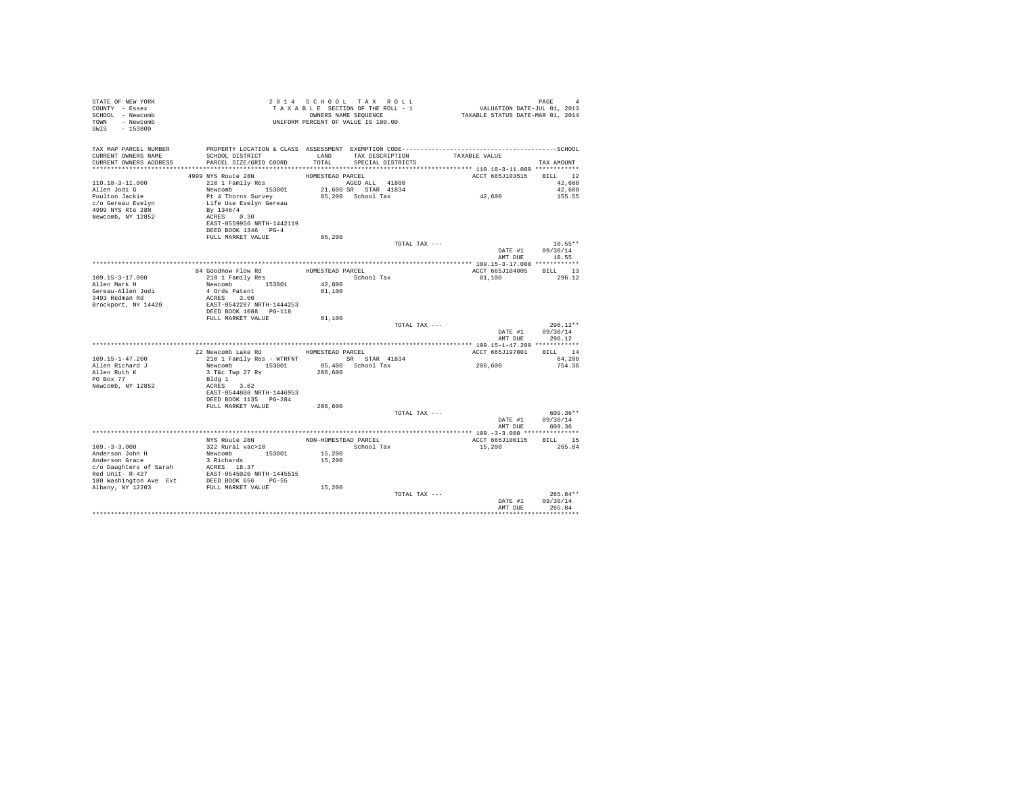| STATE OF NEW YORK<br>COUNTY - Essex<br>SCHOOL - Newcomb<br>TOWN - Newcomb<br>SWIS - 153800 |                                            |                  | 2014 SCHOOL TAX ROLL<br>TAXABLE SECTION OF THE ROLL - 1<br>OWNERS NAME SEQUENCE<br>UNIFORM PERCENT OF VALUE IS 100.00 |                 | PAGE<br>4<br>raus<br>VALUATION DATE-JUL 01, 2013<br>TAXABLE STATUS DATE-MAR 01, 2014 |
|--------------------------------------------------------------------------------------------|--------------------------------------------|------------------|-----------------------------------------------------------------------------------------------------------------------|-----------------|--------------------------------------------------------------------------------------|
| TAX MAP PARCEL NUMBER<br>CURRENT OWNERS NAME<br>CURRENT OWNERS ADDRESS                     | SCHOOL DISTRICT<br>PARCEL SIZE/GRID COORD  | TOTAL            | LAND TAX DESCRIPTION                                                                                                  | TAXABLE VALUE   |                                                                                      |
|                                                                                            |                                            |                  | SPECIAL DISTRICTS                                                                                                     |                 | TAX AMOUNT                                                                           |
|                                                                                            | 4999 NYS Route 28N                         | HOMESTEAD PARCEL |                                                                                                                       | ACCT 665J103515 | BILL 12                                                                              |
| 110.18-3-11.000                                                                            | 210 1 Family Res                           |                  | AGED ALL 41800                                                                                                        |                 | 42,600                                                                               |
| Allen Jodi G                                                                               | Newcomb 153801                             |                  | 21,600 SR STAR 41834                                                                                                  |                 | 42,600                                                                               |
| Poulton Jackie                                                                             | Pt 4 Thorns Survey                         |                  | 85,200 School Tax                                                                                                     | 42,600          | 155.55                                                                               |
| c/o Gereau Evelyn                                                                          | Life Use Evelyn Gereau                     |                  |                                                                                                                       |                 |                                                                                      |
| 4999 NYS Rte 28N                                                                           | By 1346/4                                  |                  |                                                                                                                       |                 |                                                                                      |
| Newcomb, NY 12852                                                                          | ACRES 0.30<br>EAST-0559956 NRTH-1442119    |                  |                                                                                                                       |                 |                                                                                      |
|                                                                                            | DEED BOOK 1346 PG-4                        |                  |                                                                                                                       |                 |                                                                                      |
|                                                                                            | FULL MARKET VALUE                          | 85,200           |                                                                                                                       |                 |                                                                                      |
|                                                                                            |                                            |                  |                                                                                                                       | TOTAL TAX ---   | $10.55**$                                                                            |
|                                                                                            |                                            |                  |                                                                                                                       |                 | DATE #1<br>09/30/14                                                                  |
|                                                                                            |                                            |                  |                                                                                                                       |                 | AMT DUE 10.55                                                                        |
|                                                                                            |                                            | HOMESTEAD PARCEL |                                                                                                                       |                 | ACCT 665J104005 BILL 13                                                              |
| $109.15 - 3 - 17.000$                                                                      | 84 Goodnow Flow Rd<br>210 1 Family Res     |                  | School Tax                                                                                                            | 81,100          | 296.12                                                                               |
| Allen Mark H                                                                               | Newcomb 153801                             | 42,800           |                                                                                                                       |                 |                                                                                      |
| Gereau-Allen Jodi                                                                          | 4 Ords Patent                              | 81,100           |                                                                                                                       |                 |                                                                                      |
| 3493 Redman Rd                                                                             | ACRES 3.00                                 |                  |                                                                                                                       |                 |                                                                                      |
| Brockport, NY 14420                                                                        | EAST-0542287 NRTH-1444253                  |                  |                                                                                                                       |                 |                                                                                      |
|                                                                                            | DEED BOOK 1088 PG-118<br>FULL MARKET VALUE | 81,100           |                                                                                                                       |                 |                                                                                      |
|                                                                                            |                                            |                  |                                                                                                                       | TOTAL TAX ---   | $296.12**$                                                                           |
|                                                                                            |                                            |                  |                                                                                                                       |                 | DATE #1<br>09/30/14<br>296.12<br>AMT DUE                                             |
|                                                                                            |                                            |                  |                                                                                                                       |                 |                                                                                      |
|                                                                                            | 22 Newcomb Lake Rd HOMESTEAD PARCEL        |                  |                                                                                                                       | ACCT 665J197001 | BILL 14                                                                              |
| $109.15 - 1 - 47.200$                                                                      | 210 1 Family Res - WTRFNT SR STAR 41834    |                  |                                                                                                                       |                 | 64,200                                                                               |
| Allen Richard J                                                                            | Newcomb 153801                             |                  | 85,400 School Tax                                                                                                     | 206,600         | 754.36                                                                               |
| Allen Ruth K<br>PO Box 77                                                                  | 3 T&c Twp 27 Rs<br>Blda 1                  | 206,600          |                                                                                                                       |                 |                                                                                      |
| Newcomb, NY 12852                                                                          | ACRES 3.62                                 |                  |                                                                                                                       |                 |                                                                                      |
|                                                                                            | EAST-0544808 NRTH-1446953                  |                  |                                                                                                                       |                 |                                                                                      |
|                                                                                            | DEED BOOK 1135 PG-284                      |                  |                                                                                                                       |                 |                                                                                      |
|                                                                                            | FULL MARKET VALUE                          | 206,600          |                                                                                                                       |                 |                                                                                      |
|                                                                                            |                                            |                  |                                                                                                                       | TOTAL TAX ---   | 609.36**                                                                             |
|                                                                                            |                                            |                  |                                                                                                                       |                 | DATE #1<br>09/30/14<br>AMT DUE<br>609.36                                             |
|                                                                                            |                                            |                  |                                                                                                                       |                 |                                                                                      |
|                                                                                            | NYS Route 28N                              |                  | NON-HOMESTEAD PARCEL                                                                                                  | ACCT 665J100115 | BILL 15                                                                              |
| $109. - 3 - 3.000$                                                                         | 322 Rural vac>10                           |                  | School Tax                                                                                                            | 15,200          | 265.84                                                                               |
| Anderson John H<br>Anderson Grace                                                          | Newcomb 153801                             | 15,200           |                                                                                                                       |                 |                                                                                      |
|                                                                                            | 3 Richards                                 | 15,200           |                                                                                                                       |                 |                                                                                      |
| c/o Daughters of Sarah<br>Red Unit- R-427                                                  | ACRES 18.37<br>EAST-0545020 NRTH-1445515   |                  |                                                                                                                       |                 |                                                                                      |
| 180 Washington Ave Ext                                                                     |                                            |                  |                                                                                                                       |                 |                                                                                      |
| Albany, NY 12203                                                                           | DEED BOOK 656 PG-55<br>FULL MARKET VALUE   | 15,200           |                                                                                                                       |                 |                                                                                      |
|                                                                                            |                                            |                  |                                                                                                                       | TOTAL TAX ---   | $265.84**$                                                                           |
|                                                                                            |                                            |                  |                                                                                                                       | DATE #1         | 09/30/14                                                                             |
|                                                                                            |                                            |                  |                                                                                                                       | AMT DUE         | 265.84                                                                               |
|                                                                                            |                                            |                  |                                                                                                                       |                 |                                                                                      |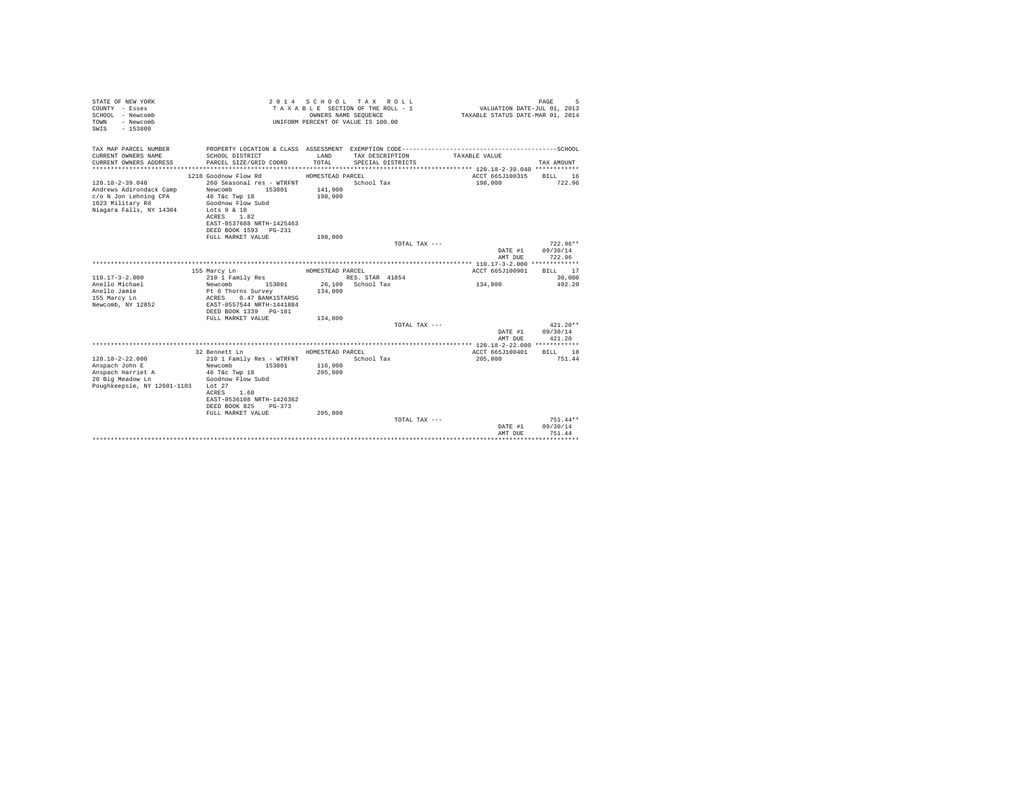| STATE OF NEW YORK<br>COUNTY - Essex<br>SCHOOL - Newcomb<br>- Newcomb<br>TOWN<br>$-153800$<br>SWIS                        |                                                                                                                                                                                                                 | OWNERS NAME SEQUENCE                              | 2014 SCHOOL TAX ROLL<br>TAXABLE SECTION OF THE ROLL - 1<br>UNIFORM PERCENT OF VALUE IS 100.00 |                          | 5<br>PAGE<br>VALUATION DATE-JUL 01, 2013<br>TAXABLE STATUS DATE-MAR 01, 2014        |
|--------------------------------------------------------------------------------------------------------------------------|-----------------------------------------------------------------------------------------------------------------------------------------------------------------------------------------------------------------|---------------------------------------------------|-----------------------------------------------------------------------------------------------|--------------------------|-------------------------------------------------------------------------------------|
| TAX MAP PARCEL NUMBER<br>CURRENT OWNERS NAME<br>CURRENT OWNERS ADDRESS<br>*************************                      | SCHOOL DISTRICT<br>PARCEL SIZE/GRID COORD                                                                                                                                                                       | LAND<br>TOTAL                                     | TAX DESCRIPTION<br>SPECIAL DISTRICTS                                                          | TAXABLE VALUE            | TAX AMOUNT                                                                          |
| $120.18 - 2 - 39.040$<br>Andrews Adirondack Camp<br>c/o N Jon Lehning CPA<br>1023 Military Rd<br>Niagara Falls, NY 14304 | 1218 Goodnow Flow Rd<br>260 Seasonal res - WTRFNT<br>Newcomb<br>153801<br>46 T&C Twp 18<br>Goodnow Flow Subd<br>Lots $9 & 10$<br>ACRES<br>1.82<br>EAST-0537688 NRTH-1425463<br>DEED BOOK 1593 PG-231            | HOMESTEAD PARCEL<br>141,900<br>198,000            | School Tax                                                                                    | 198,000                  | ACCT 665J100315<br>BILL 16<br>722.96                                                |
|                                                                                                                          | FULL MARKET VALUE                                                                                                                                                                                               | 198,000                                           |                                                                                               | TOTAL TAX ---            | $722.96**$<br>DATE #1<br>09/30/14<br>722.96<br>AMT DUE                              |
| $110.17 - 3 - 2.000$<br>Anello Michael<br>Anello Jamie<br>155 Marcy Ln<br>Newcomb, NY 12852                              | 155 Marcy Ln<br>210 1 Family Res<br>Newcomb<br>153801<br>Pt 6 Thorns Survey<br>ACRES<br>0.47 BANK1STARSG<br>EAST-0557544 NRTH-1441884<br>DEED BOOK 1339 PG-181<br>FULL MARKET VALUE                             | HOMESTEAD PARCEL<br>134,800<br>134,800            | RES. STAR 41854<br>26.100 School Tax                                                          | 134,800<br>TOTAL TAX --- | ACCT 665J100901<br>BILL 17<br>30,000<br>492.20<br>$421.20**$<br>09/30/14<br>DATE #1 |
|                                                                                                                          |                                                                                                                                                                                                                 |                                                   |                                                                                               |                          | AMT DUE<br>421.20                                                                   |
| $120.18 - 2 - 22.000$<br>Anspach John E<br>Anspach Harriet A<br>20 Big Meadow Ln<br>Poughkeepsie, NY 12601-1103          | 32 Bennett Ln<br>210 1 Family Res - WTRFNT<br>Newcomb<br>153801<br>46 T&c Twp 18<br>Goodnow Flow Subd<br>Lot $27$<br>1.60<br>ACRES<br>EAST-0536108 NRTH-1426362<br>DEED BOOK 825<br>PG-373<br>FULL MARKET VALUE | HOMESTEAD PARCEL<br>116,900<br>205,800<br>205,800 | School Tax                                                                                    | 205,800                  | ACCT 665J100401<br>BILL 18<br>751.44                                                |
|                                                                                                                          |                                                                                                                                                                                                                 |                                                   |                                                                                               | TOTAL TAX $---$          | $751.44**$<br>09/30/14<br>DATE #1<br>751.44<br>AMT DUE                              |
|                                                                                                                          |                                                                                                                                                                                                                 |                                                   |                                                                                               |                          | ****************************                                                        |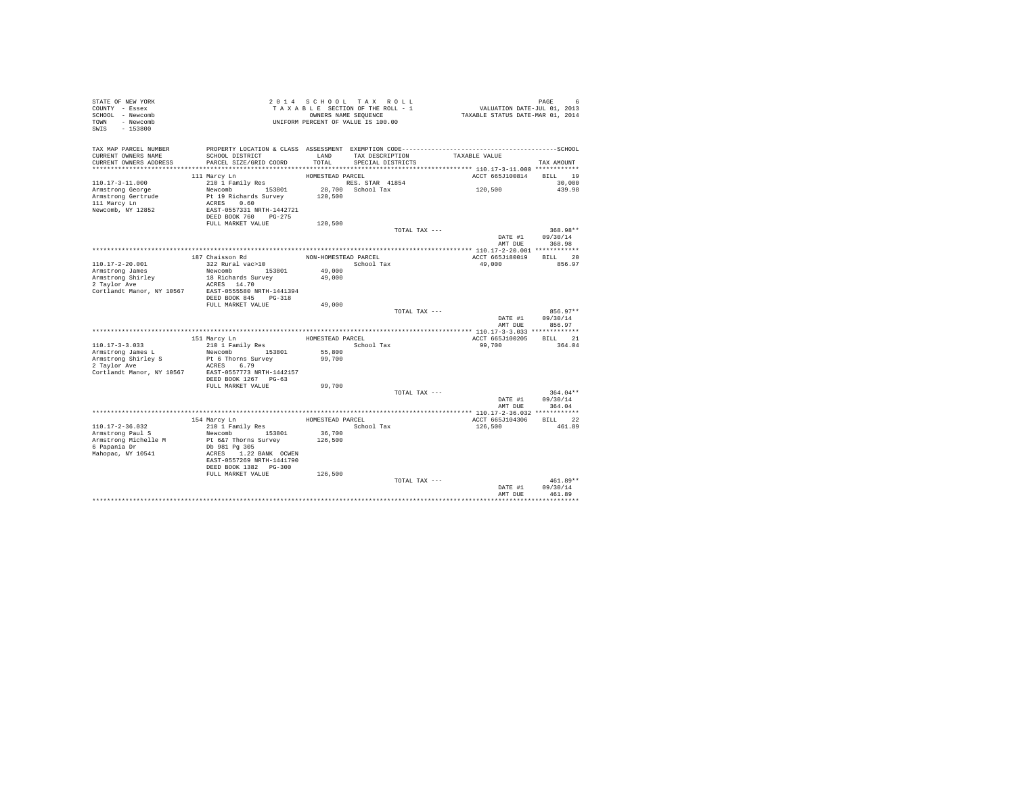| TAXABLE SECTION OF THE ROLL - 1<br>TAXABLE STATUS DATE-MAR 01, 2014<br>SCHOOL - Newcomb<br>OWNERS NAME SEQUENCE<br>UNIFORM PERCENT OF VALUE IS 100.00<br>TOWN - Newcomb<br>SWIS - 153800<br>TAX MAP PARCEL NUMBER<br>TAXABLE VALUE<br>TAX DESCRIPTION<br>CURRENT OWNERS NAME<br>SCHOOL DISTRICT<br>LAND<br>CURRENT OWNERS ADDRESS<br>PARCEL SIZE/GRID COORD<br>TOTAL<br>SPECIAL DISTRICTS<br>TAX AMOUNT<br>ACCT 665J100814<br>111 Marcy Ln<br>HOMESTEAD PARCEL<br>BILL 19<br>$110.17 - 3 - 11.000$<br>RES. STAR 41854<br>28,700 School Tax<br>210 1 Family Res<br>30,000<br>120,500<br>Newcomb 153801<br>439.98<br>Armstrong George<br>Pt 19 Richards Survey<br>Armstrong Gertrude<br>120,500<br>111 Marcy Ln<br>ACRES 0.60<br>Newcomb, NY 12852<br>EAST-0557331 NRTH-1442721<br>DEED BOOK 760 PG-275<br>FULL MARKET VALUE<br>120,500<br>368.98**<br>TOTAL TAX ---<br>09/30/14<br>DATE #1<br>368.98<br>AMT DUE<br>187 Chaisson Rd<br>BILL 20<br>NON-HOMESTEAD PARCEL<br>ACCT 665J180019<br>322 Rural vac>10<br>110.17-2-20.001<br>School Tax<br>49,000<br>856.97<br>Newcomb 153801<br>Armstrong James<br>49,000<br>Armstrong Shirley<br>18 Richards Survey<br>49,000<br>2 Taylor Ave<br>ACRES 14.70<br>EAST-0555580 NRTH-1441394<br>Cortlandt Manor, NY 10567<br>DEED BOOK 845 PG-318<br>FULL MARKET VALUE<br>49,000<br>856.97**<br>TOTAL TAX ---<br>DATE #1<br>09/30/14<br>AMT DUE<br>856.97<br>HOMESTEAD PARCEL<br>ACCT 665J100205<br>BILL 21<br>151 Marcy Ln<br>$110.17 - 3 - 3.033$<br>210 1 Family Res<br>99,700<br>364.04<br>School Tax<br>Newcomb 153801<br>55,800<br>Armstrong James L<br>Armstrong Shirley S<br>Pt 6 Thorns Survey<br>99,700<br>2 Taylor Ave<br>ACRES 6.79<br>Cortlandt Manor, NY 10567<br>EAST-0557773 NRTH-1442157<br>DEED BOOK 1267 PG-63<br>FULL MARKET VALUE<br>99,700<br>TOTAL TAX ---<br>$364.04**$<br>DATE #1<br>09/30/14<br>364.04<br>AMT DUE<br>HOMESTEAD PARCEL<br>BILL 22<br>154 Marcy Ln<br>ACCT 665J104306<br>110.17-2-36.032<br>210 1 Family Res<br>School Tax<br>126,500<br>461.89<br>36,700<br>Newcomb 153801<br>Armstrong Paul S<br>Armstrong Michelle M<br>Pt 6&7 Thorns Survey<br>126,500<br>6 Papania Dr<br>Db 981 Pg 305<br>Mahopac, NY 10541<br>ACRES 1.22 BANK OCWEN<br>EAST-0557269 NRTH-1441790<br>DEED BOOK 1382 PG-300<br>FULL MARKET VALUE<br>126,500<br>$461.89**$<br>TOTAL TAX ---<br>DATE #1<br>09/30/14<br>AMT DUE<br>461.89 | STATE OF NEW YORK |  | 2014 SCHOOL TAX ROLL | PAGE 6<br>VALUATION DATE-JUL 01, 2013 |
|----------------------------------------------------------------------------------------------------------------------------------------------------------------------------------------------------------------------------------------------------------------------------------------------------------------------------------------------------------------------------------------------------------------------------------------------------------------------------------------------------------------------------------------------------------------------------------------------------------------------------------------------------------------------------------------------------------------------------------------------------------------------------------------------------------------------------------------------------------------------------------------------------------------------------------------------------------------------------------------------------------------------------------------------------------------------------------------------------------------------------------------------------------------------------------------------------------------------------------------------------------------------------------------------------------------------------------------------------------------------------------------------------------------------------------------------------------------------------------------------------------------------------------------------------------------------------------------------------------------------------------------------------------------------------------------------------------------------------------------------------------------------------------------------------------------------------------------------------------------------------------------------------------------------------------------------------------------------------------------------------------------------------------------------------------------------------------------------------------------------------------------------------------------------------------------------------------------------------------------------------------------------------------------------------------------------------------------------------------------------------------------|-------------------|--|----------------------|---------------------------------------|
|                                                                                                                                                                                                                                                                                                                                                                                                                                                                                                                                                                                                                                                                                                                                                                                                                                                                                                                                                                                                                                                                                                                                                                                                                                                                                                                                                                                                                                                                                                                                                                                                                                                                                                                                                                                                                                                                                                                                                                                                                                                                                                                                                                                                                                                                                                                                                                                        | COUNTY - Essex    |  |                      |                                       |
|                                                                                                                                                                                                                                                                                                                                                                                                                                                                                                                                                                                                                                                                                                                                                                                                                                                                                                                                                                                                                                                                                                                                                                                                                                                                                                                                                                                                                                                                                                                                                                                                                                                                                                                                                                                                                                                                                                                                                                                                                                                                                                                                                                                                                                                                                                                                                                                        |                   |  |                      |                                       |
|                                                                                                                                                                                                                                                                                                                                                                                                                                                                                                                                                                                                                                                                                                                                                                                                                                                                                                                                                                                                                                                                                                                                                                                                                                                                                                                                                                                                                                                                                                                                                                                                                                                                                                                                                                                                                                                                                                                                                                                                                                                                                                                                                                                                                                                                                                                                                                                        |                   |  |                      |                                       |
|                                                                                                                                                                                                                                                                                                                                                                                                                                                                                                                                                                                                                                                                                                                                                                                                                                                                                                                                                                                                                                                                                                                                                                                                                                                                                                                                                                                                                                                                                                                                                                                                                                                                                                                                                                                                                                                                                                                                                                                                                                                                                                                                                                                                                                                                                                                                                                                        |                   |  |                      |                                       |
|                                                                                                                                                                                                                                                                                                                                                                                                                                                                                                                                                                                                                                                                                                                                                                                                                                                                                                                                                                                                                                                                                                                                                                                                                                                                                                                                                                                                                                                                                                                                                                                                                                                                                                                                                                                                                                                                                                                                                                                                                                                                                                                                                                                                                                                                                                                                                                                        |                   |  |                      |                                       |
|                                                                                                                                                                                                                                                                                                                                                                                                                                                                                                                                                                                                                                                                                                                                                                                                                                                                                                                                                                                                                                                                                                                                                                                                                                                                                                                                                                                                                                                                                                                                                                                                                                                                                                                                                                                                                                                                                                                                                                                                                                                                                                                                                                                                                                                                                                                                                                                        |                   |  |                      |                                       |
|                                                                                                                                                                                                                                                                                                                                                                                                                                                                                                                                                                                                                                                                                                                                                                                                                                                                                                                                                                                                                                                                                                                                                                                                                                                                                                                                                                                                                                                                                                                                                                                                                                                                                                                                                                                                                                                                                                                                                                                                                                                                                                                                                                                                                                                                                                                                                                                        |                   |  |                      |                                       |
|                                                                                                                                                                                                                                                                                                                                                                                                                                                                                                                                                                                                                                                                                                                                                                                                                                                                                                                                                                                                                                                                                                                                                                                                                                                                                                                                                                                                                                                                                                                                                                                                                                                                                                                                                                                                                                                                                                                                                                                                                                                                                                                                                                                                                                                                                                                                                                                        |                   |  |                      |                                       |
|                                                                                                                                                                                                                                                                                                                                                                                                                                                                                                                                                                                                                                                                                                                                                                                                                                                                                                                                                                                                                                                                                                                                                                                                                                                                                                                                                                                                                                                                                                                                                                                                                                                                                                                                                                                                                                                                                                                                                                                                                                                                                                                                                                                                                                                                                                                                                                                        |                   |  |                      |                                       |
|                                                                                                                                                                                                                                                                                                                                                                                                                                                                                                                                                                                                                                                                                                                                                                                                                                                                                                                                                                                                                                                                                                                                                                                                                                                                                                                                                                                                                                                                                                                                                                                                                                                                                                                                                                                                                                                                                                                                                                                                                                                                                                                                                                                                                                                                                                                                                                                        |                   |  |                      |                                       |
|                                                                                                                                                                                                                                                                                                                                                                                                                                                                                                                                                                                                                                                                                                                                                                                                                                                                                                                                                                                                                                                                                                                                                                                                                                                                                                                                                                                                                                                                                                                                                                                                                                                                                                                                                                                                                                                                                                                                                                                                                                                                                                                                                                                                                                                                                                                                                                                        |                   |  |                      |                                       |
|                                                                                                                                                                                                                                                                                                                                                                                                                                                                                                                                                                                                                                                                                                                                                                                                                                                                                                                                                                                                                                                                                                                                                                                                                                                                                                                                                                                                                                                                                                                                                                                                                                                                                                                                                                                                                                                                                                                                                                                                                                                                                                                                                                                                                                                                                                                                                                                        |                   |  |                      |                                       |
|                                                                                                                                                                                                                                                                                                                                                                                                                                                                                                                                                                                                                                                                                                                                                                                                                                                                                                                                                                                                                                                                                                                                                                                                                                                                                                                                                                                                                                                                                                                                                                                                                                                                                                                                                                                                                                                                                                                                                                                                                                                                                                                                                                                                                                                                                                                                                                                        |                   |  |                      |                                       |
|                                                                                                                                                                                                                                                                                                                                                                                                                                                                                                                                                                                                                                                                                                                                                                                                                                                                                                                                                                                                                                                                                                                                                                                                                                                                                                                                                                                                                                                                                                                                                                                                                                                                                                                                                                                                                                                                                                                                                                                                                                                                                                                                                                                                                                                                                                                                                                                        |                   |  |                      |                                       |
|                                                                                                                                                                                                                                                                                                                                                                                                                                                                                                                                                                                                                                                                                                                                                                                                                                                                                                                                                                                                                                                                                                                                                                                                                                                                                                                                                                                                                                                                                                                                                                                                                                                                                                                                                                                                                                                                                                                                                                                                                                                                                                                                                                                                                                                                                                                                                                                        |                   |  |                      |                                       |
|                                                                                                                                                                                                                                                                                                                                                                                                                                                                                                                                                                                                                                                                                                                                                                                                                                                                                                                                                                                                                                                                                                                                                                                                                                                                                                                                                                                                                                                                                                                                                                                                                                                                                                                                                                                                                                                                                                                                                                                                                                                                                                                                                                                                                                                                                                                                                                                        |                   |  |                      |                                       |
|                                                                                                                                                                                                                                                                                                                                                                                                                                                                                                                                                                                                                                                                                                                                                                                                                                                                                                                                                                                                                                                                                                                                                                                                                                                                                                                                                                                                                                                                                                                                                                                                                                                                                                                                                                                                                                                                                                                                                                                                                                                                                                                                                                                                                                                                                                                                                                                        |                   |  |                      |                                       |
|                                                                                                                                                                                                                                                                                                                                                                                                                                                                                                                                                                                                                                                                                                                                                                                                                                                                                                                                                                                                                                                                                                                                                                                                                                                                                                                                                                                                                                                                                                                                                                                                                                                                                                                                                                                                                                                                                                                                                                                                                                                                                                                                                                                                                                                                                                                                                                                        |                   |  |                      |                                       |
|                                                                                                                                                                                                                                                                                                                                                                                                                                                                                                                                                                                                                                                                                                                                                                                                                                                                                                                                                                                                                                                                                                                                                                                                                                                                                                                                                                                                                                                                                                                                                                                                                                                                                                                                                                                                                                                                                                                                                                                                                                                                                                                                                                                                                                                                                                                                                                                        |                   |  |                      |                                       |
|                                                                                                                                                                                                                                                                                                                                                                                                                                                                                                                                                                                                                                                                                                                                                                                                                                                                                                                                                                                                                                                                                                                                                                                                                                                                                                                                                                                                                                                                                                                                                                                                                                                                                                                                                                                                                                                                                                                                                                                                                                                                                                                                                                                                                                                                                                                                                                                        |                   |  |                      |                                       |
|                                                                                                                                                                                                                                                                                                                                                                                                                                                                                                                                                                                                                                                                                                                                                                                                                                                                                                                                                                                                                                                                                                                                                                                                                                                                                                                                                                                                                                                                                                                                                                                                                                                                                                                                                                                                                                                                                                                                                                                                                                                                                                                                                                                                                                                                                                                                                                                        |                   |  |                      |                                       |
|                                                                                                                                                                                                                                                                                                                                                                                                                                                                                                                                                                                                                                                                                                                                                                                                                                                                                                                                                                                                                                                                                                                                                                                                                                                                                                                                                                                                                                                                                                                                                                                                                                                                                                                                                                                                                                                                                                                                                                                                                                                                                                                                                                                                                                                                                                                                                                                        |                   |  |                      |                                       |
|                                                                                                                                                                                                                                                                                                                                                                                                                                                                                                                                                                                                                                                                                                                                                                                                                                                                                                                                                                                                                                                                                                                                                                                                                                                                                                                                                                                                                                                                                                                                                                                                                                                                                                                                                                                                                                                                                                                                                                                                                                                                                                                                                                                                                                                                                                                                                                                        |                   |  |                      |                                       |
|                                                                                                                                                                                                                                                                                                                                                                                                                                                                                                                                                                                                                                                                                                                                                                                                                                                                                                                                                                                                                                                                                                                                                                                                                                                                                                                                                                                                                                                                                                                                                                                                                                                                                                                                                                                                                                                                                                                                                                                                                                                                                                                                                                                                                                                                                                                                                                                        |                   |  |                      |                                       |
|                                                                                                                                                                                                                                                                                                                                                                                                                                                                                                                                                                                                                                                                                                                                                                                                                                                                                                                                                                                                                                                                                                                                                                                                                                                                                                                                                                                                                                                                                                                                                                                                                                                                                                                                                                                                                                                                                                                                                                                                                                                                                                                                                                                                                                                                                                                                                                                        |                   |  |                      |                                       |
|                                                                                                                                                                                                                                                                                                                                                                                                                                                                                                                                                                                                                                                                                                                                                                                                                                                                                                                                                                                                                                                                                                                                                                                                                                                                                                                                                                                                                                                                                                                                                                                                                                                                                                                                                                                                                                                                                                                                                                                                                                                                                                                                                                                                                                                                                                                                                                                        |                   |  |                      |                                       |
|                                                                                                                                                                                                                                                                                                                                                                                                                                                                                                                                                                                                                                                                                                                                                                                                                                                                                                                                                                                                                                                                                                                                                                                                                                                                                                                                                                                                                                                                                                                                                                                                                                                                                                                                                                                                                                                                                                                                                                                                                                                                                                                                                                                                                                                                                                                                                                                        |                   |  |                      |                                       |
|                                                                                                                                                                                                                                                                                                                                                                                                                                                                                                                                                                                                                                                                                                                                                                                                                                                                                                                                                                                                                                                                                                                                                                                                                                                                                                                                                                                                                                                                                                                                                                                                                                                                                                                                                                                                                                                                                                                                                                                                                                                                                                                                                                                                                                                                                                                                                                                        |                   |  |                      |                                       |
|                                                                                                                                                                                                                                                                                                                                                                                                                                                                                                                                                                                                                                                                                                                                                                                                                                                                                                                                                                                                                                                                                                                                                                                                                                                                                                                                                                                                                                                                                                                                                                                                                                                                                                                                                                                                                                                                                                                                                                                                                                                                                                                                                                                                                                                                                                                                                                                        |                   |  |                      |                                       |
|                                                                                                                                                                                                                                                                                                                                                                                                                                                                                                                                                                                                                                                                                                                                                                                                                                                                                                                                                                                                                                                                                                                                                                                                                                                                                                                                                                                                                                                                                                                                                                                                                                                                                                                                                                                                                                                                                                                                                                                                                                                                                                                                                                                                                                                                                                                                                                                        |                   |  |                      |                                       |
|                                                                                                                                                                                                                                                                                                                                                                                                                                                                                                                                                                                                                                                                                                                                                                                                                                                                                                                                                                                                                                                                                                                                                                                                                                                                                                                                                                                                                                                                                                                                                                                                                                                                                                                                                                                                                                                                                                                                                                                                                                                                                                                                                                                                                                                                                                                                                                                        |                   |  |                      |                                       |
|                                                                                                                                                                                                                                                                                                                                                                                                                                                                                                                                                                                                                                                                                                                                                                                                                                                                                                                                                                                                                                                                                                                                                                                                                                                                                                                                                                                                                                                                                                                                                                                                                                                                                                                                                                                                                                                                                                                                                                                                                                                                                                                                                                                                                                                                                                                                                                                        |                   |  |                      |                                       |
|                                                                                                                                                                                                                                                                                                                                                                                                                                                                                                                                                                                                                                                                                                                                                                                                                                                                                                                                                                                                                                                                                                                                                                                                                                                                                                                                                                                                                                                                                                                                                                                                                                                                                                                                                                                                                                                                                                                                                                                                                                                                                                                                                                                                                                                                                                                                                                                        |                   |  |                      |                                       |
|                                                                                                                                                                                                                                                                                                                                                                                                                                                                                                                                                                                                                                                                                                                                                                                                                                                                                                                                                                                                                                                                                                                                                                                                                                                                                                                                                                                                                                                                                                                                                                                                                                                                                                                                                                                                                                                                                                                                                                                                                                                                                                                                                                                                                                                                                                                                                                                        |                   |  |                      |                                       |
|                                                                                                                                                                                                                                                                                                                                                                                                                                                                                                                                                                                                                                                                                                                                                                                                                                                                                                                                                                                                                                                                                                                                                                                                                                                                                                                                                                                                                                                                                                                                                                                                                                                                                                                                                                                                                                                                                                                                                                                                                                                                                                                                                                                                                                                                                                                                                                                        |                   |  |                      |                                       |
|                                                                                                                                                                                                                                                                                                                                                                                                                                                                                                                                                                                                                                                                                                                                                                                                                                                                                                                                                                                                                                                                                                                                                                                                                                                                                                                                                                                                                                                                                                                                                                                                                                                                                                                                                                                                                                                                                                                                                                                                                                                                                                                                                                                                                                                                                                                                                                                        |                   |  |                      |                                       |
|                                                                                                                                                                                                                                                                                                                                                                                                                                                                                                                                                                                                                                                                                                                                                                                                                                                                                                                                                                                                                                                                                                                                                                                                                                                                                                                                                                                                                                                                                                                                                                                                                                                                                                                                                                                                                                                                                                                                                                                                                                                                                                                                                                                                                                                                                                                                                                                        |                   |  |                      |                                       |
|                                                                                                                                                                                                                                                                                                                                                                                                                                                                                                                                                                                                                                                                                                                                                                                                                                                                                                                                                                                                                                                                                                                                                                                                                                                                                                                                                                                                                                                                                                                                                                                                                                                                                                                                                                                                                                                                                                                                                                                                                                                                                                                                                                                                                                                                                                                                                                                        |                   |  |                      |                                       |
|                                                                                                                                                                                                                                                                                                                                                                                                                                                                                                                                                                                                                                                                                                                                                                                                                                                                                                                                                                                                                                                                                                                                                                                                                                                                                                                                                                                                                                                                                                                                                                                                                                                                                                                                                                                                                                                                                                                                                                                                                                                                                                                                                                                                                                                                                                                                                                                        |                   |  |                      |                                       |
|                                                                                                                                                                                                                                                                                                                                                                                                                                                                                                                                                                                                                                                                                                                                                                                                                                                                                                                                                                                                                                                                                                                                                                                                                                                                                                                                                                                                                                                                                                                                                                                                                                                                                                                                                                                                                                                                                                                                                                                                                                                                                                                                                                                                                                                                                                                                                                                        |                   |  |                      |                                       |
|                                                                                                                                                                                                                                                                                                                                                                                                                                                                                                                                                                                                                                                                                                                                                                                                                                                                                                                                                                                                                                                                                                                                                                                                                                                                                                                                                                                                                                                                                                                                                                                                                                                                                                                                                                                                                                                                                                                                                                                                                                                                                                                                                                                                                                                                                                                                                                                        |                   |  |                      |                                       |
|                                                                                                                                                                                                                                                                                                                                                                                                                                                                                                                                                                                                                                                                                                                                                                                                                                                                                                                                                                                                                                                                                                                                                                                                                                                                                                                                                                                                                                                                                                                                                                                                                                                                                                                                                                                                                                                                                                                                                                                                                                                                                                                                                                                                                                                                                                                                                                                        |                   |  |                      |                                       |
|                                                                                                                                                                                                                                                                                                                                                                                                                                                                                                                                                                                                                                                                                                                                                                                                                                                                                                                                                                                                                                                                                                                                                                                                                                                                                                                                                                                                                                                                                                                                                                                                                                                                                                                                                                                                                                                                                                                                                                                                                                                                                                                                                                                                                                                                                                                                                                                        |                   |  |                      |                                       |
|                                                                                                                                                                                                                                                                                                                                                                                                                                                                                                                                                                                                                                                                                                                                                                                                                                                                                                                                                                                                                                                                                                                                                                                                                                                                                                                                                                                                                                                                                                                                                                                                                                                                                                                                                                                                                                                                                                                                                                                                                                                                                                                                                                                                                                                                                                                                                                                        |                   |  |                      |                                       |
|                                                                                                                                                                                                                                                                                                                                                                                                                                                                                                                                                                                                                                                                                                                                                                                                                                                                                                                                                                                                                                                                                                                                                                                                                                                                                                                                                                                                                                                                                                                                                                                                                                                                                                                                                                                                                                                                                                                                                                                                                                                                                                                                                                                                                                                                                                                                                                                        |                   |  |                      |                                       |
|                                                                                                                                                                                                                                                                                                                                                                                                                                                                                                                                                                                                                                                                                                                                                                                                                                                                                                                                                                                                                                                                                                                                                                                                                                                                                                                                                                                                                                                                                                                                                                                                                                                                                                                                                                                                                                                                                                                                                                                                                                                                                                                                                                                                                                                                                                                                                                                        |                   |  |                      |                                       |
|                                                                                                                                                                                                                                                                                                                                                                                                                                                                                                                                                                                                                                                                                                                                                                                                                                                                                                                                                                                                                                                                                                                                                                                                                                                                                                                                                                                                                                                                                                                                                                                                                                                                                                                                                                                                                                                                                                                                                                                                                                                                                                                                                                                                                                                                                                                                                                                        |                   |  |                      |                                       |
|                                                                                                                                                                                                                                                                                                                                                                                                                                                                                                                                                                                                                                                                                                                                                                                                                                                                                                                                                                                                                                                                                                                                                                                                                                                                                                                                                                                                                                                                                                                                                                                                                                                                                                                                                                                                                                                                                                                                                                                                                                                                                                                                                                                                                                                                                                                                                                                        |                   |  |                      |                                       |
|                                                                                                                                                                                                                                                                                                                                                                                                                                                                                                                                                                                                                                                                                                                                                                                                                                                                                                                                                                                                                                                                                                                                                                                                                                                                                                                                                                                                                                                                                                                                                                                                                                                                                                                                                                                                                                                                                                                                                                                                                                                                                                                                                                                                                                                                                                                                                                                        |                   |  |                      |                                       |
|                                                                                                                                                                                                                                                                                                                                                                                                                                                                                                                                                                                                                                                                                                                                                                                                                                                                                                                                                                                                                                                                                                                                                                                                                                                                                                                                                                                                                                                                                                                                                                                                                                                                                                                                                                                                                                                                                                                                                                                                                                                                                                                                                                                                                                                                                                                                                                                        |                   |  |                      |                                       |
|                                                                                                                                                                                                                                                                                                                                                                                                                                                                                                                                                                                                                                                                                                                                                                                                                                                                                                                                                                                                                                                                                                                                                                                                                                                                                                                                                                                                                                                                                                                                                                                                                                                                                                                                                                                                                                                                                                                                                                                                                                                                                                                                                                                                                                                                                                                                                                                        |                   |  |                      |                                       |
|                                                                                                                                                                                                                                                                                                                                                                                                                                                                                                                                                                                                                                                                                                                                                                                                                                                                                                                                                                                                                                                                                                                                                                                                                                                                                                                                                                                                                                                                                                                                                                                                                                                                                                                                                                                                                                                                                                                                                                                                                                                                                                                                                                                                                                                                                                                                                                                        |                   |  |                      |                                       |
|                                                                                                                                                                                                                                                                                                                                                                                                                                                                                                                                                                                                                                                                                                                                                                                                                                                                                                                                                                                                                                                                                                                                                                                                                                                                                                                                                                                                                                                                                                                                                                                                                                                                                                                                                                                                                                                                                                                                                                                                                                                                                                                                                                                                                                                                                                                                                                                        |                   |  |                      |                                       |
|                                                                                                                                                                                                                                                                                                                                                                                                                                                                                                                                                                                                                                                                                                                                                                                                                                                                                                                                                                                                                                                                                                                                                                                                                                                                                                                                                                                                                                                                                                                                                                                                                                                                                                                                                                                                                                                                                                                                                                                                                                                                                                                                                                                                                                                                                                                                                                                        |                   |  |                      |                                       |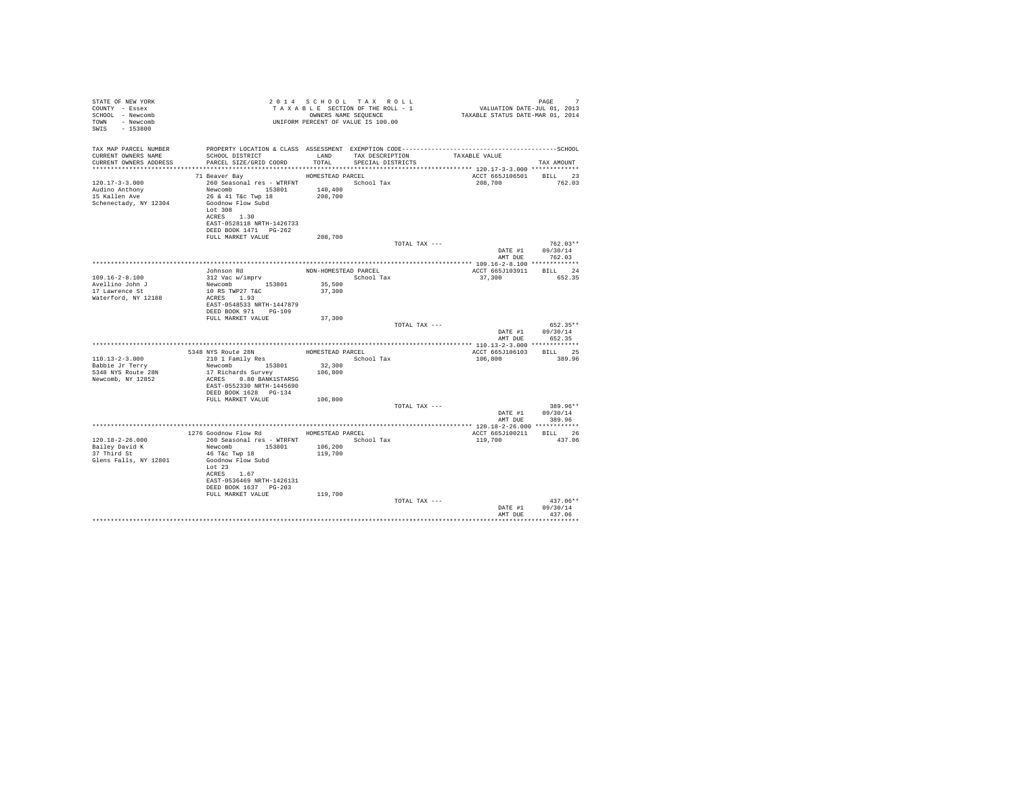| STATE OF NEW YORK                  |                                            |                      | 2014 SCHOOL TAX ROLL<br>Z 0 1 4 S C H O O L T A X K O L L<br>T A X A B L E SECTION OF THE ROLL - 1 |                                                                                              | PAGE<br>7          |
|------------------------------------|--------------------------------------------|----------------------|----------------------------------------------------------------------------------------------------|----------------------------------------------------------------------------------------------|--------------------|
| COUNTY - Essex<br>SCHOOL - Newcomb |                                            |                      | OWNERS NAME SEQUENCE                                                                               | 1 PAGE<br>711. VALUATION DATE-JUL 01, 2013<br>712 TAXABLE STATUS DATE-MAR 01, 2014           |                    |
| TOWN - Newcomb                     |                                            |                      | UNIFORM PERCENT OF VALUE IS 100.00                                                                 |                                                                                              |                    |
| SWIS - 153800                      |                                            |                      |                                                                                                    |                                                                                              |                    |
|                                    |                                            |                      |                                                                                                    |                                                                                              |                    |
| TAX MAP PARCEL NUMBER              |                                            |                      |                                                                                                    | PROPERTY LOCATION & CLASS ASSESSMENT EXEMPTION CODE-----------------------------------SCHOOL |                    |
| CURRENT OWNERS NAME                | SCHOOL DISTRICT                            | LAND                 | TAX DESCRIPTION                                                                                    | TAXABLE VALUE                                                                                |                    |
| CURRENT OWNERS ADDRESS             | PARCEL SIZE/GRID COORD TOTAL               |                      | SPECIAL DISTRICTS                                                                                  |                                                                                              | TAX AMOUNT         |
|                                    |                                            |                      |                                                                                                    |                                                                                              |                    |
|                                    | 71 Beaver Bay                              | HOMESTEAD PARCEL     |                                                                                                    | ACCT 665J106501 BILL 23                                                                      |                    |
| $120.17 - 3 - 3.000$               | 260 Seasonal res - WTRFNT School Tax       |                      |                                                                                                    | 208,700                                                                                      | 762.03             |
| Audino Anthony                     | Newcomb 153801 140,400                     |                      |                                                                                                    |                                                                                              |                    |
| 15 Kallen Ave                      | 26 & 41 T&c Twp 18                         | 208,700              |                                                                                                    |                                                                                              |                    |
| Schenectady, NY 12304              | Goodnow Flow Subd<br>Lot 308               |                      |                                                                                                    |                                                                                              |                    |
|                                    | ACRES 1.30                                 |                      |                                                                                                    |                                                                                              |                    |
|                                    | EAST-0528118 NRTH-1426733                  |                      |                                                                                                    |                                                                                              |                    |
|                                    | DEED BOOK 1471 PG-262                      |                      |                                                                                                    |                                                                                              |                    |
|                                    | FULL MARKET VALUE                          | 208,700              |                                                                                                    |                                                                                              |                    |
|                                    |                                            |                      | TOTAL TAX ---                                                                                      |                                                                                              | $762.03**$         |
|                                    |                                            |                      |                                                                                                    | DATE #1                                                                                      | 09/30/14           |
|                                    |                                            |                      |                                                                                                    | AMT DUE                                                                                      | 762.03             |
|                                    |                                            |                      |                                                                                                    |                                                                                              | BILL 24            |
| $109.16 - 2 - 8.100$               | Johnson Rd<br>312 Vac w/imprv              | NON-HOMESTEAD PARCEL | School Tax                                                                                         | ACCT 665J103911<br>37,300                                                                    | 652.35             |
| Avellino John J                    | Newcomb 153801                             | 35,500               |                                                                                                    |                                                                                              |                    |
| 17 Lawrence St                     | 10 RS TWP27 T&C                            | 37,300               |                                                                                                    |                                                                                              |                    |
| Waterford, NY 12188                | ACRES 1.93                                 |                      |                                                                                                    |                                                                                              |                    |
|                                    | EAST-0548533 NRTH-1447879                  |                      |                                                                                                    |                                                                                              |                    |
|                                    | DEED BOOK 971 PG-109                       |                      |                                                                                                    |                                                                                              |                    |
|                                    | FULL MARKET VALUE                          | 37,300               |                                                                                                    |                                                                                              |                    |
|                                    |                                            |                      | TOTAL TAX ---                                                                                      |                                                                                              | $652.35**$         |
|                                    |                                            |                      |                                                                                                    | DATE #1<br>AMT DUE                                                                           | 09/30/14<br>652.35 |
|                                    |                                            |                      |                                                                                                    |                                                                                              |                    |
|                                    |                                            |                      |                                                                                                    | ACCT 665J106103                                                                              | BILL 25            |
| $110.13 - 2 - 3.000$               |                                            |                      | School Tax                                                                                         | 106,800                                                                                      | 389.96             |
| Babbie Jr Terry                    | Newcomb 153801                             | 32,300               |                                                                                                    |                                                                                              |                    |
| 5348 NYS Route 28N                 | 17 Richards Survey                         | 106,800              |                                                                                                    |                                                                                              |                    |
| Newcomb, NY 12852                  | ACRES 0.80 BANK1STARSG                     |                      |                                                                                                    |                                                                                              |                    |
|                                    | EAST-0552330 NRTH-1445690                  |                      |                                                                                                    |                                                                                              |                    |
|                                    | DEED BOOK 1628 PG-134<br>FULL MARKET VALUE |                      |                                                                                                    |                                                                                              |                    |
|                                    |                                            | 106,800              | TOTAL TAX ---                                                                                      |                                                                                              | 389.96**           |
|                                    |                                            |                      |                                                                                                    | DATE #1                                                                                      | 09/30/14           |
|                                    |                                            |                      |                                                                                                    | AMT DUE                                                                                      | 389.96             |
|                                    |                                            |                      |                                                                                                    |                                                                                              |                    |
|                                    | 1276 Goodnow Flow Rd MOMESTEAD PARCEL      |                      |                                                                                                    | ACCT 665J100211 BILL 26                                                                      |                    |
| $120.18 - 2 - 26.000$              | 260 Seasonal res - WTRFNT                  |                      | School Tax                                                                                         | 119,700                                                                                      | 437.06             |
| Bailey David K                     | Newcomb 153801                             | 106,200              |                                                                                                    |                                                                                              |                    |
| 37 Third St                        | 46 T&c Twp 18                              | 119,700              |                                                                                                    |                                                                                              |                    |
| Glens Falls, NY 12801              | Goodnow Flow Subd<br>$T_0$ r 23            |                      |                                                                                                    |                                                                                              |                    |
|                                    | ACRES 1.67                                 |                      |                                                                                                    |                                                                                              |                    |
|                                    | EAST-0536469 NRTH-1426131                  |                      |                                                                                                    |                                                                                              |                    |
|                                    | DEED BOOK 1637 PG-203                      |                      |                                                                                                    |                                                                                              |                    |
|                                    | FULL MARKET VALUE                          | 119,700              |                                                                                                    |                                                                                              |                    |
|                                    |                                            |                      | TOTAL TAX ---                                                                                      |                                                                                              | $437.06**$         |
|                                    |                                            |                      |                                                                                                    | DATE #1                                                                                      | 09/30/14           |
|                                    |                                            |                      |                                                                                                    | AMT DUE                                                                                      | 437.06             |
|                                    |                                            |                      |                                                                                                    |                                                                                              |                    |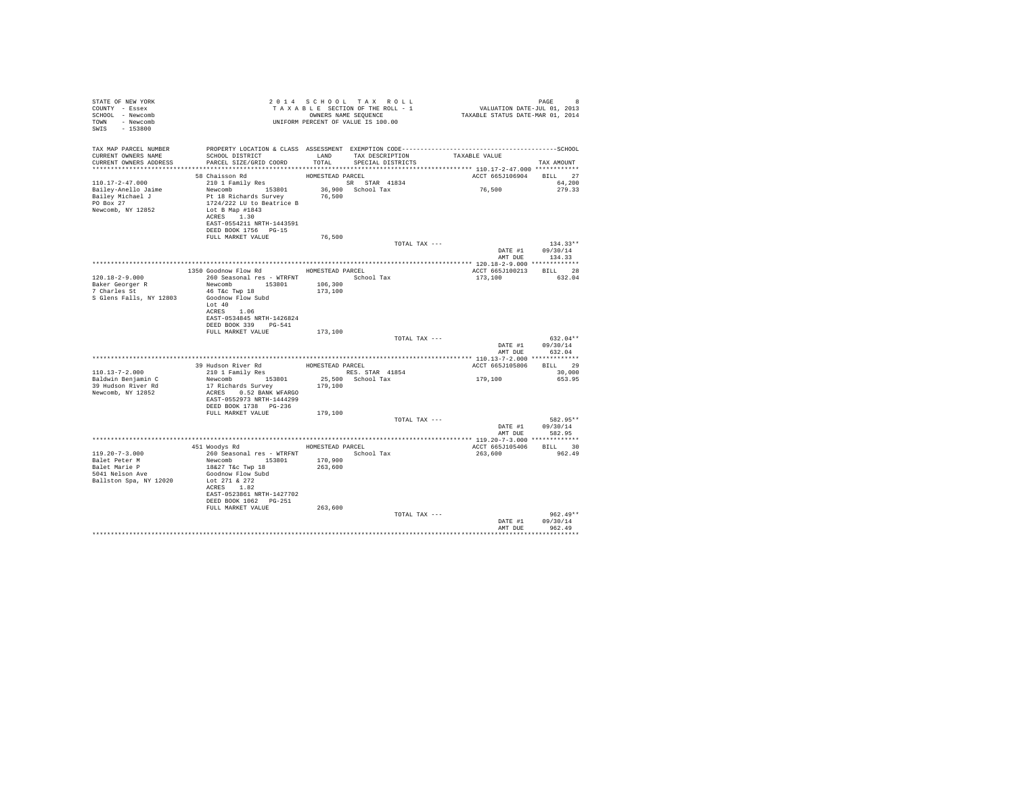| STATE OF NEW YORK                                                                                                                                                                       | 2 0 1 4 S C HO O L T A X R O L L<br>T A X A B L SECTION OF THE ROLL - 1 CALUATION DATE-JUL 01, 2013<br>ONNERS NAME SEQUENCE<br>UNIFORM PERCENT OF VALUE IS 100.00 |         |                   |                         |                  |
|-----------------------------------------------------------------------------------------------------------------------------------------------------------------------------------------|-------------------------------------------------------------------------------------------------------------------------------------------------------------------|---------|-------------------|-------------------------|------------------|
| COUNTY - Essex                                                                                                                                                                          |                                                                                                                                                                   |         |                   |                         |                  |
| SCHOOL - Newcomb                                                                                                                                                                        |                                                                                                                                                                   |         |                   |                         |                  |
| TOWN - Newcomb                                                                                                                                                                          |                                                                                                                                                                   |         |                   |                         |                  |
| SWIS - 153800                                                                                                                                                                           |                                                                                                                                                                   |         |                   |                         |                  |
|                                                                                                                                                                                         |                                                                                                                                                                   |         |                   |                         |                  |
|                                                                                                                                                                                         |                                                                                                                                                                   |         |                   |                         |                  |
|                                                                                                                                                                                         |                                                                                                                                                                   |         |                   |                         |                  |
|                                                                                                                                                                                         | SCHOOL DISTRICT                       LAND       TAX DESCRIPTION                 TAXABLE VALUE                                                                    |         |                   |                         |                  |
| CURRENT OWNERS ADDRESS                                                                                                                                                                  | PARCEL SIZE/GRID COORD                                                                                                                                            | TOTAL   | SPECIAL DISTRICTS |                         | TAX AMOUNT       |
|                                                                                                                                                                                         |                                                                                                                                                                   |         |                   |                         |                  |
|                                                                                                                                                                                         |                                                                                                                                                                   |         |                   | ACCT 665J106904 BILL 27 |                  |
|                                                                                                                                                                                         |                                                                                                                                                                   |         |                   |                         | 64,200           |
|                                                                                                                                                                                         |                                                                                                                                                                   |         |                   | 76,500                  | 279.33           |
|                                                                                                                                                                                         |                                                                                                                                                                   |         |                   |                         |                  |
|                                                                                                                                                                                         |                                                                                                                                                                   |         |                   |                         |                  |
|                                                                                                                                                                                         |                                                                                                                                                                   |         |                   |                         |                  |
|                                                                                                                                                                                         |                                                                                                                                                                   |         |                   |                         |                  |
|                                                                                                                                                                                         |                                                                                                                                                                   |         |                   |                         |                  |
|                                                                                                                                                                                         | DEED BOOK 1756 PG-15                                                                                                                                              |         |                   |                         |                  |
|                                                                                                                                                                                         | FULL MARKET VALUE                                                                                                                                                 | 76,500  |                   |                         |                  |
|                                                                                                                                                                                         |                                                                                                                                                                   |         | TOTAL TAX ---     |                         | $134.33**$       |
|                                                                                                                                                                                         |                                                                                                                                                                   |         |                   |                         | DATE #1 09/30/14 |
|                                                                                                                                                                                         |                                                                                                                                                                   |         |                   | AMT DUE                 | 134.33           |
|                                                                                                                                                                                         |                                                                                                                                                                   |         |                   | ACCT 665J100213 BILL 28 |                  |
|                                                                                                                                                                                         | 1350 Goodnow Flow Rd MOMESTEAD PARCEL                                                                                                                             |         |                   |                         |                  |
| 120.18-2-9.000                                                                                                                                                                          | 260 Seasonal res - WTRFNT School Tax<br>Newcomb 153801 106,300                                                                                                    |         |                   | 173,100 632.04          |                  |
| Baker Georger R<br>7 Charles St                                                                                                                                                         | 46 T&C Twp 18                                                                                                                                                     | 173,100 |                   |                         |                  |
| S Glens Falls, NY 12803                                                                                                                                                                 | Goodnow Flow Subd                                                                                                                                                 |         |                   |                         |                  |
|                                                                                                                                                                                         | Lot 40                                                                                                                                                            |         |                   |                         |                  |
|                                                                                                                                                                                         | ACRES 1.06                                                                                                                                                        |         |                   |                         |                  |
|                                                                                                                                                                                         | EAST-0534845 NRTH-1426824                                                                                                                                         |         |                   |                         |                  |
|                                                                                                                                                                                         | DEED BOOK 339 PG-541                                                                                                                                              |         |                   |                         |                  |
|                                                                                                                                                                                         | FULL MARKET VALUE                                                                                                                                                 | 173,100 |                   |                         |                  |
|                                                                                                                                                                                         |                                                                                                                                                                   |         | TOTAL TAX ---     |                         | $632.04**$       |
|                                                                                                                                                                                         |                                                                                                                                                                   |         |                   |                         | DATE #1 09/30/14 |
|                                                                                                                                                                                         |                                                                                                                                                                   |         |                   | AMT DUE 632.04          |                  |
|                                                                                                                                                                                         |                                                                                                                                                                   |         |                   |                         |                  |
|                                                                                                                                                                                         | 39 Hudson River Rd<br>210 1 Family Res RES. S                                                                                                                     |         |                   | ACCT 665J105806         | BILL 29          |
| $110.13 - 7 - 2.000$                                                                                                                                                                    |                                                                                                                                                                   |         |                   |                         | 30,000           |
| Baldwin Benjamin C                                                                                                                                                                      |                                                                                                                                                                   |         |                   | 179,100                 | 653.95           |
| 39 Hudson River Rd                                                                                                                                                                      |                                                                                                                                                                   | 179,100 |                   |                         |                  |
| Newcomb, NY 12852                                                                                                                                                                       | 17 Richards Survey<br>ACRES 0.52 BANK WFARGO                                                                                                                      |         |                   |                         |                  |
|                                                                                                                                                                                         | EAST-0552973 NRTH-1444299                                                                                                                                         |         |                   |                         |                  |
|                                                                                                                                                                                         | DEED BOOK 1738 PG-236                                                                                                                                             |         |                   |                         |                  |
|                                                                                                                                                                                         | FULL MARKET VALUE 179,100                                                                                                                                         |         |                   |                         |                  |
|                                                                                                                                                                                         |                                                                                                                                                                   |         | TOTAL TAX ---     |                         | 582.95**         |
|                                                                                                                                                                                         |                                                                                                                                                                   |         |                   |                         | DATE #1 09/30/14 |
|                                                                                                                                                                                         |                                                                                                                                                                   |         |                   | AMT DUE                 | 582.95           |
|                                                                                                                                                                                         |                                                                                                                                                                   |         |                   |                         |                  |
|                                                                                                                                                                                         | 451 Woodys Rd MOMESTEAD PARCEL                                                                                                                                    |         |                   | ACCT 665J105406 BILL 30 |                  |
| 119.20-7-3.000 $260$ Seasonal res - WTRFNT<br>Balet Peter M Newcomb 153801 170,900<br>Balet Marie P 1627 T4c Twp 18<br>56001 Tax<br>5041 Nelson Ave 36027 T4c Twp 18<br>5041 Nelson Ave |                                                                                                                                                                   |         |                   | 263,600                 | 962.49           |
|                                                                                                                                                                                         |                                                                                                                                                                   |         |                   |                         |                  |
|                                                                                                                                                                                         |                                                                                                                                                                   |         |                   |                         |                  |
|                                                                                                                                                                                         |                                                                                                                                                                   |         |                   |                         |                  |
| Ballston Spa, NY 12020                                                                                                                                                                  | Lot 271 & 272                                                                                                                                                     |         |                   |                         |                  |
|                                                                                                                                                                                         | ACRES 1.82                                                                                                                                                        |         |                   |                         |                  |
|                                                                                                                                                                                         | EAST-0523861 NRTH-1427702                                                                                                                                         |         |                   |                         |                  |
|                                                                                                                                                                                         | DEED BOOK 1062 PG-251                                                                                                                                             |         |                   |                         |                  |
|                                                                                                                                                                                         | FULL MARKET VALUE                                                                                                                                                 | 263,600 |                   |                         |                  |
|                                                                                                                                                                                         |                                                                                                                                                                   |         | TOTAL TAX ---     |                         | $962.49**$       |
|                                                                                                                                                                                         |                                                                                                                                                                   |         |                   | DATE #1                 | 09/30/14         |
|                                                                                                                                                                                         |                                                                                                                                                                   |         |                   | AMT DUE                 | 962.49           |
|                                                                                                                                                                                         |                                                                                                                                                                   |         |                   |                         |                  |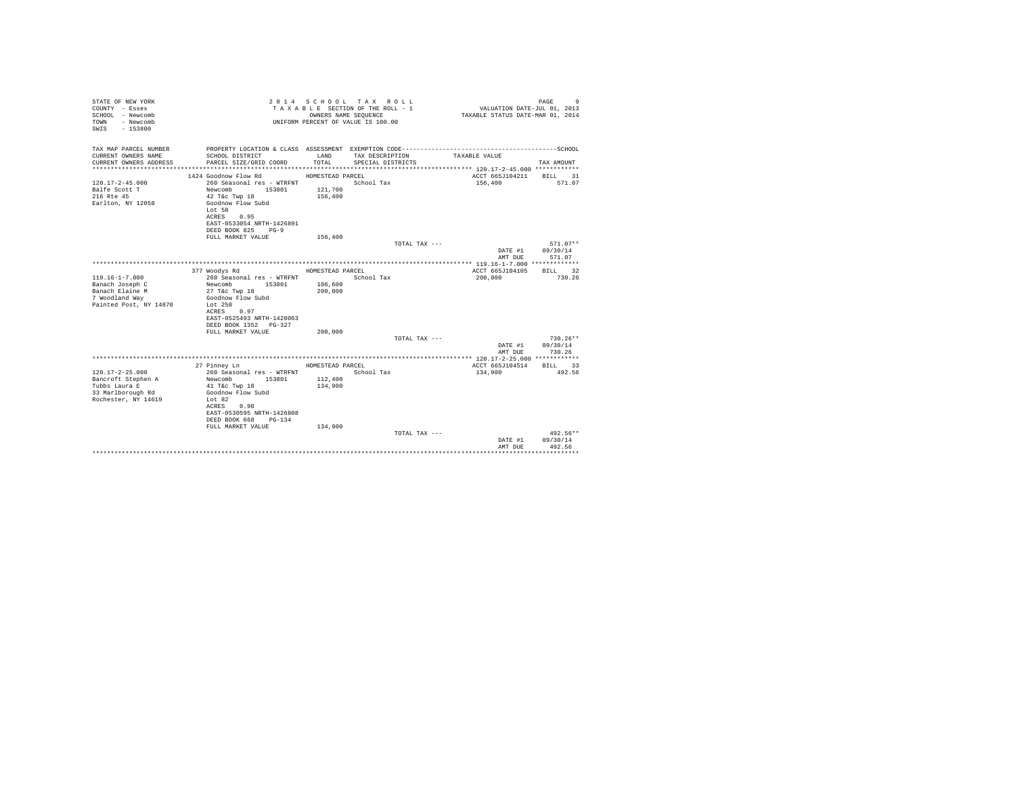| STATE OF NEW YORK<br>COUNTY - Essex<br>SCHOOL - Newcomb<br>- Newcomb<br>TOWN<br>$-153800$<br>SWTS |                                                                                                                                              | OWNERS NAME SEQUENCE | 2014 SCHOOL TAX ROLL<br>TAXABLE SECTION OF THE ROLL - 1<br>UNIFORM PERCENT OF VALUE IS 100.00 | VALUATION DATE-JUL 01, 2013<br>TAXABLE STATUS DATE-MAR 01, 2014 | PAGE<br>9              |
|---------------------------------------------------------------------------------------------------|----------------------------------------------------------------------------------------------------------------------------------------------|----------------------|-----------------------------------------------------------------------------------------------|-----------------------------------------------------------------|------------------------|
| TAX MAP PARCEL NUMBER<br>CURRENT OWNERS NAME                                                      | SCHOOL DISTRICT                                                                                                                              | LAND                 | TAX DESCRIPTION                                                                               | TAXABLE VALUE                                                   |                        |
| CURRENT OWNERS ADDRESS                                                                            | PARCEL SIZE/GRID COORD                                                                                                                       | TOTAL.               | SPECIAL DISTRICTS                                                                             |                                                                 | TAX AMOUNT             |
|                                                                                                   | 1424 Goodnow Flow Rd                                                                                                                         | HOMESTEAD PARCEL     |                                                                                               | ACCT 665J104211                                                 | 31<br><b>BILL</b>      |
| $120.17 - 2 - 45.000$<br>Balfe Scott T<br>216 Rte 45<br>Earlton, NY 12058                         | 260 Seasonal res - WTRFNT<br>Newcomb<br>153801<br>42 T&c Twp 18<br>Goodnow Flow Subd<br>Lot 58<br>ACRES<br>0.95<br>EAST-0533054 NRTH-1426891 | 121,700<br>156,400   | School Tax                                                                                    | 156,400                                                         | 571.07                 |
|                                                                                                   | DEED BOOK 825<br>$PG-9$                                                                                                                      |                      |                                                                                               |                                                                 |                        |
|                                                                                                   | FULL MARKET VALUE                                                                                                                            | 156,400              |                                                                                               |                                                                 |                        |
|                                                                                                   |                                                                                                                                              |                      | TOTAL TAX ---                                                                                 | DATE #1                                                         | $571.07**$<br>09/30/14 |
|                                                                                                   |                                                                                                                                              |                      |                                                                                               | AMT DUE                                                         | 571.07                 |
|                                                                                                   |                                                                                                                                              |                      |                                                                                               |                                                                 |                        |
|                                                                                                   | 377 Woodys Rd                                                                                                                                | HOMESTEAD PARCEL     |                                                                                               | ACCT 665J104105                                                 | BTLL.<br>32            |
| $119.16 - 1 - 7.000$                                                                              | 260 Seasonal res - WTRFNT                                                                                                                    |                      | School Tax                                                                                    | 200,000                                                         | 730.26                 |
| Banach Joseph C                                                                                   | Newcomb<br>153801                                                                                                                            | 106,600              |                                                                                               |                                                                 |                        |
| Banach Elaine M                                                                                   | 27 T&c Twp 18                                                                                                                                | 200,000              |                                                                                               |                                                                 |                        |
| 7 Woodland Way                                                                                    | Goodnow Flow Subd                                                                                                                            |                      |                                                                                               |                                                                 |                        |
| Painted Post, NY 14870                                                                            | Lot $250$                                                                                                                                    |                      |                                                                                               |                                                                 |                        |
|                                                                                                   | ACRES<br>0.97<br>EAST-0525493 NRTH-1428063                                                                                                   |                      |                                                                                               |                                                                 |                        |
|                                                                                                   | DEED BOOK 1352 PG-327                                                                                                                        |                      |                                                                                               |                                                                 |                        |
|                                                                                                   | FULL MARKET VALUE                                                                                                                            | 200,000              |                                                                                               |                                                                 |                        |
|                                                                                                   |                                                                                                                                              |                      | TOTAL TAX ---                                                                                 |                                                                 | $730.26**$             |
|                                                                                                   |                                                                                                                                              |                      |                                                                                               | DATE #1                                                         | 09/30/14               |
|                                                                                                   |                                                                                                                                              |                      |                                                                                               | AMT DUE                                                         | 730.26                 |
|                                                                                                   |                                                                                                                                              |                      |                                                                                               |                                                                 |                        |
|                                                                                                   | 27 Pinney Ln                                                                                                                                 | HOMESTEAD PARCEL     |                                                                                               | ACCT 665J104514                                                 | BILL 33                |
| $120.17 - 2 - 25.000$                                                                             | 260 Seasonal res - WTRFNT                                                                                                                    |                      | School Tax                                                                                    | 134,900                                                         | 492.56                 |
| Bancroft Stephen A                                                                                | Newcomb<br>153801                                                                                                                            | 112,400              |                                                                                               |                                                                 |                        |
| Tubbs Laura E<br>33 Marlborough Rd                                                                | 41 T&c Twp 18<br>Goodnow Flow Subd                                                                                                           | 134,900              |                                                                                               |                                                                 |                        |
| Rochester, NY 14619                                                                               | Lot 82                                                                                                                                       |                      |                                                                                               |                                                                 |                        |
|                                                                                                   | ACRES<br>0.90                                                                                                                                |                      |                                                                                               |                                                                 |                        |
|                                                                                                   | EAST-0530595 NRTH-1426808                                                                                                                    |                      |                                                                                               |                                                                 |                        |
|                                                                                                   | DEED BOOK 668<br>PG-134                                                                                                                      |                      |                                                                                               |                                                                 |                        |
|                                                                                                   | FULL MARKET VALUE                                                                                                                            | 134,900              |                                                                                               |                                                                 |                        |
|                                                                                                   |                                                                                                                                              |                      | TOTAL TAX ---                                                                                 |                                                                 | 492.56**               |
|                                                                                                   |                                                                                                                                              |                      |                                                                                               | DATE #1                                                         | 09/30/14               |
|                                                                                                   |                                                                                                                                              |                      |                                                                                               | AMT DUE                                                         | 492.56<br>*********    |
|                                                                                                   |                                                                                                                                              |                      |                                                                                               |                                                                 |                        |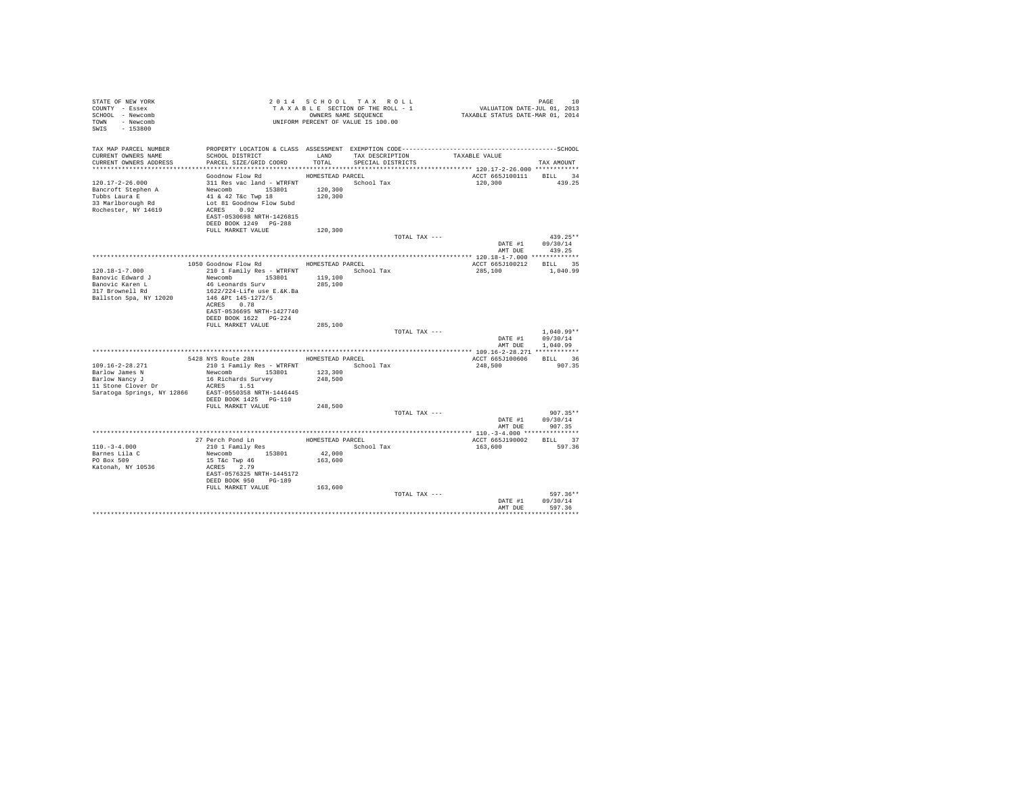| STATE OF NEW YORK<br>COUNTY - Essex<br>SCHOOL - Newcomb<br>TOWN - Newcomb<br>SWIS - 153800 | T A X A B B B B B B B SEQUENCE<br>UNIFORM PERCENT OF VALUE IS 100.00                                     |                    | 2014 SCHOOL TAX ROLL<br>TAXABLE SECTION OF THE ROLL - 1<br>OWNERS NAME SEQUENCE |               | PAGE 10<br>VALUATION DATE-JUL 01, 2013<br>TAXABLE STATUS DATE-MAR 01, 2014 |                                |  |
|--------------------------------------------------------------------------------------------|----------------------------------------------------------------------------------------------------------|--------------------|---------------------------------------------------------------------------------|---------------|----------------------------------------------------------------------------|--------------------------------|--|
| TAX MAP PARCEL NUMBER<br>CURRENT OWNERS NAME<br>CURRENT OWNERS ADDRESS                     | SCHOOL DISTRICT<br>PARCEL SIZE/GRID COORD                                                                | TOTAL              | LAND TAX DESCRIPTION<br>SPECIAL DISTRICTS                                       | TAXABLE VALUE |                                                                            | TAX AMOUNT                     |  |
|                                                                                            |                                                                                                          |                    |                                                                                 |               |                                                                            |                                |  |
|                                                                                            | Goodnow Flow Rd                                                                                          | HOMESTEAD PARCEL   |                                                                                 |               | ACCT 665J100111 BILL 34                                                    |                                |  |
| 120.17-2-26.000<br>Rochester, NY 14619                                                     | 311 Res vac land - WTRFNT School Tax<br>ACRES 0.92<br>EAST-0530698 NRTH-1426815<br>DEED BOOK 1249 PG-288 | 120,300<br>120,300 |                                                                                 |               | 120,300                                                                    | 439.25                         |  |
|                                                                                            | FULL MARKET VALUE                                                                                        | 120,300            |                                                                                 |               |                                                                            |                                |  |
|                                                                                            |                                                                                                          |                    |                                                                                 | TOTAL TAX --- |                                                                            | $439.25**$                     |  |
|                                                                                            |                                                                                                          |                    |                                                                                 |               | DATE #1 09/30/14                                                           |                                |  |
|                                                                                            |                                                                                                          |                    |                                                                                 |               | AMT DUE                                                                    | 439.25                         |  |
|                                                                                            |                                                                                                          |                    |                                                                                 |               |                                                                            |                                |  |
|                                                                                            | 1050 Goodnow Flow Rd MOMESTEAD PARCEL                                                                    |                    |                                                                                 |               | ACCT 665J100212 BILL 35                                                    |                                |  |
| $120.18 - 1 - 7.000$                                                                       | 210 1 Family Res - WTRFNT School Tax                                                                     |                    |                                                                                 |               | 285,100                                                                    | 1,040.99                       |  |
| Banovic Edward J                                                                           | Newcomb 153801<br>46 Leonards Surv                                                                       | 119,100<br>285,100 |                                                                                 |               |                                                                            |                                |  |
| Banovic Karen L<br>317 Brownell Rd                                                         | 1622/224-Life use E.&K.Ba                                                                                |                    |                                                                                 |               |                                                                            |                                |  |
| Ballston Spa, NY 12020                                                                     | 146 &Pt 145-1272/5<br>ACRES 0.78                                                                         |                    |                                                                                 |               |                                                                            |                                |  |
|                                                                                            | EAST-0536695 NRTH-1427740<br>DEED BOOK 1622    PG-224                                                    |                    |                                                                                 |               |                                                                            |                                |  |
|                                                                                            | FULL MARKET VALUE                                                                                        | 285,100            |                                                                                 | TOTAL TAX --- |                                                                            | $1.040.99**$                   |  |
|                                                                                            |                                                                                                          |                    |                                                                                 |               | DATE #1 09/30/14<br>AMT DUE 1,040.99                                       |                                |  |
|                                                                                            |                                                                                                          |                    |                                                                                 |               |                                                                            |                                |  |
|                                                                                            | 5428 NYS Route 28N                                                                                       | HOMESTEAD PARCEL   |                                                                                 |               | ACCT 665J100606 BILL 36                                                    |                                |  |
| 109.16-2-28.271                                                                            | 210 1 Family Res - WTRFNT                                                                                |                    | School Tax                                                                      |               | 248,500                                                                    | 907.35                         |  |
| Barlow James N                                                                             | Newcomb 153801 123,300                                                                                   |                    |                                                                                 |               |                                                                            |                                |  |
| Barlow Nancy J<br>11 Stone Clover Dr ACRES 1.51                                            | 16 Richards Survey                                                                                       | 248,500            |                                                                                 |               |                                                                            |                                |  |
| Saratoga Springs, NY 12866 EAST-0550358 NRTH-1446445                                       | DEED BOOK 1425 PG-110                                                                                    |                    |                                                                                 |               |                                                                            |                                |  |
|                                                                                            | FULL MARKET VALUE                                                                                        | 248,500            |                                                                                 |               |                                                                            |                                |  |
|                                                                                            |                                                                                                          |                    |                                                                                 | TOTAL TAX --- | DATE #1                                                                    | $907.35**$<br>09/30/14         |  |
|                                                                                            |                                                                                                          |                    |                                                                                 |               | AMT DUE                                                                    | 907.35                         |  |
|                                                                                            |                                                                                                          |                    |                                                                                 |               | ACCT 665J190002 BILL 37                                                    |                                |  |
| $110. - 3 - 4.000$                                                                         |                                                                                                          |                    | School Tax                                                                      |               | 163,600 597.36                                                             |                                |  |
|                                                                                            | Newcomb 153801                                                                                           | 42,000             |                                                                                 |               |                                                                            |                                |  |
| Barnes Lila C<br>PO Box 509                                                                | 15 T&C Twp 46                                                                                            | 163,600            |                                                                                 |               |                                                                            |                                |  |
| Katonah, NY 10536                                                                          | ACRES 2.79<br>EAST-0576325 NRTH-1445172                                                                  |                    |                                                                                 |               |                                                                            |                                |  |
|                                                                                            | DEED BOOK 950 PG-189                                                                                     |                    |                                                                                 |               |                                                                            |                                |  |
|                                                                                            | FULL MARKET VALUE                                                                                        | 163,600            |                                                                                 |               |                                                                            |                                |  |
|                                                                                            |                                                                                                          |                    |                                                                                 | TOTAL TAX --- | DATE #1<br>AMT DUE                                                         | 597.36**<br>09/30/14<br>597.36 |  |
|                                                                                            |                                                                                                          |                    |                                                                                 |               |                                                                            | *************                  |  |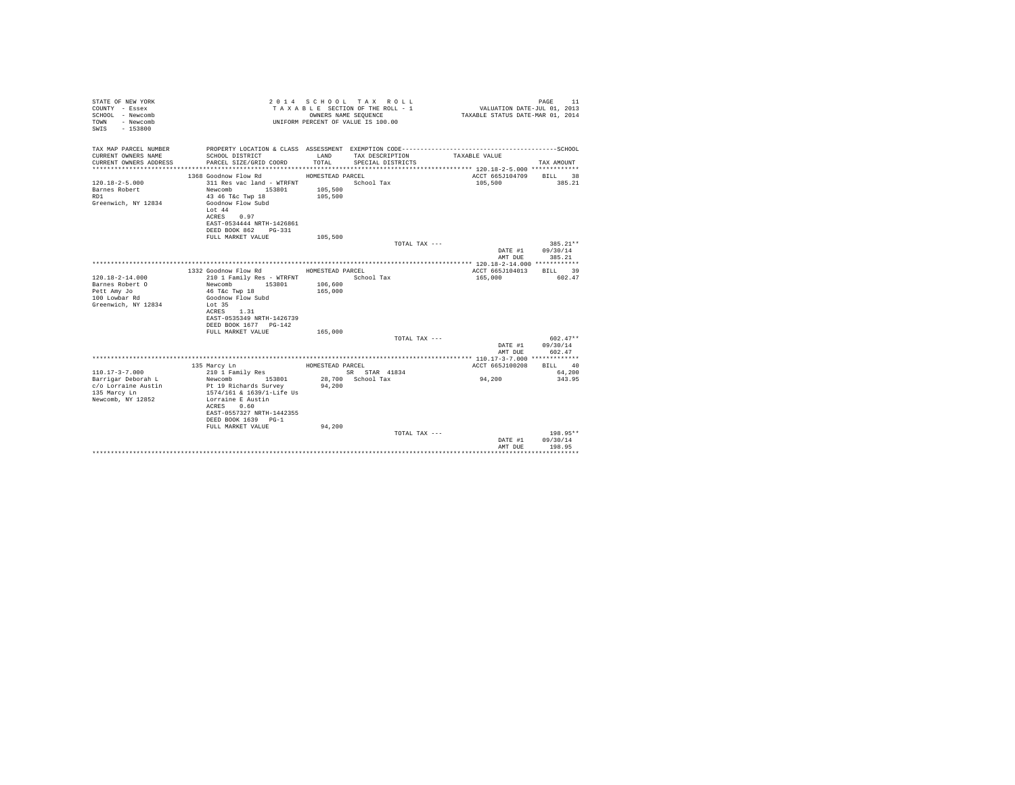| STATE OF NEW YORK<br>COUNTY - Essex<br>SCHOOL - Newcomb<br>- Newcomb<br>TOWN<br>$-153800$<br>SWTS |                                                    |                    | 2014 SCHOOL TAX ROLL<br>TAXABLE SECTION OF THE ROLL - 1<br>OWNERS NAME SEQUENCE<br>UNIFORM PERCENT OF VALUE IS 100.00 | VALUATION DATE-JUL 01, 2013<br>TAXABLE STATUS DATE-MAR 01, 2014 | 11<br>PAGE |
|---------------------------------------------------------------------------------------------------|----------------------------------------------------|--------------------|-----------------------------------------------------------------------------------------------------------------------|-----------------------------------------------------------------|------------|
| TAX MAP PARCEL NUMBER                                                                             |                                                    |                    |                                                                                                                       |                                                                 |            |
| CURRENT OWNERS NAME<br>CURRENT OWNERS ADDRESS                                                     | SCHOOL DISTRICT<br>PARCEL SIZE/GRID COORD          | LAND<br>TOTAL.     | TAX DESCRIPTION<br>SPECIAL DISTRICTS                                                                                  | TAXABLE VALUE                                                   | TAX AMOUNT |
|                                                                                                   |                                                    |                    |                                                                                                                       |                                                                 |            |
|                                                                                                   | 1368 Goodnow Flow Rd                               | HOMESTEAD PARCEL   |                                                                                                                       | ACCT 665J104709                                                 | BILL 38    |
| $120.18 - 2 - 5.000$                                                                              | 311 Res vac land - WTRFNT                          |                    | School Tax                                                                                                            | 105,500                                                         | 385.21     |
| Barnes Robert<br>RD1                                                                              | Newcomb 153801<br>43 46 T&c Twp 18                 | 105,500<br>105,500 |                                                                                                                       |                                                                 |            |
| Greenwich, NY 12834                                                                               | Goodnow Flow Subd                                  |                    |                                                                                                                       |                                                                 |            |
|                                                                                                   | Lot $44$                                           |                    |                                                                                                                       |                                                                 |            |
|                                                                                                   | ACRES 0.97                                         |                    |                                                                                                                       |                                                                 |            |
|                                                                                                   | EAST-0534444 NRTH-1426861<br>DEED BOOK 862 PG-331  |                    |                                                                                                                       |                                                                 |            |
|                                                                                                   | FULL MARKET VALUE                                  | 105,500            |                                                                                                                       |                                                                 |            |
|                                                                                                   |                                                    |                    | TOTAL TAX ---                                                                                                         |                                                                 | $385.21**$ |
|                                                                                                   |                                                    |                    |                                                                                                                       | DATE #1                                                         | 09/30/14   |
|                                                                                                   |                                                    |                    |                                                                                                                       | AMT DUE                                                         | 385.21     |
|                                                                                                   | 1332 Goodnow Flow Rd                               | HOMESTEAD PARCEL   |                                                                                                                       | ACCT 665J104013                                                 | RTT.T. 39  |
| $120.18 - 2 - 14.000$                                                                             | 210 1 Family Res - WTRFNT                          |                    | School Tax                                                                                                            | 165,000                                                         | 602.47     |
| Barnes Robert O                                                                                   | Newcomb<br>153801                                  | 106,600            |                                                                                                                       |                                                                 |            |
| Pett Amy Jo<br>100 Lowbar Rd                                                                      | 46 T&c Twp 18<br>Goodnow Flow Subd                 | 165,000            |                                                                                                                       |                                                                 |            |
| Greenwich, NY 12834                                                                               | Lot 35                                             |                    |                                                                                                                       |                                                                 |            |
|                                                                                                   | ACRES 1.31                                         |                    |                                                                                                                       |                                                                 |            |
|                                                                                                   | EAST-0535349 NRTH-1426739<br>DEED BOOK 1677 PG-142 |                    |                                                                                                                       |                                                                 |            |
|                                                                                                   | FULL MARKET VALUE                                  | 165,000            |                                                                                                                       |                                                                 |            |
|                                                                                                   |                                                    |                    | TOTAL TAX ---                                                                                                         |                                                                 | $602.47**$ |
|                                                                                                   |                                                    |                    |                                                                                                                       | DATE #1                                                         | 09/30/14   |
|                                                                                                   |                                                    |                    |                                                                                                                       | AMT DUE                                                         | 602.47     |
|                                                                                                   | 135 Marcy Ln                                       | HOMESTEAD PARCEL   |                                                                                                                       | ACCT 665J100208                                                 | BILL 40    |
| $110.17 - 3 - 7.000$                                                                              | 210 1 Family Res                                   |                    | SR STAR 41834                                                                                                         |                                                                 | 64,200     |
| Barrigar Deborah L                                                                                | Newcomb<br>153801                                  |                    | 28,700 School Tax                                                                                                     | 94,200                                                          | 343.95     |
| c/o Lorraine Austin<br>135 Marcy Ln                                                               | Pt 19 Richards Survey<br>1574/161 & 1639/1-Life Us | 94,200             |                                                                                                                       |                                                                 |            |
| Newcomb, NY 12852                                                                                 | Lorraine E Austin                                  |                    |                                                                                                                       |                                                                 |            |
|                                                                                                   | ACRES 0.60                                         |                    |                                                                                                                       |                                                                 |            |
|                                                                                                   | EAST-0557327 NRTH-1442355<br>DEED BOOK 1639 PG-1   |                    |                                                                                                                       |                                                                 |            |
|                                                                                                   | FULL MARKET VALUE                                  | 94.200             |                                                                                                                       |                                                                 |            |
|                                                                                                   |                                                    |                    | TOTAL TAX ---                                                                                                         |                                                                 | 198.95**   |
|                                                                                                   |                                                    |                    |                                                                                                                       | DATE #1                                                         | 09/30/14   |
|                                                                                                   |                                                    |                    |                                                                                                                       | AMT DUE                                                         | 198.95     |
|                                                                                                   |                                                    |                    |                                                                                                                       |                                                                 |            |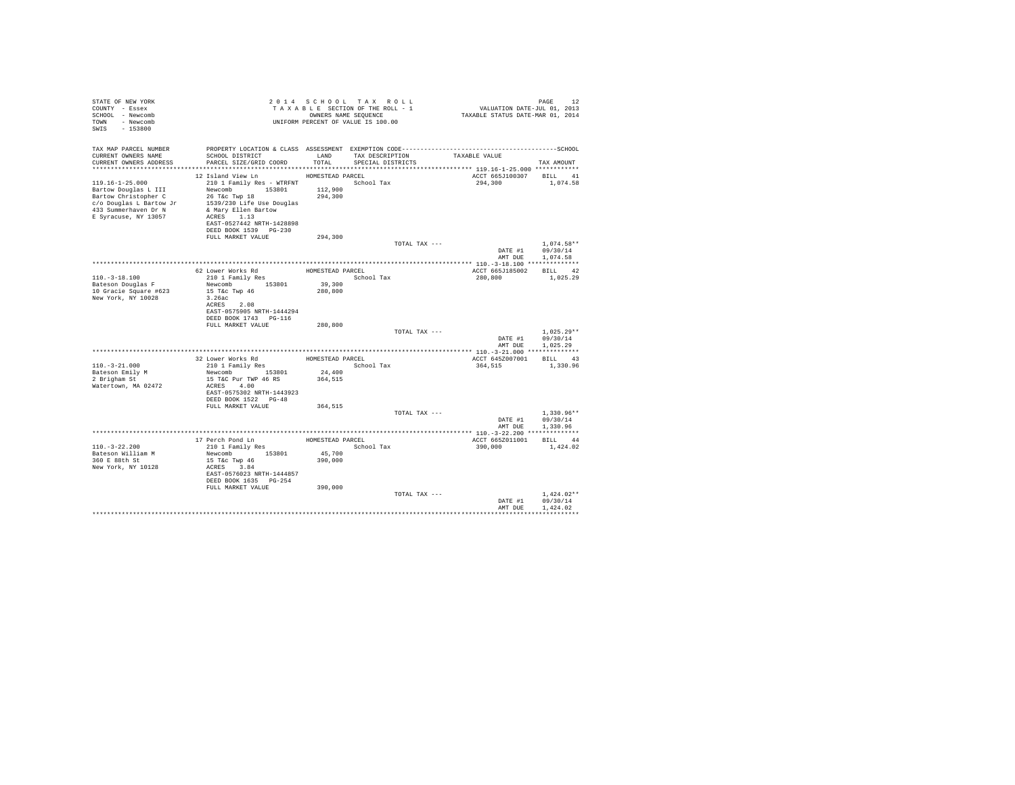| STATE OF NEW YORK<br>COUNTY - Essex<br>SCHOOL - Newcomb<br>TOWN - Newcomb<br>SWIS - 153800                                                       |                                                                                                                                                                                                                                                                                       | 2014 SCHOOL TAX ROLL<br>UNIFORM PERCENT OF VALUE IS 100.00 |               | PAGE 12 PAGE 12 PAGE 12 PAGE 12 PAGE 12 PAGE 12 PAGE 12 PAGE 12 PAGE 12 PAGE 12 PAGE 12 PAGE 12 PAGE 12 PAGE 12<br>TAXABLE SECTION OF THE ROLL - 1 PAXABLE STATUS DATE-MAR 01, 2014 | PAGE<br>12                                           |  |
|--------------------------------------------------------------------------------------------------------------------------------------------------|---------------------------------------------------------------------------------------------------------------------------------------------------------------------------------------------------------------------------------------------------------------------------------------|------------------------------------------------------------|---------------|-------------------------------------------------------------------------------------------------------------------------------------------------------------------------------------|------------------------------------------------------|--|
| TAX MAP PARCEL NUMBER<br>CURRENT OWNERS NAME<br>CURRENT OWNERS ADDRESS                                                                           | PROPERTY LOCATION & CLASS ASSESSMENT EXEMPTION CODE-----------------------------------SCHOOL<br>SCHOOL DISTRICT<br>PARCEL SIZE/GRID COORD                                                                                                                                             | LAND<br>TOTAL                                              |               | TAX DESCRIPTION TAXABLE VALUE SPECIAL DISTRICTS                                                                                                                                     | TAX AMOUNT                                           |  |
| 1997/230 Life use Doug.<br>1997/230 Life use Doug.<br>1997/230 Life use Doug.<br>23 Summerhaven Dr N & Mary Ellen Bartow<br>E Syracuse, NY 13057 | 12 Island View Ln<br>119.16-1-25.000 210 1 Family Res - WTRFNT School Tax<br>Bartow Douglas L III Newcomb 153801 112,900<br>Eartow Christopher C 26 Tec Twp 18<br>Colonglas L Bartow Jr 1539/230 Life Use Douglas<br>ACRES 1.13<br>EAST-0527442 NRTH-1428898<br>DEED BOOK 1539 PG-230 | HOMESTEAD PARCEL                                           |               | ACCT 665J100307 BILL 41<br>294,300 1,074.58                                                                                                                                         |                                                      |  |
|                                                                                                                                                  | FULL MARKET VALUE                                                                                                                                                                                                                                                                     | 294,300                                                    | TOTAL TAX --- |                                                                                                                                                                                     | $1.074.58**$<br>DATE #1 09/30/14<br>AMT DUE 1,074.58 |  |
|                                                                                                                                                  |                                                                                                                                                                                                                                                                                       |                                                            |               |                                                                                                                                                                                     |                                                      |  |
| $110. - 3 - 18.100$                                                                                                                              | 62 Lower Works Rd<br>210 1 Family Res<br>School Tar                                                                                                                                                                                                                                   | School Tax                                                 |               | ACCT 665J185002 BILL 42<br>280.800 1.025.29                                                                                                                                         |                                                      |  |
| Bateson Douglas F<br>10 Gracie Square #623<br>New York, NY 10028                                                                                 | Newcomb 153801 39,300<br>15 T&c Twp 46 280,800<br>3.26ac<br>ACRES 2.08<br>EAST-0575905 NRTH-1444294<br>DEED BOOK 1743 PG-116                                                                                                                                                          |                                                            |               |                                                                                                                                                                                     |                                                      |  |
|                                                                                                                                                  | FULL MARKET VALUE                                                                                                                                                                                                                                                                     | 280,800                                                    | TOTAL TAX --- |                                                                                                                                                                                     | $1.025.29**$<br>DATE #1 09/30/14                     |  |
|                                                                                                                                                  |                                                                                                                                                                                                                                                                                       |                                                            |               |                                                                                                                                                                                     | AMT DUE 1,025.29                                     |  |
|                                                                                                                                                  |                                                                                                                                                                                                                                                                                       |                                                            |               |                                                                                                                                                                                     |                                                      |  |
|                                                                                                                                                  | $\begin{tabular}{llllll} 32 Lower Works\ Rd & \text{HOMESTEAD PARCH} \\ 210\ 1\ Family\ Res & \text{School Tax} \end{tabular}$                                                                                                                                                        |                                                            |               | ACCT 645Z007001 BILL 43                                                                                                                                                             |                                                      |  |
| $110. - 3 - 21.000$                                                                                                                              |                                                                                                                                                                                                                                                                                       |                                                            |               | 364,515 1,330.96                                                                                                                                                                    |                                                      |  |
| Bateson Emily M                                                                                                                                  | Newcomb 153801 24,400                                                                                                                                                                                                                                                                 |                                                            |               |                                                                                                                                                                                     |                                                      |  |
| 2 Brigham St<br>Watertown, MA 02472                                                                                                              | 15 T&C Pur TWP 46 RS<br>ACRES 4.00<br>EAST-0575302 NRTH-1443923<br>DEED BOOK 1522 PG-48                                                                                                                                                                                               | 364,515                                                    |               |                                                                                                                                                                                     |                                                      |  |
|                                                                                                                                                  | FULL MARKET VALUE 364,515                                                                                                                                                                                                                                                             |                                                            | TOTAL TAX --- |                                                                                                                                                                                     | $1,330.96**$<br>DATE #1 09/30/14                     |  |
|                                                                                                                                                  |                                                                                                                                                                                                                                                                                       |                                                            |               |                                                                                                                                                                                     | AMT DUE 1,330.96                                     |  |
|                                                                                                                                                  |                                                                                                                                                                                                                                                                                       |                                                            |               |                                                                                                                                                                                     |                                                      |  |
|                                                                                                                                                  |                                                                                                                                                                                                                                                                                       |                                                            |               | ACCT 665Z011001 BILL 44                                                                                                                                                             |                                                      |  |
| $110. - 3 - 22.200$                                                                                                                              | 210 1 Family Res<br>Newcomb 153801 45,700                                                                                                                                                                                                                                             |                                                            |               | 390.000 1.424.02                                                                                                                                                                    |                                                      |  |
| Bateson William M                                                                                                                                |                                                                                                                                                                                                                                                                                       |                                                            |               |                                                                                                                                                                                     |                                                      |  |
| 360 E 88th St                                                                                                                                    | $15$ T&C Twp $46$                                                                                                                                                                                                                                                                     | 390,000                                                    |               |                                                                                                                                                                                     |                                                      |  |
| New York, NY 10128                                                                                                                               | ACRES 3.84<br>EAST-0576023 NRTH-1444857<br>DEED BOOK 1635 PG-254                                                                                                                                                                                                                      |                                                            |               |                                                                                                                                                                                     |                                                      |  |
|                                                                                                                                                  | FULL MARKET VALUE                                                                                                                                                                                                                                                                     | 390,000                                                    |               |                                                                                                                                                                                     |                                                      |  |
|                                                                                                                                                  |                                                                                                                                                                                                                                                                                       |                                                            | TOTAL TAX --- |                                                                                                                                                                                     | $1.424.02**$                                         |  |
|                                                                                                                                                  |                                                                                                                                                                                                                                                                                       |                                                            |               |                                                                                                                                                                                     | DATE #1 09/30/14                                     |  |
|                                                                                                                                                  |                                                                                                                                                                                                                                                                                       |                                                            |               | AMT DUR                                                                                                                                                                             | 1,424.02                                             |  |
|                                                                                                                                                  |                                                                                                                                                                                                                                                                                       |                                                            |               |                                                                                                                                                                                     |                                                      |  |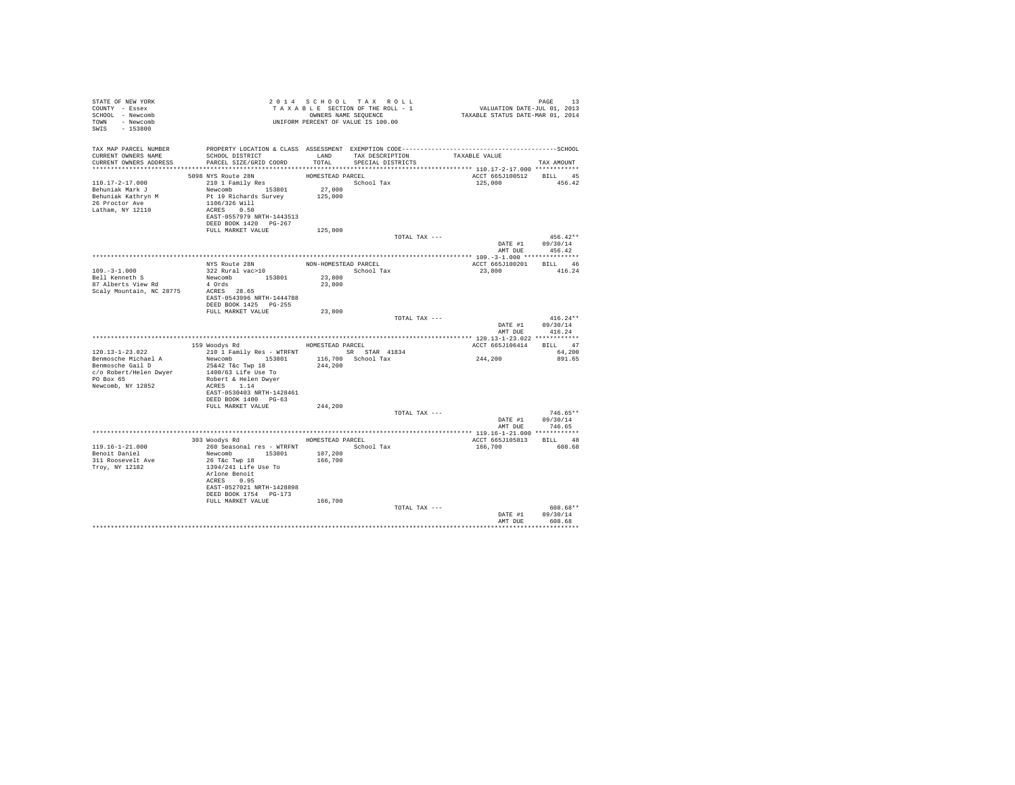| STATE OF NEW YORK<br>COUNTY - Essex<br>SCHOOL - Newcomb<br>TOWN - Newcomb<br>SWIS - 153800     | 2 0 1 4 5 C a D ONERS NAME SECTION OF THE ROLL - 1<br>T A X A B L E SECTION OF THE ROLL - 1<br>ONNERS NAME SEQUENCE<br>UNIFORM PERCENT OF VALUE IS 100.00                                                             |         |                                                         | PAGE 13<br>VALUATION DATE-JUL 01, 2013<br>TAXABLE STATUS DATE-MAR 01, 2014 |                                                |
|------------------------------------------------------------------------------------------------|-----------------------------------------------------------------------------------------------------------------------------------------------------------------------------------------------------------------------|---------|---------------------------------------------------------|----------------------------------------------------------------------------|------------------------------------------------|
| CURRENT OWNERS NAME<br>CURRENT OWNERS ADDRESS                                                  | SCHOOL DISTRICT<br>PARCEL SIZE/GRID COORD                                                                                                                                                                             | TOTAL   | LAND TAX DESCRIPTION TAXABLE VALUE<br>SPECIAL DISTRICTS |                                                                            | TAX AMOUNT                                     |
|                                                                                                | 5098 NYS Route 28N                                                                                                                                                                                                    |         |                                                         | ACCT 665J100512 BILL 45                                                    |                                                |
| 110.17-2-17.000<br>Behuniak Mark J<br>Behuniak Kathryn M<br>26 Proctor Ave<br>Latham, NY 12110 | 2000 NEW ROUTE 28N<br>210 1 Family Res                                                                                                                                                                                |         |                                                         | 125,000 456.42                                                             |                                                |
|                                                                                                | FULL MARKET VALUE                                                                                                                                                                                                     | 125,000 |                                                         |                                                                            |                                                |
|                                                                                                |                                                                                                                                                                                                                       |         | TOTAL TAX ---                                           | DATE #1 09/30/14<br>AMT DUE 456.42                                         | $456.42**$                                     |
|                                                                                                |                                                                                                                                                                                                                       |         |                                                         |                                                                            |                                                |
|                                                                                                |                                                                                                                                                                                                                       |         |                                                         | ACCT 665J100201 BILL 46<br>23,800                                          | 416.24                                         |
|                                                                                                | DEED BOOK 1425 PG-255                                                                                                                                                                                                 |         |                                                         |                                                                            |                                                |
|                                                                                                | FULL MARKET VALUE                                                                                                                                                                                                     | 23,800  |                                                         |                                                                            |                                                |
|                                                                                                |                                                                                                                                                                                                                       |         | TOTAL TAX ---                                           | DATE #1 09/30/14                                                           | $416.24**$                                     |
|                                                                                                |                                                                                                                                                                                                                       |         |                                                         |                                                                            | AMT DUE 416.24                                 |
|                                                                                                | 159 Woodys Rd MOMESTEAD PARCEL                                                                                                                                                                                        |         |                                                         |                                                                            |                                                |
| 120.13-1-23.022                                                                                | 210 1 Family Res - WTRFNT SR STAR 41834                                                                                                                                                                               |         |                                                         | ACCT 665J106414 BILL 47                                                    | 64,200                                         |
| PO Box 65<br>Newcomb, NY 12852                                                                 | Robert & Helen Dwyer<br>ACRES 1.14<br>EAST-0530403 NRTH-1428461<br>DEED BOOK 1400 PG-63                                                                                                                               |         |                                                         | 244,200                                                                    | 891.65                                         |
|                                                                                                | FULL MARKET VALUE 244,200                                                                                                                                                                                             |         |                                                         |                                                                            |                                                |
|                                                                                                |                                                                                                                                                                                                                       |         | TOTAL TAX ---                                           |                                                                            | $746.65**$                                     |
|                                                                                                |                                                                                                                                                                                                                       |         |                                                         |                                                                            | DATE #1 09/30/14                               |
|                                                                                                | 303 Woodys Rd MOMESTEAD PARCEL                                                                                                                                                                                        |         |                                                         | ACCT 665J105813 BILL 48                                                    | AMT DUE 746.65                                 |
| $119.16 - 1 - 21.000$<br>Benoit Daniel<br>311 Roosevelt Ave<br>Troy, NY 12182                  | 260 Seasonal res - WTRFNT School Tax 166,700 608.68<br>Newcomb 153801 107,200<br>26 T&c Twp 18 166,700<br>1394/241 Life Use To<br>Arlone Benoit<br>ACRES 0.95<br>EAST-0527021 NRTH-1428898<br>DEED BOOK 1754   PG-173 |         |                                                         |                                                                            |                                                |
|                                                                                                | FULL MARKET VALUE                                                                                                                                                                                                     | 166,700 |                                                         |                                                                            |                                                |
|                                                                                                |                                                                                                                                                                                                                       |         | TOTAL TAX ---                                           |                                                                            | 608.68**<br>DATE #1 09/30/14<br>AMT DUR 608.68 |
|                                                                                                |                                                                                                                                                                                                                       |         |                                                         |                                                                            |                                                |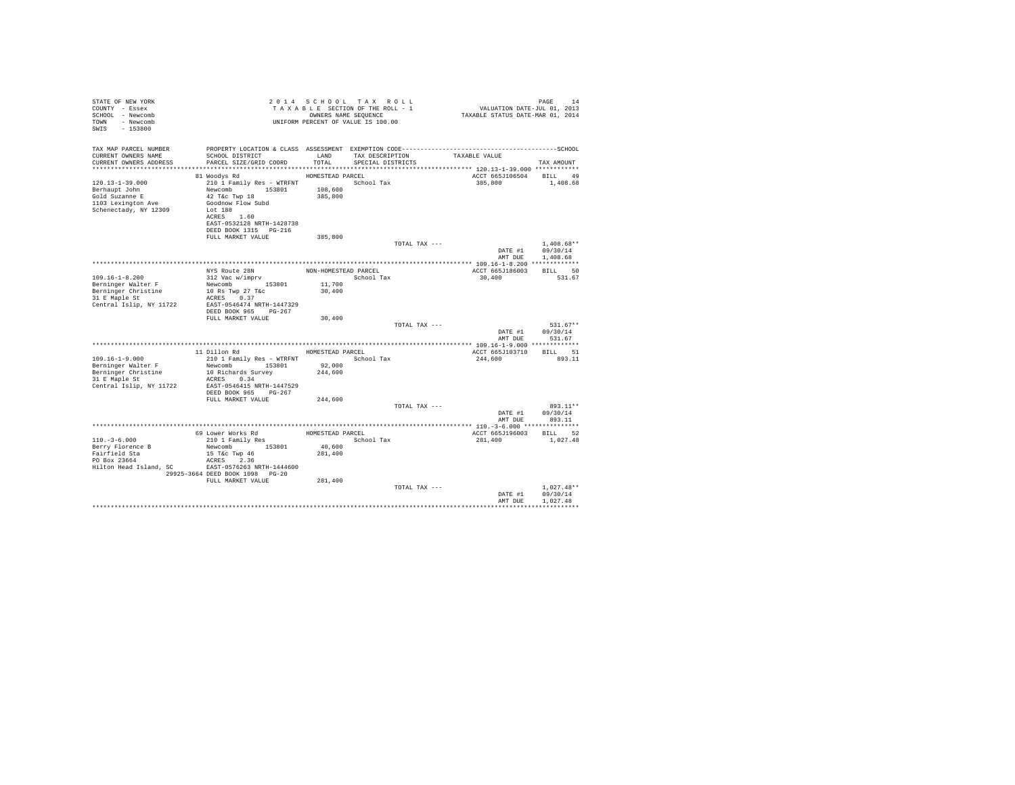| TAX MAP PARCEL NUMBER<br>SCHOOL DISTRICT<br>TAX DESCRIPTION<br>CURRENT OWNERS NAME<br>LAND<br>TAXABLE VALUE<br>PARCEL SIZE/GRID COORD<br>CURRENT OWNERS ADDRESS<br>TOTAL.<br>SPECIAL DISTRICTS<br>TAX AMOUNT<br>81 Woodys Rd<br>HOMESTEAD PARCEL<br>ACCT 665J106504 BILL 49<br>$120.13 - 1 - 39.000$<br>210 1 Family Res - WTRFNT<br>School Tax<br>385,800<br>1,408.68<br>Newcomb 153801<br>108,600<br>Berhaupt John<br>385,800<br>Gold Suzanne E<br>42 T&c Twp 18<br>1103 Lexington Ave<br>Goodnow Flow Subd<br>Schenectady, NY 12309<br>Lot 188<br>ACRES 1.60<br>EAST-0532128 NRTH-1428738<br>DEED BOOK 1315 PG-216<br>FULL MARKET VALUE<br>385,800<br>$1.408.68**$<br>TOTAL TAX ---<br>DATE #1 09/30/14<br>AMT DUE 1,408.68<br>ACCT 665-T186003 BTLL 50<br>NYS Route 28N<br>NON-HOMESTEAD PARCEL<br>312 Vac w/imprv<br>$109.16 - 1 - 8.200$<br>School Tax<br>30,400<br>531.67<br>Berninger Walter F<br>Newcomb 153801<br>10 Rs Twp 27 T&c<br>11,700<br>Berninger Christine<br>30,400<br>31 E Maple St<br>ACRES 0.37<br>Central Islip, NY 11722<br>EAST-0546474 NRTH-1447329<br>DEED BOOK 965 PG-267<br>FULL MARKET VALUE<br>30,400<br>$531.67**$<br>TOTAL TAX ---<br>DATE #1<br>09/30/14<br>AMT DUE<br>531.67<br>11 Dillon Rd<br>ACCT 665J103710 BILL 51<br>HOMESTEAD PARCEL<br>210 1 Family Res - WTRFNT<br>Newcomb 153801 92,000<br>$109.16 - 1 - 9.000$<br>School Tax<br>893.11<br>244,600<br>Berninger Walter F<br>Berninger Christine<br>31 E Maple St<br>244,600<br>10 Richards Survey<br>ACRES 0.34<br>Central Islip, NY 11722<br>EAST-0546415 NRTH-1447529<br>DEED BOOK 965 PG-267<br>FULL MARKET VALUE<br>244,600<br>TOTAL TAX ---<br>893.11**<br>DATE #1<br>09/30/14<br>AMT DUE 893.11<br>ACCT 665J196003 BILL 52<br>$110. -3 - 6.000$<br>School Tax<br>281,400<br>1,027.48<br>40,600<br>Berry Florence B<br>Newcomb 153801<br>Fairfield Sta<br>281,400<br>15 T&c Twp 46<br>PO Box 23664<br>ACRES 2.36<br>Hilton Head Island, SC BAST-0576263 NRTH-1444600<br>29925-3664 DEED BOOK 1098 PG-20<br>FULL MARKET VALUE<br>281,400<br>$1.027.48**$<br>TOTAL TAX ---<br>DATE #1<br>09/30/14<br>1.027.48<br>AMT DUE | STATE OF NEW YORK<br>COUNTY - Essex<br>SCHOOL - Newcomb<br>TOWN - Newcomb<br>$-153800$<br>SWTS |  | 2014 SCHOOL TAX ROLL<br>TAXABLE SECTION OF THE ROLL - 1<br>OWNERS NAME SEOUENCE<br>UNIFORM PERCENT OF VALUE IS 100.00 | <sup>24</sup><br>701, VALUATION DATE-JUL<br>701, TAXABLE STATUS DATE-MAR | PAGE<br>14 |
|---------------------------------------------------------------------------------------------------------------------------------------------------------------------------------------------------------------------------------------------------------------------------------------------------------------------------------------------------------------------------------------------------------------------------------------------------------------------------------------------------------------------------------------------------------------------------------------------------------------------------------------------------------------------------------------------------------------------------------------------------------------------------------------------------------------------------------------------------------------------------------------------------------------------------------------------------------------------------------------------------------------------------------------------------------------------------------------------------------------------------------------------------------------------------------------------------------------------------------------------------------------------------------------------------------------------------------------------------------------------------------------------------------------------------------------------------------------------------------------------------------------------------------------------------------------------------------------------------------------------------------------------------------------------------------------------------------------------------------------------------------------------------------------------------------------------------------------------------------------------------------------------------------------------------------------------------------------------------------------------------------------------------------------------------------------------------------------------------------------------------|------------------------------------------------------------------------------------------------|--|-----------------------------------------------------------------------------------------------------------------------|--------------------------------------------------------------------------|------------|
|                                                                                                                                                                                                                                                                                                                                                                                                                                                                                                                                                                                                                                                                                                                                                                                                                                                                                                                                                                                                                                                                                                                                                                                                                                                                                                                                                                                                                                                                                                                                                                                                                                                                                                                                                                                                                                                                                                                                                                                                                                                                                                                           |                                                                                                |  |                                                                                                                       |                                                                          |            |
|                                                                                                                                                                                                                                                                                                                                                                                                                                                                                                                                                                                                                                                                                                                                                                                                                                                                                                                                                                                                                                                                                                                                                                                                                                                                                                                                                                                                                                                                                                                                                                                                                                                                                                                                                                                                                                                                                                                                                                                                                                                                                                                           |                                                                                                |  |                                                                                                                       |                                                                          |            |
|                                                                                                                                                                                                                                                                                                                                                                                                                                                                                                                                                                                                                                                                                                                                                                                                                                                                                                                                                                                                                                                                                                                                                                                                                                                                                                                                                                                                                                                                                                                                                                                                                                                                                                                                                                                                                                                                                                                                                                                                                                                                                                                           |                                                                                                |  |                                                                                                                       |                                                                          |            |
|                                                                                                                                                                                                                                                                                                                                                                                                                                                                                                                                                                                                                                                                                                                                                                                                                                                                                                                                                                                                                                                                                                                                                                                                                                                                                                                                                                                                                                                                                                                                                                                                                                                                                                                                                                                                                                                                                                                                                                                                                                                                                                                           |                                                                                                |  |                                                                                                                       |                                                                          |            |
|                                                                                                                                                                                                                                                                                                                                                                                                                                                                                                                                                                                                                                                                                                                                                                                                                                                                                                                                                                                                                                                                                                                                                                                                                                                                                                                                                                                                                                                                                                                                                                                                                                                                                                                                                                                                                                                                                                                                                                                                                                                                                                                           |                                                                                                |  |                                                                                                                       |                                                                          |            |
|                                                                                                                                                                                                                                                                                                                                                                                                                                                                                                                                                                                                                                                                                                                                                                                                                                                                                                                                                                                                                                                                                                                                                                                                                                                                                                                                                                                                                                                                                                                                                                                                                                                                                                                                                                                                                                                                                                                                                                                                                                                                                                                           |                                                                                                |  |                                                                                                                       |                                                                          |            |
|                                                                                                                                                                                                                                                                                                                                                                                                                                                                                                                                                                                                                                                                                                                                                                                                                                                                                                                                                                                                                                                                                                                                                                                                                                                                                                                                                                                                                                                                                                                                                                                                                                                                                                                                                                                                                                                                                                                                                                                                                                                                                                                           |                                                                                                |  |                                                                                                                       |                                                                          |            |
|                                                                                                                                                                                                                                                                                                                                                                                                                                                                                                                                                                                                                                                                                                                                                                                                                                                                                                                                                                                                                                                                                                                                                                                                                                                                                                                                                                                                                                                                                                                                                                                                                                                                                                                                                                                                                                                                                                                                                                                                                                                                                                                           |                                                                                                |  |                                                                                                                       |                                                                          |            |
|                                                                                                                                                                                                                                                                                                                                                                                                                                                                                                                                                                                                                                                                                                                                                                                                                                                                                                                                                                                                                                                                                                                                                                                                                                                                                                                                                                                                                                                                                                                                                                                                                                                                                                                                                                                                                                                                                                                                                                                                                                                                                                                           |                                                                                                |  |                                                                                                                       |                                                                          |            |
|                                                                                                                                                                                                                                                                                                                                                                                                                                                                                                                                                                                                                                                                                                                                                                                                                                                                                                                                                                                                                                                                                                                                                                                                                                                                                                                                                                                                                                                                                                                                                                                                                                                                                                                                                                                                                                                                                                                                                                                                                                                                                                                           |                                                                                                |  |                                                                                                                       |                                                                          |            |
|                                                                                                                                                                                                                                                                                                                                                                                                                                                                                                                                                                                                                                                                                                                                                                                                                                                                                                                                                                                                                                                                                                                                                                                                                                                                                                                                                                                                                                                                                                                                                                                                                                                                                                                                                                                                                                                                                                                                                                                                                                                                                                                           |                                                                                                |  |                                                                                                                       |                                                                          |            |
|                                                                                                                                                                                                                                                                                                                                                                                                                                                                                                                                                                                                                                                                                                                                                                                                                                                                                                                                                                                                                                                                                                                                                                                                                                                                                                                                                                                                                                                                                                                                                                                                                                                                                                                                                                                                                                                                                                                                                                                                                                                                                                                           |                                                                                                |  |                                                                                                                       |                                                                          |            |
|                                                                                                                                                                                                                                                                                                                                                                                                                                                                                                                                                                                                                                                                                                                                                                                                                                                                                                                                                                                                                                                                                                                                                                                                                                                                                                                                                                                                                                                                                                                                                                                                                                                                                                                                                                                                                                                                                                                                                                                                                                                                                                                           |                                                                                                |  |                                                                                                                       |                                                                          |            |
|                                                                                                                                                                                                                                                                                                                                                                                                                                                                                                                                                                                                                                                                                                                                                                                                                                                                                                                                                                                                                                                                                                                                                                                                                                                                                                                                                                                                                                                                                                                                                                                                                                                                                                                                                                                                                                                                                                                                                                                                                                                                                                                           |                                                                                                |  |                                                                                                                       |                                                                          |            |
|                                                                                                                                                                                                                                                                                                                                                                                                                                                                                                                                                                                                                                                                                                                                                                                                                                                                                                                                                                                                                                                                                                                                                                                                                                                                                                                                                                                                                                                                                                                                                                                                                                                                                                                                                                                                                                                                                                                                                                                                                                                                                                                           |                                                                                                |  |                                                                                                                       |                                                                          |            |
|                                                                                                                                                                                                                                                                                                                                                                                                                                                                                                                                                                                                                                                                                                                                                                                                                                                                                                                                                                                                                                                                                                                                                                                                                                                                                                                                                                                                                                                                                                                                                                                                                                                                                                                                                                                                                                                                                                                                                                                                                                                                                                                           |                                                                                                |  |                                                                                                                       |                                                                          |            |
|                                                                                                                                                                                                                                                                                                                                                                                                                                                                                                                                                                                                                                                                                                                                                                                                                                                                                                                                                                                                                                                                                                                                                                                                                                                                                                                                                                                                                                                                                                                                                                                                                                                                                                                                                                                                                                                                                                                                                                                                                                                                                                                           |                                                                                                |  |                                                                                                                       |                                                                          |            |
|                                                                                                                                                                                                                                                                                                                                                                                                                                                                                                                                                                                                                                                                                                                                                                                                                                                                                                                                                                                                                                                                                                                                                                                                                                                                                                                                                                                                                                                                                                                                                                                                                                                                                                                                                                                                                                                                                                                                                                                                                                                                                                                           |                                                                                                |  |                                                                                                                       |                                                                          |            |
|                                                                                                                                                                                                                                                                                                                                                                                                                                                                                                                                                                                                                                                                                                                                                                                                                                                                                                                                                                                                                                                                                                                                                                                                                                                                                                                                                                                                                                                                                                                                                                                                                                                                                                                                                                                                                                                                                                                                                                                                                                                                                                                           |                                                                                                |  |                                                                                                                       |                                                                          |            |
|                                                                                                                                                                                                                                                                                                                                                                                                                                                                                                                                                                                                                                                                                                                                                                                                                                                                                                                                                                                                                                                                                                                                                                                                                                                                                                                                                                                                                                                                                                                                                                                                                                                                                                                                                                                                                                                                                                                                                                                                                                                                                                                           |                                                                                                |  |                                                                                                                       |                                                                          |            |
|                                                                                                                                                                                                                                                                                                                                                                                                                                                                                                                                                                                                                                                                                                                                                                                                                                                                                                                                                                                                                                                                                                                                                                                                                                                                                                                                                                                                                                                                                                                                                                                                                                                                                                                                                                                                                                                                                                                                                                                                                                                                                                                           |                                                                                                |  |                                                                                                                       |                                                                          |            |
|                                                                                                                                                                                                                                                                                                                                                                                                                                                                                                                                                                                                                                                                                                                                                                                                                                                                                                                                                                                                                                                                                                                                                                                                                                                                                                                                                                                                                                                                                                                                                                                                                                                                                                                                                                                                                                                                                                                                                                                                                                                                                                                           |                                                                                                |  |                                                                                                                       |                                                                          |            |
|                                                                                                                                                                                                                                                                                                                                                                                                                                                                                                                                                                                                                                                                                                                                                                                                                                                                                                                                                                                                                                                                                                                                                                                                                                                                                                                                                                                                                                                                                                                                                                                                                                                                                                                                                                                                                                                                                                                                                                                                                                                                                                                           |                                                                                                |  |                                                                                                                       |                                                                          |            |
|                                                                                                                                                                                                                                                                                                                                                                                                                                                                                                                                                                                                                                                                                                                                                                                                                                                                                                                                                                                                                                                                                                                                                                                                                                                                                                                                                                                                                                                                                                                                                                                                                                                                                                                                                                                                                                                                                                                                                                                                                                                                                                                           |                                                                                                |  |                                                                                                                       |                                                                          |            |
|                                                                                                                                                                                                                                                                                                                                                                                                                                                                                                                                                                                                                                                                                                                                                                                                                                                                                                                                                                                                                                                                                                                                                                                                                                                                                                                                                                                                                                                                                                                                                                                                                                                                                                                                                                                                                                                                                                                                                                                                                                                                                                                           |                                                                                                |  |                                                                                                                       |                                                                          |            |
|                                                                                                                                                                                                                                                                                                                                                                                                                                                                                                                                                                                                                                                                                                                                                                                                                                                                                                                                                                                                                                                                                                                                                                                                                                                                                                                                                                                                                                                                                                                                                                                                                                                                                                                                                                                                                                                                                                                                                                                                                                                                                                                           |                                                                                                |  |                                                                                                                       |                                                                          |            |
|                                                                                                                                                                                                                                                                                                                                                                                                                                                                                                                                                                                                                                                                                                                                                                                                                                                                                                                                                                                                                                                                                                                                                                                                                                                                                                                                                                                                                                                                                                                                                                                                                                                                                                                                                                                                                                                                                                                                                                                                                                                                                                                           |                                                                                                |  |                                                                                                                       |                                                                          |            |
|                                                                                                                                                                                                                                                                                                                                                                                                                                                                                                                                                                                                                                                                                                                                                                                                                                                                                                                                                                                                                                                                                                                                                                                                                                                                                                                                                                                                                                                                                                                                                                                                                                                                                                                                                                                                                                                                                                                                                                                                                                                                                                                           |                                                                                                |  |                                                                                                                       |                                                                          |            |
|                                                                                                                                                                                                                                                                                                                                                                                                                                                                                                                                                                                                                                                                                                                                                                                                                                                                                                                                                                                                                                                                                                                                                                                                                                                                                                                                                                                                                                                                                                                                                                                                                                                                                                                                                                                                                                                                                                                                                                                                                                                                                                                           |                                                                                                |  |                                                                                                                       |                                                                          |            |
|                                                                                                                                                                                                                                                                                                                                                                                                                                                                                                                                                                                                                                                                                                                                                                                                                                                                                                                                                                                                                                                                                                                                                                                                                                                                                                                                                                                                                                                                                                                                                                                                                                                                                                                                                                                                                                                                                                                                                                                                                                                                                                                           |                                                                                                |  |                                                                                                                       |                                                                          |            |
|                                                                                                                                                                                                                                                                                                                                                                                                                                                                                                                                                                                                                                                                                                                                                                                                                                                                                                                                                                                                                                                                                                                                                                                                                                                                                                                                                                                                                                                                                                                                                                                                                                                                                                                                                                                                                                                                                                                                                                                                                                                                                                                           |                                                                                                |  |                                                                                                                       |                                                                          |            |
|                                                                                                                                                                                                                                                                                                                                                                                                                                                                                                                                                                                                                                                                                                                                                                                                                                                                                                                                                                                                                                                                                                                                                                                                                                                                                                                                                                                                                                                                                                                                                                                                                                                                                                                                                                                                                                                                                                                                                                                                                                                                                                                           |                                                                                                |  |                                                                                                                       |                                                                          |            |
|                                                                                                                                                                                                                                                                                                                                                                                                                                                                                                                                                                                                                                                                                                                                                                                                                                                                                                                                                                                                                                                                                                                                                                                                                                                                                                                                                                                                                                                                                                                                                                                                                                                                                                                                                                                                                                                                                                                                                                                                                                                                                                                           |                                                                                                |  |                                                                                                                       |                                                                          |            |
|                                                                                                                                                                                                                                                                                                                                                                                                                                                                                                                                                                                                                                                                                                                                                                                                                                                                                                                                                                                                                                                                                                                                                                                                                                                                                                                                                                                                                                                                                                                                                                                                                                                                                                                                                                                                                                                                                                                                                                                                                                                                                                                           |                                                                                                |  |                                                                                                                       |                                                                          |            |
|                                                                                                                                                                                                                                                                                                                                                                                                                                                                                                                                                                                                                                                                                                                                                                                                                                                                                                                                                                                                                                                                                                                                                                                                                                                                                                                                                                                                                                                                                                                                                                                                                                                                                                                                                                                                                                                                                                                                                                                                                                                                                                                           |                                                                                                |  |                                                                                                                       |                                                                          |            |
|                                                                                                                                                                                                                                                                                                                                                                                                                                                                                                                                                                                                                                                                                                                                                                                                                                                                                                                                                                                                                                                                                                                                                                                                                                                                                                                                                                                                                                                                                                                                                                                                                                                                                                                                                                                                                                                                                                                                                                                                                                                                                                                           |                                                                                                |  |                                                                                                                       |                                                                          |            |
|                                                                                                                                                                                                                                                                                                                                                                                                                                                                                                                                                                                                                                                                                                                                                                                                                                                                                                                                                                                                                                                                                                                                                                                                                                                                                                                                                                                                                                                                                                                                                                                                                                                                                                                                                                                                                                                                                                                                                                                                                                                                                                                           |                                                                                                |  |                                                                                                                       |                                                                          |            |
|                                                                                                                                                                                                                                                                                                                                                                                                                                                                                                                                                                                                                                                                                                                                                                                                                                                                                                                                                                                                                                                                                                                                                                                                                                                                                                                                                                                                                                                                                                                                                                                                                                                                                                                                                                                                                                                                                                                                                                                                                                                                                                                           |                                                                                                |  |                                                                                                                       |                                                                          |            |
|                                                                                                                                                                                                                                                                                                                                                                                                                                                                                                                                                                                                                                                                                                                                                                                                                                                                                                                                                                                                                                                                                                                                                                                                                                                                                                                                                                                                                                                                                                                                                                                                                                                                                                                                                                                                                                                                                                                                                                                                                                                                                                                           |                                                                                                |  |                                                                                                                       |                                                                          |            |
|                                                                                                                                                                                                                                                                                                                                                                                                                                                                                                                                                                                                                                                                                                                                                                                                                                                                                                                                                                                                                                                                                                                                                                                                                                                                                                                                                                                                                                                                                                                                                                                                                                                                                                                                                                                                                                                                                                                                                                                                                                                                                                                           |                                                                                                |  |                                                                                                                       |                                                                          |            |
|                                                                                                                                                                                                                                                                                                                                                                                                                                                                                                                                                                                                                                                                                                                                                                                                                                                                                                                                                                                                                                                                                                                                                                                                                                                                                                                                                                                                                                                                                                                                                                                                                                                                                                                                                                                                                                                                                                                                                                                                                                                                                                                           |                                                                                                |  |                                                                                                                       |                                                                          |            |
|                                                                                                                                                                                                                                                                                                                                                                                                                                                                                                                                                                                                                                                                                                                                                                                                                                                                                                                                                                                                                                                                                                                                                                                                                                                                                                                                                                                                                                                                                                                                                                                                                                                                                                                                                                                                                                                                                                                                                                                                                                                                                                                           |                                                                                                |  |                                                                                                                       |                                                                          |            |
|                                                                                                                                                                                                                                                                                                                                                                                                                                                                                                                                                                                                                                                                                                                                                                                                                                                                                                                                                                                                                                                                                                                                                                                                                                                                                                                                                                                                                                                                                                                                                                                                                                                                                                                                                                                                                                                                                                                                                                                                                                                                                                                           |                                                                                                |  |                                                                                                                       |                                                                          |            |
|                                                                                                                                                                                                                                                                                                                                                                                                                                                                                                                                                                                                                                                                                                                                                                                                                                                                                                                                                                                                                                                                                                                                                                                                                                                                                                                                                                                                                                                                                                                                                                                                                                                                                                                                                                                                                                                                                                                                                                                                                                                                                                                           |                                                                                                |  |                                                                                                                       |                                                                          |            |
|                                                                                                                                                                                                                                                                                                                                                                                                                                                                                                                                                                                                                                                                                                                                                                                                                                                                                                                                                                                                                                                                                                                                                                                                                                                                                                                                                                                                                                                                                                                                                                                                                                                                                                                                                                                                                                                                                                                                                                                                                                                                                                                           |                                                                                                |  |                                                                                                                       |                                                                          |            |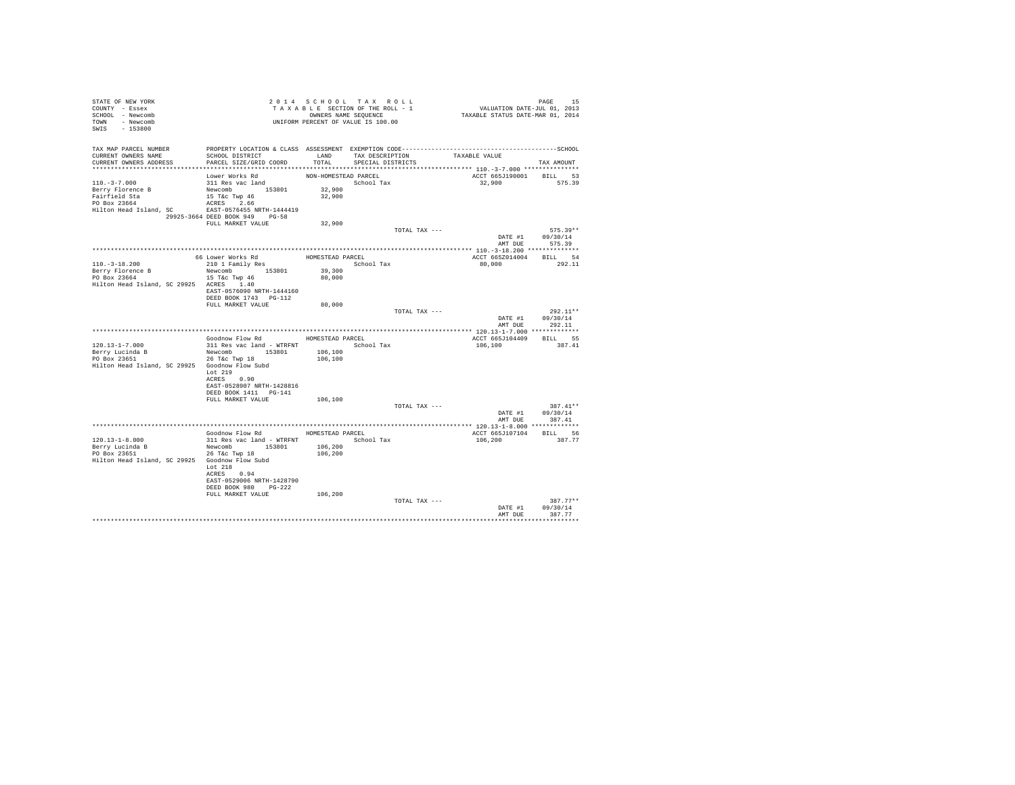| STATE OF NEW YORK<br>COUNTY - Essex<br>SCHOOL - Newcomb<br>TOWN - Newcomb<br>SWIS - 153800                              | T A X A B L E SECTION OF THE RULL - T<br>OWNERS NAME SEQUENCE<br>UNIFORM PERCENT OF VALUE IS 100.00                                            |                                          | TAXABLE SECTION OF THE ROLL - 1           | PAGE 15<br>VALUATION DATE-JUL 01, 2013<br>TAXABLE STATUS DATE-MAR 01, 2014 |                                                  |
|-------------------------------------------------------------------------------------------------------------------------|------------------------------------------------------------------------------------------------------------------------------------------------|------------------------------------------|-------------------------------------------|----------------------------------------------------------------------------|--------------------------------------------------|
| TAX MAP PARCEL NUMBER<br>CURRENT OWNERS NAME<br>CURRENT OWNERS ADDRESS                                                  | SCHOOL DISTRICT<br>PARCEL SIZE/GRID COORD                                                                                                      | TOTAL                                    | LAND TAX DESCRIPTION<br>SPECIAL DISTRICTS | TAXABLE VALUE                                                              | TAX AMOUNT                                       |
| $110.-3-7.000$<br>Berry Florence B<br>Fairfield Sta<br>PO Box 23664<br>Hilton Head Island, SC EAST-0576455 NRTH-1444419 | Lower Works Rd<br>311 Res vac land<br>Newcomb 153801<br>$15$ T&C Twp $46$<br>$n$ CBES $n$ 66<br>ACRES 2.66<br>29925-3664 DEED BOOK 949 PG-58   | NON-HOMESTEAD PARCEL<br>32,900<br>32,900 | School Tax                                | ACCT 665J190001<br>32,900 575.39                                           | BILL 53                                          |
|                                                                                                                         | FULL MARKET VALUE                                                                                                                              | 32,900                                   |                                           |                                                                            |                                                  |
|                                                                                                                         |                                                                                                                                                |                                          | TOTAL TAX ---                             |                                                                            | $575.39**$<br>DATE #1 09/30/14<br>AMT DUE 575.39 |
|                                                                                                                         |                                                                                                                                                |                                          |                                           |                                                                            |                                                  |
| $110.-3-18.200$<br>Berry Florence B<br>PO Box 23664<br>Hilton Head Island, SC 29925 ACRES 1.40                          | Newcomb 153801<br>15 T&C Twp 46<br>EAST-0576090 NRTH-1444160                                                                                   | School Tax<br>39,300<br>80,000           |                                           | ACCT 665Z014004 BILL 54<br>80,000                                          | 292.11                                           |
|                                                                                                                         | DEED BOOK 1743 PG-112<br>FULL MARKET VALUE                                                                                                     | 80,000                                   |                                           |                                                                            |                                                  |
|                                                                                                                         |                                                                                                                                                |                                          |                                           | TOTAL TAX ---<br>AMT DUE                                                   | $292.11**$<br>DATE #1 09/30/14<br>292.11         |
|                                                                                                                         |                                                                                                                                                |                                          |                                           |                                                                            |                                                  |
|                                                                                                                         | Goodnow Flow Rd MOMESTEAD PARCEL                                                                                                               |                                          |                                           | ACCT 665J104409 BILL 55                                                    |                                                  |
| $120.13 - 1 - 7.000$<br>Berry Lucinda B<br>PO Box 23651<br>Hilton Head Island, SC 29925 Goodnow Flow Subd               | 311 Res vac land - WTRFNT<br>Newcomb 153801<br>26 T&C Twp 18<br>Lot 219                                                                        | 106,100<br>106,100                       | School Tax                                | 106,100                                                                    | 387.41                                           |
|                                                                                                                         | ACRES 0.90<br>EAST-0528907 NRTH-1428816<br>DEED BOOK 1411 PG-141<br>FULL MARKET VALUE                                                          | 106,100                                  |                                           |                                                                            |                                                  |
|                                                                                                                         |                                                                                                                                                |                                          | TOTAL TAX ---                             |                                                                            | 387.41**<br>DATE #1 09/30/14                     |
|                                                                                                                         |                                                                                                                                                |                                          |                                           |                                                                            | AMT DUE 387.41                                   |
|                                                                                                                         | Goodnow Flow Rd MOMESTEAD PARCEL                                                                                                               |                                          |                                           | ACCT 665J107104                                                            | BILL 56                                          |
| $120.13 - 1 - 8.000$<br>Berry Lucinda B<br>PO Box 23651<br>Hilton Head Island, SC 29925 Goodnow Flow Subd               | 311 Res vac land - WTRFNT<br>Newcomb 153801<br>$26$ T&c Twp $18$<br>Lot 218<br>ACRES 0.94<br>EAST-0529006 NRTH-1428790<br>DEED BOOK 980 PG-222 | 106,200<br>106,200                       | School Tax                                | 106,200                                                                    | 387.77                                           |
|                                                                                                                         | FULL MARKET VALUE                                                                                                                              | 106,200                                  |                                           | TOTAL TAX ---<br>DATE #1                                                   | $387.77**$<br>09/30/14                           |
|                                                                                                                         |                                                                                                                                                |                                          |                                           | AMT DUE                                                                    | 387.77                                           |
|                                                                                                                         |                                                                                                                                                |                                          |                                           |                                                                            | **********                                       |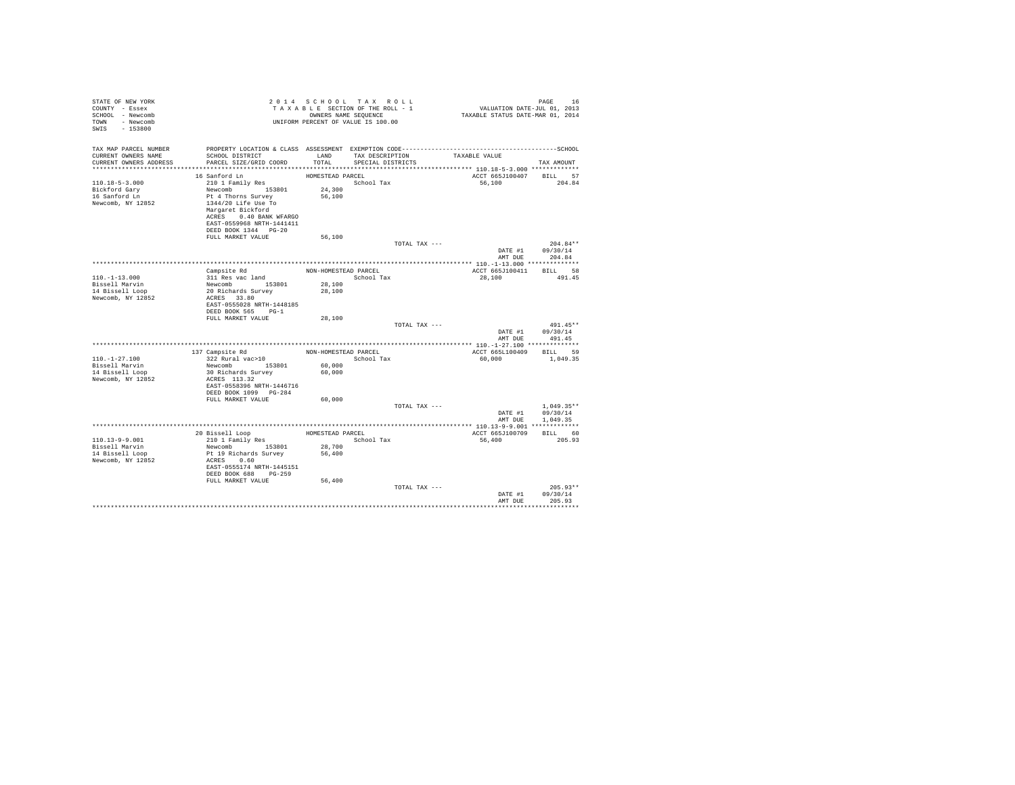| STATE OF NEW YORK<br>COUNTY - Essex<br>SCHOOL - Newcomb<br>TOWN - Newcomb<br>SWIS - 153800 |                                                                                                                                               |                      | 2014 SCHOOL TAX ROLL<br>TAXABLE SECTION OF THE ROLL - 1<br>OWNERS NAME SEQUENCE<br>UNIFORM PERCENT OF VALUE IS 100.00 |               | PAGE 16<br>VALUATION DATE-JUL 01, 2013<br>TAXABLE STATUS DATE-MAR 01, 2014 |                                          |
|--------------------------------------------------------------------------------------------|-----------------------------------------------------------------------------------------------------------------------------------------------|----------------------|-----------------------------------------------------------------------------------------------------------------------|---------------|----------------------------------------------------------------------------|------------------------------------------|
| TAX MAP PARCEL NUMBER<br>CURRENT OWNERS NAME<br>CURRENT OWNERS ADDRESS                     | PROPERTY LOCATION & CLASS ASSESSMENT EXEMPTION CODE-----------------------------------SCHOOL<br>SCHOOL DISTRICT<br>PARCEL SIZE/GRID COORD     | TOTAL.               | LAND TAX DESCRIPTION TAXABLE VALUE<br>SPECIAL DISTRICTS                                                               |               |                                                                            | TAX AMOUNT                               |
|                                                                                            |                                                                                                                                               |                      |                                                                                                                       |               |                                                                            |                                          |
|                                                                                            | 16 Sanford Ln                                                                                                                                 | HOMESTEAD PARCEL     |                                                                                                                       |               | ACCT 665J100407 BILL 57                                                    |                                          |
| $110.18 - 5 - 3.000$                                                                       | 210 1 Family Res                                                                                                                              |                      | School Tax                                                                                                            |               | 56,100                                                                     | 204.84                                   |
| Bickford Gary                                                                              | Newcomb 153801                                                                                                                                | 24,300               |                                                                                                                       |               |                                                                            |                                          |
| 16 Sanford Ln<br>Newcomb, NY 12852                                                         | Pt 4 Thorns Survey<br>1344/20 Life Use To<br>Margaret Bickford<br>ACRES 0.40 BANK WFARGO<br>EAST-0559968 NRTH-1441411<br>DEED BOOK 1344 PG-20 | 56,100               |                                                                                                                       |               |                                                                            |                                          |
|                                                                                            | FULL MARKET VALUE                                                                                                                             | 56,100               |                                                                                                                       |               |                                                                            |                                          |
|                                                                                            |                                                                                                                                               |                      |                                                                                                                       | TOTAL TAX --- | AMT DUE                                                                    | $204.84**$<br>DATE #1 09/30/14<br>204.84 |
|                                                                                            |                                                                                                                                               |                      |                                                                                                                       |               |                                                                            |                                          |
|                                                                                            | Campsite Rd                                                                                                                                   |                      | NON-HOMESTEAD PARCEL                                                                                                  |               | ACCT 665J100411                                                            | BILL 58                                  |
| $110. - 1 - 13.000$                                                                        | 311 Res vac land                                                                                                                              |                      | School Tax                                                                                                            |               | 28,100                                                                     | 491.45                                   |
| Bissell Marvin                                                                             | Newcomb 153801<br>20 Richards Survey                                                                                                          | 28,100               |                                                                                                                       |               |                                                                            |                                          |
| 14 Bissell Loop<br>Newcomb, NY 12852                                                       | ACRES 33.80                                                                                                                                   | 28,100               |                                                                                                                       |               |                                                                            |                                          |
|                                                                                            | EAST-0555028 NRTH-1448185<br>DEED BOOK 565 PG-1                                                                                               |                      |                                                                                                                       |               |                                                                            |                                          |
|                                                                                            | FULL MARKET VALUE                                                                                                                             | 28,100               |                                                                                                                       |               |                                                                            |                                          |
|                                                                                            |                                                                                                                                               |                      |                                                                                                                       | TOTAL TAX --- |                                                                            | 491.45**<br>DATE #1 09/30/14             |
|                                                                                            |                                                                                                                                               |                      |                                                                                                                       |               | AMT DUE                                                                    | 491.45                                   |
|                                                                                            | 137 Campsite Rd                                                                                                                               | NON-HOMESTEAD PARCEL |                                                                                                                       |               | ACCT 665L100409 BILL 59                                                    |                                          |
| $110. - 1 - 27.100$                                                                        | 322 Rural vac>10                                                                                                                              |                      | School Tax                                                                                                            |               | 60,000                                                                     | 1,049.35                                 |
| Bissell Marvin                                                                             | Newcomb 153801                                                                                                                                | 60,000               |                                                                                                                       |               |                                                                            |                                          |
| 14 Bissell Loop                                                                            | 30 Richards Survey                                                                                                                            | 60,000               |                                                                                                                       |               |                                                                            |                                          |
| Newcomb, NY 12852                                                                          | ACRES 113.32                                                                                                                                  |                      |                                                                                                                       |               |                                                                            |                                          |
|                                                                                            | EAST-0558396 NRTH-1446716                                                                                                                     |                      |                                                                                                                       |               |                                                                            |                                          |
|                                                                                            | DEED BOOK 1099 PG-284                                                                                                                         |                      |                                                                                                                       |               |                                                                            |                                          |
|                                                                                            | FULL MARKET VALUE                                                                                                                             | 60,000               |                                                                                                                       |               |                                                                            |                                          |
|                                                                                            |                                                                                                                                               |                      |                                                                                                                       | TOTAL TAX --- | DATE #1                                                                    | $1.049.35**$<br>09/30/14                 |
|                                                                                            |                                                                                                                                               |                      |                                                                                                                       |               | AMT DUE                                                                    | 1,049.35                                 |
|                                                                                            |                                                                                                                                               |                      |                                                                                                                       |               |                                                                            |                                          |
|                                                                                            |                                                                                                                                               |                      | HOMESTEAD PARCEL                                                                                                      |               | ACCT 665J100709 BILL 60                                                    |                                          |
| $110.13 - 9 - 9.001$                                                                       | 20 Bissell Loop<br>210 1 Family Res                                                                                                           |                      | School Tax                                                                                                            |               | 56,400                                                                     | 205.93                                   |
| Bissell Marvin                                                                             | Newcomb 153801                                                                                                                                | 28,700               |                                                                                                                       |               |                                                                            |                                          |
| 14 Bissell Loop                                                                            | Pt 19 Richards Survey                                                                                                                         | 56,400               |                                                                                                                       |               |                                                                            |                                          |
| Newcomb, NY 12852                                                                          | ACRES 0.60<br>EAST-0555174 NRTH-1445151                                                                                                       |                      |                                                                                                                       |               |                                                                            |                                          |
|                                                                                            | DEED BOOK 688 PG-259<br>FULL MARKET VALUE                                                                                                     | 56,400               |                                                                                                                       |               |                                                                            |                                          |
|                                                                                            |                                                                                                                                               |                      |                                                                                                                       | TOTAL TAX --- |                                                                            | $205.93**$                               |
|                                                                                            |                                                                                                                                               |                      |                                                                                                                       |               | DATE #1<br>AMT DUE                                                         | 09/30/14<br>205.93                       |
|                                                                                            |                                                                                                                                               |                      |                                                                                                                       |               |                                                                            |                                          |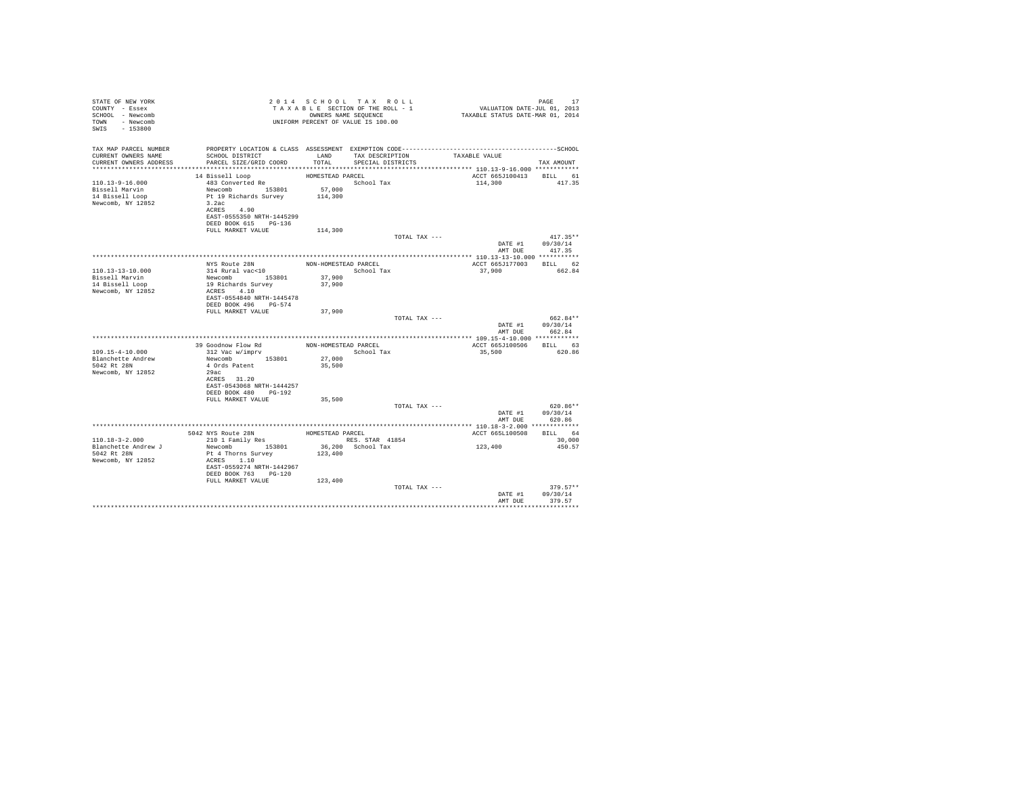|                                                                                                                                                            |                                                             |                                                                                          | PAGE 17<br>VALUATION DATE-JUL 01, 2013<br>TAXABLE STATUS DATE-MAR 01, 2014                                                                                                                                                                                                                                                                                                     |                                                                                                                                                                                                                                                                                                                          |
|------------------------------------------------------------------------------------------------------------------------------------------------------------|-------------------------------------------------------------|------------------------------------------------------------------------------------------|--------------------------------------------------------------------------------------------------------------------------------------------------------------------------------------------------------------------------------------------------------------------------------------------------------------------------------------------------------------------------------|--------------------------------------------------------------------------------------------------------------------------------------------------------------------------------------------------------------------------------------------------------------------------------------------------------------------------|
| SCHOOL DISTRICT<br>PARCEL SIZE/GRID COORD                                                                                                                  | TOTAL.                                                      | SPECIAL DISTRICTS                                                                        | TAXABLE VALUE                                                                                                                                                                                                                                                                                                                                                                  | TAX AMOUNT                                                                                                                                                                                                                                                                                                               |
| 14 Bissell Loop<br>483 Converted Re<br>Newcomb 153801<br>Pt 19 Richards Survey<br>3.2ac<br>ACRES 4.90<br>EAST-0555350 NRTH-1445299<br>DEED BOOK 615 PG-136 | 57,000<br>114,300                                           |                                                                                          |                                                                                                                                                                                                                                                                                                                                                                                | 417.35                                                                                                                                                                                                                                                                                                                   |
|                                                                                                                                                            |                                                             |                                                                                          |                                                                                                                                                                                                                                                                                                                                                                                | $417.35**$<br>DATE #1 09/30/14<br>417.35                                                                                                                                                                                                                                                                                 |
|                                                                                                                                                            |                                                             |                                                                                          |                                                                                                                                                                                                                                                                                                                                                                                |                                                                                                                                                                                                                                                                                                                          |
| NYS Route 28N<br>314 Rural vac<10<br>Newcomb 153801<br>19 Richards Survey<br>ACRES 4.10<br>EAST-0554840 NRTH-1445478<br>DEED BOOK 496 PG-574               | 37,900<br>37,900                                            |                                                                                          | 37,900                                                                                                                                                                                                                                                                                                                                                                         | 662.84                                                                                                                                                                                                                                                                                                                   |
|                                                                                                                                                            |                                                             |                                                                                          |                                                                                                                                                                                                                                                                                                                                                                                | 662.84**                                                                                                                                                                                                                                                                                                                 |
|                                                                                                                                                            |                                                             |                                                                                          |                                                                                                                                                                                                                                                                                                                                                                                |                                                                                                                                                                                                                                                                                                                          |
| 39 Goodnow Flow Rd<br>312 Vac w/imprv<br>Newcomb 153801<br>4 Ords Patent<br>29ac<br>ACRES 31.20<br>EAST-0543068 NRTH-1444257<br>DEED BOOK 480 PG-192       | 27,000<br>35,500                                            |                                                                                          | 35,500                                                                                                                                                                                                                                                                                                                                                                         | BILL 63<br>620.86                                                                                                                                                                                                                                                                                                        |
|                                                                                                                                                            |                                                             |                                                                                          |                                                                                                                                                                                                                                                                                                                                                                                | 620.86**                                                                                                                                                                                                                                                                                                                 |
|                                                                                                                                                            |                                                             |                                                                                          |                                                                                                                                                                                                                                                                                                                                                                                | DATE #1 09/30/14<br>AMT DUE 620.86                                                                                                                                                                                                                                                                                       |
|                                                                                                                                                            |                                                             |                                                                                          |                                                                                                                                                                                                                                                                                                                                                                                |                                                                                                                                                                                                                                                                                                                          |
|                                                                                                                                                            |                                                             |                                                                                          |                                                                                                                                                                                                                                                                                                                                                                                | BILL 64<br>30,000                                                                                                                                                                                                                                                                                                        |
| Newcomb 153801<br>Pt 4 Thorns Survey<br>ACRES 1.10<br>DEED BOOK 763 PG-120                                                                                 | 123,400                                                     |                                                                                          | 123,400                                                                                                                                                                                                                                                                                                                                                                        | 450.57                                                                                                                                                                                                                                                                                                                   |
|                                                                                                                                                            |                                                             |                                                                                          | DATE #1<br>AMT DUE                                                                                                                                                                                                                                                                                                                                                             | $379.57**$<br>09/30/14<br>379.57                                                                                                                                                                                                                                                                                         |
|                                                                                                                                                            | FULL MARKET VALUE<br>FULL MARKET VALUE<br>FULL MARKET VALUE | 114,300<br>37,900<br>35,500<br>EAST-0559274 NRTH-1442967<br>FULL MARKET VALUE<br>123,400 | 2014 SCHOOL TAX ROLL<br>TAXABLE SECTION OF THE ROLL - 1<br>OWNERS NAME SEQUENCE<br>UNIFORM PERCENT OF VALUE IS 100.00<br>LAND TAX DESCRIPTION<br>HOMESTEAD PARCEL<br>School Tax<br>NON-HOMESTEAD PARCEL<br>School Tax<br>NON-HOMESTEAD PARCEL<br>School Tax<br>5042 NYS Route 28N HOMESTEAD PARCEL<br>210 1 Family Res RES. STAR 41854<br>RES. STAR 41854<br>36,200 School Tax | PROPERTY LOCATION & CLASS ASSESSMENT EXEMPTION CODE-----------------------------------SCHOOL<br>ACCT 665J100413 BILL 61<br>114,300<br>TOTAL TAX ---<br>AMT DUE<br>ACCT 665J177003 BILL 62<br>TOTAL TAX ---<br>DATE #1 09/30/14<br>AMT DUE 662.84<br>ACCT 665J100506<br>TOTAL TAX ---<br>ACCT 665L100508<br>TOTAL TAX --- |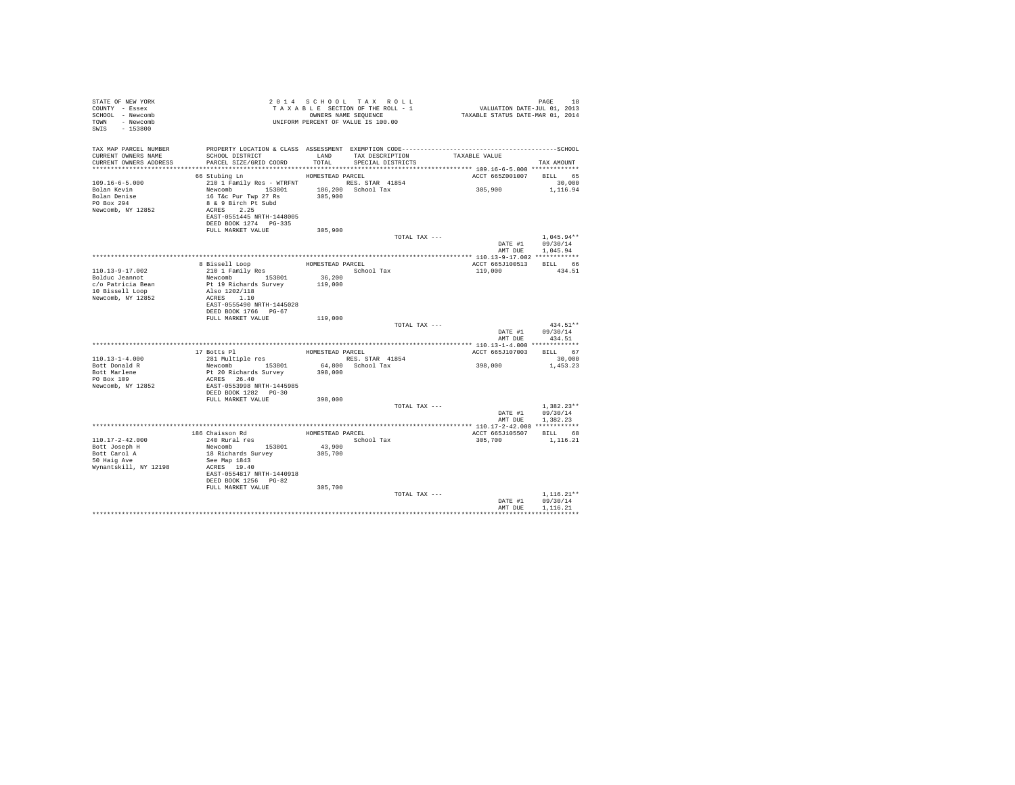| STATE OF NEW YORK<br>COUNTY - Essex<br>SCHOOL - Newcomb<br>TOWN - Newcomb<br>SWIS - 153800 | T A X A B L E SECURE SEQUENCE<br>OWNERS NAME SEQUENCE<br>UNIFORM PERCENT OF VALUE IS 100.00 |                  | TAXABLE SECTION OF THE ROLL - 1<br>OWNERS NAME SEQUENCE       | PAGE 18<br>VALUATION DATE-JUL 01, 2013<br>TAXABLE STATUS DATE-MAR 01, 2014 |                              |
|--------------------------------------------------------------------------------------------|---------------------------------------------------------------------------------------------|------------------|---------------------------------------------------------------|----------------------------------------------------------------------------|------------------------------|
| TAX MAP PARCEL NUMBER                                                                      |                                                                                             |                  |                                                               |                                                                            |                              |
| CURRENT OWNERS NAME<br>CURRENT OWNERS ADDRESS                                              | SCHOOL DISTRICT<br>PARCEL SIZE/GRID COORD                                                   |                  | LAND TAX DESCRIPTION TAXABLE VALUE<br>TOTAL SPECIAL DISTRICTS |                                                                            | TAX AMOUNT                   |
|                                                                                            |                                                                                             |                  |                                                               |                                                                            |                              |
|                                                                                            | 66 Stubing Ln                                                                               | HOMESTEAD PARCEL |                                                               | ACCT 665Z001007 BILL 65                                                    |                              |
| $109.16 - 6 - 5.000$                                                                       | 210 1 Family Res - WTRFNT NES. STAR 41854                                                   |                  |                                                               |                                                                            | 30,000                       |
| Bolan Kevin                                                                                |                                                                                             |                  |                                                               | 305,900                                                                    | 1,116.94                     |
| Bolan Denise<br>PO Box 294                                                                 |                                                                                             |                  |                                                               |                                                                            |                              |
|                                                                                            | Newcomb 15.3801 186,200 School Tax<br>16 Tac Pur Twp 27 Rs<br>8 & 9 Birch Pt Subd           |                  |                                                               |                                                                            |                              |
| Newcomb, NY 12852                                                                          | ACRES 2.25                                                                                  |                  |                                                               |                                                                            |                              |
|                                                                                            | EAST-0551445 NRTH-1448005<br>DEED BOOK 1274 PG-335                                          |                  |                                                               |                                                                            |                              |
|                                                                                            | FULL MARKET VALUE                                                                           | 305,900          |                                                               |                                                                            |                              |
|                                                                                            |                                                                                             |                  | TOTAL TAX ---                                                 |                                                                            | $1.045.94**$                 |
|                                                                                            |                                                                                             |                  |                                                               | AMT DUE                                                                    | DATE #1 09/30/14<br>1,045.94 |
|                                                                                            |                                                                                             |                  |                                                               |                                                                            |                              |
|                                                                                            | 8 Bissell Loop                                                                              |                  | HOMESTEAD PARCEL                                              | ACCT 665J100513                                                            | BILL 66                      |
| 110.13-9-17.002                                                                            | 210 1 Family Res                                                                            |                  | School Tax                                                    | 119,000                                                                    | 434.51                       |
| Bolduc Jeannot                                                                             | Newcomb 153801                                                                              | 36,200           |                                                               |                                                                            |                              |
| c/o Patricia Bean<br>10 Bissell Loop                                                       | Pt 19 Richards Survey                                                                       | 119,000          |                                                               |                                                                            |                              |
| 10 Bissell Loop                                                                            | Also 1202/118                                                                               |                  |                                                               |                                                                            |                              |
| Newcomb, NY 12852                                                                          | ACRES 1.10                                                                                  |                  |                                                               |                                                                            |                              |
|                                                                                            | EAST-0555490 NRTH-1445028<br>DEED BOOK 1766 PG-67                                           |                  |                                                               |                                                                            |                              |
|                                                                                            | FULL MARKET VALUE                                                                           | 119,000          |                                                               |                                                                            |                              |
|                                                                                            |                                                                                             |                  | TOTAL TAX ---                                                 |                                                                            | $434.51**$                   |
|                                                                                            |                                                                                             |                  |                                                               |                                                                            | DATE #1 09/30/14             |
|                                                                                            |                                                                                             |                  |                                                               | AMT DUE                                                                    | 434.51                       |
|                                                                                            |                                                                                             |                  | HOMESTEAD PARCEL                                              | ACCT 665J107003 BILL 67                                                    |                              |
| $110.13 - 1 - 4.000$                                                                       | 17 Botts Pl<br>281 Multiple res                                                             |                  | RES. STAR 41854                                               |                                                                            | 30,000                       |
| Bott Donald R                                                                              | Newcomb 153801<br>Pt 20 Richards Survey                                                     |                  | 64,800 School Tax                                             | 398,000                                                                    | 1,453.23                     |
| Bott Marlene<br>PO Box 109                                                                 |                                                                                             | 398,000          |                                                               |                                                                            |                              |
|                                                                                            | ACRES 26.40                                                                                 |                  |                                                               |                                                                            |                              |
| Newcomb, NY 12852                                                                          | EAST-0553998 NRTH-1445985                                                                   |                  |                                                               |                                                                            |                              |
|                                                                                            | DEED BOOK 1282 PG-30                                                                        |                  |                                                               |                                                                            |                              |
|                                                                                            | FULL MARKET VALUE                                                                           | 398,000          |                                                               |                                                                            | $1.382.23**$                 |
|                                                                                            |                                                                                             |                  | TOTAL TAX ---                                                 |                                                                            | DATE #1 09/30/14             |
|                                                                                            |                                                                                             |                  |                                                               | AMT DUE                                                                    | 1.382.23                     |
|                                                                                            |                                                                                             |                  |                                                               |                                                                            |                              |
|                                                                                            | 186 Chaisson Rd MOMESTEAD PARCEL                                                            |                  |                                                               | ACCT 665J105507 BILL 68                                                    |                              |
| $110.17 - 2 - 42.000$                                                                      | 240 Rural res                                                                               |                  | School Tax                                                    | 305,700                                                                    | 1,116.21                     |
| Bott Joseph H                                                                              | Newcomb 153801<br>18 Richards Survey                                                        | 43,900           |                                                               |                                                                            |                              |
| Bott Carol A<br>50 Haig Ave                                                                |                                                                                             | 305,700          |                                                               |                                                                            |                              |
|                                                                                            | See Map 1843                                                                                |                  |                                                               |                                                                            |                              |
| Wynantskill, NY 12198                                                                      | ACRES 19.40<br>EAST-0554817 NRTH-1440918                                                    |                  |                                                               |                                                                            |                              |
|                                                                                            | DEED BOOK 1256 PG-82                                                                        |                  |                                                               |                                                                            |                              |
|                                                                                            | FULL MARKET VALUE                                                                           | 305,700          |                                                               |                                                                            |                              |
|                                                                                            |                                                                                             |                  | TOTAL TAX ---                                                 |                                                                            | $1.116.21**$                 |
|                                                                                            |                                                                                             |                  |                                                               | DATE #1                                                                    | 09/30/14                     |
|                                                                                            |                                                                                             |                  |                                                               | AMT DUE                                                                    | 1.116.21                     |
|                                                                                            |                                                                                             |                  |                                                               |                                                                            |                              |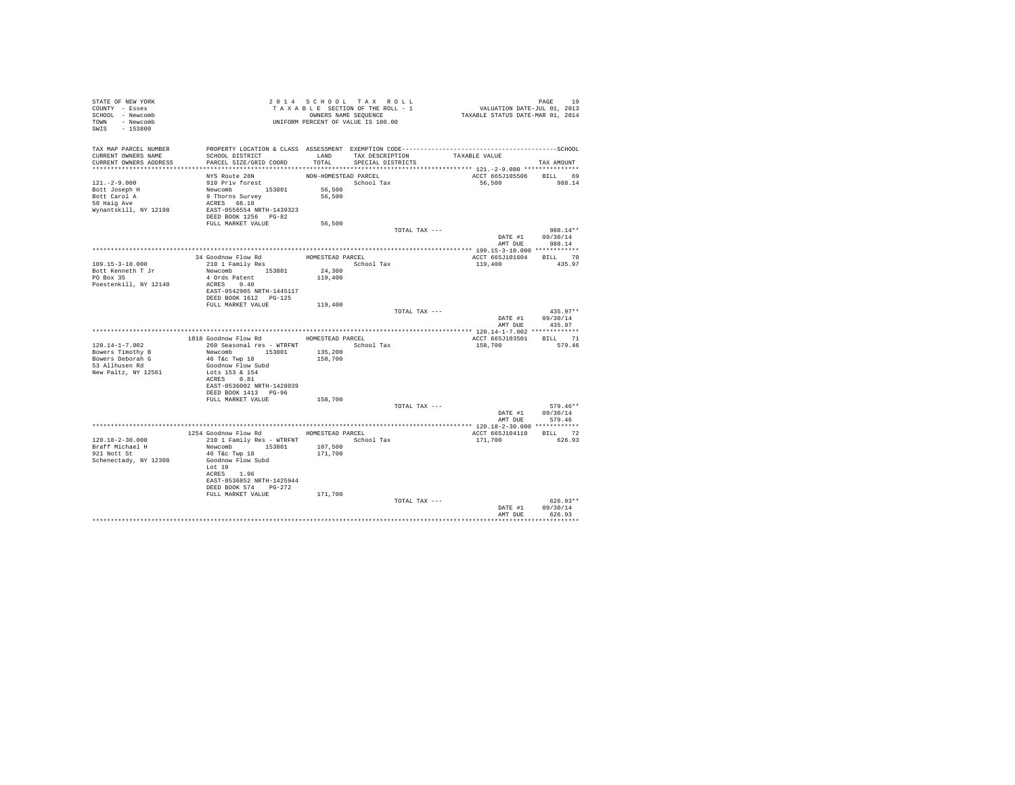| STATE OF NEW YORK<br>COUNTY - Essex<br>SCHOOL - Newcomb<br>TOWN - Newcomb<br>SWIS - 153800 | T A X A B B B B B B SEQUENCE<br>UNIFORM PERCENT OF VALUE IS 100.00                                                                                             |                                          | 2014 SCHOOL TAX ROLL<br>TAXABLE SECTION OF THE ROLL - 1<br>OWNERS NAME SEQUENCE | PAGE 19<br>VALUATION DATE-JUL 01, 2013<br>TAXABLE STATUS DATE-MAR 01, 2014 |                              |
|--------------------------------------------------------------------------------------------|----------------------------------------------------------------------------------------------------------------------------------------------------------------|------------------------------------------|---------------------------------------------------------------------------------|----------------------------------------------------------------------------|------------------------------|
| TAX MAP PARCEL NUMBER<br>CURRENT OWNERS NAME<br>CURRENT OWNERS ADDRESS                     | SCHOOL DISTRICT<br>PARCEL SIZE/GRID COORD                                                                                                                      | TOTAL                                    | LAND TAX DESCRIPTION<br>SPECIAL DISTRICTS                                       | TAXABLE VALUE                                                              | TAX AMOUNT                   |
| $121. -2 - 9.000$<br>Bott Joseph H<br>Bott Carol A<br>50 Haig Ave<br>Wynantskill, NY 12198 | NYS Route 28N<br>910 Priv forest<br>Newcomb 153801<br>9 Thorns Survey<br>ACRES 68.10<br>EAST-0556554 NRTH-1439323<br>DEED BOOK 1256 PG-82                      | NON-HOMESTEAD PARCEL<br>56,500<br>56,500 | School Tax                                                                      | ACCT 665J105506<br>56,500                                                  | BILL 69<br>988.14            |
|                                                                                            | FULL MARKET VALUE                                                                                                                                              | 56,500                                   |                                                                                 |                                                                            |                              |
|                                                                                            |                                                                                                                                                                |                                          | TOTAL TAX ---                                                                   | DATE #1 09/30/14<br>AMT DUE                                                | 988.14**<br>988.14           |
|                                                                                            |                                                                                                                                                                |                                          |                                                                                 |                                                                            |                              |
| 109.15-3-10.000<br>Bott Kenneth T Jr<br>PO Box 35<br>Poestenkill, NY 12140                 | EXECUTION FOR THE MANUSTER PARCEL<br>210 1 Family Res Cohoe<br>Nettect: Series<br>34 Goodnow Flow Rd<br>Newcomb 153801<br>4 Ords Patent<br>ACRES 0.40          | School Tax<br>24,300<br>119,400          |                                                                                 | ACCT 665J101604 BILL 70<br>119,400                                         | 435.97                       |
|                                                                                            | EAST-0542905 NRTH-1445117<br>DEED BOOK 1612    PG-125<br>FULL MARKET VALUE                                                                                     | 119,400                                  | TOTAL TAX ---                                                                   |                                                                            | $435.97**$                   |
|                                                                                            |                                                                                                                                                                |                                          |                                                                                 | DATE #1<br>AMT DUE                                                         | 09/30/14<br>435.97           |
|                                                                                            |                                                                                                                                                                |                                          |                                                                                 |                                                                            |                              |
| $120.14 - 1 - 7.002$                                                                       | 1018 Goodnow Flow Rd MOMESTEAD PARCEL<br>260 Seasonal res - WTRFNT                                                                                             |                                          |                                                                                 | ACCT 665J103501 BILL 71<br>158,700                                         | 579.46                       |
| Bowers Timothy B<br>Bowers Deborah G<br>53 Allhusen Rd<br>New Paltz, NY 12561              | Newcomb 153801<br>46 T&c Twp 18<br>Goodnow Flow Subd<br>Lots 153 & 154<br>ACRES 0.81<br>EAST-0536002 NRTH-1428039                                              | 135,200<br>158,700                       | School Tax                                                                      |                                                                            |                              |
|                                                                                            | DEED BOOK 1413 PG-96                                                                                                                                           |                                          |                                                                                 |                                                                            |                              |
|                                                                                            | FULL MARKET VALUE                                                                                                                                              | 158,700                                  |                                                                                 |                                                                            |                              |
|                                                                                            |                                                                                                                                                                |                                          | TOTAL TAX ---                                                                   | DATE #1 09/30/14                                                           | $579.46**$<br>AMT DUE 579.46 |
|                                                                                            |                                                                                                                                                                |                                          |                                                                                 |                                                                            |                              |
|                                                                                            | 1254 Goodnow Flow Rd HOMESTEAD PARCEL                                                                                                                          |                                          |                                                                                 | ACCT 665J104110 BILL 72                                                    |                              |
| 120.18-2-30.000<br>Braff Michael H<br>921 Nott St<br>Schenectady, NY 12308                 | 210 1 Family Res - WTRFNT<br>Newcomb 153801<br>46 T&C Twp 18<br>Goodnow Flow Subd<br>Lot 19<br>ACRES 1.96<br>EAST-0536852 NRTH-1425944<br>DEED BOOK 574 PG-272 | 107,500<br>171,700                       | School Tax                                                                      | 171,700                                                                    | 626.93                       |
|                                                                                            | FULL MARKET VALUE                                                                                                                                              | 171,700                                  | TOTAL TAX ---                                                                   | DATE #1                                                                    | $626.93**$<br>09/30/14       |
|                                                                                            |                                                                                                                                                                |                                          |                                                                                 | AMT DUE                                                                    | 626.93                       |
|                                                                                            |                                                                                                                                                                |                                          |                                                                                 |                                                                            |                              |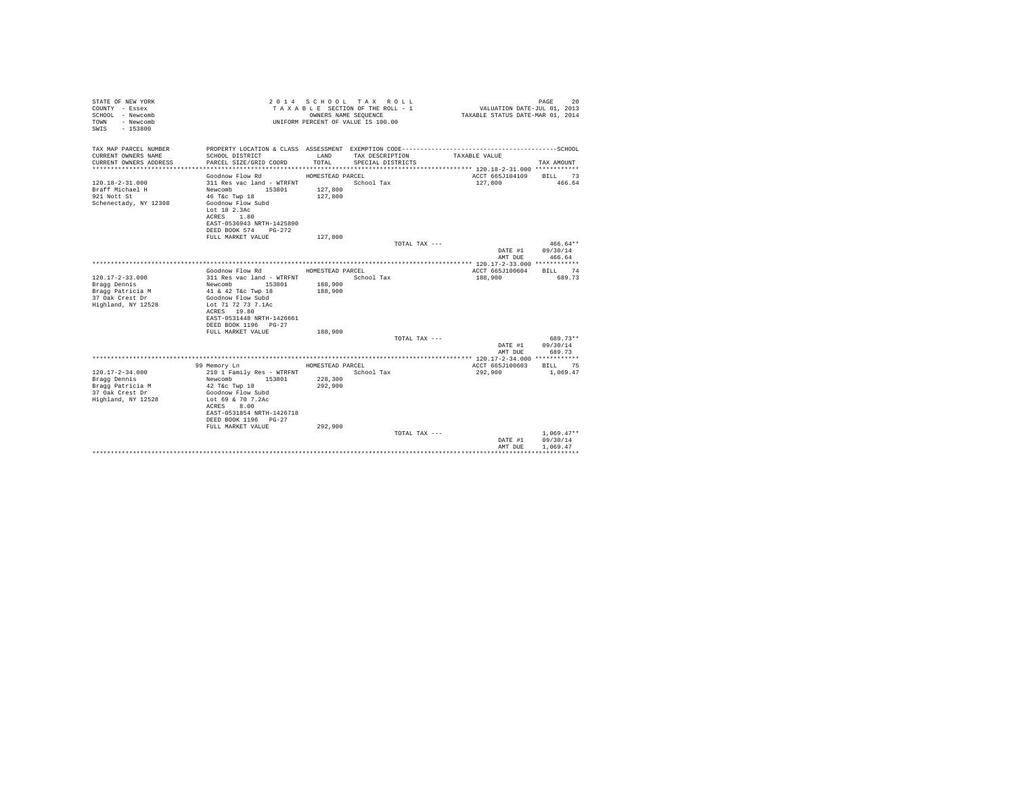| TAX MAP PARCEL NUMBER<br>CURRENT OWNERS NAME<br>LAND<br>SCHOOL DISTRICT<br>TAX DESCRIPTION<br>TAXABLE VALUE<br>CURRENT OWNERS ADDRESS<br>PARCEL SIZE/GRID COORD<br>TOTAL.<br>SPECIAL DISTRICTS<br>TAX AMOUNT<br>ACCT 665J104109<br>Goodnow Flow Rd<br>HOMESTEAD PARCEL<br>BILL 73<br>$120.18 - 2 - 31.000$<br>311 Res vac land - WTRFNT<br>School Tax<br>127,800<br>466.64<br>Braff Michael H<br>Newcomb 153801<br>127,800<br>127,800<br>921 Nott St<br>46 T&c Twp 18<br>Schenectady, NY 12308<br>Goodnow Flow Subd<br>Lot 18 2.3Ac<br>ACRES 1.80<br>EAST-0536943 NRTH-1425890<br>DEED BOOK 574 PG-272<br>127,800<br>FULL MARKET VALUE<br>TOTAL TAX ---<br>$466.64**$<br>DATE #1<br>09/30/14<br>AMT DUE<br>466.64<br>ACCT 665J100604<br>BILL 74<br>Goodnow Flow Rd<br>HOMESTEAD PARCEL<br>$120.17 - 2 - 33.000$<br>689.73<br>311 Res vac land - WTRFNT<br>School Tax<br>188,900<br>Braqq Dennis<br>Newcomb 153801<br>188,900<br>Bragg Patricia M<br>41 & 42 T&c Twp 18<br>188,900<br>37 Oak Crest Dr<br>Goodnow Flow Subd<br>Highland, NY 12528<br>Lot 71 72 73 7.1Ac<br>ACRES 19.80<br>EAST-0531448 NRTH-1426661<br>DEED BOOK 1196 PG-27<br>FULL MARKET VALUE<br>188,900<br>689.73**<br>TOTAL TAX ---<br>09/30/14<br>DATE #1<br>AMT DUE<br>689.73<br>99 Memory Ln<br>HOMESTEAD PARCEL<br>ACCT 665J100603<br>BILL 75<br>$120.17 - 2 - 34.000$<br>School Tax<br>210 1 Family Res - WTRFNT<br>292,900<br>1,069.47<br>153801<br>228,300<br>Bragg Dennis<br>Newcomb<br>292,900<br>Bragg Patricia M<br>42 T&c Twp 18<br>37 Oak Crest Dr<br>Goodnow Flow Subd<br>Highland, NY 12528<br>Lot 69 & 70 7.2Ac<br>ACRES 8.00<br>EAST-0531854 NRTH-1426718<br>DEED BOOK 1196 PG-27<br>FULL MARKET VALUE<br>292.900<br>$1.069.47**$<br>TOTAL TAX ---<br>09/30/14<br>DATE #1<br>1.069.47<br>AMT DUE | STATE OF NEW YORK<br>COUNTY - Essex<br>SCHOOL - Newcomb<br>- Newcomb<br>TOWN<br>$-153800$<br>SWTS |  | 2014 SCHOOL TAX ROLL<br>TAXABLE SECTION OF THE ROLL - 1<br>OWNERS NAME SEQUENCE<br>UNIFORM PERCENT OF VALUE IS 100.00 | VALUATION DATE-JUL 01, 2013<br>TAXABLE STATUS DATE-MAR 01, 2014 | PAGE<br>20 |
|--------------------------------------------------------------------------------------------------------------------------------------------------------------------------------------------------------------------------------------------------------------------------------------------------------------------------------------------------------------------------------------------------------------------------------------------------------------------------------------------------------------------------------------------------------------------------------------------------------------------------------------------------------------------------------------------------------------------------------------------------------------------------------------------------------------------------------------------------------------------------------------------------------------------------------------------------------------------------------------------------------------------------------------------------------------------------------------------------------------------------------------------------------------------------------------------------------------------------------------------------------------------------------------------------------------------------------------------------------------------------------------------------------------------------------------------------------------------------------------------------------------------------------------------------------------------------------------------------------------------------------------------------------------------------------------------------------------------------------------------------------------------------------------|---------------------------------------------------------------------------------------------------|--|-----------------------------------------------------------------------------------------------------------------------|-----------------------------------------------------------------|------------|
|                                                                                                                                                                                                                                                                                                                                                                                                                                                                                                                                                                                                                                                                                                                                                                                                                                                                                                                                                                                                                                                                                                                                                                                                                                                                                                                                                                                                                                                                                                                                                                                                                                                                                                                                                                                      |                                                                                                   |  |                                                                                                                       |                                                                 |            |
|                                                                                                                                                                                                                                                                                                                                                                                                                                                                                                                                                                                                                                                                                                                                                                                                                                                                                                                                                                                                                                                                                                                                                                                                                                                                                                                                                                                                                                                                                                                                                                                                                                                                                                                                                                                      |                                                                                                   |  |                                                                                                                       |                                                                 |            |
|                                                                                                                                                                                                                                                                                                                                                                                                                                                                                                                                                                                                                                                                                                                                                                                                                                                                                                                                                                                                                                                                                                                                                                                                                                                                                                                                                                                                                                                                                                                                                                                                                                                                                                                                                                                      |                                                                                                   |  |                                                                                                                       |                                                                 |            |
|                                                                                                                                                                                                                                                                                                                                                                                                                                                                                                                                                                                                                                                                                                                                                                                                                                                                                                                                                                                                                                                                                                                                                                                                                                                                                                                                                                                                                                                                                                                                                                                                                                                                                                                                                                                      |                                                                                                   |  |                                                                                                                       |                                                                 |            |
|                                                                                                                                                                                                                                                                                                                                                                                                                                                                                                                                                                                                                                                                                                                                                                                                                                                                                                                                                                                                                                                                                                                                                                                                                                                                                                                                                                                                                                                                                                                                                                                                                                                                                                                                                                                      |                                                                                                   |  |                                                                                                                       |                                                                 |            |
|                                                                                                                                                                                                                                                                                                                                                                                                                                                                                                                                                                                                                                                                                                                                                                                                                                                                                                                                                                                                                                                                                                                                                                                                                                                                                                                                                                                                                                                                                                                                                                                                                                                                                                                                                                                      |                                                                                                   |  |                                                                                                                       |                                                                 |            |
|                                                                                                                                                                                                                                                                                                                                                                                                                                                                                                                                                                                                                                                                                                                                                                                                                                                                                                                                                                                                                                                                                                                                                                                                                                                                                                                                                                                                                                                                                                                                                                                                                                                                                                                                                                                      |                                                                                                   |  |                                                                                                                       |                                                                 |            |
|                                                                                                                                                                                                                                                                                                                                                                                                                                                                                                                                                                                                                                                                                                                                                                                                                                                                                                                                                                                                                                                                                                                                                                                                                                                                                                                                                                                                                                                                                                                                                                                                                                                                                                                                                                                      |                                                                                                   |  |                                                                                                                       |                                                                 |            |
|                                                                                                                                                                                                                                                                                                                                                                                                                                                                                                                                                                                                                                                                                                                                                                                                                                                                                                                                                                                                                                                                                                                                                                                                                                                                                                                                                                                                                                                                                                                                                                                                                                                                                                                                                                                      |                                                                                                   |  |                                                                                                                       |                                                                 |            |
|                                                                                                                                                                                                                                                                                                                                                                                                                                                                                                                                                                                                                                                                                                                                                                                                                                                                                                                                                                                                                                                                                                                                                                                                                                                                                                                                                                                                                                                                                                                                                                                                                                                                                                                                                                                      |                                                                                                   |  |                                                                                                                       |                                                                 |            |
|                                                                                                                                                                                                                                                                                                                                                                                                                                                                                                                                                                                                                                                                                                                                                                                                                                                                                                                                                                                                                                                                                                                                                                                                                                                                                                                                                                                                                                                                                                                                                                                                                                                                                                                                                                                      |                                                                                                   |  |                                                                                                                       |                                                                 |            |
|                                                                                                                                                                                                                                                                                                                                                                                                                                                                                                                                                                                                                                                                                                                                                                                                                                                                                                                                                                                                                                                                                                                                                                                                                                                                                                                                                                                                                                                                                                                                                                                                                                                                                                                                                                                      |                                                                                                   |  |                                                                                                                       |                                                                 |            |
|                                                                                                                                                                                                                                                                                                                                                                                                                                                                                                                                                                                                                                                                                                                                                                                                                                                                                                                                                                                                                                                                                                                                                                                                                                                                                                                                                                                                                                                                                                                                                                                                                                                                                                                                                                                      |                                                                                                   |  |                                                                                                                       |                                                                 |            |
|                                                                                                                                                                                                                                                                                                                                                                                                                                                                                                                                                                                                                                                                                                                                                                                                                                                                                                                                                                                                                                                                                                                                                                                                                                                                                                                                                                                                                                                                                                                                                                                                                                                                                                                                                                                      |                                                                                                   |  |                                                                                                                       |                                                                 |            |
|                                                                                                                                                                                                                                                                                                                                                                                                                                                                                                                                                                                                                                                                                                                                                                                                                                                                                                                                                                                                                                                                                                                                                                                                                                                                                                                                                                                                                                                                                                                                                                                                                                                                                                                                                                                      |                                                                                                   |  |                                                                                                                       |                                                                 |            |
|                                                                                                                                                                                                                                                                                                                                                                                                                                                                                                                                                                                                                                                                                                                                                                                                                                                                                                                                                                                                                                                                                                                                                                                                                                                                                                                                                                                                                                                                                                                                                                                                                                                                                                                                                                                      |                                                                                                   |  |                                                                                                                       |                                                                 |            |
|                                                                                                                                                                                                                                                                                                                                                                                                                                                                                                                                                                                                                                                                                                                                                                                                                                                                                                                                                                                                                                                                                                                                                                                                                                                                                                                                                                                                                                                                                                                                                                                                                                                                                                                                                                                      |                                                                                                   |  |                                                                                                                       |                                                                 |            |
|                                                                                                                                                                                                                                                                                                                                                                                                                                                                                                                                                                                                                                                                                                                                                                                                                                                                                                                                                                                                                                                                                                                                                                                                                                                                                                                                                                                                                                                                                                                                                                                                                                                                                                                                                                                      |                                                                                                   |  |                                                                                                                       |                                                                 |            |
|                                                                                                                                                                                                                                                                                                                                                                                                                                                                                                                                                                                                                                                                                                                                                                                                                                                                                                                                                                                                                                                                                                                                                                                                                                                                                                                                                                                                                                                                                                                                                                                                                                                                                                                                                                                      |                                                                                                   |  |                                                                                                                       |                                                                 |            |
|                                                                                                                                                                                                                                                                                                                                                                                                                                                                                                                                                                                                                                                                                                                                                                                                                                                                                                                                                                                                                                                                                                                                                                                                                                                                                                                                                                                                                                                                                                                                                                                                                                                                                                                                                                                      |                                                                                                   |  |                                                                                                                       |                                                                 |            |
|                                                                                                                                                                                                                                                                                                                                                                                                                                                                                                                                                                                                                                                                                                                                                                                                                                                                                                                                                                                                                                                                                                                                                                                                                                                                                                                                                                                                                                                                                                                                                                                                                                                                                                                                                                                      |                                                                                                   |  |                                                                                                                       |                                                                 |            |
|                                                                                                                                                                                                                                                                                                                                                                                                                                                                                                                                                                                                                                                                                                                                                                                                                                                                                                                                                                                                                                                                                                                                                                                                                                                                                                                                                                                                                                                                                                                                                                                                                                                                                                                                                                                      |                                                                                                   |  |                                                                                                                       |                                                                 |            |
|                                                                                                                                                                                                                                                                                                                                                                                                                                                                                                                                                                                                                                                                                                                                                                                                                                                                                                                                                                                                                                                                                                                                                                                                                                                                                                                                                                                                                                                                                                                                                                                                                                                                                                                                                                                      |                                                                                                   |  |                                                                                                                       |                                                                 |            |
|                                                                                                                                                                                                                                                                                                                                                                                                                                                                                                                                                                                                                                                                                                                                                                                                                                                                                                                                                                                                                                                                                                                                                                                                                                                                                                                                                                                                                                                                                                                                                                                                                                                                                                                                                                                      |                                                                                                   |  |                                                                                                                       |                                                                 |            |
|                                                                                                                                                                                                                                                                                                                                                                                                                                                                                                                                                                                                                                                                                                                                                                                                                                                                                                                                                                                                                                                                                                                                                                                                                                                                                                                                                                                                                                                                                                                                                                                                                                                                                                                                                                                      |                                                                                                   |  |                                                                                                                       |                                                                 |            |
|                                                                                                                                                                                                                                                                                                                                                                                                                                                                                                                                                                                                                                                                                                                                                                                                                                                                                                                                                                                                                                                                                                                                                                                                                                                                                                                                                                                                                                                                                                                                                                                                                                                                                                                                                                                      |                                                                                                   |  |                                                                                                                       |                                                                 |            |
|                                                                                                                                                                                                                                                                                                                                                                                                                                                                                                                                                                                                                                                                                                                                                                                                                                                                                                                                                                                                                                                                                                                                                                                                                                                                                                                                                                                                                                                                                                                                                                                                                                                                                                                                                                                      |                                                                                                   |  |                                                                                                                       |                                                                 |            |
|                                                                                                                                                                                                                                                                                                                                                                                                                                                                                                                                                                                                                                                                                                                                                                                                                                                                                                                                                                                                                                                                                                                                                                                                                                                                                                                                                                                                                                                                                                                                                                                                                                                                                                                                                                                      |                                                                                                   |  |                                                                                                                       |                                                                 |            |
|                                                                                                                                                                                                                                                                                                                                                                                                                                                                                                                                                                                                                                                                                                                                                                                                                                                                                                                                                                                                                                                                                                                                                                                                                                                                                                                                                                                                                                                                                                                                                                                                                                                                                                                                                                                      |                                                                                                   |  |                                                                                                                       |                                                                 |            |
|                                                                                                                                                                                                                                                                                                                                                                                                                                                                                                                                                                                                                                                                                                                                                                                                                                                                                                                                                                                                                                                                                                                                                                                                                                                                                                                                                                                                                                                                                                                                                                                                                                                                                                                                                                                      |                                                                                                   |  |                                                                                                                       |                                                                 |            |
|                                                                                                                                                                                                                                                                                                                                                                                                                                                                                                                                                                                                                                                                                                                                                                                                                                                                                                                                                                                                                                                                                                                                                                                                                                                                                                                                                                                                                                                                                                                                                                                                                                                                                                                                                                                      |                                                                                                   |  |                                                                                                                       |                                                                 |            |
|                                                                                                                                                                                                                                                                                                                                                                                                                                                                                                                                                                                                                                                                                                                                                                                                                                                                                                                                                                                                                                                                                                                                                                                                                                                                                                                                                                                                                                                                                                                                                                                                                                                                                                                                                                                      |                                                                                                   |  |                                                                                                                       |                                                                 |            |
|                                                                                                                                                                                                                                                                                                                                                                                                                                                                                                                                                                                                                                                                                                                                                                                                                                                                                                                                                                                                                                                                                                                                                                                                                                                                                                                                                                                                                                                                                                                                                                                                                                                                                                                                                                                      |                                                                                                   |  |                                                                                                                       |                                                                 |            |
|                                                                                                                                                                                                                                                                                                                                                                                                                                                                                                                                                                                                                                                                                                                                                                                                                                                                                                                                                                                                                                                                                                                                                                                                                                                                                                                                                                                                                                                                                                                                                                                                                                                                                                                                                                                      |                                                                                                   |  |                                                                                                                       |                                                                 |            |
|                                                                                                                                                                                                                                                                                                                                                                                                                                                                                                                                                                                                                                                                                                                                                                                                                                                                                                                                                                                                                                                                                                                                                                                                                                                                                                                                                                                                                                                                                                                                                                                                                                                                                                                                                                                      |                                                                                                   |  |                                                                                                                       |                                                                 |            |
|                                                                                                                                                                                                                                                                                                                                                                                                                                                                                                                                                                                                                                                                                                                                                                                                                                                                                                                                                                                                                                                                                                                                                                                                                                                                                                                                                                                                                                                                                                                                                                                                                                                                                                                                                                                      |                                                                                                   |  |                                                                                                                       |                                                                 |            |
|                                                                                                                                                                                                                                                                                                                                                                                                                                                                                                                                                                                                                                                                                                                                                                                                                                                                                                                                                                                                                                                                                                                                                                                                                                                                                                                                                                                                                                                                                                                                                                                                                                                                                                                                                                                      |                                                                                                   |  |                                                                                                                       |                                                                 |            |
|                                                                                                                                                                                                                                                                                                                                                                                                                                                                                                                                                                                                                                                                                                                                                                                                                                                                                                                                                                                                                                                                                                                                                                                                                                                                                                                                                                                                                                                                                                                                                                                                                                                                                                                                                                                      |                                                                                                   |  |                                                                                                                       |                                                                 |            |
|                                                                                                                                                                                                                                                                                                                                                                                                                                                                                                                                                                                                                                                                                                                                                                                                                                                                                                                                                                                                                                                                                                                                                                                                                                                                                                                                                                                                                                                                                                                                                                                                                                                                                                                                                                                      |                                                                                                   |  |                                                                                                                       |                                                                 |            |
|                                                                                                                                                                                                                                                                                                                                                                                                                                                                                                                                                                                                                                                                                                                                                                                                                                                                                                                                                                                                                                                                                                                                                                                                                                                                                                                                                                                                                                                                                                                                                                                                                                                                                                                                                                                      |                                                                                                   |  |                                                                                                                       |                                                                 |            |
|                                                                                                                                                                                                                                                                                                                                                                                                                                                                                                                                                                                                                                                                                                                                                                                                                                                                                                                                                                                                                                                                                                                                                                                                                                                                                                                                                                                                                                                                                                                                                                                                                                                                                                                                                                                      |                                                                                                   |  |                                                                                                                       |                                                                 |            |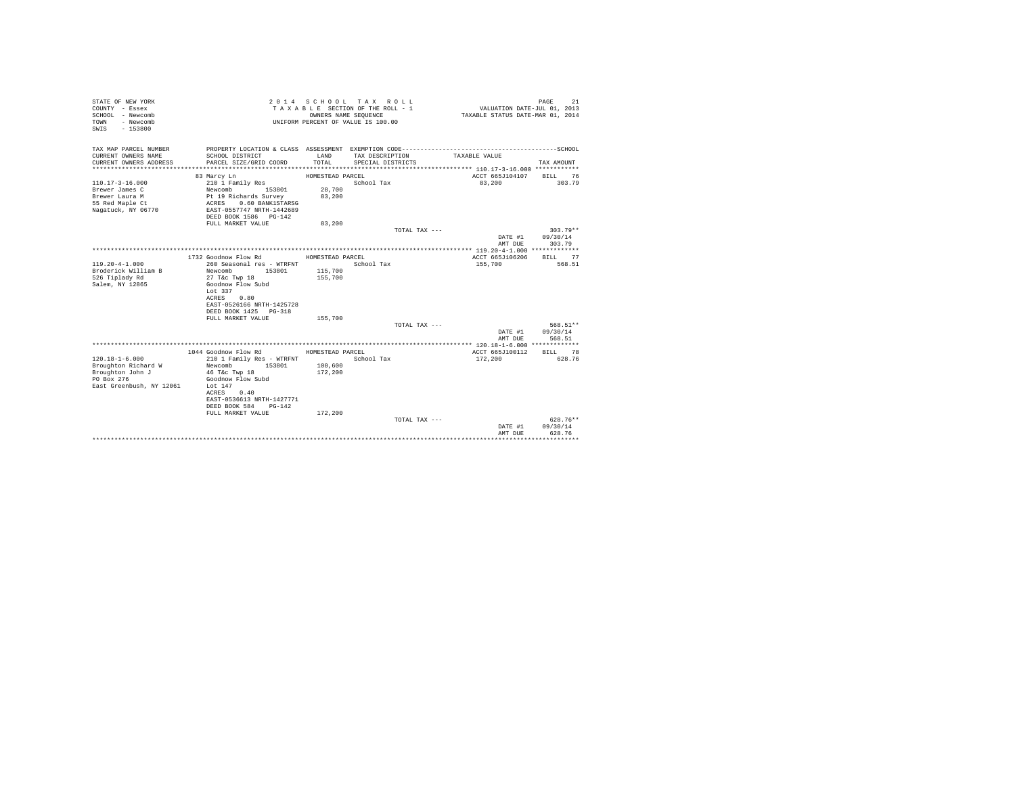| STATE OF NEW YORK<br>COUNTY - Essex<br>SCHOOL - Newcomb<br>- Newcomb<br>TOWN<br>$-153800$<br>SWIS |                                           | OWNERS NAME SEQUENCE | 2014 SCHOOL TAX ROLL<br>TAXABLE SECTION OF THE ROLL - 1<br>UNIFORM PERCENT OF VALUE IS 100.00 | VALUATION DATE-JUL 01, 2013<br>TAXABLE STATUS DATE-MAR 01, 2014 | PAGE<br>21             |
|---------------------------------------------------------------------------------------------------|-------------------------------------------|----------------------|-----------------------------------------------------------------------------------------------|-----------------------------------------------------------------|------------------------|
| TAX MAP PARCEL NUMBER<br>CURRENT OWNERS NAME<br>CURRENT OWNERS ADDRESS                            | SCHOOL DISTRICT<br>PARCEL SIZE/GRID COORD | LAND<br>TOTAL        | TAX DESCRIPTION<br>SPECIAL DISTRICTS                                                          | TAXABLE VALUE                                                   | TAX AMOUNT             |
| ***************************                                                                       |                                           |                      |                                                                                               |                                                                 |                        |
|                                                                                                   | 83 Marcy Ln                               | HOMESTEAD PARCEL     |                                                                                               | ACCT 665J104107                                                 | BILL 76                |
| $110.17 - 3 - 16.000$                                                                             | 210 1 Family Res                          |                      | School Tax                                                                                    | 83,200                                                          | 303.79                 |
| Brewer James C                                                                                    | Newcomb<br>153801                         | 28,700               |                                                                                               |                                                                 |                        |
| Brewer Laura M                                                                                    | Pt 19 Richards Survey                     | 83,200               |                                                                                               |                                                                 |                        |
| 55 Red Maple Ct                                                                                   | 0.60 BANK1STARSG<br>ACRES                 |                      |                                                                                               |                                                                 |                        |
| Nagatuck, NY 06770                                                                                | EAST-0557747 NRTH-1442689                 |                      |                                                                                               |                                                                 |                        |
|                                                                                                   | DEED BOOK 1586 PG-142                     |                      |                                                                                               |                                                                 |                        |
|                                                                                                   | FULL MARKET VALUE                         | 83,200               |                                                                                               |                                                                 |                        |
|                                                                                                   |                                           |                      | TOTAL TAX ---                                                                                 | DATE #1                                                         | $303.79**$<br>09/30/14 |
|                                                                                                   |                                           |                      |                                                                                               | AMT DUE                                                         | 303.79                 |
|                                                                                                   |                                           |                      |                                                                                               |                                                                 |                        |
|                                                                                                   | 1732 Goodnow Flow Rd                      | HOMESTEAD PARCEL     |                                                                                               | ACCT 665J106206                                                 | BILL 77                |
| $119.20 - 4 - 1.000$                                                                              | 260 Seasonal res - WTRFNT                 |                      | School Tax                                                                                    | 155,700                                                         | 568.51                 |
| Broderick William B                                                                               | 153801<br>Newcomb                         | 115,700              |                                                                                               |                                                                 |                        |
| 526 Tiplady Rd                                                                                    | 27 T&c Twp 18                             | 155,700              |                                                                                               |                                                                 |                        |
| Salem, NY 12865                                                                                   | Goodnow Flow Subd                         |                      |                                                                                               |                                                                 |                        |
|                                                                                                   | Lot 337                                   |                      |                                                                                               |                                                                 |                        |
|                                                                                                   | ACRES<br>0.80                             |                      |                                                                                               |                                                                 |                        |
|                                                                                                   | EAST-0526166 NRTH-1425728                 |                      |                                                                                               |                                                                 |                        |
|                                                                                                   | DEED BOOK 1425 PG-318                     |                      |                                                                                               |                                                                 |                        |
|                                                                                                   | FULL MARKET VALUE                         | 155,700              |                                                                                               |                                                                 |                        |
|                                                                                                   |                                           |                      | TOTAL TAX ---                                                                                 |                                                                 | 568.51**               |
|                                                                                                   |                                           |                      |                                                                                               | DATE #1                                                         | 09/30/14               |
|                                                                                                   |                                           |                      |                                                                                               | AMT DUE                                                         | 568.51                 |
|                                                                                                   |                                           |                      |                                                                                               |                                                                 |                        |
|                                                                                                   | 1044 Goodnow Flow Rd                      | HOMESTEAD PARCEL     |                                                                                               | ACCT 665J100112                                                 | BILL 78                |
| $120.18 - 1 - 6.000$                                                                              | 210 1 Family Res - WTRFNT                 |                      | School Tax                                                                                    | 172,200                                                         | 628.76                 |
| Broughton Richard W<br>Broughton John J                                                           | Newcomb<br>153801                         | 100,600              |                                                                                               |                                                                 |                        |
| PO Box 276                                                                                        | 46 T&c Twp 18<br>Goodnow Flow Subd        | 172,200              |                                                                                               |                                                                 |                        |
| East Greenbush, NY 12061                                                                          | Lot $147$                                 |                      |                                                                                               |                                                                 |                        |
|                                                                                                   | 0.40<br>ACRES                             |                      |                                                                                               |                                                                 |                        |
|                                                                                                   | EAST-0536613 NRTH-1427771                 |                      |                                                                                               |                                                                 |                        |
|                                                                                                   | DEED BOOK 584 PG-142                      |                      |                                                                                               |                                                                 |                        |
|                                                                                                   | FULL MARKET VALUE                         | 172,200              |                                                                                               |                                                                 |                        |
|                                                                                                   |                                           |                      | TOTAL TAX $---$                                                                               |                                                                 | 628.76**               |
|                                                                                                   |                                           |                      |                                                                                               | DATE #1                                                         | 09/30/14               |
|                                                                                                   |                                           |                      |                                                                                               | AMT DUE                                                         | 628.76                 |
|                                                                                                   |                                           |                      |                                                                                               |                                                                 | **************         |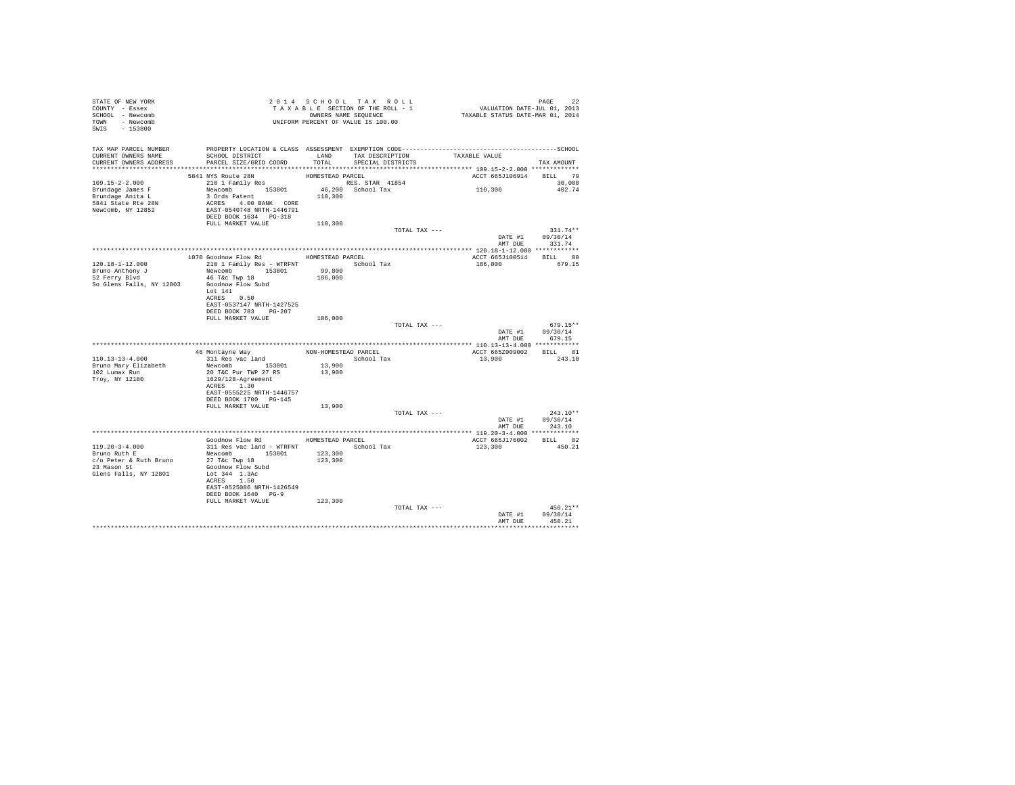| STATE OF NEW YORK<br>COUNTY - Essex<br>SCHOOL - Newcomb<br>TOWN - Newcomb<br>SWIS - 153800              | 2014 SECTION OF THE ROLL - 1<br>TAXABLE SECTION OF THE ROLL - 1<br>OWNERS NAME SEQUENCE<br>UNIFORM PERCENT OF VALUE IS 100.00                                 |                    |                                                         | PAGE 22<br>VALUATION DATE-JUL 01, 2013<br>TAXABLE STATUS DATE-MAR 01, 2014 |                                                        |
|---------------------------------------------------------------------------------------------------------|---------------------------------------------------------------------------------------------------------------------------------------------------------------|--------------------|---------------------------------------------------------|----------------------------------------------------------------------------|--------------------------------------------------------|
| CURRENT OWNERS NAME<br>CURRENT OWNERS ADDRESS                                                           | TAX MAP PARCEL NUMBER PROPERTY LOCATION & CLASS ASSESSMENT EXEMPTION CODE---------------------------------SCHOOL<br>SCHOOL DISTRICT<br>PARCEL SIZE/GRID COORD | TOTAL              | LAND TAX DESCRIPTION TAXABLE VALUE<br>SPECIAL DISTRICTS |                                                                            | TAX AMOUNT                                             |
|                                                                                                         |                                                                                                                                                               |                    |                                                         |                                                                            |                                                        |
|                                                                                                         |                                                                                                                                                               |                    |                                                         | ACCT 665J106914 BILL 79                                                    |                                                        |
| $109.15 - 2 - 2.000$<br>Brundage James F<br>Brundage Anita L<br>5841 State Rte 28N<br>Newcomb, NY 12852 | 5841 NYS Route 28N<br>210 1 Family Res                                                                                                                        |                    |                                                         | 110,300                                                                    | 30,000<br>402.74                                       |
|                                                                                                         |                                                                                                                                                               |                    |                                                         |                                                                            |                                                        |
|                                                                                                         |                                                                                                                                                               |                    | TOTAL TAX ---                                           | DATE #1 09/30/14<br>AMT DUE                                                | $331.74**$<br>331.74                                   |
|                                                                                                         |                                                                                                                                                               |                    |                                                         |                                                                            |                                                        |
| $120.18 - 1 - 12.000$                                                                                   | 1070 Goodnow Flow Rd MOMESTEAD PARCEL<br>210 1 Family Res - WTRFNT School Tax<br>Newcomb 153801                                                               |                    |                                                         | ACCT 665J100514<br>186,000 679.15                                          | BILL 80                                                |
| Bruno Anthony J<br>52 Ferry Blvd<br>So Glens Falls, NY 12803                                            | 46 T&C Twp 18<br>Goodnow Flow Subd<br>Lot 141<br>ACRES 0.50<br>EAST-0537147 NRTH-1427525<br>DEED BOOK 783 PG-207                                              | 99,800<br>186,000  |                                                         |                                                                            |                                                        |
|                                                                                                         | FULL MARKET VALUE                                                                                                                                             | 186,000            |                                                         |                                                                            |                                                        |
|                                                                                                         |                                                                                                                                                               |                    | TOTAL TAX ---                                           |                                                                            | $679.15**$<br>DATE #1 09/30/14<br>AMT DUE 679.15       |
|                                                                                                         |                                                                                                                                                               |                    |                                                         |                                                                            |                                                        |
|                                                                                                         | 46 Montayne Way MON-HOMESTEAD PARCEL                                                                                                                          |                    |                                                         | ACCT 665Z009002 BILL 81                                                    |                                                        |
| 110.13-13-4.000                                                                                         | 311 Res vac land                                                                                                                                              |                    | School Tax                                              | 13,900                                                                     | 243.10                                                 |
| Bruno Mary Elizabeth<br>102 Lumax Run<br>Troy, NY 12180                                                 | Newcomb 153801<br>20 T&C Pur TWP 27 RS<br>1629/128-Agreement<br>ACRES 1.30<br>EAST-0555225 NRTH-1446757                                                       | 13,900<br>13,900   |                                                         |                                                                            |                                                        |
|                                                                                                         | DEED BOOK 1700 PG-145<br>FULL MARKET VALUE                                                                                                                    | 13,900             |                                                         |                                                                            |                                                        |
|                                                                                                         |                                                                                                                                                               |                    | TOTAL TAX ---                                           |                                                                            | $243.10**$<br>DATE #1 09/30/14                         |
|                                                                                                         |                                                                                                                                                               |                    |                                                         | AMT DUE                                                                    | 243.10                                                 |
|                                                                                                         | Goodnow Flow Rd MOMESTEAD PARCEL                                                                                                                              |                    |                                                         | ACCT 665J176002 BILL 82                                                    |                                                        |
|                                                                                                         | 311 Res vac land - WTRFNT                                                                                                                                     |                    | School Tax                                              | 123,300                                                                    | 450.21                                                 |
| 119.20-3-4.000<br>Bruno Ruth E<br>c/o Peter & Ruth Bruno<br>23 Mason St<br>Glens Falls, NY 12801        | Newcomb 153801<br>27 T&C Twp 18<br>Goodnow Flow Subd<br>Lot 344 1.3Ac<br>ACRES 1.50<br>EAST-0525086 NRTH-1426549<br>DEED BOOK 1640 PG-9                       | 123,300<br>123,300 |                                                         |                                                                            |                                                        |
|                                                                                                         | FULL MARKET VALUE                                                                                                                                             | 123,300            |                                                         |                                                                            |                                                        |
|                                                                                                         |                                                                                                                                                               |                    | TOTAL TAX ---                                           | AMT DHE                                                                    | $450.21**$<br>DATE #1 09/30/14<br>450.21<br>********** |
|                                                                                                         |                                                                                                                                                               |                    |                                                         |                                                                            |                                                        |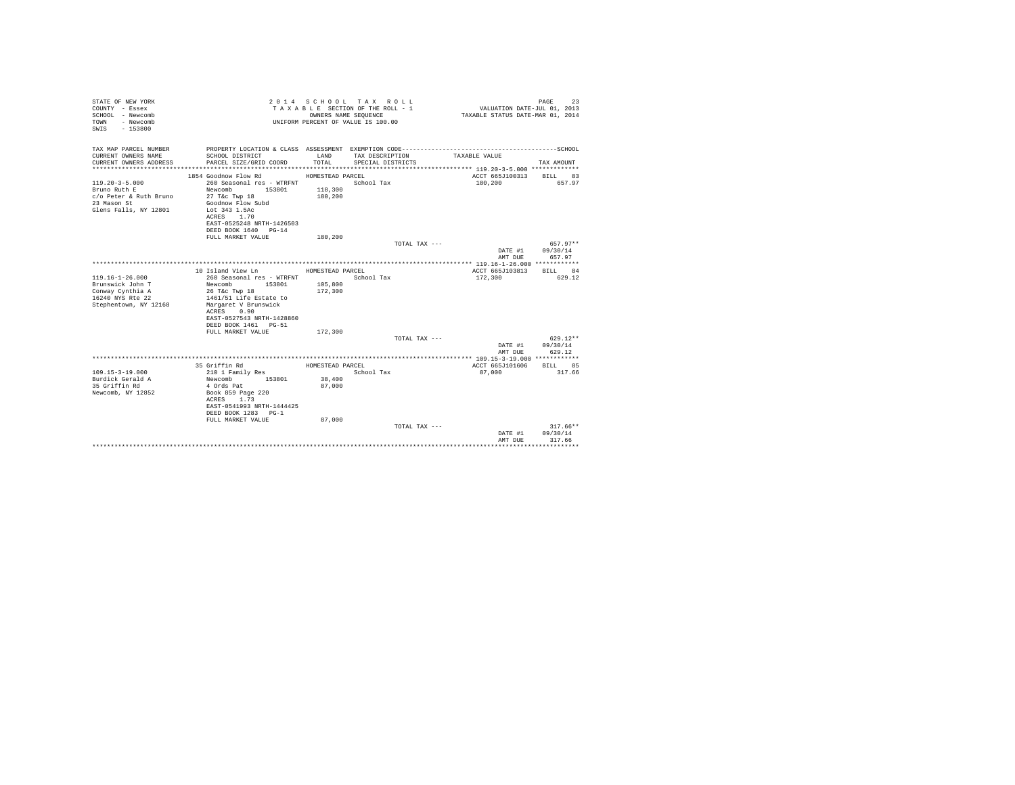| STATE OF NEW YORK<br>COUNTY - Essex<br>SCHOOL - Newcomb<br>- Newcomb<br>TOWN<br>$-153800$<br>SWIS |                                         |                  | 2014 SCHOOL TAX ROLL<br>TAXABLE SECTION OF THE ROLL - 1<br>OWNERS NAME SEOUENCE<br>UNIFORM PERCENT OF VALUE IS 100.00 | VALUATION DATE-JUL 01, 2013<br>TAXABLE STATUS DATE-MAR 01, 2014 | PAGE<br>23             |
|---------------------------------------------------------------------------------------------------|-----------------------------------------|------------------|-----------------------------------------------------------------------------------------------------------------------|-----------------------------------------------------------------|------------------------|
| TAX MAP PARCEL NUMBER<br>CURRENT OWNERS NAME                                                      | SCHOOL DISTRICT                         | LAND             | TAX DESCRIPTION                                                                                                       | TAXABLE VALUE                                                   |                        |
| CURRENT OWNERS ADDRESS                                                                            | PARCEL SIZE/GRID COORD                  | TOTAL            | SPECIAL DISTRICTS                                                                                                     |                                                                 | TAX AMOUNT             |
|                                                                                                   |                                         |                  |                                                                                                                       |                                                                 |                        |
|                                                                                                   | 1854 Goodnow Flow Rd MOMESTEAD PARCEL   |                  |                                                                                                                       | ACCT 665J100313 BILL 83                                         |                        |
| $119.20 - 3 - 5.000$                                                                              | 260 Seasonal res - WTRFNT               |                  | School Tax                                                                                                            | 180,200                                                         | 657.97                 |
| Bruno Ruth E                                                                                      | Newcomb<br>153801                       | 118,300          |                                                                                                                       |                                                                 |                        |
| c/o Peter & Ruth Bruno<br>23 Mason St                                                             | 27 T&c Twp 18<br>Goodnow Flow Subd      | 180,200          |                                                                                                                       |                                                                 |                        |
| Glens Falls, NY 12801                                                                             | Lot 343 1.5Ac                           |                  |                                                                                                                       |                                                                 |                        |
|                                                                                                   | ACRES 1.70                              |                  |                                                                                                                       |                                                                 |                        |
|                                                                                                   | EAST-0525248 NRTH-1426503               |                  |                                                                                                                       |                                                                 |                        |
|                                                                                                   | DEED BOOK 1640 PG-14                    |                  |                                                                                                                       |                                                                 |                        |
|                                                                                                   | FULL MARKET VALUE                       | 180,200          |                                                                                                                       |                                                                 |                        |
|                                                                                                   |                                         |                  | TOTAL TAX ---                                                                                                         | DATE #1 09/30/14                                                | 657.97**               |
|                                                                                                   |                                         |                  |                                                                                                                       | AMT DUE                                                         | 657.97                 |
|                                                                                                   |                                         |                  |                                                                                                                       |                                                                 |                        |
|                                                                                                   | 10 Island View Ln                       | HOMESTEAD PARCEL |                                                                                                                       | ACCT 665J103813                                                 | BILL 84                |
| 119.16-1-26.000                                                                                   | 260 Seasonal res - WTRFNT               |                  | School Tax                                                                                                            | 172,300                                                         | 629.12                 |
| Brunswick John T                                                                                  | 153801 105,800<br>Newcomb               |                  |                                                                                                                       |                                                                 |                        |
| Conway Cynthia A<br>16240 NYS Rte 22                                                              | 26 T&c Twp 18<br>1461/51 Life Estate to | 172,300          |                                                                                                                       |                                                                 |                        |
| Stephentown, NY 12168                                                                             | Margaret V Brunswick                    |                  |                                                                                                                       |                                                                 |                        |
|                                                                                                   | ACRES 0.90                              |                  |                                                                                                                       |                                                                 |                        |
|                                                                                                   | EAST-0527543 NRTH-1428860               |                  |                                                                                                                       |                                                                 |                        |
|                                                                                                   | DEED BOOK 1461 PG-51                    |                  |                                                                                                                       |                                                                 |                        |
|                                                                                                   | FULL MARKET VALUE                       | 172,300          | TOTAL TAX ---                                                                                                         |                                                                 | $629.12**$             |
|                                                                                                   |                                         |                  |                                                                                                                       | DATE #1 09/30/14                                                |                        |
|                                                                                                   |                                         |                  |                                                                                                                       | AMT DUE                                                         | 629.12                 |
|                                                                                                   |                                         |                  |                                                                                                                       |                                                                 |                        |
|                                                                                                   | 35 Griffin Rd                           | HOMESTEAD PARCEL |                                                                                                                       | ACCT 665J101606                                                 | BILL 85                |
| $109.15 - 3 - 19.000$                                                                             | 210 1 Family Res                        |                  | School Tax                                                                                                            | 87.000                                                          | 317.66                 |
| Burdick Gerald A<br>35 Griffin Rd                                                                 | Newcomb 153801<br>4 Ords Pat            | 38,400<br>87,000 |                                                                                                                       |                                                                 |                        |
| Newcomb, NY 12852                                                                                 | Book 859 Page 220                       |                  |                                                                                                                       |                                                                 |                        |
|                                                                                                   | ACRES 1.73                              |                  |                                                                                                                       |                                                                 |                        |
|                                                                                                   | EAST-0541993 NRTH-1444425               |                  |                                                                                                                       |                                                                 |                        |
|                                                                                                   | DEED BOOK 1283 PG-1                     |                  |                                                                                                                       |                                                                 |                        |
|                                                                                                   | FULL MARKET VALUE                       | 87,000           |                                                                                                                       |                                                                 |                        |
|                                                                                                   |                                         |                  | TOTAL TAX ---                                                                                                         | DATE #1                                                         | $317.66**$<br>09/30/14 |
|                                                                                                   |                                         |                  |                                                                                                                       | AMT DUE                                                         | 317.66                 |
|                                                                                                   |                                         |                  |                                                                                                                       |                                                                 |                        |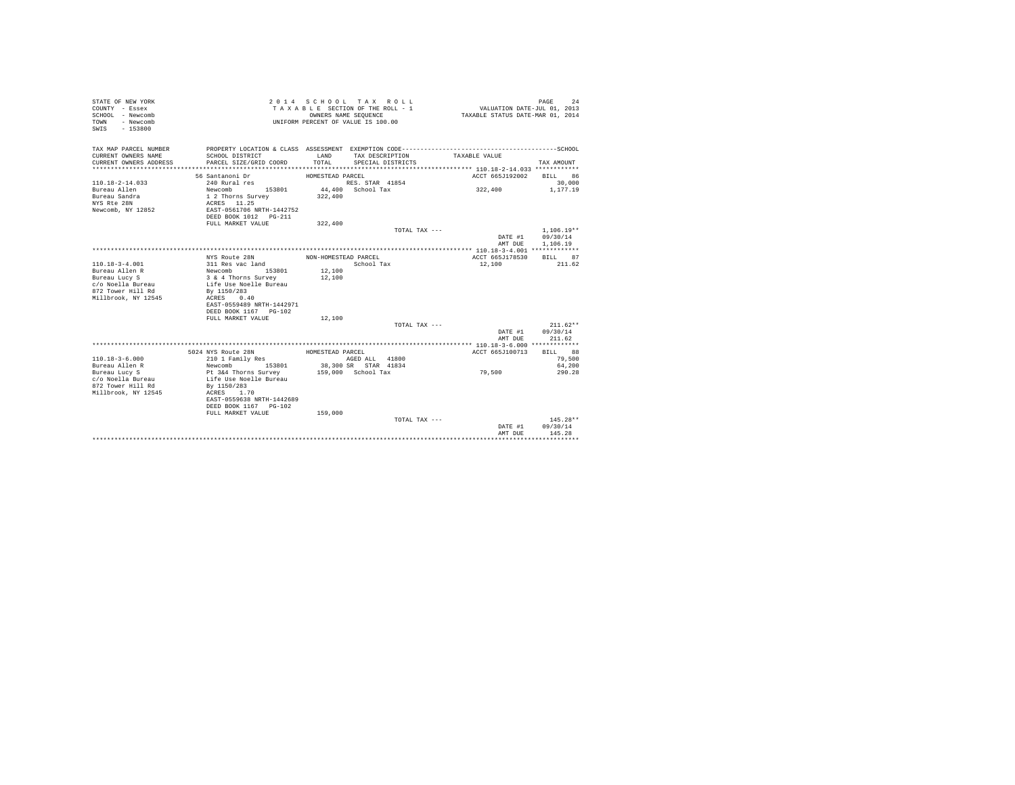| STATE OF NEW YORK<br>COUNTY - Essex<br>SCHOOL - Newcomb<br>- Newcomb<br><b>TOWN</b><br>$-153800$<br>SWIS |                                                |                      | 2014 SCHOOL TAX ROLL<br>TAXABLE SECTION OF THE ROLL - 1<br>OWNERS NAME SEQUENCE<br>UNIFORM PERCENT OF VALUE IS 100.00 | VALUATION DATE-JUL 01, 2013<br>TAXABLE STATUS DATE-MAR 01, 2014 | PAGE<br>24           |
|----------------------------------------------------------------------------------------------------------|------------------------------------------------|----------------------|-----------------------------------------------------------------------------------------------------------------------|-----------------------------------------------------------------|----------------------|
| TAX MAP PARCEL NUMBER<br>CURRENT OWNERS NAME                                                             | SCHOOL DISTRICT                                | LAND                 | TAX DESCRIPTION                                                                                                       | TAXABLE VALUE                                                   |                      |
| CURRENT OWNERS ADDRESS<br>*************************                                                      | PARCEL SIZE/GRID COORD                         | TOTAL                | SPECIAL DISTRICTS                                                                                                     |                                                                 | TAX AMOUNT           |
|                                                                                                          | 56 Santanoni Dr                                | HOMESTEAD PARCEL     |                                                                                                                       | ACCT 665J192002                                                 | BILL 86              |
| $110.18 - 2 - 14.033$                                                                                    | 240 Rural res                                  |                      | RES. STAR 41854                                                                                                       |                                                                 | 30,000               |
| Bureau Allen                                                                                             | Newcomb<br>153801                              |                      | 44,400 School Tax                                                                                                     | 322,400                                                         | 1,177.19             |
| Bureau Sandra                                                                                            | 1 2 Thorns Survey                              | 322,400              |                                                                                                                       |                                                                 |                      |
| NYS Rte 28N                                                                                              | ACRES 11.25                                    |                      |                                                                                                                       |                                                                 |                      |
| Newcomb, NY 12852                                                                                        | EAST-0561706 NRTH-1442752                      |                      |                                                                                                                       |                                                                 |                      |
|                                                                                                          | DEED BOOK 1012    PG-211                       |                      |                                                                                                                       |                                                                 |                      |
|                                                                                                          | FULL MARKET VALUE                              | 322,400              |                                                                                                                       |                                                                 |                      |
|                                                                                                          |                                                |                      | TOTAL TAX ---                                                                                                         |                                                                 | $1.106.19**$         |
|                                                                                                          |                                                |                      |                                                                                                                       | DATE #1                                                         | 09/30/14             |
|                                                                                                          |                                                |                      |                                                                                                                       | AMT DUE                                                         | 1,106.19             |
|                                                                                                          |                                                |                      |                                                                                                                       |                                                                 |                      |
| $110.18 - 3 - 4.001$                                                                                     | NYS Route 28N<br>311 Res vac land              | NON-HOMESTEAD PARCEL | School Tax                                                                                                            | ACCT 665J178530<br>12,100                                       | BILL<br>87<br>211.62 |
| Bureau Allen R                                                                                           | 153801<br>Newcomb                              | 12,100               |                                                                                                                       |                                                                 |                      |
| Bureau Lucy S                                                                                            | 3 & 4 Thorns Survey                            | 12,100               |                                                                                                                       |                                                                 |                      |
| c/o Noella Bureau                                                                                        | Life Use Noelle Bureau                         |                      |                                                                                                                       |                                                                 |                      |
| 872 Tower Hill Rd                                                                                        | By 1150/283                                    |                      |                                                                                                                       |                                                                 |                      |
| Millbrook, NY 12545                                                                                      | ACRES<br>0.40                                  |                      |                                                                                                                       |                                                                 |                      |
|                                                                                                          | EAST-0559489 NRTH-1442971                      |                      |                                                                                                                       |                                                                 |                      |
|                                                                                                          | DEED BOOK 1167 PG-102                          |                      |                                                                                                                       |                                                                 |                      |
|                                                                                                          | FULL MARKET VALUE                              | 12,100               |                                                                                                                       |                                                                 |                      |
|                                                                                                          |                                                |                      | TOTAL TAX ---                                                                                                         |                                                                 | $211.62**$           |
|                                                                                                          |                                                |                      |                                                                                                                       | DATE #1                                                         | 09/30/14             |
|                                                                                                          |                                                |                      |                                                                                                                       | AMT DUE                                                         | 211.62               |
|                                                                                                          |                                                |                      |                                                                                                                       |                                                                 |                      |
|                                                                                                          | 5024 NYS Route 28N                             | HOMESTEAD PARCEL     |                                                                                                                       | ACCT 665J100713                                                 | BILL 88              |
| $110.18 - 3 - 6.000$                                                                                     | 210 1 Family Res                               |                      | AGED ALL 41800                                                                                                        |                                                                 | 79,500               |
| Bureau Allen R                                                                                           | Newcomb<br>153801                              |                      | 38,300 SR STAR 41834                                                                                                  |                                                                 | 64,200               |
| Bureau Lucy S<br>c/o Noella Bureau                                                                       | Pt 3&4 Thorns Survey<br>Life Use Noelle Bureau |                      | 159,000 School Tax                                                                                                    | 79,500                                                          | 290.28               |
| 872 Tower Hill Rd                                                                                        | By 1150/283                                    |                      |                                                                                                                       |                                                                 |                      |
| Millbrook, NY 12545                                                                                      | ACRES 1.70                                     |                      |                                                                                                                       |                                                                 |                      |
|                                                                                                          | EAST-0559638 NRTH-1442689                      |                      |                                                                                                                       |                                                                 |                      |
|                                                                                                          | DEED BOOK 1167 PG-102                          |                      |                                                                                                                       |                                                                 |                      |
|                                                                                                          | FULL MARKET VALUE                              | 159,000              |                                                                                                                       |                                                                 |                      |
|                                                                                                          |                                                |                      | TOTAL TAX $---$                                                                                                       |                                                                 | 145.28**             |
|                                                                                                          |                                                |                      |                                                                                                                       | DATE #1                                                         | 09/30/14             |
|                                                                                                          |                                                |                      |                                                                                                                       | AMT DUE                                                         | 145.28               |
|                                                                                                          |                                                |                      |                                                                                                                       |                                                                 | ***********          |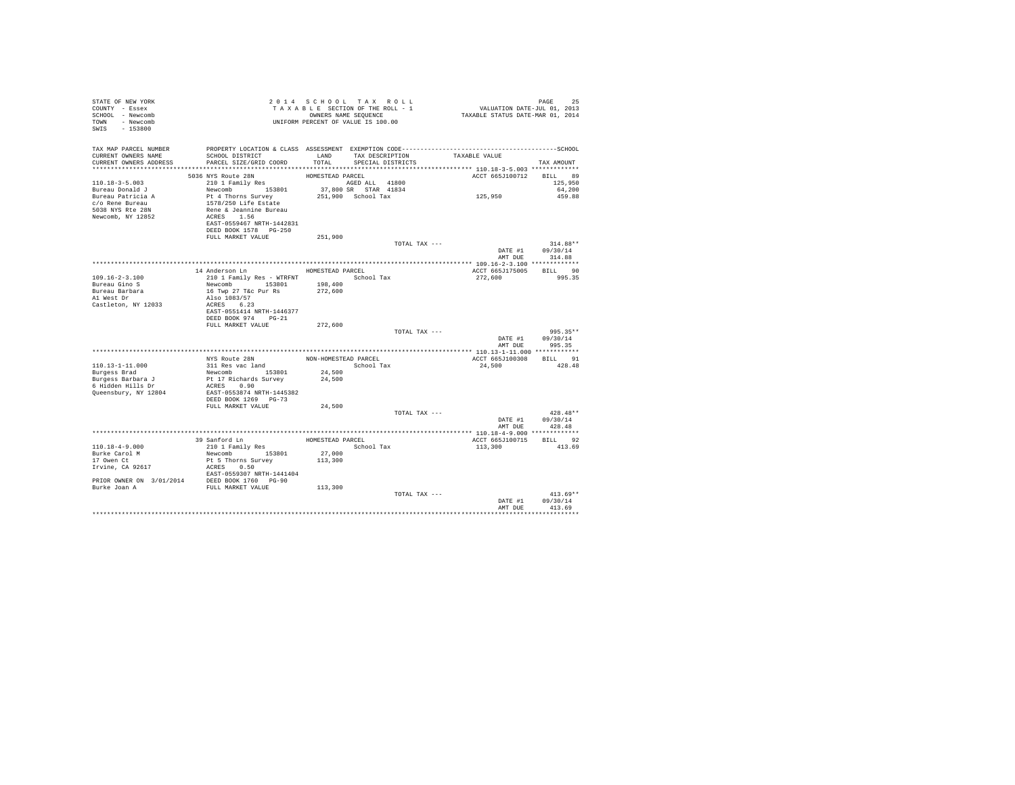| STATE OF NEW YORK<br>COUNTY - Essex<br>SCHOOL - Newcomb<br>TOWN - Newcomb<br>SWIS - 153800 | UNIFORM PERCENT OF VALUE IS 100.00                                             |                      | 2014 SCHOOL TAX ROLL<br>TAXABLE SECTION OF THE ROLL - 1<br>OWNERS NAME SEQUENCE |               | PAGE 25<br>VALUATION DATE-JUL 01, 2013<br>TAXABLE STATUS DATE-MAR 01, 2014 |                        |
|--------------------------------------------------------------------------------------------|--------------------------------------------------------------------------------|----------------------|---------------------------------------------------------------------------------|---------------|----------------------------------------------------------------------------|------------------------|
| TAX MAP PARCEL NUMBER<br>CURRENT OWNERS NAME                                               | SCHOOL DISTRICT                                                                |                      | LAND TAX DESCRIPTION                                                            |               | TAXABLE VALUE                                                              |                        |
| CURRENT OWNERS ADDRESS PARCEL SIZE/GRID COORD                                              |                                                                                |                      | TOTAL SPECIAL DISTRICTS                                                         |               |                                                                            | TAX AMOUNT             |
|                                                                                            |                                                                                |                      |                                                                                 |               |                                                                            |                        |
|                                                                                            | 5036 NYS Route 28N                                                             | HOMESTEAD PARCEL     |                                                                                 |               | ACCT 665J100712 BILL 89                                                    |                        |
| 110.18-3-5.003                                                                             | 210 1 Family Res                                                               |                      | AGED ALL 41800                                                                  |               |                                                                            | 125,950                |
| Bureau Donald J                                                                            | Newcomb 153801                                                                 |                      | 37,800 SR STAR 41834                                                            |               |                                                                            | 64,200                 |
| Bureau Patricia A                                                                          | Pt 4 Thorns Survey 251,900 School Tax                                          |                      |                                                                                 |               | 125,950                                                                    | 459.88                 |
| c/o Rene Bureau<br>5038 NYS Rte 28N                                                        |                                                                                |                      |                                                                                 |               |                                                                            |                        |
| Newcomb, NY 12852                                                                          | 1578/250 Life Estate<br>Rene & Jeannine Bureau<br>ACRES 1.56                   |                      |                                                                                 |               |                                                                            |                        |
|                                                                                            | EAST-0559467 NRTH-1442831                                                      |                      |                                                                                 |               |                                                                            |                        |
|                                                                                            | DEED BOOK 1578 PG-250                                                          |                      |                                                                                 |               |                                                                            |                        |
|                                                                                            | FULL MARKET VALUE                                                              | 251,900              |                                                                                 |               |                                                                            |                        |
|                                                                                            |                                                                                |                      |                                                                                 | TOTAL TAX --- |                                                                            | 314.88**               |
|                                                                                            |                                                                                |                      |                                                                                 |               |                                                                            | DATE #1 $09/30/14$     |
|                                                                                            |                                                                                |                      |                                                                                 |               |                                                                            | AMT DUE 314.88         |
|                                                                                            | 14 Anderson Ln                                                                 |                      |                                                                                 |               |                                                                            |                        |
| $109.16 - 2 - 3.100$                                                                       | 210 1 Family Res - WTRFNT School Tax                                           | HOMESTEAD PARCEL     |                                                                                 |               | ACCT 665J175005 BILL 90<br>272.600                                         | 995.35                 |
| Bureau Gino S                                                                              |                                                                                |                      |                                                                                 |               |                                                                            |                        |
|                                                                                            | Newcomb 153801 198,400<br>16 Twp 27 T&c Pur Rs 272,600<br>16 Twp 27 T&c Pur Rs |                      |                                                                                 |               |                                                                            |                        |
| Bureau Barbara<br>Al West Dr                                                               | Also 1083/57                                                                   |                      |                                                                                 |               |                                                                            |                        |
| Castleton, NY 12033                                                                        | ACRES 6.23                                                                     |                      |                                                                                 |               |                                                                            |                        |
|                                                                                            | EAST-0551414 NRTH-1446377                                                      |                      |                                                                                 |               |                                                                            |                        |
|                                                                                            | DEED BOOK 974 PG-21<br>FULL MARKET VALUE                                       | 272,600              |                                                                                 |               |                                                                            |                        |
|                                                                                            |                                                                                |                      |                                                                                 | TOTAL TAX --- |                                                                            | 995.35**               |
|                                                                                            |                                                                                |                      |                                                                                 |               |                                                                            | DATE #1 09/30/14       |
|                                                                                            |                                                                                |                      |                                                                                 |               |                                                                            | AMT DUE 995.35         |
|                                                                                            |                                                                                |                      |                                                                                 |               |                                                                            |                        |
|                                                                                            | NYS Route 28N                                                                  | NON-HOMESTEAD PARCEL |                                                                                 |               | ACCT 665J100308 BILL 91                                                    |                        |
| 110.13-1-11.000                                                                            | 311 Res vac land                                                               |                      | School Tax                                                                      |               | 24,500                                                                     | 428.48                 |
| Burgess Brad                                                                               | Newcomb 153801                                                                 | 24,500               |                                                                                 |               |                                                                            |                        |
| Burgess Barbara J<br>$6$ Hidden Hills Dr                                                   | Pt 17 Richards Survey<br>ACRES 0.90                                            | 24,500               |                                                                                 |               |                                                                            |                        |
| Queensbury, NY 12804                                                                       | EAST-0553874 NRTH-1445382                                                      |                      |                                                                                 |               |                                                                            |                        |
|                                                                                            | DEED BOOK 1269 PG-73                                                           |                      |                                                                                 |               |                                                                            |                        |
|                                                                                            | FULL MARKET VALUE                                                              | 24,500               |                                                                                 |               |                                                                            |                        |
|                                                                                            |                                                                                |                      |                                                                                 | TOTAL TAX --- |                                                                            | $428.48**$             |
|                                                                                            |                                                                                |                      |                                                                                 |               | DATE #1                                                                    | 09/30/14               |
|                                                                                            |                                                                                |                      |                                                                                 |               | AMT DUE                                                                    | 428.48                 |
|                                                                                            |                                                                                |                      | HOMESTEAD PARCEL                                                                |               | ACCT 665J100715 BILL 92                                                    |                        |
| $110.18 - 4 - 9.000$                                                                       | 39 Sanford Ln<br>210 1 Family Res                                              |                      | School Tax                                                                      |               | 113,300                                                                    | 413.69                 |
| Burke Carol M                                                                              | Newcomb 153801                                                                 | 27,000               |                                                                                 |               |                                                                            |                        |
| 17 Owen Ct                                                                                 | Pt 5 Thorns Survey                                                             | 113,300              |                                                                                 |               |                                                                            |                        |
| 17 Owen Ct<br>Irvine, CA 92617                                                             | ACRES 0.50                                                                     |                      |                                                                                 |               |                                                                            |                        |
|                                                                                            | EAST-0559307 NRTH-1441404                                                      |                      |                                                                                 |               |                                                                            |                        |
| PRIOR OWNER ON 3/01/2014 DEED BOOK 1760 PG-90                                              |                                                                                |                      |                                                                                 |               |                                                                            |                        |
| Burke Joan A                                                                               | FULL MARKET VALUE                                                              | 113,300              |                                                                                 |               |                                                                            |                        |
|                                                                                            |                                                                                |                      |                                                                                 | TOTAL TAX --- | DATE #1                                                                    | $413.69**$<br>09/30/14 |
|                                                                                            |                                                                                |                      |                                                                                 |               | AMT DUE                                                                    | 413.69                 |
|                                                                                            |                                                                                |                      |                                                                                 |               |                                                                            |                        |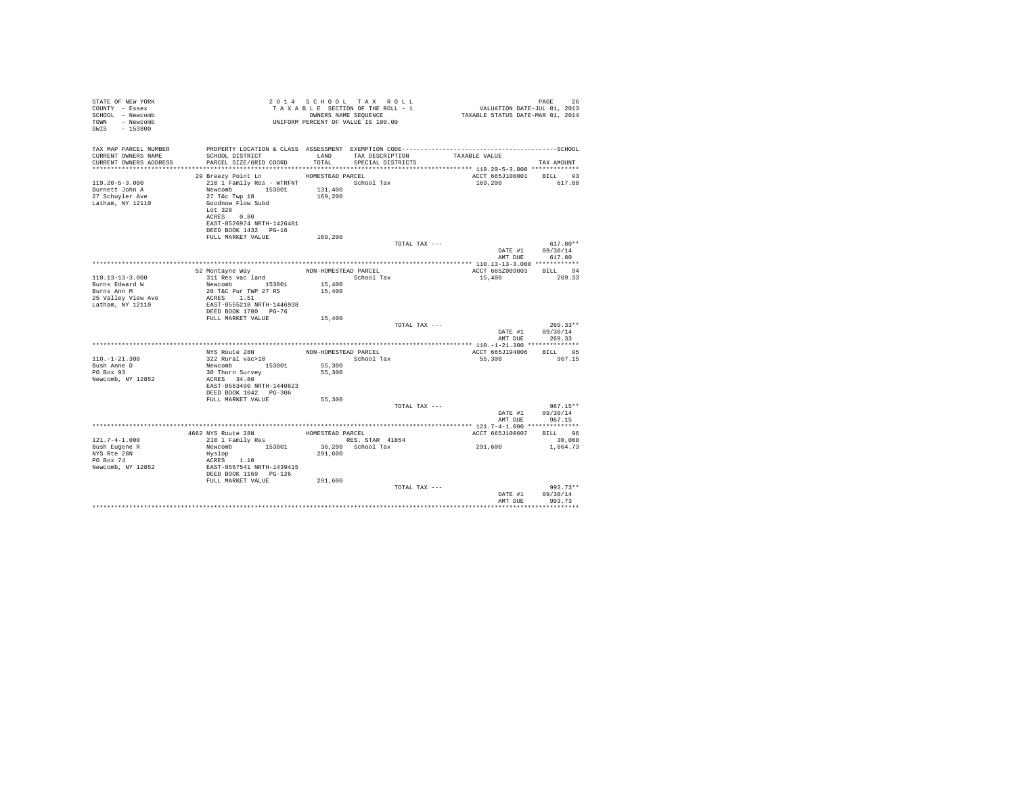| STATE OF NEW YORK<br>COUNTY - Essex<br>SCHOOL - Newcomb<br>TOWN - Newcomb<br>SWIS - 153800 |                                                                                                                                                                                    |                      | UNIFORM PERCENT OF VALUE IS 100.00   |                         |                                  |  |
|--------------------------------------------------------------------------------------------|------------------------------------------------------------------------------------------------------------------------------------------------------------------------------------|----------------------|--------------------------------------|-------------------------|----------------------------------|--|
| TAX MAP PARCEL NUMBER<br>CURRENT OWNERS NAME<br>CURRENT OWNERS ADDRESS                     | SCHOOL DISTRICT<br>PARCEL SIZE/GRID COORD                                                                                                                                          | LAND<br>TOTAL        | TAX DESCRIPTION<br>SPECIAL DISTRICTS | TAXABLE VALUE           | TAX AMOUNT                       |  |
|                                                                                            | 29 Breezy Point Ln                                                                                                                                                                 | HOMESTEAD PARCEL     |                                      | ACCT 665J100801 BILL 93 |                                  |  |
| $119.20 - 5 - 3.000$<br>Burnett John A<br>27 Schuyler Ave<br>Latham, NY 12110              | 210 1 Family Res - WTRFNT School Tax<br>Newcomb 153801 131,400<br>27 T&C Twp 18<br>Goodnow Flow Subd<br>Lot 328<br>ACRES 0.80<br>EAST-0526974 NRTH-1426401<br>DEED BOOK 1432 PG-16 | 169,200              |                                      | 169,200                 | 617.80                           |  |
|                                                                                            | FULL MARKET VALUE                                                                                                                                                                  | 169,200              |                                      |                         |                                  |  |
|                                                                                            |                                                                                                                                                                                    |                      | TOTAL TAX ---                        | DATE #1<br>AMT DUE      | $617.80**$<br>09/30/14<br>617.80 |  |
|                                                                                            |                                                                                                                                                                                    |                      |                                      |                         |                                  |  |
|                                                                                            | 52 Montayne Way                                                                                                                                                                    | NON-HOMESTEAD PARCEL |                                      | ACCT 665Z009003 BILL 94 |                                  |  |
| $110.13 - 13 - 3.000$                                                                      | 311 Res vac land                                                                                                                                                                   |                      | School Tax                           | 15,400                  | 269.33                           |  |
| Burns Edward W                                                                             | Newcomb 153801                                                                                                                                                                     | 15,400               |                                      |                         |                                  |  |
| Burns Ann M                                                                                | 20 T&C Pur TWP 27 RS                                                                                                                                                               | 15,400               |                                      |                         |                                  |  |
| 25 Valley View Ave<br>Latham, NY 12110                                                     | ACRES 1.51<br>EAST-0555218 NRTH-1446938                                                                                                                                            |                      |                                      |                         |                                  |  |
|                                                                                            | DEED BOOK 1700 PG-76                                                                                                                                                               |                      |                                      |                         |                                  |  |
|                                                                                            | FULL MARKET VALUE                                                                                                                                                                  | 15,400               |                                      |                         |                                  |  |
|                                                                                            |                                                                                                                                                                                    |                      | TOTAL TAX ---                        |                         | $269.33**$                       |  |
|                                                                                            |                                                                                                                                                                                    |                      |                                      | DATE #1                 | 09/30/14                         |  |
|                                                                                            |                                                                                                                                                                                    |                      |                                      | AMT DUE                 | 269.33                           |  |
|                                                                                            |                                                                                                                                                                                    |                      |                                      |                         |                                  |  |
|                                                                                            | NYS Route 28N                                                                                                                                                                      |                      | NON-HOMESTEAD PARCEL                 | ACCT 665J194006 BILL 95 |                                  |  |
| $110. - 1 - 21.300$                                                                        | 322 Rural vac>10<br>Newcomb 153801                                                                                                                                                 |                      | School Tax                           | 55,300                  | 967.15                           |  |
| Bush Anne D                                                                                |                                                                                                                                                                                    | 55,300               |                                      |                         |                                  |  |
| PO Box 93                                                                                  | 30 Thorn Survey                                                                                                                                                                    | 55,300               |                                      |                         |                                  |  |
| Newcomb, NY 12852                                                                          | ACRES 34.80<br>EAST-0563490 NRTH-1440623                                                                                                                                           |                      |                                      |                         |                                  |  |
|                                                                                            | DEED BOOK 1042 PG-306                                                                                                                                                              |                      |                                      |                         |                                  |  |
|                                                                                            | FULL MARKET VALUE                                                                                                                                                                  | 55,300               |                                      |                         |                                  |  |
|                                                                                            |                                                                                                                                                                                    |                      | TOTAL TAX ---                        |                         | $967.15**$                       |  |
|                                                                                            |                                                                                                                                                                                    |                      |                                      | DATE #1                 | 09/30/14                         |  |
|                                                                                            |                                                                                                                                                                                    |                      |                                      | AMT DUE                 | 967.15                           |  |
|                                                                                            |                                                                                                                                                                                    |                      |                                      |                         |                                  |  |
|                                                                                            | 4662 NYS Route 28N<br>210 1 Family Res                                                                                                                                             | HOMESTEAD PARCEL     |                                      | ACCT 665J100607 BILL 96 |                                  |  |
| $121.7 - 4 - 1.000$                                                                        |                                                                                                                                                                                    |                      | RES. STAR 41854                      |                         | 30,000                           |  |
| Bush Eugene R                                                                              | Newcomb 153801                                                                                                                                                                     |                      | 36,200 School Tax                    | 291,600                 | 1,064.73                         |  |
| NYS Rte 28N<br>PO Box 74                                                                   | Hyslop                                                                                                                                                                             | 291,600              |                                      |                         |                                  |  |
| Newcomb, NY 12852                                                                          | ACRES 1.10<br>EAST-0567541 NRTH-1439415                                                                                                                                            |                      |                                      |                         |                                  |  |
|                                                                                            | DEED BOOK 1169 PG-126                                                                                                                                                              |                      |                                      |                         |                                  |  |
|                                                                                            | FULL MARKET VALUE                                                                                                                                                                  | 291,600              |                                      |                         |                                  |  |
|                                                                                            |                                                                                                                                                                                    |                      | TOTAL TAX ---                        |                         | 993.73**                         |  |
|                                                                                            |                                                                                                                                                                                    |                      |                                      | DATE #1                 | 09/30/14                         |  |
|                                                                                            |                                                                                                                                                                                    |                      |                                      | AMT DUE                 | 993.73                           |  |
|                                                                                            |                                                                                                                                                                                    |                      |                                      |                         |                                  |  |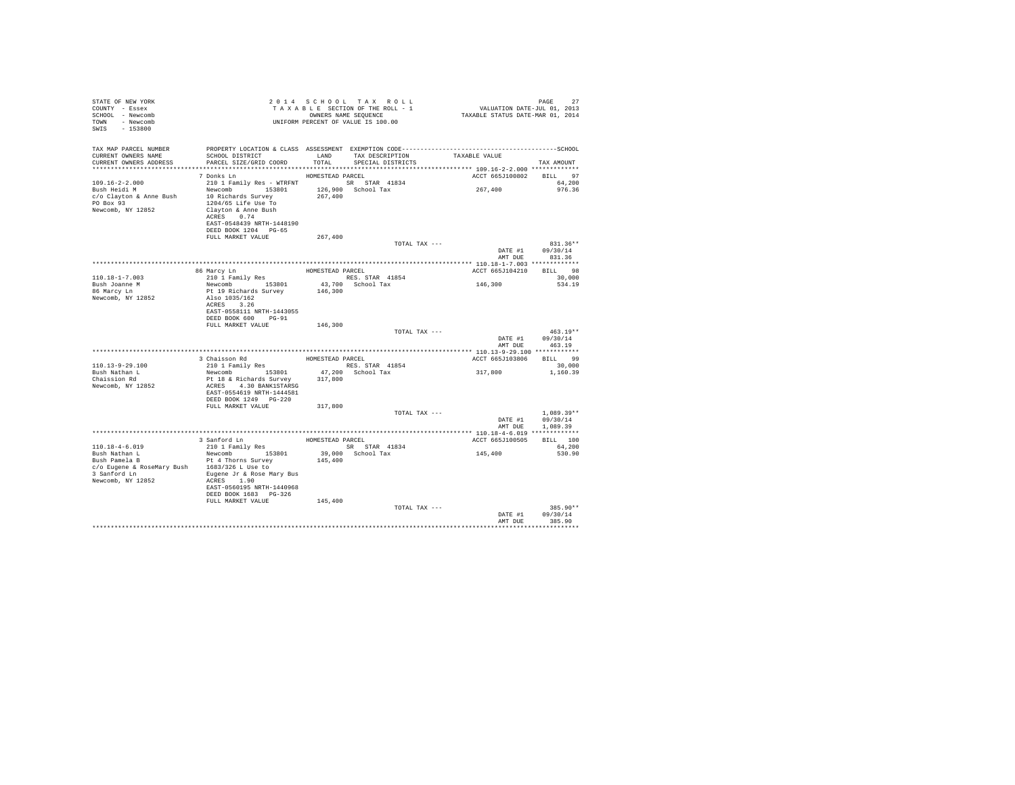| STATE OF NEW YORK<br>COUNTY - Essex<br>SCHOOL - Newcomb<br>TOWN - Newcomb<br>SWIS - 153800 |                                                                                                                                            |         | 2014 SCHOOL TAX ROLL<br>UNIFORM PERCENT OF VALUE IS 100.00 |                         |         | PAGE<br>27              |
|--------------------------------------------------------------------------------------------|--------------------------------------------------------------------------------------------------------------------------------------------|---------|------------------------------------------------------------|-------------------------|---------|-------------------------|
| TAX MAP PARCEL NUMBER                                                                      | PROPERTY LOCATION & CLASS ASSESSMENT EXEMPTION CODE-----------------------------------SCHOOL                                               |         |                                                            |                         |         |                         |
| CURRENT OWNERS NAME                                                                        | SCHOOL DISTRICT TAND TAX DESCRIPTION<br>CURRENT OWNERS ADDRESS PARCEL SIZE/GRID COORD TOTAL SPECIAL DISTRICTS                              |         |                                                            | TAXABLE VALUE           |         | TAX AMOUNT              |
|                                                                                            |                                                                                                                                            |         |                                                            |                         |         |                         |
|                                                                                            | HOMESTEAD PARCEL<br>7 Donks Ln                                                                                                             |         |                                                            |                         |         | ACCT 665J100802 BILL 97 |
| 109.16-2-2.000                                                                             | 210 1 Family Res - WTRFNT SR STAR 41834                                                                                                    |         |                                                            |                         |         | 64,200                  |
| Bush Heidi M                                                                               |                                                                                                                                            |         |                                                            | 267,400                 |         | 976.36                  |
|                                                                                            | Newcomb 153801 126,900 School Tax<br>10 Richards Survey 267,400                                                                            |         |                                                            |                         |         |                         |
|                                                                                            | c/o Clayton & Anne Bush 10 Richards Survey<br>PO Box 93 1204/65 Life Use To                                                                |         |                                                            |                         |         |                         |
| Newcomb, NY 12852 Clayton & Anne Bush                                                      |                                                                                                                                            |         |                                                            |                         |         |                         |
|                                                                                            | ACRES 0.74                                                                                                                                 |         |                                                            |                         |         |                         |
|                                                                                            | EAST-0548439 NRTH-1448190                                                                                                                  |         |                                                            |                         |         |                         |
|                                                                                            | DEED BOOK 1204 PG-65                                                                                                                       |         |                                                            |                         |         |                         |
|                                                                                            | FULL MARKET VALUE                                                                                                                          | 267,400 |                                                            |                         |         | 831.36**                |
|                                                                                            |                                                                                                                                            |         |                                                            | TOTAL TAX ---           |         | DATE #1 09/30/14        |
|                                                                                            |                                                                                                                                            |         |                                                            |                         |         | AMT DUE 831.36          |
|                                                                                            |                                                                                                                                            |         |                                                            |                         |         |                         |
|                                                                                            | 08 Marcy Ln 200157EAD PARCEL 2011<br>210 1 Family Res RES. STAR 41854<br>Newcomb 153801 43,700 School Tax<br>Pt 19 Richards Survey 146,300 |         |                                                            |                         |         | ACCT 665J104210 BILL 98 |
| $110.18 - 1 - 7.003$                                                                       |                                                                                                                                            |         |                                                            |                         |         | 30,000                  |
| Bush Joanne M                                                                              |                                                                                                                                            |         |                                                            | 146,300                 |         | 534.19                  |
| 86 Marcy Ln                                                                                |                                                                                                                                            |         |                                                            |                         |         |                         |
| Newcomb, NY 12852                                                                          | Also 1035/162                                                                                                                              |         |                                                            |                         |         |                         |
|                                                                                            | ACRES 3.26                                                                                                                                 |         |                                                            |                         |         |                         |
|                                                                                            | EAST-0558111 NRTH-1443055                                                                                                                  |         |                                                            |                         |         |                         |
|                                                                                            | DEED BOOK 600 PG-91<br>FULL MARKET VALUE                                                                                                   | 146,300 |                                                            |                         |         |                         |
|                                                                                            |                                                                                                                                            |         |                                                            | TOTAL TAX ---           |         | $463.19**$              |
|                                                                                            |                                                                                                                                            |         |                                                            |                         |         | DATE #1 09/30/14        |
|                                                                                            |                                                                                                                                            |         |                                                            |                         |         | AMT DUE 463.19          |
|                                                                                            |                                                                                                                                            |         |                                                            |                         |         |                         |
|                                                                                            | 3<br>2011 Schisson Rd<br>210 1 Family Res<br>Newcomb 153801 17,200 School Tax                                                              |         |                                                            | ACCT 665J103806 BILL 99 |         |                         |
| 110.13-9-29.100                                                                            |                                                                                                                                            |         |                                                            | 317,800                 |         | 30,000                  |
| Bush Nathan L                                                                              | Newcomb 153801<br>Pt 18 & Richards Survey                                                                                                  |         |                                                            |                         |         | 1,160.39                |
| Chaission Rd                                                                               |                                                                                                                                            | 317,800 |                                                            |                         |         |                         |
| Newcomb, NY 12852                                                                          | ACRES 4.30 BANK1STARSG                                                                                                                     |         |                                                            |                         |         |                         |
|                                                                                            | EAST-0554619 NRTH-1444581<br>DEED BOOK 1249    PG-220                                                                                      |         |                                                            |                         |         |                         |
|                                                                                            | FULL MARKET VALUE 317,800                                                                                                                  |         |                                                            |                         |         |                         |
|                                                                                            |                                                                                                                                            |         |                                                            | TOTAL TAX ---           |         | $1.089.39**$            |
|                                                                                            |                                                                                                                                            |         |                                                            |                         |         | DATE #1 09/30/14        |
|                                                                                            |                                                                                                                                            |         |                                                            |                         |         | AMT DUE 1,089.39        |
|                                                                                            |                                                                                                                                            |         |                                                            |                         |         |                         |
|                                                                                            |                                                                                                                                            |         |                                                            | ACCT 665J100505         |         | BILL 100                |
| $110.18 - 4 - 6.019$                                                                       |                                                                                                                                            |         |                                                            | 145,400                 |         | 64,200                  |
|                                                                                            | Bush Nathan L<br>Bush Pamela B<br>Pt 4 Thorns Survey<br>C/o Eugene & RoseMary Bush<br>$\frac{153801}{1683/326}$ L<br>Use to                |         |                                                            |                         |         | 530.90                  |
|                                                                                            |                                                                                                                                            | 145,400 |                                                            |                         |         |                         |
|                                                                                            |                                                                                                                                            |         |                                                            |                         |         |                         |
|                                                                                            | 3 Sanford Ln Buqene Jr & Rose Mary Bus<br>ACRES 1.90                                                                                       |         |                                                            |                         |         |                         |
| Newcomb, NY 12852                                                                          | EAST-0560195 NRTH-1440968                                                                                                                  |         |                                                            |                         |         |                         |
|                                                                                            | DEED BOOK 1683 PG-326                                                                                                                      |         |                                                            |                         |         |                         |
|                                                                                            | FULL MARKET VALUE                                                                                                                          | 145,400 |                                                            |                         |         |                         |
|                                                                                            |                                                                                                                                            |         |                                                            | TOTAL TAX ---           |         | 385.90**                |
|                                                                                            |                                                                                                                                            |         |                                                            |                         |         | DATE #1 09/30/14        |
|                                                                                            |                                                                                                                                            |         |                                                            |                         | AMT DUE | 385.90                  |
|                                                                                            |                                                                                                                                            |         |                                                            |                         |         |                         |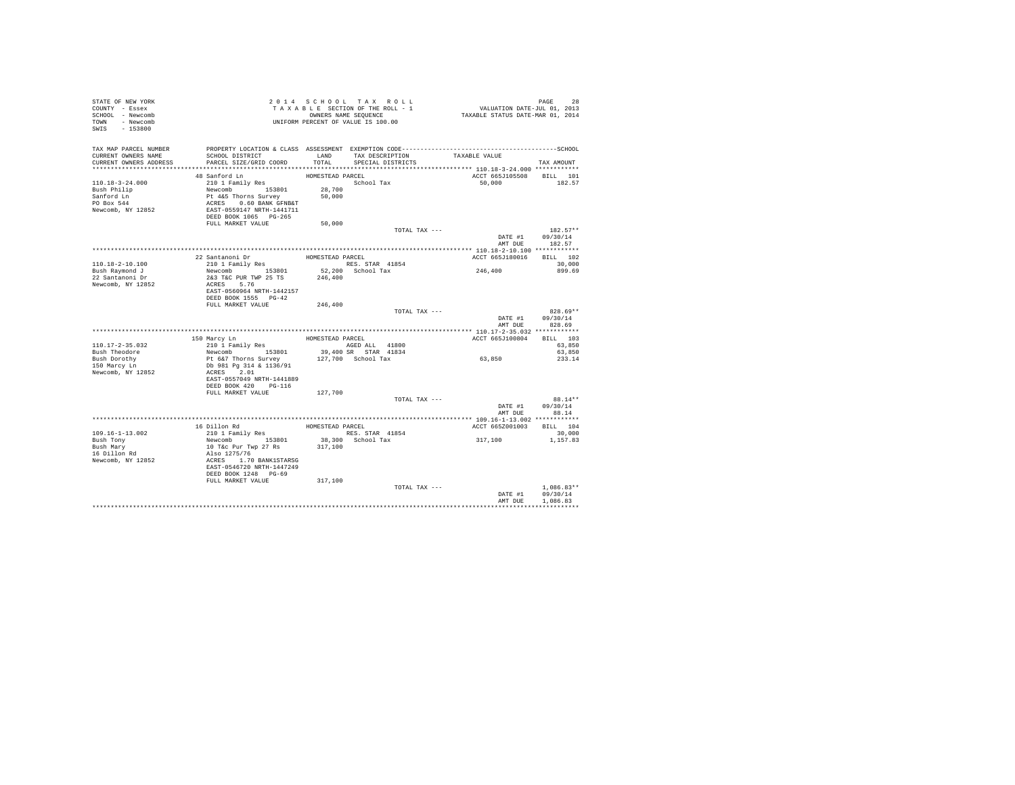| STATE OF NEW YORK<br>COUNTY - Essex<br>SCHOOL - Newcomb<br>TOWN - Newcomb<br>SWIS - 153800  |                                                                                                                                                                                                                                                                              |                            | TAXABLE SECTION OF THE ROLL - 1<br>OWNERS NAME SEQUENCE | PAGE 28<br>VALUATION DATE-JUL 01, 2013<br>TAXABLE STATUS DATE-MAR 01, 2014                                                                                                             |                                                  |
|---------------------------------------------------------------------------------------------|------------------------------------------------------------------------------------------------------------------------------------------------------------------------------------------------------------------------------------------------------------------------------|----------------------------|---------------------------------------------------------|----------------------------------------------------------------------------------------------------------------------------------------------------------------------------------------|--------------------------------------------------|
| CURRENT OWNERS NAME<br>CURRENT OWNERS ADDRESS PARCEL SIZE/GRID COORD                        | SCHOOL DISTRICT                                                                                                                                                                                                                                                              |                            | TOTAL SPECIAL DISTRICTS                                 | LAND TAX DESCRIPTION TAXABLE VALUE                                                                                                                                                     | TAX AMOUNT                                       |
| 110.18-3-24.000<br>Bush Philip<br>Sanford Ln<br>PO Box 544<br>Newcomb, NY 12852             | 48 Sanford Ln<br>210 1 Family Res<br>210 1 Family Res<br>Newcomb 153801 28,700<br>Pt 4K5 Thorns Survey 50,000<br>ACRES 0.60 BANK GFNB&T<br>EAST-0559147 NRTH-1441711<br>DEED BOOK 1065 PG-265<br>DOK 1065 PG-265<br>DOK 1065 PG-265<br>50.000<br>FULL MARKET VALUE           | HOMESTEAD PARCEL<br>50,000 | School Tax                                              | ACCT 665J105508 BILL 101<br>50,000 182.57                                                                                                                                              |                                                  |
|                                                                                             |                                                                                                                                                                                                                                                                              |                            | TOTAL TAX ---                                           |                                                                                                                                                                                        | $182.57**$<br>DATE #1 09/30/14<br>AMT DUE 182.57 |
|                                                                                             |                                                                                                                                                                                                                                                                              |                            |                                                         |                                                                                                                                                                                        |                                                  |
| 110.18-2-10.100<br>Bush Raymond J<br>22 Santanoni Dr<br>Newcomb, NY 12852                   | 22 Santanoni Dr. 3801<br>210 1 Family Res<br>Newcomb 153801 RSS. STAR 41854<br>28 Newcomb 153801 52,200 School Tax<br>283 TaC PUR TWP 25 TS 246,400<br>287 NERES<br>267.76 5<br>EAST-0560964 NRTH-1442157<br>DEED BOOK 1555 PG-42                                            |                            |                                                         | ACCT 665J180016 BILL 102<br>246, 400                                                                                                                                                   | 30,000<br>899.69                                 |
|                                                                                             | FULL MARKET VALUE 246,400                                                                                                                                                                                                                                                    |                            |                                                         |                                                                                                                                                                                        |                                                  |
|                                                                                             |                                                                                                                                                                                                                                                                              |                            |                                                         | TOTAL TAX ---                                                                                                                                                                          | 828.69**<br>DATE #1 09/30/14<br>AMT DUE 828.69   |
|                                                                                             |                                                                                                                                                                                                                                                                              |                            |                                                         | ACCT 665J100804 BILL 103                                                                                                                                                               |                                                  |
| $110.17 - 2 - 35.032$<br>Bush Theodore<br>Bush Dorothy<br>150 Marcy Ln<br>Newcomb, NY 12852 |                                                                                                                                                                                                                                                                              |                            |                                                         | 150 Marcy L<br>n HOMESTEAD PARCEL 110.17-2-35.(1008)<br>210 1 Family Res ROED ALL 41800 MCT 665<br>100 Newcomb 153801 39,400 SR STAR 41834 PROFES ROED 153801 39,400 SR STAR 41834<br> | 63,850<br>63,850<br>233.14                       |
|                                                                                             | DEED BOOK 420 PG-116<br>FULL MARKET VALUE 127,700                                                                                                                                                                                                                            |                            |                                                         | TOTAL TAX ---                                                                                                                                                                          | $88.14**$                                        |
|                                                                                             |                                                                                                                                                                                                                                                                              |                            |                                                         |                                                                                                                                                                                        | DATE #1 09/30/14<br>AMT DUE 88.14                |
|                                                                                             |                                                                                                                                                                                                                                                                              |                            |                                                         |                                                                                                                                                                                        |                                                  |
| 109.16-1-13.002                                                                             |                                                                                                                                                                                                                                                                              |                            |                                                         | ACCT 665Z001003 BILL 104                                                                                                                                                               | 30,000                                           |
| Bush Tony<br>Bush Mary<br>16 Dillon Rd<br>Newcomb, NY 12852                                 |                                                                                                                                                                                                                                                                              |                            |                                                         | 317,100                                                                                                                                                                                | 1,157.83                                         |
|                                                                                             | 16 Dillon Rd<br>2001 Family Res HOMESTEAD PARCEL<br>2010 Family Res HOMESTEAD PARCEL<br>Newcomb 153801 33,300 School Tax<br>10 T&C Pur Twp 27 Rs<br>Also 1275/76<br>ACRES 1.70 BANK1STARSG<br>RAST-0546720 NRTH-1447249<br>DEED BOOK 1248 PG-69<br>FULL MARKET VALUE 317,100 |                            | TOTAL TAX ---                                           |                                                                                                                                                                                        | $1,086.83**$<br>DATE #1 09/30/14                 |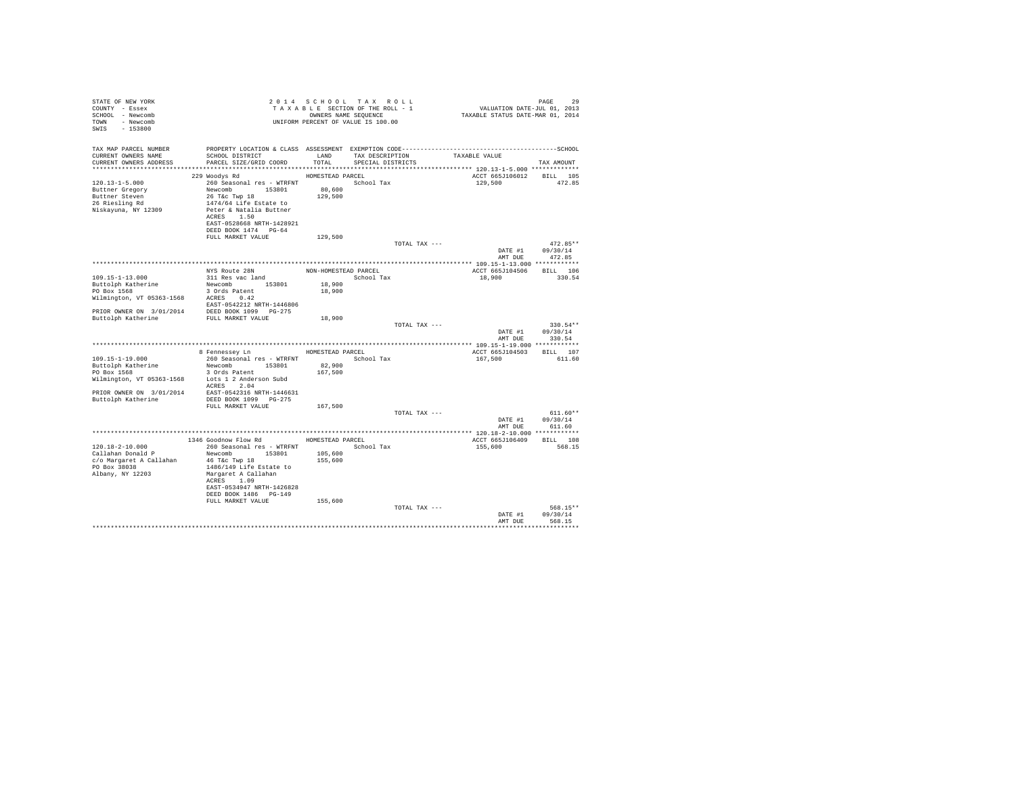| TAX MAP PARCEL NUMBER<br>SCHOOL DISTRICT TAND TAX DESCRIPTION<br>CURRENT OWNERS NAME<br>TAXABLE VALUE<br>PARCEL SIZE/GRID COORD TOTAL<br>CURRENT OWNERS ADDRESS<br>SPECIAL DISTRICTS<br>TAX AMOUNT<br>229 Woodys Rd MOMESTEAD PARCEL<br>ACCT 665J106012 BILL 105<br>260 Seasonal res - WTRFNT School Tax<br>$120.13 - 1 - 5.000$<br>129,500 472.85<br>Newcomb 153801<br>80,600<br>Buttner Gregory<br>26 T&C Twp 18<br>129,500<br>Buttner Steven<br>26 Riesling Rd<br>1474/64 Life Estate to<br>Niskayuna, NY 12309<br>Peter & Natalia Buttner<br>ACRES 1.50<br>EAST-0528668 NRTH-1428921<br>DEED BOOK 1474 PG-64<br>FULL MARKET VALUE<br>129,500<br>TOTAL TAX ---<br>$472.85**$<br>DATE #1 09/30/14<br>AMT DUE<br>472.85<br>MYS ROLE 28N NON-HOMESTEAD PARCEL<br>109.15-1-13.000<br>211 Res vac land<br>21 Res vac land<br>21 Res vac land<br>21 Res vac land<br>21 Res vac land<br>20 ROLE 153601 18,900<br>20 ROLE 18,900<br>20 ROLE 28N ROLE 50001 Tax<br>20 ROLE 18,900<br>2<br>ACCT 665J104506 BILL 106<br>18,900<br>330.54<br>PRIOR OWNER ON 3/01/2014 DEED BOOK 1099 PG-275<br>Buttolph Katherine FULL MARKET VALUE<br>18,900<br>$330.54**$<br>TOTAL TAX ---<br>DATE #1 09/30/14<br>AMT DUE<br>330.54<br>8 Fennessey Ln MOMESTEAD PARCEL<br>ACCT 665J104503 BILL 107<br>260 Seasonal res - WTRFNT School Tax<br>$109.15 - 1 - 19.000$<br>167,500 | PAGE<br>29<br>PAGE 29<br>VALUATION DATE-JUL 01, 2013<br>TAXABLE STATUS DATE-MAR 01, 2014 |
|---------------------------------------------------------------------------------------------------------------------------------------------------------------------------------------------------------------------------------------------------------------------------------------------------------------------------------------------------------------------------------------------------------------------------------------------------------------------------------------------------------------------------------------------------------------------------------------------------------------------------------------------------------------------------------------------------------------------------------------------------------------------------------------------------------------------------------------------------------------------------------------------------------------------------------------------------------------------------------------------------------------------------------------------------------------------------------------------------------------------------------------------------------------------------------------------------------------------------------------------------------------------------------------------------------------------------------------------------------|------------------------------------------------------------------------------------------|
|                                                                                                                                                                                                                                                                                                                                                                                                                                                                                                                                                                                                                                                                                                                                                                                                                                                                                                                                                                                                                                                                                                                                                                                                                                                                                                                                                         |                                                                                          |
|                                                                                                                                                                                                                                                                                                                                                                                                                                                                                                                                                                                                                                                                                                                                                                                                                                                                                                                                                                                                                                                                                                                                                                                                                                                                                                                                                         |                                                                                          |
|                                                                                                                                                                                                                                                                                                                                                                                                                                                                                                                                                                                                                                                                                                                                                                                                                                                                                                                                                                                                                                                                                                                                                                                                                                                                                                                                                         |                                                                                          |
|                                                                                                                                                                                                                                                                                                                                                                                                                                                                                                                                                                                                                                                                                                                                                                                                                                                                                                                                                                                                                                                                                                                                                                                                                                                                                                                                                         |                                                                                          |
|                                                                                                                                                                                                                                                                                                                                                                                                                                                                                                                                                                                                                                                                                                                                                                                                                                                                                                                                                                                                                                                                                                                                                                                                                                                                                                                                                         |                                                                                          |
|                                                                                                                                                                                                                                                                                                                                                                                                                                                                                                                                                                                                                                                                                                                                                                                                                                                                                                                                                                                                                                                                                                                                                                                                                                                                                                                                                         |                                                                                          |
|                                                                                                                                                                                                                                                                                                                                                                                                                                                                                                                                                                                                                                                                                                                                                                                                                                                                                                                                                                                                                                                                                                                                                                                                                                                                                                                                                         |                                                                                          |
|                                                                                                                                                                                                                                                                                                                                                                                                                                                                                                                                                                                                                                                                                                                                                                                                                                                                                                                                                                                                                                                                                                                                                                                                                                                                                                                                                         |                                                                                          |
|                                                                                                                                                                                                                                                                                                                                                                                                                                                                                                                                                                                                                                                                                                                                                                                                                                                                                                                                                                                                                                                                                                                                                                                                                                                                                                                                                         |                                                                                          |
|                                                                                                                                                                                                                                                                                                                                                                                                                                                                                                                                                                                                                                                                                                                                                                                                                                                                                                                                                                                                                                                                                                                                                                                                                                                                                                                                                         |                                                                                          |
|                                                                                                                                                                                                                                                                                                                                                                                                                                                                                                                                                                                                                                                                                                                                                                                                                                                                                                                                                                                                                                                                                                                                                                                                                                                                                                                                                         |                                                                                          |
|                                                                                                                                                                                                                                                                                                                                                                                                                                                                                                                                                                                                                                                                                                                                                                                                                                                                                                                                                                                                                                                                                                                                                                                                                                                                                                                                                         |                                                                                          |
|                                                                                                                                                                                                                                                                                                                                                                                                                                                                                                                                                                                                                                                                                                                                                                                                                                                                                                                                                                                                                                                                                                                                                                                                                                                                                                                                                         |                                                                                          |
|                                                                                                                                                                                                                                                                                                                                                                                                                                                                                                                                                                                                                                                                                                                                                                                                                                                                                                                                                                                                                                                                                                                                                                                                                                                                                                                                                         |                                                                                          |
|                                                                                                                                                                                                                                                                                                                                                                                                                                                                                                                                                                                                                                                                                                                                                                                                                                                                                                                                                                                                                                                                                                                                                                                                                                                                                                                                                         |                                                                                          |
|                                                                                                                                                                                                                                                                                                                                                                                                                                                                                                                                                                                                                                                                                                                                                                                                                                                                                                                                                                                                                                                                                                                                                                                                                                                                                                                                                         |                                                                                          |
|                                                                                                                                                                                                                                                                                                                                                                                                                                                                                                                                                                                                                                                                                                                                                                                                                                                                                                                                                                                                                                                                                                                                                                                                                                                                                                                                                         |                                                                                          |
|                                                                                                                                                                                                                                                                                                                                                                                                                                                                                                                                                                                                                                                                                                                                                                                                                                                                                                                                                                                                                                                                                                                                                                                                                                                                                                                                                         |                                                                                          |
|                                                                                                                                                                                                                                                                                                                                                                                                                                                                                                                                                                                                                                                                                                                                                                                                                                                                                                                                                                                                                                                                                                                                                                                                                                                                                                                                                         |                                                                                          |
|                                                                                                                                                                                                                                                                                                                                                                                                                                                                                                                                                                                                                                                                                                                                                                                                                                                                                                                                                                                                                                                                                                                                                                                                                                                                                                                                                         |                                                                                          |
|                                                                                                                                                                                                                                                                                                                                                                                                                                                                                                                                                                                                                                                                                                                                                                                                                                                                                                                                                                                                                                                                                                                                                                                                                                                                                                                                                         |                                                                                          |
|                                                                                                                                                                                                                                                                                                                                                                                                                                                                                                                                                                                                                                                                                                                                                                                                                                                                                                                                                                                                                                                                                                                                                                                                                                                                                                                                                         |                                                                                          |
|                                                                                                                                                                                                                                                                                                                                                                                                                                                                                                                                                                                                                                                                                                                                                                                                                                                                                                                                                                                                                                                                                                                                                                                                                                                                                                                                                         |                                                                                          |
|                                                                                                                                                                                                                                                                                                                                                                                                                                                                                                                                                                                                                                                                                                                                                                                                                                                                                                                                                                                                                                                                                                                                                                                                                                                                                                                                                         |                                                                                          |
|                                                                                                                                                                                                                                                                                                                                                                                                                                                                                                                                                                                                                                                                                                                                                                                                                                                                                                                                                                                                                                                                                                                                                                                                                                                                                                                                                         |                                                                                          |
|                                                                                                                                                                                                                                                                                                                                                                                                                                                                                                                                                                                                                                                                                                                                                                                                                                                                                                                                                                                                                                                                                                                                                                                                                                                                                                                                                         |                                                                                          |
|                                                                                                                                                                                                                                                                                                                                                                                                                                                                                                                                                                                                                                                                                                                                                                                                                                                                                                                                                                                                                                                                                                                                                                                                                                                                                                                                                         | 611.60                                                                                   |
| Newcomb 153801<br>Buttolph Katherine<br>PO Box 1568<br>82,900                                                                                                                                                                                                                                                                                                                                                                                                                                                                                                                                                                                                                                                                                                                                                                                                                                                                                                                                                                                                                                                                                                                                                                                                                                                                                           |                                                                                          |
| 167,500                                                                                                                                                                                                                                                                                                                                                                                                                                                                                                                                                                                                                                                                                                                                                                                                                                                                                                                                                                                                                                                                                                                                                                                                                                                                                                                                                 |                                                                                          |
| 153801<br>2 Milmington, VT 05363-1568<br>2 Milmington, VT 05363-1568<br>2 Milmington, VT 05363-1568<br>2 Milmington, VT 05363-1568                                                                                                                                                                                                                                                                                                                                                                                                                                                                                                                                                                                                                                                                                                                                                                                                                                                                                                                                                                                                                                                                                                                                                                                                                      |                                                                                          |
|                                                                                                                                                                                                                                                                                                                                                                                                                                                                                                                                                                                                                                                                                                                                                                                                                                                                                                                                                                                                                                                                                                                                                                                                                                                                                                                                                         |                                                                                          |
| PRIOR OWNER ON 3/01/2014 EAST-0542316 NRTH-1446631<br>Buttolph Katherine DEED BOOK 1099 PG-275                                                                                                                                                                                                                                                                                                                                                                                                                                                                                                                                                                                                                                                                                                                                                                                                                                                                                                                                                                                                                                                                                                                                                                                                                                                          |                                                                                          |
| FULL MARKET VALUE<br>167,500                                                                                                                                                                                                                                                                                                                                                                                                                                                                                                                                                                                                                                                                                                                                                                                                                                                                                                                                                                                                                                                                                                                                                                                                                                                                                                                            |                                                                                          |
| $611.60**$<br>TOTAL TAX ---                                                                                                                                                                                                                                                                                                                                                                                                                                                                                                                                                                                                                                                                                                                                                                                                                                                                                                                                                                                                                                                                                                                                                                                                                                                                                                                             |                                                                                          |
| DATE #1 09/30/14<br>AMT DUE<br>611.60                                                                                                                                                                                                                                                                                                                                                                                                                                                                                                                                                                                                                                                                                                                                                                                                                                                                                                                                                                                                                                                                                                                                                                                                                                                                                                                   |                                                                                          |
|                                                                                                                                                                                                                                                                                                                                                                                                                                                                                                                                                                                                                                                                                                                                                                                                                                                                                                                                                                                                                                                                                                                                                                                                                                                                                                                                                         |                                                                                          |
| 1346 Goodnow Flow Rd MOMESTEAD PARCEL<br>BILL 108<br>ACCT 665J106409                                                                                                                                                                                                                                                                                                                                                                                                                                                                                                                                                                                                                                                                                                                                                                                                                                                                                                                                                                                                                                                                                                                                                                                                                                                                                    |                                                                                          |
| 260 Seasonal res - WTRFNT<br>120.18-2-10.000<br>School Tax<br>155,600<br>568.15                                                                                                                                                                                                                                                                                                                                                                                                                                                                                                                                                                                                                                                                                                                                                                                                                                                                                                                                                                                                                                                                                                                                                                                                                                                                         |                                                                                          |
| Newcomb 153801 105,600<br>Callahan Donald P                                                                                                                                                                                                                                                                                                                                                                                                                                                                                                                                                                                                                                                                                                                                                                                                                                                                                                                                                                                                                                                                                                                                                                                                                                                                                                             |                                                                                          |
| 46 T&C Twp 18<br>155,600<br>c/o Margaret A Callahan                                                                                                                                                                                                                                                                                                                                                                                                                                                                                                                                                                                                                                                                                                                                                                                                                                                                                                                                                                                                                                                                                                                                                                                                                                                                                                     |                                                                                          |
| PO Box 38038<br>1486/149 Life Estate to<br>Albany, NY 12203<br>Margaret A Callahan                                                                                                                                                                                                                                                                                                                                                                                                                                                                                                                                                                                                                                                                                                                                                                                                                                                                                                                                                                                                                                                                                                                                                                                                                                                                      |                                                                                          |
| ACRES 1.09                                                                                                                                                                                                                                                                                                                                                                                                                                                                                                                                                                                                                                                                                                                                                                                                                                                                                                                                                                                                                                                                                                                                                                                                                                                                                                                                              |                                                                                          |
| EAST-0534947 NRTH-1426828                                                                                                                                                                                                                                                                                                                                                                                                                                                                                                                                                                                                                                                                                                                                                                                                                                                                                                                                                                                                                                                                                                                                                                                                                                                                                                                               |                                                                                          |
| DEED BOOK 1486   PG-149                                                                                                                                                                                                                                                                                                                                                                                                                                                                                                                                                                                                                                                                                                                                                                                                                                                                                                                                                                                                                                                                                                                                                                                                                                                                                                                                 |                                                                                          |
| FULL MARKET VALUE<br>155,600                                                                                                                                                                                                                                                                                                                                                                                                                                                                                                                                                                                                                                                                                                                                                                                                                                                                                                                                                                                                                                                                                                                                                                                                                                                                                                                            |                                                                                          |
| TOTAL TAX ---<br>568.15**                                                                                                                                                                                                                                                                                                                                                                                                                                                                                                                                                                                                                                                                                                                                                                                                                                                                                                                                                                                                                                                                                                                                                                                                                                                                                                                               |                                                                                          |
| 09/30/14<br>DATE #1<br>AMT DUE<br>568.15                                                                                                                                                                                                                                                                                                                                                                                                                                                                                                                                                                                                                                                                                                                                                                                                                                                                                                                                                                                                                                                                                                                                                                                                                                                                                                                |                                                                                          |
| .                                                                                                                                                                                                                                                                                                                                                                                                                                                                                                                                                                                                                                                                                                                                                                                                                                                                                                                                                                                                                                                                                                                                                                                                                                                                                                                                                       |                                                                                          |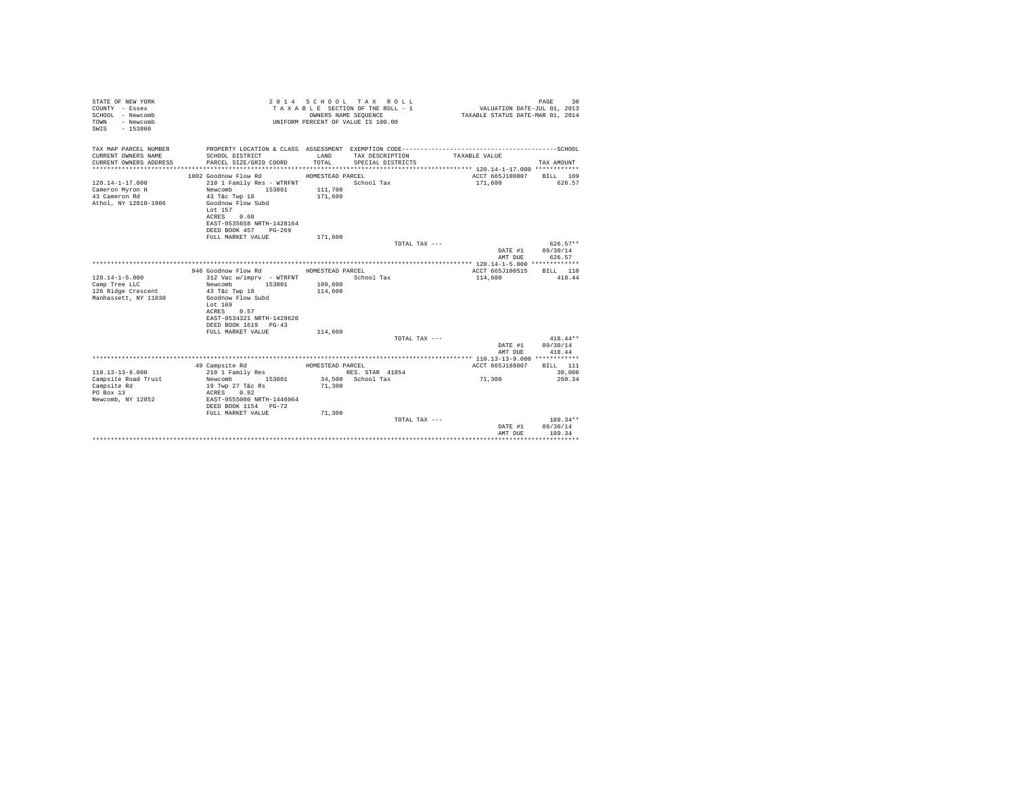| STATE OF NEW YORK<br>COUNTY - Essex<br>SCHOOL - Newcomb<br>TOWN<br>- Newcomb<br>SWTS<br>$-153800$ |                                                                                                                                                                   |                    | 2014 SCHOOL TAX ROLL<br>TAXABLE SECTION OF THE ROLL - 1<br>OWNERS NAME SEOUENCE<br>UNIFORM PERCENT OF VALUE IS 100.00 | VALUATION DATE-JUL 01, 2013<br>TAXABLE STATUS DATE-MAR 01, 2014 | 30<br>PAGE                       |
|---------------------------------------------------------------------------------------------------|-------------------------------------------------------------------------------------------------------------------------------------------------------------------|--------------------|-----------------------------------------------------------------------------------------------------------------------|-----------------------------------------------------------------|----------------------------------|
| TAX MAP PARCEL NUMBER                                                                             |                                                                                                                                                                   |                    |                                                                                                                       |                                                                 |                                  |
| CURRENT OWNERS NAME                                                                               | SCHOOL DISTRICT                                                                                                                                                   | <b>T.AND</b>       | TAX DESCRIPTION                                                                                                       | TAXABLE VALUE                                                   |                                  |
| CURRENT OWNERS ADDRESS                                                                            | PARCEL SIZE/GRID COORD                                                                                                                                            | TOTAL.             | SPECIAL DISTRICTS                                                                                                     |                                                                 | TAX AMOUNT                       |
|                                                                                                   | 1002 Goodnow Flow Rd                                                                                                                                              | HOMESTEAD PARCEL   |                                                                                                                       | ACCT 665J100807                                                 | BILL 109                         |
| $120.14 - 1 - 17.000$<br>Cameron Myron H<br>43 Cameron Rd<br>Athol. NY 12810-1906                 | 210 1 Family Res - WTRFNT<br>Newcomb<br>153801<br>43 T&c Twp 18<br>Goodnow Flow Subd<br>Lot 157<br>ACRES 0.60<br>EAST-0535658 NRTH-1428164                        | 111,700<br>171,600 | School Tax                                                                                                            | 171,600                                                         | 626.57                           |
|                                                                                                   | DEED BOOK 457 PG-269                                                                                                                                              |                    |                                                                                                                       |                                                                 |                                  |
|                                                                                                   | FULL MARKET VALUE                                                                                                                                                 | 171,600            | TOTAL TAX ---                                                                                                         |                                                                 | $626.57**$                       |
|                                                                                                   |                                                                                                                                                                   |                    |                                                                                                                       | DATE #1<br>AMT DUE                                              | 09/30/14<br>626.57               |
|                                                                                                   | 946 Goodnow Flow Rd                                                                                                                                               | HOMESTEAD PARCEL   |                                                                                                                       | ACCT 665J100515                                                 | BILL 110                         |
| $120.14 - 1 - 5.000$<br>Camp Tree LLC<br>126 Ridge Crescent<br>Manhassett, NY 11030               | 312 Vac w/imprv - WTRFNT<br>153801<br>Newcomb<br>43 T&c Twp 18<br>Goodnow Flow Subd<br>Lot 169<br>ACRES 0.57<br>EAST-0534321 NRTH-1428620<br>DEED BOOK 1619 PG-43 | 109,600<br>114,600 | School Tax                                                                                                            | 114,600                                                         | 418.44                           |
|                                                                                                   | FULL MARKET VALUE                                                                                                                                                 | 114,600            |                                                                                                                       |                                                                 |                                  |
|                                                                                                   |                                                                                                                                                                   |                    | TOTAL TAX $---$                                                                                                       | DATE #1<br>AMT DUE                                              | $418.44**$<br>09/30/14<br>418.44 |
|                                                                                                   | 49 Campsite Rd                                                                                                                                                    | HOMESTEAD PARCEL   |                                                                                                                       | ACCT 665J188007                                                 | BILL 111                         |
| $110.13 - 13 - 9.000$                                                                             | 210 1 Family Res                                                                                                                                                  |                    | RES. STAR 41854                                                                                                       |                                                                 | 30,000                           |
| Campsite Road Trust<br>Campsite Rd<br>PO Box 13<br>Newcomb, NY 12852                              | Newcomb 153801<br>19 Twp 27 T&c Rs<br>ACRES 0.92<br>EAST-0555000 NRTH-1446064<br>DEED BOOK 1154 PG-72                                                             | 71,300             | 34,500 School Tax                                                                                                     | 71,300                                                          | 260.34                           |
|                                                                                                   | FULL MARKET VALUE                                                                                                                                                 | 71,300             | TOTAL TAX ---                                                                                                         |                                                                 | $189.34**$                       |
|                                                                                                   |                                                                                                                                                                   |                    |                                                                                                                       | DATE #1<br>AMT DUE                                              | 09/30/14<br>189.34               |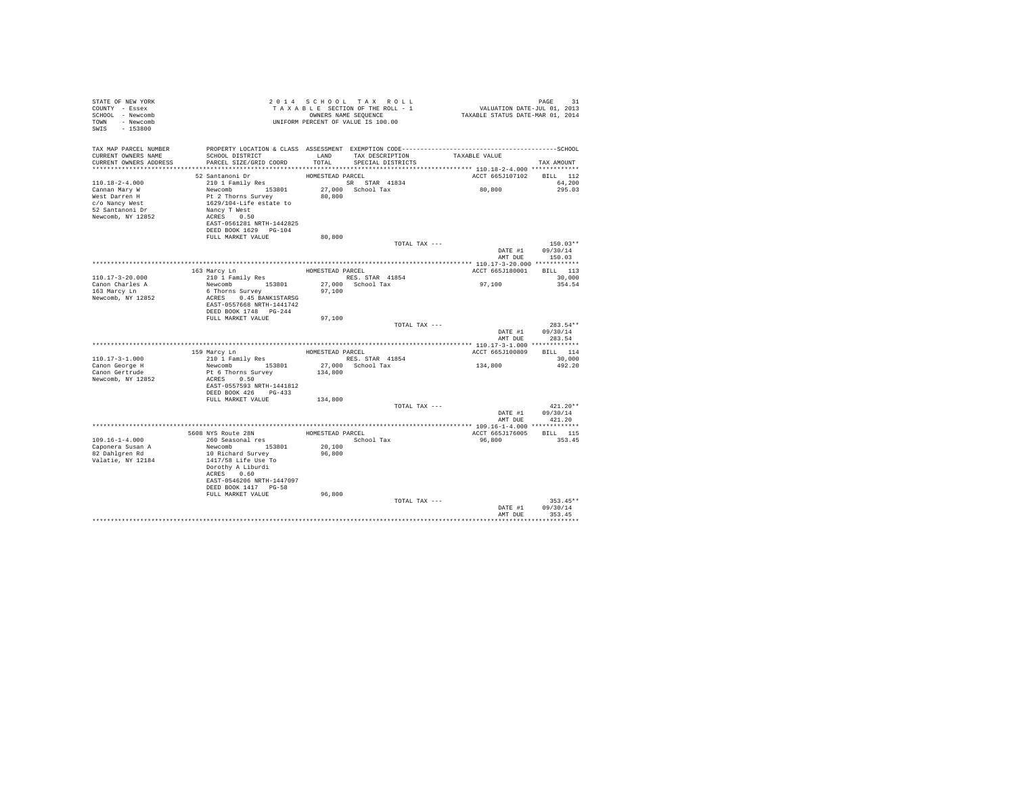| SWIS - 153800<br>TAX MAP PARCEL NUMBER<br>PROPERTY LOCATION & CLASS ASSESSMENT EXEMPTION CODE-----------------------------------SCHOOL<br>SCHOOL DISTRICT TAND TAX DESCRIPTION<br>CURRENT OWNERS NAME<br>TAXABLE VALUE<br>CURRENT OWNERS ADDRESS PARCEL SIZE/GRID COORD TOTAL SPECIAL DISTRICTS<br>TAX AMOUNT<br>52 Santanoni Dr<br>HOMESTEAD PARCEL<br>ACCT 665J107102 BILL 112<br>210 1 Family Res<br>SR STAR 41834<br>$110.18 - 2 - 4.000$<br>64,200<br>80,800<br>Newcomb 153801<br>27,000 School Tax<br>295.03<br>Cannan Mary W<br>Pt 2 Thorns Survey<br>80,800<br>West Darren H<br>c/o Nancy West<br>1629/104-Life estate to<br>52 Santanoni Dr<br>Nancy T West<br>Newcomb, NY 12852<br>ACRES 0.50<br>EAST-0561281 NRTH-1442825<br>DEED BOOK 1629 PG-104<br>FULL MARKET VALUE<br>80,800<br>TOTAL TAX ---<br>$150.03**$<br>DATE #1<br>09/30/14<br>AMT DUE<br>150.03<br>ACCT 665J180001 BILL 113<br>$110.17 - 3 - 20.000$<br>30,000<br>97,100<br>Newcomb 153801<br>Canon Charles A<br>27,000 School Tax<br>354.54<br>6 Thorns Survey<br>163 Marcy Ln<br>97,100 |
|-------------------------------------------------------------------------------------------------------------------------------------------------------------------------------------------------------------------------------------------------------------------------------------------------------------------------------------------------------------------------------------------------------------------------------------------------------------------------------------------------------------------------------------------------------------------------------------------------------------------------------------------------------------------------------------------------------------------------------------------------------------------------------------------------------------------------------------------------------------------------------------------------------------------------------------------------------------------------------------------------------------------------------------------------------------------|
|                                                                                                                                                                                                                                                                                                                                                                                                                                                                                                                                                                                                                                                                                                                                                                                                                                                                                                                                                                                                                                                                   |
|                                                                                                                                                                                                                                                                                                                                                                                                                                                                                                                                                                                                                                                                                                                                                                                                                                                                                                                                                                                                                                                                   |
|                                                                                                                                                                                                                                                                                                                                                                                                                                                                                                                                                                                                                                                                                                                                                                                                                                                                                                                                                                                                                                                                   |
|                                                                                                                                                                                                                                                                                                                                                                                                                                                                                                                                                                                                                                                                                                                                                                                                                                                                                                                                                                                                                                                                   |
|                                                                                                                                                                                                                                                                                                                                                                                                                                                                                                                                                                                                                                                                                                                                                                                                                                                                                                                                                                                                                                                                   |
|                                                                                                                                                                                                                                                                                                                                                                                                                                                                                                                                                                                                                                                                                                                                                                                                                                                                                                                                                                                                                                                                   |
|                                                                                                                                                                                                                                                                                                                                                                                                                                                                                                                                                                                                                                                                                                                                                                                                                                                                                                                                                                                                                                                                   |
|                                                                                                                                                                                                                                                                                                                                                                                                                                                                                                                                                                                                                                                                                                                                                                                                                                                                                                                                                                                                                                                                   |
|                                                                                                                                                                                                                                                                                                                                                                                                                                                                                                                                                                                                                                                                                                                                                                                                                                                                                                                                                                                                                                                                   |
|                                                                                                                                                                                                                                                                                                                                                                                                                                                                                                                                                                                                                                                                                                                                                                                                                                                                                                                                                                                                                                                                   |
|                                                                                                                                                                                                                                                                                                                                                                                                                                                                                                                                                                                                                                                                                                                                                                                                                                                                                                                                                                                                                                                                   |
|                                                                                                                                                                                                                                                                                                                                                                                                                                                                                                                                                                                                                                                                                                                                                                                                                                                                                                                                                                                                                                                                   |
|                                                                                                                                                                                                                                                                                                                                                                                                                                                                                                                                                                                                                                                                                                                                                                                                                                                                                                                                                                                                                                                                   |
|                                                                                                                                                                                                                                                                                                                                                                                                                                                                                                                                                                                                                                                                                                                                                                                                                                                                                                                                                                                                                                                                   |
|                                                                                                                                                                                                                                                                                                                                                                                                                                                                                                                                                                                                                                                                                                                                                                                                                                                                                                                                                                                                                                                                   |
|                                                                                                                                                                                                                                                                                                                                                                                                                                                                                                                                                                                                                                                                                                                                                                                                                                                                                                                                                                                                                                                                   |
|                                                                                                                                                                                                                                                                                                                                                                                                                                                                                                                                                                                                                                                                                                                                                                                                                                                                                                                                                                                                                                                                   |
|                                                                                                                                                                                                                                                                                                                                                                                                                                                                                                                                                                                                                                                                                                                                                                                                                                                                                                                                                                                                                                                                   |
|                                                                                                                                                                                                                                                                                                                                                                                                                                                                                                                                                                                                                                                                                                                                                                                                                                                                                                                                                                                                                                                                   |
|                                                                                                                                                                                                                                                                                                                                                                                                                                                                                                                                                                                                                                                                                                                                                                                                                                                                                                                                                                                                                                                                   |
|                                                                                                                                                                                                                                                                                                                                                                                                                                                                                                                                                                                                                                                                                                                                                                                                                                                                                                                                                                                                                                                                   |
| Newcomb, NY 12852<br>ACRES 0.45 BANK1STARSG<br>EAST-0557668 NRTH-1441742                                                                                                                                                                                                                                                                                                                                                                                                                                                                                                                                                                                                                                                                                                                                                                                                                                                                                                                                                                                          |
| DEED BOOK 1748 PG-244                                                                                                                                                                                                                                                                                                                                                                                                                                                                                                                                                                                                                                                                                                                                                                                                                                                                                                                                                                                                                                             |
| FULL MARKET VALUE<br>97,100                                                                                                                                                                                                                                                                                                                                                                                                                                                                                                                                                                                                                                                                                                                                                                                                                                                                                                                                                                                                                                       |
| 283.54**<br>TOTAL TAX ---                                                                                                                                                                                                                                                                                                                                                                                                                                                                                                                                                                                                                                                                                                                                                                                                                                                                                                                                                                                                                                         |
| 09/30/14<br>DATE #1                                                                                                                                                                                                                                                                                                                                                                                                                                                                                                                                                                                                                                                                                                                                                                                                                                                                                                                                                                                                                                               |
| AMT DUE<br>283.54                                                                                                                                                                                                                                                                                                                                                                                                                                                                                                                                                                                                                                                                                                                                                                                                                                                                                                                                                                                                                                                 |
|                                                                                                                                                                                                                                                                                                                                                                                                                                                                                                                                                                                                                                                                                                                                                                                                                                                                                                                                                                                                                                                                   |
| ACCT 665J100809 BILL 114<br>$110.17 - 3 - 1.000$<br>30,000                                                                                                                                                                                                                                                                                                                                                                                                                                                                                                                                                                                                                                                                                                                                                                                                                                                                                                                                                                                                        |
| RES. STAR 41854<br>$1\,3\,4$ , $8\,0\,0$<br>Newcomb 153801<br>27.000 School Tax<br>Canon George H<br>492.20                                                                                                                                                                                                                                                                                                                                                                                                                                                                                                                                                                                                                                                                                                                                                                                                                                                                                                                                                       |
| Canon Gertrude<br>Pt 6 Thorns Survey<br>134,800                                                                                                                                                                                                                                                                                                                                                                                                                                                                                                                                                                                                                                                                                                                                                                                                                                                                                                                                                                                                                   |
| Newcomb, NY 12852<br>ACRES 0.50                                                                                                                                                                                                                                                                                                                                                                                                                                                                                                                                                                                                                                                                                                                                                                                                                                                                                                                                                                                                                                   |
| EAST-0557593 NRTH-1441812                                                                                                                                                                                                                                                                                                                                                                                                                                                                                                                                                                                                                                                                                                                                                                                                                                                                                                                                                                                                                                         |
| DEED BOOK 426 PG-433                                                                                                                                                                                                                                                                                                                                                                                                                                                                                                                                                                                                                                                                                                                                                                                                                                                                                                                                                                                                                                              |
| FULL MARKET VALUE 134,800                                                                                                                                                                                                                                                                                                                                                                                                                                                                                                                                                                                                                                                                                                                                                                                                                                                                                                                                                                                                                                         |
| $421.20**$<br>TOTAL TAX ---<br>09/30/14<br>DATE #1                                                                                                                                                                                                                                                                                                                                                                                                                                                                                                                                                                                                                                                                                                                                                                                                                                                                                                                                                                                                                |
| AMT DUE<br>421.20                                                                                                                                                                                                                                                                                                                                                                                                                                                                                                                                                                                                                                                                                                                                                                                                                                                                                                                                                                                                                                                 |
|                                                                                                                                                                                                                                                                                                                                                                                                                                                                                                                                                                                                                                                                                                                                                                                                                                                                                                                                                                                                                                                                   |
| 5608 NYS Route 28N<br>260 Seasonal res<br>HOMESTEAD PARCEL<br>ACCT 665J176005<br><b>BILL</b> 115                                                                                                                                                                                                                                                                                                                                                                                                                                                                                                                                                                                                                                                                                                                                                                                                                                                                                                                                                                  |
| $109.16 - 1 - 4.000$<br>School Tax<br>96,800<br>353.45                                                                                                                                                                                                                                                                                                                                                                                                                                                                                                                                                                                                                                                                                                                                                                                                                                                                                                                                                                                                            |
| Caponera Susan A<br>Newcomb 153801<br>20,100                                                                                                                                                                                                                                                                                                                                                                                                                                                                                                                                                                                                                                                                                                                                                                                                                                                                                                                                                                                                                      |
| 82 Dahlgren Rd<br>96,800<br>10 Richard Survey<br>Valatie, NY 12184<br>1417/58 Life Use To                                                                                                                                                                                                                                                                                                                                                                                                                                                                                                                                                                                                                                                                                                                                                                                                                                                                                                                                                                         |
| Dorothy A Liburdi                                                                                                                                                                                                                                                                                                                                                                                                                                                                                                                                                                                                                                                                                                                                                                                                                                                                                                                                                                                                                                                 |
| ACRES 0.60                                                                                                                                                                                                                                                                                                                                                                                                                                                                                                                                                                                                                                                                                                                                                                                                                                                                                                                                                                                                                                                        |
| EAST-0546206 NRTH-1447097                                                                                                                                                                                                                                                                                                                                                                                                                                                                                                                                                                                                                                                                                                                                                                                                                                                                                                                                                                                                                                         |
| DEED BOOK 1417 PG-58                                                                                                                                                                                                                                                                                                                                                                                                                                                                                                                                                                                                                                                                                                                                                                                                                                                                                                                                                                                                                                              |
| FULL MARKET VALUE<br>96,800                                                                                                                                                                                                                                                                                                                                                                                                                                                                                                                                                                                                                                                                                                                                                                                                                                                                                                                                                                                                                                       |
| TOTAL TAX ---<br>$353.45**$                                                                                                                                                                                                                                                                                                                                                                                                                                                                                                                                                                                                                                                                                                                                                                                                                                                                                                                                                                                                                                       |
| DATE #1<br>09/30/14<br>AMT DUE<br>353.45                                                                                                                                                                                                                                                                                                                                                                                                                                                                                                                                                                                                                                                                                                                                                                                                                                                                                                                                                                                                                          |
|                                                                                                                                                                                                                                                                                                                                                                                                                                                                                                                                                                                                                                                                                                                                                                                                                                                                                                                                                                                                                                                                   |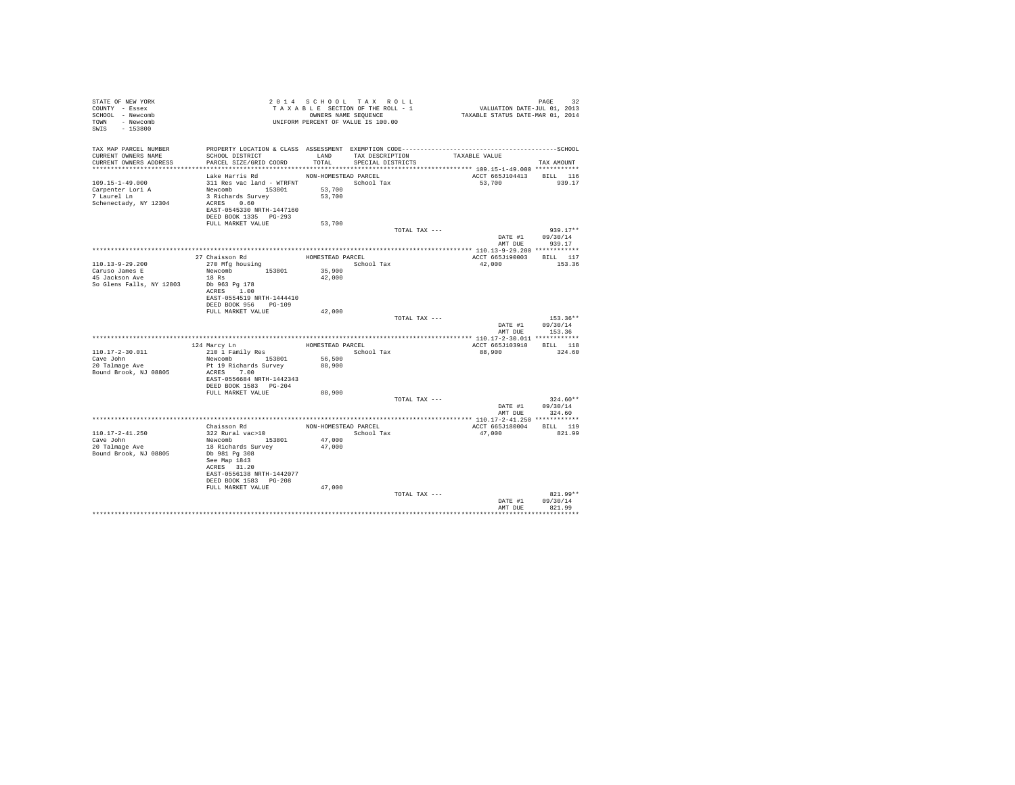| STATE OF NEW YORK<br>COUNTY - Essex<br>SCHOOL - Newcomb<br>TOWN - Newcomb<br>SWIS - 153800 |                                                                                                                                                                   |                                          | 2014 SCHOOL TAX ROLL<br>TAXABLE SECTION OF THE ROLL - 1<br>OWNERS NAME SEQUENCE<br>UNIFORM PERCENT OF VALUE IS 100.00 | PAGE 32<br>VALUATION DATE-JUL 01, 2013<br>TAXABLE STATUS DATE-MAR 01, 2014 |                                          |
|--------------------------------------------------------------------------------------------|-------------------------------------------------------------------------------------------------------------------------------------------------------------------|------------------------------------------|-----------------------------------------------------------------------------------------------------------------------|----------------------------------------------------------------------------|------------------------------------------|
| TAX MAP PARCEL NUMBER<br>CURRENT OWNERS NAME<br>CURRENT OWNERS ADDRESS                     | SCHOOL DISTRICT<br>PARCEL SIZE/GRID COORD                                                                                                                         | TOTAL                                    | LAND TAX DESCRIPTION<br>SPECIAL DISTRICTS                                                                             | TAXABLE VALUE                                                              | TAX AMOUNT                               |
| *************************                                                                  |                                                                                                                                                                   |                                          |                                                                                                                       |                                                                            |                                          |
| $109.15 - 1 - 49.000$<br>Carpenter Lori A<br>7 Laurel Ln<br>Schenectady, NY 12304          | Lake Harris Rd<br>311 Res vac land - WTRFNT School Tax<br>Newcomb 153801<br>3 Richards Survey<br>ACRES 0.60<br>EAST-0545330 NRTH-1447160<br>DEED BOOK 1335 PG-293 | NON-HOMESTEAD PARCEL<br>53,700<br>53,700 |                                                                                                                       | ACCT 665J104413<br>53,700                                                  | BILL 116<br>939.17                       |
|                                                                                            | FULL MARKET VALUE                                                                                                                                                 | 53,700                                   |                                                                                                                       |                                                                            |                                          |
|                                                                                            |                                                                                                                                                                   |                                          |                                                                                                                       | TOTAL TAX ---<br>DATE #1<br>AMT DUE                                        | $939.17**$<br>09/30/14<br>939.17         |
|                                                                                            |                                                                                                                                                                   |                                          |                                                                                                                       |                                                                            |                                          |
| $110.13 - 9 - 29.200$<br>Caruso James E                                                    | 27 Chaisson Rd<br>270 Mfg housing<br>Newcomb 153801                                                                                                               | HOMESTEAD PARCEL<br>35,900               | School Tax                                                                                                            | ACCT 665J190003<br>42,000                                                  | BILL 117<br>153.36                       |
| 45 Jackson Ave<br>So Glens Falls, NY 12803                                                 | $18$ Rs<br>Db 963 Pg 178<br>ACRES 1.00<br>EAST-0554519 NRTH-1444410<br>DEED BOOK 956 PG-109                                                                       | 42,000                                   |                                                                                                                       |                                                                            |                                          |
|                                                                                            | FULL MARKET VALUE                                                                                                                                                 | 42,000                                   |                                                                                                                       | TOTAL TAX ---<br>DATE #1<br>AMT DUE                                        | $153.36**$<br>09/30/14<br>153.36         |
|                                                                                            |                                                                                                                                                                   |                                          |                                                                                                                       |                                                                            |                                          |
|                                                                                            | 124 Marcy Ln                                                                                                                                                      | HOMESTEAD PARCEL                         |                                                                                                                       | ACCT 665J103910                                                            | BILL 118                                 |
| $110.17 - 2 - 30.011$<br>Cave John<br>20 Talmage Ave<br>Bound Brook, NJ 08805              | 210 1 Family Res<br>Newcomb 153801<br>Pt 19 Richards Survey<br>ACRES 7.00                                                                                         | 56,500<br>88,900                         | School Tax                                                                                                            | 88,900                                                                     | 324.60                                   |
|                                                                                            | EAST-0556684 NRTH-1442343<br>DEED BOOK 1583 PG-204                                                                                                                |                                          |                                                                                                                       |                                                                            |                                          |
|                                                                                            | FULL MARKET VALUE                                                                                                                                                 | 88,900                                   |                                                                                                                       |                                                                            |                                          |
|                                                                                            |                                                                                                                                                                   |                                          |                                                                                                                       | TOTAL TAX ---<br>DATE #1                                                   | $324.60**$<br>09/30/14<br>AMT DUE 324.60 |
|                                                                                            |                                                                                                                                                                   |                                          |                                                                                                                       |                                                                            |                                          |
| 110.17-2-41.250<br>Cave John                                                               | Chaisson Rd<br>322 Rural vac>10<br>Newcomb 153801                                                                                                                 | NON-HOMESTEAD PARCEL<br>47,000           | School Tax                                                                                                            | ACCT 665J180004<br>47,000                                                  | BILL 119<br>821.99                       |
| 20 Talmage Ave<br>Bound Brook, NJ 08805                                                    | 18 Richards Survey<br>Db 981 Pg 308<br>See Map 1843<br>ACRES 31.20<br>EAST-0556138 NRTH-1442077<br>DEED BOOK 1583 PG-208<br>FULL MARKET VALUE                     | 47,000                                   |                                                                                                                       |                                                                            |                                          |
|                                                                                            |                                                                                                                                                                   | 47,000                                   |                                                                                                                       | TOTAL TAX ---<br>DATE #1                                                   | $821.99**$<br>09/30/14                   |
|                                                                                            |                                                                                                                                                                   |                                          |                                                                                                                       | AMT DUE                                                                    | 821.99<br>***********                    |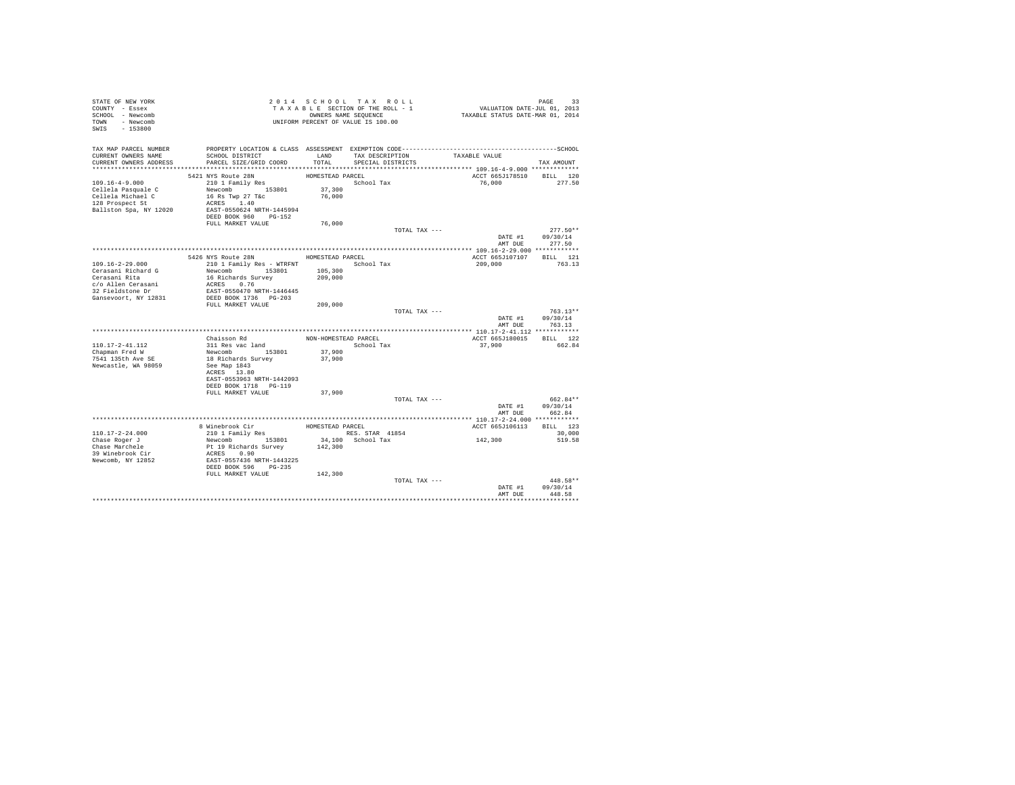| STATE OF NEW YORK<br>COUNTY - Essex<br>SCHOOL - Newcomb<br>TOWN - Newcomb<br>SWIS - 153800 |                                           |                      | 2014 SCHOOL TAX ROLL<br>TAXABLE SECTION OF THE ROLL - 1<br>OWNERS NAME SEQUENCE<br>UNIFORM PERCENT OF VALUE IS 100.00 | PAGE 33<br>VALUATION DATE-JUL 01, 2013<br>TAXABLE STATUS DATE-MAR 01, 2014 |                            |
|--------------------------------------------------------------------------------------------|-------------------------------------------|----------------------|-----------------------------------------------------------------------------------------------------------------------|----------------------------------------------------------------------------|----------------------------|
| TAX MAP PARCEL NUMBER                                                                      |                                           |                      |                                                                                                                       |                                                                            |                            |
| CURRENT OWNERS NAME<br>CURRENT OWNERS ADDRESS                                              | SCHOOL DISTRICT<br>PARCEL SIZE/GRID COORD | LAND<br>TOTAL        | TAX DESCRIPTION<br>SPECIAL DISTRICTS                                                                                  | TAXABLE VALUE                                                              |                            |
|                                                                                            |                                           |                      |                                                                                                                       |                                                                            | TAX AMOUNT                 |
|                                                                                            | 5421 NYS Route 28N                        | HOMESTEAD PARCEL     |                                                                                                                       | ACCT 665J178510 BILL 120                                                   |                            |
| $109.16 - 4 - 9.000$                                                                       | 210 1 Family Res                          |                      | School Tax                                                                                                            | 76,000                                                                     | 277.50                     |
| Cellela Pasquale C                                                                         | Newcomb 153801                            | 37,300               |                                                                                                                       |                                                                            |                            |
| Cellela Michael C                                                                          | 16 Rs Twp 27 T&c                          | 76,000               |                                                                                                                       |                                                                            |                            |
| 128 Prospect St<br>Ballston Spa, NY 12020                                                  | ACRES 1.40<br>EAST-0550624 NRTH-1445994   |                      |                                                                                                                       |                                                                            |                            |
|                                                                                            | DEED BOOK 960 PG-152                      |                      |                                                                                                                       |                                                                            |                            |
|                                                                                            | FULL MARKET VALUE                         | 76,000               |                                                                                                                       |                                                                            |                            |
|                                                                                            |                                           |                      | TOTAL TAX ---                                                                                                         |                                                                            | $277.50**$                 |
|                                                                                            |                                           |                      |                                                                                                                       | DATE #1                                                                    | 09/30/14                   |
|                                                                                            |                                           |                      |                                                                                                                       | AMT DUE                                                                    | 277.50                     |
|                                                                                            | 5426 NYS Route 28N                        | HOMESTEAD PARCEL     |                                                                                                                       | ACCT 665J107107                                                            | BILL 121                   |
| 109.16-2-29.000                                                                            | 210 1 Family Res - WTRFNT School Tax      |                      |                                                                                                                       | 209,000                                                                    | 763.13                     |
| Cerasani Richard G                                                                         | Newcomb 153801                            | 105,300              |                                                                                                                       |                                                                            |                            |
| Cerasani Rita                                                                              | 16 Richards Survey                        | 209,000              |                                                                                                                       |                                                                            |                            |
| c/o Allen Cerasani<br>32 Fieldstone Dr                                                     | ACRES 0.76<br>EAST-0550470 NRTH-1446445   |                      |                                                                                                                       |                                                                            |                            |
| Gansevoort, NY 12831                                                                       | DEED BOOK 1736 PG-203                     |                      |                                                                                                                       |                                                                            |                            |
|                                                                                            | FULL MARKET VALUE                         | 209,000              |                                                                                                                       |                                                                            |                            |
|                                                                                            |                                           |                      | TOTAL TAX ---                                                                                                         |                                                                            | $763.13**$                 |
|                                                                                            |                                           |                      |                                                                                                                       | DATE #1                                                                    | 09/30/14                   |
|                                                                                            |                                           |                      |                                                                                                                       | AMT DUE                                                                    | 763.13                     |
|                                                                                            | Chaisson Rd                               | NON-HOMESTEAD PARCEL |                                                                                                                       | ACCT 665J180015 BILL 122                                                   |                            |
| 110.17-2-41.112                                                                            | 311 Res vac land<br>Newcomb 153801        |                      | School Tax                                                                                                            | 37,900                                                                     | 662.84                     |
| Chapman Fred W                                                                             |                                           | 37,900               |                                                                                                                       |                                                                            |                            |
| 7541 135th Ave SE                                                                          | 18 Richards Survey                        | 37,900               |                                                                                                                       |                                                                            |                            |
| Newcastle, WA 98059                                                                        | See Map 1843<br>ACRES 13.80               |                      |                                                                                                                       |                                                                            |                            |
|                                                                                            | EAST-0553963 NRTH-1442093                 |                      |                                                                                                                       |                                                                            |                            |
|                                                                                            | DEED BOOK 1718 PG-119                     |                      |                                                                                                                       |                                                                            |                            |
|                                                                                            | FULL MARKET VALUE                         | 37,900               |                                                                                                                       |                                                                            |                            |
|                                                                                            |                                           |                      | TOTAL TAX ---                                                                                                         |                                                                            | 662.84**                   |
|                                                                                            |                                           |                      |                                                                                                                       | AMT DUE                                                                    | DATE #1 09/30/14<br>662.84 |
|                                                                                            |                                           |                      |                                                                                                                       | ****************** 110.17-2-24.000 ************                            |                            |
|                                                                                            | 8 Winebrook Cir<br>210 1 Family Res       | HOMESTEAD PARCEL     |                                                                                                                       | ACCT 665J106113                                                            | BILL 123                   |
| 110.17-2-24.000                                                                            |                                           |                      | RES. STAR 41854                                                                                                       |                                                                            | 30,000                     |
|                                                                                            | Newcomb 153801                            |                      | 34,100 School Tax                                                                                                     | 142,300                                                                    | 519.58                     |
| Chase Roger J<br>Chase Marchele<br>39 Winebrook Cir                                        | Pt 19 Richards Survey<br>ACRES 0.90       | 142,300              |                                                                                                                       |                                                                            |                            |
| Newcomb, NY 12852                                                                          | EAST-0557436 NRTH-1443225                 |                      |                                                                                                                       |                                                                            |                            |
|                                                                                            | DEED BOOK 596 PG-235                      |                      |                                                                                                                       |                                                                            |                            |
|                                                                                            | FULL MARKET VALUE 142,300                 |                      |                                                                                                                       |                                                                            |                            |
|                                                                                            |                                           |                      | TOTAL TAX ---                                                                                                         | DATE #1                                                                    | 448.58**<br>09/30/14       |
|                                                                                            |                                           |                      |                                                                                                                       | AMT DUE                                                                    | 448.58                     |
|                                                                                            |                                           |                      |                                                                                                                       |                                                                            |                            |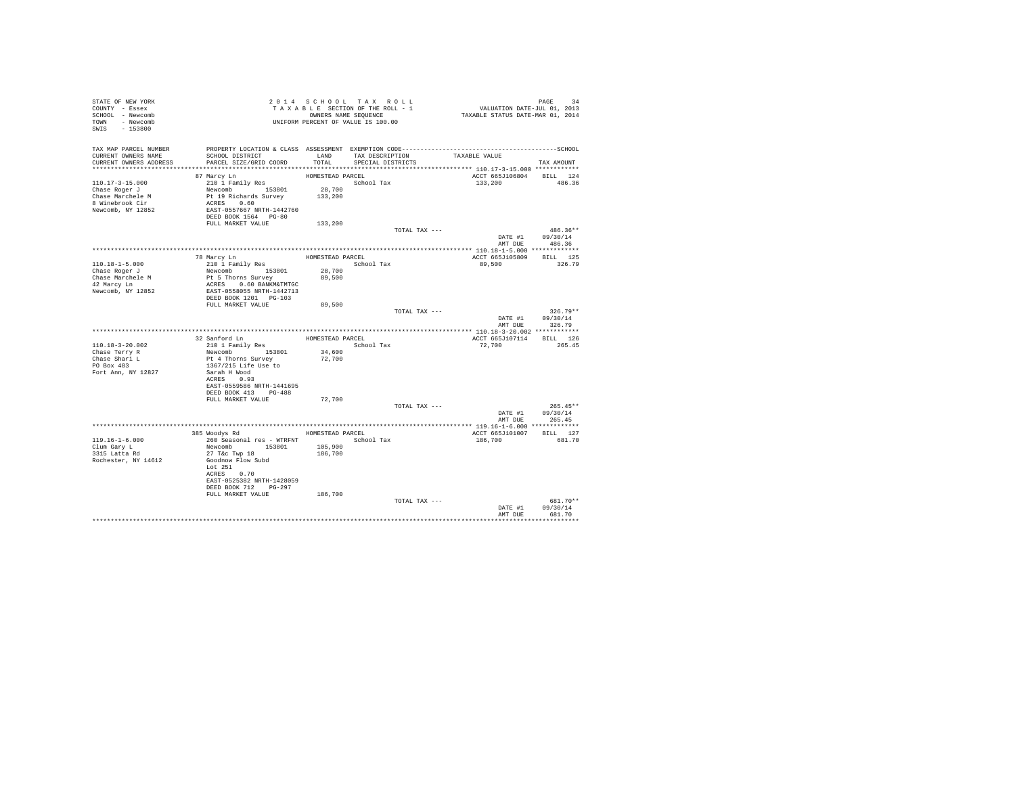| STATE OF NEW YORK<br>COUNTY - Essex<br>SCHOOL - Newcomb<br>TOWN - Newcomb<br>SWIS - 153800   |                                                                                                                                                                                                   |                                                    | 2014 SCHOOL TAX ROLL<br>TAXABLE SECTION OF THE ROLL - 1<br>OWNERS NAME SEQUENCE<br>UNIFORM PERCENT OF VALUE IS 100.00 | PAGE 34<br>VALUATION DATE-JUL 01, 2013<br>TAXABLE STATUS DATE-MAR 01, 2014 |                                          |
|----------------------------------------------------------------------------------------------|---------------------------------------------------------------------------------------------------------------------------------------------------------------------------------------------------|----------------------------------------------------|-----------------------------------------------------------------------------------------------------------------------|----------------------------------------------------------------------------|------------------------------------------|
| TAX MAP PARCEL NUMBER<br>CURRENT OWNERS NAME<br>CURRENT OWNERS ADDRESS                       | SCHOOL DISTRICT<br>PARCEL SIZE/GRID COORD                                                                                                                                                         | LAND<br>TOTAL                                      | TAX DESCRIPTION<br>SPECIAL DISTRICTS                                                                                  | TAXABLE VALUE                                                              | TAX AMOUNT                               |
| 110.17-3-15.000<br>Chase Roger J<br>Chase Marchele M<br>8 Winebrook Cir<br>Newcomb, NY 12852 | 87 Marcy Ln<br>210 1 Family Res<br>Newcomb 153801<br>Pt 19 Richards Survey<br>ACRES 0.60<br>EAST-0557667 NRTH-1442760<br>DEED BOOK 1564 PG-80                                                     | HOMESTEAD PARCEL<br>28,700<br>133,200              | School Tax                                                                                                            | ACCT 665J106804<br>133,200                                                 | BILL 124<br>486.36                       |
|                                                                                              | FULL MARKET VALUE                                                                                                                                                                                 | 133,200                                            | TOTAL TAX ---                                                                                                         |                                                                            | $486.36**$<br>DATE #1 09/30/14           |
| 110.18-1-5.000<br>Chase Roger J<br>Chase Marchele M<br>42 Marcy Ln<br>Newcomb, NY 12852      | 78 Marcy Ln<br>210 1 Family Res<br>Newcomb 153801<br>Pt 5 Thorns Survey<br>ACRES 0.60 BANKM&TMTGC<br>EAST-0558055 NRTH-1442713<br>DEED BOOK 1201 PG-103                                           | HOMESTEAD PARCEL<br>School Tax<br>28,700<br>89,500 |                                                                                                                       | ACCT 665J105809 BILL 125<br>89,500                                         | AMT DUE 486.36<br>326.79                 |
|                                                                                              | FULL MARKET VALUE                                                                                                                                                                                 | 89,500                                             | TOTAL TAX ---                                                                                                         | DATE #1<br>AMT DUE                                                         | $326.79**$<br>09/30/14<br>326.79         |
|                                                                                              |                                                                                                                                                                                                   |                                                    |                                                                                                                       |                                                                            |                                          |
|                                                                                              | 32 Sanford Ln                                                                                                                                                                                     | HOMESTEAD PARCEL                                   |                                                                                                                       | ACCT 665J107114 BILL 126                                                   |                                          |
| $110.18 - 3 - 20.002$                                                                        | 210 1 Family Res                                                                                                                                                                                  |                                                    | School Tax                                                                                                            | 72,700                                                                     | 265.45                                   |
| Chase Terry R<br>Chase Shari L<br>PO Box 483<br>Fort Ann, NY 12827                           | Newcomb 153801<br>Pt 4 Thorns Survey<br>1367/215 Life Use to<br>Sarah H Wood<br>ACRES 0.93<br>EAST-0559586 NRTH-1441695<br>DEED BOOK 413 PG-488                                                   | 34,600<br>72,700                                   |                                                                                                                       |                                                                            |                                          |
|                                                                                              | FULL MARKET VALUE                                                                                                                                                                                 | 72,700                                             |                                                                                                                       |                                                                            |                                          |
|                                                                                              |                                                                                                                                                                                                   |                                                    | TOTAL TAX ---                                                                                                         | DATE #1                                                                    | $265.45**$<br>09/30/14<br>AMT DUE 265.45 |
|                                                                                              |                                                                                                                                                                                                   |                                                    |                                                                                                                       |                                                                            |                                          |
| $119.16 - 1 - 6.000$<br>Clum Garv L<br>3315 Latta Rd<br>Rochester, NY 14612                  | 385 Woodys Rd MOMESTEAD PARCEL<br>260 Seasonal res - WTRFNT<br>Newcomb 153801<br>27 T&C Twp 18<br>Goodnow Flow Subd<br>Lot 251<br>ACRES 0.70<br>EAST-0525382 NRTH-1428059<br>DEED BOOK 712 PG-297 | 105,900<br>186,700                                 | School Tax                                                                                                            | ACCT 665J101007<br>186,700                                                 | BILL 127<br>681.70                       |
|                                                                                              | FULL MARKET VALUE                                                                                                                                                                                 | 186,700                                            | TOTAL TAX ---                                                                                                         | DATE #1                                                                    | 681.70**<br>09/30/14                     |
|                                                                                              |                                                                                                                                                                                                   |                                                    |                                                                                                                       | AMT DUE                                                                    | 681.70                                   |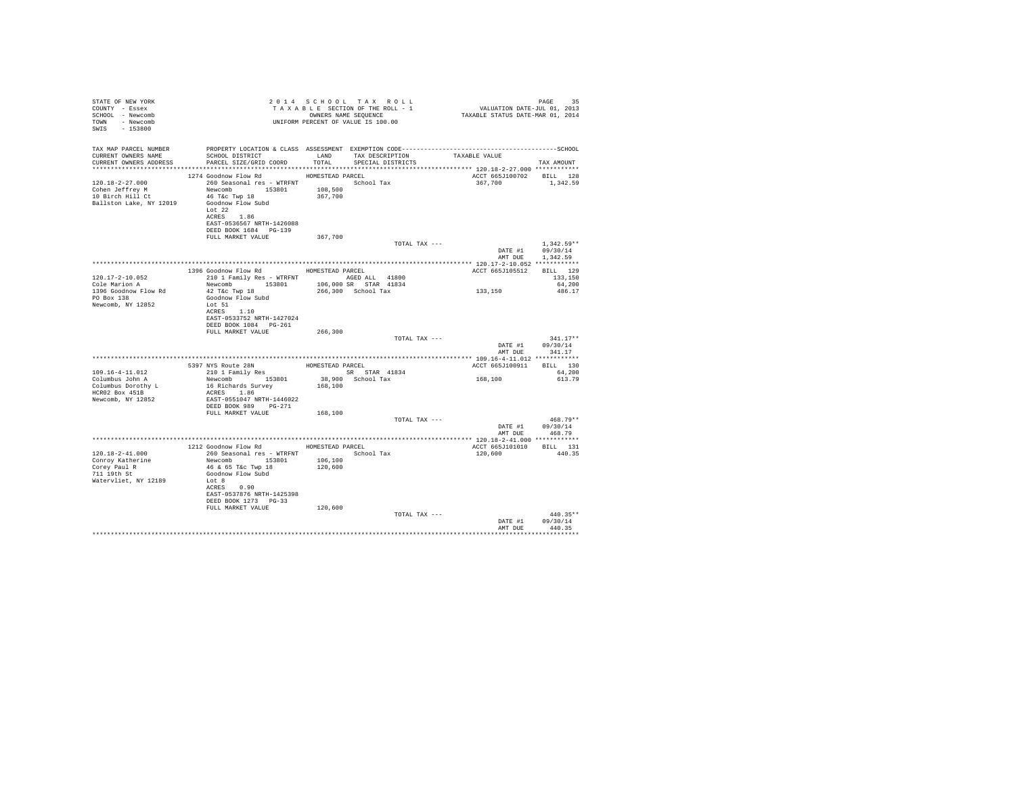| STATE OF NEW YORK<br>COUNTY - Essex<br>SCHOOL - Newcomb<br>TOWN - Newcomb<br>SWIS - 153800 |                                                                                                                                                                                    |                    | 2014 SCHOOL TAX ROLL<br>TAXABLE SECTION OF THE ROLL - 1<br>OWNERS NAME SEQUENCE<br>UNIFORM PERCENT OF VALUE IS 100.00 | PAGE 35<br>VALUATION DATE-JUL 01, 2013<br>TAXABLE STATUS DATE-MAR 01, 2014 |                                      |
|--------------------------------------------------------------------------------------------|------------------------------------------------------------------------------------------------------------------------------------------------------------------------------------|--------------------|-----------------------------------------------------------------------------------------------------------------------|----------------------------------------------------------------------------|--------------------------------------|
| TAX MAP PARCEL NUMBER                                                                      |                                                                                                                                                                                    |                    |                                                                                                                       |                                                                            |                                      |
| CURRENT OWNERS NAME<br>CURRENT OWNERS ADDRESS                                              | SCHOOL DISTRICT<br>PARCEL SIZE/GRID COORD                                                                                                                                          | LAND<br>TOTAL      | TAX DESCRIPTION TAXABLE VALUE<br>SPECIAL DISTRICTS                                                                    |                                                                            | TAX AMOUNT                           |
|                                                                                            |                                                                                                                                                                                    |                    |                                                                                                                       |                                                                            |                                      |
|                                                                                            | 1274 Goodnow Flow Rd                                                                                                                                                               | HOMESTEAD PARCEL   |                                                                                                                       | ACCT 665J100702                                                            | BILL 128                             |
| $120.18 - 2 - 27.000$<br>Cohen Jeffrey M<br>10 Birch Hill Ct<br>Ballston Lake, NY 12019    | 260 Seasonal res - WTRFNT School Tax<br>Newcomb 153801 108,500<br>46 T&c Twp 18<br>Goodnow Flow Subd<br>Lot 22<br>ACRES 1.86<br>EAST-0536567 NRTH-1426088<br>DEED BOOK 1684 PG-139 | 367,700            |                                                                                                                       | 367,700                                                                    | 1,342.59                             |
|                                                                                            | FULL MARKET VALUE                                                                                                                                                                  | 367,700            |                                                                                                                       |                                                                            |                                      |
|                                                                                            |                                                                                                                                                                                    |                    | TOTAL TAX ---                                                                                                         | DATE #1<br>AMT DUR                                                         | $1.342.59**$<br>09/30/14<br>1,342.59 |
|                                                                                            |                                                                                                                                                                                    |                    |                                                                                                                       |                                                                            |                                      |
|                                                                                            | 1396 Goodnow Flow Rd HOMESTEAD PARCEL                                                                                                                                              |                    |                                                                                                                       | ACCT 665J105512                                                            | BILL 129                             |
| 120.17-2-10.052                                                                            | 210 1 Family Res - WTRFNT AGED ALL 41800                                                                                                                                           |                    |                                                                                                                       |                                                                            | 133,150                              |
| Cole Marion A<br>1396 Goodnow Flow Rd                                                      | Newcomb 153801 106,000 SR STAR 41834<br>42 T&C Twp 18                                                                                                                              |                    | 266,300 School Tax                                                                                                    | 133,150                                                                    | 64,200<br>486.17                     |
| PO Box 138<br>Newcomb, NY 12852                                                            | Goodnow Flow Subd<br>Lot 51<br>ACRES 1.10<br>EAST-0533752 NRTH-1427024<br>DEED BOOK 1084    PG-261                                                                                 |                    |                                                                                                                       |                                                                            |                                      |
|                                                                                            | FULL MARKET VALUE                                                                                                                                                                  | 266,300            |                                                                                                                       |                                                                            |                                      |
|                                                                                            |                                                                                                                                                                                    |                    | TOTAL TAX ---                                                                                                         | DATE #1<br>AMT DUE                                                         | $341.17**$<br>09/30/14<br>341.17     |
|                                                                                            |                                                                                                                                                                                    |                    |                                                                                                                       |                                                                            |                                      |
|                                                                                            | 5397 NYS Route 28N                                                                                                                                                                 | HOMESTEAD PARCEL   |                                                                                                                       | ACCT 665J100911 BILL 130                                                   |                                      |
| $109.16 - 4 - 11.012$                                                                      | 210 1 Family Res                                                                                                                                                                   |                    | SR STAR 41834                                                                                                         |                                                                            | 64,200                               |
| Columbus John A<br>Columbus Dorothy L<br>HCR02 Box 451B                                    | Newcomb 153801<br>16 Richards Survey<br>ACRES 1.86                                                                                                                                 | 168,100            | 38,900 School Tax                                                                                                     | 168,100                                                                    | 613.79                               |
| Newcomb, NY 12852                                                                          | EAST-0551047 NRTH-1446022<br>DEED BOOK 989 PG-271                                                                                                                                  |                    |                                                                                                                       |                                                                            |                                      |
|                                                                                            | FULL MARKET VALUE                                                                                                                                                                  | 168,100            | TOTAL TAX ---                                                                                                         |                                                                            | $468.79**$                           |
|                                                                                            |                                                                                                                                                                                    |                    |                                                                                                                       | DATE #1<br>AMT DUE                                                         | 09/30/14<br>468.79                   |
|                                                                                            | 1212 Goodnow Flow Rd MOMESTEAD PARCEL                                                                                                                                              |                    |                                                                                                                       | ACCT 665J101010                                                            | BILL 131                             |
| $120.18 - 2 - 41.000$                                                                      | 260 Seasonal res - WTRFNT                                                                                                                                                          |                    | School Tax                                                                                                            | 120,600                                                                    | 440.35                               |
| Conroy Katherine<br>Corey Paul R<br>711 19th St<br>Watervliet, NY 12189                    | Newcomb 153801<br>46 & 65 T&c Twp 18<br>Goodnow Flow Subd<br>Lot 8<br>ACRES 0.90<br>EAST-0537876 NRTH-1425398<br>DEED BOOK 1273 PG-33                                              | 106,100<br>120,600 |                                                                                                                       |                                                                            |                                      |
|                                                                                            | FULL MARKET VALUE                                                                                                                                                                  | 120,600            |                                                                                                                       |                                                                            |                                      |
|                                                                                            |                                                                                                                                                                                    |                    | TOTAL TAX ---                                                                                                         | DATE #1<br>AMT DUE                                                         | $440.35**$<br>09/30/14<br>440.35     |
|                                                                                            |                                                                                                                                                                                    |                    |                                                                                                                       |                                                                            |                                      |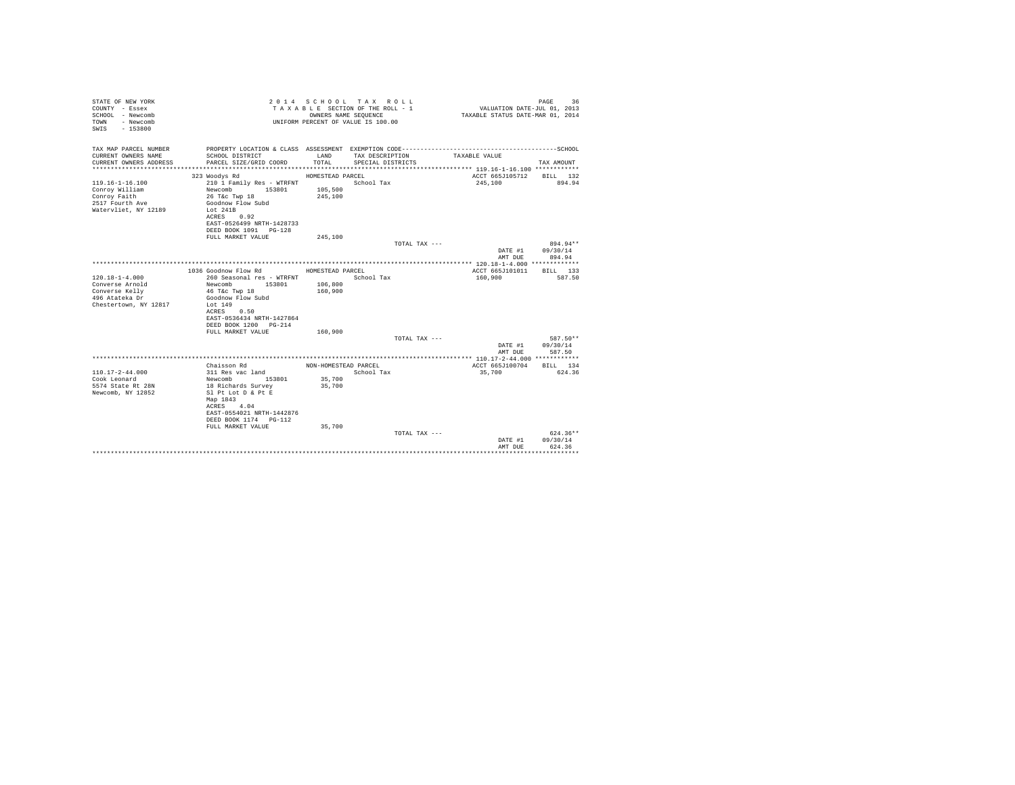| STATE OF NEW YORK<br>COUNTY - Essex<br>SCHOOL - Newcomb<br>- Newcomb<br>TOWN<br>$-153800$<br>SWTS |                                                                            | OWNERS NAME SEQUENCE | 2014 SCHOOL TAX ROLL<br>TAXABLE SECTION OF THE ROLL - 1<br>UNIFORM PERCENT OF VALUE IS 100.00 | VALUATION DATE-JUL 01, 2013<br>TAXABLE STATUS DATE-MAR 01, 2014 | 36<br>PAGE               |
|---------------------------------------------------------------------------------------------------|----------------------------------------------------------------------------|----------------------|-----------------------------------------------------------------------------------------------|-----------------------------------------------------------------|--------------------------|
| TAX MAP PARCEL NUMBER                                                                             | PROPERTY LOCATION & CLASS ASSESSMENT EXEMPTION CODE----------------------- |                      |                                                                                               |                                                                 | ------------------SCHOOL |
| CURRENT OWNERS NAME<br>CURRENT OWNERS ADDRESS                                                     | SCHOOL DISTRICT<br>PARCEL SIZE/GRID COORD                                  | LAND<br>TOTAL.       | TAX DESCRIPTION<br>SPECIAL DISTRICTS                                                          | TAXABLE VALUE                                                   | TAX AMOUNT               |
|                                                                                                   |                                                                            |                      |                                                                                               |                                                                 |                          |
|                                                                                                   | 323 Woodys Rd                                                              | HOMESTEAD PARCEL     |                                                                                               | ACCT 665J105712                                                 | BILL 132                 |
| $119.16 - 1 - 16.100$                                                                             | 210 1 Family Res - WTRFNT                                                  |                      | School Tax                                                                                    | 245,100                                                         | 894.94                   |
| Conroy William<br>Conroy Faith                                                                    | Newcomb<br>153801<br>26 T&C Twp 18                                         | 105,500<br>245,100   |                                                                                               |                                                                 |                          |
| 2517 Fourth Ave                                                                                   | Goodnow Flow Subd                                                          |                      |                                                                                               |                                                                 |                          |
| Watervliet, NY 12189                                                                              | Lot $241B$                                                                 |                      |                                                                                               |                                                                 |                          |
|                                                                                                   | ACRES 0.92                                                                 |                      |                                                                                               |                                                                 |                          |
|                                                                                                   | EAST-0526499 NRTH-1428733                                                  |                      |                                                                                               |                                                                 |                          |
|                                                                                                   | DEED BOOK 1091 PG-128<br>FULL MARKET VALUE                                 | 245,100              |                                                                                               |                                                                 |                          |
|                                                                                                   |                                                                            |                      | TOTAL TAX ---                                                                                 |                                                                 | 894.94**                 |
|                                                                                                   |                                                                            |                      |                                                                                               | DATE #1                                                         | 09/30/14                 |
|                                                                                                   |                                                                            |                      |                                                                                               | AMT DUE                                                         | 894.94                   |
|                                                                                                   | 1036 Goodnow Flow Rd                                                       | HOMESTEAD PARCEL     |                                                                                               | ACCT 665J101011                                                 | RTLL 133                 |
| $120.18 - 1 - 4.000$                                                                              | 260 Seasonal res - WTRFNT                                                  |                      | School Tax                                                                                    | 160,900                                                         | 587.50                   |
| Converse Arnold                                                                                   | Newcomb 153801                                                             | 106,800              |                                                                                               |                                                                 |                          |
| Converse Kelly                                                                                    | 46 T&c Twp 18                                                              | 160,900              |                                                                                               |                                                                 |                          |
| 496 Atateka Dr                                                                                    | Goodnow Flow Subd                                                          |                      |                                                                                               |                                                                 |                          |
| Chestertown, NY 12817                                                                             | Lot 149<br>ACRES 0.50                                                      |                      |                                                                                               |                                                                 |                          |
|                                                                                                   | EAST-0536434 NRTH-1427864                                                  |                      |                                                                                               |                                                                 |                          |
|                                                                                                   | DEED BOOK 1200 PG-214                                                      |                      |                                                                                               |                                                                 |                          |
|                                                                                                   | FULL MARKET VALUE                                                          | 160,900              |                                                                                               |                                                                 |                          |
|                                                                                                   |                                                                            |                      | TOTAL TAX ---                                                                                 |                                                                 | 587.50**                 |
|                                                                                                   |                                                                            |                      |                                                                                               | DATE #1<br>AMT DUE                                              | 09/30/14<br>587.50       |
|                                                                                                   |                                                                            |                      |                                                                                               |                                                                 |                          |
|                                                                                                   | Chaisson Rd                                                                | NON-HOMESTEAD PARCEL |                                                                                               | ACCT 665J100704                                                 | BILL 134                 |
| $110.17 - 2 - 44.000$                                                                             | 311 Res vac land                                                           |                      | School Tax                                                                                    | 35,700                                                          | 624.36                   |
| Cook Leonard<br>5574 State Rt 28N                                                                 | 153801<br>Newcomb<br>18 Richards Survey                                    | 35,700<br>35,700     |                                                                                               |                                                                 |                          |
| Newcomb, NY 12852                                                                                 | Sl Pt Lot D & Pt E                                                         |                      |                                                                                               |                                                                 |                          |
|                                                                                                   | Map 1843                                                                   |                      |                                                                                               |                                                                 |                          |
|                                                                                                   | ACRES 4.04                                                                 |                      |                                                                                               |                                                                 |                          |
|                                                                                                   | EAST-0554021 NRTH-1442876                                                  |                      |                                                                                               |                                                                 |                          |
|                                                                                                   | DEED BOOK 1174   PG-112<br>FULL MARKET VALUE                               | 35,700               |                                                                                               |                                                                 |                          |
|                                                                                                   |                                                                            |                      | TOTAL TAX ---                                                                                 |                                                                 | $624.36**$               |
|                                                                                                   |                                                                            |                      |                                                                                               | DATE #1                                                         | 09/30/14                 |
|                                                                                                   |                                                                            |                      |                                                                                               | AMT DUE                                                         | 624.36                   |
|                                                                                                   |                                                                            |                      |                                                                                               |                                                                 |                          |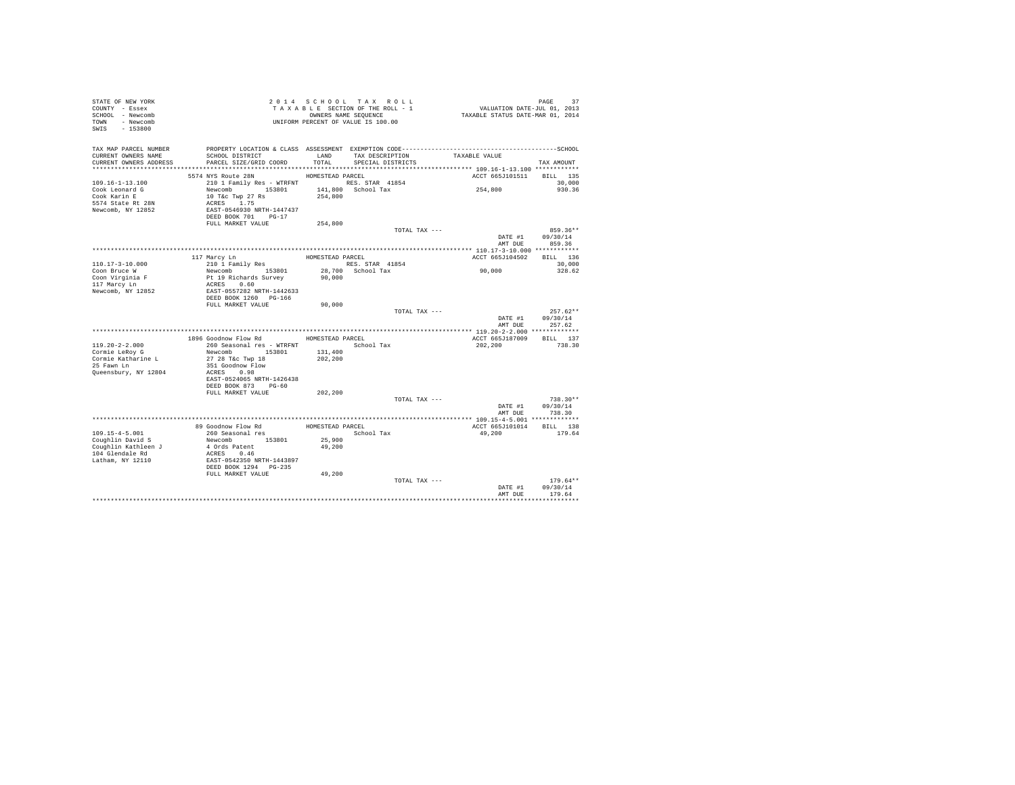| STATE OF NEW YORK<br>COUNTY - Essex<br>SCHOOL - Newcomb<br>TOWN - Newcomb<br>SWIS - 153800 |                                           |                  | 2014 SCHOOL TAX ROLL<br>TAXABLE SECTION OF THE ROLL - 1<br>OWNERS NAME SEQUENCE<br>UNIFORM PERCENT OF VALUE IS 100.00 | PAGE 37<br>VALUATION DATE-JUL 01, 2013<br>TAXABLE STATUS DATE-MAR 01, 2014 |                            |
|--------------------------------------------------------------------------------------------|-------------------------------------------|------------------|-----------------------------------------------------------------------------------------------------------------------|----------------------------------------------------------------------------|----------------------------|
| TAX MAP PARCEL NUMBER                                                                      |                                           |                  |                                                                                                                       |                                                                            |                            |
| CURRENT OWNERS NAME<br>CURRENT OWNERS ADDRESS                                              | SCHOOL DISTRICT<br>PARCEL SIZE/GRID COORD | LAND<br>TOTAL    | TAX DESCRIPTION<br>SPECIAL DISTRICTS                                                                                  | TAXABLE VALUE                                                              |                            |
|                                                                                            |                                           |                  |                                                                                                                       |                                                                            | TAX AMOUNT                 |
|                                                                                            | 5574 NYS Route 28N                        | HOMESTEAD PARCEL |                                                                                                                       | ACCT 665J101511 BILL 135                                                   |                            |
| $109.16 - 1 - 13.100$                                                                      | 210 1 Family Res - WTRFNT NES. STAR 41854 |                  |                                                                                                                       |                                                                            | 30,000                     |
| Cook Leonard G                                                                             | Newcomb 153801 141,800 School Tax         |                  |                                                                                                                       | 254,800                                                                    | 930.36                     |
| Cook Karin E                                                                               | 10 T&c Twp 27 Rs                          | 254,800          |                                                                                                                       |                                                                            |                            |
| 5574 State Rt 28N<br>Newcomb, NY 12852                                                     | ACRES 1.75<br>EAST-0546930 NRTH-1447437   |                  |                                                                                                                       |                                                                            |                            |
|                                                                                            | DEED BOOK 701 PG-17                       |                  |                                                                                                                       |                                                                            |                            |
|                                                                                            | FULL MARKET VALUE                         | 254,800          |                                                                                                                       |                                                                            |                            |
|                                                                                            |                                           |                  | TOTAL TAX ---                                                                                                         |                                                                            | 859.36**                   |
|                                                                                            |                                           |                  |                                                                                                                       | DATE #1                                                                    | 09/30/14                   |
|                                                                                            |                                           |                  |                                                                                                                       | AMT DUE                                                                    | 859.36                     |
|                                                                                            | 117 Marcy Ln                              | HOMESTEAD PARCEL |                                                                                                                       | ACCT 665J104502                                                            | BILL 136                   |
| 110.17-3-10.000                                                                            | 210 l Family Res                          |                  | RES. STAR 41854                                                                                                       |                                                                            | 30,000                     |
| Coon Bruce W                                                                               | Newcomb 153801                            |                  | 28,700 School Tax                                                                                                     | 90,000                                                                     | 328.62                     |
| Coon Virginia F                                                                            | Pt 19 Richards Survey                     | 90,000           |                                                                                                                       |                                                                            |                            |
| 117 Marcy Ln<br>Newcomb, NY 12852                                                          | ACRES 0.60<br>EAST-0557282 NRTH-1442633   |                  |                                                                                                                       |                                                                            |                            |
|                                                                                            | DEED BOOK 1260 PG-166                     |                  |                                                                                                                       |                                                                            |                            |
|                                                                                            | FULL MARKET VALUE                         | 90,000           |                                                                                                                       |                                                                            |                            |
|                                                                                            |                                           |                  | TOTAL TAX ---                                                                                                         |                                                                            | $257.62**$                 |
|                                                                                            |                                           |                  |                                                                                                                       |                                                                            | DATE #1 09/30/14           |
|                                                                                            |                                           |                  |                                                                                                                       | AMT DUE                                                                    | 257.62                     |
|                                                                                            | 1896 Goodnow Flow Rd MOMESTEAD PARCEL     |                  |                                                                                                                       | ACCT 665J187009                                                            | BILL 137                   |
| $119.20 - 2 - 2.000$                                                                       | 260 Seasonal res - WTRFNT                 |                  | School Tax                                                                                                            | 202,200                                                                    | 738.30                     |
| Cormie LeRov G                                                                             | Newcomb 153801                            | 131,400          |                                                                                                                       |                                                                            |                            |
| Cormie Katharine L                                                                         | 27 28 T&c Twp 18                          | 202,200          |                                                                                                                       |                                                                            |                            |
| 25 Fawn Ln<br>Queensbury, NY 12804                                                         | 351 Goodnow Flow<br>ACRES 0.98            |                  |                                                                                                                       |                                                                            |                            |
|                                                                                            | EAST-0524065 NRTH-1426438                 |                  |                                                                                                                       |                                                                            |                            |
|                                                                                            | DEED BOOK 873 PG-60                       |                  |                                                                                                                       |                                                                            |                            |
|                                                                                            | FULL MARKET VALUE                         | 202,200          |                                                                                                                       |                                                                            |                            |
|                                                                                            |                                           |                  | TOTAL TAX ---                                                                                                         |                                                                            | $738.30**$                 |
|                                                                                            |                                           |                  |                                                                                                                       | AMT DUE                                                                    | DATE #1 09/30/14<br>738.30 |
|                                                                                            |                                           |                  |                                                                                                                       | ******************** 109.15-4-5.001 *************                          |                            |
|                                                                                            | 89 Goodnow Flow Rd                        | HOMESTEAD PARCEL |                                                                                                                       | ACCT 665J101014                                                            | BILL 138                   |
| $109.15 - 4 - 5.001$                                                                       | 260 Seasonal res                          |                  | School Tax                                                                                                            | 49,200                                                                     | 179.64                     |
| Coughlin David S                                                                           | Newcomb 153801                            | 25,900           |                                                                                                                       |                                                                            |                            |
| Coughlin Kathleen J<br>104 Glendale Rd                                                     | 4 Ords Patent<br>ACRES 0.46               | 49,200           |                                                                                                                       |                                                                            |                            |
| Latham, NY 12110                                                                           | EAST-0542350 NRTH-1443897                 |                  |                                                                                                                       |                                                                            |                            |
|                                                                                            | DEED BOOK 1294 PG-235                     |                  |                                                                                                                       |                                                                            |                            |
|                                                                                            | FULL MARKET VALUE                         | 49,200           |                                                                                                                       |                                                                            |                            |
|                                                                                            |                                           |                  | TOTAL TAX ---                                                                                                         |                                                                            | $179.64**$                 |
|                                                                                            |                                           |                  |                                                                                                                       | DATE #1<br>AMT DUE                                                         | 09/30/14<br>179.64         |
|                                                                                            |                                           |                  |                                                                                                                       |                                                                            |                            |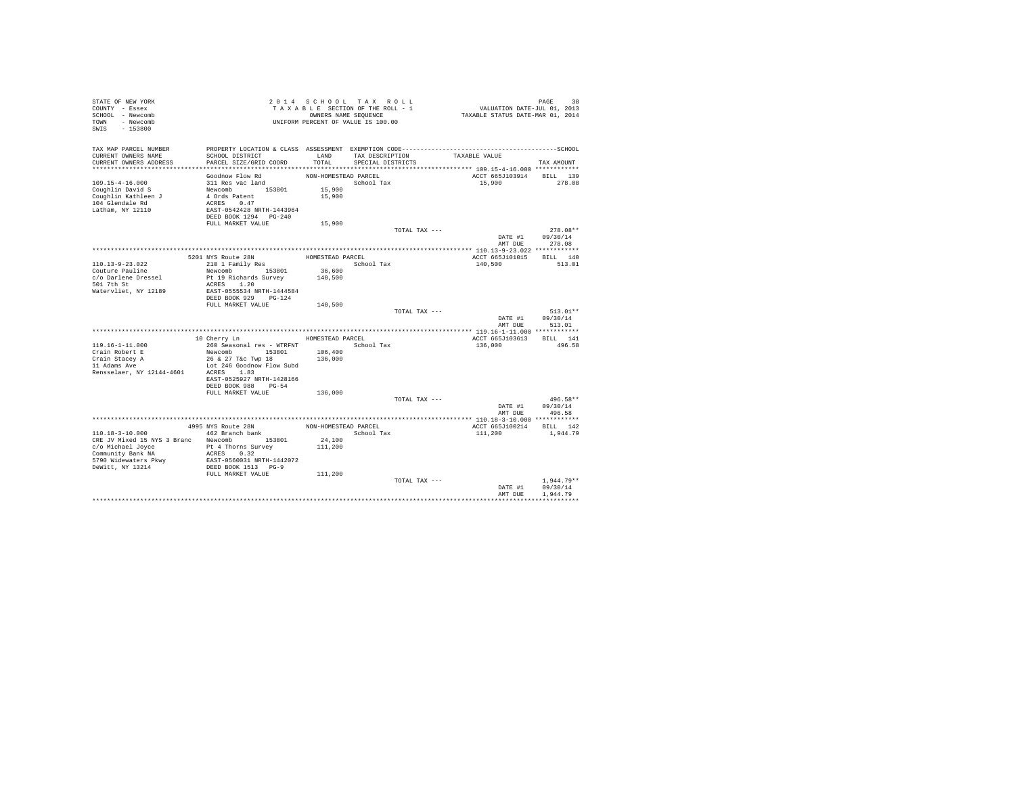| STATE OF NEW YORK<br>COUNTY - Essex<br>SCHOOL - Newcomb<br>TOWN - Newcomb<br>SWIS<br>$-153800$ |                                                  |                      | 2014 SCHOOL TAX ROLL<br>TAXABLE SECTION OF THE ROLL - 1<br>OWNERS NAME SEQUENCE<br>UNIFORM PERCENT OF VALUE IS 100.00 |               | PAGE 38<br>VALUATION DATE-JUL 01, 2013<br>TAXABLE STATUS DATE-MAR 01, 2014 |                    |            |
|------------------------------------------------------------------------------------------------|--------------------------------------------------|----------------------|-----------------------------------------------------------------------------------------------------------------------|---------------|----------------------------------------------------------------------------|--------------------|------------|
| TAX MAP PARCEL NUMBER                                                                          |                                                  |                      |                                                                                                                       |               |                                                                            |                    |            |
| CURRENT OWNERS NAME                                                                            | SCHOOL DISTRICT                                  | LAND                 | TAX DESCRIPTION                                                                                                       |               | TAXABLE VALUE                                                              |                    |            |
| CURRENT OWNERS ADDRESS                                                                         | PARCEL SIZE/GRID COORD                           | TOTAL                | SPECIAL DISTRICTS                                                                                                     |               |                                                                            | TAX AMOUNT         |            |
|                                                                                                | Goodnow Flow Rd                                  | NON-HOMESTEAD PARCEL |                                                                                                                       |               | ACCT 665J103914 BILL 139                                                   |                    |            |
| $109.15 - 4 - 16.000$                                                                          | 311 Res vac land                                 |                      | School Tax                                                                                                            |               | 15,900                                                                     | 278.08             |            |
| Coughlin David S                                                                               |                                                  | 15,900               |                                                                                                                       |               |                                                                            |                    |            |
| Coughlin Kathleen J                                                                            | Newcomb 153801<br>4 Ords Patent                  | 15,900               |                                                                                                                       |               |                                                                            |                    |            |
| 104 Glendale Rd                                                                                | ACRES 0.47                                       |                      |                                                                                                                       |               |                                                                            |                    |            |
| Latham, NY 12110                                                                               | EAST-0542428 NRTH-1443964                        |                      |                                                                                                                       |               |                                                                            |                    |            |
|                                                                                                | DEED BOOK 1294 PG-240<br>FULL MARKET VALUE       | 15,900               |                                                                                                                       |               |                                                                            |                    |            |
|                                                                                                |                                                  |                      |                                                                                                                       | TOTAL TAX --- |                                                                            |                    | 278.08**   |
|                                                                                                |                                                  |                      |                                                                                                                       |               | DATE #1                                                                    | 09/30/14           |            |
|                                                                                                |                                                  |                      |                                                                                                                       |               | AMT DUE                                                                    | 278.08             |            |
|                                                                                                |                                                  |                      |                                                                                                                       |               |                                                                            |                    |            |
|                                                                                                | 5201 NYS Route 28N                               | HOMESTEAD PARCEL     |                                                                                                                       |               | ACCT 665J101015                                                            | BILL 140           |            |
| 110.13-9-23.022<br>Couture Pauline                                                             | 210 1 Family Res                                 | 36,600               | School Tax                                                                                                            |               | 140,500                                                                    | 513.01             |            |
| c/o Darlene Dressel                                                                            | Newcomb 153801<br>Pt 19 Richards Survey          | 140,500              |                                                                                                                       |               |                                                                            |                    |            |
| 501 7th St                                                                                     | ACRES 1.20                                       |                      |                                                                                                                       |               |                                                                            |                    |            |
| Watervliet, NY 12189                                                                           | EAST-0555534 NRTH-1444584                        |                      |                                                                                                                       |               |                                                                            |                    |            |
|                                                                                                | DEED BOOK 929 PG-124                             |                      |                                                                                                                       |               |                                                                            |                    |            |
|                                                                                                | FULL MARKET VALUE                                | 140,500              |                                                                                                                       |               |                                                                            |                    |            |
|                                                                                                |                                                  |                      |                                                                                                                       | TOTAL TAX --- | DATE #1                                                                    | 09/30/14           | $513.01**$ |
|                                                                                                |                                                  |                      |                                                                                                                       |               | AMT DUE                                                                    | 513.01             |            |
|                                                                                                |                                                  |                      |                                                                                                                       |               |                                                                            |                    |            |
|                                                                                                | 10 Cherry Ln                                     | HOMESTEAD PARCEL     |                                                                                                                       |               | ACCT 665J103613                                                            | BILL 141           |            |
| $119.16 - 1 - 11.000$                                                                          | 260 Seasonal res - WTRFNT                        |                      | School Tax                                                                                                            |               | 136,000                                                                    | 496.58             |            |
| Crain Robert E                                                                                 | Newcomb 153801                                   | 106,400              |                                                                                                                       |               |                                                                            |                    |            |
| Crain Stacey A<br>11 Adams Ave                                                                 | 26 & 27 T&c Twp 18<br>Lot 246 Goodnow Flow Subd  | 136,000              |                                                                                                                       |               |                                                                            |                    |            |
| Rensselaer, NY 12144-4601                                                                      | ACRES 1.83                                       |                      |                                                                                                                       |               |                                                                            |                    |            |
|                                                                                                | EAST-0525927 NRTH-1428166                        |                      |                                                                                                                       |               |                                                                            |                    |            |
|                                                                                                | DEED BOOK 988 PG-54                              |                      |                                                                                                                       |               |                                                                            |                    |            |
|                                                                                                | FULL MARKET VALUE                                | 136,000              |                                                                                                                       |               |                                                                            |                    |            |
|                                                                                                |                                                  |                      |                                                                                                                       | TOTAL TAX --- |                                                                            |                    | 496.58**   |
|                                                                                                |                                                  |                      |                                                                                                                       |               | DATE #1<br>AMT DUE                                                         | 09/30/14<br>496.58 |            |
|                                                                                                |                                                  |                      |                                                                                                                       |               | **************** 110.18-3-10.000 ************                              |                    |            |
|                                                                                                | 4995 NYS Route 28N                               | NON-HOMESTEAD PARCEL |                                                                                                                       |               | ACCT 665J100214                                                            | BILL 142           |            |
| 110.18-3-10.000                                                                                | 462 Branch bank                                  |                      | School Tax                                                                                                            |               | 111,200                                                                    | 1,944.79           |            |
| CRE JV Mixed 15 NYS 3 Branc Newcomb 153801                                                     |                                                  | 24,100               |                                                                                                                       |               |                                                                            |                    |            |
| c/o Michael Joyce                                                                              | Pt 4 Thorns Survey                               | 111,200              |                                                                                                                       |               |                                                                            |                    |            |
| Community Bank NA                                                                              | ACRES 0.32                                       |                      |                                                                                                                       |               |                                                                            |                    |            |
| 5790 Widewaters Pkwy<br>DeWitt, NY 13214                                                       | EAST-0560031 NRTH-1442072<br>DEED BOOK 1513 PG-9 |                      |                                                                                                                       |               |                                                                            |                    |            |
|                                                                                                | FULL MARKET VALUE                                | 111,200              |                                                                                                                       |               |                                                                            |                    |            |
|                                                                                                |                                                  |                      |                                                                                                                       | TOTAL TAX --- |                                                                            | $1.944.79**$       |            |
|                                                                                                |                                                  |                      |                                                                                                                       |               | DATE #1                                                                    | 09/30/14           |            |
|                                                                                                |                                                  |                      |                                                                                                                       |               | AMT DUE                                                                    | 1.944.79           |            |
|                                                                                                |                                                  |                      |                                                                                                                       |               |                                                                            |                    |            |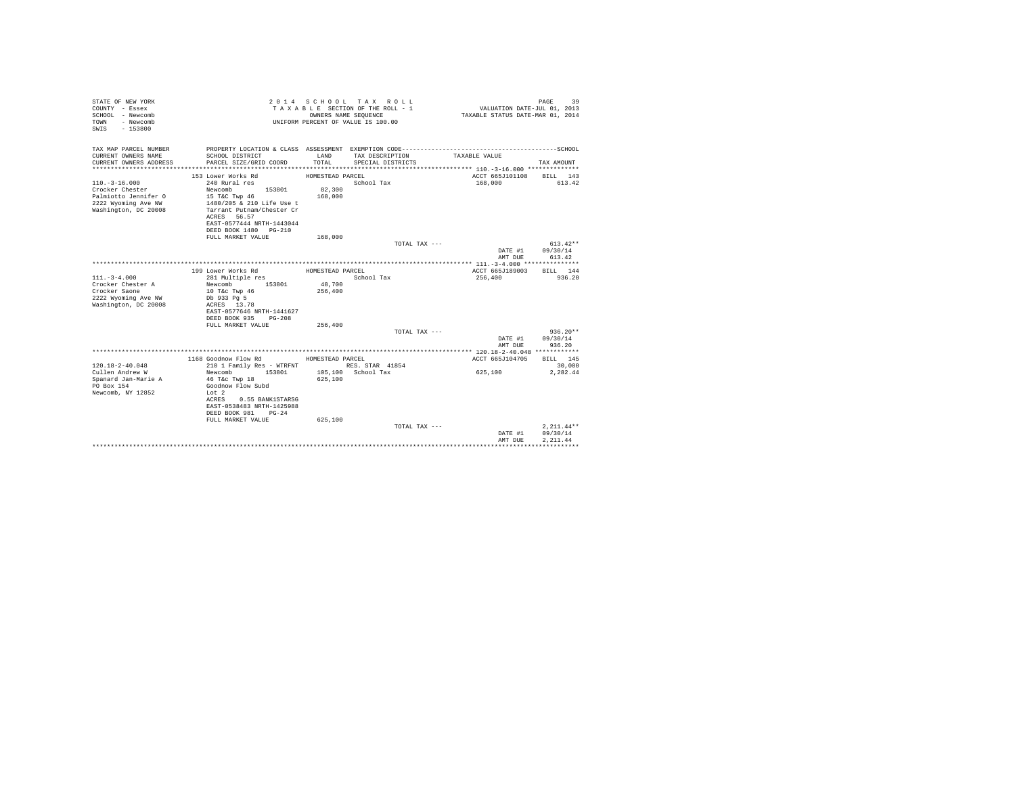| STATE OF NEW YORK<br>COUNTY - Essex<br>SCHOOL - Newcomb<br>- Newcomb<br>TOWN<br>$-153800$<br>SWIS |                                                        | OWNERS NAME SEOUENCE | 2014 SCHOOL TAX ROLL<br>TAXABLE SECTION OF THE ROLL - 1<br>UNIFORM PERCENT OF VALUE IS 100.00 | VALUATION DATE-JUL 01, 2013<br>TAXABLE STATUS DATE-MAR 01, 2014 | PAGE<br>39         |
|---------------------------------------------------------------------------------------------------|--------------------------------------------------------|----------------------|-----------------------------------------------------------------------------------------------|-----------------------------------------------------------------|--------------------|
| TAX MAP PARCEL NUMBER                                                                             |                                                        | LAND                 |                                                                                               | TAXABLE VALUE                                                   |                    |
| CURRENT OWNERS NAME<br>CURRENT OWNERS ADDRESS                                                     | SCHOOL DISTRICT<br>PARCEL SIZE/GRID COORD              | TOTAL                | TAX DESCRIPTION<br>SPECIAL DISTRICTS                                                          |                                                                 | TAX AMOUNT         |
|                                                                                                   |                                                        |                      |                                                                                               |                                                                 |                    |
|                                                                                                   | 153 Lower Works Rd                                     | HOMESTEAD PARCEL     |                                                                                               | ACCT 665J101108                                                 | BILL 143           |
| $110. - 3 - 16.000$                                                                               | 240 Rural res                                          |                      | School Tax                                                                                    | 168,000                                                         | 613.42             |
| Crocker Chester                                                                                   | Newcomb<br>153801                                      | 82,300               |                                                                                               |                                                                 |                    |
| Palmiotto Jennifer O                                                                              | 15 T&C Twp 46                                          | 168,000              |                                                                                               |                                                                 |                    |
| 2222 Wyoming Ave NW<br>Washington, DC 20008                                                       | 1480/205 & 210 Life Use t<br>Tarrant Putnam/Chester Cr |                      |                                                                                               |                                                                 |                    |
|                                                                                                   | ACRES 56.57                                            |                      |                                                                                               |                                                                 |                    |
|                                                                                                   | EAST-0577444 NRTH-1443044                              |                      |                                                                                               |                                                                 |                    |
|                                                                                                   | DEED BOOK 1480 PG-210                                  |                      |                                                                                               |                                                                 |                    |
|                                                                                                   | FULL MARKET VALUE                                      | 168,000              |                                                                                               |                                                                 |                    |
|                                                                                                   |                                                        |                      | TOTAL TAX ---                                                                                 |                                                                 | $613.42**$         |
|                                                                                                   |                                                        |                      |                                                                                               | DATE #1<br>AMT DUE                                              | 09/30/14<br>613.42 |
|                                                                                                   |                                                        |                      |                                                                                               |                                                                 |                    |
|                                                                                                   | 199 Lower Works Rd                                     | HOMESTEAD PARCEL     |                                                                                               | ACCT 665J189003                                                 | BILL 144           |
| $111. - 3 - 4.000$                                                                                | 281 Multiple res                                       |                      | School Tax                                                                                    | 256,400                                                         | 936.20             |
| Crocker Chester A                                                                                 | Newcomb<br>153801                                      | 48,700               |                                                                                               |                                                                 |                    |
| Crocker Saone                                                                                     | 10 T&c Twp 46                                          | 256,400              |                                                                                               |                                                                 |                    |
| 2222 Wyoming Ave NW                                                                               | Db 933 Pg 5                                            |                      |                                                                                               |                                                                 |                    |
| Washington, DC 20008                                                                              | ACRES 13.78<br>EAST-0577646 NRTH-1441627               |                      |                                                                                               |                                                                 |                    |
|                                                                                                   | DEED BOOK 935 PG-208                                   |                      |                                                                                               |                                                                 |                    |
|                                                                                                   | FULL MARKET VALUE                                      | 256,400              |                                                                                               |                                                                 |                    |
|                                                                                                   |                                                        |                      | TOTAL TAX ---                                                                                 |                                                                 | $936.20**$         |
|                                                                                                   |                                                        |                      |                                                                                               | DATE #1                                                         | 09/30/14           |
|                                                                                                   |                                                        |                      |                                                                                               | AMT DUE                                                         | 936.20             |
|                                                                                                   | 1168 Goodnow Flow Rd                                   | HOMESTEAD PARCEL     |                                                                                               | ACCT 665J104705                                                 | BILL 145           |
| $120.18 - 2 - 40.048$                                                                             | 210 1 Family Res - WTRFNT                              |                      | RES. STAR 41854                                                                               |                                                                 | 30,000             |
| Cullen Andrew W                                                                                   | Newcomb<br>153801                                      |                      | 105,100 School Tax                                                                            | 625,100                                                         | 2.282.44           |
| Spanard Jan-Marie A                                                                               | 46 T&C Twp 18                                          | 625,100              |                                                                                               |                                                                 |                    |
| PO Box 154                                                                                        | Goodnow Flow Subd                                      |                      |                                                                                               |                                                                 |                    |
| Newcomb, NY 12852                                                                                 | Lot 2                                                  |                      |                                                                                               |                                                                 |                    |
|                                                                                                   | ACRES<br>0.55 BANK1STARSG                              |                      |                                                                                               |                                                                 |                    |
|                                                                                                   | EAST-0538483 NRTH-1425988<br>DEED BOOK 981 PG-24       |                      |                                                                                               |                                                                 |                    |
|                                                                                                   | FULL MARKET VALUE                                      | 625,100              |                                                                                               |                                                                 |                    |
|                                                                                                   |                                                        |                      | TOTAL TAX ---                                                                                 |                                                                 | $2,211.44**$       |
|                                                                                                   |                                                        |                      |                                                                                               | DATE #1                                                         | 09/30/14           |
|                                                                                                   |                                                        |                      |                                                                                               | AMT DUE                                                         | 2.211.44           |
|                                                                                                   |                                                        |                      |                                                                                               |                                                                 |                    |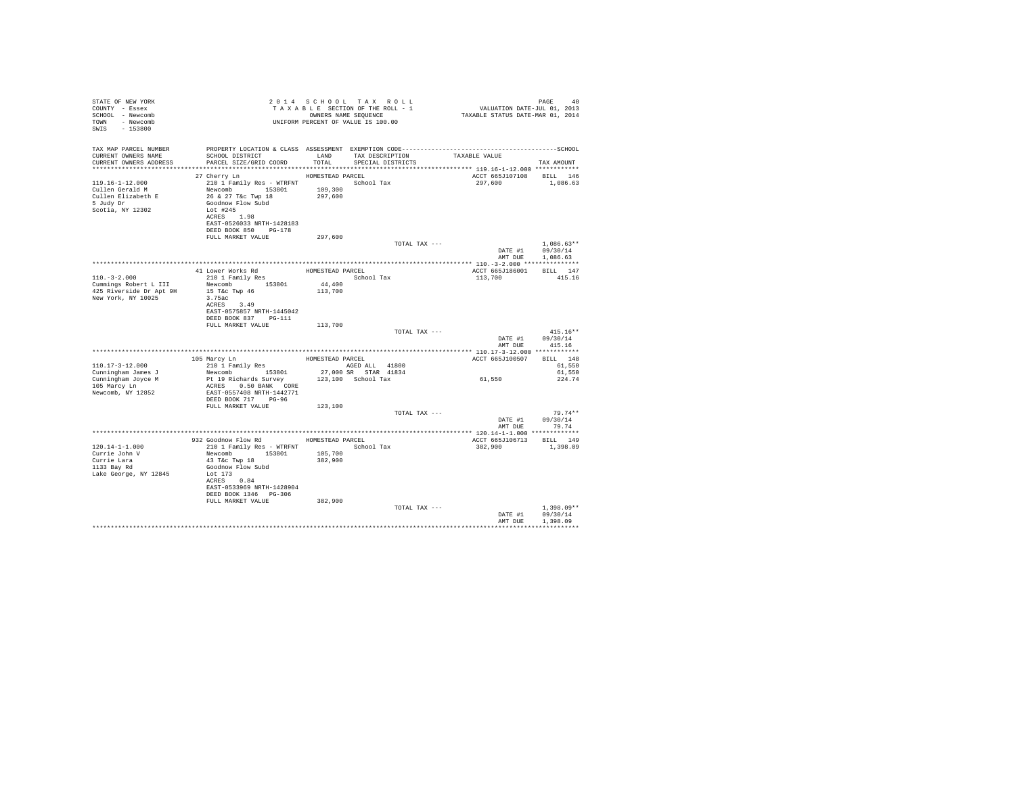| STATE OF NEW YORK<br>COUNTY - Essex<br>SCHOOL - Newcomb<br>TOWN - Newcomb<br>SWIS - 153800   | UNIFORM PERCENT OF VALUE IS 100.00                                                                                                                                                  |         |               |                                     |                                                  |
|----------------------------------------------------------------------------------------------|-------------------------------------------------------------------------------------------------------------------------------------------------------------------------------------|---------|---------------|-------------------------------------|--------------------------------------------------|
| TAX MAP PARCEL NUMBER<br>CURRENT OWNERS NAME                                                 | SCHOOL DISTRICT                     LAND       TAX DESCRIPTION                 TAXABLE VALUE<br>CURRENT OWNERS ADDRESS PARCEL SIZE/GRID COORD TOTAL SPECIAL DISTRICTS               |         |               |                                     | TAX AMOUNT                                       |
| 5 Judy Dr<br>Scotia, NY 12302                                                                | 27 Cherry Ln HOMESTEAD PARCEL<br>Goodnow Flow Subd<br>Lot #245<br>ACRES 1.98<br>EAST-0526033 NRTH-1428183<br>DEED BOOK 850 PG-178                                                   | 297.600 |               | ACCT 665J107108 BILL 146<br>297,600 | 1,086.63                                         |
|                                                                                              | FULL MARKET VALUE                                                                                                                                                                   |         | TOTAL TAX --- |                                     | $1.086.63**$                                     |
|                                                                                              |                                                                                                                                                                                     |         |               |                                     | DATE #1 09/30/14                                 |
|                                                                                              |                                                                                                                                                                                     |         |               |                                     | AMT DUE 1,086.63                                 |
|                                                                                              |                                                                                                                                                                                     |         |               | ACCT 665J186001 BILL 147            |                                                  |
|                                                                                              | 41 Lower Works Rd<br>210 1 Family Res BOMESTEAD PARCEL School Tax                                                                                                                   |         |               | 113,700                             | 415.16                                           |
|                                                                                              | ACRES 3.49<br>EAST-0575857 NRTH-1445042<br>DEED BOOK 837 PG-111                                                                                                                     |         |               |                                     |                                                  |
|                                                                                              | FULL MARKET VALUE                                                                                                                                                                   | 113,700 |               |                                     |                                                  |
|                                                                                              |                                                                                                                                                                                     |         | TOTAL TAX --- |                                     | $415.16**$<br>DATE #1 09/30/14<br>AMT DUE 415.16 |
|                                                                                              |                                                                                                                                                                                     |         |               |                                     |                                                  |
| $110.17 - 3 - 12.000$                                                                        | 105 Marcy Ln<br>210 1 Family Res BOMESTEAD PARCEL<br>210 1 Family Res 1000 1000 1000 1000 1000 1000                                                                                 |         |               | ACCT 665J100507 BILL 148            | 61,550                                           |
|                                                                                              |                                                                                                                                                                                     |         |               | 61,550                              | 61,550                                           |
| Newcomb, NY 12852                                                                            | EAST-0557408 NRTH-1442771<br>DEED BOOK 717 PG-96                                                                                                                                    |         |               |                                     | 224.74                                           |
|                                                                                              | FULL MARKET VALUE                                                                                                                                                                   | 123,100 |               |                                     |                                                  |
|                                                                                              |                                                                                                                                                                                     |         | TOTAL TAX --- |                                     | $79.74**$<br>DATE #1 09/30/14<br>AMT DUE 79.74   |
|                                                                                              |                                                                                                                                                                                     |         |               |                                     |                                                  |
|                                                                                              | 932 Goodnow Flow Rd MOMESTEAD PARCEL                                                                                                                                                |         |               | ACCT 665J106713 BILL 149            |                                                  |
| $120.14 - 1 - 1.000$<br>Currie John V<br>Currie Lara<br>1133 Bay Rd<br>Lake George, NY 12845 | 210 1 Family Res - WTRFNT School Tax<br>Newcomb 153801 105,700<br>43 T&C Twp 18<br>Goodnow Flow Subd<br>Lot 173<br>ACRES 0.84<br>EAST-0533969 NRTH-1428904<br>DEED BOOK 1346 PG-306 | 382,900 |               | 382,900 1,398.09                    |                                                  |
|                                                                                              | FULL MARKET VALUE                                                                                                                                                                   | 382,900 | TOTAL TAX --- |                                     | $1.398.09**$                                     |
|                                                                                              |                                                                                                                                                                                     |         |               | AMT DUE                             | DATE #1 09/30/14<br>1,398.09                     |
|                                                                                              |                                                                                                                                                                                     |         |               |                                     |                                                  |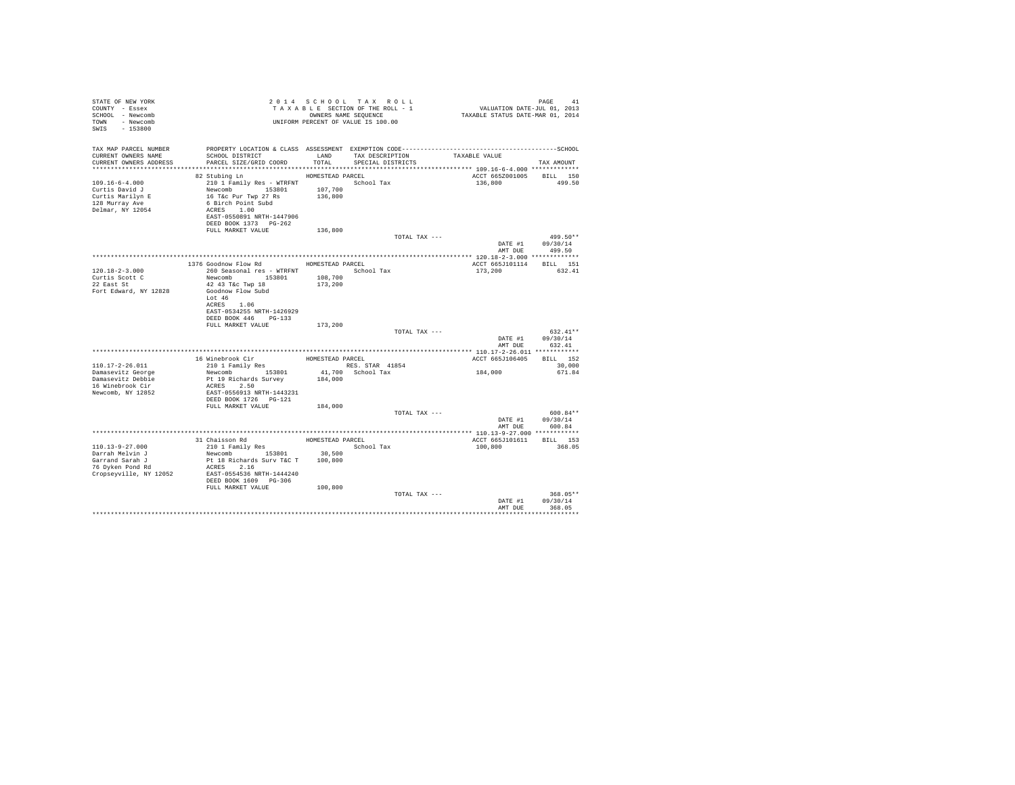| STATE OF NEW YORK<br>COUNTY - Essex<br>SCHOOL - Newcomb<br>TOWN - Newcomb<br>SWIS - 153800       |                                                                                                                                                                                                |                  | 2014 SCHOOL TAX ROLL<br>UNIFORM PERCENT OF VALUE IS 100.00 |                               | PAGE 41 9 1 14 SCHOOL TAX ROLL 1<br>TAXABLE SECTION OF THE ROLL - 1 VALUATION DATE-JUL 01, 2013<br>OWNERS NAME SEQUENCE 1 TAXABLE STATUS DATE-MAR 01, 2014 | PAGE<br>41                             |  |
|--------------------------------------------------------------------------------------------------|------------------------------------------------------------------------------------------------------------------------------------------------------------------------------------------------|------------------|------------------------------------------------------------|-------------------------------|------------------------------------------------------------------------------------------------------------------------------------------------------------|----------------------------------------|--|
| TAX MAP PARCEL NUMBER<br>CURRENT OWNERS NAME<br>CURRENT OWNERS ADDRESS                           |                                                                                                                                                                                                |                  | SPECIAL DISTRICTS                                          | TAX DESCRIPTION TAXABLE VALUE |                                                                                                                                                            | TAX AMOUNT                             |  |
|                                                                                                  | HOMESTEAD PARCEL                                                                                                                                                                               |                  |                                                            |                               |                                                                                                                                                            |                                        |  |
| $109.16 - 6 - 4.000$<br>Curtis David J<br>Curtis Marilyn E<br>128 Murray Ave<br>Delmar, NY 12054 | 82 Stubing Ln<br>210 1 Family Res - WTRFNT<br>Newcomb 153801 107,700<br>16 T&c Pur Twp 27 Rs 136,800<br>6 Birch Point Subd<br>ACRES 1.00<br>EAST-0550891 NRTH-1447906<br>DEED BOOK 1373 PG-262 |                  | School Tax                                                 |                               | ACCT 665Z001005 BILL 150<br>136,800 499.50                                                                                                                 |                                        |  |
|                                                                                                  | FULL MARKET VALUE                                                                                                                                                                              | 136,800          |                                                            |                               |                                                                                                                                                            |                                        |  |
|                                                                                                  |                                                                                                                                                                                                |                  |                                                            | TOTAL TAX ---                 |                                                                                                                                                            | $499.50**$<br>DATE #1 09/30/14         |  |
|                                                                                                  |                                                                                                                                                                                                |                  |                                                            |                               |                                                                                                                                                            | AMT DUE 499.50                         |  |
|                                                                                                  |                                                                                                                                                                                                |                  |                                                            |                               |                                                                                                                                                            |                                        |  |
|                                                                                                  | 1376 Goodnow Flow Rd                                                                                                                                                                           | HOMESTEAD PARCEL |                                                            |                               | ACCT 665J101114 BILL 151                                                                                                                                   |                                        |  |
| $120.18 - 2 - 3.000$                                                                             | 260 Seasonal res - WTRFNT                                                                                                                                                                      |                  | School Tax                                                 |                               | 173,200                                                                                                                                                    | 632.41                                 |  |
| Curtis Scott C                                                                                   | Newcomb 153801 108,700<br>42 43 T&c Twp 18 173,200                                                                                                                                             |                  |                                                            |                               |                                                                                                                                                            |                                        |  |
| 22 East St                                                                                       |                                                                                                                                                                                                |                  |                                                            |                               |                                                                                                                                                            |                                        |  |
| Fort Edward, NY 12828                                                                            | Goodnow Flow Subd<br>Lot 46<br>ACRES 1.06<br>EAST-0534255 NRTH-1426929<br>DEED BOOK 446 PG-133                                                                                                 |                  |                                                            |                               |                                                                                                                                                            |                                        |  |
|                                                                                                  | FULL MARKET VALUE 173,200                                                                                                                                                                      |                  |                                                            |                               |                                                                                                                                                            |                                        |  |
|                                                                                                  |                                                                                                                                                                                                |                  |                                                            | TOTAL TAX ---                 | AMT DUR                                                                                                                                                    | 632.41**<br>DATE #1 09/30/14<br>632.41 |  |
|                                                                                                  |                                                                                                                                                                                                |                  |                                                            |                               |                                                                                                                                                            |                                        |  |
|                                                                                                  |                                                                                                                                                                                                |                  |                                                            |                               | ACCT 665J106405 BILL 152                                                                                                                                   |                                        |  |
| 110.17-2-26.011                                                                                  |                                                                                                                                                                                                |                  |                                                            |                               |                                                                                                                                                            | 30,000                                 |  |
| Damasevitz George                                                                                |                                                                                                                                                                                                |                  |                                                            |                               | 184,000                                                                                                                                                    | 671.84                                 |  |
| Damasevitz Debbie                                                                                |                                                                                                                                                                                                |                  |                                                            |                               |                                                                                                                                                            |                                        |  |
| 16 Winebrook Cir                                                                                 | ACRES 2.50                                                                                                                                                                                     |                  |                                                            |                               |                                                                                                                                                            |                                        |  |
| Newcomb, NY 12852                                                                                | EAST-0556913 NRTH-1443231                                                                                                                                                                      |                  |                                                            |                               |                                                                                                                                                            |                                        |  |
|                                                                                                  | FULL MARKET VALUE 184,000                                                                                                                                                                      |                  |                                                            |                               |                                                                                                                                                            |                                        |  |
|                                                                                                  |                                                                                                                                                                                                |                  |                                                            | TOTAL TAX ---                 |                                                                                                                                                            | $600.84**$                             |  |
|                                                                                                  |                                                                                                                                                                                                |                  |                                                            |                               |                                                                                                                                                            | DATE #1 09/30/14                       |  |
|                                                                                                  |                                                                                                                                                                                                |                  |                                                            |                               | AMT DUE                                                                                                                                                    | 600.84                                 |  |
|                                                                                                  |                                                                                                                                                                                                |                  |                                                            |                               |                                                                                                                                                            |                                        |  |
|                                                                                                  | 31 Chaisson Rd<br>210 1 Family Res                                                                                                                                                             |                  | HOMESTEAD PARCEL                                           |                               | ACCT 665J101611 BILL 153                                                                                                                                   |                                        |  |
| 110.13-9-27.000                                                                                  | 210 1 Family Res<br>Newcomb 153801 30,500                                                                                                                                                      |                  | School Tax                                                 |                               | 100,800                                                                                                                                                    | 368.05                                 |  |
| Darrah Melvin J                                                                                  |                                                                                                                                                                                                |                  |                                                            |                               |                                                                                                                                                            |                                        |  |
| Garrand Sarah J<br>Unitain Sataff J<br>76 Dyken Pond Rd                                          | Pt 18 Richards Surv T&C T 100,800                                                                                                                                                              |                  |                                                            |                               |                                                                                                                                                            |                                        |  |
| Cropseyville, NY 12052 EAST-0554536 NRTH-1444240                                                 | ACRES 2.16                                                                                                                                                                                     |                  |                                                            |                               |                                                                                                                                                            |                                        |  |
|                                                                                                  | DEED BOOK 1609 PG-306                                                                                                                                                                          |                  |                                                            |                               |                                                                                                                                                            |                                        |  |
|                                                                                                  | FULL MARKET VALUE                                                                                                                                                                              | 100,800          |                                                            |                               |                                                                                                                                                            |                                        |  |
|                                                                                                  |                                                                                                                                                                                                |                  |                                                            | TOTAL TAX ---                 |                                                                                                                                                            | $368.05**$                             |  |
|                                                                                                  |                                                                                                                                                                                                |                  |                                                            |                               |                                                                                                                                                            | DATE #1 09/30/14                       |  |
|                                                                                                  |                                                                                                                                                                                                |                  |                                                            |                               | AMT DUR                                                                                                                                                    | 368.05                                 |  |
|                                                                                                  |                                                                                                                                                                                                |                  |                                                            |                               |                                                                                                                                                            |                                        |  |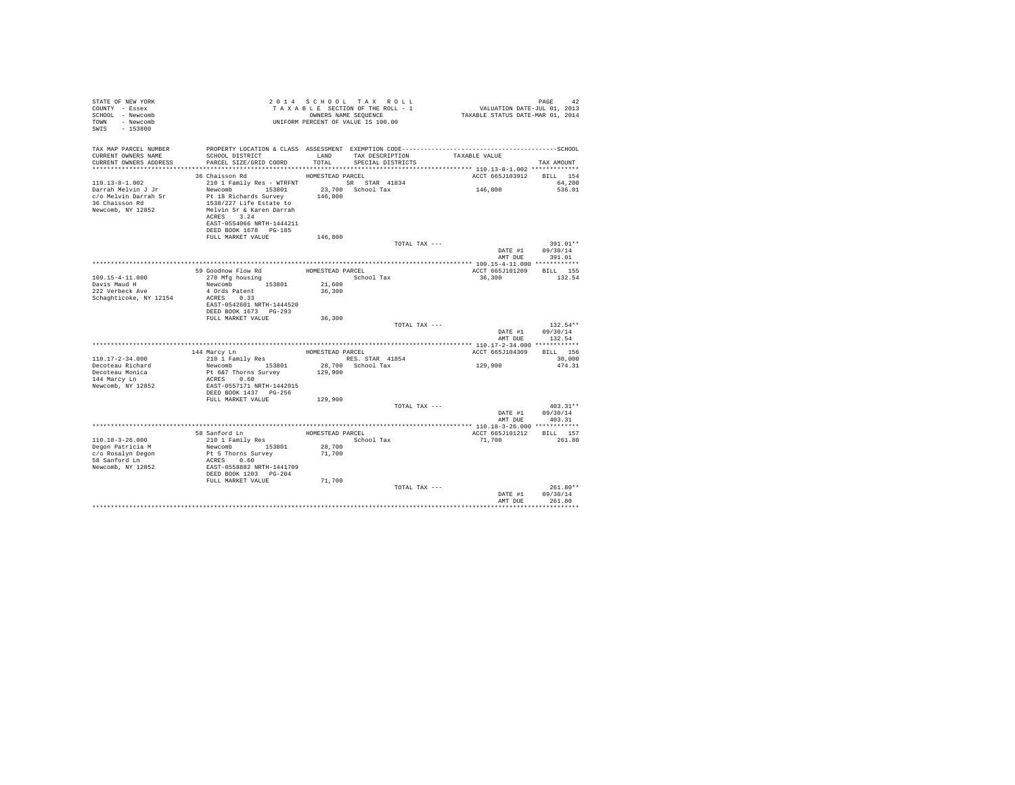| STATE OF NEW YORK<br>COUNTY - Essex<br>SCHOOL - Newcomb<br>TOWN - Newcomb<br>SWIS - 153800 |                                                  |                  | 2014 SCHOOL TAX ROLL<br>TAXABLE SECTION OF THE ROLL - 1<br>OWNERS NAME SEQUENCE<br>UNIFORM PERCENT OF VALUE IS 100.00 | PAGE 42<br>VALUATION DATE-JUL 01, 2013<br>TAXABLE STATUS DATE-MAR 01, 2014                   |                 |
|--------------------------------------------------------------------------------------------|--------------------------------------------------|------------------|-----------------------------------------------------------------------------------------------------------------------|----------------------------------------------------------------------------------------------|-----------------|
| TAX MAP PARCEL NUMBER                                                                      |                                                  |                  |                                                                                                                       | PROPERTY LOCATION & CLASS ASSESSMENT EXEMPTION CODE-----------------------------------SCHOOL |                 |
| CURRENT OWNERS NAME<br>CURRENT OWNERS ADDRESS                                              | SCHOOL DISTRICT<br>PARCEL SIZE/GRID COORD        | LAND<br>TOTAL    | TAX DESCRIPTION TAXABLE VALUE<br>SPECIAL DISTRICTS                                                                    |                                                                                              | TAX AMOUNT      |
|                                                                                            |                                                  |                  |                                                                                                                       |                                                                                              |                 |
|                                                                                            | 36 Chaisson Rd                                   | HOMESTEAD PARCEL |                                                                                                                       | ACCT 665J103912 BILL 154                                                                     |                 |
| $110.13 - 8 - 1.002$                                                                       | 210 1 Family Res - WTRFNT SR STAR 41834          |                  |                                                                                                                       |                                                                                              | 64,200          |
| Darrah Melvin J Jr                                                                         | Newcomb 153801                                   |                  | 23,700 School Tax                                                                                                     | 146,800                                                                                      | 536.01          |
| c/o Melvin Darrah Sr<br>36 Chaisson Rd                                                     | Pt 18 Richards Survey<br>1538/227 Life Estate to | 146,800          |                                                                                                                       |                                                                                              |                 |
| Newcomb, NY 12852                                                                          | Melvin Sr & Karen Darrah                         |                  |                                                                                                                       |                                                                                              |                 |
|                                                                                            | ACRES 3.24                                       |                  |                                                                                                                       |                                                                                              |                 |
|                                                                                            | EAST-0554066 NRTH-1444211                        |                  |                                                                                                                       |                                                                                              |                 |
|                                                                                            | DEED BOOK 1678 PG-185                            |                  |                                                                                                                       |                                                                                              |                 |
|                                                                                            | FULL MARKET VALUE                                | 146,800          |                                                                                                                       |                                                                                              |                 |
|                                                                                            |                                                  |                  | TOTAL TAX ---                                                                                                         |                                                                                              | 391.01**        |
|                                                                                            |                                                  |                  |                                                                                                                       | DATE #1                                                                                      | 09/30/14        |
|                                                                                            |                                                  |                  |                                                                                                                       | AMT DUE                                                                                      | 391.01          |
|                                                                                            | 59 Goodnow Flow Rd                               |                  | HOMESTEAD PARCEL                                                                                                      | ACCT 665J101209                                                                              | <b>BILL</b> 155 |
| 109.15-4-11.000                                                                            | 270 Mfg housing                                  |                  | School Tax                                                                                                            | 36,300                                                                                       | 132.54          |
| Davis Maud H                                                                               | Newcomb 153801                                   | 21,600           |                                                                                                                       |                                                                                              |                 |
| 222 Verbeck Ave                                                                            | 4 Ords Patent                                    | 36,300           |                                                                                                                       |                                                                                              |                 |
| Schaghticoke, NY 12154                                                                     | ACRES 0.33                                       |                  |                                                                                                                       |                                                                                              |                 |
|                                                                                            | EAST-0542601 NRTH-1444520                        |                  |                                                                                                                       |                                                                                              |                 |
|                                                                                            | DEED BOOK 1673 PG-293                            |                  |                                                                                                                       |                                                                                              |                 |
|                                                                                            | FULL MARKET VALUE                                | 36,300           | TOTAL TAX ---                                                                                                         |                                                                                              | $132.54**$      |
|                                                                                            |                                                  |                  |                                                                                                                       | DATE #1                                                                                      | 09/30/14        |
|                                                                                            |                                                  |                  |                                                                                                                       | AMT DUE                                                                                      | 132.54          |
|                                                                                            |                                                  |                  |                                                                                                                       |                                                                                              |                 |
|                                                                                            | 144 Marcy Ln                                     | HOMESTEAD PARCEL |                                                                                                                       | ACCT 665J104309 BILL 156                                                                     |                 |
| $110.17 - 2 - 34.000$                                                                      | 210 1 Family Res                                 |                  | RES. STAR 41854                                                                                                       |                                                                                              | 30,000          |
| Decoteau Richard                                                                           | Newcomb 153801                                   |                  | 28,700 School Tax                                                                                                     | 129,900                                                                                      | 474.31          |
| Decoteau Monica                                                                            | Pt 6&7 Thorns Survey                             | 129,900          |                                                                                                                       |                                                                                              |                 |
| 144 Marcy Ln<br>Newcomb, NY 12852                                                          | ACRES 0.60<br>EAST-0557171 NRTH-1442015          |                  |                                                                                                                       |                                                                                              |                 |
|                                                                                            | DEED BOOK 1437 PG-256                            |                  |                                                                                                                       |                                                                                              |                 |
|                                                                                            | FULL MARKET VALUE                                | 129,900          |                                                                                                                       |                                                                                              |                 |
|                                                                                            |                                                  |                  | TOTAL TAX ---                                                                                                         |                                                                                              | $403.31**$      |
|                                                                                            |                                                  |                  |                                                                                                                       | DATE #1                                                                                      | 09/30/14        |
|                                                                                            |                                                  |                  |                                                                                                                       |                                                                                              | AMT DUE 403.31  |
|                                                                                            |                                                  |                  |                                                                                                                       |                                                                                              |                 |
|                                                                                            | 58 Sanford Ln<br>210 1 Family Res                |                  | HOMESTEAD PARCEL                                                                                                      | ACCT 665J101212 BILL 157                                                                     |                 |
| $110.18 - 3 - 26.000$                                                                      |                                                  |                  | School Tax                                                                                                            | 71,700                                                                                       | 261.80          |
| Degon Patricia M<br>c/o Rosalyn Degon                                                      | Newcomb 153801<br>Pt 5 Thorns Survey             | 28,700<br>71,700 |                                                                                                                       |                                                                                              |                 |
| 58 Sanford Ln                                                                              | ACRES 0.60                                       |                  |                                                                                                                       |                                                                                              |                 |
| Newcomb, NY 12852                                                                          | EAST-0558882 NRTH-1441709                        |                  |                                                                                                                       |                                                                                              |                 |
|                                                                                            | DEED BOOK 1203 PG-204                            |                  |                                                                                                                       |                                                                                              |                 |
|                                                                                            | FULL MARKET VALUE                                | 71,700           |                                                                                                                       |                                                                                              |                 |
|                                                                                            |                                                  |                  | TOTAL TAX ---                                                                                                         |                                                                                              | $261.80**$      |
|                                                                                            |                                                  |                  |                                                                                                                       | DATE #1                                                                                      | 09/30/14        |
|                                                                                            |                                                  |                  |                                                                                                                       | AMT DUE                                                                                      | 261.80          |
|                                                                                            |                                                  |                  |                                                                                                                       |                                                                                              |                 |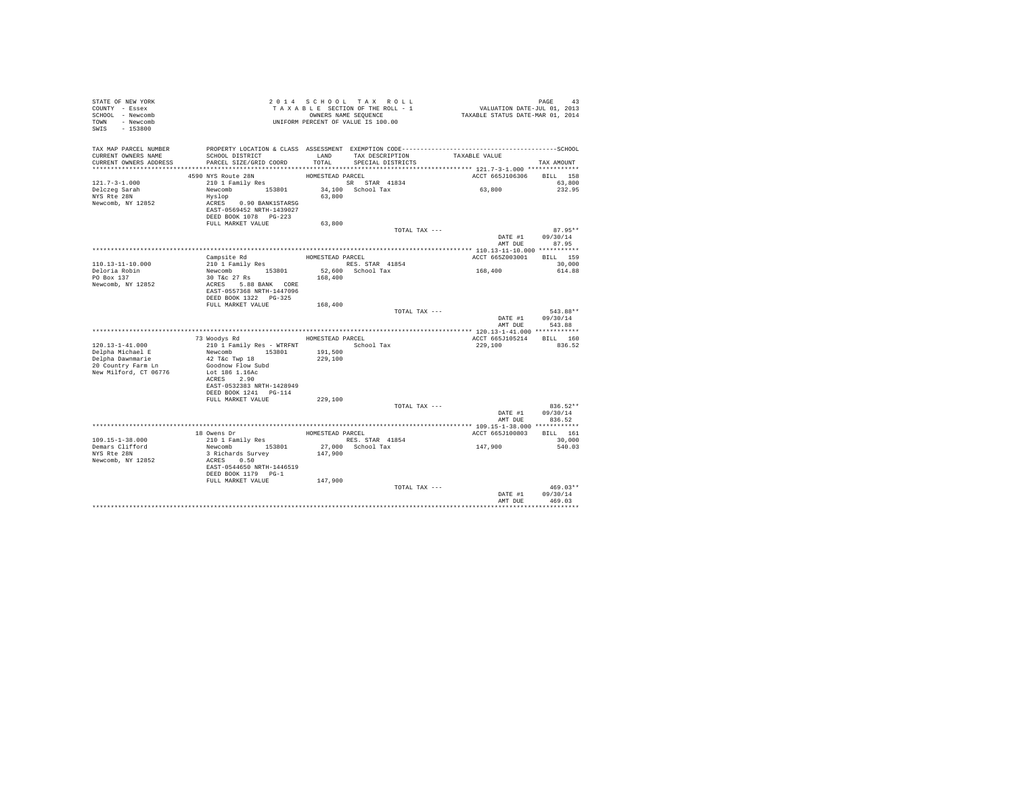| STATE OF NEW YORK<br>COUNTY - Essex<br>SCHOOL - Newcomb<br>TOWN - Newcomb<br>SWIS - 153800 | TAXABLE SECTION OF THE ROLL - 1<br>TAXABLE SECTION OF THE ROLL - 1<br>UNIFORM PERCENT OF VALUE IS 100.00           |                    |                                    | PAGE 43<br>VALUATION DATE-JUL 01, 2013<br>TAXABLE STATUS DATE-MAR 01, 2014                   |                                    |
|--------------------------------------------------------------------------------------------|--------------------------------------------------------------------------------------------------------------------|--------------------|------------------------------------|----------------------------------------------------------------------------------------------|------------------------------------|
| TAX MAP PARCEL NUMBER                                                                      |                                                                                                                    |                    |                                    | PROPERTY LOCATION & CLASS ASSESSMENT EXEMPTION CODE-----------------------------------SCHOOL |                                    |
| CURRENT OWNERS NAME                                                                        | SCHOOL DISTRICT                                                                                                    | TOTAL              | LAND TAX DESCRIPTION TAXABLE VALUE |                                                                                              |                                    |
| CURRENT OWNERS ADDRESS                                                                     | PARCEL SIZE/GRID COORD                                                                                             |                    | SPECIAL DISTRICTS                  |                                                                                              | TAX AMOUNT                         |
|                                                                                            | 4590 NYS Route 28N                                                                                                 | HOMESTEAD PARCEL   |                                    | ACCT 665J106306 BILL 158                                                                     |                                    |
| $121.7 - 3 - 1.000$                                                                        | 210 1 Family Res                                                                                                   |                    | SR STAR 41834                      |                                                                                              | 63,800                             |
| Delczeg Sarah                                                                              | Newcomb $153801$ $34,100$ School Tax                                                                               |                    |                                    | 63,800                                                                                       | 232.95                             |
| NYS Rte 28N                                                                                | Hyslop                                                                                                             | 63,800             |                                    |                                                                                              |                                    |
| Newcomb, NY 12852                                                                          | ACRES 0.90 BANK1STARSG                                                                                             |                    |                                    |                                                                                              |                                    |
|                                                                                            | EAST-0569452 NRTH-1439027<br>DEED BOOK 1078 PG-223                                                                 |                    |                                    |                                                                                              |                                    |
|                                                                                            | FULL MARKET VALUE                                                                                                  | 63,800             |                                    |                                                                                              |                                    |
|                                                                                            |                                                                                                                    |                    | TOTAL TAX ---                      |                                                                                              | 87.95**                            |
|                                                                                            |                                                                                                                    |                    |                                    |                                                                                              | DATE #1 09/30/14<br>AMT DUE 87.95  |
|                                                                                            |                                                                                                                    |                    |                                    |                                                                                              |                                    |
|                                                                                            | Campsite Rd                                                                                                        |                    | HOMESTEAD PARCEL                   | ACCT 665Z003001 BILL 159                                                                     |                                    |
| 110.13-11-10.000                                                                           |                                                                                                                    |                    | RES. STAR 41854                    |                                                                                              | 30,000                             |
| Deloria Robin                                                                              |                                                                                                                    |                    | 52,600 School Tax                  | 168,400                                                                                      | 614.88                             |
| PO Box 137<br>Newcomb, NY 12852                                                            | Composite Kd<br>210 1 Family Res<br>Newcomb 153801<br>30 T&c 27 Rs<br>ACRES 5.88 BANK CORE<br>ERGT-055726 THERENCE | 168,400            |                                    |                                                                                              |                                    |
|                                                                                            | EAST-0557368 NRTH-1447096                                                                                          |                    |                                    |                                                                                              |                                    |
|                                                                                            |                                                                                                                    |                    |                                    |                                                                                              |                                    |
|                                                                                            | FULL MARKET VALUE 168,400                                                                                          |                    |                                    |                                                                                              |                                    |
|                                                                                            |                                                                                                                    |                    | TOTAL TAX ---                      |                                                                                              | 543.88**<br>DATE #1 09/30/14       |
|                                                                                            |                                                                                                                    |                    |                                    | AMT DUE                                                                                      | 543.88                             |
|                                                                                            |                                                                                                                    |                    |                                    |                                                                                              |                                    |
|                                                                                            | 73 Woodys Rd                                                                                                       |                    | HOMESTEAD PARCEL                   | ACCT 665J105214 BILL 160                                                                     |                                    |
| $120.13 - 1 - 41.000$                                                                      | 210 1 Family Res - WTRFNT<br>Newcomb 153801                                                                        |                    | School Tax                         | 229,100                                                                                      | 836.52                             |
| Delpha Michael E                                                                           | 42 T&c Twp 18                                                                                                      | 191,500<br>229,100 |                                    |                                                                                              |                                    |
| Delpha Dawnmarie<br>20 Country Farm Ln                                                     | Goodnow Flow Subd                                                                                                  |                    |                                    |                                                                                              |                                    |
| New Milford, CT 06776                                                                      | Lot 186 1.16Ac                                                                                                     |                    |                                    |                                                                                              |                                    |
|                                                                                            | ACRES 2.90<br>EAST-0532383 NRTH-1428949                                                                            |                    |                                    |                                                                                              |                                    |
|                                                                                            | DEED BOOK 1241 PG-114                                                                                              |                    |                                    |                                                                                              |                                    |
|                                                                                            | FULL MARKET VALUE                                                                                                  | 229,100            |                                    |                                                                                              |                                    |
|                                                                                            |                                                                                                                    |                    | TOTAL TAX ---                      |                                                                                              | $836.52**$                         |
|                                                                                            |                                                                                                                    |                    |                                    |                                                                                              | DATE #1 09/30/14<br>AMT DUE 836.52 |
|                                                                                            |                                                                                                                    |                    |                                    |                                                                                              |                                    |
|                                                                                            |                                                                                                                    |                    | HOMESTEAD PARCEL                   | ACCT 665J100803 BILL 161                                                                     |                                    |
| $109.15 - 1 - 38.000$                                                                      |                                                                                                                    |                    | RES. STAR 41854                    |                                                                                              | 30,000                             |
| Demars Clifford                                                                            |                                                                                                                    |                    | 27,000 School Tax                  | 147,900                                                                                      | 540.03                             |
| NYS Rte 28N<br>Newcomb, NY 12852                                                           | 3 Richards Survey<br>ACRES 0.50                                                                                    | 147,900            |                                    |                                                                                              |                                    |
|                                                                                            | EAST-0544650 NRTH-1446519                                                                                          |                    |                                    |                                                                                              |                                    |
|                                                                                            | DEED BOOK 1179 PG-1                                                                                                |                    |                                    |                                                                                              |                                    |
|                                                                                            | FULL MARKET VALUE                                                                                                  | 147,900            |                                    |                                                                                              |                                    |
|                                                                                            |                                                                                                                    |                    | TOTAL TAX ---                      |                                                                                              | $469.03**$<br>DATE #1 09/30/14     |
|                                                                                            |                                                                                                                    |                    |                                    | AMT DUE                                                                                      | 469.03                             |
|                                                                                            |                                                                                                                    |                    |                                    |                                                                                              |                                    |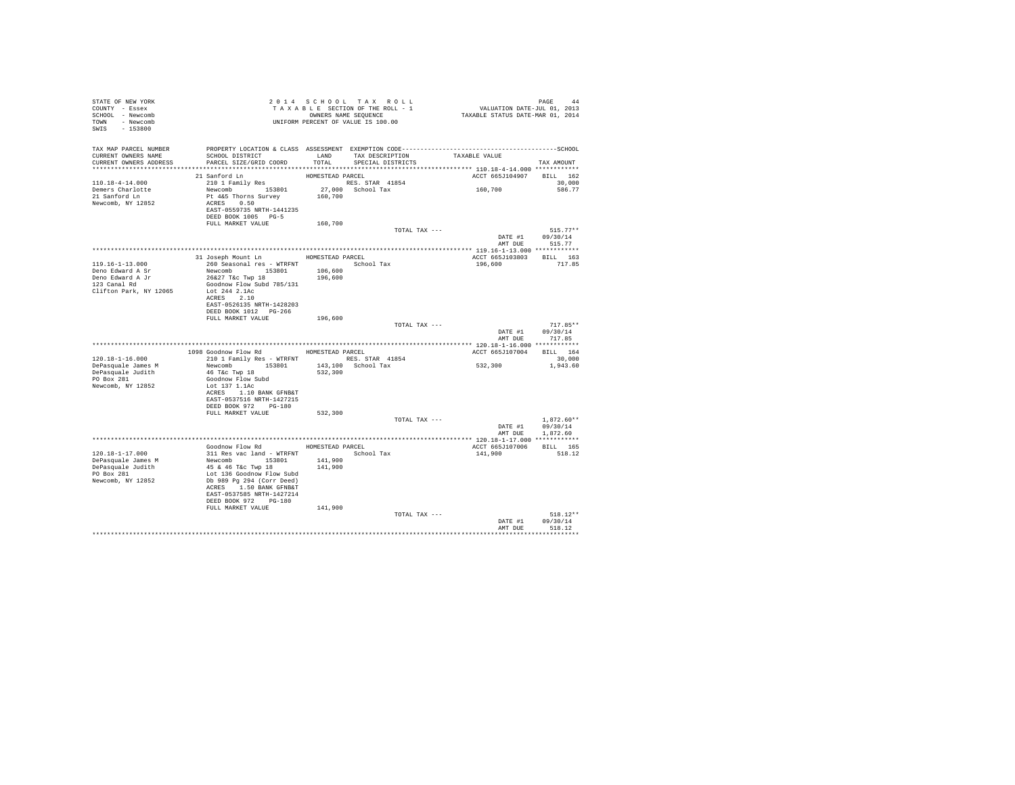| STATE OF NEW YORK                                               |                                                                                                                                                                                                      |                  |                   |                          |                            |  |
|-----------------------------------------------------------------|------------------------------------------------------------------------------------------------------------------------------------------------------------------------------------------------------|------------------|-------------------|--------------------------|----------------------------|--|
| COUNTY - Essex                                                  | 2 0 1 4 S C HO O L T A X R O L L<br>T A X A B ES SECTION OF THE ROLL - 1 CALUATION DATE-JUL 01, 2013<br>ONNERS NAME SEQUENCE<br>UNIFORM PERCENT OF VALUE IS 100.00                                   |                  |                   |                          |                            |  |
| SCHOOL - Newcomb                                                |                                                                                                                                                                                                      |                  |                   |                          |                            |  |
| TOWN - Newcomb                                                  |                                                                                                                                                                                                      |                  |                   |                          |                            |  |
| SWIS - 153800                                                   |                                                                                                                                                                                                      |                  |                   |                          |                            |  |
|                                                                 |                                                                                                                                                                                                      |                  |                   |                          |                            |  |
|                                                                 |                                                                                                                                                                                                      |                  |                   |                          |                            |  |
|                                                                 | SCHOOL DISTRICT                     LAND        TAX DESCRIPTION                TAXABLE VALUE                                                                                                         |                  |                   |                          |                            |  |
| CURRENT OWNERS ADDRESS                                          | PARCEL SIZE/GRID COORD                                                                                                                                                                               | TOTAL            | SPECIAL DISTRICTS |                          | TAX AMOUNT                 |  |
|                                                                 |                                                                                                                                                                                                      |                  |                   |                          |                            |  |
|                                                                 | 21 Sanford Ln                                                                                                                                                                                        | HOMESTEAD PARCEL |                   | ACCT 665J104907 BILL 162 |                            |  |
| 110.18-4-14.000                                                 |                                                                                                                                                                                                      |                  |                   |                          | 30,000                     |  |
|                                                                 |                                                                                                                                                                                                      |                  |                   |                          | 586.77                     |  |
| Demers Charlotte<br>21 Sanford Ln                               |                                                                                                                                                                                                      |                  |                   |                          |                            |  |
| Newcomb, NY 12852                                               |                                                                                                                                                                                                      |                  |                   |                          |                            |  |
|                                                                 |                                                                                                                                                                                                      |                  |                   |                          |                            |  |
|                                                                 | DEED BOOK 1005 PG-5                                                                                                                                                                                  |                  |                   |                          |                            |  |
|                                                                 | FULL MARKET VALUE 160,700                                                                                                                                                                            |                  |                   |                          |                            |  |
|                                                                 |                                                                                                                                                                                                      |                  | TOTAL TAX ---     |                          | $515.77**$                 |  |
|                                                                 |                                                                                                                                                                                                      |                  |                   | DATE #1 $09/30/14$       |                            |  |
|                                                                 |                                                                                                                                                                                                      |                  |                   | AMT DUE 515.77           |                            |  |
|                                                                 |                                                                                                                                                                                                      |                  |                   |                          |                            |  |
|                                                                 | 31 Joseph Mount Ln HOMESTEAD PARCEL                                                                                                                                                                  |                  |                   | ACCT 665J103803 BILL 163 |                            |  |
| 119.16-1-13.000                                                 | 260 Seasonal res - WTRFNT<br>Newcomb 153801 153801 106,600<br>26&27 T&c Twp 18 196,600                                                                                                               |                  |                   | 196,600 717.85           |                            |  |
| Deno Edward A Sr                                                |                                                                                                                                                                                                      |                  |                   |                          |                            |  |
| Deno Edward A Jr<br>Deno Edward A Jr<br>21 Cenal Rd<br>21 fr. – |                                                                                                                                                                                                      |                  |                   |                          |                            |  |
|                                                                 | Goodnow Flow Subd 785/131                                                                                                                                                                            |                  |                   |                          |                            |  |
| Clifton Park, NY 12065                                          | Lot 244 2.1Ac                                                                                                                                                                                        |                  |                   |                          |                            |  |
|                                                                 | ACRES 2.10                                                                                                                                                                                           |                  |                   |                          |                            |  |
|                                                                 | EAST-0526135 NRTH-1428203                                                                                                                                                                            |                  |                   |                          |                            |  |
|                                                                 | DEED BOOK 1012 PG-266<br>FULL MARKET VALUE                                                                                                                                                           | 196,600          |                   |                          |                            |  |
|                                                                 |                                                                                                                                                                                                      |                  | TOTAL TAX ---     |                          | $717.85**$                 |  |
|                                                                 |                                                                                                                                                                                                      |                  |                   |                          | DATE #1 09/30/14           |  |
|                                                                 |                                                                                                                                                                                                      |                  |                   | AMT DUE                  | 717.85                     |  |
|                                                                 |                                                                                                                                                                                                      |                  |                   |                          |                            |  |
|                                                                 | 1098 Goodnow Flow Rd MOMESTEAD PARCEL                                                                                                                                                                |                  |                   | ACCT 665J107004 BILL 164 |                            |  |
| $120.18 - 1 - 16.000$                                           | 210 1 Family Res - WTRFNT<br>Newcomb 153801 143,100 School Tax<br>46 Tkc Twp 18 153801 143,100 School Tax                                                                                            |                  |                   |                          | 30,000                     |  |
|                                                                 |                                                                                                                                                                                                      |                  |                   | 532,300 1,943.60         |                            |  |
| DePasquale James M<br>DePasquale Judith                         |                                                                                                                                                                                                      |                  |                   |                          |                            |  |
| PO Box 281                                                      | Goodnow Flow Subd                                                                                                                                                                                    |                  |                   |                          |                            |  |
| Newcomb, NY 12852                                               | Lot 137 1.1Ac<br>ACRES 1.10 BANK GFNB&T                                                                                                                                                              |                  |                   |                          |                            |  |
|                                                                 |                                                                                                                                                                                                      |                  |                   |                          |                            |  |
|                                                                 | EAST-0537516 NRTH-1427215                                                                                                                                                                            |                  |                   |                          |                            |  |
|                                                                 | DEED BOOK 972 PG-180                                                                                                                                                                                 |                  |                   |                          |                            |  |
|                                                                 | FULL MARKET VALUE 532,300                                                                                                                                                                            |                  |                   |                          |                            |  |
|                                                                 |                                                                                                                                                                                                      |                  | TOTAL TAX ---     |                          | $1.872.60**$               |  |
|                                                                 |                                                                                                                                                                                                      |                  |                   |                          | DATE #1 09/30/14           |  |
|                                                                 |                                                                                                                                                                                                      |                  |                   |                          | AMT DUE 1,872.60           |  |
|                                                                 |                                                                                                                                                                                                      |                  |                   |                          |                            |  |
|                                                                 | Goodnow Flow Rd MOMESTEAD PARCEL                                                                                                                                                                     |                  |                   | ACCT 665J107006 BILL 165 |                            |  |
| 120.18-1-17.000                                                 |                                                                                                                                                                                                      |                  |                   | 141,900 518.12           |                            |  |
|                                                                 |                                                                                                                                                                                                      |                  |                   |                          |                            |  |
|                                                                 |                                                                                                                                                                                                      |                  |                   |                          |                            |  |
| DePasquale James M<br>DePasquale James M<br>DePasquale Judith   |                                                                                                                                                                                                      |                  |                   |                          |                            |  |
| PO Box 281                                                      |                                                                                                                                                                                                      |                  |                   |                          |                            |  |
| Newcomb, NY 12852                                               |                                                                                                                                                                                                      |                  |                   |                          |                            |  |
|                                                                 | 90000000 FIOW KOM HOMESTEAD PARCEL<br>311 Res vac land - WTRFNT<br>Newcomb 153801 141,900<br>45 & 46 T&C Twp 18<br>105 989 By 234 (Corr Deed)<br>Db 989 By 234 (Corr Deed)<br>ACRES 1150 BANK GFNE&T |                  |                   |                          |                            |  |
|                                                                 | EAST-0537585 NRTH-1427214                                                                                                                                                                            |                  |                   |                          |                            |  |
|                                                                 | DEED BOOK 972 PG-180<br>FULL MARKET VALUE                                                                                                                                                            |                  |                   |                          |                            |  |
|                                                                 |                                                                                                                                                                                                      | 141,900          |                   |                          | $518.12**$                 |  |
|                                                                 |                                                                                                                                                                                                      |                  | TOTAL TAX ---     | DATE #1                  |                            |  |
|                                                                 |                                                                                                                                                                                                      |                  |                   |                          | 09/30/14<br>AMT DUR 518.12 |  |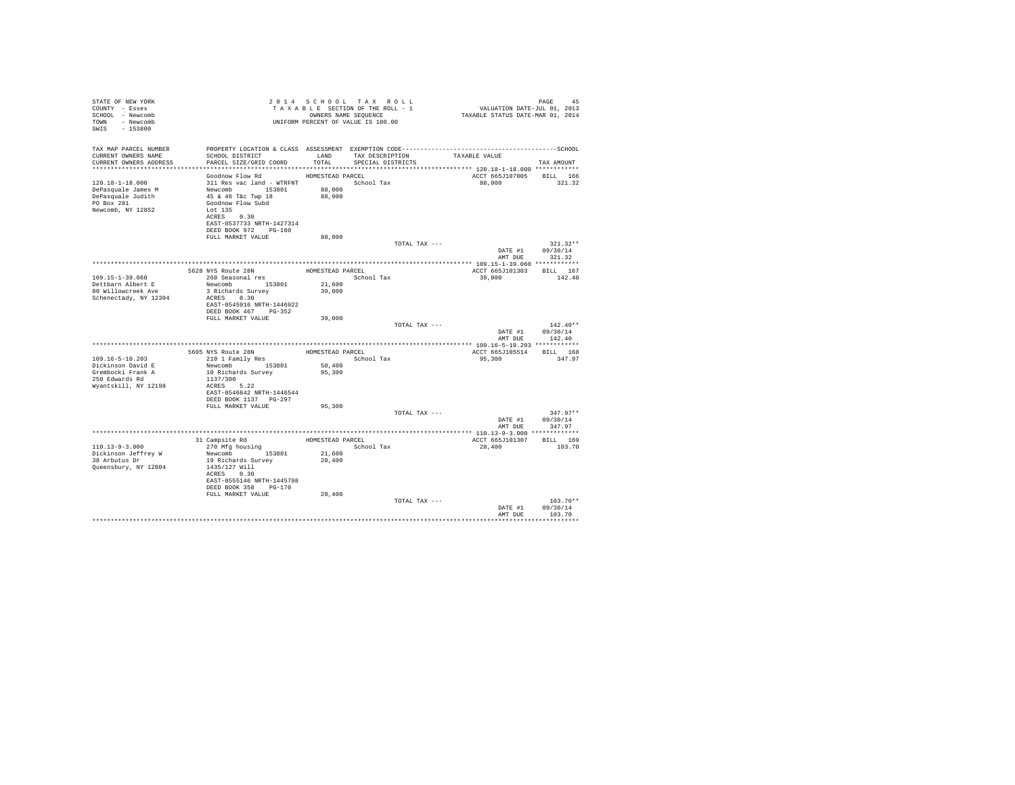| 2014 SCHOOL TAX ROLL<br>STATE OF NEW YORK<br>COUNTY - Essex<br>TAXABLE SECTION OF THE ROLL - 1<br>SCHOOL - Newcomb<br>OWNERS NAME SEQUENCE<br>UNIFORM PERCENT OF VALUE IS 100.00<br>TOWN - Newcomb<br>SWIS - 153800 |                                                                                                                                                                                    |                                                |                                      | PAGE 45<br>VALUATION DATE-JUL 01, 2013<br>TAXABLE STATUS DATE-MAR 01, 2014 |                           |                                  |
|---------------------------------------------------------------------------------------------------------------------------------------------------------------------------------------------------------------------|------------------------------------------------------------------------------------------------------------------------------------------------------------------------------------|------------------------------------------------|--------------------------------------|----------------------------------------------------------------------------|---------------------------|----------------------------------|
| TAX MAP PARCEL NUMBER<br>CURRENT OWNERS NAME<br>CURRENT OWNERS ADDRESS                                                                                                                                              | SCHOOL DISTRICT<br>PARCEL SIZE/GRID COORD                                                                                                                                          | LAND<br>TOTAL                                  | TAX DESCRIPTION<br>SPECIAL DISTRICTS |                                                                            | TAXABLE VALUE             | TAX AMOUNT                       |
|                                                                                                                                                                                                                     | Goodnow Flow Rd                                                                                                                                                                    |                                                |                                      |                                                                            |                           |                                  |
| 120.18-1-18.000<br>DePasquale James M<br>DePasquale Judith<br>PO Box 281<br>Newcomb, NY 12852                                                                                                                       | 311 Res vac land - WTRFNT School Tax<br>Newcomb 153801<br>45 & 46 T&c Twp 18<br>Goodnow Flow Subd<br>Lot 135<br>ACRES 0.30<br>EAST-0537733 NRTH-1427314<br>DEED BOOK 972 PG-180    | HOMESTEAD PARCEL<br>88,000<br>88,000           |                                      |                                                                            | ACCT 665J107005<br>88,000 | <b>BILL</b> 166<br>321.32        |
|                                                                                                                                                                                                                     | FULL MARKET VALUE                                                                                                                                                                  | 88,000                                         |                                      |                                                                            |                           |                                  |
|                                                                                                                                                                                                                     |                                                                                                                                                                                    |                                                |                                      | TOTAL TAX ---                                                              | DATE #1<br>AMT DUE        | $321.32**$<br>09/30/14<br>321.32 |
|                                                                                                                                                                                                                     | 5628 NYS Route 28N                                                                                                                                                                 | HOMESTEAD PARCEL                               |                                      |                                                                            | ACCT 665J101303           | BILL 167                         |
| 109.15-1-39.060<br>Dettbarn Albert E<br>80 Willowcreek Ave<br>Schenectady, NY 12304                                                                                                                                 | 260 Seasonal res<br>Newcomb 153801<br>3 Richards Survey<br>ACRES 0.30<br>EAST-0545916 NRTH-1446922<br>DEED BOOK 467 PG-352                                                         | 21,600<br>39,000                               | School Tax                           |                                                                            | 39,000                    | 142.40                           |
|                                                                                                                                                                                                                     | FULL MARKET VALUE                                                                                                                                                                  | 39,000                                         |                                      | TOTAL TAX ---                                                              | DATE #1                   | $142.40**$<br>09/30/14           |
|                                                                                                                                                                                                                     |                                                                                                                                                                                    |                                                |                                      |                                                                            | AMT DUE                   | 142.40                           |
| 109.16-5-10.203<br>Dickinson David E<br>Grembocki Frank A<br>250 Edwards Rd<br>Wyantskill, NY 12198                                                                                                                 | 5605 NYS Route 28N<br>210 1 Family Res<br>Newcomb 153801<br>10 Richards Survey<br>1137/300<br>ACRES 5.22<br>EAST-0546842 NRTH-1446544                                              | HOMESTEAD PARCEL<br>50,400<br>95,300           | School Tax                           |                                                                            | ACCT 665J105514<br>95,300 | BILL 168<br>347.97               |
|                                                                                                                                                                                                                     | DEED BOOK 1137 PG-297                                                                                                                                                              |                                                |                                      |                                                                            |                           |                                  |
|                                                                                                                                                                                                                     | FULL MARKET VALUE                                                                                                                                                                  | 95,300                                         |                                      | TOTAL TAX ---                                                              | DATE #1<br>AMT DUE        | $347.97**$<br>09/30/14<br>347.97 |
|                                                                                                                                                                                                                     |                                                                                                                                                                                    |                                                |                                      |                                                                            |                           |                                  |
| $110.13 - 9 - 3.000$<br>Dickinson Jeffrey W<br>38 Arbutus Dr<br>Queensbury, NY 12804                                                                                                                                | 31 Campsite Rd<br>270 Mfg housing<br>Newcomb 153801<br>19 Richards Survey<br>1435/127 Will<br>ACRES 0.30<br>EAST-0555146 NRTH-1445798<br>DEED BOOK 358 PG-170<br>FULL MARKET VALUE | HOMESTEAD PARCEL<br>21,600<br>28,400<br>28,400 | School Tax                           |                                                                            | ACCT 665J101307<br>28,400 | BILL 169<br>103.70               |
|                                                                                                                                                                                                                     |                                                                                                                                                                                    |                                                |                                      | TOTAL TAX ---                                                              | DATE #1<br>AMT DUE        | $103.70**$<br>09/30/14<br>103.70 |
|                                                                                                                                                                                                                     |                                                                                                                                                                                    |                                                |                                      |                                                                            |                           |                                  |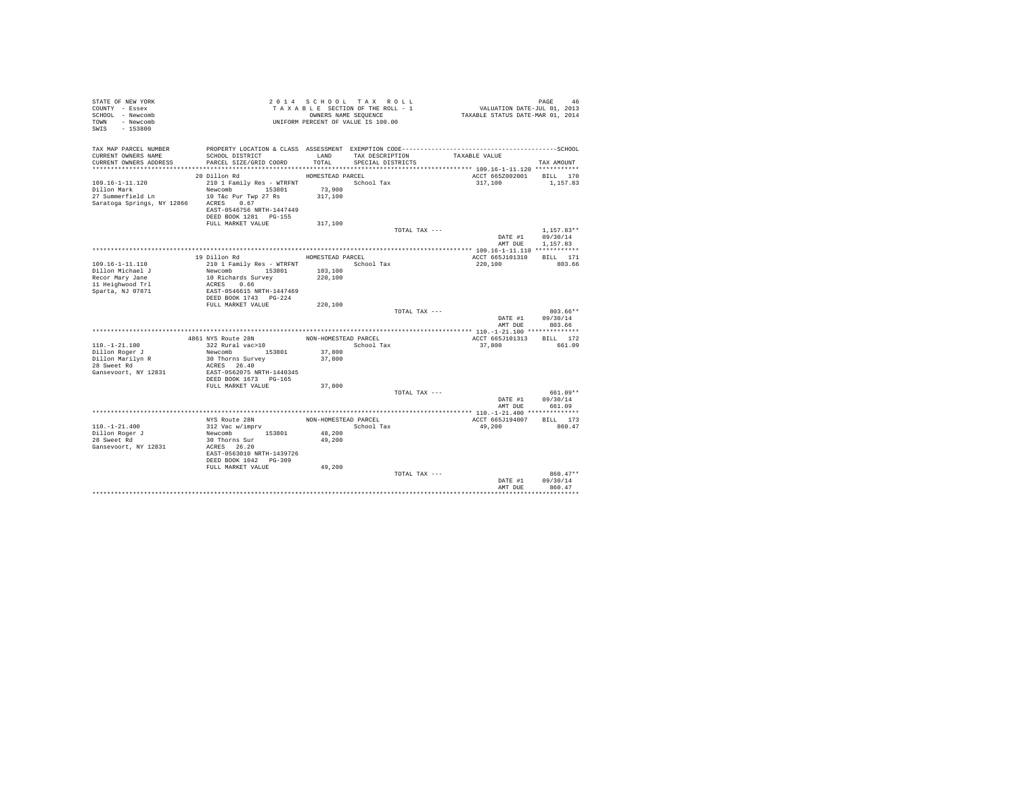| STATE OF NEW YORK<br>COUNTY - Essex<br>SCHOOL - Newcomb<br>TOWN - Newcomb<br>$-153800$<br>SWIS |                                             |                      | 2014 SCHOOL TAX ROLL<br>TAXABLE SECTION OF THE ROLL - 1<br>OWNERS NAME SEQUENCE<br>UNIFORM PERCENT OF VALUE IS 100.00 |               | VALUATION DATE-JUL 01, 2013<br>TAXABLE STATUS DATE-MAR 01, 2014 | PAGE<br>46             |
|------------------------------------------------------------------------------------------------|---------------------------------------------|----------------------|-----------------------------------------------------------------------------------------------------------------------|---------------|-----------------------------------------------------------------|------------------------|
| TAX MAP PARCEL NUMBER<br>CURRENT OWNERS NAME                                                   | SCHOOL DISTRICT                             | LAND                 | TAX DESCRIPTION                                                                                                       |               | TAXABLE VALUE                                                   |                        |
| CURRENT OWNERS ADDRESS                                                                         | PARCEL SIZE/GRID COORD                      | TOTAL                | SPECIAL DISTRICTS                                                                                                     |               |                                                                 | TAX AMOUNT             |
|                                                                                                | 20 Dillon Rd                                | HOMESTEAD PARCEL     |                                                                                                                       |               | ACCT 665Z002001 BILL 170                                        |                        |
| $109.16 - 1 - 11.120$                                                                          | 210 1 Family Res - WTRFNT                   |                      | School Tax                                                                                                            |               | 317,100                                                         | 1,157.83               |
| Dillon Mark                                                                                    | Newcomb 153801                              | 73,900               |                                                                                                                       |               |                                                                 |                        |
| 27 Summerfield Ln 10 T&c Pur Twp 27 Rs                                                         |                                             | 317,100              |                                                                                                                       |               |                                                                 |                        |
| Saratoga Springs, NY 12866                                                                     | ACRES 0.67                                  |                      |                                                                                                                       |               |                                                                 |                        |
|                                                                                                | EAST-0546756 NRTH-1447449                   |                      |                                                                                                                       |               |                                                                 |                        |
|                                                                                                | DEED BOOK 1281 PG-155<br>FULL MARKET VALUE  | 317,100              |                                                                                                                       |               |                                                                 |                        |
|                                                                                                |                                             |                      |                                                                                                                       | TOTAL TAX --- |                                                                 | $1.157.83**$           |
|                                                                                                |                                             |                      |                                                                                                                       |               | DATE #1                                                         | 09/30/14               |
|                                                                                                |                                             |                      |                                                                                                                       |               | AMT DUE                                                         | 1,157.83               |
|                                                                                                |                                             |                      |                                                                                                                       |               |                                                                 |                        |
|                                                                                                | 19 Dillon Rd                                | HOMESTEAD PARCEL     |                                                                                                                       |               | ACCT 665J101310                                                 | BILL 171               |
| $109.16 - 1 - 11.110$<br>Dillon Michael J                                                      | 210 1 Family Res - WTRFNT<br>Newcomb 153801 | School Tax           |                                                                                                                       |               | 220,100                                                         | 803.66                 |
| Recor Mary Jane                                                                                | 10 Richards Survey                          | 103,100<br>220,100   |                                                                                                                       |               |                                                                 |                        |
| 11 Heighwood Trl                                                                               | ACRES 0.66                                  |                      |                                                                                                                       |               |                                                                 |                        |
| Sparta, NJ 07871                                                                               | EAST-0546615 NRTH-1447469                   |                      |                                                                                                                       |               |                                                                 |                        |
|                                                                                                | DEED BOOK 1743 PG-224                       |                      |                                                                                                                       |               |                                                                 |                        |
|                                                                                                | FULL MARKET VALUE                           | 220,100              |                                                                                                                       |               |                                                                 |                        |
|                                                                                                |                                             |                      |                                                                                                                       | TOTAL TAX --- | DATE #1                                                         | $803.66**$<br>09/30/14 |
|                                                                                                |                                             |                      |                                                                                                                       |               | AMT DUR                                                         | 803.66                 |
|                                                                                                |                                             |                      |                                                                                                                       |               |                                                                 |                        |
|                                                                                                | 4861 NYS Route 28N                          | NON-HOMESTEAD PARCEL |                                                                                                                       |               | ACCT 665J101313                                                 | BILL 172               |
| $110. - 1 - 21.100$                                                                            | 322 Rural vac>10                            |                      | School Tax                                                                                                            |               | 37,800                                                          | 661.09                 |
| Dillon Roger J<br>Dillon Marilyn R                                                             | Newcomb 153801<br>30 Thorns Survey          | 37,800<br>37,800     |                                                                                                                       |               |                                                                 |                        |
| 28 Sweet Rd                                                                                    | ACRES 26.40                                 |                      |                                                                                                                       |               |                                                                 |                        |
| Gansevoort, NY 12831                                                                           | EAST-0562075 NRTH-1440345                   |                      |                                                                                                                       |               |                                                                 |                        |
|                                                                                                | DEED BOOK 1673 PG-165                       |                      |                                                                                                                       |               |                                                                 |                        |
|                                                                                                | FULL MARKET VALUE                           | 37,800               |                                                                                                                       |               |                                                                 |                        |
|                                                                                                |                                             |                      |                                                                                                                       | TOTAL TAX --- | DATE #1                                                         | $661.09**$<br>09/30/14 |
|                                                                                                |                                             |                      |                                                                                                                       |               | AMT DUE                                                         | 661.09                 |
|                                                                                                |                                             |                      |                                                                                                                       |               |                                                                 |                        |
|                                                                                                | NYS Route 28N                               | NON-HOMESTEAD PARCEL |                                                                                                                       |               | ACCT 665J194007                                                 | BILL 173               |
| $110. - 1 - 21.400$                                                                            | 312 Vac w/imprv                             |                      | School Tax                                                                                                            |               | 49,200                                                          | 860.47                 |
| Dillon Roger J                                                                                 | Newcomb 153801                              | 48,200               |                                                                                                                       |               |                                                                 |                        |
| 28 Sweet Rd<br>Gansevoort, NY 12831                                                            | 30 Thorns Sur<br>ACRES 26.20                | 49,200               |                                                                                                                       |               |                                                                 |                        |
|                                                                                                | EAST-0563010 NRTH-1439726                   |                      |                                                                                                                       |               |                                                                 |                        |
|                                                                                                | DEED BOOK 1042 PG-309                       |                      |                                                                                                                       |               |                                                                 |                        |
|                                                                                                | FULL MARKET VALUE                           | 49,200               |                                                                                                                       |               |                                                                 |                        |
|                                                                                                |                                             |                      |                                                                                                                       | TOTAL TAX --- |                                                                 | $860.47**$             |
|                                                                                                |                                             |                      |                                                                                                                       |               | DATE #1<br>AMT DUE                                              | 09/30/14<br>860.47     |
|                                                                                                |                                             |                      |                                                                                                                       |               |                                                                 |                        |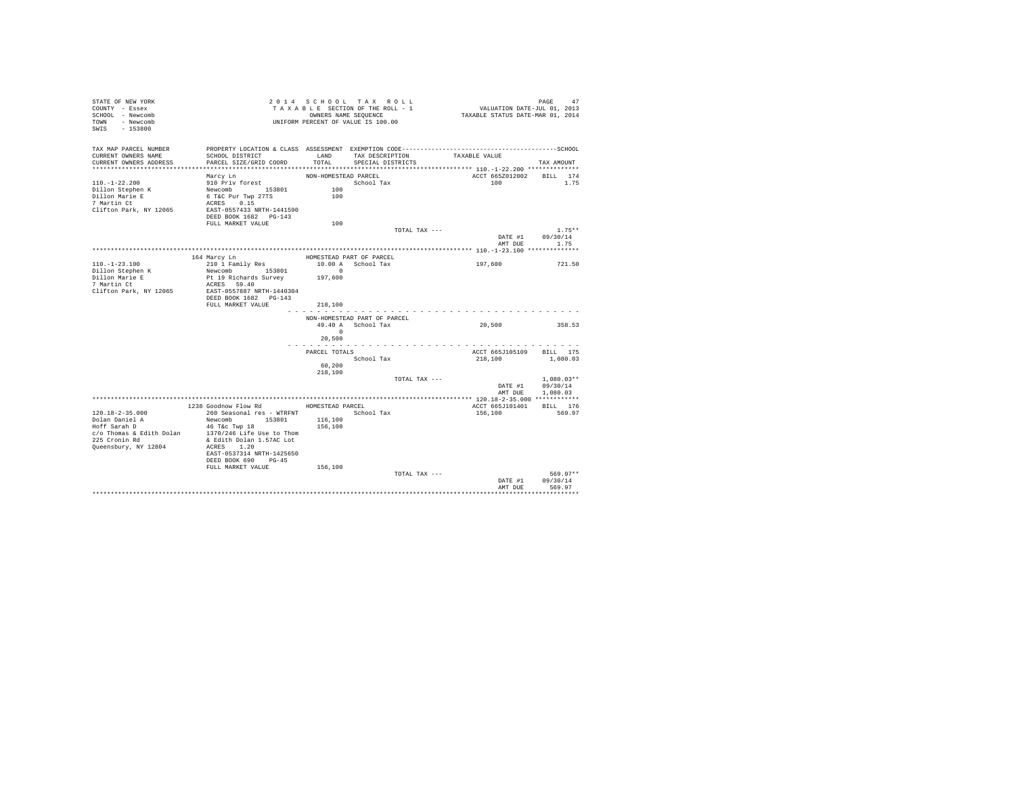| STATE OF NEW YORK<br>COUNTY - Essex<br>SCHOOL - Newcomb<br>TOWN - Newcomb<br>SWIS<br>$-153800$                                                           |                                                                                                                                                                                                                  |                                           | 2014 SCHOOL TAX ROLL<br>TAXABLE SECTION OF THE ROLL - 1<br>OWNERS NAME SEQUENCE<br>UNIFORM PERCENT OF VALUE IS 100.00 |               | PAGE 47<br>VALUATION DATE-JUL 01, 2013<br>TAXABLE STATUS DATE-MAR 01, 2014 |                      |          |
|----------------------------------------------------------------------------------------------------------------------------------------------------------|------------------------------------------------------------------------------------------------------------------------------------------------------------------------------------------------------------------|-------------------------------------------|-----------------------------------------------------------------------------------------------------------------------|---------------|----------------------------------------------------------------------------|----------------------|----------|
| TAX MAP PARCEL NUMBER<br>CURRENT OWNERS NAME<br>CURRENT OWNERS ADDRESS                                                                                   | PROPERTY LOCATION & CLASS ASSESSMENT EXEMPTION CODE-----------------------------------SCHOOL<br>SCHOOL DISTRICT<br>PARCEL SIZE/GRID COORD                                                                        | LAND<br>TOTAL                             | TAX DESCRIPTION<br>SPECIAL DISTRICTS                                                                                  |               | TAXABLE VALUE                                                              | TAX AMOUNT           |          |
| $110. - 1 - 22.200$<br>Dillon Stephen K<br>Dillon Marie E<br>7 Martin Ct<br>Clifton Park, NY 12065                                                       | Marcy Ln<br>910 Priv forest<br>Newcomb 153801<br>6 T&C Pur Twp 27TS<br>ACRES 0.15<br>EAST-0557433 NRTH-1441590<br>DEED BOOK 1682 PG-143<br>FULL MARKET VALUE                                                     | NON-HOMESTEAD PARCEL<br>100<br>100<br>100 | School Tax                                                                                                            |               | ACCT 665Z012002 BILL 174<br>1.00                                           |                      | 1.75     |
|                                                                                                                                                          |                                                                                                                                                                                                                  |                                           |                                                                                                                       | TOTAL TAX --- |                                                                            |                      | $1.75**$ |
|                                                                                                                                                          |                                                                                                                                                                                                                  |                                           |                                                                                                                       |               | DATE #1<br>AMT DUE 1.75                                                    | 09/30/14             |          |
|                                                                                                                                                          |                                                                                                                                                                                                                  |                                           |                                                                                                                       |               |                                                                            |                      |          |
| 164 Marcy Ln<br>$110. - 1 - 23.100$<br>Dillon Stephen K<br>Dillon Marie E<br>7 Martin Ct<br>Clifton Park, NY 12065                                       | 210 1 Family Res<br>Newcomb 153801<br>Pt 19 Richards Survey<br>ACRES 59.40<br>EAST-0557887 NRTH-1440304<br>DEED BOOK 1682 PG-143                                                                                 | 10.00 A School Tax<br>$\sim$ 0<br>197,600 | HOMESTEAD PART OF PARCEL                                                                                              |               | 197,600                                                                    |                      | 721.50   |
|                                                                                                                                                          | FULL MARKET VALUE                                                                                                                                                                                                | 218,100                                   |                                                                                                                       |               |                                                                            |                      |          |
|                                                                                                                                                          |                                                                                                                                                                                                                  |                                           | NON-HOMESTEAD PART OF PARCEL                                                                                          |               |                                                                            |                      |          |
|                                                                                                                                                          |                                                                                                                                                                                                                  | $\sim$ 0<br>20,500                        | 49.40 A School Tax                                                                                                    |               | 20,500                                                                     | 358.53               |          |
|                                                                                                                                                          |                                                                                                                                                                                                                  | .<br>PARCEL TOTALS<br>60,200<br>218,100   | School Tax                                                                                                            |               | ACCT 665J105109 BILL 175<br>218,100                                        | 1,080.03             |          |
|                                                                                                                                                          |                                                                                                                                                                                                                  |                                           |                                                                                                                       | TOTAL TAX --- |                                                                            | $1.080.03**$         |          |
|                                                                                                                                                          |                                                                                                                                                                                                                  |                                           |                                                                                                                       |               | DATE #1 09/30/14<br>AMT DUE 1,080.03                                       |                      |          |
|                                                                                                                                                          |                                                                                                                                                                                                                  |                                           |                                                                                                                       |               |                                                                            |                      |          |
| $120.18 - 2 - 35.000$<br>Dolan Daniel A<br>Hoff Sarah D<br>$c/o$ Thomas & Edith Dolan 1370/246 Life Use to Thom<br>225 Cronin Rd<br>Queensbury, NY 12804 | 1238 Goodnow Flow Rd MOMESTEAD PARCEL<br>260 Seasonal res - WTRFNT · School Tax<br>Newcomb 153801<br>46 T&c Twp 18<br>& Edith Dolan 1.57AC Lot<br>ACRES 1.20<br>EAST-0537314 NRTH-1425650<br>DEED BOOK 690 PG-45 | 116,100<br>156,100                        |                                                                                                                       |               | ACCT 665J101401<br>156,100                                                 | BILL 176<br>569.97   |          |
|                                                                                                                                                          | FULL MARKET VALUE                                                                                                                                                                                                | 156,100                                   |                                                                                                                       | TOTAL TAX --- | DATE #1                                                                    | 569.97**<br>09/30/14 |          |
|                                                                                                                                                          |                                                                                                                                                                                                                  |                                           |                                                                                                                       |               | AMT DUE                                                                    | 569.97               |          |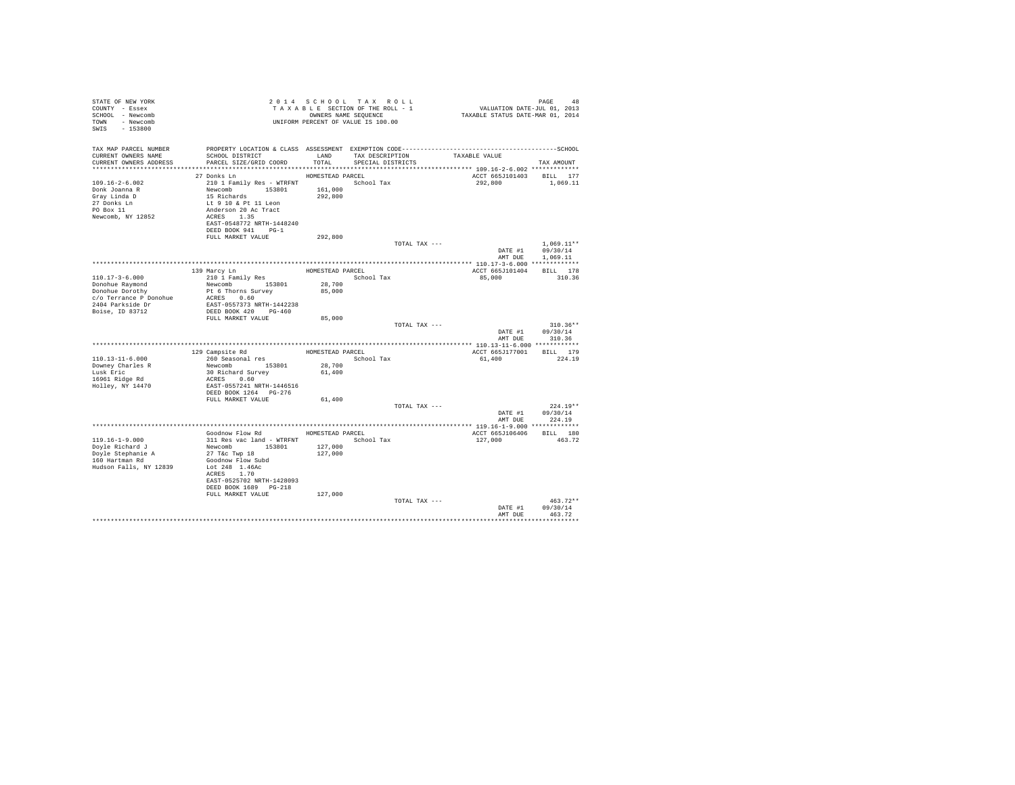| STATE OF NEW YORK<br>COUNTY - Essex<br>SCHOOL - Newcomb<br>TOWN - Newcomb<br>SWIS<br>$-153800$                              |                                                                                                                                                                                                                            | 2014 SCHOOL TAX ROLL<br>TAXABLE SECTION OF THE ROLL - 1<br>OWNERS NAME SEQUENCE<br>UNIFORM PERCENT OF VALUE IS 100.00 |                                      |               | 9 PAGE 48<br>VALUATION DATE-JUL 01, 2013<br>TAXABLE STATUS DATE-MAR 01, 2014 |                                                |
|-----------------------------------------------------------------------------------------------------------------------------|----------------------------------------------------------------------------------------------------------------------------------------------------------------------------------------------------------------------------|-----------------------------------------------------------------------------------------------------------------------|--------------------------------------|---------------|------------------------------------------------------------------------------|------------------------------------------------|
| TAX MAP PARCEL NUMBER<br>CURRENT OWNERS NAME<br>CURRENT OWNERS ADDRESS                                                      | SCHOOL DISTRICT<br>PARCEL SIZE/GRID COORD                                                                                                                                                                                  | LAND<br>TOTAL                                                                                                         | TAX DESCRIPTION<br>SPECIAL DISTRICTS |               | TAXABLE VALUE<br>*************************** 109.16-2-6.002 *************    | TAX AMOUNT                                     |
| $109.16 - 2 - 6.002$<br>Donk Joanna R<br>Gray Linda D<br>27 Donks Ln<br>PO Box 11<br>Newcomb, NY 12852                      | 27 Donks Ln<br>210 1 Family Res - WTRFNT School Tax<br>Newcomb 153801<br>15 Richards<br>Lt 9 10 & Pt 11 Leon<br>Anderson 20 Ac Tract<br>ACRES 1.35<br>EAST-0548772 NRTH-1448240<br>DEED BOOK 941 PG-1<br>FULL MARKET VALUE | HOMESTEAD PARCEL<br>161,000<br>292,800<br>292,800                                                                     |                                      |               | ACCT 665J101403 BILL 177<br>292,800                                          | 1,069.11                                       |
|                                                                                                                             |                                                                                                                                                                                                                            |                                                                                                                       |                                      | TOTAL TAX --- | DATE #1<br>AMT DUE                                                           | $1.069.11**$<br>09/30/14<br>1,069.11           |
|                                                                                                                             |                                                                                                                                                                                                                            |                                                                                                                       |                                      |               |                                                                              |                                                |
| $110.17 - 3 - 6.000$<br>Donohue Raymond<br>Donohue Dorothy<br>c/o Terrance P Donohue<br>2404 Parkside Dr<br>Boise, ID 83712 | 139 Marcy Ln<br>210 1 Family Res<br>Newcomb 153801<br>Pt 6 Thorns Survey<br>ACRES 0.60<br>EAST-0557373 NRTH-1442238<br>DEED BOOK 420 PG-460                                                                                | HOMESTEAD PARCEL<br>28,700<br>85,000                                                                                  | School Tax                           |               | ACCT 665J101404<br>85,000                                                    | BILL 178<br>310.36                             |
|                                                                                                                             | FULL MARKET VALUE                                                                                                                                                                                                          | 85,000                                                                                                                |                                      | TOTAL TAX --- | DATE #1<br>AMT DUE                                                           | $310.36**$<br>09/30/14<br>310.36               |
|                                                                                                                             |                                                                                                                                                                                                                            |                                                                                                                       |                                      |               |                                                                              |                                                |
|                                                                                                                             | 129 Campsite Rd                                                                                                                                                                                                            | HOMESTEAD PARCEL                                                                                                      |                                      |               | ACCT 665J177001                                                              | BILL 179                                       |
| $110.13 - 11 - 6.000$<br>Downey Charles R<br>Lusk Eric<br>16961 Ridge Rd<br>Holley, NY 14470                                | 260 Seasonal res<br>Newcomb 153801<br>30 Richard Survey<br>ACRES 0.60<br>EAST-0557241 NRTH-1446516<br>DEED BOOK 1264 PG-276                                                                                                | 28,700<br>61,400                                                                                                      | School Tax                           |               | 61,400                                                                       | 224.19                                         |
|                                                                                                                             | FULL MARKET VALUE                                                                                                                                                                                                          | 61,400                                                                                                                |                                      |               |                                                                              |                                                |
|                                                                                                                             |                                                                                                                                                                                                                            |                                                                                                                       |                                      | TOTAL TAX --- | DATE #1<br>AMT DUE                                                           | $224.19**$<br>09/30/14<br>224.19               |
|                                                                                                                             |                                                                                                                                                                                                                            |                                                                                                                       |                                      |               |                                                                              |                                                |
| $119.16 - 1 - 9.000$<br>Doyle Richard J<br>Doyle Stephanie A<br>160 Hartman Rd<br>Hudson Falls, NY 12839                    | Goodnow Flow Rd<br>311 Res vac land - WTRFNT<br>Newcomb 153801<br>27 T&c Twp 18<br>Goodnow Flow Subd<br>Lot 248 1.46Ac<br>ACRES 1.70<br>EAST-0525702 NRTH-1428093<br>DEED BOOK 1689 PG-218                                 | HOMESTEAD PARCEL<br>127,000<br>127,000                                                                                | School Tax                           |               | ACCT 665J106406<br>127,000                                                   | BILL 180<br>463.72                             |
|                                                                                                                             | FULL MARKET VALUE                                                                                                                                                                                                          | 127,000                                                                                                               |                                      | TOTAL TAX --- | DATE #1<br>AMT DUE                                                           | $463.72**$<br>09/30/14<br>463.72<br>********** |
|                                                                                                                             |                                                                                                                                                                                                                            |                                                                                                                       |                                      |               |                                                                              |                                                |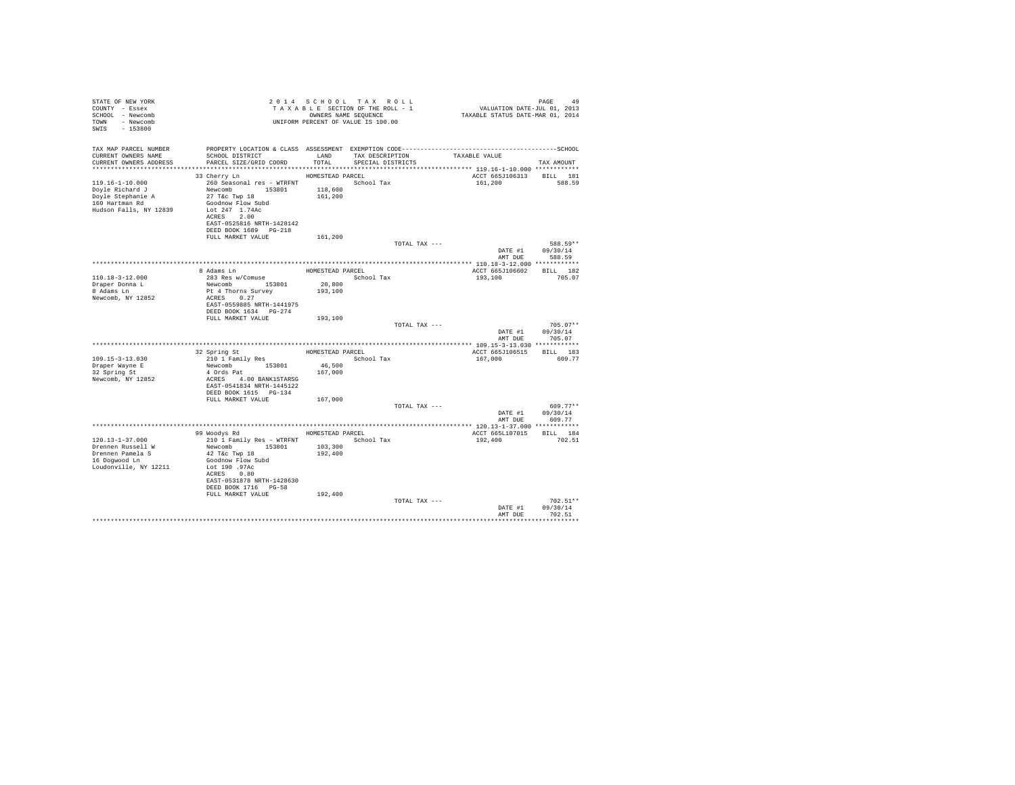| STATE OF NEW YORK<br>COUNTY - Essex<br>SCHOOL - Newcomb<br>TOWN - Newcomb<br>SWIS - 153800          | UNIFORM PERCENT OF VALUE IS 100.00                                                                                                                                                    | 2014 SCHOOL TAX ROLL<br>TAXABLE SECTION OF THE ROLL - 1<br>OWNERS NAME SEQUENCE |                                      |               | PAGE 49<br>VALUATION DATE-JUL 01, 2013<br>TAXABLE STATUS DATE-MAR 01, 2014 |                                  |
|-----------------------------------------------------------------------------------------------------|---------------------------------------------------------------------------------------------------------------------------------------------------------------------------------------|---------------------------------------------------------------------------------|--------------------------------------|---------------|----------------------------------------------------------------------------|----------------------------------|
| TAX MAP PARCEL NUMBER<br>CURRENT OWNERS NAME<br>CURRENT OWNERS ADDRESS                              | SCHOOL DISTRICT<br>PARCEL SIZE/GRID COORD                                                                                                                                             | LAND<br>TOTAL                                                                   | TAX DESCRIPTION<br>SPECIAL DISTRICTS |               | TAXABLE VALUE                                                              | TAX AMOUNT                       |
|                                                                                                     |                                                                                                                                                                                       |                                                                                 |                                      |               |                                                                            |                                  |
| 119.16-1-10.000<br>Doyle Richard J<br>Doyle Stephanie A<br>160 Hartman Rd<br>Hudson Falls, NY 12839 | 33 Cherry Ln<br>260 Seasonal res - WTRFNT <a></a> School Tax<br>Newcomb 153801<br>27 T&c Twp 18<br>Goodnow Flow Subd<br>Lot 247 1.74Ac<br>ACRES 2.00<br>EAST-0525816 NRTH-1428142     | HOMESTEAD PARCEL<br>118,600<br>161,200                                          |                                      |               | ACCT 665J106313<br>161,200                                                 | BILL 181<br>588.59               |
|                                                                                                     | DEED BOOK 1689 PG-218<br>FULL MARKET VALUE                                                                                                                                            | 161,200                                                                         |                                      |               |                                                                            |                                  |
|                                                                                                     |                                                                                                                                                                                       |                                                                                 |                                      | TOTAL TAX --- | DATE #1<br>AMT DUE                                                         | 588.59**<br>09/30/14<br>588.59   |
|                                                                                                     |                                                                                                                                                                                       |                                                                                 |                                      |               |                                                                            |                                  |
| $110.18 - 3 - 12.000$<br>Draper Donna L<br>8 Adams Ln<br>Newcomb, NY 12852                          | 8 Adams Ln<br>283 Res w/Comuse<br>Newcomb 153801<br>Pt 4 Thorns Survey<br>ACRES 0.27<br>EAST-0559885 NRTH-1441975<br>DEED BOOK 1634 PG-274                                            | HOMESTEAD PARCEL<br>20,800<br>193,100                                           | School Tax                           |               | ACCT 665J106602<br>193,100                                                 | BILL 182<br>705.07               |
|                                                                                                     | FULL MARKET VALUE                                                                                                                                                                     | 193,100                                                                         |                                      | TOTAL TAX --- | DATE #1<br>AMT DUE                                                         | $705.07**$<br>09/30/14<br>705.07 |
|                                                                                                     |                                                                                                                                                                                       |                                                                                 |                                      |               |                                                                            |                                  |
| $109.15 - 3 - 13.030$<br>Draper Wayne E<br>32 Spring St<br>Newcomb, NY 12852                        | 32 Spring St<br>210 1 Family Res<br>Newcomb 153801<br>4 Ords Pat<br>ACRES 4.00 BANK1STARSG<br>EAST-0541834 NRTH-1445122<br>DEED BOOK 1615 PG-134                                      | HOMESTEAD PARCEL<br>46,500<br>167,000                                           | School Tax                           |               | ACCT 665J106515<br>167,000                                                 | BILL 183<br>609.77               |
|                                                                                                     | FULL MARKET VALUE                                                                                                                                                                     | 167,000                                                                         |                                      |               |                                                                            |                                  |
|                                                                                                     |                                                                                                                                                                                       |                                                                                 |                                      | TOTAL TAX --- | DATE #1<br>AMT DUE                                                         | $609.77**$<br>09/30/14<br>609.77 |
|                                                                                                     |                                                                                                                                                                                       |                                                                                 |                                      |               |                                                                            |                                  |
| 120.13-1-37.000<br>Drennen Russell W<br>Drennen Pamela S<br>16 Dogwood Ln<br>Loudonville, NY 12211  | 99 Woodys Rd<br>210 1 Family Res - WTRFNT<br>Newcomb 153801<br>42 T&C Twp 18<br>Goodnow Flow Subd<br>Lot 190 .97Ac<br>ACRES 0.80<br>EAST-0531878 NRTH-1428630<br>DEED BOOK 1716 PG-58 | HOMESTEAD PARCEL<br>103,300<br>192,400                                          | School Tax                           |               | ACCT 665L107015 BILL 184<br>192,400                                        | 702.51                           |
|                                                                                                     | FULL MARKET VALUE                                                                                                                                                                     | 192,400                                                                         |                                      | TOTAL TAX --- | DATE #1<br>AMT DUE                                                         | 702.51**<br>09/30/14<br>702.51   |
|                                                                                                     |                                                                                                                                                                                       |                                                                                 |                                      |               |                                                                            |                                  |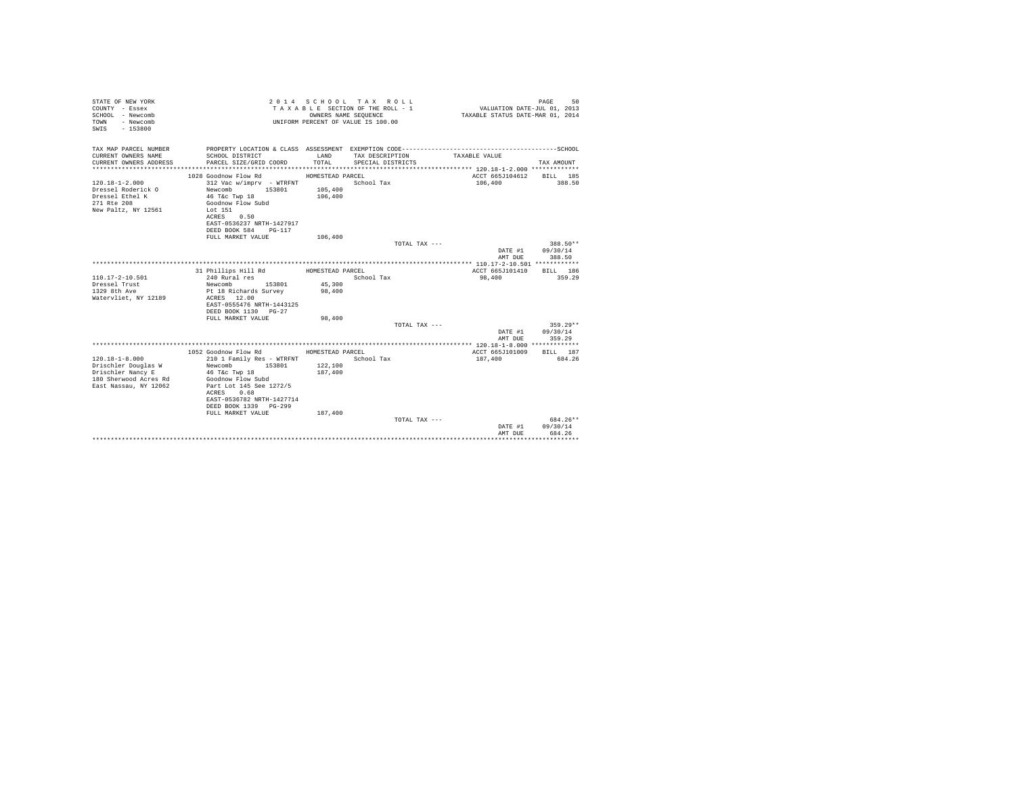| STATE OF NEW YORK<br>COUNTY - Essex<br>SCHOOL - Newcomb<br>- Newcomb<br>TOWN<br>SWIS<br>$-153800$ |                                                                             |                    | 2014 SCHOOL TAX ROLL<br>TAXABLE SECTION OF THE ROLL - 1<br>OWNERS NAME SEOUENCE<br>UNIFORM PERCENT OF VALUE IS 100.00 | VALUATION DATE-JUL 01, 2013<br>TAXABLE STATUS DATE-MAR 01, 2014 | 50<br>PAGE               |
|---------------------------------------------------------------------------------------------------|-----------------------------------------------------------------------------|--------------------|-----------------------------------------------------------------------------------------------------------------------|-----------------------------------------------------------------|--------------------------|
| TAX MAP PARCEL NUMBER                                                                             | PROPERTY LOCATION & CLASS ASSESSMENT EXEMPTION CODE------------------------ |                    |                                                                                                                       |                                                                 | ------------------SCHOOL |
| CURRENT OWNERS NAME<br>CURRENT OWNERS ADDRESS                                                     | SCHOOL DISTRICT<br>PARCEL SIZE/GRID COORD                                   | LAND<br>TOTAL.     | TAX DESCRIPTION<br>SPECIAL DISTRICTS                                                                                  | TAXABLE VALUE                                                   | TAX AMOUNT               |
|                                                                                                   |                                                                             |                    |                                                                                                                       |                                                                 |                          |
|                                                                                                   | 1028 Goodnow Flow Rd                                                        | HOMESTEAD PARCEL   |                                                                                                                       | ACCT 665J104612 BILL 185                                        |                          |
| $120.18 - 1 - 2.000$                                                                              | 312 Vac w/imprv - WTRFNT                                                    |                    | School Tax                                                                                                            | 106,400                                                         | 388.50                   |
| Dressel Roderick O<br>Dressel Ethel K                                                             | Newcomb<br>153801<br>46 T&c Twp 18                                          | 105,400<br>106,400 |                                                                                                                       |                                                                 |                          |
| 271 Rte 208                                                                                       | Goodnow Flow Subd                                                           |                    |                                                                                                                       |                                                                 |                          |
| New Paltz, NY 12561                                                                               | Lot 151                                                                     |                    |                                                                                                                       |                                                                 |                          |
|                                                                                                   | ACRES 0.50<br>EAST-0536237 NRTH-1427917                                     |                    |                                                                                                                       |                                                                 |                          |
|                                                                                                   | DEED BOOK 584 PG-117                                                        |                    |                                                                                                                       |                                                                 |                          |
|                                                                                                   | FULL MARKET VALUE                                                           | 106,400            |                                                                                                                       |                                                                 |                          |
|                                                                                                   |                                                                             |                    | TOTAL TAX ---                                                                                                         |                                                                 | 388.50**                 |
|                                                                                                   |                                                                             |                    |                                                                                                                       | DATE #1                                                         | 09/30/14                 |
|                                                                                                   |                                                                             |                    |                                                                                                                       | AMT DUR                                                         | 388.50                   |
|                                                                                                   |                                                                             | HOMESTEAD PARCEL   |                                                                                                                       | ACCT 665J101410                                                 | BILL 186                 |
| $110.17 - 2 - 10.501$                                                                             | 31 Phillips Hill Rd<br>240 Rural res                                        |                    | School Tax                                                                                                            | 98,400                                                          | 359.29                   |
| Dressel Trust                                                                                     | Newcomb<br>153801                                                           | 45,300             |                                                                                                                       |                                                                 |                          |
| 1329 8th Ave                                                                                      | Pt 18 Richards Survey                                                       | 98,400             |                                                                                                                       |                                                                 |                          |
| Watervliet, NY 12189                                                                              | ACRES 12.00                                                                 |                    |                                                                                                                       |                                                                 |                          |
|                                                                                                   |                                                                             |                    |                                                                                                                       |                                                                 |                          |
|                                                                                                   | EAST-0555476 NRTH-1443125                                                   |                    |                                                                                                                       |                                                                 |                          |
|                                                                                                   | DEED BOOK 1130 PG-27                                                        |                    |                                                                                                                       |                                                                 |                          |
|                                                                                                   | FULL MARKET VALUE                                                           | 98,400             |                                                                                                                       |                                                                 |                          |
|                                                                                                   |                                                                             |                    | TOTAL TAX ---                                                                                                         | DATE #1                                                         | $359.29**$<br>09/30/14   |
|                                                                                                   |                                                                             |                    |                                                                                                                       | AMT DUE                                                         | 359.29                   |
|                                                                                                   |                                                                             |                    |                                                                                                                       |                                                                 |                          |
|                                                                                                   | 1052 Goodnow Flow Rd                                                        | HOMESTEAD PARCEL   |                                                                                                                       | ACCT 665J101009                                                 | BILL 187                 |
| $120.18 - 1 - 8.000$                                                                              | 210 1 Family Res - WTRFNT                                                   |                    | School Tax                                                                                                            | 187,400                                                         | 684.26                   |
| Drischler Douglas W                                                                               | Newcomb<br>153801                                                           | 122,100            |                                                                                                                       |                                                                 |                          |
| Drischler Nancy E<br>180 Sherwood Acres Rd                                                        | 46 T&C Twp 18<br>Goodnow Flow Subd                                          | 187,400            |                                                                                                                       |                                                                 |                          |
| East Nassau, NY 12062                                                                             | Part Lot 145 See 1272/5                                                     |                    |                                                                                                                       |                                                                 |                          |
|                                                                                                   | ACRES 0.68                                                                  |                    |                                                                                                                       |                                                                 |                          |
|                                                                                                   | EAST-0536782 NRTH-1427714                                                   |                    |                                                                                                                       |                                                                 |                          |
|                                                                                                   | DEED BOOK 1339 PG-299                                                       |                    |                                                                                                                       |                                                                 |                          |
|                                                                                                   | FULL MARKET VALUE                                                           | 187,400            |                                                                                                                       |                                                                 |                          |
|                                                                                                   |                                                                             |                    | TOTAL TAX ---                                                                                                         | DATE #1                                                         | 684.26**<br>09/30/14     |
|                                                                                                   |                                                                             |                    |                                                                                                                       | AMT DUE                                                         | 684.26                   |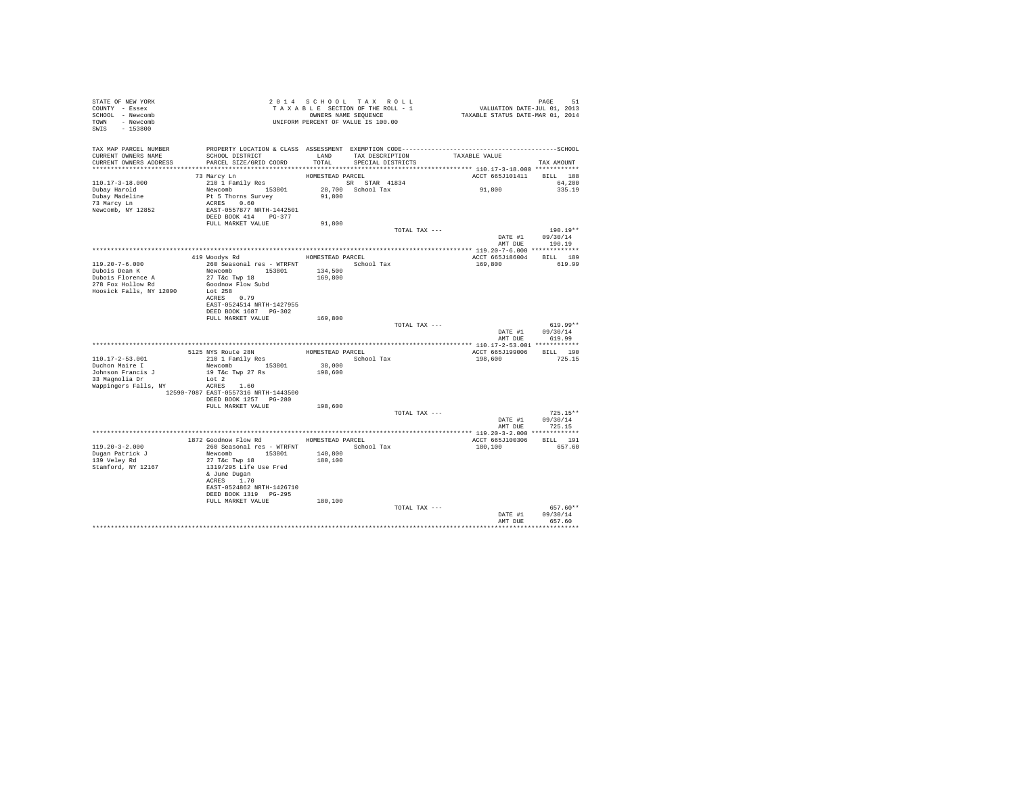| STATE OF NEW YORK<br>COUNTY - Essex<br>SCHOOL - Newcomb<br>TOWN - Newcomb<br>$-153800$<br>SWIS                     |                                                                                                                      |                    | 2014 SCHOOL TAX ROLL<br>T A X A B L E SECTION OF THE ROLL - 1<br>OWNERS NAME SEQUENCE |                               | PAGE 51<br>VALUATION DATE-JUL 01, 2013<br>TAXABLE STATUS DATE-MAR 01, 2014 |                             |                                   |                  |
|--------------------------------------------------------------------------------------------------------------------|----------------------------------------------------------------------------------------------------------------------|--------------------|---------------------------------------------------------------------------------------|-------------------------------|----------------------------------------------------------------------------|-----------------------------|-----------------------------------|------------------|
| TAX MAP PARCEL NUMBER                                                                                              |                                                                                                                      |                    |                                                                                       |                               |                                                                            |                             |                                   |                  |
| CURRENT OWNERS NAME<br>CURRENT OWNERS ADDRESS                                                                      | SCHOOL DISTRICT<br>PARCEL SIZE/GRID COORD                                                                            | LAND<br>TOTAL      | SPECIAL DISTRICTS                                                                     | TAX DESCRIPTION TAXABLE VALUE |                                                                            |                             | TAX AMOUNT                        |                  |
|                                                                                                                    | 73 Marcy Ln                                                                                                          | HOMESTEAD PARCEL   |                                                                                       |                               | ACCT 665J101411                                                            |                             | BILL 188                          |                  |
| 110.17-3-18.000<br>Dubay Harold<br>Dubay Madeline<br>73 Marcy Ln<br>Newcomb, NY 12852                              | 210 1 Family Res<br>Pt 5 Thorns Survey<br>ACRES 0.60<br>EAST-0557877 NRTH-1442501<br>DEED BOOK 414 PG-377            | 91,800             |                                                                                       |                               | 91,800                                                                     |                             |                                   | 64,200<br>335.19 |
|                                                                                                                    | FULL MARKET VALUE                                                                                                    | 91,800             |                                                                                       |                               |                                                                            |                             |                                   |                  |
|                                                                                                                    |                                                                                                                      |                    |                                                                                       | TOTAL TAX ---                 |                                                                            | DATE #1 09/30/14<br>AMT DUE | $190.19**$<br>190.19              |                  |
|                                                                                                                    |                                                                                                                      |                    |                                                                                       |                               |                                                                            |                             |                                   |                  |
|                                                                                                                    | 419 Woodys Rd MOMESTEAD PARCEL                                                                                       |                    |                                                                                       |                               | ACCT 665J186004                                                            |                             | BILL 189                          |                  |
| $119.20 - 7 - 6.000$<br>Dubois Dean K<br>Dubois Florence A<br>278 Fox Hollow Rd<br>Hoosick Falls, NY 12090 Lot 258 | 260 Seasonal res - WTRFNT <a></a> School Tax<br>Newcomb 153801<br>27 T&C Twp 18<br>Goodnow Flow Subd<br>ACRES 0.79   | 134,500<br>169,800 |                                                                                       |                               | 169,800                                                                    |                             | 619.99                            |                  |
|                                                                                                                    | EAST-0524514 NRTH-1427955                                                                                            |                    |                                                                                       |                               |                                                                            |                             |                                   |                  |
|                                                                                                                    | DEED BOOK 1687 PG-302<br>FULL MARKET VALUE                                                                           | 169,800            |                                                                                       |                               |                                                                            |                             |                                   |                  |
|                                                                                                                    |                                                                                                                      |                    |                                                                                       | TOTAL TAX ---                 |                                                                            | DATE #1 09/30/14            |                                   | $619.99**$       |
|                                                                                                                    |                                                                                                                      |                    |                                                                                       |                               |                                                                            | AMT DUE                     | 619.99                            |                  |
|                                                                                                                    |                                                                                                                      |                    |                                                                                       |                               | ACCT 665J199006 BILL 190                                                   |                             |                                   |                  |
| 110.17-2-53.001                                                                                                    |                                                                                                                      |                    |                                                                                       |                               | 198,600                                                                    |                             | 725.15                            |                  |
| Duchon Maire I<br>Johnson Francis J<br>33 Magnolia Dr                                                              | Newcomb 153801 38,000<br>19 T&c Twp 27 Rs 198,600<br>Lot 2                                                           |                    |                                                                                       |                               |                                                                            |                             |                                   |                  |
| Wappingers Falls, NY                                                                                               | ACRES 1.60<br>12590-7087 EAST-0557316 NRTH-1443500                                                                   |                    |                                                                                       |                               |                                                                            |                             |                                   |                  |
|                                                                                                                    | DEED BOOK 1257 PG-280<br>FULL MARKET VALUE                                                                           | 198,600            |                                                                                       |                               |                                                                            |                             |                                   |                  |
|                                                                                                                    |                                                                                                                      |                    |                                                                                       | TOTAL TAX ---                 |                                                                            | DATE #1 09/30/14            | $725.15**$                        |                  |
|                                                                                                                    |                                                                                                                      |                    |                                                                                       |                               |                                                                            | AMT DUE                     | 725.15                            |                  |
|                                                                                                                    | 1872 Goodnow Flow Rd MOMESTEAD PARCEL                                                                                |                    |                                                                                       |                               | ACCT 665J100306                                                            |                             | BILL 191                          |                  |
| $119.20 - 3 - 2.000$<br>Dugan Patrick J<br>139 Veley Rd<br>Stamford, NY 12167                                      | 260 Seasonal res - WTRFNT<br>Newcomb 153801<br>27 T&c Twp 18<br>1319/295 Life Use Fred<br>& June Dugan<br>ACRES 1.70 | 140,800<br>180,100 | School Tax                                                                            |                               | 180,100                                                                    |                             | 657.60                            |                  |
|                                                                                                                    | EAST-0524862 NRTH-1426710<br>DEED BOOK 1319 PG-295<br>FULL MARKET VALUE                                              | 180,100            |                                                                                       |                               |                                                                            |                             |                                   |                  |
|                                                                                                                    |                                                                                                                      |                    |                                                                                       | TOTAL TAX ---                 |                                                                            |                             |                                   | 657.60**         |
|                                                                                                                    |                                                                                                                      |                    |                                                                                       |                               |                                                                            | DATE #1<br>AMT DUE          | 09/30/14<br>657.60<br>*********** |                  |
|                                                                                                                    |                                                                                                                      |                    |                                                                                       |                               |                                                                            |                             |                                   |                  |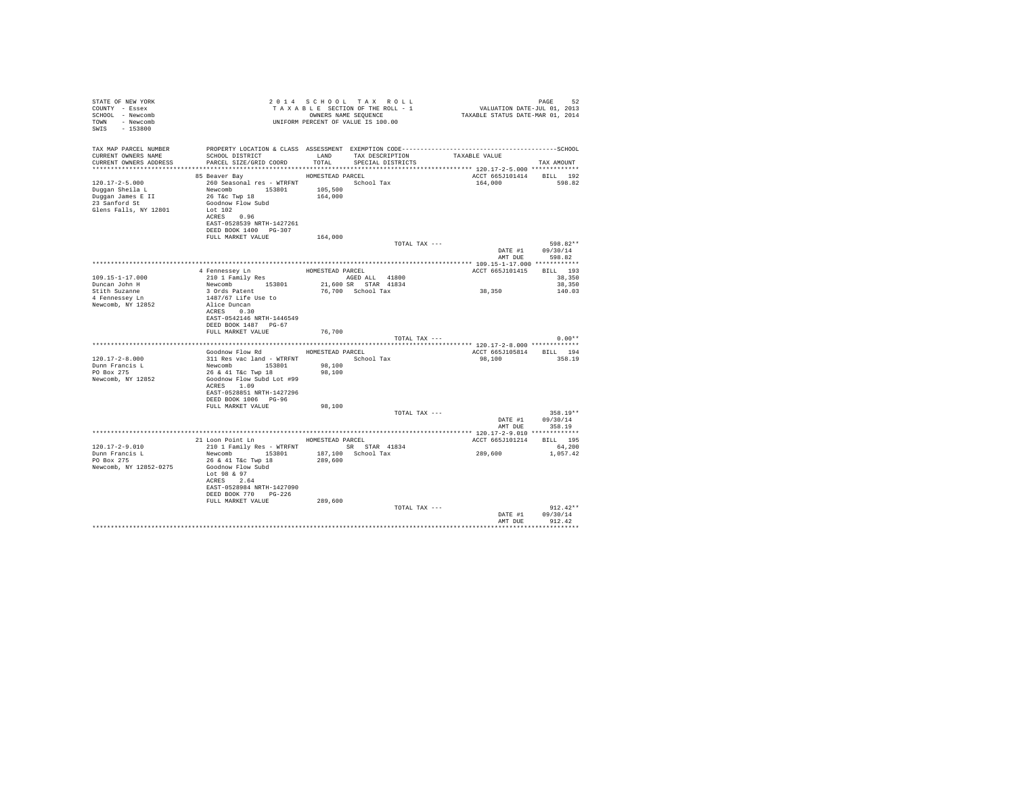| STATE OF NEW YORK<br>COUNTY - Essex<br>SCHOOL - Newcomb<br>TOWN - Newcomb<br>SWIS - 153800             |                                                                                                                                                                                                                                 |                            | 2014 SCHOOL TAX ROLL<br>TAXABLE SECTION OF THE ROLL - 1<br>OWNERS NAME SEQUENCE<br>UNIFORM PERCENT OF VALUE IS 100.00 | 24 FAGE<br>2013, VALUATION DATE-JUL<br>TAXABLE STATUS DATE-MAR 01, 2014 | PAGE<br>52                                                             |
|--------------------------------------------------------------------------------------------------------|---------------------------------------------------------------------------------------------------------------------------------------------------------------------------------------------------------------------------------|----------------------------|-----------------------------------------------------------------------------------------------------------------------|-------------------------------------------------------------------------|------------------------------------------------------------------------|
| TAX MAP PARCEL NUMBER<br>CURRENT OWNERS NAME<br>CURRENT OWNERS ADDRESS                                 | SCHOOL DISTRICT TAND TAX DESCRIPTION<br>PARCEL SIZE/GRID COORD                                                                                                                                                                  | TOTAL                      | SPECIAL DISTRICTS                                                                                                     | TAXABLE VALUE                                                           | TAX AMOUNT                                                             |
| $120.17 - 2 - 5.000$<br>Duggan Sheila L<br>Duggan James E II<br>23 Sanford St<br>Glens Falls, NY 12801 | 85 Beaver Bay MOMESTEAD PARCEL<br>260 Seasonal res - WTRFNT<br>Newcomb 153801 105,500<br>26 T&C Twp 18<br>Goodnow Flow Subd<br>Lot 102<br>ACRES 0.96<br>EAST-0528539 NRTH-1427261<br>DEED BOOK 1400 PG-307<br>FULL MARKET VALUE | 164,000                    | School Tax                                                                                                            | ACCT 665J101414 BILL 192<br>164,000                                     | 598.82                                                                 |
|                                                                                                        |                                                                                                                                                                                                                                 | 164,000                    | TOTAL TAX ---                                                                                                         |                                                                         | 598.82**<br>DATE #1 09/30/14                                           |
| $109.15 - 1 - 17.000$<br>Duncan John H<br>Stith Suzanne<br>4 Fennessey Ln<br>Newcomb, NY 12852         | 4 Fennessey Ln<br>210 1 Family Res<br>Newcomb 153801<br>3 Ords Patent<br>1487/67 Life Use to<br>Alice Duncan<br>ACRES 0.30<br>EAST-0542146 NRTH-1446549<br>DEED BOOK 1487 PG-67<br>FULL MARKET VALUE                            | HOMESTEAD PARCEL<br>76.700 | AGED ALL 41800<br>21,600 SR STAR 41834<br>76.700 School Tax<br>TOTAL TAX ---                                          | ACCT 665J101415<br>38,350                                               | AMT DUE 598.82<br>RTT.T. 193<br>38,350<br>38,350<br>140.03<br>$0.00**$ |
| $120.17 - 2 - 8.000$<br>Dunn Francis L<br>PO Box 275<br>Newcomb, NY 12852                              | Goodnow Flow Rd MOMESTEAD PARCEL<br>311 Res vac land - WTRFNT<br>Newcomb 153801<br>26 & 41 T&c Twp 18<br>Goodnow Flow Subd Lot #99<br>ACRES 1.09<br>EAST-0528851 NRTH-1427296<br>DEED BOOK 1006 PG-96                           | 98,100<br>98,100           | School Tax                                                                                                            | ACCT 665J105814 BILL 194<br>98,100                                      | 358.19                                                                 |
|                                                                                                        | FULL MARKET VALUE                                                                                                                                                                                                               | 98,100                     | TOTAL TAX ---                                                                                                         | AMT DUE                                                                 | $358.19**$<br>DATE #1 09/30/14<br>358.19                               |
| 120.17-2-9.010<br>Dunn Francis L<br>PO Box 275<br>Newcomb, NY 12852-0275                               | 21 Loon Point Ln MOMESTEAD PARCEL<br>210 1 Family Res - WTRFNT SR STAR 41834<br>Newcomb 153801 187,100 School Tax<br>26 & 41 T&c Twp 18<br>Goodnow Flow Subd                                                                    | 289,600                    |                                                                                                                       | ACCT 665J101214 BILL 195<br>289,600                                     | 64,200<br>1,057.42                                                     |
|                                                                                                        | Lot 98 & 97<br>ACRES 2.64<br>EAST-0528984 NRTH-1427090<br>DEED BOOK 770 PG-226<br>FULL MARKET VALUE                                                                                                                             | 289,600                    | TOTAL TAX ---                                                                                                         | DATE #1                                                                 | $912.42**$<br>09/30/14                                                 |
|                                                                                                        |                                                                                                                                                                                                                                 |                            |                                                                                                                       | AMT DUR<br>******************************                               | 912.42                                                                 |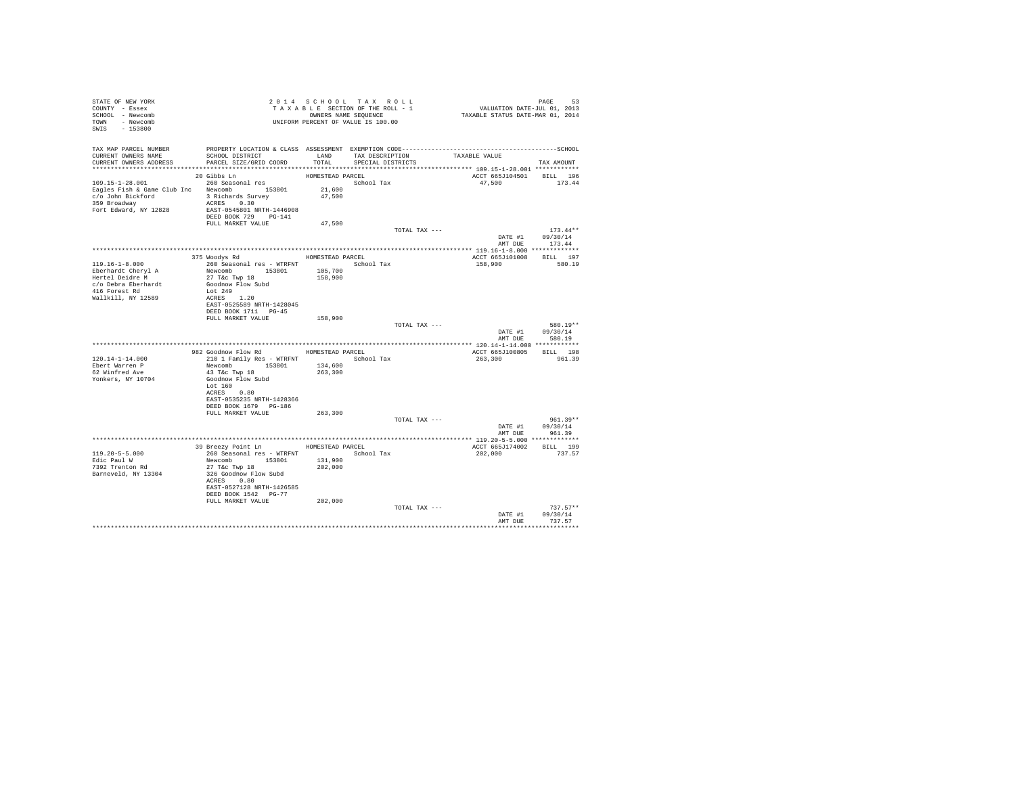| STATE OF NEW YORK<br>COUNTY - Essex<br>SCHOOL - Newcomb<br>TOWN - Newcomb<br>$-153800$<br>SWIS |                                                                                              |                    | 2014 SCHOOL TAX ROLL<br>TAXABLE SECTION OF THE ROLL - 1<br>OWNERS NAME SEQUENCE<br>UNIFORM PERCENT OF VALUE IS 100.00 |               | PAGE 53<br>VALUATION DATE-JUL 01, 2013<br>TAXABLE STATUS DATE-MAR 01, 2014 |                                |
|------------------------------------------------------------------------------------------------|----------------------------------------------------------------------------------------------|--------------------|-----------------------------------------------------------------------------------------------------------------------|---------------|----------------------------------------------------------------------------|--------------------------------|
| TAX MAP PARCEL NUMBER                                                                          | PROPERTY LOCATION & CLASS ASSESSMENT EXEMPTION CODE-----------------------------------SCHOOL |                    |                                                                                                                       |               |                                                                            |                                |
| CURRENT OWNERS NAME<br>CURRENT OWNERS ADDRESS                                                  | SCHOOL DISTRICT<br>PARCEL SIZE/GRID COORD                                                    | LAND<br>TOTAL      | TAX DESCRIPTION<br>SPECIAL DISTRICTS                                                                                  |               | TAXABLE VALUE                                                              | TAX AMOUNT                     |
|                                                                                                |                                                                                              |                    |                                                                                                                       |               |                                                                            |                                |
|                                                                                                | 20 Gibbs Ln                                                                                  | HOMESTEAD PARCEL   |                                                                                                                       |               | ACCT 665J104501                                                            | BILL 196                       |
| 109.15-1-28.001<br>Eagles Fish & Game Club Inc Newcomb 153801                                  | 260 Seasonal res                                                                             | 21,600             | School Tax                                                                                                            |               | 47,500                                                                     | 173.44                         |
| c/o John Bickford                                                                              | 3 Richards Survey                                                                            | 47,500             |                                                                                                                       |               |                                                                            |                                |
| 359 Broadway                                                                                   | ACRES 0.30                                                                                   |                    |                                                                                                                       |               |                                                                            |                                |
| Fort Edward, NY 12828                                                                          | EAST-0545801 NRTH-1446908<br>DEED BOOK 729 PG-141                                            |                    |                                                                                                                       |               |                                                                            |                                |
|                                                                                                | FULL MARKET VALUE                                                                            | 47,500             |                                                                                                                       |               |                                                                            |                                |
|                                                                                                |                                                                                              |                    |                                                                                                                       | TOTAL TAX --- |                                                                            | $173.44**$<br>DATE #1 09/30/14 |
|                                                                                                |                                                                                              |                    |                                                                                                                       |               | AMT DUE                                                                    | 173.44                         |
|                                                                                                |                                                                                              |                    |                                                                                                                       |               |                                                                            |                                |
| $119.16 - 1 - 8.000$                                                                           | 375 Woodys Rd<br>260 Seasonal res - WTRFNT             School Tax                            |                    | HOMESTEAD PARCEL                                                                                                      |               | ACCT 665J101008<br>158,900                                                 | BILL 197<br>580.19             |
| Eberhardt Cheryl A                                                                             | Newcomb 153801                                                                               | 105,700            |                                                                                                                       |               |                                                                            |                                |
| Hertel Deidre M                                                                                | 27 T&c Twp 18                                                                                | 158,900            |                                                                                                                       |               |                                                                            |                                |
| c/o Debra Eberhardt<br>416 Forest Rd                                                           | Goodnow Flow Subd<br>Lot 249                                                                 |                    |                                                                                                                       |               |                                                                            |                                |
| Wallkill, NY 12589                                                                             | ACRES 1.20                                                                                   |                    |                                                                                                                       |               |                                                                            |                                |
|                                                                                                | EAST-0525589 NRTH-1428045<br>DEED BOOK 1711 PG-45                                            |                    |                                                                                                                       |               |                                                                            |                                |
|                                                                                                | FULL MARKET VALUE                                                                            | 158,900            |                                                                                                                       |               |                                                                            |                                |
|                                                                                                |                                                                                              |                    |                                                                                                                       | TOTAL TAX --- |                                                                            | 580.19**                       |
|                                                                                                |                                                                                              |                    |                                                                                                                       |               | DATE #1<br>AMT DUE                                                         | 09/30/14<br>580.19             |
|                                                                                                |                                                                                              |                    |                                                                                                                       |               |                                                                            |                                |
|                                                                                                | 982 Goodnow Flow Rd MOMESTEAD PARCEL                                                         |                    |                                                                                                                       |               | ACCT 665J100805                                                            | BILL 198                       |
| 120.14-1-14.000<br>Ebert Warren P                                                              | 210 1 Family Res - WTRFNT<br>Newcomb 153801                                                  | 134,600            | School Tax                                                                                                            |               | 263,300                                                                    | 961.39                         |
| 62 Winfred Ave                                                                                 | 43 T&c Twp 18                                                                                | 263,300            |                                                                                                                       |               |                                                                            |                                |
| Yonkers, NY 10704                                                                              | Goodnow Flow Subd                                                                            |                    |                                                                                                                       |               |                                                                            |                                |
|                                                                                                | Lot 160<br>ACRES 0.80                                                                        |                    |                                                                                                                       |               |                                                                            |                                |
|                                                                                                | EAST-0535235 NRTH-1428366                                                                    |                    |                                                                                                                       |               |                                                                            |                                |
|                                                                                                | DEED BOOK 1679 PG-186<br>FULL MARKET VALUE                                                   | 263,300            |                                                                                                                       |               |                                                                            |                                |
|                                                                                                |                                                                                              |                    |                                                                                                                       | TOTAL TAX --- |                                                                            | $961.39**$                     |
|                                                                                                |                                                                                              |                    |                                                                                                                       |               |                                                                            | DATE #1 09/30/14               |
|                                                                                                |                                                                                              |                    |                                                                                                                       |               | AMT DUE                                                                    | 961.39                         |
|                                                                                                | 39 Breezy Point Ln                                                                           | HOMESTEAD PARCEL   |                                                                                                                       |               | ACCT 665J174002 BILL 199                                                   |                                |
| $119.20 - 5 - 5.000$                                                                           | 260 Seasonal res - WTRFNT                                                                    |                    | School Tax                                                                                                            |               | 202,000                                                                    | 737.57                         |
| Edic Paul W<br>7392 Trenton Rd                                                                 | Newcomb 153801<br>27 T&c Twp 18                                                              | 131,900<br>202,000 |                                                                                                                       |               |                                                                            |                                |
| Barneveld, NY 13304                                                                            | 326 Goodnow Flow Subd                                                                        |                    |                                                                                                                       |               |                                                                            |                                |
|                                                                                                | ACRES 0.80                                                                                   |                    |                                                                                                                       |               |                                                                            |                                |
|                                                                                                | EAST-0527128 NRTH-1426585<br>DEED BOOK 1542 PG-77                                            |                    |                                                                                                                       |               |                                                                            |                                |
|                                                                                                | FULL MARKET VALUE                                                                            | 202,000            |                                                                                                                       |               |                                                                            |                                |
|                                                                                                |                                                                                              |                    |                                                                                                                       | TOTAL TAX --- |                                                                            | $737.57**$<br>09/30/14         |
|                                                                                                |                                                                                              |                    |                                                                                                                       |               | DATE #1<br>AMT DUE                                                         | 737.57                         |
|                                                                                                |                                                                                              |                    |                                                                                                                       |               |                                                                            | *********                      |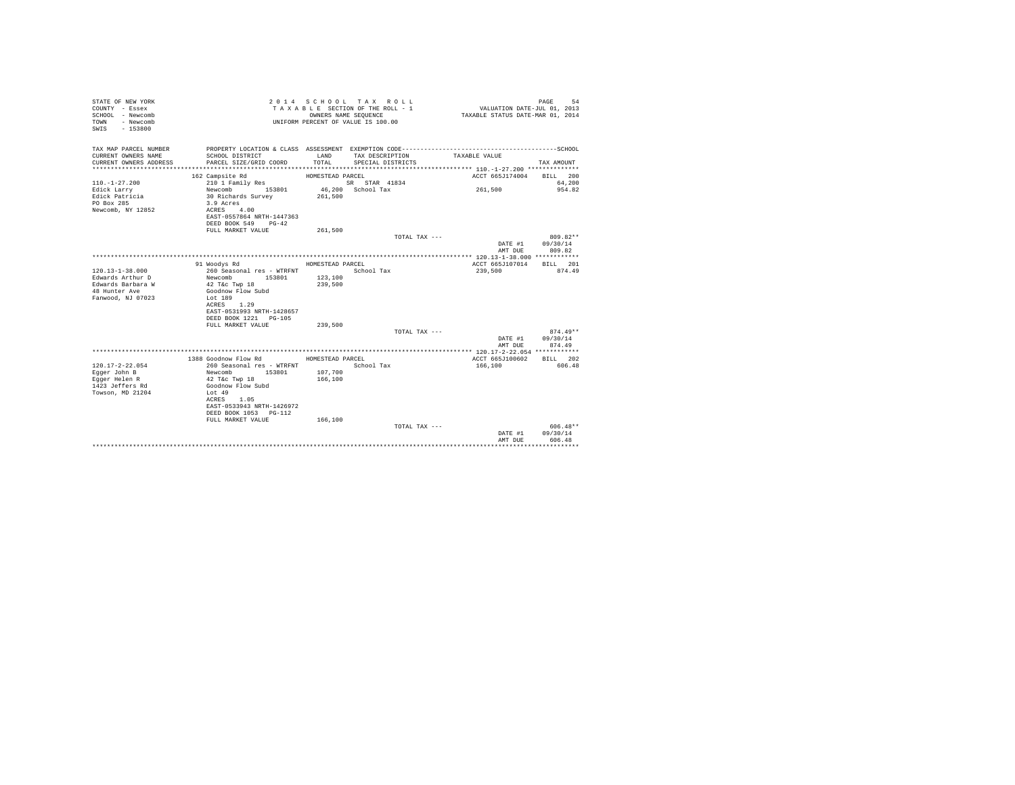| STATE OF NEW YORK<br>COUNTY - Essex<br>SCHOOL - Newcomb<br>- Newcomb<br>TOWN<br>$-153800$<br>SWIS |                                                                | OWNERS NAME SEOUENCE | 2014 SCHOOL TAX ROLL<br>TAXABLE SECTION OF THE ROLL - 1<br>UNIFORM PERCENT OF VALUE IS 100.00 | VALUATION DATE-JUL 01, 2013<br>TAXABLE STATUS DATE-MAR 01, 2014 | 54<br>PAGE         |
|---------------------------------------------------------------------------------------------------|----------------------------------------------------------------|----------------------|-----------------------------------------------------------------------------------------------|-----------------------------------------------------------------|--------------------|
| TAX MAP PARCEL NUMBER<br>CURRENT OWNERS NAME                                                      | SCHOOL DISTRICT                                                | LAND                 | TAX DESCRIPTION                                                                               | TAXABLE VALUE                                                   |                    |
| CURRENT OWNERS ADDRESS                                                                            | PARCEL SIZE/GRID COORD                                         | TOTAL.               | SPECIAL DISTRICTS                                                                             |                                                                 | TAX AMOUNT         |
|                                                                                                   |                                                                |                      |                                                                                               |                                                                 |                    |
|                                                                                                   | 162 Campsite Rd                                                | HOMESTEAD PARCEL     |                                                                                               | ACCT 665J174004                                                 | BILL 200           |
| $110. - 1 - 27.200$                                                                               | 210 1 Family Res                                               |                      | SR STAR 41834                                                                                 |                                                                 | 64,200             |
| Edick Larry<br>Edick Patricia<br>PO Box 285                                                       | Newcomb 153801<br>30 Richards Survey<br>3.9 Acres              | 261,500              | 46.200 School Tax                                                                             | 261.500                                                         | 954.82             |
| Newcomb, NY 12852                                                                                 | ACRES 4.00<br>EAST-0557864 NRTH-1447363<br>DEED BOOK 549 PG-42 |                      |                                                                                               |                                                                 |                    |
|                                                                                                   | FULL MARKET VALUE                                              | 261,500              |                                                                                               |                                                                 | 809.82**           |
|                                                                                                   |                                                                |                      | TOTAL TAX ---                                                                                 | DATE #1<br>AMT DUE                                              | 09/30/14<br>809.82 |
|                                                                                                   |                                                                |                      |                                                                                               |                                                                 |                    |
|                                                                                                   | 91 Woodys Rd                                                   | HOMESTEAD PARCEL     |                                                                                               | ACCT 665J107014                                                 | BILL 201           |
| $120.13 - 1 - 38.000$                                                                             | 260 Seasonal res - WTRFNT                                      |                      | School Tax                                                                                    | 239,500                                                         | 874.49             |
| Edwards Arthur D<br>Edwards Barbara W                                                             | Newcomb<br>153801<br>42 T&c Twp 18                             | 123,100<br>239,500   |                                                                                               |                                                                 |                    |
| 48 Hunter Ave                                                                                     | Goodnow Flow Subd                                              |                      |                                                                                               |                                                                 |                    |
| Fanwood, NJ 07023                                                                                 | Lot 189                                                        |                      |                                                                                               |                                                                 |                    |
|                                                                                                   | 1.29<br>ACRES                                                  |                      |                                                                                               |                                                                 |                    |
|                                                                                                   | EAST-0531993 NRTH-1428657                                      |                      |                                                                                               |                                                                 |                    |
|                                                                                                   | DEED BOOK 1221 PG-105<br>FULL MARKET VALUE                     | 239,500              |                                                                                               |                                                                 |                    |
|                                                                                                   |                                                                |                      | TOTAL TAX ---                                                                                 |                                                                 | $874.49**$         |
|                                                                                                   |                                                                |                      |                                                                                               | DATE #1                                                         | 09/30/14           |
|                                                                                                   |                                                                |                      |                                                                                               | AMT DUE                                                         | 874.49             |
|                                                                                                   |                                                                |                      |                                                                                               |                                                                 |                    |
|                                                                                                   | 1388 Goodnow Flow Rd                                           | HOMESTEAD PARCEL     |                                                                                               | ACCT 665J100602                                                 | BILL 202           |
| $120.17 - 2 - 22.054$<br>Egger John B                                                             | 260 Seasonal res - WTRFNT<br>Newcomb<br>153801                 | 107,700              | School Tax                                                                                    | 166,100                                                         | 606.48             |
| Eqqer Helen R                                                                                     | 42 T&c Twp 18                                                  | 166,100              |                                                                                               |                                                                 |                    |
| 1423 Jeffers Rd                                                                                   | Goodnow Flow Subd                                              |                      |                                                                                               |                                                                 |                    |
| Towson, MD 21204                                                                                  | Lot 49                                                         |                      |                                                                                               |                                                                 |                    |
|                                                                                                   | ACRES 1.05                                                     |                      |                                                                                               |                                                                 |                    |
|                                                                                                   | EAST-0533943 NRTH-1426972                                      |                      |                                                                                               |                                                                 |                    |
|                                                                                                   | DEED BOOK 1053 PG-112<br>FULL MARKET VALUE                     | 166,100              |                                                                                               |                                                                 |                    |
|                                                                                                   |                                                                |                      | TOTAL TAX ---                                                                                 |                                                                 | $606.48**$         |
|                                                                                                   |                                                                |                      |                                                                                               | DATE #1                                                         | 09/30/14           |
|                                                                                                   |                                                                |                      |                                                                                               | AMT DUE                                                         | 606.48             |
|                                                                                                   |                                                                |                      |                                                                                               |                                                                 |                    |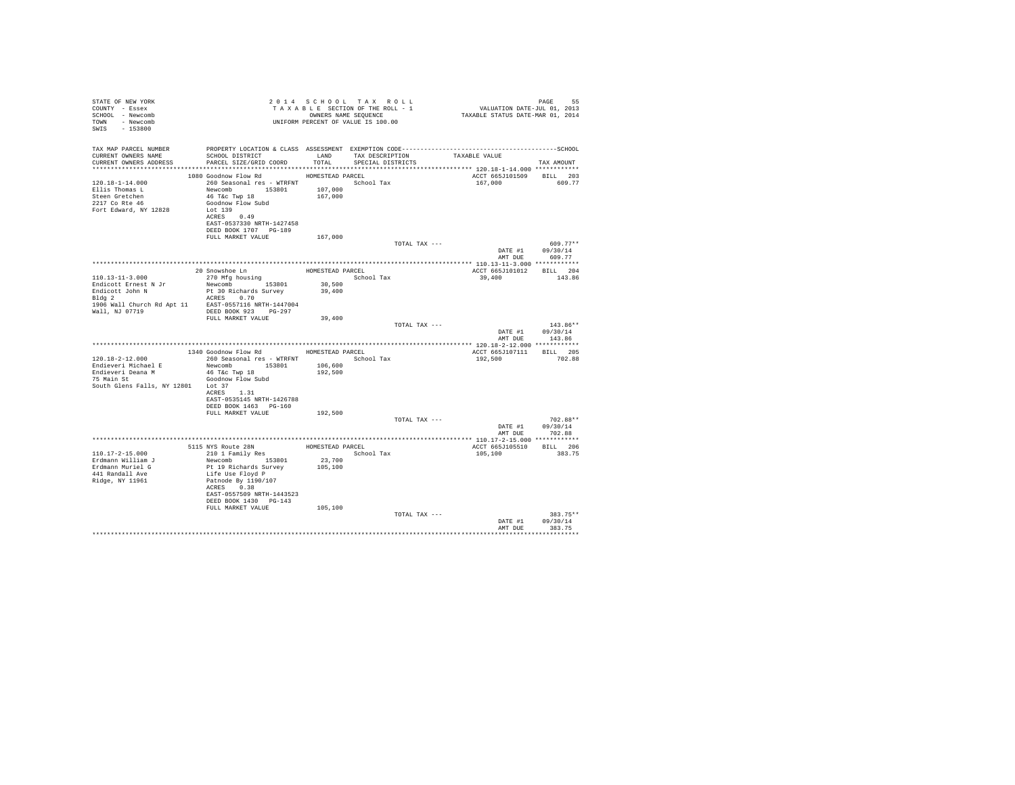| STATE OF NEW YORK                                                                                                  |                                                                                     |                  | 2014 SCHOOL TAX ROLL                                                                   |               | PAGE 55<br>VALUATION DATE-JUL 01, 2013<br>TAXABLE STATUS DATE-MAR 01, 2014 |                  |
|--------------------------------------------------------------------------------------------------------------------|-------------------------------------------------------------------------------------|------------------|----------------------------------------------------------------------------------------|---------------|----------------------------------------------------------------------------|------------------|
| COUNTY - Essex                                                                                                     |                                                                                     |                  | T A X A B L E SECTION OF THE ROLL - 1<br>OWNERS NAME SEQUENCE                          |               |                                                                            |                  |
| SCHOOL - Newcomb                                                                                                   |                                                                                     |                  |                                                                                        |               |                                                                            |                  |
| TOWN - Newcomb                                                                                                     |                                                                                     |                  |                                                                                        |               |                                                                            |                  |
| SWIS - 153800                                                                                                      | OWNERS NAME SEQUENCE<br>UNIFORM PERCENT OF VALUE IS 100.00                          |                  |                                                                                        |               |                                                                            |                  |
|                                                                                                                    |                                                                                     |                  |                                                                                        |               |                                                                            |                  |
|                                                                                                                    |                                                                                     |                  |                                                                                        |               |                                                                            |                  |
| TAX MAP PARCEL NUMBER PROPERTY LOCATION & CLASS ASSESSMENT EXEMPTION CODE-----------------------------------SCHOOL |                                                                                     |                  |                                                                                        |               |                                                                            |                  |
| CURRENT OWNERS NAME<br>CURRENT OWNERS ADDRESS                                                                      | SCHOOL DISTRICT <b>LAND</b> TAX DESCRIPTION                                         | TOTAL            | SPECIAL DISTRICTS                                                                      |               | TAXABLE VALUE                                                              |                  |
|                                                                                                                    | PARCEL SIZE/GRID COORD                                                              |                  |                                                                                        |               |                                                                            | TAX AMOUNT       |
|                                                                                                                    |                                                                                     |                  |                                                                                        |               |                                                                            |                  |
| $120.18 - 1 - 14.000$                                                                                              | 1080 Goodnow Flow Rd                                                                | HOMESTEAD PARCEL |                                                                                        |               | ACCT 665J101509 BILL 203<br>167,000 609.77                                 |                  |
| Ellis Thomas L                                                                                                     | 260 Seasonal res - WTRFNT<br>Newcomb 153801 107,000<br>46 T&c Twp 18 153801 107,000 |                  |                                                                                        |               |                                                                            |                  |
|                                                                                                                    |                                                                                     |                  |                                                                                        |               |                                                                            |                  |
| Steen Gretchen<br>2217 Co Rte 46                                                                                   | Goodnow Flow Subd                                                                   |                  |                                                                                        |               |                                                                            |                  |
| Fort Edward, NY 12828                                                                                              | Lot 139                                                                             |                  |                                                                                        |               |                                                                            |                  |
|                                                                                                                    | ACRES 0.49                                                                          |                  |                                                                                        |               |                                                                            |                  |
|                                                                                                                    | EAST-0537330 NRTH-1427458                                                           |                  |                                                                                        |               |                                                                            |                  |
|                                                                                                                    | DEED BOOK 1707 PG-189                                                               |                  |                                                                                        |               |                                                                            |                  |
|                                                                                                                    | FULL MARKET VALUE                                                                   | 167,000          |                                                                                        |               |                                                                            |                  |
|                                                                                                                    |                                                                                     |                  |                                                                                        | TOTAL TAX --- |                                                                            | $609.77**$       |
|                                                                                                                    |                                                                                     |                  |                                                                                        |               | DATE #1 09/30/14                                                           |                  |
|                                                                                                                    |                                                                                     |                  |                                                                                        |               | AMT DUE                                                                    | 609.77           |
|                                                                                                                    |                                                                                     |                  |                                                                                        |               |                                                                            |                  |
|                                                                                                                    |                                                                                     |                  | HOMESTEAD PARCEL                                                                       |               | ACCT 665J101012 BILL 204                                                   |                  |
| $110.13 - 11 - 3.000$                                                                                              | 20 Snowshoe Ln<br>270 Mfg housing                                                   |                  | School Tax                                                                             |               | 39,400                                                                     | 143.86           |
| Endicott Ernest N Jr                                                                                               | Newcomb 153801                                                                      | 30,500           |                                                                                        |               |                                                                            |                  |
|                                                                                                                    | Pt 30 Richards Survey                                                               | 39,400           |                                                                                        |               |                                                                            |                  |
| Endicott John N<br>Bldg 2                                                                                          | ACRES 0.70                                                                          |                  |                                                                                        |               |                                                                            |                  |
| 1906 Wall Church Rd Apt 11 EAST-0557116 NRTH-1447004                                                               |                                                                                     |                  |                                                                                        |               |                                                                            |                  |
|                                                                                                                    |                                                                                     |                  |                                                                                        |               |                                                                            |                  |
| Wall, NJ 07719<br>Wall, NJ 07719<br>FULL MARKET VALUE 39,400                                                       |                                                                                     |                  |                                                                                        |               |                                                                            |                  |
|                                                                                                                    |                                                                                     |                  |                                                                                        | TOTAL TAX --- |                                                                            | $143.86**$       |
|                                                                                                                    |                                                                                     |                  |                                                                                        |               |                                                                            | DATE #1 09/30/14 |
|                                                                                                                    |                                                                                     |                  |                                                                                        |               | AMT DUE                                                                    | 143.86           |
|                                                                                                                    |                                                                                     |                  |                                                                                        |               |                                                                            |                  |
|                                                                                                                    | 1340 Goodnow Flow Rd MOMESTEAD PARCEL                                               |                  |                                                                                        |               | ACCT 665J107111 BILL 205                                                   |                  |
| 120.18-2-12.000                                                                                                    | 260 Seasonal res - WTRFNT School Tax                                                |                  |                                                                                        |               | 192,500 702.88                                                             |                  |
| Endieveri Michael E                                                                                                | Newcomb 153801                                                                      | 106,600          |                                                                                        |               |                                                                            |                  |
| Endieveri Deana M<br>Endieveri Deana M                                                                             | 46 T&C Twp 18                                                                       | 192,500          |                                                                                        |               |                                                                            |                  |
| 75 Main St                                                                                                         | Goodnow Flow Subd                                                                   |                  |                                                                                        |               |                                                                            |                  |
| South Glens Falls, NY 12801 Lot 37                                                                                 |                                                                                     |                  |                                                                                        |               |                                                                            |                  |
|                                                                                                                    | ACRES 1.31                                                                          |                  |                                                                                        |               |                                                                            |                  |
|                                                                                                                    | EAST-0535145 NRTH-1426788                                                           |                  |                                                                                        |               |                                                                            |                  |
|                                                                                                                    | DEED BOOK 1463 PG-160                                                               |                  |                                                                                        |               |                                                                            |                  |
|                                                                                                                    | FULL MARKET VALUE                                                                   | 192,500          |                                                                                        |               |                                                                            |                  |
|                                                                                                                    |                                                                                     |                  |                                                                                        | TOTAL TAX --- |                                                                            | $702.88**$       |
|                                                                                                                    |                                                                                     |                  |                                                                                        |               | DATE #1 09/30/14                                                           |                  |
|                                                                                                                    |                                                                                     |                  |                                                                                        |               | AMT DUE                                                                    | 702.88           |
|                                                                                                                    |                                                                                     |                  |                                                                                        |               |                                                                            |                  |
|                                                                                                                    | 5115 NYS Route 28N<br>210 1 Family Res HOMESTEAD PARCEL School Tax                  |                  |                                                                                        |               | ACCT 665J105510 BILL 206                                                   |                  |
| $110.17 - 2 - 15.000$                                                                                              |                                                                                     |                  | $\begin{minipage}{.4\linewidth} \textbf{School Tax} \\ \textbf{23,700} \end{minipage}$ |               | 105,100                                                                    | 383.75           |
| Erdmann William J                                                                                                  | Newcomb 153801                                                                      |                  |                                                                                        |               |                                                                            |                  |
| Erdmann Muriel G                                                                                                   | Pt 19 Richards Survey<br>Life Use Floyd P<br>Patnode By 1190/107                    | 105,100          |                                                                                        |               |                                                                            |                  |
| 441 Randall Ave                                                                                                    |                                                                                     |                  |                                                                                        |               |                                                                            |                  |
| Ridge, NY 11961                                                                                                    |                                                                                     |                  |                                                                                        |               |                                                                            |                  |
|                                                                                                                    | ACRES 0.38                                                                          |                  |                                                                                        |               |                                                                            |                  |
|                                                                                                                    | EAST-0557509 NRTH-1443523                                                           |                  |                                                                                        |               |                                                                            |                  |
|                                                                                                                    | DEED BOOK 1430 PG-143                                                               |                  |                                                                                        |               |                                                                            |                  |
|                                                                                                                    | FULL MARKET VALUE                                                                   | 105,100          |                                                                                        |               |                                                                            |                  |
|                                                                                                                    |                                                                                     |                  |                                                                                        | TOTAL TAX --- |                                                                            | 383.75**         |
|                                                                                                                    |                                                                                     |                  |                                                                                        |               |                                                                            | DATE #1 09/30/14 |
|                                                                                                                    |                                                                                     |                  |                                                                                        |               |                                                                            | AMT DUE 383.75   |
|                                                                                                                    |                                                                                     |                  |                                                                                        |               |                                                                            |                  |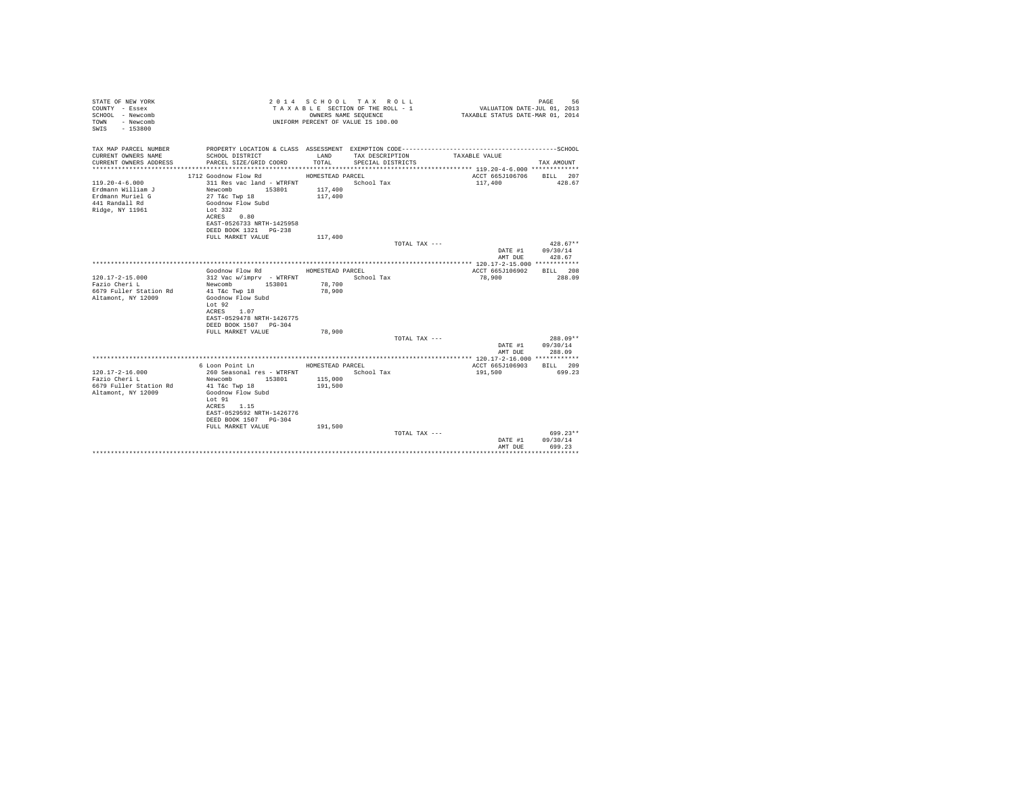| STATE OF NEW YORK<br>COUNTY - Essex<br>SCHOOL - Newcomb<br>- Newcomb<br>TOWN<br>$-153800$<br>SWTS |                                                    |                    | 2014 SCHOOL TAX ROLL<br>TAXABLE SECTION OF THE ROLL - 1<br>OWNERS NAME SEQUENCE<br>UNIFORM PERCENT OF VALUE IS 100.00 | VALUATION DATE-JUL 01, 2013<br>TAXABLE STATUS DATE-MAR 01, 2014 | PAGE<br>56             |
|---------------------------------------------------------------------------------------------------|----------------------------------------------------|--------------------|-----------------------------------------------------------------------------------------------------------------------|-----------------------------------------------------------------|------------------------|
| TAX MAP PARCEL NUMBER                                                                             |                                                    |                    |                                                                                                                       |                                                                 |                        |
| CURRENT OWNERS NAME<br>CURRENT OWNERS ADDRESS                                                     | SCHOOL DISTRICT<br>PARCEL SIZE/GRID COORD          | LAND<br>TOTAL.     | TAX DESCRIPTION<br>SPECIAL DISTRICTS                                                                                  | TAXABLE VALUE                                                   | TAX AMOUNT             |
|                                                                                                   |                                                    |                    |                                                                                                                       |                                                                 |                        |
|                                                                                                   | 1712 Goodnow Flow Rd                               | HOMESTEAD PARCEL   |                                                                                                                       | ACCT 665J106706                                                 | BILL 207               |
| $119.20 - 4 - 6.000$                                                                              | 311 Res vac land - WTRFNT                          |                    | School Tax                                                                                                            | 117,400                                                         | 428.67                 |
| Erdmann William J<br>Erdmann Muriel G                                                             | Newcomb 153801<br>27 T&c Twp 18                    | 117,400<br>117,400 |                                                                                                                       |                                                                 |                        |
| 441 Randall Rd                                                                                    | Goodnow Flow Subd                                  |                    |                                                                                                                       |                                                                 |                        |
| Ridge, NY 11961                                                                                   | Lot 332                                            |                    |                                                                                                                       |                                                                 |                        |
|                                                                                                   | ACRES 0.80                                         |                    |                                                                                                                       |                                                                 |                        |
|                                                                                                   | EAST-0526733 NRTH-1425958<br>DEED BOOK 1321 PG-238 |                    |                                                                                                                       |                                                                 |                        |
|                                                                                                   | FULL MARKET VALUE                                  | 117,400            |                                                                                                                       |                                                                 |                        |
|                                                                                                   |                                                    |                    | TOTAL TAX ---                                                                                                         |                                                                 | $428.67**$             |
|                                                                                                   |                                                    |                    |                                                                                                                       | DATE #1                                                         | 09/30/14               |
|                                                                                                   |                                                    |                    |                                                                                                                       | AMT DUE                                                         | 428.67                 |
|                                                                                                   | Goodnow Flow Rd                                    | HOMESTEAD PARCEL   |                                                                                                                       | ACCT 665J106902                                                 | BTT.T. 208             |
| $120.17 - 2 - 15.000$                                                                             | 312 Vac w/imprv - WTRFNT                           |                    | School Tax                                                                                                            | 78,900                                                          | 288.09                 |
| Fazio Cheri L                                                                                     | Newcomb 153801                                     | 78,700             |                                                                                                                       |                                                                 |                        |
| 6679 Fuller Station Rd                                                                            | 41 T&c Twp 18<br>Goodnow Flow Subd                 | 78,900             |                                                                                                                       |                                                                 |                        |
| Altamont, NY 12009                                                                                | Lot 92                                             |                    |                                                                                                                       |                                                                 |                        |
|                                                                                                   | ACRES 1.07                                         |                    |                                                                                                                       |                                                                 |                        |
|                                                                                                   | EAST-0529478 NRTH-1426775                          |                    |                                                                                                                       |                                                                 |                        |
|                                                                                                   | DEED BOOK 1507 PG-304<br>FULL MARKET VALUE         | 78,900             |                                                                                                                       |                                                                 |                        |
|                                                                                                   |                                                    |                    | TOTAL TAX ---                                                                                                         |                                                                 | 288.09**               |
|                                                                                                   |                                                    |                    |                                                                                                                       | DATE #1                                                         | 09/30/14               |
|                                                                                                   |                                                    |                    |                                                                                                                       | AMT DUE                                                         | 288.09                 |
|                                                                                                   | 6 Loon Point Ln MESTEAD PARCEL                     |                    |                                                                                                                       | ACCT 665J106903                                                 | BILL 209               |
| $120.17 - 2 - 16.000$                                                                             | 260 Seasonal res - WTRFNT                          |                    | School Tax                                                                                                            | 191,500                                                         | 699.23                 |
| Fazio Cheri L                                                                                     | Newcomb 153801                                     | 115,000            |                                                                                                                       |                                                                 |                        |
| 6679 Fuller Station Rd                                                                            | 41 T&c Twp 18                                      | 191,500            |                                                                                                                       |                                                                 |                        |
| Altamont, NY 12009                                                                                | Goodnow Flow Subd<br>Lot 91                        |                    |                                                                                                                       |                                                                 |                        |
|                                                                                                   | ACRES 1.15                                         |                    |                                                                                                                       |                                                                 |                        |
|                                                                                                   | EAST-0529592 NRTH-1426776                          |                    |                                                                                                                       |                                                                 |                        |
|                                                                                                   | DEED BOOK 1507 PG-304                              |                    |                                                                                                                       |                                                                 |                        |
|                                                                                                   | FULL MARKET VALUE                                  | 191,500            |                                                                                                                       |                                                                 |                        |
|                                                                                                   |                                                    |                    | TOTAL TAX ---                                                                                                         | DATE #1                                                         | $699.23**$<br>09/30/14 |
|                                                                                                   |                                                    |                    |                                                                                                                       | AMT DUE                                                         | 699.23                 |
|                                                                                                   |                                                    |                    |                                                                                                                       |                                                                 |                        |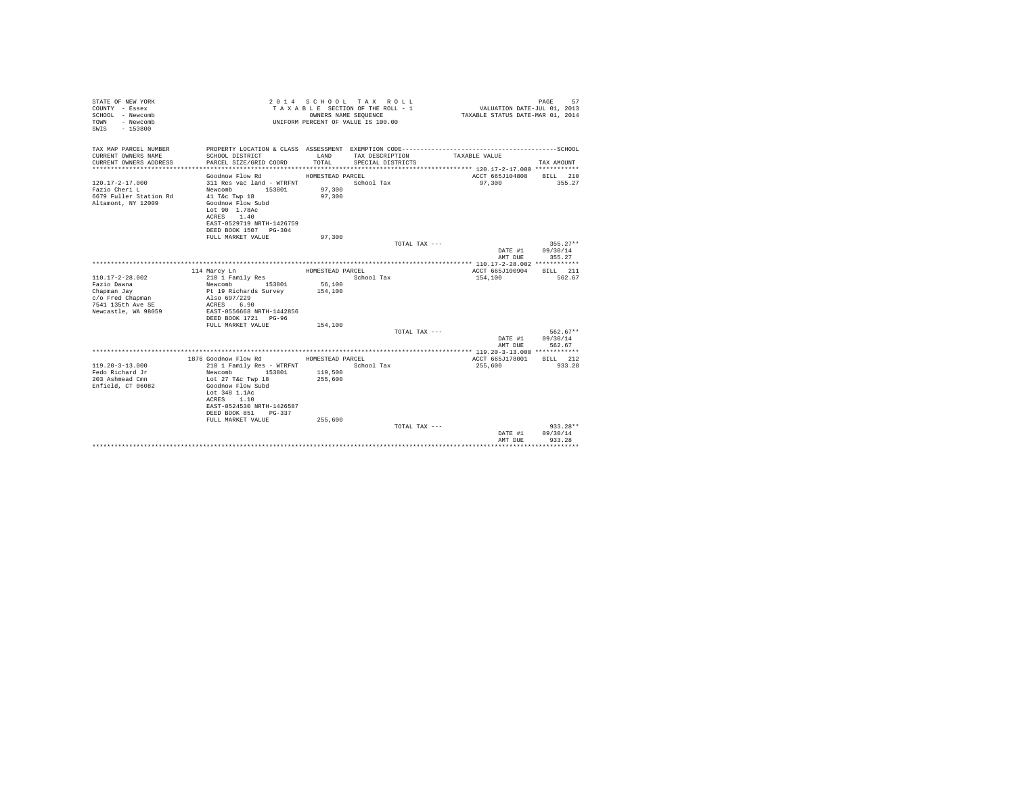| STATE OF NEW YORK<br>COUNTY - Essex<br>SCHOOL - Newcomb<br>- Newcomb<br>TOWN<br>$-153800$<br>SWIS |                                                                    | OWNERS NAME SEOUENCE | 2014 SCHOOL TAX ROLL<br>TAXABLE SECTION OF THE ROLL - 1<br>UNIFORM PERCENT OF VALUE IS 100.00 |               | VALUATION DATE-JUL 01, 2013<br>TAXABLE STATUS DATE-MAR 01, 2014 | 57<br>PAGE         |
|---------------------------------------------------------------------------------------------------|--------------------------------------------------------------------|----------------------|-----------------------------------------------------------------------------------------------|---------------|-----------------------------------------------------------------|--------------------|
| TAX MAP PARCEL NUMBER<br>CURRENT OWNERS NAME                                                      | SCHOOL DISTRICT                                                    | LAND                 | TAX DESCRIPTION                                                                               |               | TAXABLE VALUE                                                   |                    |
| CURRENT OWNERS ADDRESS                                                                            | PARCEL SIZE/GRID COORD                                             | TOTAL                | SPECIAL DISTRICTS                                                                             |               |                                                                 | TAX AMOUNT         |
|                                                                                                   |                                                                    |                      |                                                                                               |               |                                                                 |                    |
|                                                                                                   | Goodnow Flow Rd                                                    | HOMESTEAD PARCEL     |                                                                                               |               | ACCT 665J104808 BILL 210                                        |                    |
| $120.17 - 2 - 17.000$                                                                             | 311 Res vac land - WTRFNT                                          |                      | School Tax                                                                                    |               | 97,300                                                          | 355.27             |
| Fazio Cheri L                                                                                     | Newcomb 153801                                                     | 97,300               |                                                                                               |               |                                                                 |                    |
| 6679 Fuller Station Rd                                                                            | 41 T&c Twp 18                                                      | 97,300               |                                                                                               |               |                                                                 |                    |
| Altamont, NY 12009                                                                                | Goodnow Flow Subd<br>Lot 90 1.78Ac                                 |                      |                                                                                               |               |                                                                 |                    |
|                                                                                                   | ACRES 1.40                                                         |                      |                                                                                               |               |                                                                 |                    |
|                                                                                                   | EAST-0529719 NRTH-1426759                                          |                      |                                                                                               |               |                                                                 |                    |
|                                                                                                   | DEED BOOK 1507 PG-304                                              |                      |                                                                                               |               |                                                                 |                    |
|                                                                                                   | FULL MARKET VALUE                                                  | 97,300               |                                                                                               |               |                                                                 |                    |
|                                                                                                   |                                                                    |                      |                                                                                               | TOTAL TAX --- |                                                                 | $355.27**$         |
|                                                                                                   |                                                                    |                      |                                                                                               |               | DATE #1 09/30/14                                                |                    |
|                                                                                                   |                                                                    |                      |                                                                                               |               | AMT DUE                                                         | 355.27             |
|                                                                                                   | 114 Marcy Ln                                                       | HOMESTEAD PARCEL     |                                                                                               |               | ACCT 665J100904                                                 | BILL 211           |
| $110.17 - 2 - 28.002$                                                                             | 210 1 Family Res                                                   |                      | School Tax                                                                                    |               | 154,100                                                         | 562.67             |
| Fazio Dawna                                                                                       | Newcomb 153801<br>Pt 19 Richards Survey                            | 56,100               |                                                                                               |               |                                                                 |                    |
| Chapman Jay                                                                                       |                                                                    | 154,100              |                                                                                               |               |                                                                 |                    |
| c/o Fred Chapman                                                                                  | Also 697/229                                                       |                      |                                                                                               |               |                                                                 |                    |
| 7541 135th Ave SE                                                                                 | ACRES 6.90                                                         |                      |                                                                                               |               |                                                                 |                    |
| Newcastle, WA 98059                                                                               | EAST-0556668 NRTH-1442856                                          |                      |                                                                                               |               |                                                                 |                    |
|                                                                                                   | FULL MARKET VALUE                                                  | 154,100              |                                                                                               |               |                                                                 |                    |
|                                                                                                   |                                                                    |                      |                                                                                               | TOTAL TAX --- |                                                                 | $562.67**$         |
|                                                                                                   |                                                                    |                      |                                                                                               |               | DATE #1                                                         | 09/30/14           |
|                                                                                                   |                                                                    |                      |                                                                                               |               | AMT DUE                                                         | 562.67             |
|                                                                                                   |                                                                    |                      |                                                                                               |               |                                                                 |                    |
| $119.20 - 3 - 13.000$                                                                             | 1876 Goodnow Flow Rd MOMESTEAD PARCEL<br>210 1 Family Res - WTRFNT |                      | School Tax                                                                                    |               | ACCT 665J178001<br>255,600                                      | BILL 212<br>933.28 |
| Fedo Richard Jr                                                                                   | Newcomb<br>153801                                                  | 119,500              |                                                                                               |               |                                                                 |                    |
| 203 Ashmead Cmn                                                                                   | Lot 27 T&c Twp 18                                                  | 255,600              |                                                                                               |               |                                                                 |                    |
| Enfield, CT 06082                                                                                 | Goodnow Flow Subd                                                  |                      |                                                                                               |               |                                                                 |                    |
|                                                                                                   | Lot 348 1.1Ac                                                      |                      |                                                                                               |               |                                                                 |                    |
|                                                                                                   | ACRES 1.10                                                         |                      |                                                                                               |               |                                                                 |                    |
|                                                                                                   | EAST-0524530 NRTH-1426587<br>DEED BOOK 851 PG-337                  |                      |                                                                                               |               |                                                                 |                    |
|                                                                                                   | FULL MARKET VALUE                                                  | 255,600              |                                                                                               |               |                                                                 |                    |
|                                                                                                   |                                                                    |                      |                                                                                               | TOTAL TAX --- |                                                                 | $933.28**$         |
|                                                                                                   |                                                                    |                      |                                                                                               |               | DATE #1                                                         | 09/30/14           |
|                                                                                                   |                                                                    |                      |                                                                                               |               | AMT DUE                                                         | 933.28             |
|                                                                                                   |                                                                    |                      |                                                                                               |               |                                                                 |                    |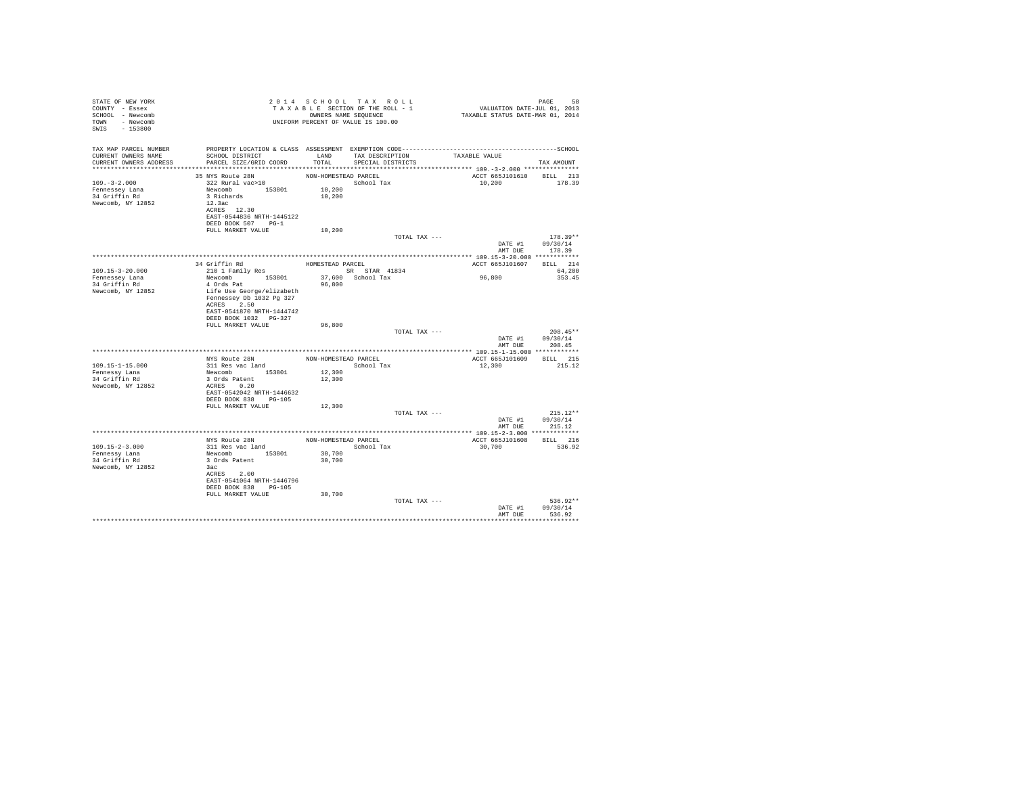| STATE OF NEW YORK<br>COUNTY - Essex<br>SCHOOL - Newcomb<br>TOWN - Newcomb<br>SWIS<br>$-153800$ |                                                                                                                                                                     |                                                    | 2014 SCHOOL TAX ROLL<br>TAXABLE SECTION OF THE ROLL - 1<br>OWNERS NAME SEOUENCE<br>UNIFORM PERCENT OF VALUE IS 100.00 | VALUATION DATE-JUL 01, 2013<br>TAXABLE STATUS DATE-MAR 01, 2014 | 58<br>PAGE                       |
|------------------------------------------------------------------------------------------------|---------------------------------------------------------------------------------------------------------------------------------------------------------------------|----------------------------------------------------|-----------------------------------------------------------------------------------------------------------------------|-----------------------------------------------------------------|----------------------------------|
| TAX MAP PARCEL NUMBER<br>CURRENT OWNERS NAME<br>CURRENT OWNERS ADDRESS                         | SCHOOL DISTRICT<br>PARCEL SIZE/GRID COORD                                                                                                                           | LAND<br>TOTAL                                      | TAX DESCRIPTION<br>SPECIAL DISTRICTS                                                                                  | TAXABLE VALUE                                                   | TAX AMOUNT                       |
|                                                                                                | 35 NYS Route 28N                                                                                                                                                    | NON-HOMESTEAD PARCEL                               |                                                                                                                       | ACCT 665J101610 BILL 213                                        |                                  |
| $109. -3 - 2.000$<br>Fennessey Lana<br>34 Griffin Rd<br>Newcomb, NY 12852                      | 322 Rural vac>10<br>Newcomb 153801<br>3 Richards<br>12.3ac<br>ACRES 12.30<br>EAST-0544836 NRTH-1445122<br>DEED BOOK 507 PG-1                                        | 10,200<br>10,200                                   | School Tax                                                                                                            | 10,200                                                          | 178.39                           |
|                                                                                                | FULL MARKET VALUE                                                                                                                                                   | 10,200                                             |                                                                                                                       |                                                                 |                                  |
|                                                                                                |                                                                                                                                                                     |                                                    | TOTAL TAX ---                                                                                                         | DATE #1<br>AMT DUE                                              | $178.39**$<br>09/30/14<br>178.39 |
|                                                                                                |                                                                                                                                                                     |                                                    |                                                                                                                       |                                                                 |                                  |
| $109.15 - 3 - 20.000$                                                                          | 34 Griffin Rd<br>210 1 Family Res                                                                                                                                   | HOMESTEAD PARCEL                                   | SR STAR 41834                                                                                                         | ACCT 665J101607                                                 | BILL 214<br>64,200               |
| Fennessey Lana<br>34 Griffin Rd<br>Newcomb, NY 12852                                           | Newcomb 153801<br>4 Ords Pat<br>Life Use George/elizabeth<br>Fennessey Db 1032 Pg 327<br>ACRES 2.50<br>EAST-0541870 NRTH-1444742<br>DEED BOOK 1032 PG-327           | 96,800                                             | 37.600 School Tax                                                                                                     | 96,800                                                          | 353.45                           |
|                                                                                                | FULL MARKET VALUE                                                                                                                                                   | 96,800                                             |                                                                                                                       |                                                                 |                                  |
|                                                                                                |                                                                                                                                                                     |                                                    | TOTAL TAX ---                                                                                                         | DATE #1<br>AMT DUE                                              | $208.45**$<br>09/30/14<br>208.45 |
|                                                                                                |                                                                                                                                                                     |                                                    |                                                                                                                       |                                                                 |                                  |
|                                                                                                | NYS Route 28N                                                                                                                                                       | NON-HOMESTEAD PARCEL                               |                                                                                                                       | ACCT 665J101609                                                 | <b>BILL</b> 215                  |
| $109.15 - 1 - 15.000$<br>Fennessy Lana<br>34 Griffin Rd<br>Newcomb, NY 12852                   | 311 Res vac land<br>Newcomb 153801<br>3 Ords Patent<br>ACRES 0.20<br>EAST-0542042 NRTH-1446632<br>DEED BOOK 838 PG-105                                              | 12,300<br>12,300                                   | School Tax                                                                                                            | 12,300                                                          | 215.12                           |
|                                                                                                | FULL MARKET VALUE                                                                                                                                                   | 12,300                                             | TOTAL TAX ---                                                                                                         |                                                                 | $215.12**$                       |
|                                                                                                |                                                                                                                                                                     |                                                    |                                                                                                                       | DATE #1<br>AMT DUE                                              | 09/30/14<br>215.12               |
|                                                                                                |                                                                                                                                                                     |                                                    |                                                                                                                       |                                                                 |                                  |
| $109.15 - 2 - 3.000$<br>Fennessy Lana<br>34 Griffin Rd<br>Newcomb, NY 12852                    | NYS Route 28N<br>311 Res vac land<br>Newcomb 153801<br>3 Ords Patent<br>3ac<br>ACRES 2.00<br>EAST-0541064 NRTH-1446796<br>DEED BOOK 838 PG-105<br>FULL MARKET VALUE | NON-HOMESTEAD PARCEL<br>30,700<br>30,700<br>30,700 | School Tax                                                                                                            | ACCT 665J101608<br>30,700                                       | <b>BILL</b> 216<br>536.92        |
|                                                                                                |                                                                                                                                                                     |                                                    | TOTAL TAX ---                                                                                                         | DATE #1<br>AMT DUE                                              | 536.92**<br>09/30/14<br>536.92   |
|                                                                                                |                                                                                                                                                                     |                                                    |                                                                                                                       |                                                                 |                                  |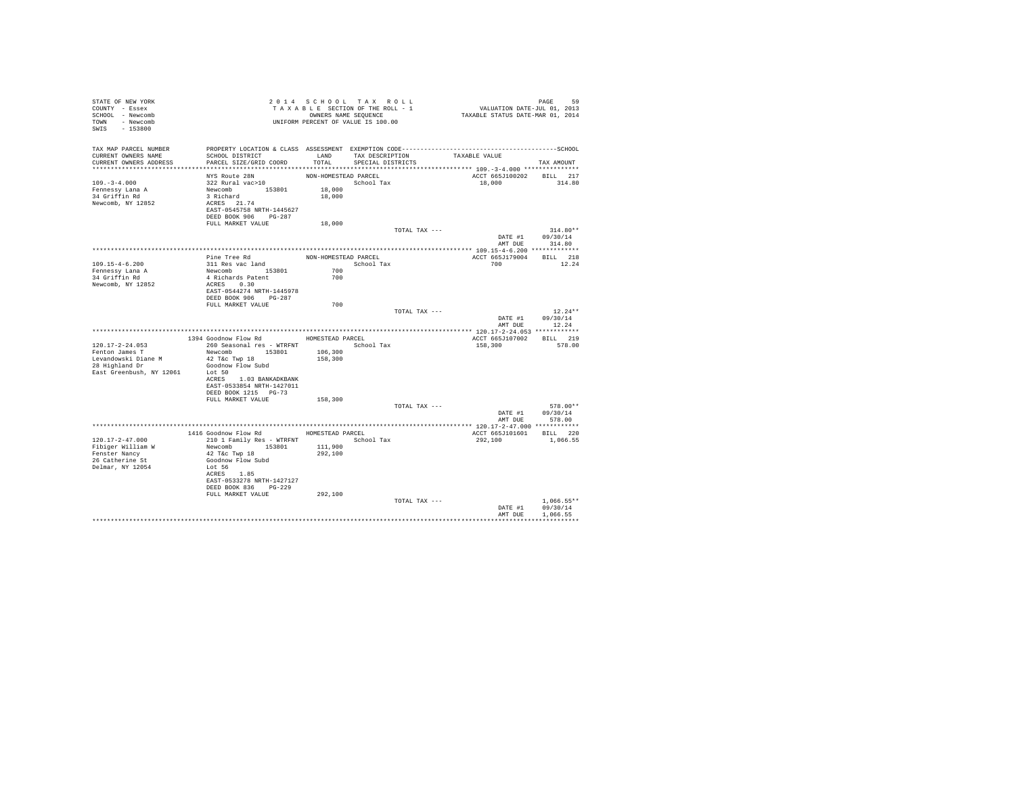| STATE OF NEW YORK<br>COUNTY - Essex<br>SCHOOL - Newcomb<br>TOWN - Newcomb<br>SWIS - 153800                   |                                                                                                                                                                                                         |                                          | 2014 SCHOOL TAX ROLL<br>TAXABLE SECTION OF THE ROLL - 1<br>OWNERS NAME SEQUENCE<br>UNIFORM PERCENT OF VALUE IS 100.00 | PAGE 59<br>VALUATION DATE-JUL 01, 2013<br>TAXABLE STATUS DATE-MAR 01, 2014 |                                          |
|--------------------------------------------------------------------------------------------------------------|---------------------------------------------------------------------------------------------------------------------------------------------------------------------------------------------------------|------------------------------------------|-----------------------------------------------------------------------------------------------------------------------|----------------------------------------------------------------------------|------------------------------------------|
| TAX MAP PARCEL NUMBER<br>CURRENT OWNERS NAME<br>CURRENT OWNERS ADDRESS                                       | SCHOOL DISTRICT<br>PARCEL SIZE/GRID COORD                                                                                                                                                               | LAND<br>TOTAL                            | TAX DESCRIPTION<br>SPECIAL DISTRICTS                                                                                  | TAXABLE VALUE                                                              | TAX AMOUNT                               |
| $109. - 3 - 4.000$<br>Fennessy Lana A<br>34 Griffin Rd<br>Newcomb, NY 12852                                  | NYS Route 28N<br>322 Rural vac>10<br>Newcomb 153801<br>3 Richard<br>ACRES 21.74<br>EAST-0545758 NRTH-1445627<br>DEED BOOK 906 PG-287                                                                    | NON-HOMESTEAD PARCEL<br>18,000<br>18,000 | School Tax                                                                                                            | ACCT 665J100202 BILL 217<br>18,000                                         | 314.80                                   |
|                                                                                                              | FULL MARKET VALUE                                                                                                                                                                                       | 18,000                                   |                                                                                                                       |                                                                            |                                          |
|                                                                                                              |                                                                                                                                                                                                         |                                          | TOTAL TAX ---                                                                                                         | DATE #1                                                                    | $314.80**$<br>09/30/14<br>AMT DUE 314.80 |
| $109.15 - 4 - 6.200$<br>Fennessy Lana A<br>34 Griffin Rd<br>Newcomb, NY 12852                                | Pine Tree Rd<br>311 Res vac land<br>Newcomb 153801<br>4 Richards Patent<br>ACRES 0.30<br>EAST-0544274 NRTH-1445978                                                                                      | NON-HOMESTEAD PARCEL<br>700<br>700       | School Tax                                                                                                            | ACCT 665J179004 BILL 218<br>700                                            | 12.24                                    |
|                                                                                                              | DEED BOOK 906 PG-287<br>FULL MARKET VALUE                                                                                                                                                               | 700                                      | TOTAL TAX ---                                                                                                         | DATE #1<br>AMT DUE                                                         | $12.24**$<br>09/30/14<br>12.24           |
|                                                                                                              |                                                                                                                                                                                                         |                                          |                                                                                                                       |                                                                            |                                          |
|                                                                                                              | 1394 Goodnow Flow Rd MOMESTEAD PARCEL                                                                                                                                                                   |                                          |                                                                                                                       | ACCT 665J107002 BILL 219                                                   |                                          |
| $120.17 - 2 - 24.053$<br>Fenton James T<br>Levandowski Diane M<br>28 Highland Dr<br>East Greenbush, NY 12061 | 260 Seasonal res - WTRFNT<br>Newcomb 153801<br>42 T&C Twp 18<br>Goodnow Flow Subd<br>Lot 50                                                                                                             | 106,300<br>158,300                       | School Tax                                                                                                            | 158,300                                                                    | 578.00                                   |
|                                                                                                              | ACRES 1.03 BANKADKBANK<br>EAST-0533854 NRTH-1427011<br>DEED BOOK 1215 PG-73<br>FULL MARKET VALUE                                                                                                        | 158,300                                  | TOTAL TAX ---                                                                                                         |                                                                            | 578.00**                                 |
|                                                                                                              |                                                                                                                                                                                                         |                                          |                                                                                                                       | DATE #1                                                                    | 09/30/14<br>AMT DUE 578.00               |
|                                                                                                              |                                                                                                                                                                                                         |                                          |                                                                                                                       |                                                                            |                                          |
| 120.17-2-47.000<br>Fibiger William W<br>Fenster Nancy<br>26 Catherine St<br>Delmar, NY 12054                 | 1416 Goodnow Flow Rd HOMESTEAD PARCEL<br>210 1 Family Res - WTRFNT<br>Newcomb 153801<br>42 T&C Twp 18<br>Goodnow Flow Subd<br>Lot 56<br>ACRES 1.85<br>EAST-0533278 NRTH-1427127<br>DEED BOOK 836 PG-229 | 111,900<br>292,100                       | School Tax                                                                                                            | ACCT 665J101601 BILL 220<br>292,100                                        | 1,066.55                                 |
|                                                                                                              | FULL MARKET VALUE                                                                                                                                                                                       | 292,100                                  | TOTAL TAX ---                                                                                                         | DATE #1<br>AMT DUE                                                         | $1.066.55**$<br>09/30/14<br>1,066.55     |
|                                                                                                              |                                                                                                                                                                                                         |                                          |                                                                                                                       |                                                                            |                                          |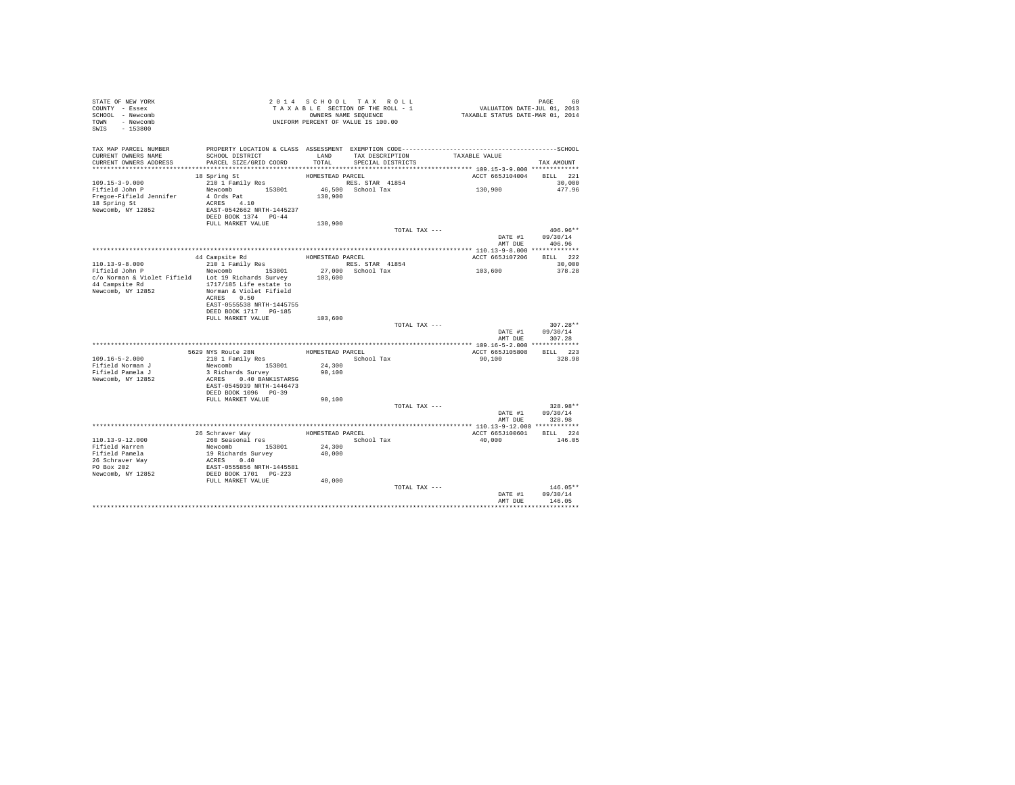| STATE OF NEW YORK<br>COUNTY - Essex<br>SCHOOL - Newcomb<br>TOWN - Newcomb<br>SWIS - 153800 | T A X A B L E SECTION.<br>OWNERS NAME SEQUENCE<br>UNIFORM PERCENT OF VALUE IS 100.00                                     |                  | TAXABLE SECTION OF THE ROLL - 1<br>OWNERS NAME SEQUENCE | PAGE 60<br>VALUATION DATE-JUL 01, 2013<br>TAXABLE STATUS DATE-MAR 01, 2014                   |                  |
|--------------------------------------------------------------------------------------------|--------------------------------------------------------------------------------------------------------------------------|------------------|---------------------------------------------------------|----------------------------------------------------------------------------------------------|------------------|
| TAX MAP PARCEL NUMBER                                                                      |                                                                                                                          |                  |                                                         | PROPERTY LOCATION & CLASS ASSESSMENT EXEMPTION CODE-----------------------------------SCHOOL |                  |
| CURRENT OWNERS NAME<br>CURRENT OWNERS ADDRESS                                              | SCHOOL DISTRICT<br>PARCEL SIZE/GRID COORD                                                                                | TOTAL.           | LAND TAX DESCRIPTION<br>SPECIAL DISTRICTS               | TAXABLE VALUE                                                                                | TAX AMOUNT       |
|                                                                                            |                                                                                                                          |                  |                                                         |                                                                                              |                  |
|                                                                                            | 18 Spring St                                                                                                             | HOMESTEAD PARCEL |                                                         | ACCT 665J104004 BILL 221                                                                     |                  |
| $109.15 - 3 - 9.000$<br>Fifield John P                                                     | 210 1 Family Res                                                                                                         |                  | RES. STAR 41854                                         |                                                                                              | 30,000           |
|                                                                                            | Newcomb 153801 46,500 School Tax                                                                                         |                  |                                                         | 130,900                                                                                      | 477.96           |
| Fregoe-Fifield Jennifer<br>18 Spring St                                                    | 4 Ords Pat<br>ACRES 4.10                                                                                                 | 130,900          |                                                         |                                                                                              |                  |
| Newcomb, NY 12852                                                                          | EAST-0542662 NRTH-1445237                                                                                                |                  |                                                         |                                                                                              |                  |
|                                                                                            | DEED BOOK 1374 PG-44                                                                                                     |                  |                                                         |                                                                                              |                  |
|                                                                                            | FULL MARKET VALUE                                                                                                        | 130,900          |                                                         |                                                                                              |                  |
|                                                                                            |                                                                                                                          |                  | TOTAL TAX ---                                           |                                                                                              | $406.96**$       |
|                                                                                            |                                                                                                                          |                  |                                                         |                                                                                              | DATE #1 09/30/14 |
|                                                                                            |                                                                                                                          |                  |                                                         |                                                                                              | AMT DUE 406.96   |
|                                                                                            |                                                                                                                          |                  |                                                         |                                                                                              |                  |
|                                                                                            | 44 Campsite Rd                                                                                                           | HOMESTEAD PARCEL |                                                         | ACCT 665J107206                                                                              | BILL 222         |
| 110.13-9-8.000                                                                             | 210 1 Family Res                                                                                                         |                  | RES. STAR 41854                                         |                                                                                              | 30,000           |
| Fifield John P                                                                             | Newcomb 153801                                                                                                           |                  | 27,000 School Tax<br>103,600                            | 103,600                                                                                      | 378.28           |
| c/o Norman & Violet Fifield Lot 19 Richards Survey                                         |                                                                                                                          |                  |                                                         |                                                                                              |                  |
| 44 Campsite Rd 1717/185 Life estate to<br>Newcomb, NY 12852                                | Norman & Violet Fifield                                                                                                  |                  |                                                         |                                                                                              |                  |
|                                                                                            | ACRES 0.50                                                                                                               |                  |                                                         |                                                                                              |                  |
|                                                                                            | EAST-0555538 NRTH-1445755                                                                                                |                  |                                                         |                                                                                              |                  |
|                                                                                            | DEED BOOK 1717 PG-185                                                                                                    |                  |                                                         |                                                                                              |                  |
|                                                                                            | FULL MARKET VALUE                                                                                                        | 103,600          |                                                         |                                                                                              |                  |
|                                                                                            |                                                                                                                          |                  | TOTAL TAX ---                                           |                                                                                              | $307.28**$       |
|                                                                                            |                                                                                                                          |                  |                                                         |                                                                                              | DATE #1 09/30/14 |
|                                                                                            |                                                                                                                          |                  |                                                         | AMT DUE                                                                                      | 307.28           |
|                                                                                            |                                                                                                                          |                  |                                                         |                                                                                              |                  |
|                                                                                            | 5629 NYS Route 28N<br>210 1 Family Res                                                                                   | HOMESTEAD PARCEL |                                                         | ACCT 665J105808 BILL 223                                                                     |                  |
| $109.16 - 5 - 2.000$<br>Fifield Norman J                                                   | Newcomb 153801                                                                                                           | 24,300           | School Tax                                              | 90,100                                                                                       | 328.98           |
| Fifield Pamela J                                                                           | 3 Richards Survey                                                                                                        | 90,100           |                                                         |                                                                                              |                  |
| Newcomb, NY 12852                                                                          | ACRES 0.40 BANK1STARSG                                                                                                   |                  |                                                         |                                                                                              |                  |
|                                                                                            | EAST-0545939 NRTH-1446473                                                                                                |                  |                                                         |                                                                                              |                  |
|                                                                                            | DEED BOOK 1096 PG-39                                                                                                     |                  |                                                         |                                                                                              |                  |
|                                                                                            | FULL MARKET VALUE                                                                                                        | 90,100           |                                                         |                                                                                              |                  |
|                                                                                            |                                                                                                                          |                  | TOTAL TAX ---                                           |                                                                                              | 328.98**         |
|                                                                                            |                                                                                                                          |                  |                                                         |                                                                                              | DATE #1 09/30/14 |
|                                                                                            |                                                                                                                          |                  |                                                         |                                                                                              | AMT DUE 328.98   |
|                                                                                            |                                                                                                                          |                  |                                                         |                                                                                              |                  |
|                                                                                            | 26 Schraver Way                                                                                                          |                  | HOMESTEAD PARCEL                                        | ACCT 665J100601 BILL 224                                                                     |                  |
| 110.13-9-12.000<br>Fifield Warren                                                          |                                                                                                                          |                  | School Tax                                              | 40.000                                                                                       | 146.05           |
| Fifield Pamela                                                                             |                                                                                                                          | 24,300<br>40,000 |                                                         |                                                                                              |                  |
|                                                                                            |                                                                                                                          |                  |                                                         |                                                                                              |                  |
| 26 Schraver Way<br>PO Box 202                                                              | - Connect Hay<br>260 Seasonal res<br>19 Richards Survey<br>19 Richards Survey<br>ACRES<br>2016 MAST-0555856 NRTH-1445581 |                  |                                                         |                                                                                              |                  |
| Newcomb, NY 12852                                                                          | DEED BOOK 1701 PG-223                                                                                                    |                  |                                                         |                                                                                              |                  |
|                                                                                            | FULL MARKET VALUE                                                                                                        | 40,000           |                                                         |                                                                                              |                  |
|                                                                                            |                                                                                                                          |                  | TOTAL TAX ---                                           |                                                                                              | $146.05**$       |
|                                                                                            |                                                                                                                          |                  |                                                         |                                                                                              | DATE #1 09/30/14 |
|                                                                                            |                                                                                                                          |                  |                                                         | AMT DUE                                                                                      | 146.05           |
|                                                                                            |                                                                                                                          |                  |                                                         |                                                                                              |                  |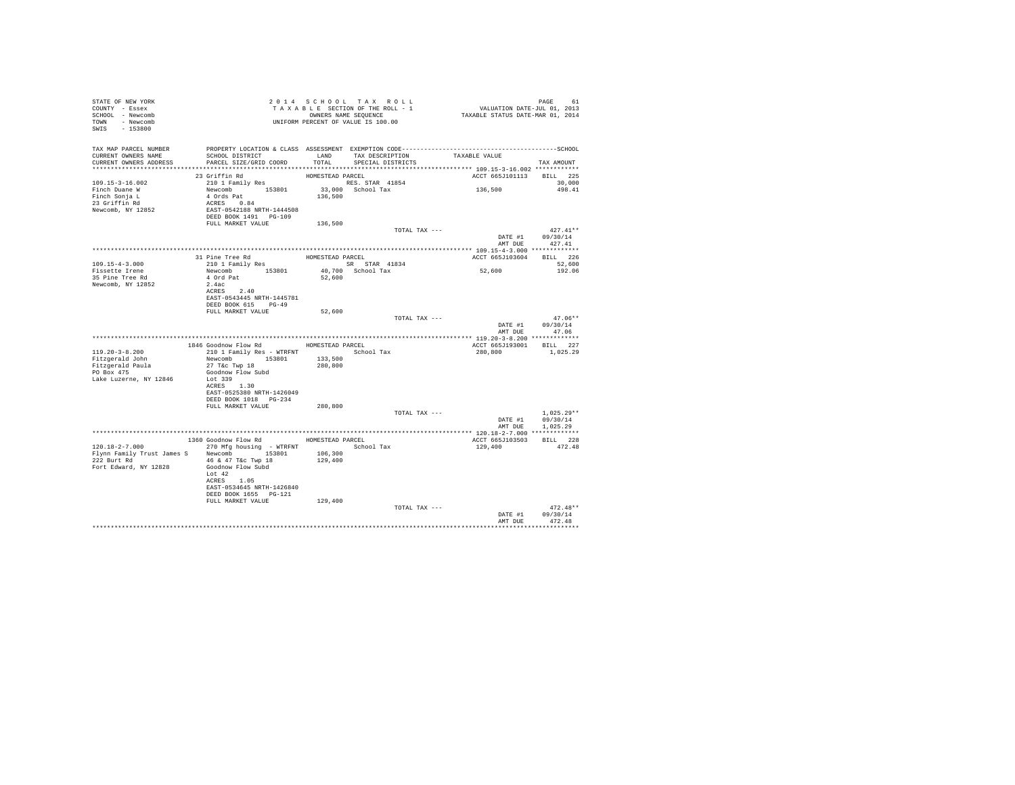| T A X A B B B B B B B SEQUENCE<br>UNIFORM PERCENT OF VALUE IS 100.00                                                                                                                                                                                                                                                                                |                       |
|-----------------------------------------------------------------------------------------------------------------------------------------------------------------------------------------------------------------------------------------------------------------------------------------------------------------------------------------------------|-----------------------|
| TAX MAP PARCEL NUMBER PROPERTY LOCATION & CLASS ASSESSMENT EXEMPTION CODE----------------------------------SCHOOL<br>LAND TAX DESCRIPTION TAXABLE VALUE<br>CURRENT OWNERS NAME<br>SCHOOL DISTRICT<br>CURRENT OWNERS ADDRESS<br>PARCEL SIZE/GRID COORD<br>TOTAL<br>SPECIAL DISTRICTS                                                                 | TAX AMOUNT            |
|                                                                                                                                                                                                                                                                                                                                                     |                       |
| 23 Griffin Rd<br>210 1 Family Res<br>ACCT 665J101113 BILL 225<br>136,500                                                                                                                                                                                                                                                                            | 30,000<br>498.41      |
|                                                                                                                                                                                                                                                                                                                                                     |                       |
| TOTAL TAX ---<br>DATE #1 09/30/14<br>AMT DUE                                                                                                                                                                                                                                                                                                        | $427.41**$<br>427.41  |
|                                                                                                                                                                                                                                                                                                                                                     |                       |
| 31 Pine Tree Rd<br>210 1 Family Res<br>HOMESTEAD PARCEL<br>ACCT 665J103604 BILL 226<br>$109.15 - 4 - 3.000$                                                                                                                                                                                                                                         | 52,600                |
| SR STAR 41834<br>40,700 School Tax<br>52,600<br>Fissette Irene                                                                                                                                                                                                                                                                                      | 192.06                |
| Newcomb 153801<br>4 Ord Pat<br>2.4ac<br>35 Pine Tree Rd<br>52,600<br>2.4ac<br>Newcomb, NY 12852<br>ACRES 2.40<br>EAST-0543445 NRTH-1445781<br>DEED BOOK 615 PG-49                                                                                                                                                                                   |                       |
| FULL MARKET VALUE<br>52,600                                                                                                                                                                                                                                                                                                                         |                       |
| TOTAL TAX ---<br>DATE #1 09/30/14<br>AMT DUE 47.06                                                                                                                                                                                                                                                                                                  | $47.06**$             |
|                                                                                                                                                                                                                                                                                                                                                     |                       |
| 1846 Goodnow Flow Rd MOMESTEAD PARCEL<br>ACCT 665J193001 BILL 227<br>210 1 Family Res - WTRFNT School Tax<br>119.20-3-8.200<br>280,800<br>Newcomb 153801 133,500<br>27 T&c Twp 18 280,800<br>Fitzgerald John<br>Fitzgerald Paula<br>PO Box 475<br>Goodnow Flow Subd<br>Lot 339<br>Lake Luzerne, NY 12846<br>ACRES 1.30<br>EAST-0525380 NRTH-1426049 | 1,025.29              |
| DEED BOOK 1018 PG-234<br>FULL MARKET VALUE<br>280,800                                                                                                                                                                                                                                                                                               |                       |
| TOTAL TAX ---<br>DATE #1 09/30/14                                                                                                                                                                                                                                                                                                                   | $1.025.29**$          |
| AMT DUE 1,025.29                                                                                                                                                                                                                                                                                                                                    |                       |
| 1360 Goodnow Flow Rd MOMESTEAD PARCEL<br>ACCT 665J103503                                                                                                                                                                                                                                                                                            | BILL 228              |
| $120.18-2-7.000$ 270 Mfg housing - WTRFNT<br>School Tax<br>129,400<br>106,300<br>Flynn Family Trust James S Newcomb 153801<br>222 Burt Rd 46 & 47 T&c Twp 18<br>129,400<br>Fort Edward, NY 12828<br>Goodnow Flow Subd<br>Lot $42$<br>ACRES 1.05<br>EAST-0534645 NRTH-1426840<br>DEED BOOK 1655 PG-121                                               | 472.48                |
| 129,400<br>FULL MARKET VALUE<br>TOTAL TAX ---                                                                                                                                                                                                                                                                                                       | $472.48**$            |
| DATE #1 09/30/14<br>AMT DUE                                                                                                                                                                                                                                                                                                                         | 472.48<br>*********** |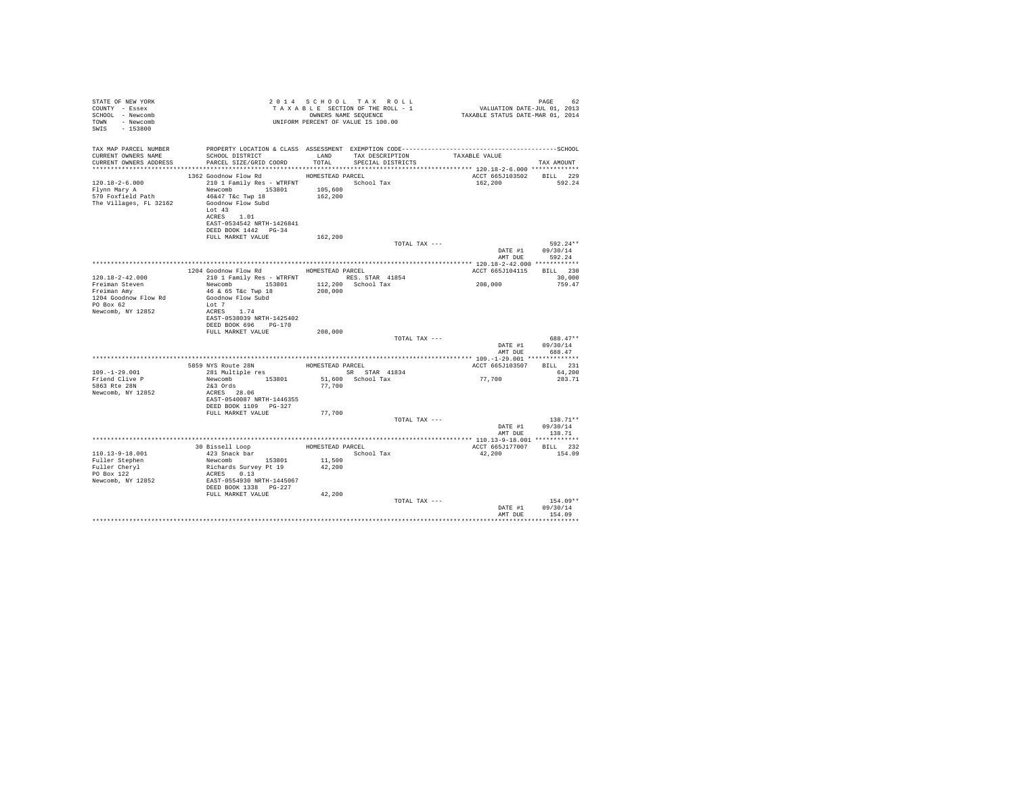| STATE OF NEW YORK<br>COUNTY - Essex<br>SCHOOL - Newcomb<br>TOWN - Newcomb<br>SWIS - 153800 | TAXABLE SECTION OF THE ROLL - 1<br>TAXABLE SECTION OF THE ROLL - 1<br>OWNERS NAME SEQUENCE<br>UNIFORM PERCENT OF VALUE IS 100.00                                                                  |                    | TAXABLE SECTION OF THE ROLL - 1 | PAGE 62<br>VALUATION DATE-JUL 01, 2013<br>TAXABLE STATUS DATE-MAR 01, 2014 |                                          |
|--------------------------------------------------------------------------------------------|---------------------------------------------------------------------------------------------------------------------------------------------------------------------------------------------------|--------------------|---------------------------------|----------------------------------------------------------------------------|------------------------------------------|
| TAX MAP PARCEL NUMBER<br>CURRENT OWNERS NAME                                               | PROPERTY LOCATION & CLASS ASSESSMENT EXEMPTION CODE-----------------------------------SCHOOL<br>SCHOOL DISTRICT                                                                                   |                    | LAND TAX DESCRIPTION            | TAXABLE VALUE                                                              |                                          |
|                                                                                            | CURRENT OWNERS ADDRESS PARCEL SIZE/GRID COORD                                                                                                                                                     | TOTAL              | SPECIAL DISTRICTS               |                                                                            | TAX AMOUNT                               |
|                                                                                            | 1362 Goodnow Flow Rd HOMESTEAD PARCEL                                                                                                                                                             |                    |                                 | ACCT 665J103502 BILL 229                                                   |                                          |
| 120.18-2-6.000<br>Flynn Mary A<br>117<br>570 Foxfield Path<br>The Villages, FL 32162       | 210 1 Family Res - WTRFNT                 School Tax<br>Newcomb 153801<br>46&47 T&c Twp 18<br>Goodnow Flow Subd<br>Lot $43$<br>ACRES 1.01<br>EAST-0534542 NRTH-1426841<br>DEED BOOK 1442    PG-34 | 105,600<br>162,200 |                                 | 162,200                                                                    | 592.24                                   |
|                                                                                            | FULL MARKET VALUE                                                                                                                                                                                 | 162,200            |                                 |                                                                            |                                          |
|                                                                                            |                                                                                                                                                                                                   |                    | TOTAL TAX ---                   | AMT DUE                                                                    | 592.24**<br>DATE #1 09/30/14<br>592.24   |
|                                                                                            |                                                                                                                                                                                                   |                    |                                 |                                                                            |                                          |
|                                                                                            | 1204 Goodnow Flow Rd MOMESTEAD PARCEL                                                                                                                                                             |                    |                                 | ACCT 665J104115 BILL 230                                                   |                                          |
| 120.18-2-42.000<br>Freiman Steven<br>Freiman Amy                                           | 210 1 Family Res - WTRFNT RES. STAR 41854<br>Newcomb 153801 112,200 School Tax<br>46 & 65 T&c Twp 18<br>Goodnow Flow Subd                                                                         | 208,000            |                                 | 208,000                                                                    | 30,000<br>759.47                         |
| 1204 Goodnow Flow Rd<br>PO Box 62<br>Newcomb, NY 12852                                     | Lot 7<br>ACRES 1.74<br>EAST-0538039 NRTH-1425402                                                                                                                                                  |                    |                                 |                                                                            |                                          |
|                                                                                            | DEED BOOK 696 PG-170                                                                                                                                                                              |                    |                                 |                                                                            |                                          |
|                                                                                            | FULL MARKET VALUE                                                                                                                                                                                 | 208,000            | TOTAL TAX ---                   |                                                                            | 688.47**                                 |
|                                                                                            |                                                                                                                                                                                                   |                    |                                 | DATE #1                                                                    | 09/30/14                                 |
|                                                                                            |                                                                                                                                                                                                   |                    |                                 |                                                                            | AMT DUE 688.47                           |
|                                                                                            |                                                                                                                                                                                                   |                    |                                 | ACCT 665J103507                                                            | BILL 231                                 |
| $109. - 1 - 29.001$                                                                        |                                                                                                                                                                                                   |                    | SR STAR 41834                   |                                                                            | 64,200                                   |
| Friend Clive P<br>5863 Rte 28N<br>Newcomb, NY 12852                                        | Newcomb 153801<br>253 Ords<br>$2&3$ Ords<br>ACRES 28.06<br>EAST-0540087 NRTH-1446355<br>DEED BOOK 1109 PG-327                                                                                     | 77,700             | 51,600 School Tax               | 77,700                                                                     | 283.71                                   |
|                                                                                            | FULL MARKET VALUE                                                                                                                                                                                 | 77,700             |                                 |                                                                            |                                          |
|                                                                                            |                                                                                                                                                                                                   |                    | TOTAL TAX ---                   | AMT DUE                                                                    | $138.71**$<br>DATE #1 09/30/14<br>138.71 |
|                                                                                            |                                                                                                                                                                                                   |                    |                                 |                                                                            |                                          |
|                                                                                            | 30 Bissell Loop                                                                                                                                                                                   |                    | HOMESTEAD PARCEL<br>School Tay  | ACCT 665J177007 BILL 232                                                   |                                          |
| 110.13-9-18.001                                                                            | 423 Snack bar<br>Newcomb 153801 11,500                                                                                                                                                            |                    | School Tax                      | 42,200                                                                     | 154.09                                   |
| Fuller Stephen                                                                             |                                                                                                                                                                                                   | 42,200             |                                 |                                                                            |                                          |
| Fuller Cheryl<br>PO Box 122                                                                |                                                                                                                                                                                                   |                    |                                 |                                                                            |                                          |
| Newcomb, NY 12852                                                                          | Richards Survey Pt 19<br>ACRES 0.13<br>EAST-0554930 NRTH-1445067<br>DEED BOOK 1338 PG-227                                                                                                         |                    |                                 |                                                                            |                                          |
|                                                                                            | FULL MARKET VALUE                                                                                                                                                                                 | 42,200             |                                 |                                                                            |                                          |
|                                                                                            |                                                                                                                                                                                                   |                    | TOTAL TAX ---                   | AMT DUE                                                                    | $154.09**$<br>DATE #1 09/30/14<br>154.09 |
|                                                                                            |                                                                                                                                                                                                   |                    |                                 |                                                                            | .                                        |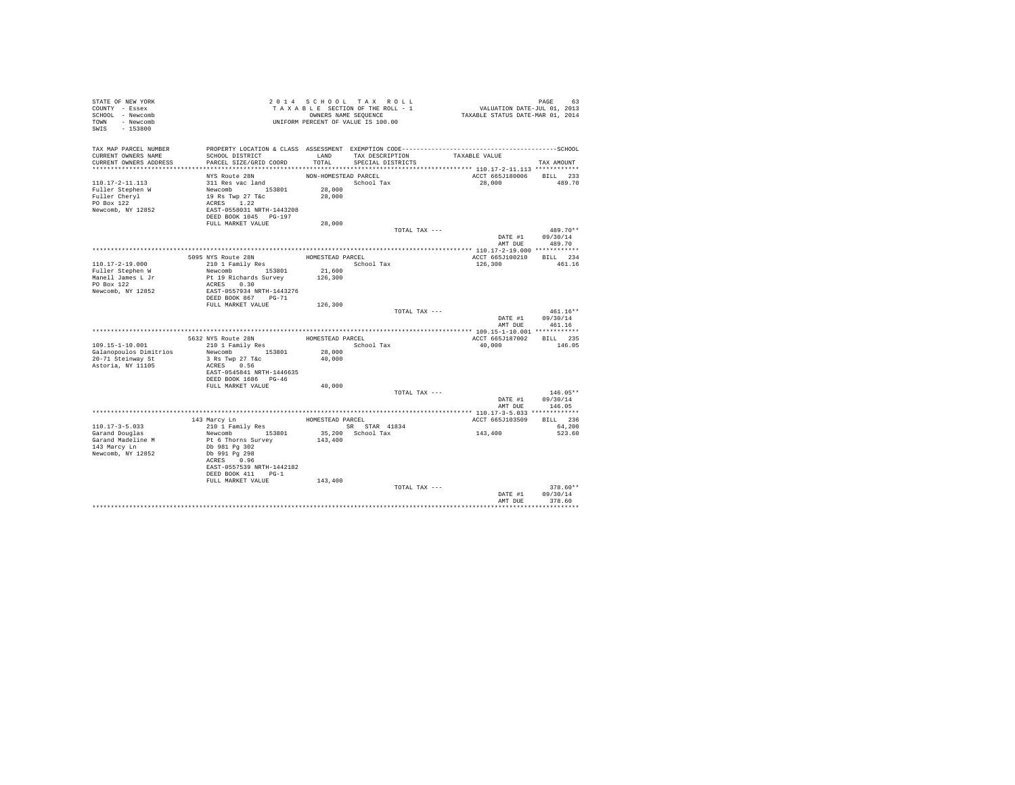| STATE OF NEW YORK<br>COUNTY - Essex          |                                                 |                      | 2014 SCHOOL TAX ROLL<br>TAXABLE SECTION OF THE ROLL - 1 | PAGE 63<br>VALUATION DATE-JUL 01, 2013<br>TAXABLE STATUS DATE-MAR 01, 2014                                    |                  |
|----------------------------------------------|-------------------------------------------------|----------------------|---------------------------------------------------------|---------------------------------------------------------------------------------------------------------------|------------------|
| SCHOOL - Newcomb                             |                                                 |                      | OWNERS NAME SEQUENCE                                    |                                                                                                               |                  |
| TOWN - Newcomb                               |                                                 |                      | UNIFORM PERCENT OF VALUE IS 100.00                      |                                                                                                               |                  |
| SWIS - 153800                                |                                                 |                      |                                                         |                                                                                                               |                  |
|                                              |                                                 |                      |                                                         |                                                                                                               |                  |
|                                              |                                                 |                      |                                                         |                                                                                                               |                  |
| TAX MAP PARCEL NUMBER<br>CURRENT OWNERS NAME | SCHOOL DISTRICT                                 |                      | LAND TAX DESCRIPTION                                    | PROPERTY LOCATION & CLASS ASSESSMENT EXEMPTION CODE-----------------------------------SCHOOL<br>TAXABLE VALUE |                  |
| CURRENT OWNERS ADDRESS                       | PARCEL SIZE/GRID COORD                          |                      | TOTAL SPECIAL DISTRICTS                                 |                                                                                                               | TAX AMOUNT       |
|                                              |                                                 |                      |                                                         |                                                                                                               |                  |
|                                              | NYS Route 28N                                   | NON-HOMESTEAD PARCEL |                                                         | ACCT 665J180006 BILL 233                                                                                      |                  |
| $110.17 - 2 - 11.113$                        | 311 Res vac land                                |                      | School Tax                                              | 28,000                                                                                                        | 489.70           |
| Fuller Stephen W                             |                                                 | 28,000               |                                                         |                                                                                                               |                  |
| Fuller Cheryl                                |                                                 | 28,000               |                                                         |                                                                                                               |                  |
| PO Box 122                                   | Newcomb<br>19 Rs Twp 27 T&c<br>ACRES 1.22       |                      |                                                         |                                                                                                               |                  |
| Newcomb, NY 12852                            | EAST-0558031 NRTH-1443208                       |                      |                                                         |                                                                                                               |                  |
|                                              | DEED BOOK 1045 PG-197                           |                      |                                                         |                                                                                                               |                  |
|                                              | FULL MARKET VALUE                               | 28,000               |                                                         |                                                                                                               |                  |
|                                              |                                                 |                      | TOTAL TAX ---                                           |                                                                                                               | 489.70**         |
|                                              |                                                 |                      |                                                         | DATE #1 09/30/14                                                                                              |                  |
|                                              |                                                 |                      |                                                         |                                                                                                               | AMT DUE 489.70   |
|                                              |                                                 |                      |                                                         |                                                                                                               |                  |
|                                              | 5095 NYS Route 28N<br>210 1 Family Res          | HOMESTEAD PARCEL     |                                                         | ACCT 665J100210 BILL 234                                                                                      | 461.16           |
| 110.17-2-19.000<br>Fuller Stephen W          | Newcomb 153801                                  |                      | School Tax                                              | 126,300                                                                                                       |                  |
| Manell James L Jr                            | Pt 19 Richards Survey                           | 21,600<br>126,300    |                                                         |                                                                                                               |                  |
| PO Box 122                                   | ACRES 0.30                                      |                      |                                                         |                                                                                                               |                  |
| Newcomb, NY 12852                            | EAST-0557934 NRTH-1443276                       |                      |                                                         |                                                                                                               |                  |
|                                              | DEED BOOK 867 PG-71                             |                      |                                                         |                                                                                                               |                  |
|                                              | FULL MARKET VALUE                               | 126,300              |                                                         |                                                                                                               |                  |
|                                              |                                                 |                      | TOTAL TAX ---                                           |                                                                                                               | $461.16**$       |
|                                              |                                                 |                      |                                                         |                                                                                                               | DATE #1 09/30/14 |
|                                              |                                                 |                      |                                                         | AMT DUE                                                                                                       | 461.16           |
|                                              |                                                 |                      |                                                         |                                                                                                               |                  |
| 109.15-1-10.001                              | 5632 NYS Route 28N                              |                      | HOMESTEAD PARCEL<br>School Tax                          | ACCT 665J187002 BILL 235<br>40.000                                                                            | 146.05           |
| Galanopoulos Dimitrios                       | 210 1 Family Res<br>Newcomb 153801              | 28,000               |                                                         |                                                                                                               |                  |
| 20-71 Steinway St                            |                                                 | 40,000               |                                                         |                                                                                                               |                  |
| Astoria, NY 11105                            | 3 Rs Twp 27 T&C<br>ACRES 0.56                   |                      |                                                         |                                                                                                               |                  |
|                                              | EAST-0545841 NRTH-1446635                       |                      |                                                         |                                                                                                               |                  |
|                                              | DEED BOOK 1686 PG-46                            |                      |                                                         |                                                                                                               |                  |
|                                              | FULL MARKET VALUE                               |                      |                                                         |                                                                                                               |                  |
|                                              |                                                 | 40,000               |                                                         |                                                                                                               |                  |
|                                              |                                                 |                      | TOTAL TAX ---                                           |                                                                                                               | $146.05**$       |
|                                              |                                                 |                      |                                                         |                                                                                                               | DATE #1 09/30/14 |
|                                              |                                                 |                      |                                                         | AMT DUE                                                                                                       | 146.05           |
|                                              |                                                 |                      |                                                         |                                                                                                               |                  |
|                                              | 143 Marcy Ln                                    | HOMESTEAD PARCEL     |                                                         | ACCT 665J103509 BILL 236                                                                                      |                  |
| 110.17-3-5.033                               | 210 1 Family Res                                |                      | SR STAR 41834                                           |                                                                                                               | 64,200           |
| Garand Douglas                               | Newcomb 153801                                  |                      | 35,200 School Tax                                       |                                                                                                               | 523.60           |
| Garand Madeline M                            | Pt 6 Thorns Survey                              | 143,400              |                                                         | 143, 400                                                                                                      |                  |
| 143 Marcy Ln                                 | Db 981 Pg 302                                   |                      |                                                         |                                                                                                               |                  |
| Newcomb, NY 12852                            | Db 991 Pg 298                                   |                      |                                                         |                                                                                                               |                  |
|                                              | ACRES 0.96                                      |                      |                                                         |                                                                                                               |                  |
|                                              | EAST-0557539 NRTH-1442182<br>DEED BOOK 411 PG-1 |                      |                                                         |                                                                                                               |                  |
|                                              | FULL MARKET VALUE                               |                      |                                                         |                                                                                                               |                  |
|                                              |                                                 | 143,400              | TOTAL TAX ---                                           |                                                                                                               | $378.60**$       |
|                                              |                                                 |                      |                                                         | DATE #1                                                                                                       | 09/30/14         |
|                                              |                                                 |                      |                                                         | AMT DUE                                                                                                       | 378.60           |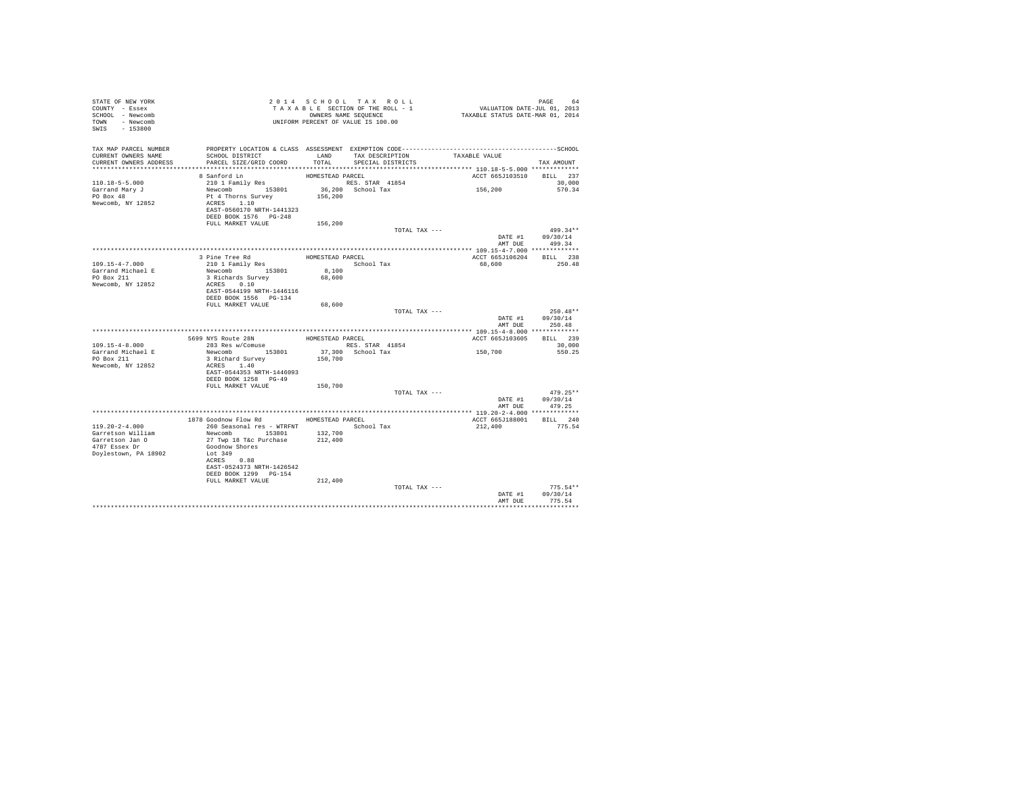| STATE OF NEW YORK<br>COUNTY - Essex          |                                                                                                                 |                  | TAXABLE SECTION OF THE ROLL - 1    | PAGE 64<br>VALUATION DATE-JUL 01, 2013<br>TAXABLE STATUS DATE-MAR 01, 2014 |                        |
|----------------------------------------------|-----------------------------------------------------------------------------------------------------------------|------------------|------------------------------------|----------------------------------------------------------------------------|------------------------|
| SCHOOL - Newcomb                             |                                                                                                                 |                  | OWNERS NAME SEQUENCE               |                                                                            |                        |
| TOWN - Newcomb                               |                                                                                                                 |                  |                                    |                                                                            |                        |
| SWIS - 153800                                |                                                                                                                 |                  |                                    |                                                                            |                        |
|                                              |                                                                                                                 |                  |                                    |                                                                            |                        |
|                                              |                                                                                                                 |                  |                                    |                                                                            |                        |
| TAX MAP PARCEL NUMBER<br>CURRENT OWNERS NAME | PROPERTY LOCATION & CLASS ASSESSMENT EXEMPTION CODE-----------------------------------SCHOOL<br>SCHOOL DISTRICT |                  | LAND TAX DESCRIPTION TAXABLE VALUE |                                                                            |                        |
| CURRENT OWNERS ADDRESS                       | PARCEL SIZE/GRID COORD                                                                                          | TOTAL            | SPECIAL DISTRICTS                  |                                                                            | TAX AMOUNT             |
|                                              |                                                                                                                 |                  |                                    |                                                                            |                        |
|                                              | 8 Sanford Ln                                                                                                    | HOMESTEAD PARCEL |                                    | ACCT 665J103510 BILL 237                                                   |                        |
| $110.18 - 5 - 5.000$                         | 210 1 Family Res                                                                                                |                  | RES. STAR 41854                    |                                                                            | 30,000                 |
| Garrand Mary J                               | Newcomb $153801$ $36,200$ School Tax                                                                            |                  |                                    | 156,200                                                                    | 570.34                 |
| PO Box 48                                    | Pt 4 Thorns Survey                                                                                              | 156,200          |                                    |                                                                            |                        |
| Newcomb, NY 12852                            | ACRES 1.10                                                                                                      |                  |                                    |                                                                            |                        |
|                                              | EAST-0560170 NRTH-1441323                                                                                       |                  |                                    |                                                                            |                        |
|                                              | DEED BOOK 1576 PG-248                                                                                           |                  |                                    |                                                                            |                        |
|                                              | FULL MARKET VALUE                                                                                               | 156,200          |                                    |                                                                            |                        |
|                                              |                                                                                                                 |                  | TOTAL TAX ---                      |                                                                            | 499.34**               |
|                                              |                                                                                                                 |                  |                                    |                                                                            | DATE #1 09/30/14       |
|                                              |                                                                                                                 |                  |                                    |                                                                            | AMT DUE 499.34         |
|                                              |                                                                                                                 |                  |                                    |                                                                            |                        |
|                                              | 3 Pine Tree Rd<br>3 Fine free Ku<br>210 1 Family Res                                                            | HOMESTEAD PARCEL |                                    | ACCT 665J106204 BILL 238                                                   |                        |
| 109.15-4-7.000<br>Garrand Michael E          | Newcomb 153801                                                                                                  | $8\,, 100$       | School Tax                         | 68,600                                                                     | 250.48                 |
| PO Box 211                                   |                                                                                                                 | 68,600           |                                    |                                                                            |                        |
| Newcomb, NY 12852                            | 3 Richards Survey<br>ACRES 0.10                                                                                 |                  |                                    |                                                                            |                        |
|                                              | EAST-0544199 NRTH-1446116                                                                                       |                  |                                    |                                                                            |                        |
|                                              | DEED BOOK 1556    PG-134                                                                                        |                  |                                    |                                                                            |                        |
|                                              | FULL MARKET VALUE                                                                                               | 68,600           |                                    |                                                                            |                        |
|                                              |                                                                                                                 |                  | TOTAL TAX ---                      |                                                                            | $250.48**$             |
|                                              |                                                                                                                 |                  |                                    |                                                                            | DATE #1 09/30/14       |
|                                              |                                                                                                                 |                  |                                    | AMT DUE                                                                    | 250.48                 |
|                                              |                                                                                                                 |                  |                                    |                                                                            |                        |
|                                              | 5699 NYS Route 28N                                                                                              | HOMESTEAD PARCEL |                                    | ACCT 665J103605                                                            | BILL 239               |
| $109.15 - 4 - 8.000$                         | 283 Res w/Comuse                                                                                                |                  | RES. STAR 41854                    |                                                                            | 30,000                 |
| Garrand Michael E<br>PO Box 211              | Newcomb 153801                                                                                                  |                  | 37,300 School Tax                  | 150,700                                                                    | 550.25                 |
|                                              | 3 Richard Survey                                                                                                | 150,700          |                                    |                                                                            |                        |
| Newcomb, NY 12852                            | ACRES 1.40                                                                                                      |                  |                                    |                                                                            |                        |
|                                              | EAST-0544353 NRTH-1446093                                                                                       |                  |                                    |                                                                            |                        |
|                                              | DEED BOOK 1258 PG-49<br>FULL MARKET VALUE                                                                       | 150,700          |                                    |                                                                            |                        |
|                                              |                                                                                                                 |                  | TOTAL TAX ---                      |                                                                            | $479.25**$             |
|                                              |                                                                                                                 |                  |                                    |                                                                            | DATE #1 09/30/14       |
|                                              |                                                                                                                 |                  |                                    | AMT DUE                                                                    | 479.25                 |
|                                              |                                                                                                                 |                  |                                    |                                                                            |                        |
|                                              | 1878 Goodnow Flow Rd MOMESTEAD PARCEL                                                                           |                  |                                    | ACCT 665J188001 BILL 240                                                   |                        |
| $119.20 - 2 - 4.000$                         | 260 Seasonal res - WTRFNT                                                                                       |                  | School Tax                         | 212,400                                                                    | 775.54                 |
| Garretson William                            | Newcomb 153801 132,700<br>27 Twp 18 T&c Purchase 212,400                                                        |                  |                                    |                                                                            |                        |
| Garretson Jan O                              | 27 Twp 18 T&c Purchase                                                                                          |                  |                                    |                                                                            |                        |
| 4787 Essex Dr                                | Goodnow Shores                                                                                                  |                  |                                    |                                                                            |                        |
| Doylestown, PA 18902                         | Lot 349                                                                                                         |                  |                                    |                                                                            |                        |
|                                              | ACRES 0.88                                                                                                      |                  |                                    |                                                                            |                        |
|                                              | EAST-0524373 NRTH-1426542                                                                                       |                  |                                    |                                                                            |                        |
|                                              | DEED BOOK 1299 PG-154                                                                                           |                  |                                    |                                                                            |                        |
|                                              | FULL MARKET VALUE                                                                                               | 212,400          |                                    |                                                                            |                        |
|                                              |                                                                                                                 |                  | TOTAL TAX ---                      | DATE #1                                                                    | $775.54**$<br>09/30/14 |
|                                              |                                                                                                                 |                  |                                    | AMT DUE                                                                    | 775.54                 |
|                                              |                                                                                                                 |                  |                                    |                                                                            |                        |
|                                              |                                                                                                                 |                  |                                    |                                                                            |                        |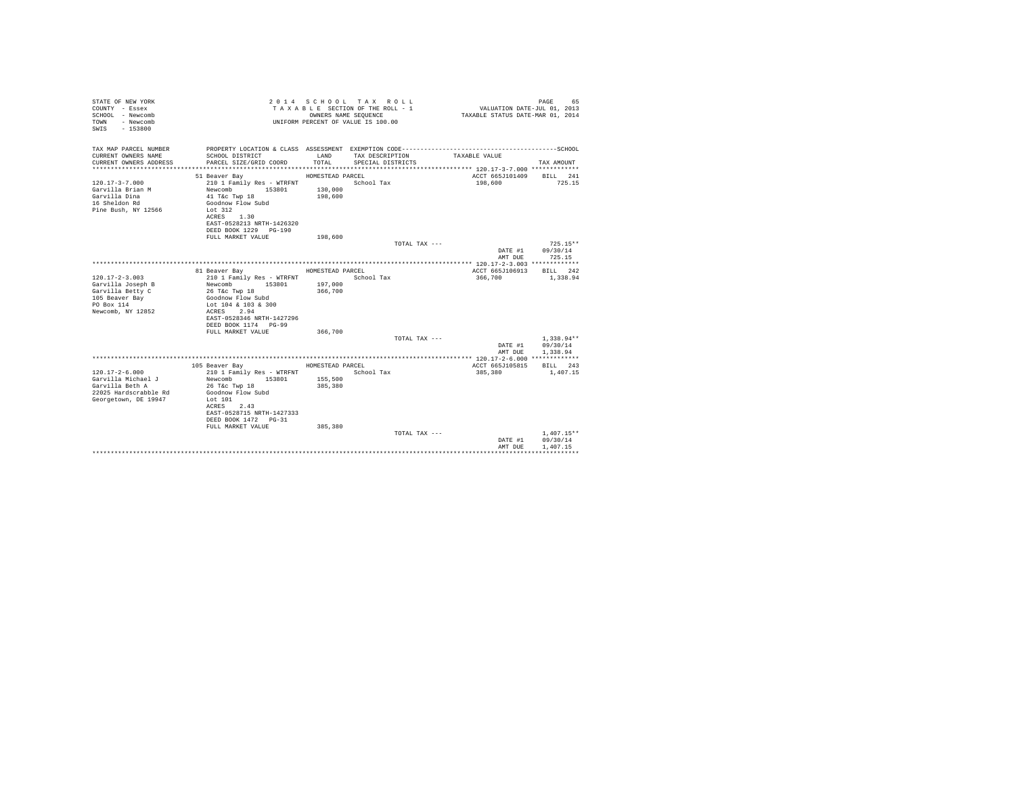| STATE OF NEW YORK<br>COUNTY - Essex<br>SCHOOL - Newcomb<br>- Newcomb<br><b>TOWN</b><br>$-153800$<br>SWIS |                                                                                                                 |                  | 2014 SCHOOL TAX ROLL<br>TAXABLE SECTION OF THE ROLL - 1<br>OWNERS NAME SEQUENCE<br>UNIFORM PERCENT OF VALUE IS 100.00 | VALUATION DATE-JUL 01, 2013<br>TAXABLE STATUS DATE-MAR 01, 2014 | PAGE<br>65         |
|----------------------------------------------------------------------------------------------------------|-----------------------------------------------------------------------------------------------------------------|------------------|-----------------------------------------------------------------------------------------------------------------------|-----------------------------------------------------------------|--------------------|
| TAX MAP PARCEL NUMBER<br>CURRENT OWNERS NAME                                                             | PROPERTY LOCATION & CLASS ASSESSMENT EXEMPTION CODE-----------------------------------SCHOOL<br>SCHOOL DISTRICT | LAND             | TAX DESCRIPTION                                                                                                       | TAXABLE VALUE                                                   |                    |
| CURRENT OWNERS ADDRESS                                                                                   | PARCEL SIZE/GRID COORD                                                                                          | TOTAL            | SPECIAL DISTRICTS                                                                                                     |                                                                 | TAX AMOUNT         |
|                                                                                                          | 51 Beaver Bay                                                                                                   | HOMESTEAD PARCEL |                                                                                                                       | ACCT 665J101409                                                 | BILL 241           |
| $120.17 - 3 - 7.000$                                                                                     | 210 1 Family Res - WTRFNT                                                                                       |                  | School Tax                                                                                                            | 198,600                                                         | 725.15             |
| Garvilla Brian M                                                                                         | Newcomb<br>153801                                                                                               | 130,000          |                                                                                                                       |                                                                 |                    |
| Garvilla Dina                                                                                            | 41 T&c Twp 18                                                                                                   | 198,600          |                                                                                                                       |                                                                 |                    |
| 16 Sheldon Rd                                                                                            | Goodnow Flow Subd                                                                                               |                  |                                                                                                                       |                                                                 |                    |
| Pine Bush, NY 12566                                                                                      | Lot 312                                                                                                         |                  |                                                                                                                       |                                                                 |                    |
|                                                                                                          | ACRES 1.30                                                                                                      |                  |                                                                                                                       |                                                                 |                    |
|                                                                                                          | EAST-0528213 NRTH-1426320                                                                                       |                  |                                                                                                                       |                                                                 |                    |
|                                                                                                          | DEED BOOK 1229 PG-190                                                                                           |                  |                                                                                                                       |                                                                 |                    |
|                                                                                                          | FULL MARKET VALUE                                                                                               | 198,600          |                                                                                                                       |                                                                 |                    |
|                                                                                                          |                                                                                                                 |                  | TOTAL TAX ---                                                                                                         |                                                                 | $725.15**$         |
|                                                                                                          |                                                                                                                 |                  |                                                                                                                       | DATE #1<br>AMT DUE                                              | 09/30/14<br>725.15 |
|                                                                                                          |                                                                                                                 |                  |                                                                                                                       |                                                                 |                    |
|                                                                                                          | 81 Beaver Bay                                                                                                   | HOMESTEAD PARCEL |                                                                                                                       | ACCT 665J106913                                                 | BILL 242           |
| $120.17 - 2 - 3.003$                                                                                     | 210 1 Family Res - WTRFNT                                                                                       |                  | School Tax                                                                                                            | 366.700                                                         | 1,338.94           |
| Garvilla Joseph B                                                                                        | Newcomb<br>153801                                                                                               | 197,000          |                                                                                                                       |                                                                 |                    |
| Garvilla Betty C                                                                                         | 26 T&c Twp 18                                                                                                   | 366,700          |                                                                                                                       |                                                                 |                    |
| 105 Beaver Bay                                                                                           | Goodnow Flow Subd                                                                                               |                  |                                                                                                                       |                                                                 |                    |
| PO Box 114                                                                                               | Lot 104 & 103 & 300                                                                                             |                  |                                                                                                                       |                                                                 |                    |
| Newcomb, NY 12852                                                                                        | ACRES 2.94                                                                                                      |                  |                                                                                                                       |                                                                 |                    |
|                                                                                                          | EAST-0528346 NRTH-1427296                                                                                       |                  |                                                                                                                       |                                                                 |                    |
|                                                                                                          | DEED BOOK 1174 PG-99<br>FULL MARKET VALUE                                                                       | 366,700          |                                                                                                                       |                                                                 |                    |
|                                                                                                          |                                                                                                                 |                  | TOTAL TAX ---                                                                                                         |                                                                 | $1.338.94**$       |
|                                                                                                          |                                                                                                                 |                  |                                                                                                                       | DATE #1                                                         | 09/30/14           |
|                                                                                                          |                                                                                                                 |                  |                                                                                                                       | AMT DUE                                                         | 1,338.94           |
|                                                                                                          |                                                                                                                 |                  |                                                                                                                       |                                                                 |                    |
|                                                                                                          | 105 Beaver Bay                                                                                                  | HOMESTEAD PARCEL |                                                                                                                       | ACCT 665J105815                                                 | BILL 243           |
| $120.17 - 2 - 6.000$                                                                                     | 210 1 Family Res - WTRFNT                                                                                       |                  | School Tax                                                                                                            | 385,380                                                         | 1,407.15           |
| Garvilla Michael J                                                                                       | Newcomb<br>153801                                                                                               | 155,500          |                                                                                                                       |                                                                 |                    |
| Garvilla Beth A                                                                                          | 26 T&c Twp 18                                                                                                   | 385,380          |                                                                                                                       |                                                                 |                    |
| 22025 Hardscrabble Rd                                                                                    | Goodnow Flow Subd                                                                                               |                  |                                                                                                                       |                                                                 |                    |
| Georgetown, DE 19947                                                                                     | Lot $101$                                                                                                       |                  |                                                                                                                       |                                                                 |                    |
|                                                                                                          | ACRES 2.43                                                                                                      |                  |                                                                                                                       |                                                                 |                    |
|                                                                                                          | EAST-0528715 NRTH-1427333<br>DEED BOOK 1472 PG-31                                                               |                  |                                                                                                                       |                                                                 |                    |
|                                                                                                          | FULL MARKET VALUE                                                                                               | 385,380          |                                                                                                                       |                                                                 |                    |
|                                                                                                          |                                                                                                                 |                  | TOTAL TAX ---                                                                                                         |                                                                 | $1.407.15**$       |
|                                                                                                          |                                                                                                                 |                  |                                                                                                                       | DATE #1                                                         | 09/30/14           |
|                                                                                                          |                                                                                                                 |                  |                                                                                                                       | AMT DUE                                                         | 1,407.15           |
|                                                                                                          |                                                                                                                 |                  |                                                                                                                       |                                                                 |                    |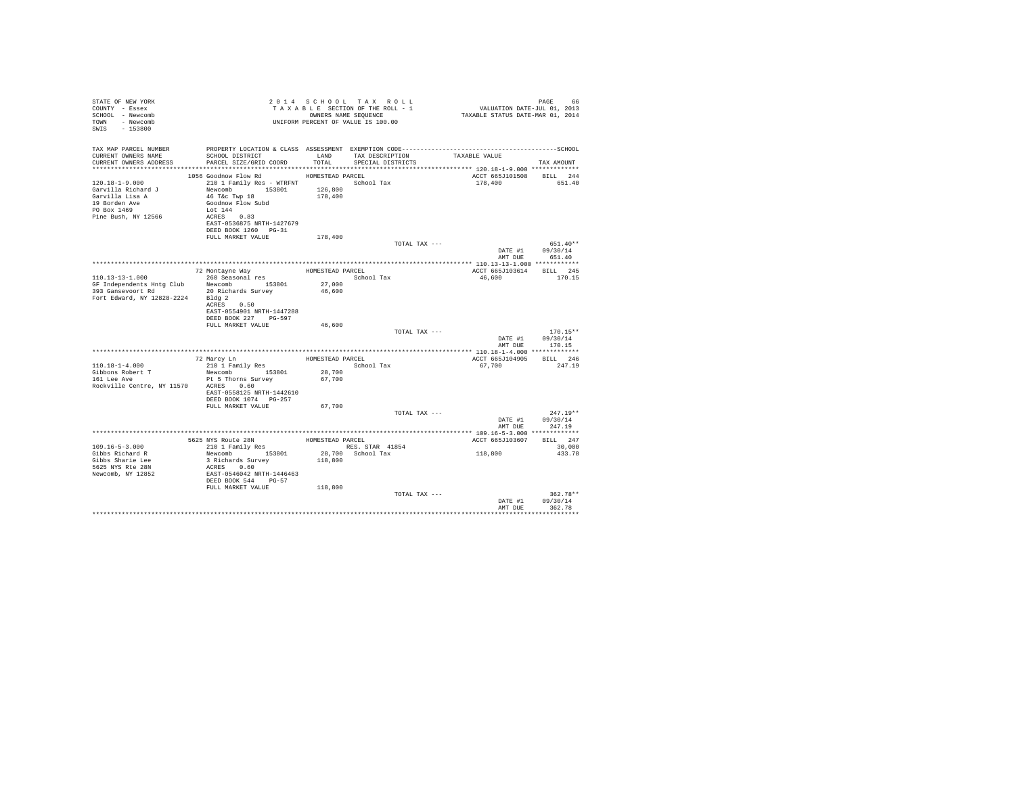| STATE OF NEW YORK<br>COUNTY - Essex<br>SCHOOL - Newcomb<br>TOWN - Newcomb<br>SWIS - 153800            | T A X A B B B B B B B SEQUENCE<br>UNIFORM PERCENT OF VALUE IS 100.00                            |                  | TAXABLE SECTION OF THE ROLL - 1<br>OWNERS NAME SEQUENCE | PAGE 66<br>VALUATION DATE-JUL 01, 2013<br>TAXABLE STATUS DATE-MAR 01, 2014 |                        |
|-------------------------------------------------------------------------------------------------------|-------------------------------------------------------------------------------------------------|------------------|---------------------------------------------------------|----------------------------------------------------------------------------|------------------------|
| TAX MAP PARCEL NUMBER<br>CURRENT OWNERS NAME                                                          | PROPERTY LOCATION & CLASS ASSESSMENT EXEMPTION CODE-------------------------<br>SCHOOL DISTRICT |                  | LAND TAX DESCRIPTION                                    | TAXABLE VALUE                                                              | ----------------SCHOOL |
| CURRENT OWNERS ADDRESS                                                                                | PARCEL SIZE/GRID COORD                                                                          | TOTAL            | SPECIAL DISTRICTS                                       |                                                                            | TAX AMOUNT             |
|                                                                                                       |                                                                                                 |                  |                                                         |                                                                            |                        |
|                                                                                                       | 1056 Goodnow Flow Rd                                                                            | HOMESTEAD PARCEL |                                                         | ACCT 665J101508 BILL 244                                                   |                        |
| 120.18-1-9.000                                                                                        | 210 1 Family Res - WTRFNT School Tax                                                            |                  |                                                         | 178,400                                                                    | 651.40                 |
| Garvilla Richard J                                                                                    | Newcomb 153801                                                                                  | 126,800          |                                                         |                                                                            |                        |
| Garvilla Lisa A                                                                                       | 46 T&c Twp 18                                                                                   | 178,400          |                                                         |                                                                            |                        |
| 19 Borden Ave                                                                                         | Goodnow Flow Subd                                                                               |                  |                                                         |                                                                            |                        |
| PO Box 1469                                                                                           | Lot 144<br>ACRES 0.83                                                                           |                  |                                                         |                                                                            |                        |
| Pine Bush, NY 12566                                                                                   | EAST-0536875 NRTH-1427679                                                                       |                  |                                                         |                                                                            |                        |
|                                                                                                       | DEED BOOK 1260 PG-31                                                                            |                  |                                                         |                                                                            |                        |
|                                                                                                       | FULL MARKET VALUE                                                                               | 178,400          |                                                         |                                                                            |                        |
|                                                                                                       |                                                                                                 |                  | TOTAL TAX ---                                           |                                                                            | $651.40**$             |
|                                                                                                       |                                                                                                 |                  |                                                         |                                                                            | DATE #1 09/30/14       |
|                                                                                                       |                                                                                                 |                  |                                                         |                                                                            | AMT DUE 651.40         |
|                                                                                                       |                                                                                                 |                  |                                                         |                                                                            |                        |
| $110.13 - 13 - 1.000$                                                                                 | 72 Montayne Way<br>260 Seasonal res                                                             | HOMESTEAD PARCEL | School Tax                                              | ACCT 665J103614 BILL 245<br>46,600                                         | 170.15                 |
|                                                                                                       |                                                                                                 | 27,000           |                                                         |                                                                            |                        |
| GF Independents Hntg Club Newcomb 153801<br>393 Gansevoort Rd 20 Richards Survey<br>393 Gansevoort Rd | 20 Richards Survey                                                                              | 46,600           |                                                         |                                                                            |                        |
| Fort Edward, NY 12828-2224 Bldg 2                                                                     |                                                                                                 |                  |                                                         |                                                                            |                        |
|                                                                                                       | ACRES 0.50                                                                                      |                  |                                                         |                                                                            |                        |
|                                                                                                       | EAST-0554901 NRTH-1447288                                                                       |                  |                                                         |                                                                            |                        |
|                                                                                                       | DEED BOOK 227 PG-597                                                                            |                  |                                                         |                                                                            |                        |
|                                                                                                       | FULL MARKET VALUE                                                                               | 46,600           | TOTAL TAX ---                                           |                                                                            | $170.15**$             |
|                                                                                                       |                                                                                                 |                  |                                                         | DATE #1                                                                    | 09/30/14               |
|                                                                                                       |                                                                                                 |                  |                                                         | AMT DUE                                                                    | 170.15                 |
|                                                                                                       |                                                                                                 |                  |                                                         |                                                                            |                        |
|                                                                                                       | 72 Marcy Ln                                                                                     | HOMESTEAD PARCEL |                                                         | ACCT 665J104905                                                            | BILL 246               |
| $110.18 - 1 - 4.000$                                                                                  | 210 1 Family Res                                                                                |                  | School Tax                                              | 67,700                                                                     | 247.19                 |
| Gibbons Robert T<br>161 Lee Ave                                                                       | Newcomb 153801                                                                                  | 28,700           |                                                         |                                                                            |                        |
| Rockville Centre, NY 11570 ACRES 0.60                                                                 | Pt 5 Thorns Survey                                                                              | 67,700           |                                                         |                                                                            |                        |
|                                                                                                       | EAST-0558125 NRTH-1442610                                                                       |                  |                                                         |                                                                            |                        |
|                                                                                                       | DEED BOOK 1074 PG-257                                                                           |                  |                                                         |                                                                            |                        |
|                                                                                                       | FULL MARKET VALUE                                                                               | 67,700           |                                                         |                                                                            |                        |
|                                                                                                       |                                                                                                 |                  | TOTAL TAX ---                                           |                                                                            | $247.19**$             |
|                                                                                                       |                                                                                                 |                  |                                                         | DATE #1                                                                    | 09/30/14               |
|                                                                                                       |                                                                                                 |                  |                                                         | AMT DUE                                                                    | 247.19                 |
|                                                                                                       |                                                                                                 |                  |                                                         |                                                                            |                        |
| $109.16 - 5 - 3.000$                                                                                  | 5625 NYS Route 28N HOMESTEAD PARCEL 210 1 Family Res RES. STAR 41854                            |                  | RES. STAR 41854                                         | ACCT 665J103607                                                            | BILL 247<br>30,000     |
| Gibbs Richard R                                                                                       | Newcomb 153801                                                                                  |                  | 28,700 School Tax                                       | 118,800                                                                    | 433.78                 |
| Gibbs Sharie Lee                                                                                      | 3 Richards Survey                                                                               | 118,800          |                                                         |                                                                            |                        |
| 5625 NYS Rte 28N                                                                                      | ACRES 0.60                                                                                      |                  |                                                         |                                                                            |                        |
| Newcomb, NY 12852                                                                                     | EAST-0546042 NRTH-1446463<br>DEED BOOK 544 PG-57                                                |                  |                                                         |                                                                            |                        |
|                                                                                                       |                                                                                                 |                  |                                                         |                                                                            |                        |
|                                                                                                       | FULL MARKET VALUE                                                                               | 118,800          |                                                         |                                                                            |                        |
|                                                                                                       |                                                                                                 |                  | TOTAL TAX ---                                           | DATE #1                                                                    | $362.78**$<br>09/30/14 |
|                                                                                                       |                                                                                                 |                  |                                                         | AMT DUE                                                                    | 362.78                 |
|                                                                                                       |                                                                                                 |                  |                                                         |                                                                            | *************          |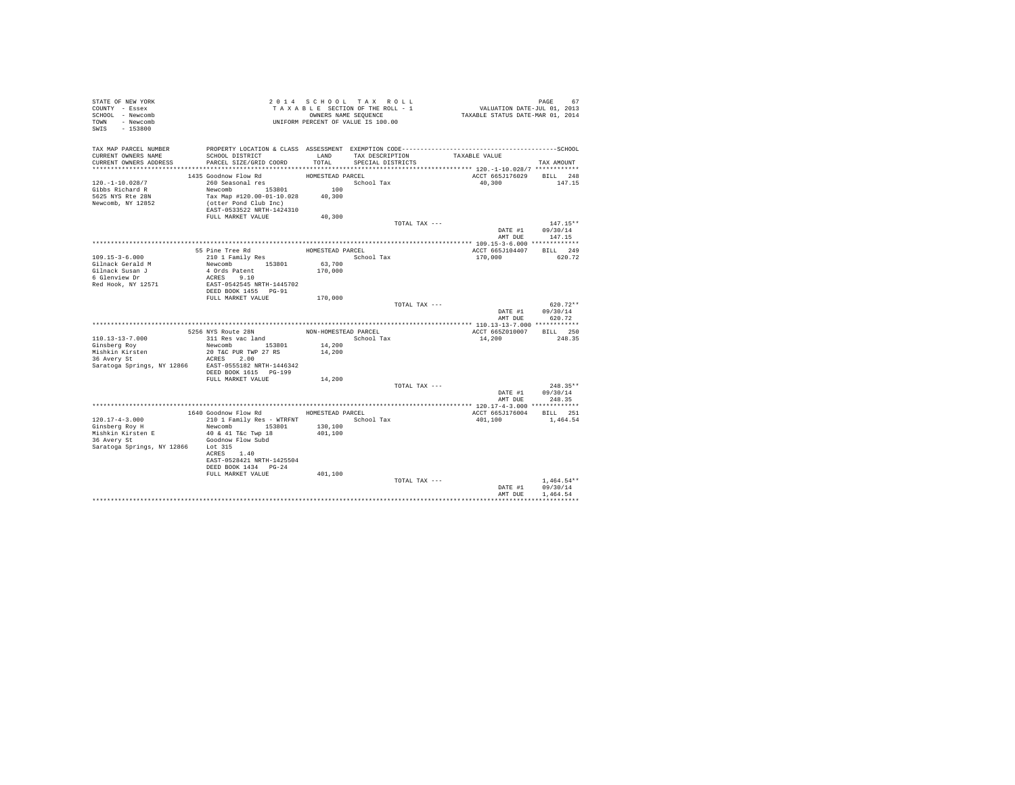| STATE OF NEW YORK                                    |                                          |                      | 2014 SCHOOL TAX ROLL                                          |                                    |                                                                            |                                    |
|------------------------------------------------------|------------------------------------------|----------------------|---------------------------------------------------------------|------------------------------------|----------------------------------------------------------------------------|------------------------------------|
| COUNTY - Essex                                       |                                          |                      | T A X A B L E SECTION OF THE ROLL - 1<br>OWNERS NAME SEQUENCE |                                    | PAGE 67<br>VALUATION DATE-JUL 01, 2013<br>TAXABLE STATUS DATE-MAR 01, 2014 |                                    |
| SCHOOL - Newcomb                                     |                                          |                      |                                                               |                                    |                                                                            |                                    |
| TOWN - Newcomb                                       |                                          |                      | UNIFORM PERCENT OF VALUE IS 100.00                            |                                    |                                                                            |                                    |
| SWIS - 153800                                        |                                          |                      |                                                               |                                    |                                                                            |                                    |
|                                                      |                                          |                      |                                                               |                                    |                                                                            |                                    |
|                                                      |                                          |                      |                                                               |                                    |                                                                            |                                    |
| TAX MAP PARCEL NUMBER                                |                                          |                      |                                                               |                                    |                                                                            |                                    |
| CURRENT OWNERS NAME                                  | SCHOOL DISTRICT                          |                      |                                                               | LAND TAX DESCRIPTION TAXABLE VALUE |                                                                            |                                    |
| CURRENT OWNERS ADDRESS                               | PARCEL SIZE/GRID COORD                   | TOTAL                | SPECIAL DISTRICTS                                             |                                    |                                                                            | TAX AMOUNT                         |
|                                                      |                                          |                      |                                                               |                                    |                                                                            |                                    |
|                                                      | 1435 Goodnow Flow Rd<br>260 Seasonal res | HOMESTEAD PARCEL     |                                                               |                                    | ACCT 665J176029 BILL 248                                                   |                                    |
| $120. - 1 - 10.028/7$                                |                                          |                      | School Tax                                                    |                                    | 40,300                                                                     | 147.15                             |
| Gibbs Richard R                                      | Newcomb $153801$                         | 100                  |                                                               |                                    |                                                                            |                                    |
| 5625 NYS Rte 28N                                     | Tax Map #120.00-01-10.028 40,300         |                      |                                                               |                                    |                                                                            |                                    |
| Newcomb, NY 12852                                    | (otter Pond Club Inc)                    |                      |                                                               |                                    |                                                                            |                                    |
|                                                      | EAST-0533522 NRTH-1424310                |                      |                                                               |                                    |                                                                            |                                    |
|                                                      | FULL MARKET VALUE                        | 40,300               |                                                               |                                    |                                                                            |                                    |
|                                                      |                                          |                      |                                                               | TOTAL TAX ---                      |                                                                            | $147.15**$                         |
|                                                      |                                          |                      |                                                               |                                    |                                                                            | DATE #1 09/30/14                   |
|                                                      |                                          |                      |                                                               |                                    |                                                                            | AMT DUE 147.15                     |
|                                                      |                                          |                      |                                                               |                                    |                                                                            |                                    |
|                                                      | 55 Pine Tree Rd                          | HOMESTEAD PARCEL     |                                                               |                                    | ACCT 665J104407 BILL 249                                                   |                                    |
| $109.15 - 3 - 6.000$                                 | 210 1 Family Res                         |                      | School Tax                                                    |                                    | 170,000                                                                    | 620.72                             |
| Gilnack Gerald M                                     | Newcomb 153801 63,700                    |                      |                                                               |                                    |                                                                            |                                    |
| Gilnack Susan J                                      |                                          | 170,000              |                                                               |                                    |                                                                            |                                    |
| 6 Glenview Dr                                        | 4 Ords Patent<br>ACRES 9.10              |                      |                                                               |                                    |                                                                            |                                    |
| Red Hook, NY 12571                                   | EAST-0542545 NRTH-1445702                |                      |                                                               |                                    |                                                                            |                                    |
|                                                      | DEED BOOK 1455 PG-91                     |                      |                                                               |                                    |                                                                            |                                    |
|                                                      | FULL MARKET VALUE                        | 170,000              |                                                               |                                    |                                                                            |                                    |
|                                                      |                                          |                      |                                                               | TOTAL TAX ---                      |                                                                            | $620.72**$                         |
|                                                      |                                          |                      |                                                               |                                    |                                                                            |                                    |
|                                                      |                                          |                      |                                                               |                                    |                                                                            | DATE #1 09/30/14<br>AMT DUE 620.72 |
|                                                      |                                          |                      |                                                               |                                    |                                                                            |                                    |
|                                                      | 5256 NYS Route 28N                       | NON-HOMESTEAD PARCEL |                                                               |                                    | ACCT 665Z010007 BILL 250                                                   |                                    |
| $110.13 - 13 - 7.000$                                | 311 Res vac land                         |                      | School Tax                                                    |                                    | 14,200                                                                     | 248.35                             |
|                                                      |                                          |                      |                                                               |                                    |                                                                            |                                    |
| Ginsberg Roy                                         | Newcomb 153801                           | 14,200               |                                                               |                                    |                                                                            |                                    |
| Mishkin Kirsten                                      | 20 T&C PUR TWP 27 RS                     | 14,200               |                                                               |                                    |                                                                            |                                    |
| 36 Avery St                                          | ACRES 2.00                               |                      |                                                               |                                    |                                                                            |                                    |
| Saratoga Springs, NY 12866 EAST-0555182 NRTH-1446342 |                                          |                      |                                                               |                                    |                                                                            |                                    |
|                                                      | DEED BOOK 1615 PG-199                    |                      |                                                               |                                    |                                                                            |                                    |
|                                                      | FULL MARKET VALUE                        | 14,200               |                                                               |                                    |                                                                            |                                    |
|                                                      |                                          |                      |                                                               | TOTAL TAX ---                      |                                                                            | $248.35**$                         |
|                                                      |                                          |                      |                                                               |                                    |                                                                            | DATE #1 09/30/14<br>AMT DUE 248.35 |
|                                                      |                                          |                      |                                                               |                                    |                                                                            |                                    |
|                                                      |                                          |                      |                                                               |                                    |                                                                            |                                    |
|                                                      | 1640 Goodnow Flow Rd MOMESTEAD PARCEL    |                      |                                                               |                                    | ACCT 665J176004 BILL 251                                                   |                                    |
| $120.17 - 4 - 3.000$                                 | 210 1 Family Res - WTRFNT School Tax     |                      |                                                               |                                    | 401,100                                                                    | 1,464.54                           |
| Ginsberg Roy H                                       | Newcomb 153801 130,100                   |                      |                                                               |                                    |                                                                            |                                    |
|                                                      |                                          | 401,100              |                                                               |                                    |                                                                            |                                    |
|                                                      |                                          |                      |                                                               |                                    |                                                                            |                                    |
| Saratoga Springs, NY 12866 Lot 315                   |                                          |                      |                                                               |                                    |                                                                            |                                    |
|                                                      | ACRES 1.40                               |                      |                                                               |                                    |                                                                            |                                    |
|                                                      | EAST-0528421 NRTH-1425504                |                      |                                                               |                                    |                                                                            |                                    |
|                                                      | DEED BOOK 1434 PG-24                     |                      |                                                               |                                    |                                                                            |                                    |
|                                                      | FULL MARKET VALUE                        | 401,100              |                                                               |                                    |                                                                            |                                    |
|                                                      |                                          |                      |                                                               | TOTAL TAX ---                      |                                                                            | $1.464.54**$                       |
|                                                      |                                          |                      |                                                               |                                    | DATE #1                                                                    | 09/30/14                           |
|                                                      |                                          |                      |                                                               |                                    | AMT DUE                                                                    | 1,464.54                           |
|                                                      |                                          |                      |                                                               |                                    |                                                                            |                                    |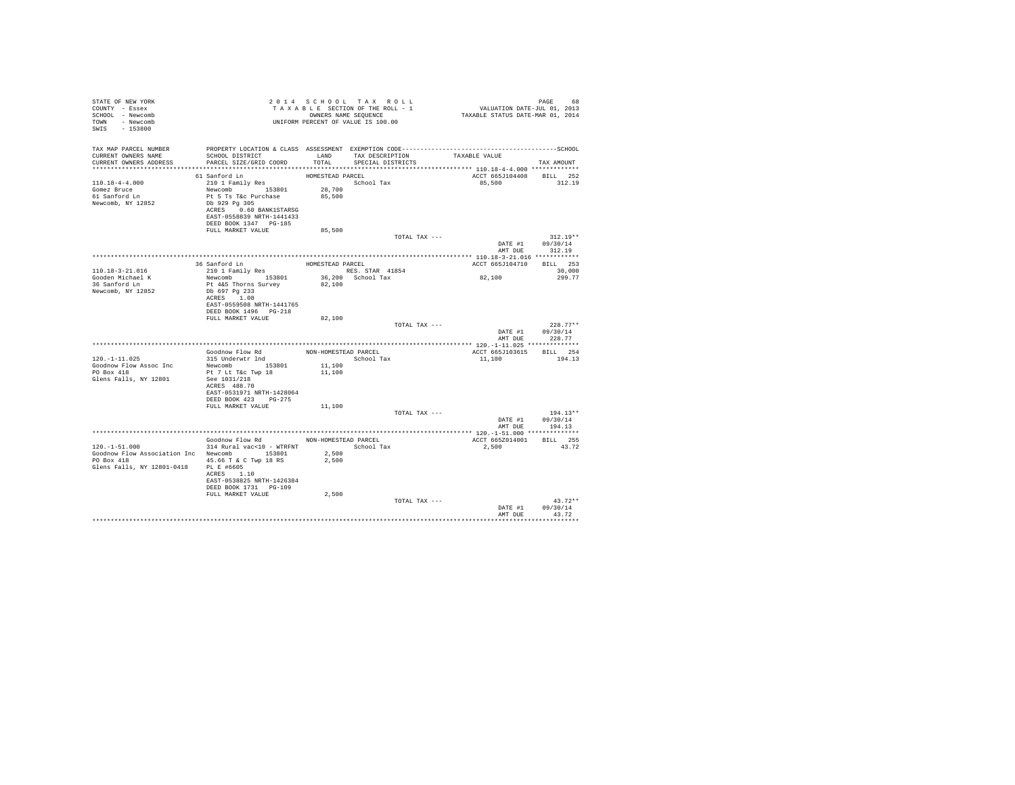| STATE OF NEW YORK<br>COUNTY - Essex<br>SCHOOL - Newcomb<br>TOWN - Newcomb<br>SWIS<br>$-153800$                           |                                                                                                                                                                                     |                                      | 2014 SCHOOL TAX ROLL<br>TAXABLE SECTION OF THE ROLL - 1<br>OWNERS NAME SEQUENCE<br>UNIFORM PERCENT OF VALUE IS 100.00 | 68 PAGE<br>701, VALUATION DATE-JUL 01, 2013<br>TAXABLE STATUS DATE-MAR 01, 2014 | PAGE<br>68                         |
|--------------------------------------------------------------------------------------------------------------------------|-------------------------------------------------------------------------------------------------------------------------------------------------------------------------------------|--------------------------------------|-----------------------------------------------------------------------------------------------------------------------|---------------------------------------------------------------------------------|------------------------------------|
| TAX MAP PARCEL NUMBER<br>CURRENT OWNERS NAME<br>CURRENT OWNERS ADDRESS                                                   | SCHOOL DISTRICT TAND TAX DESCRIPTION<br>PARCEL SIZE/GRID COORD TOTAL                                                                                                                |                                      | SPECIAL DISTRICTS                                                                                                     | TAXABLE VALUE                                                                   | TAX AMOUNT                         |
|                                                                                                                          |                                                                                                                                                                                     |                                      |                                                                                                                       |                                                                                 |                                    |
| $110.18 - 4 - 4.000$<br>Gomez Bruce<br>61 Sanford Ln<br>Newcomb, NY 12852                                                | 61 Sanford Ln<br>210 1 Family Res<br>Newcomb 153801<br>Pt 5 Ts T&c Purchase<br>Db 929 Pg 305<br>ACRES 0.60 BANK1STARSG<br>EAST-0558839 NRTH-1441433<br>DEED BOOK 1347 PG-185        | HOMESTEAD PARCEL<br>28,700<br>85,500 | School Tax                                                                                                            | 85,500                                                                          | ACCT 665J104408 BILL 252<br>312.19 |
|                                                                                                                          | FULL MARKET VALUE                                                                                                                                                                   | 85,500                               |                                                                                                                       |                                                                                 | $312.19**$                         |
|                                                                                                                          |                                                                                                                                                                                     |                                      |                                                                                                                       | TOTAL TAX ---<br>DATE #1<br>AMT DUE                                             | 09/30/14<br>312.19                 |
|                                                                                                                          | HOMESTEAD PARCEL<br>36 Sanford Ln                                                                                                                                                   |                                      |                                                                                                                       |                                                                                 | ACCT 665J104710 BILL 253           |
| $110.18 - 3 - 21.016$                                                                                                    | 210 1 Family Res                                                                                                                                                                    |                                      | RES. STAR 41854                                                                                                       |                                                                                 | 30,000                             |
| Gooden Michael K<br>36 Sanford Ln<br>Newcomb, NY 12852                                                                   | Newcomb 153801<br>Pt 4&5 Thorns Survey<br>Db 697 Pg 233<br>ACRES 1.08<br>EAST-0559508 NRTH-1441765                                                                                  | 82,100                               | 36,200 School Tax                                                                                                     | 82,100                                                                          | 299.77                             |
|                                                                                                                          | DEED BOOK 1496   PG-218<br>FULL MARKET VALUE                                                                                                                                        | 82,100                               |                                                                                                                       |                                                                                 |                                    |
|                                                                                                                          |                                                                                                                                                                                     |                                      |                                                                                                                       | TOTAL TAX ---                                                                   | $228.77**$                         |
|                                                                                                                          |                                                                                                                                                                                     |                                      |                                                                                                                       | DATE #1<br>AMT DUE                                                              | 09/30/14<br>228.77                 |
|                                                                                                                          |                                                                                                                                                                                     |                                      |                                                                                                                       |                                                                                 |                                    |
| $120. -1 - 11.025$                                                                                                       | Goodnow Flow Rd MON-HOMESTEAD PARCEL<br>315 Underwtr lnd                                                                                                                            |                                      | School Tax                                                                                                            | 11,100                                                                          | ACCT 665J103615 BILL 254<br>194.13 |
| Goodnow Flow Assoc Inc<br>PO Box 418<br>Glens Falls, NY 12801                                                            | Newcomb 153801<br>Pt 7 Lt T&c Twp 18<br>See 1031/218<br>ACRES 488.70<br>EAST-0531971 NRTH-1428064<br>DEED BOOK 423 PG-275<br>FULL MARKET VALUE                                      | 11,100<br>11,100<br>11,100           |                                                                                                                       |                                                                                 |                                    |
|                                                                                                                          |                                                                                                                                                                                     |                                      |                                                                                                                       | TOTAL TAX ---                                                                   | $194.13**$                         |
|                                                                                                                          |                                                                                                                                                                                     |                                      |                                                                                                                       | DATE #1<br>AMT DUE                                                              | 09/30/14<br>194.13                 |
|                                                                                                                          |                                                                                                                                                                                     |                                      |                                                                                                                       |                                                                                 |                                    |
| $120. -1 - 51.000$<br>Goodnow Flow Association Inc Newcomb 153801<br>PO Box 418<br>Glens Falls, NY 12801-0418 PL E #6605 | Goodnow Flow Rd MON-HOMESTEAD PARCEL<br>314 Rural vac<10 - WTRFNT<br>45.66 T & C Twp 18 RS<br>ACRES 1.10<br>EAST-0538825 NRTH-1426384<br>DEED BOOK 1731 PG-109<br>FULL MARKET VALUE | 2,500<br>2,500<br>2,500              | School Tax                                                                                                            | 2.500                                                                           | ACCT 665Z014001 BILL 255<br>43.72  |
|                                                                                                                          |                                                                                                                                                                                     |                                      |                                                                                                                       | TOTAL TAX ---<br>DATE #1                                                        | $43.72**$<br>09/30/14              |
|                                                                                                                          |                                                                                                                                                                                     |                                      |                                                                                                                       | AMT DUE                                                                         | 43.72                              |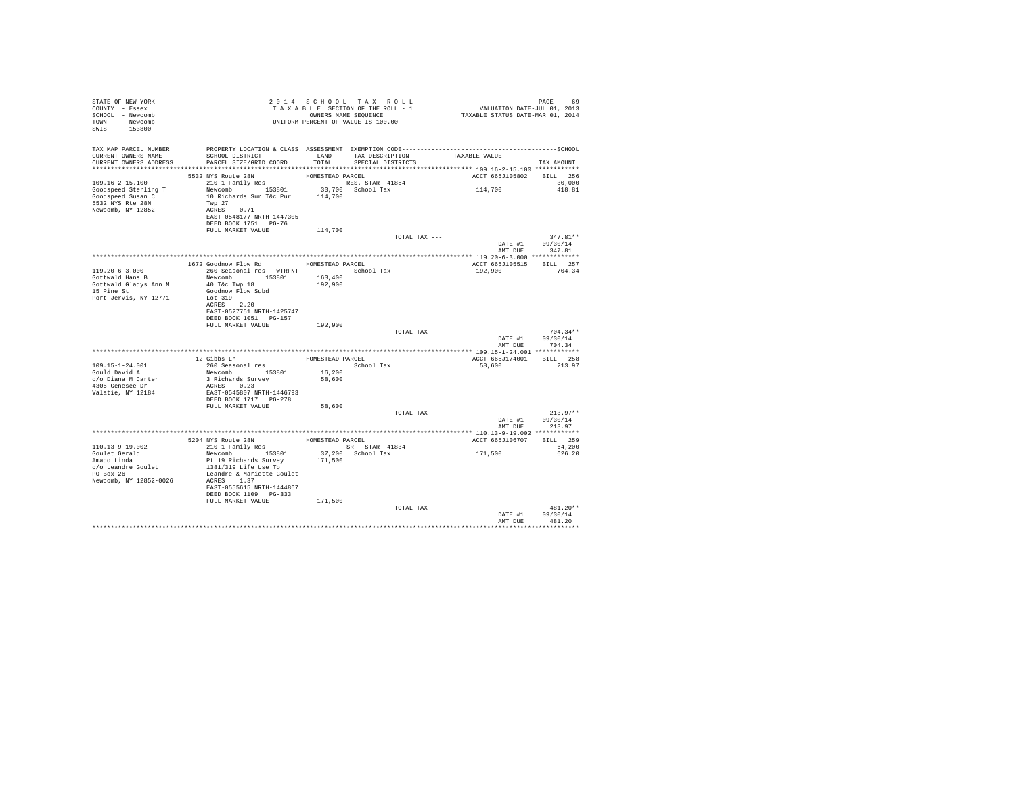| STATE OF NEW YORK<br>COUNTY - Essex<br>SCHOOL - Newcomb<br>TOWN - Newcomb<br>SWIS - 153800 | 2014 SLOR SECTION OF THE ROLL - 1<br>TAXABLE SECTION OF THE ROLL - 1<br>OWNERS NAME SEQUENCE<br>UNIFORM PERCENT OF VALUE IS 100.00                                                                                                   |                  |                                                         |                          |                                |
|--------------------------------------------------------------------------------------------|--------------------------------------------------------------------------------------------------------------------------------------------------------------------------------------------------------------------------------------|------------------|---------------------------------------------------------|--------------------------|--------------------------------|
|                                                                                            | TAX MAP PARCEL NUMBER PROPERTY LOCATION & CLASS ASSESSMENT EXEMPTION CODE---------------------------------SCHOOL                                                                                                                     |                  |                                                         |                          |                                |
| CURRENT OWNERS NAME<br>CURRENT OWNERS ADDRESS                                              | SCHOOL DISTRICT<br>PARCEL SIZE/GRID COORD                                                                                                                                                                                            | TOTAL            | LAND TAX DESCRIPTION TAXABLE VALUE<br>SPECIAL DISTRICTS |                          | TAX AMOUNT                     |
|                                                                                            |                                                                                                                                                                                                                                      |                  |                                                         |                          |                                |
|                                                                                            | 5532 NYS Route 28N                                                                                                                                                                                                                   | HOMESTEAD PARCEL |                                                         | ACCT 665J105802 BILL 256 |                                |
|                                                                                            |                                                                                                                                                                                                                                      |                  |                                                         | 114,700                  | 30,000                         |
|                                                                                            |                                                                                                                                                                                                                                      |                  |                                                         |                          | 418.81                         |
|                                                                                            |                                                                                                                                                                                                                                      |                  |                                                         |                          |                                |
|                                                                                            |                                                                                                                                                                                                                                      |                  |                                                         |                          |                                |
|                                                                                            | DEED BOOK 1751 PG-76                                                                                                                                                                                                                 |                  |                                                         |                          |                                |
|                                                                                            | FULL MARKET VALUE                                                                                                                                                                                                                    | 114,700          |                                                         |                          |                                |
|                                                                                            |                                                                                                                                                                                                                                      |                  | TOTAL TAX ---                                           | DATE #1 09/30/14         | $347.81**$                     |
|                                                                                            |                                                                                                                                                                                                                                      |                  |                                                         |                          | AMT DUE 347.81                 |
|                                                                                            |                                                                                                                                                                                                                                      |                  |                                                         |                          |                                |
|                                                                                            | 1672 Goodnow Flow Rd MOMESTEAD PARCEL                                                                                                                                                                                                |                  |                                                         | ACCT 665J105515 BILL 257 |                                |
| $119.20 - 6 - 3.000$                                                                       | 260 Seasonal res - WTRFNT <a></a> School Tax                                                                                                                                                                                         |                  |                                                         | 192,900                  | 704.34                         |
| Gottwald Hans B<br>Gottwald Gladys Ann M                                                   | Newcomb 153801 163,400<br>40 T&C Twp 18                                                                                                                                                                                              | 192,900          |                                                         |                          |                                |
| 15 Pine St                                                                                 | Goodnow Flow Subd                                                                                                                                                                                                                    |                  |                                                         |                          |                                |
| Port Jervis, NY 12771 Lot 319                                                              |                                                                                                                                                                                                                                      |                  |                                                         |                          |                                |
|                                                                                            | ACRES 2.20<br>EAST-0527751 NRTH-1425747                                                                                                                                                                                              |                  |                                                         |                          |                                |
|                                                                                            | DEED BOOK 1051 PG-157                                                                                                                                                                                                                |                  |                                                         |                          |                                |
|                                                                                            | FULL MARKET VALUE 192,900                                                                                                                                                                                                            |                  |                                                         |                          |                                |
|                                                                                            |                                                                                                                                                                                                                                      |                  | TOTAL TAX ---                                           |                          | $704.34**$<br>DATE #1 09/30/14 |
|                                                                                            |                                                                                                                                                                                                                                      |                  |                                                         |                          | AMT DUE 704.34                 |
|                                                                                            |                                                                                                                                                                                                                                      |                  |                                                         |                          |                                |
|                                                                                            |                                                                                                                                                                                                                                      |                  | HOMESTEAD PARCEL                                        | ACCT 665J174001 BILL 258 |                                |
| 109.15-1-24.001<br>Gould David A                                                           |                                                                                                                                                                                                                                      |                  | School Tax                                              | 58,600                   | 213.97                         |
| c/o Diana M Carter                                                                         | 12 Gibbs Ln<br>260 Seasonal res<br>Newcomb 153801<br>3 Richards Survey<br>153801                                                                                                                                                     | 16,200<br>58,600 |                                                         |                          |                                |
| 4305 Genesee Dr                                                                            | ACRES 0.23                                                                                                                                                                                                                           |                  |                                                         |                          |                                |
| Valatie, NY 12184                                                                          | EAST-0545807 NRTH-1446793                                                                                                                                                                                                            |                  |                                                         |                          |                                |
|                                                                                            | FULL MARKET VALUE                                                                                                                                                                                                                    | 58,600           |                                                         |                          |                                |
|                                                                                            |                                                                                                                                                                                                                                      |                  | TOTAL TAX ---                                           |                          | $213.97**$                     |
|                                                                                            |                                                                                                                                                                                                                                      |                  |                                                         | AMT DUE                  | DATE #1 09/30/14<br>213.97     |
|                                                                                            |                                                                                                                                                                                                                                      |                  |                                                         |                          |                                |
|                                                                                            |                                                                                                                                                                                                                                      |                  |                                                         | ACCT 665J106707 BILL 259 |                                |
| 110.13-9-19.002                                                                            | $\begin{tabular}{lllllllllll} \texttt{5204 NYS}\ & \texttt{RowESTEAD PAREEL} \\ \texttt{210 1 F amilly Res} & \texttt{HOMESTEAD PARECE} \\ \texttt{Newcomb} & \texttt{153801} & \texttt{37,200} & \texttt{School Tax} \end{tabular}$ |                  | SR STAR 41834                                           | 171,500                  | 64,200                         |
| Goulet Gerald<br>Amado Linda                                                               | Pt 19 Richards Survey                                                                                                                                                                                                                | 171,500          | 37,200 School Tax                                       |                          | 626.20                         |
| c/o Leandre Goulet<br>PO Box 26                                                            | 1381/319 Life Use To                                                                                                                                                                                                                 |                  |                                                         |                          |                                |
|                                                                                            | Leandre & Mariette Goulet                                                                                                                                                                                                            |                  |                                                         |                          |                                |
| Newcomb, NY 12852-0026                                                                     | ACRES 1.37<br>EAST-0555615 NRTH-1444867                                                                                                                                                                                              |                  |                                                         |                          |                                |
|                                                                                            | DEED BOOK 1109 PG-333                                                                                                                                                                                                                |                  |                                                         |                          |                                |
|                                                                                            | FULL MARKET VALUE                                                                                                                                                                                                                    | 171,500          |                                                         |                          |                                |
|                                                                                            |                                                                                                                                                                                                                                      |                  | TOTAL TAX ---                                           |                          | $481.20**$<br>DATE #1 09/30/14 |
|                                                                                            |                                                                                                                                                                                                                                      |                  |                                                         | AMT DUR                  | 481.20                         |
|                                                                                            |                                                                                                                                                                                                                                      |                  |                                                         |                          | .                              |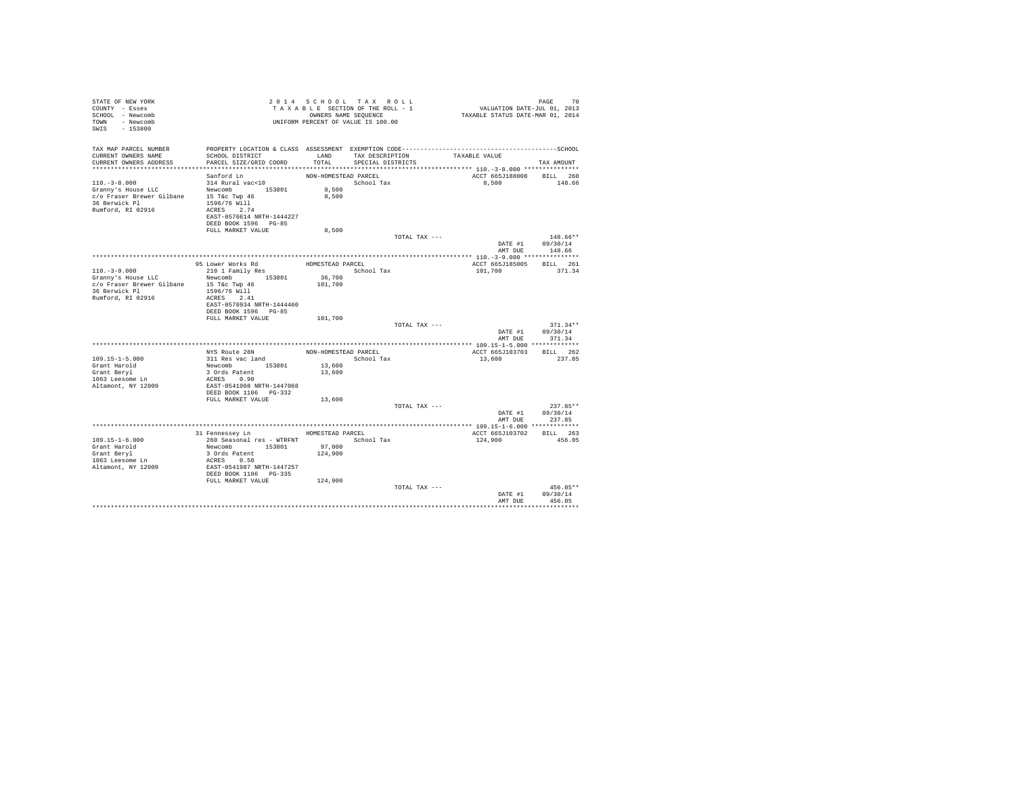| STATE OF NEW YORK<br>COUNTY - Essex<br>SCHOOL - Newcomb<br>TOWN - Newcomb<br>SWIS - 153800                                                                                                                                                                               | UNIFORM PERCENT OF VALUE IS 100.00                                                                                                                                                  |                                          | 2014 SCHOOL TAX ROLL<br>TAXABLE SECTION OF THE ROLL - 1<br>OWNERS NAME SEQUENCE |               | PAGE 70<br>VALUATION DATE-JUL 01, 2013<br>TAXABLE STATUS DATE-MAR 01, 2014 |                                          |
|--------------------------------------------------------------------------------------------------------------------------------------------------------------------------------------------------------------------------------------------------------------------------|-------------------------------------------------------------------------------------------------------------------------------------------------------------------------------------|------------------------------------------|---------------------------------------------------------------------------------|---------------|----------------------------------------------------------------------------|------------------------------------------|
| TAX MAP PARCEL NUMBER THE PROPERTY LOCATION & CLASS ASSESSMENT EXEMPTION CODE--------------------------------SCHOOL<br>CURRENT OWNERS NAME<br>CURRENT OWNERS ADDRESS                                                                                                     | SCHOOL DISTRICT<br>PARCEL SIZE/GRID COORD                                                                                                                                           | TOTAL                                    | LAND TAX DESCRIPTION TAXABLE VALUE<br>SPECIAL DISTRICTS                         |               |                                                                            | TAX AMOUNT                               |
| $110, -3 - 8, 000$<br>Corresponding to the state of the control of the control of the control of the control of the control of the control of the control of the control of the control of the control of the control of the control of the control<br>Rumford, RI 02916 | Sanford Ln<br>314 Rural vac<10<br>ACRES 2.74<br>EAST-0576614 NRTH-1444227<br>DEED BOOK 1596 PG-85                                                                                   | NON-HOMESTEAD PARCEL                     | School Tax                                                                      |               | ACCT 665J188008 BILL 260<br>8,500 148.66                                   |                                          |
|                                                                                                                                                                                                                                                                          | FULL MARKET VALUE                                                                                                                                                                   | 8,500                                    |                                                                                 | TOTAL TAX --- | DATE #1 09/30/14<br>AMT DUE                                                | 148.66**<br>148.66                       |
|                                                                                                                                                                                                                                                                          |                                                                                                                                                                                     |                                          |                                                                                 |               |                                                                            |                                          |
| $110.-3-9.000$<br>Granny's House LLC<br>c/o Fraser Brewer Gilbane 15 T&c Twp 46<br>36 Berwick Pl<br>Rumford, RI 02916                                                                                                                                                    | 95 Lower Works Rd<br>210 1 Family Res<br>Newcomb 153801 36,700<br>1596/76 Will<br>ACRES 2.41<br>EAST-0576934 NRTH-1444460<br>DEED BOOK 1596 PG-85                                   | HOMESTEAD PARCEL<br>101,700              | School Tax                                                                      |               | ACCT 665J185005 BILL 261<br>101,700                                        | 371.34                                   |
|                                                                                                                                                                                                                                                                          | FULL MARKET VALUE                                                                                                                                                                   | 101,700                                  |                                                                                 | TOTAL TAX --- | DATE #1 09/30/14                                                           | $371.34**$                               |
|                                                                                                                                                                                                                                                                          |                                                                                                                                                                                     |                                          |                                                                                 |               | AMT DUE                                                                    | 371.34                                   |
| $109.15 - 1 - 5.000$<br>Grant Harold<br>Grant Beryl<br>1063 Leesome Ln<br>Altamont, NY 12009                                                                                                                                                                             | NYS Route 28N<br>311 Res vac land<br>Newcomb 153801 13,600<br>3 Ords Patent<br>ACRES 0.90<br>EAST-0541908 NRTH-1447068<br>DEED BOOK 1106 PG-332<br>FULL MARKET VALUE                | NON-HOMESTEAD PARCEL<br>13,600<br>13,600 | School Tax                                                                      |               | ACCT 665J103703 BILL 262<br>13,600                                         | 237.85                                   |
|                                                                                                                                                                                                                                                                          |                                                                                                                                                                                     |                                          |                                                                                 | TOTAL TAX --- |                                                                            | $237.85**$                               |
|                                                                                                                                                                                                                                                                          |                                                                                                                                                                                     |                                          |                                                                                 |               | DATE #1 09/30/14                                                           | AMT DUE 237.85                           |
|                                                                                                                                                                                                                                                                          |                                                                                                                                                                                     |                                          |                                                                                 |               |                                                                            |                                          |
| $109.15 - 1 - 6.000$<br>Grant Harold<br>Grant Beryl<br>$1063$ Leesome Ln<br>Altamont, NY 12009                                                                                                                                                                           | 31 Fennessey Ln MOMESTEAD PARCEL<br>260 Seasonal res - WTRFNT<br>Newcomb 153801 97,000<br>3 Ords Patent 124,900<br>ACRES 0.50<br>EAST-0541987 NRTH-1447257<br>DEED BOOK 1106 PG-335 |                                          |                                                                                 |               | ACCT 665J103702 BILL 263<br>124,900                                        | 456.05                                   |
|                                                                                                                                                                                                                                                                          | FULL MARKET VALUE 124,900                                                                                                                                                           |                                          |                                                                                 | TOTAL TAX --- | AMT DUE                                                                    | $456.05**$<br>DATE #1 09/30/14<br>456.05 |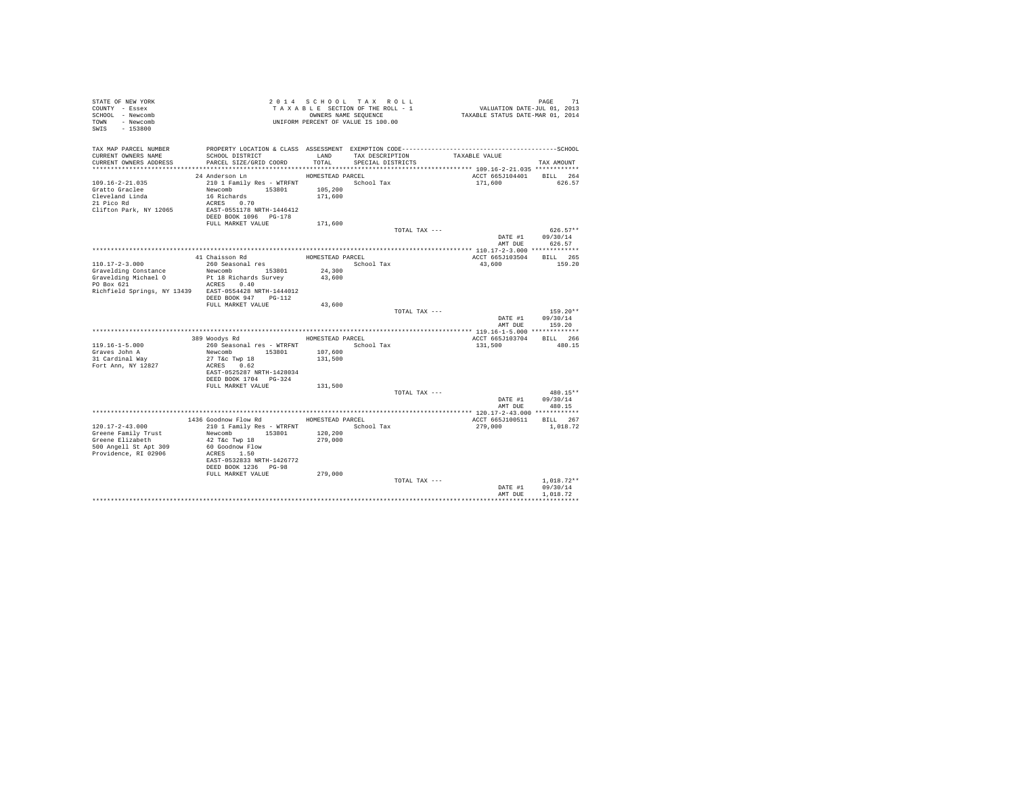| TAX MAP PARCEL NUMBER<br>TAX DESCRIPTION<br>CURRENT OWNERS NAME<br>SCHOOL DISTRICT<br>LAND<br>TAXABLE VALUE<br>CURRENT OWNERS ADDRESS<br>PARCEL SIZE/GRID COORD<br>TOTAL<br>SPECIAL DISTRICTS<br>TAX AMOUNT<br>ACCT 665J104401<br>BILL 264<br>24 Anderson Ln<br>HOMESTEAD PARCEL<br>210 1 Family Res - WTRFNT<br>$109.16 - 2 - 21.035$<br>School Tax<br>171,600<br>626.57<br>Newcomb 153801<br>105,200<br>Gratto Graclee<br>Cleveland Linda<br>16 Richards<br>171,600<br>21 Pico Rd<br>ACRES 0.70<br>Clifton Park, NY 12065<br>EAST-0551178 NRTH-1446412<br>DEED BOOK 1096 PG-178<br>FULL MARKET VALUE<br>171,600<br>TOTAL TAX ---<br>$626.57**$<br>DATE #1<br>09/30/14<br>AMT DUE<br>626.57<br>41 Chaisson Rd<br>HOMESTEAD PARCEL<br>ACCT 665J103504<br>BILL 265<br>$110.17 - 2 - 3.000$<br>260 Seasonal res<br>School Tax<br>43,600<br>159.20<br>24,300<br>Gravelding Constance<br>Newcomb 153801<br>Gravelding Michael O<br>Pt 18 Richards Survey<br>43,600<br>PO Box 621<br>ACRES 0.40<br>Richfield Springs, NY 13439 EAST-0554428 NRTH-1444012<br>DEED BOOK 947 PG-112<br>FULL MARKET VALUE<br>43,600<br>TOTAL TAX ---<br>$159.20**$<br>DATE #1<br>09/30/14<br>AMT DUE<br>159.20<br>389 Woodys Rd<br>BILL 266<br>HOMESTEAD PARCEL<br>ACCT 665J103704<br>$119.16 - 1 - 5.000$<br>260 Seasonal res - WTRFNT<br>School Tax<br>131,500<br>480.15<br>Graves John A<br>Newcomb 153801<br>107,600<br>$27$ T&C Twp $18$<br>131,500<br>31 Cardinal Way<br>Fort Ann, NY 12827<br>ACRES 0.62<br>EAST-0525287 NRTH-1428034<br>DEED BOOK 1704    PG-324<br>FULL MARKET VALUE<br>131,500<br>TOTAL TAX ---<br>480.15**<br>DATE #1<br>09/30/14<br>AMT DUE<br>480.15<br>1436 Goodnow Flow Rd MOMESTEAD PARCEL<br>ACCT 665J100511 BILL 267<br>210 1 Family Res - WTRFNT<br>$120.17 - 2 - 43.000$<br>School Tax<br>279,000<br>1,018.72<br>120,200<br>Greene Family Trust<br>Newcomb<br>153801<br>279,000<br>Greene Elizabeth<br>42 T&c Twp 18<br>500 Angell St Apt 309<br>60 Goodnow Flow<br>Providence, RI 02906<br>ACRES 1.50<br>EAST-0532833 NRTH-1426772<br>DEED BOOK 1236 PG-98<br>FULL MARKET VALUE<br>279,000<br>TOTAL TAX ---<br>$1.018.72**$ | STATE OF NEW YORK<br>COUNTY - Essex<br>SCHOOL - Newcomb<br>TOWN - Newcomb<br>SWIS - 153800 |  | 2014 SCHOOL TAX ROLL<br>TAXABLE SECTION OF THE ROLL - 1<br>OWNERS NAME SEQUENCE<br>UNIFORM PERCENT OF VALUE IS 100.00 | 71 PAGE<br>711. VALUATION DATE-JUL 01, 2013<br>712. TAXABLE STATUS DATE-MAR 01 | PAGE<br>71 |
|-----------------------------------------------------------------------------------------------------------------------------------------------------------------------------------------------------------------------------------------------------------------------------------------------------------------------------------------------------------------------------------------------------------------------------------------------------------------------------------------------------------------------------------------------------------------------------------------------------------------------------------------------------------------------------------------------------------------------------------------------------------------------------------------------------------------------------------------------------------------------------------------------------------------------------------------------------------------------------------------------------------------------------------------------------------------------------------------------------------------------------------------------------------------------------------------------------------------------------------------------------------------------------------------------------------------------------------------------------------------------------------------------------------------------------------------------------------------------------------------------------------------------------------------------------------------------------------------------------------------------------------------------------------------------------------------------------------------------------------------------------------------------------------------------------------------------------------------------------------------------------------------------------------------------------------------------------------------------------------------------------------------------------------------------------------------------------------------------------------------------------------------|--------------------------------------------------------------------------------------------|--|-----------------------------------------------------------------------------------------------------------------------|--------------------------------------------------------------------------------|------------|
|                                                                                                                                                                                                                                                                                                                                                                                                                                                                                                                                                                                                                                                                                                                                                                                                                                                                                                                                                                                                                                                                                                                                                                                                                                                                                                                                                                                                                                                                                                                                                                                                                                                                                                                                                                                                                                                                                                                                                                                                                                                                                                                                         |                                                                                            |  |                                                                                                                       |                                                                                |            |
|                                                                                                                                                                                                                                                                                                                                                                                                                                                                                                                                                                                                                                                                                                                                                                                                                                                                                                                                                                                                                                                                                                                                                                                                                                                                                                                                                                                                                                                                                                                                                                                                                                                                                                                                                                                                                                                                                                                                                                                                                                                                                                                                         |                                                                                            |  |                                                                                                                       |                                                                                |            |
|                                                                                                                                                                                                                                                                                                                                                                                                                                                                                                                                                                                                                                                                                                                                                                                                                                                                                                                                                                                                                                                                                                                                                                                                                                                                                                                                                                                                                                                                                                                                                                                                                                                                                                                                                                                                                                                                                                                                                                                                                                                                                                                                         |                                                                                            |  |                                                                                                                       |                                                                                |            |
|                                                                                                                                                                                                                                                                                                                                                                                                                                                                                                                                                                                                                                                                                                                                                                                                                                                                                                                                                                                                                                                                                                                                                                                                                                                                                                                                                                                                                                                                                                                                                                                                                                                                                                                                                                                                                                                                                                                                                                                                                                                                                                                                         |                                                                                            |  |                                                                                                                       |                                                                                |            |
|                                                                                                                                                                                                                                                                                                                                                                                                                                                                                                                                                                                                                                                                                                                                                                                                                                                                                                                                                                                                                                                                                                                                                                                                                                                                                                                                                                                                                                                                                                                                                                                                                                                                                                                                                                                                                                                                                                                                                                                                                                                                                                                                         |                                                                                            |  |                                                                                                                       |                                                                                |            |
|                                                                                                                                                                                                                                                                                                                                                                                                                                                                                                                                                                                                                                                                                                                                                                                                                                                                                                                                                                                                                                                                                                                                                                                                                                                                                                                                                                                                                                                                                                                                                                                                                                                                                                                                                                                                                                                                                                                                                                                                                                                                                                                                         |                                                                                            |  |                                                                                                                       |                                                                                |            |
|                                                                                                                                                                                                                                                                                                                                                                                                                                                                                                                                                                                                                                                                                                                                                                                                                                                                                                                                                                                                                                                                                                                                                                                                                                                                                                                                                                                                                                                                                                                                                                                                                                                                                                                                                                                                                                                                                                                                                                                                                                                                                                                                         |                                                                                            |  |                                                                                                                       |                                                                                |            |
|                                                                                                                                                                                                                                                                                                                                                                                                                                                                                                                                                                                                                                                                                                                                                                                                                                                                                                                                                                                                                                                                                                                                                                                                                                                                                                                                                                                                                                                                                                                                                                                                                                                                                                                                                                                                                                                                                                                                                                                                                                                                                                                                         |                                                                                            |  |                                                                                                                       |                                                                                |            |
|                                                                                                                                                                                                                                                                                                                                                                                                                                                                                                                                                                                                                                                                                                                                                                                                                                                                                                                                                                                                                                                                                                                                                                                                                                                                                                                                                                                                                                                                                                                                                                                                                                                                                                                                                                                                                                                                                                                                                                                                                                                                                                                                         |                                                                                            |  |                                                                                                                       |                                                                                |            |
|                                                                                                                                                                                                                                                                                                                                                                                                                                                                                                                                                                                                                                                                                                                                                                                                                                                                                                                                                                                                                                                                                                                                                                                                                                                                                                                                                                                                                                                                                                                                                                                                                                                                                                                                                                                                                                                                                                                                                                                                                                                                                                                                         |                                                                                            |  |                                                                                                                       |                                                                                |            |
|                                                                                                                                                                                                                                                                                                                                                                                                                                                                                                                                                                                                                                                                                                                                                                                                                                                                                                                                                                                                                                                                                                                                                                                                                                                                                                                                                                                                                                                                                                                                                                                                                                                                                                                                                                                                                                                                                                                                                                                                                                                                                                                                         |                                                                                            |  |                                                                                                                       |                                                                                |            |
|                                                                                                                                                                                                                                                                                                                                                                                                                                                                                                                                                                                                                                                                                                                                                                                                                                                                                                                                                                                                                                                                                                                                                                                                                                                                                                                                                                                                                                                                                                                                                                                                                                                                                                                                                                                                                                                                                                                                                                                                                                                                                                                                         |                                                                                            |  |                                                                                                                       |                                                                                |            |
|                                                                                                                                                                                                                                                                                                                                                                                                                                                                                                                                                                                                                                                                                                                                                                                                                                                                                                                                                                                                                                                                                                                                                                                                                                                                                                                                                                                                                                                                                                                                                                                                                                                                                                                                                                                                                                                                                                                                                                                                                                                                                                                                         |                                                                                            |  |                                                                                                                       |                                                                                |            |
|                                                                                                                                                                                                                                                                                                                                                                                                                                                                                                                                                                                                                                                                                                                                                                                                                                                                                                                                                                                                                                                                                                                                                                                                                                                                                                                                                                                                                                                                                                                                                                                                                                                                                                                                                                                                                                                                                                                                                                                                                                                                                                                                         |                                                                                            |  |                                                                                                                       |                                                                                |            |
| DATE #1<br>09/30/14                                                                                                                                                                                                                                                                                                                                                                                                                                                                                                                                                                                                                                                                                                                                                                                                                                                                                                                                                                                                                                                                                                                                                                                                                                                                                                                                                                                                                                                                                                                                                                                                                                                                                                                                                                                                                                                                                                                                                                                                                                                                                                                     |                                                                                            |  |                                                                                                                       |                                                                                |            |
| AMT DUE<br>1,018.72                                                                                                                                                                                                                                                                                                                                                                                                                                                                                                                                                                                                                                                                                                                                                                                                                                                                                                                                                                                                                                                                                                                                                                                                                                                                                                                                                                                                                                                                                                                                                                                                                                                                                                                                                                                                                                                                                                                                                                                                                                                                                                                     |                                                                                            |  |                                                                                                                       |                                                                                |            |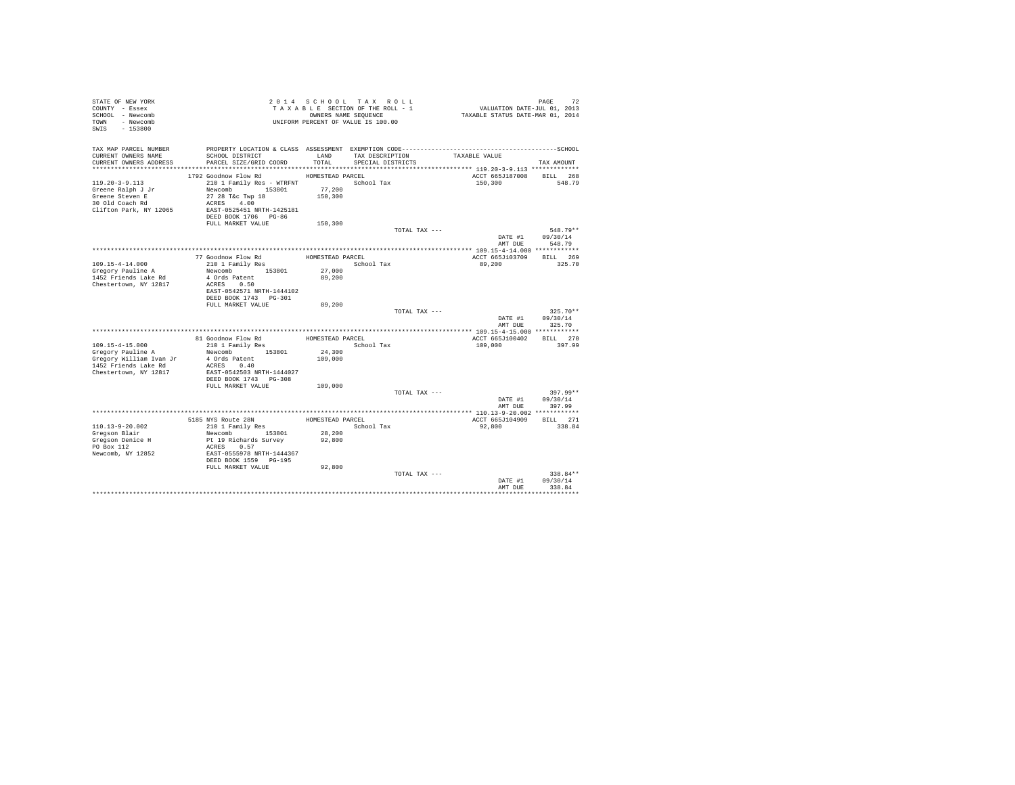| STATE OF NEW YORK<br>COUNTY - Essex<br>SCHOOL - Newcomb<br>TOWN - Newcomb<br>SWIS - 153800                |                                                                                                                                                                                 |                                                  | 2014 SCHOOL TAX ROLL<br>TAXABLE SECTION OF THE ROLL - 1<br>OWNERS NAME SEQUENCE<br>UNIFORM PERCENT OF VALUE IS 100.00 | PAGE 72<br>VALUATION DATE-JUL 01, 2013<br>TAXABLE STATUS DATE-MAR 01, 2014 |                        |
|-----------------------------------------------------------------------------------------------------------|---------------------------------------------------------------------------------------------------------------------------------------------------------------------------------|--------------------------------------------------|-----------------------------------------------------------------------------------------------------------------------|----------------------------------------------------------------------------|------------------------|
| TAX MAP PARCEL NUMBER<br>CURRENT OWNERS NAME<br>CURRENT OWNERS ADDRESS                                    | SCHOOL DISTRICT<br>PARCEL SIZE/GRID COORD                                                                                                                                       | LAND<br>TOTAL                                    | TAX DESCRIPTION<br>SPECIAL DISTRICTS                                                                                  | TAXABLE VALUE                                                              | TAX AMOUNT             |
| $119.20 - 3 - 9.113$<br>Greene Ralph J Jr<br>Greene Steven E<br>30 Old Coach Rd<br>Clifton Park, NY 12065 | 1792 Goodnow Flow Rd<br>210 1 Family Res - WTRFNT<br>Newcomb 153801<br>27 28 T&c Twp 18<br>ACRES 4.00<br>EAST-0525451 NRTH-1425181<br>DEED BOOK 1706 PG-86<br>FULL MARKET VALUE | HOMESTEAD PARCEL<br>77,200<br>150,300<br>150,300 | School Tax                                                                                                            | ACCT 665J187008 BILL 268<br>150,300                                        | 548.79                 |
|                                                                                                           |                                                                                                                                                                                 |                                                  | TOTAL TAX ---                                                                                                         | DATE #1                                                                    | $548.79**$<br>09/30/14 |
|                                                                                                           |                                                                                                                                                                                 |                                                  |                                                                                                                       | AMT DUE                                                                    | 548.79                 |
|                                                                                                           |                                                                                                                                                                                 | HOMESTEAD PARCEL                                 |                                                                                                                       | ACCT 665J103709                                                            | BILL 269               |
| $109.15 - 4 - 14.000$<br>Gregory Pauline A<br>1452 Friends Lake Rd<br>Chestertown, NY 12817               | 77 Goodnow Flow Rd<br>210 1 Family Res<br>Newcomb 153801<br>4 Ords Patent<br>ACRES 0.50<br>EAST-0542571 NRTH-1444102<br>DEED BOOK 1743 PG-301<br>FULL MARKET VALUE              | School Tax<br>27,000<br>89,200                   |                                                                                                                       | 89,200                                                                     | 325.70                 |
|                                                                                                           |                                                                                                                                                                                 | 89,200                                           | TOTAL TAX ---                                                                                                         |                                                                            | $325.70**$             |
|                                                                                                           |                                                                                                                                                                                 |                                                  |                                                                                                                       | DATE #1<br>AMT DUE                                                         | 09/30/14<br>325.70     |
|                                                                                                           |                                                                                                                                                                                 |                                                  |                                                                                                                       |                                                                            |                        |
| $109.15 - 4 - 15.000$                                                                                     | 81 Goodnow Flow Rd<br>210 1 Family Res                                                                                                                                          | HOMESTEAD PARCEL                                 | School Tax                                                                                                            | ACCT 665J100402<br>109,000                                                 | BILL 270<br>397.99     |
| Gregory Pauline A                                                                                         | Newcomb 153801                                                                                                                                                                  | 24,300                                           |                                                                                                                       |                                                                            |                        |
| Gregory William Ivan Jr<br>1452 Friends Lake Rd<br>Chestertown, NY 12817                                  | 4 Ords Patent<br>ACRES 0.40<br>EAST-0542503 NRTH-1444027<br>DEED BOOK 1743 PG-308<br>FULL MARKET VALUE                                                                          | 109,000<br>109,000                               |                                                                                                                       |                                                                            |                        |
|                                                                                                           |                                                                                                                                                                                 |                                                  | TOTAL TAX ---                                                                                                         |                                                                            | $397.99**$             |
|                                                                                                           |                                                                                                                                                                                 |                                                  |                                                                                                                       | DATE #1<br>AMT DUE                                                         | 09/30/14<br>397.99     |
|                                                                                                           |                                                                                                                                                                                 | HOMESTEAD PARCEL                                 |                                                                                                                       |                                                                            |                        |
| 110.13-9-20.002<br>Gregson Blair<br>Gregson Denice H<br>PO Box 112<br>Newcomb, NY 12852                   | 5185 NYS Route 28N<br>210 1 Family Res<br>Newcomb 153801<br>Pt 19 Richards Survey<br>ACRES 0.57<br>EAST-0555978 NRTH-1444367<br>DEED BOOK 1559 PG-195<br>FULL MARKET VALUE      | 28,200<br>92,800<br>92,800                       | School Tax                                                                                                            | ACCT 665J104909<br>92,800                                                  | BILL 271<br>338.84     |
|                                                                                                           |                                                                                                                                                                                 |                                                  | TOTAL TAX ---                                                                                                         | DATE #1                                                                    | $338.84**$<br>09/30/14 |
|                                                                                                           |                                                                                                                                                                                 |                                                  |                                                                                                                       | AMT DUE                                                                    | 338.84                 |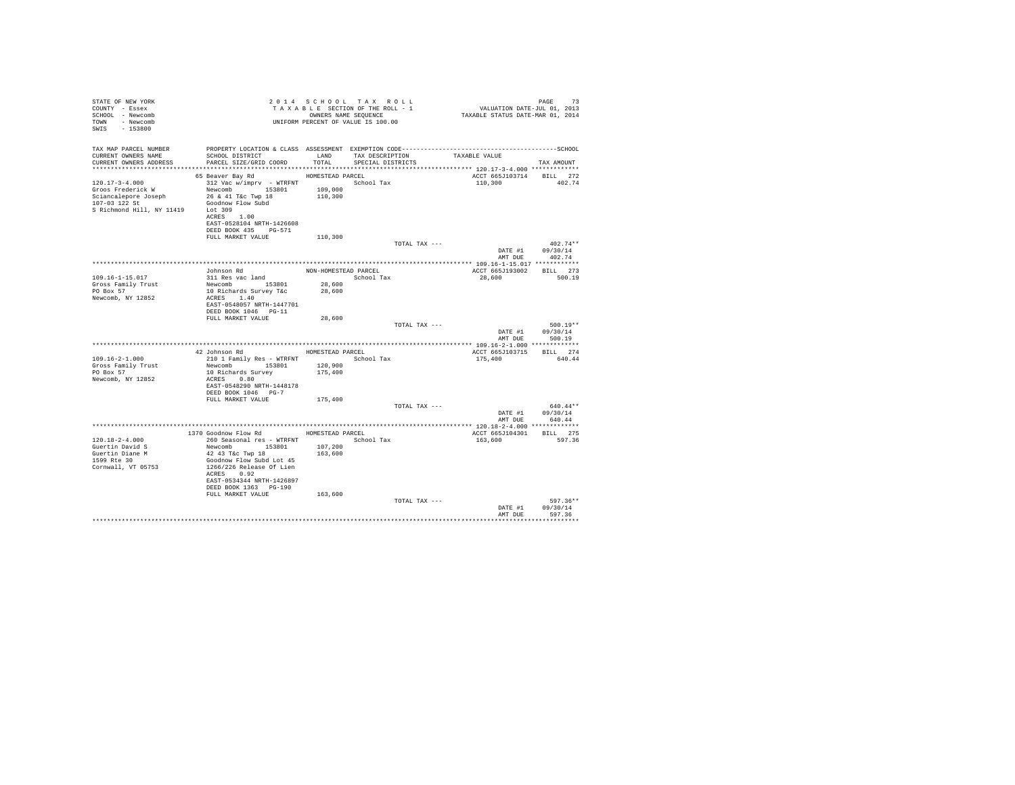| STATE OF NEW YORK<br>COUNTY - Essex<br>SCHOOL - Newcomb<br>TOWN - Newcomb<br>SWIS - 153800                              | UNIFORM PERCENT OF VALUE IS 100.00                                                                                                                                                                                                   | 2014 SCHOOL TAX ROLL<br>TAXABLE SECTION OF THE ROLL - 1<br>OWNERS NAME SEQUENCE |                                      |               | PAGE 73<br>VALUATION DATE-JUL 01, 2013<br>TAXABLE STATUS DATE-MAR 01, 2014 |                                          |
|-------------------------------------------------------------------------------------------------------------------------|--------------------------------------------------------------------------------------------------------------------------------------------------------------------------------------------------------------------------------------|---------------------------------------------------------------------------------|--------------------------------------|---------------|----------------------------------------------------------------------------|------------------------------------------|
| TAX MAP PARCEL NUMBER<br>CURRENT OWNERS NAME<br>CURRENT OWNERS ADDRESS                                                  | SCHOOL DISTRICT<br>PARCEL SIZE/GRID COORD                                                                                                                                                                                            | LAND<br>TOTAL                                                                   | TAX DESCRIPTION<br>SPECIAL DISTRICTS |               | TAXABLE VALUE                                                              | TAX AMOUNT                               |
| $120.17 - 3 - 4.000$<br>Groos Frederick W<br>Sciancalepore Joseph<br>107-03 122 St<br>S Richmond Hill, NY 11419 Lot 309 | 65 Beaver Bay Rd MOMESTEAD PARCEL<br>312 Vac w/imprv - WTRFNT School Tax<br>Newcomb 153801<br>26 & 41 T&c Twp 18<br>Goodnow Flow Subd<br>ACRES 1.00<br>EAST-0528104 NRTH-1426608<br>DEED BOOK 435 PG-571                             | 109,000<br>110,300                                                              |                                      |               | ACCT 665J103714<br>110,300                                                 | BILL 272<br>402.74                       |
|                                                                                                                         | FULL MARKET VALUE                                                                                                                                                                                                                    | 110,300                                                                         |                                      | TOTAL TAX --- |                                                                            | $402.74**$<br>DATE #1 09/30/14           |
|                                                                                                                         |                                                                                                                                                                                                                                      |                                                                                 |                                      |               | AMT DUE                                                                    | 402.74                                   |
| 109.16-1-15.017<br>Gross Family Trust<br>PO Box 57<br>Newcomb, NY 12852                                                 | Johnson Rd<br>311 Res vac land<br>Newcomb 153801<br>10 Richards Survey T&c<br>ACRES 1.40<br>EAST-0548057 NRTH-1447701<br>DEED BOOK 1046 PG-11                                                                                        | NON-HOMESTEAD PARCEL<br>28,600<br>28,600                                        | School Tax                           |               | ACCT 665J193002 BILL 273<br>28,600                                         | 500.19                                   |
|                                                                                                                         | FULL MARKET VALUE                                                                                                                                                                                                                    | 28,600                                                                          |                                      | TOTAL TAX --- | DATE #1<br>AMT DUE                                                         | $500.19**$<br>09/30/14<br>500.19         |
|                                                                                                                         |                                                                                                                                                                                                                                      |                                                                                 |                                      |               |                                                                            |                                          |
| $109.16 - 2 - 1.000$<br>Gross Family Trust<br>PO Box 57<br>Newcomb, NY 12852                                            | 42 Johnson Rd<br>210 1 Family Res - WTRFNT<br>Newcomb 153801<br>10 Richards Survey<br>ACRES 0.80<br>EAST-0548290 NRTH-1448178<br>DEED BOOK 1046 PG-7                                                                                 | HOMESTEAD PARCEL<br>120,900<br>175,400                                          | School Tax                           |               | ACCT 665J103715 BILL 274<br>175,400                                        | 640.44                                   |
|                                                                                                                         | FULL MARKET VALUE                                                                                                                                                                                                                    | 175,400                                                                         |                                      |               |                                                                            |                                          |
|                                                                                                                         |                                                                                                                                                                                                                                      |                                                                                 |                                      | TOTAL TAX --- | DATE #1                                                                    | $640.44**$<br>09/30/14<br>AMT DUE 640.44 |
|                                                                                                                         |                                                                                                                                                                                                                                      |                                                                                 |                                      |               |                                                                            |                                          |
| $120.18 - 2 - 4.000$<br>Guertin David S<br>Guertin Diane M<br>1599 Rte 30<br>Cornwall, VT 05753                         | 1370 Goodnow Flow Rd MOMESTEAD PARCEL<br>260 Seasonal res - WTRFNT<br>Newcomb 153801<br>42 43 T&C Twp 18<br>Goodnow Flow Subd Lot 45<br>1266/226 Release Of Lien<br>ACRES 0.92<br>EAST-0534344 NRTH-1426897<br>DEED BOOK 1363 PG-190 | 107,200<br>163,600                                                              | School Tax                           |               | ACCT 665J104301<br>163,600                                                 | BILL 275<br>597.36                       |
|                                                                                                                         | FULL MARKET VALUE                                                                                                                                                                                                                    | 163,600                                                                         |                                      | TOTAL TAX --- | DATE #1<br>AMT DUE                                                         | 597.36**<br>09/30/14<br>597.36           |
|                                                                                                                         |                                                                                                                                                                                                                                      |                                                                                 |                                      |               |                                                                            |                                          |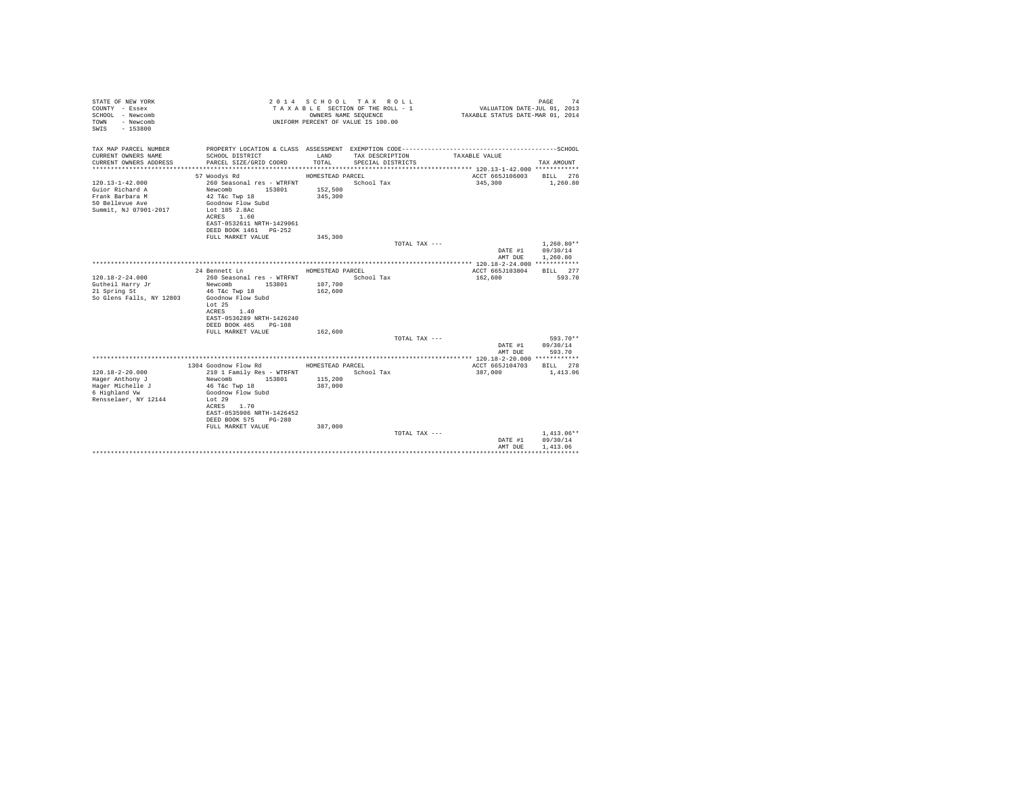| STATE OF NEW YORK<br>COUNTY - Essex<br>SCHOOL - Newcomb<br>- Newcomb<br>TOWN<br>$-153800$<br>SWTS |                                                    | OWNERS NAME SEQUENCE | 2014 SCHOOL TAX ROLL<br>TAXABLE SECTION OF THE ROLL - 1<br>UNIFORM PERCENT OF VALUE IS 100.00 | VALUATION DATE-JUL 01, 2013<br>TAXABLE STATUS DATE-MAR 01, 2014 | 74<br>PAGE               |
|---------------------------------------------------------------------------------------------------|----------------------------------------------------|----------------------|-----------------------------------------------------------------------------------------------|-----------------------------------------------------------------|--------------------------|
| TAX MAP PARCEL NUMBER                                                                             |                                                    |                      |                                                                                               |                                                                 |                          |
| CURRENT OWNERS NAME<br>CURRENT OWNERS ADDRESS                                                     | SCHOOL DISTRICT<br>PARCEL SIZE/GRID COORD          | LAND<br>TOTAL.       | TAX DESCRIPTION<br>SPECIAL DISTRICTS                                                          | TAXABLE VALUE                                                   | TAX AMOUNT               |
|                                                                                                   |                                                    |                      |                                                                                               |                                                                 |                          |
|                                                                                                   | 57 Woodys Rd                                       | HOMESTEAD PARCEL     |                                                                                               | ACCT 665J106003                                                 | BILL 276                 |
| $120.13 - 1 - 42.000$                                                                             | 260 Seasonal res - WTRFNT                          |                      | School Tax                                                                                    | 345,300                                                         | 1,260.80                 |
| Guior Richard A<br>Frank Barbara M                                                                | Newcomb<br>153801<br>42 T&c Twp 18                 | 152,500<br>345,300   |                                                                                               |                                                                 |                          |
| 50 Bellevue Ave                                                                                   | Goodnow Flow Subd                                  |                      |                                                                                               |                                                                 |                          |
| Summit, NJ 07901-2017                                                                             | Lot 185 2.8Ac                                      |                      |                                                                                               |                                                                 |                          |
|                                                                                                   | ACRES 1.60                                         |                      |                                                                                               |                                                                 |                          |
|                                                                                                   | EAST-0532611 NRTH-1429061<br>DEED BOOK 1461 PG-252 |                      |                                                                                               |                                                                 |                          |
|                                                                                                   | FULL MARKET VALUE                                  | 345,300              |                                                                                               |                                                                 |                          |
|                                                                                                   |                                                    |                      | TOTAL TAX ---                                                                                 |                                                                 | $1.260.80**$             |
|                                                                                                   |                                                    |                      |                                                                                               | DATE #1                                                         | 09/30/14                 |
|                                                                                                   |                                                    |                      |                                                                                               | AMT DUE                                                         | 1,260.80                 |
|                                                                                                   | 24 Bennett Ln                                      | HOMESTEAD PARCEL     |                                                                                               | ACCT 665J103804                                                 | BTLL 277                 |
| $120.18 - 2 - 24.000$                                                                             | 260 Seasonal res - WTRFNT                          |                      | School Tax                                                                                    | 162,600                                                         | 593.70                   |
| Gutheil Harry Jr                                                                                  | Newcomb 153801                                     | 107,700              |                                                                                               |                                                                 |                          |
| 21 Spring St                                                                                      | 46 T&c Twp 18                                      | 162,600              |                                                                                               |                                                                 |                          |
| So Glens Falls, NY 12803                                                                          | Goodnow Flow Subd<br>Lot 25                        |                      |                                                                                               |                                                                 |                          |
|                                                                                                   | 1.40<br>ACRES                                      |                      |                                                                                               |                                                                 |                          |
|                                                                                                   | EAST-0536289 NRTH-1426240                          |                      |                                                                                               |                                                                 |                          |
|                                                                                                   | DEED BOOK 465<br>$PG-108$                          |                      |                                                                                               |                                                                 |                          |
|                                                                                                   | FULL MARKET VALUE                                  | 162,600              | TOTAL TAX ---                                                                                 |                                                                 | 593.70**                 |
|                                                                                                   |                                                    |                      |                                                                                               | DATE #1                                                         | 09/30/14                 |
|                                                                                                   |                                                    |                      |                                                                                               | AMT DUE                                                         | 593.70                   |
|                                                                                                   |                                                    |                      |                                                                                               |                                                                 |                          |
| $120.18 - 2 - 20.000$                                                                             | 1304 Goodnow Flow Rd<br>210 1 Family Res - WTRFNT  | HOMESTEAD PARCEL     | School Tax                                                                                    | ACCT 665J104703<br>387,000                                      | BILL 278<br>1,413.06     |
| Hager Anthony J                                                                                   | Newcomb<br>153801                                  | 115,200              |                                                                                               |                                                                 |                          |
| Hager Michelle J                                                                                  | 46 T&c Twp 18                                      | 387,000              |                                                                                               |                                                                 |                          |
| 6 Highland Vw                                                                                     | Goodnow Flow Subd                                  |                      |                                                                                               |                                                                 |                          |
| Rensselaer, NY 12144                                                                              | Lot 29<br>1.70<br>ACRES                            |                      |                                                                                               |                                                                 |                          |
|                                                                                                   | EAST-0535906 NRTH-1426452                          |                      |                                                                                               |                                                                 |                          |
|                                                                                                   | DEED BOOK 575<br>$PG-280$                          |                      |                                                                                               |                                                                 |                          |
|                                                                                                   | FULL MARKET VALUE                                  | 387,000              |                                                                                               |                                                                 |                          |
|                                                                                                   |                                                    |                      | TOTAL TAX ---                                                                                 |                                                                 | $1.413.06**$<br>09/30/14 |
|                                                                                                   |                                                    |                      |                                                                                               | DATE #1<br>AMT DUE                                              | 1,413.06                 |
|                                                                                                   |                                                    |                      |                                                                                               |                                                                 |                          |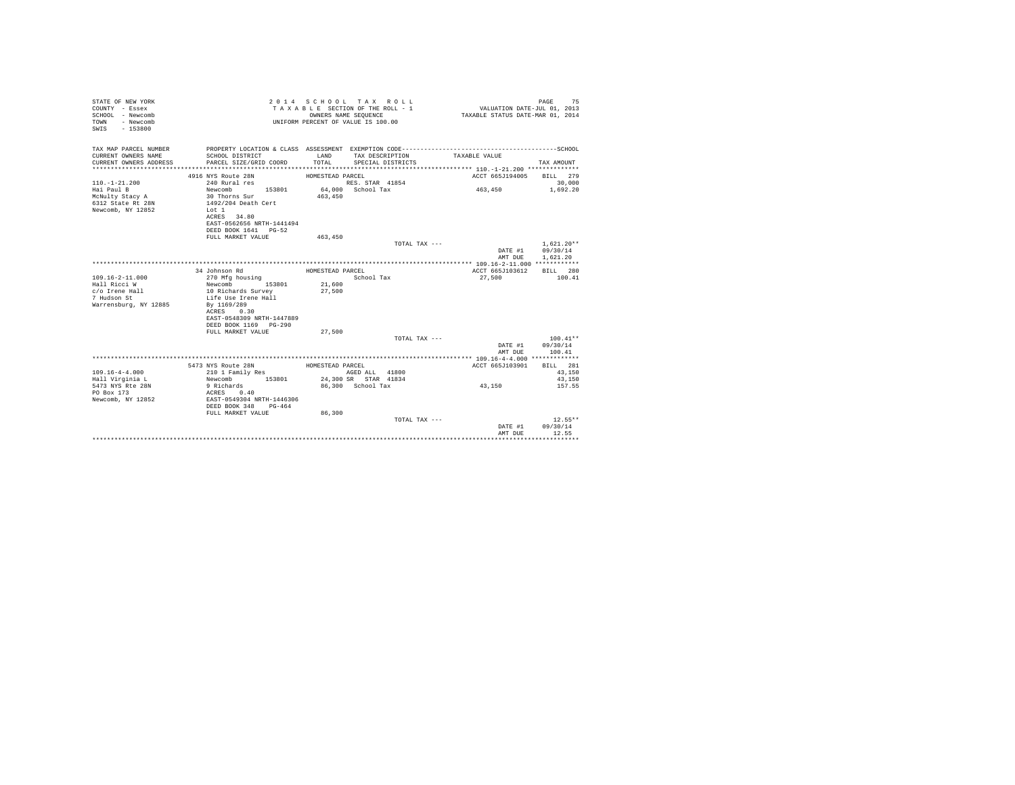| TAX MAP PARCEL NUMBER<br>CURRENT OWNERS NAME<br>SCHOOL DISTRICT<br>LAND<br>TAX DESCRIPTION<br>TAXABLE VALUE<br>TOTAL<br>CURRENT OWNERS ADDRESS<br>PARCEL SIZE/GRID COORD<br>SPECIAL DISTRICTS<br>TAX AMOUNT<br>***********************<br>4916 NYS Route 28N<br>ACCT 665J194005<br>BILL 279<br>HOMESTEAD PARCEL<br>$110. - 1 - 21.200$<br>240 Rural res<br>RES. STAR 41854<br>30,000<br>64,000 School Tax<br>463,450<br>Hai Paul B<br>Newcomb 153801<br>1,692.20<br>McNulty Stacy A<br>30 Thorns Sur<br>1492/204 Death Cert<br>463,450<br>6312 State Rt 28N<br>Newcomb, NY 12852<br>Lot 1<br>ACRES 34.80<br>EAST-0562656 NRTH-1441494<br>DEED BOOK 1641 PG-52<br>FULL MARKET VALUE<br>463,450<br>$1.621.20**$<br>TOTAL TAX ---<br>09/30/14<br>DATE #1<br>1,621.20<br>AMT DUE<br>ACCT 665J103612<br>34 Johnson Rd<br>HOMESTEAD PARCEL<br>BILL 280<br>$109.16 - 2 - 11.000$<br>School Tax<br>27,500<br>100.41<br>270 Mfg housing<br>21,600<br>Hall Ricci W<br>153801<br>Newcomb<br>c/o Irene Hall<br>27,500<br>10 Richards Survey<br>7 Hudson St<br>Life Use Irene Hall<br>Warrensburg, NY 12885<br>By 1169/289<br>ACRES 0.30<br>EAST-0548309 NRTH-1447889<br>DEED BOOK 1169 PG-290<br>FULL MARKET VALUE<br>27,500<br>$100.41**$<br>TOTAL TAX ---<br>09/30/14<br>DATE #1<br>AMT DUE<br>100.41<br>BILL 281<br>5473 NYS Route 28N<br>HOMESTEAD PARCEL<br>ACCT 665J103901<br>$109.16 - 4 - 4.000$<br>210 1 Family Res<br>AGED ALL 41800<br>43,150<br>24,300 SR STAR 41834<br>Newcomb 153801<br>Hall Virginia L<br>43,150<br>5473 NYS Rte 28N<br>9 Richards<br>86,300 School Tax<br>43,150<br>157.55<br>PO Box 173<br>ACRES 0.40<br>Newcomb, NY 12852<br>EAST-0549304 NRTH-1446306<br>DEED BOOK 348 PG-464<br>FULL MARKET VALUE<br>86,300<br>$12.55**$<br>TOTAL TAX ---<br>09/30/14<br>DATE #1<br>12.55<br>AMT DUE<br> | STATE OF NEW YORK<br>COUNTY - Essex<br>SCHOOL - Newcomb<br>- Newcomb<br>TOWN<br>$-153800$<br>SWIS |  | 2014 SCHOOL TAX ROLL<br>TAXABLE SECTION OF THE ROLL - 1<br>OWNERS NAME SEQUENCE<br>UNIFORM PERCENT OF VALUE IS 100.00 | VALUATION DATE-JUL 01, 2013<br>TAXABLE STATUS DATE-MAR 01, 2014 | 75<br>PAGE |
|------------------------------------------------------------------------------------------------------------------------------------------------------------------------------------------------------------------------------------------------------------------------------------------------------------------------------------------------------------------------------------------------------------------------------------------------------------------------------------------------------------------------------------------------------------------------------------------------------------------------------------------------------------------------------------------------------------------------------------------------------------------------------------------------------------------------------------------------------------------------------------------------------------------------------------------------------------------------------------------------------------------------------------------------------------------------------------------------------------------------------------------------------------------------------------------------------------------------------------------------------------------------------------------------------------------------------------------------------------------------------------------------------------------------------------------------------------------------------------------------------------------------------------------------------------------------------------------------------------------------------------------------------------------------------------------------------------------------------------------------------------------------------------------------------------------|---------------------------------------------------------------------------------------------------|--|-----------------------------------------------------------------------------------------------------------------------|-----------------------------------------------------------------|------------|
|                                                                                                                                                                                                                                                                                                                                                                                                                                                                                                                                                                                                                                                                                                                                                                                                                                                                                                                                                                                                                                                                                                                                                                                                                                                                                                                                                                                                                                                                                                                                                                                                                                                                                                                                                                                                                  |                                                                                                   |  |                                                                                                                       |                                                                 |            |
|                                                                                                                                                                                                                                                                                                                                                                                                                                                                                                                                                                                                                                                                                                                                                                                                                                                                                                                                                                                                                                                                                                                                                                                                                                                                                                                                                                                                                                                                                                                                                                                                                                                                                                                                                                                                                  |                                                                                                   |  |                                                                                                                       |                                                                 |            |
|                                                                                                                                                                                                                                                                                                                                                                                                                                                                                                                                                                                                                                                                                                                                                                                                                                                                                                                                                                                                                                                                                                                                                                                                                                                                                                                                                                                                                                                                                                                                                                                                                                                                                                                                                                                                                  |                                                                                                   |  |                                                                                                                       |                                                                 |            |
|                                                                                                                                                                                                                                                                                                                                                                                                                                                                                                                                                                                                                                                                                                                                                                                                                                                                                                                                                                                                                                                                                                                                                                                                                                                                                                                                                                                                                                                                                                                                                                                                                                                                                                                                                                                                                  |                                                                                                   |  |                                                                                                                       |                                                                 |            |
|                                                                                                                                                                                                                                                                                                                                                                                                                                                                                                                                                                                                                                                                                                                                                                                                                                                                                                                                                                                                                                                                                                                                                                                                                                                                                                                                                                                                                                                                                                                                                                                                                                                                                                                                                                                                                  |                                                                                                   |  |                                                                                                                       |                                                                 |            |
|                                                                                                                                                                                                                                                                                                                                                                                                                                                                                                                                                                                                                                                                                                                                                                                                                                                                                                                                                                                                                                                                                                                                                                                                                                                                                                                                                                                                                                                                                                                                                                                                                                                                                                                                                                                                                  |                                                                                                   |  |                                                                                                                       |                                                                 |            |
|                                                                                                                                                                                                                                                                                                                                                                                                                                                                                                                                                                                                                                                                                                                                                                                                                                                                                                                                                                                                                                                                                                                                                                                                                                                                                                                                                                                                                                                                                                                                                                                                                                                                                                                                                                                                                  |                                                                                                   |  |                                                                                                                       |                                                                 |            |
|                                                                                                                                                                                                                                                                                                                                                                                                                                                                                                                                                                                                                                                                                                                                                                                                                                                                                                                                                                                                                                                                                                                                                                                                                                                                                                                                                                                                                                                                                                                                                                                                                                                                                                                                                                                                                  |                                                                                                   |  |                                                                                                                       |                                                                 |            |
|                                                                                                                                                                                                                                                                                                                                                                                                                                                                                                                                                                                                                                                                                                                                                                                                                                                                                                                                                                                                                                                                                                                                                                                                                                                                                                                                                                                                                                                                                                                                                                                                                                                                                                                                                                                                                  |                                                                                                   |  |                                                                                                                       |                                                                 |            |
|                                                                                                                                                                                                                                                                                                                                                                                                                                                                                                                                                                                                                                                                                                                                                                                                                                                                                                                                                                                                                                                                                                                                                                                                                                                                                                                                                                                                                                                                                                                                                                                                                                                                                                                                                                                                                  |                                                                                                   |  |                                                                                                                       |                                                                 |            |
|                                                                                                                                                                                                                                                                                                                                                                                                                                                                                                                                                                                                                                                                                                                                                                                                                                                                                                                                                                                                                                                                                                                                                                                                                                                                                                                                                                                                                                                                                                                                                                                                                                                                                                                                                                                                                  |                                                                                                   |  |                                                                                                                       |                                                                 |            |
|                                                                                                                                                                                                                                                                                                                                                                                                                                                                                                                                                                                                                                                                                                                                                                                                                                                                                                                                                                                                                                                                                                                                                                                                                                                                                                                                                                                                                                                                                                                                                                                                                                                                                                                                                                                                                  |                                                                                                   |  |                                                                                                                       |                                                                 |            |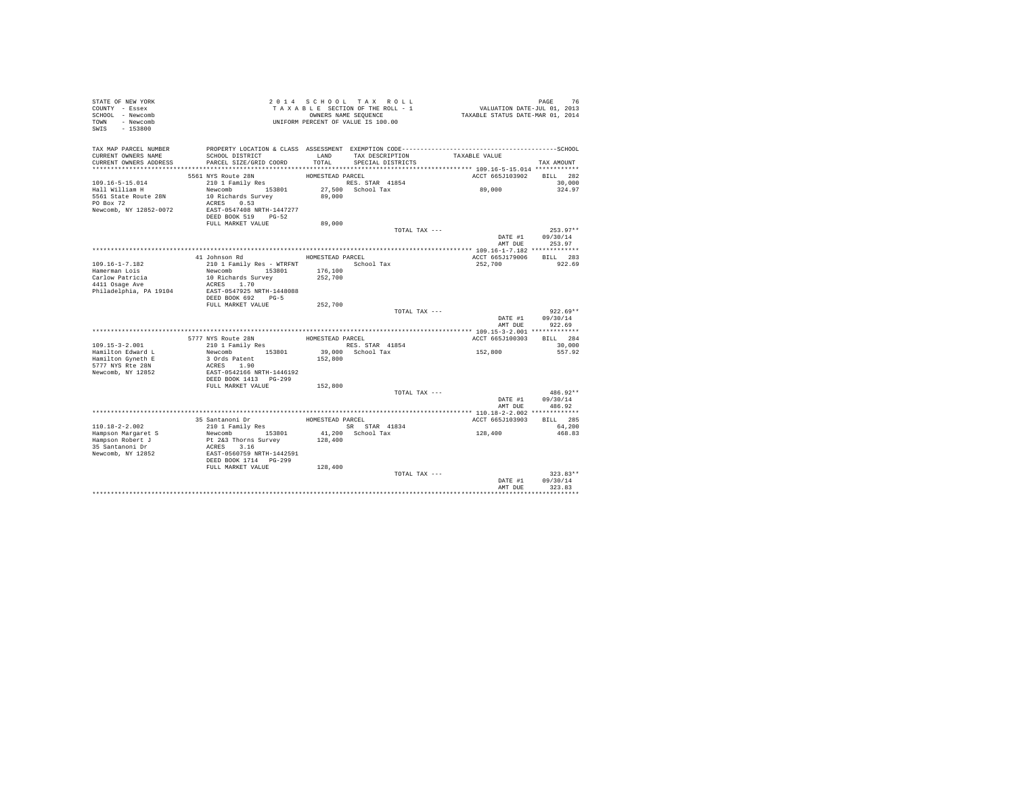| STATE OF NEW YORK<br>COUNTY - Essex<br>SCHOOL - Newcomb<br>TOWN - Newcomb<br>SWIS - 153800             |                                                                                                                                                  |                            | 2014 SCHOOL TAX ROLL<br>TAXABLE SECTION OF THE ROLL - 1<br>OWNERS NAME SEQUENCE<br>UNIFORM PERCENT OF VALUE IS 100.00 | PAGE 76<br>VALUATION DATE-JUL 01, 2013<br>TAXABLE STATUS DATE-MAR 01, 2014 |                                    |
|--------------------------------------------------------------------------------------------------------|--------------------------------------------------------------------------------------------------------------------------------------------------|----------------------------|-----------------------------------------------------------------------------------------------------------------------|----------------------------------------------------------------------------|------------------------------------|
| TAX MAP PARCEL NUMBER<br>CURRENT OWNERS NAME<br>CURRENT OWNERS ADDRESS                                 | SCHOOL DISTRICT<br>PARCEL SIZE/GRID COORD                                                                                                        | LAND<br>TOTAL              | TAX DESCRIPTION<br>SPECIAL DISTRICTS                                                                                  | TAXABLE VALUE                                                              | TAX AMOUNT                         |
|                                                                                                        |                                                                                                                                                  |                            |                                                                                                                       |                                                                            |                                    |
| $109.16 - 5 - 15.014$<br>Hall William H<br>5561 State Route 28N<br>PO Box 72<br>Newcomb, NY 12852-0072 | 5561 NYS Route 28N<br>210 1 Family Res<br>Newcomb 153801<br>10 Richards Survey<br>ACRES 0.53<br>EAST-0547408 NRTH-1447277<br>DEED BOOK 519 PG-52 | HOMESTEAD PARCEL<br>89,000 | RES. STAR 41854<br>27,500 School Tax                                                                                  | ACCT 665J103902 BILL 282<br>89,000                                         | 30,000<br>324.97                   |
|                                                                                                        | FULL MARKET VALUE                                                                                                                                | 89,000                     |                                                                                                                       |                                                                            |                                    |
|                                                                                                        |                                                                                                                                                  |                            | TOTAL TAX ---                                                                                                         |                                                                            | $253.97**$                         |
|                                                                                                        |                                                                                                                                                  |                            |                                                                                                                       |                                                                            | DATE #1 09/30/14<br>AMT DUE 253.97 |
|                                                                                                        |                                                                                                                                                  | HOMESTEAD PARCEL           |                                                                                                                       | ACCT 665J179006 BILL 283                                                   |                                    |
| $109.16 - 1 - 7.182$<br>Hamerman Lois                                                                  | 41 Johnson Rd<br>210 1 Family Res - WTRFNT School Tax<br>Newcomb 153801                                                                          | 176,100                    |                                                                                                                       | 252,700                                                                    | 922.69                             |
| Carlow Patricia                                                                                        | 10 Richards Survey                                                                                                                               | 252,700                    |                                                                                                                       |                                                                            |                                    |
| $4411$ Osage Ave<br>Philadelphia, PA 19104                                                             | ACRES 1.70<br>EAST-0547925 NRTH-1448088<br>DEED BOOK 692 PG-5                                                                                    |                            |                                                                                                                       |                                                                            |                                    |
|                                                                                                        | FULL MARKET VALUE                                                                                                                                | 252,700                    |                                                                                                                       |                                                                            |                                    |
|                                                                                                        |                                                                                                                                                  |                            | TOTAL TAX ---                                                                                                         | DATE #1<br>AMT DUR                                                         | $922.69**$<br>09/30/14<br>922.69   |
|                                                                                                        |                                                                                                                                                  |                            |                                                                                                                       |                                                                            |                                    |
|                                                                                                        | 5777 NYS Route 28N                                                                                                                               | HOMESTEAD PARCEL           |                                                                                                                       | ACCT 665J100303                                                            | BILL 284                           |
| $109.15 - 3 - 2.001$                                                                                   | 210 1 Family Res                                                                                                                                 |                            | RES. STAR 41854                                                                                                       | 152,800                                                                    | 30,000                             |
| Hamilton Edward L<br>Hamilton Gyneth E<br>5777 NYS Rte 28N<br>Newcomb, NY 12852                        | Newcomb 153801<br>3 Ords Patent<br>ACRES 1.90<br>EAST-0542166 NRTH-1446192                                                                       | 152,800                    | 39,000 School Tax                                                                                                     |                                                                            | 557.92                             |
|                                                                                                        | DEED BOOK 1413 PG-299<br>FULL MARKET VALUE                                                                                                       | 152,800                    |                                                                                                                       |                                                                            |                                    |
|                                                                                                        |                                                                                                                                                  |                            | TOTAL TAX ---                                                                                                         | DATE #1<br>AMT DUE                                                         | $486.92**$<br>09/30/14<br>486.92   |
|                                                                                                        |                                                                                                                                                  |                            |                                                                                                                       |                                                                            |                                    |
|                                                                                                        | 35 Santanoni Dr                                                                                                                                  | HOMESTEAD PARCEL           |                                                                                                                       | ACCT 665J103903                                                            | BILL 285                           |
| 110.18-2-2.002                                                                                         | $210$ 1 Family Res                                                                                                                               |                            | SR STAR 41834                                                                                                         |                                                                            | 64,200                             |
| Hampson Margaret S<br>Hampson Robert J<br>35 Santanoni Dr<br>Newcomb, NY 12852                         | Newcomb 153801<br>Pt 2&3 Thorns Survey<br>ACRES 3.16<br>EAST-0560759 NRTH-1442591<br>DEED BOOK 1714 PG-299                                       | 128,400                    | 41,200 School Tax                                                                                                     | 128,400                                                                    | 468.83                             |
|                                                                                                        | FULL MARKET VALUE                                                                                                                                | 128,400                    | TOTAL TAX ---                                                                                                         |                                                                            | $323.83**$                         |
|                                                                                                        |                                                                                                                                                  |                            |                                                                                                                       | DATE #1<br>AMT DUE                                                         | 09/30/14<br>323.83                 |
|                                                                                                        |                                                                                                                                                  |                            |                                                                                                                       |                                                                            |                                    |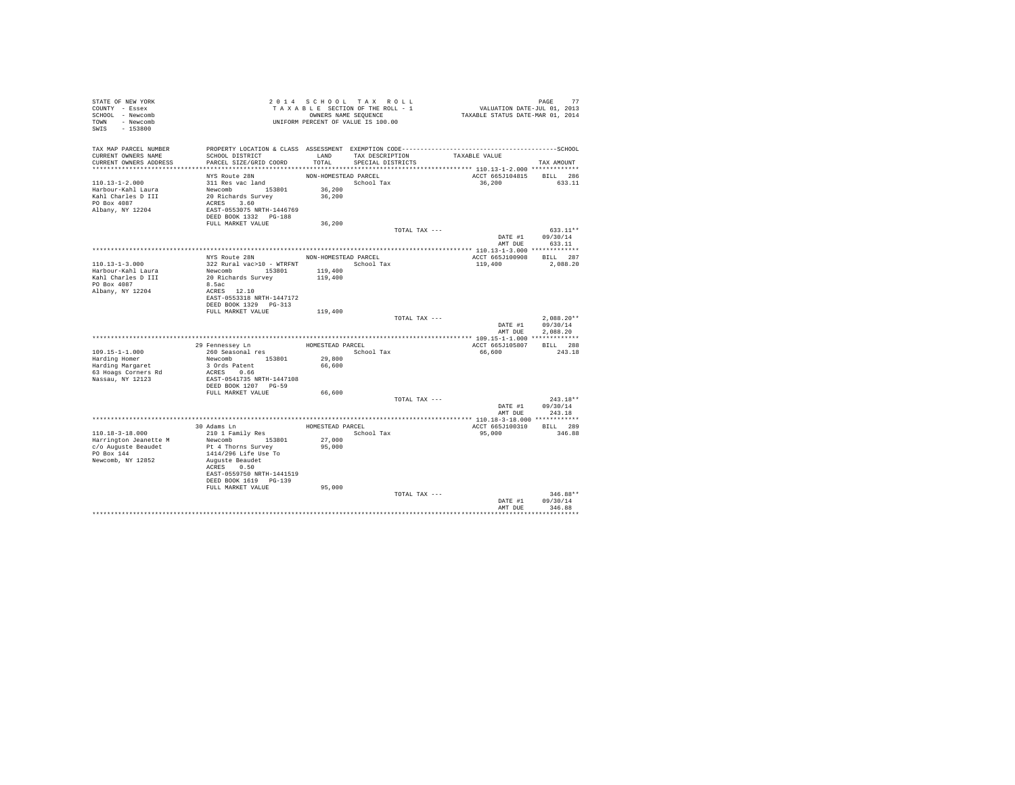| STATE OF NEW YORK<br>COUNTY - Essex<br>SCHOOL - Newcomb<br>TOWN - Newcomb<br>SWIS<br>$-153800$       |                                                                                                                                                        | 2014 SCHOOL TAX ROLL<br>TAXABLE SECTION OF THE ROLL - 1<br>OWNERS NAME SEQUENCE<br>UNIFORM PERCENT OF VALUE IS 100.00 |                                           |               | PAGE 77<br>VALUATION DATE-JUL 01, 2013<br>TAXABLE STATUS DATE-MAR 01, 2014 |                                          |
|------------------------------------------------------------------------------------------------------|--------------------------------------------------------------------------------------------------------------------------------------------------------|-----------------------------------------------------------------------------------------------------------------------|-------------------------------------------|---------------|----------------------------------------------------------------------------|------------------------------------------|
| TAX MAP PARCEL NUMBER<br>CURRENT OWNERS NAME<br>CURRENT OWNERS ADDRESS                               | SCHOOL DISTRICT<br>PARCEL SIZE/GRID COORD                                                                                                              | TOTAL                                                                                                                 | LAND TAX DESCRIPTION<br>SPECIAL DISTRICTS |               | TAXABLE VALUE                                                              | TAX AMOUNT                               |
|                                                                                                      | NYS Route 28N                                                                                                                                          | NON-HOMESTEAD PARCEL                                                                                                  |                                           |               | ACCT 665J104815                                                            | BILL 286                                 |
| $110.13 - 1 - 2.000$<br>Harbour-Kahl Laura<br>Kahl Charles D III<br>PO Box 4087<br>Albany, NY 12204  | 311 Res vac land<br>Newcomb 153801<br>20 Richards Survey<br>ACRES 3.60<br>EAST-0553075 NRTH-1446769<br>DEED BOOK 1332    PG-188                        | 36,200<br>36,200                                                                                                      | School Tax                                |               | 36,200                                                                     | 633.11                                   |
|                                                                                                      | FULL MARKET VALUE                                                                                                                                      | 36,200                                                                                                                |                                           |               |                                                                            |                                          |
|                                                                                                      |                                                                                                                                                        |                                                                                                                       |                                           | TOTAL TAX --- | DATE #1<br>AMT DUE                                                         | 633.11**<br>09/30/14<br>633.11           |
|                                                                                                      |                                                                                                                                                        |                                                                                                                       |                                           |               |                                                                            |                                          |
| $110.13 - 1 - 3.000$<br>Harbour-Kahl Laura                                                           | NYS Route 28N<br>322 Rural vac>10 - WTRFNT<br>Newcomb 153801                                                                                           | NON-HOMESTEAD PARCEL<br>119,400                                                                                       | School Tax                                |               | ACCT 665J100908<br>119,400                                                 | BILL 287<br>2,088.20                     |
| Kahl Charles D III<br>PO Box 4087<br>Albany, NY 12204                                                | 20 Richards Survey<br>8.5ac<br>ACRES 12.10<br>EAST-0553318 NRTH-1447172                                                                                | 119,400                                                                                                               |                                           |               |                                                                            |                                          |
|                                                                                                      | DEED BOOK 1329 PG-313                                                                                                                                  |                                                                                                                       |                                           |               |                                                                            |                                          |
|                                                                                                      | FULL MARKET VALUE                                                                                                                                      | 119,400                                                                                                               |                                           | TOTAL TAX --- | DATE #1<br>AMT DUE                                                         | $2.088.20**$<br>09/30/14<br>2.088.20     |
|                                                                                                      |                                                                                                                                                        |                                                                                                                       |                                           |               |                                                                            |                                          |
| $109.15 - 1 - 1.000$<br>Harding Homer<br>Harding Margaret<br>63 Hoags Corners Rd<br>Nassau, NY 12123 | 29 Fennessey Ln<br>260 Seasonal res<br>Newcomb 153801<br>3 Ords Patent<br>ACRES 0.66<br>EAST-0541735 NRTH-1447108<br>DEED BOOK 1207 PG-59              | HOMESTEAD PARCEL<br>29,800<br>66,600                                                                                  | School Tax                                |               | ACCT 665J105807<br>66,600                                                  | BILL 288<br>243.18                       |
|                                                                                                      | FULL MARKET VALUE                                                                                                                                      | 66,600                                                                                                                |                                           |               |                                                                            |                                          |
|                                                                                                      |                                                                                                                                                        |                                                                                                                       |                                           | TOTAL TAX --- | DATE #1                                                                    | $243.18**$<br>09/30/14<br>AMT DUE 243.18 |
|                                                                                                      |                                                                                                                                                        |                                                                                                                       |                                           |               |                                                                            |                                          |
| 110.18-3-18.000<br>Harrington Jeanette M                                                             | 30 Adams Ln<br>210 1 Family Res<br>Newcomb 153801                                                                                                      | HOMESTEAD PARCEL<br>27,000                                                                                            | School Tax                                |               | ACCT 665J100310<br>95,000                                                  | BILL 289<br>346.88                       |
| c/o Auguste Beaudet<br>PO Box 144<br>Newcomb, NY 12852                                               | Pt 4 Thorns Survey<br>1414/296 Life Use To<br>Auguste Beaudet<br>ACRES 0.50<br>EAST-0559750 NRTH-1441519<br>DEED BOOK 1619 PG-139<br>FULL MARKET VALUE | 95,000<br>95,000                                                                                                      |                                           |               |                                                                            |                                          |
|                                                                                                      |                                                                                                                                                        |                                                                                                                       |                                           | TOTAL TAX --- |                                                                            | $346.88**$                               |
|                                                                                                      |                                                                                                                                                        |                                                                                                                       |                                           |               | DATE #1<br>AMT DUE                                                         | 09/30/14<br>346.88<br>***********        |
|                                                                                                      |                                                                                                                                                        |                                                                                                                       |                                           |               |                                                                            |                                          |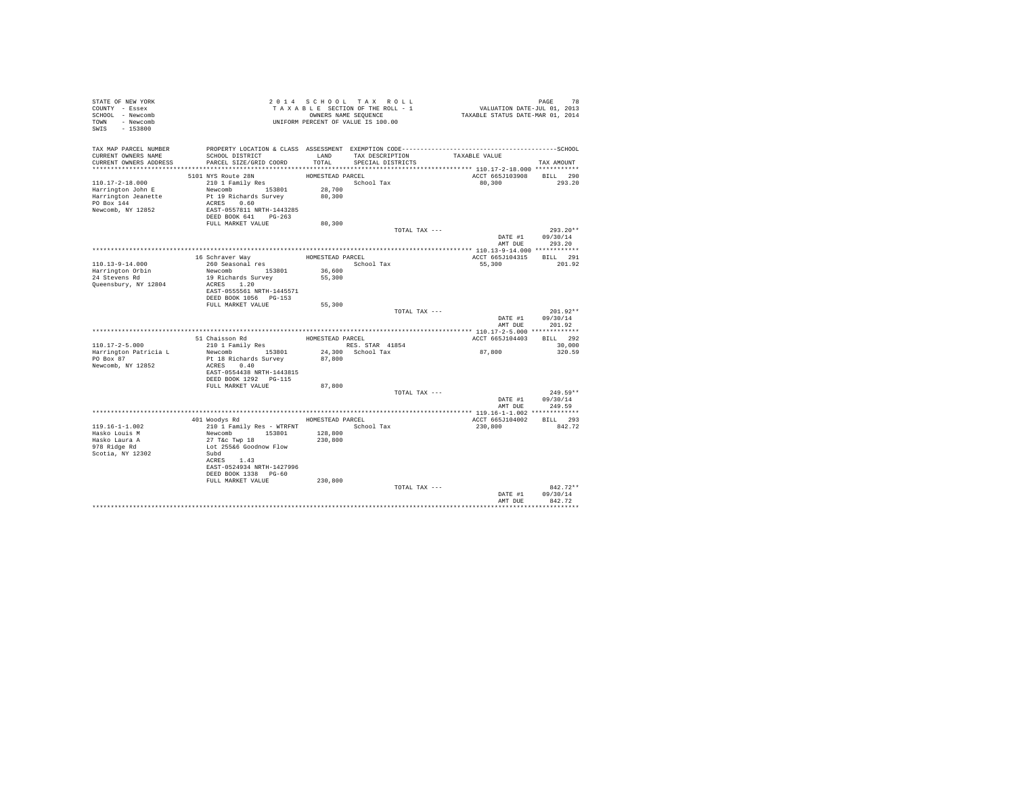| STATE OF NEW YORK<br>COUNTY - Essex<br>SCHOOL - Newcomb |                                                                                                                 |                      | 2014 SCHOOL TAX ROLL<br>TAXABLE SECTION OF THE ROLL - 1<br>OWNERS NAME SEQUENCE | 78 PAGE 78<br>VALUATION DATE-JUL 01, 2013<br>TAXABLE STATUS DATE-MAR 01, 2014 |                            |
|---------------------------------------------------------|-----------------------------------------------------------------------------------------------------------------|----------------------|---------------------------------------------------------------------------------|-------------------------------------------------------------------------------|----------------------------|
| TOWN - Newcomb<br>SWIS - 153800                         |                                                                                                                 |                      | UNIFORM PERCENT OF VALUE IS 100.00                                              |                                                                               |                            |
| TAX MAP PARCEL NUMBER<br>CURRENT OWNERS NAME            | PROPERTY LOCATION & CLASS ASSESSMENT EXEMPTION CODE-----------------------------------SCHOOL<br>SCHOOL DISTRICT |                      | LAND TAX DESCRIPTION                                                            | TAXABLE VALUE                                                                 |                            |
| CURRENT OWNERS ADDRESS                                  | PARCEL SIZE/GRID COORD                                                                                          | TOTAL.               | SPECIAL DISTRICTS                                                               |                                                                               | TAX AMOUNT                 |
|                                                         | 5101 NYS Route 28N                                                                                              | HOMESTEAD PARCEL     |                                                                                 | ACCT 665J103908 BILL 290                                                      |                            |
| $110.17 - 2 - 18.000$                                   | 210 1 Family Res                                                                                                |                      | School Tax                                                                      | 80.300                                                                        | 293.20                     |
| Harrington John E                                       | Newcomb 153801 28,700                                                                                           |                      |                                                                                 |                                                                               |                            |
| Harrington Jeanette                                     | Pt 19 Richards Survey                                                                                           | 80,300               |                                                                                 |                                                                               |                            |
| PO Box 144                                              | ACRES 0.60                                                                                                      |                      |                                                                                 |                                                                               |                            |
| Newcomb, NY 12852                                       | EAST-0557811 NRTH-1443285                                                                                       |                      |                                                                                 |                                                                               |                            |
|                                                         | DEED BOOK 641 PG-263                                                                                            |                      |                                                                                 |                                                                               |                            |
|                                                         | FULL MARKET VALUE                                                                                               | 80,300               |                                                                                 |                                                                               |                            |
|                                                         |                                                                                                                 |                      | TOTAL TAX ---                                                                   |                                                                               | $293.20**$                 |
|                                                         |                                                                                                                 |                      |                                                                                 | DATE #1                                                                       | 09/30/14<br>AMT DUE 293.20 |
|                                                         |                                                                                                                 |                      |                                                                                 |                                                                               |                            |
|                                                         | 16 Schraver Way                                                                                                 | HOMESTEAD PARCEL     |                                                                                 | ACCT 665J104315 BILL 291                                                      |                            |
| 110.13-9-14.000                                         | 260 Seasonal res                                                                                                |                      | School Tax                                                                      | 55,300                                                                        | 201.92                     |
|                                                         | Newcomb 153801                                                                                                  | $\bf 36$ , $\bf 600$ |                                                                                 |                                                                               |                            |
| Harrington Orbin<br>24 Stevens Rd                       | 19 Richards Survey                                                                                              | 55,300               |                                                                                 |                                                                               |                            |
| Queensbury, NY 12804                                    | ACRES 1.20                                                                                                      |                      |                                                                                 |                                                                               |                            |
|                                                         | EAST-0555561 NRTH-1445571                                                                                       |                      |                                                                                 |                                                                               |                            |
|                                                         | DEED BOOK 1056 PG-153<br>FULL MARKET VALUE                                                                      | 55,300               |                                                                                 |                                                                               |                            |
|                                                         |                                                                                                                 |                      | TOTAL TAX ---                                                                   |                                                                               | $201.92**$                 |
|                                                         |                                                                                                                 |                      |                                                                                 | DATE #1                                                                       | 09/30/14                   |
|                                                         |                                                                                                                 |                      |                                                                                 | AMT DUE                                                                       | 201.92                     |
|                                                         |                                                                                                                 |                      |                                                                                 |                                                                               |                            |
|                                                         | 51 Chaisson Rd                                                                                                  | HOMESTEAD PARCEL     |                                                                                 | ACCT 665J104403                                                               | BILL 292                   |
| $110.17 - 2 - 5.000$                                    | 210 1 Family Res                                                                                                |                      | RES. STAR 41854                                                                 |                                                                               | 30,000                     |
| Harrington Patricia L                                   | Newcomb 153801                                                                                                  |                      | 24,300 School Tax                                                               | 87,800                                                                        | 320.59                     |
| PO Box 87                                               | Pt 18 Richards Survey 87,800                                                                                    |                      |                                                                                 |                                                                               |                            |
| Newcomb, NY 12852                                       | ACRES 0.40<br>EAST-0554438 NRTH-1443815                                                                         |                      |                                                                                 |                                                                               |                            |
|                                                         | DEED BOOK 1292   PG-115                                                                                         |                      |                                                                                 |                                                                               |                            |
|                                                         | FULL MARKET VALUE                                                                                               | 87,800               |                                                                                 |                                                                               |                            |
|                                                         |                                                                                                                 |                      | TOTAL TAX ---                                                                   |                                                                               | $249.59**$                 |
|                                                         |                                                                                                                 |                      |                                                                                 |                                                                               | DATE #1 09/30/14           |
|                                                         |                                                                                                                 |                      |                                                                                 | AMT DUE                                                                       | 249.59                     |
|                                                         |                                                                                                                 |                      |                                                                                 |                                                                               |                            |
|                                                         | 401 Woodys Rd                                                                                                   | HOMESTEAD PARCEL     |                                                                                 | ACCT 665J104002 BILL 293                                                      |                            |
| $119.16 - 1 - 1.002$                                    | 210 1 Family Res - WTRFNT                                                                                       |                      | School Tax                                                                      | 230,800                                                                       | 842.72                     |
| Hasko Louis M<br>Hasko Laura A                          | Newcomb 153801<br>27 T&C Twp 18                                                                                 | 128,800<br>230,800   |                                                                                 |                                                                               |                            |
| 978 Ridge Rd                                            | Lot 255&6 Goodnow Flow                                                                                          |                      |                                                                                 |                                                                               |                            |
| Scotia, NY 12302                                        | Subd                                                                                                            |                      |                                                                                 |                                                                               |                            |
|                                                         | ACRES 1.43                                                                                                      |                      |                                                                                 |                                                                               |                            |
|                                                         | EAST-0524934 NRTH-1427996                                                                                       |                      |                                                                                 |                                                                               |                            |
|                                                         | DEED BOOK 1338 PG-60                                                                                            |                      |                                                                                 |                                                                               |                            |
|                                                         | FULL MARKET VALUE                                                                                               | 230,800              |                                                                                 |                                                                               |                            |
|                                                         |                                                                                                                 |                      | TOTAL TAX ---                                                                   |                                                                               | $842.72**$                 |
|                                                         |                                                                                                                 |                      |                                                                                 | DATE #1<br>AMT DUE                                                            | 09/30/14<br>842.72         |
|                                                         |                                                                                                                 |                      |                                                                                 |                                                                               |                            |
|                                                         |                                                                                                                 |                      |                                                                                 |                                                                               |                            |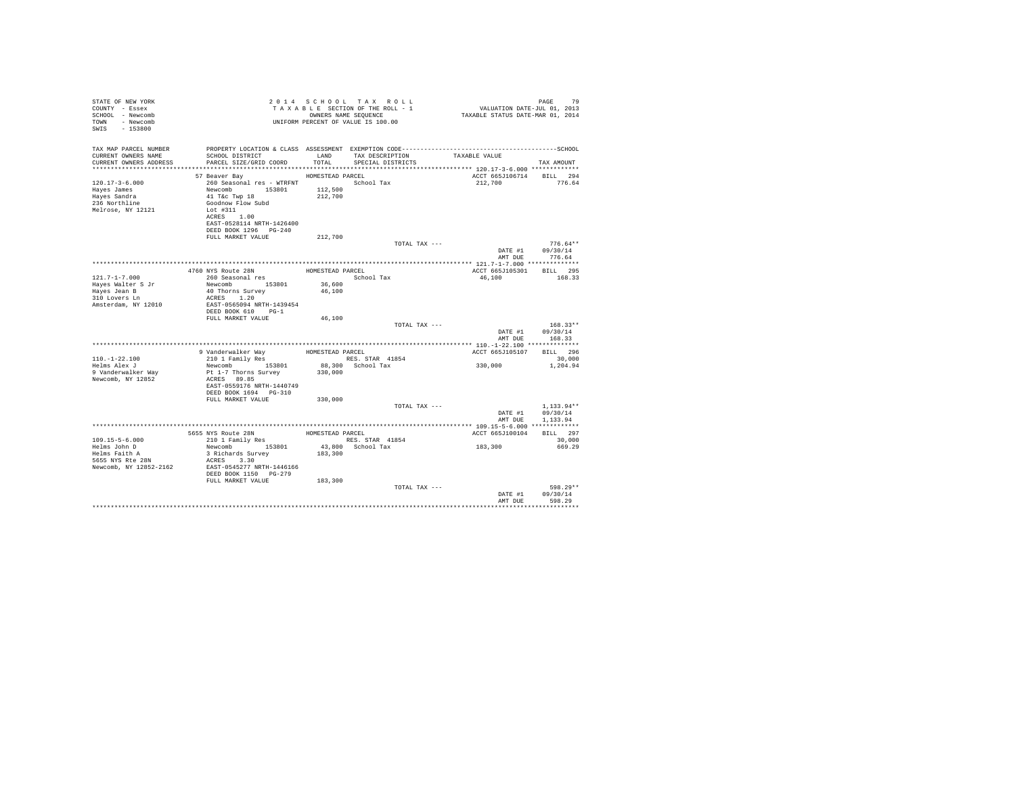| STATE OF NEW YORK<br>COUNTY - Essex<br>SCHOOL - Newcomb<br>TOWN - Newcomb<br>SWIS - 153800 |                                                                                                                                                                                                                                                                                                                                                                                                                                                                      |         | UNIFORM PERCENT OF VALUE IS 100.00 | $\begin{tabular}{lllllllllllllllllll} & $\mathbb{P} \, \mathtt{A} \, \mathtt{C} \, \mathtt{A} \, \mathtt{C} \, \mathtt{A} \, \mathtt{A} \, \mathtt{C} \, \mathtt{A} \, \mathtt{A} \, \mathtt{C} \, \mathtt{A} \, \mathtt{A} \, \mathtt{A} \, \mathtt{A} \, \mathtt{A} \, \mathtt{D} \, \mathtt{A} \, \mathtt{C} \, \mathtt{A} \, \mathtt{A} \, \mathtt{A} \, \mathtt{A} \, \mathtt{A} \, \mathtt{A} \, \mathtt$ |                                          |
|--------------------------------------------------------------------------------------------|----------------------------------------------------------------------------------------------------------------------------------------------------------------------------------------------------------------------------------------------------------------------------------------------------------------------------------------------------------------------------------------------------------------------------------------------------------------------|---------|------------------------------------|-----------------------------------------------------------------------------------------------------------------------------------------------------------------------------------------------------------------------------------------------------------------------------------------------------------------------------------------------------------------------------------------------------------------|------------------------------------------|
| TAX MAP PARCEL NUMBER<br>CURRENT OWNERS NAME<br>CURRENT OWNERS ADDRESS                     |                                                                                                                                                                                                                                                                                                                                                                                                                                                                      |         |                                    | PROPERTY LOCATION & CLASS ASSESSMENT EXEMPTION CODE-----------------------------------SCHOOL                                                                                                                                                                                                                                                                                                                    | TAX AMOUNT                               |
|                                                                                            | HOMESTEAD PARCEL<br>57 Beaver Bay                                                                                                                                                                                                                                                                                                                                                                                                                                    |         |                                    | ACCT 665J106714 BILL 294                                                                                                                                                                                                                                                                                                                                                                                        |                                          |
| $120.17 - 3 - 6.000$<br>Hayes James<br>Hayes Sandra<br>236 Northline<br>Melrose, NY 12121  | 260 Seasonal res - WTRFNT<br>Newcomb 153801 112,500<br>41 Tác Twp 18 212,700<br>Goodnow Flow Subd<br>Lot #311<br>ACRES 1.00<br>EAST-0528114 NRTH-1426400<br>DEED BOOK 1296 PG-240                                                                                                                                                                                                                                                                                    |         |                                    | 212,700                                                                                                                                                                                                                                                                                                                                                                                                         | 776.64                                   |
|                                                                                            | FULL MARKET VALUE                                                                                                                                                                                                                                                                                                                                                                                                                                                    | 212,700 |                                    |                                                                                                                                                                                                                                                                                                                                                                                                                 |                                          |
|                                                                                            |                                                                                                                                                                                                                                                                                                                                                                                                                                                                      |         | TOTAL TAX ---                      | AMT DUE                                                                                                                                                                                                                                                                                                                                                                                                         | $776.64**$<br>DATE #1 09/30/14<br>776.64 |
|                                                                                            |                                                                                                                                                                                                                                                                                                                                                                                                                                                                      |         |                                    |                                                                                                                                                                                                                                                                                                                                                                                                                 |                                          |
|                                                                                            |                                                                                                                                                                                                                                                                                                                                                                                                                                                                      |         |                                    | ACCT 665J105301 BILL 295                                                                                                                                                                                                                                                                                                                                                                                        |                                          |
| $121.7 - 1 - 7.000$<br>Hayes Walter S Jr<br>Hayes Jean B<br>310 Lovers Ln                  | 4760 NYS Route 28N HOMESTEAD PARCEL<br>260 Seasonal res Robert Schou<br>Newcomb 153801 36,600<br>40 Thorns Survey<br>ACRES 1.20                                                                                                                                                                                                                                                                                                                                      | 46,100  | School Tax                         | 46,100                                                                                                                                                                                                                                                                                                                                                                                                          | 168.33                                   |
| Amsterdam, NY 12010                                                                        | EAST-0565094 NRTH-1439454<br>DEED BOOK 610 PG-1<br>FULL MARKET VALUE                                                                                                                                                                                                                                                                                                                                                                                                 | 46,100  |                                    |                                                                                                                                                                                                                                                                                                                                                                                                                 |                                          |
|                                                                                            |                                                                                                                                                                                                                                                                                                                                                                                                                                                                      |         | TOTAL TAX ---                      | AMT DUE                                                                                                                                                                                                                                                                                                                                                                                                         | $168.33**$<br>DATE #1 09/30/14<br>168.33 |
|                                                                                            |                                                                                                                                                                                                                                                                                                                                                                                                                                                                      |         |                                    |                                                                                                                                                                                                                                                                                                                                                                                                                 |                                          |
|                                                                                            |                                                                                                                                                                                                                                                                                                                                                                                                                                                                      |         |                                    | ACCT 665J105107 BILL 296                                                                                                                                                                                                                                                                                                                                                                                        |                                          |
| $110.-1-22.100$                                                                            |                                                                                                                                                                                                                                                                                                                                                                                                                                                                      |         |                                    |                                                                                                                                                                                                                                                                                                                                                                                                                 | 30,000                                   |
| Helms Alex J<br>9 Vanderwalker Way<br>Newcomb, NY 12852                                    | % 9 Vanderwalker Way = HOMESTEAD PARCEL<br>210 1 Family Res = RES. STAR 41854<br>Newcomb = 153801 = 88,300 School Tax<br>Pt 1-7 Thorns Survey = 330,000<br>ACRES 89.85<br>EAST-0559176 NRTH-1440749<br>DEED BOOK 1694 PG-310<br>FULL MARKET VALUE                                                                                                                                                                                                                    | 330,000 |                                    | 330,000                                                                                                                                                                                                                                                                                                                                                                                                         | 1,204.94                                 |
|                                                                                            |                                                                                                                                                                                                                                                                                                                                                                                                                                                                      |         | TOTAL TAX ---                      |                                                                                                                                                                                                                                                                                                                                                                                                                 | $1.133.94**$                             |
|                                                                                            |                                                                                                                                                                                                                                                                                                                                                                                                                                                                      |         |                                    | DATE #1<br>AMT DUE                                                                                                                                                                                                                                                                                                                                                                                              | 09/30/14<br>1,133.94                     |
|                                                                                            |                                                                                                                                                                                                                                                                                                                                                                                                                                                                      |         |                                    | ACCT 665J100104 BILL 297                                                                                                                                                                                                                                                                                                                                                                                        |                                          |
| 109.15-5-6.000<br>Helms John D                                                             |                                                                                                                                                                                                                                                                                                                                                                                                                                                                      |         |                                    |                                                                                                                                                                                                                                                                                                                                                                                                                 | 30,000<br>669.29                         |
| Helms Faith A<br>5655 NYS Rte 28N                                                          | ${\footnotesize \begin{tabular}{lcccc} 5655 MYS \textit{Route 28N} & \textit{HOMISTRAD PARCEL} & \textit{ROCLE} & \textit{N93-15-6-0} & \textit{N15-5-6} \\ 210 & 1 & 1 & 2 \text{min}1 \text{y} & \textit{RES. STAR} & 41854 & \textit{RCCT 665J1001} \\ \textit{Newcomb} & 153801 & 43, 800 & \textit{School Tax} & 183, 300 \\ 3 & \textit{RichardS Survey} & 183, 300 & 183, 300 &$<br>Newcomb, NY 12852-2162 EAST-0545277 NRTH-1446166<br>DEED BOOK 1150 PG-279 |         |                                    |                                                                                                                                                                                                                                                                                                                                                                                                                 |                                          |
|                                                                                            | FULL MARKET VALUE 183,300                                                                                                                                                                                                                                                                                                                                                                                                                                            |         | TOTAL TAX ---                      | AMT DUE                                                                                                                                                                                                                                                                                                                                                                                                         | 598.29**<br>DATE #1 09/30/14<br>598.29   |
|                                                                                            |                                                                                                                                                                                                                                                                                                                                                                                                                                                                      |         |                                    |                                                                                                                                                                                                                                                                                                                                                                                                                 |                                          |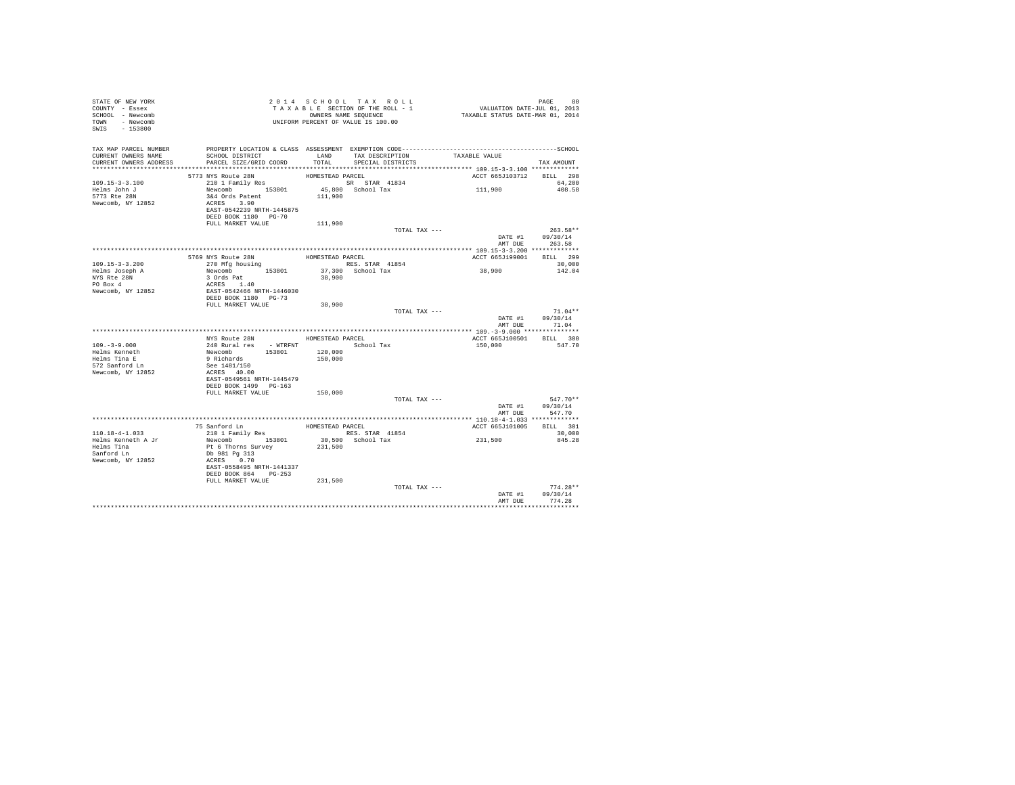| STATE OF NEW YORK<br>COUNTY - Essex<br>SCHOOL - Newcomb<br>TOWN - Newcomb<br>SWIS - 153800 | 2014 SCHUUL 1 AA SEEPTE ROLL - 1<br>TAXABLE SECTION OF THE ROLL - 1<br>OWNERS NAME SEQUENCE<br>UNIFORM PERCENT OF VALUE IS 100.00                                                       |                  |                                                | PAGE 80<br>VALUATION DATE-JUL 01, 2013<br>TAXABLE STATUS DATE-MAR 01, 2014 |                                                  |
|--------------------------------------------------------------------------------------------|-----------------------------------------------------------------------------------------------------------------------------------------------------------------------------------------|------------------|------------------------------------------------|----------------------------------------------------------------------------|--------------------------------------------------|
| CURRENT OWNERS NAME                                                                        | TAX MAP PARCEL NUMBER THE PROPERTY LOCATION & CLASS ASSESSMENT EXEMPTION CODE--------------------------------SCHOOL<br>SCHOOL DISTRICT<br>CURRENT OWNERS ADDRESS PARCEL SIZE/GRID COORD |                  | TOTAL SPECIAL DISTRICTS                        | LAND TAX DESCRIPTION TAXABLE VALUE                                         | TAX AMOUNT                                       |
|                                                                                            | 5773 NYS Route 28N                                                                                                                                                                      | HOMESTEAD PARCEL |                                                | ACCT 665J103712 BILL 298                                                   |                                                  |
| $109.15 - 3 - 3.100$<br>Helms John J<br>5773 Rte 28N<br>Newcomb, NY 12852                  | 210 1 Family Res 153801 11,900 School Tax<br>Newcomb 153801 45,800 School Tax<br>344 Ords Patent 111,900<br>3&4 Ords Patent<br>ACRES 3.90<br>EAST-0542239 NRTH-1445875                  |                  |                                                | 111,900                                                                    | 64,200<br>408.58                                 |
|                                                                                            | DEED BOOK 1180 PG-70                                                                                                                                                                    |                  |                                                |                                                                            |                                                  |
|                                                                                            | FULL MARKET VALUE                                                                                                                                                                       | 111,900          | TOTAL TAX ---                                  |                                                                            | $263.58**$<br>DATE #1 09/30/14<br>AMT DUE 263.58 |
|                                                                                            |                                                                                                                                                                                         |                  |                                                |                                                                            |                                                  |
| 109.15-3-3.200<br>Helms Joseph A                                                           | 5769 NYS Route 28N<br>270 Mfg housing                                                                                                                                                   | HOMESTEAD PARCEL | RES. STAR 41854<br>37,300 School Tax<br>38,900 | ACCT 665J199001 BILL 299<br>38,900                                         | 30,000<br>142.04                                 |
| NYS Rte 28N<br>PO Box 4<br>Newcomb, NY 12852                                               | Newcomb<br>3 Ords Pat<br>ACRES 1.40<br>EAST-0542466 NRTH-1446030<br>DEED BOOK 1180 PG-73                                                                                                |                  |                                                |                                                                            |                                                  |
|                                                                                            | FULL MARKET VALUE                                                                                                                                                                       | 38,900           |                                                |                                                                            |                                                  |
|                                                                                            |                                                                                                                                                                                         |                  |                                                | TOTAL TAX ---                                                              | $71.04**$<br>DATE #1 09/30/14<br>AMT DUE 71.04   |
|                                                                                            | NYS Route 28N HOMESTEAD PARCEL                                                                                                                                                          |                  |                                                |                                                                            |                                                  |
| $109. - 3 - 9.000$                                                                         |                                                                                                                                                                                         |                  |                                                | ACCT 665J100501 BILL 300<br>150.000 547.70                                 |                                                  |
| Helms Kenneth<br>Helms Tina E<br>572 Sanford Ln<br>Newcomb, NY 12852                       | 240 Rural Pes<br>Newcomb 153801 150,000<br>School Tax<br>School Tax<br>School Tax<br>School 153801 150,000<br>See 1481/150<br>ACRES 40.00<br>EAST-0549561 NRTH-1445479                  |                  |                                                |                                                                            |                                                  |
|                                                                                            | DEED BOOK 1499 PG-163<br>FULL MARKET VALUE 150,000                                                                                                                                      |                  |                                                |                                                                            |                                                  |
|                                                                                            |                                                                                                                                                                                         |                  |                                                | TOTAL TAX ---                                                              | $547.70**$<br>DATE #1 09/30/14                   |
|                                                                                            |                                                                                                                                                                                         |                  |                                                | AMT DUE                                                                    | 547.70                                           |
|                                                                                            |                                                                                                                                                                                         |                  |                                                | ACCT 665J101005 BILL 301                                                   |                                                  |
|                                                                                            |                                                                                                                                                                                         |                  |                                                | 231,500                                                                    | 30,000<br>845.28                                 |
|                                                                                            | EAST-0558495 NRTH-1441337<br>DEED BOOK 864 PG-253<br>FULL MARKET VALUE 231,500                                                                                                          |                  |                                                |                                                                            |                                                  |
|                                                                                            |                                                                                                                                                                                         |                  | TOTAL TAX ---                                  |                                                                            | $774.28**$                                       |
|                                                                                            |                                                                                                                                                                                         |                  |                                                |                                                                            | DATE #1 09/30/14<br>AMT DUE 774.28               |
|                                                                                            |                                                                                                                                                                                         |                  |                                                |                                                                            |                                                  |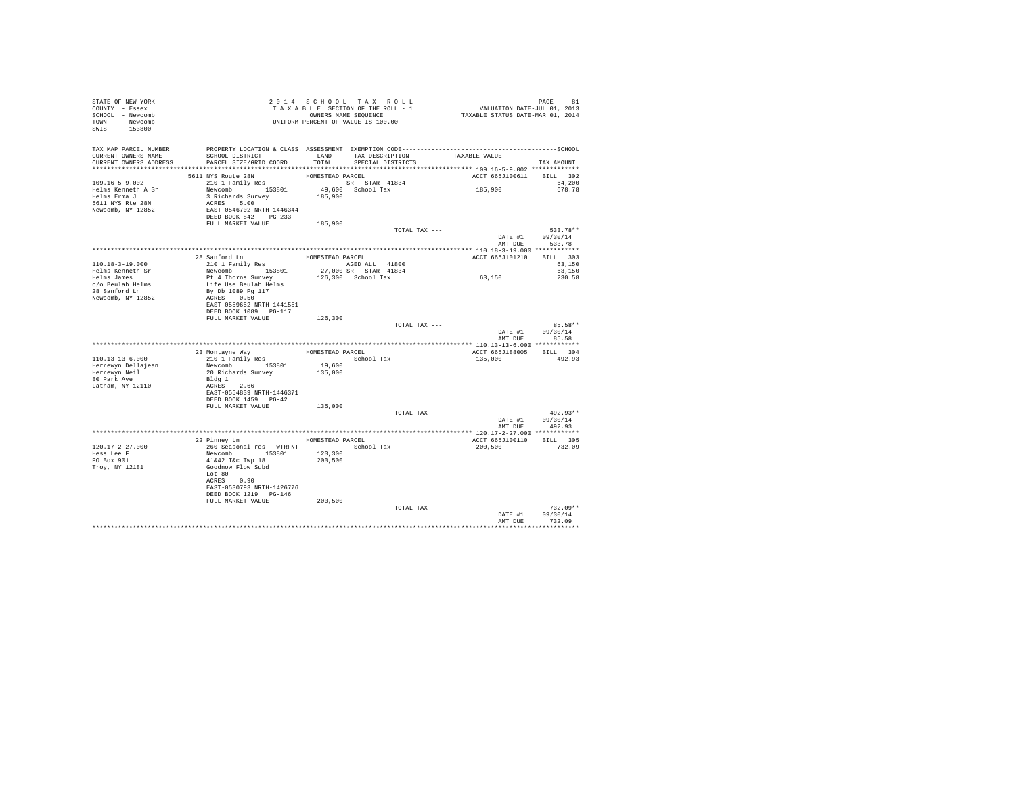| STATE OF NEW YORK<br>COUNTY - Essex<br>SCHOOL - Newcomb<br>TOWN - Newcomb<br>SWIS - 153800                                                                                                                                              | Z U 1 4 S U A U A U A U A A B L E SECTION OF THE ROLL - 1<br>T A X A B L E SECTION OF THE ROLL - 1<br>OWNERS NAME SEQUENCE<br>UNIFORM PERCENT OF VALUE IS 100.00                                                                                                                                                                                                                                                                                                                                                                          |         |                   |                                    | PAGE 81<br>VALUATION DATE-JUL 01, 2013<br>TAXABLE STATUS DATE-MAR 01, 2014 |                                          |
|-----------------------------------------------------------------------------------------------------------------------------------------------------------------------------------------------------------------------------------------|-------------------------------------------------------------------------------------------------------------------------------------------------------------------------------------------------------------------------------------------------------------------------------------------------------------------------------------------------------------------------------------------------------------------------------------------------------------------------------------------------------------------------------------------|---------|-------------------|------------------------------------|----------------------------------------------------------------------------|------------------------------------------|
| CURRENT OWNERS NAME<br>CURRENT OWNERS ADDRESS                                                                                                                                                                                           | SCHOOL DISTRICT<br>PARCEL SIZE/GRID COORD                                                                                                                                                                                                                                                                                                                                                                                                                                                                                                 | TOTAL   | SPECIAL DISTRICTS | LAND TAX DESCRIPTION TAXABLE VALUE |                                                                            | TAX AMOUNT                               |
|                                                                                                                                                                                                                                         |                                                                                                                                                                                                                                                                                                                                                                                                                                                                                                                                           |         |                   |                                    | ACCT 665J100611 BILL 302                                                   |                                          |
|                                                                                                                                                                                                                                         |                                                                                                                                                                                                                                                                                                                                                                                                                                                                                                                                           |         |                   |                                    | 185,900                                                                    | 64,200<br>678.78                         |
|                                                                                                                                                                                                                                         |                                                                                                                                                                                                                                                                                                                                                                                                                                                                                                                                           |         |                   |                                    |                                                                            |                                          |
|                                                                                                                                                                                                                                         |                                                                                                                                                                                                                                                                                                                                                                                                                                                                                                                                           |         |                   | TOTAL TAX ---                      | AMT DUE                                                                    | 533.78**<br>DATE #1 09/30/14<br>533.78   |
|                                                                                                                                                                                                                                         |                                                                                                                                                                                                                                                                                                                                                                                                                                                                                                                                           |         |                   |                                    | ACCT 665J101210 BILL 303                                                   |                                          |
| 110.18-3-19.000<br>Helms Kenneth Sr                                                                                                                                                                                                     |                                                                                                                                                                                                                                                                                                                                                                                                                                                                                                                                           |         |                   |                                    | 63,150                                                                     | 63,150<br>63,150                         |
| Helms James<br>c/o Beulah Helms<br>28 Sanford Ln<br>Newcomb, NY 12852                                                                                                                                                                   | $\begin{tabular}{lllllllllll} \multicolumn{2}{c}{28\text{ and }101\text{ Family Res}} & \multicolumn{2}{c}{\text{HOMESTERD PACEL}} & \multicolumn{2}{c}{\text{HOMESTERD PACEL}} & \multicolumn{2}{c}{\text{HOMESTERD PACEL}} & \multicolumn{2}{c}{\text{HOMISTERD PACEL}} & \multicolumn{2}{c}{\text{HOMISTERD PALL}} & \multicolumn{2}{c}{\text{HOMD} C} & \multicolumn{2}{c}{\text{HOMD} C} & \multicolumn{2}{c}{\text{HOMD} C} & \multicolumn{2}{c}{\text{$<br>EAST-0559652 NRTH-1441551<br>DEED BOOK 1089 PG-117<br>FULL MARKET VALUE | 126,300 |                   |                                    |                                                                            | 230.58                                   |
|                                                                                                                                                                                                                                         |                                                                                                                                                                                                                                                                                                                                                                                                                                                                                                                                           |         |                   | TOTAL TAX ---                      |                                                                            | 85.58**                                  |
|                                                                                                                                                                                                                                         |                                                                                                                                                                                                                                                                                                                                                                                                                                                                                                                                           |         |                   |                                    |                                                                            | DATE #1 09/30/14<br>AMT DUE 85.58        |
|                                                                                                                                                                                                                                         |                                                                                                                                                                                                                                                                                                                                                                                                                                                                                                                                           |         |                   |                                    |                                                                            |                                          |
|                                                                                                                                                                                                                                         |                                                                                                                                                                                                                                                                                                                                                                                                                                                                                                                                           |         |                   |                                    | ACCT 665J188005 BILL 304                                                   |                                          |
|                                                                                                                                                                                                                                         |                                                                                                                                                                                                                                                                                                                                                                                                                                                                                                                                           |         |                   |                                    | 135,000                                                                    | 492.93                                   |
| 110.13–13–6.000<br>23 Montayne Way HOMESTEAD PARCEL<br>Herrewyn Bellajean<br>Herrewyn Pellajean Newcomb 153801<br>Herrewyn Pellajean Newcomb 153801<br>Herrewyn Pellajean Newcomb 153801<br>20 Richards Survey 135,000<br>20 Richards S |                                                                                                                                                                                                                                                                                                                                                                                                                                                                                                                                           |         |                   |                                    |                                                                            |                                          |
|                                                                                                                                                                                                                                         | DEED BOOK 1459 PG-42<br>FULL MARKET VALUE 135,000                                                                                                                                                                                                                                                                                                                                                                                                                                                                                         |         |                   |                                    |                                                                            |                                          |
|                                                                                                                                                                                                                                         |                                                                                                                                                                                                                                                                                                                                                                                                                                                                                                                                           |         |                   | TOTAL TAX ---                      |                                                                            | $492.93**$                               |
|                                                                                                                                                                                                                                         |                                                                                                                                                                                                                                                                                                                                                                                                                                                                                                                                           |         |                   |                                    |                                                                            | DATE #1 09/30/14                         |
|                                                                                                                                                                                                                                         | 22 Pinney Ln MOMESTEAD PARCEL                                                                                                                                                                                                                                                                                                                                                                                                                                                                                                             |         |                   |                                    | AMT DUE<br>ACCT 665J100110 BILL 305                                        | 492.93                                   |
| 120.17-2-27.000                                                                                                                                                                                                                         |                                                                                                                                                                                                                                                                                                                                                                                                                                                                                                                                           |         |                   | School Tax                         | 200,500 732.09                                                             |                                          |
| Hess Lee F<br>PO Box 901<br>Troy, NY 12181                                                                                                                                                                                              | 22 Pillier pm<br>260 Seasonal res - WTRFNT<br>Newcomb 153801 120,300<br>41642 Tác Twp 18 200,500<br>Goodnow Flow Subd<br>Lot 80<br>ACRES 0.90<br>EAST-0530793 NRTH-1426776<br>DEED BOOK 1219 PG-146                                                                                                                                                                                                                                                                                                                                       |         |                   |                                    |                                                                            |                                          |
|                                                                                                                                                                                                                                         | FULL MARKET VALUE                                                                                                                                                                                                                                                                                                                                                                                                                                                                                                                         | 200,500 |                   |                                    |                                                                            |                                          |
|                                                                                                                                                                                                                                         |                                                                                                                                                                                                                                                                                                                                                                                                                                                                                                                                           |         |                   | TOTAL TAX ---                      | AMT DUE                                                                    | $732.09**$<br>DATE #1 09/30/14<br>732.09 |
|                                                                                                                                                                                                                                         |                                                                                                                                                                                                                                                                                                                                                                                                                                                                                                                                           |         |                   |                                    |                                                                            |                                          |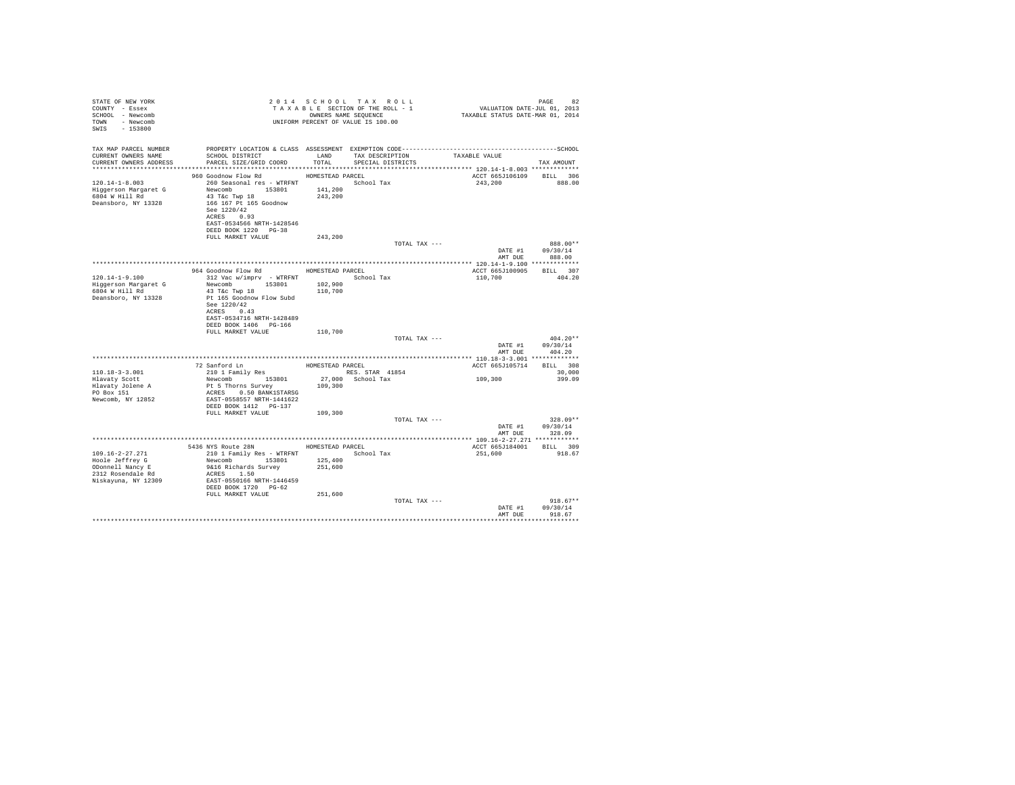| STATE OF NEW YORK<br>COUNTY - Essex<br>SCHOOL - Newcomb<br>TOWN - Newcomb<br>SWIS - 153800                            |                                                                                                             |                    | 2014 SCHOOL TAX ROLL<br>OWNERS NAME SEQUENCE<br>UNIFORM PERCENT OF VALUE IS 100.00 |               |                                     | 82<br>PAGE                 |
|-----------------------------------------------------------------------------------------------------------------------|-------------------------------------------------------------------------------------------------------------|--------------------|------------------------------------------------------------------------------------|---------------|-------------------------------------|----------------------------|
| TAX MAP PARCEL NUMBER<br>CURRENT OWNERS NAME<br>CURRENT OWNERS ADDRESS PARCEL SIZE/GRID COORD TOTAL SPECIAL DISTRICTS | SCHOOL DISTRICT TAND TAX DESCRIPTION                                                                        |                    |                                                                                    |               | TAXABLE VALUE                       | TAX AMOUNT                 |
| 120.14-1-8.003                                                                                                        | 960 Goodnow Flow Rd MOMESTEAD PARCEL<br>260 Seasonal res - WTRFNT March School Tax                          |                    |                                                                                    |               | ACCT 665J106109 BILL 306<br>243,200 | 888.00                     |
| Deansboro, NY 13328                                                                                                   | 166 167 Pt 165 Goodnow<br>See 1220/42<br>ACRES 0.93<br>EAST-0534566 NRTH-1428546<br>DEED BOOK 1220 PG-38    |                    |                                                                                    |               |                                     |                            |
|                                                                                                                       | FULL MARKET VALUE                                                                                           | 243,200            |                                                                                    | TOTAL TAX --- |                                     | 888.00**                   |
|                                                                                                                       |                                                                                                             |                    |                                                                                    |               | DATE #1<br>AMT DUE                  | 09/30/14<br>888.00         |
|                                                                                                                       |                                                                                                             |                    |                                                                                    |               |                                     |                            |
|                                                                                                                       | 964 Goodnow Flow Rd MOMESTEAD PARCEL                                                                        |                    |                                                                                    |               | ACCT 665J100905 BILL 307            |                            |
| $120.14 - 1 - 9.100$                                                                                                  | 312 Vac w/imprv - WTRFNT School Tax                                                                         |                    |                                                                                    |               | 110,700                             | 404.20                     |
| Higgerson Margaret G<br>6804 W Hill Rd                                                                                | Newcomb 153801<br>43 T&C Twp 18                                                                             | 102,900<br>110,700 |                                                                                    |               |                                     |                            |
| Deansboro, NY 13328                                                                                                   | Pt 165 Goodnow Flow Subd<br>See 1220/42<br>ACRES 0.43<br>EAST-0534716 NRTH-1428489<br>DEED BOOK 1406 PG-166 |                    |                                                                                    |               |                                     |                            |
|                                                                                                                       | FULL MARKET VALUE                                                                                           | 110,700            |                                                                                    |               |                                     |                            |
|                                                                                                                       |                                                                                                             |                    |                                                                                    | TOTAL TAX --- | DATE #1                             | $404.20**$<br>09/30/14     |
|                                                                                                                       |                                                                                                             |                    |                                                                                    |               | AMT DUE                             | 404.20                     |
|                                                                                                                       |                                                                                                             |                    |                                                                                    |               |                                     |                            |
|                                                                                                                       |                                                                                                             |                    |                                                                                    |               | ACCT 665J105714 BILL 308            |                            |
| 110.18-3-3.001                                                                                                        |                                                                                                             |                    |                                                                                    |               | 109,300                             | 30,000<br>399.09           |
| Hlavaty Scott                                                                                                         | Pt 5 Thorns Survey                                                                                          | 109,300            |                                                                                    |               |                                     |                            |
| Hlavaty Jolene A<br>PO Box 151<br>Newcomb, NY 12852                                                                   | ACRES 0.50 BANK1STARSG<br>EAST-0558557 NRTH-1441622<br>DEED BOOK 1412    PG-137                             |                    |                                                                                    |               |                                     |                            |
|                                                                                                                       | FULL MARKET VALUE                                                                                           | 109,300            |                                                                                    |               |                                     |                            |
|                                                                                                                       |                                                                                                             |                    |                                                                                    | TOTAL TAX --- |                                     | $328.09**$                 |
|                                                                                                                       |                                                                                                             |                    |                                                                                    |               | AMT DUE                             | DATE #1 09/30/14<br>328.09 |
|                                                                                                                       |                                                                                                             |                    |                                                                                    |               |                                     |                            |
|                                                                                                                       | 5436 NYS Route 28N HOMESTEAD PARCEL                                                                         |                    |                                                                                    |               | ACCT 665J184001 BILL 309            |                            |
| 109.16-2-27.271                                                                                                       | 210 1 Family Res - WTRFNT School Tax                                                                        |                    |                                                                                    |               | 251,600 918.67                      |                            |
| Hoole Jeffrey G                                                                                                       | Newcomb 153801                                                                                              | 125,400            |                                                                                    |               |                                     |                            |
| ODonnell Nancy E<br>$2312$ Rosendale Rd                                                                               | 9&16 Richards Survey<br>ACRES 1.50                                                                          | 251,600            |                                                                                    |               |                                     |                            |
| Niskayuna, NY 12309                                                                                                   | EAST-0550166 NRTH-1446459                                                                                   |                    |                                                                                    |               |                                     |                            |
|                                                                                                                       | DEED BOOK 1720 PG-62<br>FULL MARKET VALUE                                                                   | 251,600            |                                                                                    |               |                                     |                            |
|                                                                                                                       |                                                                                                             |                    |                                                                                    | TOTAL TAX --- |                                     | $918.67**$                 |
|                                                                                                                       |                                                                                                             |                    |                                                                                    |               | DATE #1                             | 09/30/14                   |
|                                                                                                                       |                                                                                                             |                    |                                                                                    |               | AMT DUE                             | 918.67                     |
|                                                                                                                       |                                                                                                             |                    |                                                                                    |               |                                     |                            |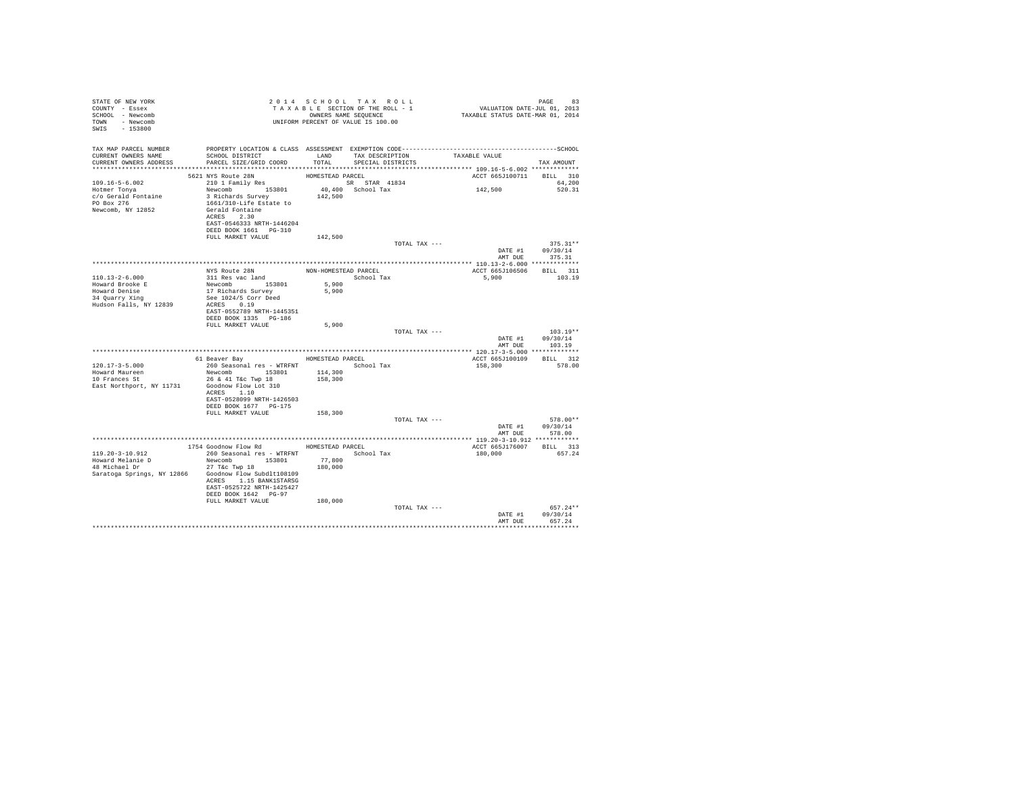| TOWN - Newcomb<br>UNIFORM PERCENT OF VALUE IS 100.00<br>SWIS - 153800                                 |                                    |
|-------------------------------------------------------------------------------------------------------|------------------------------------|
| TAX MAP PARCEL NUMBER<br>SCHOOL DISTRICT TAND TAX DESCRIPTION<br>CURRENT OWNERS NAME<br>TAXABLE VALUE |                                    |
| TOTAL<br>CURRENT OWNERS ADDRESS<br>PARCEL SIZE/GRID COORD<br>SPECIAL DISTRICTS                        | TAX AMOUNT                         |
|                                                                                                       |                                    |
|                                                                                                       | ACCT 665J100711 BILL 310           |
| 109.16-5-6.002<br>142,500<br>Newcomb 153801<br>40,400 School Tax<br>Hotmer Tonya                      | 64,200<br>520.31                   |
| 3 Richards Survey<br>142,500<br>c/o Gerald Fontaine                                                   |                                    |
| PO Box 276<br>1661/310-Life Estate to                                                                 |                                    |
| Newcomb, NY 12852<br>Gerald Fontaine                                                                  |                                    |
| ACRES 2.30                                                                                            |                                    |
| EAST-0546333 NRTH-1446204<br>DEED BOOK 1661 PG-310                                                    |                                    |
| FULL MARKET VALUE<br>142,500                                                                          |                                    |
| TOTAL TAX ---                                                                                         | $375.31**$                         |
|                                                                                                       | DATE #1 09/30/14                   |
|                                                                                                       | AMT DUE 375.31                     |
|                                                                                                       |                                    |
| $110.13 - 2 - 6.000$<br>5,900                                                                         | ACCT 665J106506 BILL 311<br>103.19 |
| Newcomb 153801<br>5,900<br>Howard Brooke E                                                            |                                    |
| 17 Richards Survey<br>Howard Denise<br>5,900                                                          |                                    |
| 34 Quarry Xing<br>See 1024/5 Corr Deed                                                                |                                    |
| Hudson Falls, NY 12839<br>ACRES 0.19                                                                  |                                    |
| EAST-0552789 NRTH-1445351<br>DEED BOOK 1335 PG-186                                                    |                                    |
| 5,900<br>FULL MARKET VALUE                                                                            |                                    |
| TOTAL TAX ---                                                                                         | $103.19**$                         |
|                                                                                                       | DATE #1 09/30/14                   |
|                                                                                                       | AMT DUR 103.19                     |
| 61 Beaver Bay MOMESTEAD PARCEL                                                                        | ACCT 665J100109 BILL 312           |
| 260 Seasonal res - WTRFNT <a></a> School Tax<br>$120.17 - 3 - 5.000$                                  | 158,300<br>578.00                  |
| Newcomb 153801<br>114,300<br>Howard Maureen                                                           |                                    |
| 158,300<br>10 Frances St<br>26 & 41 T&c Twp 18                                                        |                                    |
| East Northport, NY 11731<br>Goodnow Flow Lot 310                                                      |                                    |
| ACRES 1.10<br>EAST-0528099 NRTH-1426503                                                               |                                    |
| DEED BOOK 1677 PG-175                                                                                 |                                    |
| 158,300<br>FULL MARKET VALUE                                                                          |                                    |
| TOTAL TAX ---                                                                                         | 578.00**                           |
|                                                                                                       | DATE #1 09/30/14                   |
|                                                                                                       | AMT DUE<br>578.00                  |
| 1754 Goodnow Flow Rd MOMESTEAD PARCEL                                                                 | ACCT 665J176007 BILL 313           |
| 260 Seasonal res - WTRFNT               School Tax<br>119.20-3-10.912<br>180,000                      | 657.24                             |
| Newcomb 153801<br>77,800<br>Howard Melanie D                                                          |                                    |
| Abward Meranic D Mercedae 27 T&C Twp 18<br>180,000                                                    |                                    |
| Saratoga Springs, NY 12866 Goodnow Flow Subdlt108109                                                  |                                    |
| ACRES 1.15 BANK1STARSG<br>EAST-0525722 NRTH-1425427                                                   |                                    |
| DEED BOOK 1642 PG-97                                                                                  |                                    |
| FULL MARKET VALUE<br>180,000                                                                          |                                    |
| TOTAL TAX ---                                                                                         | $657.24**$                         |
|                                                                                                       | 09/30/14<br>DATE #1                |
|                                                                                                       | AMT DUE<br>657.24                  |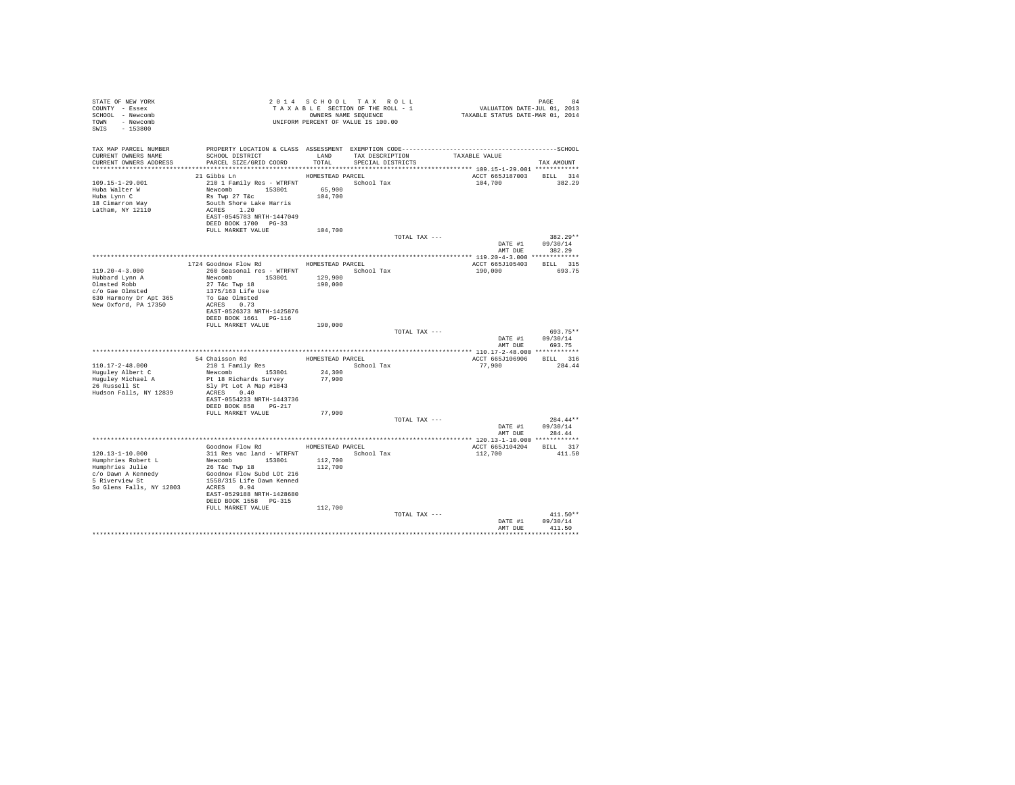| STATE OF NEW YORK<br>COUNTY - Essex<br>SCHOOL - Newcomb<br>TOWN - Newcomb<br>SWIS - 153800                                              |                                                                                                                                                                                                                                     |                    | 2014 SCHOOL TAX ROLL<br>PAGE 94 2014 SCHOOL TAX ROLL 2014 SCHOOL TAX ROLL 2014 SCHOOL TAX ROLL 2013<br>TAXABLE SECTION OF THE ROLL - 1 VALUATION DATE-JUL 01, 2013<br>UNIFORM PERCENT OF VALUE IS 100.00 |               |                                     | PAGE<br>84                               |
|-----------------------------------------------------------------------------------------------------------------------------------------|-------------------------------------------------------------------------------------------------------------------------------------------------------------------------------------------------------------------------------------|--------------------|----------------------------------------------------------------------------------------------------------------------------------------------------------------------------------------------------------|---------------|-------------------------------------|------------------------------------------|
| TAX MAP PARCEL NUMBER<br>CURRENT OWNERS NAME<br>CURRENT OWNERS ADDRESS                                                                  | SCHOOL DISTRICT<br>LAND TAX DESCRIPTION<br>PARCEL SIZE/GRID COORD TOTAL SPECIAL DISTRICTS                                                                                                                                           |                    |                                                                                                                                                                                                          |               | TAXABLE VALUE                       | TAX AMOUNT                               |
|                                                                                                                                         | HOMESTEAD PARCEL<br>21 Gibbs Ln                                                                                                                                                                                                     |                    |                                                                                                                                                                                                          |               | ACCT 665J187003 BILL 314            |                                          |
| $109.15 - 1 - 29.001$<br>Huba Walter W<br>Huba Lynn C<br>18 Cimarron Way<br>Latham, NY 12110                                            | 210 1 Family Res - WTRFNT School Tax<br>Newcomb 153801 65,900<br>Rs Twp 27 T&c<br>South Shore Lake Harris<br>ACRES 1.20<br>EAST-0545783 NRTH-1447049<br>DEED BOOK 1700 PG-33<br>FULL MARKET VALUE 104,700                           | 104,700            |                                                                                                                                                                                                          |               | 104,700                             | 382.29                                   |
|                                                                                                                                         |                                                                                                                                                                                                                                     |                    |                                                                                                                                                                                                          | TOTAL TAX --- |                                     | $382.29**$                               |
|                                                                                                                                         |                                                                                                                                                                                                                                     |                    |                                                                                                                                                                                                          |               |                                     | DATE #1 09/30/14<br>AMT DUE 382.29       |
|                                                                                                                                         |                                                                                                                                                                                                                                     |                    |                                                                                                                                                                                                          |               |                                     |                                          |
|                                                                                                                                         | 1724 Goodnow Flow Rd MOMESTEAD PARCEL                                                                                                                                                                                               |                    |                                                                                                                                                                                                          |               | ACCT 665J105403 BILL 315            |                                          |
| $119.20 - 4 - 3.000$<br>Hubbard Lynn A<br>Olmsted Robb<br>$c/o$ Gae Olmsted<br>630 Harmony Dr Apt 365<br>New Oxford, PA 17350           | 260 Seasonal res - WTRFNT<br>Newcomb 153801<br>27 T&c Twp 18<br>1375/163 Life Use<br>To Gae Olmsted<br>ACRES 0.73<br>EAST-0526373 NRTH-1425876<br>DEED BOOK 1661    PG-116                                                          | 129,900<br>190,000 | School Tax                                                                                                                                                                                               |               | 190,000 693.75                      |                                          |
|                                                                                                                                         | FULL MARKET VALUE 190,000                                                                                                                                                                                                           |                    |                                                                                                                                                                                                          |               |                                     |                                          |
|                                                                                                                                         |                                                                                                                                                                                                                                     |                    |                                                                                                                                                                                                          | TOTAL TAX --- | DATE #1<br>AMT DUE                  | 693.75**<br>09/30/14<br>693.75           |
|                                                                                                                                         |                                                                                                                                                                                                                                     |                    |                                                                                                                                                                                                          |               |                                     |                                          |
|                                                                                                                                         | 54 Chaisson Rd<br>210 1 Family Res<br>School Tax                                                                                                                                                                                    |                    |                                                                                                                                                                                                          |               | ACCT 665J106906 BILL 316            |                                          |
| $110.17 - 2 - 48.000$                                                                                                                   |                                                                                                                                                                                                                                     |                    |                                                                                                                                                                                                          |               | 77,900 284.44                       |                                          |
| Huguley Albert C<br>Huguley Michael A<br>26 Russell St<br>Hudson Falls, NY 12839                                                        | Newcomb 153801<br>Pt 18 Richards Survey<br>Sly Pt Lot A Map #1843<br>ACRES 0.40<br>EAST-0554233 NRTH-1443736<br>DEED BOOK 858 PG-217                                                                                                | 24,300<br>77,900   |                                                                                                                                                                                                          |               |                                     |                                          |
|                                                                                                                                         | FULL MARKET VALUE                                                                                                                                                                                                                   | 77,900             |                                                                                                                                                                                                          |               |                                     |                                          |
|                                                                                                                                         |                                                                                                                                                                                                                                     |                    |                                                                                                                                                                                                          | TOTAL TAX --- | DATE #1                             | $284.44**$<br>09/30/14<br>AMT DUE 284.44 |
|                                                                                                                                         |                                                                                                                                                                                                                                     |                    |                                                                                                                                                                                                          |               |                                     |                                          |
| 120.13-1-10.000<br>Humphries Robert L<br>Humphries Julie<br>c/o Dawn A Kennedy<br>5 Riverview St<br>So Glens Falls, NY 12803 ACRES 0.94 | Goodnow Flow Rd MOMESTEAD PARCEL<br>311 Res vac land - WTRFNT School Tax<br>Newcomb 153801 112,700<br>26 T&C Twp 18<br>Goodnow Flow Subd LOt 216<br>1558/315 Life Dawn Kenned<br>EAST-0529188 NRTH-1428680<br>DEED BOOK 1558 PG-315 | 112,700            |                                                                                                                                                                                                          |               | ACCT 665J104204 BILL 317<br>112,700 | 411.50                                   |
|                                                                                                                                         | FULL MARKET VALUE                                                                                                                                                                                                                   | 112,700            |                                                                                                                                                                                                          |               |                                     | $411.50**$                               |
|                                                                                                                                         |                                                                                                                                                                                                                                     |                    |                                                                                                                                                                                                          | TOTAL TAX --- | DATE #1<br>AMT DUE                  | 09/30/14<br>411.50                       |
|                                                                                                                                         |                                                                                                                                                                                                                                     |                    |                                                                                                                                                                                                          |               |                                     | .                                        |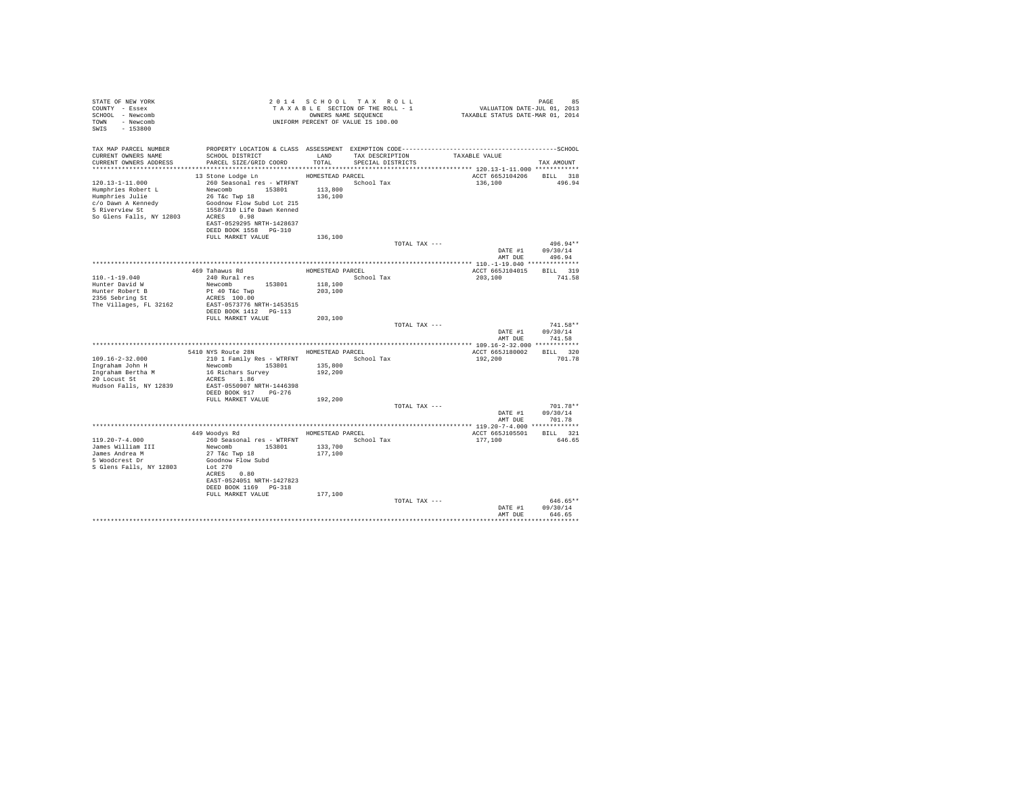| STATE OF NEW YORK<br>COUNTY - Essex<br>SCHOOL - Newcomb<br>TOWN - Newcomb<br>SWIS - 153800                                   | UNIFORM PERCENT OF VALUE IS 100.00                                                                                                                                                                                                                |                                                   | 2014 SCHOOL TAX ROLL<br>TAXABLE SECTION OF THE ROLL - 1<br>OWNERS NAME SEQUENCE |               | PAGE 85<br>VALUATION DATE-JUL 01, 2013<br>TAXABLE STATUS DATE-MAR 01, 2014 |                                          |
|------------------------------------------------------------------------------------------------------------------------------|---------------------------------------------------------------------------------------------------------------------------------------------------------------------------------------------------------------------------------------------------|---------------------------------------------------|---------------------------------------------------------------------------------|---------------|----------------------------------------------------------------------------|------------------------------------------|
| TAX MAP PARCEL NUMBER<br>CURRENT OWNERS NAME<br>CURRENT OWNERS ADDRESS                                                       | SCHOOL DISTRICT<br>PARCEL SIZE/GRID COORD                                                                                                                                                                                                         | LAND<br>TOTAL                                     | TAX DESCRIPTION<br>SPECIAL DISTRICTS                                            |               | TAXABLE VALUE<br>************************** 120.13-1-11.000 ************   | TAX AMOUNT                               |
| 120.13-1-11.000<br>Humphries Robert L<br>Humphries Julie<br>c/o Dawn A Kennedy<br>5 Riverview St<br>So Glens Falls, NY 12803 | 13 Stone Lodge Ln<br>260 Seasonal res - WTRFNT MOSCHOOL Tax<br>Newcomb 153801<br>26 T&C Twp 18<br>Goodnow Flow Subd Lot 215<br>1558/310 Life Dawn Kenned<br>ACRES 0.98<br>EAST-0529295 NRTH-1428637<br>DEED BOOK 1558 PG-310<br>FULL MARKET VALUE | HOMESTEAD PARCEL<br>113,800<br>136,100<br>136,100 |                                                                                 |               | ACCT 665J104206<br>136,100                                                 | BILL 318<br>496.94                       |
|                                                                                                                              |                                                                                                                                                                                                                                                   |                                                   |                                                                                 | TOTAL TAX --- |                                                                            | 496.94**                                 |
|                                                                                                                              |                                                                                                                                                                                                                                                   |                                                   |                                                                                 |               | DATE #1 09/30/14<br>AMT DUE                                                | 496.94                                   |
|                                                                                                                              | 469 Tahawus Rd                                                                                                                                                                                                                                    | HOMESTEAD PARCEL                                  |                                                                                 |               | ACCT 665J104015 BILL 319                                                   |                                          |
| $110. -1 - 19.040$<br>Hunter David W<br>Hunter Robert B<br>2356 Sebring St<br>The Villages, FL 32162                         | 240 Rural res<br>Newcomb 153801<br>Pt 40 T&c Twp<br>ACRES 100.00<br>EAST-0573776 NRTH-1453515<br>DEED BOOK 1412   PG-113                                                                                                                          | 118,100<br>203,100                                | School Tax                                                                      |               | 203,100                                                                    | 741.58                                   |
|                                                                                                                              | FULL MARKET VALUE                                                                                                                                                                                                                                 | 203,100                                           |                                                                                 | TOTAL TAX --- | DATE #1<br>AMT DUE                                                         | $741.58**$<br>09/30/14<br>741.58         |
|                                                                                                                              |                                                                                                                                                                                                                                                   |                                                   |                                                                                 |               |                                                                            |                                          |
| $109.16 - 2 - 32.000$<br>Ingraham John H<br>Ingraham Bertha M<br>20 Locust St<br>Hudson Falls, NY 12839                      | 5410 NYS Route 28N<br>210 1 Family Res - WTRFNT<br>Newcomb 153801<br>16 Richars Survey<br>ACRES 1.86<br>EAST-0550907 NRTH-1446398<br>DEED BOOK 917 PG-276                                                                                         | HOMESTEAD PARCEL<br>135,800<br>192,200            | School Tax                                                                      |               | ACCT 665J180002 BILL 320<br>192,200                                        | 701.78                                   |
|                                                                                                                              | FULL MARKET VALUE                                                                                                                                                                                                                                 | 192,200                                           |                                                                                 |               |                                                                            |                                          |
|                                                                                                                              |                                                                                                                                                                                                                                                   |                                                   |                                                                                 | TOTAL TAX --- | DATE #1                                                                    | $701.78**$<br>09/30/14<br>AMT DUE 701.78 |
|                                                                                                                              |                                                                                                                                                                                                                                                   |                                                   |                                                                                 |               |                                                                            |                                          |
| $119.20 - 7 - 4.000$<br>James William III<br>James Andrea M<br>5 Woodcrest Dr<br>S Glens Falls, NY 12803                     | 449 Woodys Rd<br>260 Seasonal res - WTRFNT<br>Newcomb 153801<br>27 T&C Twp 18<br>Goodnow Flow Subd<br>Lot 270<br>ACRES 0.80<br>EAST-0524051 NRTH-1427823<br>DEED BOOK 1169 PG-318                                                                 | 133,700<br>177,100                                | HOMESTEAD PARCEL<br>School Tax                                                  |               | ACCT 665J105501<br>177,100                                                 | <b>BILL</b> 321<br>646.65                |
|                                                                                                                              | FULL MARKET VALUE                                                                                                                                                                                                                                 | 177,100                                           |                                                                                 | TOTAL TAX --- | DATE #1<br>AMT DUE                                                         | 646.65**<br>09/30/14<br>646.65           |
|                                                                                                                              |                                                                                                                                                                                                                                                   |                                                   |                                                                                 |               |                                                                            | **********                               |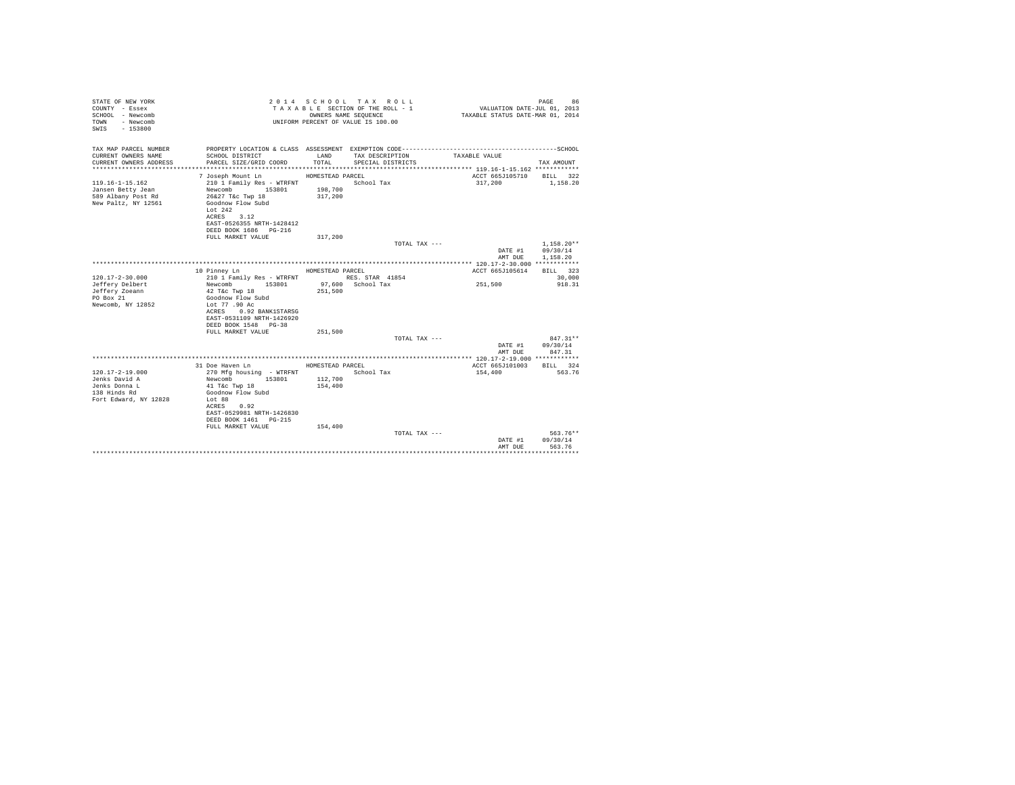| STATE OF NEW YORK<br>COUNTY - Essex<br>SCHOOL - Newcomb<br>- Newcomb<br>TOWN<br>$-153800$<br>SWTS |                                            |                    | 2014 SCHOOL TAX ROLL<br>TAXABLE SECTION OF THE ROLL - 1<br>OWNERS NAME SEQUENCE<br>UNIFORM PERCENT OF VALUE IS 100.00 | VALUATION DATE-JUL 01, 2013<br>TAXABLE STATUS DATE-MAR 01, 2014 | 86<br>PAGE            |
|---------------------------------------------------------------------------------------------------|--------------------------------------------|--------------------|-----------------------------------------------------------------------------------------------------------------------|-----------------------------------------------------------------|-----------------------|
| TAX MAP PARCEL NUMBER                                                                             |                                            |                    |                                                                                                                       |                                                                 |                       |
| CURRENT OWNERS NAME<br>CURRENT OWNERS ADDRESS                                                     | SCHOOL DISTRICT<br>PARCEL SIZE/GRID COORD  | LAND<br>TOTAL.     | TAX DESCRIPTION<br>SPECIAL DISTRICTS                                                                                  | TAXABLE VALUE                                                   | TAX AMOUNT            |
|                                                                                                   | 7 Joseph Mount Ln                          | HOMESTEAD PARCEL   |                                                                                                                       | ACCT 665J105710 BILL 322                                        |                       |
| $119.16 - 1 - 15.162$                                                                             | 210 1 Family Res - WTRFNT                  |                    | School Tax                                                                                                            | 317,200                                                         | 1,158.20              |
| Jansen Betty Jean                                                                                 | Newcomb 153801                             | 198,700            |                                                                                                                       |                                                                 |                       |
| 589 Albany Post Rd                                                                                | 26&27 T&c Twp 18                           | 317,200            |                                                                                                                       |                                                                 |                       |
| New Paltz, NY 12561                                                                               | Goodnow Flow Subd                          |                    |                                                                                                                       |                                                                 |                       |
|                                                                                                   | Lot $242$                                  |                    |                                                                                                                       |                                                                 |                       |
|                                                                                                   | ACRES 3.12                                 |                    |                                                                                                                       |                                                                 |                       |
|                                                                                                   | EAST-0526355 NRTH-1428412                  |                    |                                                                                                                       |                                                                 |                       |
|                                                                                                   | DEED BOOK 1686 PG-216<br>FULL MARKET VALUE | 317,200            |                                                                                                                       |                                                                 |                       |
|                                                                                                   |                                            |                    | TOTAL TAX ---                                                                                                         |                                                                 | $1.158.20**$          |
|                                                                                                   |                                            |                    |                                                                                                                       | DATE #1                                                         | 09/30/14              |
|                                                                                                   |                                            |                    |                                                                                                                       | AMT DUE                                                         | 1,158,20              |
|                                                                                                   |                                            |                    |                                                                                                                       |                                                                 |                       |
|                                                                                                   | 10 Pinney Ln                               | HOMESTEAD PARCEL   |                                                                                                                       | ACCT 665J105614                                                 | BILL 323              |
| $120.17 - 2 - 30.000$                                                                             | 210 1 Family Res - WTRFNT                  |                    | RES. STAR 41854                                                                                                       |                                                                 | 30,000                |
| Jeffery Delbert                                                                                   | Newcomb 153801                             |                    | 97,600 School Tax                                                                                                     | 251,500                                                         | 918.31                |
| Jeffery Zoeann                                                                                    | 42 T&c Twp 18                              | 251,500            |                                                                                                                       |                                                                 |                       |
| PO Box 21                                                                                         | Goodnow Flow Subd                          |                    |                                                                                                                       |                                                                 |                       |
| Newcomb, NY 12852                                                                                 | Lot 77,90 Ac<br>ACRES 0.92 BANK1STARSG     |                    |                                                                                                                       |                                                                 |                       |
|                                                                                                   | EAST-0531109 NRTH-1426920                  |                    |                                                                                                                       |                                                                 |                       |
|                                                                                                   | DEED BOOK 1548 PG-38                       |                    |                                                                                                                       |                                                                 |                       |
|                                                                                                   | FULL MARKET VALUE                          | 251,500            |                                                                                                                       |                                                                 |                       |
|                                                                                                   |                                            |                    | TOTAL TAX ---                                                                                                         |                                                                 | $847.31**$            |
|                                                                                                   |                                            |                    |                                                                                                                       | DATE #1                                                         | 09/30/14              |
|                                                                                                   |                                            |                    |                                                                                                                       | AMT DUE                                                         | 847.31                |
|                                                                                                   |                                            |                    |                                                                                                                       |                                                                 |                       |
|                                                                                                   | 31 Doe Haven Ln                            | HOMESTEAD PARCEL   |                                                                                                                       | ACCT 665J101003                                                 | BILL 324              |
| $120.17 - 2 - 19.000$                                                                             | 270 Mfg housing - WTRFNT                   |                    | School Tax                                                                                                            | 154,400                                                         | 563.76                |
| Jenks David A<br>Jenks Donna L                                                                    | Newcomb 153801<br>41 T&c Twp 18            | 112,700<br>154,400 |                                                                                                                       |                                                                 |                       |
| 138 Hinds Rd                                                                                      | Goodnow Flow Subd                          |                    |                                                                                                                       |                                                                 |                       |
| Fort Edward, NY 12828                                                                             | Lot 88                                     |                    |                                                                                                                       |                                                                 |                       |
|                                                                                                   | ACRES 0.92                                 |                    |                                                                                                                       |                                                                 |                       |
|                                                                                                   | EAST-0529981 NRTH-1426830                  |                    |                                                                                                                       |                                                                 |                       |
|                                                                                                   | DEED BOOK 1461 PG-215                      |                    |                                                                                                                       |                                                                 |                       |
|                                                                                                   | FULL MARKET VALUE                          | 154,400            |                                                                                                                       |                                                                 |                       |
|                                                                                                   |                                            |                    | TOTAL TAX ---                                                                                                         |                                                                 | 563.76**              |
|                                                                                                   |                                            |                    |                                                                                                                       | DATE #1                                                         | 09/30/14              |
|                                                                                                   |                                            |                    |                                                                                                                       | AMT DUE                                                         | 563.76<br>*********** |
|                                                                                                   |                                            |                    |                                                                                                                       |                                                                 |                       |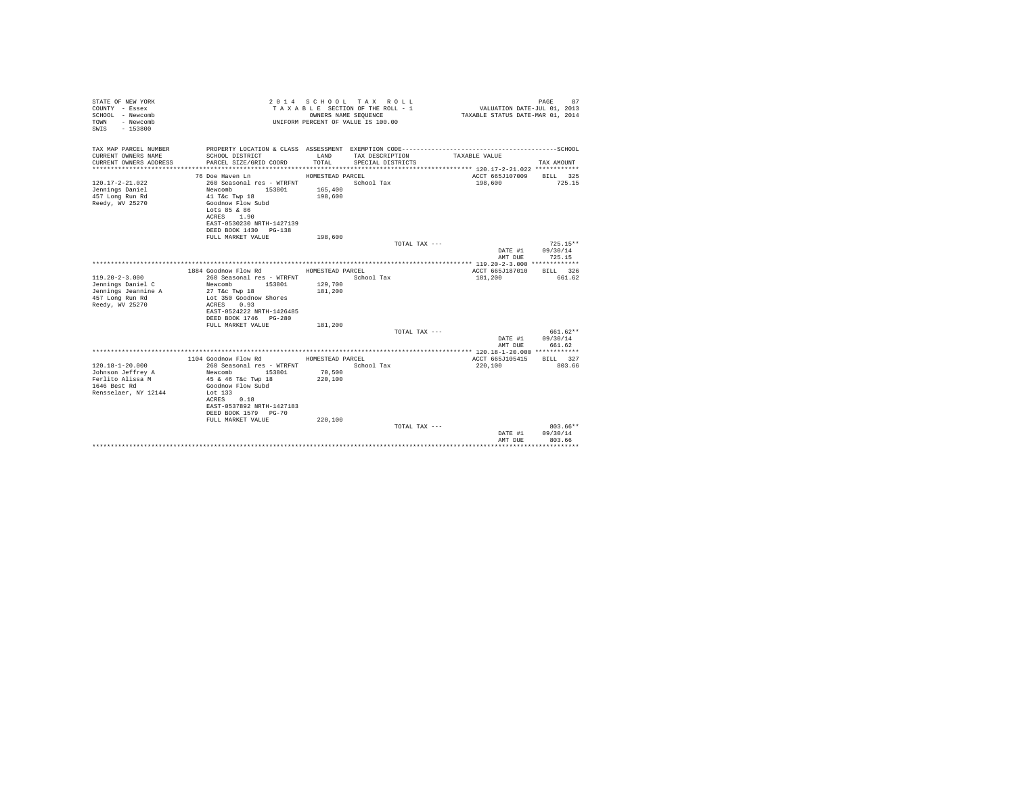| STATE OF NEW YORK<br>COUNTY - Essex<br>SCHOOL - Newcomb<br>- Newcomb<br>TOWN<br>$-153800$<br>SWIS |                                                   |                  | 2014 SCHOOL TAX ROLL<br>TAXABLE SECTION OF THE ROLL - 1<br>OWNERS NAME SEOUENCE<br>UNIFORM PERCENT OF VALUE IS 100.00 | VALUATION DATE-JUL 01, 2013<br>TAXABLE STATUS DATE-MAR 01, 2014 | PAGE<br>87            |
|---------------------------------------------------------------------------------------------------|---------------------------------------------------|------------------|-----------------------------------------------------------------------------------------------------------------------|-----------------------------------------------------------------|-----------------------|
| TAX MAP PARCEL NUMBER<br>CURRENT OWNERS NAME                                                      | SCHOOL DISTRICT                                   | LAND             | TAX DESCRIPTION                                                                                                       | TAXABLE VALUE                                                   |                       |
| CURRENT OWNERS ADDRESS                                                                            | PARCEL SIZE/GRID COORD                            | TOTAL            | SPECIAL DISTRICTS                                                                                                     |                                                                 | TAX AMOUNT            |
|                                                                                                   |                                                   |                  |                                                                                                                       |                                                                 |                       |
|                                                                                                   | 76 Doe Haven Ln                                   | HOMESTEAD PARCEL |                                                                                                                       | ACCT 665J107009 BILL 325                                        |                       |
| $120.17 - 2 - 21.022$                                                                             | 260 Seasonal res - WTRFNT                         |                  | School Tax                                                                                                            | 198,600                                                         | 725.15                |
| Jennings Daniel                                                                                   | Newcomb<br>153801                                 | 165,400          |                                                                                                                       |                                                                 |                       |
| 457 Long Run Rd                                                                                   | 41 T&C Twp 18                                     | 198,600          |                                                                                                                       |                                                                 |                       |
| Reedy, WV 25270                                                                                   | Goodnow Flow Subd                                 |                  |                                                                                                                       |                                                                 |                       |
|                                                                                                   | Lots 85 & 86<br>ACRES 1.90                        |                  |                                                                                                                       |                                                                 |                       |
|                                                                                                   | EAST-0530230 NRTH-1427139                         |                  |                                                                                                                       |                                                                 |                       |
|                                                                                                   | DEED BOOK 1430 PG-138                             |                  |                                                                                                                       |                                                                 |                       |
|                                                                                                   | FULL MARKET VALUE                                 | 198,600          |                                                                                                                       |                                                                 |                       |
|                                                                                                   |                                                   |                  | TOTAL TAX ---                                                                                                         |                                                                 | $725.15**$            |
|                                                                                                   |                                                   |                  |                                                                                                                       | DATE #1                                                         | 09/30/14              |
|                                                                                                   |                                                   |                  |                                                                                                                       | AMT DUE                                                         | 725.15                |
|                                                                                                   |                                                   | HOMESTEAD PARCEL |                                                                                                                       |                                                                 |                       |
| $119.20 - 2 - 3.000$                                                                              | 1884 Goodnow Flow Rd<br>260 Seasonal res - WTRFNT |                  | School Tax                                                                                                            | ACCT 665J187010<br>181,200                                      | BILL 326<br>661.62    |
| Jennings Daniel C                                                                                 | 153801<br>Newcomb                                 | 129,700          |                                                                                                                       |                                                                 |                       |
| Jennings Jeannine A                                                                               | 27 T&c Twp 18                                     | 181,200          |                                                                                                                       |                                                                 |                       |
| 457 Long Run Rd                                                                                   | Lot 350 Goodnow Shores                            |                  |                                                                                                                       |                                                                 |                       |
| Reedy, WV 25270                                                                                   | ACRES 0.93                                        |                  |                                                                                                                       |                                                                 |                       |
|                                                                                                   | EAST-0524222 NRTH-1426485                         |                  |                                                                                                                       |                                                                 |                       |
|                                                                                                   | DEED BOOK 1746 PG-280                             |                  |                                                                                                                       |                                                                 |                       |
|                                                                                                   | FULL MARKET VALUE                                 | 181,200          |                                                                                                                       |                                                                 | 661.62**              |
|                                                                                                   |                                                   |                  | TOTAL TAX ---                                                                                                         | DATE #1                                                         | 09/30/14              |
|                                                                                                   |                                                   |                  |                                                                                                                       | AMT DUE                                                         | 661.62                |
|                                                                                                   |                                                   |                  |                                                                                                                       |                                                                 |                       |
|                                                                                                   | 1104 Goodnow Flow Rd MOMESTEAD PARCEL             |                  |                                                                                                                       | ACCT 665J105415                                                 | BILL 327              |
| $120.18 - 1 - 20.000$                                                                             | 260 Seasonal res - WTRFNT                         |                  | School Tax                                                                                                            | 220,100                                                         | 803.66                |
| Johnson Jeffrey A                                                                                 | Newcomb 153801                                    | 70.500           |                                                                                                                       |                                                                 |                       |
| Ferlito Alissa M                                                                                  | 45 & 46 T&c Twp 18                                | 220,100          |                                                                                                                       |                                                                 |                       |
| 1646 Best Rd<br>Rensselaer, NY 12144                                                              | Goodnow Flow Subd<br>Lot 133                      |                  |                                                                                                                       |                                                                 |                       |
|                                                                                                   | ACRES 0.18                                        |                  |                                                                                                                       |                                                                 |                       |
|                                                                                                   | EAST-0537892 NRTH-1427183                         |                  |                                                                                                                       |                                                                 |                       |
|                                                                                                   | DEED BOOK 1579 PG-70                              |                  |                                                                                                                       |                                                                 |                       |
|                                                                                                   | FULL MARKET VALUE                                 | 220,100          |                                                                                                                       |                                                                 |                       |
|                                                                                                   |                                                   |                  | TOTAL TAX ---                                                                                                         |                                                                 | $803.66**$            |
|                                                                                                   |                                                   |                  |                                                                                                                       | DATE #1                                                         | 09/30/14              |
|                                                                                                   |                                                   |                  |                                                                                                                       | AMT DUE                                                         | 803.66<br>*********** |
|                                                                                                   |                                                   |                  |                                                                                                                       |                                                                 |                       |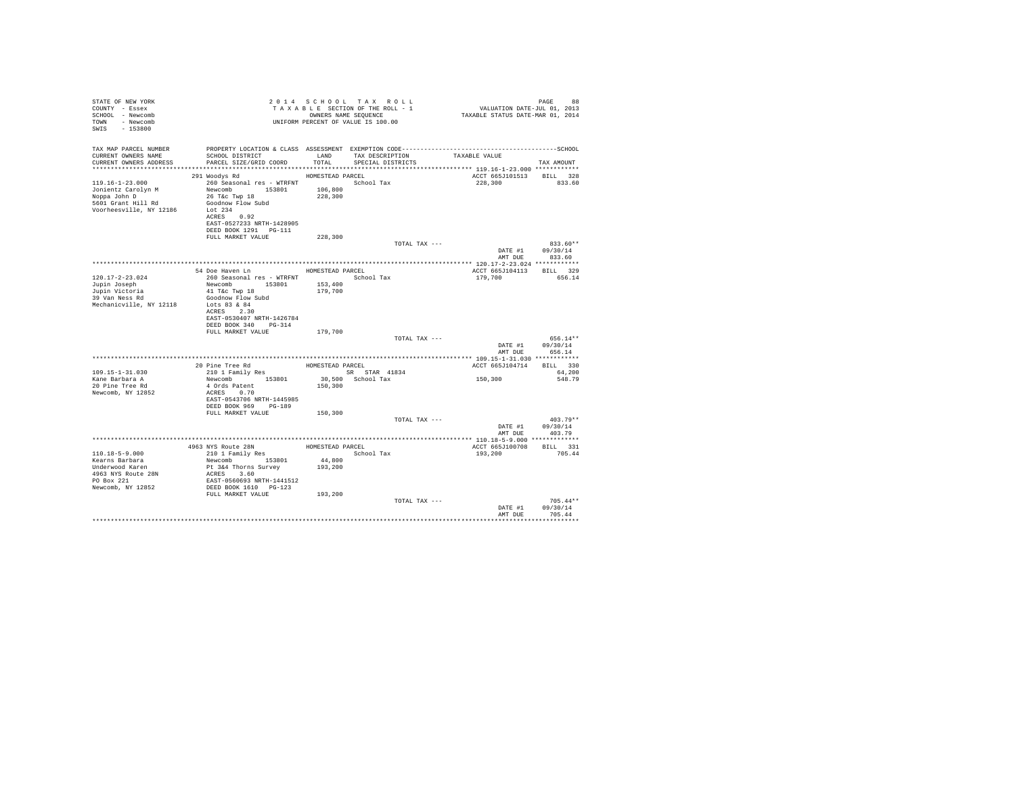| STATE OF NEW YORK<br>COUNTY - Essex<br>SCHOOL - Newcomb<br>TOWN - Newcomb<br>SWIS - 153800             | - - -<br>TAXABLE SECTION OF THE KULL - -<br>OWNERS NAME SEQUENCE<br>UNIFORM PERCENT OF VALUE IS 100.00                                                                      |                    | TAXABLE SECTION OF THE ROLL - 1 | 98 PAGE 98<br>VALUATION DATE-JUL 01, 2013<br>TAXABLE STATUS DATE-MAR 01, 2014 |                                        |
|--------------------------------------------------------------------------------------------------------|-----------------------------------------------------------------------------------------------------------------------------------------------------------------------------|--------------------|---------------------------------|-------------------------------------------------------------------------------|----------------------------------------|
| TAX MAP PARCEL NUMBER<br>CURRENT OWNERS NAME                                                           | PROPERTY LOCATION & CLASS ASSESSMENT EXEMPTION CODE-----------------------------------SCHOOL<br>SCHOOL DISTRICT                                                             | LAND               | TAX DESCRIPTION                 | TAXABLE VALUE                                                                 |                                        |
| CURRENT OWNERS ADDRESS                                                                                 | PARCEL SIZE/GRID COORD                                                                                                                                                      | TOTAL              | SPECIAL DISTRICTS               |                                                                               | TAX AMOUNT                             |
|                                                                                                        | 291 Woodys Rd                                                                                                                                                               | HOMESTEAD PARCEL   |                                 | ACCT 665J101513                                                               | BILL 328                               |
| 119.16-1-23.000<br>Jonientz Carolyn M<br>Noppa John D<br>5601 Grant Hill Rd<br>Voorheesville, NY 12186 | 260 Seasonal res - WTRFNT School Tax<br>Newcomb 153801<br>26 T&c Twp 18<br>Goodnow Flow Subd<br>Lot 234<br>ACRES 0.92<br>EAST-0527233 NRTH-1428905<br>DEED BOOK 1291 PG-111 | 106,800<br>228,300 |                                 | 228,300 833.60                                                                |                                        |
|                                                                                                        | FULL MARKET VALUE                                                                                                                                                           | 228,300            |                                 |                                                                               |                                        |
|                                                                                                        |                                                                                                                                                                             |                    | TOTAL TAX ---                   | AMT DUE                                                                       | 833.60**<br>DATE #1 09/30/14<br>833.60 |
|                                                                                                        |                                                                                                                                                                             |                    |                                 |                                                                               |                                        |
|                                                                                                        | 54 Doe Haven Ln MOMESTEAD PARCEL                                                                                                                                            |                    |                                 | ACCT 665J104113 BILL 329                                                      |                                        |
| 120.17-2-23.024                                                                                        | 260 Seasonal res - WTRFNT                                                                                                                                                   |                    | School Tax                      | 179,700                                                                       | 656.14                                 |
| Jupin Joseph                                                                                           | Newcomb 153801                                                                                                                                                              | 153,400            |                                 |                                                                               |                                        |
| Jupin Victoria<br>39 Van Ness Rd                                                                       | 41 T&C Twp 18                                                                                                                                                               | 179,700            |                                 |                                                                               |                                        |
| Mechanicville, NY 12118                                                                                | Goodnow Flow Subd<br>Lots 83 & 84<br>ACRES 2.30<br>EAST-0530407 NRTH-1426784                                                                                                |                    |                                 |                                                                               |                                        |
|                                                                                                        | DEED BOOK 340 PG-314                                                                                                                                                        |                    |                                 |                                                                               |                                        |
|                                                                                                        | FULL MARKET VALUE                                                                                                                                                           | 179,700            |                                 |                                                                               |                                        |
|                                                                                                        |                                                                                                                                                                             |                    | TOTAL TAX ---                   |                                                                               | 656.14**                               |
|                                                                                                        |                                                                                                                                                                             |                    |                                 | DATE #1                                                                       | 09/30/14                               |
|                                                                                                        |                                                                                                                                                                             |                    |                                 | AMT DUE                                                                       | 656.14                                 |
|                                                                                                        |                                                                                                                                                                             | HOMESTEAD PARCEL   |                                 |                                                                               | BILL 330                               |
| 109.15-1-31.030                                                                                        | 20 Pine Tree Rd<br>210 1 Family Res                                                                                                                                         |                    | SR STAR 41834                   | ACCT 665J104714                                                               | 64,200                                 |
| Kane Barbara A                                                                                         | Newcomb 153801                                                                                                                                                              |                    | 30,500 School Tax               | 150,300                                                                       | 548.79                                 |
| 20 Pine Tree Rd                                                                                        | 4 Ords Patent                                                                                                                                                               | 150,300            |                                 |                                                                               |                                        |
| Newcomb, NY 12852                                                                                      | ACRES 0.70                                                                                                                                                                  |                    |                                 |                                                                               |                                        |
|                                                                                                        | EAST-0543706 NRTH-1445985                                                                                                                                                   |                    |                                 |                                                                               |                                        |
|                                                                                                        | DEED BOOK 969 PG-189                                                                                                                                                        |                    |                                 |                                                                               |                                        |
|                                                                                                        | FULL MARKET VALUE                                                                                                                                                           | 150,300            |                                 |                                                                               |                                        |
|                                                                                                        |                                                                                                                                                                             |                    | TOTAL TAX ---                   |                                                                               | $403.79**$                             |
|                                                                                                        |                                                                                                                                                                             |                    |                                 |                                                                               | DATE #1 09/30/14                       |
|                                                                                                        |                                                                                                                                                                             |                    |                                 | AMT DUE                                                                       | 403.79                                 |
|                                                                                                        |                                                                                                                                                                             |                    | HOMESTEAD PARCEL                |                                                                               | RTLL 331                               |
| 110.18-5-9.000                                                                                         | 4963 NYS Route 28N<br>210 1 Family Res                                                                                                                                      |                    | School Tax                      | ACCT 665J100708<br>193,200                                                    | 705.44                                 |
| Kearns Barbara                                                                                         | Newcomb 153801                                                                                                                                                              | 44,800             |                                 |                                                                               |                                        |
| Underwood Karen                                                                                        | Pt 3&4 Thorns Survey                                                                                                                                                        | 193,200            |                                 |                                                                               |                                        |
| 4963 NYS Route 28N                                                                                     |                                                                                                                                                                             |                    |                                 |                                                                               |                                        |
| PO Box 221                                                                                             | ACRES 3.60<br>EAST-0560693 NRTH-1441512                                                                                                                                     |                    |                                 |                                                                               |                                        |
| Newcomb, NY 12852                                                                                      | DEED BOOK 1610 PG-123                                                                                                                                                       |                    |                                 |                                                                               |                                        |
|                                                                                                        | FULL MARKET VALUE                                                                                                                                                           | 193,200            |                                 |                                                                               |                                        |
|                                                                                                        |                                                                                                                                                                             |                    | TOTAL TAX ---                   |                                                                               | $705.44**$                             |
|                                                                                                        |                                                                                                                                                                             |                    |                                 | DATE #1                                                                       | 09/30/14                               |
|                                                                                                        |                                                                                                                                                                             |                    |                                 | AMT DUE                                                                       | 705.44                                 |
|                                                                                                        |                                                                                                                                                                             |                    |                                 |                                                                               |                                        |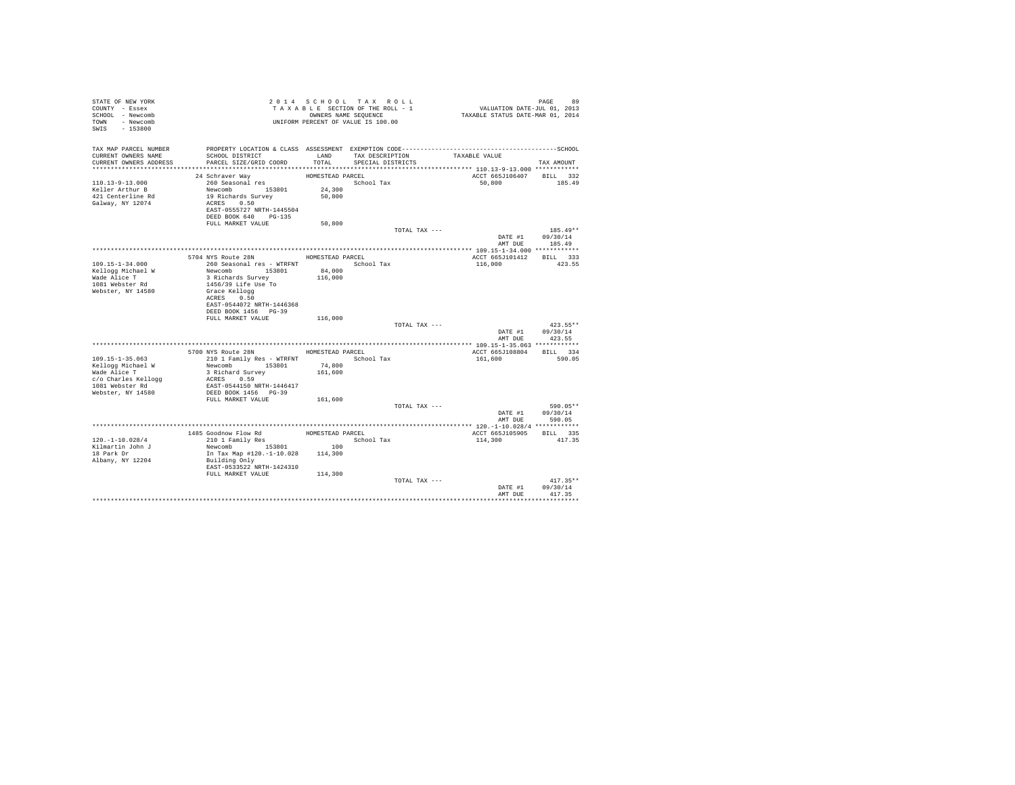| STATE OF NEW YORK<br>COUNTY - Essex<br>SCHOOL - Newcomb<br>TOWN - Newcomb<br>SWIS<br>$-153800$ |                                                   |                  | 2014 SCHOOL TAX ROLL<br>TAXABLE SECTION OF THE ROLL - 1<br>OWNERS NAME SEQUENCE<br>UNIFORM PERCENT OF VALUE IS 100.00 | VALUATION DATE-JUL 01, 2013<br>TAXABLE STATUS DATE-MAR 01, 2014 | PAGE<br>89         |
|------------------------------------------------------------------------------------------------|---------------------------------------------------|------------------|-----------------------------------------------------------------------------------------------------------------------|-----------------------------------------------------------------|--------------------|
| TAX MAP PARCEL NUMBER<br>CURRENT OWNERS NAME                                                   | SCHOOL DISTRICT                                   | LAND             | TAX DESCRIPTION                                                                                                       | TAXABLE VALUE                                                   |                    |
| CURRENT OWNERS ADDRESS                                                                         | PARCEL SIZE/GRID COORD                            | TOTAL            | SPECIAL DISTRICTS                                                                                                     |                                                                 | TAX AMOUNT         |
|                                                                                                | 24 Schraver Way                                   | HOMESTEAD PARCEL |                                                                                                                       | ACCT 665J106407 BILL 332                                        |                    |
| $110.13 - 9 - 13.000$                                                                          | 260 Seasonal res                                  |                  | School Tax                                                                                                            | 50,800                                                          | 185.49             |
| Keller Arthur B                                                                                | Newcomb 153801                                    | 24,300           |                                                                                                                       |                                                                 |                    |
| 421 Centerline Rd                                                                              | 19 Richards Survey                                | 50,800           |                                                                                                                       |                                                                 |                    |
| Galway, NY 12074                                                                               | ACRES 0.50                                        |                  |                                                                                                                       |                                                                 |                    |
|                                                                                                | EAST-0555727 NRTH-1445504                         |                  |                                                                                                                       |                                                                 |                    |
|                                                                                                | DEED BOOK 640 PG-135<br>FULL MARKET VALUE         | 50,800           |                                                                                                                       |                                                                 |                    |
|                                                                                                |                                                   |                  | TOTAL TAX ---                                                                                                         |                                                                 | $185.49**$         |
|                                                                                                |                                                   |                  |                                                                                                                       | DATE #1                                                         | 09/30/14           |
|                                                                                                |                                                   |                  |                                                                                                                       | AMT DUE                                                         | 185.49             |
|                                                                                                |                                                   |                  |                                                                                                                       |                                                                 |                    |
|                                                                                                | 5704 NYS Route 28N                                | HOMESTEAD PARCEL |                                                                                                                       | ACCT 665J101412                                                 | BILL 333           |
| 109.15-1-34.000<br>Kellogg Michael W                                                           | 260 Seasonal res - WTRFNT<br>Newcomb 153801       | 84,000           | School Tax                                                                                                            | 116,000                                                         | 423.55             |
| Wade Alice T                                                                                   | 3 Richards Survey                                 | 116,000          |                                                                                                                       |                                                                 |                    |
| 1081 Webster Rd                                                                                | 1456/39 Life Use To                               |                  |                                                                                                                       |                                                                 |                    |
| Webster, NY 14580                                                                              | Grace Kellogg                                     |                  |                                                                                                                       |                                                                 |                    |
|                                                                                                | ACRES 0.50                                        |                  |                                                                                                                       |                                                                 |                    |
|                                                                                                | EAST-0544072 NRTH-1446368<br>DEED BOOK 1456 PG-39 |                  |                                                                                                                       |                                                                 |                    |
|                                                                                                | FULL MARKET VALUE                                 | 116,000          |                                                                                                                       |                                                                 |                    |
|                                                                                                |                                                   |                  | TOTAL TAX ---                                                                                                         |                                                                 | $423.55**$         |
|                                                                                                |                                                   |                  |                                                                                                                       | DATE #1                                                         | 09/30/14           |
|                                                                                                |                                                   |                  |                                                                                                                       | AMT DUE                                                         | 423.55             |
|                                                                                                |                                                   |                  |                                                                                                                       |                                                                 |                    |
| $109.15 - 1 - 35.063$                                                                          | 5700 NYS Route 28N                                | HOMESTEAD PARCEL | School Tax                                                                                                            | ACCT 665J108804<br>161,600                                      | BILL 334<br>590.05 |
| Kellogg Michael W                                                                              | 210 1 Family Res - WTRFNT<br>Newcomb 153801       | 74,800           |                                                                                                                       |                                                                 |                    |
| Wade Alice T                                                                                   | 3 Richard Survey                                  | 161,600          |                                                                                                                       |                                                                 |                    |
| c/o Charles Kellogg                                                                            | ACRES 0.59                                        |                  |                                                                                                                       |                                                                 |                    |
| 1081 Webster Rd                                                                                | EAST-0544150 NRTH-1446417                         |                  |                                                                                                                       |                                                                 |                    |
| Webster, NY 14580                                                                              | DEED BOOK 1456 PG-39                              |                  |                                                                                                                       |                                                                 |                    |
|                                                                                                | FULL MARKET VALUE                                 | 161,600          | TOTAL TAX ---                                                                                                         |                                                                 | 590.05**           |
|                                                                                                |                                                   |                  |                                                                                                                       | DATE #1                                                         | 09/30/14           |
|                                                                                                |                                                   |                  |                                                                                                                       | AMT DUE                                                         | 590.05             |
|                                                                                                |                                                   |                  |                                                                                                                       |                                                                 |                    |
|                                                                                                | 1485 Goodnow Flow Rd                              | HOMESTEAD PARCEL |                                                                                                                       | ACCT 665J105905                                                 | BILL 335           |
| $120. - 1 - 10.028/4$                                                                          | 210 1 Family Res                                  |                  | School Tax                                                                                                            | 114,300                                                         | 417.35             |
| Kilmartin John J<br>18 Park Dr                                                                 | 153801<br>Newcomb<br>In Tax Map #120.-1-10.028    | 100<br>114,300   |                                                                                                                       |                                                                 |                    |
| Albany, NY 12204                                                                               | Building Only                                     |                  |                                                                                                                       |                                                                 |                    |
|                                                                                                | EAST-0533522 NRTH-1424310                         |                  |                                                                                                                       |                                                                 |                    |
|                                                                                                | FULL MARKET VALUE                                 | 114,300          |                                                                                                                       |                                                                 |                    |
|                                                                                                |                                                   |                  | TOTAL TAX ---                                                                                                         |                                                                 | $417.35**$         |
|                                                                                                |                                                   |                  |                                                                                                                       | DATE #1                                                         | 09/30/14           |
|                                                                                                |                                                   |                  |                                                                                                                       | AMT DUE                                                         | 417.35             |
|                                                                                                |                                                   |                  |                                                                                                                       |                                                                 |                    |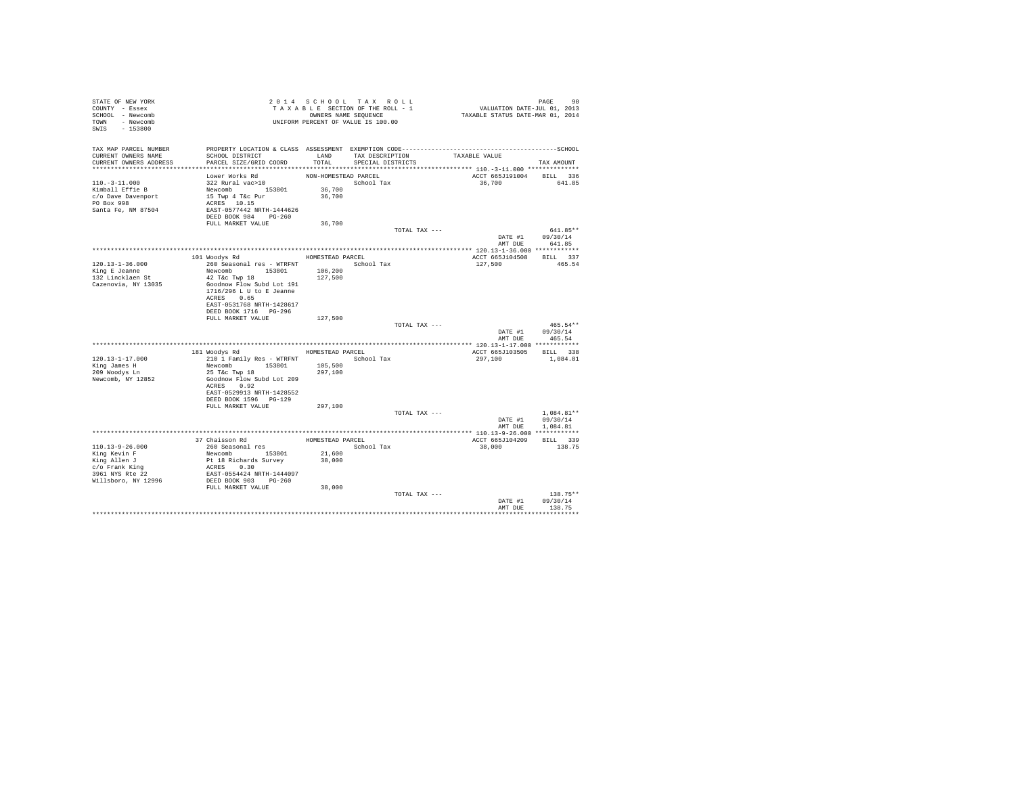| STATE OF NEW YORK<br>COUNTY - Essex<br>SCHOOL - Newcomb<br>- Newcomb<br>TOWN<br>$-153800$<br>SWIS |                                                                                              |                      | 2014 SCHOOL TAX ROLL<br>TAXABLE SECTION OF THE ROLL - 1<br>OWNERS NAME SEQUENCE<br>UNIFORM PERCENT OF VALUE IS 100.00 |               | VALUATION DATE-JUL $01, 2013$<br>TAXABLE STATUS DATE-MAR 01, 2014 |                 | PAGE                     | 90       |
|---------------------------------------------------------------------------------------------------|----------------------------------------------------------------------------------------------|----------------------|-----------------------------------------------------------------------------------------------------------------------|---------------|-------------------------------------------------------------------|-----------------|--------------------------|----------|
| TAX MAP PARCEL NUMBER                                                                             | PROPERTY LOCATION & CLASS ASSESSMENT EXEMPTION CODE-----------------------------------SCHOOL |                      |                                                                                                                       |               |                                                                   |                 |                          |          |
| CURRENT OWNERS NAME<br>CURRENT OWNERS ADDRESS                                                     | SCHOOL DISTRICT<br>PARCEL SIZE/GRID COORD                                                    | LAND<br>TOTAL        | TAX DESCRIPTION<br>SPECIAL DISTRICTS                                                                                  |               | TAXABLE VALUE                                                     |                 | TAX AMOUNT               |          |
|                                                                                                   |                                                                                              |                      |                                                                                                                       |               |                                                                   |                 |                          |          |
|                                                                                                   | Lower Works Rd                                                                               | NON-HOMESTEAD PARCEL |                                                                                                                       |               |                                                                   | ACCT 665J191004 | BILL 336                 |          |
| $110. - 3 - 11.000$                                                                               | 322 Rural vac>10                                                                             |                      | School Tax                                                                                                            |               |                                                                   | 36,700          | 641.85                   |          |
| Kimball Effie B                                                                                   | Newcomb 153801                                                                               | 36,700               |                                                                                                                       |               |                                                                   |                 |                          |          |
| c/o Dave Davenport                                                                                | 15 Twp 4 T&c Pur                                                                             | 36,700               |                                                                                                                       |               |                                                                   |                 |                          |          |
| PO Box 998                                                                                        | ACRES 10.15                                                                                  |                      |                                                                                                                       |               |                                                                   |                 |                          |          |
| Santa Fe, NM 87504                                                                                | EAST-0577442 NRTH-1444626                                                                    |                      |                                                                                                                       |               |                                                                   |                 |                          |          |
|                                                                                                   | DEED BOOK 984 PG-260                                                                         |                      |                                                                                                                       |               |                                                                   |                 |                          |          |
|                                                                                                   | FULL MARKET VALUE                                                                            | 36,700               |                                                                                                                       | TOTAL TAX --- |                                                                   |                 | 641.85**                 |          |
|                                                                                                   |                                                                                              |                      |                                                                                                                       |               |                                                                   | DATE #1         | 09/30/14                 |          |
|                                                                                                   |                                                                                              |                      |                                                                                                                       |               |                                                                   | AMT DUE         | 641.85                   |          |
|                                                                                                   |                                                                                              |                      |                                                                                                                       |               |                                                                   |                 |                          |          |
|                                                                                                   | 101 Woodys Rd                                                                                | HOMESTEAD PARCEL     |                                                                                                                       |               |                                                                   | ACCT 665J104508 | BILL 337                 |          |
| $120.13 - 1 - 36.000$                                                                             | 260 Seasonal res - WTRFNT                                                                    |                      | School Tax                                                                                                            |               | 127,500                                                           |                 | 465.54                   |          |
| King E Jeanne                                                                                     | Newcomb 153801                                                                               | 106,200              |                                                                                                                       |               |                                                                   |                 |                          |          |
| 132 Lincklaen St                                                                                  | 42 T&c Twp 18                                                                                | 127,500              |                                                                                                                       |               |                                                                   |                 |                          |          |
| Cazenovia, NY 13035                                                                               | Goodnow Flow Subd Lot 191                                                                    |                      |                                                                                                                       |               |                                                                   |                 |                          |          |
|                                                                                                   | 1716/296 L U to E Jeanne<br>ACRES 0.65                                                       |                      |                                                                                                                       |               |                                                                   |                 |                          |          |
|                                                                                                   | EAST-0531768 NRTH-1428617                                                                    |                      |                                                                                                                       |               |                                                                   |                 |                          |          |
|                                                                                                   | DEED BOOK 1716 PG-296                                                                        |                      |                                                                                                                       |               |                                                                   |                 |                          |          |
|                                                                                                   | FULL MARKET VALUE                                                                            | 127,500              |                                                                                                                       |               |                                                                   |                 |                          |          |
|                                                                                                   |                                                                                              |                      |                                                                                                                       | TOTAL TAX --- |                                                                   |                 |                          | 465.54** |
|                                                                                                   |                                                                                              |                      |                                                                                                                       |               |                                                                   | DATE #1         | 09/30/14                 |          |
|                                                                                                   |                                                                                              |                      |                                                                                                                       |               |                                                                   | AMT DUE         | 465.54                   |          |
|                                                                                                   |                                                                                              |                      |                                                                                                                       |               |                                                                   |                 |                          |          |
| $120.13 - 1 - 17.000$                                                                             | 181 Woodys Rd<br>210 1 Family Res - WTRFNT                                                   |                      | HOMESTEAD PARCEL<br>School Tax                                                                                        |               | 297,100                                                           | ACCT 665J103505 | BILL 338<br>1,084.81     |          |
| King James H                                                                                      | Newcomb 153801                                                                               | 105,500              |                                                                                                                       |               |                                                                   |                 |                          |          |
| 209 Woodys Ln                                                                                     | 25 T&c Twp 18                                                                                | 297,100              |                                                                                                                       |               |                                                                   |                 |                          |          |
| Newcomb, NY 12852                                                                                 | Goodnow Flow Subd Lot 209                                                                    |                      |                                                                                                                       |               |                                                                   |                 |                          |          |
|                                                                                                   | ACRES 0.92                                                                                   |                      |                                                                                                                       |               |                                                                   |                 |                          |          |
|                                                                                                   | EAST-0529913 NRTH-1428552                                                                    |                      |                                                                                                                       |               |                                                                   |                 |                          |          |
|                                                                                                   | DEED BOOK 1596 PG-129                                                                        |                      |                                                                                                                       |               |                                                                   |                 |                          |          |
|                                                                                                   | FULL MARKET VALUE                                                                            | 297,100              |                                                                                                                       |               |                                                                   |                 |                          |          |
|                                                                                                   |                                                                                              |                      |                                                                                                                       | TOTAL TAX --- |                                                                   | DATE #1         | $1.084.81**$<br>09/30/14 |          |
|                                                                                                   |                                                                                              |                      |                                                                                                                       |               |                                                                   | AMT DUE         | 1,084.81                 |          |
|                                                                                                   |                                                                                              |                      |                                                                                                                       |               |                                                                   |                 |                          |          |
|                                                                                                   | 37 Chaisson Rd                                                                               | HOMESTEAD PARCEL     |                                                                                                                       |               |                                                                   | ACCT 665J104209 | BILL 339                 |          |
| $110.13 - 9 - 26.000$                                                                             | 260 Seasonal res                                                                             |                      | School Tax                                                                                                            |               | 38,000                                                            |                 | 138.75                   |          |
| King Kevin F                                                                                      | Newcomb 153801                                                                               | 21,600               |                                                                                                                       |               |                                                                   |                 |                          |          |
| King Allen J                                                                                      | Pt 18 Richards Survey                                                                        | 38,000               |                                                                                                                       |               |                                                                   |                 |                          |          |
| c/o Frank King                                                                                    | ACRES 0.30                                                                                   |                      |                                                                                                                       |               |                                                                   |                 |                          |          |
| 3961 NYS Rte 22<br>Willsboro, NY 12996                                                            | EAST-0554424 NRTH-1444097<br>DEED BOOK 903 PG-260                                            |                      |                                                                                                                       |               |                                                                   |                 |                          |          |
|                                                                                                   | FULL MARKET VALUE                                                                            | 38,000               |                                                                                                                       |               |                                                                   |                 |                          |          |
|                                                                                                   |                                                                                              |                      |                                                                                                                       | TOTAL TAX --- |                                                                   |                 | $138.75**$               |          |
|                                                                                                   |                                                                                              |                      |                                                                                                                       |               |                                                                   | DATE #1         | 09/30/14                 |          |
|                                                                                                   |                                                                                              |                      |                                                                                                                       |               |                                                                   | AMT DUE         | 138.75                   |          |
|                                                                                                   |                                                                                              |                      |                                                                                                                       |               |                                                                   |                 | ***********              |          |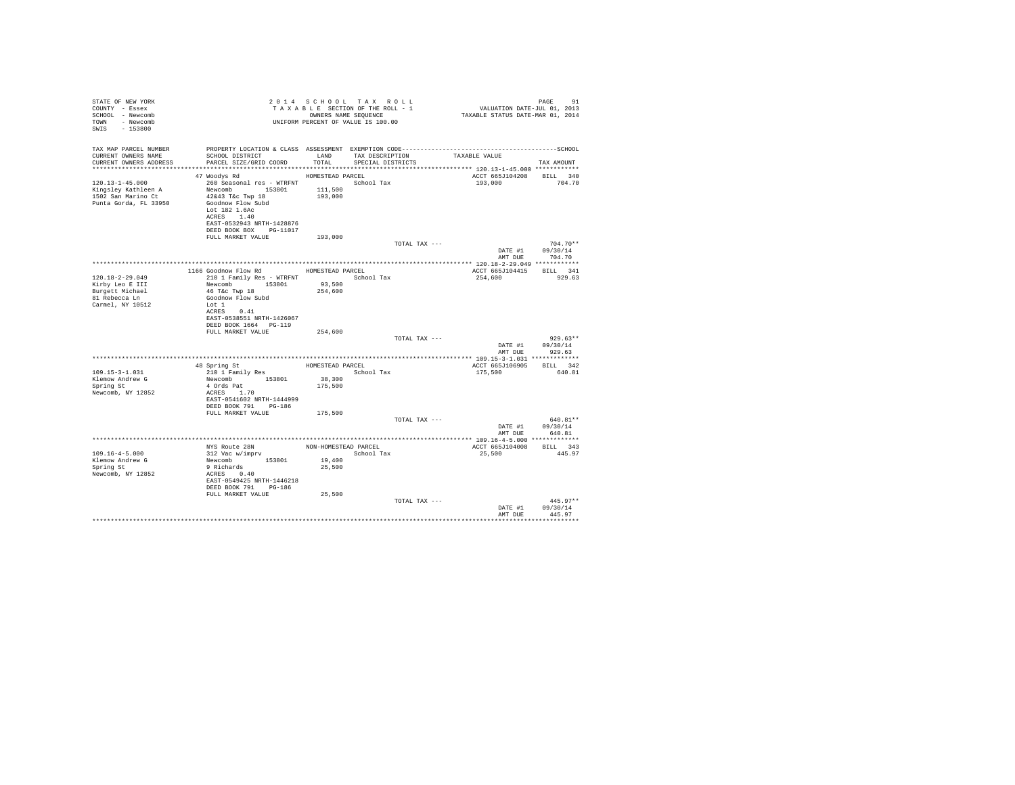| STATE OF NEW YORK<br>COUNTY - Essex<br>SCHOOL - Newcomb<br>TOWN - Newcomb<br>SWIS - 153800       | UNIFORM PERCENT OF VALUE IS 100.00                                                                                                                                                                    |                                        | 2014 SCHOOL TAX ROLL<br>TAXABLE SECTION OF THE ROLL - 1<br>OWNERS NAME SEQUENCE |               | PAGE 91<br>VALUATION DATE-JUL 01, 2013<br>TAXABLE STATUS DATE-MAR 01, 2014 |                                        |
|--------------------------------------------------------------------------------------------------|-------------------------------------------------------------------------------------------------------------------------------------------------------------------------------------------------------|----------------------------------------|---------------------------------------------------------------------------------|---------------|----------------------------------------------------------------------------|----------------------------------------|
| TAX MAP PARCEL NUMBER<br>CURRENT OWNERS NAME<br>CURRENT OWNERS ADDRESS                           | SCHOOL DISTRICT<br>PARCEL SIZE/GRID COORD                                                                                                                                                             | LAND<br>TOTAL                          | TAX DESCRIPTION<br>SPECIAL DISTRICTS                                            |               | TAXABLE VALUE                                                              | TAX AMOUNT                             |
| 120.13-1-45.000<br>Kingsley Kathleen A<br>1502 San Marino Ct<br>Punta Gorda, FL 33950            | 47 Woodys Rd<br>260 Seasonal res - WTRFNT School Tax<br>Newcomb 153801<br>42&43 T&c Twp 18<br>Goodnow Flow Subd<br>Lot 182 1.6Ac<br>ACRES 1.40<br>EAST-0532943 NRTH-1428876<br>DEED BOOK BOX PG-11017 | HOMESTEAD PARCEL<br>111,500<br>193,000 |                                                                                 |               | ACCT 665J104208<br>193,000                                                 | BILL 340<br>704.70                     |
|                                                                                                  | FULL MARKET VALUE                                                                                                                                                                                     | 193,000                                |                                                                                 | TOTAL TAX --- |                                                                            | $704.70**$<br>DATE #1 09/30/14         |
|                                                                                                  |                                                                                                                                                                                                       |                                        |                                                                                 |               | AMT DUE                                                                    | 704.70                                 |
| $120.18 - 2 - 29.049$<br>Kirby Leo E III<br>Burgett Michael<br>81 Rebecca Ln<br>Carmel, NY 10512 | 1166 Goodnow Flow Rd<br>210 1 Family Res - WTRFNT<br>Newcomb 153801<br>46 T&c Twp 18<br>Goodnow Flow Subd<br>Lot 1<br>ACRES 0.41<br>EAST-0538551 NRTH-1426067                                         | HOMESTEAD PARCEL<br>93,500<br>254,600  | School Tax                                                                      |               | ACCT 665J104415 BILL 341<br>254,600                                        | 929.63                                 |
|                                                                                                  | DEED BOOK 1664 PG-119<br>FULL MARKET VALUE                                                                                                                                                            | 254,600                                |                                                                                 | TOTAL TAX --- | DATE #1<br>AMT DUE                                                         | $929.63**$<br>09/30/14<br>929.63       |
|                                                                                                  |                                                                                                                                                                                                       |                                        |                                                                                 |               |                                                                            |                                        |
| $109.15 - 3 - 1.031$<br>Klemow Andrew G<br>Spring St<br>Newcomb, NY 12852                        | 48 Spring St<br>210 1 Family Res<br>Newcomb 153801<br>4 Ords Pat<br>ACRES 1.70<br>EAST-0541602 NRTH-1444999<br>DEED BOOK 791 PG-186                                                                   | HOMESTEAD PARCEL<br>38,300<br>175,500  | School Tax                                                                      |               | ACCT 665J106905<br>175,500                                                 | BILL 342<br>640.81                     |
|                                                                                                  | FULL MARKET VALUE                                                                                                                                                                                     | 175,500                                |                                                                                 | TOTAL TAX --- | AMT DUE                                                                    | 640.81**<br>DATE #1 09/30/14<br>640.81 |
|                                                                                                  |                                                                                                                                                                                                       |                                        |                                                                                 |               |                                                                            |                                        |
| $109.16 - 4 - 5.000$<br>Klemow Andrew G<br>Spring St<br>Newcomb, NY 12852                        | NYS Route 28N<br>312 Vac w/imprv<br>Newcomb 153801<br>9 Richards<br>ACRES 0.40<br>EAST-0549425 NRTH-1446218<br>DEED BOOK 791 PG-186<br>FULL MARKET VALUE                                              | 19,400<br>25,500<br>25,500             | NON-HOMESTEAD PARCEL<br>School Tax                                              |               | ACCT 665J104008<br>25,500                                                  | BILL 343<br>445.97                     |
|                                                                                                  |                                                                                                                                                                                                       |                                        |                                                                                 | TOTAL TAX --- | DATE #1<br>AMT DUE                                                         | $445.97**$<br>09/30/14<br>445.97       |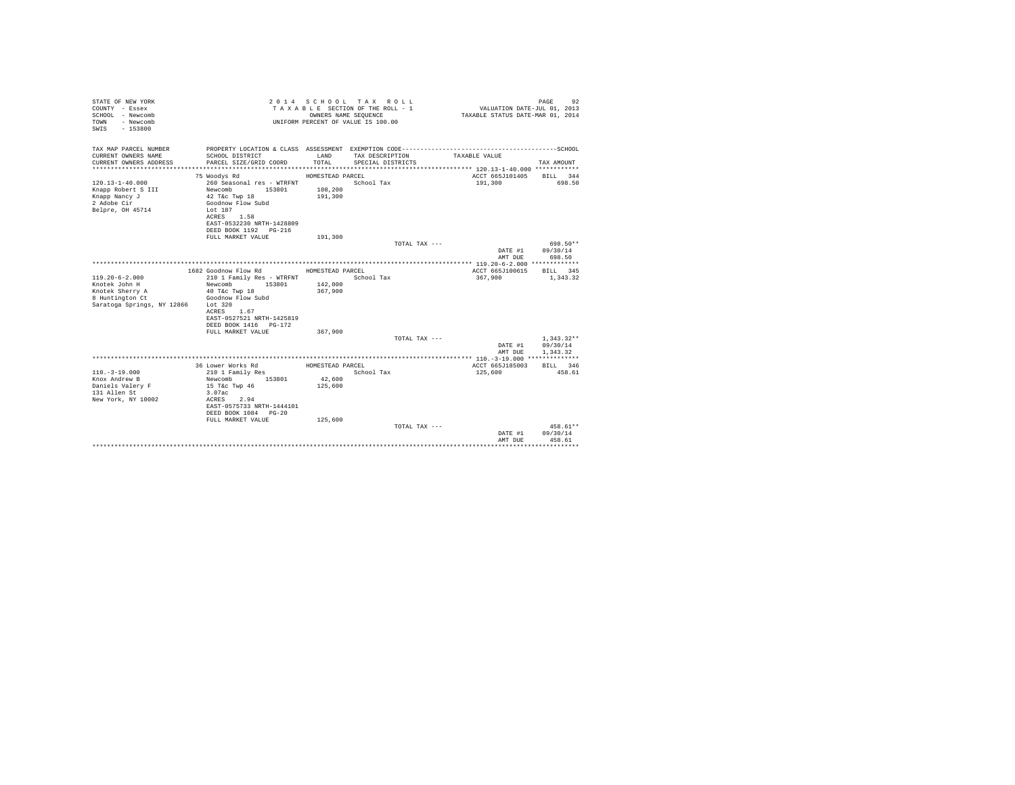| STATE OF NEW YORK<br>COUNTY - Essex<br>SCHOOL - Newcomb<br>- Newcomb<br>TOWN<br>$-153800$<br>SWIS |                                                        |                  | 2014 SCHOOL TAX ROLL<br>TAXABLE SECTION OF THE ROLL - 1<br>OWNERS NAME SEOUENCE<br>UNIFORM PERCENT OF VALUE IS 100.00 | VALUATION DATE-JUL 01, 2013<br>TAXABLE STATUS DATE-MAR 01, 2014 | PAGE<br>92           |
|---------------------------------------------------------------------------------------------------|--------------------------------------------------------|------------------|-----------------------------------------------------------------------------------------------------------------------|-----------------------------------------------------------------|----------------------|
| TAX MAP PARCEL NUMBER<br>CURRENT OWNERS NAME                                                      | SCHOOL DISTRICT                                        | LAND             | TAX DESCRIPTION                                                                                                       | TAXABLE VALUE                                                   |                      |
| CURRENT OWNERS ADDRESS                                                                            | PARCEL SIZE/GRID COORD                                 | TOTAL            | SPECIAL DISTRICTS                                                                                                     |                                                                 | TAX AMOUNT           |
|                                                                                                   |                                                        |                  |                                                                                                                       |                                                                 |                      |
|                                                                                                   | 75 Woodys Rd                                           | HOMESTEAD PARCEL |                                                                                                                       | ACCT 665J101405 BILL 344                                        |                      |
| $120.13 - 1 - 40.000$                                                                             | 260 Seasonal res - WTRFNT                              |                  | School Tax                                                                                                            | 191,300                                                         | 698.50               |
| Knapp Robert S III                                                                                | Newcomb<br>153801                                      | 108,200          |                                                                                                                       |                                                                 |                      |
| Knapp Nancy J                                                                                     | $42$ T&C Twp $18$                                      | 191,300          |                                                                                                                       |                                                                 |                      |
| 2 Adobe Cir                                                                                       | Goodnow Flow Subd                                      |                  |                                                                                                                       |                                                                 |                      |
| Belpre, OH 45714                                                                                  | Lot 187                                                |                  |                                                                                                                       |                                                                 |                      |
|                                                                                                   | ACRES 1.58<br>EAST-0532230 NRTH-1428809                |                  |                                                                                                                       |                                                                 |                      |
|                                                                                                   | DEED BOOK 1192   PG-216                                |                  |                                                                                                                       |                                                                 |                      |
|                                                                                                   | FULL MARKET VALUE                                      | 191,300          |                                                                                                                       |                                                                 |                      |
|                                                                                                   |                                                        |                  | TOTAL TAX ---                                                                                                         |                                                                 | 698.50**             |
|                                                                                                   |                                                        |                  |                                                                                                                       | DATE #1 09/30/14                                                |                      |
|                                                                                                   |                                                        |                  |                                                                                                                       | AMT DUE                                                         | 698.50               |
|                                                                                                   |                                                        |                  |                                                                                                                       |                                                                 |                      |
|                                                                                                   | 1682 Goodnow Flow Rd                                   | HOMESTEAD PARCEL |                                                                                                                       | ACCT 665J100615                                                 | <b>BILL</b> 345      |
| $119.20 - 6 - 2.000$<br>Knotek John H                                                             | 210 1 Family Res - WTRFNT<br>153801 142,000<br>Newcomb |                  | School Tax                                                                                                            | 367,900                                                         | 1,343,32             |
| Knotek Sherry A                                                                                   | 40 T&c Twp 18                                          | 367,900          |                                                                                                                       |                                                                 |                      |
| 8 Huntington Ct                                                                                   | Goodnow Flow Subd                                      |                  |                                                                                                                       |                                                                 |                      |
| Saratoga Springs, NY 12866                                                                        | Lot 320                                                |                  |                                                                                                                       |                                                                 |                      |
|                                                                                                   | ACRES 1.67                                             |                  |                                                                                                                       |                                                                 |                      |
|                                                                                                   | EAST-0527521 NRTH-1425819                              |                  |                                                                                                                       |                                                                 |                      |
|                                                                                                   | DEED BOOK 1416 PG-172                                  |                  |                                                                                                                       |                                                                 |                      |
|                                                                                                   | FULL MARKET VALUE                                      | 367,900          |                                                                                                                       |                                                                 |                      |
|                                                                                                   |                                                        |                  | TOTAL TAX ---                                                                                                         |                                                                 | $1,343.32**$         |
|                                                                                                   |                                                        |                  |                                                                                                                       | DATE #1                                                         | 09/30/14<br>1,343.32 |
|                                                                                                   |                                                        |                  |                                                                                                                       | AMT DUE                                                         |                      |
|                                                                                                   | 36 Lower Works Rd                                      | HOMESTEAD PARCEL |                                                                                                                       | ACCT 665J185003                                                 | BILL 346             |
| $110.-3-19.000$                                                                                   | 210 1 Family Res                                       |                  | School Tax                                                                                                            | 125,600                                                         | 458.61               |
| Knox Andrew B                                                                                     | Newcomb<br>153801                                      | 42,600           |                                                                                                                       |                                                                 |                      |
| Daniels Valery F                                                                                  | 15 T&C Twp 46                                          | 125,600          |                                                                                                                       |                                                                 |                      |
| 131 Allen St                                                                                      | 3.07ac                                                 |                  |                                                                                                                       |                                                                 |                      |
| New York, NY 10002                                                                                | ACRES 2.94                                             |                  |                                                                                                                       |                                                                 |                      |
|                                                                                                   | EAST-0575733 NRTH-1444101<br>DEED BOOK 1084 PG-20      |                  |                                                                                                                       |                                                                 |                      |
|                                                                                                   | FULL MARKET VALUE                                      | 125,600          |                                                                                                                       |                                                                 |                      |
|                                                                                                   |                                                        |                  | TOTAL TAX ---                                                                                                         |                                                                 | $458.61**$           |
|                                                                                                   |                                                        |                  |                                                                                                                       | DATE #1                                                         | 09/30/14             |
|                                                                                                   |                                                        |                  |                                                                                                                       | AMT DUE                                                         | 458.61               |
|                                                                                                   |                                                        |                  |                                                                                                                       |                                                                 |                      |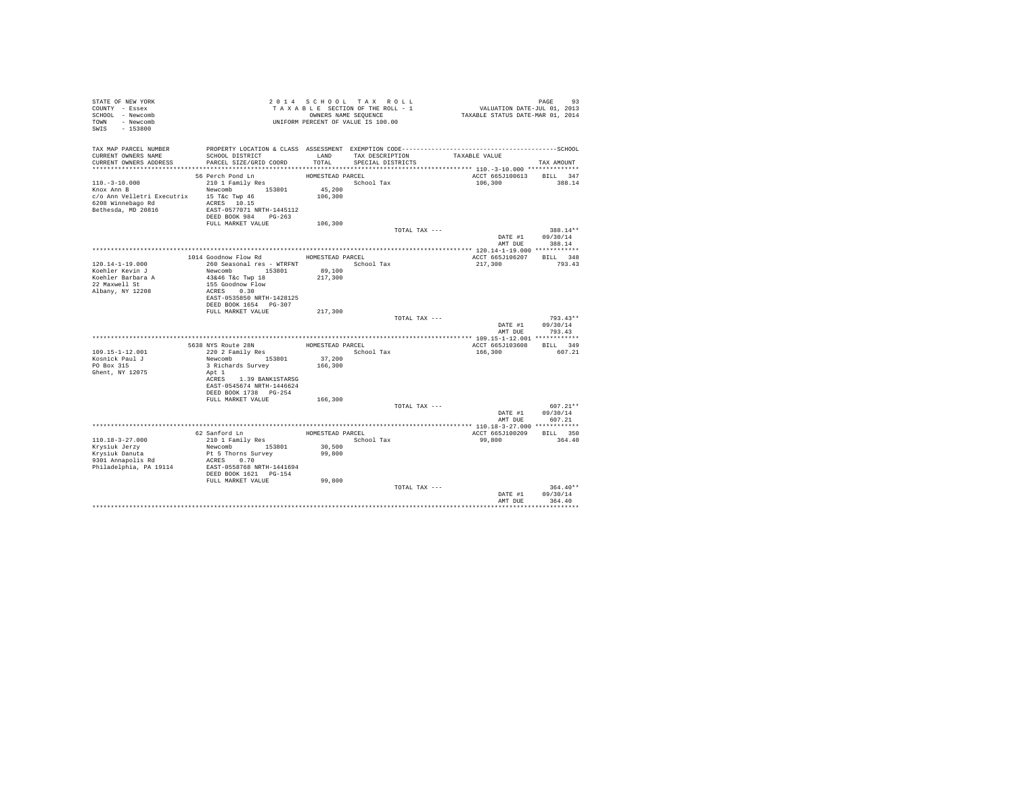| STATE OF NEW YORK<br>COUNTY - Essex<br>SCHOOL - Newcomb<br>TOWN - Newcomb<br>SWIS - 153800 |                                                                                                                 |                  | 2014 SCHOOL TAX ROLL<br>TAXABLE SECTION OF THE ROLL - 1<br>OWNERS NAME SEQUENCE<br>UNIFORM PERCENT OF VALUE IS 100.00 | PAGE 93<br>VALUATION DATE-JUL 01, 2013<br>TAXABLE STATUS DATE-MAR 01, 2014 |                          |
|--------------------------------------------------------------------------------------------|-----------------------------------------------------------------------------------------------------------------|------------------|-----------------------------------------------------------------------------------------------------------------------|----------------------------------------------------------------------------|--------------------------|
| TAX MAP PARCEL NUMBER<br>CURRENT OWNERS NAME                                               | PROPERTY LOCATION & CLASS ASSESSMENT EXEMPTION CODE-----------------------------------SCHOOL<br>SCHOOL DISTRICT | LAND             | TAX DESCRIPTION                                                                                                       | TAXABLE VALUE                                                              |                          |
| CURRENT OWNERS ADDRESS                                                                     | PARCEL SIZE/GRID COORD                                                                                          | TOTAL            | SPECIAL DISTRICTS                                                                                                     |                                                                            | TAX AMOUNT               |
|                                                                                            | 56 Perch Pond Ln                                                                                                | HOMESTEAD PARCEL |                                                                                                                       |                                                                            | ACCT 665J100613 BILL 347 |
| $110. - 3 - 10.000$                                                                        | 210 1 Family Res                                                                                                |                  | School Tax                                                                                                            | 106,300                                                                    | 388.14                   |
| Knox Ann B                                                                                 | Newcomb 153801                                                                                                  | 45,200           |                                                                                                                       |                                                                            |                          |
| c/o Ann Velletri Executrix 15 T&c Twp 46                                                   |                                                                                                                 | 106,300          |                                                                                                                       |                                                                            |                          |
| 6208 Winnebago Rd ACRES 10.15                                                              |                                                                                                                 |                  |                                                                                                                       |                                                                            |                          |
| Bethesda, MD 20816                                                                         | EAST-0577071 NRTH-1445112                                                                                       |                  |                                                                                                                       |                                                                            |                          |
|                                                                                            | DEED BOOK 984 PG-263<br>FULL MARKET VALUE                                                                       | 106,300          |                                                                                                                       |                                                                            |                          |
|                                                                                            |                                                                                                                 |                  |                                                                                                                       | TOTAL TAX ---                                                              | 388.14**                 |
|                                                                                            |                                                                                                                 |                  |                                                                                                                       |                                                                            | DATE #1 09/30/14         |
|                                                                                            |                                                                                                                 |                  |                                                                                                                       |                                                                            | AMT DUE 388.14           |
|                                                                                            |                                                                                                                 |                  |                                                                                                                       |                                                                            |                          |
|                                                                                            | 1014 Goodnow Flow Rd                                                                                            | HOMESTEAD PARCEL |                                                                                                                       | ACCT 665J106207                                                            | BILL 348<br>793.43       |
| 120.14-1-19.000<br>Koehler Kevin J                                                         | 260 Seasonal res - WTRFNT<br>Newcomb 153801                                                                     | 89,100           | School Tax                                                                                                            | 217,300                                                                    |                          |
| Koehler Barbara A                                                                          | 43&46 T&c Twp 18                                                                                                | 217,300          |                                                                                                                       |                                                                            |                          |
| 22 Maxwell St                                                                              | 155 Goodnow Flow                                                                                                |                  |                                                                                                                       |                                                                            |                          |
| Albany, NY 12208                                                                           | ACRES 0.30                                                                                                      |                  |                                                                                                                       |                                                                            |                          |
|                                                                                            | EAST-0535850 NRTH-1428125<br>DEED BOOK 1654 PG-307                                                              |                  |                                                                                                                       |                                                                            |                          |
|                                                                                            | FULL MARKET VALUE                                                                                               | 217,300          |                                                                                                                       |                                                                            |                          |
|                                                                                            |                                                                                                                 |                  |                                                                                                                       | TOTAL TAX ---                                                              | $793.43**$               |
|                                                                                            |                                                                                                                 |                  |                                                                                                                       |                                                                            | DATE #1 09/30/14         |
|                                                                                            |                                                                                                                 |                  |                                                                                                                       |                                                                            | AMT DUE 793.43           |
|                                                                                            |                                                                                                                 | HOMESTEAD PARCEL |                                                                                                                       |                                                                            | ACCT 665J103608 BILL 349 |
| 109.15-1-12.001                                                                            | 5638 NYS Route 28N<br>220 2 Family Res                                                                          |                  | School Tax                                                                                                            | 166,300                                                                    | 607.21                   |
| Kosnick Paul J                                                                             | Newcomb 153801                                                                                                  | 37,200           |                                                                                                                       |                                                                            |                          |
| PO Box 315                                                                                 | 3 Richards Survey                                                                                               | 166,300          |                                                                                                                       |                                                                            |                          |
| Ghent, NY 12075                                                                            | Apt 1                                                                                                           |                  |                                                                                                                       |                                                                            |                          |
|                                                                                            | ACRES 1.39 BANK1STARSG<br>EAST-0545674 NRTH-1446624                                                             |                  |                                                                                                                       |                                                                            |                          |
|                                                                                            | DEED BOOK 1738 PG-254                                                                                           |                  |                                                                                                                       |                                                                            |                          |
|                                                                                            | FULL MARKET VALUE                                                                                               | 166,300          |                                                                                                                       |                                                                            |                          |
|                                                                                            |                                                                                                                 |                  |                                                                                                                       | TOTAL TAX ---                                                              | $607.21**$               |
|                                                                                            |                                                                                                                 |                  |                                                                                                                       |                                                                            | DATE #1<br>09/30/14      |
|                                                                                            |                                                                                                                 |                  |                                                                                                                       |                                                                            | AMT DUE 607.21           |
|                                                                                            | 62 Sanford Ln                                                                                                   |                  | HOMESTEAD PARCEL                                                                                                      |                                                                            | ACCT 665J100209 BILL 350 |
| $110.18 - 3 - 27.000$                                                                      | 210 1 Family Res                                                                                                |                  | School Tax                                                                                                            | 99,800                                                                     | 364.40                   |
| Krysiuk Jerzy                                                                              | Newcomb 153801                                                                                                  | 30,500           |                                                                                                                       |                                                                            |                          |
| Krvsiuk Danuta                                                                             | Pt 5 Thorns Survey                                                                                              | 99,800           |                                                                                                                       |                                                                            |                          |
| 9301 Annapolis Rd                                                                          | ACRES 0.70                                                                                                      |                  |                                                                                                                       |                                                                            |                          |
| Philadelphia, PA 19114                                                                     | EAST-0558768 NRTH-1441694<br>DEED BOOK 1621 PG-154                                                              |                  |                                                                                                                       |                                                                            |                          |
|                                                                                            | FULL MARKET VALUE                                                                                               | 99,800           |                                                                                                                       |                                                                            |                          |
|                                                                                            |                                                                                                                 |                  |                                                                                                                       | TOTAL TAX ---                                                              | $364.40**$               |
|                                                                                            |                                                                                                                 |                  |                                                                                                                       |                                                                            | DATE #1 09/30/14         |
|                                                                                            |                                                                                                                 |                  |                                                                                                                       | AMT DUE                                                                    | 364.40                   |
|                                                                                            |                                                                                                                 |                  |                                                                                                                       |                                                                            |                          |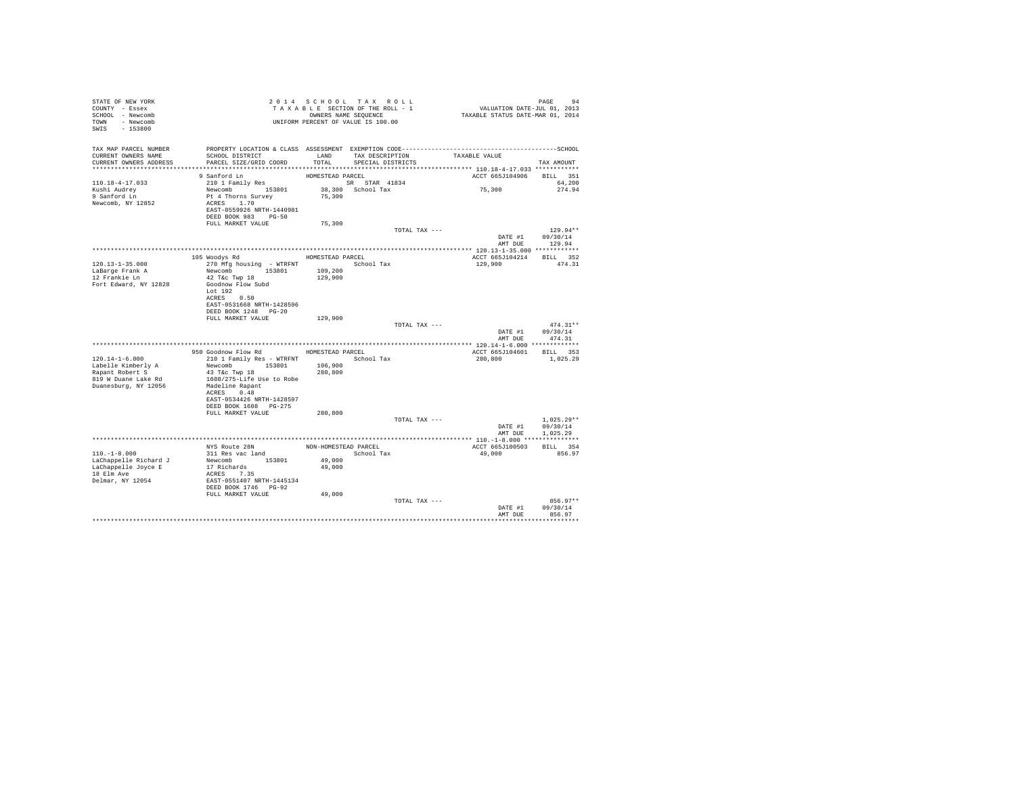| STATE OF NEW YORK<br>COUNTY - Essex<br>SCHOOL - Newcomb<br>TOWN - Newcomb<br>SWIS - 153800         |                                                                                     | 2014 SCHOOL TAX ROLL<br>TAXABLE SECTION OF THE ROLL - 1<br>OWNERS NAME SEQUENCE |                                      |               | PAGE 94<br>VALUATION DATE-JUL 01, 2013<br>TAXABLE STATUS DATE-MAR 01, 2014 |                                    |
|----------------------------------------------------------------------------------------------------|-------------------------------------------------------------------------------------|---------------------------------------------------------------------------------|--------------------------------------|---------------|----------------------------------------------------------------------------|------------------------------------|
| TAX MAP PARCEL NUMBER<br>CURRENT OWNERS NAME<br>CURRENT OWNERS ADDRESS<br>************************ | SCHOOL DISTRICT<br>PARCEL SIZE/GRID COORD                                           | LAND<br>TOTAL                                                                   | TAX DESCRIPTION<br>SPECIAL DISTRICTS |               | TAXABLE VALUE                                                              | TAX AMOUNT                         |
| 110.18-4-17.033<br>Kushi Audrey<br>9 Sanford Ln                                                    | 9 Sanford Ln<br>210 1 Family Res<br>Newcomb 153801<br>Pt 4 Thorns Survey            | HOMESTEAD PARCEL<br>SR STAR 41834<br>75,300                                     | 38,300 School Tax                    |               | ACCT 665J104906<br>75,300                                                  | BILL 351<br>64,200<br>274.94       |
| Newcomb, NY 12852                                                                                  | ACRES 1.70<br>EAST-0559926 NRTH-1440981<br>DEED BOOK 983 PG-50<br>FULL MARKET VALUE | 75,300                                                                          |                                      |               |                                                                            |                                    |
|                                                                                                    |                                                                                     |                                                                                 |                                      | TOTAL TAX --- |                                                                            | $129.94**$                         |
|                                                                                                    |                                                                                     |                                                                                 |                                      |               |                                                                            | DATE #1 09/30/14<br>AMT DUE 129.94 |
|                                                                                                    |                                                                                     |                                                                                 |                                      |               |                                                                            |                                    |
|                                                                                                    | 105 Woodys Rd                                                                       | HOMESTEAD PARCEL                                                                |                                      |               | ACCT 665J104214 BILL 352                                                   |                                    |
| 120.13-1-35.000                                                                                    | 270 Mfg housing - WTRFNT School Tax                                                 |                                                                                 |                                      |               | 129,900                                                                    | 474.31                             |
| LaBarge Frank A                                                                                    | Newcomb 153801                                                                      | 109,200                                                                         |                                      |               |                                                                            |                                    |
| 12 Frankie Ln                                                                                      | 42 T&c Twp 18                                                                       | 129,900                                                                         |                                      |               |                                                                            |                                    |
| Fort Edward, NY 12828                                                                              | Goodnow Flow Subd                                                                   |                                                                                 |                                      |               |                                                                            |                                    |
|                                                                                                    | Lot 192                                                                             |                                                                                 |                                      |               |                                                                            |                                    |
|                                                                                                    | ACRES 0.50                                                                          |                                                                                 |                                      |               |                                                                            |                                    |
|                                                                                                    | EAST-0531668 NRTH-1428596                                                           |                                                                                 |                                      |               |                                                                            |                                    |
|                                                                                                    | DEED BOOK 1248 PG-20<br>FULL MARKET VALUE                                           |                                                                                 |                                      |               |                                                                            |                                    |
|                                                                                                    |                                                                                     | 129,900                                                                         |                                      | TOTAL TAX --- |                                                                            | $474.31**$                         |
|                                                                                                    |                                                                                     |                                                                                 |                                      |               | DATE #1 09/30/14                                                           |                                    |
|                                                                                                    |                                                                                     |                                                                                 |                                      |               | AMT DUE                                                                    | 474.31                             |
|                                                                                                    |                                                                                     |                                                                                 |                                      |               |                                                                            |                                    |
|                                                                                                    | 950 Goodnow Flow Rd                                                                 | HOMESTEAD PARCEL                                                                |                                      |               | ACCT 665J104601 BILL 353                                                   |                                    |
| $120.14 - 1 - 6.000$                                                                               | 210 1 Family Res - WTRFNT                                                           |                                                                                 | School Tax                           |               | 280,800                                                                    | 1,025.29                           |
| Labelle Kimberly A                                                                                 | Newcomb 153801                                                                      | 106,900                                                                         |                                      |               |                                                                            |                                    |
| Rapant Robert S                                                                                    | 43 T&C Twp 18                                                                       | 280,800                                                                         |                                      |               |                                                                            |                                    |
| 819 W Duane Lake Rd                                                                                | 1608/275-Life Use to Robe                                                           |                                                                                 |                                      |               |                                                                            |                                    |
| Duanesburg, NY 12056                                                                               | Madeline Rapant                                                                     |                                                                                 |                                      |               |                                                                            |                                    |
|                                                                                                    | ACRES 0.48                                                                          |                                                                                 |                                      |               |                                                                            |                                    |
|                                                                                                    | EAST-0534426 NRTH-1428597                                                           |                                                                                 |                                      |               |                                                                            |                                    |
|                                                                                                    | DEED BOOK 1608 PG-275                                                               |                                                                                 |                                      |               |                                                                            |                                    |
|                                                                                                    | FULL MARKET VALUE                                                                   | 280,800                                                                         |                                      |               |                                                                            |                                    |
|                                                                                                    |                                                                                     |                                                                                 |                                      | TOTAL TAX --- |                                                                            | $1.025.29**$                       |
|                                                                                                    |                                                                                     |                                                                                 |                                      |               |                                                                            | DATE #1 09/30/14                   |
|                                                                                                    |                                                                                     |                                                                                 |                                      |               | AMT DUE                                                                    | 1,025.29                           |
|                                                                                                    |                                                                                     |                                                                                 |                                      |               |                                                                            |                                    |
| $110. -1 - 8.000$                                                                                  | NYS Route 28N<br>311 Res vac land                                                   |                                                                                 | NON-HOMESTEAD PARCEL<br>School Tax   |               | ACCT 665J100503<br>49,000                                                  | RTT.T. 354<br>856.97               |
|                                                                                                    | Newcomb 153801                                                                      |                                                                                 |                                      |               |                                                                            |                                    |
| LaChappelle Richard J<br>LaChappelle Joyce E                                                       | 17 Richards                                                                         | 49,000<br>49,000                                                                |                                      |               |                                                                            |                                    |
| 18 Elm Ave                                                                                         | ACRES 7.35                                                                          |                                                                                 |                                      |               |                                                                            |                                    |
| Delmar, NY 12054                                                                                   |                                                                                     |                                                                                 |                                      |               |                                                                            |                                    |
|                                                                                                    | EAST-0551407 NRTH-1445134<br>DEED BOOK 1746 PG-92                                   |                                                                                 |                                      |               |                                                                            |                                    |
|                                                                                                    | FULL MARKET VALUE                                                                   | 49,000                                                                          |                                      |               |                                                                            |                                    |
|                                                                                                    |                                                                                     |                                                                                 |                                      | TOTAL TAX --- |                                                                            | 856.97**                           |
|                                                                                                    |                                                                                     |                                                                                 |                                      |               | DATE #1                                                                    | 09/30/14                           |
|                                                                                                    |                                                                                     |                                                                                 |                                      |               | AMT DUE                                                                    | 856.97                             |
|                                                                                                    |                                                                                     |                                                                                 |                                      |               |                                                                            |                                    |
|                                                                                                    |                                                                                     |                                                                                 |                                      |               |                                                                            |                                    |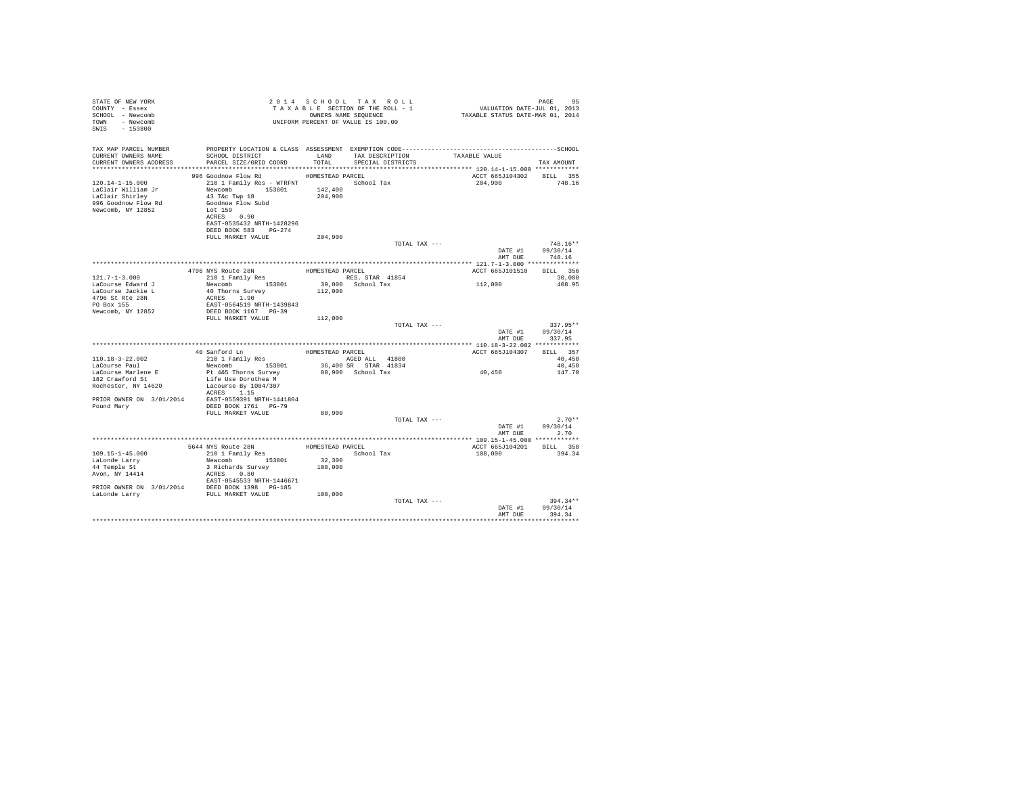| STATE OF NEW YORK<br>COUNTY - Essex<br>SCHOOL - Newcomb<br>TOWN - Newcomb<br>SWIS - 153800                                                                                                                                                        |                                                                                                                                                                                                            |         | 2014 SCHOOL TAX ROLL<br>UNIFORM PERCENT OF VALUE IS 100.00 |                                                                                              | 95<br>PAGE                         |
|---------------------------------------------------------------------------------------------------------------------------------------------------------------------------------------------------------------------------------------------------|------------------------------------------------------------------------------------------------------------------------------------------------------------------------------------------------------------|---------|------------------------------------------------------------|----------------------------------------------------------------------------------------------|------------------------------------|
| TAX MAP PARCEL NUMBER<br>CURRENT OWNERS NAME<br>CURRENT OWNERS ADDRESS PARCEL SIZE/GRID COORD TOTAL SPECIAL DISTRICTS                                                                                                                             | SCHOOL DISTRICT TAND TAX DESCRIPTION TAXABLE VALUE                                                                                                                                                         |         |                                                            | PROPERTY LOCATION & CLASS ASSESSMENT EXEMPTION CODE-----------------------------------SCHOOL | TAX AMOUNT                         |
| 120.14-1-15.000                                                                                                                                                                                                                                   | 996 Goodnow Flow Rd MOMESTEAD PARCEL<br>210 1 Family Res - WTRFNT School Tax                                                                                                                               |         |                                                            | ACCT 665J104302 BILL 355<br>204,900                                                          | 748.16                             |
| ${\small \begin{tabular}{lcccc} Laclair William Jr & Newcomb & 153801 & 142,400 \\ Laclair Shirley & 43 Tkc Two 18 & 204,900 \\ Newcomb & 153801 & 142,400 \\ 996 Goodnow Flow Flow & & & & & \\ Newcomb, NY 12852 & Lot 159 & \\ \end{tabular}}$ | ACRES 0.90<br>EAST-0535432 NRTH-1428296<br>DEED BOOK 583 PG-274                                                                                                                                            |         |                                                            |                                                                                              |                                    |
|                                                                                                                                                                                                                                                   | FULL MARKET VALUE                                                                                                                                                                                          | 204,900 | TOTAL TAX ---                                              |                                                                                              | $748.16**$                         |
|                                                                                                                                                                                                                                                   |                                                                                                                                                                                                            |         |                                                            |                                                                                              | DATE #1 09/30/14                   |
|                                                                                                                                                                                                                                                   |                                                                                                                                                                                                            |         |                                                            |                                                                                              | AMT DUE 748.16                     |
|                                                                                                                                                                                                                                                   | 4796 NYS Route 28N HOMESTEAD PARCEL 210 1 Family Res<br>HOMESTEAD PARCEL 210 1 Family Ress. STAR 41854 Revolution 153801 39,000 School Tax ACRES 1.90<br>$\sim$ 112,000 School Tax ACRES 1.90 NRTH-1439843 |         |                                                            | ACCT 665J101510 BILL 356                                                                     |                                    |
| $121.7 - 1 - 3.000$                                                                                                                                                                                                                               |                                                                                                                                                                                                            |         |                                                            | 112,000                                                                                      | 30,000                             |
| LaCourse Edward J                                                                                                                                                                                                                                 |                                                                                                                                                                                                            |         |                                                            |                                                                                              | 408.95                             |
| LaCourse Jackie L<br>4796 St Rte 28N                                                                                                                                                                                                              |                                                                                                                                                                                                            |         |                                                            |                                                                                              |                                    |
| PO Box 155                                                                                                                                                                                                                                        |                                                                                                                                                                                                            |         |                                                            |                                                                                              |                                    |
| Newcomb, NY 12852                                                                                                                                                                                                                                 | DEED BOOK 1167 PG-39                                                                                                                                                                                       |         |                                                            |                                                                                              |                                    |
|                                                                                                                                                                                                                                                   | FULL MARKET VALUE 112,000                                                                                                                                                                                  |         |                                                            |                                                                                              |                                    |
|                                                                                                                                                                                                                                                   |                                                                                                                                                                                                            |         | TOTAL TAX ---                                              |                                                                                              | $337.95**$                         |
|                                                                                                                                                                                                                                                   |                                                                                                                                                                                                            |         |                                                            |                                                                                              | DATE #1 09/30/14<br>AMT DUE 337.95 |
|                                                                                                                                                                                                                                                   |                                                                                                                                                                                                            |         |                                                            |                                                                                              |                                    |
|                                                                                                                                                                                                                                                   | 40 Sanford Ln<br>210 1 Family Res<br>NGED ALL 41800<br>Newcomb 153801 36,400 SR STAR 41834<br>Reserved Drama Current Communication Coheal Tar                                                              |         |                                                            | ACCT 665J104307 BILL 357<br>40,450<br>40.450                                                 |                                    |
| 110.18-3-22.002                                                                                                                                                                                                                                   |                                                                                                                                                                                                            |         |                                                            |                                                                                              |                                    |
| LaCourse Paul                                                                                                                                                                                                                                     |                                                                                                                                                                                                            |         |                                                            |                                                                                              | 40.450                             |
| LaCourse Marlene E                                                                                                                                                                                                                                | Pt 4&5 Thorns Survey                                                                                                                                                                                       |         | 80,900 School Tax                                          | $40\,,\,450$                                                                                 | 147.70                             |
| 182 Crawford St                                                                                                                                                                                                                                   | Life Use Dorothea M                                                                                                                                                                                        |         |                                                            |                                                                                              |                                    |
| Rochester, NY 14620 Lacourse By 1084/307                                                                                                                                                                                                          | ACRES 1.15                                                                                                                                                                                                 |         |                                                            |                                                                                              |                                    |
|                                                                                                                                                                                                                                                   |                                                                                                                                                                                                            |         |                                                            |                                                                                              |                                    |
|                                                                                                                                                                                                                                                   |                                                                                                                                                                                                            |         |                                                            |                                                                                              |                                    |
|                                                                                                                                                                                                                                                   | FULL MARKET VALUE                                                                                                                                                                                          | 80,900  |                                                            |                                                                                              |                                    |
|                                                                                                                                                                                                                                                   |                                                                                                                                                                                                            |         | TOTAL TAX ---                                              |                                                                                              | $2.70**$                           |
|                                                                                                                                                                                                                                                   |                                                                                                                                                                                                            |         |                                                            |                                                                                              | DATE #1 09/30/14                   |
|                                                                                                                                                                                                                                                   |                                                                                                                                                                                                            |         |                                                            |                                                                                              | AMT DUE 2.70                       |
|                                                                                                                                                                                                                                                   |                                                                                                                                                                                                            |         |                                                            |                                                                                              |                                    |
|                                                                                                                                                                                                                                                   |                                                                                                                                                                                                            |         |                                                            | ACCT 665J104201 BILL 358                                                                     |                                    |
|                                                                                                                                                                                                                                                   |                                                                                                                                                                                                            |         |                                                            | 108,000 394.34                                                                               |                                    |
|                                                                                                                                                                                                                                                   |                                                                                                                                                                                                            |         |                                                            |                                                                                              |                                    |
|                                                                                                                                                                                                                                                   |                                                                                                                                                                                                            |         |                                                            |                                                                                              |                                    |
|                                                                                                                                                                                                                                                   |                                                                                                                                                                                                            |         |                                                            |                                                                                              |                                    |
|                                                                                                                                                                                                                                                   |                                                                                                                                                                                                            |         |                                                            |                                                                                              |                                    |
|                                                                                                                                                                                                                                                   |                                                                                                                                                                                                            |         |                                                            |                                                                                              |                                    |
|                                                                                                                                                                                                                                                   |                                                                                                                                                                                                            |         | TOTAL TAX ---                                              |                                                                                              | $394.34**$                         |
|                                                                                                                                                                                                                                                   |                                                                                                                                                                                                            |         |                                                            |                                                                                              | DATE #1 09/30/14                   |
|                                                                                                                                                                                                                                                   |                                                                                                                                                                                                            |         |                                                            | AMT DUE                                                                                      | 394.34                             |
|                                                                                                                                                                                                                                                   |                                                                                                                                                                                                            |         |                                                            |                                                                                              |                                    |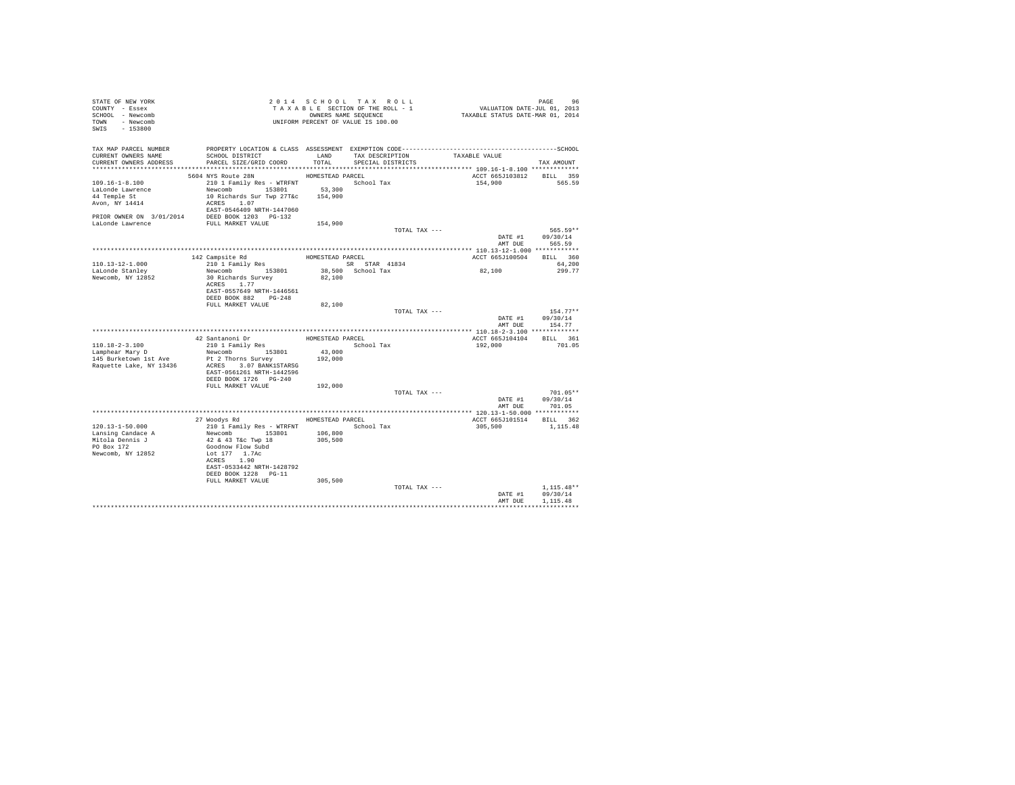| STATE OF NEW YORK                                                                    |                                                                                             |                  |                                    |                                                                            |                  |
|--------------------------------------------------------------------------------------|---------------------------------------------------------------------------------------------|------------------|------------------------------------|----------------------------------------------------------------------------|------------------|
| COUNTY - Essex                                                                       |                                                                                             |                  | TAXABLE SECTION OF THE ROLL - 1    |                                                                            |                  |
| SCHOOL - Newcomb                                                                     |                                                                                             |                  | OWNERS NAME SEQUENCE               | PAGE 96<br>VALUATION DATE-JUL 01, 2013<br>TAXABLE STATUS DATE-MAR 01, 2014 |                  |
| TOWN - Newcomb                                                                       |                                                                                             |                  |                                    |                                                                            |                  |
| SWIS - 153800                                                                        |                                                                                             |                  |                                    |                                                                            |                  |
|                                                                                      | TAXABLE SECTION OF THE AVALUE TO OWNERS NAME SEQUENCE<br>UNIFORM PERCENT OF VALUE IS 100.00 |                  |                                    |                                                                            |                  |
|                                                                                      |                                                                                             |                  |                                    |                                                                            |                  |
| TAX MAP PARCEL NUMBER                                                                |                                                                                             |                  |                                    |                                                                            |                  |
| CURRENT OWNERS NAME                                                                  | SCHOOL DISTRICT                                                                             |                  | LAND TAX DESCRIPTION TAXABLE VALUE |                                                                            |                  |
| CURRENT OWNERS ADDRESS                                                               | PARCEL SIZE/GRID COORD                                                                      | TOTAL            | SPECIAL DISTRICTS                  |                                                                            | TAX AMOUNT       |
|                                                                                      |                                                                                             |                  |                                    |                                                                            |                  |
|                                                                                      | 5604 NYS Route 28N                                                                          | HOMESTEAD PARCEL |                                    | ACCT 665J103812 BILL 359                                                   |                  |
| $109.16 - 1 - 8.100$                                                                 | 210 1 Family Res - WTRFNT School Tax                                                        |                  |                                    |                                                                            | 154,900 565.59   |
| LaLonde Lawrence                                                                     | Newcomb 153801 53,300                                                                       |                  |                                    |                                                                            |                  |
| 44 Temple St                                                                         | 10 Richards Sur Twp 27T&c 154,900                                                           |                  |                                    |                                                                            |                  |
|                                                                                      | ACRES 1.07                                                                                  |                  |                                    |                                                                            |                  |
|                                                                                      | EAST-0546409 NRTH-1447060                                                                   |                  |                                    |                                                                            |                  |
| PRIOR OWNER ON 3/01/2014 DEED BOOK 1203 PG-132<br>LaLonde Lawrence FULL MARKET VALUE |                                                                                             |                  |                                    |                                                                            |                  |
|                                                                                      |                                                                                             |                  |                                    |                                                                            |                  |
|                                                                                      |                                                                                             | 154,900          |                                    |                                                                            |                  |
|                                                                                      |                                                                                             |                  | TOTAL TAX ---                      |                                                                            | 565.59**         |
|                                                                                      |                                                                                             |                  |                                    |                                                                            | DATE #1 09/30/14 |
|                                                                                      |                                                                                             |                  |                                    |                                                                            | AMT DUE 565.59   |
|                                                                                      |                                                                                             |                  |                                    |                                                                            |                  |
|                                                                                      | 142 Campsite Rd<br>210 1 Family Res                                                         |                  | HOMESTEAD PARCEL                   | ACCT 665J100504 BILL 360                                                   |                  |
| 110.13-12-1.000                                                                      |                                                                                             |                  | SR STAR 41834                      |                                                                            | 64,200           |
| LaLonde Stanley                                                                      | Newcomb 153801                                                                              |                  | 38,500 School Tax<br>82,100        | 82,100                                                                     | 299.77           |
| Newcomb, NY 12852                                                                    | 30 Richards Survey                                                                          |                  |                                    |                                                                            |                  |
|                                                                                      | ACRES 1.77                                                                                  |                  |                                    |                                                                            |                  |
|                                                                                      | EAST-0557649 NRTH-1446561                                                                   |                  |                                    |                                                                            |                  |
|                                                                                      | DEED BOOK 882 PG-248                                                                        |                  |                                    |                                                                            |                  |
|                                                                                      | FULL MARKET VALUE                                                                           | 82,100           |                                    |                                                                            |                  |
|                                                                                      |                                                                                             |                  |                                    |                                                                            |                  |
|                                                                                      |                                                                                             |                  |                                    |                                                                            | $154.77**$       |
|                                                                                      |                                                                                             |                  | TOTAL TAX ---                      |                                                                            |                  |
|                                                                                      |                                                                                             |                  |                                    |                                                                            | DATE #1 09/30/14 |
|                                                                                      |                                                                                             |                  |                                    | AMT DUE                                                                    | 154.77           |
|                                                                                      |                                                                                             |                  |                                    |                                                                            |                  |
|                                                                                      | 42 Santanoni Dr                                                                             |                  | HOMESTEAD PARCEL                   | ACCT 665J104104 BILL 361                                                   |                  |
| $110.18 - 2 - 3.100$                                                                 | 210 1 Family Res                                                                            |                  | School Tax                         | 192,000                                                                    | 701.05           |
| Lamphear Mary D                                                                      | Newcomb 153801                                                                              | 43,000           |                                    |                                                                            |                  |
| 145 Burketown 1st Ave                                                                |                                                                                             |                  |                                    |                                                                            |                  |
| Raquette Lake, NY 13436                                                              | Pt 2 Thorns Survey 192,000<br>ACRES 3.07 BANK1STARSG                                        |                  |                                    |                                                                            |                  |
|                                                                                      | EAST-0561261 NRTH-1442596                                                                   |                  |                                    |                                                                            |                  |
|                                                                                      | DEED BOOK 1726 PG-240                                                                       |                  |                                    |                                                                            |                  |
|                                                                                      | FULL MARKET VALUE                                                                           | 192,000          |                                    |                                                                            |                  |
|                                                                                      |                                                                                             |                  | TOTAL TAX ---                      |                                                                            | $701.05**$       |
|                                                                                      |                                                                                             |                  |                                    |                                                                            | DATE #1 09/30/14 |
|                                                                                      |                                                                                             |                  |                                    | AMT DUE                                                                    | 701.05           |
|                                                                                      |                                                                                             |                  |                                    |                                                                            |                  |
|                                                                                      | 27 Woodys Rd MOMESTEAD PARCEL                                                               |                  |                                    | ACCT 665J101514 BILL 362                                                   |                  |
| 120.13-1-50.000                                                                      | 210 1 Family Res - WTRFNT                                                                   |                  | School Tax                         | 305,500                                                                    | 1,115.48         |
| Lansing Candace A                                                                    |                                                                                             |                  |                                    |                                                                            |                  |
| Mitola Dennis J                                                                      | Newcomb 153801 106,800<br>42 & 43 T&c Twp 18 305,500                                        |                  |                                    |                                                                            |                  |
| PO Box 172                                                                           | Goodnow Flow Subd                                                                           |                  |                                    |                                                                            |                  |
| Newcomb, NY 12852                                                                    | Lot 177 1.7Ac                                                                               |                  |                                    |                                                                            |                  |
|                                                                                      | ACRES 1.90                                                                                  |                  |                                    |                                                                            |                  |
|                                                                                      | EAST-0533442 NRTH-1428792                                                                   |                  |                                    |                                                                            |                  |
|                                                                                      | DEED BOOK 1228 PG-11                                                                        |                  |                                    |                                                                            |                  |
|                                                                                      | FULL MARKET VALUE                                                                           | 305,500          |                                    |                                                                            |                  |
|                                                                                      |                                                                                             |                  | TOTAL TAX ---                      |                                                                            | $1.115.48**$     |
|                                                                                      |                                                                                             |                  |                                    | DATE #1                                                                    | 09/30/14         |
|                                                                                      |                                                                                             |                  |                                    | AMT DUE                                                                    | 1,115,48         |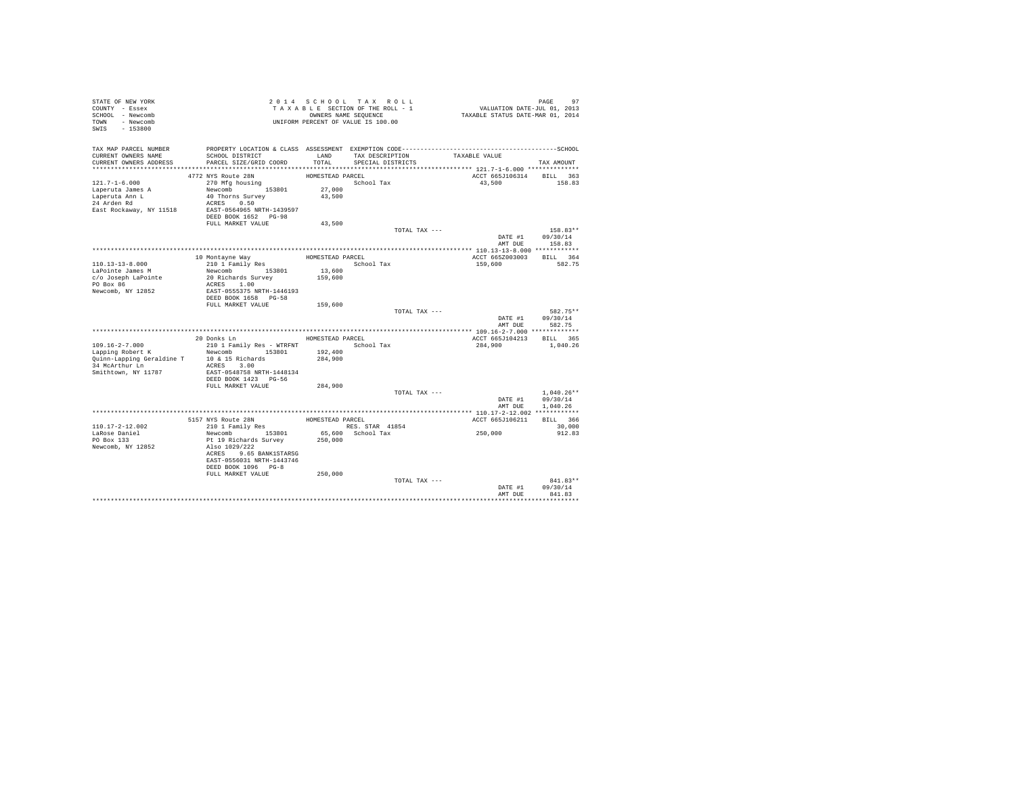| STATE OF NEW YORK<br>COUNTY - Essex |                                                            |                  | 2014 SCHOOL TAX ROLL<br>TAXABLE SECTION OF THE ROLL - 1 | PAGE 97<br>VALUATION DATE-JUL 01, 2013<br>TAXABLE STATUS DATE-MAR 01, 2014 |                    |
|-------------------------------------|------------------------------------------------------------|------------------|---------------------------------------------------------|----------------------------------------------------------------------------|--------------------|
| SCHOOL - Newcomb<br>TOWN - Newcomb  | OWNERS NAME SEQUENCE<br>UNIFORM PERCENT OF VALUE IS 100.00 |                  |                                                         |                                                                            |                    |
| SWIS<br>$-153800$                   |                                                            |                  |                                                         |                                                                            |                    |
| TAX MAP PARCEL NUMBER               |                                                            |                  |                                                         |                                                                            |                    |
| CURRENT OWNERS NAME                 | SCHOOL DISTRICT                                            | LAND             | TAX DESCRIPTION                                         | TAXABLE VALUE                                                              |                    |
| CURRENT OWNERS ADDRESS              | PARCEL SIZE/GRID COORD                                     | TOTAL            | SPECIAL DISTRICTS                                       |                                                                            | TAX AMOUNT         |
|                                     |                                                            |                  |                                                         |                                                                            |                    |
|                                     | 4772 NYS Route 28N                                         | HOMESTEAD PARCEL |                                                         | ACCT 665J106314 BILL 363                                                   |                    |
| $121.7 - 1 - 6.000$                 | 270 Mfa housina                                            |                  | School Tax                                              | 43,500                                                                     | 158.83             |
| Laperuta James A<br>Laperuta Ann L  | Newcomb 153801<br>40 Thorns Survey                         | 27,000<br>43.500 |                                                         |                                                                            |                    |
| 24 Arden Rd                         | ACRES 0.50                                                 |                  |                                                         |                                                                            |                    |
| East Rockaway, NY 11518             | EAST-0564965 NRTH-1439597                                  |                  |                                                         |                                                                            |                    |
|                                     | DEED BOOK 1652 PG-98                                       |                  |                                                         |                                                                            |                    |
|                                     | FULL MARKET VALUE                                          | 43,500           |                                                         |                                                                            |                    |
|                                     |                                                            |                  | TOTAL TAX ---                                           |                                                                            | 158.83**           |
|                                     |                                                            |                  |                                                         | DATE #1                                                                    | 09/30/14           |
|                                     |                                                            |                  |                                                         | AMT DUR                                                                    | 158.83             |
|                                     |                                                            |                  |                                                         |                                                                            |                    |
|                                     | 10 Montayne Way<br>210 1 Family Res                        | HOMESTEAD PARCEL |                                                         | ACCT 665Z003003                                                            | BILL 364<br>582.75 |
| 110.13-13-8.000<br>LaPointe James M | Newcomb 153801                                             | 13,600           | School Tax                                              | 159,600                                                                    |                    |
| c/o Joseph LaPointe                 | 20 Richards Survey                                         | 159,600          |                                                         |                                                                            |                    |
| PO Box 86                           | ACRES 1.00                                                 |                  |                                                         |                                                                            |                    |
| Newcomb, NY 12852                   | EAST-0555375 NRTH-1446193                                  |                  |                                                         |                                                                            |                    |
|                                     | DEED BOOK 1658 PG-58                                       |                  |                                                         |                                                                            |                    |
|                                     | FULL MARKET VALUE                                          | 159,600          |                                                         |                                                                            |                    |
|                                     |                                                            |                  | TOTAL TAX ---                                           |                                                                            | 582.75**           |
|                                     |                                                            |                  |                                                         | DATE #1<br>AMT DUE                                                         | 09/30/14<br>582.75 |
|                                     |                                                            |                  |                                                         |                                                                            |                    |
|                                     | 20 Donks Ln                                                | HOMESTEAD PARCEL |                                                         | ACCT 665J104213 BILL 365                                                   |                    |
| $109.16 - 2 - 7.000$                | 210 1 Family Res - WTRFNT                                  |                  | School Tax                                              | 284,900                                                                    | 1,040.26           |
| Lapping Robert K                    | Newcomb 153801                                             | 192,400          |                                                         |                                                                            |                    |
| Quinn-Lapping Geraldine T           | 10 & 15 Richards                                           | 284,900          |                                                         |                                                                            |                    |
| 34 McArthur Ln                      | ACRES 3.00                                                 |                  |                                                         |                                                                            |                    |
| Smithtown, NY 11787                 | EAST-0548758 NRTH-1448134                                  |                  |                                                         |                                                                            |                    |
|                                     | DEED BOOK 1423 PG-56<br>FULL MARKET VALUE                  | 284,900          |                                                         |                                                                            |                    |
|                                     |                                                            |                  | TOTAL TAX ---                                           |                                                                            | $1,040.26**$       |
|                                     |                                                            |                  |                                                         |                                                                            | DATE #1 09/30/14   |
|                                     |                                                            |                  |                                                         | AMT DUE                                                                    | 1,040.26           |
|                                     |                                                            |                  |                                                         |                                                                            |                    |
|                                     | 5157 NYS Route 28N                                         | HOMESTEAD PARCEL |                                                         | ACCT 665J106211                                                            | BILL 366           |
| 110.17-2-12.002                     | 210 1 Family Res                                           |                  | RES. STAR 41854                                         |                                                                            | 30,000             |
| LaRose Daniel                       | Newcomb 153801                                             |                  | 65,600 School Tax                                       | 250,000                                                                    | 912.83             |
| PO Box 133<br>Newcomb, NY 12852     | Pt 19 Richards Survey<br>Also 1029/222                     | 250,000          |                                                         |                                                                            |                    |
|                                     | ACRES 9.65 BANK1STARSG                                     |                  |                                                         |                                                                            |                    |
|                                     | EAST-0556031 NRTH-1443746                                  |                  |                                                         |                                                                            |                    |
|                                     | DEED BOOK 1096 PG-8                                        |                  |                                                         |                                                                            |                    |
|                                     | FULL MARKET VALUE                                          | 250,000          |                                                         |                                                                            |                    |
|                                     |                                                            |                  | TOTAL TAX ---                                           |                                                                            | $841.83**$         |
|                                     |                                                            |                  |                                                         | DATE #1                                                                    | 09/30/14           |
|                                     |                                                            |                  |                                                         | AMT DUE                                                                    | 841.83             |
|                                     |                                                            |                  |                                                         |                                                                            |                    |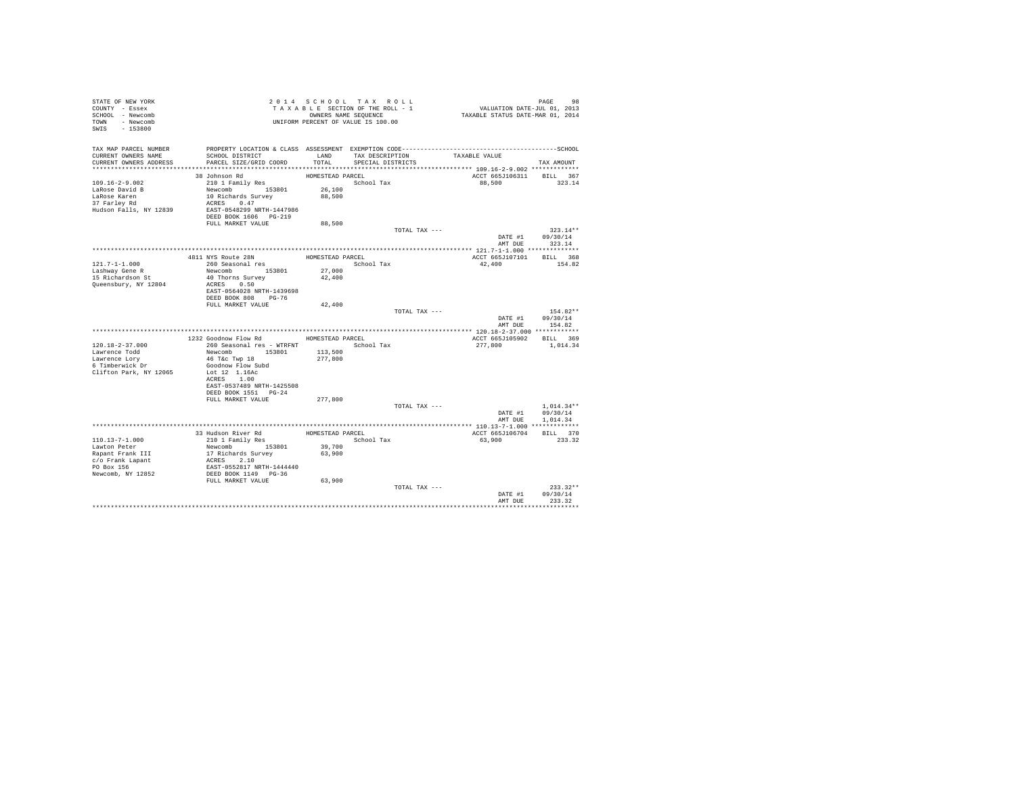| COUNTY - Essex<br>SCHOOL - Newcomb<br>TOWN - Newcomb |                                                          |                  | 2014 SCHOOL TAX ROLL<br>TAXABLE SECTION OF THE ROLL - 1<br>OWNERS NAME SEQUENCE<br>UNIFORM PERCENT OF VALUE IS 100.00 | 98 PAGE 98<br>VALUATION DATE-JUL 01, 2013<br>TAXABLE STATUS DATE-MAR 01, 2014                                 |                          |
|------------------------------------------------------|----------------------------------------------------------|------------------|-----------------------------------------------------------------------------------------------------------------------|---------------------------------------------------------------------------------------------------------------|--------------------------|
| SWIS - 153800                                        |                                                          |                  |                                                                                                                       |                                                                                                               |                          |
| TAX MAP PARCEL NUMBER<br>CURRENT OWNERS NAME         | SCHOOL DISTRICT                                          | LAND             | TAX DESCRIPTION                                                                                                       | PROPERTY LOCATION & CLASS ASSESSMENT EXEMPTION CODE-----------------------------------SCHOOL<br>TAXABLE VALUE |                          |
| CURRENT OWNERS ADDRESS                               | PARCEL SIZE/GRID COORD                                   | TOTAL.           | SPECIAL DISTRICTS                                                                                                     |                                                                                                               | TAX AMOUNT               |
|                                                      |                                                          |                  |                                                                                                                       |                                                                                                               |                          |
|                                                      | 38 Johnson Rd                                            | HOMESTEAD PARCEL |                                                                                                                       | ACCT 665J106311 BILL 367                                                                                      |                          |
| $109.16 - 2 - 9.002$<br>LaRose David B               | 210 1 Family Res                                         | 26,100           | School Tax                                                                                                            | 88,500                                                                                                        | 323.14                   |
| LaRose Karen                                         | Newcomb 153801<br>10 Richards Survey                     | 88,500           |                                                                                                                       |                                                                                                               |                          |
| 37 Farley Rd                                         | ACRES 0.47                                               |                  |                                                                                                                       |                                                                                                               |                          |
| Hudson Falls, NY 12839                               | EAST-0548299 NRTH-1447986                                |                  |                                                                                                                       |                                                                                                               |                          |
|                                                      | DEED BOOK 1606 PG-219                                    |                  |                                                                                                                       |                                                                                                               |                          |
|                                                      | FULL MARKET VALUE                                        | 88,500           |                                                                                                                       |                                                                                                               |                          |
|                                                      |                                                          |                  | TOTAL TAX ---                                                                                                         |                                                                                                               | $323.14**$               |
|                                                      |                                                          |                  |                                                                                                                       | DATE #1                                                                                                       | 09/30/14                 |
|                                                      |                                                          |                  |                                                                                                                       |                                                                                                               | AMT DUE 323.14           |
|                                                      |                                                          |                  |                                                                                                                       |                                                                                                               |                          |
|                                                      | 4811 NYS Route 28N                                       | HOMESTEAD PARCEL |                                                                                                                       | ACCT 665J107101 BILL 368                                                                                      |                          |
| 121.7-1-1.000                                        | 260 Seasonal res                                         |                  | School Tax                                                                                                            | 42,400                                                                                                        | 154.82                   |
| Lashway Gene R<br>15 Richardson St                   | Newcomb 153801                                           | 27,000           |                                                                                                                       |                                                                                                               |                          |
|                                                      | 40 Thorns Survey                                         | 42,400           |                                                                                                                       |                                                                                                               |                          |
| Queensbury, NY 12804                                 | ACRES 0.50                                               |                  |                                                                                                                       |                                                                                                               |                          |
|                                                      | EAST-0564028 NRTH-1439698<br>DEED BOOK 808 PG-76         |                  |                                                                                                                       |                                                                                                               |                          |
|                                                      | FULL MARKET VALUE                                        | 42,400           |                                                                                                                       |                                                                                                               |                          |
|                                                      |                                                          |                  | TOTAL TAX ---                                                                                                         |                                                                                                               | $154.82**$               |
|                                                      |                                                          |                  |                                                                                                                       |                                                                                                               |                          |
|                                                      |                                                          |                  |                                                                                                                       |                                                                                                               |                          |
|                                                      |                                                          |                  |                                                                                                                       | DATE #1<br>AMT DUE                                                                                            | 09/30/14<br>154.82       |
|                                                      |                                                          |                  |                                                                                                                       |                                                                                                               |                          |
|                                                      | 1232 Goodnow Flow Rd                                     | HOMESTEAD PARCEL |                                                                                                                       | ACCT 665J105902 BILL 369                                                                                      |                          |
| $120.18 - 2 - 37.000$                                | 260 Seasonal res - WTRFNT                                |                  | School Tax                                                                                                            | 277.800                                                                                                       | 1,014.34                 |
| Lawrence Todd                                        | Newcomb 153801                                           | 113,500          |                                                                                                                       |                                                                                                               |                          |
| Lawrence Lory                                        | 46 T&c Twp 18                                            | 277,800          |                                                                                                                       |                                                                                                               |                          |
| 6 Timberwick Dr                                      | Goodnow Flow Subd                                        |                  |                                                                                                                       |                                                                                                               |                          |
| Clifton Park, NY 12065                               | Lot 12 1.16Ac                                            |                  |                                                                                                                       |                                                                                                               |                          |
|                                                      | ACRES 1.00                                               |                  |                                                                                                                       |                                                                                                               |                          |
|                                                      | EAST-0537489 NRTH-1425508                                |                  |                                                                                                                       |                                                                                                               |                          |
|                                                      | DEED BOOK 1551 PG-24                                     |                  |                                                                                                                       |                                                                                                               |                          |
|                                                      | FULL MARKET VALUE                                        | 277,800          |                                                                                                                       |                                                                                                               |                          |
|                                                      |                                                          |                  | TOTAL TAX ---                                                                                                         | DATE #1                                                                                                       | $1.014.34**$<br>09/30/14 |
|                                                      |                                                          |                  |                                                                                                                       | AMT DUE                                                                                                       | 1,014.34                 |
|                                                      |                                                          |                  |                                                                                                                       |                                                                                                               |                          |
|                                                      |                                                          |                  | HOMESTEAD PARCEL                                                                                                      | ACCT 665J106704 BILL 370                                                                                      |                          |
| $110.13 - 7 - 1.000$                                 |                                                          |                  | School Tax                                                                                                            | 63,900                                                                                                        | 233.32                   |
| Lawton Peter                                         | 33 Hudson River Rd<br>210 1 Family Res<br>Newcomb 153801 | 39,700           |                                                                                                                       |                                                                                                               |                          |
| Rapant Frank III                                     | 17 Richards Survey                                       | 63,900           |                                                                                                                       |                                                                                                               |                          |
| c/o Frank Lapant                                     | ACRES 2.10                                               |                  |                                                                                                                       |                                                                                                               |                          |
| PO Box 156                                           | EAST-0552817 NRTH-1444440                                |                  |                                                                                                                       |                                                                                                               |                          |
| Newcomb, NY 12852                                    | DEED BOOK 1149 PG-36                                     |                  |                                                                                                                       |                                                                                                               |                          |
|                                                      | FULL MARKET VALUE                                        | 63,900           |                                                                                                                       |                                                                                                               |                          |
|                                                      |                                                          |                  | TOTAL TAX ---                                                                                                         |                                                                                                               | $233.32**$               |
|                                                      |                                                          |                  |                                                                                                                       | DATE #1<br>AMT DUE                                                                                            | 09/30/14<br>233.32       |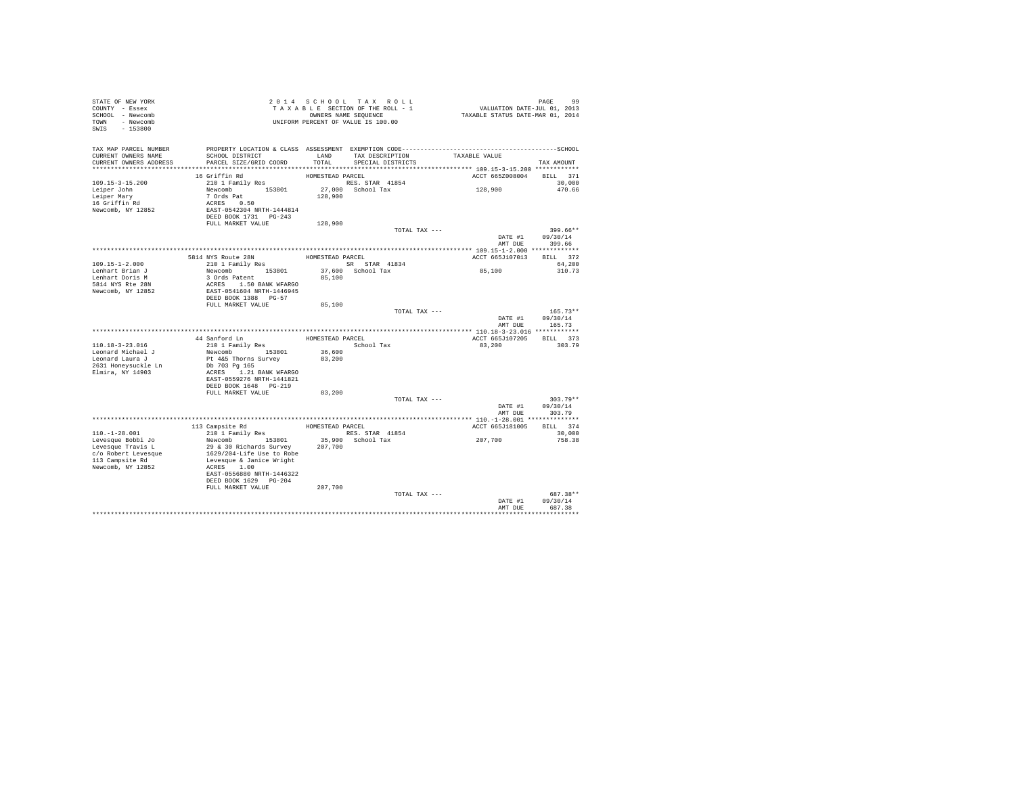| STATE OF NEW YORK<br>COUNTY - Essex<br>SCHOOL - Newcomb<br>TOWN - Newcomb<br>SWIS - 153800 |                                                    |                  | 2014 SCHOOL TAX ROLL<br>TAXABLE SECTION OF THE ROLL - 1<br>OWNERS NAME SEQUENCE<br>UNIFORM PERCENT OF VALUE IS 100.00 | 99 PAGE<br>VALUATION DATE-JUL 01, 2013<br>TAXABLE STATUS DATE-MAR 01, 2014                                    |                            |
|--------------------------------------------------------------------------------------------|----------------------------------------------------|------------------|-----------------------------------------------------------------------------------------------------------------------|---------------------------------------------------------------------------------------------------------------|----------------------------|
| TAX MAP PARCEL NUMBER<br>CURRENT OWNERS NAME<br>CURRENT OWNERS ADDRESS                     | SCHOOL DISTRICT<br>PARCEL SIZE/GRID COORD          | TOTAL            | LAND TAX DESCRIPTION<br>SPECIAL DISTRICTS                                                                             | PROPERTY LOCATION & CLASS ASSESSMENT EXEMPTION CODE-----------------------------------SCHOOL<br>TAXABLE VALUE | TAX AMOUNT                 |
|                                                                                            |                                                    |                  |                                                                                                                       |                                                                                                               |                            |
|                                                                                            | 16 Griffin Rd                                      | HOMESTEAD PARCEL |                                                                                                                       | ACCT 665Z008004                                                                                               | BILL 371                   |
| $109.15 - 3 - 15.200$                                                                      | 210 1 Family Res                                   |                  | RES. STAR 41854                                                                                                       |                                                                                                               | 30,000                     |
| Leiper John                                                                                | Newcomb 153801<br>7 Ords Pat                       |                  | 27,000 School Tax                                                                                                     | 128,900                                                                                                       | 470.66                     |
| Leiper Mary                                                                                |                                                    | 128,900          |                                                                                                                       |                                                                                                               |                            |
| 16 Griffin Rd<br>Newcomb, NY 12852                                                         | ACRES 0.50<br>EAST-0542304 NRTH-1444814            |                  |                                                                                                                       |                                                                                                               |                            |
|                                                                                            | DEED BOOK 1731 PG-243                              |                  |                                                                                                                       |                                                                                                               |                            |
|                                                                                            | FULL MARKET VALUE                                  | 128,900          |                                                                                                                       |                                                                                                               |                            |
|                                                                                            |                                                    |                  | TOTAL TAX ---                                                                                                         |                                                                                                               | 399.66**                   |
|                                                                                            |                                                    |                  |                                                                                                                       | DATE #1                                                                                                       | 09/30/14                   |
|                                                                                            |                                                    |                  |                                                                                                                       | AMT DUE                                                                                                       | 399.66                     |
|                                                                                            |                                                    |                  |                                                                                                                       |                                                                                                               |                            |
|                                                                                            | 5814 NYS Route 28N                                 | HOMESTEAD PARCEL |                                                                                                                       | ACCT 665J107013                                                                                               | BILL 372                   |
| 109.15-1-2.000                                                                             | 210 1 Family Res                                   |                  | SR STAR 41834                                                                                                         |                                                                                                               | 64,200                     |
| Lenhart Brian J                                                                            | Newcomb 153801                                     |                  | 37,600 School Tax                                                                                                     | 85,100                                                                                                        | 310.73                     |
| Lenhart Doris M<br>5814 NYS Rte 28N                                                        | 3 Ords Patent<br>ACRES 1.50 BANK WFARGO            | 85,100           |                                                                                                                       |                                                                                                               |                            |
| Newcomb, NY 12852                                                                          | EAST-0541604 NRTH-1446945                          |                  |                                                                                                                       |                                                                                                               |                            |
|                                                                                            | DEED BOOK 1388 PG-57                               |                  |                                                                                                                       |                                                                                                               |                            |
|                                                                                            | FULL MARKET VALUE                                  | 85,100           |                                                                                                                       |                                                                                                               |                            |
|                                                                                            |                                                    |                  | TOTAL TAX ---                                                                                                         |                                                                                                               | $165.73**$                 |
|                                                                                            |                                                    |                  |                                                                                                                       | DATE #1                                                                                                       | 09/30/14<br>AMT DUE 165.73 |
|                                                                                            |                                                    |                  |                                                                                                                       |                                                                                                               |                            |
|                                                                                            | 44 Sanford Ln                                      |                  | HOMESTEAD PARCEL                                                                                                      | ACCT 665J107205 BILL 373                                                                                      |                            |
| 110.18-3-23.016                                                                            | 210 1 Family Res<br>Newcomb 153801                 |                  | School Tax                                                                                                            | 83,200                                                                                                        | 303.79                     |
| Leonard Michael J<br>Leonard Laura J                                                       | Pt 4&5 Thorns Survey                               | 36,600<br>83,200 |                                                                                                                       |                                                                                                               |                            |
| 2631 Honeysuckle Ln                                                                        | Db 703 Pg 165                                      |                  |                                                                                                                       |                                                                                                               |                            |
| Elmira, NY 14903                                                                           | ACRES 1.21 BANK WFARGO                             |                  |                                                                                                                       |                                                                                                               |                            |
|                                                                                            | EAST-0559276 NRTH-1441821                          |                  |                                                                                                                       |                                                                                                               |                            |
|                                                                                            | DEED BOOK 1648 PG-219                              |                  |                                                                                                                       |                                                                                                               |                            |
|                                                                                            | FULL MARKET VALUE                                  | 83,200           |                                                                                                                       |                                                                                                               |                            |
|                                                                                            |                                                    |                  | TOTAL TAX ---                                                                                                         |                                                                                                               | $303.79**$                 |
|                                                                                            |                                                    |                  |                                                                                                                       | DATE #1                                                                                                       | 09/30/14<br>AMT DUE 303.79 |
|                                                                                            |                                                    |                  |                                                                                                                       |                                                                                                               |                            |
|                                                                                            | 113 Campsite Rd                                    |                  | HOMESTEAD PARCEL                                                                                                      | ACCT 665J181005                                                                                               | BILL 374                   |
| $110.-1-28.001$                                                                            | 210 1 Family Res                                   |                  | RES. STAR 41854                                                                                                       |                                                                                                               | 30,000                     |
| Levesque Bobbi Jo                                                                          | Newcomb 153801                                     |                  | 35,900 School Tax                                                                                                     | 207,700                                                                                                       | 758.38                     |
| Levesque Travis L                                                                          | 29 & 30 Richards Survey                            | 207,700          |                                                                                                                       |                                                                                                               |                            |
| c/o Robert Levesque                                                                        | 1629/204-Life Use to Robe                          |                  |                                                                                                                       |                                                                                                               |                            |
| 113 Campsite Rd                                                                            | Levesque & Janice Wright                           |                  |                                                                                                                       |                                                                                                               |                            |
| Newcomb, NY 12852                                                                          | ACRES 1.00                                         |                  |                                                                                                                       |                                                                                                               |                            |
|                                                                                            | EAST-0556880 NRTH-1446322<br>DEED BOOK 1629 PG-204 |                  |                                                                                                                       |                                                                                                               |                            |
|                                                                                            | FULL MARKET VALUE                                  | 207,700          |                                                                                                                       |                                                                                                               |                            |
|                                                                                            |                                                    |                  | TOTAL TAX ---                                                                                                         |                                                                                                               | 687.38**                   |
|                                                                                            |                                                    |                  |                                                                                                                       | DATE #1                                                                                                       | 09/30/14                   |
|                                                                                            |                                                    |                  |                                                                                                                       | AMT DUE                                                                                                       | 687.38                     |
|                                                                                            |                                                    |                  |                                                                                                                       |                                                                                                               | <b></b>                    |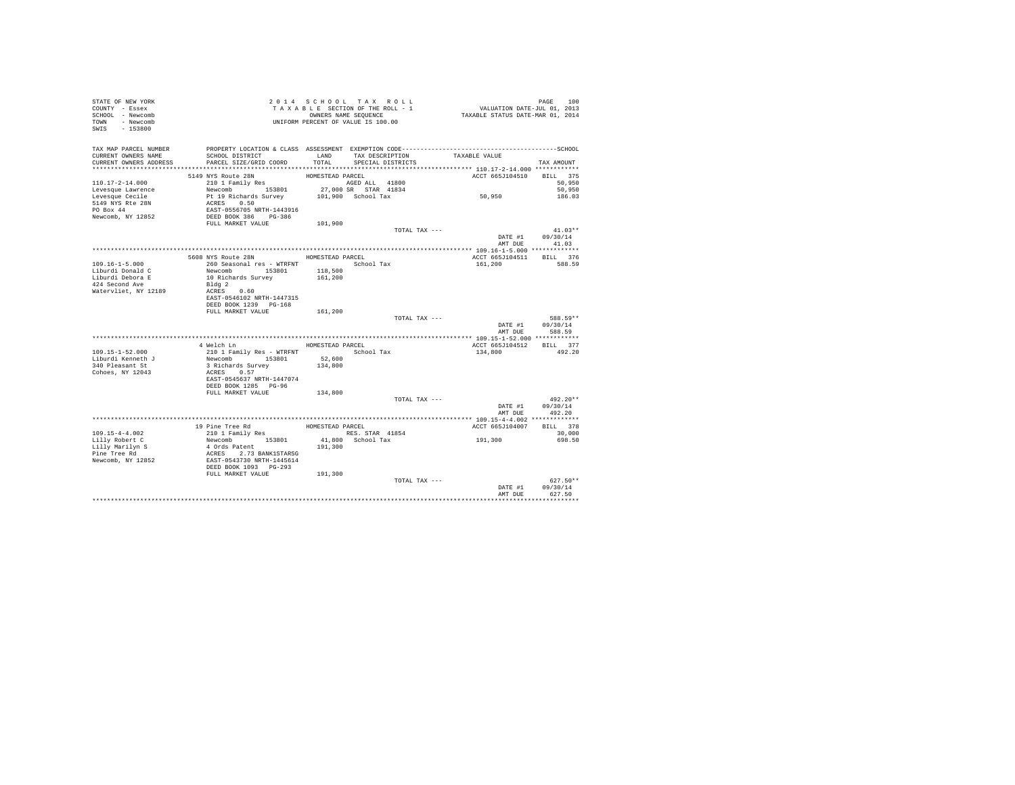| STATE OF NEW YORK<br>COUNTY - Essex<br>SCHOOL - Newcomb<br>TOWN - Newcomb<br>SWIS - 153800 |                                                                                                           |                  | 2014 SCHOOL TAX ROLL<br>UNIFORM PERCENT OF VALUE IS 100.00 |               | PAGE 100 PAGE 100 PAGE 100 PAGE 100 PAGE 100 PAGE 100 PAGE 2010 PAGE 2010 PAGE 100 PAGE 100 PAGE 100 PAGE 100 PAGE 100 PAGE 100 PAGE 100 PAGE 100 PAGE 100 PAGE 100 PAGE 100 PAGE 100 PAGE 100 PAGE 100 PAGE 100 PAGE 100 PAGE | PAGE<br>100       |
|--------------------------------------------------------------------------------------------|-----------------------------------------------------------------------------------------------------------|------------------|------------------------------------------------------------|---------------|--------------------------------------------------------------------------------------------------------------------------------------------------------------------------------------------------------------------------------|-------------------|
| TAX MAP PARCEL NUMBER<br>CURRENT OWNERS NAME<br>CURRENT OWNERS ADDRESS                     | SCHOOL DISTRICT TAND TAX DESCRIPTION<br>PARCEL SIZE/GRID COORD                                            | TOTAL            | SPECIAL DISTRICTS                                          |               | TAXABLE VALUE                                                                                                                                                                                                                  | TAX AMOUNT        |
|                                                                                            |                                                                                                           |                  |                                                            |               |                                                                                                                                                                                                                                |                   |
|                                                                                            |                                                                                                           |                  |                                                            |               | ACCT 665J104510                                                                                                                                                                                                                | BILL 375          |
| $110.17 - 2 - 14.000$                                                                      | 5149 NYS Route 28N HOMESTEAD PARCEL<br>210 1 Family Res<br>$\frac{\text{AGED ALL}}{\text{AGD ALL}}$ 41800 |                  |                                                            |               |                                                                                                                                                                                                                                | 50,950            |
| Levesque Lawrence                                                                          | Newcomb 153801 27,000 SR STAR 41834<br>Pt 19 Richards Survey 101,900 School Tax                           |                  |                                                            |               | 50,950                                                                                                                                                                                                                         | 50,950            |
| Levesque Cecile                                                                            |                                                                                                           |                  |                                                            |               |                                                                                                                                                                                                                                | 186.03            |
| 5149 NYS Rte 28N                                                                           | ACRES 0.50                                                                                                |                  |                                                            |               |                                                                                                                                                                                                                                |                   |
| PO Box 44                                                                                  | EAST-0556705 NRTH-1443916                                                                                 |                  |                                                            |               |                                                                                                                                                                                                                                |                   |
| Newcomb, NY 12852                                                                          | DEED BOOK 386 PG-386                                                                                      |                  |                                                            |               |                                                                                                                                                                                                                                |                   |
|                                                                                            | FULL MARKET VALUE                                                                                         | 101,900          |                                                            |               |                                                                                                                                                                                                                                |                   |
|                                                                                            |                                                                                                           |                  |                                                            | TOTAL TAX --- |                                                                                                                                                                                                                                | $41.03**$         |
|                                                                                            |                                                                                                           |                  |                                                            |               | DATE #1<br>AMT DUE                                                                                                                                                                                                             | 09/30/14<br>41.03 |
|                                                                                            |                                                                                                           |                  |                                                            |               |                                                                                                                                                                                                                                |                   |
|                                                                                            | 5608 NYS Route 28N HOMESTEAD PARCEL                                                                       |                  |                                                            |               | ACCT 665J104511 BILL 376                                                                                                                                                                                                       |                   |
| $109.16 - 1 - 5.000$                                                                       | 260 Seasonal res - WTRFNT                                                                                 |                  | School Tax                                                 |               | 161,200                                                                                                                                                                                                                        | 588.59            |
| Liburdi Donald C                                                                           | Newcomb 153801                                                                                            | 118,500          |                                                            |               |                                                                                                                                                                                                                                |                   |
| Liburdi Debora E                                                                           | 10 Richards Survey                                                                                        | 161,200          |                                                            |               |                                                                                                                                                                                                                                |                   |
| 424 Second Ave                                                                             | Bldg 2                                                                                                    |                  |                                                            |               |                                                                                                                                                                                                                                |                   |
| Watervliet, NY 12189                                                                       | ACRES 0.60                                                                                                |                  |                                                            |               |                                                                                                                                                                                                                                |                   |
|                                                                                            | EAST-0546102 NRTH-1447315                                                                                 |                  |                                                            |               |                                                                                                                                                                                                                                |                   |
|                                                                                            | DEED BOOK 1239 PG-168                                                                                     |                  |                                                            |               |                                                                                                                                                                                                                                |                   |
|                                                                                            | FULL MARKET VALUE                                                                                         | 161,200          |                                                            |               |                                                                                                                                                                                                                                |                   |
|                                                                                            |                                                                                                           |                  |                                                            | TOTAL TAX --- |                                                                                                                                                                                                                                | 588.59**          |
|                                                                                            |                                                                                                           |                  |                                                            |               | DATE #1                                                                                                                                                                                                                        | 09/30/14          |
|                                                                                            |                                                                                                           |                  |                                                            |               | AMT DUE                                                                                                                                                                                                                        | 588.59            |
|                                                                                            |                                                                                                           |                  |                                                            |               |                                                                                                                                                                                                                                |                   |
|                                                                                            | 4 Welch Ln HOMESTEAD PARCEL                                                                               |                  |                                                            |               | ACCT 665J104512 BILL 377                                                                                                                                                                                                       |                   |
| $109.15 - 1 - 52.000$                                                                      | 210 1 Family Res - WTRFNT                                                                                 |                  | School Tax                                                 |               | 134,800                                                                                                                                                                                                                        | 492.20            |
| Liburdi Kenneth J                                                                          | Newcomb 153801                                                                                            | 52,600           |                                                            |               |                                                                                                                                                                                                                                |                   |
| 340 Pleasant St                                                                            | 3 Richards Survey<br>ACRES 0.57                                                                           | 134,800          |                                                            |               |                                                                                                                                                                                                                                |                   |
| Cohoes, NY 12043                                                                           | EAST-0545637 NRTH-1447074                                                                                 |                  |                                                            |               |                                                                                                                                                                                                                                |                   |
|                                                                                            | DEED BOOK 1285 PG-96                                                                                      |                  |                                                            |               |                                                                                                                                                                                                                                |                   |
|                                                                                            | FULL MARKET VALUE                                                                                         | 134,800          |                                                            |               |                                                                                                                                                                                                                                |                   |
|                                                                                            |                                                                                                           |                  |                                                            | TOTAL TAX --- |                                                                                                                                                                                                                                | $492.20**$        |
|                                                                                            |                                                                                                           |                  |                                                            |               | DATE #1                                                                                                                                                                                                                        | 09/30/14          |
|                                                                                            |                                                                                                           |                  |                                                            |               | AMT DUE                                                                                                                                                                                                                        | 492.20            |
|                                                                                            |                                                                                                           |                  |                                                            |               |                                                                                                                                                                                                                                |                   |
|                                                                                            |                                                                                                           | HOMESTEAD PARCEL |                                                            |               | ACCT 665J104007 BILL 378                                                                                                                                                                                                       |                   |
| $109.15 - 4 - 4.002$                                                                       | 19 Pine Tree Rd<br>210 1 Family Res                                                                       |                  | RES. STAR 41854                                            |               |                                                                                                                                                                                                                                | 30,000            |
| Lilly Robert C                                                                             | Newcomb 153801                                                                                            |                  | 41,800 School Tax<br>191,300                               |               | 191,300                                                                                                                                                                                                                        | 698.50            |
| Lilly Marilyn S                                                                            | 4 Ords Patent                                                                                             |                  |                                                            |               |                                                                                                                                                                                                                                |                   |
| Pine Tree Rd                                                                               | ACRES 2.73 BANK1STARSG                                                                                    |                  |                                                            |               |                                                                                                                                                                                                                                |                   |
| Newcomb, NY 12852                                                                          | EAST-0543730 NRTH-1445614                                                                                 |                  |                                                            |               |                                                                                                                                                                                                                                |                   |
|                                                                                            | DEED BOOK 1093 PG-293                                                                                     |                  |                                                            |               |                                                                                                                                                                                                                                |                   |
|                                                                                            | FULL MARKET VALUE 191,300                                                                                 |                  |                                                            |               |                                                                                                                                                                                                                                |                   |
|                                                                                            |                                                                                                           |                  |                                                            | TOTAL TAX --- |                                                                                                                                                                                                                                | $627.50**$        |
|                                                                                            |                                                                                                           |                  |                                                            |               | DATE #1                                                                                                                                                                                                                        | 09/30/14          |
|                                                                                            |                                                                                                           |                  |                                                            |               | AMT DUE                                                                                                                                                                                                                        | 627.50            |
|                                                                                            |                                                                                                           |                  |                                                            |               |                                                                                                                                                                                                                                |                   |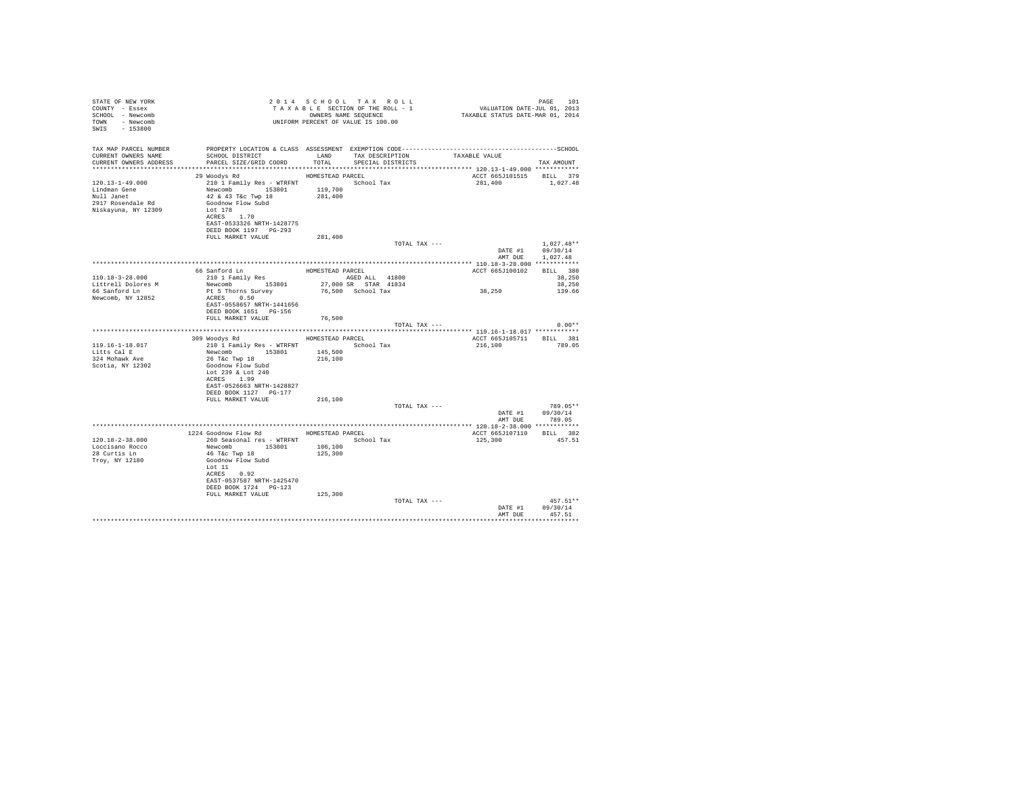| STATE OF NEW YORK<br>COUNTY - Essex<br>SCHOOL - Newcomb<br>TOWN - Newcomb<br>SWIS - 153800 | OWNERS NAME SEQUENCE<br>UNIFORM PERCENT OF VALUE IS 100.00                                                                                                                       |                    | 2014 SCHOOL TAX ROLL<br>TAXABLE SECTION OF THE ROLL - 1<br>OWNERS NAME SEQUENCE | PAGE 101<br>VALUATION DATE-JUL 01, 2013<br>TAXABLE STATUS DATE-MAR 01, 2014         |                                                |
|--------------------------------------------------------------------------------------------|----------------------------------------------------------------------------------------------------------------------------------------------------------------------------------|--------------------|---------------------------------------------------------------------------------|-------------------------------------------------------------------------------------|------------------------------------------------|
| TAX MAP PARCEL NUMBER<br>CURRENT OWNERS NAME                                               | PROPERTY LOCATION & CLASS ASSESSMENT EXEMPTION CODE-----------------------------------SCHOOL<br>SCHOOL DISTRICT                                                                  |                    | LAND TAX DESCRIPTION                                                            | TAXABLE VALUE                                                                       |                                                |
| CURRENT OWNERS ADDRESS                                                                     | PARCEL SIZE/GRID COORD                                                                                                                                                           | TOTAL              | SPECIAL DISTRICTS                                                               |                                                                                     | TAX AMOUNT                                     |
|                                                                                            | HOMESTEAD PARCEL<br>29 Woodys Rd                                                                                                                                                 |                    |                                                                                 | ************************** 120.13-1-49.000 ************<br>ACCT 665J101515 BILL 379 |                                                |
| 120.13-1-49.000<br>Lindman Gene<br>Null Janet<br>2917 Rosendale Rd<br>Niskayuna, NY 12309  | 210 1 Family Res - WTRFNT School Tax<br>Newcomb 153801<br>42 & 43 T&c Twp 18<br>Goodnow Flow Subd<br>Lot 178<br>ACRES 1.70<br>EAST-0533326 NRTH-1428775<br>DEED BOOK 1197 PG-293 | 119,700<br>281,400 |                                                                                 | 281,400 1,027.48                                                                    |                                                |
|                                                                                            | FULL MARKET VALUE                                                                                                                                                                | 281,400            |                                                                                 |                                                                                     |                                                |
|                                                                                            |                                                                                                                                                                                  |                    | TOTAL TAX ---                                                                   | AMT DUE                                                                             | $1.027.48**$<br>DATE #1 09/30/14<br>1,027.48   |
|                                                                                            | 66 Sanford Ln                                                                                                                                                                    | HOMESTEAD PARCEL   |                                                                                 | ACCT 665J100102                                                                     | BILL 380                                       |
| 110.18-3-28.000                                                                            | 210 1 Family Res                                                                                                                                                                 |                    | AGED ALL 41800                                                                  |                                                                                     | 38,250                                         |
| Littrell Dolores M                                                                         | Newcomb 153801                                                                                                                                                                   |                    | 27,000 SR STAR 41834                                                            |                                                                                     | 38,250                                         |
| 66 Sanford Ln                                                                              | Pt 5 Thorns Survey                                                                                                                                                               |                    | 76,500 School Tax                                                               | 38,250                                                                              | 139.66                                         |
| Newcomb, NY 12852                                                                          | ACRES 0.50<br>EAST-0558657 NRTH-1441656<br>DEED BOOK 1651 PG-156                                                                                                                 |                    |                                                                                 |                                                                                     |                                                |
|                                                                                            | FULL MARKET VALUE                                                                                                                                                                | 76,500             | TOTAL TAX ---                                                                   |                                                                                     | $0.00**$                                       |
|                                                                                            |                                                                                                                                                                                  |                    |                                                                                 |                                                                                     |                                                |
|                                                                                            | 309 Woodys Rd MOMESTEAD PARCEL                                                                                                                                                   |                    |                                                                                 | ACCT 665J105711 BILL 381                                                            |                                                |
| $119.16 - 1 - 18.017$                                                                      | 210 1 Family Res - WTRFNT                                                                                                                                                        |                    | School Tax                                                                      | 216,100                                                                             | 789.05                                         |
| Litts Cal E<br>324 Mohawk Ave                                                              | Newcomb 153801<br>26 T&C Twp 18                                                                                                                                                  | 145,500<br>216,100 |                                                                                 |                                                                                     |                                                |
| Scotia, NY 12302                                                                           | Goodnow Flow Subd<br>Lot 239 & Lot 240<br>ACRES 1.99<br>EAST-0526663 NRTH-1428827<br>DEED BOOK 1127 PG-177                                                                       |                    |                                                                                 |                                                                                     |                                                |
|                                                                                            | FULL MARKET VALUE                                                                                                                                                                | 216,100            |                                                                                 |                                                                                     |                                                |
|                                                                                            |                                                                                                                                                                                  |                    | TOTAL TAX ---                                                                   |                                                                                     | 789.05**<br>DATE #1 09/30/14<br>AMT DUE 789.05 |
|                                                                                            |                                                                                                                                                                                  |                    |                                                                                 |                                                                                     |                                                |
|                                                                                            | 1224 Goodnow Flow Rd HOMESTEAD PARCEL                                                                                                                                            |                    |                                                                                 | ACCT 665J107110 BILL 382                                                            |                                                |
| 120.18-2-38.000<br>Loccisano Rocco<br>28 Curtis Ln<br>Troy, NY 12180                       | 260 Seasonal res - WTRFNT<br>Newcomb 153801<br>46 T&c Twp 18<br>Goodnow Flow Subd<br>Lot 11<br>ACRES 0.92<br>EAST-0537587 NRTH-1425470<br>DEED BOOK 1724 PG-123                  | 106,100<br>125,300 | School Tax                                                                      | 125,300                                                                             | 457.51                                         |
|                                                                                            | FULL MARKET VALUE                                                                                                                                                                | 125,300            |                                                                                 |                                                                                     |                                                |
|                                                                                            |                                                                                                                                                                                  |                    | TOTAL TAX ---                                                                   | DATE #1<br>AMT DUE                                                                  | $457.51**$<br>09/30/14<br>457.51               |
|                                                                                            |                                                                                                                                                                                  |                    |                                                                                 |                                                                                     |                                                |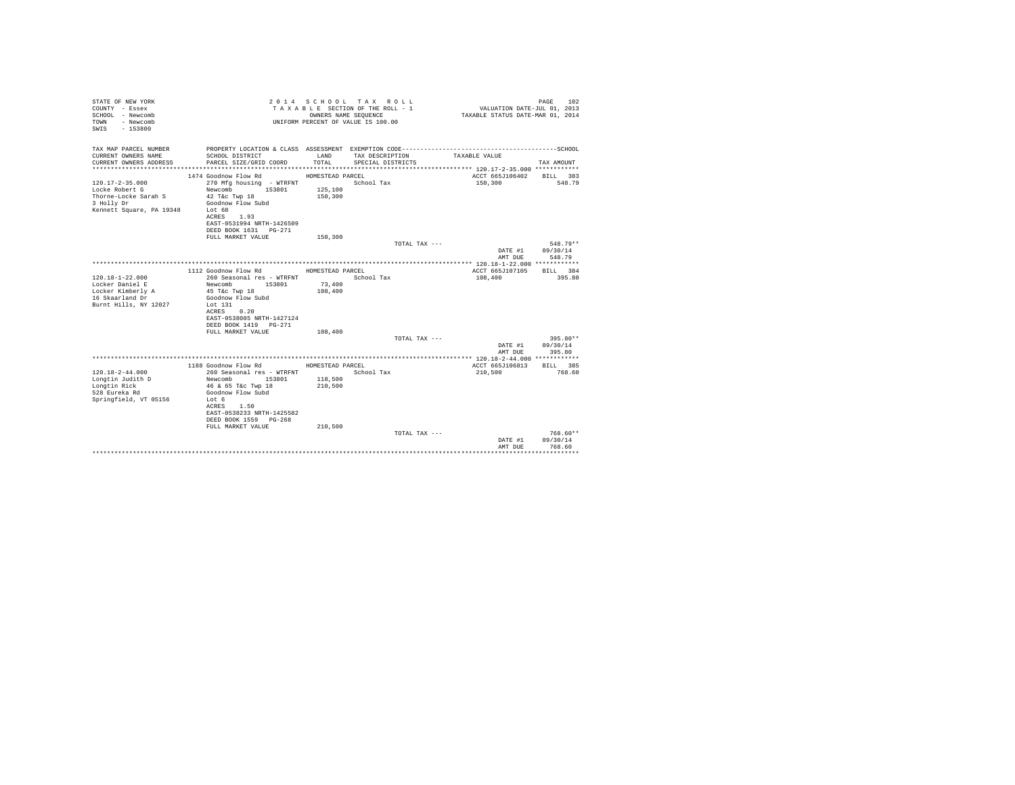| STATE OF NEW YORK<br>COUNTY - Essex<br>SCHOOL - Newcomb<br>- Newcomb<br>TOWN<br>$-153800$<br>SWTS         |                                                                                                                                                                                                                     | OWNERS NAME SEQUENCE                              | 2014 SCHOOL TAX ROLL<br>TAXABLE SECTION OF THE ROLL - 1<br>UNIFORM PERCENT OF VALUE IS 100.00 | VALUATION DATE-JUL 01, 2013<br>TAXABLE STATUS DATE-MAR 01, 2014 | PAGE<br>102                      |
|-----------------------------------------------------------------------------------------------------------|---------------------------------------------------------------------------------------------------------------------------------------------------------------------------------------------------------------------|---------------------------------------------------|-----------------------------------------------------------------------------------------------|-----------------------------------------------------------------|----------------------------------|
| TAX MAP PARCEL NUMBER                                                                                     |                                                                                                                                                                                                                     |                                                   |                                                                                               |                                                                 |                                  |
| CURRENT OWNERS NAME<br>CURRENT OWNERS ADDRESS                                                             | SCHOOL DISTRICT<br>PARCEL SIZE/GRID COORD                                                                                                                                                                           | LAND<br>TOTAL.                                    | TAX DESCRIPTION<br>SPECIAL DISTRICTS                                                          | TAXABLE VALUE                                                   | TAX AMOUNT                       |
|                                                                                                           |                                                                                                                                                                                                                     |                                                   |                                                                                               |                                                                 |                                  |
| $120.17 - 2 - 35.000$<br>Locke Robert G<br>Thorne-Locke Sarah S<br>3 Holly Dr<br>Kennett Square, PA 19348 | 1474 Goodnow Flow Rd<br>270 Mfg housing - WTRFNT<br>153801<br>Newcomb<br>42 T&c Twp 18<br>Goodnow Flow Subd<br>Lot 68<br>ACRES 1.93<br>EAST-0531994 NRTH-1426509<br>DEED BOOK 1631 PG-271                           | HOMESTEAD PARCEL<br>125,100<br>150,300            | School Tax                                                                                    | ACCT 665J106402<br>150,300                                      | BILL 383<br>548.79               |
|                                                                                                           | FULL MARKET VALUE                                                                                                                                                                                                   | 150,300                                           |                                                                                               |                                                                 |                                  |
|                                                                                                           |                                                                                                                                                                                                                     |                                                   | TOTAL TAX ---                                                                                 | DATE #1<br>AMT DUE                                              | $548.79**$<br>09/30/14<br>548.79 |
|                                                                                                           |                                                                                                                                                                                                                     |                                                   |                                                                                               |                                                                 |                                  |
| $120.18 - 1 - 22.000$<br>Locker Daniel E<br>Locker Kimberly A<br>16 Skaarland Dr<br>Burnt Hills, NY 12027 | 1112 Goodnow Flow Rd<br>260 Seasonal res - WTRFNT<br>Newcomb 153801<br>45 T&c Twp 18<br>Goodnow Flow Subd<br>Lot 131<br>0.20<br>ACRES<br>EAST-0538085 NRTH-1427124<br>DEED BOOK 1419   PG-271<br>FULL MARKET VALUE  | HOMESTEAD PARCEL<br>73,400<br>108,400<br>108,400  | School Tax                                                                                    | ACCT 665J107105<br>108,400                                      | RTT.T. 384<br>395.80             |
|                                                                                                           |                                                                                                                                                                                                                     |                                                   | TOTAL TAX ---                                                                                 |                                                                 | 395.80**                         |
|                                                                                                           |                                                                                                                                                                                                                     |                                                   |                                                                                               | DATE #1<br>AMT DUE                                              | 09/30/14<br>395.80               |
|                                                                                                           |                                                                                                                                                                                                                     |                                                   |                                                                                               |                                                                 |                                  |
| $120.18 - 2 - 44.000$<br>Longtin Judith D<br>Longtin Rick<br>528 Eureka Rd<br>Springfield, VT 05156       | 1188 Goodnow Flow Rd<br>260 Seasonal res - WTRFNT<br>Newcomb<br>153801<br>46 & 65 T&c Twp 18<br>Goodnow Flow Subd<br>Lot 6<br>ACRES 1.50<br>EAST-0538233 NRTH-1425582<br>DEED BOOK 1559 PG-268<br>FULL MARKET VALUE | HOMESTEAD PARCEL<br>118,500<br>210,500<br>210,500 | School Tax                                                                                    | ACCT 665J106813<br>210,500                                      | BILL 385<br>768.60               |
|                                                                                                           |                                                                                                                                                                                                                     |                                                   | TOTAL TAX ---                                                                                 | DATE #1<br>AMT DUE                                              | $768.60**$<br>09/30/14<br>768.60 |
|                                                                                                           |                                                                                                                                                                                                                     |                                                   |                                                                                               |                                                                 | *********                        |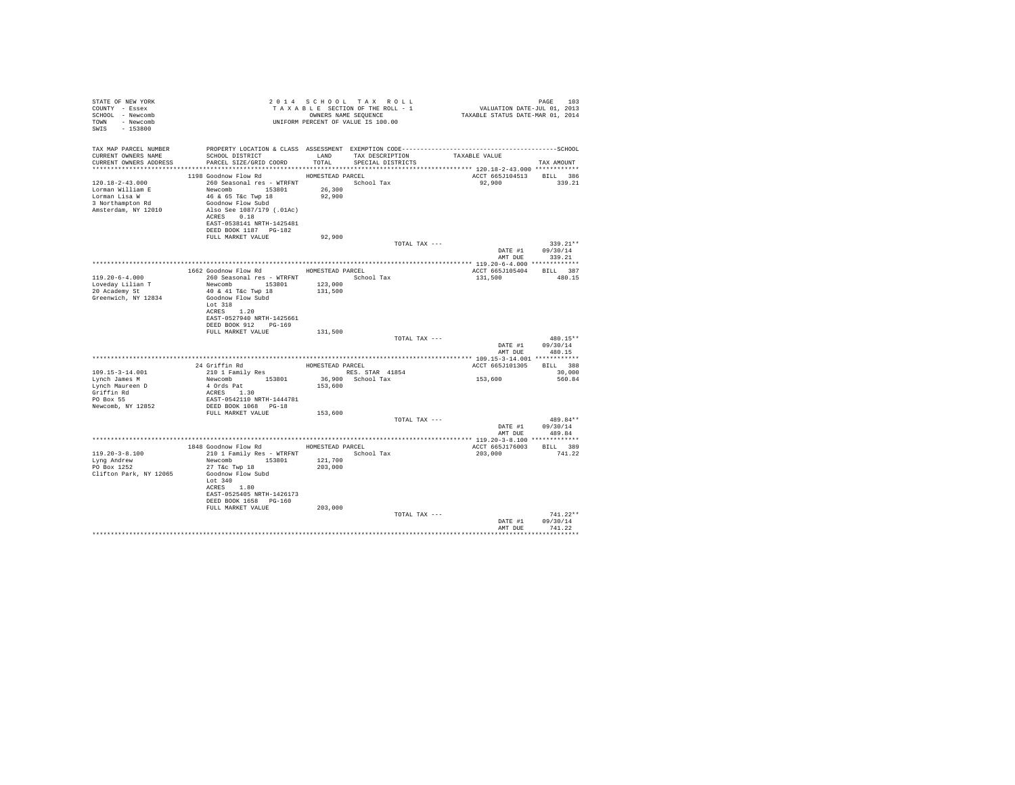| STATE OF NEW YORK<br>COUNTY - Essex<br>SCHOOL - Newcomb<br>TOWN - Newcomb<br>SWIS - 153800 |                                                                                                                                                                                                                                                                                                                                                                                                                                                                                           |         | 2014 SCHOOL TAX ROLL<br>UNIFORM PERCENT OF VALUE IS 100.00 |               | 2014 SCHOOL TAX ROLL (PAGE 103 – 2015)<br>TAXABLE SECTION OF THE ROLL – 1 – VALUATION DATE-JUL (2013)<br>ONNERS NAME SEQUENCE – – – – – TAXABLE STATUS DATE-MAR 01, 2014 | PAGE 103                       |
|--------------------------------------------------------------------------------------------|-------------------------------------------------------------------------------------------------------------------------------------------------------------------------------------------------------------------------------------------------------------------------------------------------------------------------------------------------------------------------------------------------------------------------------------------------------------------------------------------|---------|------------------------------------------------------------|---------------|--------------------------------------------------------------------------------------------------------------------------------------------------------------------------|--------------------------------|
| TAX MAP PARCEL NUMBER                                                                      |                                                                                                                                                                                                                                                                                                                                                                                                                                                                                           |         |                                                            |               |                                                                                                                                                                          |                                |
| CURRENT OWNERS NAME<br>CURRENT OWNERS ADDRESS                                              | SCHOOL DISTRICT                        LAND        TAX DESCRIPTION                   TAXABLE VALUE<br>PARCEL SIZE/GRID COORD TOTAL SPECIAL DISTRICTS                                                                                                                                                                                                                                                                                                                                      |         |                                                            |               |                                                                                                                                                                          | TAX AMOUNT                     |
|                                                                                            |                                                                                                                                                                                                                                                                                                                                                                                                                                                                                           |         |                                                            |               |                                                                                                                                                                          |                                |
|                                                                                            | 1198 Goodnow Flow Rd MOMESTEAD PARCEL                                                                                                                                                                                                                                                                                                                                                                                                                                                     |         |                                                            |               | ACCT 665J104513 BILL 386                                                                                                                                                 |                                |
|                                                                                            | 120.18-2-43.000<br>$260$ Seasonal res – WTRFNT NUMBOLARY School Tax<br>Lorman William E Newcomb 153801<br>26.300<br>26.000<br>26.000<br>26.000<br>26.300<br>26.300<br>26.300<br>26.300<br>26.300<br>26.300<br>26.300<br>26.300<br>26.300<br>26                                                                                                                                                                                                                                            |         |                                                            |               | 92,900 339.21                                                                                                                                                            |                                |
| Lorman Lisa W                                                                              |                                                                                                                                                                                                                                                                                                                                                                                                                                                                                           | 92,900  |                                                            |               |                                                                                                                                                                          |                                |
| 3 Northampton Rd                                                                           | 46 & 65 T&c Twp 18<br>Goodnow Flow Subd                                                                                                                                                                                                                                                                                                                                                                                                                                                   |         |                                                            |               |                                                                                                                                                                          |                                |
| Amsterdam, NY 12010                                                                        | Also See 1087/179 (.01Ac)                                                                                                                                                                                                                                                                                                                                                                                                                                                                 |         |                                                            |               |                                                                                                                                                                          |                                |
|                                                                                            | ACRES 0.18                                                                                                                                                                                                                                                                                                                                                                                                                                                                                |         |                                                            |               |                                                                                                                                                                          |                                |
|                                                                                            | EAST-0538141 NRTH-1425481                                                                                                                                                                                                                                                                                                                                                                                                                                                                 |         |                                                            |               |                                                                                                                                                                          |                                |
|                                                                                            | DEED BOOK 1187 PG-182                                                                                                                                                                                                                                                                                                                                                                                                                                                                     |         |                                                            |               |                                                                                                                                                                          |                                |
|                                                                                            | FULL MARKET VALUE                                                                                                                                                                                                                                                                                                                                                                                                                                                                         | 92,900  |                                                            | TOTAL TAX --- |                                                                                                                                                                          | $339.21**$                     |
|                                                                                            |                                                                                                                                                                                                                                                                                                                                                                                                                                                                                           |         |                                                            |               |                                                                                                                                                                          | DATE #1 09/30/14               |
|                                                                                            |                                                                                                                                                                                                                                                                                                                                                                                                                                                                                           |         |                                                            |               | AMT DUE                                                                                                                                                                  | 339.21                         |
|                                                                                            |                                                                                                                                                                                                                                                                                                                                                                                                                                                                                           |         |                                                            |               |                                                                                                                                                                          |                                |
| $119.20 - 6 - 4.000$                                                                       | 1662 Goodnow Flow Rd HOMESTEAD PARCEL<br>260 Seasonal res - WTRFNT Month School Tax                                                                                                                                                                                                                                                                                                                                                                                                       |         |                                                            |               | ACCT 665J105404 BILL 387<br>131,500 480.15                                                                                                                               |                                |
| Loveday Lilian T                                                                           |                                                                                                                                                                                                                                                                                                                                                                                                                                                                                           |         |                                                            |               |                                                                                                                                                                          |                                |
| 20 Academy St                                                                              | Newcomb 153801 123,000<br>40 & 41 T&c Twp 18 131,500                                                                                                                                                                                                                                                                                                                                                                                                                                      |         |                                                            |               |                                                                                                                                                                          |                                |
| Greenwich, NY 12834                                                                        | Goodnow Flow Subd                                                                                                                                                                                                                                                                                                                                                                                                                                                                         |         |                                                            |               |                                                                                                                                                                          |                                |
|                                                                                            | Lot 318                                                                                                                                                                                                                                                                                                                                                                                                                                                                                   |         |                                                            |               |                                                                                                                                                                          |                                |
|                                                                                            | ACRES 1.20<br>EAST-0527940 NRTH-1425661                                                                                                                                                                                                                                                                                                                                                                                                                                                   |         |                                                            |               |                                                                                                                                                                          |                                |
|                                                                                            | DEED BOOK 912 PG-169                                                                                                                                                                                                                                                                                                                                                                                                                                                                      |         |                                                            |               |                                                                                                                                                                          |                                |
|                                                                                            | FULL MARKET VALUE                                                                                                                                                                                                                                                                                                                                                                                                                                                                         | 131,500 |                                                            |               |                                                                                                                                                                          |                                |
|                                                                                            |                                                                                                                                                                                                                                                                                                                                                                                                                                                                                           |         |                                                            | TOTAL TAX --- |                                                                                                                                                                          | 480.15**                       |
|                                                                                            |                                                                                                                                                                                                                                                                                                                                                                                                                                                                                           |         |                                                            |               |                                                                                                                                                                          | DATE #1 09/30/14               |
|                                                                                            |                                                                                                                                                                                                                                                                                                                                                                                                                                                                                           |         |                                                            |               |                                                                                                                                                                          | AMT DUE 480.15                 |
|                                                                                            | $\begin{tabular}{lllllllllll} \multicolumn{2}{c}{24\text{ Griffiths}} & \multicolumn{2}{c}{\text{HOMESTED PRG}} \\ \multicolumn{2}{c}{210\text{ I ramily Res}} & \multicolumn{2}{c}{\text{HOMESTED PRG}} \\ \multicolumn{2}{c}{\text{RESS}} & \multicolumn{2}{c}{\text{RESS}} & \multicolumn{2}{c}{\text{RESS}} & \multicolumn{2}{c}{\text{RTS}} \\ \multicolumn{2}{c}{\text{New} & \multicolumn{2}{c}{\text{HOMS}} } & \multicolumn{2}{c}{\text{RESS}} & \multicolumn{2}{c}{\text{RES}}$ |         |                                                            |               | ACCT 665J101305 BILL 388                                                                                                                                                 |                                |
| 109.15-3-14.001                                                                            |                                                                                                                                                                                                                                                                                                                                                                                                                                                                                           |         |                                                            |               |                                                                                                                                                                          | 30,000                         |
| Lynch James M                                                                              |                                                                                                                                                                                                                                                                                                                                                                                                                                                                                           |         |                                                            |               | 153,600                                                                                                                                                                  | 560.84                         |
| Lynch Maureen D                                                                            |                                                                                                                                                                                                                                                                                                                                                                                                                                                                                           |         |                                                            |               |                                                                                                                                                                          |                                |
| Griffin Rd<br>PO Box 55                                                                    | EAST-0542110 NRTH-1444781                                                                                                                                                                                                                                                                                                                                                                                                                                                                 |         |                                                            |               |                                                                                                                                                                          |                                |
| Newcomb, NY 12852                                                                          | DEED BOOK 1068 PG-18                                                                                                                                                                                                                                                                                                                                                                                                                                                                      |         |                                                            |               |                                                                                                                                                                          |                                |
|                                                                                            | FULL MARKET VALUE                                                                                                                                                                                                                                                                                                                                                                                                                                                                         | 153,600 |                                                            |               |                                                                                                                                                                          |                                |
|                                                                                            |                                                                                                                                                                                                                                                                                                                                                                                                                                                                                           |         |                                                            | TOTAL TAX --- |                                                                                                                                                                          | 489.84**                       |
|                                                                                            |                                                                                                                                                                                                                                                                                                                                                                                                                                                                                           |         |                                                            |               |                                                                                                                                                                          | DATE #1 09/30/14               |
|                                                                                            |                                                                                                                                                                                                                                                                                                                                                                                                                                                                                           |         |                                                            |               |                                                                                                                                                                          | AMT DUE 489.84                 |
|                                                                                            | 1848 Goodnow Flow Rd MOMESTEAD PARCEL                                                                                                                                                                                                                                                                                                                                                                                                                                                     |         |                                                            |               | ACCT 665J176003 BILL 389                                                                                                                                                 |                                |
| $119.20 - 3 - 8.100$                                                                       | 210 1 Family Res - WTRFNT School Tax                                                                                                                                                                                                                                                                                                                                                                                                                                                      |         |                                                            |               | 203.000 741.22                                                                                                                                                           |                                |
| Lyng Andrew                                                                                | Newcomb 153801 121,700                                                                                                                                                                                                                                                                                                                                                                                                                                                                    |         |                                                            |               |                                                                                                                                                                          |                                |
| PO Box 1252                                                                                | 27 T&C Twp 18                                                                                                                                                                                                                                                                                                                                                                                                                                                                             | 203,000 |                                                            |               |                                                                                                                                                                          |                                |
| Clifton Park, NY 12065                                                                     | Goodnow Flow Subd<br>Lot 340                                                                                                                                                                                                                                                                                                                                                                                                                                                              |         |                                                            |               |                                                                                                                                                                          |                                |
|                                                                                            | ACRES 1.80                                                                                                                                                                                                                                                                                                                                                                                                                                                                                |         |                                                            |               |                                                                                                                                                                          |                                |
|                                                                                            | EAST-0525405 NRTH-1426173                                                                                                                                                                                                                                                                                                                                                                                                                                                                 |         |                                                            |               |                                                                                                                                                                          |                                |
|                                                                                            | DEED BOOK 1658 PG-160                                                                                                                                                                                                                                                                                                                                                                                                                                                                     |         |                                                            |               |                                                                                                                                                                          |                                |
|                                                                                            | FULL MARKET VALUE                                                                                                                                                                                                                                                                                                                                                                                                                                                                         | 203,000 |                                                            |               |                                                                                                                                                                          |                                |
|                                                                                            |                                                                                                                                                                                                                                                                                                                                                                                                                                                                                           |         |                                                            | TOTAL TAX --- |                                                                                                                                                                          | $741.22**$<br>DATE #1 09/30/14 |
|                                                                                            |                                                                                                                                                                                                                                                                                                                                                                                                                                                                                           |         |                                                            |               |                                                                                                                                                                          | AMT DUE 741.22                 |
|                                                                                            |                                                                                                                                                                                                                                                                                                                                                                                                                                                                                           |         |                                                            |               |                                                                                                                                                                          |                                |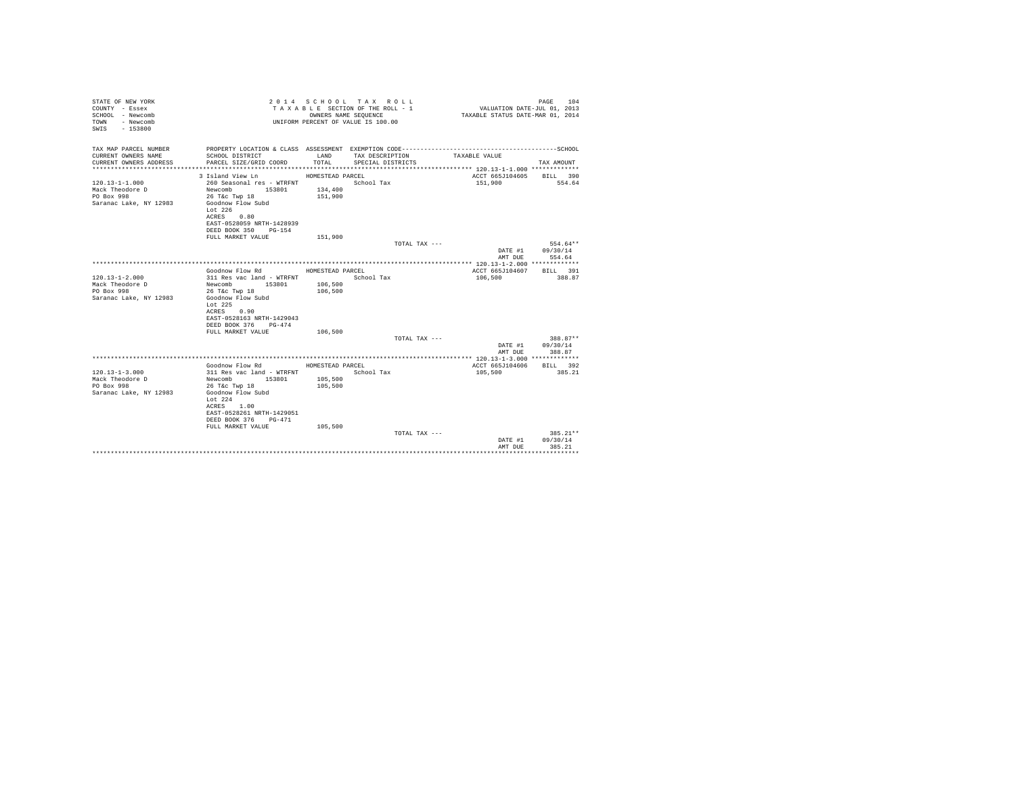| STATE OF NEW YORK<br>COUNTY - Essex<br>SCHOOL - Newcomb<br>- Newcomb<br>TOWN<br>SWIS - 153800 |                                                                                                                 |                    | 2014 SCHOOL TAX ROLL<br>TAXABLE SECTION OF THE ROLL - 1<br>OWNERS NAME SEQUENCE<br>UNIFORM PERCENT OF VALUE IS 100.00 | VALUATION DATE-JUL 01, 2013<br>TAXABLE STATUS DATE-MAR 01, 2014 | PAGE 104           |
|-----------------------------------------------------------------------------------------------|-----------------------------------------------------------------------------------------------------------------|--------------------|-----------------------------------------------------------------------------------------------------------------------|-----------------------------------------------------------------|--------------------|
| TAX MAP PARCEL NUMBER<br>CURRENT OWNERS NAME                                                  | PROPERTY LOCATION & CLASS ASSESSMENT EXEMPTION CODE-----------------------------------SCHOOL<br>SCHOOL DISTRICT | LAND               | TAX DESCRIPTION                                                                                                       | TAXABLE VALUE                                                   |                    |
| CURRENT OWNERS ADDRESS                                                                        | PARCEL SIZE/GRID COORD                                                                                          | TOTAL              | SPECIAL DISTRICTS                                                                                                     |                                                                 | TAX AMOUNT         |
|                                                                                               |                                                                                                                 |                    |                                                                                                                       |                                                                 |                    |
| $120.13 - 1 - 1.000$                                                                          | 3 Island View Ln<br>260 Seasonal res - WTRFNT                                                                   | HOMESTEAD PARCEL   | School Tax                                                                                                            | ACCT 665J104605<br>151,900                                      | BILL 390<br>554.64 |
| Mack Theodore D                                                                               | Newcomb<br>153801                                                                                               | 134,400            |                                                                                                                       |                                                                 |                    |
| PO Box 998                                                                                    | 26 T&C Twp 18                                                                                                   | 151,900            |                                                                                                                       |                                                                 |                    |
| Saranac Lake, NY 12983                                                                        | Goodnow Flow Subd                                                                                               |                    |                                                                                                                       |                                                                 |                    |
|                                                                                               | Lot $226$                                                                                                       |                    |                                                                                                                       |                                                                 |                    |
|                                                                                               | 0.80<br>ACRES                                                                                                   |                    |                                                                                                                       |                                                                 |                    |
|                                                                                               | EAST-0528059 NRTH-1428939                                                                                       |                    |                                                                                                                       |                                                                 |                    |
|                                                                                               | DEED BOOK 350 PG-154                                                                                            |                    |                                                                                                                       |                                                                 |                    |
|                                                                                               | FULL MARKET VALUE                                                                                               | 151,900            |                                                                                                                       |                                                                 |                    |
|                                                                                               |                                                                                                                 |                    | TOTAL TAX ---                                                                                                         |                                                                 | 554.64**           |
|                                                                                               |                                                                                                                 |                    |                                                                                                                       | DATE #1                                                         | 09/30/14           |
|                                                                                               |                                                                                                                 |                    |                                                                                                                       | AMT DUE                                                         | 554.64             |
|                                                                                               |                                                                                                                 |                    |                                                                                                                       |                                                                 |                    |
|                                                                                               | Goodnow Flow Rd                                                                                                 | HOMESTEAD PARCEL   |                                                                                                                       | ACCT 665J104607                                                 | BILL 391           |
| $120.13 - 1 - 2.000$                                                                          | 311 Res vac land - WTRFNT                                                                                       |                    | School Tax                                                                                                            | 106,500                                                         | 388.87             |
| Mack Theodore D<br>PO Box 998                                                                 | 153801<br>Newcomb                                                                                               | 106,500<br>106,500 |                                                                                                                       |                                                                 |                    |
| Saranac Lake, NY 12983                                                                        | 26 T&c Twp 18<br>Goodnow Flow Subd                                                                              |                    |                                                                                                                       |                                                                 |                    |
|                                                                                               | Lot 225                                                                                                         |                    |                                                                                                                       |                                                                 |                    |
|                                                                                               | ACRES 0.90                                                                                                      |                    |                                                                                                                       |                                                                 |                    |
|                                                                                               | EAST-0528163 NRTH-1429043                                                                                       |                    |                                                                                                                       |                                                                 |                    |
|                                                                                               | DEED BOOK 376 PG-474                                                                                            |                    |                                                                                                                       |                                                                 |                    |
|                                                                                               | FULL MARKET VALUE                                                                                               | 106,500            |                                                                                                                       |                                                                 |                    |
|                                                                                               |                                                                                                                 |                    | TOTAL TAX ---                                                                                                         |                                                                 | 388.87**           |
|                                                                                               |                                                                                                                 |                    |                                                                                                                       | DATE #1                                                         | 09/30/14           |
|                                                                                               |                                                                                                                 |                    |                                                                                                                       | AMT DUE                                                         | 388.87             |
|                                                                                               |                                                                                                                 |                    |                                                                                                                       |                                                                 |                    |
|                                                                                               | Goodnow Flow Rd                                                                                                 | HOMESTEAD PARCEL   |                                                                                                                       | ACCT 665J104606                                                 | BILL 392           |
| $120.13 - 1 - 3.000$                                                                          | 311 Res vac land - WTRFNT                                                                                       |                    | School Tax                                                                                                            | 105,500                                                         | 385.21             |
| Mack Theodore D                                                                               | Newcomb<br>153801                                                                                               | 105,500            |                                                                                                                       |                                                                 |                    |
| PO Box 998                                                                                    | 26 T&c Twp 18                                                                                                   | 105,500            |                                                                                                                       |                                                                 |                    |
| Saranac Lake, NY 12983                                                                        | Goodnow Flow Subd<br>Lot $224$                                                                                  |                    |                                                                                                                       |                                                                 |                    |
|                                                                                               | ACRES 1.00                                                                                                      |                    |                                                                                                                       |                                                                 |                    |
|                                                                                               | EAST-0528261 NRTH-1429051                                                                                       |                    |                                                                                                                       |                                                                 |                    |
|                                                                                               | DEED BOOK 376 PG-471                                                                                            |                    |                                                                                                                       |                                                                 |                    |
|                                                                                               | FULL MARKET VALUE                                                                                               | 105,500            |                                                                                                                       |                                                                 |                    |
|                                                                                               |                                                                                                                 |                    | TOTAL TAX ---                                                                                                         |                                                                 | $385.21**$         |
|                                                                                               |                                                                                                                 |                    |                                                                                                                       | DATE #1                                                         | 09/30/14           |
|                                                                                               |                                                                                                                 |                    |                                                                                                                       | AMT DUE                                                         | 385.21             |
|                                                                                               |                                                                                                                 |                    |                                                                                                                       |                                                                 | .                  |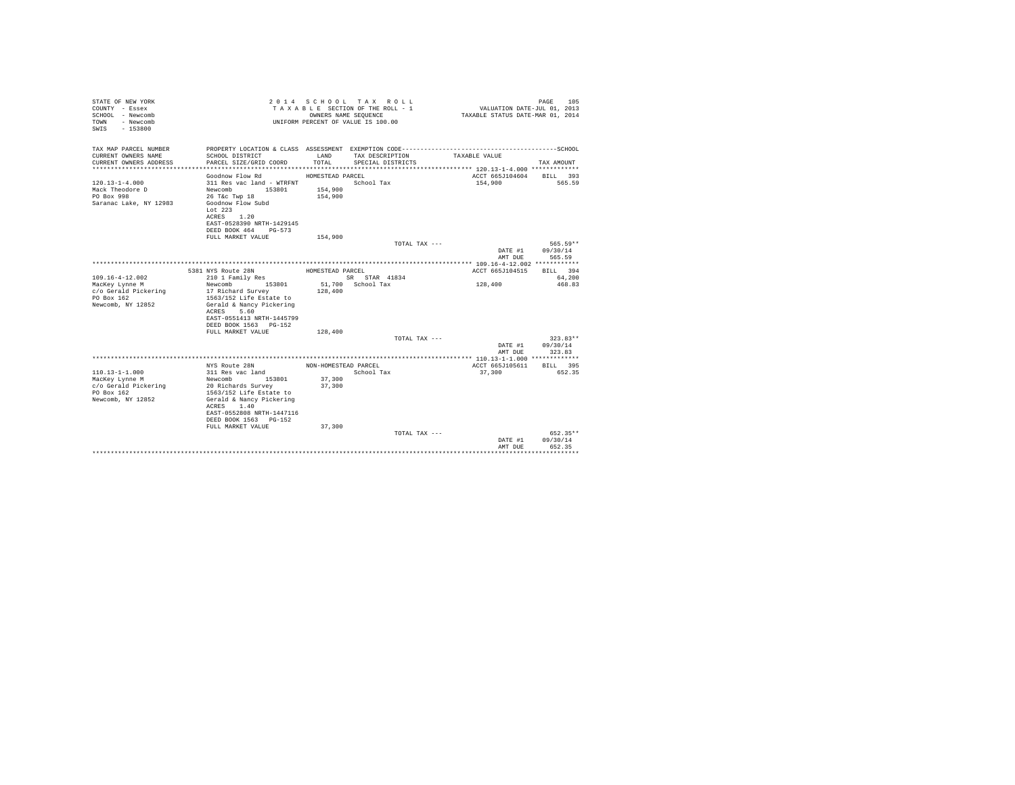| STATE OF NEW YORK<br>COUNTY - Essex<br>SCHOOL - Newcomb<br>- Newcomb<br>TOWN<br>SWIS<br>$-153800$  |                                                                                                                                                                                                             |                                          | 2014 SCHOOL TAX ROLL<br>TAXABLE SECTION OF THE ROLL - 1<br>OWNERS NAME SEQUENCE<br>UNIFORM PERCENT OF VALUE IS 100.00 | VALUATION DATE-JUL 01, 2013<br>TAXABLE STATUS DATE-MAR 01, 2014 | 105<br>PAGE                      |
|----------------------------------------------------------------------------------------------------|-------------------------------------------------------------------------------------------------------------------------------------------------------------------------------------------------------------|------------------------------------------|-----------------------------------------------------------------------------------------------------------------------|-----------------------------------------------------------------|----------------------------------|
| TAX MAP PARCEL NUMBER<br>CURRENT OWNERS NAME<br>CURRENT OWNERS ADDRESS                             | PROPERTY LOCATION & CLASS ASSESSMENT EXEMPTION CODE-----------------------------------SCHOOL<br>SCHOOL DISTRICT<br>PARCEL SIZE/GRID COORD                                                                   | LAND<br>TOTAL                            | TAX DESCRIPTION<br>SPECIAL DISTRICTS                                                                                  | TAXABLE VALUE                                                   | TAX AMOUNT                       |
|                                                                                                    |                                                                                                                                                                                                             |                                          |                                                                                                                       |                                                                 |                                  |
| $120.13 - 1 - 4.000$<br>Mack Theodore D<br>PO Box 998<br>Saranac Lake, NY 12983                    | Goodnow Flow Rd<br>311 Res vac land - WTRFNT<br>Newcomb<br>153801<br>26 T&c Twp 18<br>Goodnow Flow Subd<br>Lot $223$<br>ACRES 1.20<br>EAST-0528390 NRTH-1429145                                             | HOMESTEAD PARCEL<br>154,900<br>154,900   | School Tax                                                                                                            | ACCT 665J104604 BILL 393<br>154,900                             | 565.59                           |
|                                                                                                    | DEED BOOK 464 PG-573                                                                                                                                                                                        |                                          |                                                                                                                       |                                                                 |                                  |
|                                                                                                    | FULL MARKET VALUE                                                                                                                                                                                           | 154,900                                  |                                                                                                                       |                                                                 |                                  |
|                                                                                                    |                                                                                                                                                                                                             |                                          | TOTAL TAX ---                                                                                                         | DATE #1<br>AMT DUE                                              | 565.59**<br>09/30/14<br>565.59   |
|                                                                                                    |                                                                                                                                                                                                             |                                          |                                                                                                                       |                                                                 |                                  |
| $109.16 - 4 - 12.002$<br>MacKey Lynne M<br>c/o Gerald Pickering<br>PO Box 162<br>Newcomb, NY 12852 | 5381 NYS Route 28N<br>210 1 Family Res<br>Newcomb<br>153801<br>17 Richard Survey<br>1563/152 Life Estate to<br>Gerald & Nancy Pickering<br>ACRES 5.60<br>EAST-0551413 NRTH-1445799<br>DEED BOOK 1563 PG-152 | HOMESTEAD PARCEL<br>128,400              | SR STAR 41834<br>51,700 School Tax                                                                                    | ACCT 665J104515<br>128,400                                      | BILL 394<br>64.200<br>468.83     |
|                                                                                                    | FULL MARKET VALUE                                                                                                                                                                                           | 128,400                                  |                                                                                                                       |                                                                 |                                  |
|                                                                                                    |                                                                                                                                                                                                             |                                          | TOTAL TAX ---                                                                                                         | DATE #1<br>AMT DUE                                              | $323.83**$<br>09/30/14<br>323.83 |
|                                                                                                    |                                                                                                                                                                                                             |                                          |                                                                                                                       |                                                                 |                                  |
| $110.13 - 1 - 1.000$<br>MacKey Lynne M<br>c/o Gerald Pickering<br>PO Box 162<br>Newcomb, NY 12852  | NYS Route 28N<br>311 Res vac land<br>Newcomb 153801<br>20 Richards Survey<br>1563/152 Life Estate to<br>Gerald & Nancy Pickering<br>1.40<br>ACRES<br>EAST-0552808 NRTH-1447116<br>DEED BOOK 1563 PG-152     | NON-HOMESTEAD PARCEL<br>37,300<br>37,300 | School Tax                                                                                                            | ACCT 665J105611<br>37,300                                       | BILL 395<br>652.35               |
|                                                                                                    | FULL MARKET VALUE                                                                                                                                                                                           | 37,300                                   | TOTAL TAX ---                                                                                                         | DATE #1<br>AMT DUE                                              | $652.35**$<br>09/30/14<br>652.35 |
|                                                                                                    |                                                                                                                                                                                                             |                                          |                                                                                                                       |                                                                 | .                                |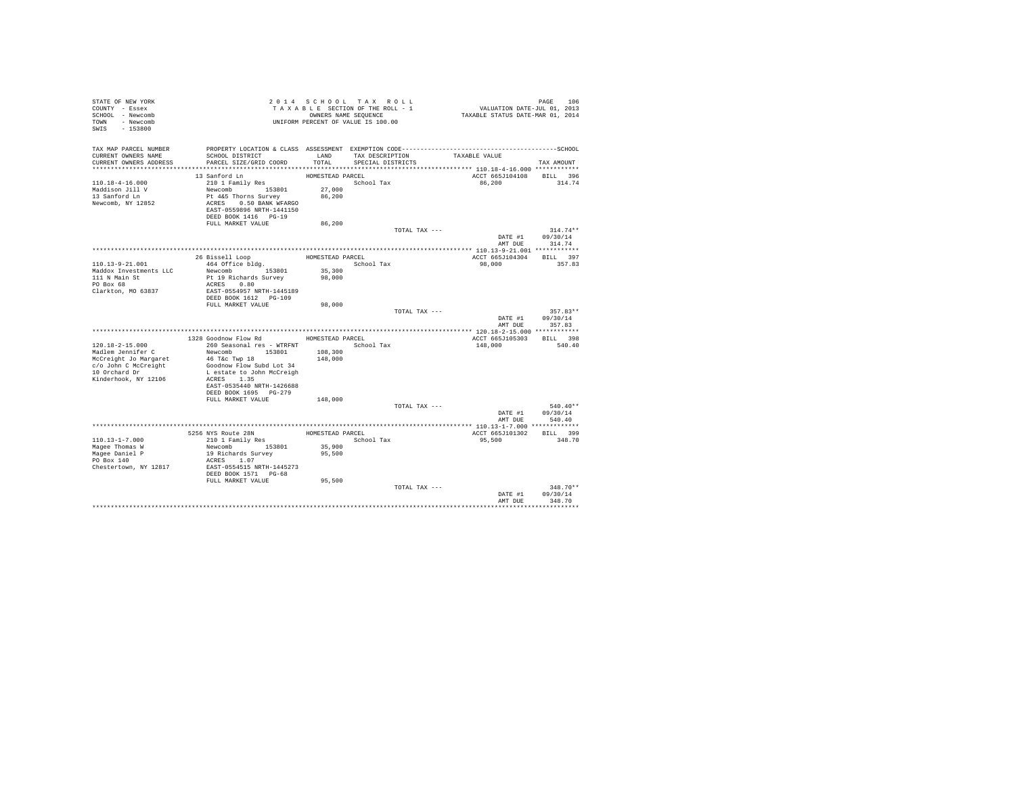| STATE OF NEW YORK<br>COUNTY - Essex<br>SCHOOL - Newcomb<br>TOWN - Newcomb<br>SWIS - 153800                                           |                                                                                                                                                                                                                |                                                | 2014 SCHOOL TAX ROLL<br>TAXABLE SECTION OF THE ROLL - 1<br>OWNERS NAME SEQUENCE<br>UNIFORM PERCENT OF VALUE IS 100.00 | PAGE 106<br>VALUATION DATE-JUL 01, 2013<br>TAXABLE STATUS DATE-MAR 01, 2014                                   |                                          |
|--------------------------------------------------------------------------------------------------------------------------------------|----------------------------------------------------------------------------------------------------------------------------------------------------------------------------------------------------------------|------------------------------------------------|-----------------------------------------------------------------------------------------------------------------------|---------------------------------------------------------------------------------------------------------------|------------------------------------------|
| TAX MAP PARCEL NUMBER<br>CURRENT OWNERS NAME<br>CURRENT OWNERS ADDRESS                                                               | SCHOOL DISTRICT<br>PARCEL SIZE/GRID COORD                                                                                                                                                                      | LAND<br>TOTAL.                                 | TAX DESCRIPTION<br>SPECIAL DISTRICTS                                                                                  | PROPERTY LOCATION & CLASS ASSESSMENT EXEMPTION CODE-----------------------------------SCHOOL<br>TAXABLE VALUE | TAX AMOUNT                               |
| $110.18 - 4 - 16.000$<br>Maddison Jill V<br>13 Sanford Ln<br>Newcomb, NY 12852                                                       | 13 Sanford Ln<br>210 1 Family Res<br>Newcomb 153801<br>Pt 4&5 Thorns Survey<br>ACRES 0.50 BANK WFARGO<br>EAST-0559896 NRTH-1441150<br>DEED BOOK 1416 PG-19<br>FULL MARKET VALUE                                | HOMESTEAD PARCEL<br>27,000<br>86,200<br>86,200 | School Tax                                                                                                            | ACCT 665J104108 BILL 396<br>86.200                                                                            | 314.74                                   |
|                                                                                                                                      |                                                                                                                                                                                                                |                                                |                                                                                                                       | TOTAL TAX ---<br>DATE #1                                                                                      | $314.74**$<br>09/30/14<br>AMT DUE 314.74 |
|                                                                                                                                      |                                                                                                                                                                                                                |                                                |                                                                                                                       |                                                                                                               |                                          |
| 110.13-9-21.001<br>Maddox Investments LLC<br>111 N Main St<br>PO Box 68<br>Clarkton, MO 63837                                        | 26 Bissell Loop<br>464 Office bldg.<br>Newcomb 153801<br>Pt 19 Richards Survey<br>ACRES 0.80<br>EAST-0554957 NRTH-1445189<br>DEED BOOK 1612 PG-109                                                             | HOMESTEAD PARCEL<br>35,300<br>98,000           | School Tax                                                                                                            | ACCT 665J104304 BILL 397<br>98,000                                                                            | 357.83                                   |
|                                                                                                                                      | FULL MARKET VALUE                                                                                                                                                                                              | 98,000                                         |                                                                                                                       |                                                                                                               |                                          |
|                                                                                                                                      |                                                                                                                                                                                                                |                                                |                                                                                                                       | TOTAL TAX ---<br>DATE #1<br>AMT DUE                                                                           | $357.83**$<br>09/30/14<br>357.83         |
|                                                                                                                                      | 1328 Goodnow Flow Rd                                                                                                                                                                                           | HOMESTEAD PARCEL                               |                                                                                                                       | ACCT 665J105303                                                                                               | BILL 398                                 |
| $120.18 - 2 - 15.000$<br>Madlem Jennifer C<br>McCreight Jo Margaret<br>c/o John C McCreight<br>10 Orchard Dr<br>Kinderhook, NY 12106 | 260 Seasonal res - WTRFNT<br>Newcomb 153801<br>46 T&c Twp 18<br>Goodnow Flow Subd Lot 34<br>L estate to John McCreigh<br>ACRES 1.35<br>EAST-0535440 NRTH-1426688<br>DEED BOOK 1695 PG-279<br>FULL MARKET VALUE | 108,300<br>148,000<br>148,000                  | School Tax                                                                                                            | 148,000                                                                                                       | 540.40                                   |
|                                                                                                                                      |                                                                                                                                                                                                                |                                                | TOTAL TAX ---                                                                                                         |                                                                                                               | $540.40**$                               |
|                                                                                                                                      |                                                                                                                                                                                                                |                                                |                                                                                                                       |                                                                                                               | DATE #1 09/30/14<br>AMT DUE 540.40       |
|                                                                                                                                      |                                                                                                                                                                                                                |                                                |                                                                                                                       |                                                                                                               |                                          |
| $110.13 - 1 - 7.000$<br>Magee Thomas W<br>Magee Daniel P<br>PO Box 140<br>Chestertown, NY 12817                                      | 5256 NYS Route 28N<br>210 1 Family Res<br>Newcomb 153801<br>19 Richards Survey<br>ACRES 1.07<br>EAST-0554515 NRTH-1445273<br>DEED BOOK 1571 PG-68                                                              | 35,900<br>95,500                               | HOMESTEAD PARCEL<br>School Tax                                                                                        | ACCT 665J101302 BILL 399<br>95,500                                                                            | 348.70                                   |
|                                                                                                                                      | FULL MARKET VALUE                                                                                                                                                                                              | 95,500                                         |                                                                                                                       | TOTAL TAX ---<br>DATE #1<br>AMT DUE                                                                           | $348.70**$<br>09/30/14<br>348.70         |
|                                                                                                                                      |                                                                                                                                                                                                                |                                                |                                                                                                                       |                                                                                                               |                                          |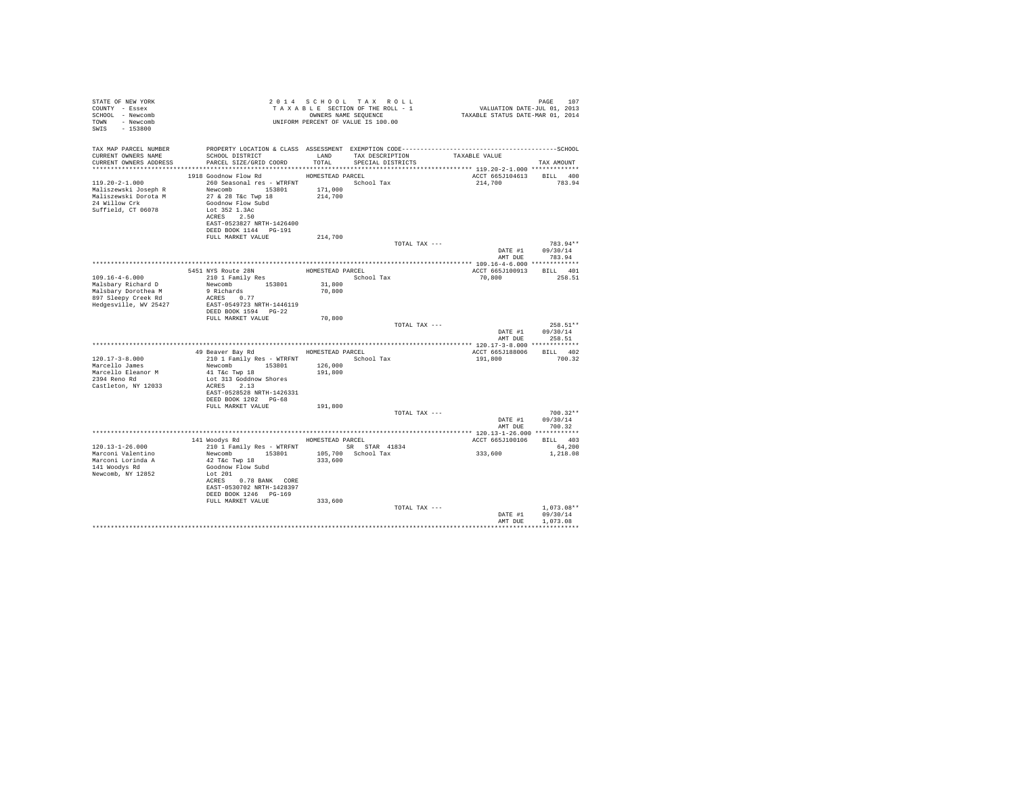| STATE OF NEW YORK<br>COUNTY - Essex<br>SCHOOL - Newcomb<br>TOWN - Newcomb<br>SWIS - 153800                  |                                                                                                                                                                                                                                                              |                               | 2014 SCHOOL TAX ROLL<br>TAXABLE SECTION OF THE ROLL - 1<br>OWNERS NAME SEOUENCE<br>UNIFORM PERCENT OF VALUE IS 100.00                | PAGE 107<br>2013 VALUATION DATE-JUL 01, 2013<br>2014 TAXABLE STATUS DATE-MAR | PAGE<br>107                        |
|-------------------------------------------------------------------------------------------------------------|--------------------------------------------------------------------------------------------------------------------------------------------------------------------------------------------------------------------------------------------------------------|-------------------------------|--------------------------------------------------------------------------------------------------------------------------------------|------------------------------------------------------------------------------|------------------------------------|
| TAX MAP PARCEL NUMBER<br>CURRENT OWNERS NAME<br>CURRENT OWNERS ADDRESS                                      | SCHOOL DISTRICT LAND<br>PARCEL SIZE/GRID COORD TOTAL                                                                                                                                                                                                         |                               | PROPERTY LOCATION & CLASS ASSESSMENT EXEMPTION CODE-----------------------------------SCHOOL<br>TAX DESCRIPTION<br>SPECIAL DISTRICTS | TAXABLE VALUE                                                                | TAX AMOUNT                         |
|                                                                                                             |                                                                                                                                                                                                                                                              |                               |                                                                                                                                      |                                                                              |                                    |
| $119.20 - 2 - 1.000$<br>Maliszewski Joseph R<br>Maliszewski Dorota M<br>24 Willow Crk<br>Suffield, CT 06078 | 1918 Goodnow Flow Rd MOMESTEAD PARCEL<br>260 Seasonal res - WTRFNT <a></a> School Tax<br>Newcomb 153801<br>27 & 28 T&c Twp 18<br>Goodnow Flow Subd<br>Lot 352 1.3Ac<br>ACRES 2.50<br>EAST-0523827 NRTH-1426400<br>DEED BOOK 1144 PG-191<br>FULL MARKET VALUE | 171,000<br>214,700<br>214,700 |                                                                                                                                      | ACCT 665J104613 BILL 400<br>214,700 783.94                                   |                                    |
|                                                                                                             |                                                                                                                                                                                                                                                              |                               | TOTAL TAX ---                                                                                                                        |                                                                              | 783.94**                           |
|                                                                                                             |                                                                                                                                                                                                                                                              |                               |                                                                                                                                      | DATE #1                                                                      | 09/30/14<br>AMT DUE 783.94         |
|                                                                                                             |                                                                                                                                                                                                                                                              |                               |                                                                                                                                      |                                                                              |                                    |
|                                                                                                             | 5451 NYS Route 28N<br>210 1 Family Res                                                                                                                                                                                                                       |                               | HOMESTEAD PARCEL                                                                                                                     | ACCT 665J100913 BILL 401                                                     |                                    |
| $109.16 - 4 - 6.000$                                                                                        |                                                                                                                                                                                                                                                              |                               | School Tax                                                                                                                           | 70,800                                                                       | 258.51                             |
| Malsbary Richard D                                                                                          | Newcomb 153801                                                                                                                                                                                                                                               | 31,800                        |                                                                                                                                      |                                                                              |                                    |
| Malsbary Dorothea M                                                                                         | 9 Richards<br>ACRES 0.77                                                                                                                                                                                                                                     | 70,800                        |                                                                                                                                      |                                                                              |                                    |
| 897 Sleepy Creek Rd<br>Hedgesville, WV 25427                                                                | EAST-0549723 NRTH-1446119<br>DEED BOOK 1594    PG-22                                                                                                                                                                                                         |                               |                                                                                                                                      |                                                                              |                                    |
|                                                                                                             | FULL MARKET VALUE                                                                                                                                                                                                                                            | 70,800                        |                                                                                                                                      |                                                                              | $258.51**$                         |
|                                                                                                             |                                                                                                                                                                                                                                                              |                               | TOTAL TAX ---                                                                                                                        | DATE #1<br>AMT DUE                                                           | 09/30/14<br>258.51                 |
|                                                                                                             |                                                                                                                                                                                                                                                              |                               |                                                                                                                                      |                                                                              |                                    |
|                                                                                                             | 49 Beaver Bay Rd                                                                                                                                                                                                                                             | HOMESTEAD PARCEL              |                                                                                                                                      | ACCT 665J188006 BILL 402                                                     |                                    |
| $120.17 - 3 - 8.000$                                                                                        | 210 1 Family Res - WTRFNT School Tax                                                                                                                                                                                                                         |                               |                                                                                                                                      | 191,800                                                                      | 700.32                             |
| Marcello James                                                                                              | Newcomb 153801<br>41 T&c Twp 18                                                                                                                                                                                                                              | 126,000                       |                                                                                                                                      |                                                                              |                                    |
| Marcello Eleanor M<br>2394 Reno Rd                                                                          | Lot 313 Goddnow Shores                                                                                                                                                                                                                                       | 191,800                       |                                                                                                                                      |                                                                              |                                    |
| Castleton, NY 12033                                                                                         | $ACRES$ 2.13<br>EAST-0528528 NRTH-1426331<br>DEED BOOK 1202 PG-68                                                                                                                                                                                            |                               |                                                                                                                                      |                                                                              |                                    |
|                                                                                                             | FULL MARKET VALUE                                                                                                                                                                                                                                            | 191,800                       |                                                                                                                                      |                                                                              |                                    |
|                                                                                                             |                                                                                                                                                                                                                                                              |                               | TOTAL TAX ---                                                                                                                        |                                                                              | $700.32**$                         |
|                                                                                                             |                                                                                                                                                                                                                                                              |                               |                                                                                                                                      |                                                                              | DATE #1 09/30/14                   |
|                                                                                                             |                                                                                                                                                                                                                                                              |                               |                                                                                                                                      | AMT DUE                                                                      | 700.32                             |
|                                                                                                             |                                                                                                                                                                                                                                                              |                               |                                                                                                                                      |                                                                              |                                    |
|                                                                                                             | 141 Woodys Rd MOMESTEAD PARCEL                                                                                                                                                                                                                               |                               |                                                                                                                                      | ACCT 665J100106                                                              | BILL 403                           |
| 120.13-1-26.000                                                                                             | 210 1 Family Res - WTRFNT SR STAR 41834                                                                                                                                                                                                                      |                               |                                                                                                                                      |                                                                              | 64,200                             |
| Marconi Valentino<br>Marconi Lorinda A<br>141 Woodvs Rd<br>Newcomb, NY 12852                                | Newcomb 153801<br>42 T&C Twp 18<br>Goodnow Flow Subd<br>Lot 201<br>ACRES 0.78 BANK CORE<br>EAST-0530702 NRTH-1428397<br>DEED BOOK 1246 PG-169                                                                                                                | 333,600                       | 105,700 School Tax                                                                                                                   | 333,600                                                                      | 1,218.08                           |
|                                                                                                             | FULL MARKET VALUE                                                                                                                                                                                                                                            | 333,600                       |                                                                                                                                      |                                                                              |                                    |
|                                                                                                             |                                                                                                                                                                                                                                                              |                               | TOTAL TAX ---                                                                                                                        | DATE #1<br>AMT DUE                                                           | 1,073,08**<br>09/30/14<br>1,073.08 |
|                                                                                                             |                                                                                                                                                                                                                                                              |                               |                                                                                                                                      |                                                                              |                                    |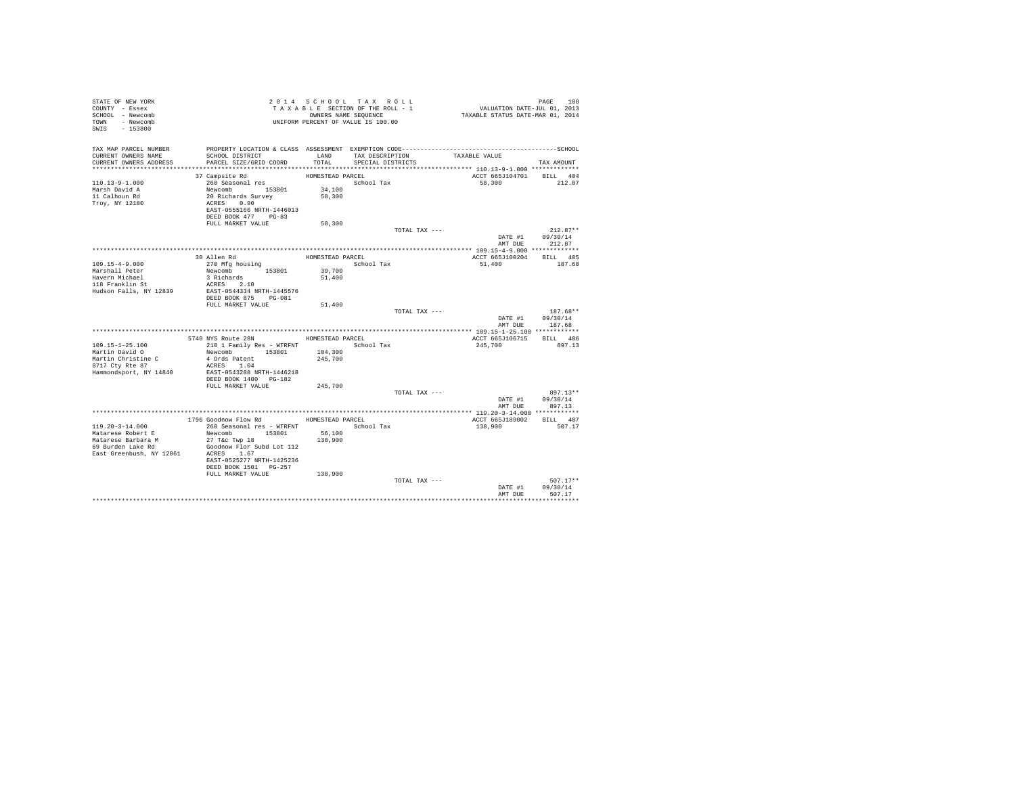| STATE OF NEW YORK<br>COUNTY - Essex<br>SCHOOL - Newcomb<br>TOWN - Newcomb<br>SWIS<br>$-153800$ |                                                  |                  | 2014 SCHOOL TAX ROLL<br>TAXABLE SECTION OF THE ROLL - 1<br>OWNERS NAME SEQUENCE<br>UNIFORM PERCENT OF VALUE IS 100.00 | VALUATION DATE-JUL 01, 2013<br>TAXABLE STATUS DATE-MAR 01, 2014 | PAGE<br>108            |
|------------------------------------------------------------------------------------------------|--------------------------------------------------|------------------|-----------------------------------------------------------------------------------------------------------------------|-----------------------------------------------------------------|------------------------|
| TAX MAP PARCEL NUMBER                                                                          |                                                  |                  |                                                                                                                       |                                                                 |                        |
| CURRENT OWNERS NAME<br>CURRENT OWNERS ADDRESS                                                  | SCHOOL DISTRICT<br>PARCEL SIZE/GRID COORD        | LAND<br>TOTAL    | TAX DESCRIPTION<br>SPECIAL DISTRICTS                                                                                  | TAXABLE VALUE                                                   | TAX AMOUNT             |
|                                                                                                |                                                  |                  |                                                                                                                       |                                                                 |                        |
|                                                                                                | 37 Campsite Rd                                   | HOMESTEAD PARCEL |                                                                                                                       | ACCT 665J104701 BILL 404                                        |                        |
| $110.13 - 9 - 1.000$                                                                           | 260 Seasonal res                                 |                  | School Tax                                                                                                            | 58,300                                                          | 212.87                 |
| Marsh David A                                                                                  | Newcomb 153801                                   | 34,100           |                                                                                                                       |                                                                 |                        |
| 11 Calhoun Rd                                                                                  | 20 Richards Survey                               | 58,300           |                                                                                                                       |                                                                 |                        |
| Troy, NY 12180                                                                                 | ACRES 0.90                                       |                  |                                                                                                                       |                                                                 |                        |
|                                                                                                | EAST-0555166 NRTH-1446013<br>DEED BOOK 477 PG-83 |                  |                                                                                                                       |                                                                 |                        |
|                                                                                                | FULL MARKET VALUE                                | 58,300           |                                                                                                                       |                                                                 |                        |
|                                                                                                |                                                  |                  | TOTAL TAX ---                                                                                                         |                                                                 | $212.87**$             |
|                                                                                                |                                                  |                  |                                                                                                                       | DATE #1                                                         | 09/30/14               |
|                                                                                                |                                                  |                  |                                                                                                                       | AMT DUE                                                         | 212.87                 |
|                                                                                                |                                                  |                  |                                                                                                                       |                                                                 |                        |
|                                                                                                | 30 Allen Rd                                      | HOMESTEAD PARCEL |                                                                                                                       | ACCT 665J100204                                                 | BILL 405               |
| $109.15 - 4 - 9.000$<br>Marshall Peter                                                         | 270 Mfg housing<br>Newcomb 153801                | 39,700           | School Tax                                                                                                            | 51,400                                                          | 187.68                 |
| Havern Michael                                                                                 | 3 Richards                                       | 51,400           |                                                                                                                       |                                                                 |                        |
| 118 Franklin St                                                                                | ACRES 2.10                                       |                  |                                                                                                                       |                                                                 |                        |
| Hudson Falls, NY 12839                                                                         | EAST-0544334 NRTH-1445576                        |                  |                                                                                                                       |                                                                 |                        |
|                                                                                                | DEED BOOK 875 PG-081                             |                  |                                                                                                                       |                                                                 |                        |
|                                                                                                | FULL MARKET VALUE                                | 51,400           |                                                                                                                       |                                                                 |                        |
|                                                                                                |                                                  |                  | TOTAL TAX ---                                                                                                         | DATE #1                                                         | $187.68**$<br>09/30/14 |
|                                                                                                |                                                  |                  |                                                                                                                       | AMT DUE                                                         | 187.68                 |
|                                                                                                |                                                  |                  |                                                                                                                       |                                                                 |                        |
|                                                                                                | 5740 NYS Route 28N                               | HOMESTEAD PARCEL |                                                                                                                       | ACCT 665J106715                                                 | BILL 406               |
| $109.15 - 1 - 25.100$                                                                          | 210 1 Family Res - WTRFNT                        |                  | School Tax                                                                                                            | 245,700                                                         | 897.13                 |
| Martin David O                                                                                 | Newcomb 153801                                   | 104,300          |                                                                                                                       |                                                                 |                        |
| Martin Christine C<br>8717 Cty Rte 87                                                          | 4 Ords Patent<br>ACRES 1.04                      | 245,700          |                                                                                                                       |                                                                 |                        |
| Hammondsport, NY 14840                                                                         | EAST-0543288 NRTH-1446218                        |                  |                                                                                                                       |                                                                 |                        |
|                                                                                                | DEED BOOK 1400 PG-182                            |                  |                                                                                                                       |                                                                 |                        |
|                                                                                                | FULL MARKET VALUE                                | 245,700          |                                                                                                                       |                                                                 |                        |
|                                                                                                |                                                  |                  | TOTAL TAX ---                                                                                                         |                                                                 | $897.13**$             |
|                                                                                                |                                                  |                  |                                                                                                                       | DATE #1                                                         | 09/30/14               |
|                                                                                                |                                                  |                  |                                                                                                                       | AMT DUE                                                         | 897.13                 |
|                                                                                                | 1796 Goodnow Flow Rd                             | HOMESTEAD PARCEL |                                                                                                                       | ACCT 665J189002                                                 | BILL 407               |
| $119.20 - 3 - 14.000$                                                                          | 260 Seasonal res - WTRFNT                        |                  | School Tax                                                                                                            | 138,900                                                         | 507.17                 |
| Matarese Robert E                                                                              | Newcomb 153801                                   | 56,100           |                                                                                                                       |                                                                 |                        |
| Matarese Barbara M                                                                             | 27 T&c Twp 18                                    | 138,900          |                                                                                                                       |                                                                 |                        |
| 69 Burden Lake Rd                                                                              | Goodnow Flor Subd Lot 112                        |                  |                                                                                                                       |                                                                 |                        |
| East Greenbush, NY 12061                                                                       | ACRES 1.67<br>EAST-0525277 NRTH-1425236          |                  |                                                                                                                       |                                                                 |                        |
|                                                                                                | DEED BOOK 1501 PG-257                            |                  |                                                                                                                       |                                                                 |                        |
|                                                                                                | FULL MARKET VALUE                                | 138,900          |                                                                                                                       |                                                                 |                        |
|                                                                                                |                                                  |                  | TOTAL TAX ---                                                                                                         |                                                                 | $507.17**$             |
|                                                                                                |                                                  |                  |                                                                                                                       | DATE #1                                                         | 09/30/14               |
|                                                                                                |                                                  |                  |                                                                                                                       | AMT DUE                                                         | 507.17                 |
|                                                                                                |                                                  |                  |                                                                                                                       |                                                                 |                        |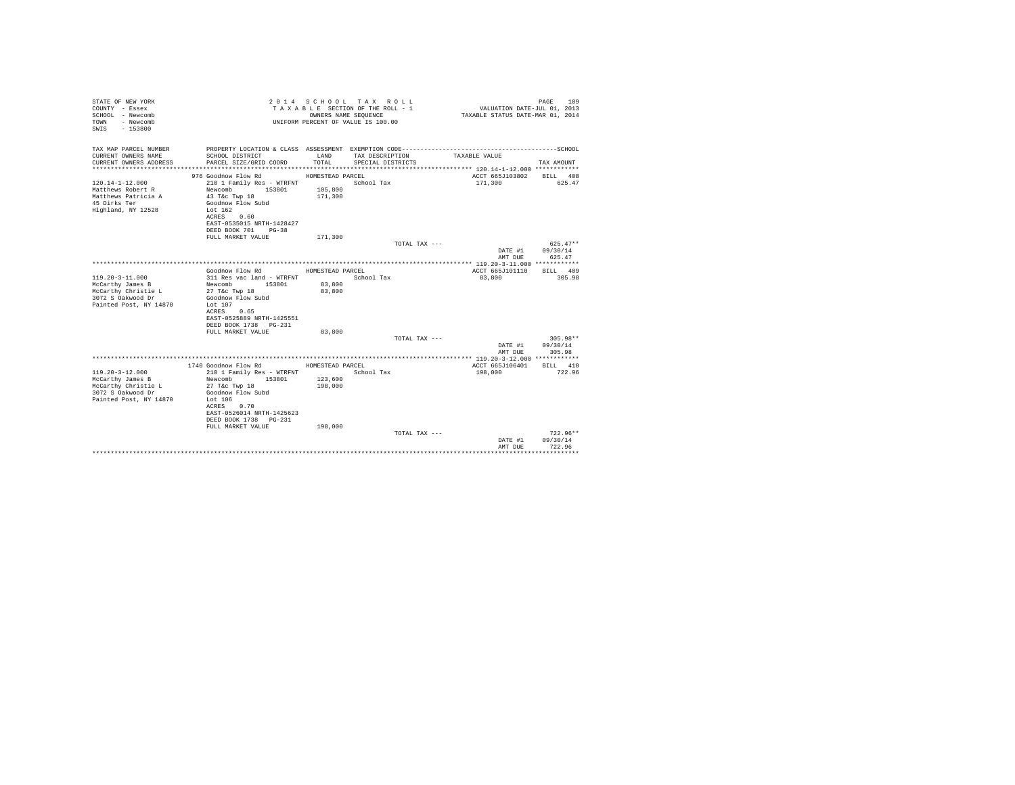| STATE OF NEW YORK<br>COUNTY - Essex<br>SCHOOL - Newcomb<br>- Newcomb<br>TOWN<br>$-153800$<br>SWTS |                                                                                        |                                        | 2014 SCHOOL TAX ROLL<br>TAXABLE SECTION OF THE ROLL - 1<br>OWNERS NAME SEQUENCE<br>UNIFORM PERCENT OF VALUE IS 100.00 | VALUATION DATE-JUL 01, 2013<br>TAXABLE STATUS DATE-MAR 01, 2014 | 109<br>PAGE          |
|---------------------------------------------------------------------------------------------------|----------------------------------------------------------------------------------------|----------------------------------------|-----------------------------------------------------------------------------------------------------------------------|-----------------------------------------------------------------|----------------------|
| TAX MAP PARCEL NUMBER                                                                             |                                                                                        |                                        |                                                                                                                       |                                                                 |                      |
| CURRENT OWNERS NAME<br>CURRENT OWNERS ADDRESS                                                     | SCHOOL DISTRICT<br>PARCEL SIZE/GRID COORD                                              | LAND<br>TOTAL.                         | TAX DESCRIPTION<br>SPECIAL DISTRICTS                                                                                  | TAXABLE VALUE                                                   | TAX AMOUNT           |
|                                                                                                   |                                                                                        |                                        |                                                                                                                       | ACCT 665J103802                                                 |                      |
| $120.14 - 1 - 12.000$<br>Matthews Robert R<br>Matthews Patricia A                                 | 976 Goodnow Flow Rd<br>210 1 Family Res - WTRFNT<br>153801<br>Newcomb<br>43 T&C Twp 18 | HOMESTEAD PARCEL<br>105,800<br>171,300 | School Tax                                                                                                            | 171,300                                                         | BILL 408<br>625.47   |
| 45 Dirks Ter<br>Highland, NY 12528                                                                | Goodnow Flow Subd<br>Lot 162<br>ACRES 0.60<br>EAST-0535015 NRTH-1428427                |                                        |                                                                                                                       |                                                                 |                      |
|                                                                                                   | DEED BOOK 701 PG-38                                                                    |                                        |                                                                                                                       |                                                                 |                      |
|                                                                                                   | FULL MARKET VALUE                                                                      | 171,300                                |                                                                                                                       |                                                                 |                      |
|                                                                                                   |                                                                                        |                                        | TOTAL TAX ---                                                                                                         |                                                                 | $625.47**$           |
|                                                                                                   |                                                                                        |                                        |                                                                                                                       | DATE #1                                                         | 09/30/14             |
|                                                                                                   |                                                                                        |                                        |                                                                                                                       | AMT DUE                                                         | 625.47               |
|                                                                                                   |                                                                                        |                                        |                                                                                                                       |                                                                 |                      |
| $119.20 - 3 - 11.000$                                                                             | Goodnow Flow Rd<br>311 Res vac land - WTRFNT                                           | HOMESTEAD PARCEL                       | School Tax                                                                                                            | ACCT 665J101110<br>83,800                                       | RTT.T. 409<br>305.98 |
| McCarthy James B                                                                                  | Newcomb 153801                                                                         | 83,800                                 |                                                                                                                       |                                                                 |                      |
| McCarthy Christie L                                                                               | 27 T&c Twp 18                                                                          | 83,800                                 |                                                                                                                       |                                                                 |                      |
| 3072 S Oakwood Dr                                                                                 | Goodnow Flow Subd                                                                      |                                        |                                                                                                                       |                                                                 |                      |
| Painted Post, NY 14870                                                                            | Lot 107                                                                                |                                        |                                                                                                                       |                                                                 |                      |
|                                                                                                   | ACRES 0.65                                                                             |                                        |                                                                                                                       |                                                                 |                      |
|                                                                                                   | EAST-0525889 NRTH-1425551                                                              |                                        |                                                                                                                       |                                                                 |                      |
|                                                                                                   | DEED BOOK 1738 PG-231                                                                  |                                        |                                                                                                                       |                                                                 |                      |
|                                                                                                   | FULL MARKET VALUE                                                                      | 83,800                                 |                                                                                                                       |                                                                 |                      |
|                                                                                                   |                                                                                        |                                        | TOTAL TAX ---                                                                                                         |                                                                 | 305.98**             |
|                                                                                                   |                                                                                        |                                        |                                                                                                                       | DATE #1                                                         | 09/30/14             |
|                                                                                                   |                                                                                        |                                        |                                                                                                                       | AMT DUE                                                         | 305.98               |
|                                                                                                   |                                                                                        |                                        |                                                                                                                       |                                                                 |                      |
| $119.20 - 3 - 12.000$                                                                             | 1740 Goodnow Flow Rd<br>210 1 Family Res - WTRFNT                                      | HOMESTEAD PARCEL                       | School Tax                                                                                                            | ACCT 665J106401<br>198,000                                      | BILL 410<br>722.96   |
| McCarthy James B                                                                                  | 153801<br>Newcomb                                                                      | 123,600                                |                                                                                                                       |                                                                 |                      |
| McCarthy Christie L                                                                               | 27 T&c Twp 18                                                                          | 198,000                                |                                                                                                                       |                                                                 |                      |
| 3072 S Oakwood Dr                                                                                 | Goodnow Flow Subd                                                                      |                                        |                                                                                                                       |                                                                 |                      |
| Painted Post, NY 14870                                                                            | Lot $106$                                                                              |                                        |                                                                                                                       |                                                                 |                      |
|                                                                                                   | ACRES 0.70                                                                             |                                        |                                                                                                                       |                                                                 |                      |
|                                                                                                   | EAST-0526014 NRTH-1425623                                                              |                                        |                                                                                                                       |                                                                 |                      |
|                                                                                                   | DEED BOOK 1738 PG-231                                                                  |                                        |                                                                                                                       |                                                                 |                      |
|                                                                                                   | FULL MARKET VALUE                                                                      | 198,000                                |                                                                                                                       |                                                                 |                      |
|                                                                                                   |                                                                                        |                                        | TOTAL TAX ---                                                                                                         |                                                                 | $722.96**$           |
|                                                                                                   |                                                                                        |                                        |                                                                                                                       | DATE #1                                                         | 09/30/14             |
|                                                                                                   |                                                                                        |                                        |                                                                                                                       | AMT DUE                                                         | 722.96               |
|                                                                                                   |                                                                                        |                                        |                                                                                                                       |                                                                 |                      |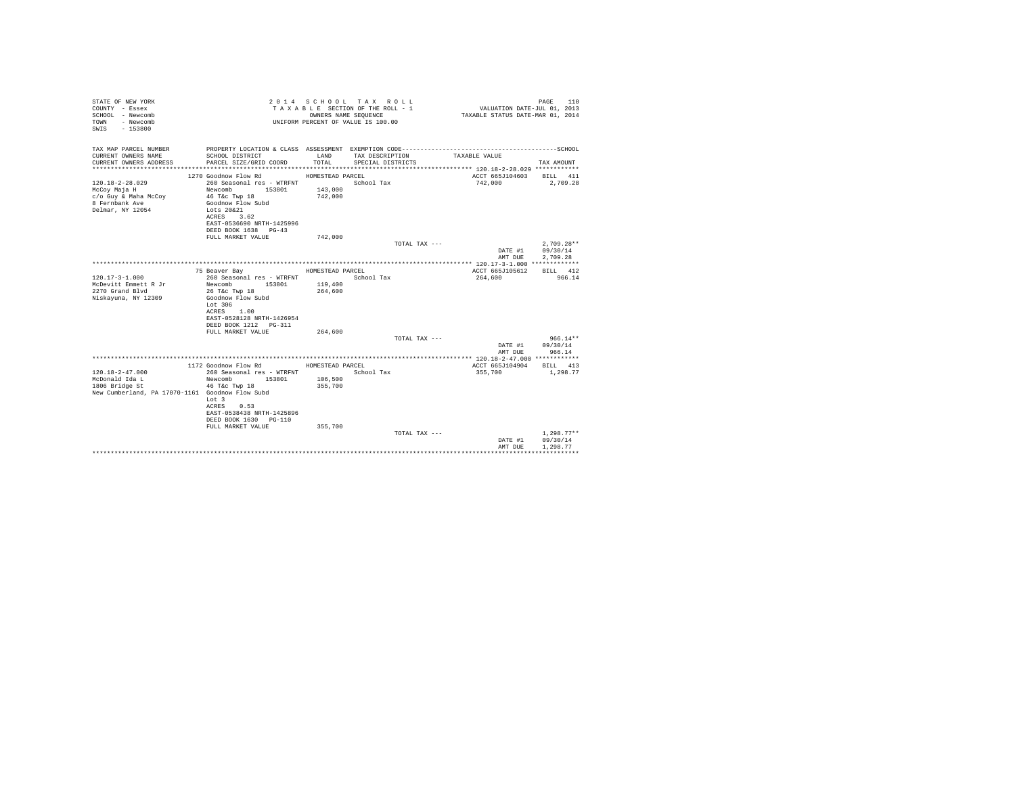| STATE OF NEW YORK<br>COUNTY - Essex<br>SCHOOL - Newcomb<br>- Newcomb<br>TOWN<br>$-153800$<br>SWTS |                                                   | OWNERS NAME SEQUENCE | 2014 SCHOOL TAX ROLL<br>TAXABLE SECTION OF THE ROLL - 1<br>UNIFORM PERCENT OF VALUE IS 100.00 |               | VALUATION DATE-JUL 01, 2013<br>TAXABLE STATUS DATE-MAR 01, 2014 | 110<br>PAGE            |
|---------------------------------------------------------------------------------------------------|---------------------------------------------------|----------------------|-----------------------------------------------------------------------------------------------|---------------|-----------------------------------------------------------------|------------------------|
| TAX MAP PARCEL NUMBER                                                                             |                                                   |                      |                                                                                               |               |                                                                 |                        |
| CURRENT OWNERS NAME<br>CURRENT OWNERS ADDRESS                                                     | SCHOOL DISTRICT<br>PARCEL SIZE/GRID COORD         | LAND<br>TOTAL.       | TAX DESCRIPTION<br>SPECIAL DISTRICTS                                                          | TAXABLE VALUE |                                                                 | TAX AMOUNT             |
|                                                                                                   |                                                   |                      |                                                                                               |               |                                                                 |                        |
| $120.18 - 2 - 28.029$                                                                             | 1270 Goodnow Flow Rd<br>260 Seasonal res - WTRFNT | HOMESTEAD PARCEL     | School Tax                                                                                    |               | ACCT 665J104603<br>742,000                                      | BILL 411<br>2,709.28   |
| McCoy Maja H                                                                                      | Newcomb<br>153801                                 | 143,000              |                                                                                               |               |                                                                 |                        |
| c/o Guy & Maha McCoy                                                                              | 46 T&c Twp 18                                     | 742,000              |                                                                                               |               |                                                                 |                        |
| 8 Fernbank Ave                                                                                    | Goodnow Flow Subd                                 |                      |                                                                                               |               |                                                                 |                        |
| Delmar, NY 12054                                                                                  | Lots 20&21                                        |                      |                                                                                               |               |                                                                 |                        |
|                                                                                                   | ACRES 3.62                                        |                      |                                                                                               |               |                                                                 |                        |
|                                                                                                   | EAST-0536690 NRTH-1425996                         |                      |                                                                                               |               |                                                                 |                        |
|                                                                                                   | DEED BOOK 1638 PG-43                              |                      |                                                                                               |               |                                                                 |                        |
|                                                                                                   | FULL MARKET VALUE                                 | 742.000              |                                                                                               |               |                                                                 |                        |
|                                                                                                   |                                                   |                      |                                                                                               | TOTAL TAX --- |                                                                 | $2.709.28**$           |
|                                                                                                   |                                                   |                      |                                                                                               |               | DATE #1                                                         | 09/30/14               |
|                                                                                                   |                                                   |                      |                                                                                               |               | AMT DUE                                                         | 2.709.28               |
|                                                                                                   | 75 Beaver Bay                                     | HOMESTEAD PARCEL     |                                                                                               |               | ACCT 665J105612                                                 | RTT.T. 412             |
| $120.17 - 3 - 1.000$                                                                              | 260 Seasonal res - WTRFNT                         |                      | School Tax                                                                                    |               | 264,600                                                         | 966.14                 |
| McDevitt Emmett R Jr                                                                              | Newcomb<br>153801                                 | 119,400              |                                                                                               |               |                                                                 |                        |
| 2270 Grand Blvd                                                                                   | 26 T&c Twp 18                                     | 264,600              |                                                                                               |               |                                                                 |                        |
| Niskayuna, NY 12309                                                                               | Goodnow Flow Subd                                 |                      |                                                                                               |               |                                                                 |                        |
|                                                                                                   | Lot 306                                           |                      |                                                                                               |               |                                                                 |                        |
|                                                                                                   | ACRES<br>1.00                                     |                      |                                                                                               |               |                                                                 |                        |
|                                                                                                   | EAST-0528128 NRTH-1426954                         |                      |                                                                                               |               |                                                                 |                        |
|                                                                                                   | DEED BOOK 1212 PG-311                             |                      |                                                                                               |               |                                                                 |                        |
|                                                                                                   | FULL MARKET VALUE                                 | 264,600              |                                                                                               |               |                                                                 |                        |
|                                                                                                   |                                                   |                      |                                                                                               | TOTAL TAX --- |                                                                 | $966.14**$<br>09/30/14 |
|                                                                                                   |                                                   |                      |                                                                                               |               | DATE #1<br>AMT DUE                                              | 966.14                 |
|                                                                                                   |                                                   |                      |                                                                                               |               |                                                                 |                        |
|                                                                                                   | 1172 Goodnow Flow Rd                              | HOMESTEAD PARCEL     |                                                                                               |               | ACCT 665J104904                                                 | BILL 413               |
| $120.18 - 2 - 47.000$                                                                             | 260 Seasonal res - WTRFNT                         |                      | School Tax                                                                                    |               | 355,700                                                         | 1,298.77               |
| McDonald Ida L                                                                                    | Newcomb<br>153801                                 | 106,500              |                                                                                               |               |                                                                 |                        |
| 1806 Bridge St                                                                                    | 46 T&c Twp 18                                     | 355,700              |                                                                                               |               |                                                                 |                        |
| New Cumberland, PA 17070-1161 Goodnow Flow Subd                                                   |                                                   |                      |                                                                                               |               |                                                                 |                        |
|                                                                                                   | Lot 3                                             |                      |                                                                                               |               |                                                                 |                        |
|                                                                                                   | ACRES<br>0.53                                     |                      |                                                                                               |               |                                                                 |                        |
|                                                                                                   | EAST-0538438 NRTH-1425896                         |                      |                                                                                               |               |                                                                 |                        |
|                                                                                                   | DEED BOOK 1630 PG-110                             |                      |                                                                                               |               |                                                                 |                        |
|                                                                                                   | FULL MARKET VALUE                                 | 355,700              |                                                                                               |               |                                                                 | $1.298.77**$           |
|                                                                                                   |                                                   |                      |                                                                                               | TOTAL TAX --- | DATE #1                                                         | 09/30/14               |
|                                                                                                   |                                                   |                      |                                                                                               |               | AMT DUE                                                         | 1,298.77               |
|                                                                                                   |                                                   |                      |                                                                                               |               |                                                                 |                        |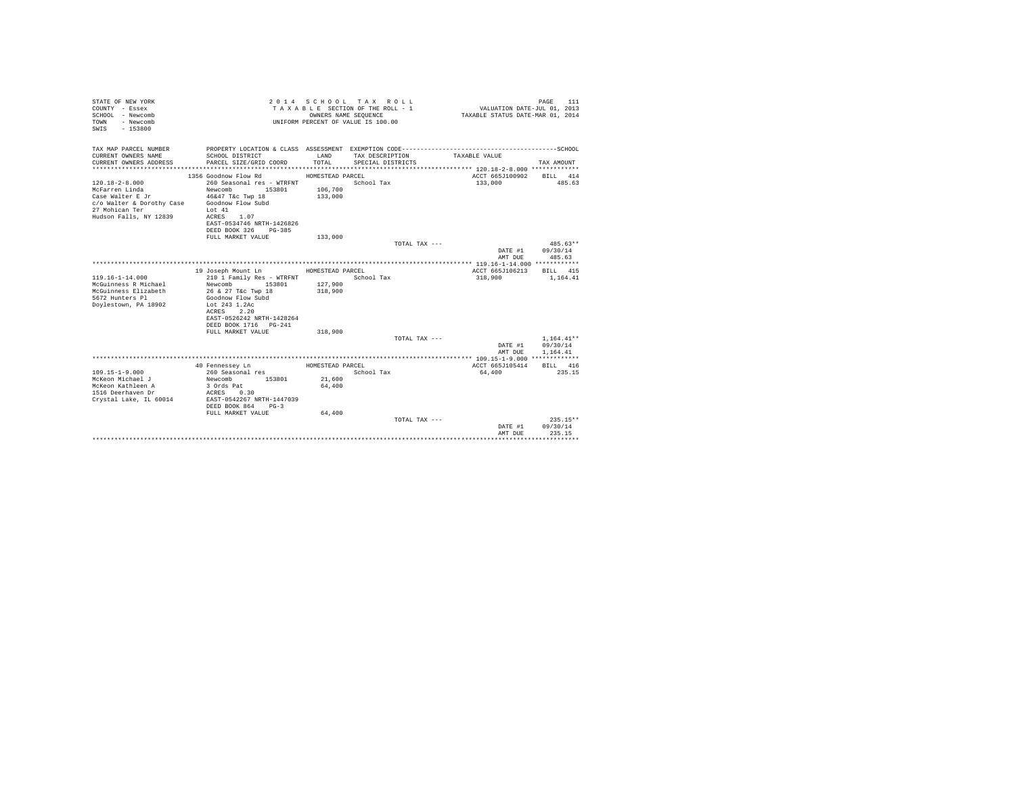| STATE OF NEW YORK<br>COUNTY - Essex<br>SCHOOL - Newcomb<br>- Newcomb<br>TOWN<br>$-153800$<br>SWIS                                   |                                                                                                                                                                                                      | OWNERS NAME SEQUENCE                   | 2014 SCHOOL TAX ROLL<br>TAXABLE SECTION OF THE ROLL - 1<br>UNIFORM PERCENT OF VALUE IS 100.00 | VALUATION DATE-JUL 01, 2013<br>TAXABLE STATUS DATE-MAR 01, 2014 | 111<br>PAGE                          |
|-------------------------------------------------------------------------------------------------------------------------------------|------------------------------------------------------------------------------------------------------------------------------------------------------------------------------------------------------|----------------------------------------|-----------------------------------------------------------------------------------------------|-----------------------------------------------------------------|--------------------------------------|
| TAX MAP PARCEL NUMBER<br>CURRENT OWNERS NAME<br>CURRENT OWNERS ADDRESS<br>************************                                  | SCHOOL DISTRICT<br>PARCEL SIZE/GRID COORD                                                                                                                                                            | LAND<br>TOTAL                          | TAX DESCRIPTION<br>SPECIAL DISTRICTS                                                          | TAXABLE VALUE                                                   | TAX AMOUNT                           |
| $120.18 - 2 - 8.000$<br>McFarren Linda<br>Case Walter E Jr<br>c/o Walter & Dorothy Case<br>27 Mohican Ter<br>Hudson Falls, NY 12839 | 1356 Goodnow Flow Rd<br>260 Seasonal res - WTRFNT<br>Newcomb<br>153801<br>46&47 T&c Twp 18<br>Goodnow Flow Subd<br>Lot 41<br>ACRES<br>1.07<br>EAST-0534746 NRTH-1426826<br>DEED BOOK 326<br>$PG-385$ | HOMESTEAD PARCEL<br>106,700<br>133,000 | School Tax                                                                                    | ACCT 665J100902<br>133,000                                      | BILL 414<br>485.63                   |
|                                                                                                                                     | FULL MARKET VALUE                                                                                                                                                                                    | 133,000                                | TOTAL TAX ---                                                                                 | DATE #1<br>AMT DUE                                              | $485.63**$<br>09/30/14<br>485.63     |
| $119.16 - 1 - 14.000$<br>McGuinness R Michael<br>McGuinness Elizabeth<br>5672 Hunters Pl<br>Doylestown, PA 18902                    | 19 Joseph Mount Ln<br>210 1 Family Res - WTRFNT<br>Newcomb<br>153801<br>26 & 27 T&c Twp 18<br>Goodnow Flow Subd<br>Lot 243 1.2Ac<br>ACRES 2.20<br>EAST-0526242 NRTH-1428264<br>DEED BOOK 1716 PG-241 | HOMESTEAD PARCEL<br>127,900<br>318,900 | School Tax                                                                                    | ACCT 665J106213<br>318,900                                      | BILL 415<br>1,164.41                 |
|                                                                                                                                     | FULL MARKET VALUE                                                                                                                                                                                    | 318,900                                | TOTAL TAX ---                                                                                 | DATE #1<br>AMT DUE                                              | $1,164.41**$<br>09/30/14<br>1.164.41 |
| $109.15 - 1 - 9.000$<br>McKeon Michael J<br>McKeon Kathleen A<br>1516 Deerhaven Dr<br>Crystal Lake, IL 60014                        | 40 Fennessev Ln<br>260 Seasonal res<br>153801<br>Newcomb<br>3 Ords Pat<br>ACRES<br>0.30<br>EAST-0542267 NRTH-1447039<br>DEED BOOK 864<br>$pG-3$                                                      | HOMESTEAD PARCEL<br>21,600<br>64,400   | School Tax                                                                                    | ACCT 665J105414<br>64,400                                       | BILL 416<br>235.15                   |
|                                                                                                                                     | FULL MARKET VALUE                                                                                                                                                                                    | 64,400                                 | TOTAL TAX $---$                                                                               | DATE #1<br>AMT DUE<br>****************************              | $235.15**$<br>09/30/14<br>235.15     |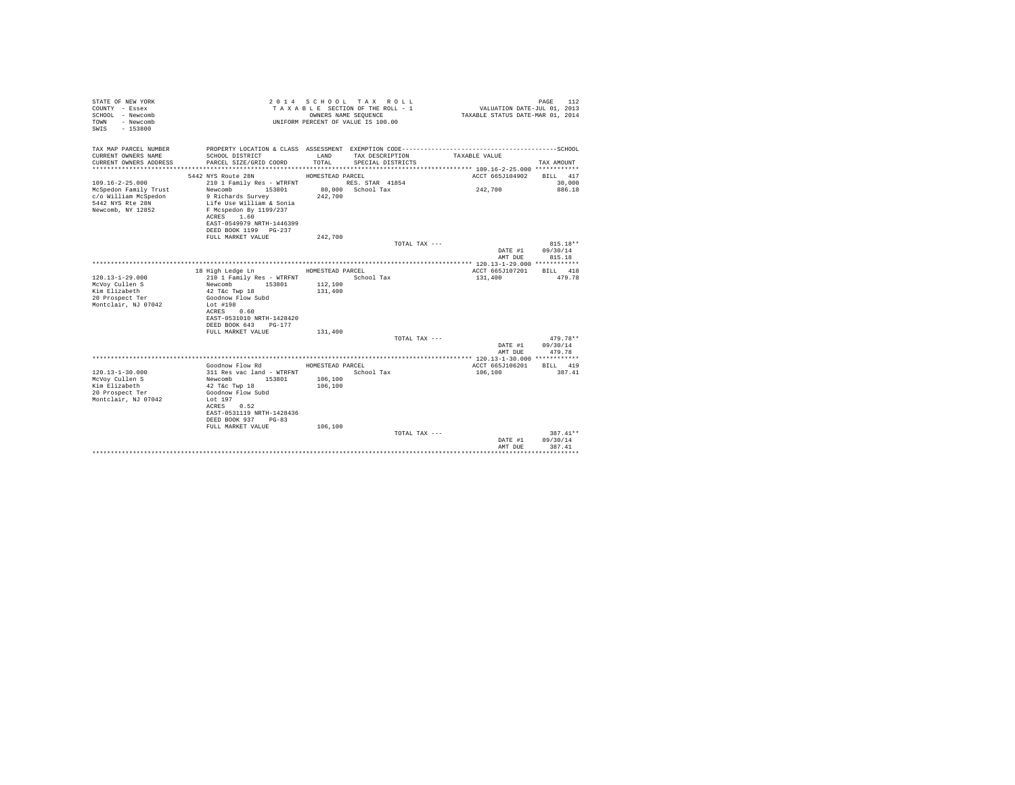| STATE OF NEW YORK<br>COUNTY - Essex<br>SCHOOL - Newcomb<br>- Newcomb<br>TOWN<br>$-153800$<br>SWTS |                                                                                                         |                  | 2014 SCHOOL TAX ROLL<br>TAXABLE SECTION OF THE ROLL - 1<br>OWNERS NAME SEQUENCE<br>UNIFORM PERCENT OF VALUE IS 100.00 | VALUATION DATE-JUL 01, 2013<br>TAXABLE STATUS DATE-MAR 01, 2014 | 112<br>PAGE |
|---------------------------------------------------------------------------------------------------|---------------------------------------------------------------------------------------------------------|------------------|-----------------------------------------------------------------------------------------------------------------------|-----------------------------------------------------------------|-------------|
| TAX MAP PARCEL NUMBER<br>CURRENT OWNERS NAME                                                      |                                                                                                         | LAND             |                                                                                                                       |                                                                 |             |
| CURRENT OWNERS ADDRESS                                                                            | SCHOOL DISTRICT<br>PARCEL SIZE/GRID COORD                                                               | TOTAL.           | TAX DESCRIPTION<br>SPECIAL DISTRICTS                                                                                  | TAXABLE VALUE                                                   | TAX AMOUNT  |
|                                                                                                   | 5442 NYS Route 28N                                                                                      | HOMESTEAD PARCEL |                                                                                                                       | ACCT 665J104902                                                 | BILL 417    |
| $109.16 - 2 - 25.000$                                                                             | 210 1 Family Res - WTRFNT                                                                               |                  | RES. STAR 41854                                                                                                       |                                                                 | 30,000      |
| McSpedon Family Trust<br>c/o William McSpedon<br>5442 NYS Rte 28N<br>Newcomb, NY 12852            | Newcomb 153801<br>9 Richards Survey<br>Life Use William & Sonia<br>F Mcspedon By 1199/237<br>ACRES 1.60 | 242,700          | 80,000 School Tax                                                                                                     | 242,700                                                         | 886.18      |
|                                                                                                   | EAST-0549979 NRTH-1446399                                                                               |                  |                                                                                                                       |                                                                 |             |
|                                                                                                   | DEED BOOK 1199 PG-237                                                                                   | 242,700          |                                                                                                                       |                                                                 |             |
|                                                                                                   | FULL MARKET VALUE                                                                                       |                  | TOTAL TAX ---                                                                                                         |                                                                 | $815.18**$  |
|                                                                                                   |                                                                                                         |                  |                                                                                                                       | DATE #1                                                         | 09/30/14    |
|                                                                                                   |                                                                                                         |                  |                                                                                                                       | AMT DUE                                                         | 815.18      |
|                                                                                                   |                                                                                                         |                  |                                                                                                                       |                                                                 |             |
|                                                                                                   | 18 High Ledge Ln                                                                                        | HOMESTEAD PARCEL |                                                                                                                       | ACCT 665J107201                                                 | BILL 418    |
| $120.13 - 1 - 29.000$                                                                             | 210 1 Family Res - WTRFNT                                                                               |                  | School Tax                                                                                                            | 131,400                                                         | 479.78      |
| McVoy Cullen S                                                                                    | Newcomb 153801                                                                                          | 112,100          |                                                                                                                       |                                                                 |             |
| Kim Elizabeth                                                                                     | 42 T&c Twp 18                                                                                           | 131,400          |                                                                                                                       |                                                                 |             |
| 20 Prospect Ter<br>Montclair, NJ 07042                                                            | Goodnow Flow Subd<br>Lot #198                                                                           |                  |                                                                                                                       |                                                                 |             |
|                                                                                                   | ACRES 0.60                                                                                              |                  |                                                                                                                       |                                                                 |             |
|                                                                                                   | EAST-0531010 NRTH-1428420                                                                               |                  |                                                                                                                       |                                                                 |             |
|                                                                                                   | DEED BOOK 643<br>PG-177                                                                                 |                  |                                                                                                                       |                                                                 |             |
|                                                                                                   | FULL MARKET VALUE                                                                                       | 131,400          |                                                                                                                       |                                                                 |             |
|                                                                                                   |                                                                                                         |                  | TOTAL TAX ---                                                                                                         |                                                                 | $479.78**$  |
|                                                                                                   |                                                                                                         |                  |                                                                                                                       | DATE #1                                                         | 09/30/14    |
|                                                                                                   |                                                                                                         |                  |                                                                                                                       | AMT DUE                                                         | 479.78      |
|                                                                                                   |                                                                                                         |                  |                                                                                                                       |                                                                 |             |
|                                                                                                   | Goodnow Flow Rd                                                                                         | HOMESTEAD PARCEL |                                                                                                                       | ACCT 665J106201                                                 | BILL 419    |
| $120.13 - 1 - 30.000$                                                                             | 311 Res vac land - WTRFNT                                                                               |                  | School Tax                                                                                                            | 106,100                                                         | 387.41      |
| McVov Cullen S<br>Kim Elizabeth                                                                   | 153801<br>Newcomb                                                                                       | 106,100          |                                                                                                                       |                                                                 |             |
| 20 Prospect Ter                                                                                   | 42 T&c Twp 18<br>Goodnow Flow Subd                                                                      | 106,100          |                                                                                                                       |                                                                 |             |
| Montclair, NJ 07042                                                                               | Lot 197                                                                                                 |                  |                                                                                                                       |                                                                 |             |
|                                                                                                   | ACRES 0.52                                                                                              |                  |                                                                                                                       |                                                                 |             |
|                                                                                                   | EAST-0531119 NRTH-1428436                                                                               |                  |                                                                                                                       |                                                                 |             |
|                                                                                                   | DEED BOOK 937<br>$PG-83$                                                                                |                  |                                                                                                                       |                                                                 |             |
|                                                                                                   | FULL MARKET VALUE                                                                                       | 106,100          |                                                                                                                       |                                                                 |             |
|                                                                                                   |                                                                                                         |                  | TOTAL TAX ---                                                                                                         |                                                                 | $387.41**$  |
|                                                                                                   |                                                                                                         |                  |                                                                                                                       | DATE #1                                                         | 09/30/14    |
|                                                                                                   |                                                                                                         |                  |                                                                                                                       | AMT DUE                                                         | 387.41      |
|                                                                                                   |                                                                                                         |                  |                                                                                                                       |                                                                 |             |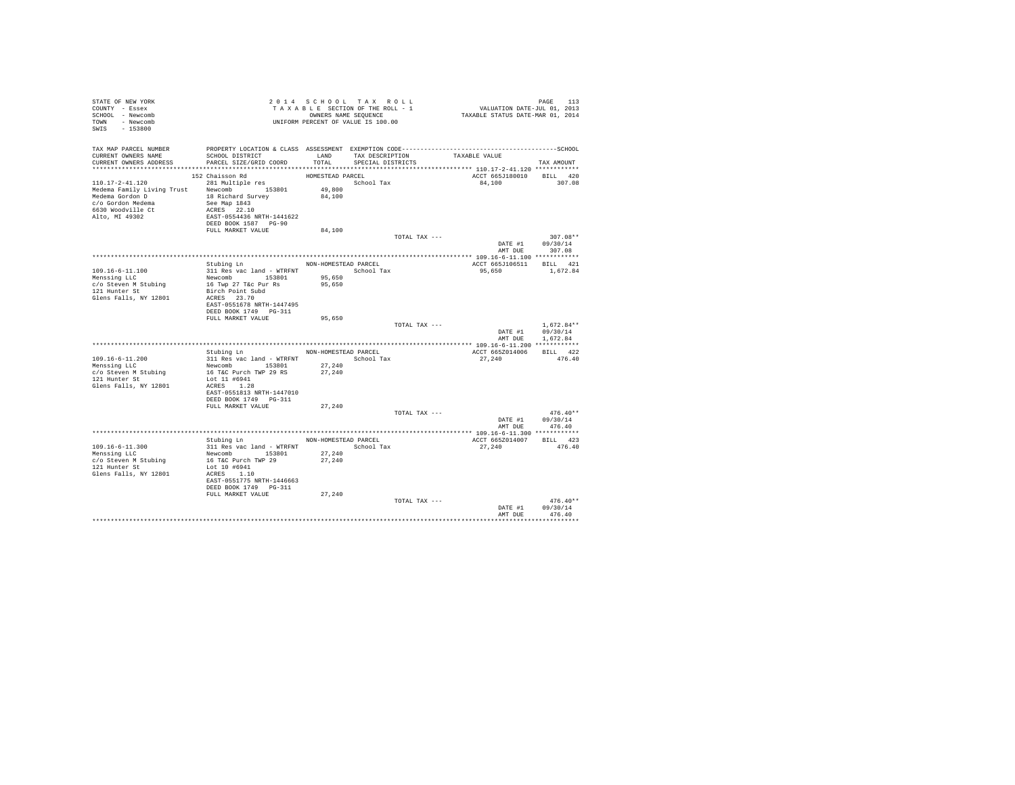| STATE OF NEW YORK<br>COUNTY - Essex<br>SCHOOL - Newcomb<br>TOWN - Newcomb<br>SWIS - 153800                                                                                                                                                                    | TAXAPLES NAME SEQUENCE<br>UNIFORM PERCENT OF VALUE IS 100.00                                                                                                                                                          | 2014 SCHOOL TAX ROLL<br>TAXABLE SECTION OF THE ROLL - 1<br>OWNERS NAME SEQUENCE |                                           |               | PAGE 113<br>VALUATION DATE-JUL 01, 2013<br>TAXABLE STATUS DATE-MAR 01, 2014 |                                              |
|---------------------------------------------------------------------------------------------------------------------------------------------------------------------------------------------------------------------------------------------------------------|-----------------------------------------------------------------------------------------------------------------------------------------------------------------------------------------------------------------------|---------------------------------------------------------------------------------|-------------------------------------------|---------------|-----------------------------------------------------------------------------|----------------------------------------------|
| TAX MAP PARCEL NUMBER<br>CURRENT OWNERS NAME<br>CURRENT OWNERS ADDRESS PARCEL SIZE/GRID COORD                                                                                                                                                                 | PROPERTY LOCATION & CLASS ASSESSMENT EXEMPTION CODE-----------------------------------SCHOOL<br>SCHOOL DISTRICT                                                                                                       | TOTAL                                                                           | LAND TAX DESCRIPTION<br>SPECIAL DISTRICTS |               | TAXABLE VALUE                                                               | TAX AMOUNT                                   |
|                                                                                                                                                                                                                                                               |                                                                                                                                                                                                                       |                                                                                 |                                           |               |                                                                             |                                              |
| 110.17-2-41.120<br>Nedema Branily Living Trust<br>Medema Branily Living Trust<br>Medema Gordon Decomposition and Branily Section Section 2018<br>Co Gordon Nedema and See Map 1843<br>2650 Woodville Ct ACRES 22.10<br>2010, MI 49302<br>2020 EAST-0554436 NR | 152 Chaisson Rd<br>281 Multiple res<br>DEED BOOK 1587 PG-90                                                                                                                                                           | HOMESTEAD PARCEL<br>School Tax<br>49,800<br>84,100                              |                                           |               | ACCT 665J180010 BILL 420<br>84,100 307.08                                   |                                              |
|                                                                                                                                                                                                                                                               | FULL MARKET VALUE                                                                                                                                                                                                     | 84,100                                                                          |                                           | TOTAL TAX --- |                                                                             | $307.08**$                                   |
|                                                                                                                                                                                                                                                               |                                                                                                                                                                                                                       |                                                                                 |                                           |               | ەەبىرەد<br>DATE #1 09/30/14                                                 | AMT DUE 307.08                               |
|                                                                                                                                                                                                                                                               |                                                                                                                                                                                                                       |                                                                                 |                                           |               |                                                                             |                                              |
| 109.16-6-11.100<br>Menssing LLC<br>c/o Steven M Stubing<br>121 Hunter St<br>Glens Falls, NY 12801                                                                                                                                                             | Stubing Ln NON-HOMESTEAD PARCEL<br>311 Res vac land - WTRFNT               School Tax<br>Newcomb 153801<br>16 Twp 27 T&c Pur Rs<br>Birch Point Subd<br>ACRES 23.70                                                    | 95,650<br>95,650                                                                |                                           |               | ACCT 665J106511 BILL 421<br>95,650 1,672.84                                 |                                              |
|                                                                                                                                                                                                                                                               | EAST-0551678 NRTH-1447495<br>FULL MARKET VALUE                                                                                                                                                                        | 95,650                                                                          |                                           |               |                                                                             |                                              |
|                                                                                                                                                                                                                                                               |                                                                                                                                                                                                                       |                                                                                 |                                           | TOTAL TAX --- | DATE #1                                                                     | $1.672.84**$<br>09/30/14<br>AMT DUE 1,672.84 |
|                                                                                                                                                                                                                                                               | Stubing Ln NON-HOMESTEAD PARCEL                                                                                                                                                                                       |                                                                                 |                                           |               |                                                                             |                                              |
| 109.16-6-11.200<br>Menssing LLC<br>c/o Steven M Stubing<br>121 Hunter St<br>Glens Falls, NY 12801                                                                                                                                                             | 311 Res vac land - WTRFNT School Tax Newcomb 153801 27,240<br>16 T&C Purch TWP 29 RS<br>Lot 11 #6941<br>ACRES 1.28<br>EAST-0551813 NRTH-1447010<br>DEED BOOK 1749    PG-311                                           | 27,240                                                                          |                                           |               | ACCT 665Z014006 BILL 422<br>27,240                                          | 476.40                                       |
|                                                                                                                                                                                                                                                               | FULL MARKET VALUE                                                                                                                                                                                                     | 27,240                                                                          |                                           |               |                                                                             |                                              |
|                                                                                                                                                                                                                                                               |                                                                                                                                                                                                                       |                                                                                 |                                           | TOTAL TAX --- | AMT DUE                                                                     | $476.40**$<br>DATE #1 09/30/14<br>476.40     |
|                                                                                                                                                                                                                                                               |                                                                                                                                                                                                                       |                                                                                 |                                           |               |                                                                             |                                              |
| 109.16-6-11.300<br>Menssing LLC<br>c/o Steven M Stubing<br>121 Hunter St<br>Glens Falls, NY 12801                                                                                                                                                             | Stubing Ln NON-HOMESTEAD PARCEL<br>311 Res vac land - WTRFNT 5chool Tax<br>Newcomb 153801 27,240<br>16 T&C Purch TWP 29 27,240<br>Lot 10 #6941<br>ACRES 1.10<br>EAST-0551775 NRTH-1446663<br>DEED BOOK 1749    PG-311 |                                                                                 |                                           |               | ACCT 665Z014007 BILL 423<br>27,240                                          | 476.40                                       |
|                                                                                                                                                                                                                                                               | FULL MARKET VALUE                                                                                                                                                                                                     | 27,240                                                                          |                                           | TOTAL TAX --- |                                                                             | $476.40**$                                   |
|                                                                                                                                                                                                                                                               |                                                                                                                                                                                                                       |                                                                                 |                                           |               | AMT DUE                                                                     | DATE #1 09/30/14<br>476.40                   |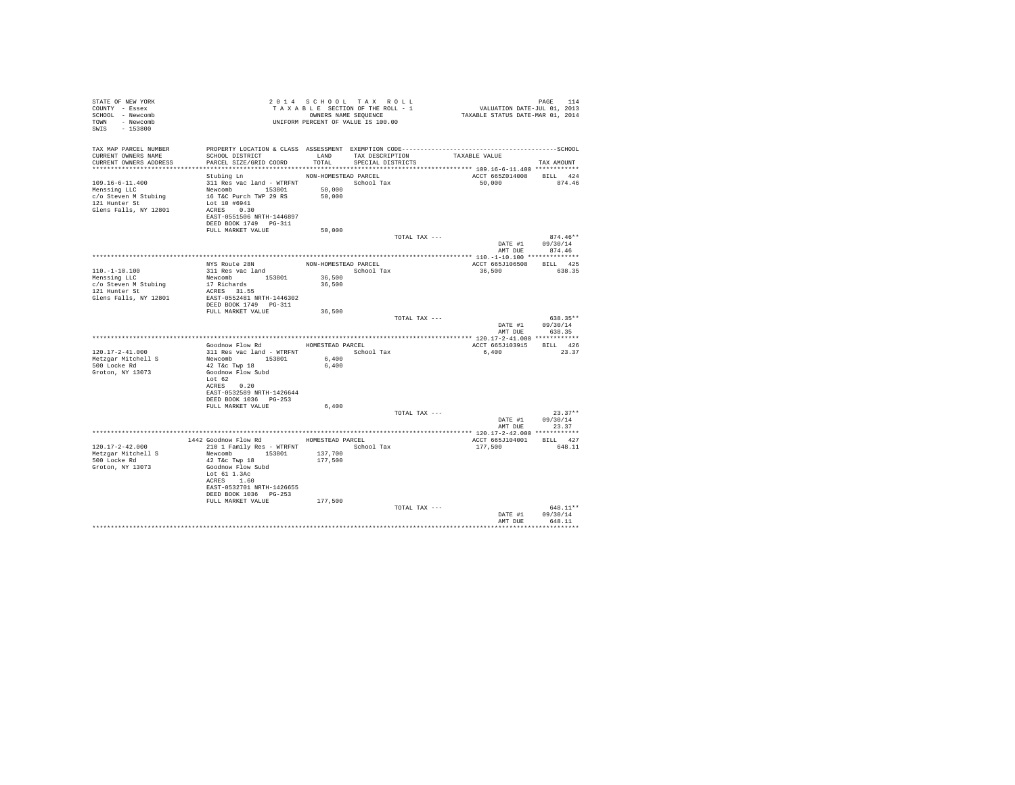| STATE OF NEW YORK<br>COUNTY - Essex<br>SCHOOL - Newcomb<br>TOWN - Newcomb<br>SWIS - 153800                                               | T A X A B B B B B B SEQUENCE<br>OWNERS NAME SEQUENCE<br>UNIFORM PERCENT OF VALUE IS 100.00                                                                              | 2014 SCHOOL TAX ROLL<br>TAXABLE SECTION OF THE ROLL - 1<br>OWNERS NAME SEQUENCE |                   |                      | PAGE 114<br>VALUATION DATE-JUL 01, 2013<br>TAXABLE STATUS DATE-MAR 01, 2014 |                                        |
|------------------------------------------------------------------------------------------------------------------------------------------|-------------------------------------------------------------------------------------------------------------------------------------------------------------------------|---------------------------------------------------------------------------------|-------------------|----------------------|-----------------------------------------------------------------------------|----------------------------------------|
| TAX MAP PARCEL NUMBER PROPERTY LOCATION & CLASS ASSESSMENT EXEMPTION CODE----------------------------------SCHOOL<br>CURRENT OWNERS NAME | SCHOOL DISTRICT                                                                                                                                                         |                                                                                 |                   | LAND TAX DESCRIPTION |                                                                             |                                        |
| CURRENT OWNERS ADDRESS                                                                                                                   | PARCEL SIZE/GRID COORD                                                                                                                                                  | TOTAL                                                                           | SPECIAL DISTRICTS |                      | TAXABLE VALUE                                                               | TAX AMOUNT                             |
|                                                                                                                                          | Stubing Ln                                                                                                                                                              | NON-HOMESTEAD PARCEL                                                            |                   |                      | ACCT 665Z014008 BILL 424                                                    |                                        |
| $109.16 - 6 - 11.400$<br>Menssing LLC<br>c/o Steven M Stubing<br>121 Hunter St<br>Glens Falls, NY 12801                                  | 311 Res vac land - WTRFNT School Tax<br>Newcomb<br>153801<br>16 T&C Purch TWP 29 RS<br>Lot 10 #6941<br>ACRES 0.30<br>EAST-0551506 NRTH-1446897<br>DEED BOOK 1749 PG-311 | 50,000<br>50,000                                                                |                   |                      | 50,000                                                                      | 874.46                                 |
|                                                                                                                                          | FULL MARKET VALUE                                                                                                                                                       | 50,000                                                                          |                   |                      |                                                                             |                                        |
|                                                                                                                                          |                                                                                                                                                                         |                                                                                 |                   | TOTAL TAX ---        | DATE #1 09/30/14                                                            | $874.46**$<br>AMT DUE 874.46           |
|                                                                                                                                          |                                                                                                                                                                         |                                                                                 |                   |                      |                                                                             |                                        |
|                                                                                                                                          | NYS Route 28N                                                                                                                                                           | NON-HOMESTEAD PARCEL                                                            |                   |                      | ACCT 665J106508 BILL 425                                                    |                                        |
| $110.-1-10.100$<br>Menssing LLC                                                                                                          | 311 Res vac land<br>Newcomb 153801                                                                                                                                      | School Tax<br>36,500                                                            |                   |                      | 36,500                                                                      | 638.35                                 |
| c/o Steven M Stubing                                                                                                                     | 17 Richards                                                                                                                                                             | 36,500                                                                          |                   |                      |                                                                             |                                        |
| 121 Hunter St                                                                                                                            | ACRES 31.55                                                                                                                                                             |                                                                                 |                   |                      |                                                                             |                                        |
| Glens Falls, NY 12801                                                                                                                    | EAST-0552481 NRTH-1446302                                                                                                                                               |                                                                                 |                   |                      |                                                                             |                                        |
|                                                                                                                                          | DEED BOOK 1749     PG-311<br>FULL MARKET VALUE                                                                                                                          | 36,500                                                                          |                   |                      |                                                                             |                                        |
|                                                                                                                                          |                                                                                                                                                                         |                                                                                 |                   | TOTAL TAX ---        |                                                                             | 638.35**                               |
|                                                                                                                                          |                                                                                                                                                                         |                                                                                 |                   |                      |                                                                             | DATE #1 09/30/14<br>AMT DUE 638.35     |
|                                                                                                                                          |                                                                                                                                                                         |                                                                                 |                   |                      |                                                                             |                                        |
| $120.17 - 2 - 41.000$                                                                                                                    | Goodnow Flow Rd MOMESTEAD PARCEL<br>311 Res vac land - WTRFNT School Tax                                                                                                |                                                                                 |                   |                      | ACCT 665J103915 BILL 426<br>6,400                                           | 23.37                                  |
| Metzgar Mitchell S                                                                                                                       | Newcomb 153801                                                                                                                                                          | 6,400                                                                           |                   |                      |                                                                             |                                        |
| 500 Locke Rd                                                                                                                             | 42 T&c Twp 18                                                                                                                                                           | 6,400                                                                           |                   |                      |                                                                             |                                        |
| Groton, NY 13073                                                                                                                         | Goodnow Flow Subd<br>Lot 62                                                                                                                                             |                                                                                 |                   |                      |                                                                             |                                        |
|                                                                                                                                          | ACRES 0.20                                                                                                                                                              |                                                                                 |                   |                      |                                                                             |                                        |
|                                                                                                                                          | EAST-0532589 NRTH-1426644<br>DEED BOOK 1036 PG-253                                                                                                                      |                                                                                 |                   |                      |                                                                             |                                        |
|                                                                                                                                          | FULL MARKET VALUE                                                                                                                                                       | 6,400                                                                           |                   |                      |                                                                             |                                        |
|                                                                                                                                          |                                                                                                                                                                         |                                                                                 |                   | TOTAL TAX ---        |                                                                             | $23.37**$                              |
|                                                                                                                                          |                                                                                                                                                                         |                                                                                 |                   |                      | DATE #1<br>AMT DUE                                                          | 09/30/14<br>23.37                      |
|                                                                                                                                          |                                                                                                                                                                         |                                                                                 |                   |                      |                                                                             |                                        |
|                                                                                                                                          | 1442 Goodnow Flow Rd MOMESTEAD PARCEL                                                                                                                                   |                                                                                 |                   |                      | ACCT 665J104001 BILL 427                                                    |                                        |
| 120.17-2-42.000                                                                                                                          | 210 1 Family Res - WTRFNT                                                                                                                                               |                                                                                 | School Tax        |                      | 177,500                                                                     | 648.11                                 |
| Metzgar Mitchell S<br>500 Locke Rd                                                                                                       | Newcomb 153801<br>42 T&C Twp 18                                                                                                                                         | 137,700<br>177,500                                                              |                   |                      |                                                                             |                                        |
| Groton, NY 13073                                                                                                                         | Goodnow Flow Subd<br>Lot 61 1.3Ac<br>ACRES 1.60                                                                                                                         |                                                                                 |                   |                      |                                                                             |                                        |
|                                                                                                                                          | EAST-0532701 NRTH-1426655<br>DEED BOOK 1036 PG-253                                                                                                                      |                                                                                 |                   |                      |                                                                             |                                        |
|                                                                                                                                          | FULL MARKET VALUE                                                                                                                                                       | 177,500                                                                         |                   |                      |                                                                             |                                        |
|                                                                                                                                          |                                                                                                                                                                         |                                                                                 |                   | TOTAL TAX ---        | AMT DUE                                                                     | 648.11**<br>DATE #1 09/30/14<br>648.11 |
|                                                                                                                                          |                                                                                                                                                                         |                                                                                 |                   |                      |                                                                             |                                        |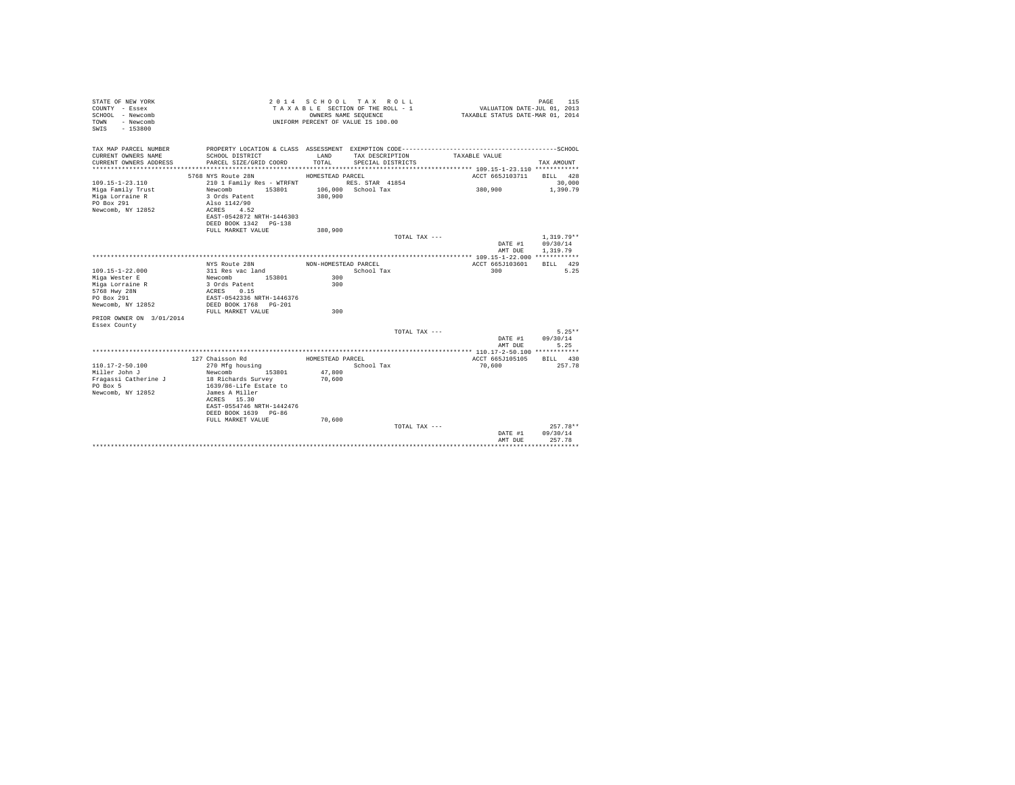| STATE OF NEW YORK<br>COUNTY - Essex<br>SCHOOL - Newcomb<br>- Newcomb<br>TOWN<br>$-153800$<br>SWIS |                                                                                                                                    | OWNERS NAME SEOUENCE | 2014 SCHOOL TAX ROLL<br>TAXABLE SECTION OF THE ROLL - 1<br>UNIFORM PERCENT OF VALUE IS 100.00 | VALUATION DATE-JUL 01, 2013<br>TAXABLE STATUS DATE-MAR 01, 2014 | 115<br>PAGE                          |
|---------------------------------------------------------------------------------------------------|------------------------------------------------------------------------------------------------------------------------------------|----------------------|-----------------------------------------------------------------------------------------------|-----------------------------------------------------------------|--------------------------------------|
| TAX MAP PARCEL NUMBER                                                                             | SCHOOL DISTRICT                                                                                                                    | LAND                 |                                                                                               |                                                                 |                                      |
| CURRENT OWNERS NAME<br>CURRENT OWNERS ADDRESS                                                     | PARCEL SIZE/GRID COORD                                                                                                             | TOTAL                | TAX DESCRIPTION<br>SPECIAL DISTRICTS                                                          | TAXABLE VALUE                                                   | TAX AMOUNT                           |
|                                                                                                   |                                                                                                                                    |                      |                                                                                               |                                                                 |                                      |
|                                                                                                   | 5768 NYS Route 28N                                                                                                                 | HOMESTEAD PARCEL     |                                                                                               | ACCT 665J103711                                                 | BILL 428                             |
| $109.15 - 1 - 23.110$                                                                             | 210 1 Family Res - WTRFNT                                                                                                          |                      | RES. STAR 41854                                                                               |                                                                 | 30,000                               |
| Miga Family Trust<br>Miga Lorraine R<br>PO Box 291<br>Newcomb, NY 12852                           | 153801<br>Newcomb<br>3 Ords Patent<br>Also 1142/90<br>ACRES 4.52<br>EAST-0542872 NRTH-1446303                                      | 380,900              | 106,000 School Tax                                                                            | 380,900                                                         | 1,390.79                             |
|                                                                                                   | DEED BOOK 1342 PG-138                                                                                                              |                      |                                                                                               |                                                                 |                                      |
|                                                                                                   | FULL MARKET VALUE                                                                                                                  | 380,900              |                                                                                               |                                                                 |                                      |
|                                                                                                   |                                                                                                                                    |                      | TOTAL TAX ---                                                                                 | DATE #1<br>AMT DUE                                              | $1.319.79**$<br>09/30/14<br>1,319.79 |
|                                                                                                   |                                                                                                                                    |                      |                                                                                               |                                                                 |                                      |
| $109.15 - 1 - 22.000$                                                                             | NYS Route 28N<br>311 Res vac land                                                                                                  | NON-HOMESTEAD PARCEL | School Tax                                                                                    | ACCT 665J103601<br>300                                          | BILL 429<br>5.25                     |
| Miga Wester E                                                                                     | Newcomb 153801                                                                                                                     | 300                  |                                                                                               |                                                                 |                                      |
| Miga Lorraine R                                                                                   | 3 Ords Patent                                                                                                                      | 300                  |                                                                                               |                                                                 |                                      |
| 5768 Hwy 28N                                                                                      | ACRES 0.15                                                                                                                         |                      |                                                                                               |                                                                 |                                      |
| PO Box 291                                                                                        | EAST-0542336 NRTH-1446376                                                                                                          |                      |                                                                                               |                                                                 |                                      |
| Newcomb, NY 12852                                                                                 | DEED BOOK 1768 PG-201<br>FULL MARKET VALUE                                                                                         | 300                  |                                                                                               |                                                                 |                                      |
| PRIOR OWNER ON 3/01/2014                                                                          |                                                                                                                                    |                      |                                                                                               |                                                                 |                                      |
| Essex County                                                                                      |                                                                                                                                    |                      |                                                                                               |                                                                 |                                      |
|                                                                                                   |                                                                                                                                    |                      | TOTAL TAX ---                                                                                 |                                                                 | $5.25**$                             |
|                                                                                                   |                                                                                                                                    |                      |                                                                                               | DATE #1<br>AMT DUE                                              | 09/30/14<br>5.25                     |
|                                                                                                   |                                                                                                                                    |                      |                                                                                               |                                                                 |                                      |
|                                                                                                   | 127 Chaisson Rd                                                                                                                    | HOMESTEAD PARCEL     |                                                                                               | ACCT 665J105105                                                 | BILL 430                             |
| $110.17 - 2 - 50.100$                                                                             | 270 Mfg housing                                                                                                                    |                      | School Tax                                                                                    | 70,600                                                          | 257.78                               |
| Miller John J                                                                                     | 153801<br>Newcomb                                                                                                                  | 47,800               |                                                                                               |                                                                 |                                      |
| Fragassi Catherine J<br>PO Box 5<br>Newcomb, NY 12852                                             | 18 Richards Survey<br>1639/86-Life Estate to<br>James A Miller<br>ACRES 15.30<br>EAST-0554746 NRTH-1442476<br>DEED BOOK 1639 PG-86 | 70,600               |                                                                                               |                                                                 |                                      |
|                                                                                                   | FULL MARKET VALUE                                                                                                                  | 70,600               |                                                                                               |                                                                 |                                      |
|                                                                                                   |                                                                                                                                    |                      | TOTAL TAX ---                                                                                 | DATE #1<br>AMT DUE                                              | $257.78**$<br>09/30/14<br>257.78     |
|                                                                                                   |                                                                                                                                    |                      |                                                                                               |                                                                 |                                      |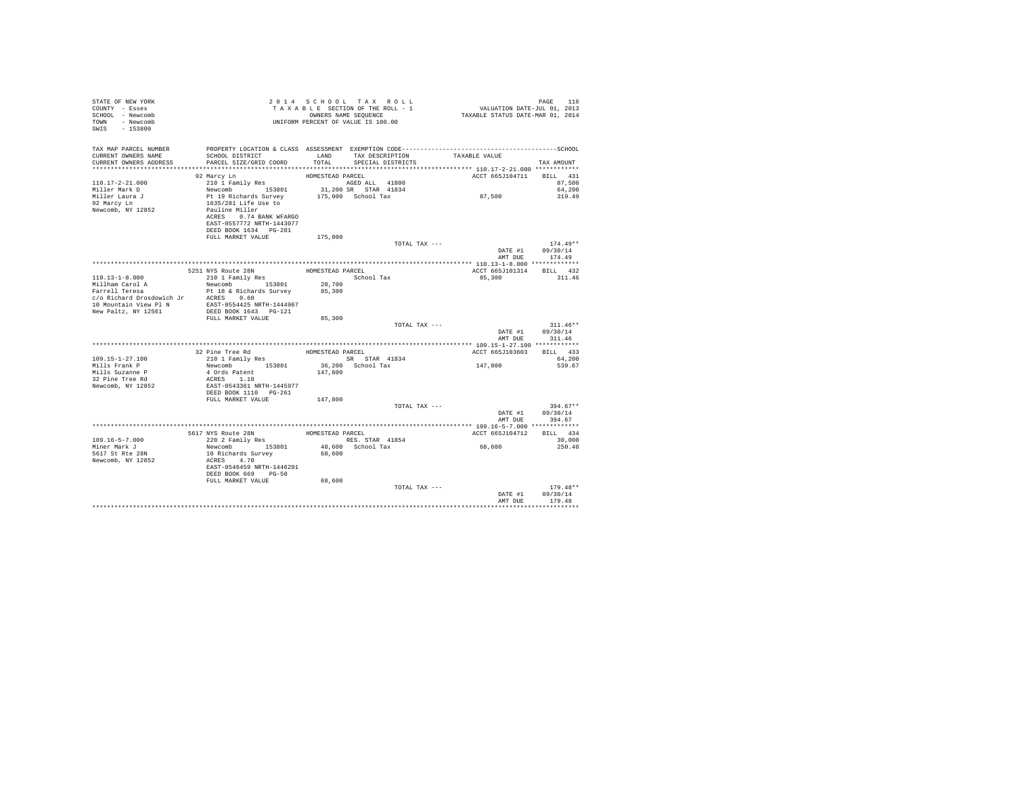| STATE OF NEW YORK<br>COUNTY - Essex<br>SCHOOL - Newcomb<br>TOWN - Newcomb<br>SWIS - 153800 | Z U 1 4 3 C L L C L C L C L T A X A B L E SECTION OF THE ROLL - 1<br>T A X A B L E SECTION OF THE ROLL - 1<br>UNIFORM PERCENT OF VALUE IS 100.00                     |                  | 2014 SCHOOL TAX ROLL<br>TAXABLE SECTION OF THE ROLL - 1<br>OWNERS NAME SEQUENCE | PAGE 116<br>VALUATION DATE-JUL 01, 2013<br>TAXABLE STATUS DATE-MAR 01, 2014 |                                     |
|--------------------------------------------------------------------------------------------|----------------------------------------------------------------------------------------------------------------------------------------------------------------------|------------------|---------------------------------------------------------------------------------|-----------------------------------------------------------------------------|-------------------------------------|
| TAX MAP PARCEL NUMBER<br>CURRENT OWNERS NAME<br>CURRENT OWNERS ADDRESS                     | SCHOOL DISTRICT<br>PARCEL SIZE/GRID COORD                                                                                                                            |                  | LAND TAX DESCRIPTION TAXABLE VALUE<br>TOTAL SPECIAL DISTRICTS                   |                                                                             | TAX AMOUNT                          |
|                                                                                            | 92 Marcy Ln<br>210 1 Family Res                                                                                                                                      | HOMESTEAD PARCEL |                                                                                 | ACCT 665J104711 BILL 431                                                    |                                     |
| $110.17 - 2 - 21.000$<br>Miller Mark D                                                     |                                                                                                                                                                      |                  | AGED ALL 41800<br>31,200 SR STAR 41834                                          |                                                                             | 87,500<br>64,200                    |
| Miller Laura J                                                                             |                                                                                                                                                                      |                  | 175,000 School Tax                                                              | 87,500                                                                      | 319.49                              |
| 92 Marcy Ln<br>Newcomb, NY 12852                                                           | Newcomb<br>153801<br>Pt 19 Richards Survey<br>1635/281 Life Use to<br>Pauline Miller<br>ACRES 0.74 BANK WFARGO<br>EAST-0557772 NRTH-1443077<br>DEED BOOK 1634 PG-281 |                  |                                                                                 |                                                                             |                                     |
|                                                                                            | FULL MARKET VALUE                                                                                                                                                    | 175,000          | TOTAL TAX ---                                                                   |                                                                             | $174.49**$                          |
|                                                                                            |                                                                                                                                                                      |                  |                                                                                 |                                                                             | $DATA = 09/30/14$<br>AMT DUE 174.49 |
|                                                                                            |                                                                                                                                                                      |                  |                                                                                 |                                                                             |                                     |
|                                                                                            | 5251 NYS Route 28N<br>210 1 Family Res                                                                                                                               |                  | HOMESTEAD PARCEL                                                                | ACCT 665J101314 BILL 432                                                    |                                     |
| 110.13-1-8.000                                                                             |                                                                                                                                                                      |                  | School Tax<br>28,700                                                            | 85,300                                                                      | 311.46                              |
| Millham Carol A<br>niinam carol A<br>Farrell Teresa                                        | Newcomb 153801                                                                                                                                                       | 85,300           |                                                                                 |                                                                             |                                     |
|                                                                                            | Pt 18 & Richards Survey<br>$\verb c/o\ Richard\ Drosdowich\ Jr\qquad ACRES\qquad 0.60 \\ \verb 10\ Mountain\ View\ Pl\ N\qquad EAST-0554425\ NRTH-1444967$           |                  |                                                                                 |                                                                             |                                     |
| New Paltz, NY 12561                                                                        | DEED BOOK 1643 PG-121<br>FULL MARKET VALUE                                                                                                                           | 85,300           |                                                                                 |                                                                             |                                     |
|                                                                                            |                                                                                                                                                                      |                  | TOTAL TAX ---                                                                   |                                                                             | $311.46**$                          |
|                                                                                            |                                                                                                                                                                      |                  |                                                                                 | AMT DUE                                                                     | DATE #1 09/30/14<br>311.46          |
|                                                                                            |                                                                                                                                                                      |                  |                                                                                 |                                                                             |                                     |
|                                                                                            | 32 Pine Tree Rd MOMESTEAD PARCEL                                                                                                                                     |                  |                                                                                 | ACCT 665J103603 BILL 433                                                    |                                     |
| $109.15 - 1 - 27.100$<br>Mills Frank P                                                     | 32 PINE LIEE AND RESTAND THE SERVICE STAR 41834<br>Newcomb 153801 36,200 School Tax                                                                                  |                  |                                                                                 | 147,800                                                                     | 64,200<br>539.67                    |
| Mills Suzanne P                                                                            |                                                                                                                                                                      | 147,800          |                                                                                 |                                                                             |                                     |
| 32 Pine Tree Rd                                                                            | 4 Ords Patent<br>ACRES 1.10                                                                                                                                          |                  |                                                                                 |                                                                             |                                     |
| Newcomb, NY 12852                                                                          | EAST-0543361 NRTH-1445977                                                                                                                                            |                  |                                                                                 |                                                                             |                                     |
|                                                                                            | FULL MARKET VALUE                                                                                                                                                    | 147,800          |                                                                                 |                                                                             |                                     |
|                                                                                            |                                                                                                                                                                      |                  | TOTAL TAX ---                                                                   |                                                                             | $394.67**$                          |
|                                                                                            |                                                                                                                                                                      |                  |                                                                                 |                                                                             | DATE #1 09/30/14<br>AMT DUE 394.67  |
|                                                                                            |                                                                                                                                                                      |                  |                                                                                 |                                                                             |                                     |
|                                                                                            |                                                                                                                                                                      |                  |                                                                                 | ACCT 665J104712 BILL 434                                                    |                                     |
| $109.16 - 5 - 7.000$                                                                       |                                                                                                                                                                      |                  |                                                                                 |                                                                             | 30,000                              |
| Miner Mark J<br>5617 St Rte 28N                                                            | Newcomb 153801<br>10 Richards Survey                                                                                                                                 |                  | 48,600 School Tax<br>68,600                                                     | 68,600                                                                      | 250.48                              |
| Newcomb, NY 12852                                                                          | ACRES 4.70<br>EAST-0546459 NRTH-1446291<br>DEED BOOK 669 PG-50                                                                                                       |                  |                                                                                 |                                                                             |                                     |
|                                                                                            | FULL MARKET VALUE                                                                                                                                                    | 68,600           |                                                                                 |                                                                             |                                     |
|                                                                                            |                                                                                                                                                                      |                  | TOTAL TAX ---                                                                   | DATE #1<br>AMT DUE                                                          | $179.48**$<br>09/30/14<br>179.48    |
|                                                                                            |                                                                                                                                                                      |                  |                                                                                 |                                                                             |                                     |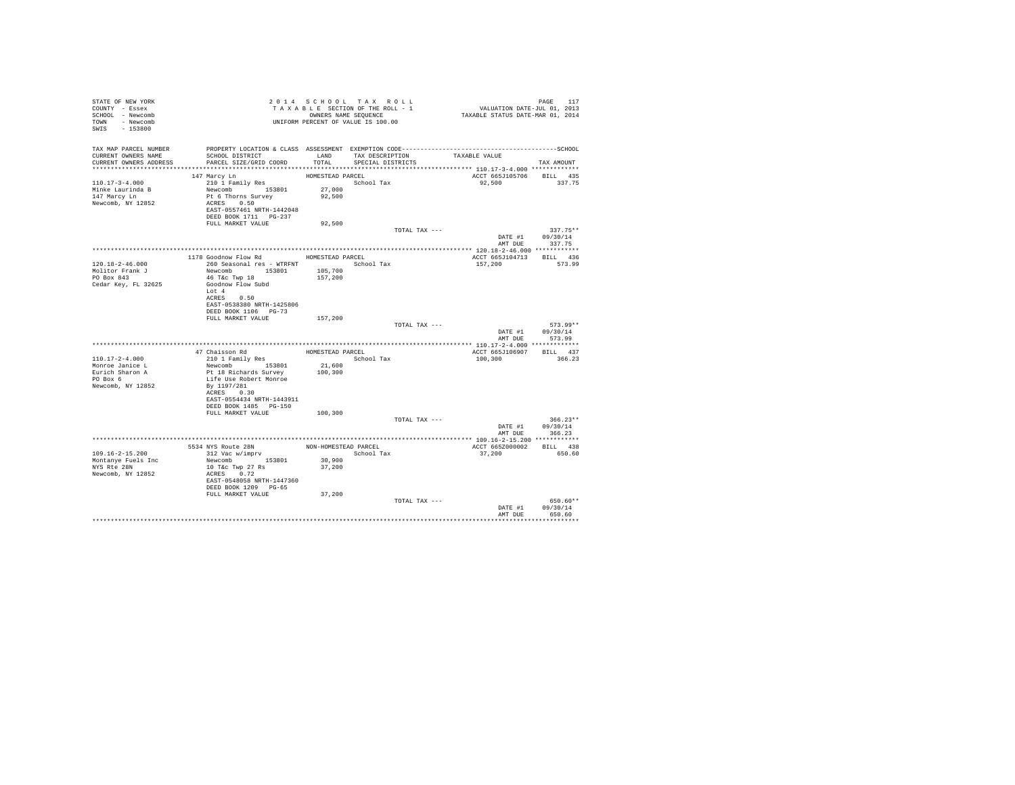| STATE OF NEW YORK<br>COUNTY - Essex<br>SCHOOL - Newcomb<br>TOWN - Newcomb<br>SWIS - 153800    | UNIFORM PERCENT OF VALUE IS 100.00                                                                                                                                                                                                                                       |                                        | 2014 SCHOOL TAX ROLL<br>TAXABLE SECTION OF THE ROLL - 1<br>OWNERS NAME SEQUENCE |               | PAGE 117<br>VALUATION DATE-JUL 01, 2013<br>TAXABLE STATUS DATE-MAR 01, 2014 |                                                            |
|-----------------------------------------------------------------------------------------------|--------------------------------------------------------------------------------------------------------------------------------------------------------------------------------------------------------------------------------------------------------------------------|----------------------------------------|---------------------------------------------------------------------------------|---------------|-----------------------------------------------------------------------------|------------------------------------------------------------|
| TAX MAP PARCEL NUMBER<br>CURRENT OWNERS NAME<br>CURRENT OWNERS ADDRESS PARCEL SIZE/GRID COORD | PROPERTY LOCATION & CLASS ASSESSMENT EXEMPTION CODE-----------------------------------SCHOOL<br>SCHOOL DISTRICT                                                                                                                                                          | LAND<br>TOTAL                          | TAX DESCRIPTION<br>SPECIAL DISTRICTS                                            |               | TAXABLE VALUE                                                               | TAX AMOUNT                                                 |
| 110.17-3-4.000<br>Minke Laurinda B<br>147 Marcy Ln<br>Newcomb, NY 12852                       | 147 Marcy Ln<br>210 1 Family Res<br>Newcomb 153801<br>Pt 6 Thorns Survey<br>ACRES 0.50<br>EAST-0557461 NRTH-1442048                                                                                                                                                      | HOMESTEAD PARCEL<br>27,000<br>92,500   | School Tax                                                                      |               | ACCT 665J105706<br>92,500                                                   | BILL 435<br>337.75                                         |
|                                                                                               | FULL MARKET VALUE                                                                                                                                                                                                                                                        | 92,500                                 |                                                                                 |               |                                                                             |                                                            |
|                                                                                               |                                                                                                                                                                                                                                                                          |                                        |                                                                                 | TOTAL TAX --- |                                                                             | $337.75**$<br>DATE #1 09/30/14<br>AMT DUE 337.75           |
| 120.18-2-46.000<br>Molitor Frank J<br>PO Box 843<br>Cedar Key, FL 32625                       | 1178 Goodnow Flow Rd HOMESTEAD PARCEL<br>260 Seasonal res - WTRFNT <a></a> School Tax<br>Newcomb 153801 105,700<br>46 T&c Twp 18<br>Goodnow Flow Subd<br>Lot 4<br>ACRES 0.50<br>EAST-0538380 NRTH-1425806<br>DEED BOOK 1106 PG-73<br>FULL MARKET VALUE<br>47 Chaisson Rd | 157,200<br>157,200<br>HOMESTEAD PARCEL |                                                                                 | TOTAL TAX --- | ACCT 665J104713 BILL 436<br>157,200<br>ACCT 665J106907 BILL 437             | 573.99<br>$573.99**$<br>DATE #1 09/30/14<br>AMT DUE 573.99 |
| $110.17 - 2 - 4.000$<br>Monroe Janice L<br>Eurich Sharon A<br>PO Box 6<br>Newcomb, NY 12852   | 210 1 Family Res<br>Newcomb 153801<br>Pt 18 Richards Survey<br>Life Use Robert Monroe<br>By 1197/281<br>ACRES 0.30<br>EAST-0554434 NRTH-1443911<br>DEED BOOK 1485 PG-150                                                                                                 | 21,600<br>100,300                      | School Tax                                                                      |               | 100,300                                                                     | 366.23                                                     |
|                                                                                               | FULL MARKET VALUE                                                                                                                                                                                                                                                        | 100,300                                |                                                                                 | TOTAL TAX --- | AMT DUE                                                                     | $366.23**$<br>DATE #1 09/30/14<br>366.23                   |
|                                                                                               |                                                                                                                                                                                                                                                                          |                                        |                                                                                 |               |                                                                             |                                                            |
| $109.16 - 2 - 15.200$<br>Montanye Fuels Inc<br>NYS Rte 28N<br>Newcomb, NY 12852               | 5534 NYS Route 28N<br>312 Vac w/imprv<br>Newcomb 153801<br>10 T&c Twp 27 Rs<br>ACRES 0.72<br>EAST-0548058 NRTH-1447360<br>DEED BOOK 1209 PG-65                                                                                                                           | 30,900<br>37,200                       | NON-HOMESTEAD PARCEL<br>School Tax                                              |               | ACCT 665Z000002<br>37,200                                                   | RTT.T. 438<br>650.60                                       |
|                                                                                               | FULL MARKET VALUE                                                                                                                                                                                                                                                        | 37,200                                 |                                                                                 | TOTAL TAX --- | DATE #1<br>AMT DUE                                                          | 650.60**<br>09/30/14<br>650.60                             |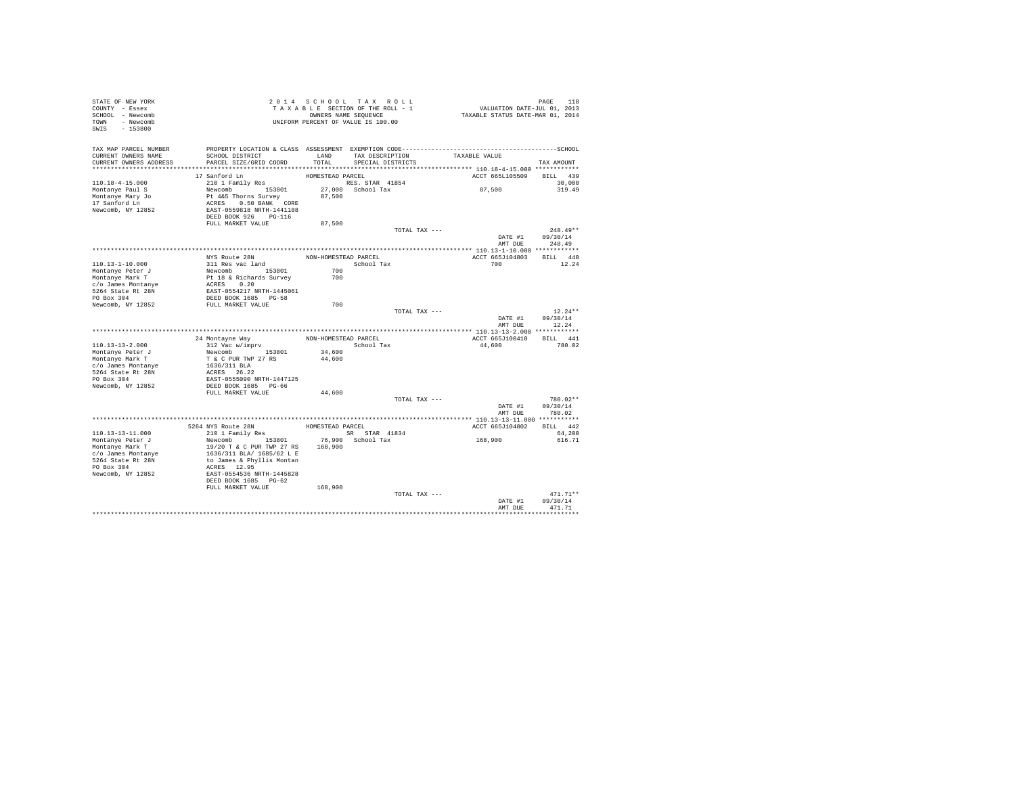| STATE OF NEW YORK<br>COUNTY - Essex<br>SCHOOL - Newcomb<br>TOWN - Newcomb<br>SWIS - 153800 |                                                   | 2014 SCHOOL TAX ROLL<br>TAXABLE SECTION OF THE ROLL - 1<br>OWNERS NAME SEQUENCE<br>UNIFORM PERCENT OF VALUE IS 100.00 |                                           |               | PAGE 118<br>VALUATION DATE-JUL 01, 2013<br>TAXABLE STATUS DATE-MAR 01, 2014 |                           |
|--------------------------------------------------------------------------------------------|---------------------------------------------------|-----------------------------------------------------------------------------------------------------------------------|-------------------------------------------|---------------|-----------------------------------------------------------------------------|---------------------------|
| TAX MAP PARCEL NUMBER<br>CURRENT OWNERS NAME<br>CURRENT OWNERS ADDRESS                     | SCHOOL DISTRICT<br>PARCEL SIZE/GRID COORD         | TOTAL                                                                                                                 | LAND TAX DESCRIPTION<br>SPECIAL DISTRICTS |               | TAXABLE VALUE                                                               | TAX AMOUNT                |
|                                                                                            |                                                   |                                                                                                                       |                                           |               |                                                                             |                           |
|                                                                                            | 17 Sanford Ln                                     | HOMESTEAD PARCEL                                                                                                      |                                           |               | ACCT 665L105509                                                             | BILL 439                  |
| 110.18-4-15.000                                                                            | 210 1 Family Res                                  | RES. STAR 41854                                                                                                       |                                           |               |                                                                             | 30,000                    |
| Montanye Paul S                                                                            | Newcomb 153801                                    |                                                                                                                       | 27,000 School Tax                         |               | 87,500                                                                      | 319.49                    |
| Montanye Mary Jo                                                                           | Pt 4&5 Thorns Survey                              | 87,500                                                                                                                |                                           |               |                                                                             |                           |
| 17 Sanford Ln                                                                              | ACRES 0.50 BANK CORE                              |                                                                                                                       |                                           |               |                                                                             |                           |
| Newcomb, NY 12852                                                                          | EAST-0559818 NRTH-1441188<br>DEED BOOK 926 PG-116 |                                                                                                                       |                                           |               |                                                                             |                           |
|                                                                                            | FULL MARKET VALUE                                 | 87,500                                                                                                                |                                           |               |                                                                             |                           |
|                                                                                            |                                                   |                                                                                                                       |                                           | TOTAL TAX --- |                                                                             | $248.49**$                |
|                                                                                            |                                                   |                                                                                                                       |                                           |               | DATE #1                                                                     | 09/30/14                  |
|                                                                                            |                                                   |                                                                                                                       |                                           |               | AMT DUE                                                                     | 248.49                    |
|                                                                                            |                                                   |                                                                                                                       |                                           |               |                                                                             |                           |
|                                                                                            | NYS Route 28N                                     | NON-HOMESTEAD PARCEL                                                                                                  |                                           |               | ACCT 665J104803                                                             | BILL 440                  |
| 110.13-1-10.000                                                                            | 311 Res vac land                                  |                                                                                                                       | School Tax                                |               | 700                                                                         | 12.24                     |
| Montanye Peter J                                                                           | Newcomb 153801                                    | 700                                                                                                                   |                                           |               |                                                                             |                           |
| Montanye Mark T                                                                            | Pt 18 & Richards Survey<br>ACRES 0.20             | 700                                                                                                                   |                                           |               |                                                                             |                           |
| c/o James Montanye<br>5264 State Rt 28N                                                    | EAST-0554217 NRTH-1445061                         |                                                                                                                       |                                           |               |                                                                             |                           |
| PO Box 304                                                                                 | DEED BOOK 1685 PG-58                              |                                                                                                                       |                                           |               |                                                                             |                           |
| Newcomb, NY 12852                                                                          | FULL MARKET VALUE                                 | 700                                                                                                                   |                                           |               |                                                                             |                           |
|                                                                                            |                                                   |                                                                                                                       |                                           | TOTAL TAX --- |                                                                             | $12.24**$                 |
|                                                                                            |                                                   |                                                                                                                       |                                           |               | DATE #1                                                                     | 09/30/14<br>AMT DUE 12.24 |
|                                                                                            |                                                   |                                                                                                                       |                                           |               |                                                                             |                           |
|                                                                                            | 24 Montayne Way                                   | NON-HOMESTEAD PARCEL                                                                                                  |                                           |               | ACCT 665J100410                                                             | BILL 441                  |
| 110.13-13-2.000                                                                            | 312 Vac w/imprv<br>Newcomb 153801                 |                                                                                                                       | School Tax                                |               | 44,600                                                                      | 780.02                    |
| Montanye Peter J<br>Montanye Mark T                                                        | T & C PUR TWP 27 RS                               | 34,600<br>44,600                                                                                                      |                                           |               |                                                                             |                           |
| c/o James Montanye                                                                         | 1636/311 BLA                                      |                                                                                                                       |                                           |               |                                                                             |                           |
| 5264 State Rt 28N                                                                          | ACRES 26.22                                       |                                                                                                                       |                                           |               |                                                                             |                           |
| PO Box 304                                                                                 | EAST-0555090 NRTH-1447125                         |                                                                                                                       |                                           |               |                                                                             |                           |
| Newcomb, NY 12852                                                                          | DEED BOOK 1685 PG-66                              |                                                                                                                       |                                           |               |                                                                             |                           |
|                                                                                            | FULL MARKET VALUE                                 | 44,600                                                                                                                |                                           |               |                                                                             |                           |
|                                                                                            |                                                   |                                                                                                                       |                                           | TOTAL TAX --- |                                                                             | 780.02**                  |
|                                                                                            |                                                   |                                                                                                                       |                                           |               | DATE #1<br>AMT DUE                                                          | 09/30/14<br>780.02        |
|                                                                                            |                                                   |                                                                                                                       |                                           |               |                                                                             |                           |
|                                                                                            | 5264 NYS Route 28N                                | HOMESTEAD PARCEL                                                                                                      |                                           |               | ACCT 665J104802                                                             | BILL 442                  |
| $110.13 - 13 - 11.000$                                                                     | 210 1 Family Res                                  |                                                                                                                       | SR STAR 41834                             |               |                                                                             | 64,200                    |
| Montanve Peter J                                                                           | Newcomb 153801                                    |                                                                                                                       | 76.900 School Tax                         |               | 168,900                                                                     | 616.71                    |
| Montanye Mark T                                                                            | 19/20 T & C PUR TWP 27 RS 168,900                 |                                                                                                                       |                                           |               |                                                                             |                           |
| c/o James Montanye                                                                         | 1636/311 BLA/ 1685/62 L E                         |                                                                                                                       |                                           |               |                                                                             |                           |
| 5264 State Rt 28N                                                                          | to James & Phyllis Montan                         |                                                                                                                       |                                           |               |                                                                             |                           |
| PO Box 304<br>Newcomb, NY 12852                                                            | ACRES 12.95<br>EAST-0554536 NRTH-1445828          |                                                                                                                       |                                           |               |                                                                             |                           |
|                                                                                            | DEED BOOK 1685 PG-62                              |                                                                                                                       |                                           |               |                                                                             |                           |
|                                                                                            | FULL MARKET VALUE                                 | 168,900                                                                                                               |                                           |               |                                                                             |                           |
|                                                                                            |                                                   |                                                                                                                       |                                           | TOTAL TAX --- |                                                                             | $471.71**$                |
|                                                                                            |                                                   |                                                                                                                       |                                           |               | DATE #1                                                                     | 09/30/14                  |
|                                                                                            |                                                   |                                                                                                                       |                                           |               | AMT DUE                                                                     | 471.71                    |
|                                                                                            |                                                   |                                                                                                                       |                                           |               |                                                                             |                           |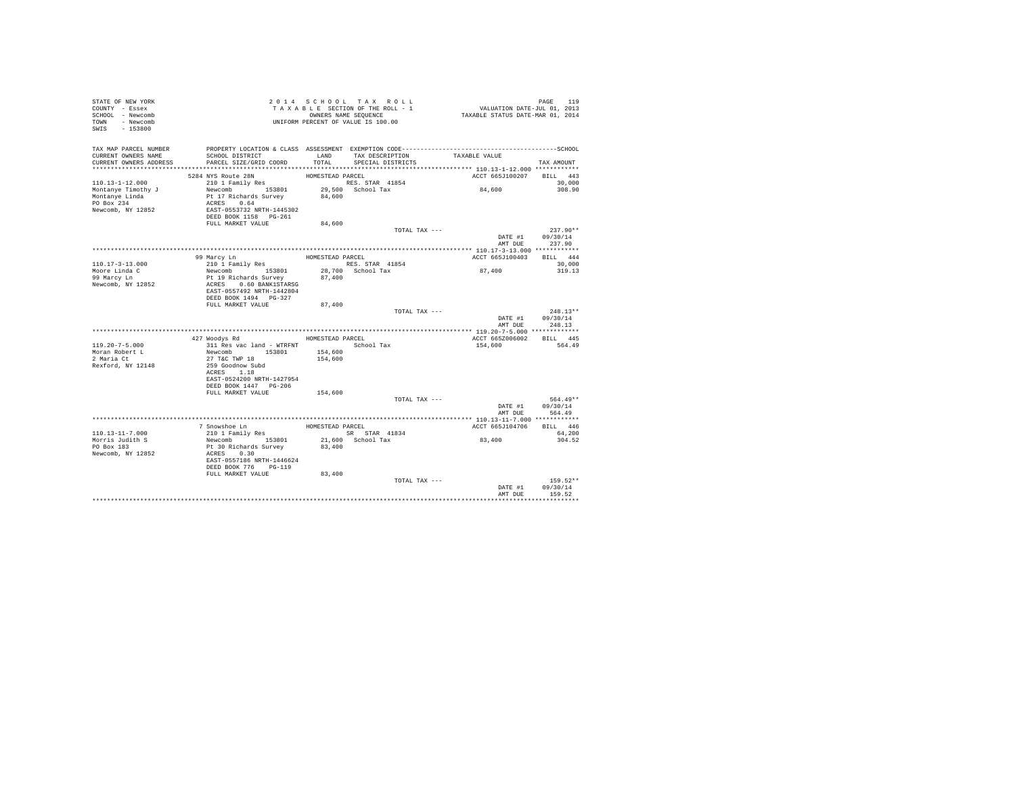| STATE OF NEW YORK<br>COUNTY - Essex<br>SCHOOL - Newcomb<br>TOWN - Newcomb<br>SWIS - 153800 | T A X A B L B L L.<br>OWNERS NAME SEQUENCE<br>UNIFORM PERCENT OF VALUE IS 100.00 |                  | TAXABLE SECTION OF THE ROLL - 1<br>OWNERS NAME SEQUENCE | PAGE 119<br>VALUATION DATE-JUL 01, 2013<br>TAXABLE STATUS DATE-MAR 01, 2014 |                                |
|--------------------------------------------------------------------------------------------|----------------------------------------------------------------------------------|------------------|---------------------------------------------------------|-----------------------------------------------------------------------------|--------------------------------|
| TAX MAP PARCEL NUMBER                                                                      |                                                                                  |                  |                                                         |                                                                             |                                |
| CURRENT OWNERS NAME                                                                        | SCHOOL DISTRICT                                                                  |                  | LAND TAX DESCRIPTION                                    | TAXABLE VALUE                                                               |                                |
| CURRENT OWNERS ADDRESS                                                                     | PARCEL SIZE/GRID COORD                                                           | TOTAL            | SPECIAL DISTRICTS                                       |                                                                             | TAX AMOUNT                     |
|                                                                                            | 5284 NYS Route 28N                                                               | HOMESTEAD PARCEL |                                                         |                                                                             | ACCT 665J100207 BILL 443       |
| $110.13 - 1 - 12.000$                                                                      | 210 1 Family Res                                                                 |                  | RES. STAR 41854                                         |                                                                             | 30,000                         |
| Montanye Timothy J                                                                         |                                                                                  |                  | 29,500 School Tax                                       | 84,600                                                                      | 308.90                         |
| Montanye Linda                                                                             |                                                                                  | 84,600           |                                                         |                                                                             |                                |
| PO Box 234                                                                                 | Newcomb<br>Pt 17 Richards Survey<br>ACRES 0.64<br>EAST-0553732 NRTH-1445302      |                  |                                                         |                                                                             |                                |
| Newcomb, NY 12852                                                                          |                                                                                  |                  |                                                         |                                                                             |                                |
|                                                                                            | DEED BOOK 1158 PG-261<br>FULL MARKET VALUE                                       | 84,600           |                                                         |                                                                             |                                |
|                                                                                            |                                                                                  |                  | TOTAL TAX ---                                           |                                                                             | $237.90**$                     |
|                                                                                            |                                                                                  |                  |                                                         | DATE #1                                                                     | 09/30/14                       |
|                                                                                            |                                                                                  |                  |                                                         | AMT DUR                                                                     | 237.90                         |
|                                                                                            |                                                                                  |                  |                                                         |                                                                             |                                |
|                                                                                            | 99 Marcy Ln<br>210 1 Family Res                                                  | HOMESTEAD PARCEL |                                                         | ACCT 665J100403                                                             | BILL 444                       |
| 110.17-3-13.000<br>Moore Linda C                                                           | Newcomb 153801                                                                   |                  | RES. STAR 41854<br>28,700 School Tax                    | 87,400                                                                      | 30,000<br>319.13               |
| 99 Marcy Ln                                                                                | Pt 19 Richards Survey                                                            | 87,400           |                                                         |                                                                             |                                |
| Newcomb, NY 12852                                                                          | ACRES 0.60 BANK1STARSG                                                           |                  |                                                         |                                                                             |                                |
|                                                                                            | EAST-0557492 NRTH-1442804                                                        |                  |                                                         |                                                                             |                                |
|                                                                                            | DEED BOOK 1494 PG-327                                                            |                  |                                                         |                                                                             |                                |
|                                                                                            | FULL MARKET VALUE                                                                | 87,400           |                                                         | TOTAL TAX ---                                                               | $248.13**$                     |
|                                                                                            |                                                                                  |                  |                                                         |                                                                             | DATE #1 09/30/14               |
|                                                                                            |                                                                                  |                  |                                                         | AMT DUE                                                                     | 248.13                         |
|                                                                                            |                                                                                  |                  |                                                         |                                                                             |                                |
|                                                                                            | 427 Woodys Rd MOMESTEAD PARCEL                                                   |                  |                                                         |                                                                             | ACCT 665Z006002 BILL 445       |
| 119.20-7-5.000                                                                             | 311 Res vac land - WTRFNT                                                        | 154,600          | School Tax                                              | 154,600                                                                     | 564.49                         |
| Moran Robert L<br>2 Maria Ct                                                               | Newcomb 153801<br>27 T&C TWP 18                                                  | 154,600          |                                                         |                                                                             |                                |
| Rexford, NY 12148                                                                          | 259 Goodnow Subd                                                                 |                  |                                                         |                                                                             |                                |
|                                                                                            | ACRES 1.18                                                                       |                  |                                                         |                                                                             |                                |
|                                                                                            | EAST-0524200 NRTH-1427954                                                        |                  |                                                         |                                                                             |                                |
|                                                                                            | DEED BOOK 1447 PG-206                                                            |                  |                                                         |                                                                             |                                |
|                                                                                            | FULL MARKET VALUE                                                                | 154,600          | TOTAL TAX ---                                           |                                                                             | 564.49**                       |
|                                                                                            |                                                                                  |                  |                                                         |                                                                             | DATE #1 09/30/14               |
|                                                                                            |                                                                                  |                  |                                                         | AMT DUE                                                                     | 564.49                         |
|                                                                                            |                                                                                  |                  |                                                         |                                                                             |                                |
|                                                                                            |                                                                                  |                  |                                                         | ACCT 665J104706                                                             | BILL 446                       |
| 110.13-11-7.000<br>Morris Judith S                                                         |                                                                                  |                  |                                                         | 83,400                                                                      | 64,200<br>304.52               |
| PO Box 183                                                                                 |                                                                                  |                  |                                                         |                                                                             |                                |
| Newcomb, NY 12852                                                                          |                                                                                  |                  |                                                         |                                                                             |                                |
|                                                                                            | EAST-0557186 NRTH-1446624                                                        |                  |                                                         |                                                                             |                                |
|                                                                                            | DEED BOOK 776 PG-119                                                             |                  |                                                         |                                                                             |                                |
|                                                                                            | FULL MARKET VALUE                                                                | 83,400           |                                                         |                                                                             |                                |
|                                                                                            |                                                                                  |                  | TOTAL TAX ---                                           |                                                                             | $159.52**$<br>DATE #1 09/30/14 |
|                                                                                            |                                                                                  |                  |                                                         | AMT DUE                                                                     | 159.52                         |
|                                                                                            |                                                                                  |                  |                                                         |                                                                             |                                |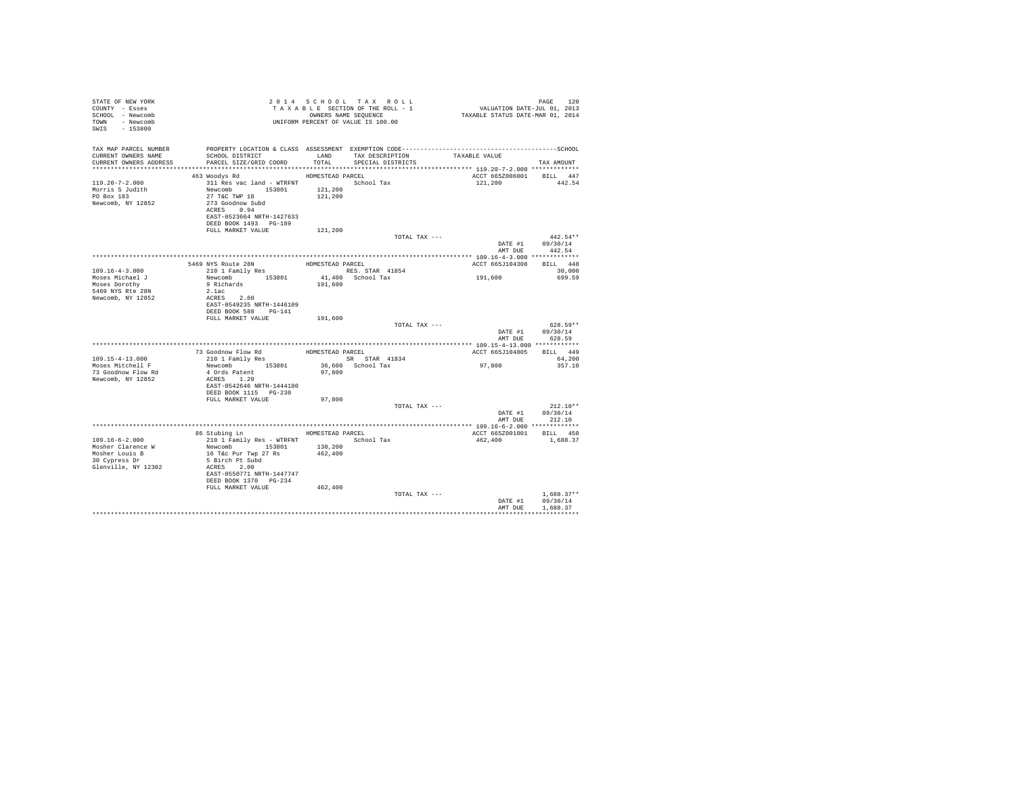| STATE OF NEW YORK<br>COUNTY - Essex<br>SCHOOL - Newcomb<br>TOWN - Newcomb<br>SWIS - 153800          |                                                                                                                                                                                                  |                             | TAXABLE SECTION OF THE ROLL - 1<br>OWNERS NAME SEQUENCE       | PAGE 120<br>VALUATION DATE-JUL 01, 2013<br>TAXABLE STATUS DATE-MAR 01, 2014 | PAGE<br>120                              |
|-----------------------------------------------------------------------------------------------------|--------------------------------------------------------------------------------------------------------------------------------------------------------------------------------------------------|-----------------------------|---------------------------------------------------------------|-----------------------------------------------------------------------------|------------------------------------------|
| TAX MAP PARCEL NUMBER<br>CURRENT OWNERS NAME<br>CURRENT OWNERS ADDRESS                              | SCHOOL DISTRICT<br>PARCEL SIZE/GRID COORD                                                                                                                                                        |                             | LAND TAX DESCRIPTION TAXABLE VALUE<br>TOTAL SPECIAL DISTRICTS |                                                                             | TAX AMOUNT                               |
|                                                                                                     |                                                                                                                                                                                                  |                             |                                                               |                                                                             |                                          |
| $119.20 - 7 - 2.000$<br>Morris S Judith<br>PO Box 183<br>Newcomb, NY 12852                          | 463 Woodys Rd<br>311 Res vac land - WTRFNT                 School Tax<br>Newcomb 153801<br>27 T&C TWP 18<br>273 Goodnow Subd<br>ACRES 0.94<br>EAST-0523664 NRTH-1427633<br>DEED BOOK 1493 PG-189 | HOMESTEAD PARCEL<br>121,200 | 121,200                                                       | ACCT 665Z006001 BILL 447<br>121,200                                         | 442.54                                   |
|                                                                                                     | FULL MARKET VALUE                                                                                                                                                                                | 121,200                     |                                                               |                                                                             |                                          |
|                                                                                                     |                                                                                                                                                                                                  |                             | TOTAL TAX ---                                                 |                                                                             | $442.54**$                               |
|                                                                                                     |                                                                                                                                                                                                  |                             |                                                               | AMT DUE                                                                     | DATE #1 09/30/14<br>442.54               |
|                                                                                                     |                                                                                                                                                                                                  |                             | HOMESTEAD PARCEL                                              |                                                                             | BILL 448                                 |
| $109.16 - 4 - 3.000$                                                                                | 5469 NYS Route 28N<br>210 1 Family Res                                                                                                                                                           |                             | RES. STAR 41854                                               | ACCT 665J104308                                                             | 30,000                                   |
| Moses Michael J                                                                                     | Newcomb 153801                                                                                                                                                                                   |                             | 41.400 School Tax                                             | 191,600                                                                     | 699.59                                   |
| Moses Dorothy<br>5469 NYS Rte 28N                                                                   | 9 Richards<br>2.1ac                                                                                                                                                                              | 191,600                     |                                                               |                                                                             |                                          |
| Newcomb, NY 12852                                                                                   | ACRES 2.60<br>EAST-0549235 NRTH-1446109<br>DEED BOOK 588 PG-141                                                                                                                                  |                             |                                                               |                                                                             |                                          |
|                                                                                                     | FULL MARKET VALUE                                                                                                                                                                                | 191,600                     |                                                               |                                                                             |                                          |
|                                                                                                     |                                                                                                                                                                                                  |                             | TOTAL TAX ---                                                 | AMT DUE                                                                     | $628.59**$<br>DATE #1 09/30/14<br>628.59 |
|                                                                                                     |                                                                                                                                                                                                  |                             |                                                               |                                                                             |                                          |
|                                                                                                     | 73 Goodnow Flow Rd<br>210 1 Family Res<br>8R STAR 41834                                                                                                                                          |                             |                                                               | ACCT 665J104805 BILL 449                                                    |                                          |
| $109.15 - 4 - 13.000$                                                                               |                                                                                                                                                                                                  |                             | SR STAR 41834<br>36,600 School Tax                            |                                                                             | 64,200                                   |
| Moses Mitchell F<br>73 Goodnow Flow Rd<br>Newcomb, NY 12852                                         | Newcomb 153801<br>4 Ords Patent<br>ACRES 1.20                                                                                                                                                    | 97,800                      |                                                               | 97,800                                                                      | 357.10                                   |
|                                                                                                     | EAST-0542646 NRTH-1444180<br>DEED BOOK 1115 PG-230<br>FULL MARKET VALUE                                                                                                                          | 97,800                      |                                                               |                                                                             |                                          |
|                                                                                                     |                                                                                                                                                                                                  |                             | TOTAL TAX ---                                                 |                                                                             | $212.10**$<br>DATE #1 09/30/14           |
|                                                                                                     |                                                                                                                                                                                                  |                             |                                                               |                                                                             | AMT DUE 212.10                           |
|                                                                                                     | 86 Stubing Ln MOMESTEAD PARCEL                                                                                                                                                                   |                             |                                                               |                                                                             |                                          |
| $109.16 - 6 - 2.000$<br>Mosher Clarence W<br>Mosher Louis B<br>30 Cypress Dr<br>Glenville, NY 12302 | 210 1 Family Res - WTRFNT School Tax<br>Newcomb 153801<br>16 T&c Pur Twp 27 Rs<br>5 Birch Pt Subd<br>ACRES 2.00<br>EAST-0550771 NRTH-1447747<br>DEED BOOK 1370 PG-234                            | 130,200<br>462,400          |                                                               | ACCT 665Z001001 BILL 450<br>462,400                                         | 1,688.37                                 |
|                                                                                                     | FULL MARKET VALUE 462,400                                                                                                                                                                        |                             |                                                               |                                                                             |                                          |
|                                                                                                     |                                                                                                                                                                                                  |                             | TOTAL TAX ---                                                 | DATE #1<br>AMT DUE                                                          | $1.688.37**$<br>09/30/14<br>1,688.37     |
|                                                                                                     |                                                                                                                                                                                                  |                             |                                                               | ********************************                                            |                                          |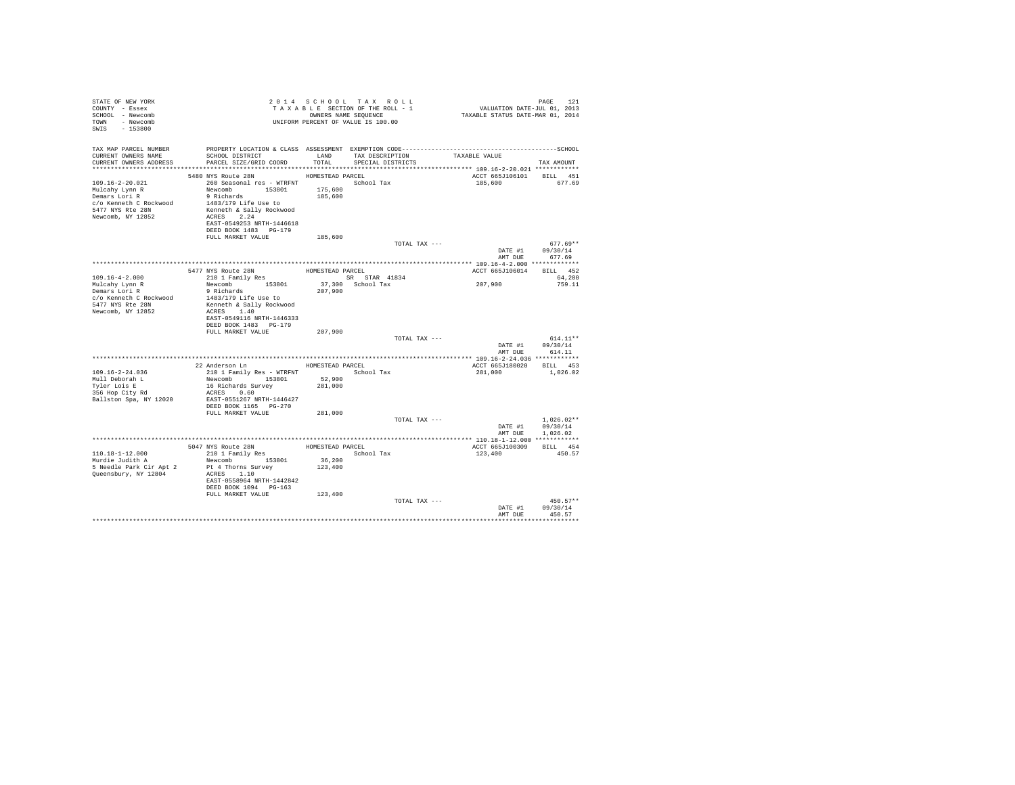| STATE OF NEW YORK<br>COUNTY - Essex<br>SCHOOL - Newcomb<br>TOWN - Newcomb<br>SWIS - 153800         | T A X A B L E SECTION.<br>OWNERS NAME SEQUENCE<br>UNIFORM PERCENT OF VALUE IS 100.00                                                                                                                                                                                                                                                                                                                                                                                                                                         |                    | 2014 SCHOOL TAX ROLL<br>TAXABLE SECTION OF THE ROLL - 1<br>OWNERS NAME SEQUENCE | PAGE 121<br>VALUATION DATE-JUL 01, 2013<br>TAXABLE STATUS DATE-MAR 01, 2014 |                                              |
|----------------------------------------------------------------------------------------------------|------------------------------------------------------------------------------------------------------------------------------------------------------------------------------------------------------------------------------------------------------------------------------------------------------------------------------------------------------------------------------------------------------------------------------------------------------------------------------------------------------------------------------|--------------------|---------------------------------------------------------------------------------|-----------------------------------------------------------------------------|----------------------------------------------|
| TAX MAP PARCEL NUMBER                                                                              | PROPERTY LOCATION & CLASS ASSESSMENT EXEMPTION CODE-----------------------------------SCHOOL                                                                                                                                                                                                                                                                                                                                                                                                                                 |                    |                                                                                 |                                                                             |                                              |
| CURRENT OWNERS NAME                                                                                | SCHOOL DISTRICT<br>CURRENT OWNERS ADDRESS PARCEL SIZE/GRID COORD                                                                                                                                                                                                                                                                                                                                                                                                                                                             | TOTAL              | LAND TAX DESCRIPTION<br>SPECIAL DISTRICTS                                       | TAXABLE VALUE                                                               | TAX AMOUNT                                   |
|                                                                                                    | 5480 NYS Route 28N HOMESTEAD PARCEL                                                                                                                                                                                                                                                                                                                                                                                                                                                                                          |                    |                                                                                 | ACCT 665J106101 BILL 451                                                    |                                              |
| 109.16-2-20.021<br>Mulcahy Lynn R<br>Demars Lori R<br>5477 NYS Rte 28N<br>Newcomb, NY 12852        | 260 Seasonal res - WTRFNT Market School Tax<br>Newcomb 153801<br>9 Richards<br>$c/o$ Kenneth C Rockwood $1483/179$ Life Use to<br>Kenneth & Sally Rockwood<br>ACRES 2.24<br>EAST-0549253 NRTH-1446618<br>DEED BOOK 1483 PG-179                                                                                                                                                                                                                                                                                               | 175,600<br>185,600 |                                                                                 | 185,600 677.69                                                              |                                              |
|                                                                                                    | FULL MARKET VALUE                                                                                                                                                                                                                                                                                                                                                                                                                                                                                                            | 185,600            |                                                                                 |                                                                             |                                              |
|                                                                                                    |                                                                                                                                                                                                                                                                                                                                                                                                                                                                                                                              |                    | TOTAL TAX ---                                                                   |                                                                             | $677.69**$                                   |
|                                                                                                    |                                                                                                                                                                                                                                                                                                                                                                                                                                                                                                                              |                    |                                                                                 | AMT DUE                                                                     | DATE #1 09/30/14<br>677.69                   |
|                                                                                                    |                                                                                                                                                                                                                                                                                                                                                                                                                                                                                                                              |                    |                                                                                 |                                                                             |                                              |
| $109.16 - 4 - 2.000$                                                                               | 5477 NYS Route 28N<br>210 1 Family Res                                                                                                                                                                                                                                                                                                                                                                                                                                                                                       | HOMESTEAD PARCEL   |                                                                                 | ACCT 665J106014 BILL 452                                                    | 64,200                                       |
| Mulcahy Lynn R<br>Demars Lori R<br>c/o Kenneth C Rockwood<br>5477 NYS Rte 28N<br>Newcomb, NY 12852 | $\begin{tabular}{lllllllllll} $\text{$\kappa$-uv $1$ } $\text{{\tt Sam11Y} }$\text{Res}$ & $\cdots$ & $\cdots$ & $\text{{\tt emx}}$ & $\text{{\tt SR} }$ $\text{{\tt SR} }$ $\text{{\tt SR} }$ & $\text{{\tt SR} }$ & $\text{{\tt SR} }$ & $\text{{\tt SR} }$ & $\text{{\tt 41834}}$ \\ $ {\tt Newcomb}$ & $153801 & $37,300 & $\text{{\tt School} }$ & $\text{{\tt Tax}}$ \\ $9$ $\text{ Richards}$ & $207,900$ & $\text{{\tt School} }$ & $\text{{\tt T$<br>1483/179 Life Use to<br>Kenneth & Sally Rockwood<br>ACRES 1.40 |                    |                                                                                 | 207,900                                                                     | 759.11                                       |
|                                                                                                    | EAST-0549116 NRTH-1446333<br>DEED BOOK 1483 PG-179<br>FULL MARKET VALUE                                                                                                                                                                                                                                                                                                                                                                                                                                                      |                    |                                                                                 |                                                                             |                                              |
|                                                                                                    |                                                                                                                                                                                                                                                                                                                                                                                                                                                                                                                              | 207,900            | TOTAL TAX ---                                                                   |                                                                             | $614.11**$                                   |
|                                                                                                    |                                                                                                                                                                                                                                                                                                                                                                                                                                                                                                                              |                    |                                                                                 |                                                                             | DATE #1 09/30/14                             |
|                                                                                                    |                                                                                                                                                                                                                                                                                                                                                                                                                                                                                                                              |                    |                                                                                 | AMT DUE                                                                     | 614.11                                       |
|                                                                                                    | 22 Anderson Ln HOMESTEAD PARCEL                                                                                                                                                                                                                                                                                                                                                                                                                                                                                              |                    |                                                                                 | ACCT 665J180020 BILL 453                                                    |                                              |
| $109.16 - 2 - 24.036$                                                                              |                                                                                                                                                                                                                                                                                                                                                                                                                                                                                                                              |                    |                                                                                 | 281,000                                                                     | 1,026.02                                     |
| Mull Deborah L                                                                                     | 210 1 Family Res - WTRFNT 52,900<br>Newcomb 153801 52,900<br>16 Richards Survey 281,000                                                                                                                                                                                                                                                                                                                                                                                                                                      |                    |                                                                                 |                                                                             |                                              |
| Tyler Lois E<br>iyier Lois E<br>356 Hop City Rd                                                    | 16 Richards Survey<br>ACRES 0.60                                                                                                                                                                                                                                                                                                                                                                                                                                                                                             |                    |                                                                                 |                                                                             |                                              |
| Ballston Spa, NY 12020                                                                             | EAST-0551267 NRTH-1446427<br>DEED BOOK 1165 PG-270                                                                                                                                                                                                                                                                                                                                                                                                                                                                           |                    |                                                                                 |                                                                             |                                              |
|                                                                                                    | FULL MARKET VALUE                                                                                                                                                                                                                                                                                                                                                                                                                                                                                                            | 281,000            |                                                                                 |                                                                             |                                              |
|                                                                                                    |                                                                                                                                                                                                                                                                                                                                                                                                                                                                                                                              |                    | TOTAL TAX ---                                                                   | AMT DUE                                                                     | $1.026.02**$<br>DATE #1 09/30/14<br>1,026.02 |
|                                                                                                    |                                                                                                                                                                                                                                                                                                                                                                                                                                                                                                                              |                    |                                                                                 |                                                                             |                                              |
|                                                                                                    |                                                                                                                                                                                                                                                                                                                                                                                                                                                                                                                              |                    |                                                                                 | ACCT 665J100309 BILL 454                                                    |                                              |
|                                                                                                    |                                                                                                                                                                                                                                                                                                                                                                                                                                                                                                                              |                    | School Tax                                                                      | 123,400                                                                     | 450.57                                       |
|                                                                                                    |                                                                                                                                                                                                                                                                                                                                                                                                                                                                                                                              |                    |                                                                                 |                                                                             |                                              |
| 5 Needle Park Cir Apt 2<br>Queensbury, NY 12804                                                    | Pt 4 Thorns Survey<br>ACRES 1.10<br>EAST-0558964 NRTH-1442842<br>DEED BOOK 1094 PG-163                                                                                                                                                                                                                                                                                                                                                                                                                                       | 123,400            |                                                                                 |                                                                             |                                              |
|                                                                                                    | FULL MARKET VALUE                                                                                                                                                                                                                                                                                                                                                                                                                                                                                                            | 123,400            |                                                                                 |                                                                             |                                              |
|                                                                                                    |                                                                                                                                                                                                                                                                                                                                                                                                                                                                                                                              |                    | TOTAL TAX ---                                                                   | AMT DUE                                                                     | $450.57**$<br>DATE #1 09/30/14<br>450.57     |
|                                                                                                    |                                                                                                                                                                                                                                                                                                                                                                                                                                                                                                                              |                    |                                                                                 |                                                                             |                                              |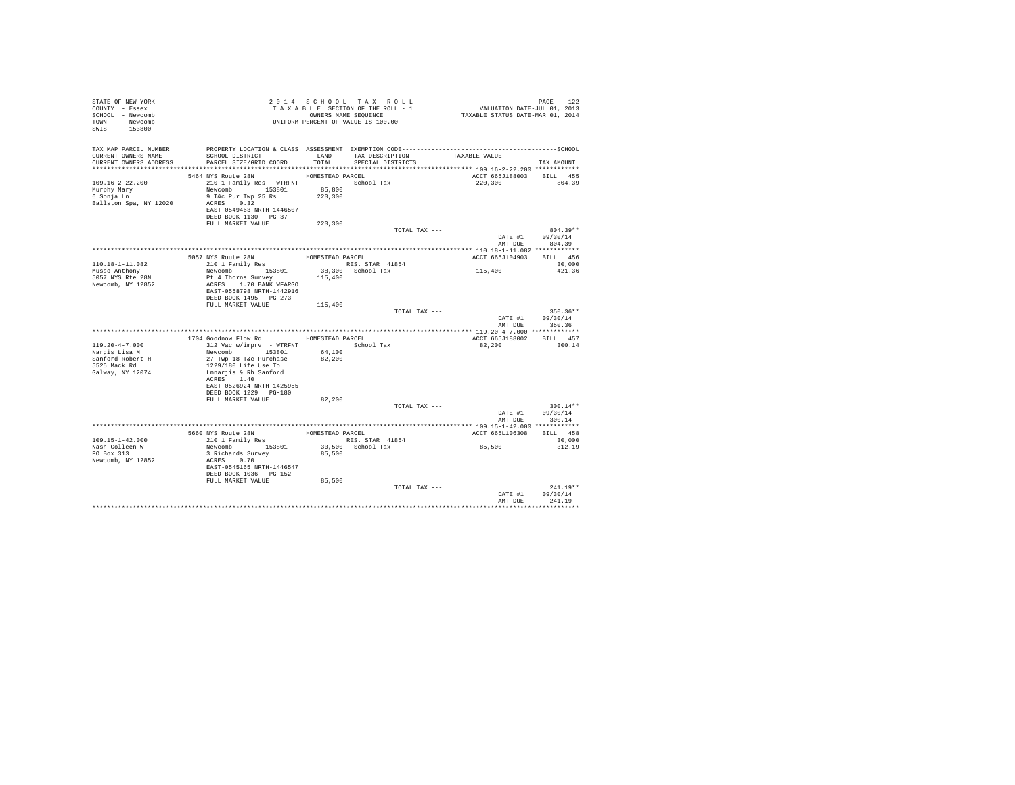| STATE OF NEW YORK<br>COUNTY - Essex<br>SCHOOL - Newcomb<br>TOWN - Newcomb<br>SWIS - 153800 | TAXABLE SECTION OF HER COOLSTAND TO THE CONDERS NAME SEQUENCE<br>UNIFORM PERCENT OF VALUE IS 100.00 |                  | TAXABLE SECTION OF THE ROLL - 1<br>OWNERS NAME SEQUENCE | PAGE 122<br>VALUATION DATE-JUL 01, 2013<br>TAXABLE STATUS DATE-MAR 01, 2014 |                                |
|--------------------------------------------------------------------------------------------|-----------------------------------------------------------------------------------------------------|------------------|---------------------------------------------------------|-----------------------------------------------------------------------------|--------------------------------|
|                                                                                            |                                                                                                     |                  |                                                         |                                                                             |                                |
| CURRENT OWNERS NAME<br>CURRENT OWNERS ADDRESS                                              | SCHOOL DISTRICT<br>PARCEL SIZE/GRID COORD                                                           | TOTAL            | LAND TAX DESCRIPTION TAXABLE VALUE<br>SPECIAL DISTRICTS |                                                                             | TAX AMOUNT                     |
|                                                                                            |                                                                                                     |                  |                                                         |                                                                             |                                |
|                                                                                            | 5464 NYS Route 28N                                                                                  | HOMESTEAD PARCEL |                                                         | ACCT 665J188003 BILL 455                                                    |                                |
| $109.16 - 2 - 22.200$                                                                      |                                                                                                     |                  |                                                         | 220.300                                                                     | 804.39                         |
| Murphy Mary<br>6 Sonja Ln                                                                  | Newcomb 153801                                                                                      | 85,800           |                                                         |                                                                             |                                |
| 6 Sonja Ln<br>Ballston Spa, NY 12020                                                       | 9 T&c Pur Twp 25 Rs<br>ACRES 0.32                                                                   | 220,300          |                                                         |                                                                             |                                |
|                                                                                            | EAST-0549463 NRTH-1446507                                                                           |                  |                                                         |                                                                             |                                |
|                                                                                            | DEED BOOK 1130 PG-37                                                                                |                  |                                                         |                                                                             |                                |
|                                                                                            | FULL MARKET VALUE                                                                                   | 220,300          |                                                         |                                                                             |                                |
|                                                                                            |                                                                                                     |                  | TOTAL TAX ---                                           |                                                                             | $804.39**$                     |
|                                                                                            |                                                                                                     |                  |                                                         |                                                                             | DATE #1 09/30/14               |
|                                                                                            |                                                                                                     |                  |                                                         |                                                                             | AMT DUE 804.39                 |
|                                                                                            |                                                                                                     |                  |                                                         |                                                                             |                                |
| 110.18-1-11.082                                                                            | 5057 NYS Route 28N<br>210 1 Family Res                                                              |                  | HOMESTEAD PARCEL<br>RES. STAR 41854                     | ACCT 665J104903 BILL 456                                                    | 30,000                         |
| Musso Anthony                                                                              |                                                                                                     |                  |                                                         | 115,400                                                                     | 421.36                         |
| 5057 NYS Rte 28N                                                                           | Newcomb 153801 38,300 School Tax<br>Pt 4 Thorns Survey 115,400                                      |                  |                                                         |                                                                             |                                |
| Newcomb, NY 12852                                                                          | ACRES 1.70 BANK WFARGO                                                                              |                  |                                                         |                                                                             |                                |
|                                                                                            | EAST-0558798 NRTH-1442916                                                                           |                  |                                                         |                                                                             |                                |
|                                                                                            | DEED BOOK 1495 PG-273                                                                               |                  |                                                         |                                                                             |                                |
|                                                                                            | FULL MARKET VALUE 115,400                                                                           |                  |                                                         |                                                                             |                                |
|                                                                                            |                                                                                                     |                  | TOTAL TAX ---                                           |                                                                             | $350.36**$<br>DATE #1 09/30/14 |
|                                                                                            |                                                                                                     |                  |                                                         | AMT DUE                                                                     | 350.36                         |
|                                                                                            |                                                                                                     |                  |                                                         |                                                                             |                                |
|                                                                                            | 1704 Goodnow Flow Rd HOMESTEAD PARCEL                                                               |                  |                                                         | ACCT 665J188002                                                             | BILL 457                       |
| $119.20 - 4 - 7.000$                                                                       | 312 Vac w/imprv - WTRFNT School Tax                                                                 |                  |                                                         | 82.200                                                                      | 300.14                         |
| Nargis Lisa M                                                                              | Newcomb 153801                                                                                      | 64,100           |                                                         |                                                                             |                                |
| Sanford Robert H                                                                           | 27 Twp 18 T&c Purchase                                                                              | 82,200           |                                                         |                                                                             |                                |
| 5525 Mack Rd                                                                               | 1229/180 Life Use To                                                                                |                  |                                                         |                                                                             |                                |
| Galway, NY 12074                                                                           | Lmnarjis & Rh Sanford<br>ACRES 1.40                                                                 |                  |                                                         |                                                                             |                                |
|                                                                                            | EAST-0526924 NRTH-1425955                                                                           |                  |                                                         |                                                                             |                                |
|                                                                                            | DEED BOOK 1229    PG-180                                                                            |                  |                                                         |                                                                             |                                |
|                                                                                            | FULL MARKET VALUE                                                                                   | 82,200           |                                                         |                                                                             |                                |
|                                                                                            |                                                                                                     |                  | TOTAL TAX ---                                           |                                                                             | $300.14**$                     |
|                                                                                            |                                                                                                     |                  |                                                         |                                                                             | DATE #1 09/30/14               |
|                                                                                            |                                                                                                     |                  |                                                         |                                                                             | AMT DUE 300.14                 |
|                                                                                            |                                                                                                     |                  |                                                         |                                                                             |                                |
|                                                                                            | 5660 NYS Route 28N HOMESTEAD PARCEL<br>210 1 Family Res RES. STAR 41854                             |                  |                                                         | ACCT 665L106308 BILL 458                                                    |                                |
| $109.15 - 1 - 42.000$<br>Nash Colleen W                                                    | Newcomb 153801                                                                                      |                  | 30,500 School Tax                                       | 85,500                                                                      | 30,000<br>312.19               |
| PO Box 313                                                                                 | 3 Richards Survey                                                                                   | 85,500           |                                                         |                                                                             |                                |
| Newcomb, NY 12852                                                                          | ACRES 0.70                                                                                          |                  |                                                         |                                                                             |                                |
|                                                                                            | EAST-0545165 NRTH-1446547                                                                           |                  |                                                         |                                                                             |                                |
|                                                                                            | DEED BOOK 1036    PG-152                                                                            |                  |                                                         |                                                                             |                                |
|                                                                                            | FULL MARKET VALUE                                                                                   | 85,500           |                                                         |                                                                             |                                |
|                                                                                            |                                                                                                     |                  | TOTAL TAX ---                                           |                                                                             | $241.19**$                     |
|                                                                                            |                                                                                                     |                  |                                                         | DATE #1                                                                     | 09/30/14                       |
|                                                                                            |                                                                                                     |                  |                                                         | AMT DUE                                                                     | 241.19                         |
|                                                                                            |                                                                                                     |                  |                                                         |                                                                             |                                |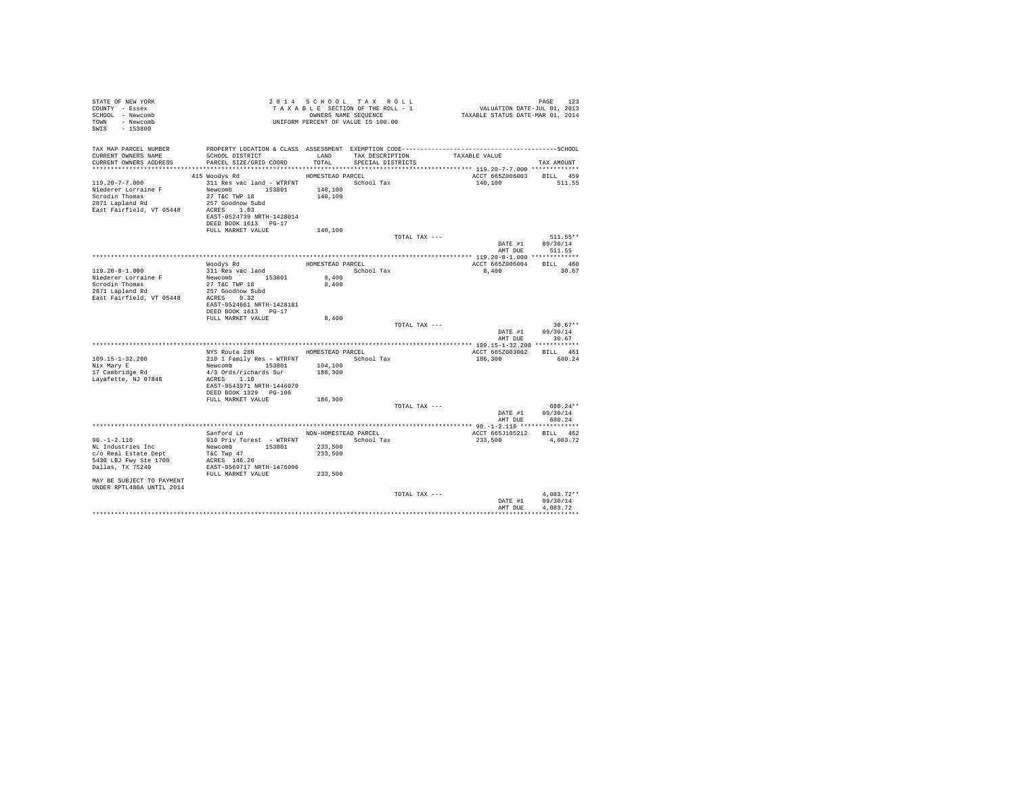| STATE OF NEW YORK<br>COUNTY - Essex<br>SCHOOL - Newcomb<br>TOWN - Newcomb<br>SWIS<br>$-153800$               |                                                                                                                                        |                    | 2014 SCHOOL TAX ROLL<br>TAXABLE SECTION OF THE ROLL - 1<br>OWNERS NAME SEQUENCE<br>UNIFORM PERCENT OF VALUE IS 100.00 |               | دعا PAGE<br>2013 VALUATION DATE-JUL 01, 2013<br>TAXABLE STATUS DATE-MAR 01, 2014 | PAGE<br>123                  |
|--------------------------------------------------------------------------------------------------------------|----------------------------------------------------------------------------------------------------------------------------------------|--------------------|-----------------------------------------------------------------------------------------------------------------------|---------------|----------------------------------------------------------------------------------|------------------------------|
| TAX MAP PARCEL NUMBER<br>CURRENT OWNERS NAME<br>CURRENT OWNERS ADDRESS                                       | SCHOOL DISTRICT<br>PARCEL SIZE/GRID COORD                                                                                              | TOTAL              | LAND TAX DESCRIPTION<br>SPECIAL DISTRICTS                                                                             |               | TAXABLE VALUE                                                                    |                              |
|                                                                                                              |                                                                                                                                        |                    |                                                                                                                       |               |                                                                                  | TAX AMOUNT                   |
|                                                                                                              | 415 Woodys Rd                                                                                                                          | HOMESTEAD PARCEL   |                                                                                                                       |               | ACCT 665Z006003                                                                  | BILL 459                     |
| $119.20 - 7 - 7.000$<br>Niederer Lorraine F<br>Scrodin Thomas<br>2871 Lapland Rd<br>East Fairfield, VT 05448 | 311 Res vac land - WTRFNT School Tax<br>Newcomb 153801<br>27 T&C TWP 18<br>257 Goodnow Subd<br>ACRES 1.03<br>EAST-0524739 NRTH-1428014 | 140,100<br>140,100 |                                                                                                                       |               | 140,100                                                                          | 511.55                       |
|                                                                                                              | DEED BOOK 1613 PG-17                                                                                                                   |                    |                                                                                                                       |               |                                                                                  |                              |
|                                                                                                              | FULL MARKET VALUE                                                                                                                      | 140,100            |                                                                                                                       |               |                                                                                  |                              |
|                                                                                                              |                                                                                                                                        |                    |                                                                                                                       | TOTAL TAX --- |                                                                                  | 511.55**<br>DATE #1 09/30/14 |
|                                                                                                              |                                                                                                                                        |                    |                                                                                                                       |               | AMT DUE                                                                          | 511.55                       |
|                                                                                                              |                                                                                                                                        |                    |                                                                                                                       |               |                                                                                  |                              |
|                                                                                                              | Woodys Rd                                                                                                                              | HOMESTEAD PARCEL   |                                                                                                                       |               | ACCT 665Z006004                                                                  | BILL 460                     |
| 119.20-8-1.000                                                                                               | 311 Res vac land                                                                                                                       |                    | School Tax                                                                                                            |               | 8,400                                                                            | 30.67                        |
| Niederer Lorraine F                                                                                          | Newcomb 153801                                                                                                                         | 8,400              |                                                                                                                       |               |                                                                                  |                              |
| Scrodin Thomas<br>2871 Lapland Rd                                                                            | 27 T&C TWP 18                                                                                                                          | 8,400              |                                                                                                                       |               |                                                                                  |                              |
| East Fairfield, VT 05448                                                                                     | 257 Goodnow Subd<br>ACRES 0.32                                                                                                         |                    |                                                                                                                       |               |                                                                                  |                              |
|                                                                                                              | EAST-0524661 NRTH-1428181                                                                                                              |                    |                                                                                                                       |               |                                                                                  |                              |
|                                                                                                              | DEED BOOK 1613 PG-17                                                                                                                   |                    |                                                                                                                       |               |                                                                                  |                              |
|                                                                                                              | FULL MARKET VALUE                                                                                                                      | 8,400              |                                                                                                                       |               |                                                                                  |                              |
|                                                                                                              |                                                                                                                                        |                    |                                                                                                                       | TOTAL TAX --- |                                                                                  | $30.67**$                    |
|                                                                                                              |                                                                                                                                        |                    |                                                                                                                       |               | DATE #1                                                                          | 09/30/14                     |
|                                                                                                              |                                                                                                                                        |                    |                                                                                                                       |               | AMT DUE                                                                          | 30.67                        |
|                                                                                                              | NYS Route 28N                                                                                                                          |                    | HOMESTEAD PARCEL                                                                                                      |               | ACCT 665Z003002                                                                  | BILL 461                     |
| 109.15-1-32.200                                                                                              | 210 1 Family Res - WTRFNT                                                                                                              |                    | School Tax                                                                                                            |               | 186,300                                                                          | 680.24                       |
| Nix Mary E                                                                                                   | Newcomb 153801                                                                                                                         | 104,100            |                                                                                                                       |               |                                                                                  |                              |
| 17 Cambridge Rd                                                                                              | 4/3 Ords/richards Sur                                                                                                                  | 186,300            |                                                                                                                       |               |                                                                                  |                              |
| Lavafette, NJ 07848                                                                                          | ACRES 1.10                                                                                                                             |                    |                                                                                                                       |               |                                                                                  |                              |
|                                                                                                              | EAST-0543971 NRTH-1446070<br>DEED BOOK 1329 PG-106                                                                                     |                    |                                                                                                                       |               |                                                                                  |                              |
|                                                                                                              | FULL MARKET VALUE                                                                                                                      | 186,300            |                                                                                                                       |               |                                                                                  |                              |
|                                                                                                              |                                                                                                                                        |                    |                                                                                                                       | TOTAL TAX --- |                                                                                  | 680.24**                     |
|                                                                                                              |                                                                                                                                        |                    |                                                                                                                       |               | DATE #1                                                                          | 09/30/14                     |
|                                                                                                              |                                                                                                                                        |                    |                                                                                                                       |               | AMT DUE                                                                          | 680.24                       |
|                                                                                                              |                                                                                                                                        |                    |                                                                                                                       |               |                                                                                  |                              |
|                                                                                                              | Sanford Ln NON-HOMESTEAD PARCEL                                                                                                        |                    |                                                                                                                       |               | ACCT 665J105212                                                                  | BILL 462                     |
| $90. -1 - 2.110$<br>NL Industries Inc                                                                        | 910 Priv forest - WTRFNT<br>Newcomb 153801                                                                                             | 233,500            | School Tax                                                                                                            |               | 233,500                                                                          | 4,083.72                     |
| c/o Real Estate Dept                                                                                         | T&C Twp 47                                                                                                                             | 233,500            |                                                                                                                       |               |                                                                                  |                              |
| 5430 LBJ Fwy Ste 1700                                                                                        | ACRES 146.26                                                                                                                           |                    |                                                                                                                       |               |                                                                                  |                              |
| Dallas, TX 75240                                                                                             | EAST-0569717 NRTH-1476096                                                                                                              |                    |                                                                                                                       |               |                                                                                  |                              |
|                                                                                                              | FULL MARKET VALUE                                                                                                                      | 233,500            |                                                                                                                       |               |                                                                                  |                              |
| MAY BE SUBJECT TO PAYMENT<br>UNDER RPTL480A UNTIL 2014                                                       |                                                                                                                                        |                    |                                                                                                                       |               |                                                                                  |                              |
|                                                                                                              |                                                                                                                                        |                    |                                                                                                                       | TOTAL TAX --- |                                                                                  | $4.083.72**$                 |
|                                                                                                              |                                                                                                                                        |                    |                                                                                                                       |               | DATE #1                                                                          | 09/30/14                     |
|                                                                                                              |                                                                                                                                        |                    |                                                                                                                       |               | AMT DUE                                                                          | 4.083.72                     |
|                                                                                                              |                                                                                                                                        |                    |                                                                                                                       |               |                                                                                  |                              |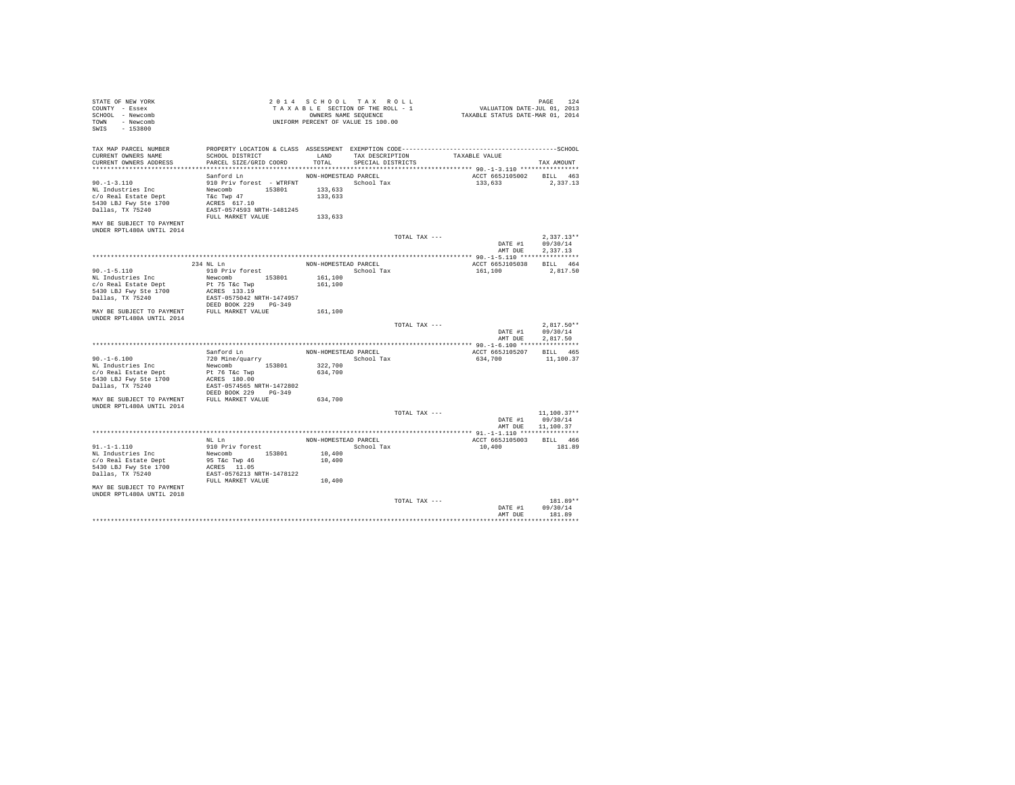| STATE OF NEW YORK<br>COUNTY - Essex<br>SCHOOL - Newcomb<br>TOWN - Newcomb<br>SWIS - 153800                                                                           |                                                                                                                                                     |                                                       | 2014 SCHOOL TAX ROLL<br>TAXABLE SECTION OF THE ROLL - 1<br>OWNERS NAME SEQUENCE<br>UNIFORM PERCENT OF VALUE IS 100.00 |               | PAGE 124<br>VALUATION DATE-JUL 01, 2013<br>TAXABLE STATUS DATE-MAR 01, 2014 |                                      |
|----------------------------------------------------------------------------------------------------------------------------------------------------------------------|-----------------------------------------------------------------------------------------------------------------------------------------------------|-------------------------------------------------------|-----------------------------------------------------------------------------------------------------------------------|---------------|-----------------------------------------------------------------------------|--------------------------------------|
| TAX MAP PARCEL NUMBER<br>CURRENT OWNERS NAME<br>CURRENT OWNERS ADDRESS                                                                                               | SCHOOL DISTRICT<br>PARCEL SIZE/GRID COORD                                                                                                           | LAND<br>TOTAL                                         | TAX DESCRIPTION<br>SPECIAL DISTRICTS                                                                                  |               | TAXABLE VALUE                                                               | TAX AMOUNT                           |
| .                                                                                                                                                                    |                                                                                                                                                     |                                                       |                                                                                                                       |               |                                                                             |                                      |
| $90. -1 - 3.110$<br>NL Industries Inc<br>c/o Real Estate Dept<br>5430 LBJ Fwy Ste 1700<br>Dallas, TX 75240<br>MAY BE SUBJECT TO PAYMENT<br>UNDER RPTL480A UNTIL 2014 | Sanford Ln<br>910 Priv forest - WTRFNT School Tax<br>Newcomb 153801<br>T&c Twp 47<br>ACRES 617.10<br>EAST-0574593 NRTH-1481245<br>FULL MARKET VALUE | NON-HOMESTEAD PARCEL<br>133,633<br>133,633<br>133,633 |                                                                                                                       |               | ACCT 665J105002<br>133,633                                                  | BILL 463<br>2,337.13                 |
|                                                                                                                                                                      |                                                                                                                                                     |                                                       |                                                                                                                       | TOTAL TAX --- | DATE #1                                                                     | $2.337.13**$<br>09/30/14             |
|                                                                                                                                                                      |                                                                                                                                                     |                                                       |                                                                                                                       |               | AMT DUE                                                                     | 2.337.13                             |
|                                                                                                                                                                      | 234 NL Ln                                                                                                                                           | NON-HOMESTEAD PARCEL                                  |                                                                                                                       |               | ACCT 665J105038 BILL 464                                                    |                                      |
| $90. -1 - 5.110$<br>NL Industries Inc<br>c/o Real Estate Dept<br>5430 LBJ Fwy Ste 1700<br>Dallas, TX 75240                                                           | 910 Priv forest<br>Newcomb 153801<br>Pt 75 T&c Twp<br>ACRES 133.19<br>EAST-0575042 NRTH-1474957                                                     | 161,100<br>161,100                                    | School Tax                                                                                                            |               | 161,100                                                                     | 2.817.50                             |
| MAY BE SUBJECT TO PAYMENT FULL MARKET VALUE<br>IINDER RPTL480A IINTIL 2014                                                                                           | DEED BOOK 229 PG-349                                                                                                                                | 161,100                                               |                                                                                                                       |               |                                                                             |                                      |
|                                                                                                                                                                      |                                                                                                                                                     |                                                       |                                                                                                                       | TOTAL TAX --- | DATE #1<br>AMT DUE                                                          | $2.817.50**$<br>09/30/14<br>2.817.50 |
|                                                                                                                                                                      |                                                                                                                                                     |                                                       |                                                                                                                       |               |                                                                             |                                      |
| $90. - 1 - 6.100$<br>NL Industries Inc<br>c/o Real Estate Dept<br>5430 LBJ Fwy Ste 1700<br>Dallas, TX 75240                                                          | Sanford Ln<br>720 Mine/quarry<br>Newcomb 153801<br>Pt 76 T&c Twp<br>ACRES 180.00<br>EAST-0574565 NRTH-1472802<br>DEED BOOK 229 PG-349               | NON-HOMESTEAD PARCEL<br>322,700<br>634,700            | School Tax                                                                                                            |               | ACCT 665J105207<br>634,700                                                  | BILL 465<br>11,100.37                |
| MAY BE SUBJECT TO PAYMENT FULL MARKET VALUE                                                                                                                          |                                                                                                                                                     | 634,700                                               |                                                                                                                       |               |                                                                             |                                      |
| UNDER RPTL480A UNTIL 2014                                                                                                                                            |                                                                                                                                                     |                                                       |                                                                                                                       | TOTAL TAX --- | DATE #1<br>AMT DUE 11,100.37                                                | $11.100.37**$<br>09/30/14            |
|                                                                                                                                                                      |                                                                                                                                                     |                                                       |                                                                                                                       |               |                                                                             |                                      |
| $91. - 1 - 1.110$<br>NL Industries Inc<br>c/o Real Estate Dept<br>5430 LBJ Fwy Ste 1700<br>Dallas, TX 75240<br>MAY BE SUBJECT TO PAYMENT                             | $\hbox{NL}$ Ln $\hbox{L}$<br>910 Priv forest<br>Newcomb 153801<br>95 T&c Twp 46<br>ACRES 11.05<br>EAST-0576213 NRTH-1478122<br>FULL MARKET VALUE    | NON-HOMESTEAD PARCEL<br>10,400<br>10,400<br>10,400    | School Tax                                                                                                            |               | ACCT 665J105003 BILL 466<br>10,400                                          | 181.89                               |
| UNDER RPTL480A UNTIL 2018                                                                                                                                            |                                                                                                                                                     |                                                       |                                                                                                                       | TOTAL TAX --- | DATE #1                                                                     | $181.89**$<br>09/30/14               |
|                                                                                                                                                                      |                                                                                                                                                     |                                                       |                                                                                                                       |               | AMT DUE                                                                     | 181.89                               |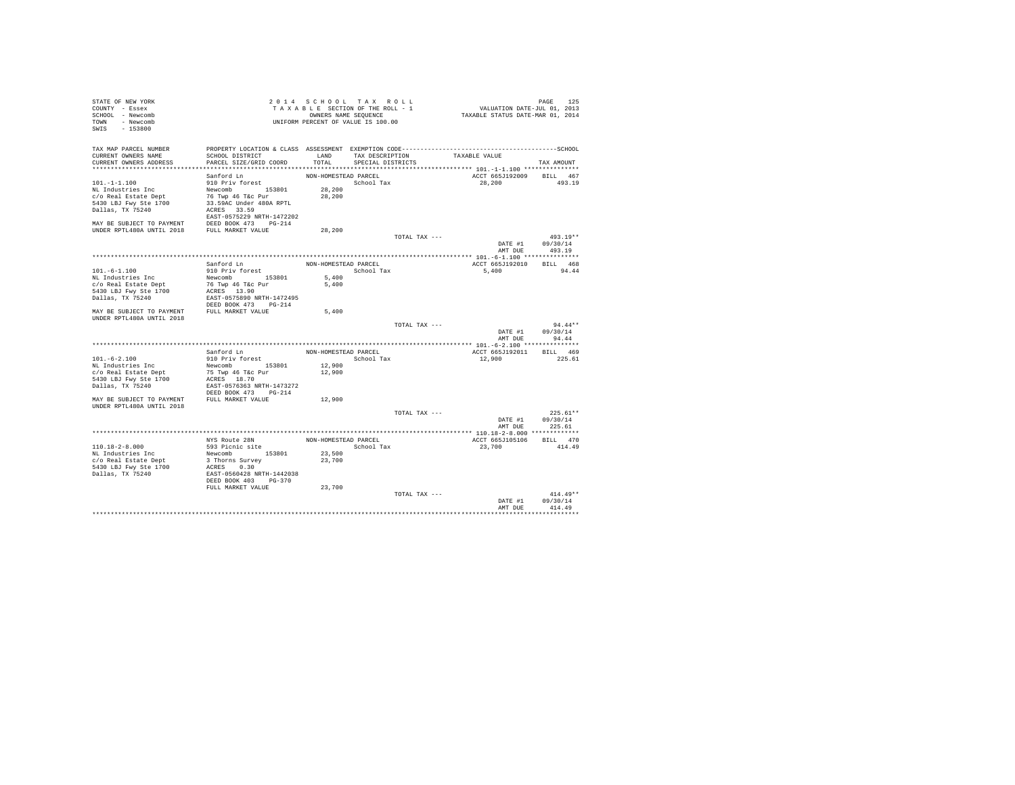| STATE OF NEW YORK<br>COUNTY - Essex<br>SCHOOL - Newcomb<br>TOWN - Newcomb<br>SWIS - 153800 |                                                               |                      | 2014 SCHOOL TAX ROLL<br>TAXABLE SECTION OF THE ROLL - 1<br>OWNERS NAME SEQUENCE<br>UNIFORM PERCENT OF VALUE IS 100.00 |                                    |        | TAXABLE STATUS DATE-MAR 01, 2014 | PAGE       | 125        |
|--------------------------------------------------------------------------------------------|---------------------------------------------------------------|----------------------|-----------------------------------------------------------------------------------------------------------------------|------------------------------------|--------|----------------------------------|------------|------------|
| CURRENT OWNERS NAME<br>CURRENT OWNERS ADDRESS                                              | SCHOOL DISTRICT<br>PARCEL SIZE/GRID COORD                     |                      | TOTAL SPECIAL DISTRICTS                                                                                               | LAND TAX DESCRIPTION TAXABLE VALUE |        |                                  |            |            |
|                                                                                            |                                                               |                      |                                                                                                                       |                                    |        |                                  | TAX AMOUNT |            |
|                                                                                            | Sanford Ln                                                    | NON-HOMESTEAD PARCEL |                                                                                                                       |                                    |        | ACCT 665J192009 BILL 467         |            |            |
| $101. - 1 - 1.100$                                                                         | 910 Priv forest                                               |                      | School Tax                                                                                                            |                                    |        | 28,200                           | 493.19     |            |
| NL Industries Inc                                                                          |                                                               | 28,200               |                                                                                                                       |                                    |        |                                  |            |            |
| c/o Real Estate Dept                                                                       | Newcomb 153801<br>76 Twp 46 T&c Pur                           | 28,200               |                                                                                                                       |                                    |        |                                  |            |            |
| 5430 LBJ Fwy Ste 1700                                                                      | 33.59AC Under 480A RPTL                                       |                      |                                                                                                                       |                                    |        |                                  |            |            |
| Dallas, TX 75240                                                                           | ACRES 33.59                                                   |                      |                                                                                                                       |                                    |        |                                  |            |            |
|                                                                                            | EAST-0575229 NRTH-1472202                                     |                      |                                                                                                                       |                                    |        |                                  |            |            |
|                                                                                            |                                                               |                      |                                                                                                                       |                                    |        |                                  |            |            |
|                                                                                            |                                                               | 28,200               |                                                                                                                       |                                    |        |                                  |            |            |
|                                                                                            |                                                               |                      |                                                                                                                       | TOTAL TAX ---                      |        |                                  | 493.19**   |            |
|                                                                                            |                                                               |                      |                                                                                                                       |                                    |        | DATE #1 09/30/14                 |            |            |
|                                                                                            |                                                               |                      |                                                                                                                       |                                    |        | AMT DUE                          | 493.19     |            |
|                                                                                            |                                                               |                      |                                                                                                                       |                                    |        |                                  |            |            |
|                                                                                            | Sanford Ln                                                    |                      | NON-HOMESTEAD PARCEL                                                                                                  |                                    |        | ACCT 665J192010                  | BILL 468   |            |
| $101. - 6 - 1.100$                                                                         | 910 Priv forest                                               |                      | School Tax                                                                                                            |                                    |        | 5,400 94.44                      |            |            |
| NL Industries Inc                                                                          | Newcomb 153801                                                | 5,400<br>5,400       |                                                                                                                       |                                    |        |                                  |            |            |
| c/o Real Estate Dept<br>5430 LBJ Fwy Ste 1700                                              | 76 Twp 46 T&C Pur<br>ACRES 13.90                              |                      |                                                                                                                       |                                    |        |                                  |            |            |
| Dallas, TX 75240                                                                           | EAST-0575890 NRTH-1472495                                     |                      |                                                                                                                       |                                    |        |                                  |            |            |
|                                                                                            | DEED BOOK 473 PG-214                                          |                      |                                                                                                                       |                                    |        |                                  |            |            |
| MAY BE SUBJECT TO PAYMENT FULL MARKET VALUE                                                |                                                               | 5,400                |                                                                                                                       |                                    |        |                                  |            |            |
| UNDER RPTL480A UNTIL 2018                                                                  |                                                               |                      |                                                                                                                       |                                    |        |                                  |            |            |
|                                                                                            |                                                               |                      |                                                                                                                       | TOTAL TAX ---                      |        |                                  |            | $94.44**$  |
|                                                                                            |                                                               |                      |                                                                                                                       |                                    |        | DATE #1                          | 09/30/14   |            |
|                                                                                            |                                                               |                      |                                                                                                                       |                                    |        | AMT DUE                          | 94.44      |            |
|                                                                                            |                                                               |                      |                                                                                                                       |                                    |        |                                  |            |            |
|                                                                                            | Sanford Ln                                                    |                      | NON-HOMESTEAD PARCEL                                                                                                  |                                    |        | ACCT 665J192011                  | BILL 469   |            |
| $101. -6 - 2.100$                                                                          | 910 Priv forest                                               |                      | School Tax                                                                                                            |                                    | 12,900 |                                  | 225.61     |            |
| NL Industries Inc                                                                          | Newcomb 153801                                                | 12,900               |                                                                                                                       |                                    |        |                                  |            |            |
| c/o Real Estate Dept                                                                       | 75 Twp 46 T&c Pur<br>ACRES 18.70<br>EAST-0576363 NRTH-1473272 | 12,900               |                                                                                                                       |                                    |        |                                  |            |            |
|                                                                                            |                                                               |                      |                                                                                                                       |                                    |        |                                  |            |            |
|                                                                                            | DEED BOOK 473 PG-214                                          |                      |                                                                                                                       |                                    |        |                                  |            |            |
| MAY BE SUBJECT TO PAYMENT FULL MARKET VALUE                                                |                                                               | 12,900               |                                                                                                                       |                                    |        |                                  |            |            |
| UNDER RPTL480A UNTIL 2018                                                                  |                                                               |                      |                                                                                                                       |                                    |        |                                  |            |            |
|                                                                                            |                                                               |                      |                                                                                                                       | TOTAL TAX ---                      |        |                                  |            | $225.61**$ |
|                                                                                            |                                                               |                      |                                                                                                                       |                                    |        | DATE #1 09/30/14                 |            |            |
|                                                                                            |                                                               |                      |                                                                                                                       |                                    |        | AMT DUE                          | 225.61     |            |
|                                                                                            |                                                               |                      |                                                                                                                       |                                    |        |                                  |            |            |
|                                                                                            | NYS Route 28N                                                 |                      | NON-HOMESTEAD PARCEL                                                                                                  |                                    |        | ACCT 665J105106 BILL 470         |            |            |
| $110.18 - 2 - 8.000$                                                                       | 593 Picnic site                                               |                      | School Tax                                                                                                            |                                    |        | 23,700                           | 414.49     |            |
| NL Industries Inc<br>c/o Real Estate Dept                                                  | Newcomb 153801                                                | 23,500               |                                                                                                                       |                                    |        |                                  |            |            |
|                                                                                            | 3 Thorns Survey<br>ACRES 0.30                                 | 23,700               |                                                                                                                       |                                    |        |                                  |            |            |
| 5430 LBJ Fwy Ste 1700<br>Dallas, TX 75240                                                  |                                                               |                      |                                                                                                                       |                                    |        |                                  |            |            |
|                                                                                            | EAST-0560428 NRTH-1442038<br>DEED BOOK 403 PG-370             |                      |                                                                                                                       |                                    |        |                                  |            |            |
|                                                                                            | FULL MARKET VALUE                                             |                      |                                                                                                                       |                                    |        |                                  |            |            |
|                                                                                            |                                                               | 23,700               |                                                                                                                       | TOTAL TAX ---                      |        |                                  |            | $414.49**$ |
|                                                                                            |                                                               |                      |                                                                                                                       |                                    |        | DATE #1                          | 09/30/14   |            |
|                                                                                            |                                                               |                      |                                                                                                                       |                                    |        | AMT DUE                          | 414.49     |            |
|                                                                                            |                                                               |                      |                                                                                                                       |                                    |        |                                  |            |            |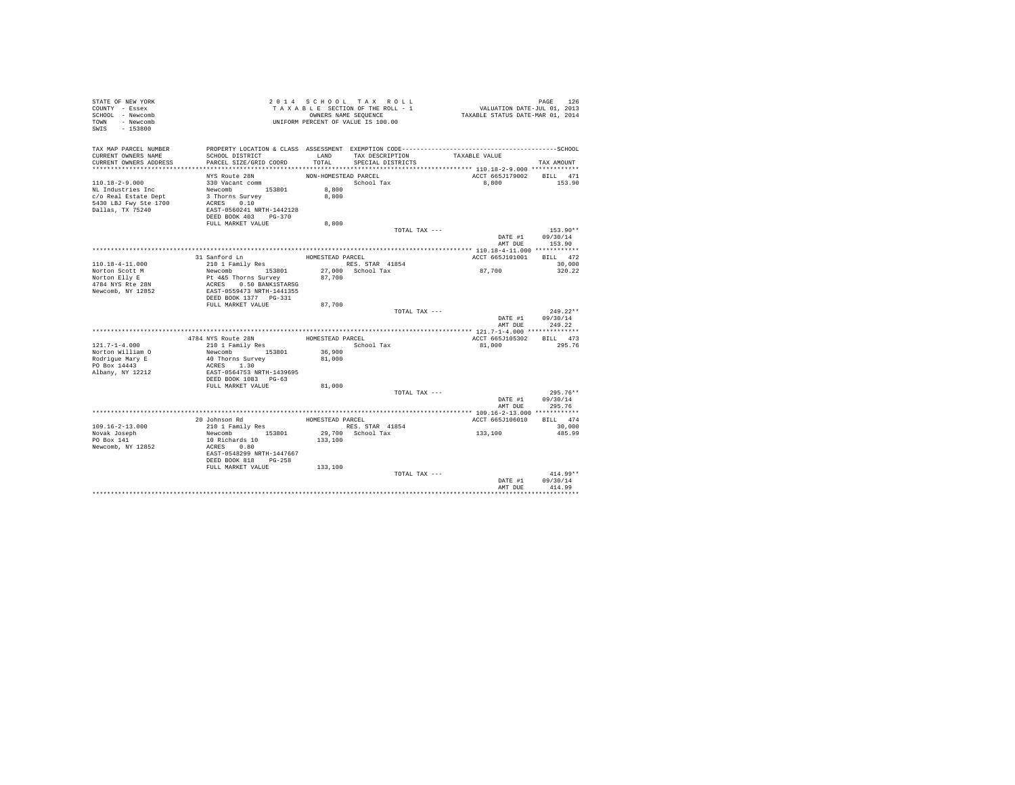| STATE OF NEW YORK<br>COUNTY - Essex<br>SCHOOL - Newcomb<br>TOWN - Newcomb<br>SWIS - 153800                     |                                                                                                                                                      |                         | 2014 SCHOOL TAX ROLL<br>TAXABLE SECTION OF THE ROLL - 1<br>OWNERS NAME SEQUENCE<br>UNIFORM PERCENT OF VALUE IS 100.00 | PAGE 126<br>VALUATION DATE-JUL 01, 2013<br>TAXABLE STATUS DATE-MAR 01, 2014 |                                    |
|----------------------------------------------------------------------------------------------------------------|------------------------------------------------------------------------------------------------------------------------------------------------------|-------------------------|-----------------------------------------------------------------------------------------------------------------------|-----------------------------------------------------------------------------|------------------------------------|
| TAX MAP PARCEL NUMBER<br>CURRENT OWNERS NAME<br>CURRENT OWNERS ADDRESS                                         | SCHOOL DISTRICT<br>PARCEL SIZE/GRID COORD                                                                                                            | LAND<br>TOTAL           | TAX DESCRIPTION<br>SPECIAL DISTRICTS                                                                                  | TAXABLE VALUE                                                               | TAX AMOUNT                         |
|                                                                                                                | NYS Route 28N                                                                                                                                        | NON-HOMESTEAD PARCEL    |                                                                                                                       | ACCT 665J179002 BILL 471                                                    |                                    |
| $110.18 - 2 - 9.000$<br>NL Industries Inc<br>c/o Real Estate Dept<br>5430 LBJ Fwy Ste 1700<br>Dallas, TX 75240 | 330 Vacant comm<br>Newcomb 153801<br>3 Thorns Survey<br>ACRES 0.10<br>EAST-0560241 NRTH-1442128<br>DEED BOOK 403 PG-370<br>FULL MARKET VALUE         | 8,800<br>8,800<br>8,800 | School Tax                                                                                                            | 8,800                                                                       | 153.90                             |
|                                                                                                                |                                                                                                                                                      |                         | TOTAL TAX ---                                                                                                         |                                                                             | 153.90**                           |
|                                                                                                                |                                                                                                                                                      |                         |                                                                                                                       |                                                                             | DATE #1 09/30/14<br>AMT DUE 153.90 |
|                                                                                                                | 31 Sanford Ln                                                                                                                                        | HOMESTEAD PARCEL        |                                                                                                                       | ACCT 665J101001                                                             | BILL 472                           |
| 110.18-4-11.000                                                                                                | 210 1 Family Res                                                                                                                                     |                         | RES. STAR 41854                                                                                                       |                                                                             | 30,000                             |
| Norton Scott M                                                                                                 | Newcomb 153801                                                                                                                                       |                         | $27,000$ School Tax                                                                                                   | 87,700                                                                      | 320.22                             |
| Norton Elly E                                                                                                  | Pt 4&5 Thorns Survey<br>ACRES 0.50 BANK1STARSG                                                                                                       | 87,700                  |                                                                                                                       |                                                                             |                                    |
| 4784 NYS Rte 28N<br>Newcomb, NY 12852                                                                          | EAST-0559473 NRTH-1441355<br>DEED BOOK 1377 PG-331                                                                                                   |                         |                                                                                                                       |                                                                             |                                    |
|                                                                                                                | FULL MARKET VALUE                                                                                                                                    | 87,700                  |                                                                                                                       |                                                                             |                                    |
|                                                                                                                |                                                                                                                                                      |                         | TOTAL TAX ---                                                                                                         | DATE #1<br>AMT DUR                                                          | $249.22**$<br>09/30/14<br>249.22   |
|                                                                                                                |                                                                                                                                                      |                         |                                                                                                                       |                                                                             |                                    |
|                                                                                                                | 4784 NYS Route 28N                                                                                                                                   | HOMESTEAD PARCEL        |                                                                                                                       | ACCT 665J105302                                                             | BILL 473                           |
| $121.7 - 1 - 4.000$                                                                                            | 210 1 Family Res                                                                                                                                     |                         | School Tax                                                                                                            | 81,000                                                                      | 295.76                             |
| Norton William O<br>Rodrigue Mary E                                                                            | Newcomb 153801                                                                                                                                       | 36,900<br>81,000        |                                                                                                                       |                                                                             |                                    |
| PO Box 14443<br>Albany, NY 12212                                                                               | 40 Thorns Survey<br>ACRES 1.30<br>EAST-0564753 NRTH-1439695<br>DEED BOOK 1083 PG-63                                                                  |                         |                                                                                                                       |                                                                             |                                    |
|                                                                                                                | FULL MARKET VALUE                                                                                                                                    | 81,000                  | TOTAL TAX ---                                                                                                         |                                                                             | $295.76**$                         |
|                                                                                                                |                                                                                                                                                      |                         |                                                                                                                       | DATE #1<br>AMT DUE                                                          | 09/30/14<br>295.76                 |
|                                                                                                                |                                                                                                                                                      |                         |                                                                                                                       |                                                                             |                                    |
| $109.16 - 2 - 13.000$                                                                                          | 20 Johnson Rd                                                                                                                                        | HOMESTEAD PARCEL        | RES. STAR 41854                                                                                                       | ACCT 665J106010                                                             | BILL 474<br>30,000                 |
| Novak Joseph<br>PO Box 141<br>Newcomb, NY 12852                                                                | 210 1 Family Res<br>Newcomb 153801<br>10 Richards 10<br>ACRES 0.80<br>EAST-0548299 NRTH-1447667<br>DEED BOOK 818 PG-258<br>FULL MARKET VALUE 133,100 | 133,100                 | 29,700 School Tax                                                                                                     | 133,100                                                                     | 485.99                             |
|                                                                                                                |                                                                                                                                                      |                         | TOTAL TAX ---                                                                                                         | DATE #1                                                                     | $414.99**$<br>09/30/14             |
|                                                                                                                |                                                                                                                                                      |                         |                                                                                                                       | AMT DUE                                                                     | 414.99                             |
|                                                                                                                |                                                                                                                                                      |                         |                                                                                                                       |                                                                             |                                    |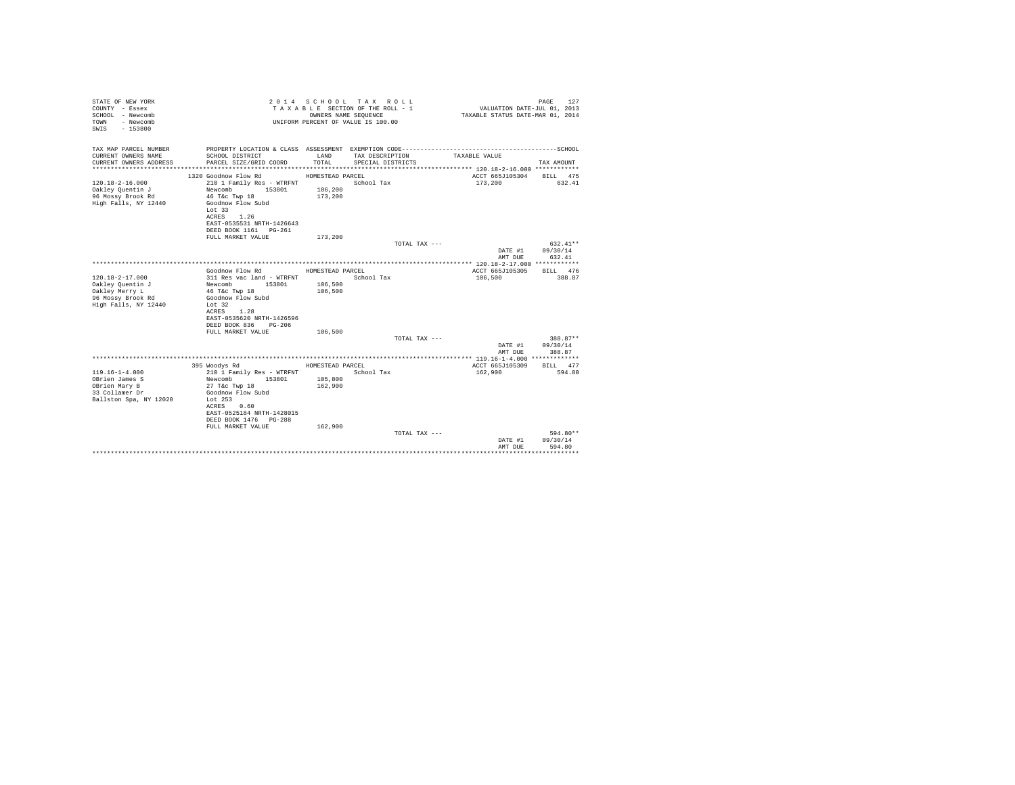| STATE OF NEW YORK<br>COUNTY - Essex<br>SCHOOL - Newcomb<br>- Newcomb<br>TOWN<br>$-153800$<br>SWTS |                                                                                                | OWNERS NAME SEQUENCE | 2014 SCHOOL TAX ROLL<br>TAXABLE SECTION OF THE ROLL - 1<br>UNIFORM PERCENT OF VALUE IS 100.00 | VALUATION DATE-JUL 01, 2013<br>TAXABLE STATUS DATE-MAR 01, 2014 | 127<br>PAGE                    |
|---------------------------------------------------------------------------------------------------|------------------------------------------------------------------------------------------------|----------------------|-----------------------------------------------------------------------------------------------|-----------------------------------------------------------------|--------------------------------|
| TAX MAP PARCEL NUMBER<br>CURRENT OWNERS NAME                                                      |                                                                                                | LAND                 |                                                                                               |                                                                 |                                |
| CURRENT OWNERS ADDRESS                                                                            | SCHOOL DISTRICT<br>PARCEL SIZE/GRID COORD                                                      | TOTAL.               | TAX DESCRIPTION<br>SPECIAL DISTRICTS                                                          | TAXABLE VALUE                                                   | TAX AMOUNT                     |
|                                                                                                   | 1320 Goodnow Flow Rd                                                                           | HOMESTEAD PARCEL     |                                                                                               | ACCT 665J105304                                                 | BILL 475                       |
| $120.18 - 2 - 16.000$<br>Oakley Quentin J<br>96 Mossy Brook Rd<br>High Falls, NY 12440            | 210 1 Family Res - WTRFNT<br>Newcomb<br>153801<br>46 T&C Twp 18<br>Goodnow Flow Subd<br>Lot 33 | 106,200<br>173,200   | School Tax                                                                                    | 173,200                                                         | 632.41                         |
|                                                                                                   | ACRES 1.26<br>EAST-0535531 NRTH-1426643<br>DEED BOOK 1161 PG-261<br>FULL MARKET VALUE          | 173,200              |                                                                                               |                                                                 |                                |
|                                                                                                   |                                                                                                |                      | TOTAL TAX ---                                                                                 |                                                                 | $632.41**$                     |
|                                                                                                   |                                                                                                |                      |                                                                                               | DATE #1<br>AMT DUE                                              | 09/30/14<br>632.41             |
|                                                                                                   |                                                                                                |                      |                                                                                               |                                                                 |                                |
|                                                                                                   | Goodnow Flow Rd                                                                                | HOMESTEAD PARCEL     |                                                                                               | ACCT 665J105305                                                 | BILL 476                       |
| $120.18 - 2 - 17.000$                                                                             | 311 Res vac land - WTRFNT                                                                      |                      | School Tax                                                                                    | 106,500                                                         | 388.87                         |
| Oakley Quentin J<br>Oakley Merry L                                                                | Newcomb 153801<br>46 T&c Twp 18                                                                | 106,500<br>106,500   |                                                                                               |                                                                 |                                |
| 96 Mossy Brook Rd                                                                                 | Goodnow Flow Subd                                                                              |                      |                                                                                               |                                                                 |                                |
| High Falls, NY 12440                                                                              | Let 32<br>1.28<br>ACRES<br>EAST-0535620 NRTH-1426596<br>DEED BOOK 836<br>PG-206                |                      |                                                                                               |                                                                 |                                |
|                                                                                                   | FULL MARKET VALUE                                                                              | 106,500              | TOTAL TAX ---                                                                                 |                                                                 | 388.87**                       |
|                                                                                                   |                                                                                                |                      |                                                                                               | DATE #1                                                         | 09/30/14                       |
|                                                                                                   |                                                                                                |                      |                                                                                               | AMT DUE                                                         | 388.87                         |
|                                                                                                   | 395 Woodys Rd                                                                                  | HOMESTEAD PARCEL     |                                                                                               | ACCT 665J105309                                                 | BILL 477                       |
| $119.16 - 1 - 4.000$                                                                              | 210 1 Family Res - WTRFNT                                                                      |                      | School Tax                                                                                    | 162,900                                                         | 594.80                         |
| OBrien James S                                                                                    | 153801<br>Newcomb                                                                              | 105,800              |                                                                                               |                                                                 |                                |
| OBrien Mary B                                                                                     | 27 T&c Twp 18                                                                                  | 162,900              |                                                                                               |                                                                 |                                |
| 33 Collamer Dr                                                                                    | Goodnow Flow Subd                                                                              |                      |                                                                                               |                                                                 |                                |
| Ballston Spa, NY 12020                                                                            | Lot $253$<br>ACRES 0.60<br>EAST-0525184 NRTH-1428015                                           |                      |                                                                                               |                                                                 |                                |
|                                                                                                   | DEED BOOK 1476   PG-288                                                                        |                      |                                                                                               |                                                                 |                                |
|                                                                                                   | FULL MARKET VALUE                                                                              | 162,900              | TOTAL TAX ---                                                                                 | DATE #1                                                         | 594.80**<br>09/30/14<br>594.80 |
|                                                                                                   |                                                                                                |                      |                                                                                               | AMT DUE                                                         |                                |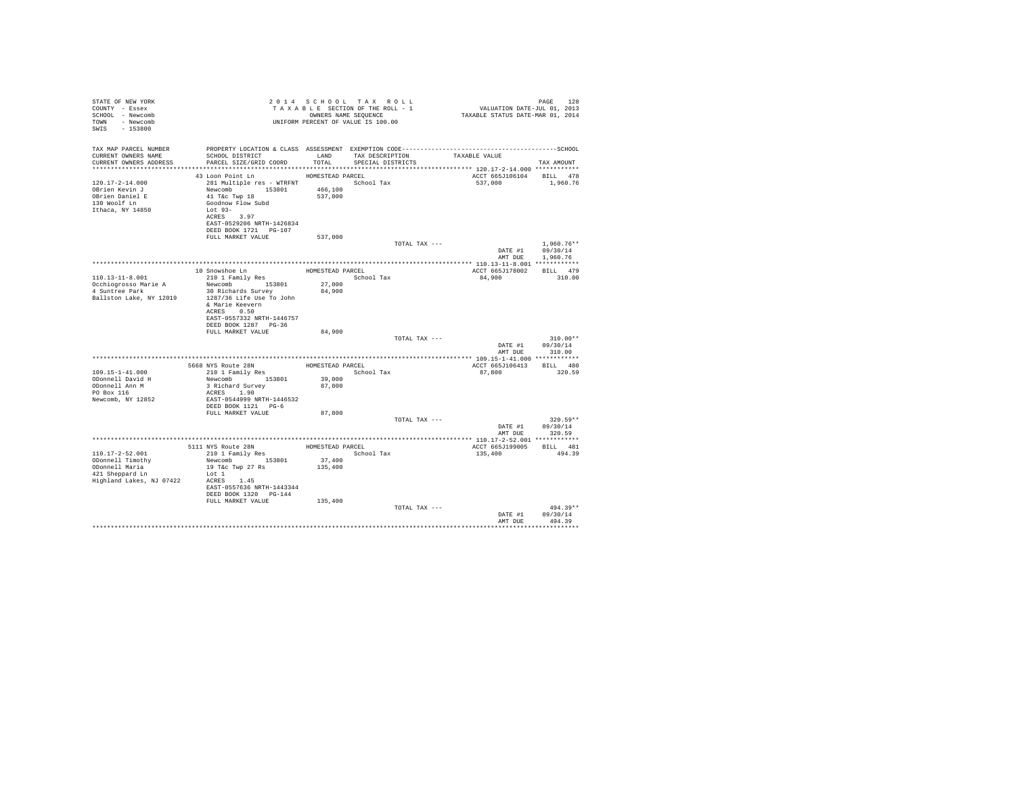| TAX MAP PARCEL NUMBER                                                                                                               |                        |
|-------------------------------------------------------------------------------------------------------------------------------------|------------------------|
| SCHOOL DISTRICT<br>LAND TAX DESCRIPTION<br>CURRENT OWNERS NAME<br>TAXABLE VALUE                                                     |                        |
| TOTAL SPECIAL DISTRICTS<br>PARCEL SIZE/GRID COORD<br>CURRENT OWNERS ADDRESS                                                         | TAX AMOUNT             |
| 43 Loon Point Ln HOMESTEAD PARCEL<br>ACCT 665J106104 BILL 478                                                                       |                        |
| 281 Multiple res - WTRFNT School Tax<br>$120.17 - 2 - 14.000$<br>537,000                                                            | 1,960.76               |
| Newcomb 153801 466,100<br>OBrien Kevin J                                                                                            |                        |
| 537,000<br>41 T&c Twp 18<br>OBrien Daniel E                                                                                         |                        |
| 130 Woolf Ln<br>Goodnow Flow Subd                                                                                                   |                        |
| $Lot 93-$<br>Ithaca, NY 14850                                                                                                       |                        |
| ACRES 3.97<br>EAST-0529206 NRTH-1426834                                                                                             |                        |
| DEED BOOK 1721 PG-107                                                                                                               |                        |
| 537,000<br>FULL MARKET VALUE                                                                                                        |                        |
| TOTAL TAX ---                                                                                                                       | $1.960.76**$           |
| DATE #1                                                                                                                             | 09/30/14               |
| AMT DUE                                                                                                                             | 1,960.76               |
|                                                                                                                                     |                        |
| 10 Snowshoe Ln<br>210 1 Family Res<br>HOMESTEAD PARCEL<br>ACCT 665J178002 BILL 479<br>$110.13 - 11 - 8.001$<br>School Tax<br>84,900 | 310.00                 |
| Newcomb 153801<br>27,000                                                                                                            |                        |
| Occhiogrosso Marie A<br>4 Suntree Park<br>84,900<br>30 Richards Survey                                                              |                        |
| Ballston Lake, NY 12019<br>1287/36 Life Use To John                                                                                 |                        |
| & Marie Keevern                                                                                                                     |                        |
| ACRES 0.50                                                                                                                          |                        |
| EAST-0557332 NRTH-1446757<br>DEED BOOK 1287 PG-36                                                                                   |                        |
| 84,900<br>FULL MARKET VALUE                                                                                                         |                        |
| TOTAL TAX ---                                                                                                                       | $310.00**$             |
| DATE #1                                                                                                                             | 09/30/14               |
| AMT DUE                                                                                                                             | 310.00                 |
|                                                                                                                                     |                        |
| ACCT 665J106413 BILL 480<br>109.15-1-41.000<br>School Tax<br>87,800                                                                 | 320.59                 |
| Newcomb 153801 39,000<br>ODonnell David H                                                                                           |                        |
| ODonnell Ann M<br>3 Richard Survey<br>87,800                                                                                        |                        |
| PO Box 116<br>ACRES 1.90                                                                                                            |                        |
| Newcomb, NY 12852<br>EAST-0544999 NRTH-1446532                                                                                      |                        |
| DEED BOOK 1121 PG-6                                                                                                                 |                        |
| 87,800<br>FULL MARKET VALUE                                                                                                         |                        |
| TOTAL TAX ---                                                                                                                       | $320.59**$<br>09/30/14 |
| DATE #1<br>AMT DUE                                                                                                                  | 320.59                 |
|                                                                                                                                     |                        |
| HOMESTEAD PARCEL<br>5111 NYS Route 28N<br>210 1 Family Res<br>ACCT 665J199005 BILL 481                                              |                        |
| School Tax<br>110.17-2-52.001<br>135,400                                                                                            | 494.39                 |
| Newcomb 153801<br>37,400<br>ODonnell Timothy                                                                                        |                        |
| 135,400<br>ODonnell Maria<br>19 T&c Twp 27 Rs                                                                                       |                        |
| 421 Sheppard Ln<br>Lot 1<br>Highland Lakes, NJ 07422<br>ACRES 1.45                                                                  |                        |
| EAST-0557636 NRTH-1443344                                                                                                           |                        |
| DEED BOOK 1320 PG-144                                                                                                               |                        |
| FULL MARKET VALUE<br>135,400                                                                                                        |                        |
| TOTAL TAX ---                                                                                                                       | $494.39**$             |
| DATE #1                                                                                                                             | 09/30/14               |
| AMT DUE                                                                                                                             | 494.39                 |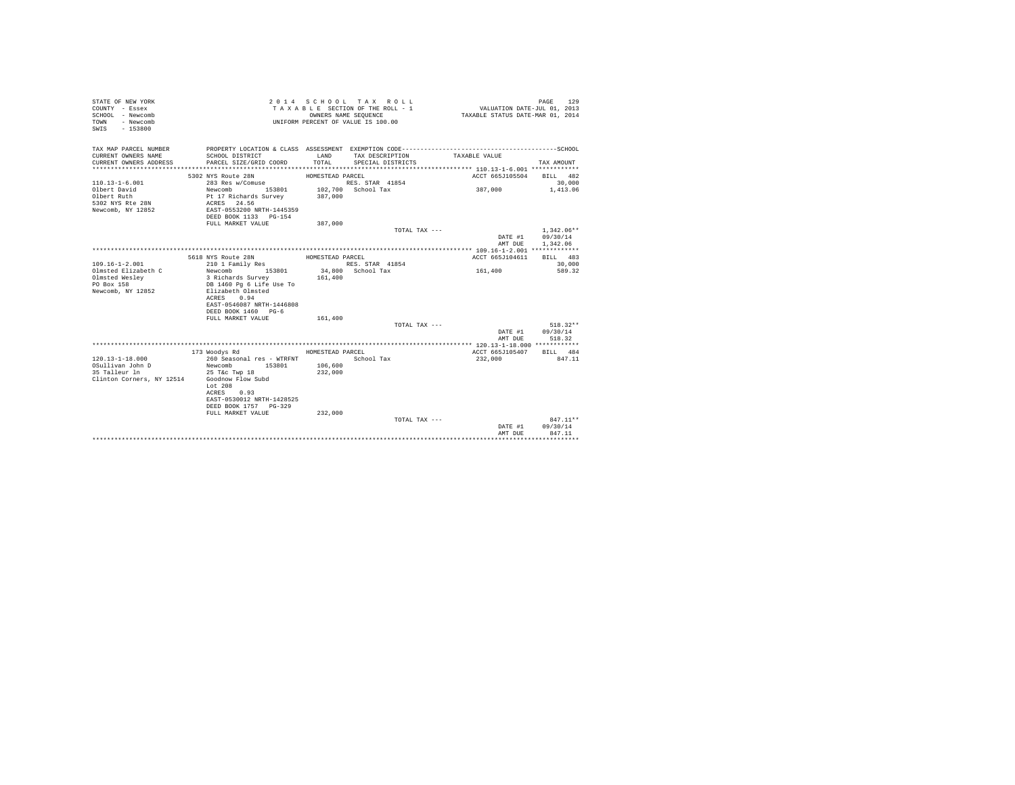| STATE OF NEW YORK<br>COUNTY - Essex<br>SCHOOL - Newcomb<br>- Newcomb<br>TOWN<br>$-153800$<br>SWIS |                                                    | OWNERS NAME SEOUENCE | 2014 SCHOOL TAX ROLL<br>TAXABLE SECTION OF THE ROLL - 1<br>UNIFORM PERCENT OF VALUE IS 100.00 | VALUATION DATE-JUL 01, 2013<br>TAXABLE STATUS DATE-MAR 01, 2014 | 129<br>PAGE              |
|---------------------------------------------------------------------------------------------------|----------------------------------------------------|----------------------|-----------------------------------------------------------------------------------------------|-----------------------------------------------------------------|--------------------------|
| TAX MAP PARCEL NUMBER<br>CURRENT OWNERS NAME                                                      | SCHOOL DISTRICT                                    | LAND                 | TAX DESCRIPTION                                                                               | TAXABLE VALUE                                                   |                          |
| CURRENT OWNERS ADDRESS<br>*************************                                               | PARCEL SIZE/GRID COORD                             | TOTAL                | SPECIAL DISTRICTS                                                                             |                                                                 | TAX AMOUNT               |
|                                                                                                   | 5302 NYS Route 28N                                 | HOMESTEAD PARCEL     |                                                                                               | ACCT 665J105504                                                 | BILL 482                 |
| $110.13 - 1 - 6.001$                                                                              | 283 Res w/Comuse                                   |                      | RES. STAR 41854                                                                               |                                                                 | 30,000                   |
| Olbert David<br>Olbert Ruth                                                                       | Newcomb<br>153801<br>Pt 17 Richards Survey         | 387,000              | 102,700 School Tax                                                                            | 387,000                                                         | 1,413.06                 |
| 5302 NYS Rte 28N                                                                                  | ACRES 24.56                                        |                      |                                                                                               |                                                                 |                          |
| Newcomb, NY 12852                                                                                 | EAST-0553200 NRTH-1445359<br>DEED BOOK 1133 PG-154 |                      |                                                                                               |                                                                 |                          |
|                                                                                                   | FULL MARKET VALUE                                  | 387,000              |                                                                                               |                                                                 |                          |
|                                                                                                   |                                                    |                      | TOTAL TAX ---                                                                                 | DATE #1                                                         | $1.342.06**$<br>09/30/14 |
|                                                                                                   |                                                    |                      |                                                                                               | AMT DUE                                                         | 1,342.06                 |
|                                                                                                   |                                                    |                      |                                                                                               |                                                                 |                          |
|                                                                                                   | 5618 NYS Route 28N                                 | HOMESTEAD PARCEL     |                                                                                               | ACCT 665J104611                                                 | BILL 483                 |
| $109.16 - 1 - 2.001$                                                                              | 210 1 Family Res                                   |                      | RES. STAR 41854                                                                               |                                                                 | 30,000                   |
| Olmsted Elizabeth C                                                                               | 153801<br>Newcomb                                  |                      | 34,800 School Tax                                                                             | 161,400                                                         | 589.32                   |
| Olmsted Weslev                                                                                    | 3 Richards Survey                                  | 161,400              |                                                                                               |                                                                 |                          |
| PO Box 158                                                                                        | DB 1460 Pg 6 Life Use To                           |                      |                                                                                               |                                                                 |                          |
| Newcomb, NY 12852                                                                                 | Elizabeth Olmsted<br>0.94<br>ACRES                 |                      |                                                                                               |                                                                 |                          |
|                                                                                                   | EAST-0546087 NRTH-1446808                          |                      |                                                                                               |                                                                 |                          |
|                                                                                                   | DEED BOOK 1460 PG-6                                |                      |                                                                                               |                                                                 |                          |
|                                                                                                   | FULL MARKET VALUE                                  | 161,400              | TOTAL TAX ---                                                                                 |                                                                 | $518.32**$               |
|                                                                                                   |                                                    |                      |                                                                                               | DATE #1                                                         | 09/30/14                 |
|                                                                                                   |                                                    |                      |                                                                                               | AMT DUE                                                         | 518.32                   |
|                                                                                                   |                                                    |                      |                                                                                               |                                                                 |                          |
|                                                                                                   | 173 Woodys Rd                                      | HOMESTEAD PARCEL     |                                                                                               | ACCT 665J105407                                                 | BILL 484                 |
| $120.13 - 1 - 18.000$                                                                             | 260 Seasonal res - WTRFNT                          |                      | School Tax                                                                                    | 232,000                                                         | 847.11                   |
| OSullivan John D                                                                                  | Newcomb<br>153801                                  | 106,600              |                                                                                               |                                                                 |                          |
| 35 Talleur 1n                                                                                     | 25 T&c Twp 18                                      | 232,000              |                                                                                               |                                                                 |                          |
| Clinton Corners, NY 12514                                                                         | Goodnow Flow Subd<br>Lot 208                       |                      |                                                                                               |                                                                 |                          |
|                                                                                                   | ACRES<br>0.93                                      |                      |                                                                                               |                                                                 |                          |
|                                                                                                   | EAST-0530012 NRTH-1428525                          |                      |                                                                                               |                                                                 |                          |
|                                                                                                   | DEED BOOK 1757 PG-329                              |                      |                                                                                               |                                                                 |                          |
|                                                                                                   | FULL MARKET VALUE                                  | 232,000              |                                                                                               |                                                                 |                          |
|                                                                                                   |                                                    |                      | TOTAL TAX $---$                                                                               |                                                                 | $847.11**$               |
|                                                                                                   |                                                    |                      |                                                                                               | DATE #1                                                         | 09/30/14                 |
|                                                                                                   |                                                    |                      |                                                                                               | AMT DUE                                                         | 847.11<br>               |
|                                                                                                   |                                                    |                      |                                                                                               |                                                                 |                          |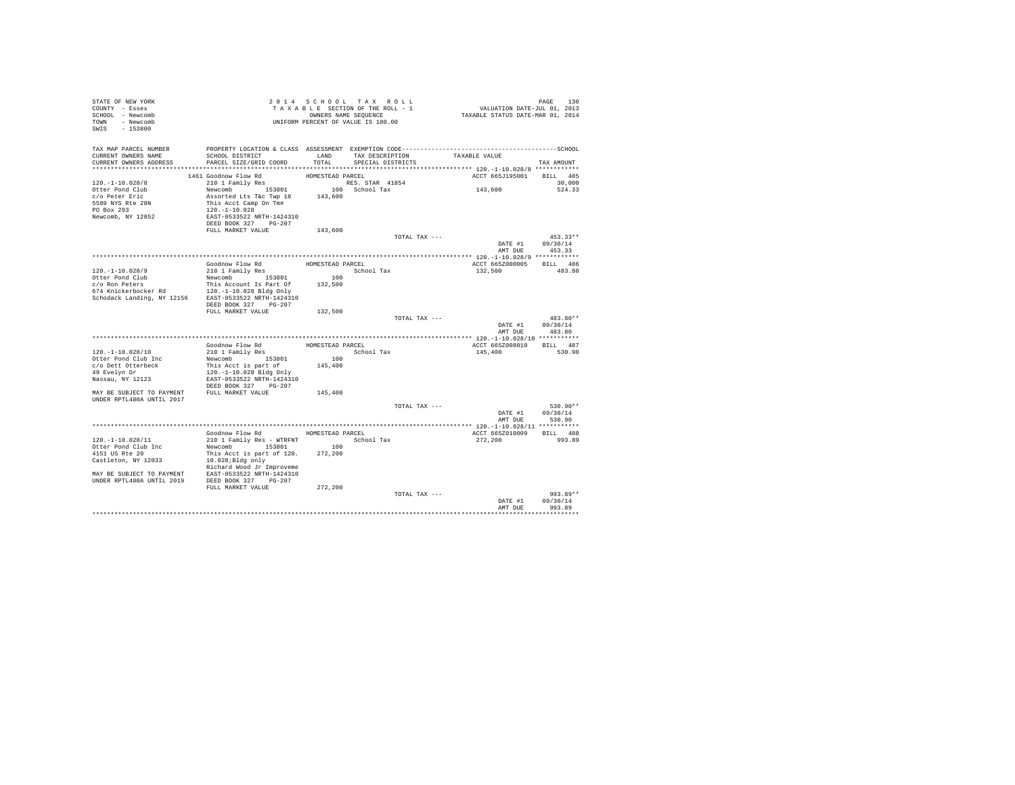| STATE OF NEW YORK<br>COUNTY - Essex<br>SCHOOL - Newcomb<br>TOWN - Newcomb<br>SWIS - 153800                                                                           |                                                                  |                  | 2014 SCHOOL TAX ROLL<br>TAXABLE SECTION OF THE ROLL - 1<br>OWNERS NAME SEQUENCE<br>UNIFORM PERCENT OF VALUE IS 100.00 |               | PAGE 130<br>VALUATION DATE-JUL 01, 2013<br>TAXABLE STATUS DATE-MAR 01, 2014 |                  |
|----------------------------------------------------------------------------------------------------------------------------------------------------------------------|------------------------------------------------------------------|------------------|-----------------------------------------------------------------------------------------------------------------------|---------------|-----------------------------------------------------------------------------|------------------|
| TAX MAP PARCEL NUMBER                                                                                                                                                |                                                                  |                  |                                                                                                                       |               |                                                                             |                  |
| CURRENT OWNERS NAME                                                                                                                                                  | SCHOOL DISTRICT                                                  |                  | LAND TAX DESCRIPTION                                                                                                  |               | TAXABLE VALUE                                                               |                  |
| CURRENT OWNERS ADDRESS                                                                                                                                               | PARCEL SIZE/GRID COORD                                           | TOTAL            | SPECIAL DISTRICTS                                                                                                     |               |                                                                             | TAX AMOUNT       |
|                                                                                                                                                                      |                                                                  |                  |                                                                                                                       |               |                                                                             |                  |
|                                                                                                                                                                      | 1461 Goodnow Flow Rd                                             | HOMESTEAD PARCEL |                                                                                                                       |               | ACCT 665J195001 BILL 485                                                    |                  |
| $120. -1 - 10.028/8$<br>Otter Pond Club                                                                                                                              | 210 1 Family Res                                                 |                  | RES. STAR 41854                                                                                                       |               |                                                                             | 30,000           |
| c/o Peter Eric                                                                                                                                                       | Newcomb 153801                                                   |                  | 100 School Tax                                                                                                        |               | 143,600                                                                     | 524.33           |
| 5589 NYS Rte 28N                                                                                                                                                     | Assorted Lts T&c Twp 18 143,600<br>This Acct Camp On Tm# 143,600 |                  |                                                                                                                       |               |                                                                             |                  |
| PO Box 293                                                                                                                                                           | $120. - 1 - 10.028$                                              |                  |                                                                                                                       |               |                                                                             |                  |
| Newcomb, NY 12852                                                                                                                                                    | EAST-0533522 NRTH-1424310<br>DEED BOOK 327 PG-207                |                  |                                                                                                                       |               |                                                                             |                  |
|                                                                                                                                                                      | FULL MARKET VALUE                                                | 143,600          |                                                                                                                       |               |                                                                             |                  |
|                                                                                                                                                                      |                                                                  |                  |                                                                                                                       | TOTAL TAX --- |                                                                             | $453.33**$       |
|                                                                                                                                                                      |                                                                  |                  |                                                                                                                       |               |                                                                             | DATE #1 09/30/14 |
|                                                                                                                                                                      |                                                                  |                  |                                                                                                                       |               | AMT DUE                                                                     | 453.33           |
|                                                                                                                                                                      | Goodnow Flow Rd                                                  |                  | HOMESTEAD PARCEL                                                                                                      |               | ACCT 665Z000005 BILL 486                                                    |                  |
| 120. -1-10.028/9                                                                                                                                                     | 210 1 Family Res                                                 |                  | School Tax                                                                                                            |               | 132,500                                                                     | 483.80           |
| Otter Pond Club                                                                                                                                                      | Newcomb 153801                                                   | 100              |                                                                                                                       |               |                                                                             |                  |
| $c/o$ Ron Peters                                                                                                                                                     |                                                                  |                  |                                                                                                                       |               |                                                                             |                  |
| $c/o$ Ron Peters $$\tt This$ Account Is Part Of $132,500$ 674 Knickerbocker Rd $120,-1-10.028$ Bldg Only Schodack Landing, NY 12156 $$\tt EAST-0533522$ NRTH-1424310 |                                                                  |                  |                                                                                                                       |               |                                                                             |                  |
|                                                                                                                                                                      |                                                                  |                  |                                                                                                                       |               |                                                                             |                  |
|                                                                                                                                                                      | DEED BOOK 327 PG-207<br>FULL MARKET VALUE                        | 132,500          |                                                                                                                       |               |                                                                             |                  |
|                                                                                                                                                                      |                                                                  |                  |                                                                                                                       | TOTAL TAX --- |                                                                             | 483.80**         |
|                                                                                                                                                                      |                                                                  |                  |                                                                                                                       |               | DATE #1                                                                     | 09/30/14         |
|                                                                                                                                                                      |                                                                  |                  |                                                                                                                       |               | AMT DUE                                                                     | 483.80           |
|                                                                                                                                                                      |                                                                  |                  |                                                                                                                       |               |                                                                             |                  |
|                                                                                                                                                                      | Goodnow Flow Rd                                                  | HOMESTEAD PARCEL |                                                                                                                       |               | ACCT 665Z008010 BILL 487                                                    |                  |
| 120. -1-10.028/10                                                                                                                                                    | 210 1 Family Res                                                 |                  | School Tax                                                                                                            |               | 145,400                                                                     | 530.90           |
| Otter Pond Club Inc<br>c/o Dett Otterbeck                                                                                                                            | Newcomb 153801                                                   | 100<br>145,400   |                                                                                                                       |               |                                                                             |                  |
| 49 Evelyn Dr                                                                                                                                                         | This Acct is part of<br>120.-1-10.028 Bldg Only                  |                  |                                                                                                                       |               |                                                                             |                  |
| Nassau, NY 12123                                                                                                                                                     | EAST-0533522 NRTH-1424310                                        |                  |                                                                                                                       |               |                                                                             |                  |
|                                                                                                                                                                      | DEED BOOK 327 PG-207                                             |                  |                                                                                                                       |               |                                                                             |                  |
| MAY BE SUBJECT TO PAYMENT FULL MARKET VALUE<br>UNDER RPTL480A UNTIL 2017                                                                                             |                                                                  | 145,400          |                                                                                                                       |               |                                                                             |                  |
|                                                                                                                                                                      |                                                                  |                  |                                                                                                                       | TOTAL TAX --- |                                                                             | 530.90**         |
|                                                                                                                                                                      |                                                                  |                  |                                                                                                                       |               | AMT DUE                                                                     | DATE #1 09/30/14 |
|                                                                                                                                                                      |                                                                  |                  |                                                                                                                       |               |                                                                             | 530.90           |
|                                                                                                                                                                      | Goodnow Flow Rd MOMESTEAD PARCEL                                 |                  |                                                                                                                       |               | ACCT 665Z010009 BILL 488                                                    |                  |
| 120. -1-10.028/11                                                                                                                                                    | 210 1 Family Res - WTRFNT  School Tax                            |                  |                                                                                                                       |               | 272,200                                                                     | 993.89           |
| Otter Pond Club Inc                                                                                                                                                  | Newcomb 153801                                                   | 100              |                                                                                                                       |               |                                                                             |                  |
| 4151 US Rte 20                                                                                                                                                       | This Acct is part of 120.                                        | 272,200          |                                                                                                                       |               |                                                                             |                  |
| Castleton, NY 12033                                                                                                                                                  | 10.028;Bldg only                                                 |                  |                                                                                                                       |               |                                                                             |                  |
| MAY BE SUBJECT TO PAYMENT EAST-0533522 NRTH-1424310                                                                                                                  | Richard Wood Jr Improveme                                        |                  |                                                                                                                       |               |                                                                             |                  |
| UNDER RPTL480A UNTIL 2019 DEED BOOK 327 PG-207                                                                                                                       |                                                                  |                  |                                                                                                                       |               |                                                                             |                  |
|                                                                                                                                                                      | FULL MARKET VALUE                                                | 272,200          |                                                                                                                       |               |                                                                             |                  |
|                                                                                                                                                                      |                                                                  |                  |                                                                                                                       | TOTAL TAX --- |                                                                             | $993.89**$       |
|                                                                                                                                                                      |                                                                  |                  |                                                                                                                       |               | DATE #1                                                                     | 09/30/14         |
|                                                                                                                                                                      |                                                                  |                  |                                                                                                                       |               | AMT DUE                                                                     | 993.89           |
|                                                                                                                                                                      |                                                                  |                  |                                                                                                                       |               |                                                                             | ************     |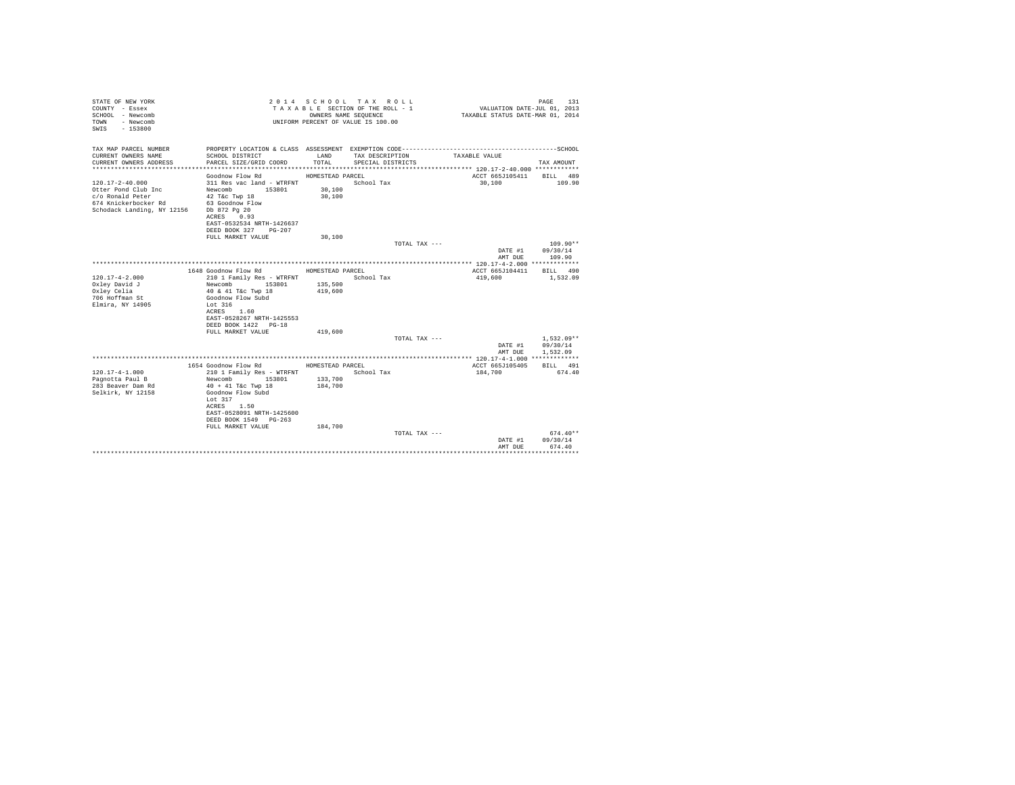| STATE OF NEW YORK<br>COUNTY - Essex<br>SCHOOL - Newcomb<br>- Newcomb<br>TOWN<br>$-153800$<br>SWTS                                   |                                                                                                                                                        | OWNERS NAME SEQUENCE | 2014 SCHOOL TAX ROLL<br>TAXABLE SECTION OF THE ROLL - 1<br>UNIFORM PERCENT OF VALUE IS 100.00 | VALUATION DATE-JUL 01, 2013<br>TAXABLE STATUS DATE-MAR 01, 2014 | PAGE<br>131              |
|-------------------------------------------------------------------------------------------------------------------------------------|--------------------------------------------------------------------------------------------------------------------------------------------------------|----------------------|-----------------------------------------------------------------------------------------------|-----------------------------------------------------------------|--------------------------|
| TAX MAP PARCEL NUMBER<br>CURRENT OWNERS NAME                                                                                        | SCHOOL DISTRICT                                                                                                                                        | LAND                 | TAX DESCRIPTION                                                                               | TAXABLE VALUE                                                   |                          |
| CURRENT OWNERS ADDRESS                                                                                                              | PARCEL SIZE/GRID COORD                                                                                                                                 | TOTAL.               | SPECIAL DISTRICTS                                                                             |                                                                 | TAX AMOUNT               |
|                                                                                                                                     | Goodnow Flow Rd                                                                                                                                        | HOMESTEAD PARCEL     |                                                                                               | ACCT 665J105411                                                 | BILL 489                 |
| $120.17 - 2 - 40.000$<br>Otter Pond Club Inc<br>c/o Ronald Peter<br>674 Knickerbocker Rd<br>Schodack Landing, NY 12156 Db 872 Pg 20 | 311 Res vac land - WTRFNT<br>Newcomb 153801<br>$42$ T&c Twp $18$<br>63 Goodnow Flow<br>ACRES 0.93<br>EAST-0532534 NRTH-1426637<br>DEED BOOK 327 PG-207 | 30,100<br>30,100     | School Tax                                                                                    | 30,100                                                          | 109.90                   |
|                                                                                                                                     | FULL MARKET VALUE                                                                                                                                      | 30,100               |                                                                                               |                                                                 |                          |
|                                                                                                                                     |                                                                                                                                                        |                      | TOTAL TAX ---                                                                                 | DATE #1                                                         | $109.90**$<br>09/30/14   |
|                                                                                                                                     |                                                                                                                                                        |                      |                                                                                               | AMT DUE                                                         | 109.90                   |
|                                                                                                                                     |                                                                                                                                                        |                      |                                                                                               |                                                                 |                          |
|                                                                                                                                     | 1648 Goodnow Flow Rd                                                                                                                                   | HOMESTEAD PARCEL     |                                                                                               | ACCT 665J104411                                                 | BTT.T. 490               |
| $120.17 - 4 - 2.000$                                                                                                                | 210 1 Family Res - WTRFNT                                                                                                                              |                      | School Tax                                                                                    | 419,600                                                         | 1,532.09                 |
| Oxley David J                                                                                                                       | Newcomb<br>153801                                                                                                                                      | 135,500              |                                                                                               |                                                                 |                          |
| Oxley Celia<br>706 Hoffman St                                                                                                       | 40 & 41 T&c Twp 18<br>Goodnow Flow Subd                                                                                                                | 419,600              |                                                                                               |                                                                 |                          |
| Elmira, NY 14905                                                                                                                    | Lot 316                                                                                                                                                |                      |                                                                                               |                                                                 |                          |
|                                                                                                                                     | ACRES 1.60                                                                                                                                             |                      |                                                                                               |                                                                 |                          |
|                                                                                                                                     | EAST-0528267 NRTH-1425553                                                                                                                              |                      |                                                                                               |                                                                 |                          |
|                                                                                                                                     | DEED BOOK 1422 PG-18                                                                                                                                   |                      |                                                                                               |                                                                 |                          |
|                                                                                                                                     | FULL MARKET VALUE                                                                                                                                      | 419,600              |                                                                                               |                                                                 |                          |
|                                                                                                                                     |                                                                                                                                                        |                      | TOTAL TAX ---                                                                                 |                                                                 | $1.532.09**$<br>09/30/14 |
|                                                                                                                                     |                                                                                                                                                        |                      |                                                                                               | DATE #1<br>AMT DUE                                              | 1,532.09                 |
|                                                                                                                                     |                                                                                                                                                        |                      |                                                                                               |                                                                 |                          |
|                                                                                                                                     | 1654 Goodnow Flow Rd MOMESTEAD PARCEL                                                                                                                  |                      |                                                                                               | ACCT 665J105405                                                 | BILL 491                 |
| $120.17 - 4 - 1.000$                                                                                                                | 210 1 Family Res - WTRFNT                                                                                                                              |                      | School Tax                                                                                    | 184,700                                                         | 674.40                   |
| Pagnotta Paul B                                                                                                                     | 153801<br>Newcomb                                                                                                                                      | 133,700              |                                                                                               |                                                                 |                          |
| 283 Beaver Dam Rd                                                                                                                   | $40 + 41$ T&c Twp 18                                                                                                                                   | 184,700              |                                                                                               |                                                                 |                          |
| Selkirk, NY 12158                                                                                                                   | Goodnow Flow Subd<br>Lot $317$<br>ACRES 1.50<br>EAST-0528091 NRTH-1425600<br>DEED BOOK 1549 PG-263                                                     |                      |                                                                                               |                                                                 |                          |
|                                                                                                                                     | FULL MARKET VALUE                                                                                                                                      | 184,700              |                                                                                               |                                                                 | $674.40**$               |
|                                                                                                                                     |                                                                                                                                                        |                      | TOTAL TAX ---                                                                                 | DATE #1                                                         | 09/30/14                 |
|                                                                                                                                     |                                                                                                                                                        |                      |                                                                                               | AMT DUE                                                         | 674.40                   |
|                                                                                                                                     |                                                                                                                                                        |                      |                                                                                               |                                                                 |                          |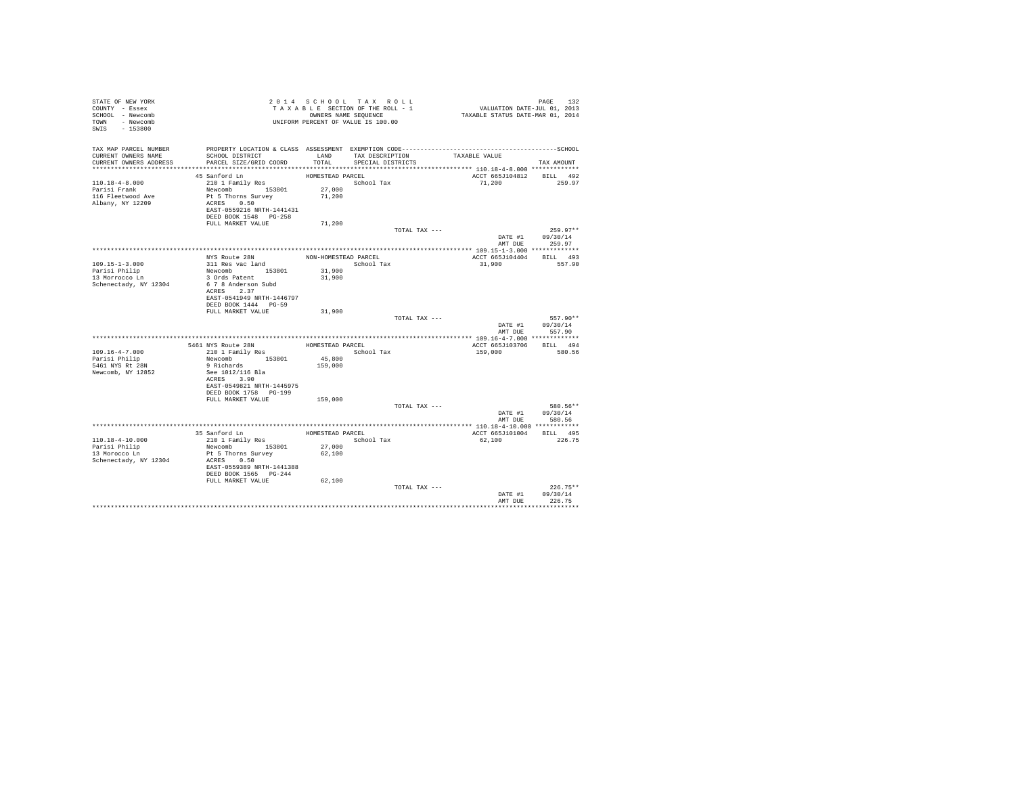| STATE OF NEW YORK<br>COUNTY - Essex<br>SCHOOL - Newcomb<br>TOWN - Newcomb<br>SWIS - 153800 |                                            |                      | 2014 SCHOOL TAX ROLL<br>TAXABLE SECTION OF THE ROLL - 1<br>OWNERS NAME SEQUENCE<br>UNIFORM PERCENT OF VALUE IS 100.00 | PAGE 132<br>VALUATION DATE-JUL 01, 2013<br>TAXABLE STATUS DATE-MAR 01, 2014                  |                                    |
|--------------------------------------------------------------------------------------------|--------------------------------------------|----------------------|-----------------------------------------------------------------------------------------------------------------------|----------------------------------------------------------------------------------------------|------------------------------------|
| TAX MAP PARCEL NUMBER                                                                      |                                            |                      |                                                                                                                       | PROPERTY LOCATION & CLASS ASSESSMENT EXEMPTION CODE-----------------------------------SCHOOL |                                    |
| CURRENT OWNERS NAME<br>CURRENT OWNERS ADDRESS                                              | SCHOOL DISTRICT<br>PARCEL SIZE/GRID COORD  | LAND<br>TOTAL.       | TAX DESCRIPTION<br>SPECIAL DISTRICTS                                                                                  | TAXABLE VALUE                                                                                | TAX AMOUNT                         |
|                                                                                            |                                            |                      |                                                                                                                       |                                                                                              |                                    |
|                                                                                            | 45 Sanford Ln                              | HOMESTEAD PARCEL     |                                                                                                                       | ACCT 665J104812 BILL 492                                                                     |                                    |
| $110.18 - 4 - 8.000$                                                                       | 210 1 Family Res                           |                      | School Tax                                                                                                            | 71.200                                                                                       | 259.97                             |
| Parisi Frank<br>116 Fleetwood Ave                                                          | Newcomb 153801<br>Pt 5 Thorns Survey       | 27,000<br>71,200     |                                                                                                                       |                                                                                              |                                    |
| Albany, NY 12209                                                                           | ACRES 0.50                                 |                      |                                                                                                                       |                                                                                              |                                    |
|                                                                                            | EAST-0559216 NRTH-1441431                  |                      |                                                                                                                       |                                                                                              |                                    |
|                                                                                            | DEED BOOK 1548   PG-258                    |                      |                                                                                                                       |                                                                                              |                                    |
|                                                                                            | FULL MARKET VALUE                          | 71,200               |                                                                                                                       |                                                                                              |                                    |
|                                                                                            |                                            |                      | TOTAL TAX ---                                                                                                         |                                                                                              | $259.97**$                         |
|                                                                                            |                                            |                      |                                                                                                                       | DATE #1                                                                                      | 09/30/14                           |
|                                                                                            |                                            |                      |                                                                                                                       |                                                                                              | AMT DUE 259.97                     |
|                                                                                            |                                            |                      |                                                                                                                       |                                                                                              |                                    |
|                                                                                            | NYS Route 28N                              | NON-HOMESTEAD PARCEL | School Tax                                                                                                            | ACCT 665J104404 BILL 493                                                                     | 557.90                             |
| 109.15-1-3.000                                                                             | 311 Res vac land<br>Newcomb 153801         | 31,900               |                                                                                                                       | 31,900                                                                                       |                                    |
| Parisi Philip<br>13 Morrocco Ln                                                            | 3 Ords Patent                              | 31,900               |                                                                                                                       |                                                                                              |                                    |
| Schenectady, NY 12304                                                                      | 6 7 8 Anderson Subd                        |                      |                                                                                                                       |                                                                                              |                                    |
|                                                                                            | ACRES 2.37                                 |                      |                                                                                                                       |                                                                                              |                                    |
|                                                                                            | EAST-0541949 NRTH-1446797                  |                      |                                                                                                                       |                                                                                              |                                    |
|                                                                                            | DEED BOOK 1444 PG-59                       |                      |                                                                                                                       |                                                                                              |                                    |
|                                                                                            | FULL MARKET VALUE                          | 31,900               |                                                                                                                       |                                                                                              |                                    |
|                                                                                            |                                            |                      | TOTAL TAX ---                                                                                                         |                                                                                              | 557.90**                           |
|                                                                                            |                                            |                      |                                                                                                                       |                                                                                              | DATE #1 09/30/14<br>AMT DUE 557.90 |
|                                                                                            |                                            |                      |                                                                                                                       |                                                                                              |                                    |
|                                                                                            | 5461 NYS Route 28N                         | HOMESTEAD PARCEL     |                                                                                                                       | ACCT 665J103706                                                                              | BILL 494                           |
| $109.16 - 4 - 7.000$                                                                       | 5461 NYS Route 28N<br>210 1 Family Res     |                      | School Tax                                                                                                            | 159,000                                                                                      | 580.56                             |
| Parisi Philip                                                                              | Newcomb 153801                             | 45,800               |                                                                                                                       |                                                                                              |                                    |
| 5461 NYS Rt 28N                                                                            | 9 Richards                                 | 159,000              |                                                                                                                       |                                                                                              |                                    |
| Newcomb, NY 12852                                                                          | See 1012/116 Bla                           |                      |                                                                                                                       |                                                                                              |                                    |
|                                                                                            | ACRES 3.90                                 |                      |                                                                                                                       |                                                                                              |                                    |
|                                                                                            | EAST-0549821 NRTH-1445975                  |                      |                                                                                                                       |                                                                                              |                                    |
|                                                                                            | DEED BOOK 1758 PG-199<br>FULL MARKET VALUE | 159,000              |                                                                                                                       |                                                                                              |                                    |
|                                                                                            |                                            |                      | TOTAL TAX ---                                                                                                         |                                                                                              | 580.56**                           |
|                                                                                            |                                            |                      |                                                                                                                       |                                                                                              | DATE #1 09/30/14                   |
|                                                                                            |                                            |                      |                                                                                                                       |                                                                                              | AMT DUE 580.56                     |
|                                                                                            |                                            |                      |                                                                                                                       |                                                                                              |                                    |
|                                                                                            | 35 Sanford Ln                              | HOMESTEAD PARCEL     |                                                                                                                       | ACCT 665J101004 BILL 495                                                                     |                                    |
| 110.18-4-10.000                                                                            | 210 1 Family Res                           |                      | School Tax                                                                                                            | 62,100                                                                                       | 226.75                             |
| Parisi Philip<br>13 Morocco Ln                                                             | Newcomb 153801                             | 27,000               |                                                                                                                       |                                                                                              |                                    |
|                                                                                            | Pt 5 Thorns Survey                         | 62,100               |                                                                                                                       |                                                                                              |                                    |
| Schenectady, NY 12304                                                                      | ACRES 0.50<br>EAST-0559389 NRTH-1441388    |                      |                                                                                                                       |                                                                                              |                                    |
|                                                                                            | DEED BOOK 1565 PG-244                      |                      |                                                                                                                       |                                                                                              |                                    |
|                                                                                            | FULL MARKET VALUE                          | 62,100               |                                                                                                                       |                                                                                              |                                    |
|                                                                                            |                                            |                      | TOTAL TAX ---                                                                                                         |                                                                                              | $226.75**$                         |
|                                                                                            |                                            |                      |                                                                                                                       | DATE #1                                                                                      | 09/30/14                           |
|                                                                                            |                                            |                      |                                                                                                                       | AMT DUE                                                                                      | 226.75                             |
|                                                                                            |                                            |                      |                                                                                                                       |                                                                                              |                                    |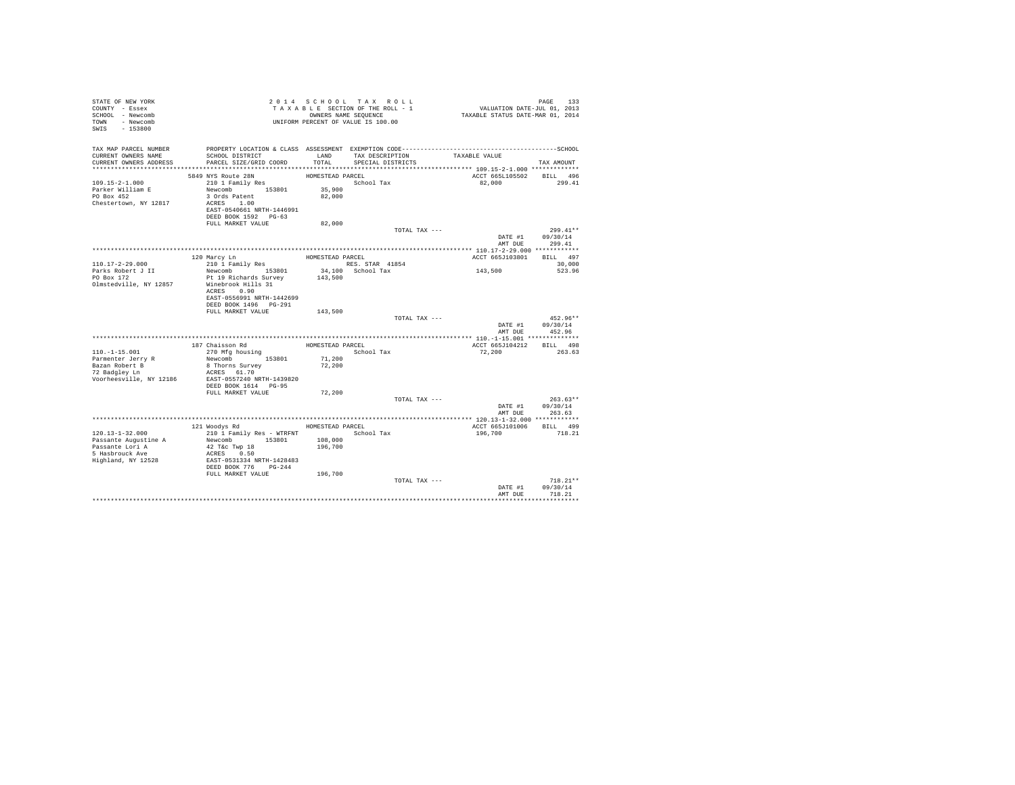| STATE OF NEW YORK<br>COUNTY - Essex<br>SCHOOL - Newcomb<br>TOWN - Newcomb<br>SWIS - 153800 |                                                 |                  | 2014 SCHOOL TAX ROLL<br>TAXABLE SECTION OF THE ROLL - 1<br>OWNERS NAME SEQUENCE<br>UNIFORM PERCENT OF VALUE IS 100.00 | PAGE 133<br>VALUATION DATE-JUL 01, 2013<br>TAXABLE STATUS DATE-MAR 01, 2014 |                                |
|--------------------------------------------------------------------------------------------|-------------------------------------------------|------------------|-----------------------------------------------------------------------------------------------------------------------|-----------------------------------------------------------------------------|--------------------------------|
| TAX MAP PARCEL NUMBER                                                                      |                                                 |                  |                                                                                                                       |                                                                             |                                |
| CURRENT OWNERS NAME<br>CURRENT OWNERS ADDRESS                                              | SCHOOL DISTRICT<br>PARCEL SIZE/GRID COORD       | LAND<br>TOTAL    | TAX DESCRIPTION<br>SPECIAL DISTRICTS                                                                                  | TAXABLE VALUE                                                               | TAX AMOUNT                     |
|                                                                                            |                                                 |                  |                                                                                                                       |                                                                             |                                |
|                                                                                            | 5849 NYS Route 28N                              | HOMESTEAD PARCEL |                                                                                                                       | ACCT 665L105502 BILL 496                                                    |                                |
| $109.15 - 2 - 1.000$                                                                       | $210$ 1 Family Res                              |                  | School Tax                                                                                                            | 82,000                                                                      | 299.41                         |
| Parker William E                                                                           | Newcomb 153801                                  | 35,900           |                                                                                                                       |                                                                             |                                |
| PO Box 452                                                                                 | 3 Ords Patent                                   | 82,000           |                                                                                                                       |                                                                             |                                |
| Chestertown, NY 12817                                                                      | ACRES 1.00<br>EAST-0540661 NRTH-1446991         |                  |                                                                                                                       |                                                                             |                                |
|                                                                                            | DEED BOOK 1592 PG-63                            |                  |                                                                                                                       |                                                                             |                                |
|                                                                                            | FULL MARKET VALUE                               | 82,000           |                                                                                                                       |                                                                             |                                |
|                                                                                            |                                                 |                  | TOTAL TAX ---                                                                                                         |                                                                             | $299.41**$                     |
|                                                                                            |                                                 |                  |                                                                                                                       |                                                                             | DATE #1 09/30/14               |
|                                                                                            |                                                 |                  |                                                                                                                       | AMT DUE                                                                     | 299.41                         |
|                                                                                            |                                                 | HOMESTEAD PARCEL |                                                                                                                       | ACCT 665J103801                                                             | BILL 497                       |
| 110.17-2-29.000                                                                            | 120 Marcy Ln<br>210 1 Family Res                |                  | RES. STAR 41854                                                                                                       |                                                                             | 30,000                         |
| Parks Robert J II                                                                          | Newcomb 153801                                  |                  | 34,100 School Tax                                                                                                     | 143,500                                                                     | 523.96                         |
| PO Box $172$                                                                               | Pt 19 Richards Survey                           | 143,500          |                                                                                                                       |                                                                             |                                |
| Olmstedville, NY 12857                                                                     | Winebrook Hills 31<br>ACRES 0.90                |                  |                                                                                                                       |                                                                             |                                |
|                                                                                            | EAST-0556991 NRTH-1442699                       |                  |                                                                                                                       |                                                                             |                                |
|                                                                                            | DEED BOOK 1496    PG-291                        |                  |                                                                                                                       |                                                                             |                                |
|                                                                                            | FULL MARKET VALUE 143,500                       |                  |                                                                                                                       |                                                                             |                                |
|                                                                                            |                                                 |                  | TOTAL TAX ---                                                                                                         |                                                                             | $452.96**$                     |
|                                                                                            |                                                 |                  |                                                                                                                       | AMT DUE                                                                     | DATE #1 09/30/14<br>452.96     |
|                                                                                            |                                                 |                  |                                                                                                                       |                                                                             |                                |
|                                                                                            | 187 Chaisson Rd                                 |                  | HOMESTEAD PARCEL                                                                                                      | ACCT 665J104212                                                             | BILL 498                       |
| $110. - 1 - 15.001$                                                                        | 270 Mfg housing                                 |                  | School Tax                                                                                                            | 72,200                                                                      | 263.63                         |
|                                                                                            | Newcomb 153801                                  | 71,200           |                                                                                                                       |                                                                             |                                |
| Parmenter Jerry R<br>Bazan Robert B<br>72 Badgley Ln                                       | 8 Thorns Survey<br>ACRES 61.70                  | 72,200           |                                                                                                                       |                                                                             |                                |
| Voorheesville, NY 12186                                                                    | EAST-0557240 NRTH-1439820                       |                  |                                                                                                                       |                                                                             |                                |
|                                                                                            | DEED BOOK 1614 PG-95                            |                  |                                                                                                                       |                                                                             |                                |
|                                                                                            | FULL MARKET VALUE                               | 72,200           |                                                                                                                       |                                                                             |                                |
|                                                                                            |                                                 |                  | TOTAL TAX ---                                                                                                         |                                                                             | $263.63**$<br>DATE #1 09/30/14 |
|                                                                                            |                                                 |                  |                                                                                                                       |                                                                             | AMT DUE 263.63                 |
|                                                                                            |                                                 |                  |                                                                                                                       | ********************* 120.13-1-32.000 ************                          |                                |
|                                                                                            | 121 Woodys Rd                                   | HOMESTEAD PARCEL |                                                                                                                       | ACCT 665J101006                                                             | BILL 499                       |
| 120.13-1-32.000                                                                            | 210 1 Family Res - WTRFNT School Tax            |                  |                                                                                                                       | 196,700                                                                     | 718.21                         |
|                                                                                            | Newcomb 153801 108,000<br>42 T&c Twp 18 196,700 |                  |                                                                                                                       |                                                                             |                                |
| Passante Augustine A<br>Passante Lori A<br>5 Hasbrouck Ave                                 | ACRES 0.50                                      |                  |                                                                                                                       |                                                                             |                                |
| Highland, NY 12528                                                                         | EAST-0531334 NRTH-1428483                       |                  |                                                                                                                       |                                                                             |                                |
|                                                                                            | DEED BOOK 776 PG-244                            |                  |                                                                                                                       |                                                                             |                                |
|                                                                                            | FULL MARKET VALUE 196,700                       |                  |                                                                                                                       |                                                                             |                                |
|                                                                                            |                                                 |                  | TOTAL TAX ---                                                                                                         |                                                                             | $718.21**$<br>DATE #1 09/30/14 |
|                                                                                            |                                                 |                  |                                                                                                                       | AMT DUE                                                                     | 718.21                         |
|                                                                                            |                                                 |                  |                                                                                                                       |                                                                             |                                |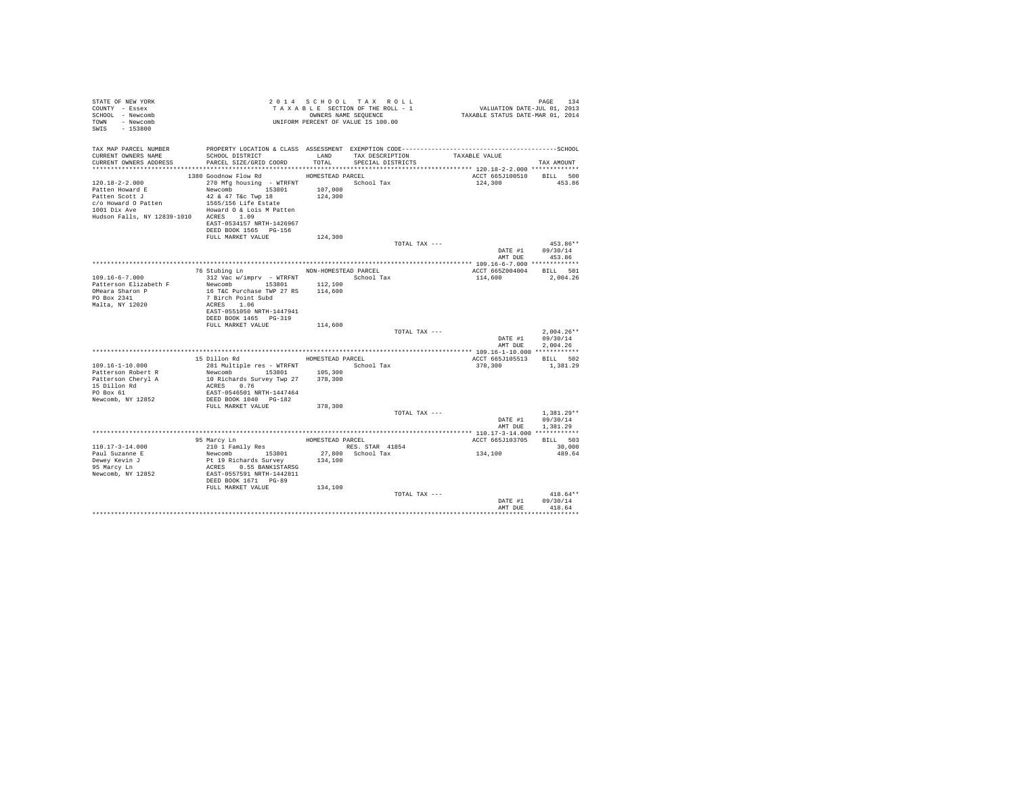| STATE OF NEW YORK<br>COUNTY - Essex<br>SCHOOL - Newcomb<br>TOWN - Newcomb<br>SWIS - 153800                                                 |                                                                                                                                                                                                                                                        |         | 2014 SCHOOL TAX ROLL<br>TAXABLE SECTION OF THE ROLL - 1<br>OWNERS NAME SEOUENCE<br>UNIFORM PERCENT OF VALUE IS 100.00 |               | PAGE 134<br>134 VALUATION DATE-JUL 01, 2013<br>2014 TAXABLE STATUS DATE-MAR | PAGE 134                             |
|--------------------------------------------------------------------------------------------------------------------------------------------|--------------------------------------------------------------------------------------------------------------------------------------------------------------------------------------------------------------------------------------------------------|---------|-----------------------------------------------------------------------------------------------------------------------|---------------|-----------------------------------------------------------------------------|--------------------------------------|
| TAX MAP PARCEL NUMBER<br>CURRENT OWNERS NAME<br>CURRENT OWNERS ADDRESS                                                                     | SCHOOL DISTRICT<br>PARCEL SIZE/GRID COORD TOTAL                                                                                                                                                                                                        | LAND    | TAX DESCRIPTION TAXABLE VALUE<br>SPECIAL DISTRICTS                                                                    |               |                                                                             | TAX AMOUNT                           |
| $120.18 - 2 - 2.000$<br>Patten Howard E<br>Patten Scott J<br>c/o Howard O Patten<br>1001 Dix Ave<br>Hudson Falls, NY 12839-1010 ACRES 1.09 | 1380 Goodnow Flow Rd MOMESTEAD PARCEL<br>270 Mfg housing - WTRFNT                 School Tax<br>Newcomb 153801 107,000<br>42 & 47 T&c Twp 18<br>1565/156 Life Estate<br>Howard O & Lois M Patten<br>EAST-0534157 NRTH-1426967<br>DEED BOOK 1565 PG-156 | 124,300 |                                                                                                                       |               | ACCT 665J100510 BILL 500<br>124,300                                         | 453.86                               |
|                                                                                                                                            | FULL MARKET VALUE                                                                                                                                                                                                                                      | 124,300 |                                                                                                                       | TOTAL TAX --- |                                                                             | $453.86**$<br>DATE #1 09/30/14       |
|                                                                                                                                            |                                                                                                                                                                                                                                                        |         |                                                                                                                       |               |                                                                             | AMT DUE 453.86                       |
| $109.16 - 6 - 7.000$                                                                                                                       | 76 Stubing Ln NON-HOMESTEAD PARCEL<br>312 Vac w/imprv - WTRFNT School Tax                                                                                                                                                                              |         |                                                                                                                       |               | ACCT 665Z004004 BILL 501<br>114,600                                         | 2.004.26                             |
| Patterson Elizabeth F<br>OMeara Sharon P<br>PO Box 2341<br>Malta, NY 12020                                                                 | Newcomb 153801<br>16 T&C Purchase TWP 27 RS 114,600<br>7 Birch Point Subd<br>ACRES 1.06<br>EAST-0551050 NRTH-1447941<br>DEED BOOK 1465 PG-319                                                                                                          | 112,100 |                                                                                                                       |               |                                                                             |                                      |
|                                                                                                                                            | FULL MARKET VALUE                                                                                                                                                                                                                                      | 114,600 |                                                                                                                       | TOTAL TAX --- | DATE #1                                                                     | $2.004.26**$<br>09/30/14             |
|                                                                                                                                            |                                                                                                                                                                                                                                                        |         |                                                                                                                       |               | AMT DUE                                                                     | 2.004.26                             |
|                                                                                                                                            | 15 Dillon Rd<br>HOMESTEAD PARCEL                                                                                                                                                                                                                       |         |                                                                                                                       |               | ACCT 665J105513 BILL 502                                                    |                                      |
| $109.16 - 1 - 10.000$<br>Patterson Robert R<br>Patterson Cheryl A<br>15 Dillon Rd<br>PO Box 61<br>Newcomb, NY 12852                        | 281 Multiple res - WTRFNT School Tax<br>Newcomb 153801 105,300<br>10 Richards Survey Twp 27 378,300<br>ACRES 0.76<br>EAST-0546501 NRTH-1447464<br>DEED BOOK 1040 PG-182                                                                                |         |                                                                                                                       |               | 378,300                                                                     | 1,381.29                             |
|                                                                                                                                            | FULL MARKET VALUE                                                                                                                                                                                                                                      | 378,300 |                                                                                                                       | TOTAL TAX --- | DATE #1<br>AMT DUE                                                          | $1.381.29**$<br>09/30/14<br>1,381.29 |
|                                                                                                                                            |                                                                                                                                                                                                                                                        |         |                                                                                                                       |               |                                                                             |                                      |
|                                                                                                                                            |                                                                                                                                                                                                                                                        |         | HOMESTEAD PARCEL                                                                                                      |               | ACCT 665J103705                                                             | BILL 503                             |
| $110.17 - 3 - 14.000$<br>Paul Suzanne E<br>Dewey Kevin J<br>95 Marcy Ln<br>Newcomb, NY 12852                                               | 95 Marcy Ln<br>210 1 Family Res<br>Newcomb 153801<br>Pt 19 Richards Survey<br>ACRES 0.55 BANK1STARSG<br>EAST-0557591 NRTH-1442811<br>DEED BOOK 1671 PG-89                                                                                              | 134,100 | RES. STAR 41854<br>27,800 School Tax                                                                                  |               | 134, 100                                                                    | 30,000<br>489.64                     |
|                                                                                                                                            | FULL MARKET VALUE                                                                                                                                                                                                                                      | 134,100 |                                                                                                                       | TOTAL TAX --- | DATE #1<br>AMT DUR                                                          | $418.64**$<br>09/30/14<br>418.64     |
|                                                                                                                                            |                                                                                                                                                                                                                                                        |         |                                                                                                                       |               |                                                                             |                                      |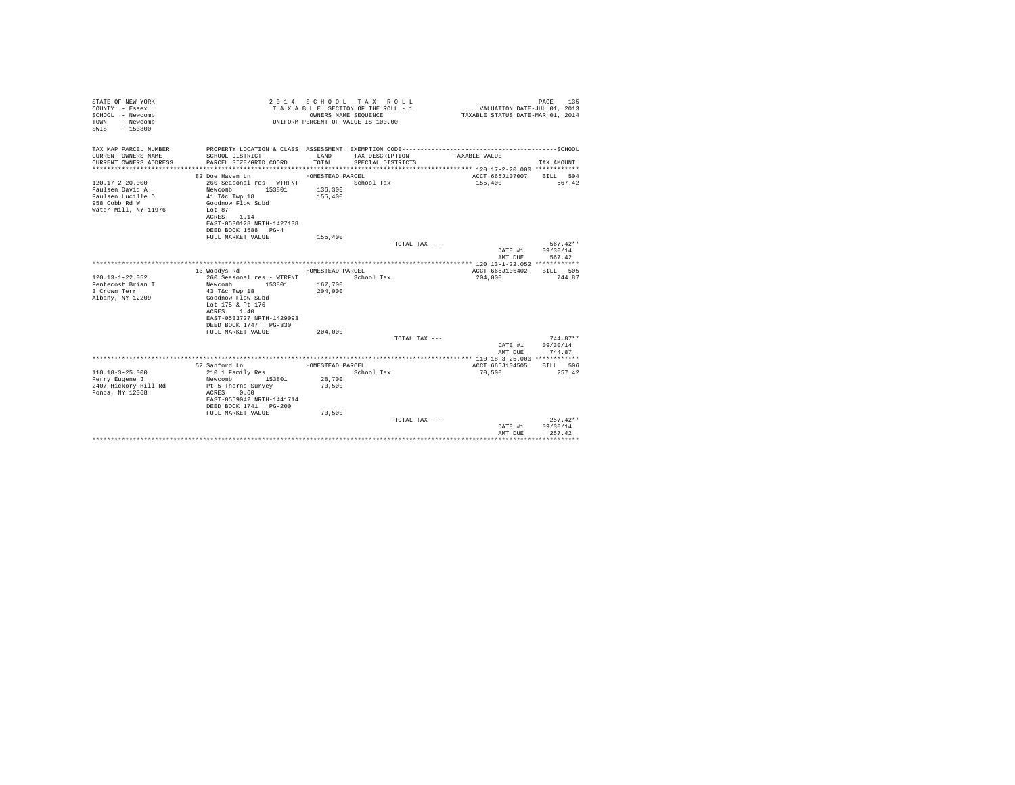| STATE OF NEW YORK<br>COUNTY - Essex<br>SCHOOL - Newcomb<br>- Newcomb<br>TOWN<br>$-153800$<br>SWIS      |                                                                                                                                                                                              | OWNERS NAME SEQUENCE                   | 2014 SCHOOL TAX ROLL<br>TAXABLE SECTION OF THE ROLL - 1<br>UNIFORM PERCENT OF VALUE IS 100.00 | VALUATION DATE-JUL 01, 2013<br>TAXABLE STATUS DATE-MAR 01, 2014 | 135<br>PAGE                                      |
|--------------------------------------------------------------------------------------------------------|----------------------------------------------------------------------------------------------------------------------------------------------------------------------------------------------|----------------------------------------|-----------------------------------------------------------------------------------------------|-----------------------------------------------------------------|--------------------------------------------------|
| TAX MAP PARCEL NUMBER<br>CURRENT OWNERS NAME<br>CURRENT OWNERS ADDRESS<br>************************     | SCHOOL DISTRICT<br>PARCEL SIZE/GRID COORD                                                                                                                                                    | LAND<br>TOTAL                          | TAX DESCRIPTION<br>SPECIAL DISTRICTS                                                          | TAXABLE VALUE                                                   | TAX AMOUNT                                       |
| $120.17 - 2 - 20.000$<br>Paulsen David A<br>Paulsen Lucille D<br>958 Cobb Rd W<br>Water Mill, NY 11976 | 82 Doe Haven Ln<br>260 Seasonal res - WTRFNT<br>Newcomb<br>153801<br>41 T&c Twp 18<br>Goodnow Flow Subd<br>Lot 87<br>1.14<br>ACRES<br>EAST-0530128 NRTH-1427138<br>DEED BOOK 1588 PG-4       | HOMESTEAD PARCEL<br>136,300<br>155,400 | School Tax                                                                                    | ACCT 665J107007<br>155,400                                      | BILL 504<br>567.42                               |
|                                                                                                        | FULL MARKET VALUE                                                                                                                                                                            | 155,400                                | TOTAL TAX ---                                                                                 | DATE #1<br>AMT DUE                                              | $567.42**$<br>09/30/14<br>567.42                 |
| $120.13 - 1 - 22.052$<br>Pentecost Brian T<br>3 Crown Terr<br>Albany, NY 12209                         | 13 Woodys Rd<br>260 Seasonal res - WTRFNT<br>Newcomb<br>153801<br>43 T&c Twp 18<br>Goodnow Flow Subd<br>Lot 175 & Pt 176<br>ACRES 1.40<br>EAST-0533727 NRTH-1429093<br>DEED BOOK 1747 PG-330 | HOMESTEAD PARCEL<br>167,700<br>204,000 | School Tax                                                                                    | ACCT 665J105402<br>204,000                                      | BILL 505<br>744.87                               |
|                                                                                                        | FULL MARKET VALUE                                                                                                                                                                            | 204,000                                | TOTAL TAX ---                                                                                 | DATE #1<br>AMT DUE                                              | $744.87**$<br>09/30/14<br>744.87                 |
|                                                                                                        |                                                                                                                                                                                              |                                        |                                                                                               |                                                                 |                                                  |
| $110.18 - 3 - 25.000$<br>Perry Eugene J<br>2407 Hickory Hill Rd<br>Fonda, NY 12068                     | 52 Sanford Ln<br>210 1 Family Res<br>Newcomb<br>153801<br>Pt 5 Thorns Survey<br>ACRES<br>0.60<br>EAST-0559042 NRTH-1441714<br>DEED BOOK 1741 PG-200                                          | HOMESTEAD PARCEL<br>28,700<br>70,500   | School Tax                                                                                    | ACCT 665J104505<br>70,500                                       | BILL 506<br>257.42                               |
|                                                                                                        | FULL MARKET VALUE                                                                                                                                                                            | 70,500                                 | TOTAL TAX $---$                                                                               | DATE #1<br>AMT DUE                                              | $257.42**$<br>09/30/14<br>257.42<br>************ |
|                                                                                                        |                                                                                                                                                                                              |                                        |                                                                                               |                                                                 |                                                  |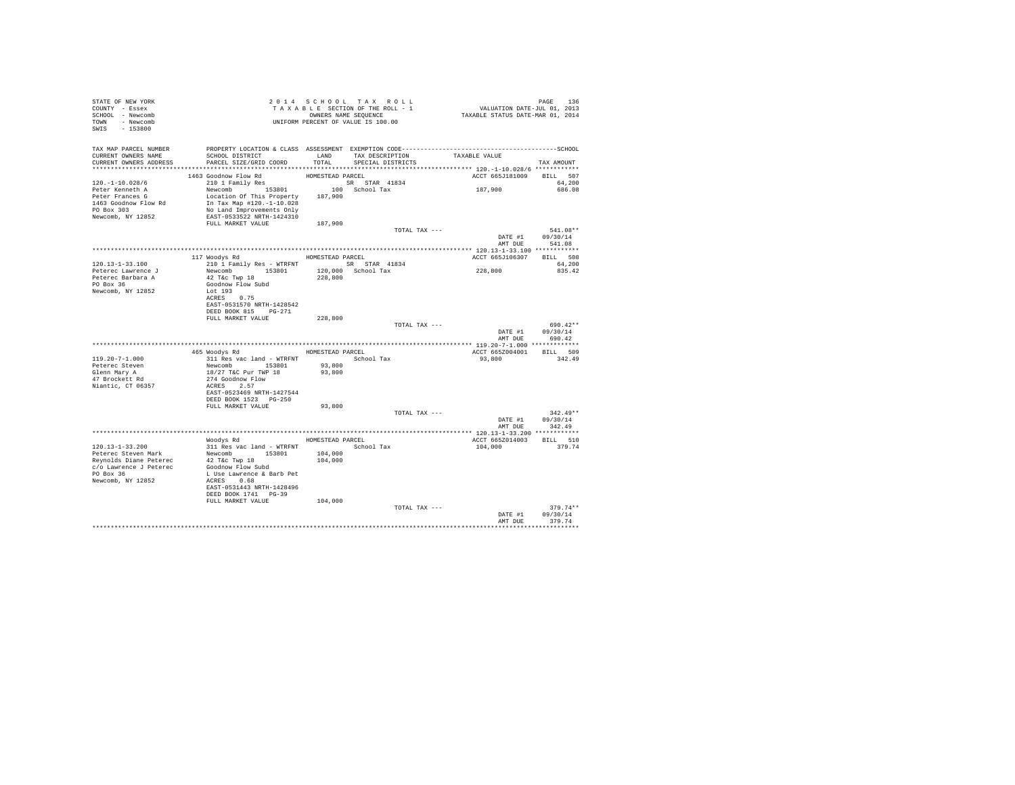| STATE OF NEW YORK<br>COUNTY - Essex<br>SCHOOL - Newcomb<br>TOWN - Newcomb<br>$-153800$<br>SWIS                   | T A X A B L E SECIION.<br>OWNERS NAME SEQUENCE<br>UNIFORM PERCENT OF VALUE IS 100.00 |                  | 2014 SCHOOL TAX ROLL<br>TAXABLE SECTION OF THE ROLL - 1<br>OWNERS NAME SEQUENCE |               | PAGE 136<br>VALUATION DATE-JUL 01, 2013<br>TAXABLE STATUS DATE-MAR 01, 2014 |                      |
|------------------------------------------------------------------------------------------------------------------|--------------------------------------------------------------------------------------|------------------|---------------------------------------------------------------------------------|---------------|-----------------------------------------------------------------------------|----------------------|
| TAX MAP PARCEL NUMBER PROPERTY LOCATION & CLASS ASSESSMENT EXEMPTION CODE---------------------------------SCHOOL |                                                                                      |                  |                                                                                 |               |                                                                             |                      |
| CURRENT OWNERS NAME<br>CURRENT OWNERS ADDRESS                                                                    | SCHOOL DISTRICT<br>PARCEL SIZE/GRID COORD                                            | LAND<br>TOTAL    | TAX DESCRIPTION<br>SPECIAL DISTRICTS                                            |               | TAXABLE VALUE                                                               | TAX AMOUNT           |
|                                                                                                                  |                                                                                      |                  |                                                                                 |               |                                                                             |                      |
|                                                                                                                  | 1463 Goodnow Flow Rd                                                                 | HOMESTEAD PARCEL |                                                                                 |               | ACCT 665J181009 BILL 507                                                    |                      |
| $120. -1 - 10.028/6$                                                                                             | $210$ 1 Family Res                                                                   |                  |                                                                                 |               |                                                                             | 64,200               |
| Peter Kenneth A<br>Peter Frances G                                                                               | Location Of This Property 187,900                                                    |                  |                                                                                 |               | 187,900                                                                     | 686.08               |
| 1463 Goodnow Flow Rd                                                                                             | In Tax Map $#120.-1-10.028$                                                          |                  |                                                                                 |               |                                                                             |                      |
| PO Box 303                                                                                                       | No Land Improvements Only                                                            |                  |                                                                                 |               |                                                                             |                      |
| Newcomb, NY 12852                                                                                                | EAST-0533522 NRTH-1424310                                                            |                  |                                                                                 |               |                                                                             |                      |
|                                                                                                                  | FULL MARKET VALUE                                                                    | 187,900          |                                                                                 | TOTAL TAX --- |                                                                             | 541.08**             |
|                                                                                                                  |                                                                                      |                  |                                                                                 |               |                                                                             | DATE #1 09/30/14     |
|                                                                                                                  |                                                                                      |                  |                                                                                 |               | AMT DUE                                                                     | 541.08               |
|                                                                                                                  | 117 Woodys Rd                                                                        | HOMESTEAD PARCEL |                                                                                 |               | ACCT 665J106307 BILL 508                                                    |                      |
| $120.13 - 1 - 33.100$                                                                                            | 210 1 Family Res - WTRFNT SR STAR 41834                                              |                  |                                                                                 |               |                                                                             | 64,200               |
| Peterec Lawrence J                                                                                               | Newcomb 153801                                                                       |                  | 120,000 School Tax                                                              |               | 228,800                                                                     | 835.42               |
| Peterec Barbara A                                                                                                | 42 T&c Twp 18                                                                        | 228,800          |                                                                                 |               |                                                                             |                      |
| PO Box 36<br>Newcomb, NY 12852                                                                                   | Goodnow Flow Subd<br>Lot 193                                                         |                  |                                                                                 |               |                                                                             |                      |
|                                                                                                                  | ACRES 0.75                                                                           |                  |                                                                                 |               |                                                                             |                      |
|                                                                                                                  | EAST-0531570 NRTH-1428542                                                            |                  |                                                                                 |               |                                                                             |                      |
|                                                                                                                  | DEED BOOK 815 PG-271<br>FULL MARKET VALUE                                            | 228,800          |                                                                                 |               |                                                                             |                      |
|                                                                                                                  |                                                                                      |                  |                                                                                 | TOTAL TAX --- |                                                                             | 690.42**             |
|                                                                                                                  |                                                                                      |                  |                                                                                 |               | DATE #1                                                                     | 09/30/14             |
|                                                                                                                  |                                                                                      |                  |                                                                                 |               | AMT DUE                                                                     | 690.42               |
|                                                                                                                  | 465 Woodys Rd MOMESTEAD PARCEL                                                       |                  |                                                                                 |               | ACCT 665Z004001 BILL 509                                                    |                      |
| 119.20-7-1.000                                                                                                   | 311 Res vac land - WTRFNT               School Tax                                   |                  |                                                                                 |               | 93,800                                                                      | 342.49               |
| Peterec Steven                                                                                                   | Newcomb 153801<br>18/27 T&C Pur TWP 18                                               | 93,800           |                                                                                 |               |                                                                             |                      |
| Glenn Mary A<br>47 Brockett Rd                                                                                   | 274 Goodnow Flow                                                                     | 93,800           |                                                                                 |               |                                                                             |                      |
| Niantic, CT 06357                                                                                                | ACRES 2.57                                                                           |                  |                                                                                 |               |                                                                             |                      |
|                                                                                                                  | EAST-0523469 NRTH-1427544                                                            |                  |                                                                                 |               |                                                                             |                      |
|                                                                                                                  | DEED BOOK 1523 PG-250                                                                |                  |                                                                                 |               |                                                                             |                      |
|                                                                                                                  | FULL MARKET VALUE                                                                    | 93,800           |                                                                                 | TOTAL TAX --- |                                                                             | $342.49**$           |
|                                                                                                                  |                                                                                      |                  |                                                                                 |               |                                                                             | DATE #1 09/30/14     |
|                                                                                                                  |                                                                                      |                  |                                                                                 |               | AMT DUE                                                                     | 342.49               |
|                                                                                                                  | Woodys Rd MOMESTEAD PARCEL                                                           |                  |                                                                                 |               | ACCT 665Z014003 BILL 510                                                    |                      |
| 120.13-1-33.200                                                                                                  | 311 Res vac land - WTRFNT                                                            |                  | School Tax                                                                      |               | 104,000                                                                     | 379.74               |
| Peterec Steven Mark                                                                                              | Newcomb 153801                                                                       | 104,000          |                                                                                 |               |                                                                             |                      |
| Reynolds Diane Peterec                                                                                           | 42 T&c Twp 18                                                                        | 104,000          |                                                                                 |               |                                                                             |                      |
| c/o Lawrence J Peterec<br>PO Box 36                                                                              | Goodnow Flow Subd<br>L Use Lawrence & Barb Pet                                       |                  |                                                                                 |               |                                                                             |                      |
| Newcomb, NY 12852                                                                                                | ACRES 0.68                                                                           |                  |                                                                                 |               |                                                                             |                      |
|                                                                                                                  | EAST-0531443 NRTH-1428496                                                            |                  |                                                                                 |               |                                                                             |                      |
|                                                                                                                  | DEED BOOK 1741 PG-39<br>FULL MARKET VALUE                                            | 104,000          |                                                                                 |               |                                                                             |                      |
|                                                                                                                  |                                                                                      |                  |                                                                                 | TOTAL TAX --- |                                                                             | $379.74**$           |
|                                                                                                                  |                                                                                      |                  |                                                                                 |               | DATE #1                                                                     | 09/30/14             |
|                                                                                                                  |                                                                                      |                  |                                                                                 |               | AMT DUE                                                                     | 379.74<br>********** |
|                                                                                                                  |                                                                                      |                  |                                                                                 |               |                                                                             |                      |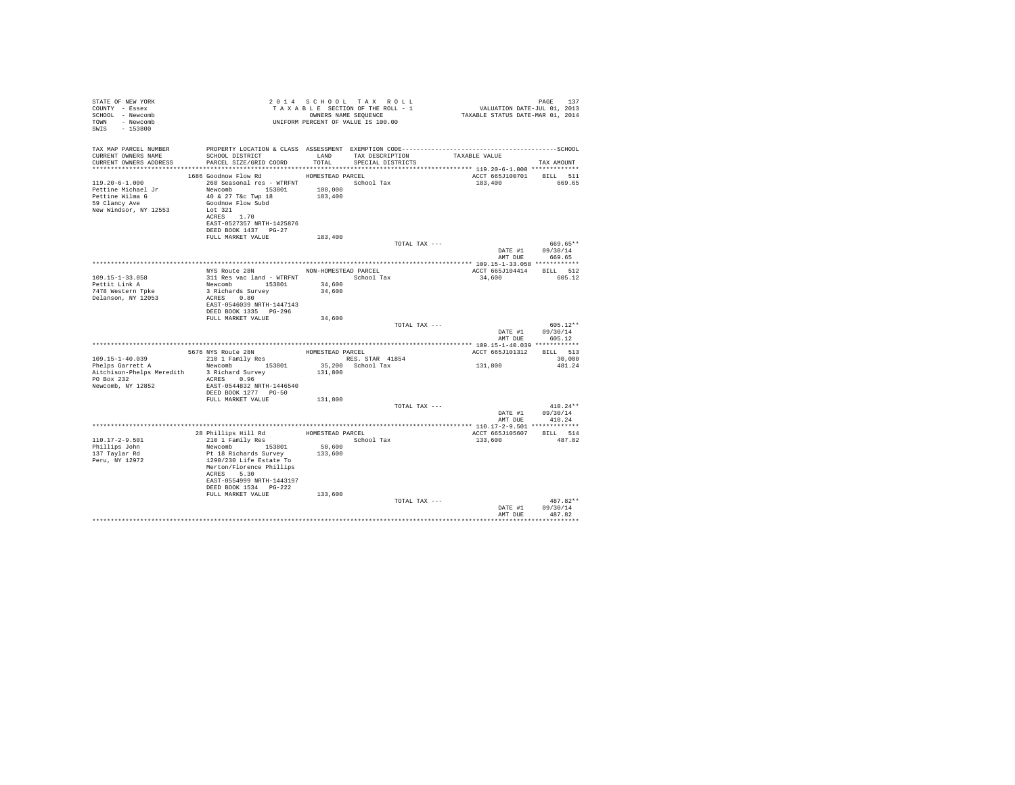| STATE OF NEW YORK<br>COUNTY - Essex<br>SCHOOL - Newcomb<br>TOWN - Newcomb<br>SWIS - 153800              | T A X A B B B B B SEQUENCE<br>ONNERS NAME SEQUENCE<br>UNIFORM PERCENT OF VALUE IS 100.00                                                                                                                                            |                             | 2014 SCHOOL TAX ROLL<br>TAXABLE SECTION OF THE ROLL - 1<br>OWNERS NAME SEQUENCE | PAGE 137<br>VALUATION DATE-JUL 01, 2013<br>TAXABLE STATUS DATE-MAR 01, 2014 |                                                  |
|---------------------------------------------------------------------------------------------------------|-------------------------------------------------------------------------------------------------------------------------------------------------------------------------------------------------------------------------------------|-----------------------------|---------------------------------------------------------------------------------|-----------------------------------------------------------------------------|--------------------------------------------------|
| TAX MAP PARCEL NUMBER<br>CURRENT OWNERS NAME<br>CURRENT OWNERS ADDRESS                                  | PROPERTY LOCATION & CLASS ASSESSMENT EXEMPTION CODE-----------------------------------SCHOOL<br>SCHOOL DISTRICT<br>PARCEL SIZE/GRID COORD                                                                                           | LAND<br>TOTAL               | TAX DESCRIPTION<br>SPECIAL DISTRICTS                                            | TAXABLE VALUE                                                               | TAX AMOUNT                                       |
| $119.20 - 6 - 1.000$<br>Pettine Michael Jr<br>Pettine Wilma G<br>59 Clancy Ave<br>New Windsor, NY 12553 | 1686 Goodnow Flow Rd MOMESTEAD PARCEL<br>260 Seasonal res - WTRFNT Manuscript School Tax<br>Newcomb 153801<br>40 & 27 T&c Twp 18<br>Goodnow Flow Subd<br>Lot 321<br>ACRES 1.70<br>EAST-0527357 NRTH-1425876<br>DEED BOOK 1437 PG-27 | 108,000<br>183,400          |                                                                                 | ACCT 665J100701 BILL 511<br>183,400                                         | 669.65                                           |
|                                                                                                         | FULL MARKET VALUE                                                                                                                                                                                                                   | 183,400                     | TOTAL TAX ---                                                                   | AMT DUE                                                                     | 669.65**<br>DATE #1 09/30/14<br>669.65           |
|                                                                                                         |                                                                                                                                                                                                                                     |                             |                                                                                 |                                                                             |                                                  |
| $109.15 - 1 - 33.058$<br>Pettit Link A<br>7478 Western Tpke<br>Delanson, NY 12053                       | NYS Route 28N NON-HOMESTEAD PARCEL<br>311 Res vac land - WTRFNT<br>Newcomb 153801<br>3 Richards Survey<br>ACRES 0.80<br>EAST-0546039 NRTH-1447143<br>DEED BOOK 1335 PG-296                                                          | 34,600<br>34,600            | School Tax                                                                      | ACCT 665J104414 BILL 512<br>34,600                                          | 605.12                                           |
|                                                                                                         | FULL MARKET VALUE                                                                                                                                                                                                                   | 34,600                      | TOTAL TAX ---                                                                   |                                                                             | $605.12**$<br>DATE #1 09/30/14<br>AMT DUE 605.12 |
|                                                                                                         |                                                                                                                                                                                                                                     |                             |                                                                                 |                                                                             |                                                  |
| 109.15-1-40.039<br>Phelps Garrett A<br>PO Box 232<br>Newcomb, NY 12852                                  | 5676 NYS Route 28N<br>210 1 Family Res<br>Newcomb 153801<br>Aitchison-Phelps Meredith 3 Richard Survey<br>ACRES 0.96<br>EAST-0544832 NRTH-1446540<br>DEED BOOK 1277 PG-50                                                           | HOMESTEAD PARCEL<br>131,800 | RES. STAR 41854<br>35,200 School Tax                                            | ACCT 665J101312 BILL 513<br>131,800                                         | 30,000<br>481.24                                 |
|                                                                                                         | FULL MARKET VALUE                                                                                                                                                                                                                   | 131,800                     |                                                                                 |                                                                             |                                                  |
|                                                                                                         |                                                                                                                                                                                                                                     |                             | TOTAL TAX ---                                                                   |                                                                             | $410.24**$<br>DATE #1 09/30/14<br>AMT DUE 410.24 |
|                                                                                                         |                                                                                                                                                                                                                                     |                             |                                                                                 |                                                                             |                                                  |
| 110.17-2-9.501<br>Phillips John<br>137 Tavlar Rd<br>Peru, NY 12972                                      | 28 Phillips Hill Rd<br>210 1 Family Res<br>Newcomb 153801<br>Pt 18 Richards Survey<br>1290/230 Life Estate To<br>Merton/Florence Phillips<br>ACRES 5.30<br>EAST-0554999 NRTH-1443197<br>DEED BOOK 1534 PG-222                       | 50,600<br>133,600           | HOMESTEAD PARCEL<br>School Tax                                                  | ACCT 665J105607 BILL 514<br>133,600                                         | 487.82                                           |
|                                                                                                         | FULL MARKET VALUE                                                                                                                                                                                                                   | 133,600                     | TOTAL TAX ---                                                                   | DATE #1<br>AMT DUE                                                          | $487.82**$<br>09/30/14<br>487.82                 |
|                                                                                                         |                                                                                                                                                                                                                                     |                             |                                                                                 |                                                                             | ***********                                      |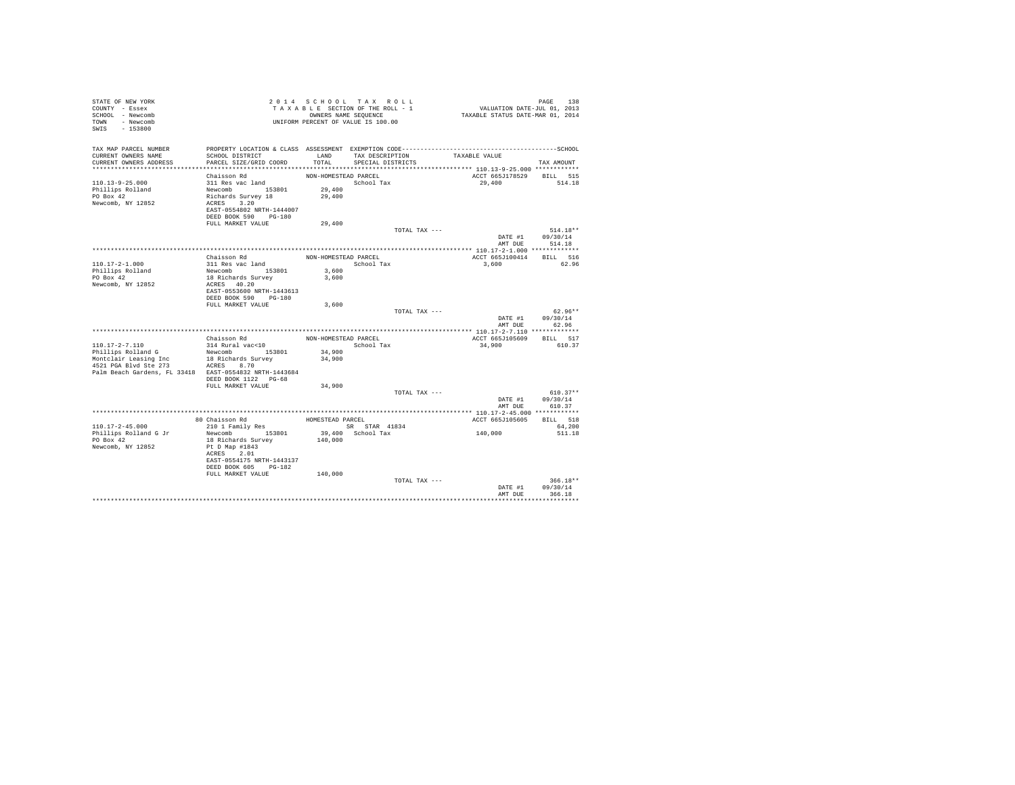| TAX MAP PARCEL NUMBER<br>LAND TAX DESCRIPTION<br>TAXABLE VALUE<br>CURRENT OWNERS NAME<br>SCHOOL DISTRICT<br>TOTAL<br>CURRENT OWNERS ADDRESS<br>PARCEL SIZE/GRID COORD<br>SPECIAL DISTRICTS<br>TAX AMOUNT<br>ACCT 665J178529 BILL 515<br>Chaisson Rd<br>NON-HOMESTEAD PARCEL<br>311 Res vac land<br>$110.13 - 9 - 25.000$<br>School Tax<br>29,400<br>514.18<br>Newcomb 153801<br>Richards Survey 18<br>29,400<br>Phillips Rolland<br>PO Box 42<br>29,400<br>Newcomb, NY 12852<br>ACRES 3.20<br>EAST-0554802 NRTH-1444007<br>DEED BOOK 590 PG-180<br>FULL MARKET VALUE<br>29,400<br>$514.18**$<br>TOTAL TAX ---<br>09/30/14<br>DATE #1<br>514.18<br>AMT DUR<br>Chaisson Rd<br>BILL 516<br>NON-HOMESTEAD PARCEL<br>ACCT 665J100414<br>110.17-2-1.000<br>311 Res vac land<br>School Tax<br>3,600<br>62.96<br>Newcomb 153801<br>Phillips Rolland<br>3,600<br>PO Box 42<br>18 Richards Survey<br>3,600<br>Newcomb, NY 12852<br>ACRES 40.20<br>EAST-0553600 NRTH-1443613<br>DEED BOOK 590 PG-180<br>FULL MARKET VALUE<br>3,600<br>$62.96**$<br>TOTAL TAX ---<br>DATE #1 09/30/14<br>AMT DUE<br>62.96<br>Chaisson Rd<br>NON-HOMESTEAD PARCEL<br>ACCT 665J105609 BILL 517<br>$110.17 - 2 - 7.110$<br>314 Rural vac<10<br>School Tax<br>610.37<br>34,900<br>Phillips Rolland G<br>Newcomb 153801<br>34,900<br>18 Richards Survey<br>Montclair Leasing Inc<br>34,900<br>4521 PGA Blvd Ste 273 ACRES 8.70<br>Palm Beach Gardens, FL 33418 EAST-0554832 NRTH-1443684<br>DEED BOOK 1122 PG-68<br>FULL MARKET VALUE<br>34,900 |
|----------------------------------------------------------------------------------------------------------------------------------------------------------------------------------------------------------------------------------------------------------------------------------------------------------------------------------------------------------------------------------------------------------------------------------------------------------------------------------------------------------------------------------------------------------------------------------------------------------------------------------------------------------------------------------------------------------------------------------------------------------------------------------------------------------------------------------------------------------------------------------------------------------------------------------------------------------------------------------------------------------------------------------------------------------------------------------------------------------------------------------------------------------------------------------------------------------------------------------------------------------------------------------------------------------------------------------------------------------------------------------------------------------------------------------------------------------------------------------------------------------------|
|                                                                                                                                                                                                                                                                                                                                                                                                                                                                                                                                                                                                                                                                                                                                                                                                                                                                                                                                                                                                                                                                                                                                                                                                                                                                                                                                                                                                                                                                                                                |
|                                                                                                                                                                                                                                                                                                                                                                                                                                                                                                                                                                                                                                                                                                                                                                                                                                                                                                                                                                                                                                                                                                                                                                                                                                                                                                                                                                                                                                                                                                                |
|                                                                                                                                                                                                                                                                                                                                                                                                                                                                                                                                                                                                                                                                                                                                                                                                                                                                                                                                                                                                                                                                                                                                                                                                                                                                                                                                                                                                                                                                                                                |
|                                                                                                                                                                                                                                                                                                                                                                                                                                                                                                                                                                                                                                                                                                                                                                                                                                                                                                                                                                                                                                                                                                                                                                                                                                                                                                                                                                                                                                                                                                                |
|                                                                                                                                                                                                                                                                                                                                                                                                                                                                                                                                                                                                                                                                                                                                                                                                                                                                                                                                                                                                                                                                                                                                                                                                                                                                                                                                                                                                                                                                                                                |
|                                                                                                                                                                                                                                                                                                                                                                                                                                                                                                                                                                                                                                                                                                                                                                                                                                                                                                                                                                                                                                                                                                                                                                                                                                                                                                                                                                                                                                                                                                                |
|                                                                                                                                                                                                                                                                                                                                                                                                                                                                                                                                                                                                                                                                                                                                                                                                                                                                                                                                                                                                                                                                                                                                                                                                                                                                                                                                                                                                                                                                                                                |
|                                                                                                                                                                                                                                                                                                                                                                                                                                                                                                                                                                                                                                                                                                                                                                                                                                                                                                                                                                                                                                                                                                                                                                                                                                                                                                                                                                                                                                                                                                                |
|                                                                                                                                                                                                                                                                                                                                                                                                                                                                                                                                                                                                                                                                                                                                                                                                                                                                                                                                                                                                                                                                                                                                                                                                                                                                                                                                                                                                                                                                                                                |
|                                                                                                                                                                                                                                                                                                                                                                                                                                                                                                                                                                                                                                                                                                                                                                                                                                                                                                                                                                                                                                                                                                                                                                                                                                                                                                                                                                                                                                                                                                                |
|                                                                                                                                                                                                                                                                                                                                                                                                                                                                                                                                                                                                                                                                                                                                                                                                                                                                                                                                                                                                                                                                                                                                                                                                                                                                                                                                                                                                                                                                                                                |
|                                                                                                                                                                                                                                                                                                                                                                                                                                                                                                                                                                                                                                                                                                                                                                                                                                                                                                                                                                                                                                                                                                                                                                                                                                                                                                                                                                                                                                                                                                                |
|                                                                                                                                                                                                                                                                                                                                                                                                                                                                                                                                                                                                                                                                                                                                                                                                                                                                                                                                                                                                                                                                                                                                                                                                                                                                                                                                                                                                                                                                                                                |
|                                                                                                                                                                                                                                                                                                                                                                                                                                                                                                                                                                                                                                                                                                                                                                                                                                                                                                                                                                                                                                                                                                                                                                                                                                                                                                                                                                                                                                                                                                                |
|                                                                                                                                                                                                                                                                                                                                                                                                                                                                                                                                                                                                                                                                                                                                                                                                                                                                                                                                                                                                                                                                                                                                                                                                                                                                                                                                                                                                                                                                                                                |
|                                                                                                                                                                                                                                                                                                                                                                                                                                                                                                                                                                                                                                                                                                                                                                                                                                                                                                                                                                                                                                                                                                                                                                                                                                                                                                                                                                                                                                                                                                                |
|                                                                                                                                                                                                                                                                                                                                                                                                                                                                                                                                                                                                                                                                                                                                                                                                                                                                                                                                                                                                                                                                                                                                                                                                                                                                                                                                                                                                                                                                                                                |
|                                                                                                                                                                                                                                                                                                                                                                                                                                                                                                                                                                                                                                                                                                                                                                                                                                                                                                                                                                                                                                                                                                                                                                                                                                                                                                                                                                                                                                                                                                                |
|                                                                                                                                                                                                                                                                                                                                                                                                                                                                                                                                                                                                                                                                                                                                                                                                                                                                                                                                                                                                                                                                                                                                                                                                                                                                                                                                                                                                                                                                                                                |
|                                                                                                                                                                                                                                                                                                                                                                                                                                                                                                                                                                                                                                                                                                                                                                                                                                                                                                                                                                                                                                                                                                                                                                                                                                                                                                                                                                                                                                                                                                                |
|                                                                                                                                                                                                                                                                                                                                                                                                                                                                                                                                                                                                                                                                                                                                                                                                                                                                                                                                                                                                                                                                                                                                                                                                                                                                                                                                                                                                                                                                                                                |
|                                                                                                                                                                                                                                                                                                                                                                                                                                                                                                                                                                                                                                                                                                                                                                                                                                                                                                                                                                                                                                                                                                                                                                                                                                                                                                                                                                                                                                                                                                                |
|                                                                                                                                                                                                                                                                                                                                                                                                                                                                                                                                                                                                                                                                                                                                                                                                                                                                                                                                                                                                                                                                                                                                                                                                                                                                                                                                                                                                                                                                                                                |
|                                                                                                                                                                                                                                                                                                                                                                                                                                                                                                                                                                                                                                                                                                                                                                                                                                                                                                                                                                                                                                                                                                                                                                                                                                                                                                                                                                                                                                                                                                                |
|                                                                                                                                                                                                                                                                                                                                                                                                                                                                                                                                                                                                                                                                                                                                                                                                                                                                                                                                                                                                                                                                                                                                                                                                                                                                                                                                                                                                                                                                                                                |
|                                                                                                                                                                                                                                                                                                                                                                                                                                                                                                                                                                                                                                                                                                                                                                                                                                                                                                                                                                                                                                                                                                                                                                                                                                                                                                                                                                                                                                                                                                                |
|                                                                                                                                                                                                                                                                                                                                                                                                                                                                                                                                                                                                                                                                                                                                                                                                                                                                                                                                                                                                                                                                                                                                                                                                                                                                                                                                                                                                                                                                                                                |
|                                                                                                                                                                                                                                                                                                                                                                                                                                                                                                                                                                                                                                                                                                                                                                                                                                                                                                                                                                                                                                                                                                                                                                                                                                                                                                                                                                                                                                                                                                                |
|                                                                                                                                                                                                                                                                                                                                                                                                                                                                                                                                                                                                                                                                                                                                                                                                                                                                                                                                                                                                                                                                                                                                                                                                                                                                                                                                                                                                                                                                                                                |
|                                                                                                                                                                                                                                                                                                                                                                                                                                                                                                                                                                                                                                                                                                                                                                                                                                                                                                                                                                                                                                                                                                                                                                                                                                                                                                                                                                                                                                                                                                                |
|                                                                                                                                                                                                                                                                                                                                                                                                                                                                                                                                                                                                                                                                                                                                                                                                                                                                                                                                                                                                                                                                                                                                                                                                                                                                                                                                                                                                                                                                                                                |
| $610.37**$<br>TOTAL TAX ---                                                                                                                                                                                                                                                                                                                                                                                                                                                                                                                                                                                                                                                                                                                                                                                                                                                                                                                                                                                                                                                                                                                                                                                                                                                                                                                                                                                                                                                                                    |
| 09/30/14<br>DATE #1                                                                                                                                                                                                                                                                                                                                                                                                                                                                                                                                                                                                                                                                                                                                                                                                                                                                                                                                                                                                                                                                                                                                                                                                                                                                                                                                                                                                                                                                                            |
| 610.37<br>AMT DUE                                                                                                                                                                                                                                                                                                                                                                                                                                                                                                                                                                                                                                                                                                                                                                                                                                                                                                                                                                                                                                                                                                                                                                                                                                                                                                                                                                                                                                                                                              |
|                                                                                                                                                                                                                                                                                                                                                                                                                                                                                                                                                                                                                                                                                                                                                                                                                                                                                                                                                                                                                                                                                                                                                                                                                                                                                                                                                                                                                                                                                                                |
| BILL 518<br>80 Chaisson Rd<br>HOMESTEAD PARCEL<br>ACCT 665J105605<br>su Cnaisson Rd<br>210 1 Family Res                                                                                                                                                                                                                                                                                                                                                                                                                                                                                                                                                                                                                                                                                                                                                                                                                                                                                                                                                                                                                                                                                                                                                                                                                                                                                                                                                                                                        |
| SR STAR 41834<br>$110.17 - 2 - 45.000$<br>64,200<br>140,000<br>Newcomb 153801<br>39,400 School Tax                                                                                                                                                                                                                                                                                                                                                                                                                                                                                                                                                                                                                                                                                                                                                                                                                                                                                                                                                                                                                                                                                                                                                                                                                                                                                                                                                                                                             |
| 511.18<br>Phillips Rolland G Jr<br>PO Box 42<br>18 Richards Survey<br>140,000                                                                                                                                                                                                                                                                                                                                                                                                                                                                                                                                                                                                                                                                                                                                                                                                                                                                                                                                                                                                                                                                                                                                                                                                                                                                                                                                                                                                                                  |
| Newcomb, NY 12852<br>Pt D Map #1843                                                                                                                                                                                                                                                                                                                                                                                                                                                                                                                                                                                                                                                                                                                                                                                                                                                                                                                                                                                                                                                                                                                                                                                                                                                                                                                                                                                                                                                                            |
| ACRES 2.01                                                                                                                                                                                                                                                                                                                                                                                                                                                                                                                                                                                                                                                                                                                                                                                                                                                                                                                                                                                                                                                                                                                                                                                                                                                                                                                                                                                                                                                                                                     |
| EAST-0554175 NRTH-1443137                                                                                                                                                                                                                                                                                                                                                                                                                                                                                                                                                                                                                                                                                                                                                                                                                                                                                                                                                                                                                                                                                                                                                                                                                                                                                                                                                                                                                                                                                      |
| DEED BOOK 605 PG-182                                                                                                                                                                                                                                                                                                                                                                                                                                                                                                                                                                                                                                                                                                                                                                                                                                                                                                                                                                                                                                                                                                                                                                                                                                                                                                                                                                                                                                                                                           |
| FULL MARKET VALUE<br>140,000                                                                                                                                                                                                                                                                                                                                                                                                                                                                                                                                                                                                                                                                                                                                                                                                                                                                                                                                                                                                                                                                                                                                                                                                                                                                                                                                                                                                                                                                                   |
| $366.18**$<br>TOTAL TAX ---<br>09/30/14                                                                                                                                                                                                                                                                                                                                                                                                                                                                                                                                                                                                                                                                                                                                                                                                                                                                                                                                                                                                                                                                                                                                                                                                                                                                                                                                                                                                                                                                        |
| DATE #1<br>366.18<br>AMT DUE                                                                                                                                                                                                                                                                                                                                                                                                                                                                                                                                                                                                                                                                                                                                                                                                                                                                                                                                                                                                                                                                                                                                                                                                                                                                                                                                                                                                                                                                                   |
|                                                                                                                                                                                                                                                                                                                                                                                                                                                                                                                                                                                                                                                                                                                                                                                                                                                                                                                                                                                                                                                                                                                                                                                                                                                                                                                                                                                                                                                                                                                |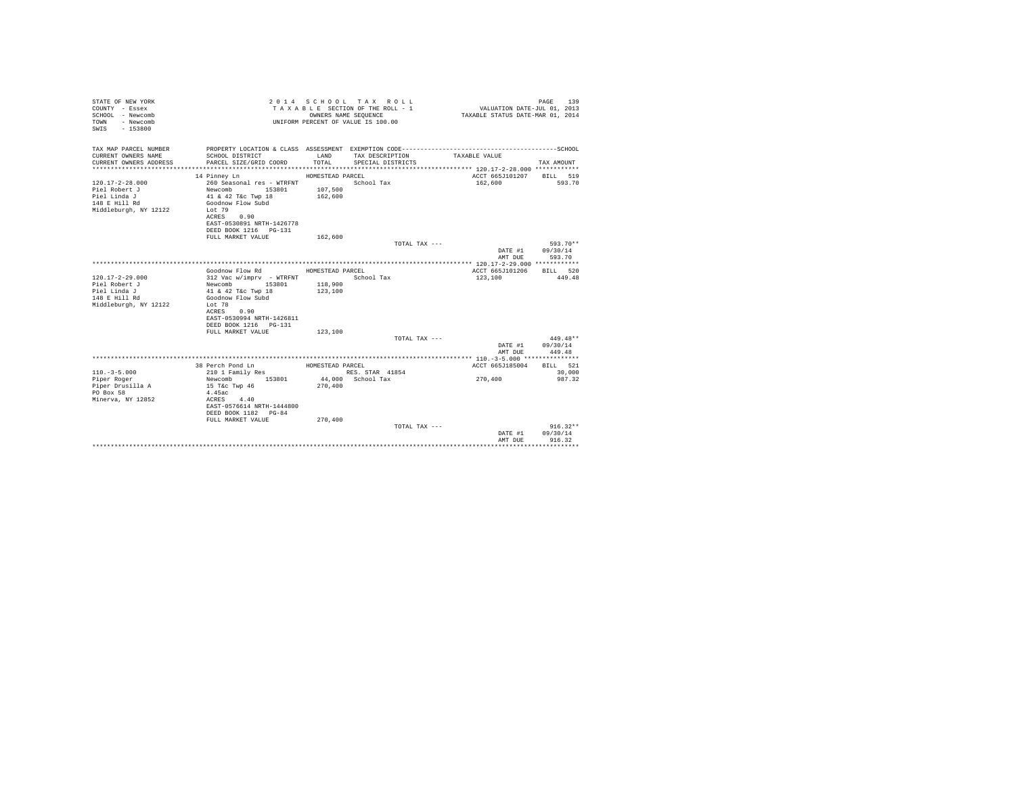| STATE OF NEW YORK<br>COUNTY - Essex<br>SCHOOL - Newcomb<br>TOWN - Newcomb<br>$-153800$<br>SWIS |                                           |                    | 2014 SCHOOL TAX ROLL<br>TAXABLE SECTION OF THE ROLL - 1<br>OWNERS NAME SEOUENCE<br>UNIFORM PERCENT OF VALUE IS 100.00 | VALUATION DATE-JUL 01, 2013<br>TAXABLE STATUS DATE-MAR 01, 2014 | PAGE 139               |
|------------------------------------------------------------------------------------------------|-------------------------------------------|--------------------|-----------------------------------------------------------------------------------------------------------------------|-----------------------------------------------------------------|------------------------|
| TAX MAP PARCEL NUMBER<br>CURRENT OWNERS NAME                                                   |                                           | LAND               | TAX DESCRIPTION                                                                                                       | TAXABLE VALUE                                                   |                        |
| CURRENT OWNERS ADDRESS                                                                         | SCHOOL DISTRICT<br>PARCEL SIZE/GRID COORD | TOTAL              | SPECIAL DISTRICTS                                                                                                     |                                                                 | TAX AMOUNT             |
|                                                                                                |                                           |                    |                                                                                                                       |                                                                 |                        |
|                                                                                                | 14 Pinney Ln                              | HOMESTEAD PARCEL   |                                                                                                                       | ACCT 665J101207 BILL 519                                        |                        |
| $120.17 - 2 - 28.000$                                                                          | 260 Seasonal res - WTRFNT                 |                    | School Tax                                                                                                            | 162,600                                                         | 593.70                 |
| Piel Robert J                                                                                  | Newcomb 153801<br>41 & 42 T&c Twp 18      | 107,500            |                                                                                                                       |                                                                 |                        |
| Piel Linda J                                                                                   |                                           | 162,600            |                                                                                                                       |                                                                 |                        |
| 148 E Hill Rd                                                                                  | Goodnow Flow Subd                         |                    |                                                                                                                       |                                                                 |                        |
| Middleburgh, NY 12122                                                                          | Lot 79                                    |                    |                                                                                                                       |                                                                 |                        |
|                                                                                                | ACRES 0.90<br>EAST-0530891 NRTH-1426778   |                    |                                                                                                                       |                                                                 |                        |
|                                                                                                | DEED BOOK 1216 PG-131                     |                    |                                                                                                                       |                                                                 |                        |
|                                                                                                | FULL MARKET VALUE                         | 162,600            |                                                                                                                       |                                                                 |                        |
|                                                                                                |                                           |                    | TOTAL TAX ---                                                                                                         |                                                                 | 593.70**               |
|                                                                                                |                                           |                    |                                                                                                                       | DATE #1 09/30/14                                                |                        |
|                                                                                                |                                           |                    |                                                                                                                       | AMT DUE                                                         | 593.70                 |
|                                                                                                |                                           |                    |                                                                                                                       |                                                                 |                        |
|                                                                                                | Goodnow Flow Rd MOMESTEAD PARCEL          |                    |                                                                                                                       | ACCT 665J101206 BILL 520                                        |                        |
| $120.17 - 2 - 29.000$                                                                          | 312 Vac w/imprv - WTRFNT                  |                    | School Tax                                                                                                            | 123,100                                                         | 449.48                 |
| Piel Robert J<br>Piel Linda J                                                                  | Newcomb 153801<br>41 & 42 T&c Twp 18      | 118,900<br>123,100 |                                                                                                                       |                                                                 |                        |
| 148 E Hill Rd                                                                                  | Goodnow Flow Subd                         |                    |                                                                                                                       |                                                                 |                        |
| Middleburgh, NY 12122                                                                          | Lot 78                                    |                    |                                                                                                                       |                                                                 |                        |
|                                                                                                | ACRES<br>0.90                             |                    |                                                                                                                       |                                                                 |                        |
|                                                                                                | EAST-0530994 NRTH-1426811                 |                    |                                                                                                                       |                                                                 |                        |
|                                                                                                | DEED BOOK 1216 PG-131                     |                    |                                                                                                                       |                                                                 |                        |
|                                                                                                | FULL MARKET VALUE                         | 123,100            |                                                                                                                       |                                                                 |                        |
|                                                                                                |                                           |                    | TOTAL TAX ---                                                                                                         |                                                                 | $449.48**$             |
|                                                                                                |                                           |                    |                                                                                                                       | DATE #1 09/30/14                                                |                        |
|                                                                                                |                                           |                    |                                                                                                                       | AMT DUE                                                         | 449.48                 |
|                                                                                                | 38 Perch Pond Ln                          | HOMESTEAD PARCEL   |                                                                                                                       | ACCT 665J185004                                                 | BILL 521               |
| $110. -3 - 5.000$                                                                              | 210 1 Family Res                          |                    | RES. STAR 41854                                                                                                       |                                                                 | 30,000                 |
| Piper Roger                                                                                    | Newcomb 153801                            |                    | 44.000 School Tax                                                                                                     | 270,400                                                         | 987.32                 |
| Piper Drusilla A                                                                               | 15 T&c Twp 46                             | 270,400            |                                                                                                                       |                                                                 |                        |
| PO Box 58                                                                                      | 4.45ac                                    |                    |                                                                                                                       |                                                                 |                        |
| Minerva, NY 12852                                                                              | ACRES 4.40                                |                    |                                                                                                                       |                                                                 |                        |
|                                                                                                | EAST-0576614 NRTH-1444800                 |                    |                                                                                                                       |                                                                 |                        |
|                                                                                                | DEED BOOK 1182 PG-84                      |                    |                                                                                                                       |                                                                 |                        |
|                                                                                                | FULL MARKET VALUE                         | 270,400            |                                                                                                                       |                                                                 |                        |
|                                                                                                |                                           |                    | TOTAL TAX ---                                                                                                         | DATE #1                                                         | $916.32**$<br>09/30/14 |
|                                                                                                |                                           |                    |                                                                                                                       | AMT DUE                                                         | 916.32                 |
|                                                                                                |                                           |                    |                                                                                                                       |                                                                 | .                      |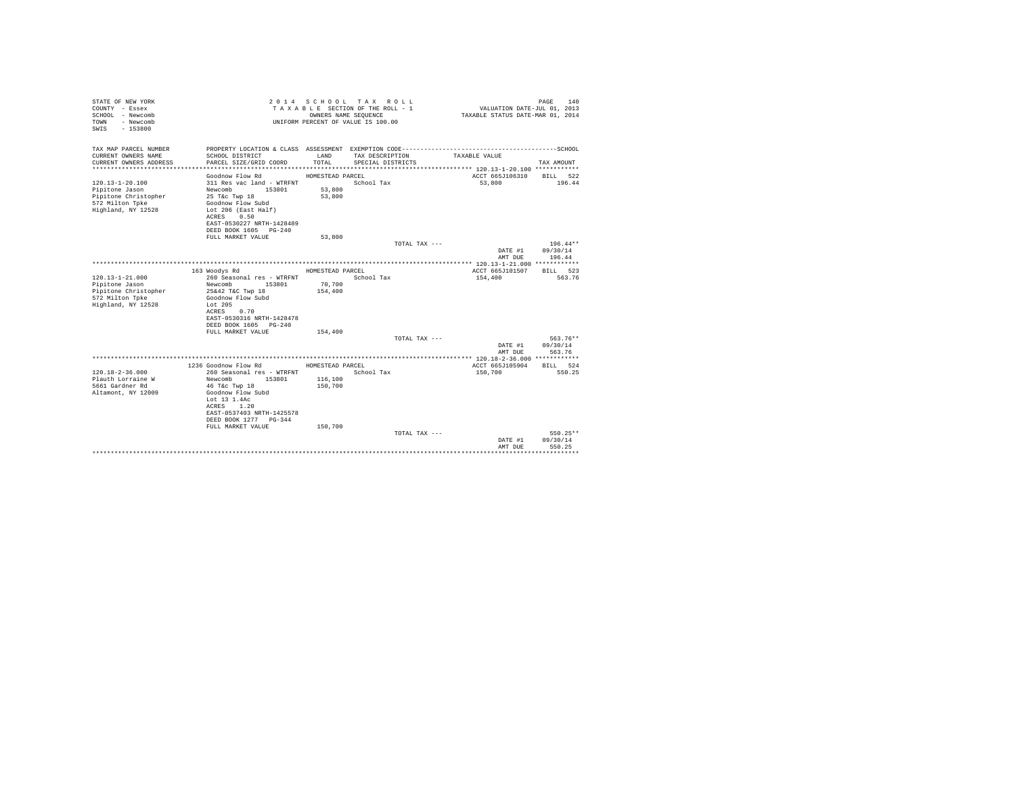| STATE OF NEW YORK<br>COUNTY - Essex<br>SCHOOL - Newcomb<br>- Newcomb<br>TOWN<br>$-153800$<br>SWTS |                                                                    | OWNERS NAME SEQUENCE | 2014 SCHOOL TAX ROLL<br>TAXABLE SECTION OF THE ROLL - 1<br>UNIFORM PERCENT OF VALUE IS 100.00 | VALUATION DATE-JUL 01, 2013<br>TAXABLE STATUS DATE-MAR 01, 2014 | 140<br>PAGE              |
|---------------------------------------------------------------------------------------------------|--------------------------------------------------------------------|----------------------|-----------------------------------------------------------------------------------------------|-----------------------------------------------------------------|--------------------------|
| TAX MAP PARCEL NUMBER                                                                             | PROPERTY LOCATION & CLASS ASSESSMENT EXEMPTION CODE--------------- |                      |                                                                                               |                                                                 | ------------------SCHOOL |
| CURRENT OWNERS NAME<br>CURRENT OWNERS ADDRESS                                                     | SCHOOL DISTRICT<br>PARCEL SIZE/GRID COORD                          | LAND<br>TOTAL.       | TAX DESCRIPTION<br>SPECIAL DISTRICTS                                                          | TAXABLE VALUE                                                   | TAX AMOUNT               |
|                                                                                                   |                                                                    |                      |                                                                                               |                                                                 |                          |
|                                                                                                   | Goodnow Flow Rd                                                    | HOMESTEAD PARCEL     |                                                                                               | ACCT 665J106310                                                 | BILL 522                 |
| $120.13 - 1 - 20.100$<br>Pipitone Jason                                                           | 311 Res vac land - WTRFNT<br>Newcomb<br>153801                     | 53,800               | School Tax                                                                                    | 53,800                                                          | 196.44                   |
| Pipitone Christopher                                                                              | 25 T&c Twp 18                                                      | 53,800               |                                                                                               |                                                                 |                          |
| 572 Milton Tpke                                                                                   | Goodnow Flow Subd                                                  |                      |                                                                                               |                                                                 |                          |
| Highland, NY 12528                                                                                | Lot 206 (East Half)                                                |                      |                                                                                               |                                                                 |                          |
|                                                                                                   | 0.50<br>ACRES<br>EAST-0530227 NRTH-1428489                         |                      |                                                                                               |                                                                 |                          |
|                                                                                                   | DEED BOOK 1605 PG-240                                              |                      |                                                                                               |                                                                 |                          |
|                                                                                                   | FULL MARKET VALUE                                                  | 53,800               |                                                                                               |                                                                 |                          |
|                                                                                                   |                                                                    |                      | TOTAL TAX ---                                                                                 |                                                                 | $196.44**$               |
|                                                                                                   |                                                                    |                      |                                                                                               | DATE #1                                                         | 09/30/14                 |
|                                                                                                   |                                                                    |                      |                                                                                               | AMT DUE                                                         | 196.44                   |
|                                                                                                   | 163 Woodys Rd                                                      | HOMESTEAD PARCEL     |                                                                                               | ACCT 665J101507                                                 | RTLL 523                 |
| $120.13 - 1 - 21.000$                                                                             | 260 Seasonal res - WTRFNT                                          |                      | School Tax                                                                                    | 154,400                                                         | 563.76                   |
| Pipitone Jason                                                                                    | Newcomb<br>153801                                                  | 70,700               |                                                                                               |                                                                 |                          |
| Pipitone Christopher<br>572 Milton Tpke                                                           | 25&42 T&C Twp 18<br>Goodnow Flow Subd                              | 154,400              |                                                                                               |                                                                 |                          |
| Highland, NY 12528                                                                                | Lot $205$                                                          |                      |                                                                                               |                                                                 |                          |
|                                                                                                   | 0.70<br>ACRES                                                      |                      |                                                                                               |                                                                 |                          |
|                                                                                                   | EAST-0530316 NRTH-1428478                                          |                      |                                                                                               |                                                                 |                          |
|                                                                                                   | DEED BOOK 1605 PG-240<br>FULL MARKET VALUE                         | 154,400              |                                                                                               |                                                                 |                          |
|                                                                                                   |                                                                    |                      | TOTAL TAX ---                                                                                 |                                                                 | 563.76**                 |
|                                                                                                   |                                                                    |                      |                                                                                               | DATE #1                                                         | 09/30/14                 |
|                                                                                                   |                                                                    |                      |                                                                                               | AMT DUE                                                         | 563.76                   |
|                                                                                                   | 1236 Goodnow Flow Rd                                               | HOMESTEAD PARCEL     |                                                                                               | ACCT 665J105904                                                 | BILL 524                 |
| $120.18 - 2 - 36.000$                                                                             | 260 Seasonal res - WTRFNT                                          |                      | School Tax                                                                                    | 150,700                                                         | 550.25                   |
| Plauth Lorraine W                                                                                 | Newcomb<br>153801                                                  | 116,100              |                                                                                               |                                                                 |                          |
| 5661 Gardner Rd                                                                                   | 46 T&c Twp 18                                                      | 150,700              |                                                                                               |                                                                 |                          |
| Altamont, NY 12009                                                                                | Goodnow Flow Subd<br>Lot 13 1.4Ac                                  |                      |                                                                                               |                                                                 |                          |
|                                                                                                   | ACRES<br>1.20                                                      |                      |                                                                                               |                                                                 |                          |
|                                                                                                   | EAST-0537403 NRTH-1425578                                          |                      |                                                                                               |                                                                 |                          |
|                                                                                                   | DEED BOOK 1277 PG-344                                              |                      |                                                                                               |                                                                 |                          |
|                                                                                                   | FULL MARKET VALUE                                                  | 150,700              |                                                                                               |                                                                 |                          |
|                                                                                                   |                                                                    |                      | TOTAL TAX ---                                                                                 | DATE #1                                                         | 550.25**<br>09/30/14     |
|                                                                                                   |                                                                    |                      |                                                                                               | AMT DUE                                                         | 550.25                   |
|                                                                                                   |                                                                    |                      |                                                                                               |                                                                 |                          |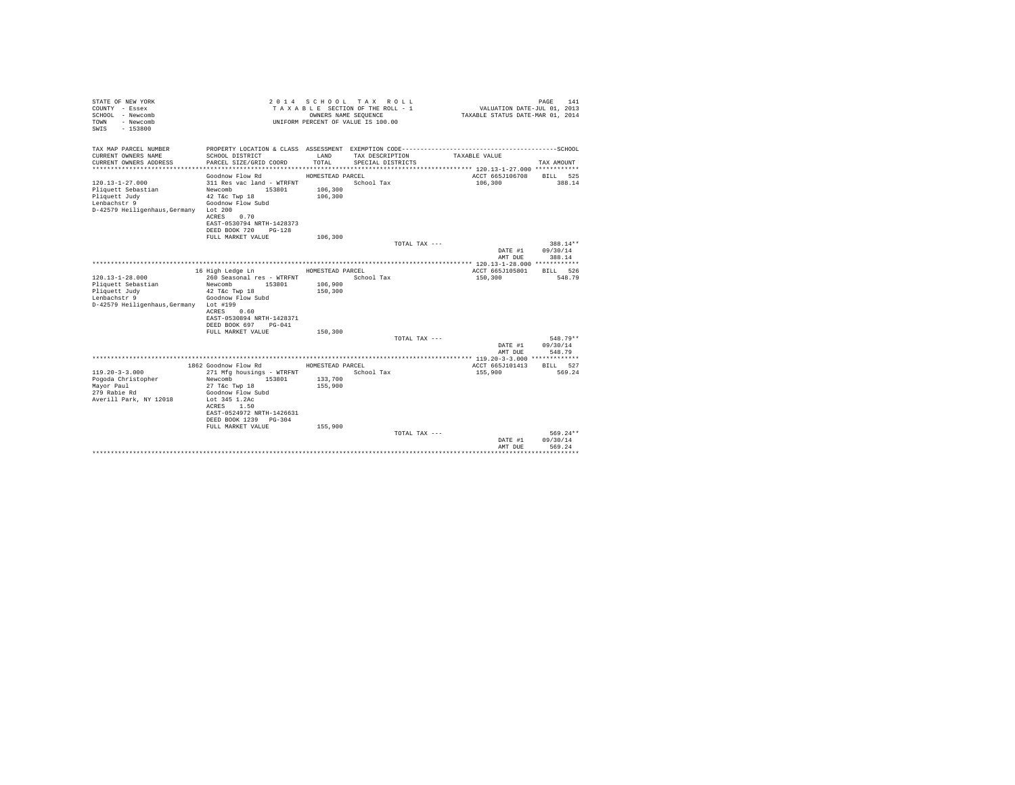| STATE OF NEW YORK<br>COUNTY - Essex<br>SCHOOL - Newcomb<br>- Newcomb<br>TOWN<br>$-153800$<br>SWTS |                                                    | OWNERS NAME SEQUENCE | 2014 SCHOOL TAX ROLL<br>TAXABLE SECTION OF THE ROLL - 1<br>UNIFORM PERCENT OF VALUE IS 100.00 | VALUATION DATE-JUL 01, 2013<br>TAXABLE STATUS DATE-MAR 01, 2014 | 141<br>PAGE          |
|---------------------------------------------------------------------------------------------------|----------------------------------------------------|----------------------|-----------------------------------------------------------------------------------------------|-----------------------------------------------------------------|----------------------|
| TAX MAP PARCEL NUMBER                                                                             |                                                    |                      |                                                                                               |                                                                 |                      |
| CURRENT OWNERS NAME<br>CURRENT OWNERS ADDRESS                                                     | SCHOOL DISTRICT<br>PARCEL SIZE/GRID COORD          | LAND<br>TOTAL.       | TAX DESCRIPTION<br>SPECIAL DISTRICTS                                                          | TAXABLE VALUE                                                   | TAX AMOUNT           |
|                                                                                                   |                                                    |                      |                                                                                               |                                                                 |                      |
|                                                                                                   | Goodnow Flow Rd                                    | HOMESTEAD PARCEL     |                                                                                               | ACCT 665J106708                                                 | BILL 525             |
| $120.13 - 1 - 27.000$                                                                             | 311 Res vac land - WTRFNT                          |                      | School Tax                                                                                    | 106,300                                                         | 388.14               |
| Pliquett Sebastian                                                                                | Newcomb<br>153801                                  | 106,300              |                                                                                               |                                                                 |                      |
| Pliquett Judy<br>Lenbachstr 9                                                                     | 42 T&c Twp 18<br>Goodnow Flow Subd                 | 106,300              |                                                                                               |                                                                 |                      |
| D-42579 Heiligenhaus. Germany Lot 200                                                             |                                                    |                      |                                                                                               |                                                                 |                      |
|                                                                                                   | 0.70<br>ACRES                                      |                      |                                                                                               |                                                                 |                      |
|                                                                                                   | EAST-0530794 NRTH-1428373                          |                      |                                                                                               |                                                                 |                      |
|                                                                                                   | DEED BOOK 720<br>$PG-1.2.8$                        |                      |                                                                                               |                                                                 |                      |
|                                                                                                   | FULL MARKET VALUE                                  | 106,300              |                                                                                               |                                                                 |                      |
|                                                                                                   |                                                    |                      | TOTAL TAX ---                                                                                 |                                                                 | 388.14**             |
|                                                                                                   |                                                    |                      |                                                                                               | DATE #1                                                         | 09/30/14             |
|                                                                                                   |                                                    |                      |                                                                                               | AMT DUE                                                         | 388.14               |
|                                                                                                   |                                                    |                      |                                                                                               |                                                                 | BTLL 526             |
| $120.13 - 1 - 28.000$                                                                             | 16 High Ledge Ln<br>260 Seasonal res - WTRFNT      | HOMESTEAD PARCEL     | School Tax                                                                                    | ACCT 665J105801<br>150,300                                      | 548.79               |
| Pliquett Sebastian                                                                                | Newcomb<br>153801                                  | 106,900              |                                                                                               |                                                                 |                      |
| Pliquett Judy                                                                                     | 42 T&c Twp 18                                      | 150,300              |                                                                                               |                                                                 |                      |
| Lenbachstr 9                                                                                      | Goodnow Flow Subd                                  |                      |                                                                                               |                                                                 |                      |
| D-42579 Heiligenhaus, Germany Lot #199                                                            |                                                    |                      |                                                                                               |                                                                 |                      |
|                                                                                                   | 0.60<br>ACRES                                      |                      |                                                                                               |                                                                 |                      |
|                                                                                                   | EAST-0530894 NRTH-1428371                          |                      |                                                                                               |                                                                 |                      |
|                                                                                                   | DEED BOOK 697<br>$PG-041$                          |                      |                                                                                               |                                                                 |                      |
|                                                                                                   | FULL MARKET VALUE                                  | 150,300              |                                                                                               |                                                                 |                      |
|                                                                                                   |                                                    |                      | TOTAL TAX ---                                                                                 |                                                                 | 548.79**<br>09/30/14 |
|                                                                                                   |                                                    |                      |                                                                                               | DATE #1<br>AMT DUE                                              | 548.79               |
|                                                                                                   |                                                    |                      |                                                                                               |                                                                 |                      |
|                                                                                                   | 1862 Goodnow Flow Rd                               | HOMESTEAD PARCEL     |                                                                                               | ACCT 665J101413                                                 | BILL 527             |
| $119.20 - 3 - 3.000$                                                                              | 271 Mfg housings - WTRFNT                          |                      | School Tax                                                                                    | 155,900                                                         | 569.24               |
| Pogoda Christopher                                                                                | Newcomb<br>153801                                  | 133,700              |                                                                                               |                                                                 |                      |
| Mayor Paul                                                                                        | 27 T&c Twp 18                                      | 155,900              |                                                                                               |                                                                 |                      |
| 279 Rabie Rd                                                                                      | Goodnow Flow Subd                                  |                      |                                                                                               |                                                                 |                      |
| Averill Park, NY 12018                                                                            | Lot 345 1.2Ac                                      |                      |                                                                                               |                                                                 |                      |
|                                                                                                   | ACRES 1.50                                         |                      |                                                                                               |                                                                 |                      |
|                                                                                                   | EAST-0524972 NRTH-1426631<br>DEED BOOK 1239 PG-304 |                      |                                                                                               |                                                                 |                      |
|                                                                                                   | FULL MARKET VALUE                                  | 155,900              |                                                                                               |                                                                 |                      |
|                                                                                                   |                                                    |                      | TOTAL TAX ---                                                                                 |                                                                 | 569.24**             |
|                                                                                                   |                                                    |                      |                                                                                               | DATE #1                                                         | 09/30/14             |
|                                                                                                   |                                                    |                      |                                                                                               | AMT DUE                                                         | 569.24               |
|                                                                                                   |                                                    |                      |                                                                                               |                                                                 | .                    |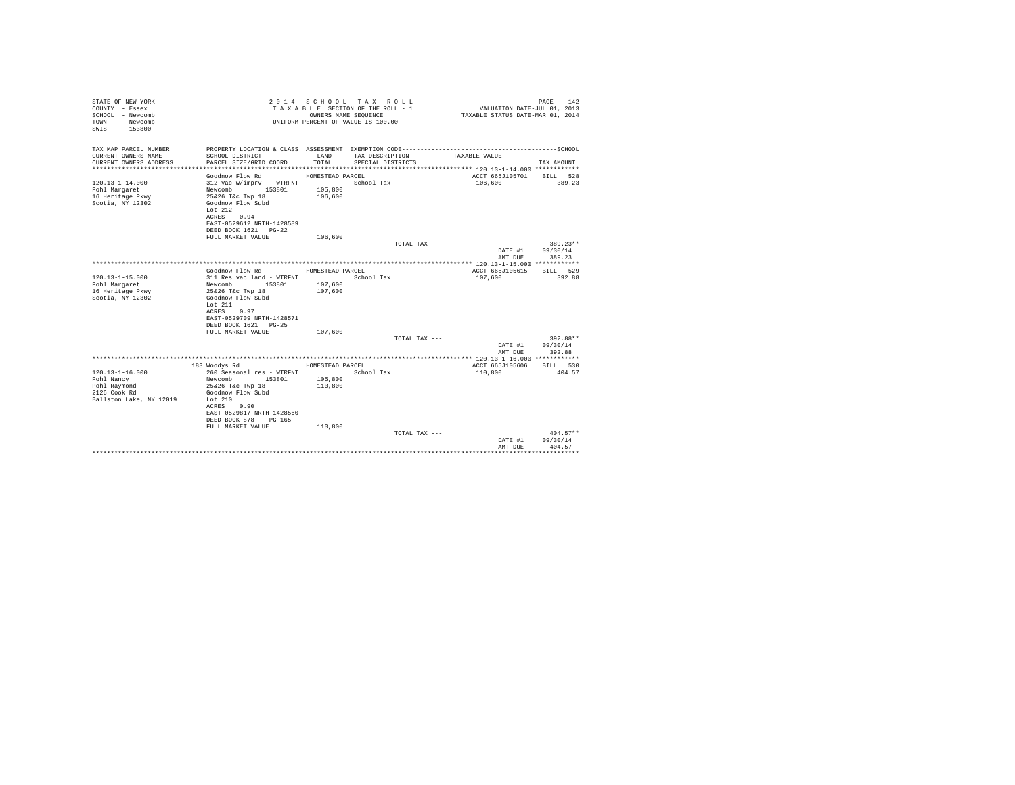| STATE OF NEW YORK<br>COUNTY - Essex<br>SCHOOL - Newcomb<br>- Newcomb<br>TOWN<br>$-153800$<br>SWTS |                                                   | OWNERS NAME SEQUENCE | 2014 SCHOOL TAX ROLL<br>TAXABLE SECTION OF THE ROLL - 1<br>UNIFORM PERCENT OF VALUE IS 100.00 | VALUATION DATE-JUL 01, 2013<br>TAXABLE STATUS DATE-MAR 01, 2014 | 142<br>PAGE            |
|---------------------------------------------------------------------------------------------------|---------------------------------------------------|----------------------|-----------------------------------------------------------------------------------------------|-----------------------------------------------------------------|------------------------|
| TAX MAP PARCEL NUMBER                                                                             |                                                   |                      |                                                                                               |                                                                 |                        |
| CURRENT OWNERS NAME<br>CURRENT OWNERS ADDRESS                                                     | SCHOOL DISTRICT<br>PARCEL SIZE/GRID COORD         | LAND<br>TOTAL.       | TAX DESCRIPTION<br>SPECIAL DISTRICTS                                                          | TAXABLE VALUE                                                   | TAX AMOUNT             |
|                                                                                                   |                                                   |                      |                                                                                               |                                                                 |                        |
|                                                                                                   | Goodnow Flow Rd                                   | HOMESTEAD PARCEL     |                                                                                               | ACCT 665J105701                                                 | BILL 528               |
| $120.13 - 1 - 14.000$                                                                             | 312 Vac w/imprv - WTRFNT<br>153801<br>Newcomb     | 105,800              | School Tax                                                                                    | 106,600                                                         | 389.23                 |
| Pohl Margaret<br>16 Heritage Pkwy                                                                 | 25&26 T&c Twp 18                                  | 106,600              |                                                                                               |                                                                 |                        |
| Scotia, NY 12302                                                                                  | Goodnow Flow Subd                                 |                      |                                                                                               |                                                                 |                        |
|                                                                                                   | Lot $212$                                         |                      |                                                                                               |                                                                 |                        |
|                                                                                                   | ACRES 0.94                                        |                      |                                                                                               |                                                                 |                        |
|                                                                                                   | EAST-0529612 NRTH-1428589<br>DEED BOOK 1621 PG-22 |                      |                                                                                               |                                                                 |                        |
|                                                                                                   | FULL MARKET VALUE                                 | 106,600              |                                                                                               |                                                                 |                        |
|                                                                                                   |                                                   |                      | TOTAL TAX ---                                                                                 |                                                                 | $389.23**$             |
|                                                                                                   |                                                   |                      |                                                                                               | DATE #1                                                         | 09/30/14               |
|                                                                                                   |                                                   |                      |                                                                                               | AMT DUE                                                         | 389.23                 |
|                                                                                                   | Goodnow Flow Rd                                   | HOMESTEAD PARCEL     |                                                                                               | ACCT 665J105615                                                 | BTT.T. 529             |
| $120.13 - 1 - 15.000$                                                                             | 311 Res vac land - WTRFNT                         |                      | School Tax                                                                                    | 107,600                                                         | 392.88                 |
| Pohl Margaret                                                                                     | Newcomb 153801                                    | 107,600              |                                                                                               |                                                                 |                        |
| 16 Heritage Pkwy                                                                                  | 25&26 T&c Twp 18<br>Goodnow Flow Subd             | 107,600              |                                                                                               |                                                                 |                        |
| Scotia, NY 12302                                                                                  | Lot $211$                                         |                      |                                                                                               |                                                                 |                        |
|                                                                                                   | ACRES<br>0.97                                     |                      |                                                                                               |                                                                 |                        |
|                                                                                                   | EAST-0529709 NRTH-1428571                         |                      |                                                                                               |                                                                 |                        |
|                                                                                                   | DEED BOOK 1621 PG-25                              |                      |                                                                                               |                                                                 |                        |
|                                                                                                   | FULL MARKET VALUE                                 | 107,600              | TOTAL TAX ---                                                                                 |                                                                 | 392.88**               |
|                                                                                                   |                                                   |                      |                                                                                               | DATE #1                                                         | 09/30/14               |
|                                                                                                   |                                                   |                      |                                                                                               | AMT DUE                                                         | 392.88                 |
|                                                                                                   |                                                   |                      |                                                                                               |                                                                 |                        |
| $120.13 - 1 - 16.000$                                                                             | 183 Woodys Rd<br>260 Seasonal res - WTRFNT        | HOMESTEAD PARCEL     | School Tax                                                                                    | ACCT 665J105606<br>110,800                                      | BILL 530<br>404.57     |
| Pohl Nancy                                                                                        | Newcomb<br>153801                                 | 105,800              |                                                                                               |                                                                 |                        |
| Pohl Raymond                                                                                      | 25&26 T&c Twp 18                                  | 110,800              |                                                                                               |                                                                 |                        |
| 2126 Cook Rd                                                                                      | Goodnow Flow Subd                                 |                      |                                                                                               |                                                                 |                        |
| Ballston Lake, NY 12019                                                                           | Lot $210$<br>ACRES<br>0.90                        |                      |                                                                                               |                                                                 |                        |
|                                                                                                   | EAST-0529817 NRTH-1428560                         |                      |                                                                                               |                                                                 |                        |
|                                                                                                   | DEED BOOK 878<br>PG-165                           |                      |                                                                                               |                                                                 |                        |
|                                                                                                   | FULL MARKET VALUE                                 | 110,800              |                                                                                               |                                                                 |                        |
|                                                                                                   |                                                   |                      | TOTAL TAX ---                                                                                 | DATE #1                                                         | $404.57**$<br>09/30/14 |
|                                                                                                   |                                                   |                      |                                                                                               | AMT DUE                                                         | 404.57                 |
|                                                                                                   |                                                   |                      |                                                                                               |                                                                 |                        |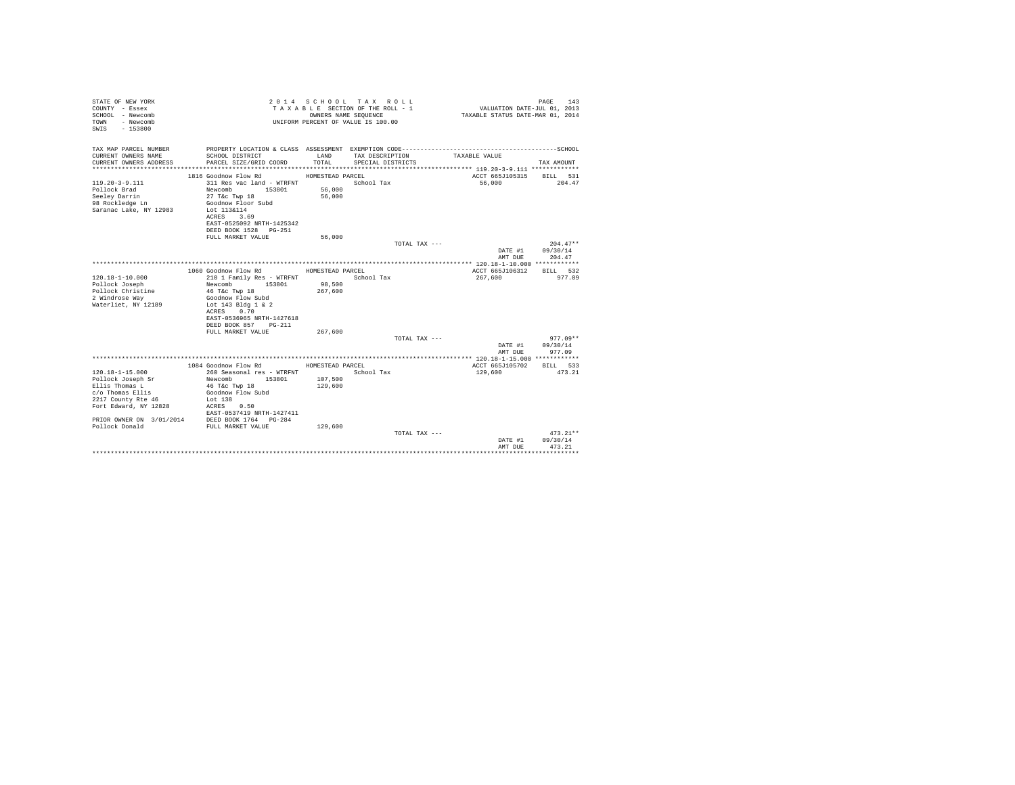| STATE OF NEW YORK<br>COUNTY - Essex<br>SCHOOL - Newcomb<br>- Newcomb<br>TOWN<br>$-153800$<br>SWTS |                                                | OWNERS NAME SEQUENCE | 2014 SCHOOL TAX ROLL<br>TAXABLE SECTION OF THE ROLL - 1<br>UNIFORM PERCENT OF VALUE IS 100.00 | VALUATION DATE-JUL 01, 2013<br>TAXABLE STATUS DATE-MAR 01, 2014 | PAGE<br>143        |
|---------------------------------------------------------------------------------------------------|------------------------------------------------|----------------------|-----------------------------------------------------------------------------------------------|-----------------------------------------------------------------|--------------------|
| TAX MAP PARCEL NUMBER                                                                             |                                                |                      |                                                                                               |                                                                 |                    |
| CURRENT OWNERS NAME<br>CURRENT OWNERS ADDRESS                                                     | SCHOOL DISTRICT<br>PARCEL SIZE/GRID COORD      | LAND<br>TOTAL.       | TAX DESCRIPTION<br>SPECIAL DISTRICTS                                                          | TAXABLE VALUE                                                   | TAX AMOUNT         |
|                                                                                                   |                                                |                      |                                                                                               |                                                                 |                    |
|                                                                                                   | 1816 Goodnow Flow Rd                           | HOMESTEAD PARCEL     |                                                                                               | ACCT 665J105315                                                 | BILL 531           |
| $119.20 - 3 - 9.111$                                                                              | 311 Res vac land - WTRFNT                      |                      | School Tax                                                                                    | 56,000                                                          | 204.47             |
| Pollock Brad                                                                                      | Newcomb 153801                                 | 56,000               |                                                                                               |                                                                 |                    |
| Seelev Darrin<br>98 Rockledge Ln                                                                  | 27 T&c Twp 18<br>Goodnow Floor Subd            | 56,000               |                                                                                               |                                                                 |                    |
| Saranac Lake, NY 12983                                                                            | Lot 113&114                                    |                      |                                                                                               |                                                                 |                    |
|                                                                                                   | ACRES 3.69                                     |                      |                                                                                               |                                                                 |                    |
|                                                                                                   | EAST-0525092 NRTH-1425342                      |                      |                                                                                               |                                                                 |                    |
|                                                                                                   | DEED BOOK 1528 PG-251<br>FULL MARKET VALUE     | 56,000               |                                                                                               |                                                                 |                    |
|                                                                                                   |                                                |                      | TOTAL TAX ---                                                                                 |                                                                 | $204.47**$         |
|                                                                                                   |                                                |                      |                                                                                               | DATE #1                                                         | 09/30/14           |
|                                                                                                   |                                                |                      |                                                                                               | AMT DUE                                                         | 204.47             |
|                                                                                                   | 1060 Goodnow Flow Rd                           | HOMESTEAD PARCEL     |                                                                                               | ACCT 665J106312                                                 | BTLL 532           |
| $120.18 - 1 - 10.000$                                                                             | 210 1 Family Res - WTRFNT                      |                      | School Tax                                                                                    | 267,600                                                         | 977.09             |
| Pollock Joseph                                                                                    | Newcomb<br>153801                              | 98,500               |                                                                                               |                                                                 |                    |
| Pollock Christine                                                                                 | 46 T&c Twp 18                                  | 267.600              |                                                                                               |                                                                 |                    |
| 2 Windrose Way<br>Waterliet, NY 12189                                                             | Goodnow Flow Subd<br>Lot 143 Bldg 1 & 2        |                      |                                                                                               |                                                                 |                    |
|                                                                                                   | 0.70<br>ACRES                                  |                      |                                                                                               |                                                                 |                    |
|                                                                                                   | EAST-0536965 NRTH-1427618                      |                      |                                                                                               |                                                                 |                    |
|                                                                                                   | DEED BOOK 857 PG-211                           |                      |                                                                                               |                                                                 |                    |
|                                                                                                   | FULL MARKET VALUE                              | 267,600              |                                                                                               |                                                                 | $977.09**$         |
|                                                                                                   |                                                |                      | TOTAL TAX ---                                                                                 | DATE #1                                                         | 09/30/14           |
|                                                                                                   |                                                |                      |                                                                                               | AMT DUE                                                         | 977.09             |
|                                                                                                   |                                                |                      |                                                                                               |                                                                 |                    |
|                                                                                                   | 1084 Goodnow Flow Rd                           | HOMESTEAD PARCEL     |                                                                                               | ACCT 665J105702                                                 | BILL 533           |
| $120.18 - 1 - 15.000$<br>Pollock Joseph Sr                                                        | 260 Seasonal res - WTRFNT<br>Newcomb<br>153801 | 107,500              | School Tax                                                                                    | 129,600                                                         | 473.21             |
| Ellis Thomas L                                                                                    | 46 T&c Twp 18                                  | 129,600              |                                                                                               |                                                                 |                    |
| c/o Thomas Ellis                                                                                  | Goodnow Flow Subd                              |                      |                                                                                               |                                                                 |                    |
| 2217 County Rte 46                                                                                | Lot 138                                        |                      |                                                                                               |                                                                 |                    |
| Fort Edward, NY 12828                                                                             | 0.50<br>ACRES<br>EAST-0537419 NRTH-1427411     |                      |                                                                                               |                                                                 |                    |
| PRIOR OWNER ON 3/01/2014 DEED BOOK 1764 PG-284                                                    |                                                |                      |                                                                                               |                                                                 |                    |
| Pollock Donald                                                                                    | FULL MARKET VALUE                              | 129,600              |                                                                                               |                                                                 |                    |
|                                                                                                   |                                                |                      | TOTAL TAX ---                                                                                 |                                                                 | $473.21**$         |
|                                                                                                   |                                                |                      |                                                                                               | DATE #1<br>AMT DUE                                              | 09/30/14<br>473.21 |
|                                                                                                   |                                                |                      |                                                                                               |                                                                 |                    |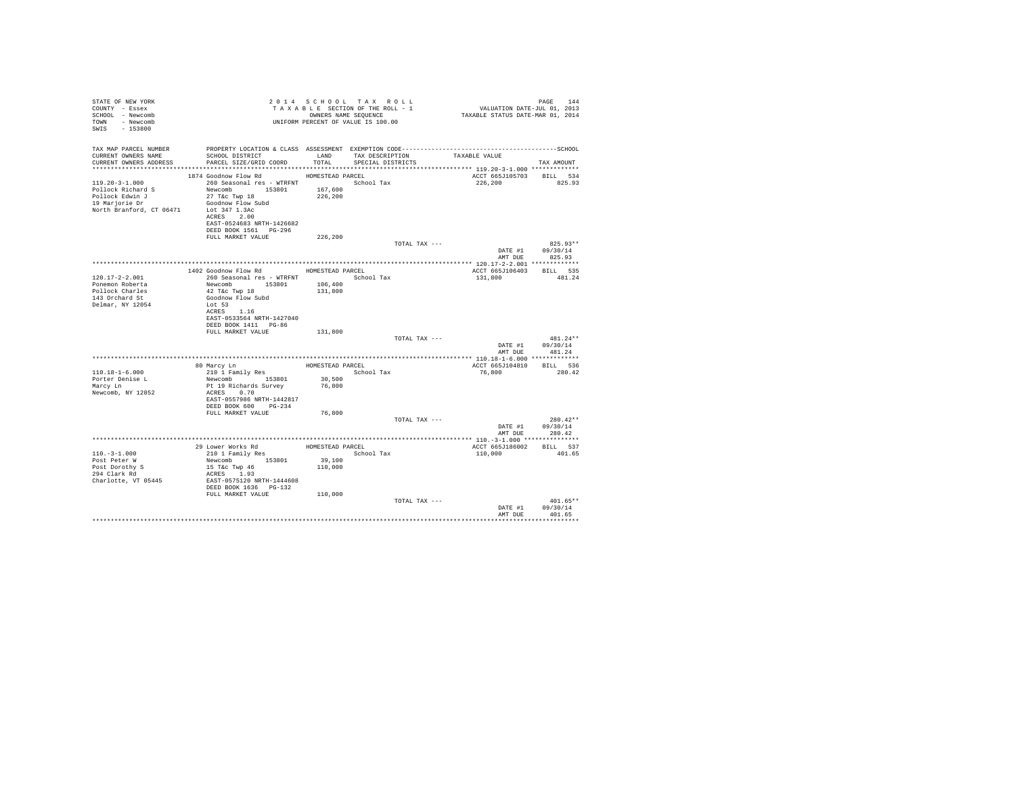| STATE OF NEW YORK<br>COUNTY - Essex<br>SCHOOL - Newcomb<br>TOWN - Newcomb<br>SWIS - 153800           | T A X A B B B B B B SEQUENCE<br>OWNERS NAME SEQUENCE<br>UNIFORM PERCENT OF VALUE IS 100.00                                                                                                                                       |                                      | 2014 SCHOOL TAX ROLL<br>TAXABLE SECTION OF THE ROLL - 1<br>OWNERS NAME SEQUENCE |               | PAGE 144<br>VALUATION DATE-JUL 01, 2013<br>TAXABLE STATUS DATE-MAR 01, 2014 |                                          |
|------------------------------------------------------------------------------------------------------|----------------------------------------------------------------------------------------------------------------------------------------------------------------------------------------------------------------------------------|--------------------------------------|---------------------------------------------------------------------------------|---------------|-----------------------------------------------------------------------------|------------------------------------------|
| TAX MAP PARCEL NUMBER<br>CURRENT OWNERS NAME<br>CURRENT OWNERS ADDRESS                               | SCHOOL DISTRICT<br>PARCEL SIZE/GRID COORD                                                                                                                                                                                        | LAND<br>TOTAL                        | TAX DESCRIPTION<br>SPECIAL DISTRICTS                                            |               | TAXABLE VALUE                                                               | TAX AMOUNT                               |
| 119.20-3-1.000<br>Pollock Richard S<br>Pollock Edwin J<br>19 Marjorie Dr<br>North Branford, CT 06471 | 1874 Goodnow Flow Rd MOMESTEAD PARCEL<br>260 Seasonal res - WTRFNT March School Tax<br>Newcomb 153801<br>27 T&c Twp 18<br>Goodnow Flow Subd<br>Lot 347 1.3Ac<br>ACRES 2.00<br>EAST-0524683 NRTH-1426682<br>DEED BOOK 1561 PG-296 | 167,600<br>226,200                   |                                                                                 |               | ACCT 665J105703 BILL 534<br>226,200 825.93                                  |                                          |
|                                                                                                      | FULL MARKET VALUE                                                                                                                                                                                                                | 226,200                              |                                                                                 | TOTAL TAX --- | AMT DUE                                                                     | $825.93**$<br>DATE #1 09/30/14<br>825.93 |
|                                                                                                      |                                                                                                                                                                                                                                  |                                      |                                                                                 |               |                                                                             |                                          |
| $120.17 - 2 - 2.001$<br>Ponemon Roberta<br>Pollock Charles<br>143 Orchard St<br>Delmar, NY 12054     | 1402 Goodnow Flow Rd MOMESTEAD PARCEL<br>260 Seasonal res - WTRFNT<br>Newcomb 153801<br>42 T&C Twp 18<br>Goodnow Flow Subd<br>Lot 53<br>ACRES 1.16<br>EAST-0533564 NRTH-1427040                                                  | 106,400<br>131,800                   | School Tax                                                                      |               | ACCT 665J106403 BILL 535<br>131,800                                         | 481.24                                   |
|                                                                                                      | DEED BOOK 1411 PG-86<br>FULL MARKET VALUE                                                                                                                                                                                        | 131,800                              |                                                                                 | TOTAL TAX --- | DATE #1<br>AMT DUE                                                          | 481.24**<br>09/30/14<br>481.24           |
|                                                                                                      |                                                                                                                                                                                                                                  |                                      |                                                                                 |               |                                                                             |                                          |
| $110.18 - 1 - 6.000$<br>Porter Denise L<br>Marcy Ln<br>Newcomb, NY 12852                             | 80 Marcy Ln<br>210 1 Family Res<br>Newcomb 153801<br>Pt 19 Richards Survey<br>ACRES 0.70<br>EAST-0557986 NRTH-1442817<br>DEED BOOK 600 PG-234                                                                                    | HOMESTEAD PARCEL<br>30,500<br>76,800 | School Tax                                                                      |               | ACCT 665J104810<br>76,800                                                   | BILL 536<br>280.42                       |
|                                                                                                      | FULL MARKET VALUE                                                                                                                                                                                                                | 76,800                               |                                                                                 | TOTAL TAX --- | AMT DUE                                                                     | $280.42**$<br>DATE #1 09/30/14<br>280.42 |
|                                                                                                      |                                                                                                                                                                                                                                  |                                      |                                                                                 |               |                                                                             |                                          |
| $110. - 3 - 1.000$<br>Post Peter W<br>Post Dorothy S<br>294 Clark Rd<br>Charlotte, VT 05445          | 29 Lower Works Rd<br>210 1 Family Res<br>Newcomb 153801<br>15 T&c Twp 46<br>ACRES 1.93<br>EAST-0575120 NRTH-1444608<br>DEED BOOK 1636 PG-132                                                                                     | 39,100<br>110,000                    | HOMESTEAD PARCEL                                                                | School Tax    | ACCT 665J186002 BILL 537<br>110,000                                         | 401.65                                   |
|                                                                                                      | FULL MARKET VALUE                                                                                                                                                                                                                | 110,000                              |                                                                                 | TOTAL TAX --- | DATE #1<br>AMT DUE                                                          | $401.65**$<br>09/30/14<br>401.65         |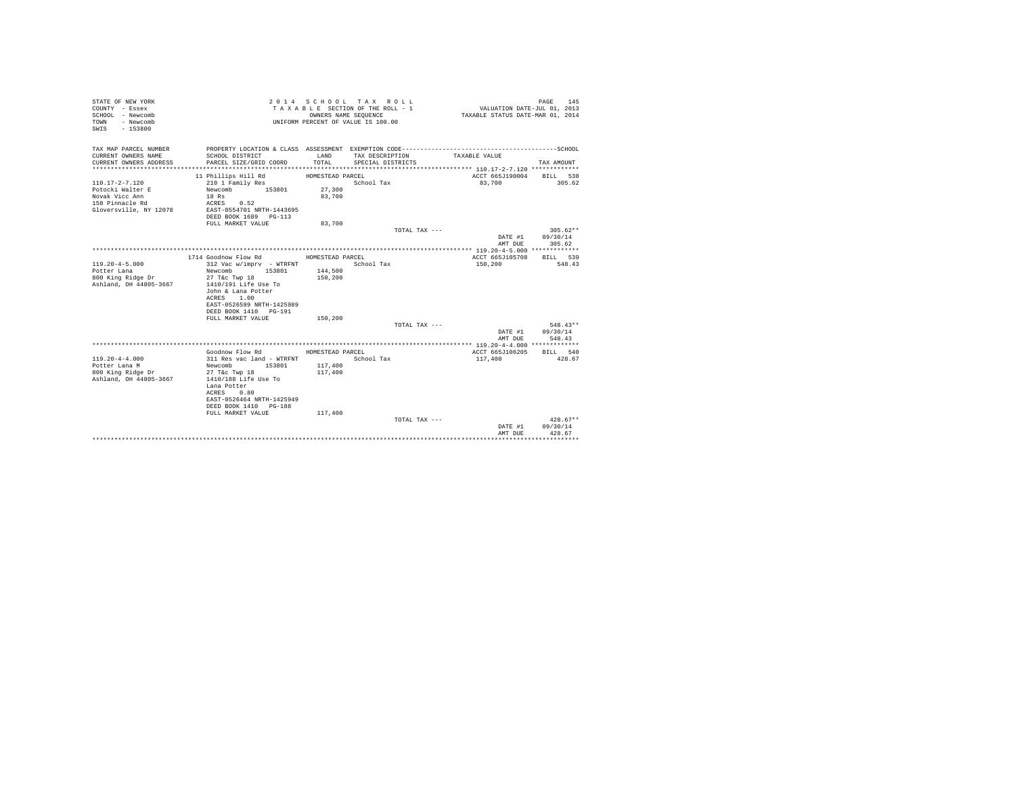| STATE OF NEW YORK<br>COUNTY - Essex<br>SCHOOL - Newcomb<br>- Newcomb<br>TOWN<br>$-153800$<br>SWIS |                                                                                                                                                                                                                                  | OWNERS NAME SEQUENCE                              | 2014 SCHOOL TAX ROLL<br>TAXABLE SECTION OF THE ROLL - 1<br>UNIFORM PERCENT OF VALUE IS 100.00 | VALUATION DATE-JUL 01, 2013<br>TAXABLE STATUS DATE-MAR 01, 2014 | 145<br>PAGE                      |
|---------------------------------------------------------------------------------------------------|----------------------------------------------------------------------------------------------------------------------------------------------------------------------------------------------------------------------------------|---------------------------------------------------|-----------------------------------------------------------------------------------------------|-----------------------------------------------------------------|----------------------------------|
| TAX MAP PARCEL NUMBER<br>CURRENT OWNERS NAME<br>CURRENT OWNERS ADDRESS                            | SCHOOL DISTRICT<br>PARCEL SIZE/GRID COORD                                                                                                                                                                                        | LAND<br>TOTAL                                     | TAX DESCRIPTION<br>SPECIAL DISTRICTS                                                          | TAXABLE VALUE                                                   | TAX AMOUNT                       |
| 110.17-2-7.120<br>Potocki Walter E<br>Novak Vicc Ann<br>158 Pinnacle Rd<br>Gloversville, NY 12078 | 11 Phillips Hill Rd<br>210 1 Family Res<br>Newcomb 153801<br>18 Rs<br>ACRES 0.52<br>EAST-0554701 NRTH-1443695<br>DEED BOOK 1689 PG-113                                                                                           | HOMESTEAD PARCEL<br>27,300<br>83,700              | School Tax                                                                                    | ACCT 665J190004 BILL 538<br>83,700                              | 305.62                           |
|                                                                                                   | FULL MARKET VALUE                                                                                                                                                                                                                | 83,700                                            | TOTAL TAX ---                                                                                 | DATE #1<br>AMT DUE                                              | $305.62**$<br>09/30/14<br>305.62 |
|                                                                                                   |                                                                                                                                                                                                                                  |                                                   |                                                                                               |                                                                 |                                  |
| $119.20 - 4 - 5.000$<br>Potter Lana<br>800 King Ridge Dr<br>Ashland, OH 44805-3667                | 1714 Goodnow Flow Rd<br>312 Vac w/imprv - WTRFNT<br>153801<br>Newcomb<br>27 T&c Twp 18<br>1410/191 Life Use To<br>John & Lana Potter<br>ACRES<br>1.00<br>EAST-0526599 NRTH-1425989<br>DEED BOOK 1410 PG-191<br>FULL MARKET VALUE | HOMESTEAD PARCEL<br>144,500<br>150,200<br>150,200 | School Tax                                                                                    | ACCT 665J105708<br>150,200                                      | BILL 539<br>548.43               |
|                                                                                                   |                                                                                                                                                                                                                                  |                                                   | TOTAL TAX ---                                                                                 |                                                                 | $548.43**$                       |
|                                                                                                   |                                                                                                                                                                                                                                  |                                                   |                                                                                               | DATE #1<br>AMT DUE                                              | 09/30/14<br>548.43               |
| $119.20 - 4 - 4.000$<br>Potter Lana M<br>800 King Ridge Dr<br>Ashland, OH 44805-3667              | Goodnow Flow Rd<br>311 Res vac land - WTRFNT<br>Newcomb 153801<br>27 T&c Twp 18<br>1410/188 Life Use To<br>Lana Potter<br>ACRES 0.80<br>EAST-0526464 NRTH-1425949<br>DEED BOOK 1410 PG-188<br>FULL MARKET VALUE                  | HOMESTEAD PARCEL<br>117,400<br>117,400<br>117,400 | School Tax                                                                                    | ACCT 665J106205<br>117,400                                      | BILL 540<br>428.67               |
|                                                                                                   |                                                                                                                                                                                                                                  |                                                   | TOTAL TAX ---                                                                                 | DATE #1<br>AMT DUE                                              | $428.67**$<br>09/30/14<br>428.67 |
|                                                                                                   |                                                                                                                                                                                                                                  |                                                   |                                                                                               | *****************************                                   |                                  |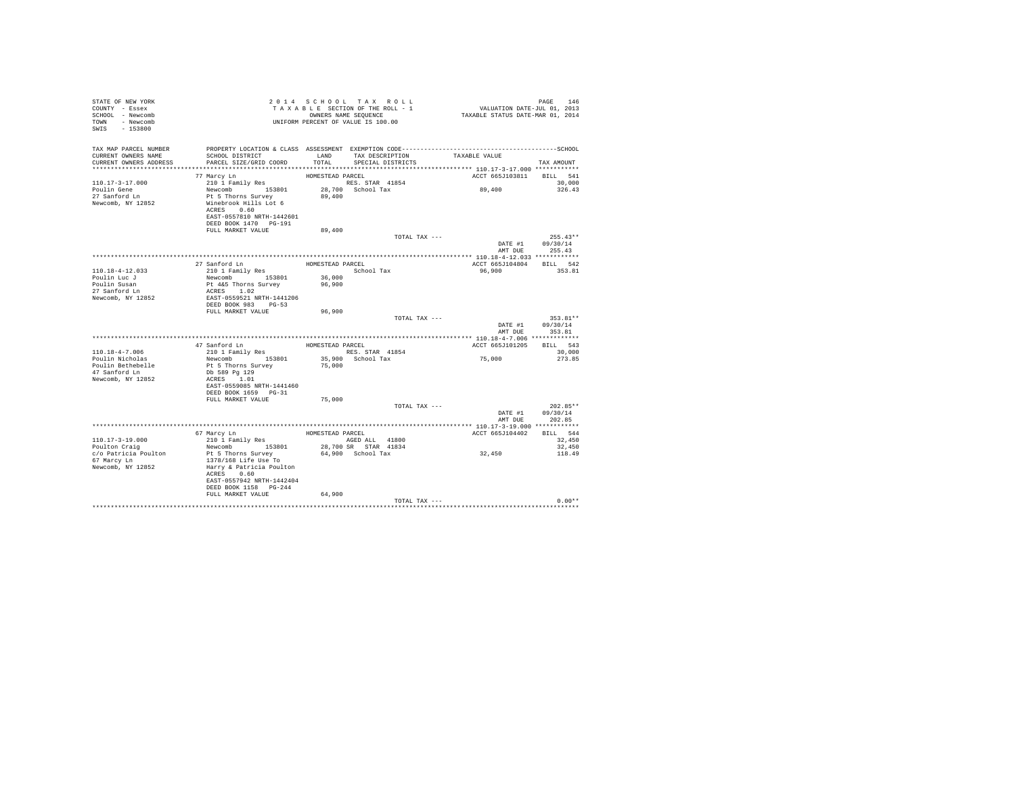| STATE OF NEW YORK<br>COUNTY - Essex<br>SCHOOL - Newcomb<br>TOWN - Newcomb<br>SWIS - 153800 |                                                    |                  | TAXABLE SECTION OF THE ROLL - 1<br>OWNERS NAME SEQUENCE | PAGE 146<br>VALUATION DATE-JUL 01, 2013<br>TAXABLE STATUS DATE-MAR 01, 2014                  |                    |
|--------------------------------------------------------------------------------------------|----------------------------------------------------|------------------|---------------------------------------------------------|----------------------------------------------------------------------------------------------|--------------------|
| TAX MAP PARCEL NUMBER                                                                      |                                                    |                  |                                                         | PROPERTY LOCATION & CLASS ASSESSMENT EXEMPTION CODE-----------------------------------SCHOOL |                    |
| CURRENT OWNERS NAME<br>CURRENT OWNERS ADDRESS                                              | SCHOOL DISTRICT<br>PARCEL SIZE/GRID COORD          | LAND<br>TOTAL    | TAX DESCRIPTION TAXABLE VALUE<br>SPECIAL DISTRICTS      |                                                                                              | TAX AMOUNT         |
|                                                                                            |                                                    |                  |                                                         |                                                                                              |                    |
|                                                                                            | 77 Marcy Ln                                        | HOMESTEAD PARCEL |                                                         | ACCT 665J103811 BILL 541                                                                     |                    |
| $110.17 - 3 - 17.000$                                                                      |                                                    |                  | RES. STAR 41854                                         |                                                                                              | 30,000             |
| Poulin Gene                                                                                |                                                    |                  | 28,700 School Tax                                       | 89,400                                                                                       | 326.43             |
| 27 Sanford Ln                                                                              |                                                    | 89,400           |                                                         |                                                                                              |                    |
| Newcomb, NY 12852                                                                          | ACRES 0.60                                         |                  |                                                         |                                                                                              |                    |
|                                                                                            | EAST-0557810 NRTH-1442601                          |                  |                                                         |                                                                                              |                    |
|                                                                                            | DEED BOOK 1470 PG-191                              |                  |                                                         |                                                                                              |                    |
|                                                                                            | FULL MARKET VALUE                                  | 89,400           |                                                         |                                                                                              |                    |
|                                                                                            |                                                    |                  | TOTAL TAX ---                                           |                                                                                              | $255.43**$         |
|                                                                                            |                                                    |                  |                                                         | DATE #1 09/30/14                                                                             |                    |
|                                                                                            |                                                    |                  |                                                         | AMT DUE                                                                                      | 255.43             |
|                                                                                            | 27 Sanford Ln                                      | HOMESTEAD PARCEL |                                                         | ACCT 665J104804 BILL 542                                                                     |                    |
| $110.18 - 4 - 12.033$                                                                      | 210 1 Family Res                                   |                  | School Tax                                              | 96,900                                                                                       | 353.81             |
| Poulin Luc J                                                                               | Newcomb 153801                                     | 36,000           |                                                         |                                                                                              |                    |
| Poulin Susan                                                                               | Pt 4&5 Thorns Survey<br>ACRES 1.02                 | 96,900           |                                                         |                                                                                              |                    |
| 27 Sanford Ln                                                                              |                                                    |                  |                                                         |                                                                                              |                    |
| Newcomb, NY 12852                                                                          | EAST-0559521 NRTH-1441206<br>DEED BOOK 983 PG-53   |                  |                                                         |                                                                                              |                    |
|                                                                                            | FULL MARKET VALUE                                  | 96,900           |                                                         |                                                                                              |                    |
|                                                                                            |                                                    |                  | TOTAL TAX ---                                           |                                                                                              | 353.81**           |
|                                                                                            |                                                    |                  |                                                         |                                                                                              | DATE #1 09/30/14   |
|                                                                                            |                                                    |                  |                                                         |                                                                                              | AMT DUE 353.81     |
|                                                                                            |                                                    |                  |                                                         |                                                                                              |                    |
| 110.18-4-7.006                                                                             | 47 Sanford Ln<br>210 1 Family Res                  | HOMESTEAD PARCEL | RES. STAR 41854                                         | ACCT 665J101205                                                                              | BILL 543<br>30,000 |
| Poulin Nicholas                                                                            | Newcomb 153801                                     |                  | 35,900 School Tax                                       | 75,000                                                                                       | 273.85             |
| Poulin Bethebelle                                                                          | Pt 5 Thorns Survey                                 | 75,000           |                                                         |                                                                                              |                    |
| 47 Sanford Ln                                                                              | Db 589 Pg 129                                      |                  |                                                         |                                                                                              |                    |
| Newcomb, NY 12852                                                                          | ACRES 1.01                                         |                  |                                                         |                                                                                              |                    |
|                                                                                            | EAST-0559085 NRTH-1441460<br>DEED BOOK 1659 PG-31  |                  |                                                         |                                                                                              |                    |
|                                                                                            | FULL MARKET VALUE                                  | 75,000           |                                                         |                                                                                              |                    |
|                                                                                            |                                                    |                  | TOTAL TAX ---                                           |                                                                                              | $202.85**$         |
|                                                                                            |                                                    |                  |                                                         | DATE #1                                                                                      | 09/30/14           |
|                                                                                            |                                                    |                  |                                                         | AMT DUE                                                                                      | 202.85             |
|                                                                                            |                                                    |                  |                                                         |                                                                                              |                    |
| $110.17 - 3 - 19.000$                                                                      | 67 Marcy Ln<br>210 1 Family Res                    |                  | HOMESTEAD PARCEL<br>AGED ALL 41800                      | ACCT 665J104402                                                                              | BILL 544<br>32,450 |
| Poulton Craig                                                                              | Newcomb 153801                                     |                  | 28,700 SR STAR 41834                                    |                                                                                              | 32,450             |
| c/o Patricia Poulton                                                                       | Pt 5 Thorns Survey                                 |                  | 64,900 School Tax                                       | $3\,2$ , $4\,5\,0$                                                                           | 118.49             |
| 67 Marcy Ln                                                                                | 1378/168 Life Use To                               |                  |                                                         |                                                                                              |                    |
| Newcomb, NY 12852                                                                          | Harry & Patricia Poulton                           |                  |                                                         |                                                                                              |                    |
|                                                                                            | ACRES 0.60                                         |                  |                                                         |                                                                                              |                    |
|                                                                                            | EAST-0557942 NRTH-1442404<br>DEED BOOK 1158 PG-244 |                  |                                                         |                                                                                              |                    |
|                                                                                            | FULL MARKET VALUE                                  | 64,900           |                                                         |                                                                                              |                    |
|                                                                                            |                                                    |                  | TOTAL TAX ---                                           |                                                                                              | $0.00**$           |
|                                                                                            |                                                    |                  |                                                         |                                                                                              |                    |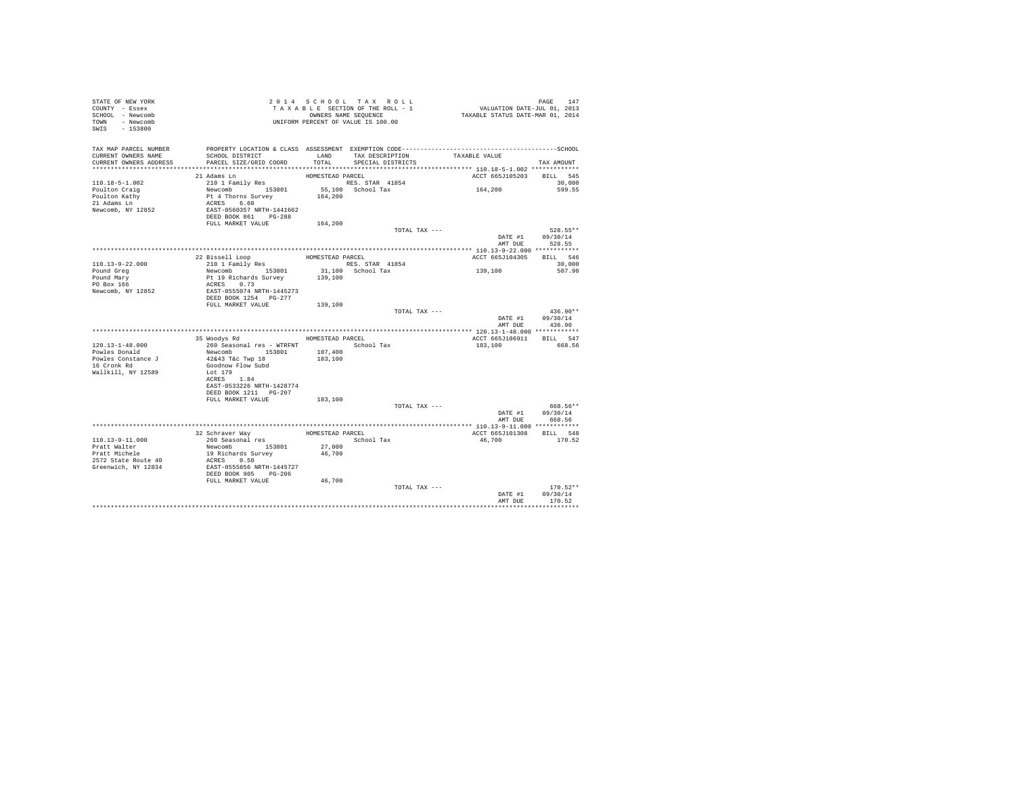| STATE OF NEW YORK<br>COUNTY - Essex<br>SCHOOL - Newcomb<br>TOWN - Newcomb<br>SWIS - 153800 | T A X A B L E SECTION OF THE STRAIN SEQUENCE<br>OWNERS NAME SEQUENCE<br>UNIFORM PERCENT OF VALUE IS 100.00 |                  | TAXABLE SECTION OF THE ROLL - 1<br>OWNERS NAME SEQUENCE | PAGE 147<br>VALUATION DATE-JUL 01, 2013<br>TAXABLE STATUS DATE-MAR 01, 2014                  |                            |
|--------------------------------------------------------------------------------------------|------------------------------------------------------------------------------------------------------------|------------------|---------------------------------------------------------|----------------------------------------------------------------------------------------------|----------------------------|
| TAX MAP PARCEL NUMBER                                                                      |                                                                                                            |                  |                                                         | PROPERTY LOCATION & CLASS ASSESSMENT EXEMPTION CODE-----------------------------------SCHOOL |                            |
| CURRENT OWNERS NAME<br>CURRENT OWNERS ADDRESS                                              | SCHOOL DISTRICT<br>PARCEL SIZE/GRID COORD                                                                  | LAND<br>TOTAL.   | SPECIAL DISTRICTS                                       | TAX DESCRIPTION TAXABLE VALUE                                                                | TAX AMOUNT                 |
|                                                                                            |                                                                                                            |                  |                                                         |                                                                                              |                            |
|                                                                                            | 21 Adams Ln                                                                                                | HOMESTEAD PARCEL |                                                         | ACCT 665J105203 BILL 545                                                                     |                            |
| $110.18 - 5 - 1.002$                                                                       | 210 1 Family Res                                                                                           |                  | RES. STAR 41854                                         |                                                                                              | 30,000                     |
| Poulton Craig                                                                              | Newcomb 153801                                                                                             |                  | $55,100$ School Tax                                     | 164,200                                                                                      | 599.55                     |
| Poulton Kathy                                                                              | Pt 4 Thorns Survey<br>ACRES 6.60                                                                           | 164,200          |                                                         |                                                                                              |                            |
| 21 Adams Ln                                                                                |                                                                                                            |                  |                                                         |                                                                                              |                            |
| Newcomb, NY 12852                                                                          | EAST-0560357 NRTH-1441662<br>DEED BOOK 861 PG-288                                                          |                  |                                                         |                                                                                              |                            |
|                                                                                            | FULL MARKET VALUE                                                                                          | 164,200          |                                                         |                                                                                              |                            |
|                                                                                            |                                                                                                            |                  | TOTAL TAX ---                                           |                                                                                              | 528.55**                   |
|                                                                                            |                                                                                                            |                  |                                                         |                                                                                              | DATE #1 09/30/14           |
|                                                                                            |                                                                                                            |                  |                                                         |                                                                                              | AMT DUE 528.55             |
|                                                                                            |                                                                                                            |                  |                                                         |                                                                                              |                            |
|                                                                                            | 22 Bissell Loop                                                                                            |                  | HOMESTEAD PARCEL                                        | ACCT 665J104305 BILL 546                                                                     |                            |
| 110.13-9-22.000                                                                            | % Bissell Loop<br>210 1 Family Res<br>Newcomb 153801<br>Pt 19 Richards Survey                              |                  | RES. STAR 41854                                         |                                                                                              | 30,000                     |
| Pound Greg<br>Pound Mary                                                                   |                                                                                                            | 139,100          | 31,100 School Tax                                       | 139,100                                                                                      | 507.90                     |
| PO Box 166                                                                                 | ACRES 0.73                                                                                                 |                  |                                                         |                                                                                              |                            |
| Newcomb, NY 12852                                                                          | EAST-0555074 NRTH-1445273                                                                                  |                  |                                                         |                                                                                              |                            |
|                                                                                            | DEED BOOK 1254 PG-277                                                                                      |                  |                                                         |                                                                                              |                            |
|                                                                                            | FULL MARKET VALUE 139,100                                                                                  |                  |                                                         |                                                                                              |                            |
|                                                                                            |                                                                                                            |                  |                                                         | TOTAL TAX ---                                                                                | $436.90**$                 |
|                                                                                            |                                                                                                            |                  |                                                         |                                                                                              | DATE #1 09/30/14<br>436.90 |
|                                                                                            |                                                                                                            |                  |                                                         | AMT DUE                                                                                      |                            |
|                                                                                            |                                                                                                            | HOMESTEAD PARCEL |                                                         | ACCT 665J106911 BILL 547                                                                     |                            |
|                                                                                            |                                                                                                            |                  |                                                         | 183,100                                                                                      | 668.56                     |
|                                                                                            |                                                                                                            |                  |                                                         |                                                                                              |                            |
|                                                                                            |                                                                                                            |                  |                                                         |                                                                                              |                            |
| 16 Cronk Rd                                                                                | Goodnow Flow Subd                                                                                          |                  |                                                         |                                                                                              |                            |
| Wallkill, NY 12589                                                                         | Lot 179<br>ACRES 1.84                                                                                      |                  |                                                         |                                                                                              |                            |
|                                                                                            | EAST-0533226 NRTH-1428774                                                                                  |                  |                                                         |                                                                                              |                            |
|                                                                                            | DEED BOOK 1211    PG-207                                                                                   |                  |                                                         |                                                                                              |                            |
|                                                                                            | FULL MARKET VALUE                                                                                          | 183,100          |                                                         |                                                                                              |                            |
|                                                                                            |                                                                                                            |                  | TOTAL TAX ---                                           |                                                                                              | 668.56**                   |
|                                                                                            |                                                                                                            |                  |                                                         |                                                                                              | DATE #1 09/30/14           |
|                                                                                            |                                                                                                            |                  |                                                         |                                                                                              | AMT DUE 668.56             |
|                                                                                            | 32 Schraver Way                                                                                            |                  | HOMESTEAD PARCEL                                        | ACCT 665J101308 BILL 548                                                                     |                            |
| 110.13-9-11.000                                                                            | 260 Seasonal res<br>Newcomb 153801                                                                         |                  | School Tax                                              | 46.700                                                                                       | 170.52                     |
| Pratt Walter<br>Pratt Michele                                                              |                                                                                                            |                  |                                                         |                                                                                              |                            |
|                                                                                            |                                                                                                            | 27,000<br>46,700 |                                                         |                                                                                              |                            |
| 2572 State Route 40                                                                        | 19 Richards Survey<br>ACRES 0.50<br>EAST-0555856 NRTH-1445727                                              |                  |                                                         |                                                                                              |                            |
| Greenwich, NY 12834                                                                        |                                                                                                            |                  |                                                         |                                                                                              |                            |
|                                                                                            | DEED BOOK 905 PG-206<br>FULL MARKET VALUE                                                                  |                  |                                                         |                                                                                              |                            |
|                                                                                            |                                                                                                            | 46,700           | TOTAL TAX ---                                           |                                                                                              | $170.52**$                 |
|                                                                                            |                                                                                                            |                  |                                                         | DATE #1                                                                                      | 09/30/14                   |
|                                                                                            |                                                                                                            |                  |                                                         | AMT DUE                                                                                      | 170.52                     |
|                                                                                            |                                                                                                            |                  |                                                         |                                                                                              |                            |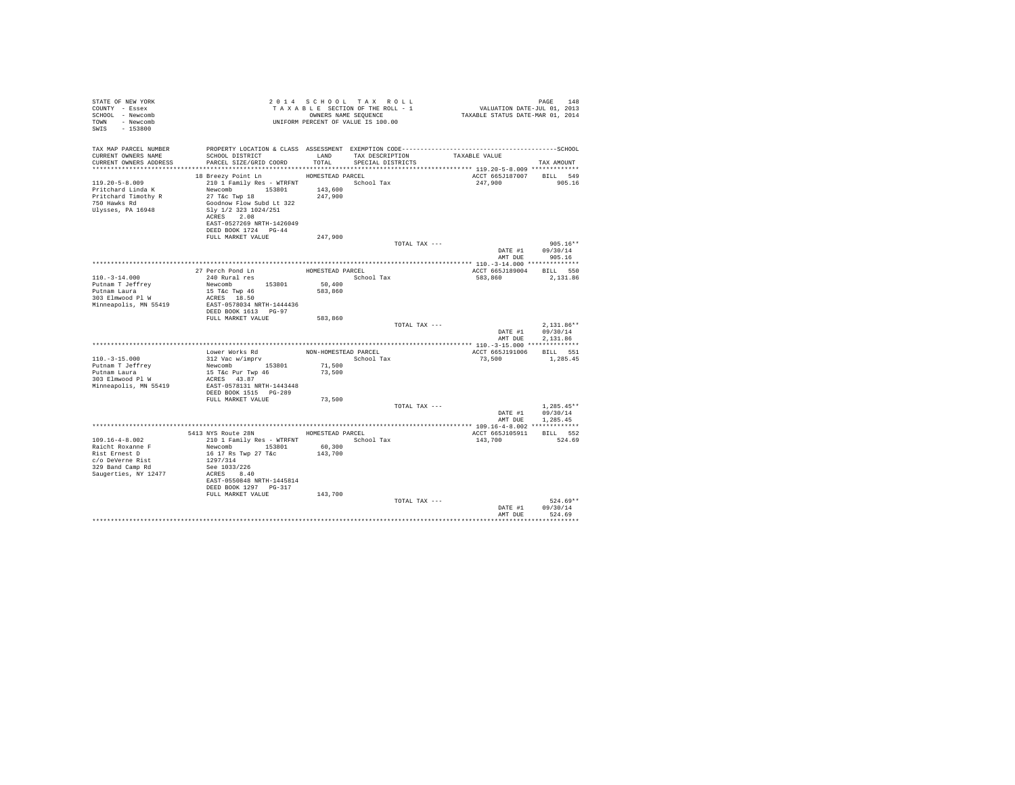| STATE OF NEW YORK<br>COUNTY - Essex<br>SCHOOL - Newcomb<br>TOWN - Newcomb<br>SWIS - 153800                          |                                                                                                                                                                                                                      |                                          | 2014 SCHOOL TAX ROLL<br>TAXABLE SECTION OF THE ROLL - 1<br>OWNERS NAME SEQUENCE<br>UNIFORM PERCENT OF VALUE IS 100.00 |               | PAGE 148<br>VALUATION DATE-JUL 01, 2013<br>TAXABLE STATUS DATE-MAR 01, 2014  |                                      |
|---------------------------------------------------------------------------------------------------------------------|----------------------------------------------------------------------------------------------------------------------------------------------------------------------------------------------------------------------|------------------------------------------|-----------------------------------------------------------------------------------------------------------------------|---------------|------------------------------------------------------------------------------|--------------------------------------|
| TAX MAP PARCEL NUMBER<br>CURRENT OWNERS NAME<br>CURRENT OWNERS ADDRESS                                              | SCHOOL DISTRICT<br>PARCEL SIZE/GRID COORD<br>*****************************                                                                                                                                           | LAND<br>TOTAL<br>********************    | TAX DESCRIPTION<br>SPECIAL DISTRICTS                                                                                  |               | TAXABLE VALUE<br>****************************** 119.20-5-8.009 ************* | TAX AMOUNT                           |
| 119.20-5-8.009<br>Pritchard Linda K<br>Pritchard Timothy R<br>750 Hawks Rd<br>Ulysses, PA 16948                     | 18 Breezy Point Ln<br>210 1 Family Res - WTRFNT School Tax<br>Newcomb 153801<br>27 T&c Twp 18<br>Goodnow Flow Subd Lt 322<br>Sly 1/2 323 1024/251<br>ACRES 2.08<br>EAST-0527269 NRTH-1426049<br>DEED BOOK 1724 PG-44 | HOMESTEAD PARCEL<br>143,600<br>247,900   |                                                                                                                       |               | ACCT 665J187007<br>247,900                                                   | BILL 549<br>905.16                   |
|                                                                                                                     | FULL MARKET VALUE                                                                                                                                                                                                    | 247,900                                  |                                                                                                                       | TOTAL TAX --- | DATE #1                                                                      | $905.16**$<br>09/30/14               |
|                                                                                                                     |                                                                                                                                                                                                                      |                                          |                                                                                                                       |               | AMT DUE                                                                      | 905.16                               |
| $110.-3-14.000$<br>Putnam T Jeffrey<br>Putnam Laura<br>303 Elmwood Pl W<br>Minneapolis, MN 55419                    | 27 Perch Pond Ln<br>240 Rural res<br>Newcomb 153801<br>15 T&c Twp 46<br>ACRES 18.50<br>EAST-0578034 NRTH-1444436<br>DEED BOOK 1613 PG-97                                                                             | HOMESTEAD PARCEL<br>50,400<br>583,860    | School Tax                                                                                                            |               | ACCT 665J189004 BILL 550<br>583,860                                          | 2,131.86                             |
|                                                                                                                     | FULL MARKET VALUE                                                                                                                                                                                                    | 583,860                                  |                                                                                                                       | TOTAL TAX --- | DATE #1<br>AMT DUE                                                           | $2.131.86**$<br>09/30/14<br>2.131.86 |
| $110.-3-15.000$<br>Putnam T Jeffrey<br>Putnam Laura<br>303 Elmwood Pl W<br>Minneapolis, MN 55419                    | Lower Works Rd<br>312 Vac w/imprv<br>Newcomb 153801<br>15 T&c Pur Twp 46<br>ACRES 43.87<br>EAST-0578131 NRTH-1443448<br>DEED BOOK 1515 PG-289                                                                        | NON-HOMESTEAD PARCEL<br>71,500<br>73,500 | School Tax                                                                                                            |               | ACCT 665J191006 BILL 551<br>73,500                                           | 1,285.45                             |
|                                                                                                                     | FULL MARKET VALUE                                                                                                                                                                                                    | 73,500                                   |                                                                                                                       | TOTAL TAX --- | DATE #1<br>AMT DUE                                                           | $1.285.45**$<br>09/30/14<br>1,285.45 |
|                                                                                                                     |                                                                                                                                                                                                                      |                                          |                                                                                                                       |               |                                                                              |                                      |
| 109.16-4-8.002<br>Raicht Roxanne F<br>Rist Ernest D<br>c/o DeVerne Rist<br>329 Band Camp Rd<br>Saugerties, NY 12477 | 5413 NYS Route 28N HOMESTEAD PARCEL<br>210 1 Family Res - WTRFNT<br>Newcomb 153801<br>16 17 Rs Twp 27 T&c<br>1297/314<br>See 1033/226<br>ACRES 8.40<br>EAST-0550848 NRTH-1445814<br>DEED BOOK 1297 PG-317            | 60,300<br>143,700                        | School Tax                                                                                                            |               | ACCT 665J105911<br>143,700                                                   | BILL 552<br>524.69                   |
|                                                                                                                     | FULL MARKET VALUE                                                                                                                                                                                                    | 143,700                                  |                                                                                                                       | TOTAL TAX --- | DATE #1<br>AMT DUE                                                           | $524.69**$<br>09/30/14<br>524.69     |
|                                                                                                                     |                                                                                                                                                                                                                      |                                          |                                                                                                                       |               |                                                                              | **********                           |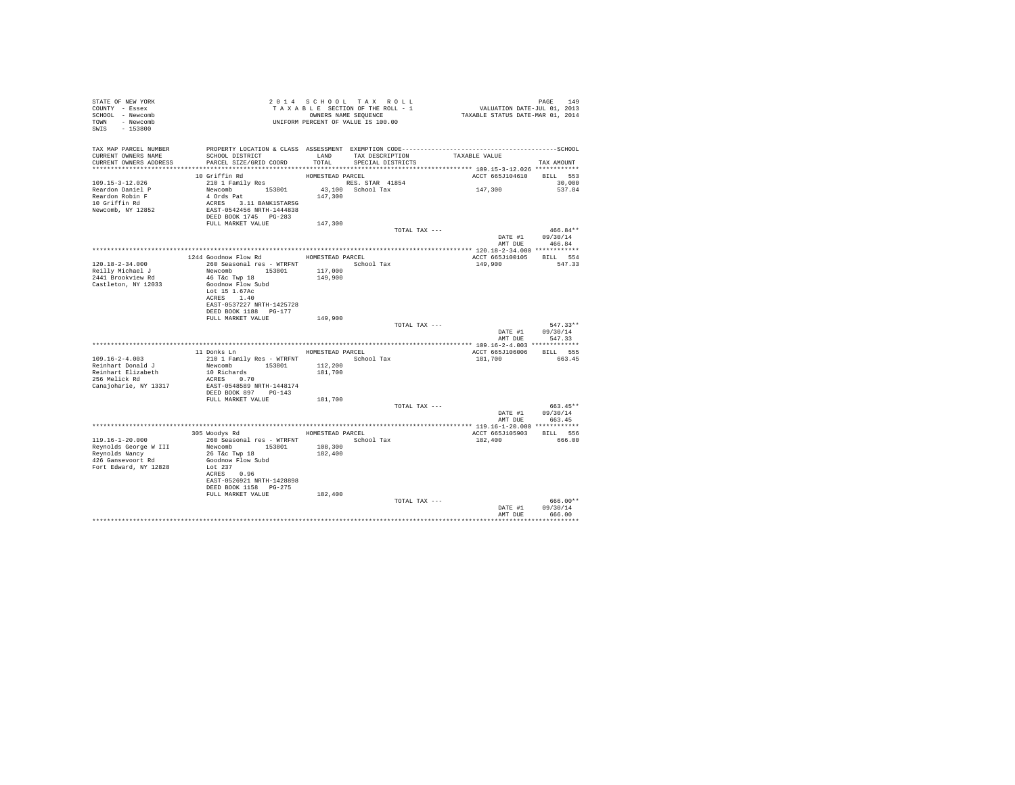| STATE OF NEW YORK<br>COUNTY - Essex<br>SCHOOL - Newcomb<br>TOWN - Newcomb<br>SWIS - 153800                | T A X A B B B B B SEQUENCE<br>OWNERS NAME SEQUENCE<br>UNIFORM PERCENT OF VALUE IS 100.00                                                                                                                  |                                        | 2014 SCHOOL TAX ROLL<br>TAXABLE SECTION OF THE ROLL - 1<br>OWNERS NAME SEQUENCE |               | PAGE 149<br>VALUATION DATE-JUL 01, 2013<br>TAXABLE STATUS DATE-MAR 01, 2014 |                                                |
|-----------------------------------------------------------------------------------------------------------|-----------------------------------------------------------------------------------------------------------------------------------------------------------------------------------------------------------|----------------------------------------|---------------------------------------------------------------------------------|---------------|-----------------------------------------------------------------------------|------------------------------------------------|
| TAX MAP PARCEL NUMBER<br>CURRENT OWNERS NAME<br>CURRENT OWNERS ADDRESS                                    | SCHOOL DISTRICT<br>PARCEL SIZE/GRID COORD                                                                                                                                                                 | LAND<br>TOTAL                          | TAX DESCRIPTION<br>SPECIAL DISTRICTS                                            |               | TAXABLE VALUE                                                               | TAX AMOUNT                                     |
| 109.15-3-12.026<br>Reardon Daniel P<br>Reardon Robin F<br>10 Griffin Rd<br>Newcomb, NY 12852              | 10 Griffin Rd<br>210 1 Family Res<br>Newcomb 153801<br>4 Ords Pat<br>ACRES 3.11 BANK1STARSG<br>EAST-0542456 NRTH-1444838<br>DEED BOOK 1745 PG-283                                                         | HOMESTEAD PARCEL<br>147,300            | RES. STAR 41854<br>43,100 School Tax                                            |               | ACCT 665J104610<br>147,300                                                  | BILL 553<br>30,000<br>537.84                   |
|                                                                                                           | FULL MARKET VALUE                                                                                                                                                                                         | 147,300                                |                                                                                 | TOTAL TAX --- | DATE #1 09/30/14                                                            | $466.84**$                                     |
| $120.18 - 2 - 34.000$<br>Reilly Michael J<br>2441 Brookview Rd<br>Castleton, NY 12033                     | 1244 Goodnow Flow Rd HOMESTEAD PARCEL<br>260 Seasonal res - WTRFNT <a></a> School Tax<br>Newcomb 153801<br>46 T&c Twp 18<br>Goodnow Flow Subd<br>Lot 15 1.67Ac<br>ACRES 1.40<br>EAST-0537227 NRTH-1425728 | 117,000<br>149,900                     |                                                                                 |               | ACCT 665J100105<br>149,900                                                  | AMT DUE 466.84<br>BILL 554<br>547.33           |
|                                                                                                           | DEED BOOK 1188 PG-177<br>FULL MARKET VALUE                                                                                                                                                                | 149,900                                |                                                                                 | TOTAL TAX --- | DATE #1<br>AMT DUE                                                          | 547.33**<br>09/30/14<br>547.33                 |
| $109.16 - 2 - 4.003$<br>Reinhart Donald J<br>Reinhart Elizabeth<br>256 Melick Rd<br>Canajoharie, NY 13317 | 11 Donks Ln<br>210 1 Family Res - WTRFNT<br>Newcomb 153801<br>10 Richards<br>ACRES 0.70<br>EAST-0548589 NRTH-1448174<br>DEED BOOK 897 PG-143                                                              | HOMESTEAD PARCEL<br>112,200<br>181,700 | School Tax                                                                      |               | ACCT 665J106006<br>181,700                                                  | BILL 555<br>663.45                             |
|                                                                                                           | FULL MARKET VALUE                                                                                                                                                                                         | 181,700                                |                                                                                 | TOTAL TAX --- | DATE #1 09/30/14                                                            | 663.45**<br>AMT DUE 663.45                     |
| 119.16-1-20.000<br>Reynolds George W III<br>Revnolds Nancy<br>426 Gansevoort Rd<br>Fort Edward, NY 12828  | 305 Woodys Rd<br>260 Seasonal res - WTRFNT<br>Newcomb 153801<br>26 T&C Twp 18<br>Goodnow Flow Subd<br>Lot 237<br>ACRES 0.96<br>EAST-0526921 NRTH-1428898<br>DEED BOOK 1158 PG-275                         | 108,300<br>182,400                     | HOMESTEAD PARCEL<br>School Tax                                                  |               | ACCT 665J105903 BILL 556<br>182,400                                         | 666.00                                         |
|                                                                                                           | FULL MARKET VALUE                                                                                                                                                                                         | 182,400                                |                                                                                 | TOTAL TAX --- | DATE #1<br>AMT DUE                                                          | $666.00**$<br>09/30/14<br>666.00<br>********** |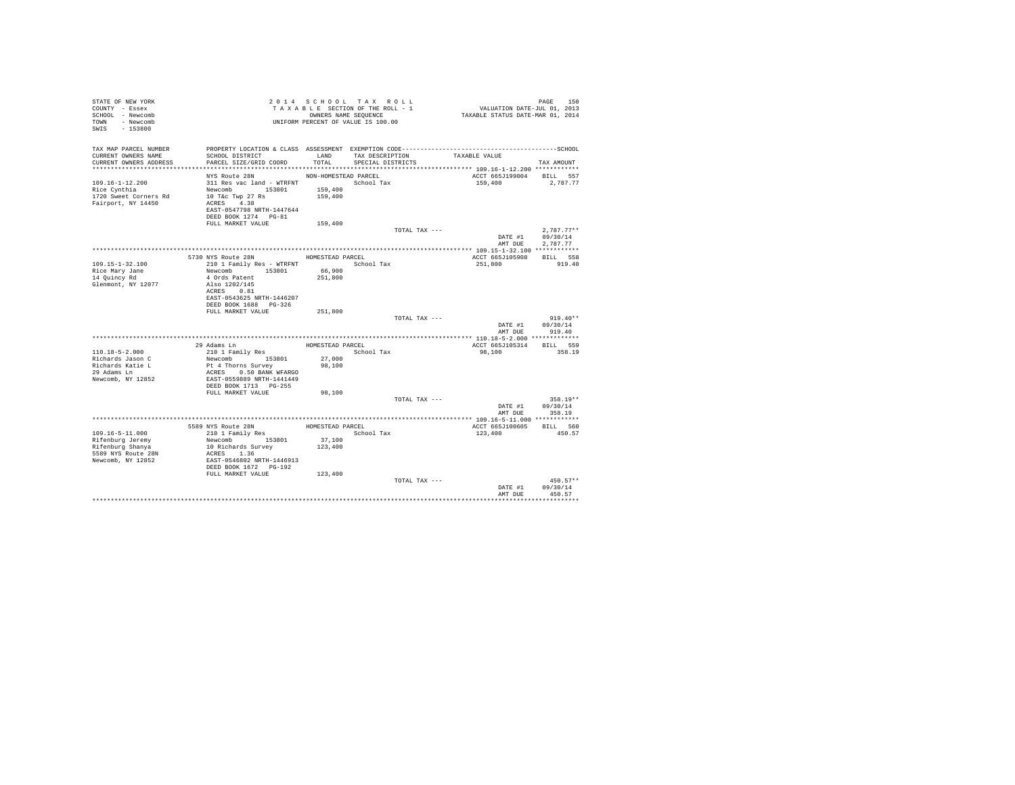| STATE OF NEW YORK<br>COUNTY - Essex<br>SCHOOL - Newcomb<br>TOWN - Newcomb<br>SWIS - 153800 |                                                                           |                      | 2014 SCHOOL TAX ROLL<br>TAXABLE SECTION OF THE ROLL - 1<br>OWNERS NAME SEQUENCE<br>UNIFORM PERCENT OF VALUE IS 100.00 | PAGE 150<br>VALUATION DATE-JUL 01, 2013<br>TAXABLE STATUS DATE-MAR 01, 2014 |                    |
|--------------------------------------------------------------------------------------------|---------------------------------------------------------------------------|----------------------|-----------------------------------------------------------------------------------------------------------------------|-----------------------------------------------------------------------------|--------------------|
| TAX MAP PARCEL NUMBER                                                                      |                                                                           |                      |                                                                                                                       |                                                                             |                    |
| CURRENT OWNERS NAME<br>CURRENT OWNERS ADDRESS                                              | SCHOOL DISTRICT<br>PARCEL SIZE/GRID COORD                                 | TOTAL                | LAND TAX DESCRIPTION<br>SPECIAL DISTRICTS                                                                             | TAXABLE VALUE                                                               |                    |
|                                                                                            |                                                                           |                      |                                                                                                                       |                                                                             | TAX AMOUNT         |
|                                                                                            | NYS Route 28N                                                             | NON-HOMESTEAD PARCEL |                                                                                                                       | ACCT 665J199004 BILL 557                                                    |                    |
| $109.16 - 1 - 12.200$                                                                      | 311 Res vac land - WTRFNT                                                 |                      | School Tax                                                                                                            | 159,400                                                                     | 2,787.77           |
| Rice Cynthia                                                                               | Newcomb 153801                                                            | 159,400              |                                                                                                                       |                                                                             |                    |
| 1720 Sweet Corners Rd                                                                      | 10 T&c Twp 27 Rs                                                          | 159,400              |                                                                                                                       |                                                                             |                    |
| Fairport, NY 14450                                                                         | ACRES 4.38                                                                |                      |                                                                                                                       |                                                                             |                    |
|                                                                                            | EAST-0547798 NRTH-1447644<br>DEED BOOK 1274 PG-81                         |                      |                                                                                                                       |                                                                             |                    |
|                                                                                            | FULL MARKET VALUE                                                         | 159,400              |                                                                                                                       |                                                                             |                    |
|                                                                                            |                                                                           |                      | TOTAL TAX ---                                                                                                         |                                                                             | $2.787.77**$       |
|                                                                                            |                                                                           |                      |                                                                                                                       |                                                                             | DATE #1 09/30/14   |
|                                                                                            |                                                                           |                      |                                                                                                                       |                                                                             | AMT DUE 2.787.77   |
|                                                                                            |                                                                           |                      |                                                                                                                       |                                                                             |                    |
| 109.15-1-32.100                                                                            | 5730 NYS Route 28N<br>210 1 Family Res - WTRFNT School Tax                | HOMESTEAD PARCEL     |                                                                                                                       | ACCT 665J105908<br>251,800                                                  | BILL 558<br>919.40 |
| Rice Mary Jane                                                                             | Newcomb 153801                                                            | 66,900               |                                                                                                                       |                                                                             |                    |
| 14 Quincy Rd                                                                               | 4 Ords Patent                                                             | 251,800              |                                                                                                                       |                                                                             |                    |
| Glenmont, NY 12077                                                                         | Also 1202/145                                                             |                      |                                                                                                                       |                                                                             |                    |
|                                                                                            | ACRES 0.81<br>EAST-0543625 NRTH-1446207                                   |                      |                                                                                                                       |                                                                             |                    |
|                                                                                            | DEED BOOK 1688 PG-326                                                     |                      |                                                                                                                       |                                                                             |                    |
|                                                                                            | FULL MARKET VALUE                                                         | 251,800              |                                                                                                                       |                                                                             |                    |
|                                                                                            |                                                                           |                      | TOTAL TAX ---                                                                                                         |                                                                             | $919.40**$         |
|                                                                                            |                                                                           |                      |                                                                                                                       |                                                                             | DATE #1 09/30/14   |
|                                                                                            |                                                                           |                      |                                                                                                                       | AMT DUE                                                                     | 919.40             |
|                                                                                            | 29 Adams Ln                                                               |                      | HOMESTEAD PARCEL                                                                                                      | ACCT 665J105314                                                             | BILL 559           |
| 110.18-5-2.000                                                                             | 210 1 Family Res                                                          |                      | School Tax                                                                                                            | 98,100                                                                      | 358.19             |
| Richards Jason C                                                                           | Newcomb 153801                                                            | 27,000               |                                                                                                                       |                                                                             |                    |
| Richards Katie L                                                                           |                                                                           | 98,100               |                                                                                                                       |                                                                             |                    |
| 29 Adams Ln                                                                                | Pt 4 Thorns Survey<br>ACRES 0.50 BANK WFARGO<br>EAST-0559889 NRTH-1441449 |                      |                                                                                                                       |                                                                             |                    |
| Newcomb, NY 12852                                                                          | DEED BOOK 1713 PG-255                                                     |                      |                                                                                                                       |                                                                             |                    |
|                                                                                            | FULL MARKET VALUE                                                         | 98,100               |                                                                                                                       |                                                                             |                    |
|                                                                                            |                                                                           |                      | TOTAL TAX ---                                                                                                         |                                                                             | 358.19**           |
|                                                                                            |                                                                           |                      |                                                                                                                       |                                                                             | DATE #1 09/30/14   |
|                                                                                            |                                                                           |                      |                                                                                                                       |                                                                             | AMT DUE 358.19     |
|                                                                                            |                                                                           |                      |                                                                                                                       |                                                                             |                    |
| 109.16-5-11.000                                                                            | 5589 NYS Route 28N<br>210 1 Family Res                                    | HOMESTEAD PARCEL     | School Tax                                                                                                            | ACCT 665J100605 BILL 560<br>123,400                                         | 450.57             |
| Rifenburg Jeremy                                                                           |                                                                           | 37,100               |                                                                                                                       |                                                                             |                    |
| Rifenburg Shanya                                                                           |                                                                           | 123,400              |                                                                                                                       |                                                                             |                    |
| 5589 NYS Route 28N                                                                         | Newcomb<br>10 Richards Survey<br>ACRES 1.36                               |                      |                                                                                                                       |                                                                             |                    |
| Newcomb, NY 12852                                                                          | EAST-0546802 NRTH-1446913                                                 |                      |                                                                                                                       |                                                                             |                    |
|                                                                                            | DEED BOOK 1672 PG-192<br>FULL MARKET VALUE 123,400                        |                      |                                                                                                                       |                                                                             |                    |
|                                                                                            |                                                                           |                      | TOTAL TAX ---                                                                                                         |                                                                             | $450.57**$         |
|                                                                                            |                                                                           |                      |                                                                                                                       | DATE #1                                                                     | 09/30/14           |
|                                                                                            |                                                                           |                      |                                                                                                                       | AMT DUE                                                                     | 450.57             |
|                                                                                            |                                                                           |                      |                                                                                                                       |                                                                             |                    |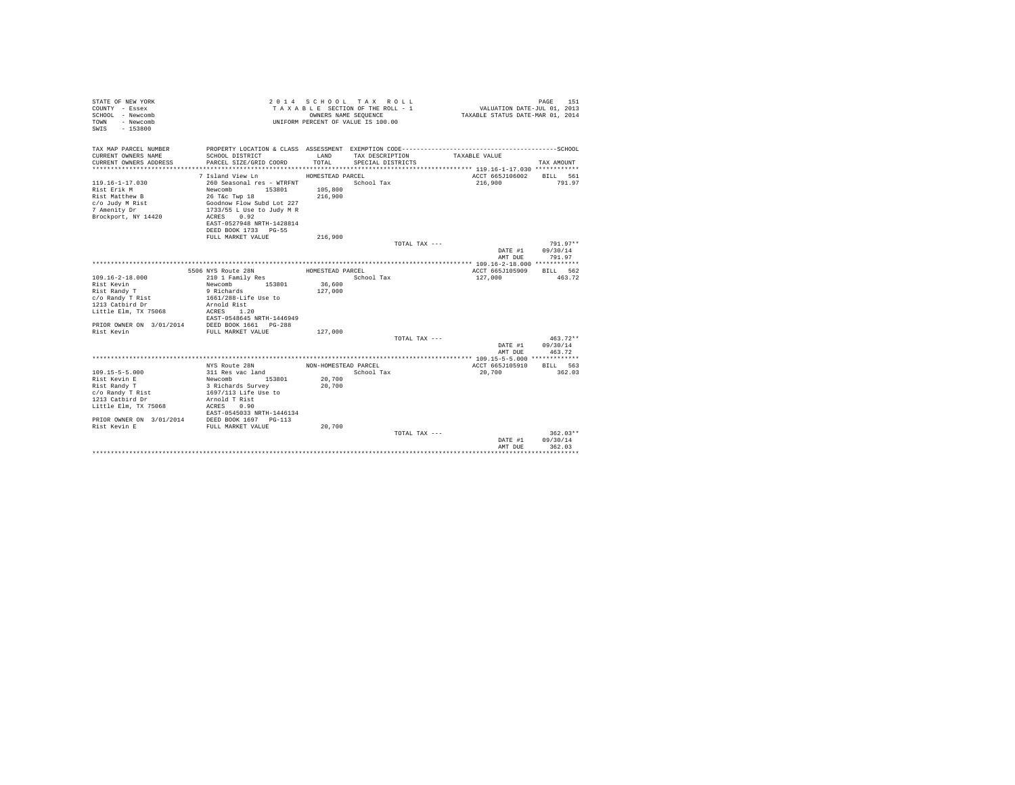| STATE OF NEW YORK<br>COUNTY - Essex<br>SCHOOL - Newcomb<br>- Newcomb<br>TOWN<br>$-153800$<br>SWTS |                                           | OWNERS NAME SEQUENCE | 2014 SCHOOL TAX ROLL<br>TAXABLE SECTION OF THE ROLL - 1<br>UNIFORM PERCENT OF VALUE IS 100.00 | VALUATION DATE-JUL 01, 2013<br>TAXABLE STATUS DATE-MAR 01, 2014 | 151<br>PAGE            |
|---------------------------------------------------------------------------------------------------|-------------------------------------------|----------------------|-----------------------------------------------------------------------------------------------|-----------------------------------------------------------------|------------------------|
| TAX MAP PARCEL NUMBER                                                                             |                                           |                      |                                                                                               |                                                                 |                        |
| CURRENT OWNERS NAME<br>CURRENT OWNERS ADDRESS                                                     | SCHOOL DISTRICT<br>PARCEL SIZE/GRID COORD | LAND<br>TOTAL.       | TAX DESCRIPTION<br>SPECIAL DISTRICTS                                                          | TAXABLE VALUE                                                   | TAX AMOUNT             |
|                                                                                                   |                                           |                      |                                                                                               |                                                                 |                        |
|                                                                                                   | 7 Island View Ln                          | HOMESTEAD PARCEL     |                                                                                               | ACCT 665J106002                                                 | BILL 561               |
| $119.16 - 1 - 17.030$                                                                             | 260 Seasonal res - WTRFNT                 |                      | School Tax                                                                                    | 216,900                                                         | 791.97                 |
| Rist Erik M                                                                                       | Newcomb<br>153801                         | 105,800              |                                                                                               |                                                                 |                        |
| Rist Matthew B                                                                                    | 26 T&c Twp 18                             | 216,900              |                                                                                               |                                                                 |                        |
| c/o Judy M Rist                                                                                   | Goodnow Flow Subd Lot 227                 |                      |                                                                                               |                                                                 |                        |
| 7 Amenity Dr                                                                                      | 1733/55 L Use to Judy M R                 |                      |                                                                                               |                                                                 |                        |
| Brockport, NY 14420                                                                               | ACRES 0.92                                |                      |                                                                                               |                                                                 |                        |
|                                                                                                   | EAST-0527948 NRTH-1428814                 |                      |                                                                                               |                                                                 |                        |
|                                                                                                   | DEED BOOK 1733 PG-55<br>FULL MARKET VALUE | 216,900              |                                                                                               |                                                                 |                        |
|                                                                                                   |                                           |                      | TOTAL TAX ---                                                                                 |                                                                 | $791.97**$             |
|                                                                                                   |                                           |                      |                                                                                               | DATE #1                                                         | 09/30/14               |
|                                                                                                   |                                           |                      |                                                                                               | AMT DUE                                                         | 791.97                 |
|                                                                                                   |                                           |                      |                                                                                               |                                                                 |                        |
|                                                                                                   | 5506 NYS Route 28N                        | HOMESTEAD PARCEL     |                                                                                               | ACCT 665J105909                                                 | BILL 562               |
| $109.16 - 2 - 18.000$                                                                             | 210 1 Family Res                          |                      | School Tax                                                                                    | 127,000                                                         | 463.72                 |
| Rist Kevin                                                                                        | Newcomb 153801                            | 36,600               |                                                                                               |                                                                 |                        |
| Rist Randy T                                                                                      | 9 Richards                                | 127,000              |                                                                                               |                                                                 |                        |
| c/o Randy T Rist                                                                                  | 1661/288-Life Use to                      |                      |                                                                                               |                                                                 |                        |
| 1213 Catbird Dr                                                                                   | Arnold Rist                               |                      |                                                                                               |                                                                 |                        |
| Little Elm, TX 75068                                                                              | ACRES 1.20                                |                      |                                                                                               |                                                                 |                        |
|                                                                                                   | EAST-0548645 NRTH-1446949                 |                      |                                                                                               |                                                                 |                        |
| PRIOR OWNER ON 3/01/2014<br>Rist Kevin                                                            | DEED BOOK 1661 PG-288                     |                      |                                                                                               |                                                                 |                        |
|                                                                                                   | FULL MARKET VALUE                         | 127,000              | TOTAL TAX ---                                                                                 |                                                                 | $463.72**$             |
|                                                                                                   |                                           |                      |                                                                                               | DATE #1                                                         | 09/30/14               |
|                                                                                                   |                                           |                      |                                                                                               | AMT DUE                                                         | 463.72                 |
|                                                                                                   |                                           |                      |                                                                                               |                                                                 |                        |
|                                                                                                   | NYS Route 28N                             | NON-HOMESTEAD PARCEL |                                                                                               | ACCT 665J105910                                                 | BILL 563               |
| $109.15 - 5 - 5.000$                                                                              | 311 Res vac land                          |                      | School Tax                                                                                    | 20,700                                                          | 362.03                 |
| Rist Kevin E                                                                                      | 153801<br>Newcomb                         | 20,700               |                                                                                               |                                                                 |                        |
| Rist Randy T                                                                                      | 3 Richards Survey                         | 20,700               |                                                                                               |                                                                 |                        |
| c/o Randy T Rist                                                                                  | 1697/113 Life Use to                      |                      |                                                                                               |                                                                 |                        |
| 1213 Catbird Dr                                                                                   | Arnold T Rist                             |                      |                                                                                               |                                                                 |                        |
| Little Elm, TX 75068                                                                              | ACRES 0.90                                |                      |                                                                                               |                                                                 |                        |
|                                                                                                   | EAST-0545033 NRTH-1446134                 |                      |                                                                                               |                                                                 |                        |
| PRIOR OWNER ON 3/01/2014 DEED BOOK 1697 PG-113                                                    |                                           |                      |                                                                                               |                                                                 |                        |
| Rist Kevin E                                                                                      | FULL MARKET VALUE                         | 20,700               |                                                                                               |                                                                 |                        |
|                                                                                                   |                                           |                      | TOTAL TAX ---                                                                                 |                                                                 | $362.03**$<br>09/30/14 |
|                                                                                                   |                                           |                      |                                                                                               | DATE #1<br>AMT DUE                                              | 362.03                 |
|                                                                                                   |                                           |                      |                                                                                               |                                                                 | ***********            |
|                                                                                                   |                                           |                      |                                                                                               |                                                                 |                        |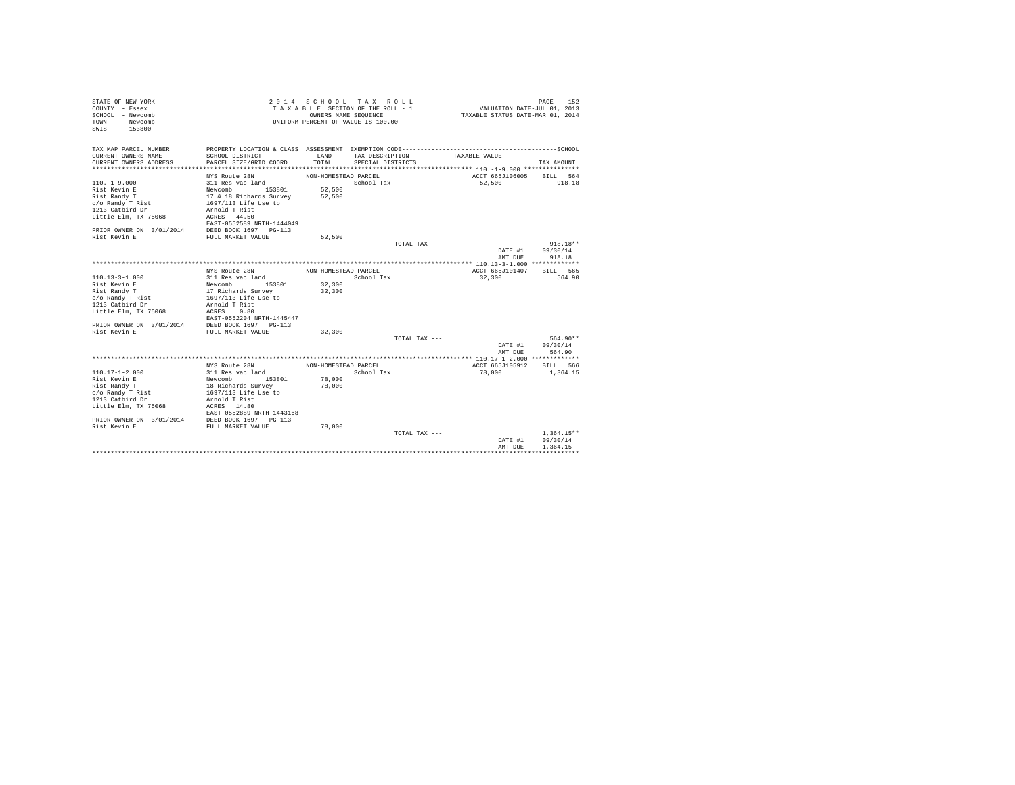| STATE OF NEW YORK<br>COUNTY - Essex<br>SCHOOL - Newcomb<br>- Newcomb<br>TOWN<br>$-153800$<br>SWTS |                                            | OWNERS NAME SEQUENCE | 2014 SCHOOL TAX ROLL<br>TAXABLE SECTION OF THE ROLL - 1<br>UNIFORM PERCENT OF VALUE IS 100.00 |               | VALUATION DATE-JUL 01, 2013<br>TAXABLE STATUS DATE-MAR 01, 2014 | PAGE<br>152                          |
|---------------------------------------------------------------------------------------------------|--------------------------------------------|----------------------|-----------------------------------------------------------------------------------------------|---------------|-----------------------------------------------------------------|--------------------------------------|
| TAX MAP PARCEL NUMBER<br>CURRENT OWNERS NAME                                                      | SCHOOL DISTRICT                            | LAND                 | TAX DESCRIPTION                                                                               |               | TAXABLE VALUE                                                   |                                      |
| CURRENT OWNERS ADDRESS                                                                            | PARCEL SIZE/GRID COORD                     | TOTAL.               | SPECIAL DISTRICTS                                                                             |               |                                                                 | TAX AMOUNT                           |
|                                                                                                   | NYS Route 28N                              | NON-HOMESTEAD PARCEL |                                                                                               |               | ACCT 665J106005                                                 | BILL 564                             |
| $110. -1 - 9.000$                                                                                 | 311 Res vac land                           |                      | School Tax                                                                                    |               | 52,500                                                          | 918.18                               |
| Rist Kevin E                                                                                      | Newcomb 153801                             | 52,500               |                                                                                               |               |                                                                 |                                      |
| Rist Randy T                                                                                      | 17 & 18 Richards Survey                    | 52,500               |                                                                                               |               |                                                                 |                                      |
| c/o Randy T Rist                                                                                  | 1697/113 Life Use to                       |                      |                                                                                               |               |                                                                 |                                      |
| 1213 Catbird Dr                                                                                   | Arnold T Rist                              |                      |                                                                                               |               |                                                                 |                                      |
| Little Elm, TX 75068                                                                              | ACRES 44.50                                |                      |                                                                                               |               |                                                                 |                                      |
|                                                                                                   | EAST-0552589 NRTH-1444049                  |                      |                                                                                               |               |                                                                 |                                      |
| PRIOR OWNER ON 3/01/2014                                                                          | DEED BOOK 1697 PG-113                      |                      |                                                                                               |               |                                                                 |                                      |
| Rist Kevin E                                                                                      | FULL MARKET VALUE                          | 52,500               |                                                                                               |               |                                                                 |                                      |
|                                                                                                   |                                            |                      |                                                                                               | TOTAL TAX --- |                                                                 | $918.18**$                           |
|                                                                                                   |                                            |                      |                                                                                               |               | DATE #1                                                         | 09/30/14                             |
|                                                                                                   |                                            |                      |                                                                                               |               | AMT DUE                                                         | 918.18                               |
|                                                                                                   |                                            |                      |                                                                                               |               |                                                                 |                                      |
|                                                                                                   | NYS Route 28N                              | NON-HOMESTEAD PARCEL |                                                                                               |               | ACCT 665J101407                                                 | BTLL 565                             |
| $110.13 - 3 - 1.000$                                                                              | 311 Res vac land                           |                      | School Tax                                                                                    |               | 32,300                                                          | 564.90                               |
| Rist Kevin E                                                                                      | Newcomb 153801                             | 32,300               |                                                                                               |               |                                                                 |                                      |
| Rist Randy T                                                                                      | 17 Richards Survey                         | 32,300               |                                                                                               |               |                                                                 |                                      |
| c/o Randy T Rist                                                                                  | 1697/113 Life Use to                       |                      |                                                                                               |               |                                                                 |                                      |
| 1213 Catbird Dr                                                                                   | Arnold T Rist                              |                      |                                                                                               |               |                                                                 |                                      |
| Little Elm, TX 75068                                                                              | 0.80<br>ACRES<br>EAST-0552204 NRTH-1445447 |                      |                                                                                               |               |                                                                 |                                      |
| PRIOR OWNER ON 3/01/2014                                                                          | DEED BOOK 1697 PG-113                      |                      |                                                                                               |               |                                                                 |                                      |
| Rist Kevin E                                                                                      | FULL MARKET VALUE                          | 32,300               |                                                                                               |               |                                                                 |                                      |
|                                                                                                   |                                            |                      |                                                                                               | TOTAL TAX --- |                                                                 | 564.90**                             |
|                                                                                                   |                                            |                      |                                                                                               |               | DATE #1                                                         | 09/30/14                             |
|                                                                                                   |                                            |                      |                                                                                               |               | AMT DUE                                                         | 564.90                               |
|                                                                                                   |                                            |                      |                                                                                               |               |                                                                 |                                      |
|                                                                                                   | NYS Route 28N                              | NON-HOMESTEAD PARCEL |                                                                                               |               | ACCT 665J105912                                                 | BILL 566                             |
| $110.17 - 1 - 2.000$                                                                              | 311 Res vac land                           |                      | School Tax                                                                                    |               | 78,000                                                          | 1,364.15                             |
| Rist Kevin E                                                                                      | 153801<br>Newcomb                          | 78,000               |                                                                                               |               |                                                                 |                                      |
| Rist Randy T                                                                                      | 18 Richards Survey                         | 78,000               |                                                                                               |               |                                                                 |                                      |
| c/o Randy T Rist                                                                                  | 1697/113 Life Use to                       |                      |                                                                                               |               |                                                                 |                                      |
| 1213 Catbird Dr                                                                                   | Arnold T Rist                              |                      |                                                                                               |               |                                                                 |                                      |
| Little Elm, TX 75068                                                                              | ACRES 14.80<br>EAST-0552889 NRTH-1443168   |                      |                                                                                               |               |                                                                 |                                      |
| PRIOR OWNER ON 3/01/2014                                                                          | DEED BOOK 1697 PG-113                      |                      |                                                                                               |               |                                                                 |                                      |
| Rist Kevin E                                                                                      | FULL MARKET VALUE                          | 78,000               |                                                                                               |               |                                                                 |                                      |
|                                                                                                   |                                            |                      |                                                                                               | TOTAL TAX --- | DATE #1<br>AMT DUE                                              | $1.364.15**$<br>09/30/14<br>1.364.15 |
|                                                                                                   |                                            |                      |                                                                                               |               |                                                                 |                                      |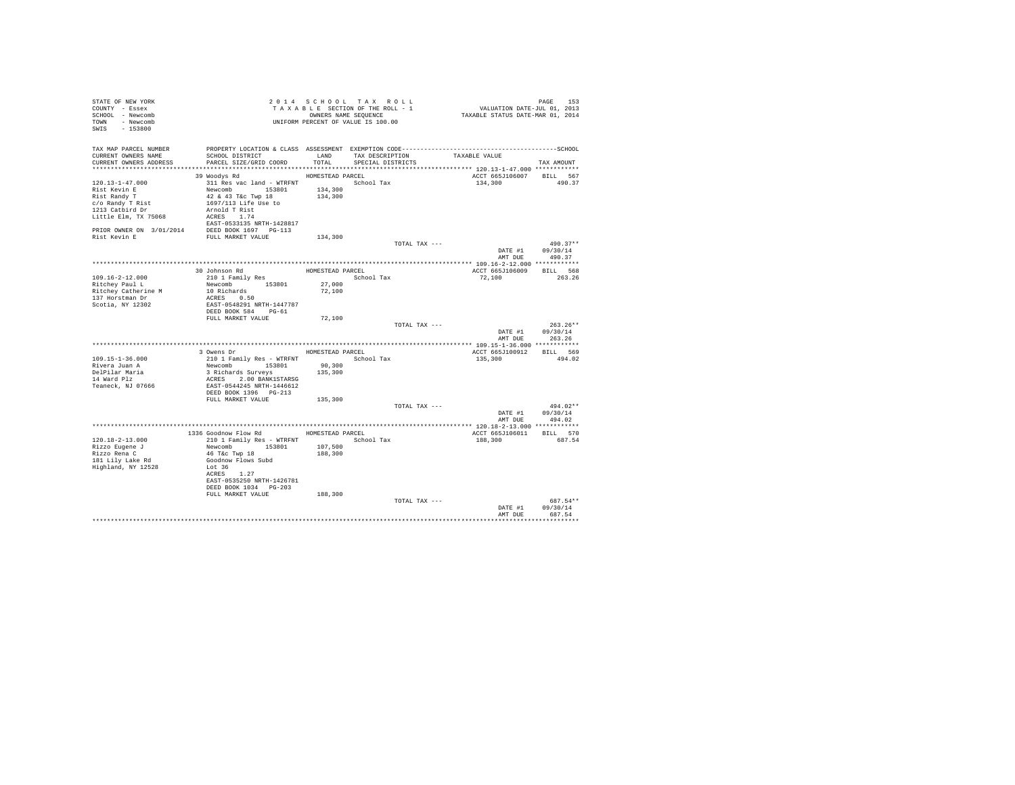| STATE OF NEW YORK<br>COUNTY - Essex<br>SCHOOL - Newcomb<br>TOWN - Newcomb<br>SWIS - 153800                                                                                                                                                                                                                      | T A X A B B B B B B B SEQUENCE<br>UNIFORM PERCENT OF VALUE IS 100.00                                                                                                                                                      |                                        | 2014 SCHOOL TAX ROLL<br>TAXABLE SECTION OF THE ROLL - 1<br>OWNERS NAME SEQUENCE |               | PAGE 153<br>VALUATION DATE-JUL 01, 2013<br>TAXABLE STATUS DATE-MAR 01, 2014 |                                                  |
|-----------------------------------------------------------------------------------------------------------------------------------------------------------------------------------------------------------------------------------------------------------------------------------------------------------------|---------------------------------------------------------------------------------------------------------------------------------------------------------------------------------------------------------------------------|----------------------------------------|---------------------------------------------------------------------------------|---------------|-----------------------------------------------------------------------------|--------------------------------------------------|
| TAX MAP PARCEL NUMBER<br>CURRENT OWNERS NAME<br>CURRENT OWNERS ADDRESS                                                                                                                                                                                                                                          | PROPERTY LOCATION & CLASS ASSESSMENT EXEMPTION CODE-----------------------------------SCHOOL<br>SCHOOL DISTRICT<br>PARCEL SIZE/GRID COORD                                                                                 | TOTAL                                  | LAND TAX DESCRIPTION<br>SPECIAL DISTRICTS                                       |               | TAXABLE VALUE                                                               | TAX AMOUNT                                       |
| 120.13-1-47.000<br>Rist Kevin E<br>Rist Randy T<br>c/o Randy T Rist<br>1213 Catbird Dr<br>Little Elm, TX 75068<br>$\begin{tabular}{lllllll} \bf PRIOR & \tt WNER & \tt SN & 3/01/2014 & & \tt DEED \bf BOOK & 1697 & \tt PG-113 \\ \bf Rist \; Kevin \; E & & \tt FULL \; \tt MARKET \; VALUE \\ \end{tabular}$ | 39 Woodys Rd<br>311 Res vac land - WTRFNT School Tax<br>Newcomb 153801<br>42 & 43 T&c Twp 18<br>1697/113 Life Use to<br>Arnold T Rist<br>ACRES 1.74<br>EAST-0533135 NRTH-1428817                                          | HOMESTEAD PARCEL<br>134,300<br>134,300 |                                                                                 |               | ACCT 665J106007 BILL 567<br>134,300                                         | 490.37                                           |
|                                                                                                                                                                                                                                                                                                                 |                                                                                                                                                                                                                           | 134,300                                |                                                                                 | TOTAL TAX --- | AMT DUE                                                                     | 490.37**<br>DATE #1 09/30/14<br>490.37           |
| $109.16 - 2 - 12.000$<br>Ritchey Paul L<br>Ritchey Catherine M<br>137 Horstman Dr<br>Scotia, NY 12302                                                                                                                                                                                                           | 30 Johnson Rd<br>210 1 Family Res<br>Newcomb 153801<br>10 Richards<br>ACRES 0.50<br>EAST-0548291 NRTH-1447787<br>DEED BOOK 584 PG-61                                                                                      | HOMESTEAD PARCEL<br>27,000<br>72,100   | School Tax                                                                      |               | ACCT 665J106009 BILL 568<br>72,100                                          | 263.26                                           |
|                                                                                                                                                                                                                                                                                                                 | FULL MARKET VALUE                                                                                                                                                                                                         | 72,100                                 |                                                                                 | TOTAL TAX --- |                                                                             | $263.26**$<br>DATE #1 09/30/14<br>AMT DUE 263.26 |
| 109.15-1-36.000<br>Rivera Juan A<br>DelPilar Maria<br>14 Ward Plz<br>Teaneck, NJ 07666                                                                                                                                                                                                                          | 3 Owens Dr<br>210 1 Family Res - WTRFNT<br>Newcomb 153801 90,300<br>3 Richards Surveys<br>ACRES 2.00 BANK1STARSG<br>EAST-0544245 NRTH-1446612<br>DEED BOOK 1396 PG-213                                                    | 135,300                                | HOMESTEAD PARCEL<br>School Tax                                                  |               | ACCT 665J100912 BILL 569<br>135,300                                         | 494.02                                           |
|                                                                                                                                                                                                                                                                                                                 | FULL MARKET VALUE                                                                                                                                                                                                         | 135,300                                |                                                                                 | TOTAL TAX --- |                                                                             | 494.02**<br>DATE #1 09/30/14<br>AMT DUE 494.02   |
| 120.18-2-13.000<br>Rizzo Eugene J<br>Rizzo Rena C<br>181 Lily Lake Rd<br>Highland, NY 12528                                                                                                                                                                                                                     | 1336 Goodnow Flow Rd HOMESTEAD PARCEL<br>210 1 Family Res - WTRFNT<br>Newcomb 153801 107,500<br>46 T&c Twp 18 188,300<br>Goodnow Flows Subd<br>Lot 36<br>ACRES 1.27<br>EAST-0535250 NRTH-1426781<br>DEED BOOK 1034 PG-203 |                                        | School Tax                                                                      |               | ACCT 665J106011 BILL 570<br>188,300                                         | 687.54                                           |
|                                                                                                                                                                                                                                                                                                                 | FULL MARKET VALUE                                                                                                                                                                                                         | 188,300                                |                                                                                 | TOTAL TAX --- | DATE #1<br>AMT DUE                                                          | 687.54**<br>09/30/14<br>687.54                   |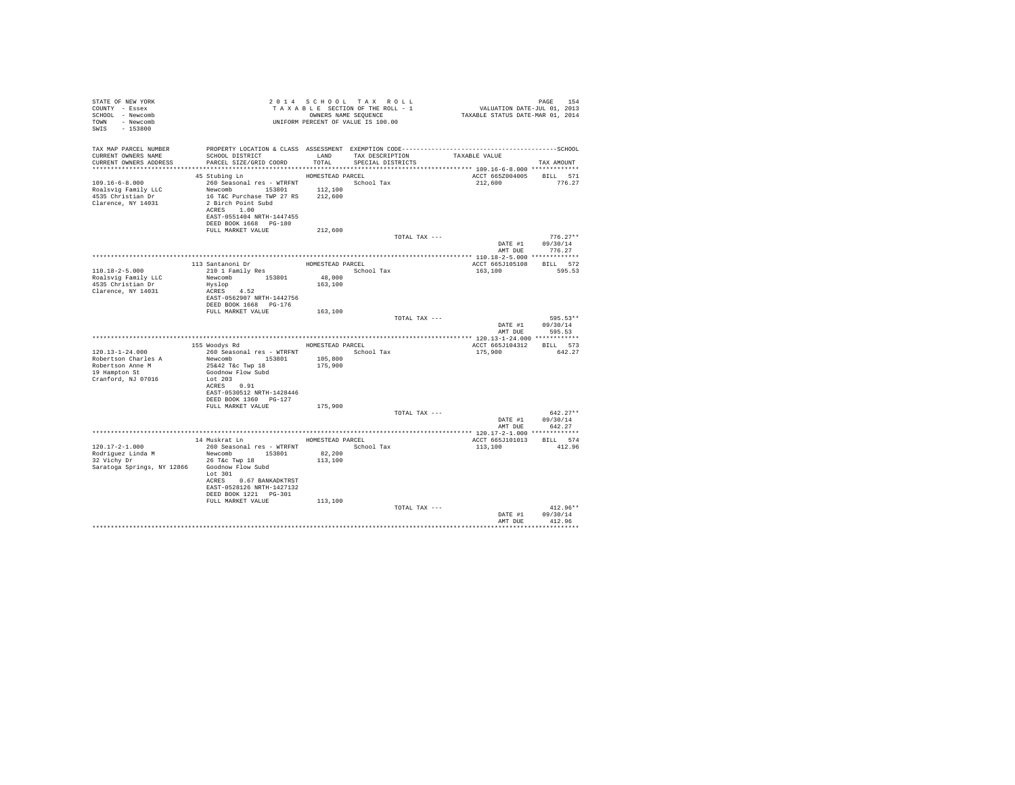| STATE OF NEW YORK<br>COUNTY - Essex<br>SCHOOL - Newcomb<br>TOWN - Newcomb<br>SWIS - 153800              | 2014 Star Star United States 1981 - 1<br>TAXABLE SECTION OF THE ROLL - 1<br>OWNERS NAME SEQUENCE<br>UNIFORM PERCENT OF VALUE IS 100.00                                                              |                                       |                   |                                    | PAGE 154<br>VALUATION DATE-JUL 01, 2013<br>TAXABLE STATUS DATE-MAR 01, 2014 |                                                  |
|---------------------------------------------------------------------------------------------------------|-----------------------------------------------------------------------------------------------------------------------------------------------------------------------------------------------------|---------------------------------------|-------------------|------------------------------------|-----------------------------------------------------------------------------|--------------------------------------------------|
| TAX MAP PARCEL NUMBER<br>CURRENT OWNERS NAME<br>CURRENT OWNERS ADDRESS                                  | SCHOOL DISTRICT<br>PARCEL SIZE/GRID COORD                                                                                                                                                           | TOTAL                                 | SPECIAL DISTRICTS | LAND TAX DESCRIPTION TAXABLE VALUE |                                                                             | TAX AMOUNT                                       |
|                                                                                                         |                                                                                                                                                                                                     |                                       |                   |                                    |                                                                             |                                                  |
| $109.16 - 6 - 8.000$<br>Roalsvig Family LLC<br>4535 Christian Dr<br>Clarence, NY 14031                  | 45 Stubing Ln<br>260 Seasonal res - WTRFNT<br>Newcomb 153801 112,100<br>16 TaC Purchase TWP 27 RS 212,600<br>2 Birch Point Subd<br>ACRES 1.00<br>EAST-0551404 NRTH-1447455<br>DEED BOOK 1668 PG-180 | HOMESTEAD PARCEL                      | School Tax        |                                    | ACCT 665Z004005<br>212,600                                                  | BILL 571<br>776.27                               |
|                                                                                                         | FULL MARKET VALUE                                                                                                                                                                                   | 212,600                               |                   |                                    |                                                                             |                                                  |
|                                                                                                         |                                                                                                                                                                                                     |                                       |                   | TOTAL TAX ---                      |                                                                             | $776.27**$<br>DATE #1 09/30/14<br>AMT DUE 776.27 |
|                                                                                                         |                                                                                                                                                                                                     |                                       |                   |                                    |                                                                             |                                                  |
| $110.18 - 2 - 5.000$<br>Roalsvig Family LLC<br>4535 Christian Dr<br>Clarence, NY 14031                  | 113 Santanoni Dr<br>210 1 Family Res<br>Newcomb 153801<br>Hyslop<br>ACRES 4.52                                                                                                                      | HOMESTEAD PARCEL<br>48,000<br>163,100 | School Tax        |                                    | ACCT 665J105108 BILL 572<br>163,100                                         | 595.53                                           |
|                                                                                                         | EAST-0562907 NRTH-1442756<br>DEED BOOK 1668    PG-176<br>FULL MARKET VALUE                                                                                                                          | 163,100                               |                   |                                    |                                                                             |                                                  |
|                                                                                                         |                                                                                                                                                                                                     |                                       |                   | TOTAL TAX ---                      |                                                                             | 595.53**<br>DATE #1 $09/30/14$<br>AMT DUE 595.53 |
|                                                                                                         |                                                                                                                                                                                                     |                                       |                   |                                    |                                                                             |                                                  |
|                                                                                                         | 155 Woodys Rd MOMESTEAD PARCEL                                                                                                                                                                      |                                       |                   |                                    | ACCT 665J104312 BILL 573                                                    |                                                  |
| $120.13 - 1 - 24.000$<br>Robertson Charles A<br>Robertson Anne M<br>19 Hampton St<br>Cranford, NJ 07016 | 260 Seasonal res - WTRFNT <a></a> School Tax<br>Newcomb 153801 105,800<br>25&42 T&c Twp 18 175,900<br>Goodnow Flow Subd<br>Lot 203<br>ACRES 0.91<br>EAST-0530512 NRTH-1428446                       |                                       |                   |                                    | 175,900                                                                     | 642.27                                           |
|                                                                                                         | DEED BOOK 1360 PG-127                                                                                                                                                                               |                                       |                   |                                    |                                                                             |                                                  |
|                                                                                                         | FULL MARKET VALUE 175,900                                                                                                                                                                           |                                       |                   | TOTAL TAX ---                      |                                                                             | $642.27**$<br>DATE #1 09/30/14                   |
|                                                                                                         |                                                                                                                                                                                                     |                                       |                   |                                    | AMT DUE                                                                     | 642.27                                           |
|                                                                                                         |                                                                                                                                                                                                     |                                       |                   |                                    |                                                                             |                                                  |
|                                                                                                         | 14 Muskrat Ln MOMESTEAD PARCEL                                                                                                                                                                      |                                       |                   |                                    | ACCT 665J101013 BILL 574                                                    |                                                  |
| 120.17-2-1.000<br>Rodriguez Linda M<br>32 Vichy Dr<br>Saratoga Springs, NY 12866 Goodnow Flow Subd      | 260 Seasonal res - WTRFNT<br>Newcomb 153801 82,200<br>26 T&c Twp 18<br>Lot 301<br>ACRES 0.67 BANKADKTRST<br>EAST-0528126 NRTH-1427132<br>DEED BOOK 1221   PG-301<br>FULL MARKET VALUE               | 113,100<br>113,100                    | School Tax        |                                    | 113,100                                                                     | 412.96                                           |
|                                                                                                         |                                                                                                                                                                                                     |                                       |                   | TOTAL TAX ---                      |                                                                             | $412.96**$<br>DATE #1 09/30/14                   |
|                                                                                                         |                                                                                                                                                                                                     |                                       |                   |                                    | AMT DUE                                                                     | 412.96<br>.                                      |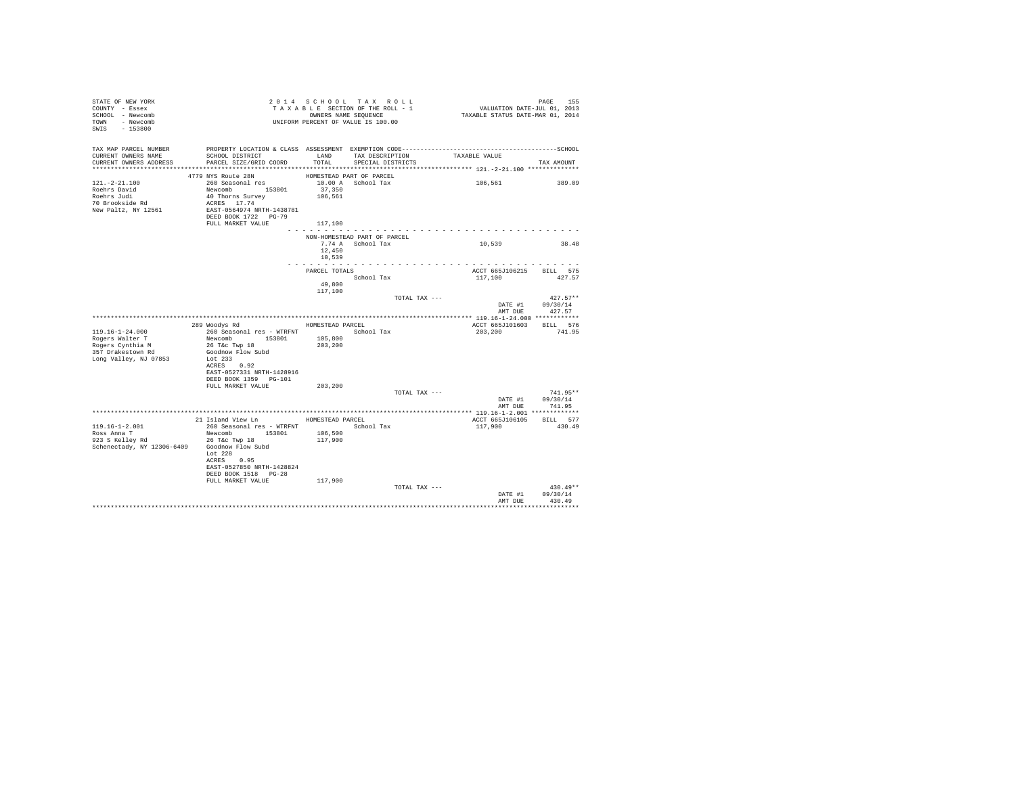| STATE OF NEW YORK<br>COUNTY - Essex<br>SCHOOL - Newcomb<br>TOWN - Newcomb<br>SWIS - 153800                            |                                                                                                                                                                                      |                                        | 2014 SCHOOL TAX ROLL<br>TAXABLE SECTION OF THE ROLL - 1<br>OWNERS NAME SEOUENCE<br>UNIFORM PERCENT OF VALUE IS 100.00 | PAGE 155<br>VALUATION DATE-JUL 01, 2013<br>TAXABLE STATUS DATE-MAR 01, 2014 | PAGE<br>155                                      |
|-----------------------------------------------------------------------------------------------------------------------|--------------------------------------------------------------------------------------------------------------------------------------------------------------------------------------|----------------------------------------|-----------------------------------------------------------------------------------------------------------------------|-----------------------------------------------------------------------------|--------------------------------------------------|
| TAX MAP PARCEL NUMBER<br>CURRENT OWNERS NAME<br>CURRENT OWNERS ADDRESS PARCEL SIZE/GRID COORD TOTAL SPECIAL DISTRICTS | SCHOOL DISTRICT TAND TAX DESCRIPTION                                                                                                                                                 |                                        |                                                                                                                       | TAXABLE VALUE                                                               | TAX AMOUNT                                       |
| $121. - 2 - 21.100$<br>Roehrs David<br>Roehrs Judi<br>70 Brookside Rd<br>New Paltz, NY 12561                          | 4779 NYS Route 28N<br>260 Seasonal res<br>Newcomb 153801<br>40 Thorns Survey<br>ACRES 17.74<br>EAST-0564974 NRTH-1438781<br>DEED BOOK 1722 PG-79<br>FULL MARKET VALUE                | 37,350<br>106,561<br>117,100           | HOMESTEAD PART OF PARCEL<br>10.00 A School Tax                                                                        | 106,561                                                                     | 389.09                                           |
|                                                                                                                       |                                                                                                                                                                                      | 12,450<br>10,539<br>.                  | NON-HOMESTEAD PART OF PARCEL<br>7.74 A School Tax                                                                     | 10,539                                                                      | 38.48                                            |
|                                                                                                                       |                                                                                                                                                                                      | PARCEL TOTALS<br>49,800<br>117,100     | School Tax                                                                                                            | ACCT 665J106215 BILL 575<br>117,100                                         | 427.57                                           |
|                                                                                                                       |                                                                                                                                                                                      |                                        | TOTAL TAX ---                                                                                                         |                                                                             | $427.57**$<br>DATE #1 09/30/14<br>AMT DUE 427.57 |
| $119.16 - 1 - 24.000$<br>Rogers Walter T<br>Rogers Cynthia M<br>357 Drakestown Rd<br>Long Valley, NJ 07853            | 289 Woodys Rd<br>260 Seasonal res - WTRFNT<br>Newcomb 153801<br>26 T&C Twp 18<br>Goodnow Flow Subd<br>Lot 233<br>ACRES 0.92<br>EAST-0527331 NRTH-1428916<br>DEED BOOK 1359    PG-101 | HOMESTEAD PARCEL<br>105,800<br>203,200 | School Tax                                                                                                            | ACCT 665J101603<br>203,200                                                  | BILL 576<br>741.95                               |
|                                                                                                                       | FULL MARKET VALUE                                                                                                                                                                    | 203,200                                | TOTAL TAX ---                                                                                                         |                                                                             | $741.95**$<br>DATE #1 09/30/14                   |
|                                                                                                                       |                                                                                                                                                                                      |                                        |                                                                                                                       |                                                                             | AMT DUE 741.95                                   |
| $119.16 - 1 - 2.001$<br>Ross Anna T<br>Schenectady, NY 12306-6409 Goodnow Flow Subd                                   | 21 Island View Ln<br>260 Seasonal res - WTRFNT<br>Newcomb 153801 106,500<br>Lot $228$<br>ACRES 0.95<br>EAST-0527850 NRTH-1428824<br>DEED BOOK 1518 PG-28                             | HOMESTEAD PARCEL<br>117,900            | School Tax                                                                                                            | ACCT 665J106105<br>117,900                                                  | BILL 577<br>430.49                               |
|                                                                                                                       | FULL MARKET VALUE                                                                                                                                                                    | 117,900                                | TOTAL TAX ---                                                                                                         | AMT DUE                                                                     | $430.49**$<br>DATE #1 09/30/14<br>430.49         |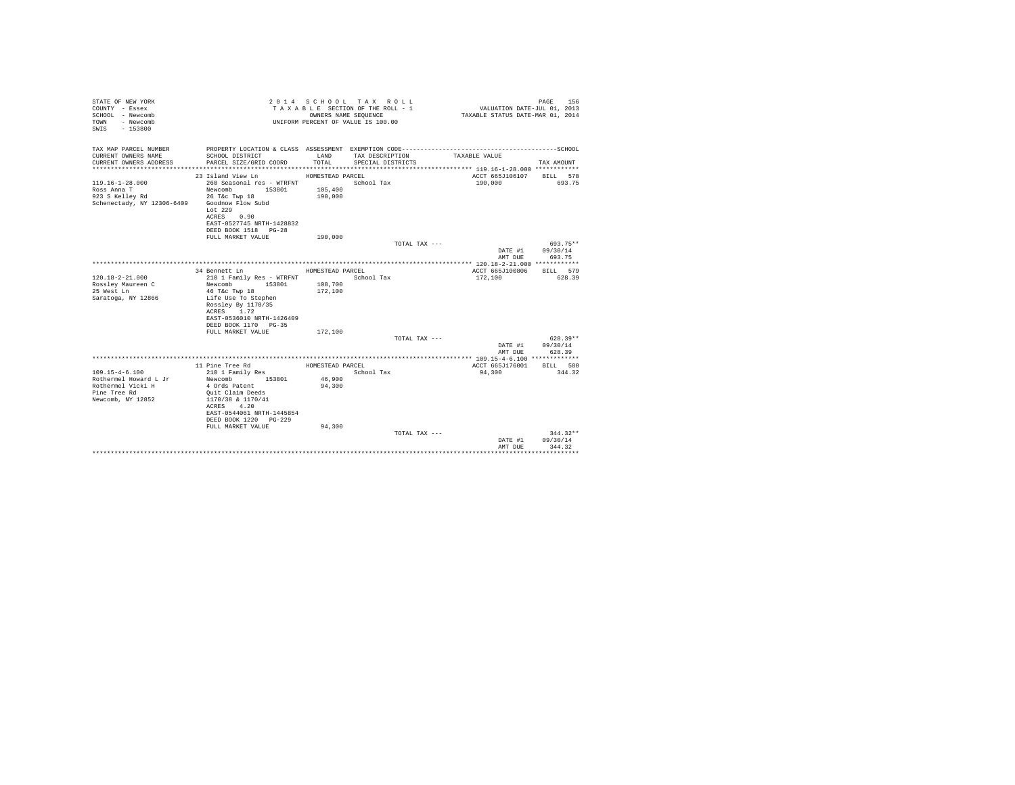| STATE OF NEW YORK<br>COUNTY - Essex<br>SCHOOL - Newcomb<br>- Newcomb<br>TOWN<br>$-153800$<br>SWTS |                                           |                  | 2014 SCHOOL TAX ROLL<br>TAXABLE SECTION OF THE ROLL - 1<br>OWNERS NAME SEQUENCE<br>UNIFORM PERCENT OF VALUE IS 100.00 | VALUATION DATE-JUL 01, 2013<br>TAXABLE STATUS DATE-MAR 01, 2014 | PAGE<br>156 |
|---------------------------------------------------------------------------------------------------|-------------------------------------------|------------------|-----------------------------------------------------------------------------------------------------------------------|-----------------------------------------------------------------|-------------|
| TAX MAP PARCEL NUMBER                                                                             |                                           |                  |                                                                                                                       |                                                                 |             |
| CURRENT OWNERS NAME<br>CURRENT OWNERS ADDRESS                                                     | SCHOOL DISTRICT<br>PARCEL SIZE/GRID COORD | LAND<br>TOTAL.   | TAX DESCRIPTION<br>SPECIAL DISTRICTS                                                                                  | TAXABLE VALUE                                                   | TAX AMOUNT  |
|                                                                                                   |                                           |                  |                                                                                                                       |                                                                 |             |
|                                                                                                   | 23 Island View Ln                         | HOMESTEAD PARCEL |                                                                                                                       | ACCT 665J106107                                                 | BILL 578    |
| $119.16 - 1 - 28.000$                                                                             | 260 Seasonal res - WTRFNT                 |                  | School Tax                                                                                                            | 190,000                                                         | 693.75      |
| Ross Anna T                                                                                       | Newcomb 153801                            | 105,400          |                                                                                                                       |                                                                 |             |
| 923 S Kelley Rd                                                                                   | 26 T&c Twp 18                             | 190,000          |                                                                                                                       |                                                                 |             |
| Schenectady, NY 12306-6409 Goodnow Flow Subd                                                      | Lot $229$                                 |                  |                                                                                                                       |                                                                 |             |
|                                                                                                   | ACRES 0.90                                |                  |                                                                                                                       |                                                                 |             |
|                                                                                                   | EAST-0527745 NRTH-1428832                 |                  |                                                                                                                       |                                                                 |             |
|                                                                                                   | DEED BOOK 1518 PG-28                      |                  |                                                                                                                       |                                                                 |             |
|                                                                                                   | FULL MARKET VALUE                         | 190,000          |                                                                                                                       |                                                                 |             |
|                                                                                                   |                                           |                  | TOTAL TAX ---                                                                                                         |                                                                 | 693.75**    |
|                                                                                                   |                                           |                  |                                                                                                                       | DATE #1                                                         | 09/30/14    |
|                                                                                                   |                                           |                  |                                                                                                                       | AMT DUE                                                         | 693.75      |
|                                                                                                   |                                           |                  |                                                                                                                       |                                                                 |             |
|                                                                                                   | 34 Bennett Ln                             | HOMESTEAD PARCEL |                                                                                                                       | ACCT 665J100806                                                 | BILL 579    |
| $120.18 - 2 - 21.000$                                                                             | 210 1 Family Res - WTRFNT                 |                  | School Tax                                                                                                            | 172,100                                                         | 628.39      |
| Rossley Maureen C                                                                                 | Newcomb<br>153801                         | 108,700          |                                                                                                                       |                                                                 |             |
| 25 West Ln                                                                                        | 46 T&c Twp 18                             | 172,100          |                                                                                                                       |                                                                 |             |
| Saratoga, NY 12866                                                                                | Life Use To Stephen<br>Rossley By 1170/35 |                  |                                                                                                                       |                                                                 |             |
|                                                                                                   | ACRES 1.72                                |                  |                                                                                                                       |                                                                 |             |
|                                                                                                   | EAST-0536010 NRTH-1426409                 |                  |                                                                                                                       |                                                                 |             |
|                                                                                                   | DEED BOOK 1170 PG-35                      |                  |                                                                                                                       |                                                                 |             |
|                                                                                                   | FULL MARKET VALUE                         | 172,100          |                                                                                                                       |                                                                 |             |
|                                                                                                   |                                           |                  | TOTAL TAX ---                                                                                                         |                                                                 | $628.39**$  |
|                                                                                                   |                                           |                  |                                                                                                                       | DATE #1                                                         | 09/30/14    |
|                                                                                                   |                                           |                  |                                                                                                                       | AMT DUE                                                         | 628.39      |
|                                                                                                   |                                           |                  |                                                                                                                       |                                                                 |             |
|                                                                                                   | 11 Pine Tree Rd                           | HOMESTEAD PARCEL |                                                                                                                       | ACCT 665J176001                                                 | BILL 580    |
| $109.15 - 4 - 6.100$                                                                              | 210 1 Family Res                          |                  | School Tax                                                                                                            | 94,300                                                          | 344.32      |
| Rothermel Howard L Jr                                                                             | Newcomb<br>153801                         | 46,900           |                                                                                                                       |                                                                 |             |
| Rothermel Vicki H<br>Pine Tree Rd                                                                 | 4 Ords Patent<br>Quit Claim Deeds         | 94,300           |                                                                                                                       |                                                                 |             |
| Newcomb, NY 12852                                                                                 | 1170/38 & 1170/41                         |                  |                                                                                                                       |                                                                 |             |
|                                                                                                   | ACRES 4.20                                |                  |                                                                                                                       |                                                                 |             |
|                                                                                                   | EAST-0544061 NRTH-1445854                 |                  |                                                                                                                       |                                                                 |             |
|                                                                                                   | DEED BOOK 1220 PG-229                     |                  |                                                                                                                       |                                                                 |             |
|                                                                                                   | FULL MARKET VALUE                         | 94,300           |                                                                                                                       |                                                                 |             |
|                                                                                                   |                                           |                  | TOTAL TAX ---                                                                                                         |                                                                 | $344.32**$  |
|                                                                                                   |                                           |                  |                                                                                                                       | DATE #1                                                         | 09/30/14    |
|                                                                                                   |                                           |                  |                                                                                                                       | AMT DUE                                                         | 344.32      |
|                                                                                                   |                                           |                  |                                                                                                                       |                                                                 |             |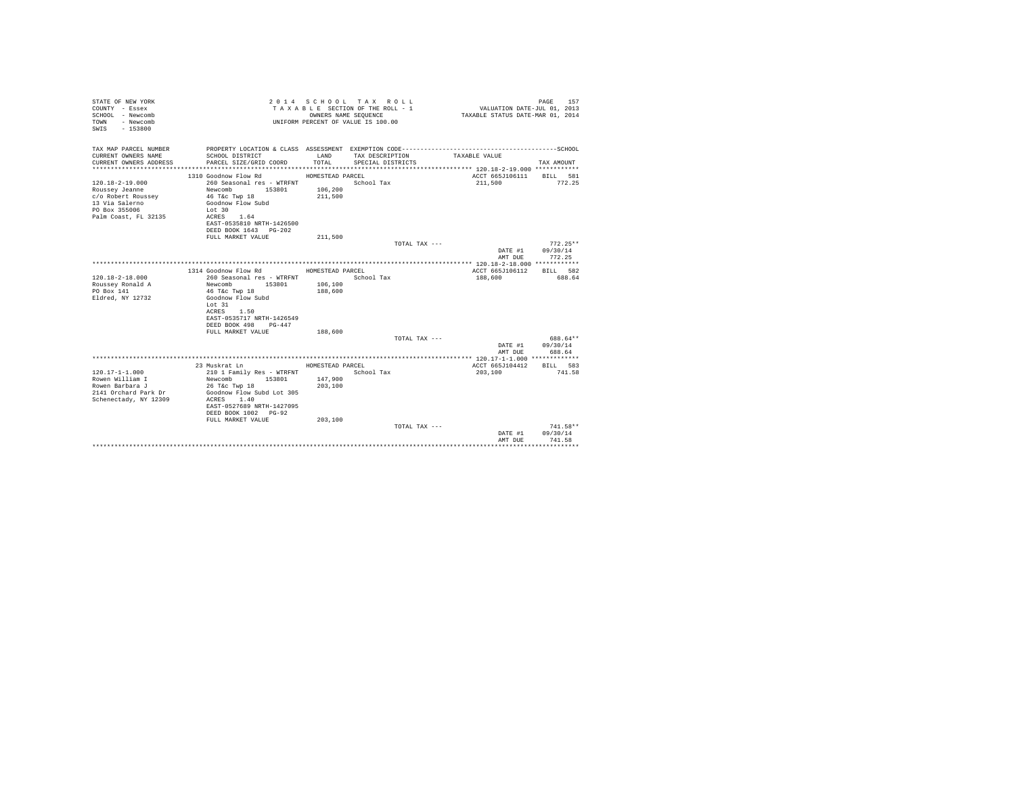| STATE OF NEW YORK<br>COUNTY - Essex<br>SCHOOL - Newcomb<br>- Newcomb<br>TOWN<br>$-153800$<br>SWIS |                                            |                  | 2014 SCHOOL TAX ROLL<br>TAXABLE SECTION OF THE ROLL - 1<br>OWNERS NAME SEQUENCE<br>UNIFORM PERCENT OF VALUE IS 100.00 | VALUATION DATE-JUL 01, 2013<br>TAXABLE STATUS DATE-MAR 01, 2014 | PAGE<br>157        |
|---------------------------------------------------------------------------------------------------|--------------------------------------------|------------------|-----------------------------------------------------------------------------------------------------------------------|-----------------------------------------------------------------|--------------------|
| TAX MAP PARCEL NUMBER<br>CURRENT OWNERS NAME                                                      | SCHOOL DISTRICT                            | LAND             | TAX DESCRIPTION                                                                                                       | TAXABLE VALUE                                                   |                    |
| CURRENT OWNERS ADDRESS                                                                            | PARCEL SIZE/GRID COORD                     | TOTAL            | SPECIAL DISTRICTS                                                                                                     |                                                                 | TAX AMOUNT         |
|                                                                                                   |                                            |                  |                                                                                                                       |                                                                 |                    |
|                                                                                                   | 1310 Goodnow Flow Rd MOMESTEAD PARCEL      |                  |                                                                                                                       | ACCT 665J106111 BILL 581                                        |                    |
| $120.18 - 2 - 19.000$                                                                             | 260 Seasonal res - WTRFNT                  |                  | School Tax                                                                                                            | 211,500                                                         | 772.25             |
| Roussey Jeanne                                                                                    | Newcomb 153801                             | 106,200          |                                                                                                                       |                                                                 |                    |
| c/o Robert Roussey                                                                                | 46 T&C Twp 18                              | 211,500          |                                                                                                                       |                                                                 |                    |
| 13 Via Salerno                                                                                    | Goodnow Flow Subd                          |                  |                                                                                                                       |                                                                 |                    |
| PO Box 355006<br>Palm Coast, FL 32135                                                             | Lot 30<br>ACRES 1.64                       |                  |                                                                                                                       |                                                                 |                    |
|                                                                                                   | EAST-0535810 NRTH-1426500                  |                  |                                                                                                                       |                                                                 |                    |
|                                                                                                   | DEED BOOK 1643 PG-202                      |                  |                                                                                                                       |                                                                 |                    |
|                                                                                                   | FULL MARKET VALUE                          | 211,500          |                                                                                                                       |                                                                 |                    |
|                                                                                                   |                                            |                  | TOTAL TAX ---                                                                                                         |                                                                 | $772.25**$         |
|                                                                                                   |                                            |                  |                                                                                                                       |                                                                 | DATE #1 09/30/14   |
|                                                                                                   |                                            |                  |                                                                                                                       | AMT DUE                                                         | 772.25             |
|                                                                                                   | 1314 Goodnow Flow Rd                       | HOMESTEAD PARCEL |                                                                                                                       | ACCT 665J106112                                                 | BILL 582           |
| $120.18 - 2 - 18.000$                                                                             | 260 Seasonal res - WTRFNT                  |                  | School Tax                                                                                                            | 188,600                                                         | 688.64             |
| Roussey Ronald A                                                                                  | Newcomb<br>153801                          | 106,100          |                                                                                                                       |                                                                 |                    |
| PO Box 141                                                                                        | 46 T&c Twp 18                              | 188,600          |                                                                                                                       |                                                                 |                    |
| Eldred, NY 12732                                                                                  | Goodnow Flow Subd                          |                  |                                                                                                                       |                                                                 |                    |
|                                                                                                   | Lot 31                                     |                  |                                                                                                                       |                                                                 |                    |
|                                                                                                   | ACRES 1.50<br>EAST-0535717 NRTH-1426549    |                  |                                                                                                                       |                                                                 |                    |
|                                                                                                   | DEED BOOK 498 PG-447                       |                  |                                                                                                                       |                                                                 |                    |
|                                                                                                   | FULL MARKET VALUE                          | 188,600          |                                                                                                                       |                                                                 |                    |
|                                                                                                   |                                            |                  | TOTAL TAX ---                                                                                                         |                                                                 | 688.64**           |
|                                                                                                   |                                            |                  |                                                                                                                       |                                                                 | DATE #1 09/30/14   |
|                                                                                                   |                                            |                  |                                                                                                                       | AMT DUE                                                         | 688.64             |
|                                                                                                   |                                            |                  |                                                                                                                       |                                                                 |                    |
| 120.17-1-1.000                                                                                    | 23 Muskrat Ln<br>210 1 Family Res - WTRFNT | HOMESTEAD PARCEL | School Tax                                                                                                            | ACCT 665J104412<br>203,100                                      | BILL 583<br>741.58 |
| Rowen William I                                                                                   | Newcomb 153801                             | 147,900          |                                                                                                                       |                                                                 |                    |
| Rowen Barbara J                                                                                   | 26 T&C Twp 18                              | 203,100          |                                                                                                                       |                                                                 |                    |
| 2141 Orchard Park Dr                                                                              | Goodnow Flow Subd Lot 305                  |                  |                                                                                                                       |                                                                 |                    |
| Schenectady, NY 12309                                                                             | ACRES 1.40                                 |                  |                                                                                                                       |                                                                 |                    |
|                                                                                                   | EAST-0527689 NRTH-1427095                  |                  |                                                                                                                       |                                                                 |                    |
|                                                                                                   | DEED BOOK 1002 PG-92                       |                  |                                                                                                                       |                                                                 |                    |
|                                                                                                   | FULL MARKET VALUE                          | 203,100          | TOTAL TAX ---                                                                                                         |                                                                 | $741.58**$         |
|                                                                                                   |                                            |                  |                                                                                                                       | DATE #1                                                         | 09/30/14           |
|                                                                                                   |                                            |                  |                                                                                                                       | AMT DUE                                                         | 741.58             |
|                                                                                                   |                                            |                  |                                                                                                                       |                                                                 | .                  |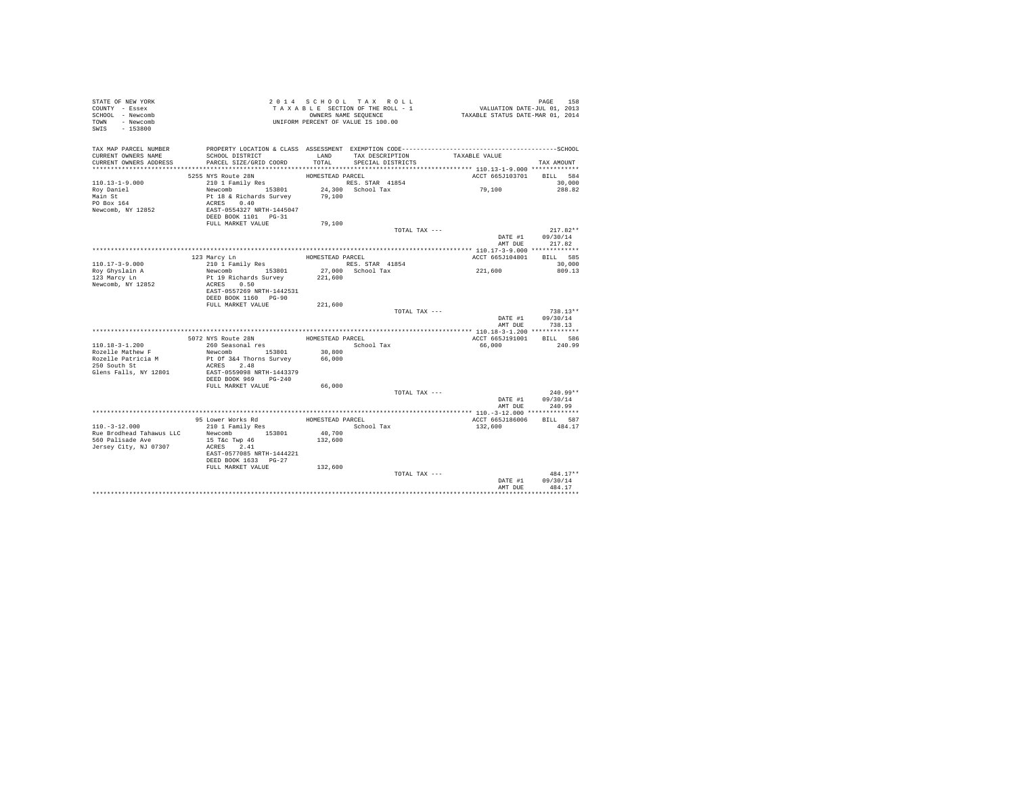| STATE OF NEW YORK<br>COUNTY - Essex<br>SCHOOL - Newcomb<br>TOWN - Newcomb<br>SWIS - 153800 |                                                                                                                                                              |                   | 2014 SCHOOL TAX ROLL<br>T A X A B L E SECTION OF THE ROLL - 1<br>OWNERS NAME SEQUENCE<br>UNIFORM PERCENT OF VALUE IS 100.00 | PAGE 158<br>VALUATION DATE-JUL 01, 2013<br>TAXABLE STATUS DATE-MAR 01, 2014 |                                                  |
|--------------------------------------------------------------------------------------------|--------------------------------------------------------------------------------------------------------------------------------------------------------------|-------------------|-----------------------------------------------------------------------------------------------------------------------------|-----------------------------------------------------------------------------|--------------------------------------------------|
| CURRENT OWNERS NAME<br>CURRENT OWNERS ADDRESS                                              | TAX MAP PARCEL NUMBER PROPERTY LOCATION & CLASS ASSESSMENT EXEMPTION CODE--------------------------------SCHOOL<br>SCHOOL DISTRICT<br>PARCEL SIZE/GRID COORD | LAND<br>TOTAL     | TAX DESCRIPTION<br>SPECIAL DISTRICTS                                                                                        | TAXABLE VALUE                                                               | TAX AMOUNT                                       |
|                                                                                            | 5255 NYS Route 28N                                                                                                                                           | HOMESTEAD PARCEL  |                                                                                                                             | ACCT 665J103701 BILL 584                                                    |                                                  |
| $110.13 - 1 - 9.000$<br>Roy Daniel<br>Main St<br>PO Box 164<br>Newcomb, NY 12852           | 210 1 Family Res<br>Newcomb<br>153801 24,300<br>Pt 18 & Richards Survey 79,100<br>ACRES 0.40<br>EAST-0554327 NRTH-1445047<br>DEED BOOK 1101 PG-31            |                   | RES. STAR 41854<br>24,300 School Tax                                                                                        | 79,100                                                                      | 30,000<br>288.82                                 |
|                                                                                            | FULL MARKET VALUE                                                                                                                                            | 79,100            |                                                                                                                             |                                                                             |                                                  |
|                                                                                            |                                                                                                                                                              |                   | TOTAL TAX ---                                                                                                               |                                                                             | $217.82**$<br>DATE #1 09/30/14<br>AMT DUE 217.82 |
|                                                                                            |                                                                                                                                                              |                   |                                                                                                                             | ACCT 665J104801 BILL 585                                                    |                                                  |
| $110.17 - 3 - 9.000$                                                                       | 123 Marcy Ln<br>210 1 Family Res                                                                                                                             |                   | HOMESTEAD PARCEL<br>RES. STAR 41854                                                                                         |                                                                             | 30,000                                           |
| Roy Ghyslain A<br>123 Marcy Ln                                                             | Newcomb 153801<br>Pt 19 Richards Survey                                                                                                                      |                   | 27,000 School Tax<br>221,600                                                                                                | 221,600                                                                     | 809.13                                           |
| Newcomb, NY 12852                                                                          | ACRES 0.50<br>EAST-0557269 NRTH-1442531<br>DEED BOOK 1160 PG-90<br>FULL MARKET VALUE                                                                         | 221,600           |                                                                                                                             |                                                                             |                                                  |
|                                                                                            |                                                                                                                                                              |                   | TOTAL TAX ---                                                                                                               |                                                                             | $738.13**$                                       |
|                                                                                            |                                                                                                                                                              |                   |                                                                                                                             | DATE #1                                                                     | 09/30/14<br>AMT DIJR 738.13                      |
|                                                                                            |                                                                                                                                                              |                   |                                                                                                                             |                                                                             |                                                  |
|                                                                                            | 5072 NYS Route 28N                                                                                                                                           | HOMESTEAD PARCEL  |                                                                                                                             | ACCT 665J191001                                                             | BILL 586                                         |
| $110.18 - 3 - 1.200$<br>Rozelle Mathew F                                                   | 260 Seasonal res<br>Newcomb 153801                                                                                                                           |                   | School Tax                                                                                                                  | 66,000                                                                      | 240.99                                           |
| Rozelle Patricia M<br>250 South St                                                         | Pt Of 3&4 Thorns Survey<br>ACRES 2.48                                                                                                                        | 30,800<br>66,000  |                                                                                                                             |                                                                             |                                                  |
| Glens Falls, NY 12801                                                                      | EAST-0559098 NRTH-1443379<br>DEED BOOK 969 PG-240                                                                                                            |                   |                                                                                                                             |                                                                             |                                                  |
|                                                                                            | FULL MARKET VALUE                                                                                                                                            | 66,000            |                                                                                                                             |                                                                             |                                                  |
|                                                                                            |                                                                                                                                                              |                   | TOTAL TAX ---                                                                                                               |                                                                             | $240.99**$                                       |
|                                                                                            |                                                                                                                                                              |                   |                                                                                                                             | DATE #1<br>AMT DUE                                                          | 09/30/14<br>240.99                               |
|                                                                                            | 95 Lower Works Rd                                                                                                                                            | HOMESTEAD PARCEL  |                                                                                                                             | ACCT 665J186006 BILL 587                                                    |                                                  |
| $110. - 3 - 12.000$                                                                        | 210 1 Family Res                                                                                                                                             |                   | School Tax                                                                                                                  | 132,600                                                                     | 484.17                                           |
| Rue Brodhead Tahawus LLC<br>560 Palisade Ave<br>Jersey City, NJ 07307                      | Newcomb 153801<br>15 T&c Twp 46<br>ACRES 2.41<br>EAST-0577085 NRTH-1444221<br>DEED BOOK 1633 PG-27<br>FULL MARKET VALUE 132,600                              | 40,700<br>132,600 |                                                                                                                             |                                                                             |                                                  |
|                                                                                            |                                                                                                                                                              |                   | TOTAL TAX ---                                                                                                               |                                                                             | $484.17**$                                       |
|                                                                                            |                                                                                                                                                              |                   |                                                                                                                             | DATE #1<br>AMT DUE                                                          | 09/30/14<br>484.17                               |
|                                                                                            |                                                                                                                                                              |                   |                                                                                                                             |                                                                             |                                                  |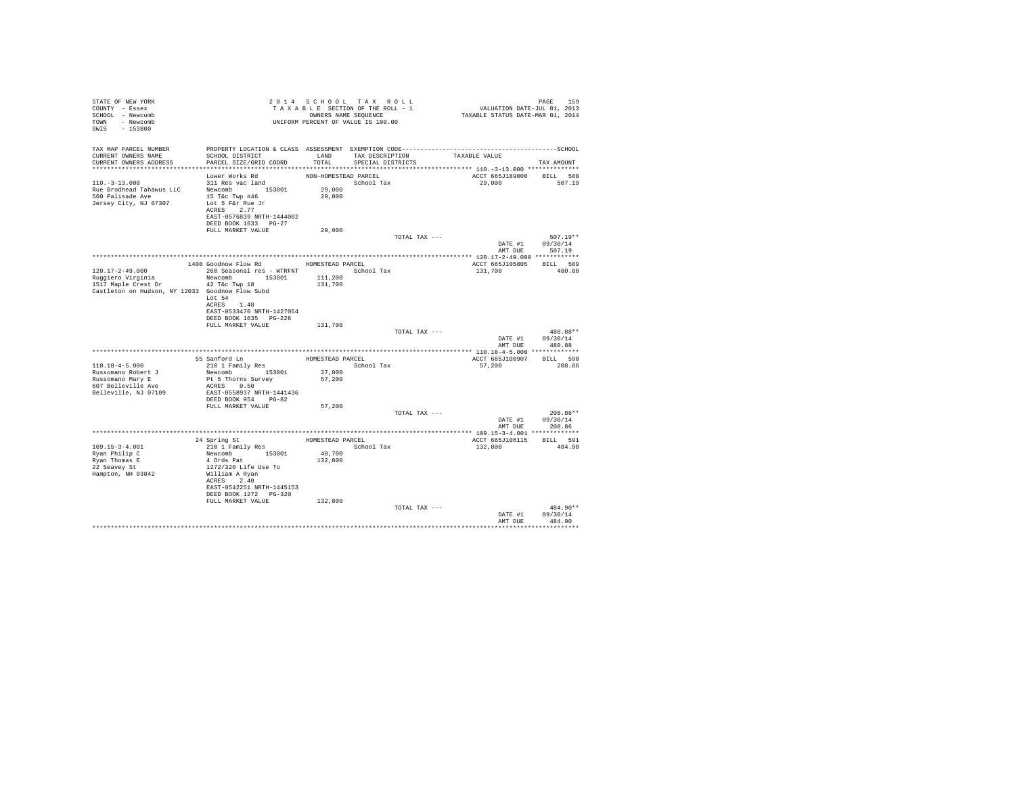| STATE OF NEW YORK<br>COUNTY - Essex<br>SCHOOL - Newcomb<br>TOWN - Newcomb<br>SWIS - 153800 | OWNERS NAME SEQUENCE<br>UNIFORM PERCENT OF VALUE IS 100.00         |                      | 2014 SCHOOL TAX ROLL<br>TAXABLE SECTION OF THE ROLL - 1<br>OWNERS NAME SEQUENCE | PAGE 159<br>VALUATION DATE-JUL 01, 2013<br>TAXABLE STATUS DATE-MAR 01, 2014 |                            |
|--------------------------------------------------------------------------------------------|--------------------------------------------------------------------|----------------------|---------------------------------------------------------------------------------|-----------------------------------------------------------------------------|----------------------------|
| TAX MAP PARCEL NUMBER                                                                      |                                                                    |                      |                                                                                 |                                                                             |                            |
| CURRENT OWNERS NAME<br>CURRENT OWNERS ADDRESS                                              | SCHOOL DISTRICT<br>PARCEL SIZE/GRID COORD                          | TOTAL                | LAND TAX DESCRIPTION TAXABLE VALUE<br>SPECIAL DISTRICTS                         |                                                                             |                            |
|                                                                                            |                                                                    |                      |                                                                                 |                                                                             | TAX AMOUNT                 |
|                                                                                            | Lower Works Rd                                                     | NON-HOMESTEAD PARCEL |                                                                                 | ACCT 665J189000 BILL 588                                                    |                            |
| $110.-3-13.000$                                                                            | $311$ Res vac land                                                 | 29,000               | School Tax                                                                      | 29,000 507.19                                                               |                            |
| Rue Brodhead Tahawus LLC                                                                   | Newcomb 153801                                                     |                      |                                                                                 |                                                                             |                            |
| 560 Palisade Ave                                                                           | 15 T&c Twp #46                                                     | 29,000               |                                                                                 |                                                                             |                            |
| Jersey City, NJ 07307                                                                      | Lot 5 F&r Rue Jr<br>ACRES 2.77                                     |                      |                                                                                 |                                                                             |                            |
|                                                                                            | EAST-0576839 NRTH-1444002                                          |                      |                                                                                 |                                                                             |                            |
|                                                                                            | DEED BOOK 1633 PG-27                                               |                      |                                                                                 |                                                                             |                            |
|                                                                                            | FULL MARKET VALUE                                                  | 29,000               |                                                                                 |                                                                             |                            |
|                                                                                            |                                                                    |                      | TOTAL TAX ---                                                                   | DATE #1 09/30/14                                                            | $507.19**$                 |
|                                                                                            |                                                                    |                      |                                                                                 | AMT DUE 507.19                                                              |                            |
|                                                                                            |                                                                    |                      |                                                                                 |                                                                             |                            |
|                                                                                            | 1408 Goodnow Flow Rd MOMESTEAD PARCEL                              |                      |                                                                                 | ACCT 665J105805 BILL 589                                                    |                            |
| 120.17-2-49.000                                                                            | 260 Seasonal res - WTRFNT                                          |                      | School Tax                                                                      | 131,700                                                                     | 480.88                     |
| Ruggiero Virginia<br>1517 Maple Crest Dr 12 42 T&c Twp 18                                  | Newcomb 153801                                                     | 111,200<br>131,700   |                                                                                 |                                                                             |                            |
| Castleton on Hudson, NY 12033 Goodnow Flow Subd                                            |                                                                    |                      |                                                                                 |                                                                             |                            |
|                                                                                            | Lot 54                                                             |                      |                                                                                 |                                                                             |                            |
|                                                                                            | ACRES 1.48                                                         |                      |                                                                                 |                                                                             |                            |
|                                                                                            | EAST-0533470 NRTH-1427054<br>DEED BOOK 1635 PG-226                 |                      |                                                                                 |                                                                             |                            |
|                                                                                            | FULL MARKET VALUE                                                  | 131,700              |                                                                                 |                                                                             |                            |
|                                                                                            |                                                                    |                      | TOTAL TAX ---                                                                   |                                                                             | 480.88**                   |
|                                                                                            |                                                                    |                      |                                                                                 |                                                                             | DATE #1 09/30/14           |
|                                                                                            |                                                                    |                      |                                                                                 | AMT DUE                                                                     | 480.88                     |
|                                                                                            |                                                                    |                      | HOMESTEAD PARCEL                                                                | ACCT 665J100907 BILL 590                                                    |                            |
| $110.18 - 4 - 5.000$                                                                       | 55 Sanford Ln<br>210 1 Family Res                                  |                      | School Tax                                                                      | 57,200                                                                      | 208.86                     |
| Russomano Robert J<br>Russomano Mary E                                                     | 210 1 Family<br>Newcomb 153801 27,000<br>n+ 5 Thorns Survey 57,200 |                      |                                                                                 |                                                                             |                            |
| 607 Belleville Ave                                                                         | ACRES 0.50                                                         |                      |                                                                                 |                                                                             |                            |
| Belleville, NJ 07109                                                                       | EAST-0558937 NRTH-1441436                                          |                      |                                                                                 |                                                                             |                            |
|                                                                                            | DEED BOOK 954 PG-82                                                |                      |                                                                                 |                                                                             |                            |
|                                                                                            | FULL MARKET VALUE                                                  | 57,200               |                                                                                 |                                                                             |                            |
|                                                                                            |                                                                    |                      | TOTAL TAX ---                                                                   |                                                                             | 208.86**                   |
|                                                                                            |                                                                    |                      |                                                                                 | AMT DUE                                                                     | DATE #1 09/30/14<br>208.86 |
|                                                                                            |                                                                    |                      |                                                                                 |                                                                             |                            |
|                                                                                            |                                                                    |                      | HOMESTEAD PARCEL                                                                | ACCT 665J106115 BILL 591                                                    |                            |
| 109.15-3-4.001<br>Ryan Philip C                                                            |                                                                    |                      | School Tax                                                                      | 132,800                                                                     | 484.90                     |
|                                                                                            | 24 Spring St<br>210 1 Family Res<br>Newcomb 153801<br>4 Ords Pat   | 40,700<br>132,800    |                                                                                 |                                                                             |                            |
| Ryan Thomas E<br>22 Seavey St                                                              | 1272/320 Life Use To                                               |                      |                                                                                 |                                                                             |                            |
| Hampton, NH 03842                                                                          | William A Ryan                                                     |                      |                                                                                 |                                                                             |                            |
|                                                                                            | ACRES 2.40                                                         |                      |                                                                                 |                                                                             |                            |
|                                                                                            | EAST-0542251 NRTH-1445153                                          |                      |                                                                                 |                                                                             |                            |
|                                                                                            | DEED BOOK 1272   PG-320<br>FULL MARKET VALUE                       | 132,800              |                                                                                 |                                                                             |                            |
|                                                                                            |                                                                    |                      | TOTAL TAX ---                                                                   |                                                                             | 484.90**                   |
|                                                                                            |                                                                    |                      |                                                                                 |                                                                             | DATE #1 09/30/14           |
|                                                                                            |                                                                    |                      |                                                                                 | AMT DUE                                                                     | 484.90                     |
|                                                                                            |                                                                    |                      |                                                                                 |                                                                             | ***********                |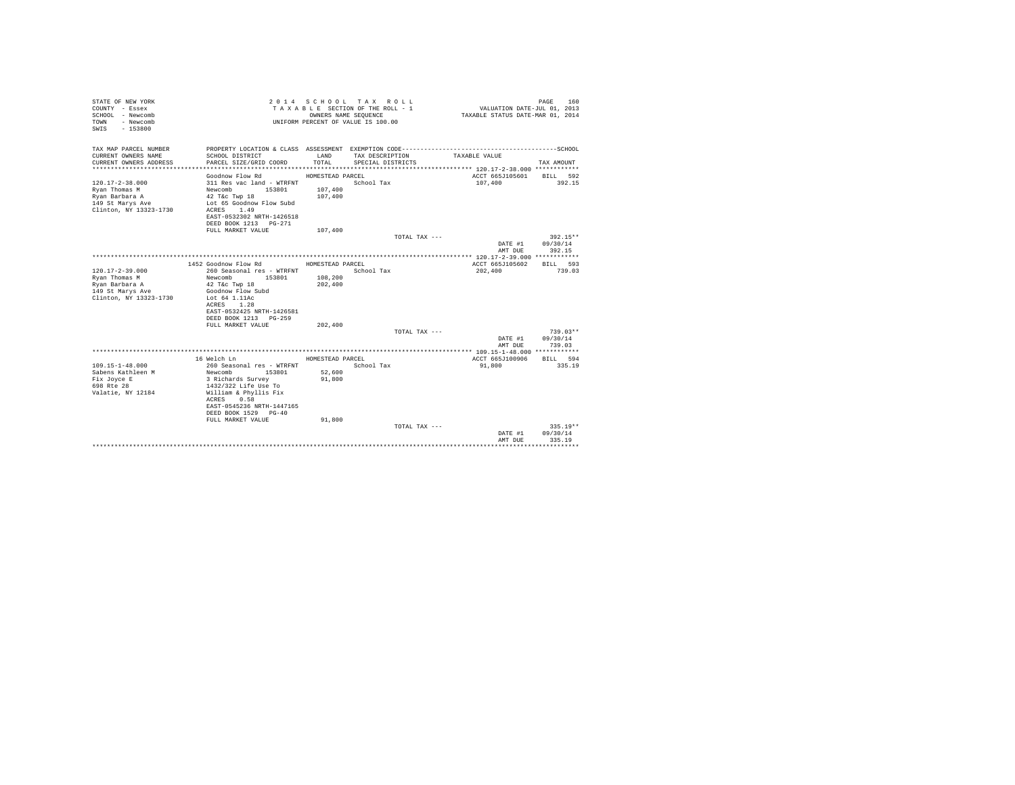| STATE OF NEW YORK<br>COUNTY - Essex<br>SCHOOL - Newcomb<br>- Newcomb<br>TOWN<br>$-153800$<br>SWIS |                                           | OWNERS NAME SEOUENCE | 2014 SCHOOL TAX ROLL<br>TAXABLE SECTION OF THE ROLL - 1<br>UNIFORM PERCENT OF VALUE IS 100.00 |                 | PAGE<br>160<br>VALUATION DATE-JUL 01, 2013<br>TAXABLE STATUS DATE-MAR 01, 2014 |
|---------------------------------------------------------------------------------------------------|-------------------------------------------|----------------------|-----------------------------------------------------------------------------------------------|-----------------|--------------------------------------------------------------------------------|
| TAX MAP PARCEL NUMBER<br>CURRENT OWNERS NAME                                                      | SCHOOL DISTRICT                           | LAND                 | TAX DESCRIPTION                                                                               | TAXABLE VALUE   |                                                                                |
| CURRENT OWNERS ADDRESS                                                                            | PARCEL SIZE/GRID COORD                    | TOTAL                | SPECIAL DISTRICTS                                                                             |                 | TAX AMOUNT                                                                     |
|                                                                                                   |                                           |                      |                                                                                               |                 |                                                                                |
|                                                                                                   | Goodnow Flow Rd                           | HOMESTEAD PARCEL     |                                                                                               | ACCT 665J105601 | BILL 592                                                                       |
| $120.17 - 2 - 38.000$                                                                             | 311 Res vac land - WTRFNT                 |                      | School Tax                                                                                    | 107,400         | 392.15                                                                         |
| Rvan Thomas M                                                                                     | 153801<br>Newcomb                         | 107,400              |                                                                                               |                 |                                                                                |
| Ryan Barbara A                                                                                    | 42 T&c Twp 18                             | 107,400              |                                                                                               |                 |                                                                                |
| 149 St Marys Ave<br>Clinton, NY 13323-1730                                                        | Lot 65 Goodnow Flow Subd<br>1.49<br>ACRES |                      |                                                                                               |                 |                                                                                |
|                                                                                                   | EAST-0532302 NRTH-1426518                 |                      |                                                                                               |                 |                                                                                |
|                                                                                                   | DEED BOOK 1213 PG-271                     |                      |                                                                                               |                 |                                                                                |
|                                                                                                   | FULL MARKET VALUE                         | 107,400              |                                                                                               |                 |                                                                                |
|                                                                                                   |                                           |                      |                                                                                               | TOTAL TAX ---   | 392.15**                                                                       |
|                                                                                                   |                                           |                      |                                                                                               |                 | DATE #1<br>09/30/14<br>AMT DUE<br>392.15                                       |
|                                                                                                   |                                           |                      |                                                                                               |                 |                                                                                |
|                                                                                                   | 1452 Goodnow Flow Rd                      | HOMESTEAD PARCEL     |                                                                                               | ACCT 665J105602 | BILL 593                                                                       |
| $120.17 - 2 - 39.000$                                                                             | 260 Seasonal res - WTRFNT                 |                      | School Tax                                                                                    | 202,400         | 739.03                                                                         |
| Ryan Thomas M                                                                                     | Newcomb<br>153801                         | 108,200              |                                                                                               |                 |                                                                                |
| Ryan Barbara A                                                                                    | 42 T&c Twp 18                             | 202,400              |                                                                                               |                 |                                                                                |
| 149 St Marys Ave                                                                                  | Goodnow Flow Subd                         |                      |                                                                                               |                 |                                                                                |
| Clinton, NY 13323-1730                                                                            | Lot 64 1.11Ac<br>ACRES 1.28               |                      |                                                                                               |                 |                                                                                |
|                                                                                                   | EAST-0532425 NRTH-1426581                 |                      |                                                                                               |                 |                                                                                |
|                                                                                                   | DEED BOOK 1213 PG-259                     |                      |                                                                                               |                 |                                                                                |
|                                                                                                   | FULL MARKET VALUE                         | 202,400              |                                                                                               |                 |                                                                                |
|                                                                                                   |                                           |                      |                                                                                               | TOTAL TAX ---   | $739.03**$                                                                     |
|                                                                                                   |                                           |                      |                                                                                               |                 | DATE #1<br>09/30/14                                                            |
|                                                                                                   |                                           |                      |                                                                                               |                 | 739.03<br>AMT DUE                                                              |
|                                                                                                   | 16 Welch Ln                               | HOMESTEAD PARCEL     |                                                                                               | ACCT 665J100906 | BILL 594                                                                       |
| $109.15 - 1 - 48.000$                                                                             | 260 Seasonal res - WTRFNT                 |                      | School Tax                                                                                    | 91,800          | 335.19                                                                         |
| Sabens Kathleen M                                                                                 | Newcomb<br>153801                         | 52,600               |                                                                                               |                 |                                                                                |
| Fix Joyce E                                                                                       | 3 Richards Survey                         | 91,800               |                                                                                               |                 |                                                                                |
| 698 Rte 28                                                                                        | 1432/322 Life Use To                      |                      |                                                                                               |                 |                                                                                |
| Valatie, NY 12184                                                                                 | William & Phyllis Fix<br>ACRES 0.58       |                      |                                                                                               |                 |                                                                                |
|                                                                                                   | EAST-0545236 NRTH-1447165                 |                      |                                                                                               |                 |                                                                                |
|                                                                                                   | DEED BOOK 1529 PG-40                      |                      |                                                                                               |                 |                                                                                |
|                                                                                                   | FULL MARKET VALUE                         | 91,800               |                                                                                               |                 |                                                                                |
|                                                                                                   |                                           |                      |                                                                                               | TOTAL TAX ---   | $335.19**$                                                                     |
|                                                                                                   |                                           |                      |                                                                                               |                 | 09/30/14<br>DATE #1                                                            |
|                                                                                                   |                                           |                      |                                                                                               |                 | AMT DUE<br>335.19                                                              |
|                                                                                                   |                                           |                      |                                                                                               |                 |                                                                                |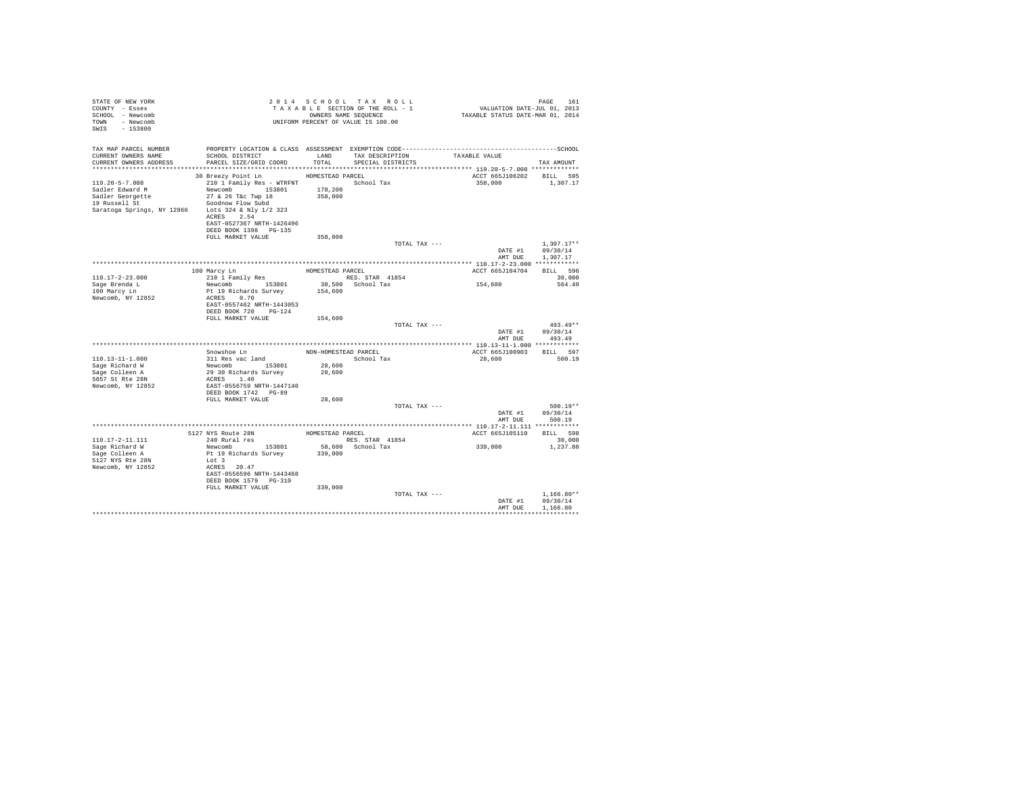| STATE OF NEW YORK<br>COUNTY - Essex<br>SCHOOL - Newcomb<br>TOWN - Newcomb<br>SWIS - 153800                                        |                                                                                                                                                                       |                    | 2014 SCHOOL TAX ROLL<br>TAXABLE SECTION OF THE ROLL - 1<br>OWNERS NAME SEQUENCE<br>UNIFORM PERCENT OF VALUE IS 100.00 | raus roil<br>VALUATION DATE-JUL 01, 2013<br>TAXABLE STATUS DATE-MAR 01, 2014 | PAGE<br>161                          |
|-----------------------------------------------------------------------------------------------------------------------------------|-----------------------------------------------------------------------------------------------------------------------------------------------------------------------|--------------------|-----------------------------------------------------------------------------------------------------------------------|------------------------------------------------------------------------------|--------------------------------------|
| TAX MAP PARCEL NUMBER<br>CURRENT OWNERS NAME                                                                                      | SCHOOL DISTRICT                                                                                                                                                       |                    | LAND TAX DESCRIPTION                                                                                                  | TAXABLE VALUE                                                                |                                      |
| CURRENT OWNERS ADDRESS                                                                                                            | PARCEL SIZE/GRID COORD                                                                                                                                                | TOTAL              | SPECIAL DISTRICTS                                                                                                     |                                                                              | TAX AMOUNT                           |
|                                                                                                                                   | 30 Breezy Point Ln                                                                                                                                                    | HOMESTEAD PARCEL   |                                                                                                                       | ACCT 665J106202 BILL 595                                                     |                                      |
| $119.20 - 5 - 7.008$<br>Sadler Edward M<br>Sadler Georgette<br>19 Russell St<br>Saratoga Springs, NY 12866 Lots 324 & Nly 1/2 323 | 210 1 Family Res - WTRFNT School Tax<br>Newcomb 153801<br>27 & 26 T&c Twp 18<br>Goodnow Flow Subd<br>ACRES 2.54<br>EAST-0527367 NRTH-1426496<br>DEED BOOK 1398 PG-135 | 178,200<br>358,000 |                                                                                                                       | 358,000                                                                      | 1,307.17                             |
|                                                                                                                                   | FULL MARKET VALUE                                                                                                                                                     | 358,000            | TOTAL TAX ---                                                                                                         |                                                                              | $1.307.17**$                         |
|                                                                                                                                   |                                                                                                                                                                       |                    |                                                                                                                       | DATE #1<br>AMT DUE                                                           | 09/30/14<br>1,307.17                 |
|                                                                                                                                   |                                                                                                                                                                       |                    |                                                                                                                       |                                                                              |                                      |
| $110.17 - 2 - 23.000$                                                                                                             | 100 Marcy Ln<br>210 1 Family Res                                                                                                                                      |                    | HOMESTEAD PARCEL                                                                                                      | ACCT 665J104704                                                              | BILL 596<br>30,000                   |
| Sage Brenda L<br>100 Marcy Ln<br>Newcomb, NY 12852                                                                                | Newcomb 153801<br>Pt 19 Richards Survey<br>ACRES 0.70                                                                                                                 | 154,600            | RES. STAR 41854<br>30,500 School Tax                                                                                  | 154,600                                                                      | 564.49                               |
|                                                                                                                                   | EAST-0557462 NRTH-1443053<br>DEED BOOK 720 PG-124<br>FULL MARKET VALUE                                                                                                | 154,600            |                                                                                                                       |                                                                              |                                      |
|                                                                                                                                   |                                                                                                                                                                       |                    | TOTAL TAX ---                                                                                                         |                                                                              | $493.49**$                           |
|                                                                                                                                   |                                                                                                                                                                       |                    |                                                                                                                       | DATE #1<br>AMT DUE                                                           | 09/30/14<br>493.49                   |
|                                                                                                                                   | Snowshoe Ln                                                                                                                                                           |                    | NON-HOMESTEAD PARCEL                                                                                                  | ACCT 665J100903                                                              | BILL 597                             |
| 110.13-11-1.000                                                                                                                   | 311 Res vac land                                                                                                                                                      |                    | School Tax                                                                                                            | 28,600                                                                       | 500.19                               |
| Sage Richard W                                                                                                                    |                                                                                                                                                                       | 28,600             |                                                                                                                       |                                                                              |                                      |
| Sage Colleen A                                                                                                                    | Newcomb 153801<br>29 30 Richards Survey                                                                                                                               | 28,600             |                                                                                                                       |                                                                              |                                      |
| 5057 St Rte 28N<br>Newcomb, NY 12852                                                                                              | ACRES 1.40<br>EAST-0556759 NRTH-1447140<br>DEED BOOK 1742 PG-89                                                                                                       |                    |                                                                                                                       |                                                                              |                                      |
|                                                                                                                                   | FULL MARKET VALUE                                                                                                                                                     | 28,600             |                                                                                                                       |                                                                              |                                      |
|                                                                                                                                   |                                                                                                                                                                       |                    | TOTAL TAX ---                                                                                                         | DATE #1<br>AMT DUE                                                           | $500.19**$<br>09/30/14<br>500.19     |
|                                                                                                                                   |                                                                                                                                                                       |                    |                                                                                                                       |                                                                              |                                      |
|                                                                                                                                   | 5127 NYS Route 28N HOMESTEAD PARCEL                                                                                                                                   |                    |                                                                                                                       | ACCT 665J105110                                                              | BILL 598                             |
| 110.17-2-11.111                                                                                                                   | 240 Rural res                                                                                                                                                         |                    | RES. STAR 41854                                                                                                       |                                                                              | 30,000                               |
| Sage Richard W                                                                                                                    | Newcomb 153801                                                                                                                                                        |                    | 58,600 School Tax                                                                                                     | 339,000                                                                      | 1,237.80                             |
| Sage Colleen A                                                                                                                    | Pt 19 Richards Survey                                                                                                                                                 | 339,000            |                                                                                                                       |                                                                              |                                      |
| 5127 NYS Rte 28N<br>Newcomb, NY 12852                                                                                             | Lot 3<br>ACRES 20.47                                                                                                                                                  |                    |                                                                                                                       |                                                                              |                                      |
|                                                                                                                                   | EAST-0556596 NRTH-1443468<br>DEED BOOK 1579 PG-310                                                                                                                    |                    |                                                                                                                       |                                                                              |                                      |
|                                                                                                                                   | FULL MARKET VALUE                                                                                                                                                     | 339,000            |                                                                                                                       |                                                                              |                                      |
|                                                                                                                                   |                                                                                                                                                                       |                    | TOTAL TAX ---                                                                                                         | DATE #1<br>AMT DUE                                                           | $1.166.80**$<br>09/30/14<br>1,166.80 |
|                                                                                                                                   |                                                                                                                                                                       |                    |                                                                                                                       |                                                                              |                                      |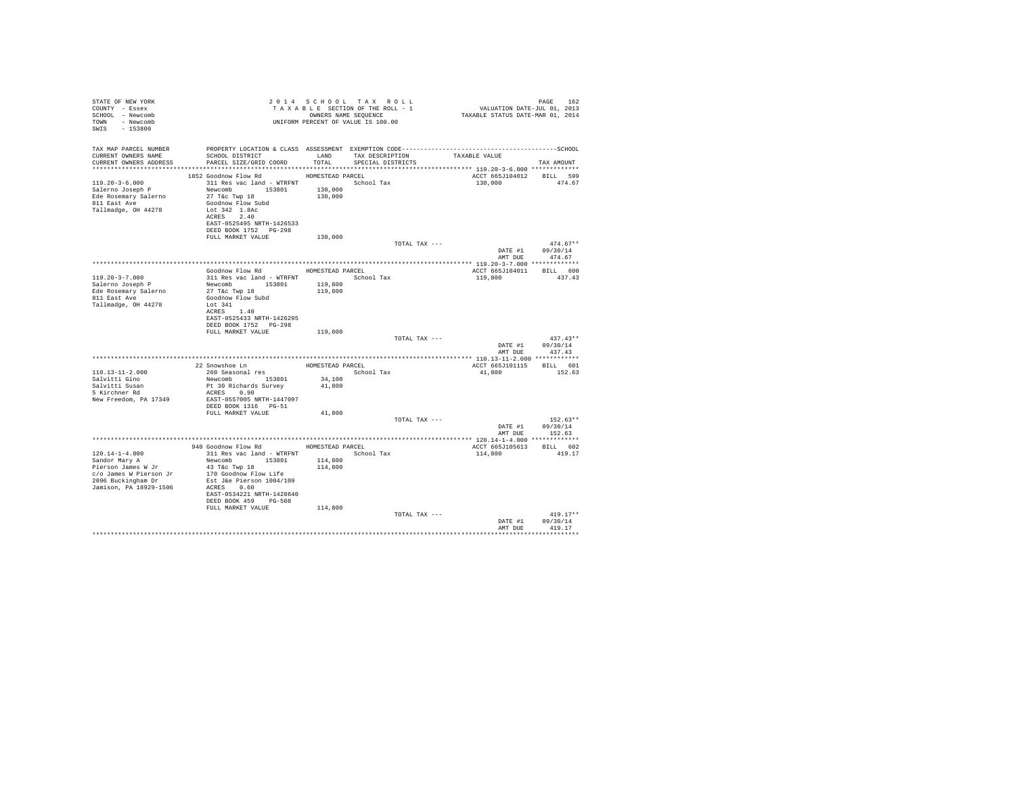| STATE OF NEW YORK                                                                                                                                                                                                                                                                                                                                                                                                                  |                                                                                                                                      |                  | 2014 SCHOOL TAX ROLL |                                                                             |                                    |
|------------------------------------------------------------------------------------------------------------------------------------------------------------------------------------------------------------------------------------------------------------------------------------------------------------------------------------------------------------------------------------------------------------------------------------|--------------------------------------------------------------------------------------------------------------------------------------|------------------|----------------------|-----------------------------------------------------------------------------|------------------------------------|
| COUNTY - Essex                                                                                                                                                                                                                                                                                                                                                                                                                     | 2014 SCROW 1 ACTION OF THE ROLL - 1<br>TAXABLE SECTION OF THE ROLL - 1<br>ONNERS NAME SEQUENCE<br>UNIFORM PERCENT OF VALUE IS 100.00 |                  |                      | PAGE 162<br>VALUATION DATE-JUL 01, 2013<br>TAXABLE STATUS DATE-MAR 01, 2014 |                                    |
| SCHOOL - Newcomb                                                                                                                                                                                                                                                                                                                                                                                                                   |                                                                                                                                      |                  |                      |                                                                             |                                    |
| TOWN - Newcomb                                                                                                                                                                                                                                                                                                                                                                                                                     |                                                                                                                                      |                  |                      |                                                                             |                                    |
| SWIS - 153800                                                                                                                                                                                                                                                                                                                                                                                                                      |                                                                                                                                      |                  |                      |                                                                             |                                    |
|                                                                                                                                                                                                                                                                                                                                                                                                                                    |                                                                                                                                      |                  |                      |                                                                             |                                    |
|                                                                                                                                                                                                                                                                                                                                                                                                                                    |                                                                                                                                      |                  |                      |                                                                             |                                    |
| CURRENT OWNERS NAME                                                                                                                                                                                                                                                                                                                                                                                                                |                                                                                                                                      |                  |                      |                                                                             |                                    |
| CURRENT OWNERS ADDRESS                                                                                                                                                                                                                                                                                                                                                                                                             | SCHOOL DISTRICT                       LAND       TAX DESCRIPTION                 TAXABLE VALUE<br>PARCEL SIZE/GRID COORD             | TOTAL            | SPECIAL DISTRICTS    |                                                                             | TAX AMOUNT                         |
|                                                                                                                                                                                                                                                                                                                                                                                                                                    |                                                                                                                                      |                  |                      |                                                                             |                                    |
| $\begin{tabular}{lllllllllllll} $\texttt{m} & \texttt{m} & \texttt{m} & \texttt{m} & \texttt{m} & \texttt{m} & \texttt{m} & \texttt{m} & \texttt{m} & \texttt{m} & \texttt{m} & \texttt{m} & \texttt{m} & \texttt{m} & \texttt{m} & \texttt{m} & \texttt{m} & \texttt{m} & \texttt{m} & \texttt{m} & \texttt{m} & \texttt{m} & \texttt{m} & \texttt{m} & \texttt{m} & \texttt{m} & \texttt{m} & \texttt{m} & \texttt{m} & \texttt$ |                                                                                                                                      |                  |                      | ACCT 665J104012 BILL 599                                                    |                                    |
|                                                                                                                                                                                                                                                                                                                                                                                                                                    |                                                                                                                                      |                  |                      | 130,000 474.67                                                              |                                    |
|                                                                                                                                                                                                                                                                                                                                                                                                                                    |                                                                                                                                      |                  |                      |                                                                             |                                    |
|                                                                                                                                                                                                                                                                                                                                                                                                                                    |                                                                                                                                      |                  |                      |                                                                             |                                    |
|                                                                                                                                                                                                                                                                                                                                                                                                                                    |                                                                                                                                      |                  |                      |                                                                             |                                    |
| Tallmadge, OH 44278                                                                                                                                                                                                                                                                                                                                                                                                                | Lot 342 1.8Ac                                                                                                                        |                  |                      |                                                                             |                                    |
|                                                                                                                                                                                                                                                                                                                                                                                                                                    | ACRES 2.40                                                                                                                           |                  |                      |                                                                             |                                    |
|                                                                                                                                                                                                                                                                                                                                                                                                                                    | EAST-0525495 NRTH-1426533                                                                                                            |                  |                      |                                                                             |                                    |
|                                                                                                                                                                                                                                                                                                                                                                                                                                    | DEED BOOK 1752 PG-298                                                                                                                |                  |                      |                                                                             |                                    |
|                                                                                                                                                                                                                                                                                                                                                                                                                                    | FULL MARKET VALUE                                                                                                                    | 130,000          |                      |                                                                             |                                    |
|                                                                                                                                                                                                                                                                                                                                                                                                                                    |                                                                                                                                      |                  | TOTAL TAX ---        |                                                                             | $474.67**$                         |
|                                                                                                                                                                                                                                                                                                                                                                                                                                    |                                                                                                                                      |                  |                      |                                                                             | DATE #1 09/30/14                   |
|                                                                                                                                                                                                                                                                                                                                                                                                                                    |                                                                                                                                      |                  |                      | AMT DUE                                                                     | 474.67                             |
|                                                                                                                                                                                                                                                                                                                                                                                                                                    |                                                                                                                                      |                  |                      |                                                                             |                                    |
|                                                                                                                                                                                                                                                                                                                                                                                                                                    | Goodnow Flow Rd MOMESTEAD PARCEL                                                                                                     |                  |                      | ACCT 665J104011 BILL 600                                                    |                                    |
| 119.20-3-7.000                                                                                                                                                                                                                                                                                                                                                                                                                     | 311 Res vac land - WTRFNT School Tax                                                                                                 |                  |                      | 119,800 437.43                                                              |                                    |
| 119.20-3-7.000<br>Salerno Joseph P<br>Ede Rosemary Salerno<br>811 East Ave                                                                                                                                                                                                                                                                                                                                                         | Newcomb 153801 119,800                                                                                                               |                  |                      |                                                                             |                                    |
|                                                                                                                                                                                                                                                                                                                                                                                                                                    | 27 T&c Twp 18<br>Goodnow Flow Subd                                                                                                   | 119,800          |                      |                                                                             |                                    |
|                                                                                                                                                                                                                                                                                                                                                                                                                                    |                                                                                                                                      |                  |                      |                                                                             |                                    |
| Tallmadge, OH 44278                                                                                                                                                                                                                                                                                                                                                                                                                | Lot 341                                                                                                                              |                  |                      |                                                                             |                                    |
|                                                                                                                                                                                                                                                                                                                                                                                                                                    | ACRES 1.40                                                                                                                           |                  |                      |                                                                             |                                    |
|                                                                                                                                                                                                                                                                                                                                                                                                                                    | EAST-0525433 NRTH-1426295                                                                                                            |                  |                      |                                                                             |                                    |
|                                                                                                                                                                                                                                                                                                                                                                                                                                    | DEED BOOK 1752 PG-298                                                                                                                |                  |                      |                                                                             |                                    |
|                                                                                                                                                                                                                                                                                                                                                                                                                                    | FULL MARKET VALUE                                                                                                                    | 119,800          |                      |                                                                             | $437.43**$                         |
|                                                                                                                                                                                                                                                                                                                                                                                                                                    |                                                                                                                                      |                  | TOTAL TAX ---        |                                                                             |                                    |
|                                                                                                                                                                                                                                                                                                                                                                                                                                    |                                                                                                                                      |                  |                      |                                                                             | DATE #1 09/30/14<br>AMT DUE 437.43 |
|                                                                                                                                                                                                                                                                                                                                                                                                                                    |                                                                                                                                      |                  |                      |                                                                             |                                    |
|                                                                                                                                                                                                                                                                                                                                                                                                                                    |                                                                                                                                      |                  | HOMESTEAD PARCEL     | ACCT 665J101115 BILL 601                                                    |                                    |
| 110.13-11-2.000                                                                                                                                                                                                                                                                                                                                                                                                                    | 22 Snowshoe Ln<br>260 Seasonal res                                                                                                   |                  | School Tax           | 41,800 152.63                                                               |                                    |
| Salvitti Gino                                                                                                                                                                                                                                                                                                                                                                                                                      |                                                                                                                                      |                  |                      |                                                                             |                                    |
|                                                                                                                                                                                                                                                                                                                                                                                                                                    | Newcomb 153801<br>Pt 30 Richards Survey                                                                                              | 34,100<br>41,800 |                      |                                                                             |                                    |
| Salvitti Susan<br>5 Kirchner Rd                                                                                                                                                                                                                                                                                                                                                                                                    | ACRES 0.90                                                                                                                           |                  |                      |                                                                             |                                    |
| New Freedom, PA 17349                                                                                                                                                                                                                                                                                                                                                                                                              | EAST-0557005 NRTH-1447097                                                                                                            |                  |                      |                                                                             |                                    |
|                                                                                                                                                                                                                                                                                                                                                                                                                                    | DEED BOOK 1316 PG-51                                                                                                                 |                  |                      |                                                                             |                                    |
|                                                                                                                                                                                                                                                                                                                                                                                                                                    | FULL MARKET VALUE                                                                                                                    | 41,800           |                      |                                                                             |                                    |
|                                                                                                                                                                                                                                                                                                                                                                                                                                    |                                                                                                                                      |                  | TOTAL TAX ---        |                                                                             | $152.63**$                         |
|                                                                                                                                                                                                                                                                                                                                                                                                                                    |                                                                                                                                      |                  |                      |                                                                             | DATE #1 09/30/14                   |
|                                                                                                                                                                                                                                                                                                                                                                                                                                    |                                                                                                                                      |                  |                      |                                                                             | AMT DUE 152.63                     |
|                                                                                                                                                                                                                                                                                                                                                                                                                                    |                                                                                                                                      |                  |                      |                                                                             |                                    |
|                                                                                                                                                                                                                                                                                                                                                                                                                                    | 940 Goodnow Flow Rd MOMESTEAD PARCEL                                                                                                 |                  |                      | ACCT 665J105613 BILL 602                                                    |                                    |
| 120.14-1-4.000<br>Sandor Mary A<br>Pierson James W Jr                                                                                                                                                                                                                                                                                                                                                                              | 311 Res vac land - WTRFNT                                                                                                            |                  | School Tax           | 114,800 419.17                                                              |                                    |
|                                                                                                                                                                                                                                                                                                                                                                                                                                    |                                                                                                                                      |                  |                      |                                                                             |                                    |
|                                                                                                                                                                                                                                                                                                                                                                                                                                    |                                                                                                                                      |                  |                      |                                                                             |                                    |
|                                                                                                                                                                                                                                                                                                                                                                                                                                    |                                                                                                                                      |                  |                      |                                                                             |                                    |
|                                                                                                                                                                                                                                                                                                                                                                                                                                    |                                                                                                                                      |                  |                      |                                                                             |                                    |
|                                                                                                                                                                                                                                                                                                                                                                                                                                    |                                                                                                                                      |                  |                      |                                                                             |                                    |
|                                                                                                                                                                                                                                                                                                                                                                                                                                    | EAST-0534221 NRTH-1428640                                                                                                            |                  |                      |                                                                             |                                    |
|                                                                                                                                                                                                                                                                                                                                                                                                                                    | DEED BOOK 459 PG-508                                                                                                                 |                  |                      |                                                                             |                                    |
|                                                                                                                                                                                                                                                                                                                                                                                                                                    | FULL MARKET VALUE                                                                                                                    | 114,800          |                      |                                                                             |                                    |
|                                                                                                                                                                                                                                                                                                                                                                                                                                    |                                                                                                                                      |                  | TOTAL TAX ---        |                                                                             | $419.17**$                         |
|                                                                                                                                                                                                                                                                                                                                                                                                                                    |                                                                                                                                      |                  |                      |                                                                             | DATE #1 09/30/14<br>AMT DUE 419.17 |
|                                                                                                                                                                                                                                                                                                                                                                                                                                    |                                                                                                                                      |                  |                      |                                                                             |                                    |
|                                                                                                                                                                                                                                                                                                                                                                                                                                    |                                                                                                                                      |                  |                      |                                                                             |                                    |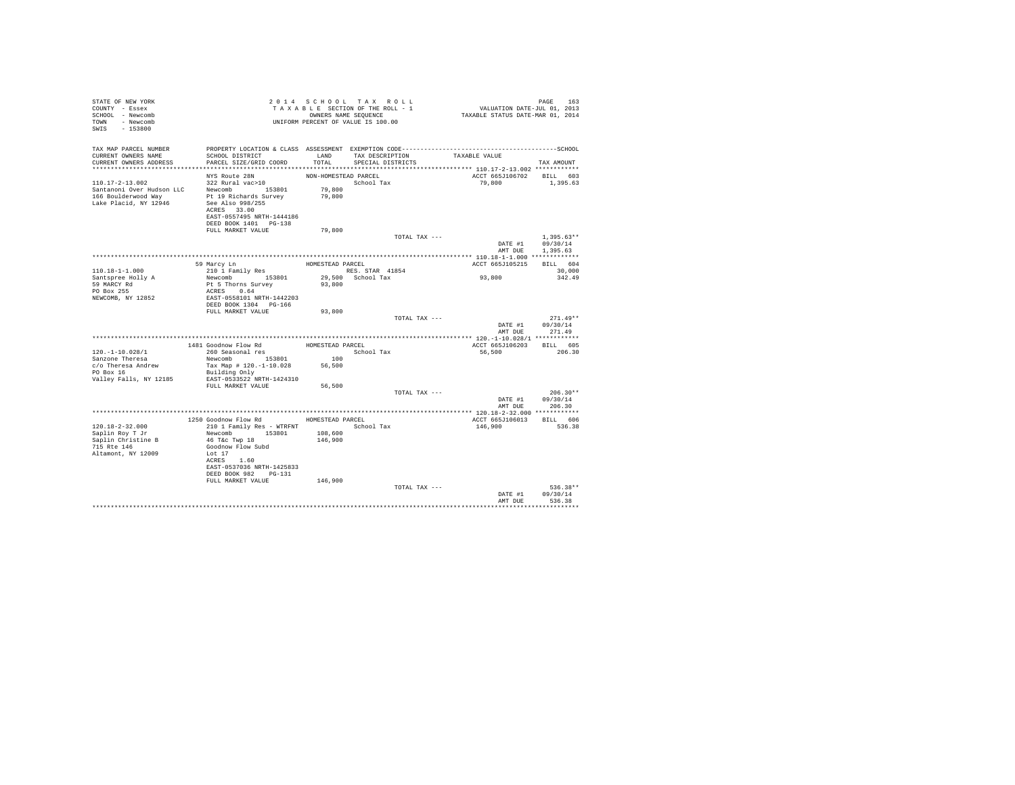| STATE OF NEW YORK<br>COUNTY - Essex<br>SCHOOL - Newcomb<br>TOWN - Newcomb<br>SWIS - 153800 |                                           |                      | 2014 SCHOOL TAX ROLL<br>TAXABLE SECTION OF THE ROLL - 1<br>OWNERS NAME SEQUENCE<br>UNIFORM PERCENT OF VALUE IS 100.00 | PAGE 163<br>VALUATION DATE-JUL 01, 2013<br>TAXABLE STATUS DATE-MAR 01, 2014 |                              |
|--------------------------------------------------------------------------------------------|-------------------------------------------|----------------------|-----------------------------------------------------------------------------------------------------------------------|-----------------------------------------------------------------------------|------------------------------|
| TAX MAP PARCEL NUMBER                                                                      |                                           |                      |                                                                                                                       |                                                                             |                              |
| CURRENT OWNERS NAME<br>CURRENT OWNERS ADDRESS                                              | SCHOOL DISTRICT<br>PARCEL SIZE/GRID COORD | TOTAL                | LAND TAX DESCRIPTION<br>SPECIAL DISTRICTS                                                                             | TAXABLE VALUE                                                               | TAX AMOUNT                   |
|                                                                                            |                                           |                      |                                                                                                                       |                                                                             |                              |
|                                                                                            | NYS Route 28N                             | NON-HOMESTEAD PARCEL |                                                                                                                       | ACCT 665J106702 BILL 603                                                    |                              |
| 110.17-2-13.002                                                                            | 322 Rural vac>10                          |                      | School Tax                                                                                                            | 79.800                                                                      | 1,395.63                     |
| Santanoni Over Hudson LLC                                                                  | Newcomb 153801                            | 79,800               |                                                                                                                       |                                                                             |                              |
| 166 Boulderwood Way<br>Lake Placid, NY 12946                                               | Pt 19 Richards Survey<br>See Also 998/255 | 79,800               |                                                                                                                       |                                                                             |                              |
|                                                                                            | ACRES 33.00                               |                      |                                                                                                                       |                                                                             |                              |
|                                                                                            | EAST-0557495 NRTH-1444186                 |                      |                                                                                                                       |                                                                             |                              |
|                                                                                            | DEED BOOK 1401 PG-138                     |                      |                                                                                                                       |                                                                             |                              |
|                                                                                            | FULL MARKET VALUE                         | 79,800               |                                                                                                                       |                                                                             |                              |
|                                                                                            |                                           |                      | TOTAL TAX ---                                                                                                         |                                                                             | $1,395.63**$                 |
|                                                                                            |                                           |                      |                                                                                                                       | AMT DUE                                                                     | DATE #1 09/30/14<br>1,395.63 |
|                                                                                            |                                           |                      |                                                                                                                       |                                                                             |                              |
|                                                                                            | 59 Marcy Ln                               | HOMESTEAD PARCEL     |                                                                                                                       | ACCT 665J105215 BILL 604                                                    |                              |
| $110.18 - 1 - 1.000$                                                                       | 210 1 Family Res                          |                      | RES. STAR 41854                                                                                                       |                                                                             | 30,000                       |
| Santspree Holly A                                                                          | Newcomb 153801                            |                      | 29,500 School Tax                                                                                                     | 93,800                                                                      | 342.49                       |
| 59 MARCY Rd                                                                                | Pt 5 Thorns Survey                        | 93,800               |                                                                                                                       |                                                                             |                              |
| PO Box 255<br>NEWCOMB, NY 12852                                                            | ACRES 0.64<br>EAST-0558101 NRTH-1442203   |                      |                                                                                                                       |                                                                             |                              |
|                                                                                            | DEED BOOK 1304 PG-166                     |                      |                                                                                                                       |                                                                             |                              |
|                                                                                            | FULL MARKET VALUE                         | 93,800               |                                                                                                                       |                                                                             |                              |
|                                                                                            |                                           |                      | TOTAL TAX ---                                                                                                         |                                                                             | $271.49**$                   |
|                                                                                            |                                           |                      |                                                                                                                       | DATE #1                                                                     | 09/30/14                     |
|                                                                                            |                                           |                      |                                                                                                                       |                                                                             | AMT DUE 271.49               |
|                                                                                            |                                           |                      |                                                                                                                       |                                                                             |                              |
|                                                                                            | 1481 Goodnow Flow Rd<br>260 Seasonal res  | HOMESTEAD PARCEL     |                                                                                                                       | ACCT 665J106203 BILL 605                                                    |                              |
| $120.-1-10.028/1$<br>Sanzone Theresa                                                       | Newcomb 153801                            | 100                  | School Tax                                                                                                            | 56,500                                                                      | 206.30                       |
| c/o Theresa Andrew                                                                         | Tax Map # 120.-1-10.028                   | 56,500               |                                                                                                                       |                                                                             |                              |
| PO Box 16                                                                                  | Building Only                             |                      |                                                                                                                       |                                                                             |                              |
| Valley Falls, NY 12185                                                                     | EAST-0533522 NRTH-1424310                 |                      |                                                                                                                       |                                                                             |                              |
|                                                                                            | FULL MARKET VALUE                         | 56,500               |                                                                                                                       |                                                                             |                              |
|                                                                                            |                                           |                      | TOTAL TAX ---                                                                                                         |                                                                             | $206.30**$                   |
|                                                                                            |                                           |                      |                                                                                                                       |                                                                             | DATE #1 09/30/14             |
|                                                                                            |                                           |                      |                                                                                                                       | AMT DUE                                                                     | 206.30                       |
|                                                                                            | 1250 Goodnow Flow Rd MOMESTEAD PARCEL     |                      |                                                                                                                       | ACCT 665J106013 BILL 606                                                    |                              |
| 120.18-2-32.000                                                                            | 210 1 Family Res - WTRFNT                 |                      | School Tax                                                                                                            | 146,900                                                                     | 536.38                       |
| Saplin Roy T Jr                                                                            | Newcomb 153801                            | 108,600              |                                                                                                                       |                                                                             |                              |
| Saplin Christine B                                                                         | 46 T&c Twp 18                             | 146,900              |                                                                                                                       |                                                                             |                              |
| 715 Rte 146                                                                                | Goodnow Flow Subd                         |                      |                                                                                                                       |                                                                             |                              |
| Altamont, NY 12009                                                                         | Lot 17                                    |                      |                                                                                                                       |                                                                             |                              |
|                                                                                            | ACRES 1.60                                |                      |                                                                                                                       |                                                                             |                              |
|                                                                                            | EAST-0537036 NRTH-1425833                 |                      |                                                                                                                       |                                                                             |                              |
|                                                                                            | DEED BOOK 982 PG-131<br>FULL MARKET VALUE | 146,900              |                                                                                                                       |                                                                             |                              |
|                                                                                            |                                           |                      | TOTAL TAX ---                                                                                                         |                                                                             | $536.38**$                   |
|                                                                                            |                                           |                      |                                                                                                                       | DATE #1                                                                     | 09/30/14                     |
|                                                                                            |                                           |                      |                                                                                                                       | AMT DUE                                                                     | 536.38                       |
|                                                                                            |                                           |                      |                                                                                                                       |                                                                             |                              |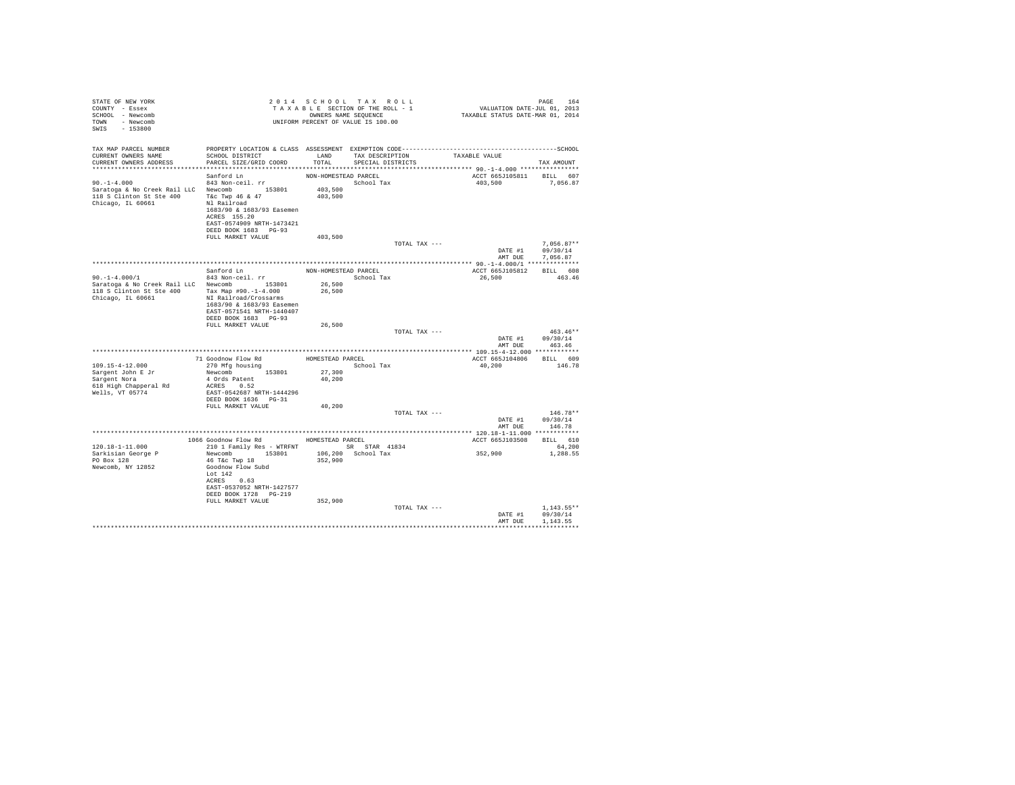| STATE OF NEW YORK<br>COUNTY - Essex<br>SCHOOL - Newcomb<br>TOWN - Newcomb<br>SWIS - 153800                                  |                                                                                            |                      | 2014 SCHOOL TAX ROLL<br>$\begin{array}{lclcl} \textit{z} & \textit{u} & \textit{u} & \textit{u} & \textit{u} & \textit{u} & \textit{u} \\ \textit{T} & \textit{A} & \textit{X} & \textit{A} & \textit{B} & \textit{I} & \textit{I} & \textit{I} & \textit{I} \\ \textit{T} & \textit{A} & \textit{X} & \textit{A} & \textit{B} & \textit{I} & \textit{I} & \textit{I} & \textit{I} & \textit{I} \\ \textit{I} & \textit{A} & \textit{X} & \textit{A} & \textit$<br>UNIFORM PERCENT OF VALUE IS 100.00 |                                           | PAGE<br>164                    |
|-----------------------------------------------------------------------------------------------------------------------------|--------------------------------------------------------------------------------------------|----------------------|-------------------------------------------------------------------------------------------------------------------------------------------------------------------------------------------------------------------------------------------------------------------------------------------------------------------------------------------------------------------------------------------------------------------------------------------------------------------------------------------------------|-------------------------------------------|--------------------------------|
| TAX MAP PARCEL NUMBER PROPERTY LOCATION & CLASS ASSESSMENT EXEMPTION CODE-----------------------------------SCHOOL          |                                                                                            |                      |                                                                                                                                                                                                                                                                                                                                                                                                                                                                                                       |                                           |                                |
| CURRENT OWNERS NAME<br>CURRENT OWNERS ADDRESS                                                                               | PARCEL SIZE/GRID COORD                                                                     |                      | SCHOOL DISTRICT                     LAND        TAX DESCRIPTION                 TAXABLE VALUE<br>TOTAL SPECIAL DISTRICTS                                                                                                                                                                                                                                                                                                                                                                              |                                           | TAX AMOUNT                     |
|                                                                                                                             |                                                                                            |                      |                                                                                                                                                                                                                                                                                                                                                                                                                                                                                                       |                                           |                                |
|                                                                                                                             | Sanford Ln                                                                                 | NON-HOMESTEAD PARCEL |                                                                                                                                                                                                                                                                                                                                                                                                                                                                                                       | ACCT 665J105811 BILL 607                  |                                |
|                                                                                                                             |                                                                                            |                      |                                                                                                                                                                                                                                                                                                                                                                                                                                                                                                       | 403,500 7,056.87                          |                                |
|                                                                                                                             |                                                                                            |                      |                                                                                                                                                                                                                                                                                                                                                                                                                                                                                                       |                                           |                                |
|                                                                                                                             |                                                                                            |                      |                                                                                                                                                                                                                                                                                                                                                                                                                                                                                                       |                                           |                                |
|                                                                                                                             | 1683/90 & 1683/93 Easemen                                                                  |                      |                                                                                                                                                                                                                                                                                                                                                                                                                                                                                                       |                                           |                                |
|                                                                                                                             | ACRES 155.20                                                                               |                      |                                                                                                                                                                                                                                                                                                                                                                                                                                                                                                       |                                           |                                |
|                                                                                                                             | EAST-0574909 NRTH-1473421                                                                  |                      |                                                                                                                                                                                                                                                                                                                                                                                                                                                                                                       |                                           |                                |
|                                                                                                                             | DEED BOOK 1683 PG-93                                                                       |                      |                                                                                                                                                                                                                                                                                                                                                                                                                                                                                                       |                                           |                                |
|                                                                                                                             | FULL MARKET VALUE                                                                          | 403,500              |                                                                                                                                                                                                                                                                                                                                                                                                                                                                                                       |                                           |                                |
|                                                                                                                             |                                                                                            |                      | TOTAL TAX ---                                                                                                                                                                                                                                                                                                                                                                                                                                                                                         |                                           | $7.056.87**$                   |
|                                                                                                                             |                                                                                            |                      |                                                                                                                                                                                                                                                                                                                                                                                                                                                                                                       | DATE #1 09/30/14                          |                                |
|                                                                                                                             |                                                                                            |                      |                                                                                                                                                                                                                                                                                                                                                                                                                                                                                                       |                                           | AMT DUE 7,056.87               |
|                                                                                                                             | Sanford Ln NON-HOMESTEAD PARCEL                                                            |                      |                                                                                                                                                                                                                                                                                                                                                                                                                                                                                                       |                                           |                                |
|                                                                                                                             | 843 Non-ceil. rr                                                                           |                      | School Tax                                                                                                                                                                                                                                                                                                                                                                                                                                                                                            | ACCT 665J105812 BILL 608<br>26,500 463.46 |                                |
| $50.71 - 4.000 / 1$<br>Saratoga & No Creek Rail LLC Newcomb 153801 26,500<br>118 S Clinton St St. 400 - 100 - 153801 26,500 |                                                                                            |                      |                                                                                                                                                                                                                                                                                                                                                                                                                                                                                                       |                                           |                                |
| 118 S Clinton St Ste 400 Tax Map #90.-1-4.000                                                                               |                                                                                            | 26,500               |                                                                                                                                                                                                                                                                                                                                                                                                                                                                                                       |                                           |                                |
| Chicago, IL 60661                                                                                                           | NI Railroad/Crossarms                                                                      |                      |                                                                                                                                                                                                                                                                                                                                                                                                                                                                                                       |                                           |                                |
|                                                                                                                             | 1683/90 & 1683/93 Easemen                                                                  |                      |                                                                                                                                                                                                                                                                                                                                                                                                                                                                                                       |                                           |                                |
|                                                                                                                             | EAST-0571541 NRTH-1440407                                                                  |                      |                                                                                                                                                                                                                                                                                                                                                                                                                                                                                                       |                                           |                                |
|                                                                                                                             | DEED BOOK 1683 PG-93                                                                       |                      |                                                                                                                                                                                                                                                                                                                                                                                                                                                                                                       |                                           |                                |
|                                                                                                                             | FULL MARKET VALUE                                                                          | 26,500               |                                                                                                                                                                                                                                                                                                                                                                                                                                                                                                       |                                           |                                |
|                                                                                                                             |                                                                                            |                      | TOTAL TAX ---                                                                                                                                                                                                                                                                                                                                                                                                                                                                                         |                                           | $463.46**$<br>DATE #1 09/30/14 |
|                                                                                                                             |                                                                                            |                      |                                                                                                                                                                                                                                                                                                                                                                                                                                                                                                       | AMT DUE 463.46                            |                                |
|                                                                                                                             |                                                                                            |                      |                                                                                                                                                                                                                                                                                                                                                                                                                                                                                                       |                                           |                                |
|                                                                                                                             | 71 Goodnow Flow Rd<br>270 Mfg housing HOMESTEAD PARCEL<br>Newcomb 153801 27,300 School Tax |                      |                                                                                                                                                                                                                                                                                                                                                                                                                                                                                                       | ACCT 665J104806 BILL 609                  |                                |
| 109.15-4-12.000                                                                                                             |                                                                                            |                      |                                                                                                                                                                                                                                                                                                                                                                                                                                                                                                       | 40,200 146.78                             |                                |
| Sargent John E Jr<br>Sargent Nora                                                                                           |                                                                                            |                      |                                                                                                                                                                                                                                                                                                                                                                                                                                                                                                       |                                           |                                |
|                                                                                                                             | 4 Ords Patent                                                                              | 40,200               |                                                                                                                                                                                                                                                                                                                                                                                                                                                                                                       |                                           |                                |
| 618 High Chapperal Rd<br>Wells, VT 05774                                                                                    | ACRES 0.52<br>EAST-0542687 NRTH-1444296                                                    |                      |                                                                                                                                                                                                                                                                                                                                                                                                                                                                                                       |                                           |                                |
|                                                                                                                             |                                                                                            |                      |                                                                                                                                                                                                                                                                                                                                                                                                                                                                                                       |                                           |                                |
|                                                                                                                             | DEED BOOK 1636 PG-31<br>FULL MARKET VALUE                                                  | 40,200               |                                                                                                                                                                                                                                                                                                                                                                                                                                                                                                       |                                           |                                |
|                                                                                                                             |                                                                                            |                      | TOTAL TAX ---                                                                                                                                                                                                                                                                                                                                                                                                                                                                                         |                                           | $146.78**$                     |
|                                                                                                                             |                                                                                            |                      |                                                                                                                                                                                                                                                                                                                                                                                                                                                                                                       |                                           | DATE #1 09/30/14               |
|                                                                                                                             |                                                                                            |                      |                                                                                                                                                                                                                                                                                                                                                                                                                                                                                                       | AMT DUE                                   | 146.78                         |
|                                                                                                                             |                                                                                            |                      |                                                                                                                                                                                                                                                                                                                                                                                                                                                                                                       |                                           |                                |
|                                                                                                                             | 1066 Goodnow Flow Rd HOMESTEAD PARCEL                                                      |                      |                                                                                                                                                                                                                                                                                                                                                                                                                                                                                                       | ACCT 665J103508 BILL 610                  |                                |
| 120.18-1-11.000                                                                                                             | 210 1 Family Res - WTRFNT SR STAR 41834<br>Newcomb 153801 106,200 School Tax               |                      |                                                                                                                                                                                                                                                                                                                                                                                                                                                                                                       | 352,900                                   | 64,200                         |
| Sarkisian George P                                                                                                          |                                                                                            |                      |                                                                                                                                                                                                                                                                                                                                                                                                                                                                                                       |                                           | 1,288.55                       |
| PO Box 128<br>Newcomb, NY 12852                                                                                             | 46 T&C Twp 18<br>Goodnow Flow Subd                                                         | 352,900              |                                                                                                                                                                                                                                                                                                                                                                                                                                                                                                       |                                           |                                |
|                                                                                                                             | Lot $142$                                                                                  |                      |                                                                                                                                                                                                                                                                                                                                                                                                                                                                                                       |                                           |                                |
|                                                                                                                             | ACRES 0.63                                                                                 |                      |                                                                                                                                                                                                                                                                                                                                                                                                                                                                                                       |                                           |                                |
|                                                                                                                             | EAST-0537052 NRTH-1427577                                                                  |                      |                                                                                                                                                                                                                                                                                                                                                                                                                                                                                                       |                                           |                                |
|                                                                                                                             | DEED BOOK 1728 PG-219                                                                      |                      |                                                                                                                                                                                                                                                                                                                                                                                                                                                                                                       |                                           |                                |
|                                                                                                                             | FULL MARKET VALUE                                                                          | 352,900              |                                                                                                                                                                                                                                                                                                                                                                                                                                                                                                       |                                           |                                |
|                                                                                                                             |                                                                                            |                      | TOTAL TAX ---                                                                                                                                                                                                                                                                                                                                                                                                                                                                                         |                                           | $1,143.55**$                   |
|                                                                                                                             |                                                                                            |                      |                                                                                                                                                                                                                                                                                                                                                                                                                                                                                                       |                                           | DATE #1 09/30/14               |
|                                                                                                                             |                                                                                            |                      |                                                                                                                                                                                                                                                                                                                                                                                                                                                                                                       | AMT DUE                                   | 1.143.55<br>                   |
|                                                                                                                             |                                                                                            |                      |                                                                                                                                                                                                                                                                                                                                                                                                                                                                                                       |                                           |                                |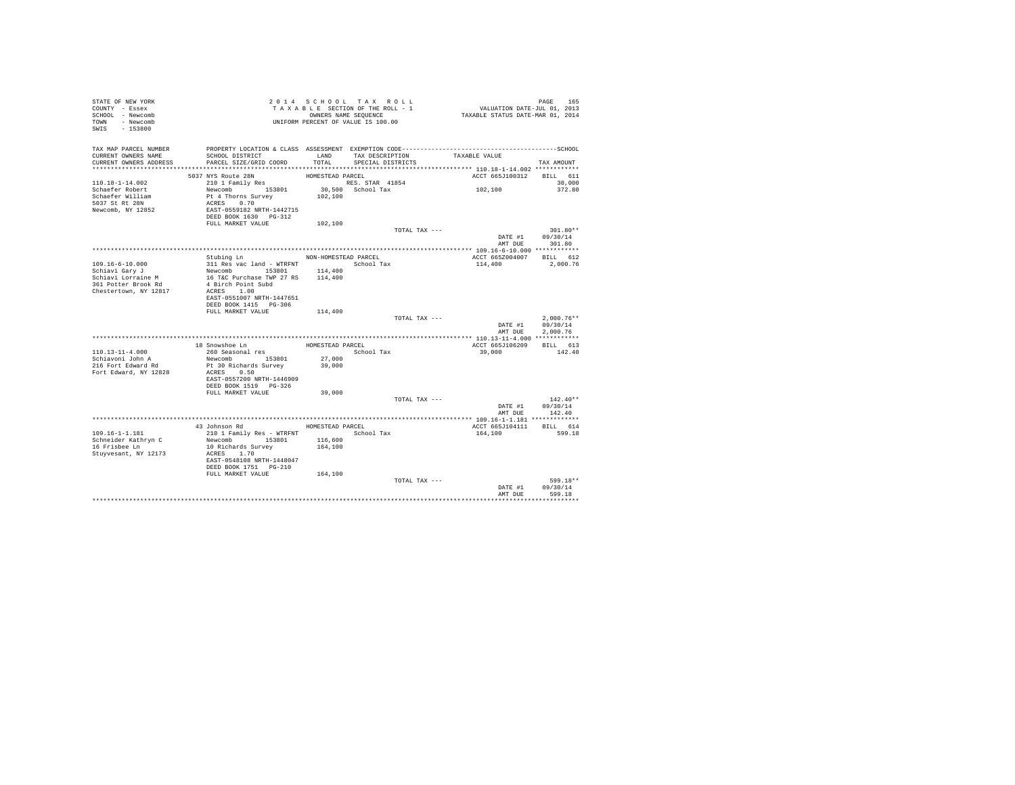| STATE OF NEW YORK<br>COUNTY - Essex<br>SCHOOL - Newcomb |                                                                                            |                      | 2014 SCHOOL TAX ROLL<br>TAXABLE SECTION OF THE ROLL - 1<br>OWNERS NAME SEQUENCE | PAGE 165<br>VALUATION DATE-JUL 01, 2013<br>TAXABLE STATUS DATE-MAR 01, 2014 |                                    |
|---------------------------------------------------------|--------------------------------------------------------------------------------------------|----------------------|---------------------------------------------------------------------------------|-----------------------------------------------------------------------------|------------------------------------|
| TOWN - Newcomb<br>SWIS - 153800                         |                                                                                            |                      | UNIFORM PERCENT OF VALUE IS 100.00                                              |                                                                             |                                    |
| TAX MAP PARCEL NUMBER                                   |                                                                                            |                      |                                                                                 |                                                                             |                                    |
| CURRENT OWNERS NAME                                     | SCHOOL DISTRICT                                                                            | LAND                 | TAX DESCRIPTION                                                                 | TAXABLE VALUE                                                               |                                    |
| CURRENT OWNERS ADDRESS                                  | PARCEL SIZE/GRID COORD                                                                     | TOTAL                | SPECIAL DISTRICTS                                                               |                                                                             | TAX AMOUNT                         |
|                                                         | 5037 NYS Route 28N                                                                         | HOMESTEAD PARCEL     |                                                                                 | ACCT 665J100312 BILL 611                                                    |                                    |
| 110.18-1-14.002                                         | 210 1 Family Res                                                                           |                      | RES. STAR 41854                                                                 |                                                                             | 30,000                             |
| Schaefer Robert                                         |                                                                                            |                      | 30,500 School Tax                                                               | 102,100                                                                     | 372.80                             |
| Schaefer William                                        |                                                                                            | 102,100              |                                                                                 |                                                                             |                                    |
| 5037 St Rt 28N                                          | Newcomb<br>Pt 4 Thorns Survey<br>ACRES 0.70<br>EAST-0559182 NRTH-1442715                   |                      |                                                                                 |                                                                             |                                    |
| Newcomb, NY 12852                                       |                                                                                            |                      |                                                                                 |                                                                             |                                    |
|                                                         | DEED BOOK 1630 PG-312                                                                      |                      |                                                                                 |                                                                             |                                    |
|                                                         | FULL MARKET VALUE                                                                          | 102,100              |                                                                                 |                                                                             |                                    |
|                                                         |                                                                                            |                      | TOTAL TAX ---                                                                   |                                                                             | $301.80**$<br>DATE #1 09/30/14     |
|                                                         |                                                                                            |                      |                                                                                 | AMT DUE                                                                     | 301.80                             |
|                                                         |                                                                                            |                      |                                                                                 |                                                                             |                                    |
|                                                         | Stubing Ln                                                                                 | NON-HOMESTEAD PARCEL |                                                                                 | ACCT 665Z004007 BILL 612                                                    |                                    |
| 109.16-6-10.000                                         | 311 Res vac land - WTRFNT School Tax                                                       |                      |                                                                                 | 114,400                                                                     | 2,000.76                           |
| Schiavi Gary J                                          |                                                                                            | 114,400              |                                                                                 |                                                                             |                                    |
| Schiavi Lorraine M<br>361 Potter Brook Rd               |                                                                                            |                      |                                                                                 |                                                                             |                                    |
|                                                         | Newcomb<br>153801 114,400<br>16 TaC Purchase TWP 27 RS<br>4 Birch Point Subd<br>ACRES 1.00 |                      |                                                                                 |                                                                             |                                    |
| Chestertown, NY 12817                                   |                                                                                            |                      |                                                                                 |                                                                             |                                    |
|                                                         | EAST-0551007 NRTH-1447651<br>DEED BOOK 1415 PG-306                                         |                      |                                                                                 |                                                                             |                                    |
|                                                         | FULL MARKET VALUE                                                                          | 114,400              |                                                                                 |                                                                             |                                    |
|                                                         |                                                                                            |                      | TOTAL TAX ---                                                                   |                                                                             | $2.000.76**$                       |
|                                                         |                                                                                            |                      |                                                                                 |                                                                             | DATE #1 09/30/14                   |
|                                                         |                                                                                            |                      |                                                                                 | AMT DUE                                                                     | 2.000.76                           |
|                                                         |                                                                                            |                      |                                                                                 |                                                                             |                                    |
| $110.13 - 11 - 4.000$                                   | 18 Snowshoe Ln                                                                             | HOMESTEAD PARCEL     |                                                                                 | ACCT 665J106209<br>39,000                                                   | BILL 613<br>142.40                 |
| Schiavoni John A                                        | 260 Seasonal res<br>Newcomb 153801                                                         | 27,000               | School Tax                                                                      |                                                                             |                                    |
| 216 Fort Edward Rd                                      | Pt 30 Richards Survey                                                                      | 39,000               |                                                                                 |                                                                             |                                    |
| Fort Edward, NY 12828                                   | ACRES 0.50                                                                                 |                      |                                                                                 |                                                                             |                                    |
|                                                         | EAST-0557200 NRTH-1446909                                                                  |                      |                                                                                 |                                                                             |                                    |
|                                                         | DEED BOOK 1519    PG-326                                                                   |                      |                                                                                 |                                                                             |                                    |
|                                                         | FULL MARKET VALUE                                                                          | 39,000               |                                                                                 |                                                                             |                                    |
|                                                         |                                                                                            |                      | TOTAL TAX ---                                                                   |                                                                             | $142.40**$                         |
|                                                         |                                                                                            |                      |                                                                                 |                                                                             | DATE #1 09/30/14<br>AMT DUE 142.40 |
|                                                         |                                                                                            |                      |                                                                                 | ******************* 109.16-1-1.181 *************                            |                                    |
|                                                         | 43 Johnson Rd                                                                              | HOMESTEAD PARCEL     |                                                                                 | ACCT 665J104111                                                             | BILL 614                           |
| 109.16-1-1.181                                          | 210 1 Family Res - WTRFNT School Tax                                                       |                      |                                                                                 | 164,100                                                                     | 599.18                             |
| Schneider Kathryn C                                     | Newcomb 153801 116,600<br>10 Richards Survey 164,100                                       |                      |                                                                                 |                                                                             |                                    |
| 16 Frisbee Ln                                           |                                                                                            |                      |                                                                                 |                                                                             |                                    |
| Stuyvesant, NY 12173                                    | ACRES 1.70                                                                                 |                      |                                                                                 |                                                                             |                                    |
|                                                         | EAST-0548108 NRTH-1448047                                                                  |                      |                                                                                 |                                                                             |                                    |
|                                                         | DEED BOOK 1751    PG-210<br>FULL MARKET VALUE 164,100                                      |                      |                                                                                 |                                                                             |                                    |
|                                                         |                                                                                            |                      | TOTAL TAX ---                                                                   |                                                                             | 599.18**                           |
|                                                         |                                                                                            |                      |                                                                                 |                                                                             | DATE #1 09/30/14                   |
|                                                         |                                                                                            |                      |                                                                                 | AMT DUE                                                                     | 599.18                             |
|                                                         |                                                                                            |                      |                                                                                 |                                                                             |                                    |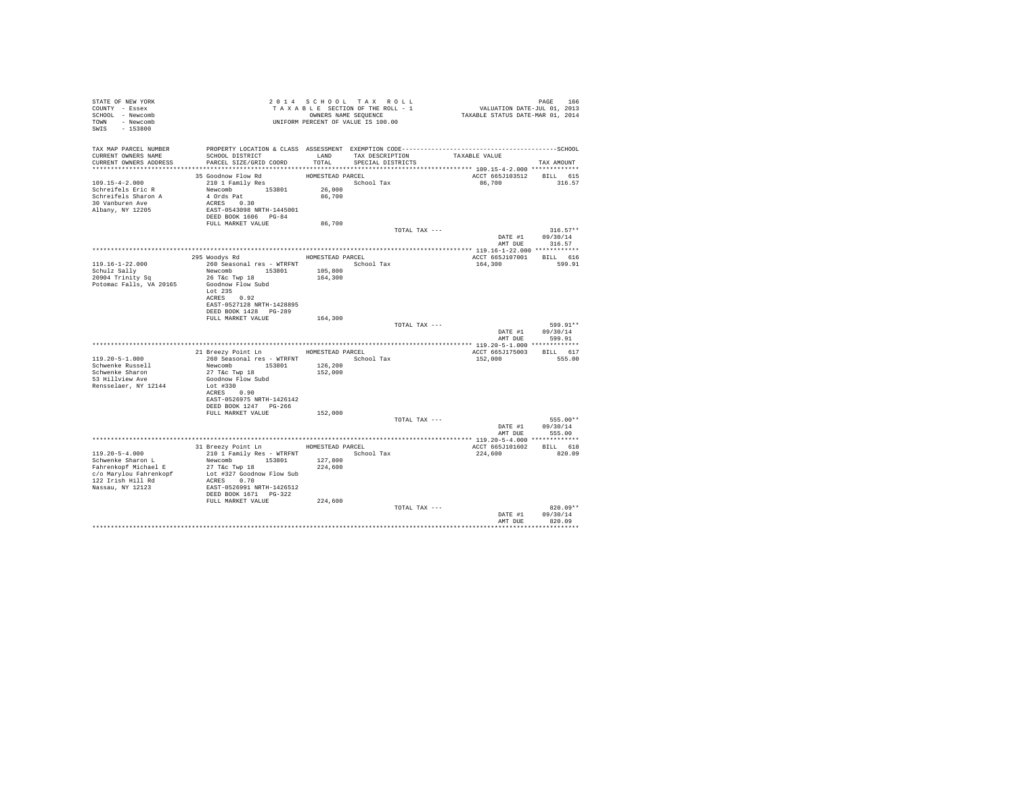| STATE OF NEW YORK<br>COUNTY - Essex<br>SCHOOL - Newcomb<br>TOWN - Newcomb<br>$-153800$<br>SWIS                                       | OWNERS NAME SEX<br>UNIFORM PERCENT OF VALUE IS 100.00                                                                                                                        |                    | 2014 SCHOOL TAX ROLL<br>TAXABLE SECTION OF THE ROLL - 1<br>OWNERS NAME SEQUENCE | PAGE 166<br>VALUATION DATE-JUL 01, 2013<br>TAXABLE STATUS DATE-MAR 01, 2014 |                                  |
|--------------------------------------------------------------------------------------------------------------------------------------|------------------------------------------------------------------------------------------------------------------------------------------------------------------------------|--------------------|---------------------------------------------------------------------------------|-----------------------------------------------------------------------------|----------------------------------|
| TAX MAP PARCEL NUMBER<br>CURRENT OWNERS NAME                                                                                         | PROPERTY LOCATION & CLASS ASSESSMENT EXEMPTION CODE-----------------------------------SCHOOL<br>SCHOOL DISTRICT                                                              | LAND               | TAX DESCRIPTION                                                                 | TAXABLE VALUE                                                               |                                  |
| CURRENT OWNERS ADDRESS                                                                                                               | PARCEL SIZE/GRID COORD                                                                                                                                                       | TOTAL              | SPECIAL DISTRICTS                                                               |                                                                             | TAX AMOUNT                       |
|                                                                                                                                      | 35 Goodnow Flow Rd                                                                                                                                                           | HOMESTEAD PARCEL   |                                                                                 | ACCT 665J103512                                                             | BILL 615                         |
| 109.15-4-2.000<br>Schreifels Eric R<br>Schreifels Sharon A<br>30 Vanburen Ave<br>Albany, NY 12205                                    | 210 1 Family Res<br>Newcomb 153801<br>4 Ords Pat<br>ACRES 0.30<br>EAST-0543098 NRTH-1445001<br>DEED BOOK 1606 PG-84                                                          | 26,000<br>86,700   | School Tax                                                                      | 86,700                                                                      | 316.57                           |
|                                                                                                                                      | FULL MARKET VALUE                                                                                                                                                            | 86,700             | TOTAL TAX ---                                                                   |                                                                             | $316.57**$                       |
|                                                                                                                                      |                                                                                                                                                                              |                    |                                                                                 | AMT DUE                                                                     | DATE #1 09/30/14<br>316.57       |
|                                                                                                                                      | 295 Woodys Rd                                                                                                                                                                |                    | HOMESTEAD PARCEL                                                                | ACCT 665J107001                                                             | BILL 616                         |
| $119.16 - 1 - 22.000$<br>Schulz Sally<br>20904 Trinity Sq                                                                            | 260 Seasonal res - WTRFNT             School Tax<br>Newcomb 153801<br>26 T&C Twp 18                                                                                          | 105,800<br>164,300 |                                                                                 | 164,300                                                                     | 599.91                           |
| Potomac Falls, VA 20165                                                                                                              | Goodnow Flow Subd<br>Lot $235$<br>ACRES 0.92<br>EAST-0527128 NRTH-1428895<br>DEED BOOK 1428 PG-289                                                                           |                    |                                                                                 |                                                                             |                                  |
|                                                                                                                                      | FULL MARKET VALUE                                                                                                                                                            | 164,300            |                                                                                 |                                                                             |                                  |
|                                                                                                                                      |                                                                                                                                                                              |                    | TOTAL TAX ---                                                                   | DATE #1<br>AMT DUE                                                          | 599.91**<br>09/30/14<br>599.91   |
|                                                                                                                                      |                                                                                                                                                                              |                    |                                                                                 |                                                                             |                                  |
| $119.20 - 5 - 1.000$                                                                                                                 | 21 Breezy Point Ln HOMESTEAD PARCEL<br>260 Seasonal res - WTRFNT Month School Tax                                                                                            |                    |                                                                                 | ACCT 665J175003<br>152,000                                                  | BILL 617<br>555.00               |
| Schwenke Russell                                                                                                                     | Newcomb 153801                                                                                                                                                               | 126,200            |                                                                                 |                                                                             |                                  |
| Schwenke Sharon<br>53 Hillview Ave<br>Rensselaer, NY 12144                                                                           | 27 T&c Twp 18<br>Goodnow Flow Subd<br>Lot #330                                                                                                                               | 152,000            |                                                                                 |                                                                             |                                  |
|                                                                                                                                      | ACRES 0.90<br>EAST-0526975 NRTH-1426142<br>DEED BOOK 1247 PG-266                                                                                                             |                    |                                                                                 |                                                                             |                                  |
|                                                                                                                                      | FULL MARKET VALUE                                                                                                                                                            | 152,000            | TOTAL TAX ---                                                                   |                                                                             | 555.00**                         |
|                                                                                                                                      |                                                                                                                                                                              |                    |                                                                                 |                                                                             | DATE #1 09/30/14                 |
|                                                                                                                                      |                                                                                                                                                                              |                    |                                                                                 | AMT DUE                                                                     | 555.00                           |
|                                                                                                                                      | 31 Breezy Point Ln                                                                                                                                                           | HOMESTEAD PARCEL   |                                                                                 | ACCT 665J101602 BILL 618                                                    |                                  |
| $119.20 - 5 - 4.000$<br>Schwenke Sharon L<br>Fahrenkopf Michael E<br>c/o Marylou Fahrenkopf<br>122 Irish Hill Rd<br>Nassau, NY 12123 | 210 1 Family Res - WTRFNT<br>Newcomb 153801 127,800<br>$27$ T&C Twp $18$<br>Lot #327 Goodnow Flow Sub<br>ACRES 0.70<br>EAST-0526991 NRTH-1426512<br>DEED BOOK 1671    PG-322 | 224,600            | School Tax                                                                      | 224,600                                                                     | 820.09                           |
|                                                                                                                                      | FULL MARKET VALUE                                                                                                                                                            | 224,600            | TOTAL TAX ---                                                                   |                                                                             | $820.09**$                       |
|                                                                                                                                      |                                                                                                                                                                              |                    |                                                                                 | DATE #1<br>AMT DUE                                                          | 09/30/14<br>820.09<br>********** |
|                                                                                                                                      |                                                                                                                                                                              |                    |                                                                                 |                                                                             |                                  |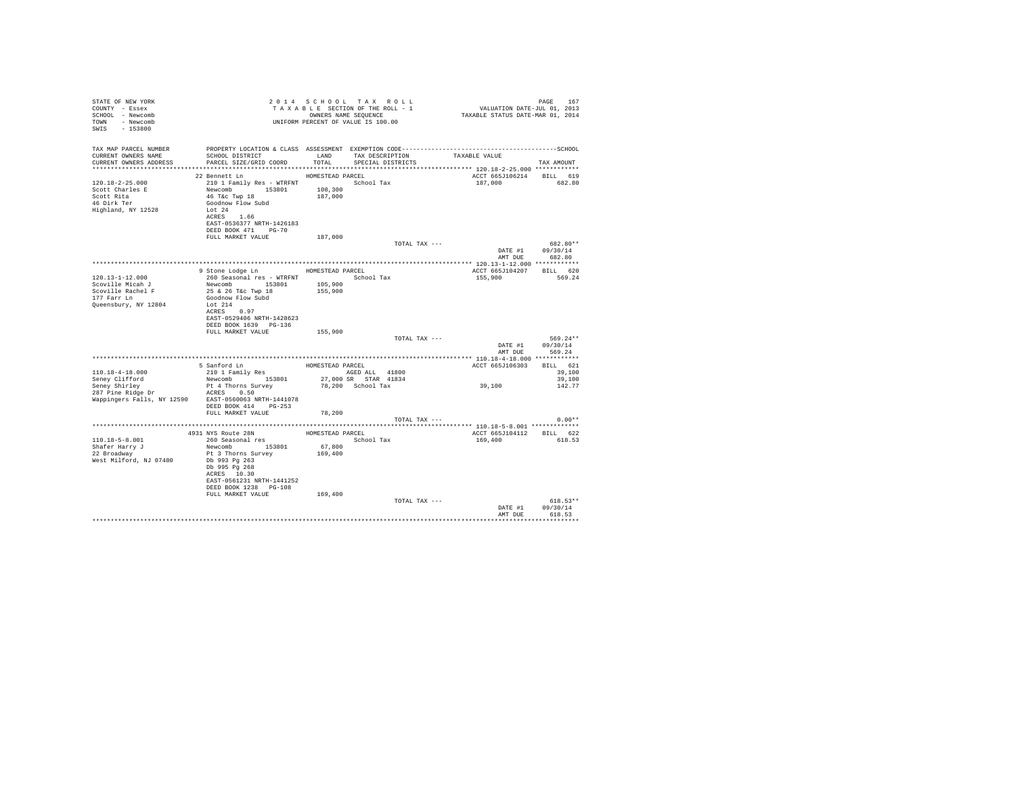| STATE OF NEW YORK<br>COUNTY - Essex<br>SCHOOL - Newcomb<br>TOWN - Newcomb<br>SWIS<br>$-153800$                          |                                                                                                                                                                                                   |                              | 2014 SCHOOL TAX ROLL<br>TAXABLE SECTION OF THE ROLL - 1<br>OWNERS NAME SEOUENCE<br>UNIFORM PERCENT OF VALUE IS 100.00 | 107 FAGE<br>2013 VALUATION DATE-JUL<br>2013 TAXABLE STATUS DATE-MAR | PAGE<br>167                                      |
|-------------------------------------------------------------------------------------------------------------------------|---------------------------------------------------------------------------------------------------------------------------------------------------------------------------------------------------|------------------------------|-----------------------------------------------------------------------------------------------------------------------|---------------------------------------------------------------------|--------------------------------------------------|
| TAX MAP PARCEL NUMBER<br>CURRENT OWNERS NAME<br>CURRENT OWNERS ADDRESS 6 PARCEL SIZE/GRID COORD TOTAL SPECIAL DISTRICTS |                                                                                                                                                                                                   |                              | SCHOOL DISTRICT                    LAND       TAX DESCRIPTION                  TAXABLE VALUE                          |                                                                     | TAX AMOUNT                                       |
| 120.18-2-25.000<br>Scott Charles E<br>Scott Rita<br>46 Dirk Ter<br>Highland, NY 12528                                   | 22 Bennett Ln<br>210 1 Family Res - WTRFNT 5chool Tax<br>Newcomb 153801 108,300<br>46 T&C Twp 18<br>Goodnow Flow Subd<br>Lot 24<br>ACRES 1.66<br>EAST-0536377 NRTH-1426183<br>DEED BOOK 471 PG-70 | HOMESTEAD PARCEL<br>187,000  |                                                                                                                       | ACCT 665J106214 BILL 619<br>187,000                                 | 682.80                                           |
|                                                                                                                         | FULL MARKET VALUE                                                                                                                                                                                 | 187,000                      | TOTAL TAX ---                                                                                                         |                                                                     | 682.80**<br>DATE #1 09/30/14                     |
|                                                                                                                         | 9 Stone Lodge Ln MOMESTEAD PARCEL                                                                                                                                                                 |                              |                                                                                                                       | ACCT 665J104207 BILL 620                                            | AMT DUE 682.80                                   |
| $120.13 - 1 - 12.000$<br>Scoville Micah J<br>Scoville Rachel F<br>177 Farr Ln<br>Queensbury, NY 12804                   | 260 Seasonal res - WTRFNT<br>Newcomb 153801 105,900<br>25 & 26 T&c Twp 18 155,900<br>Goodnow Flow Subd<br>Lot 214<br>ACRES 0.97<br>EAST-0529406 NRTH-1428623<br>DEED BOOK 1639 PG-136             |                              | School Tax                                                                                                            | 155,900 569.24                                                      |                                                  |
|                                                                                                                         | FULL MARKET VALUE                                                                                                                                                                                 | 155,900                      | TOTAL TAX ---                                                                                                         |                                                                     | $569.24**$<br>DATE #1 09/30/14<br>AMT DUE 569.24 |
|                                                                                                                         |                                                                                                                                                                                                   |                              |                                                                                                                       |                                                                     |                                                  |
| 110.18-4-18.000<br>Seney Clifford                                                                                       | 5 Sanford Ln<br>210 1 Family Res<br>Newcomb 153801                                                                                                                                                | HOMESTEAD PARCEL             | AGED ALL 41800<br>27,000 SR STAR 41834                                                                                | ACCT 665J106303 BILL 621<br>39,100                                  | 39,100<br>39,100                                 |
| Seney Shirley<br>Wappingers Falls, NY 12590 EAST-0560063 NRTH-1441078                                                   | Pt 4 Thorns Survey<br>DEED BOOK 414 PG-253                                                                                                                                                        |                              | 78,200 School Tax                                                                                                     |                                                                     | 142.77                                           |
|                                                                                                                         | FULL MARKET VALUE                                                                                                                                                                                 | 78,200                       |                                                                                                                       |                                                                     |                                                  |
|                                                                                                                         |                                                                                                                                                                                                   |                              | TOTAL TAX ---                                                                                                         |                                                                     | $0.00**$                                         |
|                                                                                                                         |                                                                                                                                                                                                   | HOMESTEAD PARCEL             |                                                                                                                       | ACCT 665J104112 BILL 622                                            |                                                  |
| $110.18 - 5 - 8.001$                                                                                                    | 4931 NYS Route 28N<br>260 Seasonal res                                                                                                                                                            |                              | School Tax                                                                                                            | 169,400                                                             | 618.53                                           |
| Shafer Harry J<br>22 Broadway<br>West Milford, NJ 07480                                                                 | Newcomb 153801<br>Pt 3 Thorns Survey<br>Db 993 Pg 263<br>Db 995 Pa 268<br>ACRES 10.30<br>EAST-0561231 NRTH-1441252<br>DEED BOOK 1238 PG-108<br>FULL MARKET VALUE                                  | 67,800<br>169,400<br>169,400 |                                                                                                                       |                                                                     |                                                  |
|                                                                                                                         |                                                                                                                                                                                                   |                              | TOTAL TAX ---                                                                                                         |                                                                     | $618.53**$<br>DATE #1 09/30/14                   |
|                                                                                                                         |                                                                                                                                                                                                   |                              |                                                                                                                       |                                                                     | AMT DUE 618.53                                   |
|                                                                                                                         |                                                                                                                                                                                                   |                              |                                                                                                                       |                                                                     |                                                  |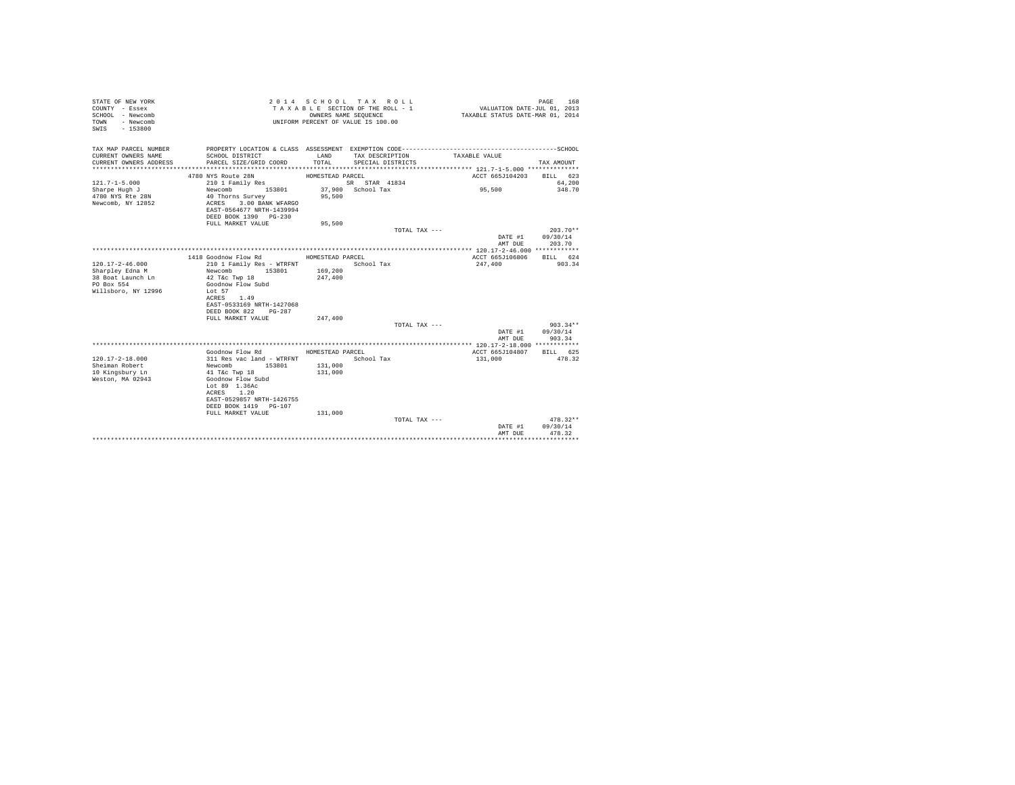| STATE OF NEW YORK<br>COUNTY - Essex<br>SCHOOL - Newcomb<br>- Newcomb<br>TOWN<br>$-153800$<br>SWIS  |                                                                                                                                              | OWNERS NAME SEQUENCE | 2014 SCHOOL TAX ROLL<br>TAXABLE SECTION OF THE ROLL - 1<br>UNIFORM PERCENT OF VALUE IS 100.00 | VALUATION DATE-JUL 01, 2013<br>TAXABLE STATUS DATE-MAR 01, 2014 | PAGE<br>168        |
|----------------------------------------------------------------------------------------------------|----------------------------------------------------------------------------------------------------------------------------------------------|----------------------|-----------------------------------------------------------------------------------------------|-----------------------------------------------------------------|--------------------|
| TAX MAP PARCEL NUMBER<br>CURRENT OWNERS NAME                                                       | SCHOOL DISTRICT                                                                                                                              | LAND                 | TAX DESCRIPTION                                                                               | TAXABLE VALUE                                                   |                    |
| CURRENT OWNERS ADDRESS                                                                             | PARCEL SIZE/GRID COORD                                                                                                                       | TOTAL                | SPECIAL DISTRICTS                                                                             |                                                                 | TAX AMOUNT         |
|                                                                                                    | 4780 NYS Route 28N                                                                                                                           | HOMESTEAD PARCEL     |                                                                                               | ACCT 665J104203                                                 | BILL 623           |
| $121.7 - 1 - 5.000$                                                                                | 210 1 Family Res                                                                                                                             |                      | SR STAR 41834                                                                                 |                                                                 | 64,200             |
| Sharpe Hugh J<br>4780 NYS Rte 28N<br>Newcomb, NY 12852                                             | Newcomb<br>153801<br>40 Thorns Survey<br>3.00 BANK WFARGO<br>ACRES<br>EAST-0564677 NRTH-1439994                                              | 95,500               | 37,900 School Tax                                                                             | 95,500                                                          | 348.70             |
|                                                                                                    | DEED BOOK 1390 PG-230<br>FULL MARKET VALUE                                                                                                   | 95,500               |                                                                                               |                                                                 |                    |
|                                                                                                    |                                                                                                                                              |                      | TOTAL TAX ---                                                                                 |                                                                 | $203.70**$         |
|                                                                                                    |                                                                                                                                              |                      |                                                                                               | DATE #1<br>AMT DUE                                              | 09/30/14<br>203.70 |
|                                                                                                    |                                                                                                                                              |                      |                                                                                               |                                                                 |                    |
|                                                                                                    | 1418 Goodnow Flow Rd                                                                                                                         | HOMESTEAD PARCEL     |                                                                                               | ACCT 665J106806                                                 | BILL 624           |
| $120.17 - 2 - 46.000$<br>Sharpley Edna M<br>38 Boat Launch Ln<br>PO Box 554<br>Willsboro, NY 12996 | 210 1 Family Res - WTRFNT<br>153801<br>Newcomb<br>42 T&c Twp 18<br>Goodnow Flow Subd<br>Lot 57<br>ACRES<br>1.49                              | 169,200<br>247,400   | School Tax                                                                                    | 247,400                                                         | 903.34             |
|                                                                                                    | EAST-0533169 NRTH-1427068<br>DEED BOOK 822<br>$PG-287$<br>FULL MARKET VALUE                                                                  | 247,400              |                                                                                               |                                                                 |                    |
|                                                                                                    |                                                                                                                                              |                      | TOTAL TAX ---                                                                                 |                                                                 | $903.34**$         |
|                                                                                                    |                                                                                                                                              |                      |                                                                                               | DATE #1<br>AMT DUE                                              | 09/30/14<br>903.34 |
|                                                                                                    |                                                                                                                                              |                      |                                                                                               |                                                                 |                    |
| $120.17 - 2 - 18.000$                                                                              | Goodnow Flow Rd<br>311 Res vac land - WTRFNT                                                                                                 | HOMESTEAD PARCEL     | School Tax                                                                                    | ACCT 665J104807<br>131,000                                      | BILL 625<br>478.32 |
| Sheiman Robert<br>10 Kingsbury Ln<br>Weston, MA 02943                                              | Newcomb 153801<br>41 T&c Twp 18<br>Goodnow Flow Subd<br>Lot 89 1.36Ac<br>1.20<br>ACRES<br>EAST-0529857 NRTH-1426755<br>DEED BOOK 1419 PG-107 | 131,000<br>131,000   |                                                                                               |                                                                 |                    |
|                                                                                                    | FULL MARKET VALUE                                                                                                                            | 131,000              | TOTAL TAX ---                                                                                 |                                                                 | $478.32**$         |
|                                                                                                    |                                                                                                                                              |                      |                                                                                               | DATE #1<br>AMT DUE                                              | 09/30/14<br>478.32 |
|                                                                                                    |                                                                                                                                              |                      |                                                                                               | *****************                                               | ************       |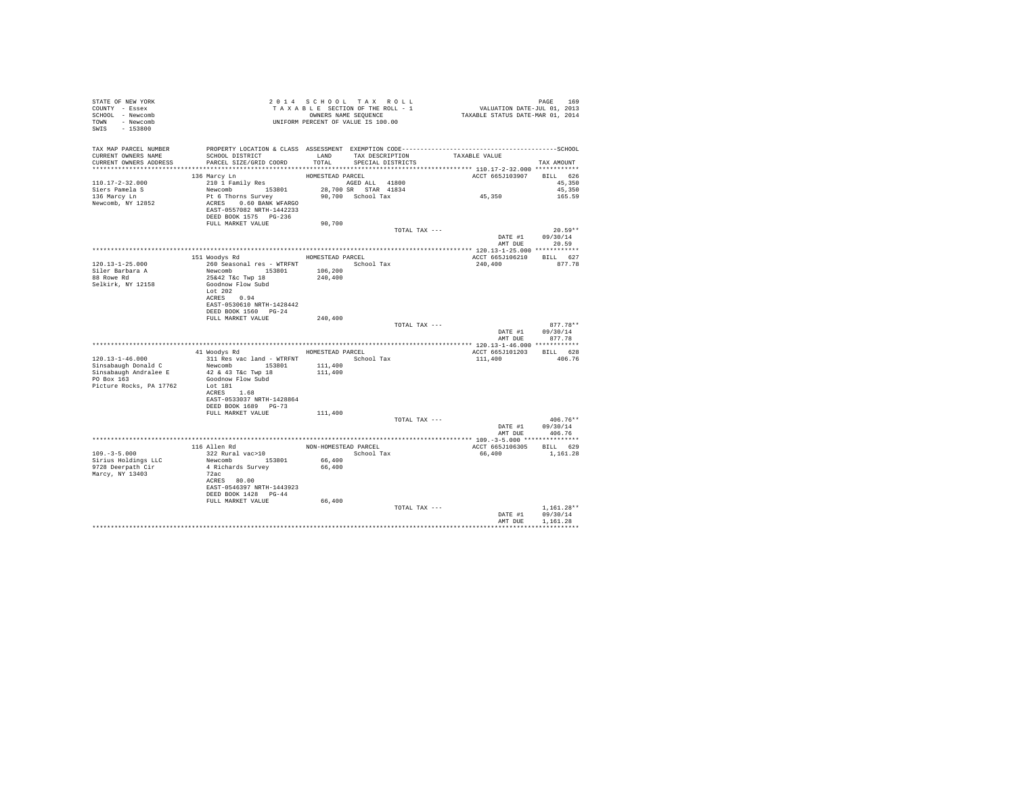| STATE OF NEW YORK<br>COUNTY - Essex<br>SCHOOL - Newcomb<br>TOWN - Newcomb<br>SWIS - 153800 | T A X A B L L _ _ _ _ _ _ OWNERS NAME SEQUENCE<br>UNIFORM PERCENT OF VALUE IS 100.00                                                      |                                          | 2014 SCHOOL TAX ROLL<br>TAXABLE SECTION OF THE ROLL - 1<br>OWNERS NAME SEQUENCE |                               | PAGE 169<br>VALUATION DATE-JUL 01, 2013<br>TAXABLE STATUS DATE-MAR 01, 2014 |
|--------------------------------------------------------------------------------------------|-------------------------------------------------------------------------------------------------------------------------------------------|------------------------------------------|---------------------------------------------------------------------------------|-------------------------------|-----------------------------------------------------------------------------|
| TAX MAP PARCEL NUMBER<br>CURRENT OWNERS NAME<br>CURRENT OWNERS ADDRESS                     | PROPERTY LOCATION & CLASS ASSESSMENT EXEMPTION CODE-----------------------------------SCHOOL<br>SCHOOL DISTRICT<br>PARCEL SIZE/GRID COORD | LAND<br>TOTAL                            | SPECIAL DISTRICTS                                                               | TAX DESCRIPTION TAXABLE VALUE | TAX AMOUNT                                                                  |
|                                                                                            |                                                                                                                                           |                                          |                                                                                 |                               |                                                                             |
| 110.17-2-32.000<br>Siers Pamela S<br>136 Marcy Ln<br>Newcomb, NY 12852                     | 136 Marcy Ln<br>210 1 Family Res<br>Newcomb 153801<br>Pt 6 Thorns Survey<br>ACRES 0.60 BANK WFARGO<br>EAST-0557082 NRTH-1442233           | HOMESTEAD PARCEL                         | AGED ALL 41800<br>28,700 SR STAR 41834<br>90,700 School Tax                     | ACCT 665J103907<br>45,350     | BILL 626<br>45,350<br>45,350<br>165.59                                      |
|                                                                                            | DEED BOOK 1575    PG-236                                                                                                                  |                                          |                                                                                 |                               |                                                                             |
|                                                                                            | FULL MARKET VALUE                                                                                                                         | 90,700                                   |                                                                                 | TOTAL TAX ---                 | $20.59**$                                                                   |
|                                                                                            |                                                                                                                                           |                                          |                                                                                 |                               | DATE #1 09/30/14<br>20.59<br>AMT DUE                                        |
|                                                                                            |                                                                                                                                           |                                          |                                                                                 |                               |                                                                             |
| $120.13 - 1 - 25.000$<br>Siler Barbara A                                                   | 151 Woodys Rd<br>260 Seasonal res - WTRFNT <a></a> School Tax<br>Newcomb 153801<br>25&42 T&c Twp 18                                       | 106,200                                  | HOMESTEAD PARCEL                                                                | ACCT 665J106210<br>240,400    | BILL 627<br>877.78                                                          |
| 88 Rowe Rd<br>Selkirk, NY 12158                                                            | Goodnow Flow Subd<br>Lot $202$<br>ACRES 0.94<br>EAST-0530610 NRTH-1428442<br>DEED BOOK 1560 PG-24                                         | 240,400                                  |                                                                                 |                               |                                                                             |
|                                                                                            | FULL MARKET VALUE                                                                                                                         | 240,400                                  |                                                                                 |                               |                                                                             |
|                                                                                            |                                                                                                                                           |                                          |                                                                                 | TOTAL TAX ---                 | $877.78**$<br>DATE #1<br>09/30/14<br>AMT DUE<br>877.78                      |
|                                                                                            |                                                                                                                                           |                                          |                                                                                 |                               |                                                                             |
| 120.13-1-46.000                                                                            | 41 Woodys Rd MOMESTEAD PARCEL                                                                                                             |                                          |                                                                                 | ACCT 665J101203<br>111,400    | BILL 628<br>406.76                                                          |
| Sinsabaugh Donald C<br>Sinsabaugh Andralee E<br>PO Box 163                                 | Newcomb 153801<br>42 & 43 T&C Twp 18<br>Goodnow Flow Subd                                                                                 | 111,400<br>111,400                       |                                                                                 |                               |                                                                             |
| Picture Rocks, PA 17762                                                                    | Lot 181<br>ACRES 1.68<br>EAST-0533037 NRTH-1428864                                                                                        |                                          |                                                                                 |                               |                                                                             |
|                                                                                            | DEED BOOK 1689 PG-73<br>FULL MARKET VALUE                                                                                                 | 111,400                                  |                                                                                 |                               |                                                                             |
|                                                                                            |                                                                                                                                           |                                          |                                                                                 | TOTAL TAX ---                 | $406.76**$                                                                  |
|                                                                                            |                                                                                                                                           |                                          |                                                                                 |                               | DATE #1 09/30/14<br>AMT DUE<br>406.76                                       |
|                                                                                            | 116 Allen Rd                                                                                                                              |                                          |                                                                                 |                               |                                                                             |
| $109. - 3 - 5.000$<br>Sirius Holdings LLC<br>9728 Deerpath Cir                             | 322 Rural vac>10<br>Newcomb 153801<br>4 Richards Survey                                                                                   | NON-HOMESTEAD PARCEL<br>66,400<br>66,400 | School Tax                                                                      | 66,400                        | ACCT 665J106305 BILL 629<br>1,161.28                                        |
| Marcy, NY 13403                                                                            | 72ac<br>ACRES 80.00<br>EAST-0546397 NRTH-1443923<br>DEED BOOK 1428 PG-44                                                                  |                                          |                                                                                 |                               |                                                                             |
|                                                                                            | FULL MARKET VALUE                                                                                                                         | 66,400                                   |                                                                                 |                               |                                                                             |
|                                                                                            |                                                                                                                                           |                                          |                                                                                 | TOTAL TAX ---                 | $1.161.28**$<br>DATE #1<br>09/30/14<br>1.161.28<br>AMT DUE                  |
|                                                                                            |                                                                                                                                           |                                          |                                                                                 |                               |                                                                             |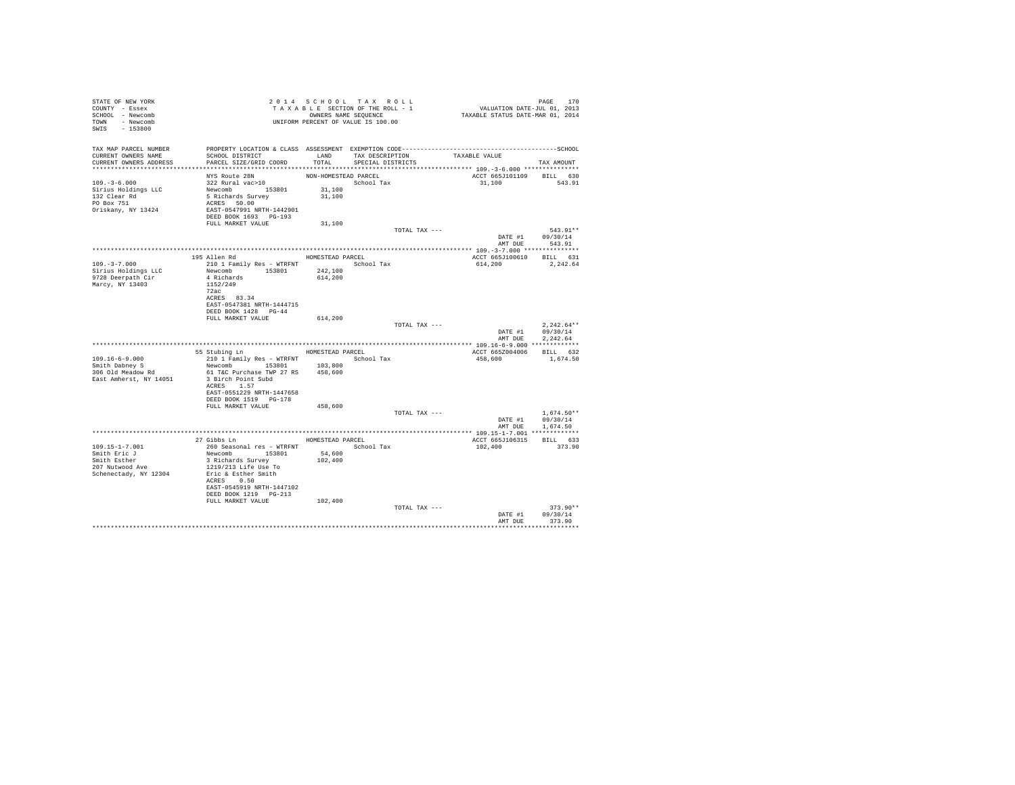| STATE OF NEW YORK<br>COUNTY - Essex<br>SCHOOL - Newcomb<br>TOWN - Newcomb<br>SWIS - 153800 | 2014 SCRIPT ON THE ROLL - 1<br>TAXABLE SECTION OF THE ROLL - 1<br>OWNERS NAME SEQUENCE<br>UNIFORM PERCENT OF VALUE IS 100.00 |                      | 2014 SCHOOL TAX ROLL                                                                   | PAGE 170<br>VALUATION DATE-JUL 01, 2013<br>TAXABLE STATUS DATE-MAR 01, 2014 |                            |
|--------------------------------------------------------------------------------------------|------------------------------------------------------------------------------------------------------------------------------|----------------------|----------------------------------------------------------------------------------------|-----------------------------------------------------------------------------|----------------------------|
| TAX MAP PARCEL NUMBER                                                                      |                                                                                                                              |                      |                                                                                        |                                                                             |                            |
| CURRENT OWNERS NAME                                                                        | SCHOOL DISTRICT                                                                                                              |                      |                                                                                        | LAND TAX DESCRIPTION TAXABLE VALUE                                          |                            |
| CURRENT OWNERS ADDRESS                                                                     | PARCEL SIZE/GRID COORD                                                                                                       | TOTAL                | SPECIAL DISTRICTS                                                                      |                                                                             | TAX AMOUNT                 |
|                                                                                            | NYS Route 28N                                                                                                                | NON-HOMESTEAD PARCEL |                                                                                        | ACCT 665J101109 BILL 630                                                    |                            |
| $109. -3 - 6.000$                                                                          | $322$ Rural vac $>10$                                                                                                        |                      | $\begin{minipage}{.4\linewidth} \textbf{School Tax} \\ \textbf{31,100} \end{minipage}$ | 31,100 543.91                                                               |                            |
|                                                                                            |                                                                                                                              | 31,100               |                                                                                        |                                                                             |                            |
| Sirius Holdings LLC<br>132 Clear Rd<br>PO Box 751                                          | Newcomb<br>5 Richards Survey<br>ACRES 50.00                                                                                  |                      |                                                                                        |                                                                             |                            |
| Oriskany, NY 13424                                                                         | -------<br>EAST-0547991 NRTH-1442901<br>DEED BOOK 1693 PG-193                                                                |                      |                                                                                        |                                                                             |                            |
|                                                                                            | FULL MARKET VALUE                                                                                                            | 31,100               |                                                                                        |                                                                             |                            |
|                                                                                            |                                                                                                                              |                      | TOTAL TAX ---                                                                          |                                                                             | 543.91**                   |
|                                                                                            |                                                                                                                              |                      |                                                                                        | AMT DUE                                                                     | DATE #1 09/30/14<br>543.91 |
|                                                                                            |                                                                                                                              |                      |                                                                                        |                                                                             |                            |
|                                                                                            | 195 Allen Rd                                                                                                                 |                      | HOMESTEAD PARCEL                                                                       | ACCT 665J100610 BILL 631                                                    |                            |
| $109. -3 -7.000$<br>Sirius Holdings LLC                                                    | 210 1 Family Res - WTRFNT School Tax<br>Newcomb 153801                                                                       | 242,100              |                                                                                        | 614,200 2,242.64                                                            |                            |
| 9728 Deerpath Cir                                                                          | 4 Richards                                                                                                                   | 614,200              |                                                                                        |                                                                             |                            |
| Marcy, NY 13403                                                                            | 1152/249                                                                                                                     |                      |                                                                                        |                                                                             |                            |
|                                                                                            | 72ac<br>ACRES 83.34                                                                                                          |                      |                                                                                        |                                                                             |                            |
|                                                                                            | EAST-0547381 NRTH-1444715                                                                                                    |                      |                                                                                        |                                                                             |                            |
|                                                                                            | DEED BOOK 1428 PG-44<br>FULL MARKET VALUE                                                                                    |                      |                                                                                        |                                                                             |                            |
|                                                                                            |                                                                                                                              | 614,200              | TOTAL TAX ---                                                                          |                                                                             | $2.242.64**$               |
|                                                                                            |                                                                                                                              |                      |                                                                                        |                                                                             | DATE #1 09/30/14           |
|                                                                                            |                                                                                                                              |                      |                                                                                        | AMT DUE                                                                     | 2.242.64                   |
|                                                                                            | 55 Stubing Ln MOMESTEAD PARCEL                                                                                               |                      |                                                                                        | ACCT 665Z004006 BILL 632                                                    |                            |
| $109.16 - 6 - 9.000$                                                                       | 210 1 Family Res - WTRFNT School Tax                                                                                         |                      |                                                                                        | 458,600                                                                     | 1,674.50                   |
| Smith Dabney S<br>306 Old Meadow Rd                                                        | Newcomb 153801 103,800<br>61 T&C Purchase TWP 27 RS 458,600                                                                  |                      |                                                                                        |                                                                             |                            |
| East Amherst, NY 14051                                                                     | 3 Birch Point Subd                                                                                                           |                      |                                                                                        |                                                                             |                            |
|                                                                                            | ACRES 1.57                                                                                                                   |                      |                                                                                        |                                                                             |                            |
|                                                                                            | EAST-0551229 NRTH-1447658<br>DEED BOOK 1519 PG-178                                                                           |                      |                                                                                        |                                                                             |                            |
|                                                                                            | FULL MARKET VALUE                                                                                                            | 458,600              |                                                                                        |                                                                             |                            |
|                                                                                            |                                                                                                                              |                      | TOTAL TAX ---                                                                          |                                                                             | $1.674.50**$               |
|                                                                                            |                                                                                                                              |                      |                                                                                        |                                                                             | DATE #1 09/30/14           |
|                                                                                            |                                                                                                                              |                      |                                                                                        |                                                                             | AMT DUE 1,674.50           |
|                                                                                            | 27 Gibbs Ln MOMESTEAD PARCEL                                                                                                 |                      |                                                                                        | ACCT 665J106315                                                             | BILL 633                   |
| $109.15 - 1 - 7.001$                                                                       | 260 Seasonal res - WTRFNT<br>Newcomb 153801 54,600                                                                           |                      | School Tax                                                                             | 102,400                                                                     | 373.90                     |
| Smith Eric J<br>Smith Esther                                                               | 3 Richards Survey                                                                                                            | 54,600<br>102,400    |                                                                                        |                                                                             |                            |
| $207$ Nutwood Ave                                                                          | 1219/213 Life Use To                                                                                                         |                      |                                                                                        |                                                                             |                            |
| Schenectady, NY 12304                                                                      | Eric & Esther Smith                                                                                                          |                      |                                                                                        |                                                                             |                            |
|                                                                                            | ACRES 0.50<br>EAST-0545919 NRTH-1447102                                                                                      |                      |                                                                                        |                                                                             |                            |
|                                                                                            | DEED BOOK 1219    PG-213                                                                                                     |                      |                                                                                        |                                                                             |                            |
|                                                                                            | FULL MARKET VALUE                                                                                                            | 102,400              |                                                                                        |                                                                             |                            |
|                                                                                            |                                                                                                                              |                      | TOTAL TAX ---                                                                          | DATE #1                                                                     | $373.90**$<br>09/30/14     |
|                                                                                            |                                                                                                                              |                      |                                                                                        | AMT DUE                                                                     | 373.90                     |
|                                                                                            |                                                                                                                              |                      |                                                                                        |                                                                             | ***********                |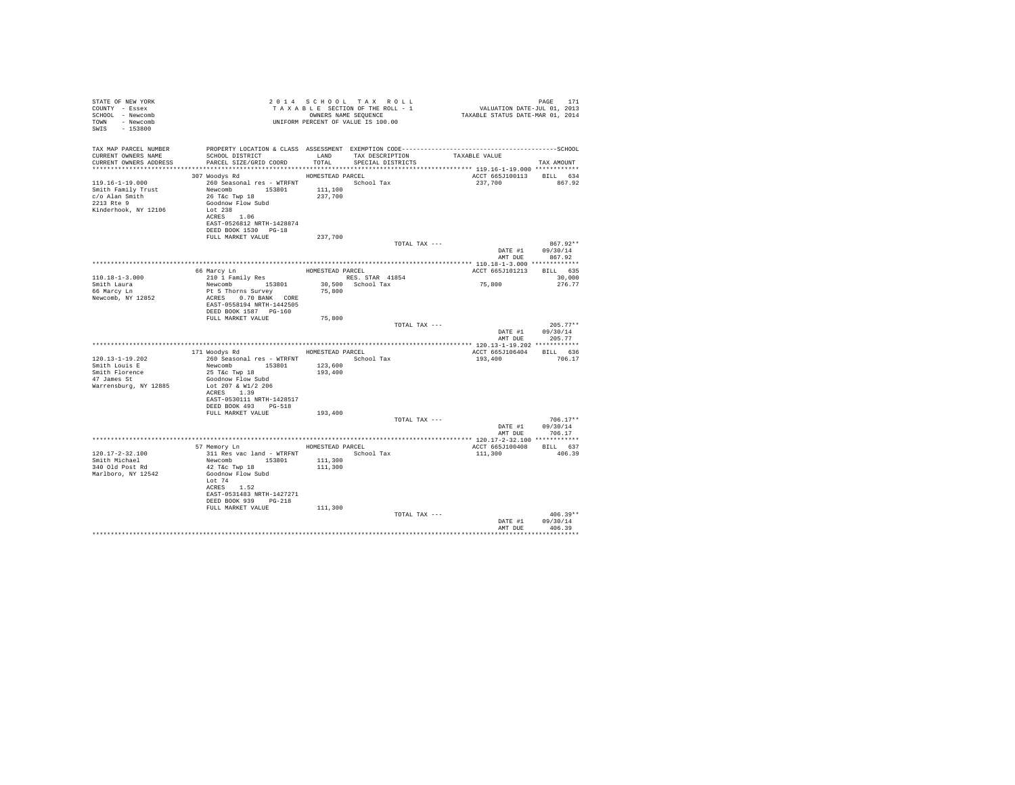| STATE OF NEW YORK<br>COUNTY - Essex<br>SCHOOL - Newcomb<br>TOWN - Newcomb<br>SWIS - 153800          |                                                                                                                                                                                                                        |         | 2014 SCHOOL TAX ROLL<br>UNIFORM PERCENT OF VALUE IS 100.00 | $\begin{array}{ccccccccc} 2& 0& 1& 4 & S & C & H & O & 0 & L & T & A & X & R & O & L & L\\ T & A & X & A & B & S & S & T & T & T & S & T & D & S & T & V & V & V & V & T & T & T & T & D & 0 & 1, & 2014\\ \end{array}$ | PAGE<br>171                            |
|-----------------------------------------------------------------------------------------------------|------------------------------------------------------------------------------------------------------------------------------------------------------------------------------------------------------------------------|---------|------------------------------------------------------------|-------------------------------------------------------------------------------------------------------------------------------------------------------------------------------------------------------------------------|----------------------------------------|
| TAX MAP PARCEL NUMBER<br>CURRENT OWNERS NAME<br>CURRENT OWNERS ADDRESS                              | PROPERTY LOCATION & CLASS ASSESSMENT EXEMPTION CODE-----------------------------------SCHOOL<br>SCHOOL DISTRICT           LAND     TAX DESCRIPTION         TAXABLE VALUE<br>PARCEL SIZE/GRID COORD                     |         | TOTAL SPECIAL DISTRICTS                                    |                                                                                                                                                                                                                         | TAX AMOUNT                             |
|                                                                                                     |                                                                                                                                                                                                                        |         |                                                            |                                                                                                                                                                                                                         |                                        |
| $119.16 - 1 - 19.000$<br>Smith Family Trust<br>c/o Alan Smith<br>2213 Rte 9<br>Kinderhook, NY 12106 | 307 Woodys Rd MOMESTEAD PARCEL<br>260 Seasonal res - WTRFNT School Tax<br>Newcomb 153801 111,100<br>26 T&C Twp 18<br>Goodnow Flow Subd<br>Lot $238$<br>ACRES 1.06<br>EAST-0526812 NRTH-1428874<br>DEED BOOK 1530 PG-18 | 237,700 |                                                            | ACCT 665J100113 BILL 634<br>237,700                                                                                                                                                                                     | 867.92                                 |
|                                                                                                     | FULL MARKET VALUE                                                                                                                                                                                                      | 237,700 |                                                            |                                                                                                                                                                                                                         |                                        |
|                                                                                                     |                                                                                                                                                                                                                        |         | TOTAL TAX ---                                              | AMT DUE                                                                                                                                                                                                                 | 867.92**<br>DATE #1 09/30/14<br>867.92 |
|                                                                                                     |                                                                                                                                                                                                                        |         |                                                            |                                                                                                                                                                                                                         |                                        |
|                                                                                                     | 66 Marcy Ln                                                                                                                                                                                                            |         | HOMESTEAD PARCEL                                           | ACCT 665J101213 BILL 635                                                                                                                                                                                                |                                        |
| $110.18 - 1 - 3.000$                                                                                | 210 1 Family Res RES. STAR 41854                                                                                                                                                                                       |         |                                                            |                                                                                                                                                                                                                         | 30,000                                 |
| Smith Laura                                                                                         | Newcomb 153801 30,500 School Tax<br>Pt 5 Thorns Survey 75,800                                                                                                                                                          |         |                                                            | 75,800                                                                                                                                                                                                                  | 276.77                                 |
| 66 Marcy Ln<br>Newcomb, NY 12852                                                                    | ACRES 0.70 BANK CORE<br>EAST-0558194 NRTH-1442505<br>DEED BOOK 1587 PG-160                                                                                                                                             |         |                                                            |                                                                                                                                                                                                                         |                                        |
|                                                                                                     | FULL MARKET VALUE                                                                                                                                                                                                      | 75,800  | TOTAL TAX ---                                              |                                                                                                                                                                                                                         | $205.77**$                             |
|                                                                                                     |                                                                                                                                                                                                                        |         |                                                            |                                                                                                                                                                                                                         | DATE #1 09/30/14<br>AMT DUE 205.77     |
|                                                                                                     |                                                                                                                                                                                                                        |         |                                                            |                                                                                                                                                                                                                         |                                        |
| $120.13 - 1 - 19.202$                                                                               | 171 Woodvs Rd<br>260 Seasonal res - WTRFNT                                                                                                                                                                             |         | HOMESTEAD PARCEL<br>School Tax                             | ACCT 665J106404 BILL 636<br>193,400                                                                                                                                                                                     | 706.17                                 |
| Smith Louis E                                                                                       | Newcomb 153801                                                                                                                                                                                                         | 123,600 |                                                            |                                                                                                                                                                                                                         |                                        |
| Smith Florence<br>47 James St                                                                       | 25 T&C Twp 18                                                                                                                                                                                                          | 193,400 |                                                            |                                                                                                                                                                                                                         |                                        |
| Warrensburg, NY 12885                                                                               | Goodnow Flow Subd<br>Lot 207 & W1/2 206<br>ACRES 1.39                                                                                                                                                                  |         |                                                            |                                                                                                                                                                                                                         |                                        |
|                                                                                                     | EAST-0530111 NRTH-1428517<br>DEED BOOK 493 PG-518                                                                                                                                                                      |         |                                                            |                                                                                                                                                                                                                         |                                        |
|                                                                                                     | FULL MARKET VALUE                                                                                                                                                                                                      | 193,400 | TOTAL TAX ---                                              |                                                                                                                                                                                                                         | $706.17**$                             |
|                                                                                                     |                                                                                                                                                                                                                        |         |                                                            |                                                                                                                                                                                                                         | DATE #1 09/30/14                       |
|                                                                                                     |                                                                                                                                                                                                                        |         |                                                            |                                                                                                                                                                                                                         | AMT DUE 706.17                         |
|                                                                                                     |                                                                                                                                                                                                                        |         |                                                            |                                                                                                                                                                                                                         |                                        |
| $120.17 - 2 - 32.100$                                                                               | 57 Memory Ln<br>311 Res vac land - WTRFNT                                                                                                                                                                              |         | HOMESTEAD PARCEL<br>School Tax                             | ACCT 665J100408 BILL 637<br>111,300                                                                                                                                                                                     | 406.39                                 |
| Smith Michael                                                                                       | Newcomb 153801                                                                                                                                                                                                         | 111,300 |                                                            |                                                                                                                                                                                                                         |                                        |
| 340 Old Post Rd<br>Marlboro, NY 12542                                                               | 42 T&C Twp 18<br>Goodnow Flow Subd<br>Lot 74<br>ACRES 1.52                                                                                                                                                             | 111,300 |                                                            |                                                                                                                                                                                                                         |                                        |
|                                                                                                     | EAST-0531483 NRTH-1427271<br>DEED BOOK 939 PG-218                                                                                                                                                                      |         |                                                            |                                                                                                                                                                                                                         |                                        |
|                                                                                                     | FULL MARKET VALUE                                                                                                                                                                                                      | 111,300 |                                                            |                                                                                                                                                                                                                         |                                        |
|                                                                                                     |                                                                                                                                                                                                                        |         | TOTAL TAX ---                                              | DATE #1<br>AMT DUE                                                                                                                                                                                                      | $406.39**$<br>09/30/14<br>406.39       |
|                                                                                                     |                                                                                                                                                                                                                        |         |                                                            |                                                                                                                                                                                                                         | ***********************                |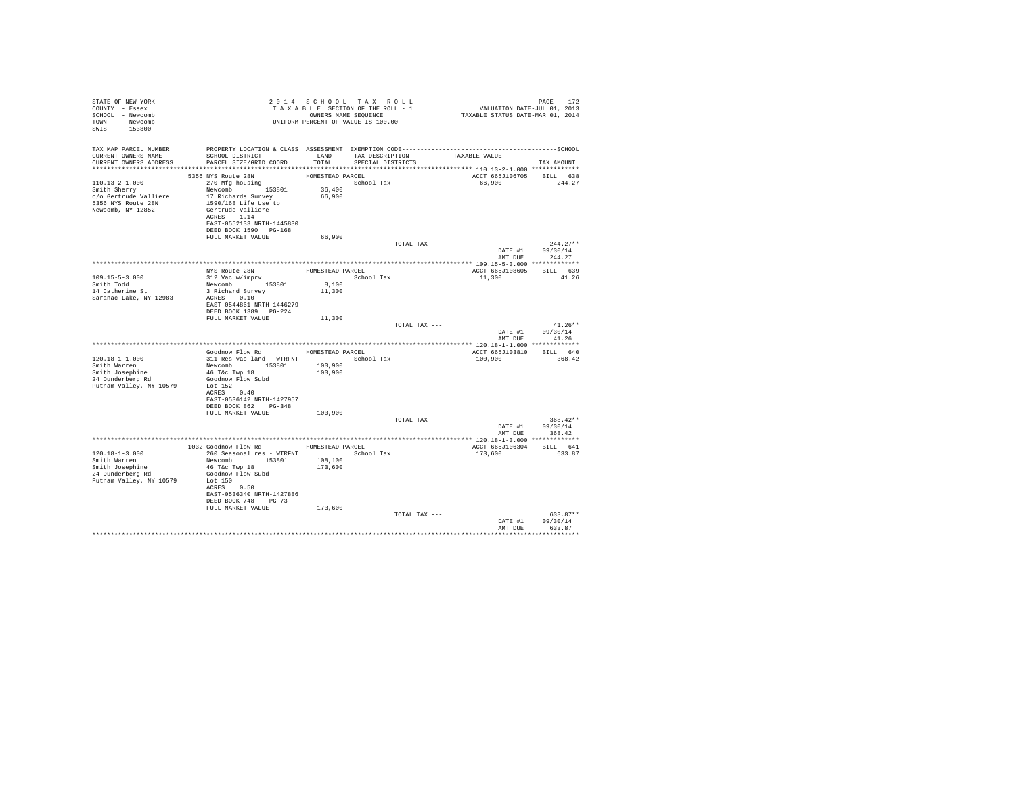| STATE OF NEW YORK                                                                                                                                                                          |                                                                 |                  | 2014 SCHOOL TAX ROLL                                          |                                                                                                                    |                          |
|--------------------------------------------------------------------------------------------------------------------------------------------------------------------------------------------|-----------------------------------------------------------------|------------------|---------------------------------------------------------------|--------------------------------------------------------------------------------------------------------------------|--------------------------|
| COUNTY - Essex                                                                                                                                                                             |                                                                 |                  | T A X A B L E SECTION OF THE ROLL - 1<br>OWNERS NAME SEQUENCE | PAGE 172<br>VALUATION DATE-JUL 01, 2013<br>TAXABLE STATUS DATE-MAR 01, 2014                                        |                          |
| SCHOOL - Newcomb                                                                                                                                                                           |                                                                 |                  |                                                               |                                                                                                                    |                          |
| TOWN - Newcomb                                                                                                                                                                             |                                                                 |                  |                                                               |                                                                                                                    |                          |
| SWIS - 153800                                                                                                                                                                              | A<br>OWNERS NAME SEQUENCE<br>UNIFORM PERCENT OF VALUE IS 100.00 |                  |                                                               |                                                                                                                    |                          |
|                                                                                                                                                                                            |                                                                 |                  |                                                               |                                                                                                                    |                          |
|                                                                                                                                                                                            |                                                                 |                  |                                                               |                                                                                                                    |                          |
| CURRENT OWNERS NAME                                                                                                                                                                        | SCHOOL DISTRICT TAX DESCRIPTION                                 |                  |                                                               | TAX MAP PARCEL NUMBER PROPERTY LOCATION & CLASS ASSESSMENT EXEMPTION CODE-----------------------------------SCHOOL |                          |
| CURRENT OWNERS ADDRESS                                                                                                                                                                     | PARCEL SIZE/GRID COORD                                          | TOTAL            | SPECIAL DISTRICTS                                             | TAXABLE VALUE                                                                                                      | TAX AMOUNT               |
|                                                                                                                                                                                            |                                                                 |                  |                                                               |                                                                                                                    |                          |
|                                                                                                                                                                                            | 5356 NYS Route 28N                                              | HOMESTEAD PARCEL |                                                               |                                                                                                                    | ACCT 665J106705 BILL 638 |
| 110.13-2-1.000<br>Smith Sherry<br>Smith Sherry<br>270 Mfg housing<br>153801<br>270 Mfg housing<br>17 Richards Survey<br>276 Mrs 17 Richards Survey<br>276 Metalliere<br>17 Richards Survey |                                                                 |                  | School Tax                                                    |                                                                                                                    | 66,900 244.27            |
|                                                                                                                                                                                            |                                                                 | 36,400           |                                                               |                                                                                                                    |                          |
|                                                                                                                                                                                            |                                                                 | 66,900           |                                                               |                                                                                                                    |                          |
| 5356 NYS Route 28N                                                                                                                                                                         | 1590/168 Life Use to                                            |                  |                                                               |                                                                                                                    |                          |
| Newcomb, NY 12852                                                                                                                                                                          | Gertrude Valliere                                               |                  |                                                               |                                                                                                                    |                          |
|                                                                                                                                                                                            | ACRES 1.14                                                      |                  |                                                               |                                                                                                                    |                          |
|                                                                                                                                                                                            | EAST-0552133 NRTH-1445830                                       |                  |                                                               |                                                                                                                    |                          |
|                                                                                                                                                                                            | DEED BOOK 1590 PG-168                                           |                  |                                                               |                                                                                                                    |                          |
|                                                                                                                                                                                            | FULL MARKET VALUE                                               | 66,900           |                                                               |                                                                                                                    |                          |
|                                                                                                                                                                                            |                                                                 |                  |                                                               | TOTAL TAX ---                                                                                                      | $244.27**$               |
|                                                                                                                                                                                            |                                                                 |                  |                                                               |                                                                                                                    | DATE #1 09/30/14         |
|                                                                                                                                                                                            |                                                                 |                  |                                                               | AMT DUE                                                                                                            | 244.27                   |
|                                                                                                                                                                                            |                                                                 |                  |                                                               |                                                                                                                    |                          |
|                                                                                                                                                                                            | NYS Route 28N<br>312 Vac w/imprv                                | HOMESTEAD PARCEL |                                                               |                                                                                                                    | ACCT 665J108605 BILL 639 |
| 109.15-5-3.000<br>Smith Todd<br>14 Catherine St                                                                                                                                            |                                                                 |                  | School Tax                                                    | 11,300                                                                                                             | 41.26                    |
|                                                                                                                                                                                            | Newcomb 153801                                                  | 8,100            |                                                               |                                                                                                                    |                          |
|                                                                                                                                                                                            | 3 Richard Survey                                                | 11,300           |                                                               |                                                                                                                    |                          |
| Saranac Lake, NY 12983                                                                                                                                                                     | ACRES 0.10                                                      |                  |                                                               |                                                                                                                    |                          |
|                                                                                                                                                                                            | EAST-0544861 NRTH-1446279                                       |                  |                                                               |                                                                                                                    |                          |
|                                                                                                                                                                                            | DEED BOOK 1389 PG-224                                           |                  |                                                               |                                                                                                                    |                          |
|                                                                                                                                                                                            | FULL MARKET VALUE 11,300                                        |                  |                                                               | TOTAL TAX ---                                                                                                      | $41.26**$                |
|                                                                                                                                                                                            |                                                                 |                  |                                                               |                                                                                                                    | DATE #1 09/30/14         |
|                                                                                                                                                                                            |                                                                 |                  |                                                               |                                                                                                                    | AMT DUE 41.26            |
|                                                                                                                                                                                            |                                                                 |                  |                                                               |                                                                                                                    |                          |
|                                                                                                                                                                                            | Goodnow Flow Rd MOMESTEAD PARCEL                                |                  |                                                               |                                                                                                                    | ACCT 665J103810 BILL 640 |
| $120.18 - 1 - 1.000$                                                                                                                                                                       | 311 Res vac land - WTRFNT School Tax                            |                  |                                                               | 100.900                                                                                                            | 368.42                   |
| Smith Warren                                                                                                                                                                               | Newcomb 153801                                                  | 100,900          |                                                               |                                                                                                                    |                          |
| Smith Josephine                                                                                                                                                                            | 46 T&c Twp 18                                                   | 100,900          |                                                               |                                                                                                                    |                          |
| $24$ Dunderberg Rd                                                                                                                                                                         | Goodnow Flow Subd                                               |                  |                                                               |                                                                                                                    |                          |
| Putnam Valley, NY 10579                                                                                                                                                                    | Lot 152                                                         |                  |                                                               |                                                                                                                    |                          |
|                                                                                                                                                                                            | ACRES 0.40                                                      |                  |                                                               |                                                                                                                    |                          |
|                                                                                                                                                                                            | EAST-0536142 NRTH-1427957                                       |                  |                                                               |                                                                                                                    |                          |
|                                                                                                                                                                                            | DEED BOOK 862 PG-348                                            |                  |                                                               |                                                                                                                    |                          |
|                                                                                                                                                                                            | FULL MARKET VALUE 100,900                                       |                  |                                                               |                                                                                                                    |                          |
|                                                                                                                                                                                            |                                                                 |                  |                                                               | TOTAL TAX ---                                                                                                      | $368.42**$               |
|                                                                                                                                                                                            |                                                                 |                  |                                                               |                                                                                                                    | DATE #1 09/30/14         |
|                                                                                                                                                                                            |                                                                 |                  |                                                               | AMT DUE                                                                                                            | 368.42                   |
|                                                                                                                                                                                            |                                                                 |                  |                                                               |                                                                                                                    |                          |
|                                                                                                                                                                                            | 1032 Goodnow Flow Rd MOMESTEAD PARCEL                           |                  |                                                               |                                                                                                                    | ACCT 665J106304 BILL 641 |
| $120.18 - 1 - 3.000$                                                                                                                                                                       | 260 Seasonal res - WTRFNT <a></a> School Tax                    |                  |                                                               | 173,600                                                                                                            | 633.87                   |
| Smith Warren                                                                                                                                                                               | Newcomb 153801 108,100                                          |                  |                                                               |                                                                                                                    |                          |
| Smith Josephine                                                                                                                                                                            | 46 T&C Twp 18                                                   | 173,600          |                                                               |                                                                                                                    |                          |
| $24$ Dunderberg Rd<br>Dunnem von T                                                                                                                                                         | Goodnow Flow Subd<br>Lot 150                                    |                  |                                                               |                                                                                                                    |                          |
| Putnam Valley, NY 10579                                                                                                                                                                    |                                                                 |                  |                                                               |                                                                                                                    |                          |
|                                                                                                                                                                                            | ACRES 0.50<br>EAST-0536340 NRTH-1427886                         |                  |                                                               |                                                                                                                    |                          |
|                                                                                                                                                                                            | DEED BOOK 748 PG-73                                             |                  |                                                               |                                                                                                                    |                          |
|                                                                                                                                                                                            | FULL MARKET VALUE                                               | 173,600          |                                                               |                                                                                                                    |                          |
|                                                                                                                                                                                            |                                                                 |                  |                                                               | TOTAL TAX ---                                                                                                      | $633.87**$               |
|                                                                                                                                                                                            |                                                                 |                  |                                                               |                                                                                                                    | DATE #1 09/30/14         |
|                                                                                                                                                                                            |                                                                 |                  |                                                               |                                                                                                                    | AMT DUE 633.87           |
|                                                                                                                                                                                            |                                                                 |                  |                                                               |                                                                                                                    |                          |
|                                                                                                                                                                                            |                                                                 |                  |                                                               |                                                                                                                    |                          |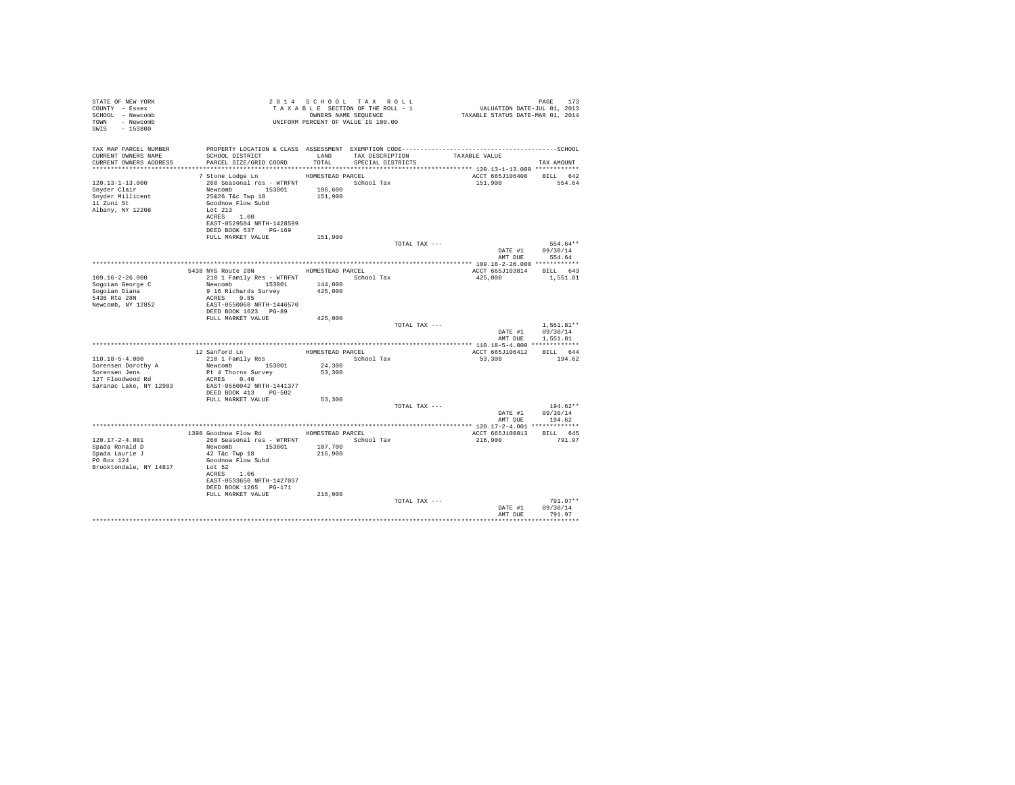| STATE OF NEW YORK<br>COUNTY - Essex<br>SCHOOL - Newcomb<br>TOWN - Newcomb<br>SWIS - 153800          |                                                                                                                                                                                                                                | 2014 SCHOOL TAX ROLL<br>TAXABLE SECTION OF THE ROLL - 1<br>OWNERS NAME SEQUENCE<br>UNIFORM PERCENT OF VALUE IS 100.00 |                                      |               | PAGE 173<br>VALUATION DATE-JUL 01, 2013<br>TAXABLE STATUS DATE-MAR 01, 2014  |                                      |
|-----------------------------------------------------------------------------------------------------|--------------------------------------------------------------------------------------------------------------------------------------------------------------------------------------------------------------------------------|-----------------------------------------------------------------------------------------------------------------------|--------------------------------------|---------------|------------------------------------------------------------------------------|--------------------------------------|
| TAX MAP PARCEL NUMBER<br>CURRENT OWNERS NAME<br>CURRENT OWNERS ADDRESS                              | SCHOOL DISTRICT<br>PARCEL SIZE/GRID COORD                                                                                                                                                                                      | LAND<br>TOTAL                                                                                                         | TAX DESCRIPTION<br>SPECIAL DISTRICTS |               | TAXABLE VALUE<br>****************************** 120.13-1-13.000 ************ | TAX AMOUNT                           |
| 120.13-1-13.000<br>Snyder Clair<br>Snyder Millicent<br>11 Zuni St<br>Albany, NY 12208               | 7 Stone Lodge Ln<br>260 Seasonal res - WTRFNT <a></a> School Tax<br>Newcomb 153801<br>25&26 T&c Twp 18<br>Goodnow Flow Subd<br>Lot 213<br>ACRES 1.00<br>EAST-0529504 NRTH-1428599<br>DEED BOOK 537 PG-169<br>FULL MARKET VALUE | HOMESTEAD PARCEL<br>106,600<br>151,900<br>151,900                                                                     |                                      |               | ACCT 665J106408<br>151,900                                                   | BILL 642<br>554.64                   |
|                                                                                                     |                                                                                                                                                                                                                                |                                                                                                                       |                                      | TOTAL TAX --- | DATE #1 09/30/14<br>AMT DUE                                                  | 554.64**<br>554.64                   |
|                                                                                                     |                                                                                                                                                                                                                                |                                                                                                                       |                                      |               |                                                                              |                                      |
| $109.16 - 2 - 26.000$<br>Sogoian George C<br>Sogoian Diana<br>5438 Rte 28N<br>Newcomb, NY 12852     | 5438 NYS Route 28N HOMESTEAD PARCEL<br>210 1 Family Res - WTRFNT<br>Newcomb 153801<br>9 16 Richards Survey<br>ACRES 0.85<br>EAST-0550068 NRTH-1446570<br>DEED BOOK 1623 PG-89                                                  | 144,000<br>425,000                                                                                                    | School Tax                           |               | ACCT 665J103814 BILL 643<br>425,000                                          | 1,551.81                             |
|                                                                                                     | FULL MARKET VALUE                                                                                                                                                                                                              | 425,000                                                                                                               |                                      | TOTAL TAX --- | DATE #1<br>AMT DUE                                                           | $1.551.81**$<br>09/30/14<br>1,551.81 |
|                                                                                                     |                                                                                                                                                                                                                                |                                                                                                                       |                                      |               |                                                                              |                                      |
| 110.18-5-4.000<br>Sorensen Dorothy A<br>Sorensen Jens<br>127 Floodwood Rd<br>Saranac Lake, NY 12983 | 12 Sanford Ln<br>210 1 Family Res<br>Newcomb 153801<br>Pt 4 Thorns Survey<br>ACRES 0.40<br>EAST-0560042 NRTH-1441377<br>DEED BOOK 413 PG-502                                                                                   | HOMESTEAD PARCEL<br>24,300<br>53,300                                                                                  | School Tax                           |               | ACCT 665J106412<br>53,300                                                    | BILL 644<br>194.62                   |
|                                                                                                     | FULL MARKET VALUE                                                                                                                                                                                                              | 53,300                                                                                                                |                                      |               |                                                                              |                                      |
|                                                                                                     |                                                                                                                                                                                                                                |                                                                                                                       |                                      | TOTAL TAX --- | DATE #1<br>AMT DUE                                                           | $194.62**$<br>09/30/14<br>194.62     |
|                                                                                                     |                                                                                                                                                                                                                                |                                                                                                                       |                                      |               |                                                                              |                                      |
| $120.17 - 2 - 4.001$<br>Spada Ronald D<br>Spada Laurie J<br>PO Box 124<br>Brooktondale, NY 14817    | 1398 Goodnow Flow Rd MOMESTEAD PARCEL<br>260 Seasonal res - WTRFNT<br>Newcomb 153801<br>42 T&c Twp 18<br>Goodnow Flow Subd<br>Lot 52<br>ACRES 1.06<br>EAST-0533650 NRTH-1427037<br>DEED BOOK 1265 PG-171                       | 107,700<br>216,900                                                                                                    | School Tax                           |               | ACCT 665J100813<br>216,900                                                   | BILL 645<br>791.97                   |
|                                                                                                     | FULL MARKET VALUE                                                                                                                                                                                                              | 216,900                                                                                                               |                                      | TOTAL TAX --- | DATE #1                                                                      | 791.97**<br>09/30/14                 |
|                                                                                                     |                                                                                                                                                                                                                                |                                                                                                                       |                                      |               | AMT DUE                                                                      | 791.97                               |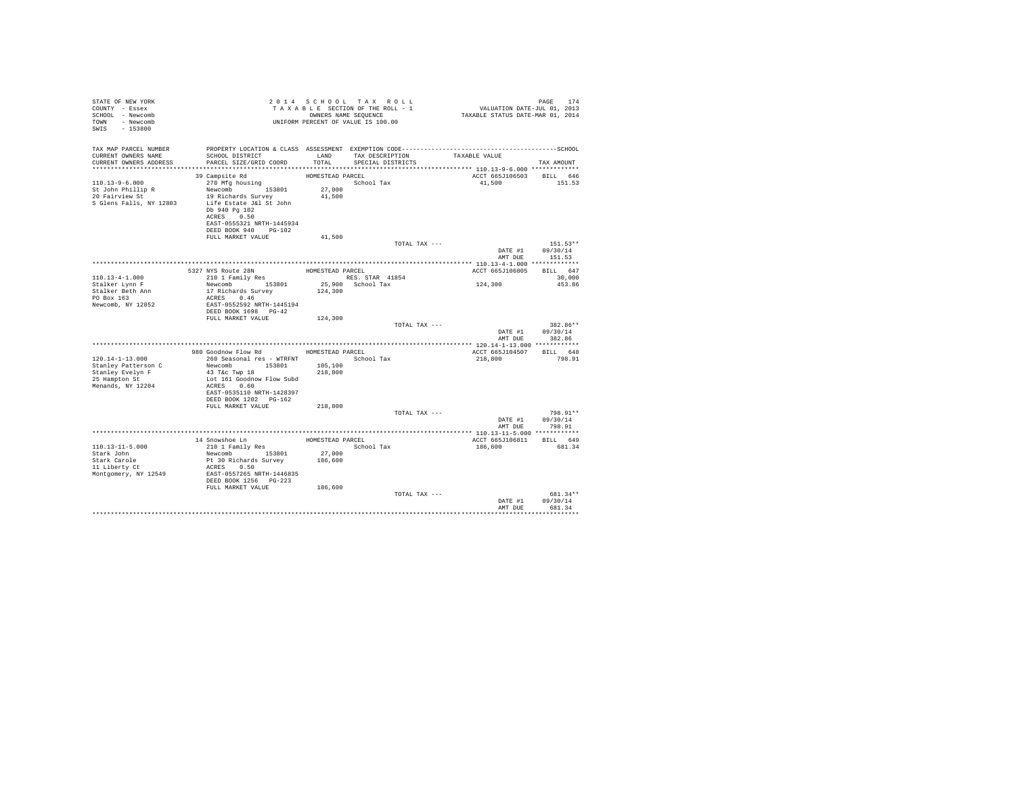| STATE OF NEW YORK<br>COUNTY - Essex<br>SCHOOL - Newcomb<br>TOWN - Newcomb<br>SWIS<br>$-153800$ |                                                                                                                                                                                                               |                                                | 2014 SCHOOL TAX ROLL<br>UNIFORM PERCENT OF VALUE IS 100.00 |               | PAGE 174 1945 CHOOL TAX ROLL 1<br>TAXABLE SECTION OF THE ROLL - 1 VALUATION DATE-JUL 01, 2013<br>ONNERS NAME SEQUENCE 1 TAXABLE STATUS DATE-MAR 01, 2014 | PAGE<br>174                              |
|------------------------------------------------------------------------------------------------|---------------------------------------------------------------------------------------------------------------------------------------------------------------------------------------------------------------|------------------------------------------------|------------------------------------------------------------|---------------|----------------------------------------------------------------------------------------------------------------------------------------------------------|------------------------------------------|
| TAX MAP PARCEL NUMBER<br>CURRENT OWNERS NAME<br>CURRENT OWNERS ADDRESS                         | SCHOOL DISTRICT<br>PARCEL SIZE/GRID COORD                                                                                                                                                                     | LAND<br>TOTAL                                  | TAX DESCRIPTION<br>SPECIAL DISTRICTS                       |               | TAXABLE VALUE                                                                                                                                            | TAX AMOUNT                               |
| $110.13 - 9 - 6.000$<br>St John Phillip R<br>20 Fairview St<br>S Glens Falls, NY 12803         | 39 Campsite Rd<br>270 Mfg housing<br>Newcomb 153801<br>19 Richards Survey<br>Life Estate J&l St John<br>Db 940 Pg 102<br>ACRES 0.50<br>EAST-0555321 NRTH-1445934<br>DEED BOOK 940 PG-102<br>FULL MARKET VALUE | HOMESTEAD PARCEL<br>27,000<br>41,500<br>41,500 | School Tax                                                 |               | ACCT 665J106503 BILL 646<br>41,500                                                                                                                       | 151.53                                   |
|                                                                                                |                                                                                                                                                                                                               |                                                |                                                            | TOTAL TAX --- | AMT DUE                                                                                                                                                  | $151.53**$<br>DATE #1 09/30/14<br>151.53 |
|                                                                                                |                                                                                                                                                                                                               |                                                |                                                            |               |                                                                                                                                                          |                                          |
|                                                                                                | 5327 NYS Route 28N                                                                                                                                                                                            | HOMESTEAD PARCEL                               |                                                            |               | ACCT 665J106805                                                                                                                                          | BILL 647                                 |
| $110.13 - 4 - 1.000$                                                                           | 210 1 Family Res                                                                                                                                                                                              |                                                | RES. STAR 41854                                            |               |                                                                                                                                                          | 30,000                                   |
| Stalker Lynn F                                                                                 | Newcomb 153801                                                                                                                                                                                                |                                                | 25,900 School Tax                                          |               | 124,300                                                                                                                                                  | 453.86                                   |
| Stalker Beth Ann                                                                               | 17 Richards Survey                                                                                                                                                                                            | 124,300                                        |                                                            |               |                                                                                                                                                          |                                          |
| PO Box 163                                                                                     | ACRES 0.46                                                                                                                                                                                                    |                                                |                                                            |               |                                                                                                                                                          |                                          |
| Newcomb, NY 12852                                                                              | EAST-0552592 NRTH-1445194                                                                                                                                                                                     |                                                |                                                            |               |                                                                                                                                                          |                                          |
|                                                                                                | DEED BOOK 1698 PG-42                                                                                                                                                                                          |                                                |                                                            |               |                                                                                                                                                          |                                          |
|                                                                                                | FULL MARKET VALUE                                                                                                                                                                                             | 124,300                                        |                                                            |               |                                                                                                                                                          |                                          |
|                                                                                                |                                                                                                                                                                                                               |                                                |                                                            | TOTAL TAX --- | DATE #1<br>AMT DUE                                                                                                                                       | 382.86**<br>09/30/14<br>382.86           |
|                                                                                                |                                                                                                                                                                                                               |                                                |                                                            |               |                                                                                                                                                          |                                          |
|                                                                                                | 980 Goodnow Flow Rd MOMESTEAD PARCEL                                                                                                                                                                          |                                                |                                                            |               | ACCT 665J104507 BILL 648                                                                                                                                 |                                          |
| $120.14 - 1 - 13.000$                                                                          | 260 Seasonal res - WTRFNT                                                                                                                                                                                     |                                                | School Tax                                                 |               | 218,800                                                                                                                                                  | 798.91                                   |
| Stanley Patterson C                                                                            | Newcomb 153801                                                                                                                                                                                                | 105,100                                        |                                                            |               |                                                                                                                                                          |                                          |
| Stanley Evelyn F                                                                               | 43 T&c Twp 18                                                                                                                                                                                                 | 218,800                                        |                                                            |               |                                                                                                                                                          |                                          |
| 25 Hampton St<br>Menands, NY 12204                                                             | Lot 161 Goodnow Flow Subd<br>ACRES 0.60                                                                                                                                                                       |                                                |                                                            |               |                                                                                                                                                          |                                          |
|                                                                                                | EAST-0535110 NRTH-1428397                                                                                                                                                                                     |                                                |                                                            |               |                                                                                                                                                          |                                          |
|                                                                                                | DEED BOOK 1202 PG-162                                                                                                                                                                                         |                                                |                                                            |               |                                                                                                                                                          |                                          |
|                                                                                                | FULL MARKET VALUE                                                                                                                                                                                             | 218,800                                        |                                                            |               |                                                                                                                                                          |                                          |
|                                                                                                |                                                                                                                                                                                                               |                                                |                                                            | TOTAL TAX --- |                                                                                                                                                          | 798.91**                                 |
|                                                                                                |                                                                                                                                                                                                               |                                                |                                                            |               |                                                                                                                                                          | DATE #1 09/30/14                         |
|                                                                                                |                                                                                                                                                                                                               |                                                |                                                            |               | AMT DUE                                                                                                                                                  | 798.91                                   |
|                                                                                                |                                                                                                                                                                                                               |                                                |                                                            |               |                                                                                                                                                          |                                          |
|                                                                                                | 14 Snowshoe Ln                                                                                                                                                                                                |                                                | HOMESTEAD PARCEL                                           |               | ACCT 665J106811                                                                                                                                          | BILL 649                                 |
| $110.13 - 11 - 5.000$                                                                          | 210 1 Family Res                                                                                                                                                                                              |                                                | School Tax                                                 |               | 186,600                                                                                                                                                  | 681.34                                   |
| Stark John                                                                                     | Newcomb 153801                                                                                                                                                                                                | 27,000                                         |                                                            |               |                                                                                                                                                          |                                          |
| Stark Carole                                                                                   | Pt 30 Richards Survey                                                                                                                                                                                         | 186,600                                        |                                                            |               |                                                                                                                                                          |                                          |
| 11 Liberty Ct                                                                                  | ACRES 0.50                                                                                                                                                                                                    |                                                |                                                            |               |                                                                                                                                                          |                                          |
| Montgomery, NY 12549                                                                           | EAST-0557265 NRTH-1446835<br>DEED BOOK 1256 PG-223                                                                                                                                                            |                                                |                                                            |               |                                                                                                                                                          |                                          |
|                                                                                                | FULL MARKET VALUE                                                                                                                                                                                             | 186,600                                        |                                                            |               |                                                                                                                                                          |                                          |
|                                                                                                |                                                                                                                                                                                                               |                                                |                                                            | TOTAL TAX --- |                                                                                                                                                          | 681.34**                                 |
|                                                                                                |                                                                                                                                                                                                               |                                                |                                                            |               | DATE #1                                                                                                                                                  | 09/30/14                                 |
|                                                                                                |                                                                                                                                                                                                               |                                                |                                                            |               | AMT DUR                                                                                                                                                  | 681.34                                   |
|                                                                                                |                                                                                                                                                                                                               |                                                |                                                            |               |                                                                                                                                                          |                                          |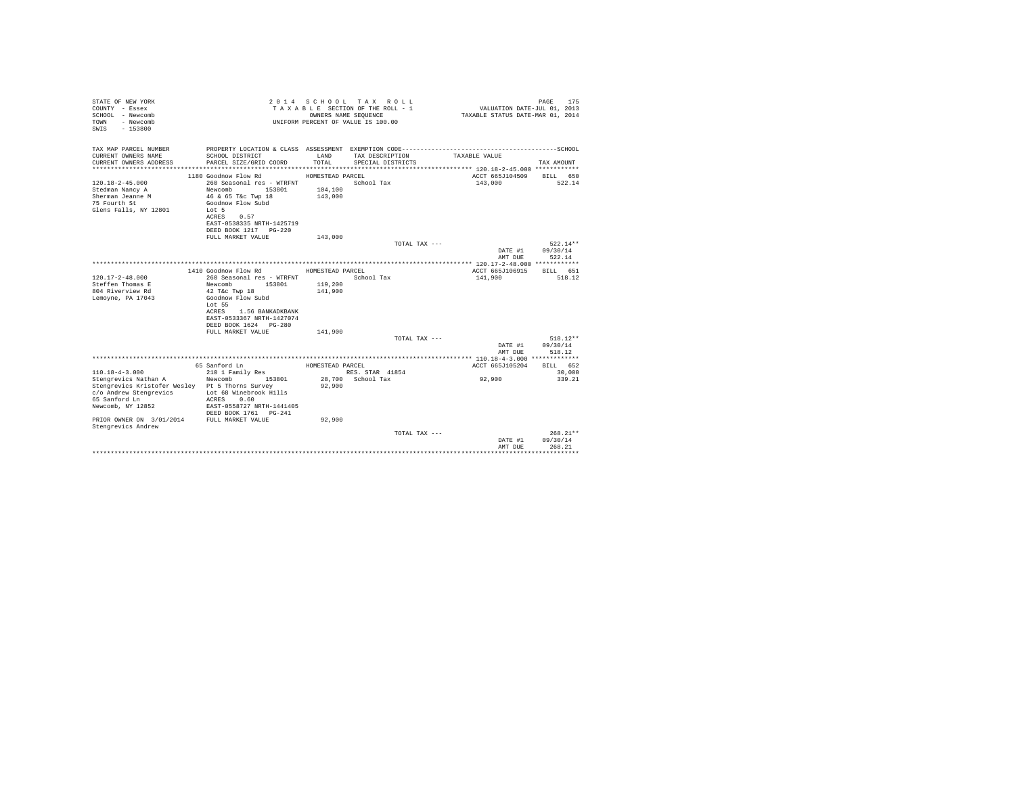| STATE OF NEW YORK<br>COUNTY - Essex<br>SCHOOL - Newcomb<br>- Newcomb<br>TOWN<br>$-153800$<br>SWTS |                                                    | OWNERS NAME SEQUENCE | 2014 SCHOOL TAX ROLL<br>TAXABLE SECTION OF THE ROLL - 1<br>UNIFORM PERCENT OF VALUE IS 100.00 | VALUATION DATE-JUL 01, 2013<br>TAXABLE STATUS DATE-MAR 01, 2014 | 175<br>PAGE        |
|---------------------------------------------------------------------------------------------------|----------------------------------------------------|----------------------|-----------------------------------------------------------------------------------------------|-----------------------------------------------------------------|--------------------|
| TAX MAP PARCEL NUMBER                                                                             |                                                    |                      |                                                                                               |                                                                 |                    |
| CURRENT OWNERS NAME<br>CURRENT OWNERS ADDRESS                                                     | SCHOOL DISTRICT<br>PARCEL SIZE/GRID COORD          | LAND<br>TOTAL.       | TAX DESCRIPTION<br>SPECIAL DISTRICTS                                                          | TAXABLE VALUE                                                   | TAX AMOUNT         |
|                                                                                                   | 1180 Goodnow Flow Rd                               | HOMESTEAD PARCEL     |                                                                                               | ACCT 665J104509                                                 | BILL 650           |
| $120.18 - 2 - 45.000$                                                                             | 260 Seasonal res - WTRFNT                          |                      | School Tax                                                                                    | 143,000                                                         | 522.14             |
| Stedman Nancy A                                                                                   | Newcomb<br>153801                                  | 104,100              |                                                                                               |                                                                 |                    |
| Sherman Jeanne M                                                                                  | 46 & 65 T&c Twp 18                                 | 143,000              |                                                                                               |                                                                 |                    |
| 75 Fourth St                                                                                      | Goodnow Flow Subd                                  |                      |                                                                                               |                                                                 |                    |
| Glens Falls, NY 12801                                                                             | Lot 5                                              |                      |                                                                                               |                                                                 |                    |
|                                                                                                   | 0.57<br>ACRES                                      |                      |                                                                                               |                                                                 |                    |
|                                                                                                   | EAST-0538335 NRTH-1425719                          |                      |                                                                                               |                                                                 |                    |
|                                                                                                   | DEED BOOK 1217 PG-220                              |                      |                                                                                               |                                                                 |                    |
|                                                                                                   | FULL MARKET VALUE                                  | 143,000              |                                                                                               |                                                                 |                    |
|                                                                                                   |                                                    |                      | TOTAL TAX ---                                                                                 |                                                                 | $522.14**$         |
|                                                                                                   |                                                    |                      |                                                                                               | DATE #1                                                         | 09/30/14           |
|                                                                                                   |                                                    |                      |                                                                                               | AMT DUE                                                         | 522.14             |
|                                                                                                   | 1410 Goodnow Flow Rd                               | HOMESTEAD PARCEL     |                                                                                               | ACCT 665J106915                                                 | BTLL 651           |
| $120.17 - 2 - 48.000$                                                                             | 260 Seasonal res - WTRFNT                          |                      | School Tax                                                                                    | 141,900                                                         | 518.12             |
| Steffen Thomas E                                                                                  | Newcomb<br>153801                                  | 119,200              |                                                                                               |                                                                 |                    |
| 804 Riverview Rd                                                                                  | 42 T&c Twp 18                                      | 141,900              |                                                                                               |                                                                 |                    |
| Lemoyne, PA 17043                                                                                 | Goodnow Flow Subd                                  |                      |                                                                                               |                                                                 |                    |
|                                                                                                   | Lot 55                                             |                      |                                                                                               |                                                                 |                    |
|                                                                                                   | <b>ACRES</b><br>1.56 BANKADKBANK                   |                      |                                                                                               |                                                                 |                    |
|                                                                                                   | EAST-0533367 NRTH-1427074                          |                      |                                                                                               |                                                                 |                    |
|                                                                                                   | DEED BOOK 1624 PG-280                              |                      |                                                                                               |                                                                 |                    |
|                                                                                                   | FULL MARKET VALUE                                  | 141,900              |                                                                                               |                                                                 |                    |
|                                                                                                   |                                                    |                      | TOTAL TAX ---                                                                                 |                                                                 | $518.12**$         |
|                                                                                                   |                                                    |                      |                                                                                               | DATE #1<br>AMT DUE                                              | 09/30/14<br>518.12 |
|                                                                                                   |                                                    |                      |                                                                                               |                                                                 |                    |
|                                                                                                   | 65 Sanford Ln                                      | HOMESTEAD PARCEL     |                                                                                               | ACCT 665J105204                                                 | BILL 652           |
| $110.18 - 4 - 3.000$                                                                              | 210 1 Family Res                                   |                      | RES. STAR 41854                                                                               |                                                                 | 30,000             |
| Stengrevics Nathan A                                                                              | Newcomb<br>153801                                  |                      | 28.700 School Tax                                                                             | 92,900                                                          | 339.21             |
| Stengrevics Kristofer Wesley Pt 5 Thorns Survey                                                   |                                                    | 92,900               |                                                                                               |                                                                 |                    |
| c/o Andrew Stengrevics                                                                            | Lot 68 Winebrook Hills                             |                      |                                                                                               |                                                                 |                    |
| 65 Sanford Ln                                                                                     | 0.60<br>ACRES                                      |                      |                                                                                               |                                                                 |                    |
| Newcomb, NY 12852                                                                                 | EAST-0558727 NRTH-1441405<br>DEED BOOK 1761 PG-241 |                      |                                                                                               |                                                                 |                    |
| PRIOR OWNER ON 3/01/2014                                                                          | FULL MARKET VALUE                                  | 92.900               |                                                                                               |                                                                 |                    |
| Stengrevics Andrew                                                                                |                                                    |                      |                                                                                               |                                                                 |                    |
|                                                                                                   |                                                    |                      | TOTAL TAX ---                                                                                 |                                                                 | $268.21**$         |
|                                                                                                   |                                                    |                      |                                                                                               | DATE #1                                                         | 09/30/14           |
|                                                                                                   |                                                    |                      |                                                                                               | AMT DUE                                                         | 268.21             |
|                                                                                                   |                                                    |                      |                                                                                               |                                                                 |                    |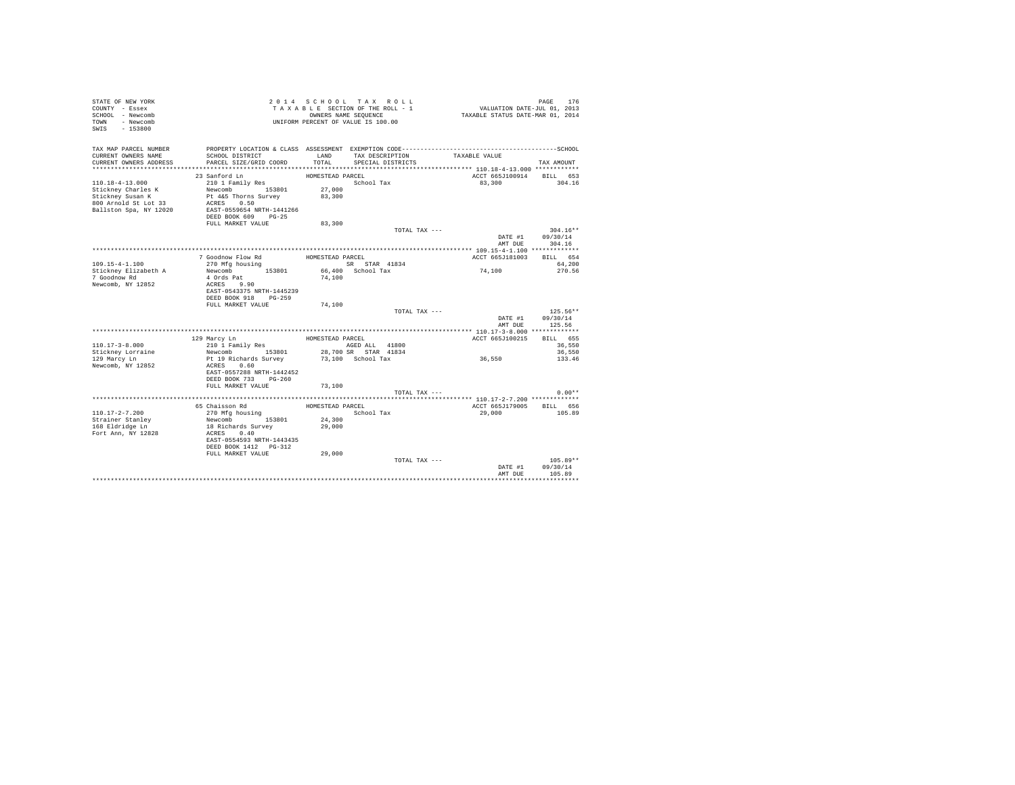| STATE OF NEW YORK<br>COUNTY - Essex<br>SCHOOL - Newcomb<br>TOWN - Newcomb<br>SWIS - 153800 |                                                                                       |                                      | 2014 SCHOOL TAX ROLL<br>TAXABLE SECTION OF THE ROLL - 1<br>OWNERS NAME SEQUENCE<br>UNIFORM PERCENT OF VALUE IS 100.00 | VALUATION DATE-JUL 01, 2013<br>TAXABLE STATUS DATE-MAR 01, 2014 | PAGE<br>176                      |
|--------------------------------------------------------------------------------------------|---------------------------------------------------------------------------------------|--------------------------------------|-----------------------------------------------------------------------------------------------------------------------|-----------------------------------------------------------------|----------------------------------|
| TAX MAP PARCEL NUMBER<br>CURRENT OWNERS NAME                                               | SCHOOL DISTRICT                                                                       | LAND<br>TOTAL                        | TAX DESCRIPTION                                                                                                       | TAXABLE VALUE                                                   |                                  |
| CURRENT OWNERS ADDRESS                                                                     | PARCEL SIZE/GRID COORD                                                                |                                      | SPECIAL DISTRICTS                                                                                                     |                                                                 | TAX AMOUNT                       |
| $110.18 - 4 - 13.000$                                                                      | 23 Sanford Ln<br>210 1 Family Res                                                     | HOMESTEAD PARCEL                     | School Tax                                                                                                            | ACCT 665J100914 BILL 653<br>83,300                              | 304.16                           |
| Stickney Charles K<br>Sticknev Susan K<br>800 Arnold St Lot 33<br>Ballston Spa, NY 12020   | Newcomb 153801<br>Pt 4&5 Thorns Survey<br>ACRES 0.50<br>EAST-0559654 NRTH-1441266     | 27,000<br>83,300                     |                                                                                                                       |                                                                 |                                  |
|                                                                                            | DEED BOOK 609 PG-25<br>FULL MARKET VALUE                                              | 83,300                               |                                                                                                                       |                                                                 |                                  |
|                                                                                            |                                                                                       |                                      | TOTAL TAX ---                                                                                                         | DATE #1<br>AMT DUE                                              | $304.16**$<br>09/30/14<br>304.16 |
|                                                                                            |                                                                                       |                                      |                                                                                                                       |                                                                 |                                  |
| $109.15 - 4 - 1.100$                                                                       | 7 Goodnow Flow Rd<br>270 Mfa housina                                                  | HOMESTEAD PARCEL                     | SR STAR 41834                                                                                                         | ACCT 665J181003                                                 | BTT.T. 654<br>64,200             |
| Stickney Elizabeth A<br>7 Goodnow Rd<br>Newcomb, NY 12852                                  | Newcomb 153801<br>4 Ords Pat<br>ACRES 9.90<br>EAST-0543375 NRTH-1445239               | 74,100                               | 66,400 School Tax                                                                                                     | 74,100                                                          | 270.56                           |
|                                                                                            | DEED BOOK 918 PG-259<br>FULL MARKET VALUE                                             | 74,100                               |                                                                                                                       |                                                                 |                                  |
|                                                                                            |                                                                                       |                                      | TOTAL TAX ---                                                                                                         | DATE #1                                                         | $125.56**$<br>09/30/14           |
|                                                                                            |                                                                                       |                                      |                                                                                                                       | AMT DUE                                                         | 125.56                           |
|                                                                                            | 129 Marcy Ln                                                                          | HOMESTEAD PARCEL                     |                                                                                                                       | ACCT 665J100215                                                 | BILL 655                         |
| $110.17 - 3 - 8.000$                                                                       | 210 1 Family Res                                                                      |                                      | AGED ALL 41800                                                                                                        |                                                                 | 36,550                           |
| Stickney Lorraine<br>129 Marcy Ln<br>Newcomb, NY 12852                                     | Newcomb 153801<br>Pt 19 Richards Survey<br>0.60<br>ACRES<br>EAST-0557288 NRTH-1442452 |                                      | 28,700 SR STAR 41834<br>73,100 School Tax                                                                             | 36,550                                                          | 36,550<br>133.46                 |
|                                                                                            | DEED BOOK 733 PG-260                                                                  |                                      |                                                                                                                       |                                                                 |                                  |
|                                                                                            | FULL MARKET VALUE                                                                     | 73,100                               | TOTAL TAX ---                                                                                                         |                                                                 | $0.00**$                         |
|                                                                                            |                                                                                       |                                      |                                                                                                                       |                                                                 |                                  |
| $110.17 - 2 - 7.200$<br>Strainer Stanley<br>168 Eldridge Ln                                | 65 Chaisson Rd<br>270 Mfg housing<br>Newcomb 153801<br>18 Richards Survey             | HOMESTEAD PARCEL<br>24,300<br>29,000 | School Tax                                                                                                            | ACCT 665J179005 BILL 656<br>29,000                              | 105.89                           |
| Fort Ann, NY 12828                                                                         | ACRES 0.40<br>EAST-0554593 NRTH-1443435<br>DEED BOOK 1412 PG-312                      |                                      |                                                                                                                       |                                                                 |                                  |
|                                                                                            | FULL MARKET VALUE                                                                     | 29,000                               | TOTAL TAX ---                                                                                                         | DATE #1<br>AMT DUE                                              | $105.89**$<br>09/30/14<br>105.89 |
|                                                                                            |                                                                                       |                                      |                                                                                                                       |                                                                 |                                  |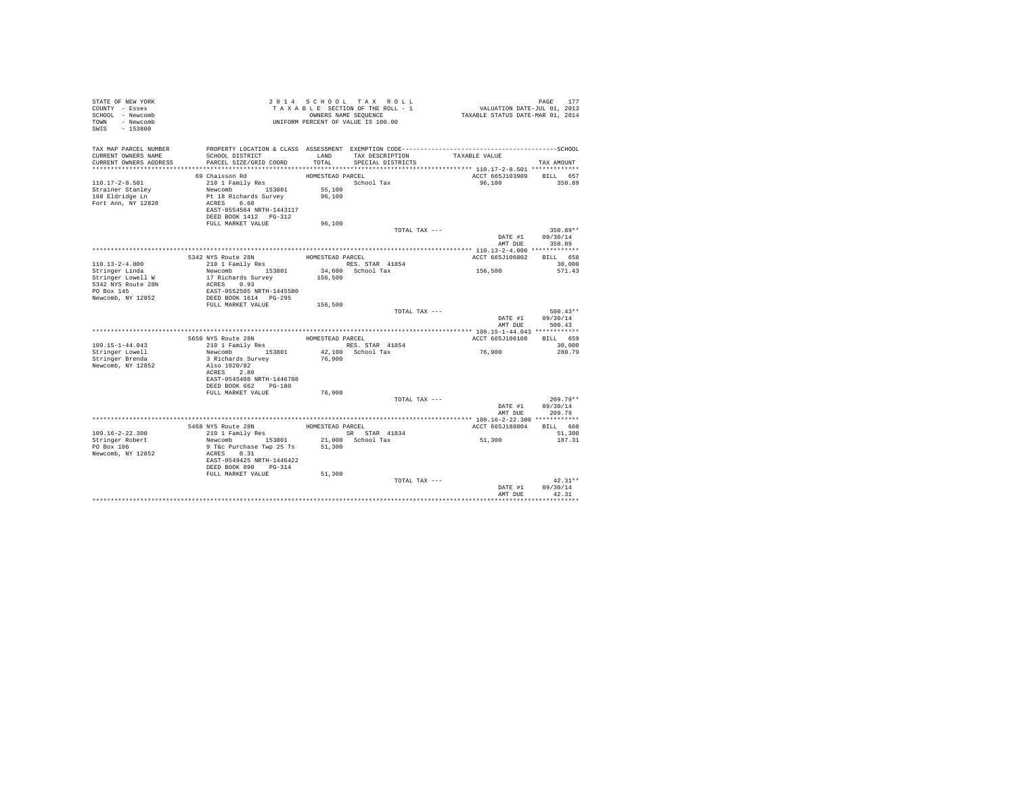| STATE OF NEW YORK<br>COUNTY - Essex<br>SCHOOL - Newcomb<br>TOWN<br>- Newcomb<br>SWIS<br>$-153800$ |                                                                                                                          | UNIFORM PERCENT OF VALUE IS 100.00   | 2014 SCHOOL TAX ROLL<br>TAXABLE SECTION OF THE ROLL - 1<br>OWNERS NAME SEQUENCE | VALUATION DATE-JUL 01, 2013<br>TAXABLE STATUS DATE-MAR 01, 2014 | 177<br>PAGE                      |
|---------------------------------------------------------------------------------------------------|--------------------------------------------------------------------------------------------------------------------------|--------------------------------------|---------------------------------------------------------------------------------|-----------------------------------------------------------------|----------------------------------|
| TAX MAP PARCEL NUMBER<br>CURRENT OWNERS NAME<br>CURRENT OWNERS ADDRESS                            | SCHOOL DISTRICT<br>PARCEL SIZE/GRID COORD                                                                                | LAND<br>TOTAL                        | TAX DESCRIPTION<br>SPECIAL DISTRICTS                                            | TAXABLE VALUE                                                   | TAX AMOUNT                       |
| $110.17 - 2 - 8.501$<br>Strainer Stanley<br>168 Eldridge Ln<br>Fort Ann, NY 12828                 | 69 Chaisson Rd<br>210 1 Family Res<br>Newcomb 153801<br>Pt 18 Richards Survey<br>ACRES 6.60<br>EAST-0554564 NRTH-1443117 | HOMESTEAD PARCEL<br>55,100<br>96,100 | School Tax                                                                      | ACCT 665J103909<br>96,100                                       | BILL 657<br>350.89               |
|                                                                                                   | DEED BOOK 1412   PG-312<br>FULL MARKET VALUE                                                                             | 96,100                               |                                                                                 |                                                                 |                                  |
|                                                                                                   |                                                                                                                          |                                      | TOTAL TAX ---                                                                   | DATE #1<br>AMT DUE                                              | $350.89**$<br>09/30/14<br>350.89 |
|                                                                                                   |                                                                                                                          |                                      |                                                                                 |                                                                 |                                  |
|                                                                                                   | 5342 NYS Route 28N                                                                                                       | HOMESTEAD PARCEL                     |                                                                                 | ACCT 665J106802                                                 | BILL 658                         |
| $110.13 - 2 - 4.000$                                                                              | 210 1 Family Res                                                                                                         |                                      | RES. STAR 41854                                                                 |                                                                 | 30,000                           |
| Stringer Linda<br>Stringer Lowell W<br>5342 NYS Route 28N<br>PO Box 145                           | Newcomb 153801<br>17 Richards Survey<br>ACRES 0.93<br>EAST-0552505 NRTH-1445580                                          | 156,500                              | 34,600 School Tax                                                               | 156,500                                                         | 571.43                           |
| Newcomb, NY 12852                                                                                 | DEED BOOK 1614 PG-295<br>FULL MARKET VALUE                                                                               | 156,500                              |                                                                                 |                                                                 |                                  |
|                                                                                                   |                                                                                                                          |                                      | TOTAL TAX ---                                                                   | DATE #1<br>AMT DUE                                              | $500.43**$<br>09/30/14<br>500.43 |
|                                                                                                   |                                                                                                                          |                                      |                                                                                 |                                                                 |                                  |
|                                                                                                   | 5650 NYS Route 28N                                                                                                       | HOMESTEAD PARCEL                     |                                                                                 | ACCT 665J106108                                                 | BILL 659                         |
| $109.15 - 1 - 44.043$                                                                             | 210 1 Family Res                                                                                                         |                                      | RES. STAR 41854                                                                 |                                                                 | 30,000                           |
| Stringer Lowell<br>Stringer Brenda<br>Newcomb, NY 12852                                           | Newcomb 153801<br>3 Richards Survey<br>Also 1020/82<br>ACRES 2.80                                                        | 76,900                               | 42.100 School Tax                                                               | 76,900                                                          | 280.79                           |
|                                                                                                   | EAST-0545408 NRTH-1446708<br>DEED BOOK 662 PG-180<br>FULL MARKET VALUE                                                   | 76,900                               |                                                                                 |                                                                 |                                  |
|                                                                                                   |                                                                                                                          |                                      | TOTAL TAX ---                                                                   | DATE #1<br>AMT DUE                                              | $209.79**$<br>09/30/14<br>209.79 |
|                                                                                                   |                                                                                                                          |                                      |                                                                                 |                                                                 |                                  |
|                                                                                                   | 5468 NYS Route 28N                                                                                                       | HOMESTEAD PARCEL                     |                                                                                 | ACCT 665J188004                                                 | BILL 660                         |
| $109.16 - 2 - 22.300$                                                                             | 210 1 Family Res                                                                                                         |                                      | SR STAR 41834                                                                   |                                                                 | 51,300                           |
| Stringer Robert<br>PO Box 106<br>Newcomb, NY 12852                                                | Newcomb<br>153801<br>9 T&c Purchase Twp 25 Ts<br>ACRES 0.31<br>EAST-0549425 NRTH-1446422<br>DEED BOOK 890 PG-314         | 51,300                               | 21,000 School Tax                                                               | 51,300                                                          | 187.31                           |
|                                                                                                   | FULL MARKET VALUE                                                                                                        | 51,300                               |                                                                                 |                                                                 |                                  |
|                                                                                                   |                                                                                                                          |                                      | TOTAL TAX ---                                                                   | DATE #1<br>AMT DUE                                              | $42.31**$<br>09/30/14<br>42.31   |
|                                                                                                   |                                                                                                                          |                                      |                                                                                 |                                                                 |                                  |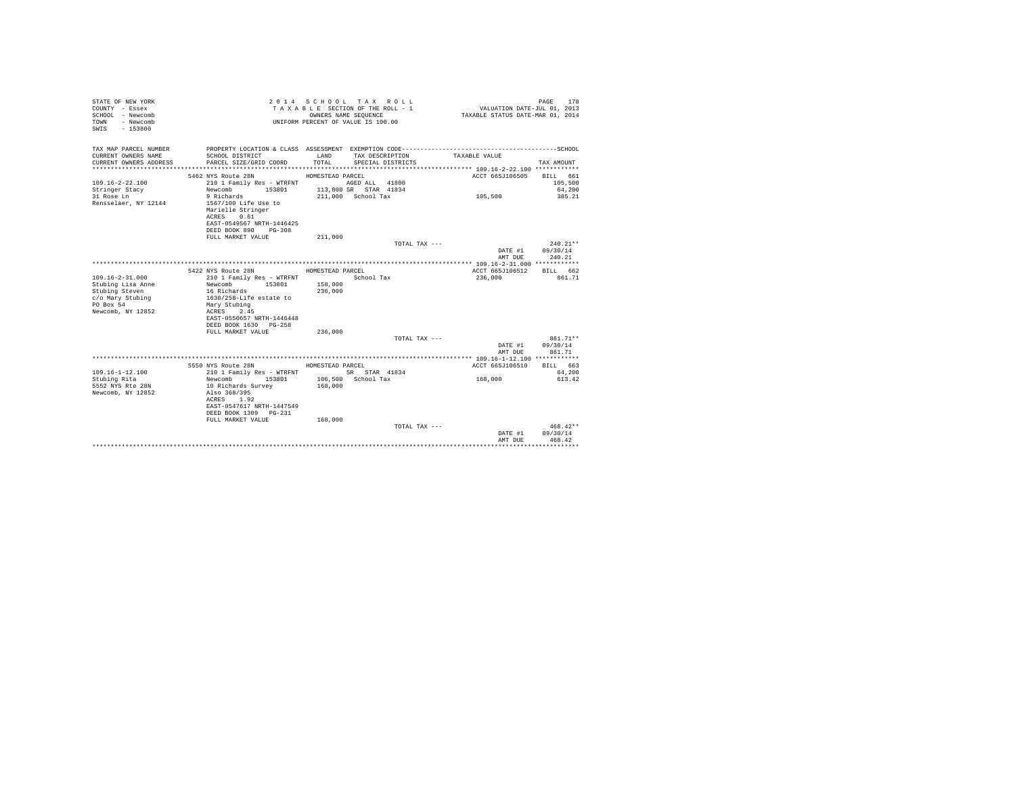| STATE OF NEW YORK<br>COUNTY - Essex<br>SCHOOL - Newcomb<br>- Newcomb<br>TOWN<br>$-153800$<br>SWIS |                                                    |                  | 2014 SCHOOL TAX ROLL<br>TAXABLE SECTION OF THE ROLL - 1<br>OWNERS NAME SEOUENCE<br>UNIFORM PERCENT OF VALUE IS 100.00 | VALUATION DATE-JUL 01, 2013<br>TAXABLE STATUS DATE-MAR 01, 2014 | PAGE<br>178      |
|---------------------------------------------------------------------------------------------------|----------------------------------------------------|------------------|-----------------------------------------------------------------------------------------------------------------------|-----------------------------------------------------------------|------------------|
| TAX MAP PARCEL NUMBER                                                                             |                                                    |                  |                                                                                                                       |                                                                 |                  |
| CURRENT OWNERS NAME<br>CURRENT OWNERS ADDRESS                                                     | SCHOOL DISTRICT<br>PARCEL SIZE/GRID COORD          | LAND<br>TOTAL    | TAX DESCRIPTION<br>SPECIAL DISTRICTS                                                                                  | TAXABLE VALUE                                                   | TAX AMOUNT       |
|                                                                                                   |                                                    |                  |                                                                                                                       |                                                                 |                  |
|                                                                                                   | 5462 NYS Route 28N                                 | HOMESTEAD PARCEL |                                                                                                                       | ACCT 665J106505 BILL 661                                        |                  |
| $109.16 - 2 - 22.100$                                                                             | 210 1 Family Res - WTRFNT                          |                  | AGED ALL 41800                                                                                                        |                                                                 | 105,500          |
| Stringer Stacy                                                                                    | Newcomb 153801                                     |                  | 113,800 SR STAR 41834                                                                                                 |                                                                 | 64,200           |
| 31 Rose Ln                                                                                        | 9 Richards                                         |                  | 211,000 School Tax                                                                                                    | 105,500                                                         | 385.21           |
| Rensselaer, NY 12144                                                                              | 1567/100 Life Use to<br>Marielle Stringer          |                  |                                                                                                                       |                                                                 |                  |
|                                                                                                   | ACRES 0.61                                         |                  |                                                                                                                       |                                                                 |                  |
|                                                                                                   | EAST-0549567 NRTH-1446425                          |                  |                                                                                                                       |                                                                 |                  |
|                                                                                                   | DEED BOOK 890 PG-308                               |                  |                                                                                                                       |                                                                 |                  |
|                                                                                                   | FULL MARKET VALUE                                  | 211,000          |                                                                                                                       |                                                                 |                  |
|                                                                                                   |                                                    |                  | TOTAL TAX ---                                                                                                         |                                                                 | $240.21**$       |
|                                                                                                   |                                                    |                  |                                                                                                                       |                                                                 | DATE #1 09/30/14 |
|                                                                                                   |                                                    |                  |                                                                                                                       | AMT DUE                                                         | 240.21           |
|                                                                                                   | 5422 NYS Route 28N                                 | HOMESTEAD PARCEL |                                                                                                                       | ACCT 665J106512 BILL 662                                        |                  |
| $109.16 - 2 - 31.000$                                                                             | 210 1 Family Res - WTRFNT                          |                  | School Tax                                                                                                            | 236,000                                                         | 861.71           |
| Stubing Lisa Anne                                                                                 | Newcomb 153801 158,000                             |                  |                                                                                                                       |                                                                 |                  |
| Stubing Steven                                                                                    | 16 Richards 2016                                   | 236,000          |                                                                                                                       |                                                                 |                  |
| c/o Mary Stubing                                                                                  | 1630/258-Life estate to                            |                  |                                                                                                                       |                                                                 |                  |
| PO Box 54                                                                                         | Mary Stubing                                       |                  |                                                                                                                       |                                                                 |                  |
| Newcomb, NY 12852                                                                                 | ACRES 2.45<br>EAST-0550657 NRTH-1446448            |                  |                                                                                                                       |                                                                 |                  |
|                                                                                                   | DEED BOOK 1630 PG-258                              |                  |                                                                                                                       |                                                                 |                  |
|                                                                                                   | FULL MARKET VALUE                                  | 236,000          |                                                                                                                       |                                                                 |                  |
|                                                                                                   |                                                    |                  | TOTAL TAX ---                                                                                                         |                                                                 | 861.71**         |
|                                                                                                   |                                                    |                  |                                                                                                                       |                                                                 | DATE #1 09/30/14 |
|                                                                                                   |                                                    |                  |                                                                                                                       | AMT DUE                                                         | 861.71           |
|                                                                                                   | 5550 NYS Route 28N                                 | HOMESTEAD PARCEL |                                                                                                                       | ACCT 665J106510 BILL 663                                        |                  |
| $109.16 - 1 - 12.100$                                                                             | 210 1 Family Res - WTRFNT SR STAR 41834            |                  |                                                                                                                       |                                                                 | 64,200           |
| Stubing Rita                                                                                      | Newcomb 153801 106,500 School Tax                  |                  |                                                                                                                       | 168,000                                                         | 613.42           |
| 5552 NYS Rte 28N                                                                                  | 10 Richards Survey                                 | 168,000          |                                                                                                                       |                                                                 |                  |
| Newcomb, NY 12852                                                                                 | Also 368/395                                       |                  |                                                                                                                       |                                                                 |                  |
|                                                                                                   | ACRES 1.92                                         |                  |                                                                                                                       |                                                                 |                  |
|                                                                                                   | EAST-0547617 NRTH-1447549<br>DEED BOOK 1309 PG-231 |                  |                                                                                                                       |                                                                 |                  |
|                                                                                                   | FULL MARKET VALUE                                  | 168,000          |                                                                                                                       |                                                                 |                  |
|                                                                                                   |                                                    |                  | TOTAL TAX ---                                                                                                         |                                                                 | $468.42**$       |
|                                                                                                   |                                                    |                  |                                                                                                                       | DATE #1                                                         | 09/30/14         |
|                                                                                                   |                                                    |                  |                                                                                                                       | AMT DHE                                                         | 468.42           |
|                                                                                                   |                                                    |                  |                                                                                                                       |                                                                 |                  |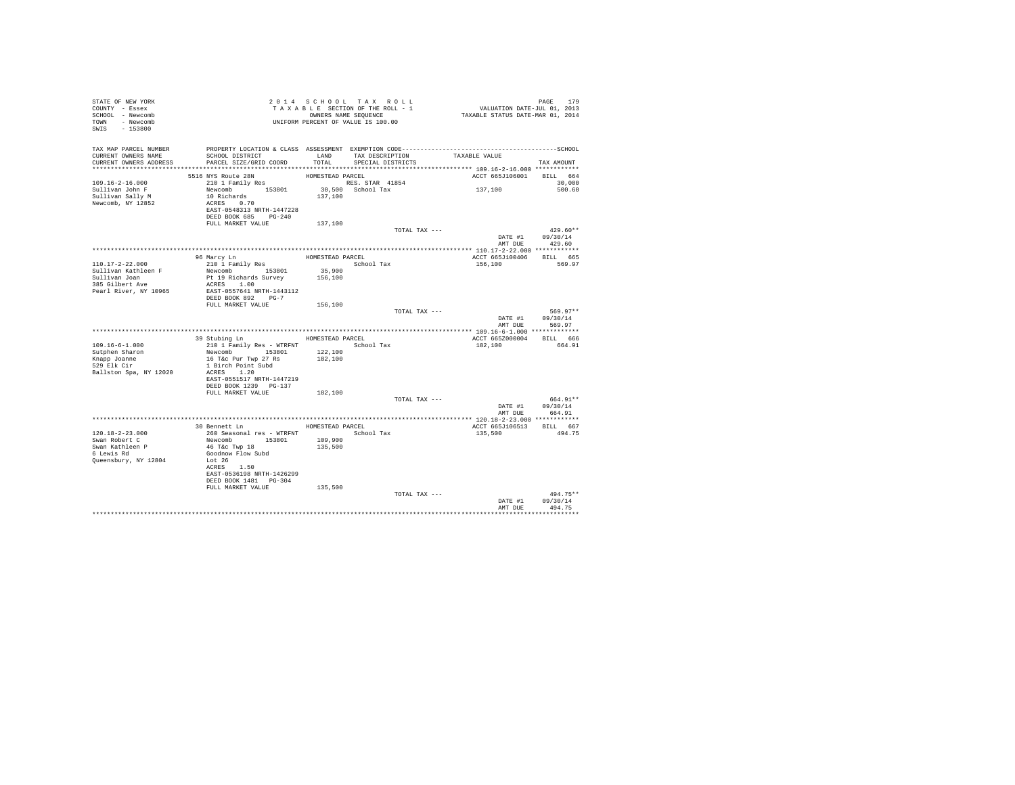| STATE OF NEW YORK<br>COUNTY - Essex<br>SCHOOL - Newcomb<br>TOWN - Newcomb<br>SWIS - 153800           | T A X A B B B B B B B SEQUENCE<br>OWNERS NAME SEQUENCE<br>UNIFORM PERCENT OF VALUE IS 100.00                         |                   | 2014 SCHOOL TAX ROLL<br>TAXABLE SECTION OF THE ROLL - 1<br>OWNERS NAME SEQUENCE | PAGE 179<br>VALUATION DATE-JUL 01, 2013<br>TAXABLE STATUS DATE-MAR 01, 2014 |                                                          |
|------------------------------------------------------------------------------------------------------|----------------------------------------------------------------------------------------------------------------------|-------------------|---------------------------------------------------------------------------------|-----------------------------------------------------------------------------|----------------------------------------------------------|
| TAX MAP PARCEL NUMBER<br>CURRENT OWNERS NAME<br>CURRENT OWNERS ADDRESS PARCEL SIZE/GRID COORD        | SCHOOL DISTRICT                                                                                                      |                   | TOTAL SPECIAL DISTRICTS                                                         | LAND TAX DESCRIPTION TAXABLE VALUE                                          | TAX AMOUNT                                               |
|                                                                                                      | 5516 NYS Route 28N                                                                                                   | HOMESTEAD PARCEL  |                                                                                 | ACCT 665J106001 BILL 664                                                    |                                                          |
| $109.16 - 2 - 16.000$<br>Sullivan John F<br>Sullivan John F<br>Sullivan Sally M<br>Newcomb, NY 12852 | 210 1 Family Res<br>Newcomb 153801<br>10 Richards<br>ACRES 0.70<br>EAST-0548313 NRTH-1447228<br>DEED BOOK 685 PG-240 |                   | RES. STAR 41854<br>30,500 School Tax<br>137,100                                 | 137,100                                                                     | 30,000<br>500.60                                         |
|                                                                                                      | FULL MARKET VALUE                                                                                                    | 137,100           |                                                                                 |                                                                             |                                                          |
|                                                                                                      |                                                                                                                      |                   |                                                                                 | TOTAL TAX ---<br>AMT DUE                                                    | $429.60**$<br>DATE #1 09/30/14<br>429.60                 |
|                                                                                                      |                                                                                                                      |                   |                                                                                 |                                                                             |                                                          |
| 110.17-2-22.000                                                                                      | 96 Marcy Ln<br>210 1 Family Res                                                                                      | HOMESTEAD PARCEL  | School Tax                                                                      | ACCT 665J100406 BILL 665<br>156,100                                         | 569.97                                                   |
| Sullivan Kathleen F<br>Sullivan Joan                                                                 | Newcomb 153801<br>Pt 19 Richards Survey                                                                              | 35,900<br>156,100 |                                                                                 |                                                                             |                                                          |
| 385 Gilbert Ave                                                                                      | ACRES 1.00                                                                                                           |                   |                                                                                 |                                                                             |                                                          |
| Pearl River, NY 10965                                                                                | EAST-0557641 NRTH-1443112<br>DEED BOOK 892 PG-7                                                                      |                   |                                                                                 |                                                                             |                                                          |
|                                                                                                      | FULL MARKET VALUE                                                                                                    | 156,100           |                                                                                 |                                                                             |                                                          |
|                                                                                                      |                                                                                                                      |                   |                                                                                 | TOTAL TAX ---                                                               | 569.97**<br>DATE #1 $09/30/14$<br>AMT DUE 569.97         |
|                                                                                                      |                                                                                                                      |                   |                                                                                 |                                                                             |                                                          |
|                                                                                                      | 39 Stubing Ln MOMESTEAD PARCEL                                                                                       |                   |                                                                                 | ACCT 665Z000004 BILL 666                                                    |                                                          |
| $109.16 - 6 - 1.000$<br>Sutphen Sharon                                                               | 210 1 Family Res - WTRFNT School Tax<br>Newcomb 153801 122,100<br>16 T&c Pur Twp 27 Rs                               | 182,100           |                                                                                 | 182,100                                                                     | 664.91                                                   |
| Knapp Joanne<br>529 Elk Cir<br>Ballston Spa, NY 12020                                                | 1 Birch Point Subd<br>ACRES 1.20                                                                                     |                   |                                                                                 |                                                                             |                                                          |
|                                                                                                      | EAST-0551517 NRTH-1447219<br>DEED BOOK 1239 PG-137<br>FULL MARKET VALUE                                              | 182,100           |                                                                                 |                                                                             |                                                          |
|                                                                                                      |                                                                                                                      |                   |                                                                                 | TOTAL TAX ---                                                               | 664.91**                                                 |
|                                                                                                      |                                                                                                                      |                   |                                                                                 |                                                                             | $\mathtt{DATE}~\#1~~\mathtt{09/30/14}$<br>AMT DUE 664.91 |
|                                                                                                      |                                                                                                                      |                   |                                                                                 |                                                                             |                                                          |
| $120.18 - 2 - 23.000$<br>Swan Robert C                                                               | 30 Bennett Ln<br>260 Seasonal res - WTRFNT 5chool Tax<br>Newcomb 153801 109,900                                      | HOMESTEAD PARCEL  |                                                                                 | ACCT 665J106513 BILL 667<br>135,500                                         | 494.75                                                   |
| Swan Kathleen P<br>6 Lewis Rd<br>Queensbury, NY 12804                                                | 46 T&C Twp 18<br>Goodnow Flow Subd<br>Lot 26<br>ACRES 1.50<br>EAST-0536198 NRTH-1426299<br>DEED BOOK 1481    PG-304  | 135,500           |                                                                                 |                                                                             |                                                          |
|                                                                                                      | FULL MARKET VALUE 135,500                                                                                            |                   |                                                                                 |                                                                             |                                                          |
|                                                                                                      |                                                                                                                      |                   |                                                                                 | TOTAL TAX ---<br>AMT DUE                                                    | 494.75**<br>DATE #1 09/30/14<br>494.75                   |
|                                                                                                      |                                                                                                                      |                   |                                                                                 |                                                                             | .                                                        |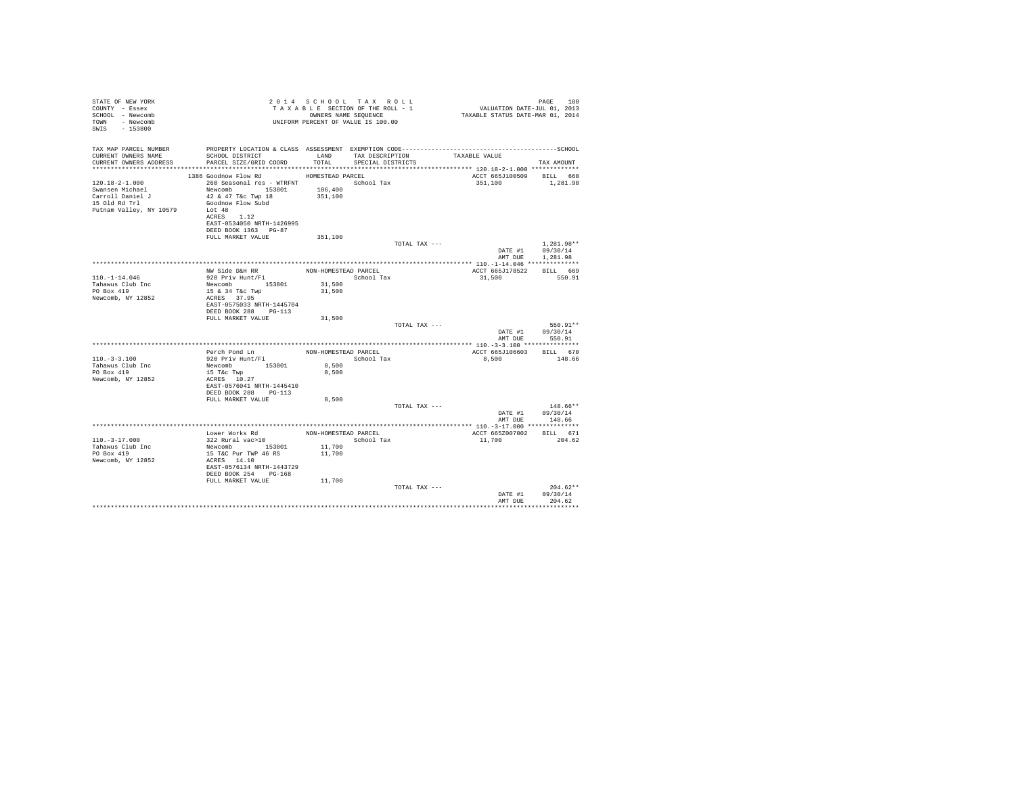| STATE OF NEW YORK<br>COUNTY - Essex<br>SCHOOL - Newcomb<br>TOWN - Newcomb<br>$-153800$<br>SWIS          |                                                                                                                                                                                               |                      | 2014 SCHOOL TAX ROLL<br>TAXABLE SECTION OF THE ROLL - 1<br>OWNERS NAME SEOUENCE<br>UNIFORM PERCENT OF VALUE IS 100.00 | rage 180<br>2013 VALUATION DATE-JUL<br>2014 TAXABLE STATUS DATE-MAR | PAGE<br>180                                |
|---------------------------------------------------------------------------------------------------------|-----------------------------------------------------------------------------------------------------------------------------------------------------------------------------------------------|----------------------|-----------------------------------------------------------------------------------------------------------------------|---------------------------------------------------------------------|--------------------------------------------|
| TAX MAP PARCEL NUMBER<br>CURRENT OWNERS NAME<br>CURRENT OWNERS ADDRESS                                  | SCHOOL DISTRICT LAND<br>PARCEL SIZE/GRID COORD TOTAL                                                                                                                                          |                      | TAX DESCRIPTION<br>SPECIAL DISTRICTS                                                                                  | TAXABLE VALUE                                                       | TAX AMOUNT                                 |
|                                                                                                         | 1386 Goodnow Flow Rd                                                                                                                                                                          | HOMESTEAD PARCEL     |                                                                                                                       | ACCT 665J100509 BILL 668                                            |                                            |
| $120.18 - 2 - 1.000$<br>Swansen Michael<br>Carroll Daniel J<br>15 Old Rd Trl<br>Putnam Valley, NY 10579 | 260 Seasonal res - WTRFNT               School Tax<br>Newcomb 153801<br>42 & 47 T&c Twp 18<br>Goodnow Flow Subd<br>T.ot 48<br>ACRES 1.12<br>EAST-0534050 NRTH-1426995<br>DEED BOOK 1363 PG-87 | 106,400<br>351,100   |                                                                                                                       | 351,100                                                             | 1,281.98                                   |
|                                                                                                         | FULL MARKET VALUE                                                                                                                                                                             | 351,100              |                                                                                                                       |                                                                     |                                            |
|                                                                                                         |                                                                                                                                                                                               |                      | TOTAL TAX ---                                                                                                         | AMT DUE                                                             | 1,281.98**<br>DATE #1 09/30/14<br>1,281.98 |
|                                                                                                         |                                                                                                                                                                                               |                      |                                                                                                                       |                                                                     |                                            |
|                                                                                                         | NW Side D&H RR NON-HOMESTEAD PARCEL                                                                                                                                                           |                      |                                                                                                                       | ACCT 665J178522                                                     | BILL 669                                   |
| $110. - 1 - 14.046$<br>Tahawus Club Inc                                                                 | 920 Priv Hunt/Fi<br>Newcomb 153801                                                                                                                                                            | 31,500               | School Tax                                                                                                            | 31,500                                                              | 550.91                                     |
| PO Box 419                                                                                              | 15 & 34 T&c Twp                                                                                                                                                                               | 31,500               |                                                                                                                       |                                                                     |                                            |
| Newcomb, NY 12852                                                                                       | ACRES 37.95<br>EAST-0575033 NRTH-1445704<br>DEED BOOK 288 PG-113                                                                                                                              |                      |                                                                                                                       |                                                                     |                                            |
|                                                                                                         | FULL MARKET VALUE                                                                                                                                                                             | 31,500               |                                                                                                                       |                                                                     |                                            |
|                                                                                                         |                                                                                                                                                                                               |                      | TOTAL TAX ---                                                                                                         | AMT DUE                                                             | 550.91**<br>DATE #1 09/30/14<br>550.91     |
|                                                                                                         |                                                                                                                                                                                               |                      |                                                                                                                       |                                                                     |                                            |
|                                                                                                         | Perch Pond Ln                                                                                                                                                                                 | NON-HOMESTEAD PARCEL |                                                                                                                       | ACCT 665J106603                                                     | BILL 670                                   |
| $110. - 3 - 3.100$<br>Tahawus Club Inc                                                                  | 920 Priv Hunt/Fi<br>Newcomb 153801                                                                                                                                                            | 8,500                | School Tax                                                                                                            | 8,500                                                               | 148.66                                     |
| PO Box 419<br>Newcomb, NY 12852                                                                         | 15 T&c Twp<br>ACRES 10.27<br>EAST-0576041 NRTH-1445410<br>DEED BOOK 288 PG-113                                                                                                                | 8,500                |                                                                                                                       |                                                                     |                                            |
|                                                                                                         | FULL MARKET VALUE                                                                                                                                                                             | 8,500                |                                                                                                                       |                                                                     | $148.66**$                                 |
|                                                                                                         |                                                                                                                                                                                               |                      | TOTAL TAX ---                                                                                                         | DATE #1<br>AMT DUE                                                  | 09/30/14<br>148.66                         |
|                                                                                                         | Lower Works Rd                                                                                                                                                                                | NON-HOMESTEAD PARCEL |                                                                                                                       | ACCT 665Z007002                                                     | BILL 671                                   |
| $110. -3 - 17.000$<br>Tahawus Club Inc<br>PO Box 419<br>Newcomb, NY 12852                               | 322 Rural vac>10<br>Newcomb 153801<br>15 T&C Pur TWP 46 RS<br>ACRES 14.10<br>EAST-0576134 NRTH-1443729                                                                                        | 11,700<br>11,700     | School Tax                                                                                                            | 11,700                                                              | 204.62                                     |
|                                                                                                         | DEED BOOK 254 PG-168                                                                                                                                                                          |                      |                                                                                                                       |                                                                     |                                            |
|                                                                                                         | FULL MARKET VALUE                                                                                                                                                                             | 11,700               |                                                                                                                       |                                                                     |                                            |
|                                                                                                         |                                                                                                                                                                                               |                      | TOTAL TAX ---                                                                                                         | DATE #1<br>AMT DUE                                                  | $204.62**$<br>09/30/14<br>204.62           |
|                                                                                                         |                                                                                                                                                                                               |                      |                                                                                                                       |                                                                     |                                            |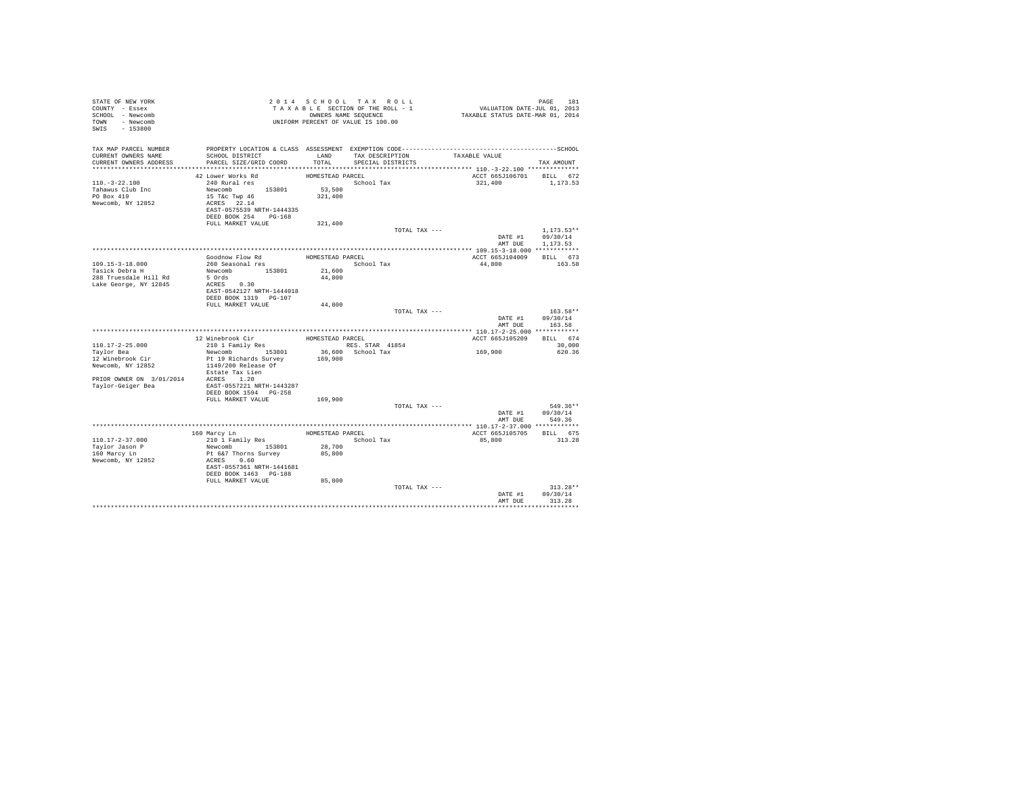| STATE OF NEW YORK<br>COUNTY - Essex<br>SCHOOL - Newcomb<br>TOWN - Newcomb<br>SWIS - 153800 |                                                                                              |                  | 2014 SCHOOL TAX ROLL<br>TAXABLE SECTION OF THE ROLL - 1<br>OWNERS NAME SEQUENCE<br>UNIFORM PERCENT OF VALUE IS 100.00 | PAGE 181<br>VALUATION DATE-JUL 01, 2013<br>TAXABLE STATUS DATE-MAR 01, 2014 |                    |
|--------------------------------------------------------------------------------------------|----------------------------------------------------------------------------------------------|------------------|-----------------------------------------------------------------------------------------------------------------------|-----------------------------------------------------------------------------|--------------------|
| TAX MAP PARCEL NUMBER                                                                      | PROPERTY LOCATION & CLASS ASSESSMENT EXEMPTION CODE-----------------------------------SCHOOL |                  |                                                                                                                       |                                                                             |                    |
| CURRENT OWNERS NAME<br>CURRENT OWNERS ADDRESS                                              | SCHOOL DISTRICT<br>PARCEL SIZE/GRID COORD                                                    | LAND<br>TOTAL.   | TAX DESCRIPTION<br>SPECIAL DISTRICTS                                                                                  | TAXABLE VALUE                                                               | TAX AMOUNT         |
|                                                                                            |                                                                                              |                  |                                                                                                                       |                                                                             |                    |
|                                                                                            | 42 Lower Works Rd                                                                            | HOMESTEAD PARCEL |                                                                                                                       | ACCT 665J106701 BILL 672                                                    |                    |
| $110. - 3 - 22.100$                                                                        | 240 Rural res                                                                                |                  | School Tax                                                                                                            | 321,400                                                                     | 1,173.53           |
| Tahawus Club Inc                                                                           | Newcomb 153801 53,500                                                                        |                  |                                                                                                                       |                                                                             |                    |
| PO Box 419                                                                                 | 15 T&c Twp 46                                                                                | 321,400          |                                                                                                                       |                                                                             |                    |
| Newcomb, NY 12852                                                                          | ACRES 22.14                                                                                  |                  |                                                                                                                       |                                                                             |                    |
|                                                                                            | EAST-0575539 NRTH-1444335                                                                    |                  |                                                                                                                       |                                                                             |                    |
|                                                                                            | DEED BOOK 254 PG-168                                                                         |                  |                                                                                                                       |                                                                             |                    |
|                                                                                            | FULL MARKET VALUE                                                                            | 321,400          | TOTAL TAX ---                                                                                                         |                                                                             | $1.173.53**$       |
|                                                                                            |                                                                                              |                  |                                                                                                                       | DATE #1                                                                     | 09/30/14           |
|                                                                                            |                                                                                              |                  |                                                                                                                       |                                                                             | AMT DUE 1,173.53   |
|                                                                                            | Goodnow Flow Rd                                                                              | HOMESTEAD PARCEL |                                                                                                                       | ACCT 665J104009 BILL 673                                                    |                    |
| 109.15-3-18.000                                                                            | 260 Seasonal res                                                                             |                  | School Tax                                                                                                            | 44,800                                                                      | 163.58             |
| Tasick Debra H                                                                             | Newcomb 153801                                                                               | 21,600           |                                                                                                                       |                                                                             |                    |
| 288 Truesdale Hill Rd                                                                      | 5 Ords                                                                                       | 44,800           |                                                                                                                       |                                                                             |                    |
| Lake George, NY 12845                                                                      | ACRES 0.30                                                                                   |                  |                                                                                                                       |                                                                             |                    |
|                                                                                            | EAST-0542127 NRTH-1444018                                                                    |                  |                                                                                                                       |                                                                             |                    |
|                                                                                            | DEED BOOK 1319 PG-107                                                                        |                  |                                                                                                                       |                                                                             |                    |
|                                                                                            | FULL MARKET VALUE                                                                            | 44,800           |                                                                                                                       |                                                                             |                    |
|                                                                                            |                                                                                              |                  | TOTAL TAX ---                                                                                                         |                                                                             | $163.58**$         |
|                                                                                            |                                                                                              |                  |                                                                                                                       | DATE #1<br>AMT DUE                                                          | 09/30/14<br>163.58 |
|                                                                                            |                                                                                              |                  |                                                                                                                       |                                                                             |                    |
|                                                                                            | 12 Winebrook Cir                                                                             | HOMESTEAD PARCEL |                                                                                                                       | ACCT 665J105209                                                             | BILL 674           |
| $110.17 - 2 - 25.000$                                                                      | 210 1 Family Res                                                                             |                  | RES. STAR 41854                                                                                                       |                                                                             | 30,000             |
| Taylor Bea                                                                                 | Newcomb 153801                                                                               |                  | 36,600 School Tax                                                                                                     | 169,900                                                                     | 620.36             |
| 12 Winebrook Cir                                                                           | Pt 19 Richards Survey<br>1149/200 Release Of                                                 | 169,900          |                                                                                                                       |                                                                             |                    |
| Newcomb, NY 12852                                                                          |                                                                                              |                  |                                                                                                                       |                                                                             |                    |
|                                                                                            | Estate Tax Lien                                                                              |                  |                                                                                                                       |                                                                             |                    |
| PRIOR OWNER ON 3/01/2014 ACRES 1.20                                                        |                                                                                              |                  |                                                                                                                       |                                                                             |                    |
| Taylor-Geiger Bea                                                                          | EAST-0557221 NRTH-1443287<br>DEED BOOK 1594 PG-258                                           |                  |                                                                                                                       |                                                                             |                    |
|                                                                                            | FULL MARKET VALUE                                                                            | 169,900          |                                                                                                                       |                                                                             |                    |
|                                                                                            |                                                                                              |                  | TOTAL TAX ---                                                                                                         |                                                                             | 549.36**           |
|                                                                                            |                                                                                              |                  |                                                                                                                       |                                                                             | DATE #1 09/30/14   |
|                                                                                            |                                                                                              |                  |                                                                                                                       |                                                                             | AMT DUE 549.36     |
|                                                                                            |                                                                                              |                  |                                                                                                                       |                                                                             |                    |
|                                                                                            | 160 Marcy Ln                                                                                 |                  | HOMESTEAD PARCEL                                                                                                      | ACCT 665J105705 BILL 675                                                    |                    |
| $110.17 - 2 - 37.000$                                                                      | 210 1 Family Res                                                                             |                  | School Tax                                                                                                            | 85,800                                                                      | 313.28             |
| Taylor Jason P                                                                             | Newcomb 153801<br>Pt 6&7 Thorns Survey                                                       | 28,700           |                                                                                                                       |                                                                             |                    |
| 160 Marcy Ln                                                                               |                                                                                              | 85,800           |                                                                                                                       |                                                                             |                    |
| Newcomb, NY 12852                                                                          | ACRES 0.60                                                                                   |                  |                                                                                                                       |                                                                             |                    |
|                                                                                            | EAST-0557361 NRTH-1441681                                                                    |                  |                                                                                                                       |                                                                             |                    |
|                                                                                            | DEED BOOK 1463 PG-188                                                                        |                  |                                                                                                                       |                                                                             |                    |
|                                                                                            | FULL MARKET VALUE                                                                            | 85,800           |                                                                                                                       |                                                                             |                    |
|                                                                                            |                                                                                              |                  | TOTAL TAX ---                                                                                                         |                                                                             | $313.28**$         |
|                                                                                            |                                                                                              |                  |                                                                                                                       | DATE #1                                                                     | 09/30/14<br>313.28 |
|                                                                                            |                                                                                              |                  |                                                                                                                       | AMT DUE                                                                     |                    |
|                                                                                            |                                                                                              |                  |                                                                                                                       |                                                                             |                    |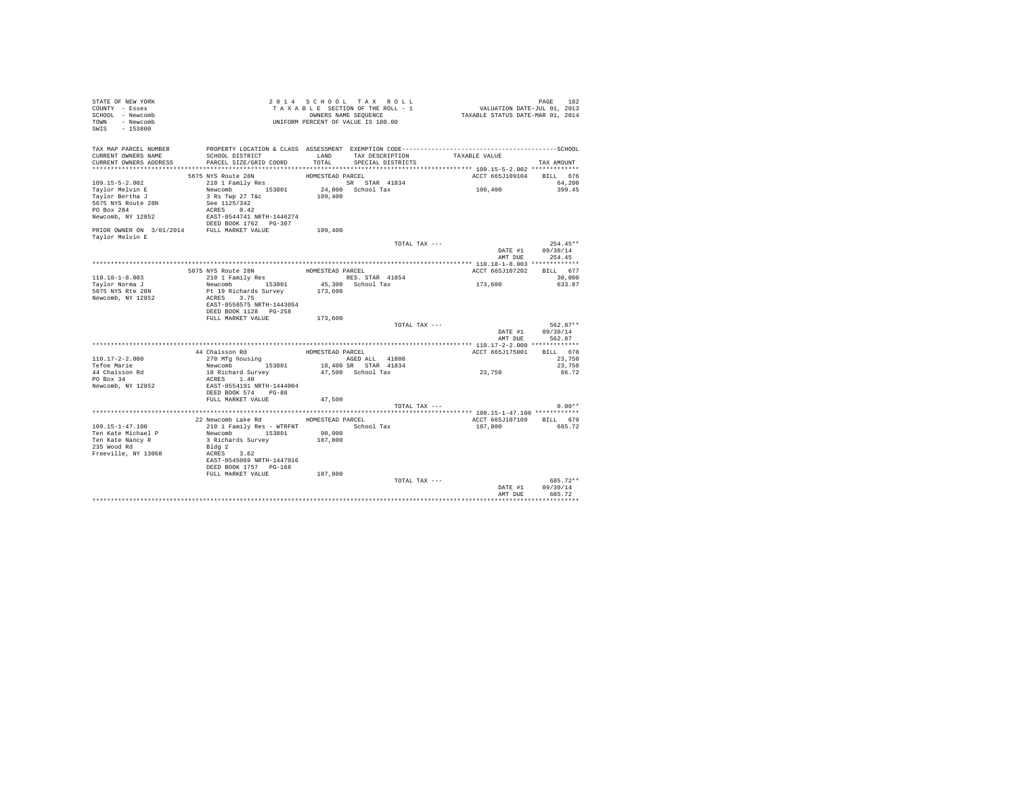| STATE OF NEW YORK<br>COUNTY - Essex<br>SCHOOL - Newcomb<br>TOWN - Newcomb<br>SWIS - 153800                          |                                                                                                                                                                                                    |               | 2014 SCHOOL TAX ROLL<br>2014 SCHOOL TAX ROLL<br>TAXABLE SECTION OF THE ROLL - 1 VALUATION DATE-JUL 01, 2013<br>OWNERS NAME SEQUENCE - 1 TAXABLE STATUS DATE-MAR 01, 2014<br>UNIFORM PERCENT OF VALUE IS 100.00 |                                               | PAGE<br>182                              |
|---------------------------------------------------------------------------------------------------------------------|----------------------------------------------------------------------------------------------------------------------------------------------------------------------------------------------------|---------------|----------------------------------------------------------------------------------------------------------------------------------------------------------------------------------------------------------------|-----------------------------------------------|------------------------------------------|
| TAX MAP PARCEL NUMBER<br>CURRENT OWNERS NAME<br>CURRENT OWNERS ADDRESS                                              | SCHOOL DISTRICT<br>PARCEL SIZE/GRID COORD                                                                                                                                                          | LAND<br>TOTAL | TAX DESCRIPTION TAXABLE VALUE<br>SPECIAL DISTRICTS                                                                                                                                                             |                                               | TAX AMOUNT                               |
|                                                                                                                     |                                                                                                                                                                                                    |               |                                                                                                                                                                                                                |                                               |                                          |
| $109.15 - 5 - 2.002$<br>Taylor Melvin E<br>Taylor Bertha J<br>5675 NYS Route 28N<br>PO Box 284<br>Newcomb, NY 12852 | <b>FIGURE 1988</b><br>1997 - STAR SPOLE 28N BOMESTEAD PARCEL<br>210 1 Family Res<br>Newcomb 153801 24,800 School Tax<br>109,400 109,400<br>See 1125/342<br>ACRES 0.42<br>EAST-0544741 NRTH-1446274 |               |                                                                                                                                                                                                                | ACCT 665J109104 BILL 676<br>109,400           | 64,200<br>399.45                         |
| PRIOR OWNER ON 3/01/2014 FULL MARKET VALUE<br>Taylor Melvin E                                                       | DEED BOOK 1762    PG-307                                                                                                                                                                           | 109,400       |                                                                                                                                                                                                                |                                               |                                          |
|                                                                                                                     |                                                                                                                                                                                                    |               | TOTAL TAX ---                                                                                                                                                                                                  | AMT DUE                                       | $254.45**$<br>DATE #1 09/30/14<br>254.45 |
|                                                                                                                     |                                                                                                                                                                                                    |               |                                                                                                                                                                                                                | **************** 110.18-1-8.003 ************* |                                          |
|                                                                                                                     | 5075 NYS Route 28N                                                                                                                                                                                 |               | HOMESTEAD PARCEL                                                                                                                                                                                               | ACCT 665J107202 BILL 677                      |                                          |
| $110.18 - 1 - 8.003$<br>Tavlor Norma J                                                                              | 210 1 Family Res                                                                                                                                                                                   |               | RES. STAR 41854                                                                                                                                                                                                | 173,600                                       | 30,000<br>633.87                         |
| 5075 NYS Rte 28N<br>Newcomb, NY 12852                                                                               | Newcomb 153801 45,300<br>Pt 19 Richards Survey 173,600<br>ACRES 3.75<br>EAST-0558575 NRTH-1443054<br>DEED BOOK 1128    PG-258                                                                      |               | 45,300 School Tax                                                                                                                                                                                              |                                               |                                          |
|                                                                                                                     | FULL MARKET VALUE                                                                                                                                                                                  | 173,600       |                                                                                                                                                                                                                |                                               |                                          |
|                                                                                                                     |                                                                                                                                                                                                    |               | TOTAL TAX ---                                                                                                                                                                                                  | DATE #1<br>AMT DUE                            | 562.87**<br>09/30/14<br>562.87           |
|                                                                                                                     |                                                                                                                                                                                                    |               |                                                                                                                                                                                                                | ACCT 665J175001 BILL 678                      |                                          |
| $110.17 - 2 - 2.000$                                                                                                | $$\tt 44\ Chaisson\ Rd$$ $$\tt HOMESTBAD\ PARCEL\ ALL$$ $$\tt 41800$$ $$\tt AGED\ ALL$$ $$\tt 41800$$                                                                                              |               |                                                                                                                                                                                                                |                                               | 23,750                                   |
| Tefoe Marie                                                                                                         | Newcomb 153801 18,400 SR STAR 41834                                                                                                                                                                |               |                                                                                                                                                                                                                |                                               | 23,750                                   |
| 44 Chaisson Rd<br>PO Box 34<br>Newcomb, NY 12852                                                                    | 18 Richard Survey<br>ACRES 1.40<br>EAST-0554191 NRTH-1444004<br>DEED BOOK 574 PG-88                                                                                                                |               | 47.500 School Tax                                                                                                                                                                                              | 23,750                                        | 86.72                                    |
|                                                                                                                     | FULL MARKET VALUE                                                                                                                                                                                  | 47,500        |                                                                                                                                                                                                                |                                               |                                          |
|                                                                                                                     |                                                                                                                                                                                                    |               | TOTAL TAX ---                                                                                                                                                                                                  |                                               | $0.00**$                                 |
|                                                                                                                     |                                                                                                                                                                                                    |               |                                                                                                                                                                                                                |                                               |                                          |
|                                                                                                                     | 22 Newcomb Lake Rd HOMESTEAD PARCEL                                                                                                                                                                |               |                                                                                                                                                                                                                | ACCT 665J107109 BILL 679                      |                                          |
| $109.15 - 1 - 47.100$<br>Ten Kate Michael P<br>Ten Kate Nancy R<br>235 Wood Rd<br>Freeville, NY 13068               | 210 1 Family Res - WTRFNT<br>Newcomb 153801<br>3 Richards Survey 187,800<br>Bldg 2<br>ACRES 3.62<br>EAST-0545069 NRTH-1447016<br>DEED BOOK 1757 PG-168                                             | 90,000        | School Tax                                                                                                                                                                                                     | 187,800                                       | 685.72                                   |
|                                                                                                                     | FULL MARKET VALUE 187,800                                                                                                                                                                          |               |                                                                                                                                                                                                                |                                               |                                          |
|                                                                                                                     |                                                                                                                                                                                                    |               | TOTAL TAX ---                                                                                                                                                                                                  | DATE #1<br>AMT DUR                            | 685.72**<br>09/30/14<br>685.72           |
|                                                                                                                     |                                                                                                                                                                                                    |               |                                                                                                                                                                                                                |                                               |                                          |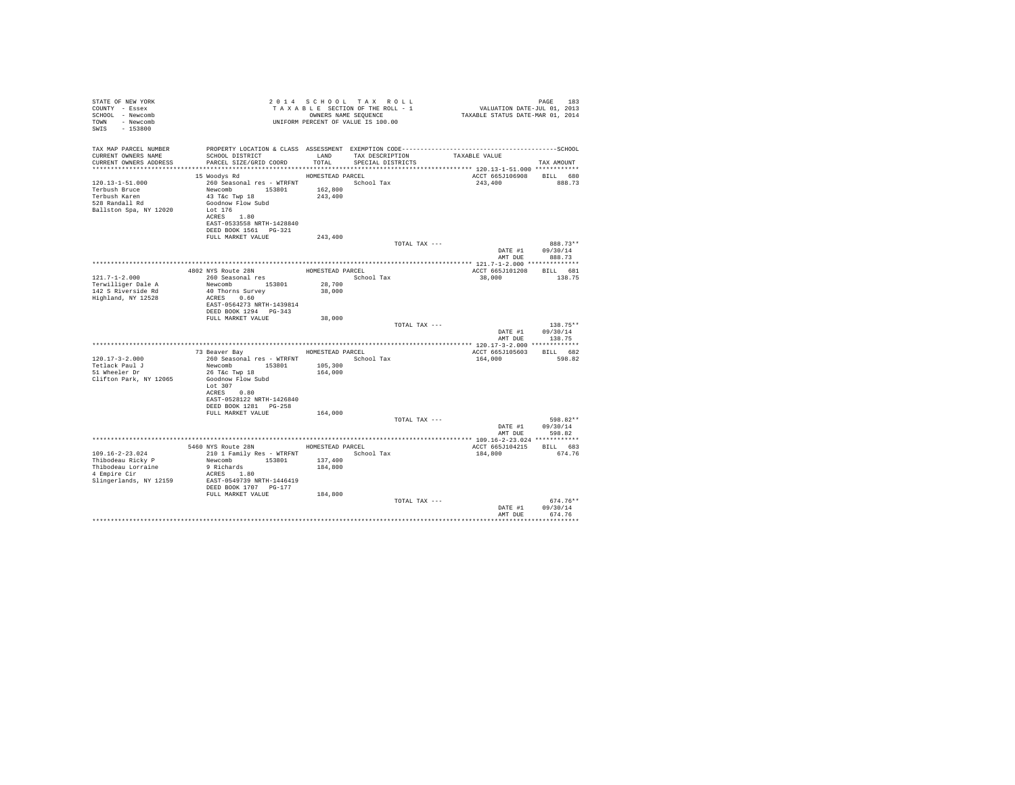| STATE OF NEW YORK<br>COUNTY - Essex<br>SCHOOL - Newcomb<br>TOWN - Newcomb<br>SWIS<br>$-153800$             |                                                                                                                                                                                                                            |                               | 2014 SCHOOL TAX ROLL<br>TAXABLE SECTION OF THE ROLL - 1<br>OWNERS NAME SEQUENCE<br>UNIFORM PERCENT OF VALUE IS 100.00 | ده: PAGE<br>VALUATION DATE-JUL 01, 2013<br>TAXABLE STATUS DATE-MAR 01, 2014 | PAGE<br>183                                       |
|------------------------------------------------------------------------------------------------------------|----------------------------------------------------------------------------------------------------------------------------------------------------------------------------------------------------------------------------|-------------------------------|-----------------------------------------------------------------------------------------------------------------------|-----------------------------------------------------------------------------|---------------------------------------------------|
| TAX MAP PARCEL NUMBER<br>CURRENT OWNERS NAME<br>CURRENT OWNERS ADDRESS                                     | SCHOOL DISTRICT TAND TAX DESCRIPTION<br>PARCEL SIZE/GRID COORD TOTAL SPECIAL DISTRICTS                                                                                                                                     |                               |                                                                                                                       | TAXABLE VALUE                                                               | TAX AMOUNT                                        |
| 120.13-1-51.000<br>Terbush Bruce<br>Terbush Karen<br>528 Randall Rd<br>Ballston Spa, NY 12020              | HOMESTEAD PARCEL<br>15 Woodvs Rd<br>260 Seasonal res - WTRFNT School Tax<br>Newcomb 153801 162,800<br>43 T&C Twp 18<br>Goodnow Flow Subd<br>Lot 176<br>ACRES 1.80<br>EAST-0533558 NRTH-1428840<br>DEED BOOK 1561    PG-321 | 243,400                       |                                                                                                                       | 243,400                                                                     | ACCT 665J106908 BILL 680<br>888.73                |
|                                                                                                            | FULL MARKET VALUE                                                                                                                                                                                                          | 243,400                       |                                                                                                                       |                                                                             |                                                   |
|                                                                                                            |                                                                                                                                                                                                                            |                               | TOTAL TAX ---                                                                                                         |                                                                             | 888.73**<br>09/30/14<br>DATE #1<br>AMT DUE 888.73 |
|                                                                                                            |                                                                                                                                                                                                                            |                               |                                                                                                                       |                                                                             |                                                   |
|                                                                                                            |                                                                                                                                                                                                                            |                               |                                                                                                                       |                                                                             | ACCT 665J101208 BILL 681                          |
| $121.7 - 1 - 2.000$<br>Terwilliger Dale A<br>142 S Riverside Rd<br>Highland, NY 12528                      | Newcomb 153801<br>40 Thorns Survey<br>ACRES 0.60<br>EAST-0564273 NRTH-1439814                                                                                                                                              | 28,700<br>38,000              |                                                                                                                       | 38,000                                                                      | 138.75                                            |
|                                                                                                            | DEED BOOK 1294 PG-343<br>FULL MARKET VALUE                                                                                                                                                                                 | 38,000                        |                                                                                                                       |                                                                             |                                                   |
|                                                                                                            |                                                                                                                                                                                                                            |                               | TOTAL TAX ---                                                                                                         |                                                                             | $138.75**$                                        |
|                                                                                                            |                                                                                                                                                                                                                            |                               |                                                                                                                       |                                                                             | DATE #1<br>09/30/14<br>AMT DUE 138.75             |
|                                                                                                            |                                                                                                                                                                                                                            |                               |                                                                                                                       |                                                                             |                                                   |
|                                                                                                            | 73 Beaver Bay MOMESTEAD PARCEL                                                                                                                                                                                             |                               |                                                                                                                       |                                                                             | ACCT 665J105603 BILL 682                          |
| $120.17 - 3 - 2.000$                                                                                       | 260 Seasonal res - WTRFNT                                                                                                                                                                                                  |                               | School Tax                                                                                                            | 164,000                                                                     | 598.82                                            |
| Tetlack Paul J<br>51 Wheeler Dr<br>Clifton Park, NY 12065                                                  | Newcomb 153801<br>26 T&C Twp 18<br>Goodnow Flow Subd<br>Lot $307$<br>ACRES 0.80<br>EAST-0528122 NRTH-1426840                                                                                                               | 105,300<br>164,000            |                                                                                                                       |                                                                             |                                                   |
|                                                                                                            | DEED BOOK 1281 PG-258                                                                                                                                                                                                      |                               |                                                                                                                       |                                                                             |                                                   |
|                                                                                                            | FULL MARKET VALUE                                                                                                                                                                                                          | 164,000                       | TOTAL TAX ---                                                                                                         |                                                                             | 598.82**                                          |
|                                                                                                            |                                                                                                                                                                                                                            |                               |                                                                                                                       |                                                                             | DATE #1 09/30/14                                  |
|                                                                                                            |                                                                                                                                                                                                                            |                               |                                                                                                                       |                                                                             | AMT DUE 598.82                                    |
|                                                                                                            | 5460 NYS Route 28N HOMESTEAD PARCEL                                                                                                                                                                                        |                               |                                                                                                                       | ACCT 665J104215                                                             | BILL 683                                          |
| $109.16 - 2 - 23.024$<br>Thibodeau Ricky P<br>Thibodeau Lorraine<br>4 Empire Cir<br>Slingerlands, NY 12159 | 210 1 Family Res - WTRFNT<br>Newcomb 153801<br>9 Richards<br>ACRES 1.80<br>EAST-0549739 NRTH-1446419<br>DEED BOOK 1707 PG-177<br>FULL MARKET VALUE                                                                         | 137,400<br>184,800<br>184,800 | School Tax                                                                                                            | 184,800                                                                     | 674.76                                            |
|                                                                                                            |                                                                                                                                                                                                                            |                               | TOTAL TAX ---                                                                                                         | AMT DHE                                                                     | $674.76**$<br>DATE #1<br>09/30/14<br>674.76       |
|                                                                                                            |                                                                                                                                                                                                                            |                               |                                                                                                                       |                                                                             | .                                                 |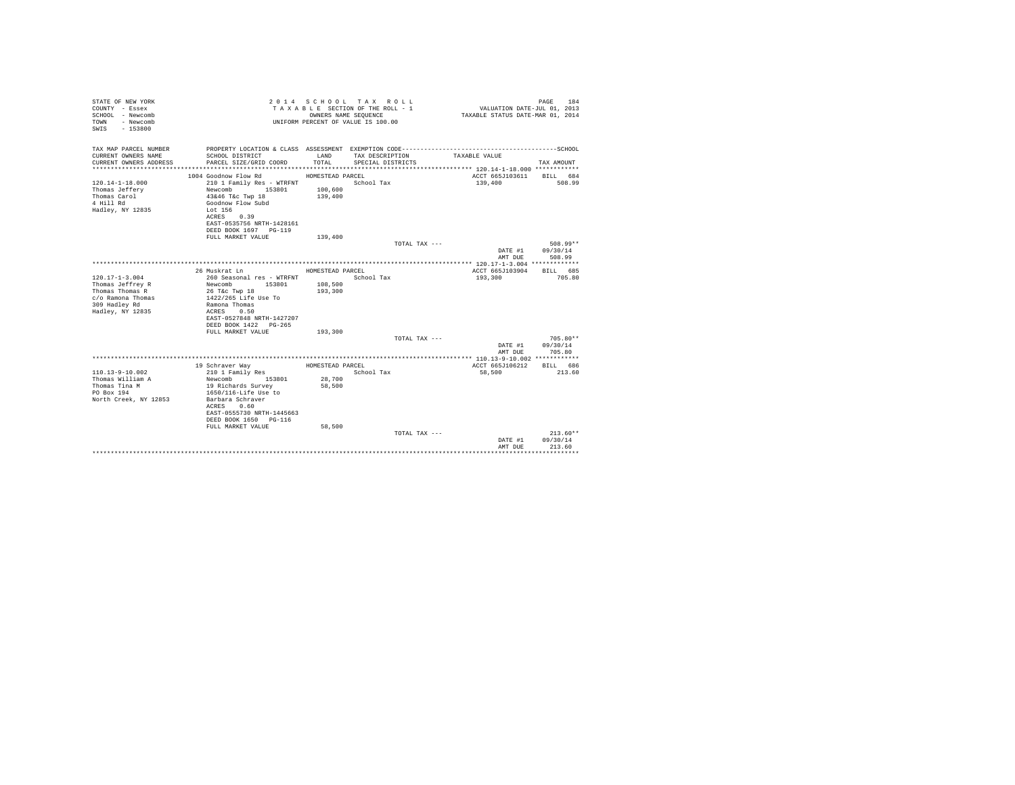| STATE OF NEW YORK<br>COUNTY - Essex<br>SCHOOL - Newcomb<br>- Newcomb<br>TOWN<br>$-153800$<br>SWTS |                                           |                    | 2014 SCHOOL TAX ROLL<br>TAXABLE SECTION OF THE ROLL - 1<br>OWNERS NAME SEQUENCE<br>UNIFORM PERCENT OF VALUE IS 100.00 | VALUATION DATE-JUL 01, 2013<br>TAXABLE STATUS DATE-MAR 01, 2014 | PAGE<br>184            |
|---------------------------------------------------------------------------------------------------|-------------------------------------------|--------------------|-----------------------------------------------------------------------------------------------------------------------|-----------------------------------------------------------------|------------------------|
| TAX MAP PARCEL NUMBER                                                                             |                                           |                    |                                                                                                                       |                                                                 |                        |
| CURRENT OWNERS NAME<br>CURRENT OWNERS ADDRESS                                                     | SCHOOL DISTRICT<br>PARCEL SIZE/GRID COORD | LAND<br>TOTAL.     | TAX DESCRIPTION<br>SPECIAL DISTRICTS                                                                                  | TAXABLE VALUE                                                   | TAX AMOUNT             |
|                                                                                                   |                                           |                    |                                                                                                                       |                                                                 |                        |
|                                                                                                   | 1004 Goodnow Flow Rd                      | HOMESTEAD PARCEL   |                                                                                                                       | ACCT 665J103611                                                 | BILL 684               |
| $120.14 - 1 - 18.000$                                                                             | 210 1 Family Res - WTRFNT                 |                    | School Tax                                                                                                            | 139,400                                                         | 508.99                 |
| Thomas Jeffery<br>Thomas Carol                                                                    | 153801<br>Newcomb<br>43&46 T&c Twp 18     | 100,600<br>139,400 |                                                                                                                       |                                                                 |                        |
| 4 Hill Rd                                                                                         | Goodnow Flow Subd                         |                    |                                                                                                                       |                                                                 |                        |
| Hadley, NY 12835                                                                                  | Lot 156                                   |                    |                                                                                                                       |                                                                 |                        |
|                                                                                                   | ACRES 0.39                                |                    |                                                                                                                       |                                                                 |                        |
|                                                                                                   | EAST-0535756 NRTH-1428161                 |                    |                                                                                                                       |                                                                 |                        |
|                                                                                                   | DEED BOOK 1697 PG-119                     |                    |                                                                                                                       |                                                                 |                        |
|                                                                                                   | FULL MARKET VALUE                         | 139,400            |                                                                                                                       |                                                                 |                        |
|                                                                                                   |                                           |                    | TOTAL TAX ---                                                                                                         |                                                                 | 508.99**               |
|                                                                                                   |                                           |                    |                                                                                                                       | DATE #1<br>AMT DUE                                              | 09/30/14<br>508.99     |
|                                                                                                   |                                           |                    |                                                                                                                       |                                                                 |                        |
|                                                                                                   | 26 Muskrat Ln                             | HOMESTEAD PARCEL   |                                                                                                                       | ACCT 665J103904                                                 | BTLL 685               |
| $120.17 - 1 - 3.004$                                                                              | 260 Seasonal res - WTRFNT                 |                    | School Tax                                                                                                            | 193,300                                                         | 705.80                 |
| Thomas Jeffrey R                                                                                  | Newcomb 153801                            | 108,500            |                                                                                                                       |                                                                 |                        |
| Thomas Thomas R                                                                                   | 26 T&c Twp 18                             | 193,300            |                                                                                                                       |                                                                 |                        |
| c/o Ramona Thomas                                                                                 | 1422/265 Life Use To                      |                    |                                                                                                                       |                                                                 |                        |
| 309 Hadley Rd                                                                                     | Ramona Thomas<br>ACRES 0.50               |                    |                                                                                                                       |                                                                 |                        |
| Hadley, NY 12835                                                                                  | EAST-0527848 NRTH-1427207                 |                    |                                                                                                                       |                                                                 |                        |
|                                                                                                   | DEED BOOK 1422 PG-265                     |                    |                                                                                                                       |                                                                 |                        |
|                                                                                                   | FULL MARKET VALUE                         | 193,300            |                                                                                                                       |                                                                 |                        |
|                                                                                                   |                                           |                    | TOTAL TAX ---                                                                                                         |                                                                 | 705.80**               |
|                                                                                                   |                                           |                    |                                                                                                                       | DATE #1                                                         | 09/30/14               |
|                                                                                                   |                                           |                    |                                                                                                                       | AMT DUE                                                         | 705.80                 |
|                                                                                                   |                                           |                    |                                                                                                                       |                                                                 |                        |
|                                                                                                   | 19 Schraver Way                           | HOMESTEAD PARCEL   |                                                                                                                       | ACCT 665J106212                                                 | BILL 686               |
| $110.13 - 9 - 10.002$<br>Thomas William A                                                         | 210 1 Family Res<br>Newcomb<br>153801     | 28,700             | School Tax                                                                                                            | 58,500                                                          | 213.60                 |
| Thomas Tina M                                                                                     | 19 Richards Survey                        | 58,500             |                                                                                                                       |                                                                 |                        |
| PO Box 194                                                                                        | 1650/116-Life Use to                      |                    |                                                                                                                       |                                                                 |                        |
| North Creek, NY 12853                                                                             | Barbara Schraver                          |                    |                                                                                                                       |                                                                 |                        |
|                                                                                                   | ACRES 0.60                                |                    |                                                                                                                       |                                                                 |                        |
|                                                                                                   | EAST-0555730 NRTH-1445663                 |                    |                                                                                                                       |                                                                 |                        |
|                                                                                                   | DEED BOOK 1650 PG-116                     |                    |                                                                                                                       |                                                                 |                        |
|                                                                                                   | FULL MARKET VALUE                         | 58,500             |                                                                                                                       |                                                                 |                        |
|                                                                                                   |                                           |                    | TOTAL TAX ---                                                                                                         | DATE #1                                                         | $213.60**$<br>09/30/14 |
|                                                                                                   |                                           |                    |                                                                                                                       | AMT DUE                                                         | 213.60                 |
|                                                                                                   |                                           |                    |                                                                                                                       |                                                                 |                        |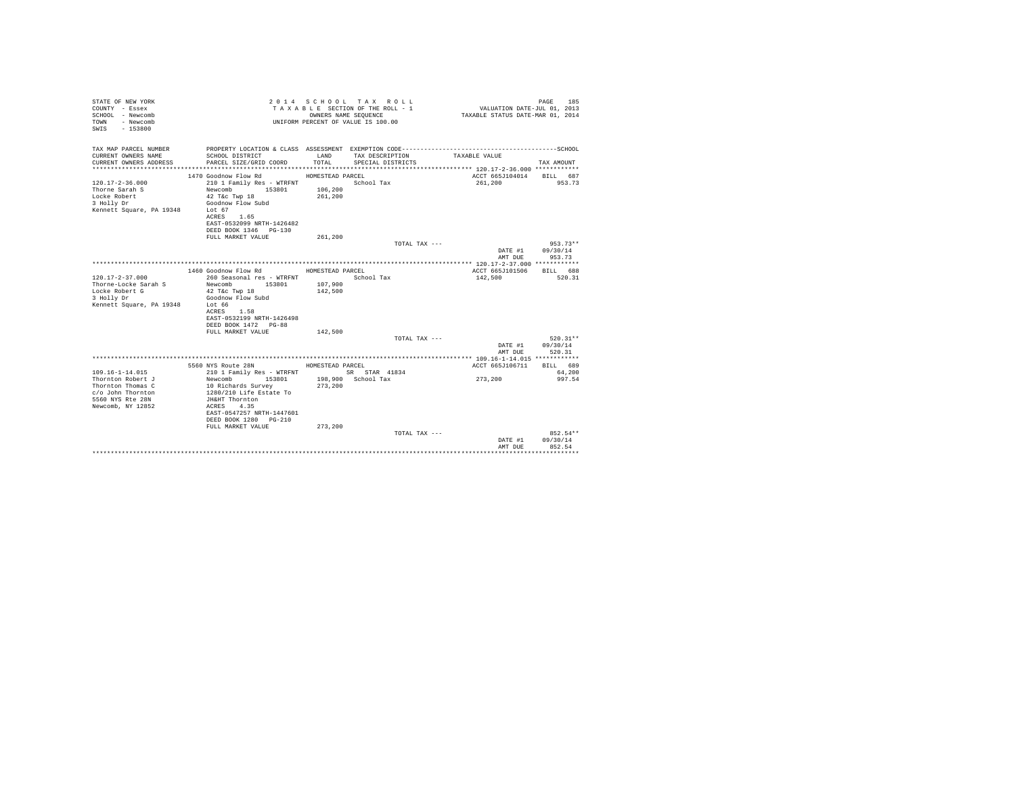| STATE OF NEW YORK<br>COUNTY - Essex<br>SCHOOL - Newcomb<br>- Newcomb<br>TOWN<br>$-153800$<br>SWTS |                                           |                  | 2014 SCHOOL TAX ROLL<br>TAXABLE SECTION OF THE ROLL - 1<br>OWNERS NAME SEQUENCE<br>UNIFORM PERCENT OF VALUE IS 100.00 | VALUATION DATE-JUL 01, 2013<br>TAXABLE STATUS DATE-MAR 01, 2014 | 185<br>PAGE        |
|---------------------------------------------------------------------------------------------------|-------------------------------------------|------------------|-----------------------------------------------------------------------------------------------------------------------|-----------------------------------------------------------------|--------------------|
| TAX MAP PARCEL NUMBER                                                                             |                                           |                  |                                                                                                                       |                                                                 |                    |
| CURRENT OWNERS NAME<br>CURRENT OWNERS ADDRESS                                                     | SCHOOL DISTRICT<br>PARCEL SIZE/GRID COORD | LAND<br>TOTAL.   | TAX DESCRIPTION<br>SPECIAL DISTRICTS                                                                                  | TAXABLE VALUE                                                   | TAX AMOUNT         |
|                                                                                                   | 1470 Goodnow Flow Rd                      | HOMESTEAD PARCEL |                                                                                                                       | ACCT 665J104014                                                 | BILL 687           |
| $120.17 - 2 - 36.000$                                                                             | 210 1 Family Res - WTRFNT                 |                  | School Tax                                                                                                            | 261,200                                                         | 953.73             |
| Thorne Sarah S                                                                                    | Newcomb 153801                            | 106,200          |                                                                                                                       |                                                                 |                    |
| Locke Robert                                                                                      | $42$ T&c Twp $18$                         | 261,200          |                                                                                                                       |                                                                 |                    |
| 3 Holly Dr                                                                                        | Goodnow Flow Subd                         |                  |                                                                                                                       |                                                                 |                    |
| Kennett Square, PA 19348                                                                          | Lot 67<br>ACRES 1.65                      |                  |                                                                                                                       |                                                                 |                    |
|                                                                                                   | EAST-0532099 NRTH-1426482                 |                  |                                                                                                                       |                                                                 |                    |
|                                                                                                   | DEED BOOK 1346 PG-130                     |                  |                                                                                                                       |                                                                 |                    |
|                                                                                                   | FULL MARKET VALUE                         | 261,200          |                                                                                                                       |                                                                 |                    |
|                                                                                                   |                                           |                  | TOTAL TAX ---                                                                                                         |                                                                 | $953.73**$         |
|                                                                                                   |                                           |                  |                                                                                                                       | DATE #1                                                         | 09/30/14           |
|                                                                                                   |                                           |                  |                                                                                                                       | AMT DUE                                                         | 953.73             |
|                                                                                                   | 1460 Goodnow Flow Rd                      | HOMESTEAD PARCEL |                                                                                                                       | ACCT 665J101506                                                 | BILL 688           |
| $120.17 - 2 - 37.000$                                                                             | 260 Seasonal res - WTRFNT                 |                  | School Tax                                                                                                            | 142,500                                                         | 520.31             |
| Thorne-Locke Sarah S                                                                              | Newcomb 153801                            | 107,900          |                                                                                                                       |                                                                 |                    |
| Locke Robert G                                                                                    | 42 T&c Twp 18                             | 142,500          |                                                                                                                       |                                                                 |                    |
| 3 Holly Dr                                                                                        | Goodnow Flow Subd                         |                  |                                                                                                                       |                                                                 |                    |
| Kennett Square, PA 19348                                                                          | Lot 66<br>ACRES 1.58                      |                  |                                                                                                                       |                                                                 |                    |
|                                                                                                   | EAST-0532199 NRTH-1426498                 |                  |                                                                                                                       |                                                                 |                    |
|                                                                                                   | DEED BOOK 1472 PG-88                      |                  |                                                                                                                       |                                                                 |                    |
|                                                                                                   | FULL MARKET VALUE                         | 142,500          |                                                                                                                       |                                                                 |                    |
|                                                                                                   |                                           |                  | TOTAL TAX ---                                                                                                         |                                                                 | 520.31**           |
|                                                                                                   |                                           |                  |                                                                                                                       | DATE #1                                                         | 09/30/14           |
|                                                                                                   |                                           |                  |                                                                                                                       | AMT DUE                                                         | 520.31             |
|                                                                                                   | 5560 NYS Route 28N HOMESTEAD PARCEL       |                  |                                                                                                                       | ACCT 665J106711                                                 | BILL 689           |
| $109.16 - 1 - 14.015$                                                                             | 210 1 Family Res - WTRFNT                 |                  | SR STAR 41834                                                                                                         |                                                                 | 64,200             |
| Thornton Robert J                                                                                 | Newcomb<br>153801                         |                  | 198,900 School Tax                                                                                                    | 273,200                                                         | 997.54             |
| Thornton Thomas C                                                                                 | 10 Richards Survey                        | 273,200          |                                                                                                                       |                                                                 |                    |
| c/o John Thornton                                                                                 | 1280/210 Life Estate To                   |                  |                                                                                                                       |                                                                 |                    |
| 5560 NYS Rte 28N<br>Newcomb, NY 12852                                                             | JH&HT Thornton<br>ACRES 4.35              |                  |                                                                                                                       |                                                                 |                    |
|                                                                                                   | EAST-0547257 NRTH-1447601                 |                  |                                                                                                                       |                                                                 |                    |
|                                                                                                   | DEED BOOK 1280 PG-210                     |                  |                                                                                                                       |                                                                 |                    |
|                                                                                                   | FULL MARKET VALUE                         | 273,200          |                                                                                                                       |                                                                 |                    |
|                                                                                                   |                                           |                  | TOTAL TAX ---                                                                                                         |                                                                 | 852.54**           |
|                                                                                                   |                                           |                  |                                                                                                                       | DATE #1                                                         | 09/30/14<br>852.54 |
|                                                                                                   |                                           |                  |                                                                                                                       | AMT DUE                                                         |                    |
|                                                                                                   |                                           |                  |                                                                                                                       |                                                                 |                    |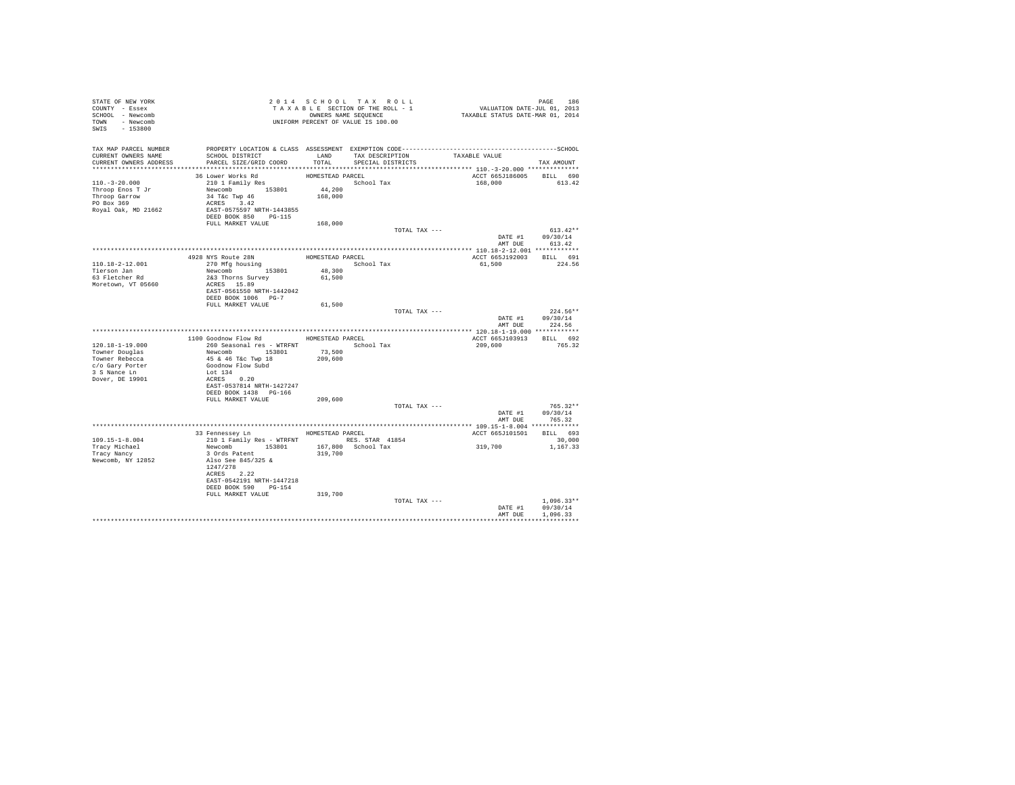| STATE OF NEW YORK<br>COUNTY - Essex<br>SCHOOL - Newcomb<br>TOWN - Newcomb<br>SWIS - 153800 | TAXABLE SECTION OF THE ROLL - 1<br>CONNERS NAME SEQUENCE<br>UNIFORM PERCENT OF VALUE IS 100.00                                                                                                                    |                                                    |                                           | PAGE 186<br>VALUATION DATE-JUL 01, 2013<br>TAXABLE STATUS DATE-MAR 01, 2014 |                                      |
|--------------------------------------------------------------------------------------------|-------------------------------------------------------------------------------------------------------------------------------------------------------------------------------------------------------------------|----------------------------------------------------|-------------------------------------------|-----------------------------------------------------------------------------|--------------------------------------|
| TAX MAP PARCEL NUMBER<br>CURRENT OWNERS NAME<br>CURRENT OWNERS ADDRESS                     | PROPERTY LOCATION & CLASS ASSESSMENT EXEMPTION CODE-----------------------------------SCHOOL<br>SCHOOL DISTRICT<br>PARCEL SIZE/GRID COORD                                                                         | TOTAL                                              | LAND TAX DESCRIPTION<br>SPECIAL DISTRICTS | TAXABLE VALUE                                                               | TAX AMOUNT                           |
| $110.-3-20.000$<br>Throop Enos T Jr<br>Throop Garrow<br>PO Box 369<br>Royal Oak, MD 21662  | 36 Lower Works Rd<br>210 1 Family Res<br>Newcomb<br>34 T&c Twp 46<br>ACRES 3.42<br>EAST-0575597 NRTH-1443855<br>DEED BOOK 850 PG-115                                                                              | HOMESTEAD PARCEL<br>44,200<br>168,000              | School Tax                                | ACCT 665J186005<br>168,000                                                  | BILL 690<br>613.42                   |
|                                                                                            | FULL MARKET VALUE                                                                                                                                                                                                 | 168,000                                            | TOTAL TAX ---                             |                                                                             | $613.42**$                           |
|                                                                                            |                                                                                                                                                                                                                   |                                                    |                                           | DATE #1 09/30/14                                                            | AMT DUE 613.42                       |
| 110.18-2-12.001<br>Tierson Jan<br>63 Fletcher Rd<br>Moretown, VT 05660                     | 4928 NYS Route 28N<br>270 Mfg housing<br>Newcomb 153801<br>2&3 Thorns Survey<br>ACRES 15.89<br>EAST-0561550 NRTH-1442042<br>DEED BOOK 1006 PG-7                                                                   | HOMESTEAD PARCEL<br>School Tax<br>48,300<br>61,500 |                                           | ACCT 665J192003 BILL 691<br>61,500                                          | 224.56                               |
|                                                                                            | FULL MARKET VALUE                                                                                                                                                                                                 | 61,500                                             | TOTAL TAX ---                             |                                                                             | $224.56**$                           |
|                                                                                            |                                                                                                                                                                                                                   |                                                    |                                           | DATE #1 09/30/14<br>AMT DUE                                                 | 224.56                               |
|                                                                                            | 1100 Goodnow Flow Rd MOMESTEAD PARCEL                                                                                                                                                                             |                                                    |                                           | ACCT 665J103913 BILL 692                                                    |                                      |
| 120.18-1-19.000                                                                            | 260 Seasonal res - WTRFNT                                                                                                                                                                                         |                                                    | School Tax                                | 209,600                                                                     | 765.32                               |
| Towner Douglas<br>Towner Rebecca<br>c/o Gary Porter<br>3 S Nance Ln                        | Newcomb 153801<br>AS & 46 T&C Twp 18<br>45 & 46 T&C Twp 18<br>Goodnow Flow Subd<br>Lot 134<br>ACRES 0.20                                                                                                          | 73,500<br>209,600                                  |                                           |                                                                             |                                      |
| Dover, DE 19901                                                                            | EAST-0537814 NRTH-1427247<br>DEED BOOK 1438 PG-166<br>FULL MARKET VALUE                                                                                                                                           | 209,600                                            |                                           |                                                                             |                                      |
|                                                                                            |                                                                                                                                                                                                                   |                                                    | TOTAL TAX ---                             | DATE #1 09/30/14                                                            | $765.32**$<br>AMT DUE 765.32         |
|                                                                                            |                                                                                                                                                                                                                   |                                                    |                                           |                                                                             |                                      |
|                                                                                            | 33 Fennessey Ln MOMESTEAD PARCEL                                                                                                                                                                                  |                                                    |                                           | ACCT 665J101501 BILL 693                                                    |                                      |
| 109.15-1-8.004<br>Tracy Michael<br>Tracy Nancy<br>Newcomb, NY 12852                        | 210 1 Family Res - WTRFNT<br>Newcomb 153801 167,800 School Tax<br>3 Ords Patent 153801 167,800 School Tax<br>3 Ords Patent 219,700<br>1247/278<br>ACRES 2.22<br>EAST-0542191 NRTH-1447218<br>DEED BOOK 590 PG-154 |                                                    |                                           | 319,700                                                                     | 30,000<br>1,167.33                   |
|                                                                                            | FULL MARKET VALUE                                                                                                                                                                                                 | 319,700                                            | TOTAL TAX ---                             |                                                                             | $1.096.33**$                         |
|                                                                                            |                                                                                                                                                                                                                   |                                                    |                                           | DATE #1<br>AMT DUE                                                          | 09/30/14<br>1,096.33<br>************ |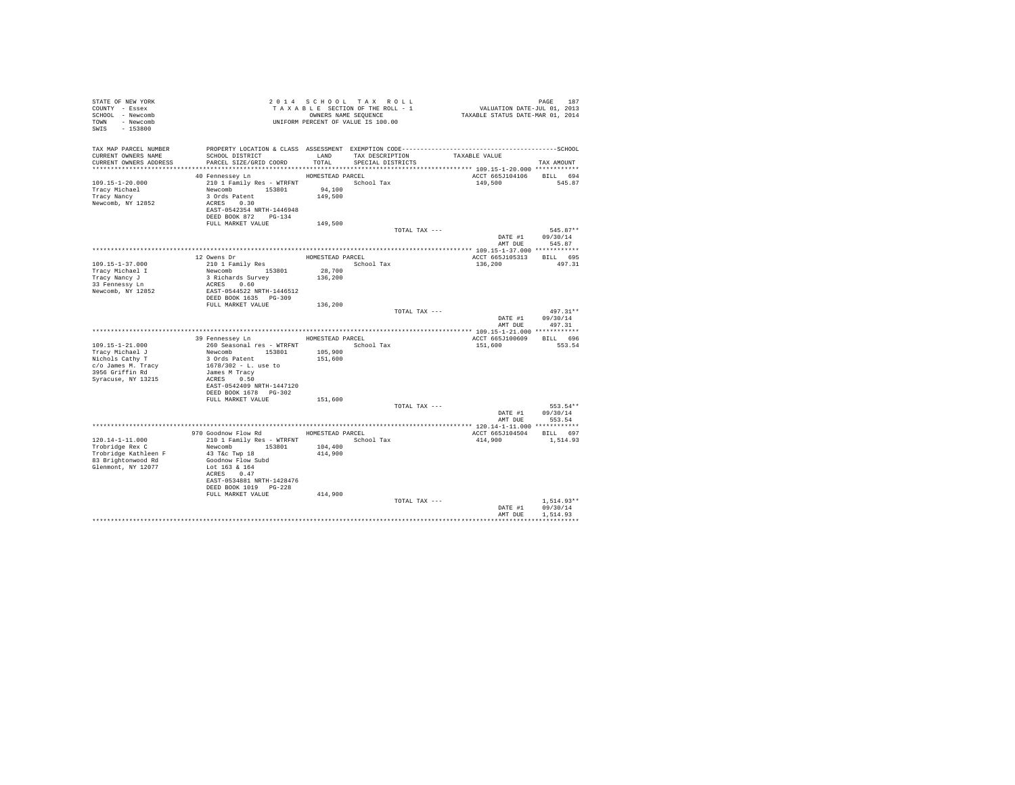| STATE OF NEW YORK<br>COUNTY - Essex<br>SCHOOL - Newcomb<br>TOWN - Newcomb<br>SWIS<br>$-153800$               |                                                                                                                                                                        |                                       | 2014 SCHOOL TAX ROLL<br>TAXABLE SECTION OF THE ROLL - 1<br>OWNERS NAME SEQUENCE<br>UNIFORM PERCENT OF VALUE IS 100.00 | PAGE 187<br>VALUATION DATE-JUL 01, 2013<br>TAXABLE STATUS DATE-MAR 01, 2014                                   |                                      |
|--------------------------------------------------------------------------------------------------------------|------------------------------------------------------------------------------------------------------------------------------------------------------------------------|---------------------------------------|-----------------------------------------------------------------------------------------------------------------------|---------------------------------------------------------------------------------------------------------------|--------------------------------------|
| TAX MAP PARCEL NUMBER<br>CURRENT OWNERS NAME<br>CURRENT OWNERS ADDRESS                                       | SCHOOL DISTRICT<br>PARCEL SIZE/GRID COORD                                                                                                                              | LAND<br>TOTAL                         | TAX DESCRIPTION<br>SPECIAL DISTRICTS                                                                                  | PROPERTY LOCATION & CLASS ASSESSMENT EXEMPTION CODE-----------------------------------SCHOOL<br>TAXABLE VALUE | TAX AMOUNT                           |
| 109.15-1-20.000<br>Tracy Michael<br>Tracy Nancy<br>Newcomb, NY 12852                                         | 40 Fennessey Ln<br>210 1 Family Res - WTRFNT School Tax<br>Newcomb 153801<br>3 Ords Patent<br>ACRES 0.30<br>EAST-0542354 NRTH-1446948<br>DEED BOOK 872 PG-134          | HOMESTEAD PARCEL<br>94,100<br>149,500 |                                                                                                                       | ACCT 665J104106<br>149,500                                                                                    | BILL 694<br>545.87                   |
|                                                                                                              | FULL MARKET VALUE                                                                                                                                                      | 149,500                               |                                                                                                                       |                                                                                                               |                                      |
|                                                                                                              |                                                                                                                                                                        |                                       | TOTAL TAX ---                                                                                                         | DATE #1<br>AMT DUE                                                                                            | $545.87**$<br>09/30/14<br>545.87     |
|                                                                                                              |                                                                                                                                                                        |                                       |                                                                                                                       |                                                                                                               |                                      |
| 109.15-1-37.000<br>Tracy Michael I<br>Tracy Nancy J<br>33 Fennessy Ln                                        | 12 Owens Dr<br>210 1 Family Res<br>Newcomb 153801<br>3 Richards Survey<br>ACRES 0.60                                                                                   | HOMESTEAD PARCEL<br>28,700<br>136,200 | School Tax                                                                                                            | ACCT 665J105313<br>136,200                                                                                    | BILL 695<br>497.31                   |
| Newcomb, NY 12852                                                                                            | EAST-0544522 NRTH-1446512<br>DEED BOOK 1635 PG-309<br>FULL MARKET VALUE                                                                                                | 136,200                               |                                                                                                                       |                                                                                                               |                                      |
|                                                                                                              |                                                                                                                                                                        |                                       | TOTAL TAX ---                                                                                                         | DATE #1<br>AMT DUE                                                                                            | $497.31**$<br>09/30/14<br>497.31     |
|                                                                                                              |                                                                                                                                                                        |                                       |                                                                                                                       |                                                                                                               |                                      |
|                                                                                                              | 39 Fennessey Ln                                                                                                                                                        | HOMESTEAD PARCEL                      |                                                                                                                       | ACCT 665J100609                                                                                               | BILL 696                             |
| $109.15 - 1 - 21.000$<br>Tracy Michael J                                                                     | 260 Seasonal res - WTRFNT<br>Newcomb 153801                                                                                                                            | 105,900                               | School Tax                                                                                                            | 151,600                                                                                                       | 553.54                               |
| Nichols Cathy T<br>c/o James M. Tracy                                                                        | 3 Ords Patent<br>1678/302 - L. use to                                                                                                                                  | 151,600                               |                                                                                                                       |                                                                                                               |                                      |
| 3956 Griffin Rd<br>Syracuse, NY 13215                                                                        | James M Tracy<br>ACRES 0.50<br>EAST-0542409 NRTH-1447120                                                                                                               |                                       |                                                                                                                       |                                                                                                               |                                      |
|                                                                                                              | DEED BOOK 1678   PG-302<br>FULL MARKET VALUE                                                                                                                           | 151,600                               |                                                                                                                       |                                                                                                               |                                      |
|                                                                                                              |                                                                                                                                                                        |                                       | TOTAL TAX ---                                                                                                         | DATE #1                                                                                                       | 553.54**<br>09/30/14                 |
|                                                                                                              |                                                                                                                                                                        |                                       |                                                                                                                       | AMT DUE                                                                                                       | 553.54                               |
|                                                                                                              |                                                                                                                                                                        |                                       |                                                                                                                       |                                                                                                               |                                      |
|                                                                                                              | 970 Goodnow Flow Rd MOMESTEAD PARCEL                                                                                                                                   |                                       |                                                                                                                       | ACCT 665J104504 BILL 697                                                                                      |                                      |
| $120.14 - 1 - 11.000$<br>Trobridge Rex C<br>Trobridge Kathleen F<br>83 Brightonwood Rd<br>Glenmont, NY 12077 | 210 1 Family Res - WTRFNT<br>Newcomb 153801<br>43 T&c Twp 18<br>Goodnow Flow Subd<br>Lot 163 & 164<br>ACRES 0.47<br>EAST-0534881 NRTH-1428476<br>DEED BOOK 1019 PG-228 | 104,400<br>414,900                    | School Tax                                                                                                            | 414,900                                                                                                       | 1,514.93                             |
|                                                                                                              | FULL MARKET VALUE                                                                                                                                                      | 414,900                               |                                                                                                                       |                                                                                                               |                                      |
|                                                                                                              |                                                                                                                                                                        |                                       | TOTAL TAX ---                                                                                                         | DATE #1<br>AMT DUE                                                                                            | $1.514.93**$<br>09/30/14<br>1.514.93 |
|                                                                                                              |                                                                                                                                                                        |                                       |                                                                                                                       |                                                                                                               |                                      |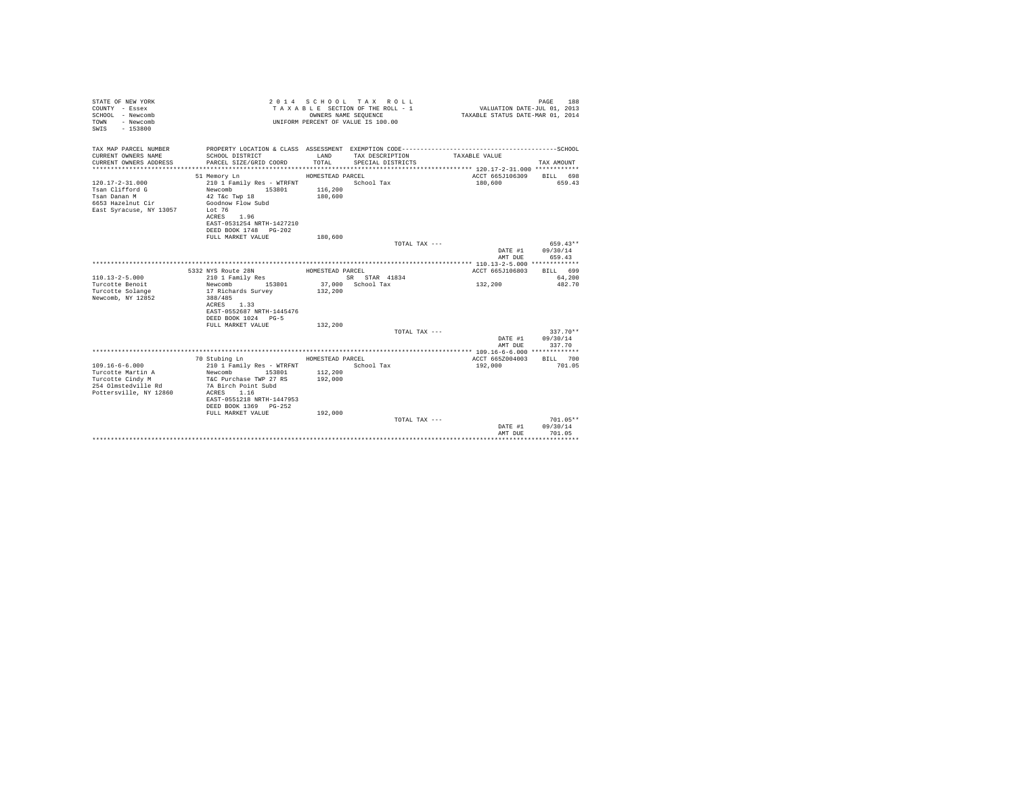| STATE OF NEW YORK<br>COUNTY - Essex<br>SCHOOL - Newcomb<br><b>TOWN</b><br>- Newcomb<br>$-153800$<br>SWIS       |                                                                                                                                                                                        |                                        | 2014 SCHOOL TAX ROLL<br>TAXABLE SECTION OF THE ROLL - 1<br>OWNERS NAME SEQUENCE<br>UNIFORM PERCENT OF VALUE IS 100.00 | VALUATION DATE-JUL 01, 2013<br>TAXABLE STATUS DATE-MAR 01, 2014 | PAGE<br>188                      |
|----------------------------------------------------------------------------------------------------------------|----------------------------------------------------------------------------------------------------------------------------------------------------------------------------------------|----------------------------------------|-----------------------------------------------------------------------------------------------------------------------|-----------------------------------------------------------------|----------------------------------|
| TAX MAP PARCEL NUMBER                                                                                          |                                                                                                                                                                                        |                                        |                                                                                                                       |                                                                 |                                  |
| CURRENT OWNERS NAME<br>CURRENT OWNERS ADDRESS                                                                  | SCHOOL DISTRICT<br>PARCEL SIZE/GRID COORD                                                                                                                                              | LAND<br>TOTAL                          | TAX DESCRIPTION<br>SPECIAL DISTRICTS                                                                                  | TAXABLE VALUE                                                   | TAX AMOUNT                       |
|                                                                                                                |                                                                                                                                                                                        |                                        |                                                                                                                       |                                                                 |                                  |
| $120.17 - 2 - 31.000$<br>Tsan Clifford G<br>Tsan Danan M<br>6653 Hazelnut Cir<br>East Syracuse, NY 13057       | 51 Memory Ln<br>210 1 Family Res - WTRFNT<br>153801<br>Newcomb<br>$42$ T&c Twp $18$<br>Goodnow Flow Subd<br>Lot 76<br>ACRES 1.96<br>EAST-0531254 NRTH-1427210<br>DEED BOOK 1748 PG-202 | HOMESTEAD PARCEL<br>116,200<br>180,600 | School Tax                                                                                                            | ACCT 665J106309 BILL 698<br>180,600                             | 659.43                           |
|                                                                                                                | FULL MARKET VALUE                                                                                                                                                                      | 180,600                                |                                                                                                                       |                                                                 |                                  |
|                                                                                                                |                                                                                                                                                                                        |                                        | TOTAL TAX ---                                                                                                         | DATE #1<br>AMT DUE                                              | 659.43**<br>09/30/14<br>659.43   |
|                                                                                                                |                                                                                                                                                                                        |                                        |                                                                                                                       |                                                                 |                                  |
|                                                                                                                | 5332 NYS Route 28N                                                                                                                                                                     | HOMESTEAD PARCEL                       |                                                                                                                       | ACCT 665J106803                                                 | BILL 699                         |
| $110.13 - 2 - 5.000$                                                                                           | 210 1 Family Res                                                                                                                                                                       |                                        | SR STAR 41834                                                                                                         |                                                                 | 64,200                           |
| Turcotte Benoit                                                                                                | 153801<br>Newcomb                                                                                                                                                                      |                                        | 37,000 School Tax                                                                                                     | 132,200                                                         | 482.70                           |
| Turcotte Solange<br>Newcomb, NY 12852                                                                          | 17 Richards Survey<br>388/485<br>ACRES 1.33<br>EAST-0552687 NRTH-1445476<br>DEED BOOK 1024 PG-5                                                                                        | 132,200                                |                                                                                                                       |                                                                 |                                  |
|                                                                                                                | FULL MARKET VALUE                                                                                                                                                                      | 132,200                                |                                                                                                                       |                                                                 |                                  |
|                                                                                                                |                                                                                                                                                                                        |                                        | TOTAL TAX ---                                                                                                         | DATE #1<br>AMT DUE                                              | $337.70**$<br>09/30/14<br>337.70 |
|                                                                                                                |                                                                                                                                                                                        |                                        |                                                                                                                       |                                                                 |                                  |
|                                                                                                                | 70 Stubing Ln                                                                                                                                                                          | HOMESTEAD PARCEL                       |                                                                                                                       | ACCT 665Z004003                                                 | BILL 700                         |
| $109.16 - 6 - 6.000$<br>Turcotte Martin A<br>Turcotte Cindy M<br>254 Olmstedville Rd<br>Pottersville, NY 12860 | 210 1 Family Res - WTRFNT<br>Newcomb 153801<br>T&C Purchase TWP 27 RS<br>7A Birch Point Subd<br>ACRES 1.16<br>EAST-0551218 NRTH-1447953<br>DEED BOOK 1369 PG-252                       | 112,200<br>192,000                     | School Tax                                                                                                            | 192,000                                                         | 701.05                           |
|                                                                                                                | FULL MARKET VALUE                                                                                                                                                                      | 192,000                                |                                                                                                                       |                                                                 |                                  |
|                                                                                                                |                                                                                                                                                                                        |                                        | TOTAL TAX ---                                                                                                         |                                                                 | 701.05**                         |
|                                                                                                                |                                                                                                                                                                                        |                                        |                                                                                                                       | DATE #1<br>AMT DUE                                              | 09/30/14<br>701.05               |
|                                                                                                                |                                                                                                                                                                                        |                                        |                                                                                                                       |                                                                 |                                  |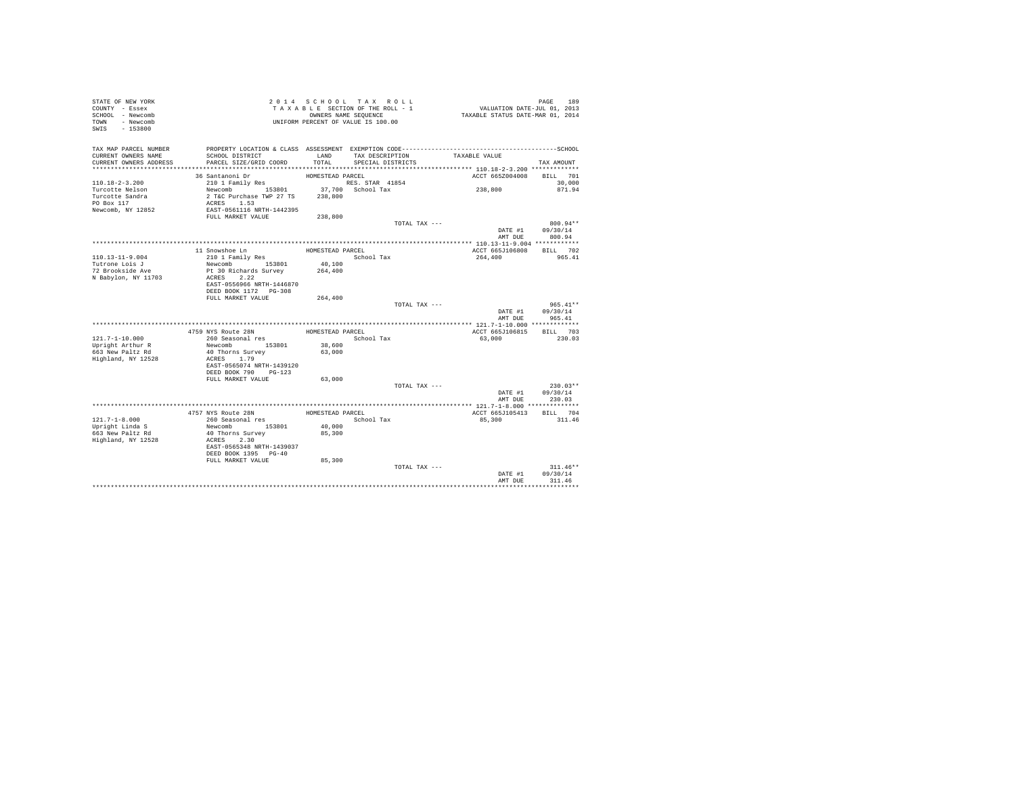| STATE OF NEW YORK<br>COUNTY - Essex<br>SCHOOL - Newcomb<br>- Newcomb<br>TOWN<br>SWIS<br>$-153800$ |                                           |                  | 2014 SCHOOL TAX ROLL<br>TAXABLE SECTION OF THE ROLL - 1<br>OWNERS NAME SEQUENCE<br>UNIFORM PERCENT OF VALUE IS 100.00 | VALUATION DATE-JUL 01, 2013<br>TAXABLE STATUS DATE-MAR 01, 2014 | PAGE<br>189 |
|---------------------------------------------------------------------------------------------------|-------------------------------------------|------------------|-----------------------------------------------------------------------------------------------------------------------|-----------------------------------------------------------------|-------------|
| TAX MAP PARCEL NUMBER                                                                             |                                           |                  |                                                                                                                       |                                                                 |             |
| CURRENT OWNERS NAME<br>CURRENT OWNERS ADDRESS                                                     | SCHOOL DISTRICT<br>PARCEL SIZE/GRID COORD | LAND<br>TOTAL    | TAX DESCRIPTION<br>SPECIAL DISTRICTS                                                                                  | TAXABLE VALUE                                                   |             |
| ************************                                                                          |                                           |                  |                                                                                                                       |                                                                 | TAX AMOUNT  |
|                                                                                                   | 36 Santanoni Dr                           | HOMESTEAD PARCEL |                                                                                                                       | ACCT 665Z004008                                                 | BILL 701    |
| $110.18 - 2 - 3.200$                                                                              | 210 1 Family Res                          |                  | RES. STAR 41854                                                                                                       |                                                                 | 30,000      |
| Turcotte Nelson                                                                                   | Newcomb 153801                            |                  | 37,700 School Tax                                                                                                     | 238,800                                                         | 871.94      |
| Turcotte Sandra                                                                                   | 2 T&C Purchase TWP 27 TS<br>ACRES 1.53    | 238,800          |                                                                                                                       |                                                                 |             |
| PO Box 117<br>Newcomb, NY 12852                                                                   | EAST-0561116 NRTH-1442395                 |                  |                                                                                                                       |                                                                 |             |
|                                                                                                   | FULL MARKET VALUE                         | 238,800          |                                                                                                                       |                                                                 |             |
|                                                                                                   |                                           |                  |                                                                                                                       | TOTAL TAX ---                                                   | 800.94**    |
|                                                                                                   |                                           |                  |                                                                                                                       | DATE #1                                                         | 09/30/14    |
|                                                                                                   |                                           |                  |                                                                                                                       | AMT DUE                                                         | 800.94      |
|                                                                                                   | 11 Snowshoe Ln                            | HOMESTEAD PARCEL |                                                                                                                       | ACCT 665J106808                                                 | BILL 702    |
| 110.13-11-9.004                                                                                   | 210 1 Family Res                          |                  | School Tax                                                                                                            | 264,400                                                         | 965.41      |
| Tutrone Lois J                                                                                    | Newcomb 153801                            | 40,100           |                                                                                                                       |                                                                 |             |
| 72 Brookside Ave                                                                                  | Pt 30 Richards Survey                     | 264,400          |                                                                                                                       |                                                                 |             |
| N Babylon, NY 11703                                                                               | ACRES 2.22<br>EAST-0556966 NRTH-1446870   |                  |                                                                                                                       |                                                                 |             |
|                                                                                                   | DEED BOOK 1172 PG-308                     |                  |                                                                                                                       |                                                                 |             |
|                                                                                                   | FULL MARKET VALUE                         | 264,400          |                                                                                                                       |                                                                 |             |
|                                                                                                   |                                           |                  |                                                                                                                       | TOTAL TAX ---                                                   | $965.41**$  |
|                                                                                                   |                                           |                  |                                                                                                                       | DATE #1                                                         | 09/30/14    |
|                                                                                                   |                                           |                  |                                                                                                                       | AMT DUE                                                         | 965.41      |
|                                                                                                   | 4759 NYS Route 28N                        | HOMESTEAD PARCEL |                                                                                                                       | ACCT 665J106815                                                 | BILL 703    |
| $121.7 - 1 - 10.000$                                                                              | 260 Seasonal res                          |                  | School Tax                                                                                                            | 63,000                                                          | 230.03      |
| Upright Arthur R                                                                                  | Newcomb 153801                            | 38,600           |                                                                                                                       |                                                                 |             |
| 663 New Paltz Rd                                                                                  | 40 Thorns Survey                          | 63,000           |                                                                                                                       |                                                                 |             |
| Highland, NY 12528                                                                                | ACRES 1.79<br>EAST-0565074 NRTH-1439120   |                  |                                                                                                                       |                                                                 |             |
|                                                                                                   | DEED BOOK 790 PG-123                      |                  |                                                                                                                       |                                                                 |             |
|                                                                                                   | FULL MARKET VALUE                         | 63,000           |                                                                                                                       |                                                                 |             |
|                                                                                                   |                                           |                  |                                                                                                                       | TOTAL TAX ---                                                   | $230.03**$  |
|                                                                                                   |                                           |                  |                                                                                                                       | DATE #1                                                         | 09/30/14    |
|                                                                                                   |                                           |                  |                                                                                                                       | AMT DUE                                                         | 230.03      |
|                                                                                                   | 4757 NYS Route 28N                        | HOMESTEAD PARCEL |                                                                                                                       | ACCT 665J105413                                                 | BILL 704    |
| $121.7 - 1 - 8.000$                                                                               | 260 Seasonal res                          |                  | School Tax                                                                                                            | 85,300                                                          | 311.46      |
| Upright Linda S                                                                                   | Newcomb 153801                            | 40,000           |                                                                                                                       |                                                                 |             |
| 663 New Paltz Rd                                                                                  | 40 Thorns Survey                          | 85,300           |                                                                                                                       |                                                                 |             |
| Highland, NY 12528                                                                                | ACRES 2.30<br>EAST-0565348 NRTH-1439037   |                  |                                                                                                                       |                                                                 |             |
|                                                                                                   | DEED BOOK 1395 PG-40                      |                  |                                                                                                                       |                                                                 |             |
|                                                                                                   | FULL MARKET VALUE                         | 85,300           |                                                                                                                       |                                                                 |             |
|                                                                                                   |                                           |                  |                                                                                                                       | TOTAL TAX ---                                                   | $311.46**$  |
|                                                                                                   |                                           |                  |                                                                                                                       | DATE #1                                                         | 09/30/14    |
|                                                                                                   |                                           |                  |                                                                                                                       | AMT DUE                                                         | 311.46      |
|                                                                                                   |                                           |                  |                                                                                                                       |                                                                 |             |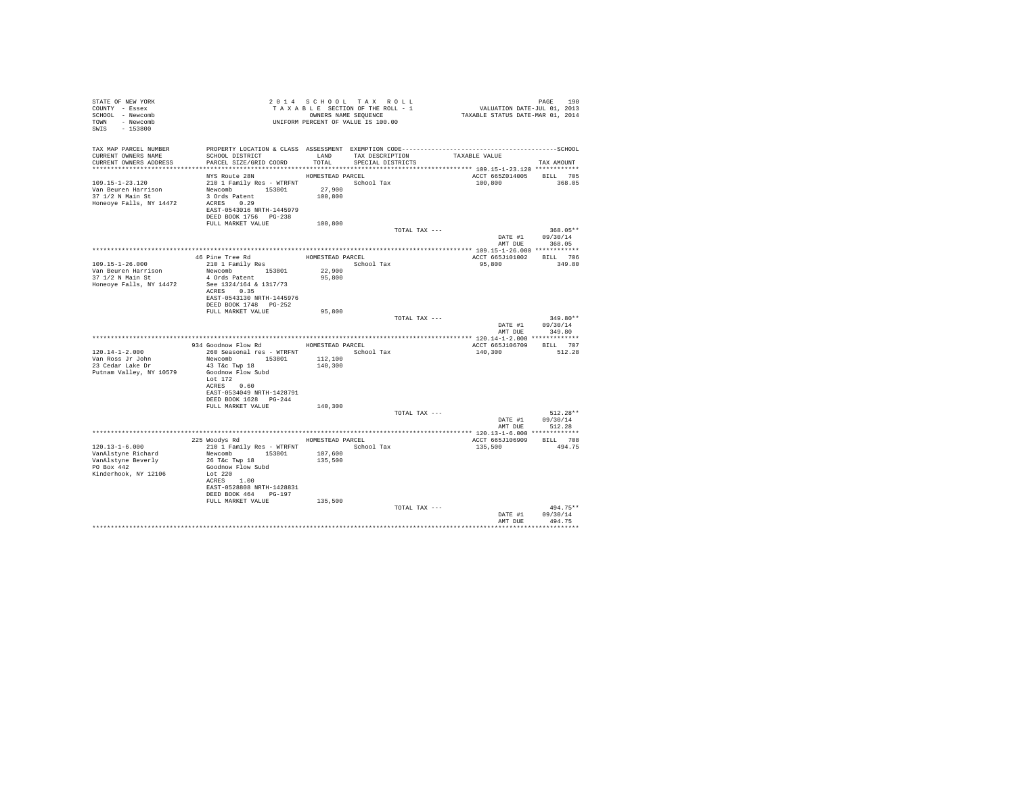| STATE OF NEW YORK<br>COUNTY - Essex<br>SCHOOL - Newcomb<br>TOWN - Newcomb<br>$-153800$<br>SWIS | T A X A B B B B B B SOUENCE<br>UNIFORM PERCENT OF VALUE IS 100.00                                                                                 |                                       | 2014 SCHOOL TAX ROLL<br>TAXABLE SECTION OF THE ROLL - 1<br>OWNERS NAME SEQUENCE | PAGE 190<br>VALUATION DATE-JUL 01, 2013<br>TAXABLE STATUS DATE-MAR 01, 2014 |                                          |
|------------------------------------------------------------------------------------------------|---------------------------------------------------------------------------------------------------------------------------------------------------|---------------------------------------|---------------------------------------------------------------------------------|-----------------------------------------------------------------------------|------------------------------------------|
| TAX MAP PARCEL NUMBER<br>CURRENT OWNERS NAME<br>CURRENT OWNERS ADDRESS                         | SCHOOL DISTRICT<br>PARCEL SIZE/GRID COORD                                                                                                         | LAND<br>TOTAL                         | TAX DESCRIPTION TAXABLE VALUE<br>SPECIAL DISTRICTS                              |                                                                             | TAX AMOUNT                               |
|                                                                                                |                                                                                                                                                   |                                       |                                                                                 |                                                                             |                                          |
| 109.15-1-23.120<br>Van Beuren Harrison<br>37 1/2 N Main St<br>Honeoye Falls, NY 14472          | NYS Route 28N<br>210 1 Family Res - WTRFNT<br>Newcomb 153801<br>3 Ords Patent<br>ACRES 0.29<br>EAST-0543016 NRTH-1445979<br>DEED BOOK 1756 PG-238 | HOMESTEAD PARCEL<br>27,900<br>100,800 | School Tax                                                                      | ACCT 665Z014005<br>100,800                                                  | BILL 705<br>368.05                       |
|                                                                                                | FULL MARKET VALUE                                                                                                                                 | 100,800                               |                                                                                 |                                                                             |                                          |
|                                                                                                |                                                                                                                                                   |                                       | TOTAL TAX ---                                                                   | AMT DUE                                                                     | $368.05**$<br>DATE #1 09/30/14<br>368.05 |
|                                                                                                |                                                                                                                                                   |                                       |                                                                                 |                                                                             |                                          |
| 109.15-1-26.000                                                                                | 46 Pine Tree Rd<br>210 1 Family Res                                                                                                               |                                       | HOMESTEAD PARCEL<br>School Tax                                                  | ACCT 665J101002<br>95,800                                                   | BILL 706<br>349.80                       |
| Van Beuren Harrison                                                                            | Newcomb 153801                                                                                                                                    | 22,900                                |                                                                                 |                                                                             |                                          |
| 37 1/2 N Main St<br>Honeoye Falls, NY 14472                                                    | 4 Ords Patent<br>See 1324/164 & 1317/73<br>ACRES 0.35<br>EAST-0543130 NRTH-1445976                                                                | 95,800                                |                                                                                 |                                                                             |                                          |
|                                                                                                | DEED BOOK 1748 PG-252                                                                                                                             |                                       |                                                                                 |                                                                             |                                          |
|                                                                                                | FULL MARKET VALUE                                                                                                                                 | 95,800                                | TOTAL TAX ---                                                                   |                                                                             | 349.80**                                 |
|                                                                                                |                                                                                                                                                   |                                       |                                                                                 | DATE #1                                                                     | 09/30/14<br>AMT DUE 349.80               |
|                                                                                                |                                                                                                                                                   |                                       |                                                                                 |                                                                             |                                          |
| $120.14 - 1 - 2.000$                                                                           | 934 Goodnow Flow Rd MOMESTEAD PARCEL<br>260 Seasonal res - WTRFNT Market School Tax                                                               |                                       |                                                                                 | ACCT 665J106709 BILL 707                                                    | 512.28                                   |
|                                                                                                | Newcomb 153801                                                                                                                                    | 112,100                               |                                                                                 | 140,300                                                                     |                                          |
| Van Ross Jr John<br>23 Cedar Lake Dr<br>Putnam Valley, NY 10579                                | 43 T&c Twp 18<br>Goodnow Flow Subd<br>Lot $172$                                                                                                   | 140,300                               |                                                                                 |                                                                             |                                          |
|                                                                                                | ACRES 0.60<br>EAST-0534049 NRTH-1428791<br>DEED BOOK 1628 PG-244                                                                                  |                                       |                                                                                 |                                                                             |                                          |
|                                                                                                | FULL MARKET VALUE                                                                                                                                 | 140,300                               |                                                                                 |                                                                             |                                          |
|                                                                                                |                                                                                                                                                   |                                       | TOTAL TAX ---                                                                   |                                                                             | $512.28**$<br>DATE #1 09/30/14           |
|                                                                                                |                                                                                                                                                   |                                       |                                                                                 | AMT DUE                                                                     | 512.28                                   |
|                                                                                                | 225 Woodys Rd MOMESTEAD PARCEL                                                                                                                    |                                       |                                                                                 | ACCT 665J106909                                                             | BILL 708                                 |
| $120.13 - 1 - 6.000$                                                                           | 210 1 Family Res - WTRFNT                                                                                                                         |                                       | School Tax                                                                      | 135,500                                                                     | 494.75                                   |
| VanAlstyne Richard<br>VanAlstyne Beverly<br>PO Box 442<br>Kinderhook, NY 12106                 | Newcomb 153801<br>26 T&c Twp 18<br>Goodnow Flow Subd<br>Lot 220<br>ACRES 1.00                                                                     | 107,600<br>135,500                    |                                                                                 |                                                                             |                                          |
|                                                                                                | EAST-0528808 NRTH-1428831<br>DEED BOOK 464 PG-197                                                                                                 |                                       |                                                                                 |                                                                             |                                          |
|                                                                                                | FULL MARKET VALUE                                                                                                                                 | 135,500                               |                                                                                 |                                                                             |                                          |
|                                                                                                |                                                                                                                                                   |                                       | TOTAL TAX ---                                                                   | DATE #1<br>AMT DUE                                                          | 494.75**<br>09/30/14<br>494.75           |
|                                                                                                |                                                                                                                                                   |                                       |                                                                                 |                                                                             | ***********                              |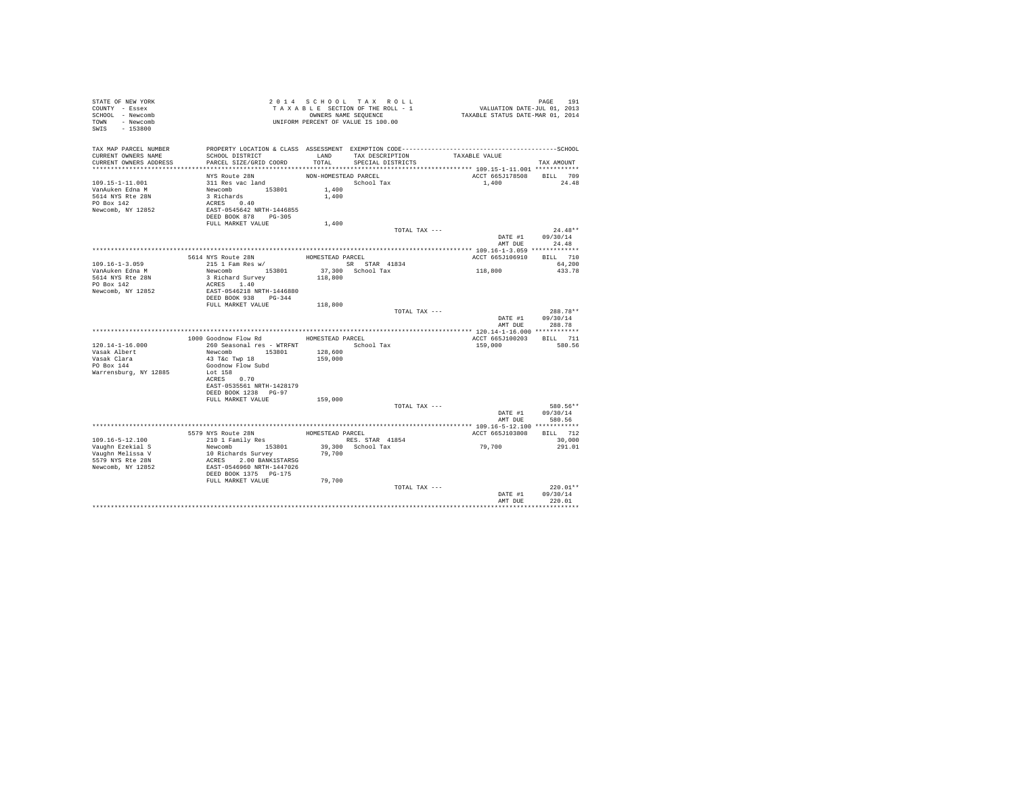| STATE OF NEW YORK<br>COUNTY - Essex<br>SCHOOL - Newcomb<br>TOWN - Newcomb<br>SWIS - 153800 |                                                     |                      | 2014 SCHOOL TAX ROLL<br>TAXABLE SECTION OF THE ROLL - 1<br>OWNERS NAME SEQUENCE<br>UNIFORM PERCENT OF VALUE IS 100.00 | PAGE 191<br>VALUATION DATE-JUL 01, 2013<br>TAXABLE STATUS DATE-MAR 01, 2014                                   |                    |
|--------------------------------------------------------------------------------------------|-----------------------------------------------------|----------------------|-----------------------------------------------------------------------------------------------------------------------|---------------------------------------------------------------------------------------------------------------|--------------------|
| TAX MAP PARCEL NUMBER<br>CURRENT OWNERS NAME                                               | SCHOOL DISTRICT                                     |                      | LAND TAX DESCRIPTION                                                                                                  | PROPERTY LOCATION & CLASS ASSESSMENT EXEMPTION CODE-----------------------------------SCHOOL<br>TAXABLE VALUE |                    |
| CURRENT OWNERS ADDRESS                                                                     | PARCEL SIZE/GRID COORD                              | TOTAL                | SPECIAL DISTRICTS                                                                                                     |                                                                                                               | TAX AMOUNT         |
|                                                                                            |                                                     |                      |                                                                                                                       |                                                                                                               |                    |
|                                                                                            | NYS Route 28N                                       | NON-HOMESTEAD PARCEL |                                                                                                                       | ACCT 665J178508 BILL 709                                                                                      |                    |
| 109.15-1-11.001<br>VanAuken Edna M                                                         | 311 Res vac land                                    | 1,400                | School Tax                                                                                                            | 1,400                                                                                                         | 24.48              |
| 5614 NYS Rte 28N                                                                           |                                                     | 1,400                |                                                                                                                       |                                                                                                               |                    |
| PO Box 142                                                                                 | Newcomb<br>3 Richards<br>ACRES 0.40                 |                      |                                                                                                                       |                                                                                                               |                    |
| Newcomb, NY 12852                                                                          | EAST-0545642 NRTH-1446855                           |                      |                                                                                                                       |                                                                                                               |                    |
|                                                                                            | DEED BOOK 878 PG-305                                |                      |                                                                                                                       |                                                                                                               |                    |
|                                                                                            | FULL MARKET VALUE                                   | 1,400                |                                                                                                                       |                                                                                                               |                    |
|                                                                                            |                                                     |                      | TOTAL TAX ---                                                                                                         |                                                                                                               | $24.48**$          |
|                                                                                            |                                                     |                      |                                                                                                                       |                                                                                                               | DATE #1 09/30/14   |
|                                                                                            |                                                     |                      |                                                                                                                       |                                                                                                               | AMT DUE 24.48      |
|                                                                                            |                                                     |                      | HOMESTEAD PARCEL                                                                                                      | ACCT 665J106910 BILL 710                                                                                      |                    |
| $109.16 - 1 - 3.059$                                                                       | 5614 NYS Route 28N<br>215 1 Fam Res w/              |                      | SR STAR 41834                                                                                                         |                                                                                                               | 64,200             |
| VanAuken Edna M                                                                            | Newcomb 153801                                      |                      |                                                                                                                       | 118,800                                                                                                       | 433.78             |
| 5614 NYS Rte 28N                                                                           | 3 Richard Survey                                    |                      | 37,300 School Tax<br>118,800                                                                                          |                                                                                                               |                    |
| PO Box 142                                                                                 | ACRES 1.40                                          |                      |                                                                                                                       |                                                                                                               |                    |
| Newcomb, NY 12852                                                                          | EAST-0546218 NRTH-1446880                           |                      |                                                                                                                       |                                                                                                               |                    |
|                                                                                            | DEED BOOK 938 PG-344                                |                      |                                                                                                                       |                                                                                                               |                    |
|                                                                                            | FULL MARKET VALUE                                   | 118,800              | TOTAL TAX ---                                                                                                         |                                                                                                               | 288.78**           |
|                                                                                            |                                                     |                      |                                                                                                                       |                                                                                                               |                    |
|                                                                                            |                                                     |                      |                                                                                                                       |                                                                                                               |                    |
|                                                                                            |                                                     |                      |                                                                                                                       |                                                                                                               | DATE #1 09/30/14   |
|                                                                                            |                                                     |                      |                                                                                                                       | AMT DUE                                                                                                       | 288.78             |
|                                                                                            | 1000 Goodnow Flow Rd                                |                      | HOMESTEAD PARCEL                                                                                                      | ACCT 665J100203 BILL 711                                                                                      |                    |
| $120.14 - 1 - 16.000$                                                                      | 260 Seasonal res - WTRFNT                           |                      | School Tax                                                                                                            | 159,000                                                                                                       | 580.56             |
| Vasak Albert                                                                               | Newcomb 153801                                      | 128,600              |                                                                                                                       |                                                                                                               |                    |
|                                                                                            | 43 T&C Twp 18                                       | 159,000              |                                                                                                                       |                                                                                                               |                    |
| Vasak Clara<br>PO Box 144                                                                  | Goodnow Flow Subd                                   |                      |                                                                                                                       |                                                                                                               |                    |
| Warrensburg, NY 12885                                                                      | Lot 158                                             |                      |                                                                                                                       |                                                                                                               |                    |
|                                                                                            | ACRES 0.70<br>EAST-0535561 NRTH-1428179             |                      |                                                                                                                       |                                                                                                               |                    |
|                                                                                            | DEED BOOK 1238 PG-97                                |                      |                                                                                                                       |                                                                                                               |                    |
|                                                                                            | FULL MARKET VALUE                                   | 159,000              |                                                                                                                       |                                                                                                               |                    |
|                                                                                            |                                                     |                      | TOTAL TAX ---                                                                                                         |                                                                                                               | 580.56**           |
|                                                                                            |                                                     |                      |                                                                                                                       |                                                                                                               | DATE #1 09/30/14   |
|                                                                                            |                                                     |                      |                                                                                                                       |                                                                                                               | AMT DUE 580.56     |
|                                                                                            |                                                     |                      |                                                                                                                       |                                                                                                               |                    |
|                                                                                            |                                                     | HOMESTEAD PARCEL     |                                                                                                                       | ACCT 665J103808                                                                                               | <b>BILL</b> 712    |
| 109.16-5-12.100<br>Vaughn Ezekial S                                                        | 5579 NYS Route 28N<br>210 1 Family Res              |                      | RES. STAR 41854                                                                                                       | 79,700                                                                                                        | 30,000<br>291.01   |
| Vaughn Melissa V                                                                           | Newcomb 153801<br>10 Richards Survey                | 79,700               | 39,300 School Tax                                                                                                     |                                                                                                               |                    |
| 5579 NYS Rte 28N                                                                           |                                                     |                      |                                                                                                                       |                                                                                                               |                    |
| Newcomb, NY 12852                                                                          | ACRES 2.00 BANK1STARSG<br>EAST-0546960 NRTH-1447026 |                      |                                                                                                                       |                                                                                                               |                    |
|                                                                                            | DEED BOOK 1375 PG-175                               |                      |                                                                                                                       |                                                                                                               |                    |
|                                                                                            | FULL MARKET VALUE                                   | 79,700               |                                                                                                                       |                                                                                                               |                    |
|                                                                                            |                                                     |                      | TOTAL TAX ---                                                                                                         |                                                                                                               | $220.01**$         |
|                                                                                            |                                                     |                      |                                                                                                                       | DATE #1<br>AMT DUE                                                                                            | 09/30/14<br>220.01 |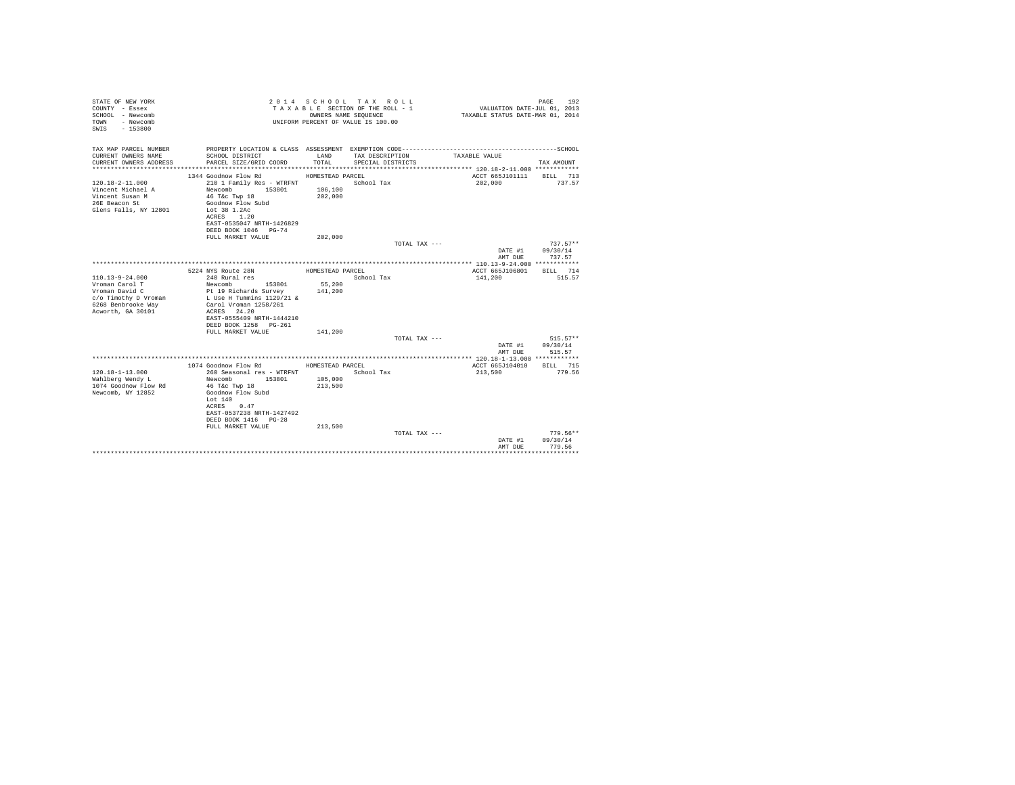| STATE OF NEW YORK<br>COUNTY - Essex<br>SCHOOL - Newcomb<br>- Newcomb<br>TOWN<br>$-153800$<br>SWTS                            |                                                                                                                                                                                                                                   | OWNERS NAME SEQUENCE                              | 2014 SCHOOL TAX ROLL<br>TAXABLE SECTION OF THE ROLL - 1<br>UNIFORM PERCENT OF VALUE IS 100.00 | VALUATION DATE-JUL 01, 2013<br>TAXABLE STATUS DATE-MAR 01, 2014 | PAGE<br>192                      |
|------------------------------------------------------------------------------------------------------------------------------|-----------------------------------------------------------------------------------------------------------------------------------------------------------------------------------------------------------------------------------|---------------------------------------------------|-----------------------------------------------------------------------------------------------|-----------------------------------------------------------------|----------------------------------|
| TAX MAP PARCEL NUMBER<br>CURRENT OWNERS NAME                                                                                 | SCHOOL DISTRICT                                                                                                                                                                                                                   | LAND                                              | TAX DESCRIPTION                                                                               | TAXABLE VALUE                                                   |                                  |
| CURRENT OWNERS ADDRESS                                                                                                       | PARCEL SIZE/GRID COORD                                                                                                                                                                                                            | TOTAL.                                            | SPECIAL DISTRICTS                                                                             |                                                                 | TAX AMOUNT                       |
| $120.18 - 2 - 11.000$<br>Vincent Michael A<br>Vincent Susan M<br>26E Beacon St<br>Glens Falls, NY 12801                      | 1344 Goodnow Flow Rd<br>210 1 Family Res - WTRFNT<br>Newcomb<br>153801<br>46 T&C Twp 18<br>Goodnow Flow Subd<br>Lot 38 1.2Ac<br>ACRES 1.20<br>EAST-0535047 NRTH-1426829<br>DEED BOOK 1046 PG-74                                   | HOMESTEAD PARCEL<br>106,100<br>202,000            | School Tax                                                                                    | ACCT 665J101111<br>202,000                                      | BILL 713<br>737.57               |
|                                                                                                                              | FULL MARKET VALUE                                                                                                                                                                                                                 | 202,000                                           | TOTAL TAX ---                                                                                 |                                                                 | $737.57**$                       |
|                                                                                                                              |                                                                                                                                                                                                                                   |                                                   |                                                                                               | DATE #1<br>AMT DUE                                              | 09/30/14<br>737.57               |
|                                                                                                                              |                                                                                                                                                                                                                                   |                                                   |                                                                                               |                                                                 |                                  |
| $110.13 - 9 - 24.000$<br>Vroman Carol T<br>Vroman David C<br>c/o Timothy D Vroman<br>6268 Benbrooke Way<br>Acworth, GA 30101 | 5224 NYS Route 28N<br>240 Rural res<br>153801<br>Newcomb<br>Pt 19 Richards Survey<br>L Use H Tummins 1129/21 &<br>Carol Vroman 1258/261<br>ACRES 24.20<br>EAST-0555409 NRTH-1444210<br>DEED BOOK 1258 PG-261<br>FULL MARKET VALUE | HOMESTEAD PARCEL<br>55,200<br>141,200<br>141,200  | School Tax                                                                                    | ACCT 665J106801<br>141,200                                      | RTT.T. 714<br>515.57             |
|                                                                                                                              |                                                                                                                                                                                                                                   |                                                   | TOTAL TAX ---                                                                                 |                                                                 | $515.57**$                       |
|                                                                                                                              |                                                                                                                                                                                                                                   |                                                   |                                                                                               | DATE #1<br>AMT DUE                                              | 09/30/14<br>515.57               |
|                                                                                                                              |                                                                                                                                                                                                                                   |                                                   |                                                                                               |                                                                 |                                  |
| $120.18 - 1 - 13.000$<br>Wahlberg Wendy L<br>1074 Goodnow Flow Rd<br>Newcomb, NY 12852                                       | 1074 Goodnow Flow Rd<br>260 Seasonal res - WTRFNT<br>Newcomb<br>153801<br>46 T&c Twp 18<br>Goodnow Flow Subd<br>Lot $140$<br>ACRES 0.47<br>EAST-0537238 NRTH-1427492<br>DEED BOOK 1416 PG-28<br>FULL MARKET VALUE                 | HOMESTEAD PARCEL<br>105,000<br>213,500<br>213,500 | School Tax                                                                                    | ACCT 665J104010<br>213,500                                      | BILL 715<br>779.56               |
|                                                                                                                              |                                                                                                                                                                                                                                   |                                                   | TOTAL TAX ---                                                                                 | DATE #1<br>AMT DUE                                              | $779.56**$<br>09/30/14<br>779.56 |
|                                                                                                                              |                                                                                                                                                                                                                                   |                                                   |                                                                                               |                                                                 |                                  |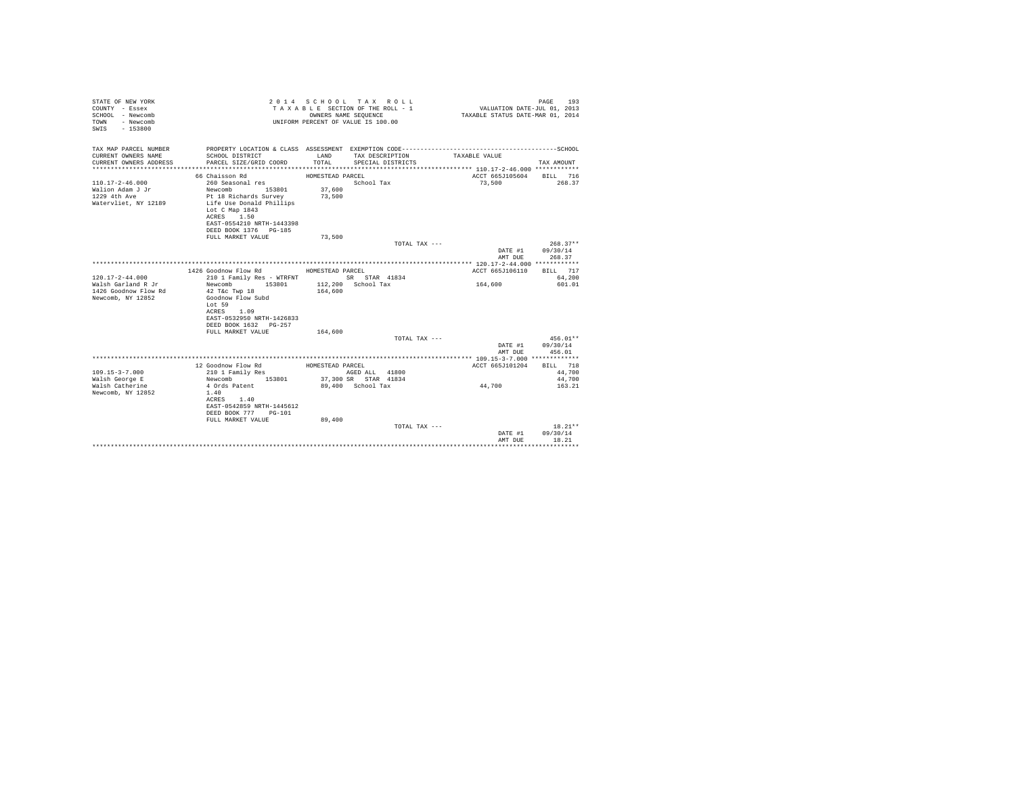| STATE OF NEW YORK<br>COUNTY - Essex<br>SCHOOL - Newcomb<br>TOWN<br>- Newcomb<br>$-153800$<br>SWIS |                                           |                  | 2014 SCHOOL TAX ROLL<br>TAXABLE SECTION OF THE ROLL - 1<br>OWNERS NAME SEQUENCE<br>UNIFORM PERCENT OF VALUE IS 100.00 | VALUATION DATE-JUL $01$ , 2013<br>TAXABLE STATUS DATE-MAR 01, 2014 | 193<br>PAGE |
|---------------------------------------------------------------------------------------------------|-------------------------------------------|------------------|-----------------------------------------------------------------------------------------------------------------------|--------------------------------------------------------------------|-------------|
| TAX MAP PARCEL NUMBER                                                                             |                                           |                  |                                                                                                                       |                                                                    |             |
| CURRENT OWNERS NAME<br>CURRENT OWNERS ADDRESS                                                     | SCHOOL DISTRICT<br>PARCEL SIZE/GRID COORD | LAND<br>TOTAL    | TAX DESCRIPTION<br>SPECIAL DISTRICTS                                                                                  | TAXABLE VALUE                                                      | TAX AMOUNT  |
|                                                                                                   |                                           |                  |                                                                                                                       |                                                                    |             |
|                                                                                                   | 66 Chaisson Rd                            | HOMESTEAD PARCEL |                                                                                                                       | ACCT 665J105604 BILL 716                                           |             |
| $110.17 - 2 - 46.000$                                                                             | 260 Seasonal res                          |                  | School Tax                                                                                                            | 73,500                                                             | 268.37      |
| Walion Adam J Jr                                                                                  | Newcomb<br>153801                         | 37,600           |                                                                                                                       |                                                                    |             |
| 1229 4th Ave                                                                                      | Pt 18 Richards Survey                     | 73,500           |                                                                                                                       |                                                                    |             |
| Watervliet, NY 12189                                                                              | Life Use Donald Phillips                  |                  |                                                                                                                       |                                                                    |             |
|                                                                                                   | Lot C Map 1843<br>ACRES 1.50              |                  |                                                                                                                       |                                                                    |             |
|                                                                                                   | EAST-0554210 NRTH-1443398                 |                  |                                                                                                                       |                                                                    |             |
|                                                                                                   | DEED BOOK 1376 PG-185                     |                  |                                                                                                                       |                                                                    |             |
|                                                                                                   | FULL MARKET VALUE                         | 73,500           |                                                                                                                       |                                                                    |             |
|                                                                                                   |                                           |                  | TOTAL TAX ---                                                                                                         |                                                                    | $268.37**$  |
|                                                                                                   |                                           |                  |                                                                                                                       | DATE #1                                                            | 09/30/14    |
|                                                                                                   |                                           |                  |                                                                                                                       | AMT DHE                                                            | 268.37      |
|                                                                                                   |                                           |                  |                                                                                                                       |                                                                    |             |
|                                                                                                   | 1426 Goodnow Flow Rd                      | HOMESTEAD PARCEL |                                                                                                                       | ACCT 665J106110                                                    | BILL 717    |
| $120.17 - 2 - 44.000$                                                                             | 210 1 Family Res - WTRFNT SR STAR 41834   |                  |                                                                                                                       |                                                                    | 64,200      |
| Walsh Garland R Jr                                                                                | Newcomb<br>153801                         |                  | 112,200 School Tax                                                                                                    | 164,600                                                            | 601.01      |
| 1426 Goodnow Flow Rd                                                                              | 42 T&c Twp 18                             | 164,600          |                                                                                                                       |                                                                    |             |
| Newcomb, NY 12852                                                                                 | Goodnow Flow Subd                         |                  |                                                                                                                       |                                                                    |             |
|                                                                                                   | Lot 59                                    |                  |                                                                                                                       |                                                                    |             |
|                                                                                                   | ACRES 1.09                                |                  |                                                                                                                       |                                                                    |             |
|                                                                                                   | EAST-0532950 NRTH-1426833                 |                  |                                                                                                                       |                                                                    |             |
|                                                                                                   | DEED BOOK 1632 PG-257                     |                  |                                                                                                                       |                                                                    |             |
|                                                                                                   | FULL MARKET VALUE                         | 164,600          |                                                                                                                       |                                                                    |             |
|                                                                                                   |                                           |                  | TOTAL TAX ---                                                                                                         |                                                                    | $456.01**$  |
|                                                                                                   |                                           |                  |                                                                                                                       | DATE #1                                                            | 09/30/14    |
|                                                                                                   |                                           |                  |                                                                                                                       | AMT DUE                                                            | 456.01      |
|                                                                                                   | 12 Goodnow Flow Rd                        | HOMESTEAD PARCEL |                                                                                                                       | ACCT 665J101204                                                    | BILL 718    |
| $109.15 - 3 - 7.000$                                                                              | 210 1 Family Res                          |                  | AGED ALL 41800                                                                                                        |                                                                    | 44,700      |
| Walsh George E                                                                                    | 153801<br>Newcomb                         |                  | 37,300 SR STAR 41834                                                                                                  |                                                                    | 44,700      |
| Walsh Catherine                                                                                   | 4 Ords Patent                             |                  | 89,400 School Tax                                                                                                     | 44,700                                                             | 163.21      |
| Newcomb, NY 12852                                                                                 | 1.40                                      |                  |                                                                                                                       |                                                                    |             |
|                                                                                                   | ACRES 1.40                                |                  |                                                                                                                       |                                                                    |             |
|                                                                                                   | EAST-0542859 NRTH-1445612                 |                  |                                                                                                                       |                                                                    |             |
|                                                                                                   | DEED BOOK 777 PG-101                      |                  |                                                                                                                       |                                                                    |             |
|                                                                                                   | FULL MARKET VALUE                         | 89,400           |                                                                                                                       |                                                                    |             |
|                                                                                                   |                                           |                  | TOTAL TAX ---                                                                                                         |                                                                    | $18.21**$   |
|                                                                                                   |                                           |                  |                                                                                                                       | DATE #1                                                            | 09/30/14    |
|                                                                                                   |                                           |                  |                                                                                                                       | AMT DUE                                                            | 18.21       |
|                                                                                                   |                                           |                  |                                                                                                                       |                                                                    |             |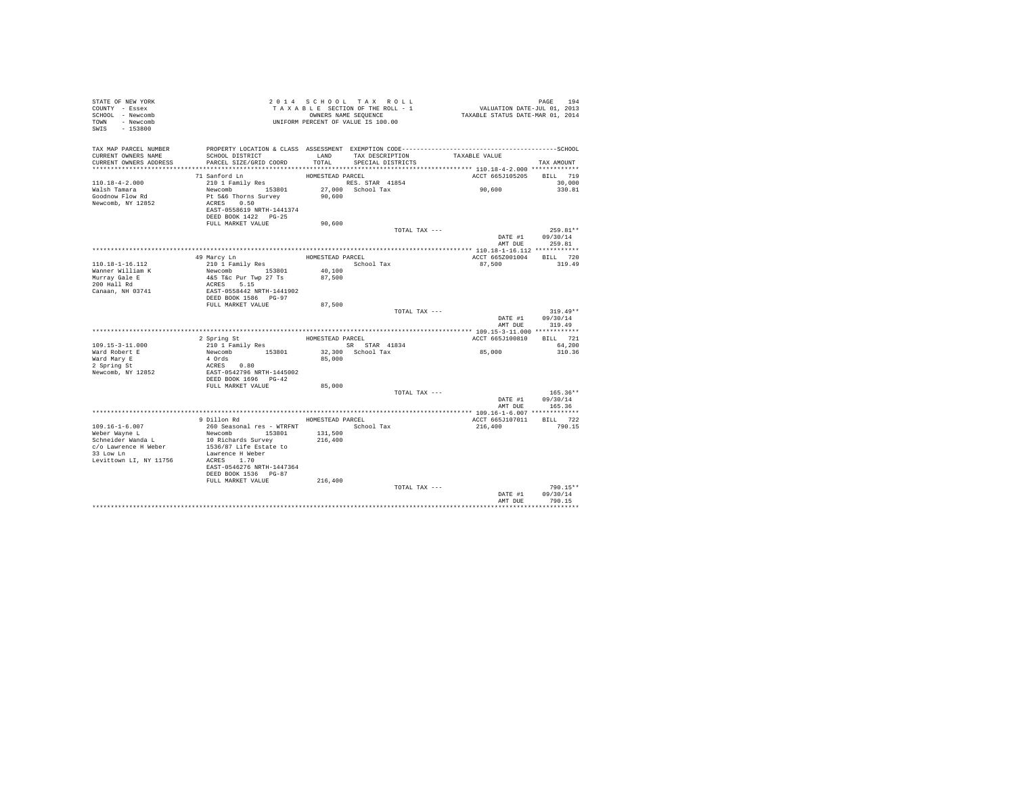| STATE OF NEW YORK<br>COUNTY - Essex                                                                                          |                                                                                              |                  | TAXABLE SECTION OF THE ROLL - 1 | PAGE 194<br>VALUATION DATE-JUL 01, 2013<br>TAXABLE STATUS DATE-MAR 01, 2014 |                  |
|------------------------------------------------------------------------------------------------------------------------------|----------------------------------------------------------------------------------------------|------------------|---------------------------------|-----------------------------------------------------------------------------|------------------|
| SCHOOL - Newcomb                                                                                                             |                                                                                              |                  | OWNERS NAME SEQUENCE            |                                                                             |                  |
| TOWN - Newcomb                                                                                                               |                                                                                              |                  |                                 |                                                                             |                  |
| SWIS - 153800                                                                                                                |                                                                                              |                  |                                 |                                                                             |                  |
|                                                                                                                              |                                                                                              |                  |                                 |                                                                             |                  |
|                                                                                                                              |                                                                                              |                  |                                 |                                                                             |                  |
| TAX MAP PARCEL NUMBER                                                                                                        | PROPERTY LOCATION & CLASS ASSESSMENT EXEMPTION CODE-----------------------------------SCHOOL |                  |                                 |                                                                             |                  |
| CURRENT OWNERS NAME                                                                                                          | SCHOOL DISTRICT                                                                              |                  | LAND TAX DESCRIPTION            | TAXABLE VALUE                                                               |                  |
| CURRENT OWNERS ADDRESS                                                                                                       | PARCEL SIZE/GRID COORD                                                                       | TOTAL.           | SPECIAL DISTRICTS               |                                                                             | TAX AMOUNT       |
|                                                                                                                              |                                                                                              |                  |                                 |                                                                             |                  |
|                                                                                                                              | 71 Sanford Ln                                                                                | HOMESTEAD PARCEL |                                 | ACCT 665J105205 BILL 719                                                    |                  |
| $110.18 - 4 - 2.000$                                                                                                         | 210 1 Family Res                                                                             |                  | RES. STAR 41854                 |                                                                             | 30,000           |
| Walsh Tamara                                                                                                                 | Newcomb 153801                                                                               |                  | 27,000 School Tax               | 90,600                                                                      | 330.81           |
| Goodnow Flow Rd                                                                                                              | Pt 5&6 Thorns Survey                                                                         | 90,600           |                                 |                                                                             |                  |
| Newcomb, NY 12852                                                                                                            | ACRES 0.50                                                                                   |                  |                                 |                                                                             |                  |
|                                                                                                                              | EAST-0558619 NRTH-1441374                                                                    |                  |                                 |                                                                             |                  |
|                                                                                                                              | DEED BOOK 1422 PG-25                                                                         |                  |                                 |                                                                             |                  |
|                                                                                                                              | FULL MARKET VALUE                                                                            | 90,600           |                                 |                                                                             |                  |
|                                                                                                                              |                                                                                              |                  | TOTAL TAX ---                   |                                                                             | 259.81**         |
|                                                                                                                              |                                                                                              |                  |                                 |                                                                             | DATE #1 09/30/14 |
|                                                                                                                              |                                                                                              |                  |                                 |                                                                             | AMT DUE 259.81   |
|                                                                                                                              |                                                                                              |                  |                                 |                                                                             |                  |
|                                                                                                                              | 49 Marcy Ln                                                                                  | HOMESTEAD PARCEL |                                 | ACCT 665Z001004 BILL 720                                                    |                  |
| 110.18-1-16.112                                                                                                              | 210 1 Family Res                                                                             |                  | School Tax                      | 87,500                                                                      | 319.49           |
| Wanner William K<br>Murray Gale E                                                                                            | Newcomb 153801                                                                               |                  |                                 |                                                                             |                  |
|                                                                                                                              | 4&5 T&c Pur Twp 27 Ts                                                                        | 40,100<br>87,500 |                                 |                                                                             |                  |
| 200 Hall Rd                                                                                                                  | ACRES 5.15<br>EAST-0558442 NRTH-1441902                                                      |                  |                                 |                                                                             |                  |
| Canaan, NH 03741                                                                                                             |                                                                                              |                  |                                 |                                                                             |                  |
|                                                                                                                              | DEED BOOK 1586 PG-97                                                                         |                  |                                 |                                                                             |                  |
|                                                                                                                              | FULL MARKET VALUE                                                                            | 87,500           |                                 |                                                                             |                  |
|                                                                                                                              |                                                                                              |                  |                                 |                                                                             |                  |
|                                                                                                                              |                                                                                              |                  | TOTAL TAX ---                   |                                                                             | $319.49**$       |
|                                                                                                                              |                                                                                              |                  |                                 | DATE #1                                                                     | 09/30/14         |
|                                                                                                                              |                                                                                              |                  |                                 | AMT DUE                                                                     | 319.49           |
|                                                                                                                              |                                                                                              |                  |                                 |                                                                             |                  |
|                                                                                                                              |                                                                                              | HOMESTEAD PARCEL |                                 | ACCT 665J100810                                                             | BILL 721         |
| $109.15 - 3 - 11.000$                                                                                                        | 2 Spring St                                                                                  |                  |                                 |                                                                             |                  |
|                                                                                                                              | 210 1 Family Res                                                                             |                  | SR STAR 41834                   |                                                                             | 64,200           |
| Ward Robert E                                                                                                                | Newcomb 153801<br>4 Ords                                                                     | 85,000           | 32,300 School Tax               | 85,000                                                                      | 310.36           |
|                                                                                                                              |                                                                                              |                  |                                 |                                                                             |                  |
| Ward Mary E<br>2 Spring St<br>Newcomb, NY 12852                                                                              | ACRES 0.80                                                                                   |                  |                                 |                                                                             |                  |
|                                                                                                                              | EAST-0542796 NRTH-1445002<br>DEED BOOK 1696 PG-42                                            |                  |                                 |                                                                             |                  |
|                                                                                                                              | FULL MARKET VALUE                                                                            | 85,000           |                                 |                                                                             |                  |
|                                                                                                                              |                                                                                              |                  | TOTAL TAX ---                   |                                                                             | $165.36**$       |
|                                                                                                                              |                                                                                              |                  |                                 |                                                                             | DATE #1 09/30/14 |
|                                                                                                                              |                                                                                              |                  |                                 | AMT DUE                                                                     | 165.36           |
|                                                                                                                              |                                                                                              |                  |                                 |                                                                             |                  |
|                                                                                                                              | 9 Dillon Rd                                                                                  | HOMESTEAD PARCEL |                                 | ACCT 665J107011 BILL 722                                                    |                  |
| 109.16-1-6.007                                                                                                               |                                                                                              |                  | School Tax                      | 216,400                                                                     | 790.15           |
| Weber Wayne L                                                                                                                | 260 Seasonal res - WTRFNT                                                                    | 131,500          |                                 |                                                                             |                  |
|                                                                                                                              | Newcomb 153801                                                                               | 216,400          |                                 |                                                                             |                  |
|                                                                                                                              |                                                                                              |                  |                                 |                                                                             |                  |
| Schneider Wanda L<br>Schneider Wanda L<br>C/o Lawrence H Weber 1536/87 Life Estate to<br>1536/87 Life Estate to<br>33 Low Ln | Lawrence H Weber                                                                             |                  |                                 |                                                                             |                  |
|                                                                                                                              | ACRES 1.70                                                                                   |                  |                                 |                                                                             |                  |
| Levittown LI, NY 11756                                                                                                       | EAST-0546276 NRTH-1447364                                                                    |                  |                                 |                                                                             |                  |
|                                                                                                                              | DEED BOOK 1536 PG-87                                                                         |                  |                                 |                                                                             |                  |
|                                                                                                                              | FULL MARKET VALUE                                                                            |                  |                                 |                                                                             |                  |
|                                                                                                                              |                                                                                              | 216,400          | TOTAL TAX ---                   |                                                                             | 790.15**         |
|                                                                                                                              |                                                                                              |                  |                                 | DATE #1                                                                     | 09/30/14         |
|                                                                                                                              |                                                                                              |                  |                                 | AMT DUE                                                                     | 790.15           |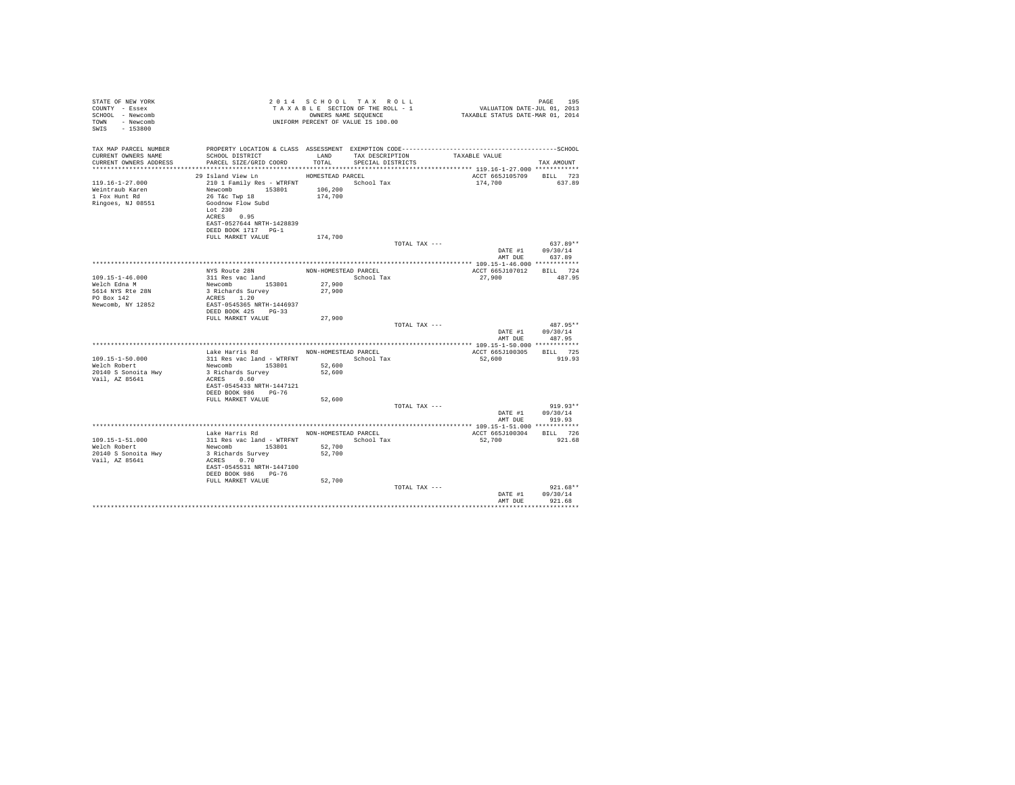| STATE OF NEW YORK<br>COUNTY - Essex<br>SCHOOL - Newcomb<br>TOWN - Newcomb<br>SWIS - 153800 |                                                                                                                                                                          |                                          | 2014 SCHOOL TAX ROLL<br>PAGE 195 PAGE 195 PAGE 195 PAGE 195 PAGE 195 PAGE 195 PAGE 195 PAGE 195 PAGE 195 PAGE 195 PAGE 195 PAGE 195 PAGE 195 PAGE 195 PAGE 196 PAGE 196 PAGE 196 PAGE 196 PAGE 196 PAGE 196 PAGE 196 PAGE 196 PAGE 196 PAGE 196 PAGE 1<br>UNIFORM PERCENT OF VALUE IS 100.00 |                                    | PAGE<br>195                              |
|--------------------------------------------------------------------------------------------|--------------------------------------------------------------------------------------------------------------------------------------------------------------------------|------------------------------------------|----------------------------------------------------------------------------------------------------------------------------------------------------------------------------------------------------------------------------------------------------------------------------------------------|------------------------------------|------------------------------------------|
| TAX MAP PARCEL NUMBER<br>CURRENT OWNERS NAME<br>CURRENT OWNERS ADDRESS                     | SCHOOL DISTRICT<br>PARCEL SIZE/GRID COORD                                                                                                                                | LAND                                     | TAX DESCRIPTION<br>TOTAL SPECIAL DISTRICTS                                                                                                                                                                                                                                                   | TAXABLE VALUE                      | TAX AMOUNT                               |
|                                                                                            | 29 Island View Ln                                                                                                                                                        | HOMESTEAD PARCEL                         |                                                                                                                                                                                                                                                                                              | ACCT 665J105709 BILL 723           |                                          |
| $119.16 - 1 - 27.000$<br>Weintraub Karen<br>1 Fox Hunt Rd<br>Ringoes, NJ 08551             | 210 1 Family Res - WTRFNT<br>Newcomb 153801 106,200<br>26 T&C Twp 18<br>Goodnow Flow Subd<br>Lot $230$<br>ACRES 0.95<br>EAST-0527644 NRTH-1428839<br>DEED BOOK 1717 PG-1 | 174,700                                  | School Tax                                                                                                                                                                                                                                                                                   | 174,700                            | 637.89                                   |
|                                                                                            | FULL MARKET VALUE                                                                                                                                                        | 174,700                                  |                                                                                                                                                                                                                                                                                              |                                    |                                          |
|                                                                                            |                                                                                                                                                                          |                                          | TOTAL TAX ---                                                                                                                                                                                                                                                                                | DATE #1<br>AMT DUE                 | $637.89**$<br>09/30/14<br>637.89         |
|                                                                                            |                                                                                                                                                                          |                                          |                                                                                                                                                                                                                                                                                              |                                    |                                          |
| $109.15 - 1 - 46.000$                                                                      | NYS Route 28N NON-HOMESTEAD PARCEL<br>311 Res vac land                                                                                                                   |                                          | School Tax                                                                                                                                                                                                                                                                                   | ACCT 665J107012 BILL 724<br>27,900 | 487.95                                   |
| Welch Edna M<br>5614 NYS Rte 28N<br>PO Box 142<br>Newcomb, NY 12852                        | Newcomb 153801 27,900<br>3 Richards Survey<br>ACRES 1.20<br>EAST-0545365 NRTH-1446937                                                                                    | 27,900                                   |                                                                                                                                                                                                                                                                                              |                                    |                                          |
|                                                                                            | DEED BOOK 425 PG-33<br>FULL MARKET VALUE                                                                                                                                 |                                          |                                                                                                                                                                                                                                                                                              |                                    |                                          |
|                                                                                            |                                                                                                                                                                          | 27,900                                   | TOTAL TAX ---                                                                                                                                                                                                                                                                                | AMT DUE                            | $487.95**$<br>DATE #1 09/30/14<br>487.95 |
|                                                                                            |                                                                                                                                                                          |                                          |                                                                                                                                                                                                                                                                                              |                                    |                                          |
|                                                                                            | Lake Harris Rd MON-HOMESTEAD PARCEL                                                                                                                                      |                                          |                                                                                                                                                                                                                                                                                              | ACCT 665J100305 BILL 725           |                                          |
| $109.15 - 1 - 50.000$<br>Welch Robert<br>20140 S Sonoita Hwy<br>Vail, AZ 85641             | 311 Res vac land - WTRFNT School Tax<br>Newcomb 153801 52,600<br>3 Richards Survey<br>ACRES 0.60<br>EAST-0545433 NRTH-1447121<br>DEED BOOK 986 PG-76                     | 52,600                                   |                                                                                                                                                                                                                                                                                              | 52,600                             | 919.93                                   |
|                                                                                            | FULL MARKET VALUE                                                                                                                                                        | 52,600                                   |                                                                                                                                                                                                                                                                                              |                                    |                                          |
|                                                                                            |                                                                                                                                                                          |                                          | TOTAL TAX ---                                                                                                                                                                                                                                                                                | DATE #1<br>AMT DUE                 | $919.93**$<br>09/30/14<br>919.93         |
|                                                                                            |                                                                                                                                                                          |                                          |                                                                                                                                                                                                                                                                                              |                                    |                                          |
| 109.15-1-51.000<br>Welch Robert<br>20140 S Sonoita Hwy<br>Vail, AZ 85641                   | Lake Harris Rd<br>311 Res vac land - WTRFNT School Tax<br>Newcomb 153801<br>3 Richards Survey<br>ACRES 0.70<br>EAST-0545531 NRTH-1447100<br>DEED BOOK 986 PG-76          | NON-HOMESTEAD PARCEL<br>52,700<br>52,700 |                                                                                                                                                                                                                                                                                              | ACCT 665J100304 BILL 726<br>52,700 | 921.68                                   |
|                                                                                            | FULL MARKET VALUE                                                                                                                                                        | 52,700                                   | TOTAL TAX ---                                                                                                                                                                                                                                                                                |                                    | $921.68**$<br>DATE #1 09/30/14           |
|                                                                                            |                                                                                                                                                                          |                                          |                                                                                                                                                                                                                                                                                              | AMT DUE                            | 921.68                                   |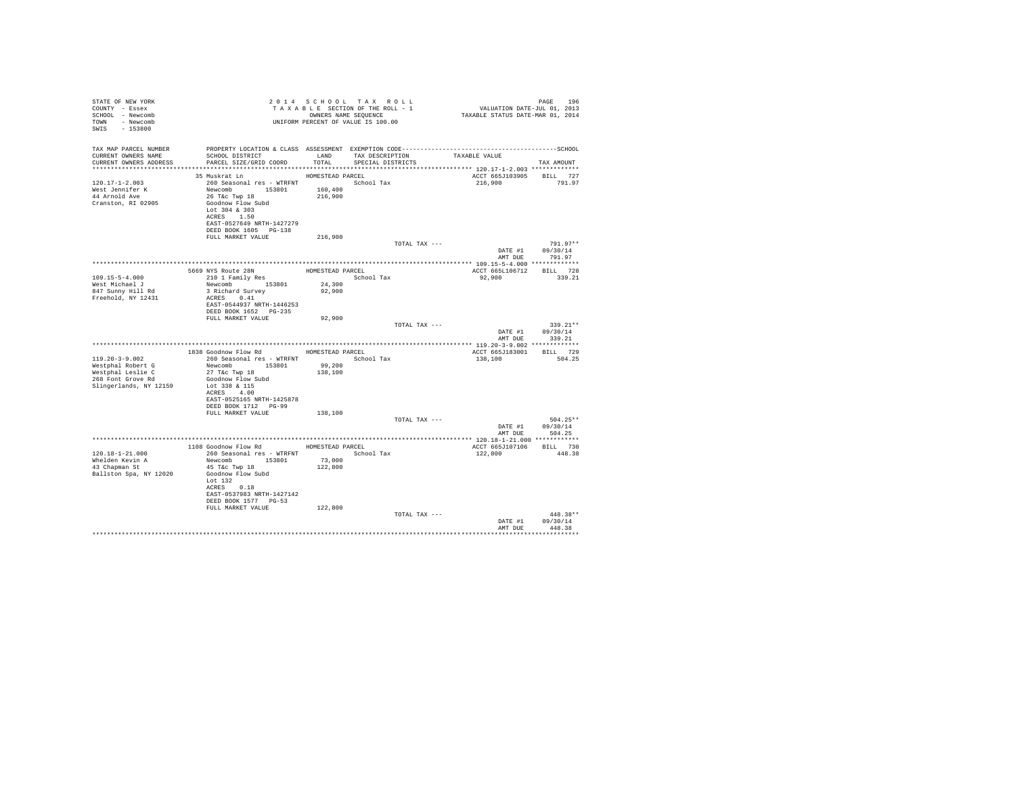| STATE OF NEW YORK<br>COUNTY - Essex<br>SCHOOL - Newcomb<br>TOWN - Newcomb<br>SWIS - 153800                            |                                                                                                                                                                                                                                                                                                                                   |                   | 2014 SCHOOL TAX ROLL<br>UNIFORM PERCENT OF VALUE IS 100.00 |               |                          | PAGE 196                           |  |
|-----------------------------------------------------------------------------------------------------------------------|-----------------------------------------------------------------------------------------------------------------------------------------------------------------------------------------------------------------------------------------------------------------------------------------------------------------------------------|-------------------|------------------------------------------------------------|---------------|--------------------------|------------------------------------|--|
| TAX MAP PARCEL NUMBER PROPERTY LOCATION & CLASS ASSESSMENT EXEMPTION CODE-----------------------------------SCHOOL    |                                                                                                                                                                                                                                                                                                                                   |                   |                                                            |               |                          |                                    |  |
| CURRENT OWNERS NAME                                                                                                   | SCHOOL DISTRICT $\hfill$ LAND $\hfill$ TAX DESCRIPTION $\hfill$ TAXABLE VALUE<br>PARCEL SIZE/GRID COORD TOTAL SPECIAL DISTRICTS                                                                                                                                                                                                   |                   |                                                            |               |                          |                                    |  |
| CURRENT OWNERS ADDRESS                                                                                                |                                                                                                                                                                                                                                                                                                                                   |                   |                                                            |               |                          | TAX AMOUNT                         |  |
|                                                                                                                       | 35 Muskrat Ln                                                                                                                                                                                                                                                                                                                     | HOMESTEAD PARCEL  |                                                            |               | ACCT 665J103905 BILL 727 |                                    |  |
| $120.17 - 1 - 2.003$                                                                                                  | ${\small \begin{tabular}{lllll} \bf 260 \,\, Seasonal &\bf res & - \,\,WTRENT & &\bf School &\bf Tax \\ \bf Newcomb & 153801 & 160,400 & \end{tabular}}$                                                                                                                                                                          |                   |                                                            |               | 216,900 791.97           |                                    |  |
| 120.17-1 2<br>West Jennifer K                                                                                         |                                                                                                                                                                                                                                                                                                                                   |                   |                                                            |               |                          |                                    |  |
| 44 Arnold Ave<br>Cranston, RI 02905                                                                                   | 26 T&c Twp 18<br>Goodnow Flow Subd                                                                                                                                                                                                                                                                                                | 216,900           |                                                            |               |                          |                                    |  |
|                                                                                                                       | Lot 304 & 303                                                                                                                                                                                                                                                                                                                     |                   |                                                            |               |                          |                                    |  |
|                                                                                                                       | ACRES 1.50                                                                                                                                                                                                                                                                                                                        |                   |                                                            |               |                          |                                    |  |
|                                                                                                                       | EAST-0527649 NRTH-1427279                                                                                                                                                                                                                                                                                                         |                   |                                                            |               |                          |                                    |  |
|                                                                                                                       | DEED BOOK 1605 PG-138<br>FULL MARKET VALUE                                                                                                                                                                                                                                                                                        | 216,900           |                                                            |               |                          |                                    |  |
|                                                                                                                       |                                                                                                                                                                                                                                                                                                                                   |                   |                                                            | TOTAL TAX --- |                          | $791.97**$                         |  |
|                                                                                                                       |                                                                                                                                                                                                                                                                                                                                   |                   |                                                            |               |                          | DATE #1 09/30/14                   |  |
|                                                                                                                       |                                                                                                                                                                                                                                                                                                                                   |                   |                                                            |               | AMT DUE                  | 791.97                             |  |
|                                                                                                                       |                                                                                                                                                                                                                                                                                                                                   |                   |                                                            |               | ACCT 665L106712 BILL 728 |                                    |  |
| $109.15 - 5 - 4.000$                                                                                                  | $\begin{tabular}{lllllllllll} \textbf{5669 NTS Route 28N} & \textbf{HOMESTE} & \textbf{ROMESTEAD PARCEL} & \textbf{5669 NTS TCEL} & \textbf{56601 Tax} \\ & 210 1 Family Res & 560001 Tax & 56001 Tax \\ & {\color{red}Newcomb} & 153801 & 24,300 \\ & 3 Richard Survey & 92,900 \\ & \textbf{ACRES} & 0.41 & & \\ \end{tabular}$ |                   |                                                            |               | 92,900 339.21            |                                    |  |
| West Michael J<br>847 Sunny Hill Rd                                                                                   |                                                                                                                                                                                                                                                                                                                                   |                   |                                                            |               |                          |                                    |  |
|                                                                                                                       |                                                                                                                                                                                                                                                                                                                                   |                   |                                                            |               |                          |                                    |  |
| Freehold, NY 12431                                                                                                    | EAST-0544937 NRTH-1446253                                                                                                                                                                                                                                                                                                         |                   |                                                            |               |                          |                                    |  |
|                                                                                                                       | DEED BOOK 1652    PG-235                                                                                                                                                                                                                                                                                                          |                   |                                                            |               |                          |                                    |  |
|                                                                                                                       | FULL MARKET VALUE                                                                                                                                                                                                                                                                                                                 | 92,900            |                                                            |               |                          |                                    |  |
|                                                                                                                       |                                                                                                                                                                                                                                                                                                                                   |                   |                                                            | TOTAL TAX --- |                          | $339.21**$                         |  |
|                                                                                                                       |                                                                                                                                                                                                                                                                                                                                   |                   |                                                            |               |                          | DATE #1 09/30/14<br>AMT DUE 339.21 |  |
|                                                                                                                       |                                                                                                                                                                                                                                                                                                                                   |                   |                                                            |               |                          |                                    |  |
|                                                                                                                       | 1838 Goodnow Flow Rd HOMESTEAD PARCEL                                                                                                                                                                                                                                                                                             |                   |                                                            |               | ACCT 665J183001 BILL 729 |                                    |  |
| $119.20 - 3 - 9.002$                                                                                                  | 260 Seasonal res - WTRFNT               School Tax                                                                                                                                                                                                                                                                                |                   |                                                            |               | 138,100                  | 504.25                             |  |
|                                                                                                                       |                                                                                                                                                                                                                                                                                                                                   | 99,200<br>138,100 |                                                            |               |                          |                                    |  |
| Mestphal Robert G (Mewcomb 153801)<br>Westphal Leslie C (27 T&c Twp 18 (284)<br>268 Font Grove Rd (300 dnow Flow Subd |                                                                                                                                                                                                                                                                                                                                   |                   |                                                            |               |                          |                                    |  |
| Slingerlands, NY 12159 Lot 338 & 115                                                                                  |                                                                                                                                                                                                                                                                                                                                   |                   |                                                            |               |                          |                                    |  |
|                                                                                                                       | ACRES 4.00<br>EAST-0525165 NRTH-1425878                                                                                                                                                                                                                                                                                           |                   |                                                            |               |                          |                                    |  |
|                                                                                                                       | DEED BOOK 1712 PG-99                                                                                                                                                                                                                                                                                                              |                   |                                                            |               |                          |                                    |  |
|                                                                                                                       | FULL MARKET VALUE                                                                                                                                                                                                                                                                                                                 | 138,100           |                                                            |               |                          |                                    |  |
|                                                                                                                       |                                                                                                                                                                                                                                                                                                                                   |                   |                                                            | TOTAL TAX --- |                          | $504.25**$                         |  |
|                                                                                                                       |                                                                                                                                                                                                                                                                                                                                   |                   |                                                            |               |                          | DATE #1 09/30/14<br>AMT DUE 504.25 |  |
|                                                                                                                       |                                                                                                                                                                                                                                                                                                                                   |                   |                                                            |               |                          |                                    |  |
|                                                                                                                       | 1108 Goodnow Flow Rd HOMESTEAD PARCEL                                                                                                                                                                                                                                                                                             |                   |                                                            |               | ACCT 665J107106 BILL 730 |                                    |  |
| $120.18 - 1 - 21.000$                                                                                                 | 260 Seasonal res - WTRFNT · School Tax                                                                                                                                                                                                                                                                                            |                   |                                                            |               | 122.800 448.38           |                                    |  |
| Whelden Kevin A<br>$43$ Chapman St                                                                                    | Newcomb 153801<br>45 T&C Twp 18                                                                                                                                                                                                                                                                                                   | 73,000<br>122,800 |                                                            |               |                          |                                    |  |
| Ballston Spa, NY 12020                                                                                                | Goodnow Flow Subd                                                                                                                                                                                                                                                                                                                 |                   |                                                            |               |                          |                                    |  |
|                                                                                                                       | Lot $132$                                                                                                                                                                                                                                                                                                                         |                   |                                                            |               |                          |                                    |  |
|                                                                                                                       | ACRES 0.18                                                                                                                                                                                                                                                                                                                        |                   |                                                            |               |                          |                                    |  |
|                                                                                                                       | EAST-0537983 NRTH-1427142<br>DEED BOOK 1577 PG-53                                                                                                                                                                                                                                                                                 |                   |                                                            |               |                          |                                    |  |
|                                                                                                                       | FULL MARKET VALUE                                                                                                                                                                                                                                                                                                                 | 122,800           |                                                            |               |                          |                                    |  |
|                                                                                                                       |                                                                                                                                                                                                                                                                                                                                   |                   |                                                            | TOTAL TAX --- |                          | $448.38**$                         |  |
|                                                                                                                       |                                                                                                                                                                                                                                                                                                                                   |                   |                                                            |               |                          | DATE #1 09/30/14                   |  |
|                                                                                                                       |                                                                                                                                                                                                                                                                                                                                   |                   |                                                            |               | AMT DUE                  | 448.38                             |  |
|                                                                                                                       |                                                                                                                                                                                                                                                                                                                                   |                   |                                                            |               |                          |                                    |  |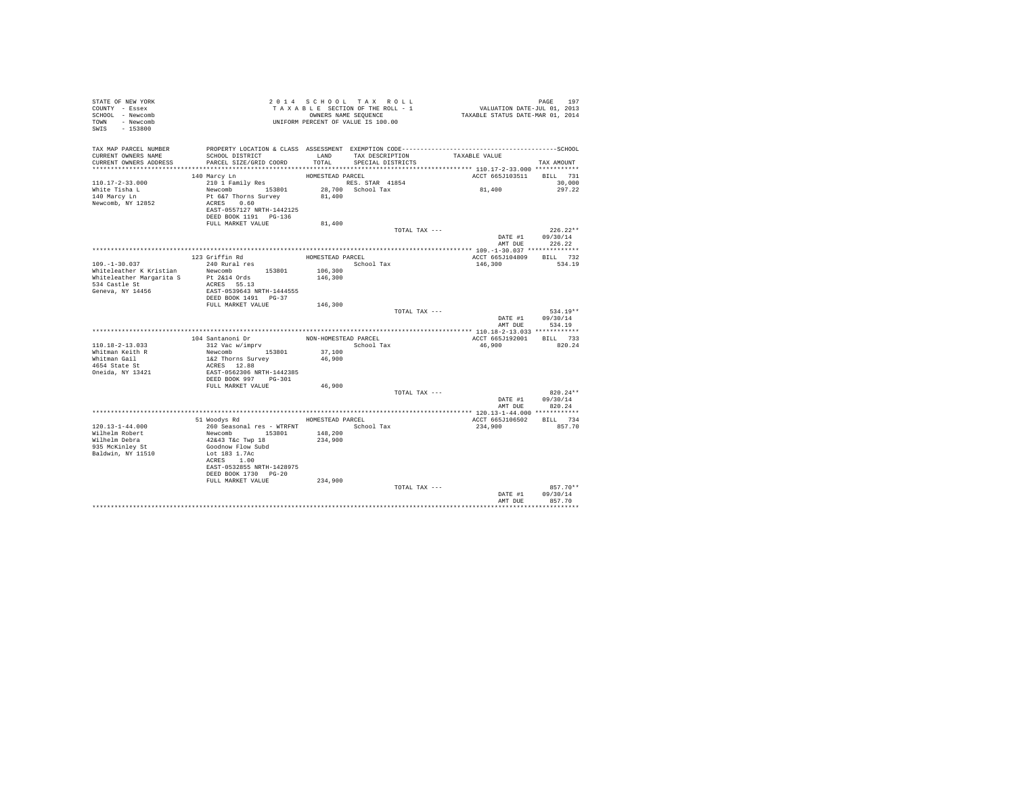| STATE OF NEW YORK<br>COUNTY - Essex<br>SCHOOL - Newcomb<br>TOWN - Newcomb<br>SWIS - 153800 | T A X A B L E SECTION OF THE STATE STATE STATE STATE STATE STATE IS 100.00                                                                        |                  | TAXABLE SECTION OF THE ROLL - 1<br>OWNERS NAME SEQUENCE | PAGE 197<br>VALUATION DATE-JUL 01, 2013<br>TAXABLE STATUS DATE-MAR 01, 2014                  |                            |
|--------------------------------------------------------------------------------------------|---------------------------------------------------------------------------------------------------------------------------------------------------|------------------|---------------------------------------------------------|----------------------------------------------------------------------------------------------|----------------------------|
| TAX MAP PARCEL NUMBER                                                                      |                                                                                                                                                   |                  |                                                         | PROPERTY LOCATION & CLASS ASSESSMENT EXEMPTION CODE-----------------------------------SCHOOL |                            |
| CURRENT OWNERS NAME<br>CURRENT OWNERS ADDRESS                                              | SCHOOL DISTRICT<br>PARCEL SIZE/GRID COORD                                                                                                         | LAND<br>TOTAL.   | TAX DESCRIPTION<br>SPECIAL DISTRICTS                    | TAXABLE VALUE                                                                                | TAX AMOUNT                 |
|                                                                                            |                                                                                                                                                   |                  |                                                         |                                                                                              |                            |
|                                                                                            | 140 Marcy Ln                                                                                                                                      | HOMESTEAD PARCEL |                                                         | ACCT 665J103511 BILL 731                                                                     |                            |
| $110.17 - 2 - 33.000$                                                                      | 210 1 Family Res                                                                                                                                  |                  | RES. STAR 41854                                         |                                                                                              | 30,000                     |
| White Tisha L                                                                              | Newcomb 153801 28,700 School Tax                                                                                                                  |                  |                                                         | 81,400                                                                                       | 297.22                     |
| 140 Marcy Ln                                                                               | Pt 6&7 Thorns Survey                                                                                                                              | 81,400           |                                                         |                                                                                              |                            |
| Newcomb, NY 12852                                                                          | ACRES 0.60                                                                                                                                        |                  |                                                         |                                                                                              |                            |
|                                                                                            | EAST-0557127 NRTH-1442125                                                                                                                         |                  |                                                         |                                                                                              |                            |
|                                                                                            | DEED BOOK 1191   PG-136<br>FULL MARKET VALUE                                                                                                      | 81,400           |                                                         |                                                                                              |                            |
|                                                                                            |                                                                                                                                                   |                  |                                                         | TOTAL TAX ---                                                                                | $226.22**$                 |
|                                                                                            |                                                                                                                                                   |                  |                                                         |                                                                                              | DATE #1 09/30/14           |
|                                                                                            |                                                                                                                                                   |                  |                                                         |                                                                                              | AMT DUE 226.22             |
|                                                                                            |                                                                                                                                                   |                  |                                                         |                                                                                              |                            |
|                                                                                            | 123 Griffin Rd                                                                                                                                    | HOMESTEAD PARCEL |                                                         | ACCT 665J104809 BILL 732                                                                     |                            |
| $109. - 1 - 30.037$                                                                        | 240 Rural res                                                                                                                                     |                  | School Tax                                              | 146,300                                                                                      | 534.19                     |
| Whiteleather K Kristian Mewcomb 153801<br>Whiteleather Margarita S Pt 2&14 Ords            |                                                                                                                                                   | 106,300          |                                                         |                                                                                              |                            |
|                                                                                            |                                                                                                                                                   | 146,300          |                                                         |                                                                                              |                            |
| 534 Castle St<br>Geneva, NY 14456                                                          | ACRES 55.13<br>EAST-0539643 NRTH-1444555                                                                                                          |                  |                                                         |                                                                                              |                            |
|                                                                                            | DEED BOOK 1491 PG-37                                                                                                                              |                  |                                                         |                                                                                              |                            |
|                                                                                            | FULL MARKET VALUE                                                                                                                                 | 146,300          |                                                         |                                                                                              |                            |
|                                                                                            |                                                                                                                                                   |                  |                                                         | TOTAL TAX ---                                                                                | $534.19**$                 |
|                                                                                            |                                                                                                                                                   |                  |                                                         |                                                                                              | DATE #1 09/30/14           |
|                                                                                            |                                                                                                                                                   |                  |                                                         | AMT DUE                                                                                      | 534.19                     |
|                                                                                            |                                                                                                                                                   |                  |                                                         |                                                                                              |                            |
| 110.18-2-13.033                                                                            | 104 Santanoni Dr<br>312 Vac w/imprv                                                                                                               |                  | NON-HOMESTEAD PARCEL                                    | ACCT 665J192001 BILL 733<br>46.900                                                           | 820.24                     |
|                                                                                            |                                                                                                                                                   | 37,100           | School Tax                                              |                                                                                              |                            |
|                                                                                            | Newcomb 153801<br>1&2 Thorns Survey                                                                                                               | 46,900           |                                                         |                                                                                              |                            |
| Whitman Keith R<br>Whitman Gail<br>4654 State St                                           | ACRES 12.88                                                                                                                                       |                  |                                                         |                                                                                              |                            |
| Oneida, NY 13421                                                                           | EAST-0562306 NRTH-1442385                                                                                                                         |                  |                                                         |                                                                                              |                            |
|                                                                                            | DEED BOOK 997 PG-301                                                                                                                              |                  |                                                         |                                                                                              |                            |
|                                                                                            | FULL MARKET VALUE                                                                                                                                 | 46,900           |                                                         |                                                                                              |                            |
|                                                                                            |                                                                                                                                                   |                  |                                                         | TOTAL TAX ---                                                                                | $820.24**$                 |
|                                                                                            |                                                                                                                                                   |                  |                                                         | AMT DUE                                                                                      | DATE #1 09/30/14<br>820.24 |
|                                                                                            |                                                                                                                                                   |                  |                                                         |                                                                                              |                            |
|                                                                                            | 51 Woodys Rd                                                                                                                                      | HOMESTEAD PARCEL |                                                         | ACCT 665J106502 BILL 734                                                                     |                            |
| $120.13 - 1 - 44.000$                                                                      |                                                                                                                                                   |                  | School Tax                                              | 234,900                                                                                      | 857.70                     |
| Wilhelm Robert                                                                             |                                                                                                                                                   | 148,200          |                                                         |                                                                                              |                            |
| Wilhelm Debra                                                                              | $\begin{tabular}{llllll} 260 & \texttt{Seasonal} res & - \texttt{WTRENT} \\ \texttt{Newcomb} & 153801 \\ \texttt{42&43 T&c Two 18} \end{tabular}$ | 234,900          |                                                         |                                                                                              |                            |
| 935 McKinley St                                                                            | Goodnow Flow Subd                                                                                                                                 |                  |                                                         |                                                                                              |                            |
| Baldwin, NY 11510                                                                          | Lot 183 1.7Ac                                                                                                                                     |                  |                                                         |                                                                                              |                            |
|                                                                                            | ACRES 1.00<br>EAST-0532855 NRTH-1428975                                                                                                           |                  |                                                         |                                                                                              |                            |
|                                                                                            | DEED BOOK 1730 PG-20                                                                                                                              |                  |                                                         |                                                                                              |                            |
|                                                                                            | FULL MARKET VALUE                                                                                                                                 | 234,900          |                                                         |                                                                                              |                            |
|                                                                                            |                                                                                                                                                   |                  | TOTAL TAX ---                                           |                                                                                              | 857.70**                   |
|                                                                                            |                                                                                                                                                   |                  |                                                         | DATE #1                                                                                      | 09/30/14                   |
|                                                                                            |                                                                                                                                                   |                  |                                                         | AMT DUR                                                                                      | 857.70                     |
|                                                                                            |                                                                                                                                                   |                  |                                                         |                                                                                              |                            |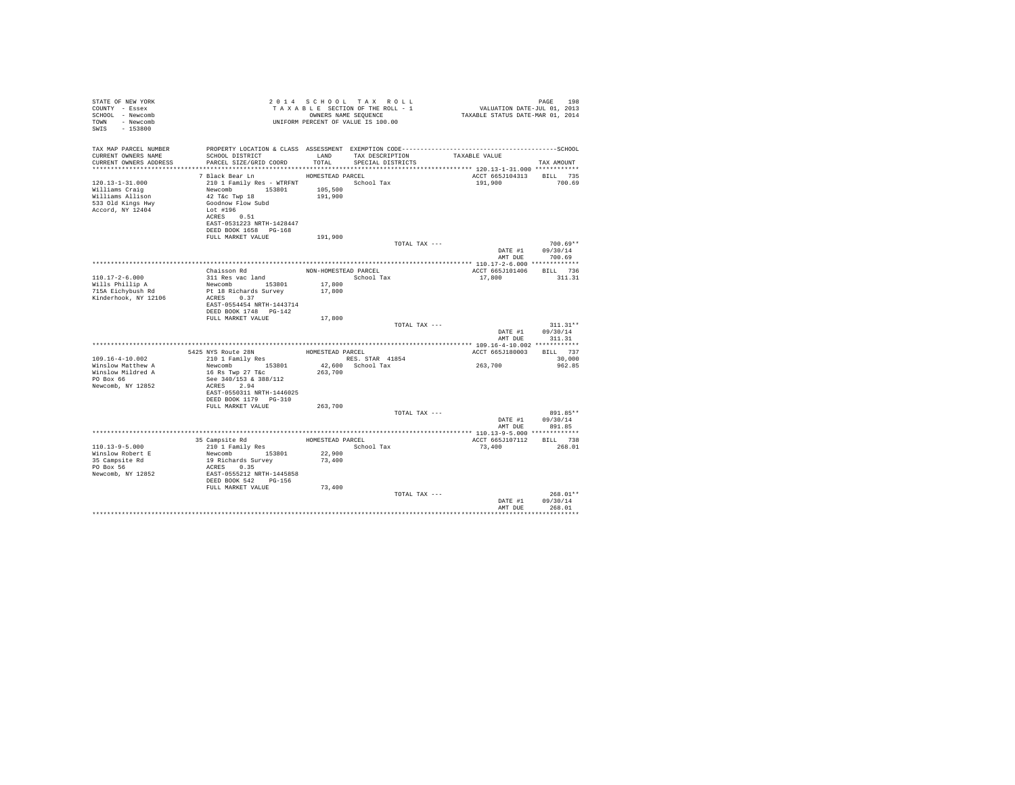| STATE OF NEW YORK<br>COUNTY - Essex<br>SCHOOL - Newcomb<br>TOWN - Newcomb<br>$-153800$<br>SWIS       |                                                                                                                                                                              |                      | 2014 SCHOOL TAX ROLL<br>TAXABLE SECTION OF THE ROLL - 1<br>OWNERS NAME SEQUENCE<br>UNIFORM PERCENT OF VALUE IS 100.00 | PAGE 198<br>VALUATION DATE-JUL 01, 2013<br>TAXABLE STATUS DATE-MAR 01, 2014 | PAGE<br>198                      |
|------------------------------------------------------------------------------------------------------|------------------------------------------------------------------------------------------------------------------------------------------------------------------------------|----------------------|-----------------------------------------------------------------------------------------------------------------------|-----------------------------------------------------------------------------|----------------------------------|
| TAX MAP PARCEL NUMBER<br>CURRENT OWNERS NAME                                                         | SCHOOL DISTRICT                                                                                                                                                              | TOTAL                | LAND TAX DESCRIPTION                                                                                                  | TAXABLE VALUE                                                               |                                  |
| CURRENT OWNERS ADDRESS                                                                               | PARCEL SIZE/GRID COORD                                                                                                                                                       |                      | SPECIAL DISTRICTS                                                                                                     |                                                                             | TAX AMOUNT                       |
|                                                                                                      | 7 Black Bear Ln                                                                                                                                                              | HOMESTEAD PARCEL     |                                                                                                                       | ACCT 665J104313                                                             | BILL 735                         |
| $120.13 - 1 - 31.000$<br>Williams Craig<br>Williams Allison<br>533 Old Kings Hwy<br>Accord, NY 12404 | 210 1 Family Res - WTRFNT School Tax<br>Newcomb 153801<br>42 T&c Twp 18<br>Goodnow Flow Subd<br>Lot #196<br>ACRES 0.51<br>EAST-0531223 NRTH-1428447<br>DEED BOOK 1658 PG-168 | 105,500<br>191,900   |                                                                                                                       | 191,900                                                                     | 700.69                           |
|                                                                                                      | FULL MARKET VALUE                                                                                                                                                            | 191,900              |                                                                                                                       |                                                                             |                                  |
|                                                                                                      |                                                                                                                                                                              |                      | TOTAL TAX ---                                                                                                         | DATE #1                                                                     | $700.69**$<br>09/30/14           |
|                                                                                                      |                                                                                                                                                                              |                      |                                                                                                                       |                                                                             | AMT DUE 700.69                   |
|                                                                                                      |                                                                                                                                                                              |                      |                                                                                                                       |                                                                             |                                  |
|                                                                                                      | Chaisson Rd                                                                                                                                                                  | NON-HOMESTEAD PARCEL |                                                                                                                       | ACCT 665J101406                                                             | BILL 736                         |
| $110.17 - 2 - 6.000$<br>Wills Phillip A                                                              | 311 Res vac land<br>Newcomb 153801                                                                                                                                           | 17,800               | School Tax                                                                                                            | 17,800                                                                      | 311.31                           |
| 715A Eichybush Rd<br>Kinderhook, NY 12106                                                            | Pt 18 Richards Survey<br>ACRES 0.37<br>EAST-0554454 NRTH-1443714<br>DEED BOOK 1748 PG-142                                                                                    | 17,800               |                                                                                                                       |                                                                             |                                  |
|                                                                                                      | FULL MARKET VALUE                                                                                                                                                            | 17,800               |                                                                                                                       |                                                                             |                                  |
|                                                                                                      |                                                                                                                                                                              |                      | TOTAL TAX ---                                                                                                         | DATE #1<br>AMT DUE                                                          | $311.31**$<br>09/30/14<br>311.31 |
|                                                                                                      |                                                                                                                                                                              |                      |                                                                                                                       |                                                                             |                                  |
|                                                                                                      |                                                                                                                                                                              | HOMESTEAD PARCEL     |                                                                                                                       | ACCT 665J180003                                                             | BILL 737                         |
| $109.16 - 4 - 10.002$                                                                                | 5425 NYS Route 28N<br>210 1 Family Res                                                                                                                                       |                      | RES. STAR 41854                                                                                                       |                                                                             | 30,000                           |
| Winslow Matthew A                                                                                    | Newcomb 153801                                                                                                                                                               |                      | 42,600 School Tax                                                                                                     | 263,700                                                                     | 962.85                           |
| Winslow Mildred A<br>PO Box 66<br>Newcomb, NY 12852                                                  | 16 Rs Twp 27 T&c<br>See 340/153 & 388/112<br>ACRES 2.94<br>EAST-0550311 NRTH-1446025<br>DEED BOOK 1179 PG-310                                                                | 263,700              |                                                                                                                       |                                                                             |                                  |
|                                                                                                      | FULL MARKET VALUE                                                                                                                                                            | 263,700              |                                                                                                                       |                                                                             |                                  |
|                                                                                                      |                                                                                                                                                                              |                      | TOTAL TAX ---                                                                                                         | DATE #1                                                                     | 891.85**<br>09/30/14             |
|                                                                                                      |                                                                                                                                                                              |                      |                                                                                                                       | AMT DUE                                                                     | 891.85                           |
|                                                                                                      | 35 Campsite Rd                                                                                                                                                               |                      | HOMESTEAD PARCEL                                                                                                      | ACCT 665J107112                                                             | BILL 738                         |
| $110.13 - 9 - 5.000$                                                                                 | 210 1 Family Res                                                                                                                                                             |                      | School Tax                                                                                                            | 73,400                                                                      | 268.01                           |
| Winslow Robert E                                                                                     | Newcomb 153801                                                                                                                                                               | 22,900               |                                                                                                                       |                                                                             |                                  |
| 35 Campsite Rd                                                                                       | 19 Richards Survey                                                                                                                                                           | 73,400               |                                                                                                                       |                                                                             |                                  |
| PO Box 56                                                                                            | ACRES 0.35                                                                                                                                                                   |                      |                                                                                                                       |                                                                             |                                  |
| Newcomb, NY 12852                                                                                    | EAST-0555212 NRTH-1445858<br>DEED BOOK 542 PG-156                                                                                                                            |                      |                                                                                                                       |                                                                             |                                  |
|                                                                                                      | FULL MARKET VALUE                                                                                                                                                            | 73,400               |                                                                                                                       |                                                                             |                                  |
|                                                                                                      |                                                                                                                                                                              |                      | TOTAL TAX ---                                                                                                         | DATE #1<br>AMT DUE                                                          | $268.01**$<br>09/30/14<br>268.01 |
|                                                                                                      |                                                                                                                                                                              |                      |                                                                                                                       |                                                                             | ************                     |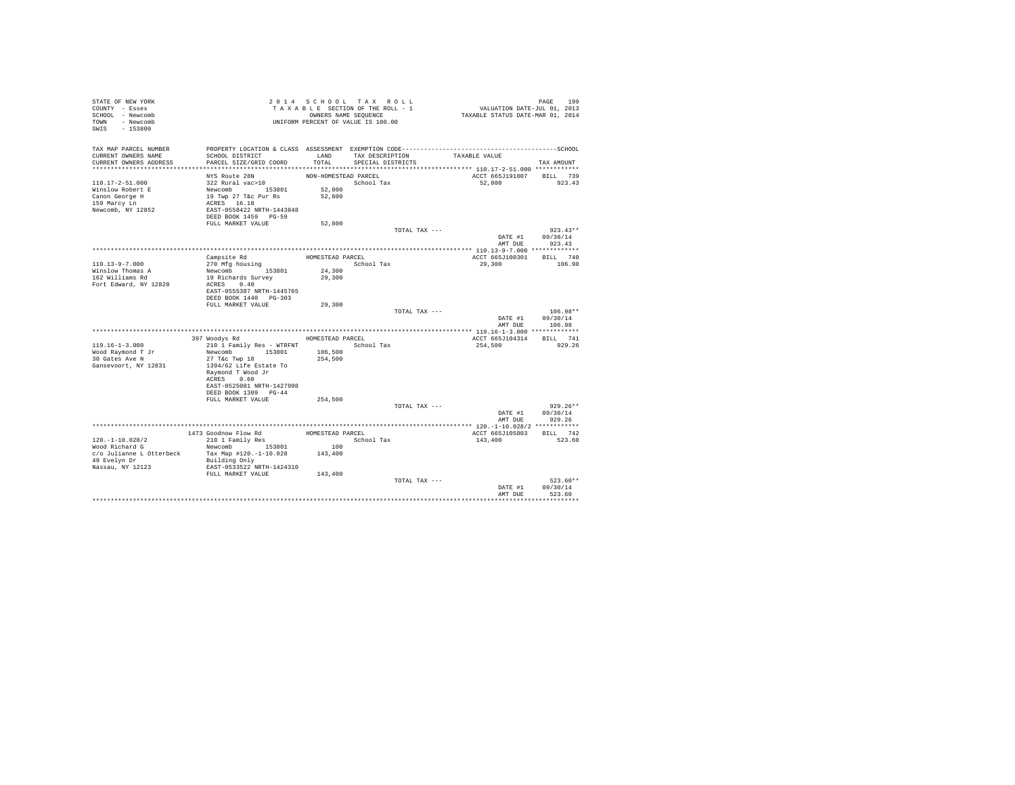| STATE OF NEW YORK<br>COUNTY - Essex<br>SCHOOL - Newcomb<br>TOWN - Newcomb<br>SWIS<br>$-153800$ |                                                   |                      | 2014 SCHOOL TAX ROLL<br>TAXABLE SECTION OF THE ROLL - 1<br>OWNERS NAME SEQUENCE<br>UNIFORM PERCENT OF VALUE IS 100.00 | VALUATION DATE-JUL 01, 2013<br>TAXABLE STATUS DATE-MAR 01, 2014 | PAGE<br>199            |
|------------------------------------------------------------------------------------------------|---------------------------------------------------|----------------------|-----------------------------------------------------------------------------------------------------------------------|-----------------------------------------------------------------|------------------------|
| TAX MAP PARCEL NUMBER                                                                          |                                                   |                      |                                                                                                                       |                                                                 |                        |
| CURRENT OWNERS NAME                                                                            | SCHOOL DISTRICT                                   | LAND                 | TAX DESCRIPTION                                                                                                       | TAXABLE VALUE                                                   |                        |
| CURRENT OWNERS ADDRESS                                                                         | PARCEL SIZE/GRID COORD                            | TOTAL                | SPECIAL DISTRICTS                                                                                                     |                                                                 | TAX AMOUNT             |
|                                                                                                | NYS Route 28N                                     | NON-HOMESTEAD PARCEL |                                                                                                                       | ACCT 665J191007 BILL 739                                        |                        |
| $110.17 - 2 - 51.000$                                                                          | 322 Rural vac>10                                  |                      | School Tax                                                                                                            | 52,800                                                          | 923.43                 |
| Winslow Robert E                                                                               | Newcomb 153801                                    | 52,800               |                                                                                                                       |                                                                 |                        |
| Canon George H                                                                                 | 19 Twp 27 T&c Pur Rs                              | 52,800               |                                                                                                                       |                                                                 |                        |
| 159 Marcy Ln                                                                                   | ACRES 16.18                                       |                      |                                                                                                                       |                                                                 |                        |
| Newcomb, NY 12852                                                                              | EAST-0558422 NRTH-1443848                         |                      |                                                                                                                       |                                                                 |                        |
|                                                                                                | DEED BOOK 1459 PG-59                              |                      |                                                                                                                       |                                                                 |                        |
|                                                                                                | FULL MARKET VALUE                                 | 52,800               |                                                                                                                       |                                                                 |                        |
|                                                                                                |                                                   |                      | TOTAL TAX ---                                                                                                         | DATE #1                                                         | $923.43**$<br>09/30/14 |
|                                                                                                |                                                   |                      |                                                                                                                       | AMT DUE                                                         | 923.43                 |
|                                                                                                |                                                   |                      |                                                                                                                       |                                                                 |                        |
|                                                                                                | Campsite Rd                                       | HOMESTEAD PARCEL     |                                                                                                                       | ACCT 665J100301                                                 | BILL 740               |
| 110.13-9-7.000                                                                                 | 270 Mfg housing                                   |                      | School Tax                                                                                                            | 29,300                                                          | 106.98                 |
| Winslow Thomas A                                                                               | Newcomb 153801                                    | 24,300               |                                                                                                                       |                                                                 |                        |
| 162 Williams Rd                                                                                | 19 Richards Survey                                | 29,300               |                                                                                                                       |                                                                 |                        |
| Fort Edward, NY 12828                                                                          | ACRES 0.40<br>EAST-0555387 NRTH-1445765           |                      |                                                                                                                       |                                                                 |                        |
|                                                                                                | DEED BOOK 1440 PG-303                             |                      |                                                                                                                       |                                                                 |                        |
|                                                                                                | FULL MARKET VALUE                                 | 29,300               |                                                                                                                       |                                                                 |                        |
|                                                                                                |                                                   |                      | TOTAL TAX ---                                                                                                         |                                                                 | $106.98**$             |
|                                                                                                |                                                   |                      |                                                                                                                       | DATE #1                                                         | 09/30/14               |
|                                                                                                |                                                   |                      |                                                                                                                       | AMT DUE                                                         | 106.98                 |
|                                                                                                | 397 Woodys Rd                                     | HOMESTEAD PARCEL     |                                                                                                                       | ACCT 665J104314                                                 | BILL 741               |
| $119.16 - 1 - 3.000$                                                                           | 210 1 Family Res - WTRFNT                         |                      | School Tax                                                                                                            | 254,500                                                         | 929.26                 |
| Wood Raymond T Jr                                                                              | Newcomb 153801                                    | 106,500              |                                                                                                                       |                                                                 |                        |
| 30 Gates Ave N                                                                                 | 27 T&c Twp 18                                     | 254,500              |                                                                                                                       |                                                                 |                        |
| Gansevoort, NY 12831                                                                           | 1394/62 Life Estate To                            |                      |                                                                                                                       |                                                                 |                        |
|                                                                                                | Raymond T Wood Jr                                 |                      |                                                                                                                       |                                                                 |                        |
|                                                                                                | ACRES 0.60                                        |                      |                                                                                                                       |                                                                 |                        |
|                                                                                                | EAST-0525081 NRTH-1427998<br>DEED BOOK 1309 PG-44 |                      |                                                                                                                       |                                                                 |                        |
|                                                                                                | FULL MARKET VALUE                                 | 254,500              |                                                                                                                       |                                                                 |                        |
|                                                                                                |                                                   |                      | TOTAL TAX ---                                                                                                         |                                                                 | $929.26**$             |
|                                                                                                |                                                   |                      |                                                                                                                       | DATE #1                                                         | 09/30/14               |
|                                                                                                |                                                   |                      |                                                                                                                       | AMT DUE                                                         | 929.26                 |
|                                                                                                |                                                   |                      |                                                                                                                       |                                                                 |                        |
| $120. - 1 - 10.028/2$                                                                          | 1473 Goodnow Flow Rd<br>210 1 Family Res          | HOMESTEAD PARCEL     | School Tax                                                                                                            | ACCT 665J105803                                                 | BILL 742<br>523.60     |
| Wood Richard G                                                                                 | 153801<br>Newcomb                                 | 100                  |                                                                                                                       | 143,400                                                         |                        |
| c/o Julianne L Otterbeck                                                                       | Tax Map #120.-1-10.028                            | 143,400              |                                                                                                                       |                                                                 |                        |
| 49 Evelyn Dr                                                                                   | Building Only                                     |                      |                                                                                                                       |                                                                 |                        |
| Nassau, NY 12123                                                                               | EAST-0533522 NRTH-1424310                         |                      |                                                                                                                       |                                                                 |                        |
|                                                                                                | FULL MARKET VALUE                                 | 143,400              |                                                                                                                       |                                                                 |                        |
|                                                                                                |                                                   |                      | TOTAL TAX ---                                                                                                         |                                                                 | $523.60**$             |
|                                                                                                |                                                   |                      |                                                                                                                       | DATE #1<br>AMT DUE                                              | 09/30/14<br>523.60     |
|                                                                                                |                                                   |                      |                                                                                                                       |                                                                 |                        |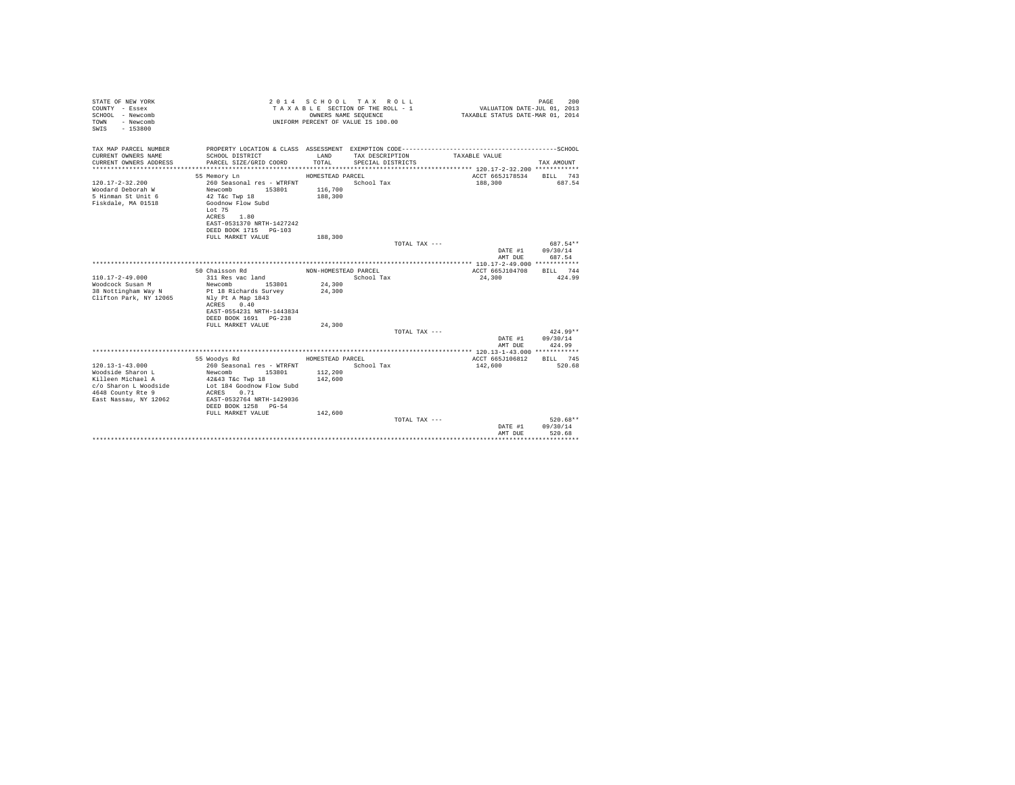| STATE OF NEW YORK<br>COUNTY - Essex<br>SCHOOL - Newcomb<br>- Newcomb<br>TOWN<br>$-153800$<br>SWIS |                                            |                      | 2014 SCHOOL TAX ROLL<br>TAXABLE SECTION OF THE ROLL - 1<br>OWNERS NAME SEQUENCE<br>UNIFORM PERCENT OF VALUE IS 100.00 | VALUATION DATE-JUL 01, 2013<br>TAXABLE STATUS DATE-MAR 01, 2014 | PAGE<br>200            |
|---------------------------------------------------------------------------------------------------|--------------------------------------------|----------------------|-----------------------------------------------------------------------------------------------------------------------|-----------------------------------------------------------------|------------------------|
| TAX MAP PARCEL NUMBER                                                                             |                                            |                      |                                                                                                                       |                                                                 |                        |
| CURRENT OWNERS NAME                                                                               | SCHOOL DISTRICT                            | LAND                 | TAX DESCRIPTION                                                                                                       | TAXABLE VALUE                                                   |                        |
| CURRENT OWNERS ADDRESS                                                                            | PARCEL SIZE/GRID COORD                     | TOTAL                | SPECIAL DISTRICTS                                                                                                     |                                                                 | TAX AMOUNT             |
|                                                                                                   | 55 Memory Ln                               | HOMESTEAD PARCEL     |                                                                                                                       | ACCT 665J178534                                                 | RTT.T. 743             |
| $120.17 - 2 - 32.200$                                                                             | 260 Seasonal res - WTRFNT                  |                      | School Tax                                                                                                            | 188,300                                                         | 687.54                 |
| Woodard Deborah W                                                                                 | Newcomb<br>153801                          | 116,700              |                                                                                                                       |                                                                 |                        |
| 5 Hinman St Unit 6                                                                                | $42$ T&c Twp $18$                          | 188,300              |                                                                                                                       |                                                                 |                        |
| Fiskdale, MA 01518                                                                                | Goodnow Flow Subd                          |                      |                                                                                                                       |                                                                 |                        |
|                                                                                                   | Lot 75                                     |                      |                                                                                                                       |                                                                 |                        |
|                                                                                                   | ACRES 1.80<br>EAST-0531370 NRTH-1427242    |                      |                                                                                                                       |                                                                 |                        |
|                                                                                                   | DEED BOOK 1715 PG-103                      |                      |                                                                                                                       |                                                                 |                        |
|                                                                                                   | FULL MARKET VALUE                          | 188,300              |                                                                                                                       |                                                                 |                        |
|                                                                                                   |                                            |                      | TOTAL TAX ---                                                                                                         |                                                                 | 687.54**               |
|                                                                                                   |                                            |                      |                                                                                                                       | DATE #1                                                         | 09/30/14               |
|                                                                                                   |                                            |                      |                                                                                                                       | AMT DUE                                                         | 687.54                 |
|                                                                                                   |                                            |                      |                                                                                                                       |                                                                 |                        |
| $110.17 - 2 - 49.000$                                                                             | 50 Chaisson Rd<br>311 Res vac land         | NON-HOMESTEAD PARCEL | School Tax                                                                                                            | ACCT 665J104708<br>24,300                                       | BILL 744<br>424.99     |
| Woodcock Susan M                                                                                  | 153801<br>Newcomb                          | 24,300               |                                                                                                                       |                                                                 |                        |
| 38 Nottingham Way N                                                                               | Pt 18 Richards Survey                      | 24,300               |                                                                                                                       |                                                                 |                        |
| Clifton Park, NY 12065                                                                            | Nly Pt A Map 1843                          |                      |                                                                                                                       |                                                                 |                        |
|                                                                                                   | ACRES 0.40                                 |                      |                                                                                                                       |                                                                 |                        |
|                                                                                                   | EAST-0554231 NRTH-1443834                  |                      |                                                                                                                       |                                                                 |                        |
|                                                                                                   | DEED BOOK 1691 PG-238<br>FULL MARKET VALUE | 24,300               |                                                                                                                       |                                                                 |                        |
|                                                                                                   |                                            |                      | TOTAL TAX ---                                                                                                         |                                                                 | $424.99**$             |
|                                                                                                   |                                            |                      |                                                                                                                       | DATE #1                                                         | 09/30/14               |
|                                                                                                   |                                            |                      |                                                                                                                       | AMT DUR                                                         | 424.99                 |
|                                                                                                   |                                            |                      |                                                                                                                       |                                                                 |                        |
|                                                                                                   | 55 Woodys Rd                               | HOMESTEAD PARCEL     |                                                                                                                       | ACCT 665J106812                                                 | BILL 745               |
| $120.13 - 1 - 43.000$                                                                             | 260 Seasonal res - WTRFNT                  |                      | School Tax                                                                                                            | 142,600                                                         | 520.68                 |
| Woodside Sharon L<br>Killeen Michael A                                                            | Newcomb<br>153801<br>42&43 T&c Twp 18      | 112,200<br>142,600   |                                                                                                                       |                                                                 |                        |
| c/o Sharon L Woodside                                                                             | Lot 184 Goodnow Flow Subd                  |                      |                                                                                                                       |                                                                 |                        |
| 4648 County Rte 9                                                                                 | ACRES 0.71                                 |                      |                                                                                                                       |                                                                 |                        |
| East Nassau, NY 12062                                                                             | EAST-0532764 NRTH-1429036                  |                      |                                                                                                                       |                                                                 |                        |
|                                                                                                   | DEED BOOK 1258 PG-54                       |                      |                                                                                                                       |                                                                 |                        |
|                                                                                                   | FULL MARKET VALUE                          | 142,600              |                                                                                                                       |                                                                 |                        |
|                                                                                                   |                                            |                      | TOTAL TAX ---                                                                                                         |                                                                 | $520.68**$<br>09/30/14 |
|                                                                                                   |                                            |                      |                                                                                                                       | DATE #1<br>AMT DUE                                              | 520.68                 |
|                                                                                                   |                                            |                      |                                                                                                                       |                                                                 |                        |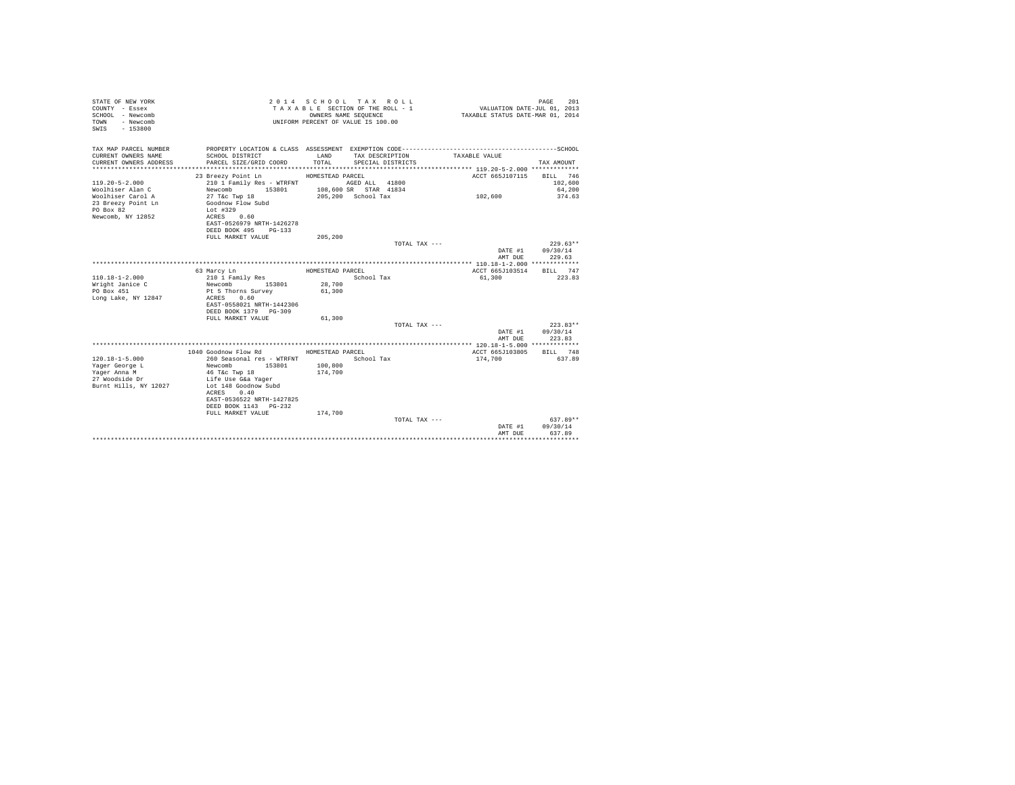| STATE OF NEW YORK<br>COUNTY - Essex<br>SCHOOL - Newcomb<br>- Newcomb<br>TOWN<br>$-153800$<br>SWIS |                               |                  | 2014 SCHOOL TAX ROLL<br>TAXABLE SECTION OF THE ROLL - 1<br>OWNERS NAME SEQUENCE<br>UNIFORM PERCENT OF VALUE IS 100.00 | VALUATION DATE-JUL 01, 2013<br>TAXABLE STATUS DATE-MAR 01, 2014 | PAGE<br>201            |
|---------------------------------------------------------------------------------------------------|-------------------------------|------------------|-----------------------------------------------------------------------------------------------------------------------|-----------------------------------------------------------------|------------------------|
| TAX MAP PARCEL NUMBER                                                                             |                               |                  |                                                                                                                       |                                                                 |                        |
| CURRENT OWNERS NAME                                                                               | SCHOOL DISTRICT               | LAND             | TAX DESCRIPTION                                                                                                       | TAXABLE VALUE                                                   |                        |
| CURRENT OWNERS ADDRESS<br>************************                                                | PARCEL SIZE/GRID COORD        | TOTAL            | SPECIAL DISTRICTS                                                                                                     |                                                                 | TAX AMOUNT             |
|                                                                                                   |                               |                  |                                                                                                                       |                                                                 |                        |
|                                                                                                   | 23 Breezy Point Ln            | HOMESTEAD PARCEL |                                                                                                                       | ACCT 665J107115                                                 | BILL 746               |
| $119.20 - 5 - 2.000$                                                                              | 210 1 Family Res - WTRFNT     |                  | AGED ALL 41800                                                                                                        |                                                                 | 102,600                |
| Woolhiser Alan C                                                                                  | Newcomb<br>153801             |                  | 108,600 SR STAR 41834                                                                                                 |                                                                 | 64,200                 |
| Woolhiser Carol A                                                                                 | 27 T&c Twp 18                 |                  | 205,200 School Tax                                                                                                    | 102,600                                                         | 374.63                 |
| 23 Breezy Point Ln<br>PO Box 82                                                                   | Goodnow Flow Subd<br>Lot #329 |                  |                                                                                                                       |                                                                 |                        |
| Newcomb, NY 12852                                                                                 | ACRES 0.60                    |                  |                                                                                                                       |                                                                 |                        |
|                                                                                                   | EAST-0526979 NRTH-1426278     |                  |                                                                                                                       |                                                                 |                        |
|                                                                                                   | DEED BOOK 495<br>$PG-133$     |                  |                                                                                                                       |                                                                 |                        |
|                                                                                                   | FULL MARKET VALUE             | 205,200          |                                                                                                                       |                                                                 |                        |
|                                                                                                   |                               |                  | TOTAL TAX ---                                                                                                         |                                                                 | $229.63**$             |
|                                                                                                   |                               |                  |                                                                                                                       | DATE #1                                                         | 09/30/14               |
|                                                                                                   |                               |                  |                                                                                                                       | AMT DUE                                                         | 229.63                 |
|                                                                                                   |                               |                  |                                                                                                                       |                                                                 |                        |
|                                                                                                   | 63 Marcy Ln                   | HOMESTEAD PARCEL |                                                                                                                       | ACCT 665J103514                                                 | BILL 747               |
| $110.18 - 1 - 2.000$                                                                              | 210 1 Family Res              |                  | School Tax                                                                                                            | 61,300                                                          | 223.83                 |
| Wright Janice C                                                                                   | Newcomb 153801                | 28,700           |                                                                                                                       |                                                                 |                        |
| PO Box 451                                                                                        | Pt 5 Thorns Survey            | 61,300           |                                                                                                                       |                                                                 |                        |
| Long Lake, NY 12847                                                                               | ACRES 0.60                    |                  |                                                                                                                       |                                                                 |                        |
|                                                                                                   | EAST-0558021 NRTH-1442306     |                  |                                                                                                                       |                                                                 |                        |
|                                                                                                   | DEED BOOK 1379 PG-309         |                  |                                                                                                                       |                                                                 |                        |
|                                                                                                   | FULL MARKET VALUE             | 61,300           |                                                                                                                       |                                                                 |                        |
|                                                                                                   |                               |                  | TOTAL TAX ---                                                                                                         |                                                                 | $223.83**$<br>09/30/14 |
|                                                                                                   |                               |                  |                                                                                                                       | DATE #1<br>AMT DUE                                              | 223.83                 |
|                                                                                                   |                               |                  |                                                                                                                       |                                                                 |                        |
|                                                                                                   | 1040 Goodnow Flow Rd          | HOMESTEAD PARCEL |                                                                                                                       | ACCT 665J103805                                                 | BILL 748               |
| $120.18 - 1 - 5.000$                                                                              | 260 Seasonal res - WTRFNT     |                  | School Tax                                                                                                            | 174,700                                                         | 637.89                 |
| Yager George L                                                                                    | Newcomb<br>153801             | 100,800          |                                                                                                                       |                                                                 |                        |
| Yager Anna M                                                                                      | 46 T&c Twp 18                 | 174,700          |                                                                                                                       |                                                                 |                        |
| 27 Woodside Dr                                                                                    | Life Use G&a Yaqer            |                  |                                                                                                                       |                                                                 |                        |
| Burnt Hills, NY 12027                                                                             | Lot 148 Goodnow Subd          |                  |                                                                                                                       |                                                                 |                        |
|                                                                                                   | ACRES 0.40                    |                  |                                                                                                                       |                                                                 |                        |
|                                                                                                   | EAST-0536522 NRTH-1427825     |                  |                                                                                                                       |                                                                 |                        |
|                                                                                                   | DEED BOOK 1143 PG-232         |                  |                                                                                                                       |                                                                 |                        |
|                                                                                                   | FULL MARKET VALUE             | 174,700          |                                                                                                                       |                                                                 |                        |
|                                                                                                   |                               |                  | TOTAL TAX ---                                                                                                         |                                                                 | $637.89**$             |
|                                                                                                   |                               |                  |                                                                                                                       | DATE #1                                                         | 09/30/14               |
|                                                                                                   |                               |                  |                                                                                                                       | AMT DUE                                                         | 637.89                 |
|                                                                                                   |                               |                  |                                                                                                                       |                                                                 | .                      |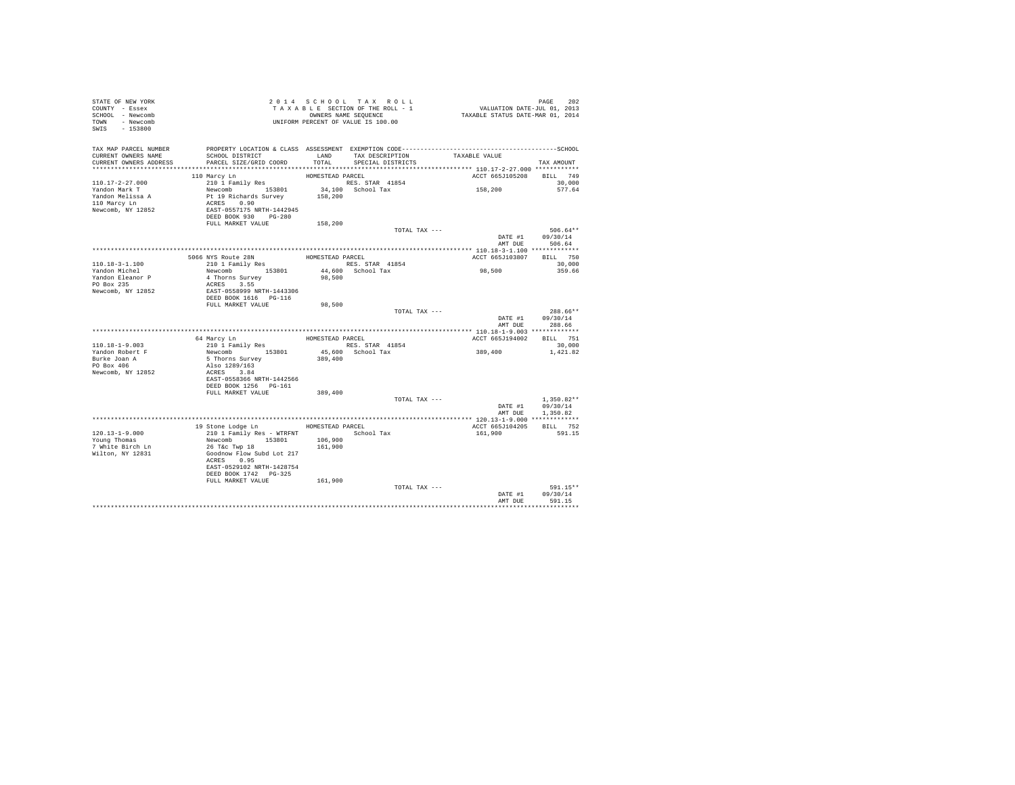| STATE OF NEW YORK<br>COUNTY - Essex<br>SCHOOL - Newcomb<br>TOWN - Newcomb<br>SWIS - 153800                                               | 2014 SCHUUL ARASTIC CONTREROLL - 1<br>TAXABLE SECTION OF THE ROLL - 1<br>UNIFORM PERCENT OF VALUE IS 100.00                                                                                                                                                                                                                                                                                                                          |        |                         | PAGE 202<br>VALUATION DATE-JUL 01, 2013<br>TAXABLE STATUS DATE-MAR 01, 2014 |                                    |
|------------------------------------------------------------------------------------------------------------------------------------------|--------------------------------------------------------------------------------------------------------------------------------------------------------------------------------------------------------------------------------------------------------------------------------------------------------------------------------------------------------------------------------------------------------------------------------------|--------|-------------------------|-----------------------------------------------------------------------------|------------------------------------|
| TAX MAP PARCEL NUMBER PROPERTY LOCATION & CLASS ASSESSMENT EXEMPTION CODE----------------------------------SCHOOL<br>CURRENT OWNERS NAME | SCHOOL DISTRICT LAND TAX DESCRIPTION TAXABLE VALUE                                                                                                                                                                                                                                                                                                                                                                                   |        |                         |                                                                             |                                    |
| CURRENT OWNERS ADDRESS PARCEL SIZE/GRID COORD                                                                                            |                                                                                                                                                                                                                                                                                                                                                                                                                                      |        | TOTAL SPECIAL DISTRICTS |                                                                             | TAX AMOUNT                         |
|                                                                                                                                          | 110 Marcy Ln                                                                                                                                                                                                                                                                                                                                                                                                                         |        |                         | ACCT 665J105208 BILL 749                                                    |                                    |
| $110.17 - 2 - 27.000$                                                                                                                    |                                                                                                                                                                                                                                                                                                                                                                                                                                      |        |                         |                                                                             | 30,000                             |
| Yandon Mark T                                                                                                                            |                                                                                                                                                                                                                                                                                                                                                                                                                                      |        |                         | 158,200                                                                     | 577.64                             |
| Yandon Melissa A                                                                                                                         |                                                                                                                                                                                                                                                                                                                                                                                                                                      |        |                         |                                                                             |                                    |
| 110 Marcy Ln                                                                                                                             |                                                                                                                                                                                                                                                                                                                                                                                                                                      |        |                         |                                                                             |                                    |
| Newcomb, NY 12852                                                                                                                        |                                                                                                                                                                                                                                                                                                                                                                                                                                      |        |                         |                                                                             |                                    |
|                                                                                                                                          |                                                                                                                                                                                                                                                                                                                                                                                                                                      |        |                         |                                                                             |                                    |
|                                                                                                                                          |                                                                                                                                                                                                                                                                                                                                                                                                                                      |        |                         |                                                                             |                                    |
|                                                                                                                                          |                                                                                                                                                                                                                                                                                                                                                                                                                                      |        | TOTAL TAX ---           |                                                                             | $506.64**$<br>DATE #1 09/30/14     |
|                                                                                                                                          |                                                                                                                                                                                                                                                                                                                                                                                                                                      |        |                         |                                                                             | AMT DUE 506.64                     |
|                                                                                                                                          |                                                                                                                                                                                                                                                                                                                                                                                                                                      |        |                         |                                                                             |                                    |
|                                                                                                                                          |                                                                                                                                                                                                                                                                                                                                                                                                                                      |        | HOMESTEAD PARCEL        | ACCT 665J103807 BILL 750                                                    |                                    |
| 110.18-3-1.100                                                                                                                           | 5066 NYS Route 28N<br>210 1 Family Res                                                                                                                                                                                                                                                                                                                                                                                               |        | RES. STAR 41854         |                                                                             | 30,000                             |
| Yandon Michel                                                                                                                            |                                                                                                                                                                                                                                                                                                                                                                                                                                      |        |                         | 98,500                                                                      | 359.66                             |
| Yandon Eleanor P                                                                                                                         |                                                                                                                                                                                                                                                                                                                                                                                                                                      |        |                         |                                                                             |                                    |
| PO Box 235                                                                                                                               |                                                                                                                                                                                                                                                                                                                                                                                                                                      |        |                         |                                                                             |                                    |
| Newcomb, NY 12852                                                                                                                        | ACRES 3.55<br>EAST-0558999 NRTH-1443306<br>DEED BOOK 1616<br>FULL MARKET VALUE                                                                                                                                                                                                                                                                                                                                                       |        |                         |                                                                             |                                    |
|                                                                                                                                          |                                                                                                                                                                                                                                                                                                                                                                                                                                      | 98,500 |                         |                                                                             |                                    |
|                                                                                                                                          |                                                                                                                                                                                                                                                                                                                                                                                                                                      |        |                         |                                                                             |                                    |
|                                                                                                                                          |                                                                                                                                                                                                                                                                                                                                                                                                                                      |        |                         |                                                                             |                                    |
|                                                                                                                                          |                                                                                                                                                                                                                                                                                                                                                                                                                                      |        | TOTAL TAX ---           |                                                                             | $288.66**$                         |
|                                                                                                                                          |                                                                                                                                                                                                                                                                                                                                                                                                                                      |        |                         |                                                                             | DATE #1 09/30/14<br>AMT DUE 288.66 |
|                                                                                                                                          |                                                                                                                                                                                                                                                                                                                                                                                                                                      |        |                         |                                                                             |                                    |
|                                                                                                                                          |                                                                                                                                                                                                                                                                                                                                                                                                                                      |        |                         | ACCT 665J194002 BILL 751                                                    |                                    |
| $110.18 - 1 - 9.003$                                                                                                                     |                                                                                                                                                                                                                                                                                                                                                                                                                                      |        |                         |                                                                             | 30,000                             |
|                                                                                                                                          |                                                                                                                                                                                                                                                                                                                                                                                                                                      |        |                         | 389,400                                                                     | 1,421.82                           |
|                                                                                                                                          |                                                                                                                                                                                                                                                                                                                                                                                                                                      |        |                         |                                                                             |                                    |
| Yandon Robert F<br>Burke Joan A<br>PO Box 406                                                                                            |                                                                                                                                                                                                                                                                                                                                                                                                                                      |        |                         |                                                                             |                                    |
| Newcomb, NY 12852                                                                                                                        |                                                                                                                                                                                                                                                                                                                                                                                                                                      |        |                         |                                                                             |                                    |
|                                                                                                                                          | $\begin{tabular}{c c c} \hline \texttt{64} \texttt{Mary Ln} & \texttt{HOMESTEAD PARCEL} \\ \hline 210 1 \texttt{Family Res} & \texttt{HOMESTEAD PARECL} \\ \hline \texttt{Newton} & 153801 & 45,600 \texttt{ School Tax} \\ \texttt{S} \texttt{ThormS Survey} & 389,400 \\ \texttt{5} \texttt{ThormS Survey} & \texttt{389,400} \\ \texttt{ACRES} & 3.84 \\ \texttt{ACRES} & 3.84 \\ \texttt{DRED-OSS3368 NETH-1442566} & \texttt{D$ |        |                         |                                                                             |                                    |
|                                                                                                                                          | FULL MARKET VALUE 389,400                                                                                                                                                                                                                                                                                                                                                                                                            |        |                         |                                                                             |                                    |
|                                                                                                                                          |                                                                                                                                                                                                                                                                                                                                                                                                                                      |        | TOTAL TAX ---           |                                                                             | $1.350.82**$                       |
|                                                                                                                                          |                                                                                                                                                                                                                                                                                                                                                                                                                                      |        |                         |                                                                             | DATE #1 09/30/14                   |
|                                                                                                                                          |                                                                                                                                                                                                                                                                                                                                                                                                                                      |        |                         |                                                                             | AMT DUE 1.350.82                   |
|                                                                                                                                          |                                                                                                                                                                                                                                                                                                                                                                                                                                      |        |                         |                                                                             |                                    |
|                                                                                                                                          | 19 Stone Lodge Ln MOMESTEAD PARCEL                                                                                                                                                                                                                                                                                                                                                                                                   |        |                         | ACCT 665J104205                                                             | BILL 752                           |
| $120.13 - 1 - 9.000$                                                                                                                     |                                                                                                                                                                                                                                                                                                                                                                                                                                      |        |                         | 161,900                                                                     | 591.15                             |
| Young Thomas                                                                                                                             |                                                                                                                                                                                                                                                                                                                                                                                                                                      |        |                         |                                                                             |                                    |
| 7 White Birch Ln<br>Wilton, NY 12831                                                                                                     |                                                                                                                                                                                                                                                                                                                                                                                                                                      |        |                         |                                                                             |                                    |
|                                                                                                                                          | 210 1 Family Res - WTRFNT<br>Newcomb 153801 106,900<br>26 Tác Twp 18 3001 16,900<br>26 Tác Twp 18 3001 161,900<br>ACRES 0.95                                                                                                                                                                                                                                                                                                         |        |                         |                                                                             |                                    |
|                                                                                                                                          | EAST-0529102 NRTH-1428754                                                                                                                                                                                                                                                                                                                                                                                                            |        |                         |                                                                             |                                    |
|                                                                                                                                          |                                                                                                                                                                                                                                                                                                                                                                                                                                      |        |                         |                                                                             |                                    |
|                                                                                                                                          | FULL MARKET VALUE 161,900                                                                                                                                                                                                                                                                                                                                                                                                            |        |                         |                                                                             |                                    |
|                                                                                                                                          |                                                                                                                                                                                                                                                                                                                                                                                                                                      |        | TOTAL TAX ---           |                                                                             | 591.15**                           |
|                                                                                                                                          |                                                                                                                                                                                                                                                                                                                                                                                                                                      |        |                         |                                                                             | DATE #1 09/30/14<br>AMT DUE 591.15 |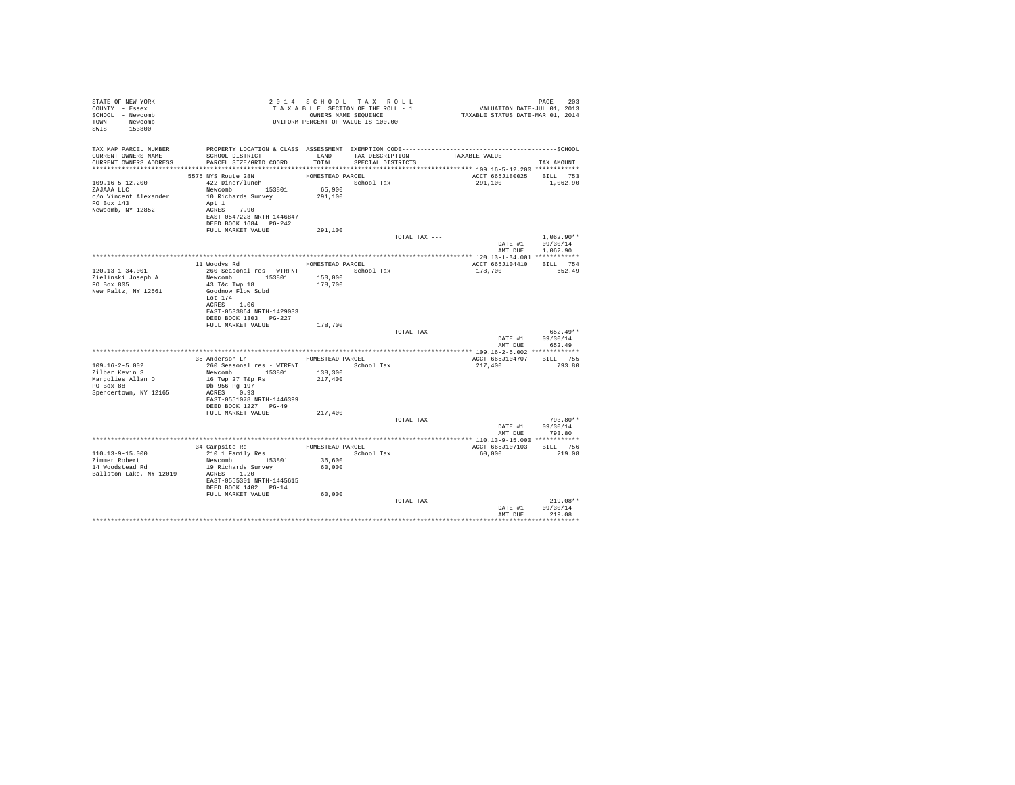| STATE OF NEW YORK<br>COUNTY - Essex<br>SCHOOL - Newcomb<br>TOWN - Newcomb<br>SWIS - 153800 | T A X A B L L _ _ _ _ _ _ _ _ OWNERS NAME SEQUENCE<br>UNIFORM PERCENT OF VALUE IS 100.00                                             |                   | 2014 SCHOOL TAX ROLL<br>TAXABLE SECTION OF THE ROLL - 1<br>OWNERS NAME SEQUENCE |               | PAGE 203<br>VALUATION DATE-JUL 01, 2013<br>TAXABLE STATUS DATE-MAR 01, 2014 |                                  |
|--------------------------------------------------------------------------------------------|--------------------------------------------------------------------------------------------------------------------------------------|-------------------|---------------------------------------------------------------------------------|---------------|-----------------------------------------------------------------------------|----------------------------------|
| TAX MAP PARCEL NUMBER                                                                      |                                                                                                                                      |                   |                                                                                 |               |                                                                             |                                  |
| CURRENT OWNERS NAME<br>CURRENT OWNERS ADDRESS                                              | SCHOOL DISTRICT<br>PARCEL SIZE/GRID COORD                                                                                            | LAND<br>TOTAL     | TAX DESCRIPTION<br>SPECIAL DISTRICTS                                            | TAXABLE VALUE |                                                                             | TAX AMOUNT                       |
|                                                                                            | 5575 NYS Route 28N                                                                                                                   | HOMESTEAD PARCEL  |                                                                                 |               | ACCT 665J180025 BILL 753                                                    |                                  |
| 109.16-5-12.200<br>ZAJAAA LLC<br>c/o Vincent Alexander<br>PO Box 143<br>Newcomb, NY 12852  | 422 Diner/lunch<br>Newcomb 153801<br>10 Richards Survey<br>Apt 1<br>ACRES 7.90<br>EAST-0547228 NRTH-1446847<br>DEED BOOK 1684 PG-242 | 65,900<br>291,100 | School Tax                                                                      |               | 291,100 1,062.90                                                            |                                  |
|                                                                                            | FULL MARKET VALUE                                                                                                                    | 291,100           |                                                                                 |               |                                                                             |                                  |
|                                                                                            |                                                                                                                                      |                   |                                                                                 | TOTAL TAX --- |                                                                             | $1,062.90**$<br>DATE #1 09/30/14 |
|                                                                                            |                                                                                                                                      |                   |                                                                                 |               | AMT DUE                                                                     | 1,062.90                         |
|                                                                                            | 11 Woodys Rd                                                                                                                         |                   | HOMESTEAD PARCEL                                                                |               |                                                                             | BILL 754                         |
| $120.13 - 1 - 34.001$                                                                      | 260 Seasonal res - WTRFNT                                                                                                            |                   | School Tax                                                                      |               | ACCT 665J104410<br>178,700                                                  | 652.49                           |
| Zielinski Joseph A                                                                         | Newcomb 153801                                                                                                                       | 150,000           |                                                                                 |               |                                                                             |                                  |
| PO Box 805                                                                                 | 43 T&c Twp 18                                                                                                                        | 178,700           |                                                                                 |               |                                                                             |                                  |
| New Paltz, NY 12561                                                                        | Goodnow Flow Subd                                                                                                                    |                   |                                                                                 |               |                                                                             |                                  |
|                                                                                            | Lot 174                                                                                                                              |                   |                                                                                 |               |                                                                             |                                  |
|                                                                                            | ACRES 1.06<br>EAST-0533864 NRTH-1429033                                                                                              |                   |                                                                                 |               |                                                                             |                                  |
|                                                                                            | DEED BOOK 1303 PG-227                                                                                                                |                   |                                                                                 |               |                                                                             |                                  |
|                                                                                            | FULL MARKET VALUE                                                                                                                    | 178,700           |                                                                                 |               |                                                                             |                                  |
|                                                                                            |                                                                                                                                      |                   |                                                                                 | TOTAL TAX --- |                                                                             | $652.49**$                       |
|                                                                                            |                                                                                                                                      |                   |                                                                                 |               |                                                                             | DATE #1 09/30/14                 |
|                                                                                            |                                                                                                                                      |                   |                                                                                 |               |                                                                             | AMT DUE 652.49                   |
|                                                                                            | 35 Anderson Ln MOMESTEAD PARCEL                                                                                                      |                   |                                                                                 |               | ACCT 665J104707                                                             | BILL 755                         |
| $109.16 - 2 - 5.002$                                                                       | 260 Seasonal res - WTRFNT · School Tax                                                                                               |                   |                                                                                 |               | 217,400                                                                     | 793.80                           |
| Zilber Kevin S                                                                             | Newcomb 153801                                                                                                                       | 138,300           |                                                                                 |               |                                                                             |                                  |
| Margolies Allan D                                                                          | 16 Twp 27 T&p Rs                                                                                                                     | 217,400           |                                                                                 |               |                                                                             |                                  |
| PO Box 88                                                                                  | Db 956 Pg 197                                                                                                                        |                   |                                                                                 |               |                                                                             |                                  |
| Spencertown, NY 12165                                                                      | ACRES 0.93                                                                                                                           |                   |                                                                                 |               |                                                                             |                                  |
|                                                                                            | EAST-0551078 NRTH-1446399<br>DEED BOOK 1227 PG-49                                                                                    |                   |                                                                                 |               |                                                                             |                                  |
|                                                                                            | FULL MARKET VALUE                                                                                                                    | 217,400           |                                                                                 |               |                                                                             |                                  |
|                                                                                            |                                                                                                                                      |                   |                                                                                 | TOTAL TAX --- |                                                                             | 793.80**                         |
|                                                                                            |                                                                                                                                      |                   |                                                                                 |               |                                                                             | DATE #1 09/30/14                 |
|                                                                                            |                                                                                                                                      |                   |                                                                                 |               | AMT DUE                                                                     | 793.80                           |
|                                                                                            |                                                                                                                                      |                   |                                                                                 |               |                                                                             |                                  |
| 110.13-9-15.000                                                                            | 34 Campsite Rd<br>210 1 Family Res                                                                                                   |                   | HOMESTEAD PARCEL<br>School Tax                                                  |               | ACCT 665J107103<br>60,000                                                   | BILL 756<br>219.08               |
| Zimmer Robert                                                                              | Newcomb 153801                                                                                                                       | 36,600            |                                                                                 |               |                                                                             |                                  |
| 14 Woodstead Rd                                                                            | 19 Richards Survey                                                                                                                   | 60,000            |                                                                                 |               |                                                                             |                                  |
| Ballston Lake, NY 12019                                                                    | ACRES 1.20                                                                                                                           |                   |                                                                                 |               |                                                                             |                                  |
|                                                                                            | EAST-0555301 NRTH-1445615                                                                                                            |                   |                                                                                 |               |                                                                             |                                  |
|                                                                                            | DEED BOOK 1402 PG-14                                                                                                                 |                   |                                                                                 |               |                                                                             |                                  |
|                                                                                            | FULL MARKET VALUE                                                                                                                    | 60,000            |                                                                                 | TOTAL TAX --- |                                                                             | $219.08**$                       |
|                                                                                            |                                                                                                                                      |                   |                                                                                 |               | DATE #1                                                                     | 09/30/14                         |
|                                                                                            |                                                                                                                                      |                   |                                                                                 |               | AMT DUE                                                                     | 219.08                           |
|                                                                                            |                                                                                                                                      |                   |                                                                                 |               |                                                                             |                                  |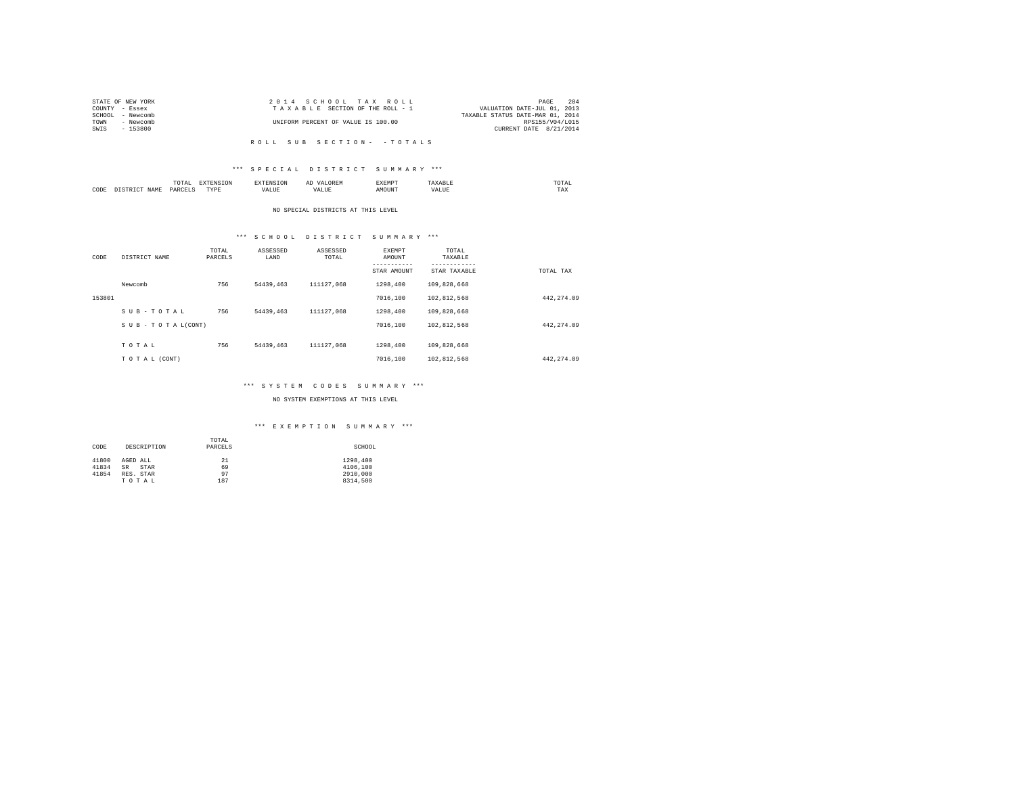| STATE OF NEW YORK | 2014 SCHOOL TAX ROLL               | 204<br>PAGE                      |
|-------------------|------------------------------------|----------------------------------|
| COUNTY - Essex    | TAXABLE SECTION OF THE ROLL - 1    | VALUATION DATE-JUL 01, 2013      |
| SCHOOL - Newcomb  |                                    | TAXABLE STATUS DATE-MAR 01, 2014 |
| TOWN<br>- Newcomb | UNIFORM PERCENT OF VALUE IS 100.00 | RPS155/V04/L015                  |
| $-153800$<br>SWIS |                                    | CURRENT DATE 8/21/2014           |
|                   |                                    |                                  |

R O L L S U B S E C T I O N - - T O T A L S

### \*\*\* S P E C I A L D I S T R I C T S U M M A R Y \*\*\*

|      | ----<br>IUIAL<br>the contract of the contract of the contract of | the contract of the contract of the contract of the contract of the contract of |                | ΑΙ | EXEMP. |      | moms:<br>the contract of the contract of the contract of |
|------|------------------------------------------------------------------|---------------------------------------------------------------------------------|----------------|----|--------|------|----------------------------------------------------------|
| CODE | DARCELS<br>.                                                     | <b>TVD</b> k<br>.                                                               | - ---<br>'ALUL | n  |        | ALUE | ---<br>TAX                                               |

#### NO SPECIAL DISTRICTS AT THIS LEVEL

# \*\*\* S C H O O L D I S T R I C T S U M M A R Y \*\*\*

| CODE   | DISTRICT NAME   | TOTAL<br>PARCELS | ASSESSED<br>LAND | ASSESSED<br>TOTAL | <b>EXEMPT</b><br>AMOUNT | TOTAL<br>TAXABLE<br>--------- |             |
|--------|-----------------|------------------|------------------|-------------------|-------------------------|-------------------------------|-------------|
|        |                 |                  |                  |                   | STAR AMOUNT             | STAR TAXABLE                  | TOTAL TAX   |
|        | Newcomb         | 756              | 54439,463        | 111127.068        | 1298,400                | 109,828,668                   |             |
| 153801 |                 |                  |                  |                   | 7016,100                | 102.812.568                   | 442, 274.09 |
|        | SUB-TOTAL       | 756              | 54439,463        | 111127.068        | 1298,400                | 109,828,668                   |             |
|        | SUB-TOTAL(CONT) |                  |                  |                   | 7016,100                | 102.812.568                   | 442.274.09  |
|        |                 |                  |                  |                   |                         |                               |             |
|        | TOTAL           | 756              | 54439,463        | 111127.068        | 1298,400                | 109,828,668                   |             |
|        | TO TAL (CONT)   |                  |                  |                   | 7016,100                | 102,812,568                   | 442.274.09  |

# \*\*\* S Y S T E M C O D E S S U M M A R Y \*\*\*

### NO SYSTEM EXEMPTIONS AT THIS LEVEL

### \*\*\* E X E M P T I O N S U M M A R Y \*\*\*

|       |                   | TOTAL   |          |
|-------|-------------------|---------|----------|
| CODE  | DESCRIPTION       | PARCELS | SCHOOL   |
|       |                   |         |          |
| 41800 | AGED ALL          | 21      | 1298,400 |
| 41834 | <b>SR</b><br>STAR | 69      | 4106,100 |
| 41854 | RES. STAR         | 97      | 2910,000 |
|       | TOTAL             | 187     | 8314,500 |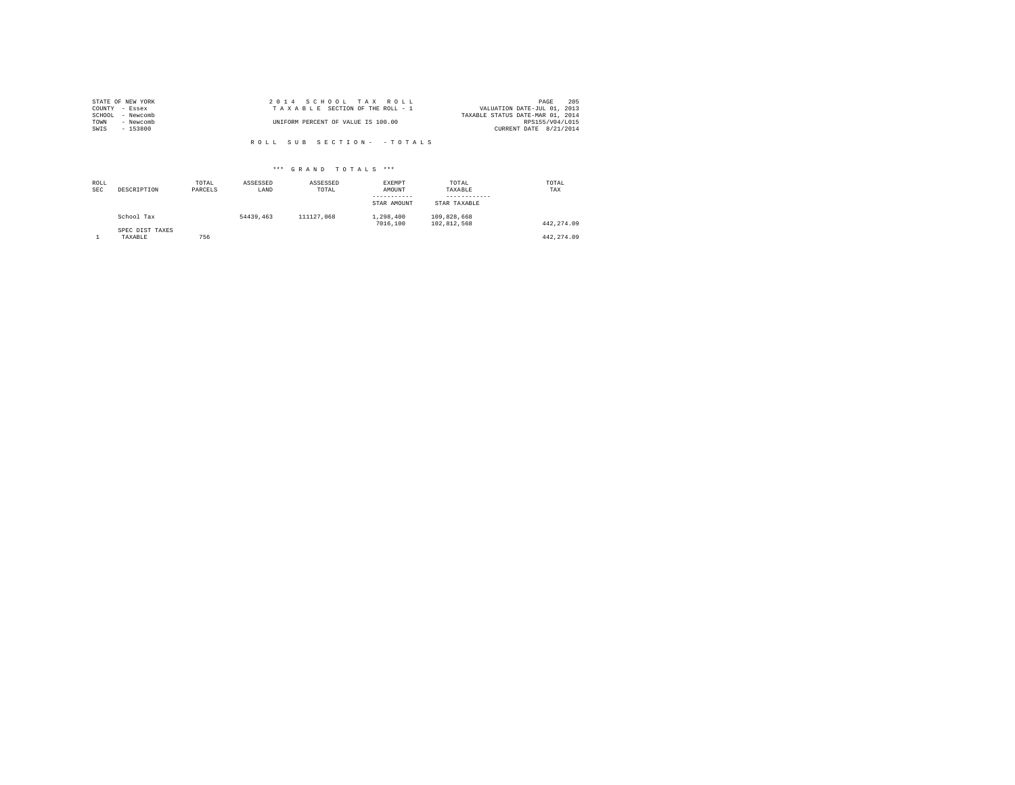|        | STATE OF NEW YORK | 2014 SCHOOL TAX ROLL               |                                  | PAGE            | 205 |
|--------|-------------------|------------------------------------|----------------------------------|-----------------|-----|
|        | COUNTY - Essex    | TAXABLE SECTION OF THE ROLL - 1    | VALUATION DATE-JUL 01, 2013      |                 |     |
| SCHOOL | - Newcomb         |                                    | TAXABLE STATUS DATE-MAR 01, 2014 |                 |     |
| TOWN   | - Newcomb         | UNIFORM PERCENT OF VALUE IS 100.00 |                                  | RPS155/V04/L015 |     |
| SWIS   | $-153800$         |                                    | CURRENT DATE 8/21/2014           |                 |     |
|        |                   |                                    |                                  |                 |     |

R O L L S U B S E C T I O N - - T O T A L S

## \*\*\* G R A N D T O T A L S \*\*\*

| ROLL<br><b>SEC</b> | DESCRIPTION                | TOTAL<br>PARCELS | ASSESSED<br>LAND | ASSESSED<br>TOTAL | EXEMPT<br>AMOUNT<br>STAR AMOUNT | TOTAL<br>TAXABLE<br>STAR TAXABLE | TOTAL<br>TAX |
|--------------------|----------------------------|------------------|------------------|-------------------|---------------------------------|----------------------------------|--------------|
|                    | School Tax                 |                  | 54439,463        | 111127.068        | 1,298,400<br>7016,100           | 109.828.668<br>102.812.568       | 442.274.09   |
|                    | SPEC DIST TAXES<br>TAXABLE | 756              |                  |                   |                                 |                                  | 442.274.09   |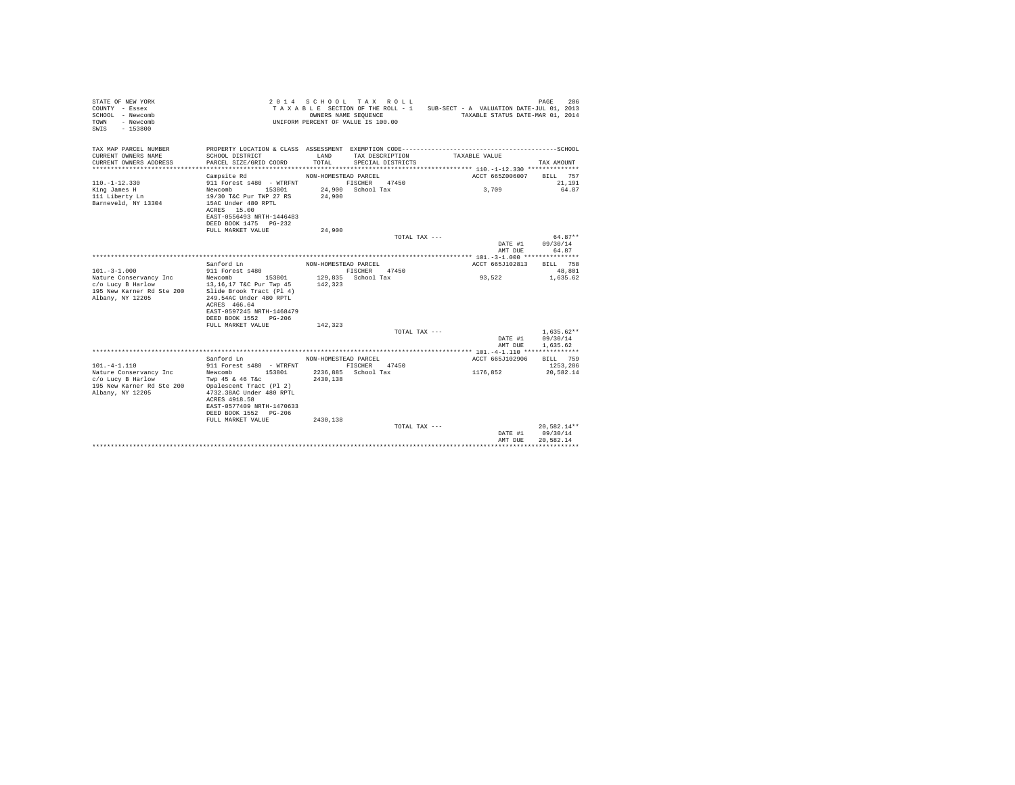| TAX MAP PARCEL NUMBER<br>CURRENT OWNERS NAME<br>SCHOOL DISTRICT<br>LAND<br>TAX DESCRIPTION<br>TAXABLE VALUE<br>CURRENT OWNERS ADDRESS<br>PARCEL SIZE/GRID COORD<br>TOTAL<br>SPECIAL DISTRICTS<br>TAX AMOUNT<br>ACCT 665Z006007<br>Campsite Rd<br>NON-HOMESTEAD PARCEL<br>BILL 757<br>$110. -1 - 12.330$<br>911 Forest s480 - WTRFNT<br>FISCHER 47450<br>21,191<br>King James H<br>Newcomb<br>153801<br>24.900 School Tax<br>3,709<br>64.87<br>111 Liberty Ln<br>19/30 T&C Pur TWP 27 RS<br>24,900<br>Barneveld, NY 13304<br>15AC Under 480 RPTL<br>ACRES 15.00<br>EAST-0556493 NRTH-1446483<br>DEED BOOK 1475 PG-232<br>24,900<br>FULL MARKET VALUE<br>$64.87**$<br>TOTAL TAX ---<br>DATE #1<br>09/30/14<br>64.87<br>AMT DUE<br>Sanford Ln<br>NON-HOMESTEAD PARCEL<br>ACCT 665J102813<br>BILL 758<br>$101. - 3 - 1.000$<br>911 Forest s480<br>FISCHER<br>47450<br>48,801<br>129,835 School Tax<br>93,522<br>Nature Conservancy Inc<br>Newcomb 153801<br>1,635.62<br>c/o Lucy B Harlow<br>13,16,17 T&C Pur Twp 45<br>142,323<br>195 New Karner Rd Ste 200<br>Slide Brook Tract (Pl 4)<br>Albany, NY 12205<br>249.54AC Under 480 RPTL<br>ACRES 466.64<br>EAST-0597245 NRTH-1468479<br>DEED BOOK 1552 PG-206<br>FULL MARKET VALUE<br>142,323<br>$1,635.62**$<br>TOTAL TAX ---<br>DATE #1<br>09/30/14<br>1.635.62<br>AMT DUE | 206<br>TAXABLE SECTION OF THE ROLL - 1 SUB-SECT - A VALUATION DATE-JUL 01, 2013<br>TAXABLE STATUS DATE-MAR 01, 2014 |
|--------------------------------------------------------------------------------------------------------------------------------------------------------------------------------------------------------------------------------------------------------------------------------------------------------------------------------------------------------------------------------------------------------------------------------------------------------------------------------------------------------------------------------------------------------------------------------------------------------------------------------------------------------------------------------------------------------------------------------------------------------------------------------------------------------------------------------------------------------------------------------------------------------------------------------------------------------------------------------------------------------------------------------------------------------------------------------------------------------------------------------------------------------------------------------------------------------------------------------------------------------------------------------------------------------------------------|---------------------------------------------------------------------------------------------------------------------|
|                                                                                                                                                                                                                                                                                                                                                                                                                                                                                                                                                                                                                                                                                                                                                                                                                                                                                                                                                                                                                                                                                                                                                                                                                                                                                                                          |                                                                                                                     |
|                                                                                                                                                                                                                                                                                                                                                                                                                                                                                                                                                                                                                                                                                                                                                                                                                                                                                                                                                                                                                                                                                                                                                                                                                                                                                                                          |                                                                                                                     |
|                                                                                                                                                                                                                                                                                                                                                                                                                                                                                                                                                                                                                                                                                                                                                                                                                                                                                                                                                                                                                                                                                                                                                                                                                                                                                                                          |                                                                                                                     |
|                                                                                                                                                                                                                                                                                                                                                                                                                                                                                                                                                                                                                                                                                                                                                                                                                                                                                                                                                                                                                                                                                                                                                                                                                                                                                                                          |                                                                                                                     |
|                                                                                                                                                                                                                                                                                                                                                                                                                                                                                                                                                                                                                                                                                                                                                                                                                                                                                                                                                                                                                                                                                                                                                                                                                                                                                                                          |                                                                                                                     |
|                                                                                                                                                                                                                                                                                                                                                                                                                                                                                                                                                                                                                                                                                                                                                                                                                                                                                                                                                                                                                                                                                                                                                                                                                                                                                                                          |                                                                                                                     |
|                                                                                                                                                                                                                                                                                                                                                                                                                                                                                                                                                                                                                                                                                                                                                                                                                                                                                                                                                                                                                                                                                                                                                                                                                                                                                                                          |                                                                                                                     |
|                                                                                                                                                                                                                                                                                                                                                                                                                                                                                                                                                                                                                                                                                                                                                                                                                                                                                                                                                                                                                                                                                                                                                                                                                                                                                                                          |                                                                                                                     |
|                                                                                                                                                                                                                                                                                                                                                                                                                                                                                                                                                                                                                                                                                                                                                                                                                                                                                                                                                                                                                                                                                                                                                                                                                                                                                                                          |                                                                                                                     |
|                                                                                                                                                                                                                                                                                                                                                                                                                                                                                                                                                                                                                                                                                                                                                                                                                                                                                                                                                                                                                                                                                                                                                                                                                                                                                                                          |                                                                                                                     |
|                                                                                                                                                                                                                                                                                                                                                                                                                                                                                                                                                                                                                                                                                                                                                                                                                                                                                                                                                                                                                                                                                                                                                                                                                                                                                                                          |                                                                                                                     |
|                                                                                                                                                                                                                                                                                                                                                                                                                                                                                                                                                                                                                                                                                                                                                                                                                                                                                                                                                                                                                                                                                                                                                                                                                                                                                                                          |                                                                                                                     |
|                                                                                                                                                                                                                                                                                                                                                                                                                                                                                                                                                                                                                                                                                                                                                                                                                                                                                                                                                                                                                                                                                                                                                                                                                                                                                                                          |                                                                                                                     |
|                                                                                                                                                                                                                                                                                                                                                                                                                                                                                                                                                                                                                                                                                                                                                                                                                                                                                                                                                                                                                                                                                                                                                                                                                                                                                                                          |                                                                                                                     |
|                                                                                                                                                                                                                                                                                                                                                                                                                                                                                                                                                                                                                                                                                                                                                                                                                                                                                                                                                                                                                                                                                                                                                                                                                                                                                                                          |                                                                                                                     |
|                                                                                                                                                                                                                                                                                                                                                                                                                                                                                                                                                                                                                                                                                                                                                                                                                                                                                                                                                                                                                                                                                                                                                                                                                                                                                                                          |                                                                                                                     |
|                                                                                                                                                                                                                                                                                                                                                                                                                                                                                                                                                                                                                                                                                                                                                                                                                                                                                                                                                                                                                                                                                                                                                                                                                                                                                                                          |                                                                                                                     |
| ACCT 665J102906<br>Sanford Ln<br>BILL 759<br>NON-HOMESTEAD PARCEL<br>$101. -4 - 1.110$<br>911 Forest s480 - WTRFNT<br>FISCHER 47450<br>1253.286                                                                                                                                                                                                                                                                                                                                                                                                                                                                                                                                                                                                                                                                                                                                                                                                                                                                                                                                                                                                                                                                                                                                                                          |                                                                                                                     |
| 2236.885 School Tax<br>Nature Conservancy Inc<br>Newcomb 153801<br>1176,852<br>20,582.14<br>c/o Lucy B Harlow<br>Twp 45 & 46 T&c<br>2430.138<br>195 New Karner Rd Ste 200<br>Opalescent Tract (Pl 2)<br>Albany, NY 12205<br>4732.38AC Under 480 RPTL<br>ACRES 4918.58<br>EAST-0577409 NRTH-1470633                                                                                                                                                                                                                                                                                                                                                                                                                                                                                                                                                                                                                                                                                                                                                                                                                                                                                                                                                                                                                       |                                                                                                                     |
| DEED BOOK 1552 PG-206                                                                                                                                                                                                                                                                                                                                                                                                                                                                                                                                                                                                                                                                                                                                                                                                                                                                                                                                                                                                                                                                                                                                                                                                                                                                                                    |                                                                                                                     |
| FULL MARKET VALUE<br>2430.138                                                                                                                                                                                                                                                                                                                                                                                                                                                                                                                                                                                                                                                                                                                                                                                                                                                                                                                                                                                                                                                                                                                                                                                                                                                                                            |                                                                                                                     |
| 20,582.14**<br>TOTAL TAX ---<br>09/30/14<br>DATE #1<br>AMT DUE<br>20.582.14                                                                                                                                                                                                                                                                                                                                                                                                                                                                                                                                                                                                                                                                                                                                                                                                                                                                                                                                                                                                                                                                                                                                                                                                                                              |                                                                                                                     |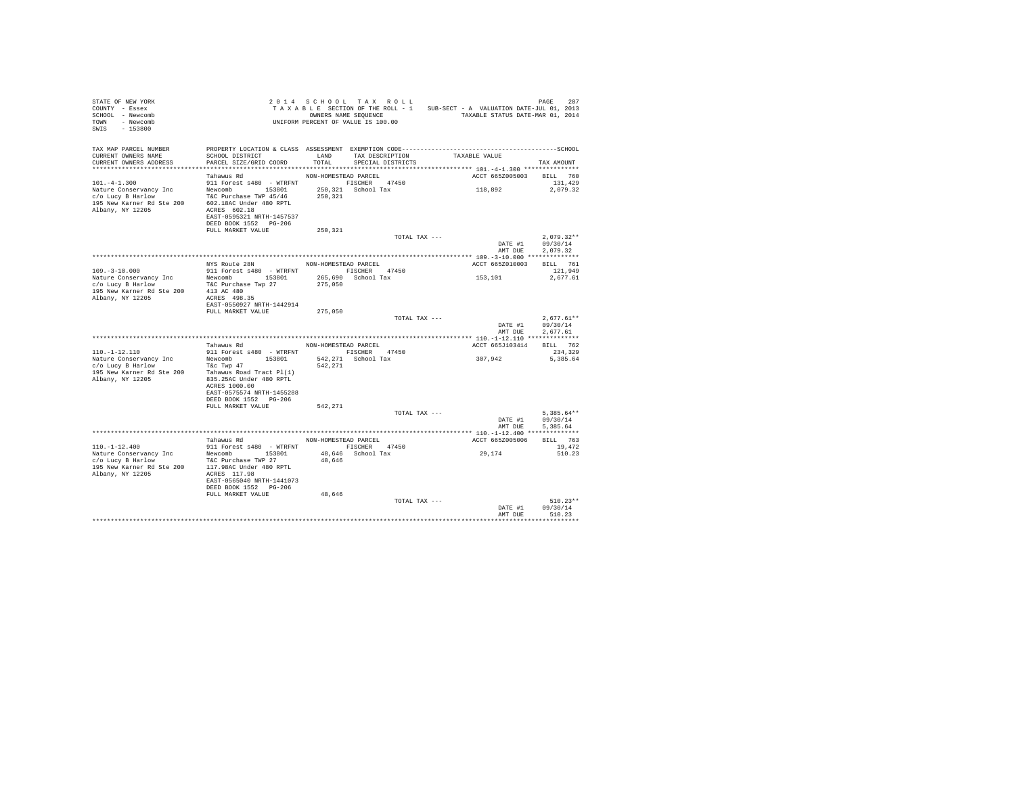| STATE OF NEW YORK<br>COUNTY - Essex<br>SCHOOL - Newcomb<br>TOWN - Newcomb<br>SWIS - 153800                                                                                                                                                                                                                                                                                                                                                                                  | 2 0 1 4 S C H O L TAX K O L L<br>TAX A B L E SECTION OF THE ROLL - 1 SUB-SECT - A VALUATION DATE-JUL 01, 2013<br>UNIFORM PERCENT OF VALUE IS 100.00<br>UNIFORM PERCENT OF VALUE IS 100.00 |                      |                      |               |                                     |                                          |
|-----------------------------------------------------------------------------------------------------------------------------------------------------------------------------------------------------------------------------------------------------------------------------------------------------------------------------------------------------------------------------------------------------------------------------------------------------------------------------|-------------------------------------------------------------------------------------------------------------------------------------------------------------------------------------------|----------------------|----------------------|---------------|-------------------------------------|------------------------------------------|
| TAX MAP PARCEL NUMBER<br>CURRENT OWNERS NAME<br>CURRENT OWNERS ADDRESS                                                                                                                                                                                                                                                                                                                                                                                                      | SCHOOL DISTRICT<br>PARCEL SIZE/GRID COORD TOTAL SPECIAL DISTRICTS                                                                                                                         |                      | LAND TAX DESCRIPTION |               | TAXABLE VALUE                       | TAX AMOUNT                               |
| $101. -4 - 1.300$<br>$\begin{tabular}{l c c c c c c c c} \multicolumn{1}{c}{\textbf{Nature Conclimer}} & \multicolumn{1}{c}{\textbf{NewComb}} & \multicolumn{1}{c}{\textbf{18301}} & \multicolumn{1}{c}{\textbf{250,321}} & \multicolumn{1}{c}{\textbf{SICHER}} & \multicolumn{1}{c}{\textbf{47450}} \\ \multicolumn{1}{c}{\textbf{C/o Luy B HarL'ourm} & \multicolumn{1}{c}{\textbf{New Kamer}} & \multicolumn{1}{c}{\textbf{New Comb}} & \multicolumn{1}{c}{\textbf{1830$ | Tahawus Rd<br>NON-HOMESTEAD PARCEL<br>911 Forest s480 - WTRFNT FISCHER 47450<br>EAST-0595321 NRTH-1457537<br>DEED BOOK 1552 PG-206<br>FULL MARKET VALUE                                   | 250,321              |                      |               | ACCT 665Z005003 BILL 760<br>118,892 | 131,429<br>2,079.32                      |
|                                                                                                                                                                                                                                                                                                                                                                                                                                                                             |                                                                                                                                                                                           |                      |                      | TOTAL TAX --- | DATE #1 09/30/14<br>AMT DUE         | $2.079.32**$<br>2.079.32                 |
| $109. - 3 - 10.000$                                                                                                                                                                                                                                                                                                                                                                                                                                                         | NYS Route 28N NON-HOMESTEAD PARCEL<br>911 Forest s480 - WTRFNT FISCHER 47450<br>EAST-0550927 NRTH-1442914                                                                                 |                      |                      |               | ACCT 665Z010003 BILL 761<br>153,101 | 121,949<br>2,677.61                      |
|                                                                                                                                                                                                                                                                                                                                                                                                                                                                             | FULL MARKET VALUE 275,050                                                                                                                                                                 |                      |                      | TOTAL TAX --- | DATE #1 09/30/14                    | $2,677.61**$<br>AMT DUE 2.677.61         |
|                                                                                                                                                                                                                                                                                                                                                                                                                                                                             |                                                                                                                                                                                           |                      |                      |               |                                     |                                          |
|                                                                                                                                                                                                                                                                                                                                                                                                                                                                             | Tahawus Rd                                                                                                                                                                                | NON-HOMESTEAD PARCEL |                      |               | ACCT 665J103414 BILL 762            |                                          |
| $110. -1 - 12.110$                                                                                                                                                                                                                                                                                                                                                                                                                                                          | 911 Forest s480 - WTRFNT FISCHER 47450<br>ACRES 1000.00<br>EAST-0575574 NRTH-1455288<br>DEED BOOK 1552    PG-206                                                                          | 542.271              | 542,271 School Tax   |               | 307,942                             | 234,329<br>5,385.64                      |
|                                                                                                                                                                                                                                                                                                                                                                                                                                                                             | FULL MARKET VALUE                                                                                                                                                                         | 542,271              |                      | TOTAL TAX --- | DATE #1 09/30/14<br>AMT DUE         | $5.385.64**$<br>5.385.64                 |
|                                                                                                                                                                                                                                                                                                                                                                                                                                                                             |                                                                                                                                                                                           |                      |                      |               |                                     |                                          |
| $110. -1 - 12.400$<br>110.1-12.400 911 Forest a480 - With The Nature Conservancy Inc Newcomb 153801<br>C/O Lucy B Harlow TaC Purchase TWP 27<br>Albay Xarner Rd Ste 200 117.980 Under 480 RPTL<br>Albany, NY 12205 200 117.980 UNITED                                                                                                                                                                                                                                       | Tahawus Rd MON-HOMESTEAD PARCEL<br>911 Forest s480 - WTRFNT FISCHER 47450<br>EAST-0565040 NRTH-1441073<br>DEED BOOK 1552    PG-206                                                        | 48,646               | 48,646 School Tax    |               | ACCT 665Z005006 BILL 763<br>29,174  | 19,472<br>510.23                         |
|                                                                                                                                                                                                                                                                                                                                                                                                                                                                             | FULL MARKET VALUE                                                                                                                                                                         | 48,646               |                      | TOTAL TAX --- | AMT DUE                             | $510.23**$<br>DATE #1 09/30/14<br>510.23 |
|                                                                                                                                                                                                                                                                                                                                                                                                                                                                             |                                                                                                                                                                                           |                      |                      |               |                                     | ***********                              |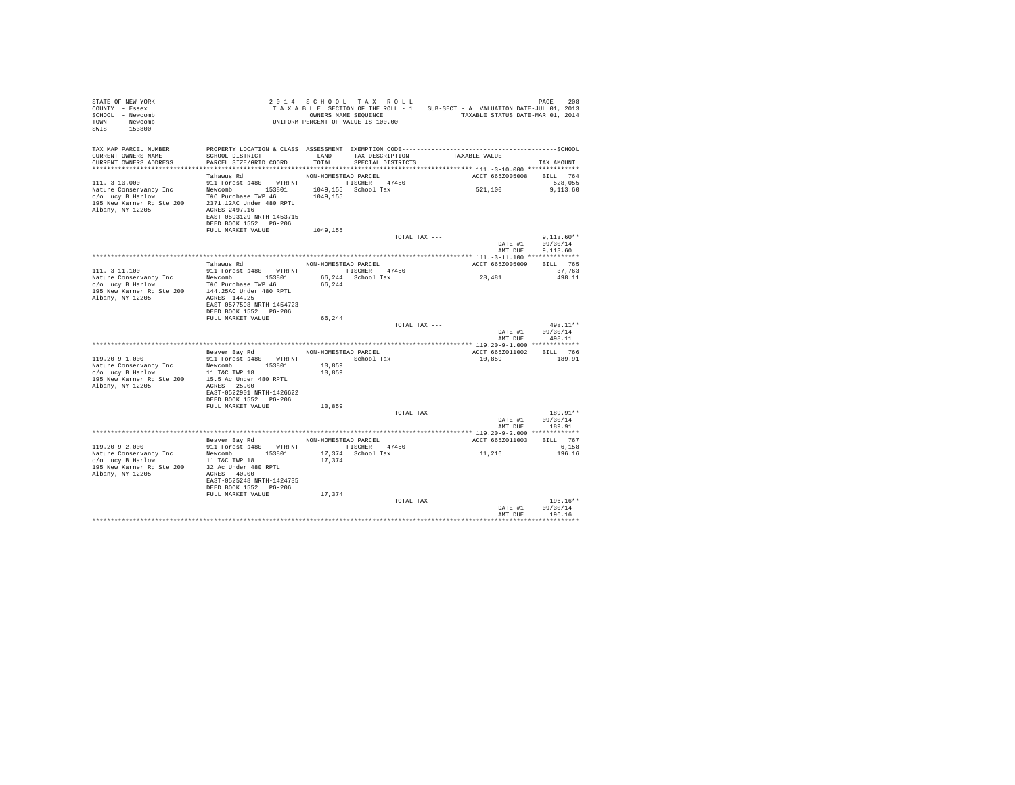| STATE OF NEW YORK<br>COUNTY - Essex<br>SCHOOL - Newcomb<br>TOWN - Newcomb<br>SWIS<br>$-153800$                      |                                                                                                                                                                                                                                                    |                      | 2014 SCHOOL TAX ROLL<br>OWNERS NAME SEOUENCE<br>UNIFORM PERCENT OF VALUE IS 100.00 | TAXABLE SECTION OF THE ROLL - 1 SUB-SECT - A VALUATION DATE-JUL 01, 2013<br>TAXABLE STATUS DATE-MAR 01, 2014 | <b>DAGE</b><br>208                   |
|---------------------------------------------------------------------------------------------------------------------|----------------------------------------------------------------------------------------------------------------------------------------------------------------------------------------------------------------------------------------------------|----------------------|------------------------------------------------------------------------------------|--------------------------------------------------------------------------------------------------------------|--------------------------------------|
| TAX MAP PARCEL NUMBER<br>CURRENT OWNERS NAME<br>CURRENT OWNERS ADDRESS                                              | SCHOOL DISTRICT TAND TAX DESCRIPTION<br>PARCEL SIZE/GRID COORD TOTAL SPECIAL DISTRICTS                                                                                                                                                             |                      |                                                                                    | TAXABLE VALUE                                                                                                | TAX AMOUNT                           |
| $111. - 3 - 10.000$<br>Nature Conservancy Inc<br>c/o Lucy B Harlow<br>195 New Karner Rd Ste 200<br>Albany, NY 12205 | Tahawus Rd<br>911 Forest s480 - WTRFNT FISCHER 47450<br>Newcomb 153801 1049,155 School Tax<br>T&C Purchase TWP 46 1049,155<br>2371.12AC Under 480 RPTL<br>ACRES 2497.16<br>EAST-0593129 NRTH-1453715<br>DEED BOOK 1552 PG-206<br>FULL MARKET VALUE | NON-HOMESTEAD PARCEL |                                                                                    | ACCT 665Z005008 BILL 764<br>521,100                                                                          | 528,055<br>9.113.60                  |
|                                                                                                                     |                                                                                                                                                                                                                                                    | 1049,155             | TOTAL TAX ---                                                                      | DATE #1<br>AMT DUE                                                                                           | $9.113.60**$<br>09/30/14<br>9.113.60 |
|                                                                                                                     |                                                                                                                                                                                                                                                    |                      |                                                                                    |                                                                                                              |                                      |
|                                                                                                                     | Tahawus Rd MON-HOMESTEAD PARCEL                                                                                                                                                                                                                    |                      |                                                                                    | ACCT 665Z005009                                                                                              | <b>BILL</b> 765                      |
| $111. - 3 - 11.100$<br>Nature Conservancy Inc Mewcomb 153801<br>c/o Lucy B Harlow T&C Purchase TWP 46               | 911 Forest s480 - WTRFNT FISCHER 47450                                                                                                                                                                                                             |                      | 66,244 School Tax                                                                  | 28,481                                                                                                       | 37,763<br>498.11                     |
| 195 New Karner Rd Ste 200 144.25AC Under 480 RPTL<br>Albany, NY 12205                                               | ACRES 144.25<br>EAST-0577598 NRTH-1454723<br>DEED BOOK 1552 PG-206                                                                                                                                                                                 | 66,244               |                                                                                    |                                                                                                              |                                      |
|                                                                                                                     | FULL MARKET VALUE                                                                                                                                                                                                                                  | 66,244               |                                                                                    |                                                                                                              |                                      |
|                                                                                                                     |                                                                                                                                                                                                                                                    |                      | TOTAL TAX ---                                                                      | DATE #1<br>AMT DUE                                                                                           | 498.11**<br>09/30/14<br>498.11       |
|                                                                                                                     |                                                                                                                                                                                                                                                    |                      |                                                                                    |                                                                                                              |                                      |
|                                                                                                                     | Beaver Bay Rd NON-HOMESTEAD PARCEL                                                                                                                                                                                                                 |                      |                                                                                    | ACCT 665Z011002 BILL 766                                                                                     |                                      |
| 119.20-9-1.000                                                                                                      | 911 Forest s480 - WTRFNT School Tax                                                                                                                                                                                                                |                      |                                                                                    | 10,859                                                                                                       | 189.91                               |
| Nature Conservancy Inc<br>c/o Lucy B Harlow<br>195 New Karner Rd Ste 200<br>Albany, NY 12205                        | Newcomb 153801<br>11 T&C TWP 18<br>15.5 Ac Under 480 RPTL<br>ACRES 25.00                                                                                                                                                                           | 10,859<br>10,859     |                                                                                    |                                                                                                              |                                      |
|                                                                                                                     | EAST-0522901 NRTH-1426622<br>DEED BOOK 1552 PG-206                                                                                                                                                                                                 |                      |                                                                                    |                                                                                                              |                                      |
|                                                                                                                     | FULL MARKET VALUE                                                                                                                                                                                                                                  | 10,859               | TOTAL TAX ---                                                                      |                                                                                                              | $189.91**$                           |
|                                                                                                                     |                                                                                                                                                                                                                                                    |                      |                                                                                    | DATE #1<br>AMT DUE                                                                                           | 09/30/14<br>189.91                   |
|                                                                                                                     |                                                                                                                                                                                                                                                    |                      |                                                                                    |                                                                                                              |                                      |
|                                                                                                                     | Beaver Bay Rd NON-HOMESTEAD PARCEL                                                                                                                                                                                                                 |                      |                                                                                    | ACCT 665Z011003 BILL 767                                                                                     |                                      |
| $119.20 - 9 - 2.000$<br>Nature Conservancy Inc<br>c/o Lucy B Harlow<br>195 New Karner Rd Ste 200                    | 911 Forest s480 - WTRFNT<br>Newcomb 153801<br>11 T&C TWP 18<br>32 Ac Under 480 RPTL                                                                                                                                                                | 17.374               | FISCHER 47450<br>17,374 School Tax                                                 | $\ensuremath{\mathsf{11}}$ , $\ensuremath{\mathsf{216}}$                                                     | 6.158<br>196.16                      |
| Albany, NY 12205                                                                                                    | ACRES 40.00<br>EAST-0525248 NRTH-1424735<br>DEED BOOK 1552 PG-206                                                                                                                                                                                  |                      |                                                                                    |                                                                                                              |                                      |
|                                                                                                                     | FULL MARKET VALUE                                                                                                                                                                                                                                  | 17,374               | TOTAL TAX ---                                                                      | DATE #1                                                                                                      | $196.16**$<br>09/30/14               |
|                                                                                                                     |                                                                                                                                                                                                                                                    |                      |                                                                                    | AMT DUE                                                                                                      | 196.16                               |
|                                                                                                                     |                                                                                                                                                                                                                                                    |                      |                                                                                    |                                                                                                              | **********                           |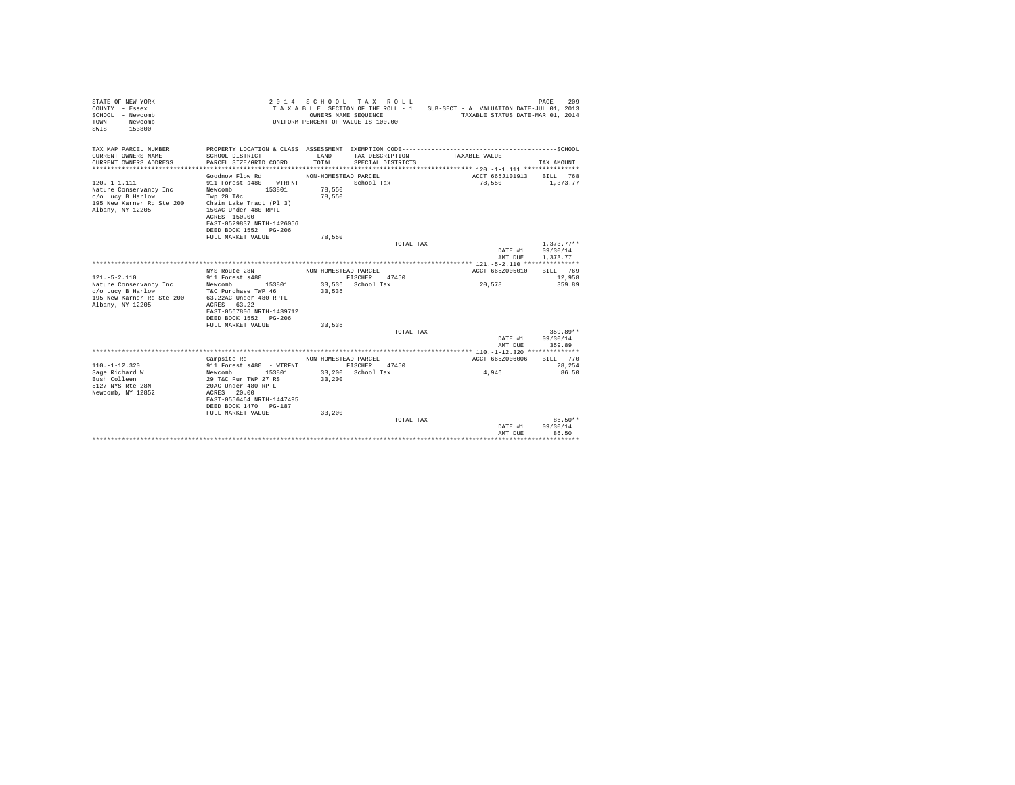| STATE OF NEW YORK<br>COUNTY - Essex<br>SCHOOL - Newcomb<br>- Newcomb<br>TOWN<br>SWIS<br>$-153800$                 |                                                                                                                                                   | OWNERS NAME SEQUENCE                     | 2014 SCHOOL TAX ROLL<br>UNIFORM PERCENT OF VALUE IS 100.00 | TAXABLE SECTION OF THE ROLL - 1 SUB-SECT - A VALUATION DATE-JUL 01, 2013<br>TAXABLE STATUS DATE-MAR 01, 2014 | 209<br>PAGE          |
|-------------------------------------------------------------------------------------------------------------------|---------------------------------------------------------------------------------------------------------------------------------------------------|------------------------------------------|------------------------------------------------------------|--------------------------------------------------------------------------------------------------------------|----------------------|
| TAX MAP PARCEL NUMBER<br>CURRENT OWNERS NAME<br>CURRENT OWNERS ADDRESS                                            | SCHOOL DISTRICT<br>PARCEL SIZE/GRID COORD                                                                                                         | LAND<br>TOTAL                            | SPECIAL DISTRICTS                                          | TAX DESCRIPTION TAXABLE VALUE                                                                                | TAX AMOUNT           |
|                                                                                                                   |                                                                                                                                                   |                                          |                                                            |                                                                                                              |                      |
| $120. -1 - 1.111$<br>Nature Conservancy Inc<br>c/o Lucy B Harlow<br>195 New Karner Rd Ste 200<br>Albany, NY 12205 | Goodnow Flow Rd<br>911 Forest s480 - WTRFNT<br>Newcomb<br>153801<br>Twp 20 T&c<br>Chain Lake Tract (Pl 3)<br>150AC Under 480 RPTL<br>ACRES 150.00 | NON-HOMESTEAD PARCEL<br>78,550<br>78,550 | School Tax                                                 | ACCT 665J101913<br>78,550                                                                                    | BILL 768<br>1,373.77 |
|                                                                                                                   | EAST-0529837 NRTH-1426056                                                                                                                         |                                          |                                                            |                                                                                                              |                      |
|                                                                                                                   | DEED BOOK 1552 PG-206                                                                                                                             |                                          |                                                            |                                                                                                              |                      |
|                                                                                                                   | FULL MARKET VALUE                                                                                                                                 | 78,550                                   |                                                            | TOTAL TAX ---                                                                                                | $1,373.77**$         |
|                                                                                                                   |                                                                                                                                                   |                                          |                                                            | DATE #1                                                                                                      | 09/30/14             |
|                                                                                                                   |                                                                                                                                                   |                                          |                                                            | AMT DUE                                                                                                      | 1.373.77             |
|                                                                                                                   |                                                                                                                                                   |                                          |                                                            |                                                                                                              |                      |
|                                                                                                                   | NYS Route 28N                                                                                                                                     | NON-HOMESTEAD PARCEL                     |                                                            | ACCT 665Z005010                                                                                              | RTT.T. 769           |
| $121. - 5 - 2.110$                                                                                                | 911 Forest s480                                                                                                                                   |                                          | FISCHER 47450                                              |                                                                                                              | 12,958               |
| Nature Conservancy Inc                                                                                            | Newcomb 153801                                                                                                                                    |                                          | 33,536 School Tax                                          | 20,578                                                                                                       | 359.89               |
| c/o Lucy B Harlow                                                                                                 | T&C Purchase TWP 46                                                                                                                               | 33,536                                   |                                                            |                                                                                                              |                      |
| 195 New Karner Rd Ste 200                                                                                         | 63.22AC Under 480 RPTL                                                                                                                            |                                          |                                                            |                                                                                                              |                      |
| Albany, NY 12205                                                                                                  | ACRES 63.22                                                                                                                                       |                                          |                                                            |                                                                                                              |                      |
|                                                                                                                   | EAST-0567806 NRTH-1439712                                                                                                                         |                                          |                                                            |                                                                                                              |                      |
|                                                                                                                   | DEED BOOK 1552 PG-206                                                                                                                             |                                          |                                                            |                                                                                                              |                      |
|                                                                                                                   | FULL MARKET VALUE                                                                                                                                 | 33,536                                   |                                                            | TOTAL TAX ---                                                                                                | $359.89**$           |
|                                                                                                                   |                                                                                                                                                   |                                          |                                                            | DATE #1                                                                                                      | 09/30/14             |
|                                                                                                                   |                                                                                                                                                   |                                          |                                                            | AMT DUE                                                                                                      | 359.89               |
|                                                                                                                   |                                                                                                                                                   |                                          |                                                            |                                                                                                              |                      |
|                                                                                                                   | Campsite Rd                                                                                                                                       | NON-HOMESTEAD PARCEL                     |                                                            | ACCT 665Z006006                                                                                              | BILL 770             |
| $110. - 1 - 12.320$                                                                                               | 911 Forest s480 - WTRFNT                                                                                                                          |                                          | FISCHER 47450                                              |                                                                                                              | 28,254               |
| Sage Richard W                                                                                                    | Newcomb 153801                                                                                                                                    |                                          | 33,200 School Tax                                          | $4,946$                                                                                                      | 86.50                |
| Bush Colleen                                                                                                      | 29 T&C Pur TWP 27 RS                                                                                                                              | 33,200                                   |                                                            |                                                                                                              |                      |
| 5127 NYS Rte 28N                                                                                                  | 20AC Under 480 RPTL                                                                                                                               |                                          |                                                            |                                                                                                              |                      |
| Newcomb, NY 12852                                                                                                 | ACRES 20.00                                                                                                                                       |                                          |                                                            |                                                                                                              |                      |
|                                                                                                                   | EAST-0556464 NRTH-1447495<br>DEED BOOK 1470 PG-187                                                                                                |                                          |                                                            |                                                                                                              |                      |
|                                                                                                                   | FULL MARKET VALUE                                                                                                                                 | 33,200                                   |                                                            |                                                                                                              |                      |
|                                                                                                                   |                                                                                                                                                   |                                          |                                                            | TOTAL TAX ---                                                                                                | $86.50**$            |
|                                                                                                                   |                                                                                                                                                   |                                          |                                                            | DATE #1                                                                                                      | 09/30/14             |
|                                                                                                                   |                                                                                                                                                   |                                          |                                                            | AMT DUE                                                                                                      | 86.50                |
|                                                                                                                   |                                                                                                                                                   |                                          |                                                            |                                                                                                              |                      |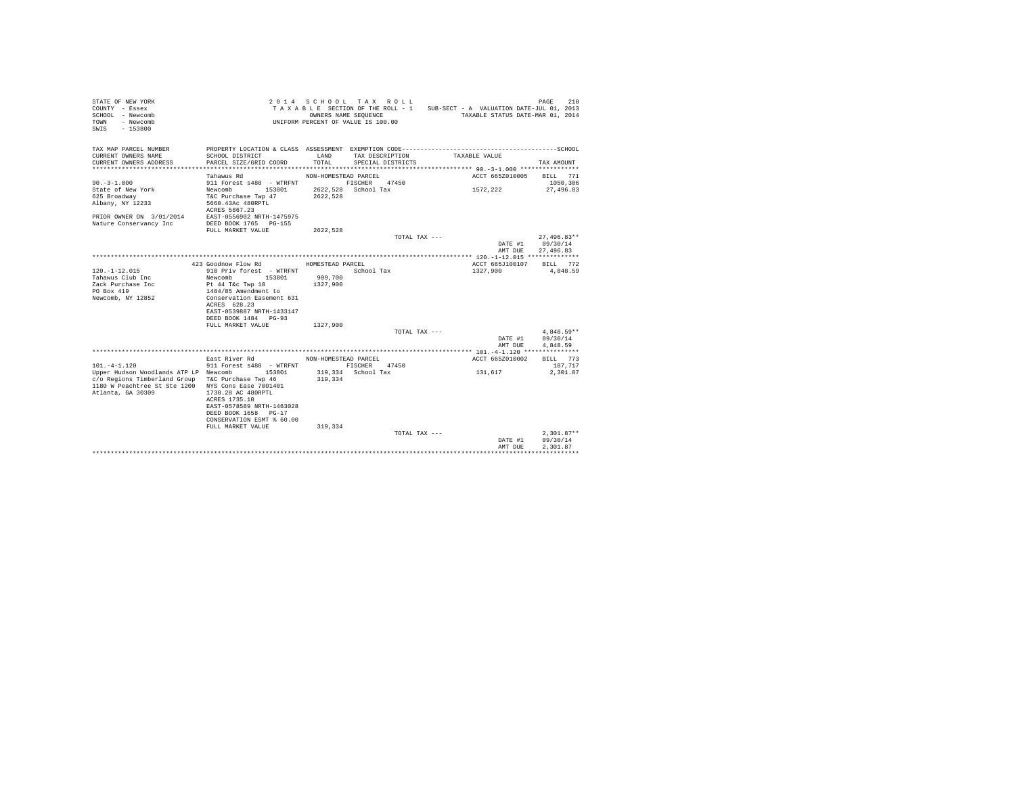| STATE OF NEW YORK<br>COUNTY - Essex<br>SCHOOL - Newcomb<br>- Newcomb<br>TOWN<br>$-153800$<br>SWTS |                                                   | 2014 SCHOOL TAX ROLL<br>UNIFORM PERCENT OF VALUE IS 100.00 | OWNERS NAME SEQUENCE |               | TAXABLE SECTION OF THE ROLL - 1 SUB-SECT - A VALUATION DATE-JUL 01, 2013<br>TAXABLE STATUS DATE-MAR 01, 2014 |                  | 210<br>PAGE              |
|---------------------------------------------------------------------------------------------------|---------------------------------------------------|------------------------------------------------------------|----------------------|---------------|--------------------------------------------------------------------------------------------------------------|------------------|--------------------------|
| TAX MAP PARCEL NUMBER<br>CURRENT OWNERS NAME                                                      | SCHOOL DISTRICT                                   | LAND                                                       | TAX DESCRIPTION      |               | TAXABLE VALUE                                                                                                |                  |                          |
| CURRENT OWNERS ADDRESS                                                                            | PARCEL SIZE/GRID COORD                            | TOTAL                                                      | SPECIAL DISTRICTS    |               |                                                                                                              |                  | TAX AMOUNT               |
|                                                                                                   | Tahawus Rd                                        | NON-HOMESTEAD PARCEL                                       |                      |               |                                                                                                              | ACCT 665Z010005  | BILL 771                 |
| $90. -3 - 1.000$                                                                                  | 911 Forest s480 - WTRFNT FISCHER 47450            |                                                            |                      |               |                                                                                                              |                  | 1050,306                 |
| State of New York                                                                                 | Newcomb 153801 2622,528 School Tax                |                                                            |                      |               | 1572,222                                                                                                     |                  | 27,496.83                |
| 625 Broadway                                                                                      | T&C Purchase Twp 47 2622,528                      |                                                            |                      |               |                                                                                                              |                  |                          |
| Albany, NY 12233                                                                                  | 5660.43Ac 480RPTL                                 |                                                            |                      |               |                                                                                                              |                  |                          |
|                                                                                                   | ACRES 5867.23                                     |                                                            |                      |               |                                                                                                              |                  |                          |
| PRIOR OWNER ON 3/01/2014 EAST-0556902 NRTH-1475975                                                |                                                   |                                                            |                      |               |                                                                                                              |                  |                          |
| Nature Conservancy Inc                                                                            | DEED BOOK 1765 PG-155                             |                                                            |                      |               |                                                                                                              |                  |                          |
|                                                                                                   | FULL MARKET VALUE                                 | 2622.528                                                   |                      |               |                                                                                                              |                  |                          |
|                                                                                                   |                                                   |                                                            |                      | TOTAL TAX --- |                                                                                                              |                  | $27.496.83**$            |
|                                                                                                   |                                                   |                                                            |                      |               |                                                                                                              | DATE #1 09/30/14 |                          |
|                                                                                                   |                                                   |                                                            |                      |               |                                                                                                              | AMT DUE          | 27,496.83                |
|                                                                                                   |                                                   |                                                            |                      |               |                                                                                                              |                  |                          |
|                                                                                                   | 423 Goodnow Flow Rd MOMESTEAD PARCEL              |                                                            |                      |               |                                                                                                              |                  | ACCT 665J100107 BILL 772 |
| $120. - 1 - 12.015$                                                                               | 910 Priv forest - WTRFNT                          |                                                            | School Tax           |               | 1327,900                                                                                                     |                  | 4,848.59                 |
| Tahawus Club Inc                                                                                  | 153801<br>Newcomb                                 | 909,700                                                    |                      |               |                                                                                                              |                  |                          |
| Zack Purchase Inc                                                                                 | Pt 44 T&c Twp 18                                  | 1327,900                                                   |                      |               |                                                                                                              |                  |                          |
| PO Box 419                                                                                        | 1484/85 Amendment to<br>Conservation Easement 631 |                                                            |                      |               |                                                                                                              |                  |                          |
| Newcomb, NY 12852                                                                                 |                                                   |                                                            |                      |               |                                                                                                              |                  |                          |
|                                                                                                   | ACRES 628.23                                      |                                                            |                      |               |                                                                                                              |                  |                          |
|                                                                                                   | EAST-0539887 NRTH-1433147                         |                                                            |                      |               |                                                                                                              |                  |                          |
|                                                                                                   | DEED BOOK 1484 PG-93                              |                                                            |                      |               |                                                                                                              |                  |                          |
|                                                                                                   | FULL MARKET VALUE                                 | 1327,900                                                   |                      |               |                                                                                                              |                  | $4.848.59**$             |
|                                                                                                   |                                                   |                                                            |                      | TOTAL TAX --- |                                                                                                              | DATE #1          | 09/30/14                 |
|                                                                                                   |                                                   |                                                            |                      |               |                                                                                                              |                  | 4.848.59                 |
|                                                                                                   |                                                   |                                                            |                      |               |                                                                                                              | AMT DUE          |                          |
|                                                                                                   | East River Rd                                     | NON-HOMESTEAD PARCEL                                       |                      |               |                                                                                                              | ACCT 665Z010002  | BILL 773                 |
| $101. -4 - 1.120$                                                                                 | 911 Forest s480 - WTRFNT                          | FISCHER 47450                                              |                      |               |                                                                                                              |                  | 187.717                  |
| Upper Hudson Woodlands ATP LP Newcomb 153801                                                      |                                                   |                                                            | 319,334 School Tax   |               | 131,617                                                                                                      |                  | 2,301.87                 |
| c/o Regions Timberland Group T&C Purchase Twp 46                                                  |                                                   | 319,334                                                    |                      |               |                                                                                                              |                  |                          |
| 1180 W Peachtree St Ste 1200 NYS Cons Ease 7001401                                                |                                                   |                                                            |                      |               |                                                                                                              |                  |                          |
| Atlanta, GA 30309                                                                                 | 1730.28 AC 480RPTL                                |                                                            |                      |               |                                                                                                              |                  |                          |
|                                                                                                   | ACRES 1735.10                                     |                                                            |                      |               |                                                                                                              |                  |                          |
|                                                                                                   | EAST-0578589 NRTH-1463028                         |                                                            |                      |               |                                                                                                              |                  |                          |
|                                                                                                   | DEED BOOK 1658 PG-17                              |                                                            |                      |               |                                                                                                              |                  |                          |
|                                                                                                   | CONSERVATION ESMT % 60.00                         |                                                            |                      |               |                                                                                                              |                  |                          |
|                                                                                                   | FULL MARKET VALUE                                 | 319,334                                                    |                      |               |                                                                                                              |                  |                          |
|                                                                                                   |                                                   |                                                            |                      | TOTAL TAX --- |                                                                                                              |                  | $2.301.87**$             |
|                                                                                                   |                                                   |                                                            |                      |               |                                                                                                              | DATE #1          | 09/30/14                 |
|                                                                                                   |                                                   |                                                            |                      |               |                                                                                                              | AMT DUE          | 2.301.87                 |
|                                                                                                   |                                                   |                                                            |                      |               |                                                                                                              |                  |                          |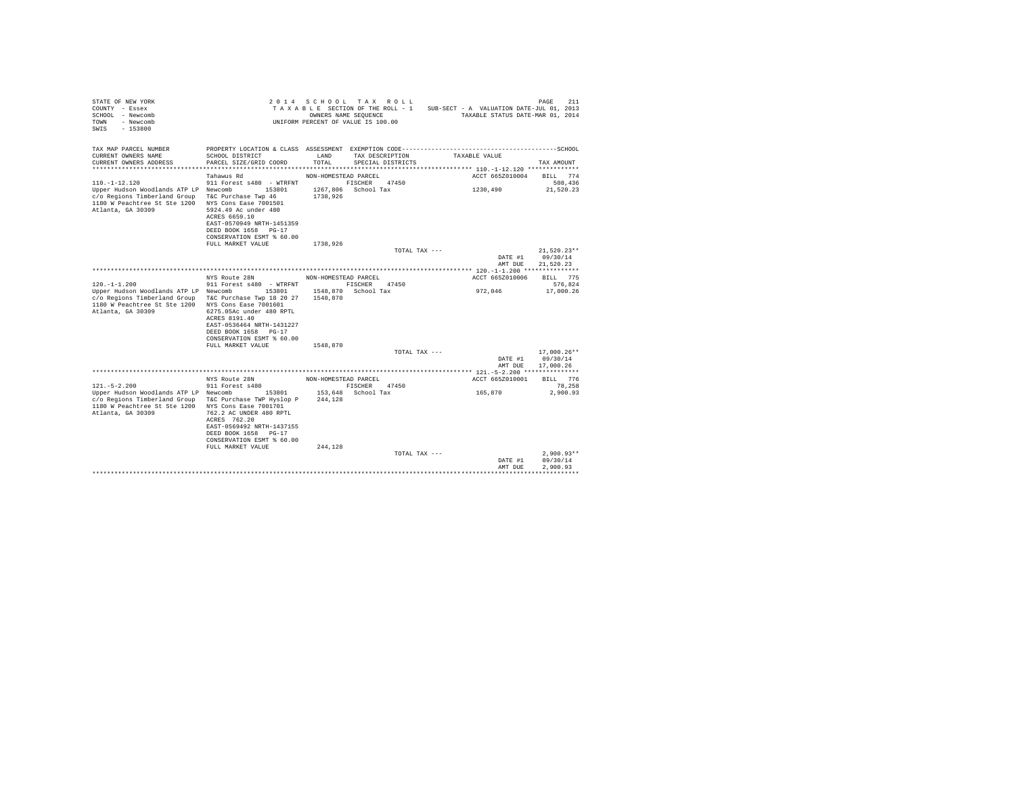| STATE OF NEW YORK<br>COUNTY - Essex<br>SCHOOL - Newcomb<br>TOWN<br>- Newcomb<br>$-153800$<br>SWIS                                                                     |                                                                                                                                                                                                                     | OWNERS NAME SEQUENCE | 2014 SCHOOL TAX ROLL<br>TAXABLE SECTION OF THE ROLL - 1<br>UNIFORM PERCENT OF VALUE IS 100.00 | SUB-SECT - A VALUATION DATE-JUL 01, 2013<br>TAXABLE STATUS DATE-MAR 01, 2014 | 211<br>PAGE                            |
|-----------------------------------------------------------------------------------------------------------------------------------------------------------------------|---------------------------------------------------------------------------------------------------------------------------------------------------------------------------------------------------------------------|----------------------|-----------------------------------------------------------------------------------------------|------------------------------------------------------------------------------|----------------------------------------|
| TAX MAP PARCEL NUMBER<br>CURRENT OWNERS NAME<br>CURRENT OWNERS ADDRESS                                                                                                | SCHOOL DISTRICT<br>PARCEL SIZE/GRID COORD                                                                                                                                                                           | LAND<br>TOTAL        | TAX DESCRIPTION<br>SPECIAL DISTRICTS                                                          | TAXABLE VALUE                                                                | TAX AMOUNT                             |
|                                                                                                                                                                       | Tahawus Rd                                                                                                                                                                                                          | NON-HOMESTEAD PARCEL |                                                                                               | ACCT 665Z010004                                                              | BILL 774                               |
| $110. - 1 - 12.120$                                                                                                                                                   | 911 Forest s480 - WTRFNT                                                                                                                                                                                            |                      | 47450<br>FISCHER                                                                              |                                                                              | 508,436                                |
| Upper Hudson Woodlands ATP LP Newcomb<br>c/o Regions Timberland Group<br>1180 W Peachtree St Ste 1200<br>Atlanta, GA 30309                                            | 153801<br>T&C Purchase Twp 46<br>NYS Cons Ease 7001501<br>5924.49 Ac under 480<br>ACRES 6659.10<br>EAST-0570949 NRTH-1451359<br>DEED BOOK 1658 PG-17<br>CONSERVATION ESMT % 60.00                                   | 1267,806<br>1738.926 | School Tax                                                                                    | 1230,490                                                                     | 21,520.23                              |
|                                                                                                                                                                       | FULL MARKET VALUE                                                                                                                                                                                                   | 1738.926             |                                                                                               |                                                                              |                                        |
|                                                                                                                                                                       |                                                                                                                                                                                                                     |                      | TOTAL TAX ---                                                                                 | DATE #1<br>AMT DUE                                                           | $21,520.23**$<br>09/30/14<br>21.520.23 |
|                                                                                                                                                                       |                                                                                                                                                                                                                     |                      |                                                                                               |                                                                              |                                        |
|                                                                                                                                                                       | NYS Route 28N                                                                                                                                                                                                       | NON-HOMESTEAD PARCEL |                                                                                               | ACCT 665Z010006                                                              | BILL 775                               |
| $120. -1 - 1.200$<br>Upper Hudson Woodlands ATP LP Newcomb<br>c/o Regions Timberland Group<br>1180 W Peachtree St Ste 1200 NYS Cons Ease 7001601<br>Atlanta, GA 30309 | 911 Forest s480 - WTRFNT<br>153801<br>T&C Purchase Twp 18 20 27<br>6275.05Ac under 480 RPTL<br>ACRES 8191.40<br>EAST-0536464 NRTH-1431227<br>DEED BOOK 1658 PG-17<br>CONSERVATION ESMT % 60.00<br>FULL MARKET VALUE | 1548,870<br>1548,870 | FISCHER<br>47450<br>1548,870 School Tax                                                       | 972,046                                                                      | 576.824<br>17,000.26                   |
|                                                                                                                                                                       |                                                                                                                                                                                                                     |                      | TOTAL TAX ---                                                                                 |                                                                              | 17,000.26**                            |
|                                                                                                                                                                       |                                                                                                                                                                                                                     |                      |                                                                                               | DATE #1<br>AMT DUE                                                           | 09/30/14<br>17,000.26                  |
|                                                                                                                                                                       |                                                                                                                                                                                                                     |                      |                                                                                               |                                                                              |                                        |
|                                                                                                                                                                       | NYS Route 28N                                                                                                                                                                                                       | NON-HOMESTEAD PARCEL |                                                                                               | ACCT 665Z010001                                                              | RTLL 776                               |
| $121. - 5 - 2.200$<br>Upper Hudson Woodlands ATP LP Newcomb<br>c/o Regions Timberland Group<br>1180 W Peachtree St Ste 1200<br>Atlanta, GA 30309                      | 911 Forest s480<br>153801<br>T&C Purchase TWP Hyslop P<br>NYS Cons Ease 7001701<br>762.2 AC UNDER 480 RPTL<br>ACRES 762.20<br>EAST-0569492 NRTH-1437155<br>DEED BOOK 1658 PG-17<br>CONSERVATION ESMT % 60.00        | 244,128              | FISCHER<br>47450<br>153,648 School Tax                                                        | 165.870                                                                      | 78,258<br>2.900.93                     |
|                                                                                                                                                                       | FULL MARKET VALUE                                                                                                                                                                                                   | 244,128              | TOTAL TAX ---                                                                                 |                                                                              | $2,900.93**$                           |
|                                                                                                                                                                       |                                                                                                                                                                                                                     |                      |                                                                                               | DATE #1<br>AMT DUE                                                           | 09/30/14<br>2.900.93                   |
|                                                                                                                                                                       |                                                                                                                                                                                                                     |                      |                                                                                               |                                                                              |                                        |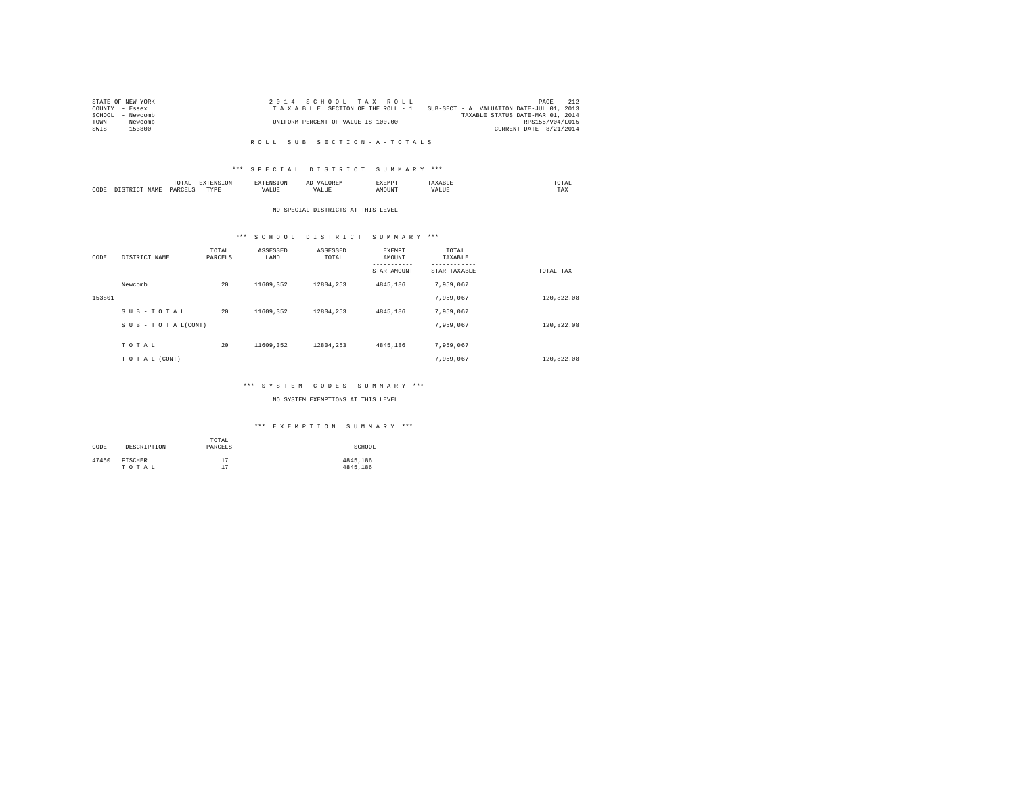| STATE OF NEW YORK   | 2014 SCHOOL TAX ROLL               | 212<br>PAGE                              |
|---------------------|------------------------------------|------------------------------------------|
| COUNTY - Essex      | TAXABLE SECTION OF THE ROLL - 1    | SUB-SECT - A VALUATION DATE-JUL 01, 2013 |
| SCHOOL<br>- Newcomb |                                    | TAXABLE STATUS DATE-MAR 01, 2014         |
| TOWN<br>- Newcomb   | UNIFORM PERCENT OF VALUE IS 100.00 | RPS155/V04/L015                          |
| $-153800$<br>SWIS   |                                    | CURRENT DATE 8/21/2014                   |

#### R O L L S U B S E C T I O N - A - T O T A L S

### \*\*\* S P E C I A L D I S T R I C T S U M M A R Y \*\*\*

|      |   | ۰д.<br>. |           | ≖ | NU.<br>. | mome<br>the contract of the contract of the contract of |
|------|---|----------|-----------|---|----------|---------------------------------------------------------|
| CODE | . | PARC     | TVDI<br>. | . | MOUNT    | $- - -$<br>1 A.A                                        |

#### NO SPECIAL DISTRICTS AT THIS LEVEL

# \*\*\* S C H O O L D I S T R I C T S U M M A R Y \*\*\*

| CODE   | DISTRICT NAME   | TOTAL<br>PARCELS | ASSESSED<br>LAND | ASSESSED<br>TOTAL | EXEMPT<br>AMOUNT<br>---------<br>STAR AMOUNT | TOTAL<br>TAXABLE<br>---------<br>STAR TAXABLE | TOTAL TAX  |
|--------|-----------------|------------------|------------------|-------------------|----------------------------------------------|-----------------------------------------------|------------|
|        | Newcomb         | 20               | 11609.352        | 12804.253         | 4845,186                                     | 7,959,067                                     |            |
| 153801 |                 |                  |                  |                   |                                              | 7.959.067                                     | 120.822.08 |
|        | SUB-TOTAL       | 20               | 11609.352        | 12804.253         | 4845,186                                     | 7.959.067                                     |            |
|        | SUB-TOTAL(CONT) |                  |                  |                   |                                              | 7,959,067                                     | 120,822.08 |
|        | TOTAL           | 20               | 11609.352        | 12804.253         | 4845,186                                     | 7.959.067                                     |            |
|        | TO TAL (CONT)   |                  |                  |                   |                                              | 7,959,067                                     | 120.822.08 |

### \*\*\* S Y S T E M C O D E S S U M M A R Y \*\*\*

### NO SYSTEM EXEMPTIONS AT THIS LEVEL

### \*\*\* E X E M P T I O N S U M M A R Y \*\*\*

| CODE  | DESCRIPTION | TOTAL<br>PARCELS | SCHOOL   |
|-------|-------------|------------------|----------|
| 47450 | FISCHER     | 17               | 4845,186 |
|       | TOTAL       | 17               | 4845.186 |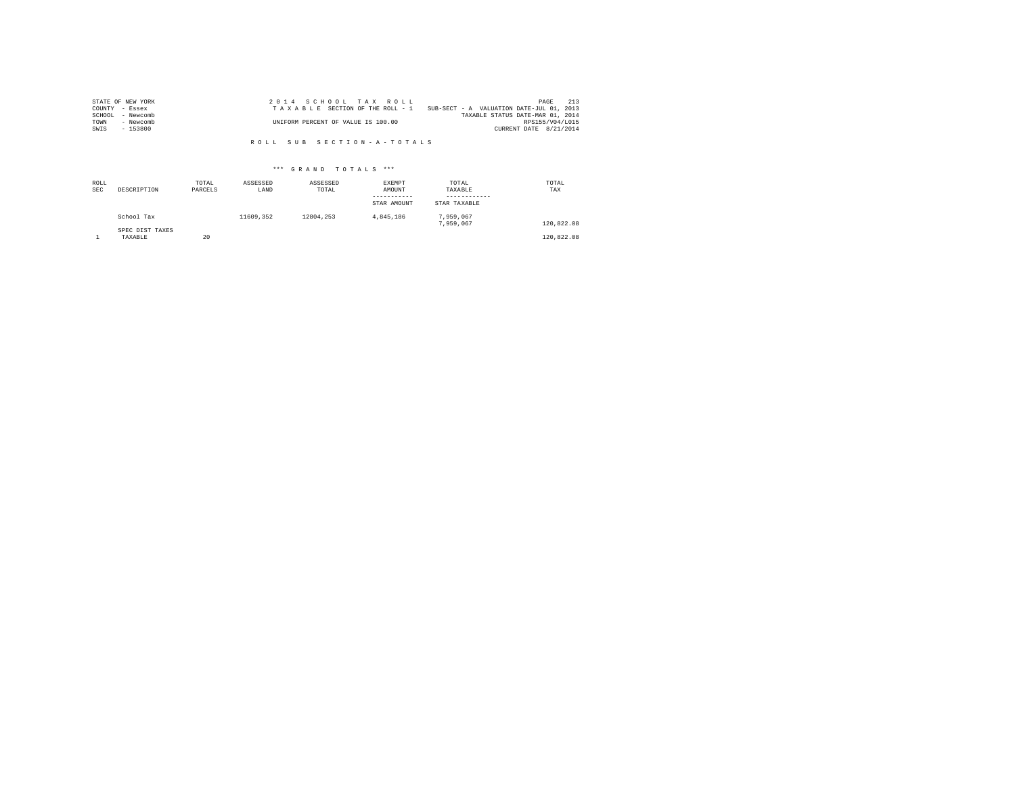| STATE OF NEW YORK   | 2014 SCHOOL TAX ROLL                                                        | PAGE            | 2.13 |
|---------------------|-----------------------------------------------------------------------------|-----------------|------|
| COUNTY - Essex      | SUB-SECT - A VALUATION DATE-JUL 01, 2013<br>TAXABLE SECTION OF THE ROLL - 1 |                 |      |
| SCHOOL<br>- Newcomb | TAXABLE STATUS DATE-MAR 01, 2014                                            |                 |      |
| TOWN<br>- Newcomb   | UNIFORM PERCENT OF VALUE IS 100.00                                          | RPS155/V04/L015 |      |
| $-153800$<br>SWIS   | CURRENT DATE 8/21/2014                                                      |                 |      |

R O L L S U B S E C T I O N - A - T O T A L S

### \*\*\* G R A N D T O T A L S \*\*\*

| ROLL<br><b>SEC</b> | DESCRIPTION                | TOTAL<br>PARCELS | ASSESSED<br>LAND | ASSESSED<br>TOTAL | EXEMPT<br>AMOUNT<br>-----------<br>STAR AMOUNT | TOTAL<br>TAXABLE<br>------------<br>STAR TAXABLE | TOTAL<br>TAX |
|--------------------|----------------------------|------------------|------------------|-------------------|------------------------------------------------|--------------------------------------------------|--------------|
|                    | School Tax                 |                  | 11609.352        | 12804.253         | 4.845.186                                      | 7.959.067<br>7.959.067                           | 120,822.08   |
|                    | SPEC DIST TAXES<br>TAXABLE | 20               |                  |                   |                                                |                                                  | 120,822.08   |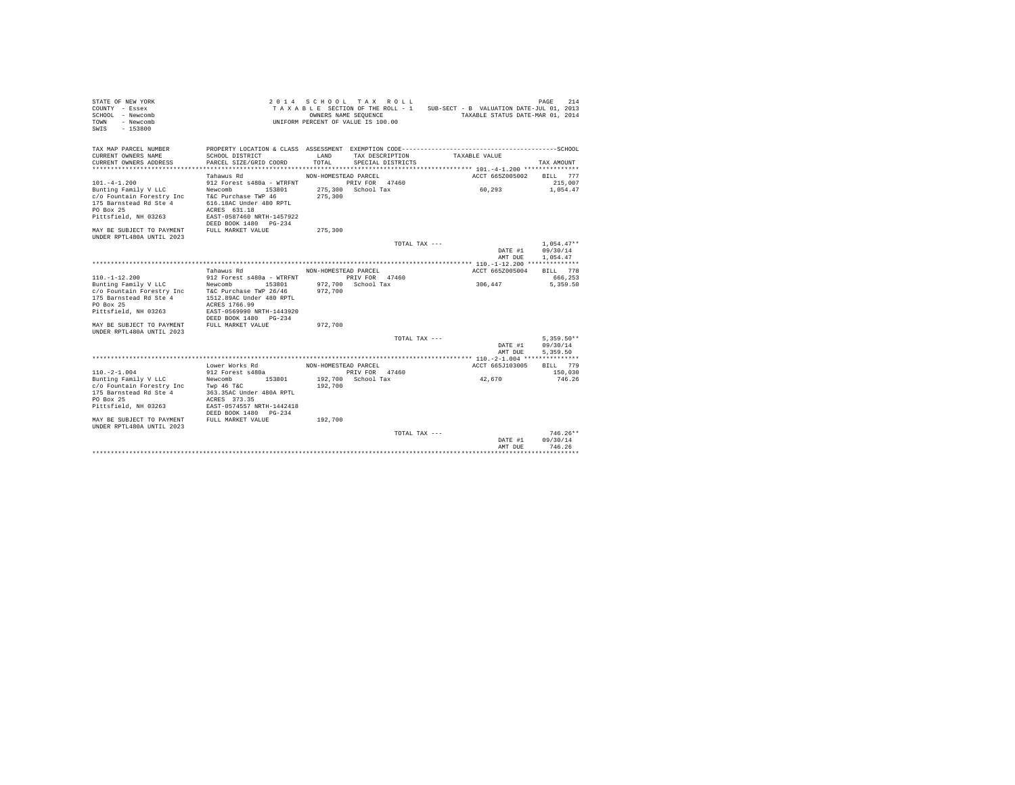| STATE OF NEW YORK<br>COUNTY - Essex<br>SCHOOL - Newcomb<br>- Newcomb<br>TOWN<br>$-153800$<br>SWIS |                                           | 2014 SCHOOL TAX ROLL<br>TAXABLE SECTION OF THE ROLL - 1<br>UNIFORM PERCENT OF VALUE IS 100.00 | OWNERS NAME SEQUENCE                 |                 | SUB-SECT - B VALUATION DATE-JUL 01, 2013<br>TAXABLE STATUS DATE-MAR 01, 2014                 | 214<br>PAGE         |  |
|---------------------------------------------------------------------------------------------------|-------------------------------------------|-----------------------------------------------------------------------------------------------|--------------------------------------|-----------------|----------------------------------------------------------------------------------------------|---------------------|--|
| TAX MAP PARCEL NUMBER                                                                             |                                           |                                                                                               |                                      |                 | PROPERTY LOCATION & CLASS ASSESSMENT EXEMPTION CODE-----------------------------------SCHOOL |                     |  |
| CURRENT OWNERS NAME<br>CURRENT OWNERS ADDRESS                                                     | SCHOOL DISTRICT<br>PARCEL SIZE/GRID COORD | LAND<br>TOTAL                                                                                 | TAX DESCRIPTION<br>SPECIAL DISTRICTS |                 | TAXABLE VALUE                                                                                | TAX AMOUNT          |  |
|                                                                                                   | Tahawus Rd                                |                                                                                               |                                      |                 | ACCT 665Z005002                                                                              |                     |  |
| $101. -4 - 1.200$                                                                                 | 912 Forest s480a - WTRFNT                 | NON-HOMESTEAD PARCEL                                                                          | PRIV FOR 47460                       |                 |                                                                                              | BILL 777<br>215,007 |  |
|                                                                                                   | 153801                                    |                                                                                               | 275,300 School Tax                   |                 | 60.293                                                                                       | 1,054.47            |  |
| Bunting Family V LLC<br>c/o Fountain Forestry Inc                                                 | Newcomb<br>T&C Purchase TWP 46            | 275,300                                                                                       |                                      |                 |                                                                                              |                     |  |
| 175 Barnstead Rd Ste 4                                                                            | 616.18AC Under 480 RPTL                   |                                                                                               |                                      |                 |                                                                                              |                     |  |
| PO Box 25                                                                                         | ACRES 631.18                              |                                                                                               |                                      |                 |                                                                                              |                     |  |
| Pittsfield, NH 03263                                                                              | EAST-0587460 NRTH-1457922                 |                                                                                               |                                      |                 |                                                                                              |                     |  |
|                                                                                                   | DEED BOOK 1480 PG-234                     |                                                                                               |                                      |                 |                                                                                              |                     |  |
| MAY BE SUBJECT TO PAYMENT                                                                         | FULL MARKET VALUE                         | 275,300                                                                                       |                                      |                 |                                                                                              |                     |  |
| UNDER RPTL480A UNTIL 2023                                                                         |                                           |                                                                                               |                                      |                 |                                                                                              |                     |  |
|                                                                                                   |                                           |                                                                                               |                                      | TOTAL TAX $---$ |                                                                                              | $1.054.47**$        |  |
|                                                                                                   |                                           |                                                                                               |                                      |                 | DATE #1                                                                                      | 09/30/14            |  |
|                                                                                                   |                                           |                                                                                               |                                      |                 | AMT DUE                                                                                      | 1.054.47            |  |
|                                                                                                   |                                           |                                                                                               |                                      |                 |                                                                                              |                     |  |
|                                                                                                   | Tahawus Rd                                | NON-HOMESTEAD PARCEL                                                                          |                                      |                 | ACCT 665Z005004                                                                              | BILL 778            |  |
| $110 - 1 - 12.200$                                                                                | 912 Forest s480a - WTRFNT                 |                                                                                               | PRIV FOR 47460                       |                 |                                                                                              | 666.253             |  |
| Bunting Family V LLC                                                                              | 153801<br>Newcomb                         |                                                                                               | 972,700 School Tax                   |                 | 306,447                                                                                      | 5,359.50            |  |
| c/o Fountain Forestry Inc T&C Purchase TWP 26/46                                                  |                                           | 972,700                                                                                       |                                      |                 |                                                                                              |                     |  |
| 175 Barnstead Rd Ste 4                                                                            | 1512.89AC Under 480 RPTL                  |                                                                                               |                                      |                 |                                                                                              |                     |  |
| PO Box 25                                                                                         | ACRES 1766.99                             |                                                                                               |                                      |                 |                                                                                              |                     |  |
| Pittsfield, NH 03263                                                                              | EAST-0569990 NRTH-1443920                 |                                                                                               |                                      |                 |                                                                                              |                     |  |
|                                                                                                   | DEED BOOK 1480 PG-234                     |                                                                                               |                                      |                 |                                                                                              |                     |  |
| MAY BE SUBJECT TO PAYMENT                                                                         | FULL MARKET VALUE                         | 972,700                                                                                       |                                      |                 |                                                                                              |                     |  |
| UNDER RPTL480A UNTIL 2023                                                                         |                                           |                                                                                               |                                      |                 |                                                                                              | $5.359.50**$        |  |
|                                                                                                   |                                           |                                                                                               |                                      | TOTAL TAX ---   | DATE #1                                                                                      | 09/30/14            |  |
|                                                                                                   |                                           |                                                                                               |                                      |                 | AMT DUE                                                                                      | 5.359.50            |  |
|                                                                                                   |                                           |                                                                                               |                                      |                 |                                                                                              |                     |  |
|                                                                                                   | Lower Works Rd                            | NON-HOMESTEAD PARCEL                                                                          |                                      |                 | ACCT 665J103005                                                                              | BILL 779            |  |
| $110. -2 - 1.004$                                                                                 | 912 Forest s480a                          |                                                                                               | PRIV FOR 47460                       |                 |                                                                                              | 150,030             |  |
| Bunting Family V LLC                                                                              | Newcomb 153801                            |                                                                                               | 192.700 School Tax                   |                 | 42.670                                                                                       | 746.26              |  |
| c/o Fountain Forestry Inc                                                                         | Twp 46 T&C                                | 192,700                                                                                       |                                      |                 |                                                                                              |                     |  |
| 175 Barnstead Rd Ste 4                                                                            | 363.35AC Under 480A RPTL                  |                                                                                               |                                      |                 |                                                                                              |                     |  |
| PO Box 25                                                                                         | ACRES 373.35                              |                                                                                               |                                      |                 |                                                                                              |                     |  |
| Pittsfield, NH 03263                                                                              | EAST-0574557 NRTH-1442418                 |                                                                                               |                                      |                 |                                                                                              |                     |  |
|                                                                                                   | DEED BOOK 1480 PG-234                     |                                                                                               |                                      |                 |                                                                                              |                     |  |
| MAY BE SUBJECT TO PAYMENT                                                                         | FULL MARKET VALUE                         | 192,700                                                                                       |                                      |                 |                                                                                              |                     |  |
| UNDER RPTL480A UNTIL 2023                                                                         |                                           |                                                                                               |                                      |                 |                                                                                              |                     |  |
|                                                                                                   |                                           |                                                                                               |                                      | TOTAL TAX $---$ |                                                                                              | $746.26**$          |  |
|                                                                                                   |                                           |                                                                                               |                                      |                 | DATE #1                                                                                      | 09/30/14            |  |
|                                                                                                   |                                           |                                                                                               |                                      |                 | AMT DUE                                                                                      | 746.26              |  |
|                                                                                                   |                                           |                                                                                               |                                      |                 |                                                                                              | .                   |  |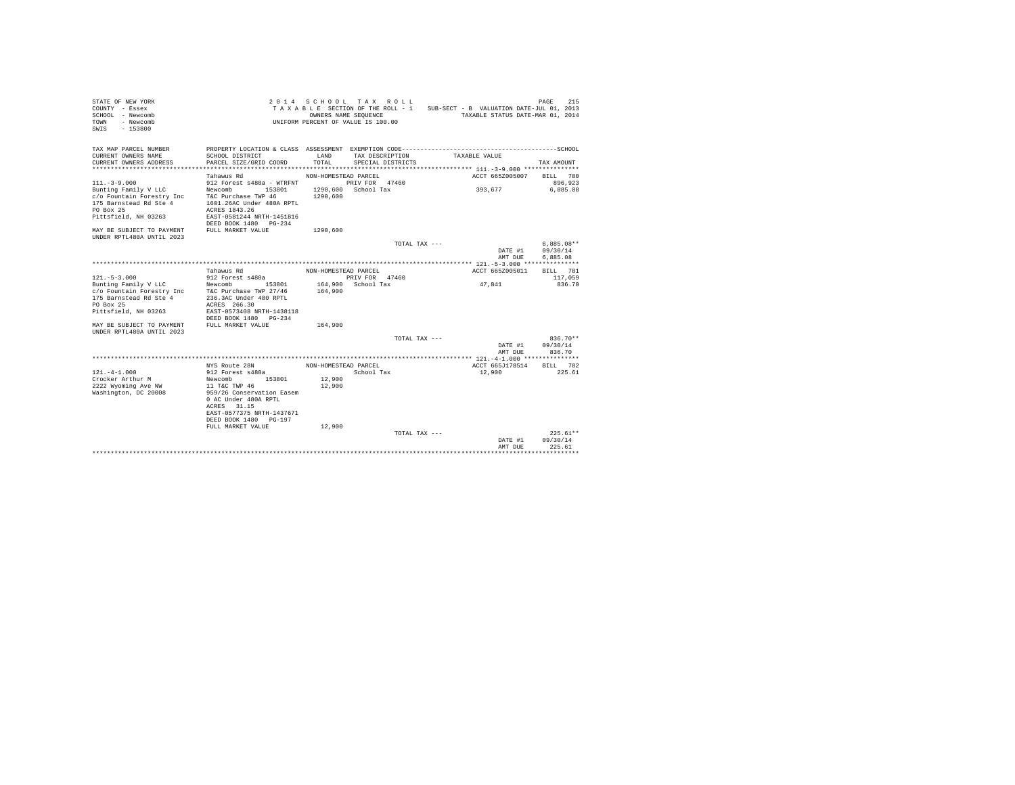| STATE OF NEW YORK<br>$CONTINTY - Resex$<br>SCHOOL - Newcomb<br>- Newcomb<br>TOWN<br>SWTS<br>$-153800$                                                                                                            |                                                                                                                                                                                                             | OWNERS NAME SEQUENCE                               | 2014 SCHOOL TAX ROLL<br>TAXABLE SECTION OF THE ROLL - 1<br>UNIFORM PERCENT OF VALUE IS 100.00 |               | SUB-SECT - B VALUATION DATE-JUL 01, 2013<br>TAXABLE STATUS DATE-MAR 01, 2014 | 215<br>PAGE                                   |
|------------------------------------------------------------------------------------------------------------------------------------------------------------------------------------------------------------------|-------------------------------------------------------------------------------------------------------------------------------------------------------------------------------------------------------------|----------------------------------------------------|-----------------------------------------------------------------------------------------------|---------------|------------------------------------------------------------------------------|-----------------------------------------------|
| TAX MAP PARCEL NUMBER<br>CURRENT OWNERS NAME<br>CURRENT OWNERS ADDRESS<br>$111. - 3 - 9.000$<br>Bunting Family V LLC<br>c/o Fountain Forestry Inc<br>175 Barnstead Rd Ste 4<br>PO Box 25<br>Pittsfield, NH 03263 | SCHOOL DISTRICT<br>PARCEL SIZE/GRID COORD<br>Tahawus Rd<br>912 Forest s480a - WTRFNT<br>153801<br>Newcomb<br>T&C Purchase TWP 46<br>1601.26AC Under 480A RPTL<br>ACRES 1843.26<br>EAST-0581244 NRTH-1451816 | LAND<br>TOTAL.<br>NON-HOMESTEAD PARCEL<br>1290,600 | TAX DESCRIPTION<br>SPECIAL DISTRICTS<br>PRIV FOR 47460<br>1290.600 School Tax                 |               | TAXABLE VALUE<br>ACCT 665Z005007<br>393,677                                  | TAX AMOUNT<br>BILL 780<br>896,923<br>6.885.08 |
| MAY BE SUBJECT TO PAYMENT                                                                                                                                                                                        | DEED BOOK 1480 PG-234<br>FULL MARKET VALUE                                                                                                                                                                  | 1290,600                                           |                                                                                               |               |                                                                              |                                               |
| UNDER RPTL480A UNTIL 2023                                                                                                                                                                                        |                                                                                                                                                                                                             |                                                    |                                                                                               | TOTAL TAX --- |                                                                              | $6.885.08**$                                  |
|                                                                                                                                                                                                                  |                                                                                                                                                                                                             |                                                    |                                                                                               |               | DATE #1<br>AMT DUE                                                           | 09/30/14<br>6.885.08                          |
|                                                                                                                                                                                                                  |                                                                                                                                                                                                             |                                                    |                                                                                               |               |                                                                              |                                               |
|                                                                                                                                                                                                                  | Tahawus Rd                                                                                                                                                                                                  | NON-HOMESTEAD PARCEL                               |                                                                                               |               | ACCT 665Z005011                                                              | BILL 781                                      |
| $121. - 5 - 3.000$                                                                                                                                                                                               | 912 Forest s480a                                                                                                                                                                                            |                                                    | PRIV FOR 47460                                                                                |               |                                                                              | 117,059                                       |
| Bunting Family V LLC                                                                                                                                                                                             | 153801<br>Newcomb                                                                                                                                                                                           | 164,900                                            | School Tax                                                                                    |               | 47.841                                                                       | 836.70                                        |
| c/o Fountain Forestry Inc                                                                                                                                                                                        | T&C Purchase TWP 27/46                                                                                                                                                                                      | 164,900                                            |                                                                                               |               |                                                                              |                                               |
| 175 Barnstead Rd Ste 4                                                                                                                                                                                           | 236.3AC Under 480 RPTL                                                                                                                                                                                      |                                                    |                                                                                               |               |                                                                              |                                               |
| PO Box 25                                                                                                                                                                                                        | ACRES 266.30                                                                                                                                                                                                |                                                    |                                                                                               |               |                                                                              |                                               |
| Pittsfield, NH 03263                                                                                                                                                                                             | EAST-0573408 NRTH-1438118<br>DEED BOOK 1480 PG-234                                                                                                                                                          |                                                    |                                                                                               |               |                                                                              |                                               |
| MAY BE SUBJECT TO PAYMENT<br>UNDER RPTL480A UNTIL 2023                                                                                                                                                           | FULL MARKET VALUE                                                                                                                                                                                           | 164,900                                            |                                                                                               |               |                                                                              |                                               |
|                                                                                                                                                                                                                  |                                                                                                                                                                                                             |                                                    |                                                                                               | TOTAL TAX --- |                                                                              | $836.70**$                                    |
|                                                                                                                                                                                                                  |                                                                                                                                                                                                             |                                                    |                                                                                               |               | DATE #1                                                                      | 09/30/14                                      |
|                                                                                                                                                                                                                  |                                                                                                                                                                                                             |                                                    |                                                                                               |               | AMT DUE                                                                      | 836.70                                        |
|                                                                                                                                                                                                                  |                                                                                                                                                                                                             |                                                    |                                                                                               |               | ************* 121.-4-1.000 ***************                                   |                                               |
|                                                                                                                                                                                                                  | NYS Route 28N                                                                                                                                                                                               | NON-HOMESTEAD PARCEL                               |                                                                                               |               | ACCT 665J178514                                                              | 782<br><b>BILL</b>                            |
| $121 - 4 - 1.000$                                                                                                                                                                                                | 912 Forest s480a                                                                                                                                                                                            |                                                    | School Tax                                                                                    |               | 12,900                                                                       | 225.61                                        |
| Crocker Arthur M                                                                                                                                                                                                 | 153801<br>Newcomb                                                                                                                                                                                           | 12,900                                             |                                                                                               |               |                                                                              |                                               |
| 2222 Wyoming Ave NW                                                                                                                                                                                              | 11 T&C TWP 46                                                                                                                                                                                               | 12,900                                             |                                                                                               |               |                                                                              |                                               |
| Washington, DC 20008                                                                                                                                                                                             | 959/26 Conservation Easem<br>0 AC Under 480A RPTL<br>ACRES 31.15<br>EAST-0577375 NRTH-1437671<br>DEED BOOK 1480 PG-197                                                                                      |                                                    |                                                                                               |               |                                                                              |                                               |
|                                                                                                                                                                                                                  | FULL MARKET VALUE                                                                                                                                                                                           | 12,900                                             |                                                                                               |               |                                                                              |                                               |
|                                                                                                                                                                                                                  |                                                                                                                                                                                                             |                                                    |                                                                                               | TOTAL TAX --- | DATE #1<br>AMT DUE                                                           | $225.61**$<br>09/30/14<br>225.61              |
|                                                                                                                                                                                                                  | *********************************                                                                                                                                                                           |                                                    |                                                                                               |               |                                                                              | *********                                     |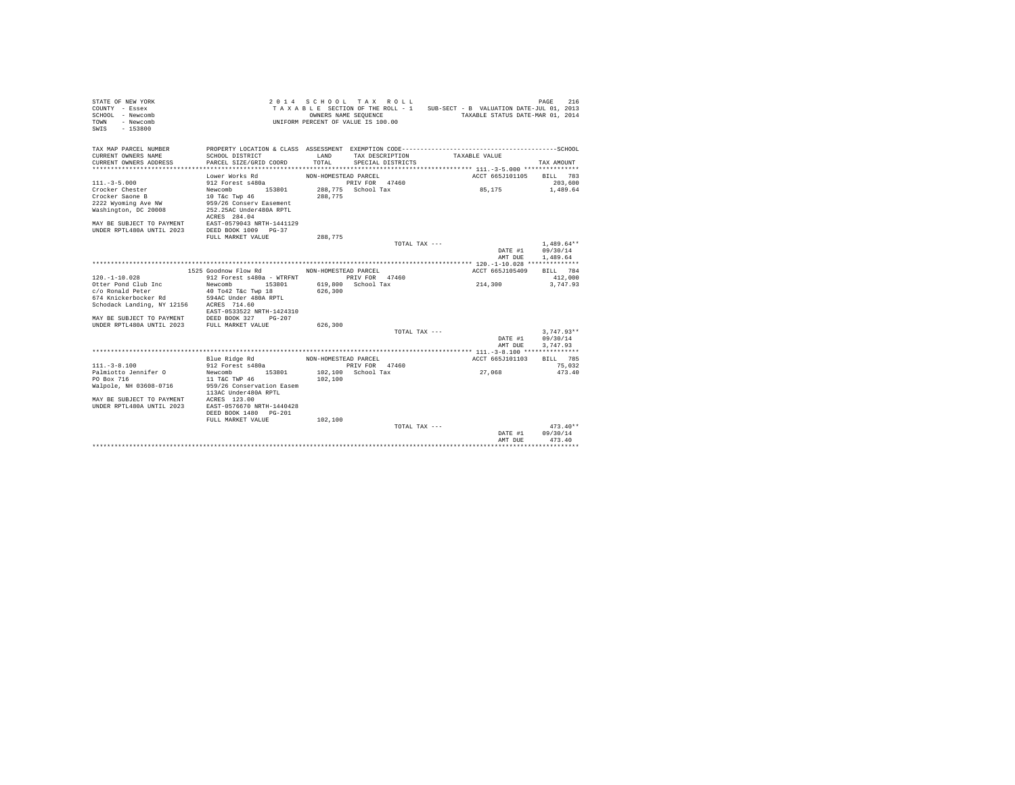| STATE OF NEW YORK<br>COUNTY - Essex<br>SCHOOL - Newcomb<br>TOWN - Newcomb<br>$SWTS = 153800$  |                                                    |                      | 2014 SCHOOL TAX ROLL<br>OWNERS NAME SEQUENCE<br>UNIFORM PERCENT OF VALUE IS 100.00 | TAXABLE SECTION OF THE ROLL - 1 SUB-SECT - B VALUATION DATE-JUL 01, 2013<br>TAXABLE STATUS DATE-MAR 01, 2014 | 216<br>PAGE              |
|-----------------------------------------------------------------------------------------------|----------------------------------------------------|----------------------|------------------------------------------------------------------------------------|--------------------------------------------------------------------------------------------------------------|--------------------------|
| TAX MAP PARCEL NUMBER                                                                         |                                                    |                      |                                                                                    | PROPERTY LOCATION & CLASS ASSESSMENT EXEMPTION CODE-----------------------------------SCHOOL                 |                          |
| CURRENT OWNERS NAME                                                                           | SCHOOL DISTRICT                                    | LAND                 | TAX DESCRIPTION                                                                    | TAXABLE VALUE                                                                                                |                          |
| CURRENT OWNERS ADDRESS                                                                        | PARCEL SIZE/GRID COORD                             | TOTAL                | SPECIAL DISTRICTS                                                                  |                                                                                                              | TAX AMOUNT               |
| *************************                                                                     |                                                    |                      |                                                                                    |                                                                                                              |                          |
|                                                                                               | Lower Works Rd                                     | NON-HOMESTEAD PARCEL |                                                                                    | ACCT 665J101105                                                                                              | BILL 783                 |
| $111 - 3 - 5.000$                                                                             | 912 Forest s480a                                   |                      | PRIV FOR 47460                                                                     |                                                                                                              | 203,600                  |
| Crocker Chester                                                                               | Newcomb 153801                                     |                      | 288.775 School Tax                                                                 | 85,175                                                                                                       | 1,489.64                 |
| Crocker Saone B                                                                               | 10 T&C Twp 46                                      | 288,775              |                                                                                    |                                                                                                              |                          |
| 2222 Wyoming Ave NW                                                                           | 959/26 Conserv Easement<br>252.25AC Under480A RPTL |                      |                                                                                    |                                                                                                              |                          |
| Washington, DC 20008                                                                          | ACRES 284.04                                       |                      |                                                                                    |                                                                                                              |                          |
| MAY BE SUBJECT TO PAYMENT EAST-0579043 NRTH-1441129                                           |                                                    |                      |                                                                                    |                                                                                                              |                          |
| UNDER RPTL480A UNTIL 2023                                                                     | DEED BOOK 1009 PG-37                               |                      |                                                                                    |                                                                                                              |                          |
|                                                                                               | FULL MARKET VALUE                                  | 288,775              |                                                                                    |                                                                                                              |                          |
|                                                                                               |                                                    |                      | TOTAL TAX $---$                                                                    |                                                                                                              | $1.489.64**$             |
|                                                                                               |                                                    |                      |                                                                                    | DATE #1                                                                                                      | 09/30/14                 |
|                                                                                               |                                                    |                      |                                                                                    | AMT DUE                                                                                                      | 1,489.64                 |
|                                                                                               |                                                    |                      |                                                                                    |                                                                                                              |                          |
|                                                                                               | 1525 Goodnow Flow Rd                               | NON-HOMESTEAD PARCEL |                                                                                    | ACCT 665J105409                                                                                              | BILL 784                 |
| $120. - 1 - 10.028$                                                                           | 912 Forest s480a - WTRFNT PRIV FOR 47460           |                      |                                                                                    |                                                                                                              | 412,000                  |
| Otter Pond Club Inc                                                                           | Newcomb 153801                                     |                      | 619,800 School Tax                                                                 | 214,300                                                                                                      | 3,747.93                 |
| c/o Ronald Peter                                                                              | 40 To42 T&c Twp 18                                 | 626,300              |                                                                                    |                                                                                                              |                          |
| 674 Knickerbocker Rd                                                                          | 594AC Under 480A RPTL                              |                      |                                                                                    |                                                                                                              |                          |
| Schodack Landing, NY 12156 ACRES 714.60                                                       |                                                    |                      |                                                                                    |                                                                                                              |                          |
|                                                                                               | EAST-0533522 NRTH-1424310                          |                      |                                                                                    |                                                                                                              |                          |
| MAY BE SUBJECT TO PAYMENT DEED BOOK 327 PG-207<br>UNDER RPTL480A UNTIL 2023 FULL MARKET VALUE |                                                    |                      |                                                                                    |                                                                                                              |                          |
|                                                                                               |                                                    | 626,300              |                                                                                    |                                                                                                              |                          |
|                                                                                               |                                                    |                      | TOTAL TAX ---                                                                      | DATE #1                                                                                                      | $3.747.93**$<br>09/30/14 |
|                                                                                               |                                                    |                      |                                                                                    | AMT DUE                                                                                                      | 3.747.93                 |
|                                                                                               |                                                    |                      |                                                                                    |                                                                                                              |                          |
|                                                                                               | Blue Ridge Rd                                      | NON-HOMESTEAD PARCEL |                                                                                    | ACCT 665J101103                                                                                              | <b>BTT.T.</b> 785        |
| $111. - 3 - 8.100$                                                                            | 912 Forest s480a                                   |                      | PRIV FOR 47460                                                                     |                                                                                                              | 75,032                   |
| Palmiotto Jennifer O                                                                          | Newcomb 153801                                     |                      | $102.100$ School Tax                                                               | 27,068                                                                                                       | 473.40                   |
| PO Box 716                                                                                    | 11 T&C TWP 46                                      | 102,100              |                                                                                    |                                                                                                              |                          |
| Walpole, NH 03608-0716                                                                        | 959/26 Conservation Easem                          |                      |                                                                                    |                                                                                                              |                          |
|                                                                                               | 113AC Under480A RPTL                               |                      |                                                                                    |                                                                                                              |                          |
|                                                                                               |                                                    |                      |                                                                                    |                                                                                                              |                          |
|                                                                                               |                                                    |                      |                                                                                    |                                                                                                              |                          |
|                                                                                               | DEED BOOK 1480 PG-201                              |                      |                                                                                    |                                                                                                              |                          |
|                                                                                               | FULL MARKET VALUE                                  | 102,100              |                                                                                    |                                                                                                              |                          |
|                                                                                               |                                                    |                      | TOTAL TAX $---$                                                                    |                                                                                                              | $473.40**$               |
|                                                                                               |                                                    |                      |                                                                                    | DATE #1                                                                                                      | 09/30/14                 |
|                                                                                               |                                                    |                      |                                                                                    | AMT DUE                                                                                                      | 473.40                   |
|                                                                                               |                                                    |                      |                                                                                    |                                                                                                              |                          |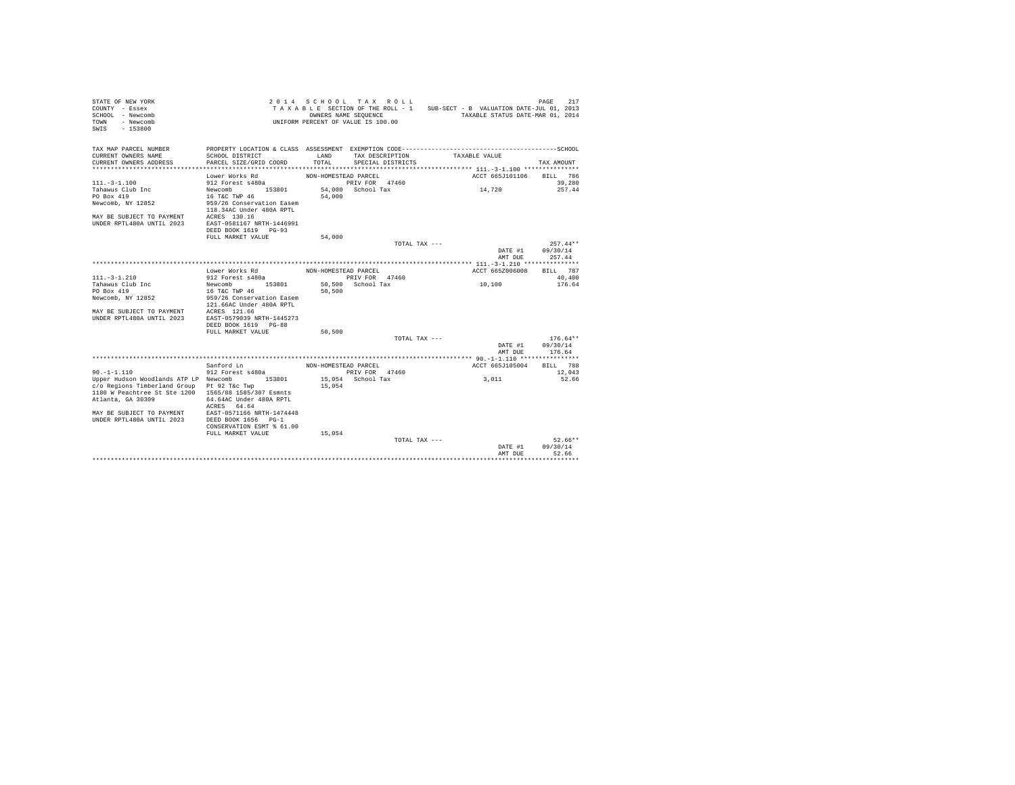| STATE OF NEW YORK<br>COUNTY - Essex<br>SCHOOL - Newcomb<br>- Newcomb<br>TOWN<br>$-153800$<br>SWIS |                                           |                      | 2014 SCHOOL TAX ROLL<br>OWNERS NAME SEQUENCE<br>UNIFORM PERCENT OF VALUE IS 100.00 | TAXABLE SECTION OF THE ROLL - 1 SUB-SECT - B VALUATION DATE-JUL 01, 2013<br>TAXABLE STATUS DATE-MAR 01, 2014 | PAGE<br>217        |
|---------------------------------------------------------------------------------------------------|-------------------------------------------|----------------------|------------------------------------------------------------------------------------|--------------------------------------------------------------------------------------------------------------|--------------------|
| TAX MAP PARCEL NUMBER                                                                             |                                           |                      |                                                                                    |                                                                                                              |                    |
| CURRENT OWNERS NAME                                                                               | SCHOOL DISTRICT                           | LAND<br>TOTAL.       | TAX DESCRIPTION                                                                    | TAXABLE VALUE                                                                                                |                    |
| CURRENT OWNERS ADDRESS                                                                            | PARCEL SIZE/GRID COORD                    |                      | SPECIAL DISTRICTS                                                                  |                                                                                                              | TAX AMOUNT         |
|                                                                                                   | Lower Works Rd                            | NON-HOMESTEAD PARCEL |                                                                                    | ACCT 665J101106                                                                                              | BILL 786           |
| $111 - 3 - 1.100$                                                                                 | 912 Forest s480a                          |                      | PRIV FOR 47460                                                                     |                                                                                                              | 39,280             |
| Tahawus Club Inc                                                                                  | Newcomb 153801                            |                      | 54,000 School Tax                                                                  | 14,720                                                                                                       | 257.44             |
| PO Box 419                                                                                        | 16 T&C TWP 46                             | 54,000               |                                                                                    |                                                                                                              |                    |
| Newcomb, NY 12852                                                                                 | 959/26 Conservation Easem                 |                      |                                                                                    |                                                                                                              |                    |
|                                                                                                   | 118.34AC Under 480A RPTL                  |                      |                                                                                    |                                                                                                              |                    |
| MAY BE SUBJECT TO PAYMENT ACRES 130.16<br>UNDER RPTL480A UNTIL 2023 EAST-0581167 NRTH-1446991     |                                           |                      |                                                                                    |                                                                                                              |                    |
|                                                                                                   | DEED BOOK 1619 PG-93                      |                      |                                                                                    |                                                                                                              |                    |
|                                                                                                   | FULL MARKET VALUE                         | 54,000               |                                                                                    |                                                                                                              |                    |
|                                                                                                   |                                           |                      | TOTAL TAX ---                                                                      |                                                                                                              | $257.44**$         |
|                                                                                                   |                                           |                      |                                                                                    | DATE #1                                                                                                      | 09/30/14           |
|                                                                                                   |                                           |                      |                                                                                    | AMT DUE                                                                                                      | 257.44             |
|                                                                                                   |                                           |                      |                                                                                    |                                                                                                              |                    |
| $111. - 3 - 1.210$                                                                                | Lower Works Rd<br>912 Forest s480a        | NON-HOMESTEAD PARCEL | PRIV FOR 47460                                                                     | ACCT 665Z006008                                                                                              | BILL 787<br>40,400 |
| Tahawus Club Inc                                                                                  | Newcomb 153801                            |                      | 50.500 School Tax                                                                  | 10,100                                                                                                       | 176.64             |
| PO Box 419                                                                                        | 16 T&C TWP 46                             | 50,500               |                                                                                    |                                                                                                              |                    |
| Newcomb, NY 12852                                                                                 | 959/26 Conservation Easem                 |                      |                                                                                    |                                                                                                              |                    |
|                                                                                                   | 121.66AC Under 480A RPTL                  |                      |                                                                                    |                                                                                                              |                    |
| MAY BE SUBJECT TO PAYMENT ACRES 121.66                                                            |                                           |                      |                                                                                    |                                                                                                              |                    |
| UNDER RPTL480A UNTIL 2023                                                                         | EAST-0579039 NRTH-1445273                 |                      |                                                                                    |                                                                                                              |                    |
|                                                                                                   | DEED BOOK 1619 PG-88<br>FULL MARKET VALUE | 50,500               |                                                                                    |                                                                                                              |                    |
|                                                                                                   |                                           |                      | TOTAL TAX ---                                                                      |                                                                                                              | $176.64**$         |
|                                                                                                   |                                           |                      |                                                                                    |                                                                                                              | DATE #1 09/30/14   |
|                                                                                                   |                                           |                      |                                                                                    | AMT DUE                                                                                                      | 176.64             |
|                                                                                                   |                                           |                      |                                                                                    |                                                                                                              |                    |
|                                                                                                   | Sanford Ln                                | NON-HOMESTEAD PARCEL |                                                                                    | ACCT 665J105004                                                                                              | BILL 788           |
| $90. -1 - 1.110$                                                                                  | 912 Forest s480a                          |                      | PRIV FOR 47460                                                                     |                                                                                                              | 12,043             |
| Upper Hudson Woodlands ATP LP Newcomb<br>c/o Regions Timberland Group Pt 92 T&c Twp               | 153801                                    | 15,054               | 15,054 School Tax                                                                  | 3,011                                                                                                        | 52.66              |
| 1180 W Peachtree St Ste 1200 1565/88 1585/307 Esmnts                                              |                                           |                      |                                                                                    |                                                                                                              |                    |
| Atlanta, GA 30309                                                                                 | 64.64AC Under 480A RPTL                   |                      |                                                                                    |                                                                                                              |                    |
|                                                                                                   | ACRES 64.64                               |                      |                                                                                    |                                                                                                              |                    |
| MAY BE SUBJECT TO PAYMENT                                                                         | EAST-0571166 NRTH-1474448                 |                      |                                                                                    |                                                                                                              |                    |
| UNDER RPTL480A UNTIL 2023                                                                         | DEED BOOK 1656 PG-1                       |                      |                                                                                    |                                                                                                              |                    |
|                                                                                                   | CONSERVATION ESMT % 61.00                 |                      |                                                                                    |                                                                                                              |                    |
|                                                                                                   | FULL MARKET VALUE                         | 15,054               | TOTAL TAX ---                                                                      |                                                                                                              | $52.66**$          |
|                                                                                                   |                                           |                      |                                                                                    | DATE #1                                                                                                      | 09/30/14           |
|                                                                                                   |                                           |                      |                                                                                    | AMT DUE                                                                                                      | 52.66              |
|                                                                                                   |                                           |                      |                                                                                    |                                                                                                              | *******            |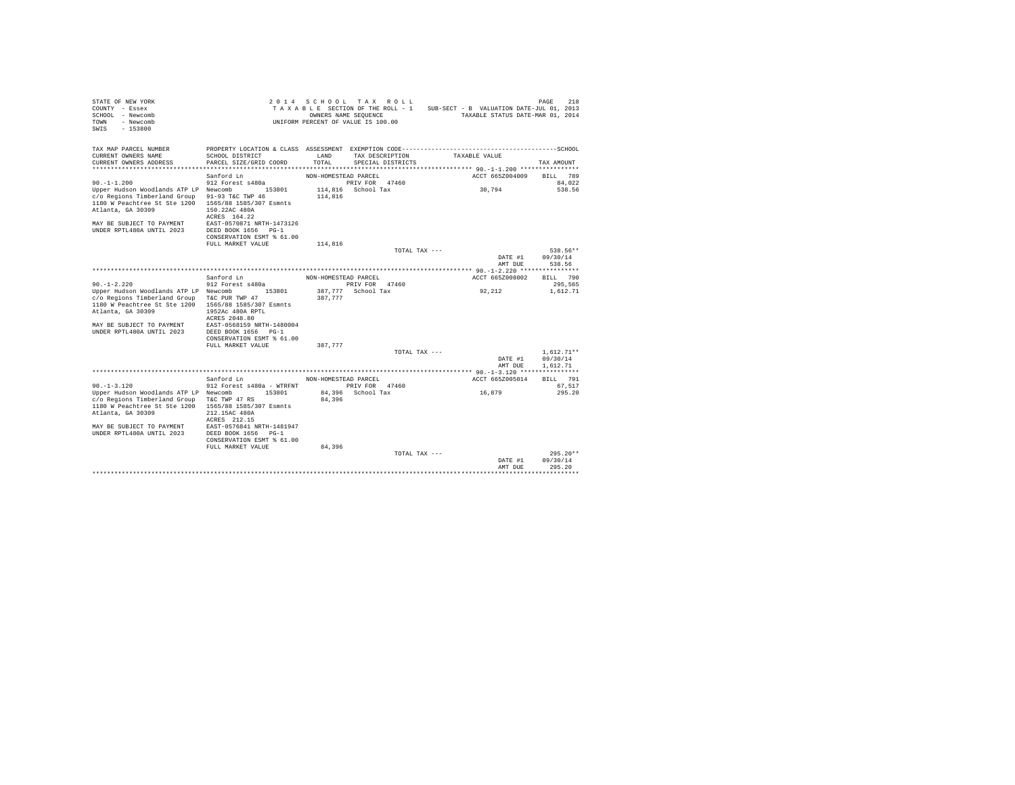| STATE OF NEW YORK<br>COUNTY - Essex<br>SCHOOL - Newcomb<br>- Newcomb<br>TOWN<br>SWIS - 153800                                                                  |                                                                                                           |                      | 2014 SCHOOL TAX ROLL<br>OWNERS NAME SEQUENCE<br>UNIFORM PERCENT OF VALUE IS 100.00 | TAXABLE SECTION OF THE ROLL - 1 SUB-SECT - B VALUATION DATE-JUL 01, 2013<br>TAXABLE STATUS DATE-MAR 01, 2014 | 218<br>PAGE         |
|----------------------------------------------------------------------------------------------------------------------------------------------------------------|-----------------------------------------------------------------------------------------------------------|----------------------|------------------------------------------------------------------------------------|--------------------------------------------------------------------------------------------------------------|---------------------|
| TAX MAP PARCEL NUMBER<br>CURRENT OWNERS NAME<br>CURRENT OWNERS ADDRESS                                                                                         | SCHOOL DISTRICT<br>PARCEL SIZE/GRID COORD<br>*********************************                            | LAND<br>TOTAL.       | TAX DESCRIPTION<br>SPECIAL DISTRICTS                                               | TAXABLE VALUE                                                                                                | TAX AMOUNT          |
|                                                                                                                                                                | Sanford Ln                                                                                                | NON-HOMESTEAD PARCEL |                                                                                    | ACCT 665Z004009                                                                                              | BILL 789            |
| $90. -1 - 1.200$                                                                                                                                               | 912 Forest s480a                                                                                          |                      | PRIV FOR 47460                                                                     |                                                                                                              | 84.022              |
| Upper Hudson Woodlands ATP LP Newcomb 153801<br>c/o Regions Timberland Group<br>1180 W Peachtree St Ste 1200<br>Atlanta, GA 30309<br>MAY BE SUBJECT TO PAYMENT | 91-93 T&C TWP 46<br>1565/88 1585/307 Esmnts<br>150.22AC 480A<br>ACRES 164.22<br>EAST-0570871 NRTH-1473126 | 114,816              | 114,816 School Tax                                                                 | 30,794                                                                                                       | 538.56              |
| <b>IINDER RPTL480A IINTIL 2023</b>                                                                                                                             | DEED BOOK 1656 PG-1                                                                                       |                      |                                                                                    |                                                                                                              |                     |
|                                                                                                                                                                | CONSERVATION ESMT % 61.00                                                                                 |                      |                                                                                    |                                                                                                              |                     |
|                                                                                                                                                                | FULL MARKET VALUE                                                                                         | 114,816              |                                                                                    |                                                                                                              |                     |
|                                                                                                                                                                |                                                                                                           |                      | TOTAL TAX ---                                                                      |                                                                                                              | 538.56**            |
|                                                                                                                                                                |                                                                                                           |                      |                                                                                    | DATE #1                                                                                                      | 09/30/14            |
|                                                                                                                                                                |                                                                                                           |                      |                                                                                    | AMT DUE                                                                                                      | 538.56              |
|                                                                                                                                                                |                                                                                                           |                      |                                                                                    |                                                                                                              |                     |
| $90. -1 - 2.220$                                                                                                                                               | Sanford Ln<br>912 Forest s480a                                                                            | NON-HOMESTEAD PARCEL | PRIV FOR 47460                                                                     | ACCT 665Z008002                                                                                              | BILL 790<br>295,565 |
| Upper Hudson Woodlands ATP LP Newcomb 153801                                                                                                                   |                                                                                                           |                      | 387,777 School Tax                                                                 | 92.212                                                                                                       | 1,612.71            |
| c/o Regions Timberland Group                                                                                                                                   | T&C PUR TWP 47                                                                                            | 387.777              |                                                                                    |                                                                                                              |                     |
| 1180 W Peachtree St Ste 1200                                                                                                                                   | 1565/88 1585/307 Esmnts                                                                                   |                      |                                                                                    |                                                                                                              |                     |
| Atlanta, GA 30309                                                                                                                                              | 1952Ac 480A RPTL                                                                                          |                      |                                                                                    |                                                                                                              |                     |
|                                                                                                                                                                | ACRES 2048.80                                                                                             |                      |                                                                                    |                                                                                                              |                     |
| MAY BE SUBJECT TO PAYMENT<br>UNDER RPTL480A UNTIL 2023                                                                                                         | EAST-0568159 NRTH-1480004<br>DEED BOOK 1656 PG-1                                                          |                      |                                                                                    |                                                                                                              |                     |
|                                                                                                                                                                | CONSERVATION ESMT % 61.00                                                                                 |                      |                                                                                    |                                                                                                              |                     |
|                                                                                                                                                                | FULL MARKET VALUE                                                                                         | 387,777              |                                                                                    |                                                                                                              |                     |
|                                                                                                                                                                |                                                                                                           |                      | TOTAL TAX ---                                                                      |                                                                                                              | $1.612.71**$        |
|                                                                                                                                                                |                                                                                                           |                      |                                                                                    | DATE #1                                                                                                      | 09/30/14            |
|                                                                                                                                                                |                                                                                                           |                      |                                                                                    | AMT DUE                                                                                                      | 1.612.71            |
|                                                                                                                                                                |                                                                                                           |                      |                                                                                    |                                                                                                              |                     |
|                                                                                                                                                                | Sanford Ln                                                                                                | NON-HOMESTEAD PARCEL |                                                                                    | ACCT 665Z005014                                                                                              | BILL 791            |
| $90. -1 - 3.120$<br>Upper Hudson Woodlands ATP LP Newcomb 153801                                                                                               | 912 Forest s480a - WTRFNT                                                                                 |                      | PRIV FOR 47460<br>84,396 School Tax                                                | 16,879                                                                                                       | 67.517<br>295.20    |
| c/o Regions Timberland Group                                                                                                                                   | T&C TWP 47 RS                                                                                             | 84,396               |                                                                                    |                                                                                                              |                     |
| 1180 W Peachtree St Ste 1200                                                                                                                                   | 1565/88 1585/307 Esmnts                                                                                   |                      |                                                                                    |                                                                                                              |                     |
| Atlanta, GA 30309                                                                                                                                              | 212.15AC 480A                                                                                             |                      |                                                                                    |                                                                                                              |                     |
|                                                                                                                                                                | ACRES 212.15                                                                                              |                      |                                                                                    |                                                                                                              |                     |
| MAY BE SUBJECT TO PAYMENT<br>UNDER RPTL480A UNTIL 2023                                                                                                         | EAST-0576841 NRTH-1481947<br>DEED BOOK 1656 PG-1                                                          |                      |                                                                                    |                                                                                                              |                     |
|                                                                                                                                                                | CONSERVATION ESMT % 61.00                                                                                 |                      |                                                                                    |                                                                                                              |                     |
|                                                                                                                                                                | FULL MARKET VALUE                                                                                         | 84,396               |                                                                                    |                                                                                                              |                     |
|                                                                                                                                                                |                                                                                                           |                      | TOTAL TAX ---                                                                      |                                                                                                              | $295.20**$          |
|                                                                                                                                                                |                                                                                                           |                      |                                                                                    | DATE #1                                                                                                      | 09/30/14            |
|                                                                                                                                                                |                                                                                                           |                      |                                                                                    | AMT DUE                                                                                                      | 295.20              |
|                                                                                                                                                                |                                                                                                           |                      |                                                                                    |                                                                                                              | ********            |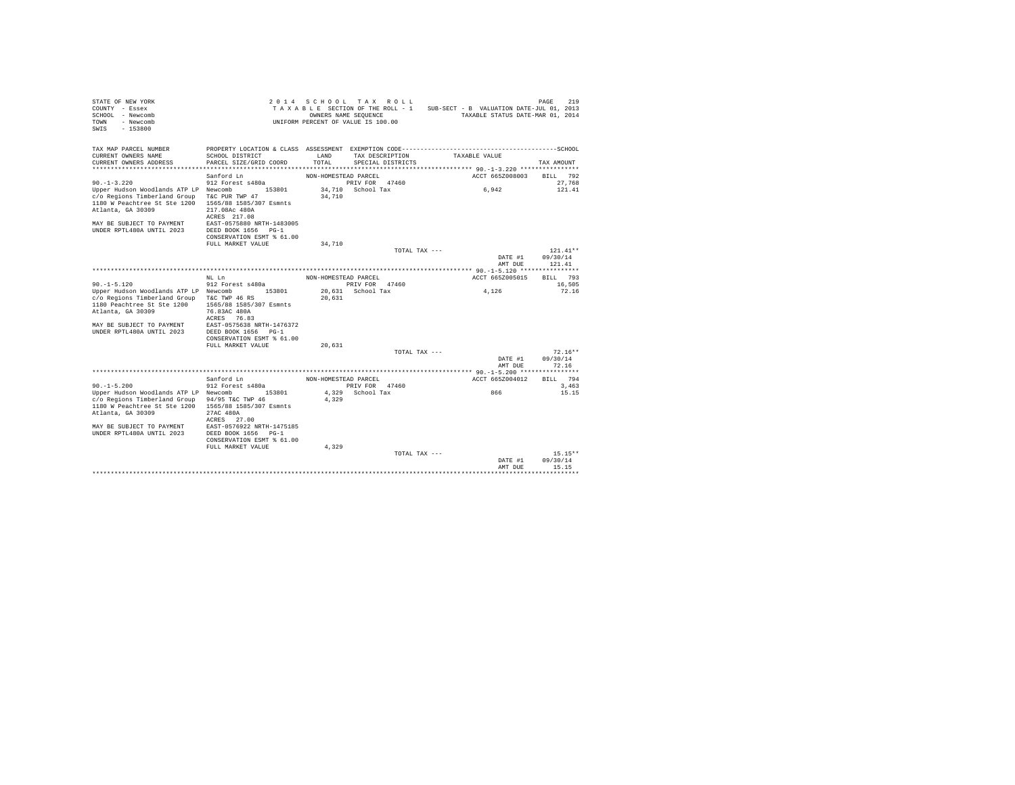| STATE OF NEW YORK<br>COUNTY - Essex<br>SCHOOL - Newcomb<br>- Newcomb<br>TOWN<br>$-153800$<br>SWTS |                                                                 | 2014 SCHOOL TAX ROLL<br>TAXABLE SECTION OF THE ROLL - 1<br>OWNERS NAME SEOUENCE<br>UNIFORM PERCENT OF VALUE IS 100.00 |                   |                   | SUB-SECT - B VALUATION DATE-JUL 01, 2013<br>TAXABLE STATUS DATE-MAR 01, 2014 | PAGE                    | 219                    |  |
|---------------------------------------------------------------------------------------------------|-----------------------------------------------------------------|-----------------------------------------------------------------------------------------------------------------------|-------------------|-------------------|------------------------------------------------------------------------------|-------------------------|------------------------|--|
| TAX MAP PARCEL NUMBER                                                                             | PROPERTY LOCATION & CLASS ASSESSMENT EXEMPTION CODE------------ |                                                                                                                       |                   |                   |                                                                              | -----------------SCHOOL |                        |  |
| CURRENT OWNERS NAME                                                                               | SCHOOL DISTRICT                                                 | <b>T.AND</b>                                                                                                          | TAX DESCRIPTION   |                   | TAXABLE VALUE                                                                |                         |                        |  |
| CURRENT OWNERS ADDRESS                                                                            | PARCEL SIZE/GRID COORD                                          | TOTAL                                                                                                                 |                   | SPECIAL DISTRICTS |                                                                              |                         | TAX AMOUNT             |  |
|                                                                                                   |                                                                 |                                                                                                                       |                   |                   |                                                                              |                         |                        |  |
| $90. -1 - 3.220$                                                                                  | Sanford Ln<br>912 Forest s480a                                  | NON-HOMESTEAD PARCEL                                                                                                  | PRIV FOR 47460    |                   | ACCT 665Z008003                                                              |                         | BILL 792<br>27.768     |  |
| Upper Hudson Woodlands ATP LP Newcomb                                                             | 153801                                                          |                                                                                                                       | 34,710 School Tax |                   | 6.942                                                                        |                         | 121.41                 |  |
| c/o Regions Timberland Group                                                                      | T&C PUR TWP 47                                                  | 34,710                                                                                                                |                   |                   |                                                                              |                         |                        |  |
| 1180 W Peachtree St Ste 1200                                                                      | 1565/88 1585/307 Esmnts                                         |                                                                                                                       |                   |                   |                                                                              |                         |                        |  |
| Atlanta, GA 30309                                                                                 | 217.08Ac 480A                                                   |                                                                                                                       |                   |                   |                                                                              |                         |                        |  |
|                                                                                                   | ACRES 217.08                                                    |                                                                                                                       |                   |                   |                                                                              |                         |                        |  |
| MAY BE SUBJECT TO PAYMENT                                                                         | EAST-0575880 NRTH-1483005                                       |                                                                                                                       |                   |                   |                                                                              |                         |                        |  |
| UNDER RPTL480A UNTIL 2023                                                                         | DEED BOOK 1656 PG-1                                             |                                                                                                                       |                   |                   |                                                                              |                         |                        |  |
|                                                                                                   | CONSERVATION ESMT % 61.00                                       |                                                                                                                       |                   |                   |                                                                              |                         |                        |  |
|                                                                                                   | FULL MARKET VALUE                                               | 34,710                                                                                                                |                   |                   |                                                                              |                         |                        |  |
|                                                                                                   |                                                                 |                                                                                                                       |                   | TOTAL TAX ---     | DATE #1                                                                      |                         | $121.41**$<br>09/30/14 |  |
|                                                                                                   |                                                                 |                                                                                                                       |                   |                   | AMT DUE                                                                      |                         | 121.41                 |  |
|                                                                                                   |                                                                 |                                                                                                                       |                   |                   |                                                                              |                         |                        |  |
|                                                                                                   | NT. T.n                                                         | NON-HOMESTEAD PARCEL                                                                                                  |                   |                   | ACCT 665Z005015                                                              |                         | BILL 793               |  |
| $90. -1 - 5.120$                                                                                  | 912 Forest s480a                                                |                                                                                                                       | PRIV FOR 47460    |                   |                                                                              |                         | 16,505                 |  |
| Upper Hudson Woodlands ATP LP Newcomb                                                             | 153801                                                          |                                                                                                                       | 20.631 School Tax |                   | 4.126                                                                        |                         | 72.16                  |  |
| c/o Regions Timberland Group                                                                      | T&C TWP 46 RS                                                   | 20,631                                                                                                                |                   |                   |                                                                              |                         |                        |  |
| 1180 Peachtree St Ste 1200                                                                        | 1565/88 1585/307 Esmnts                                         |                                                                                                                       |                   |                   |                                                                              |                         |                        |  |
| Atlanta, GA 30309                                                                                 | 76.83AC 480A<br>ACRES 76.83                                     |                                                                                                                       |                   |                   |                                                                              |                         |                        |  |
| MAY BE SUBJECT TO PAYMENT                                                                         | EAST-0575638 NRTH-1476372                                       |                                                                                                                       |                   |                   |                                                                              |                         |                        |  |
| UNDER RPTL480A UNTIL 2023                                                                         | DEED BOOK 1656 PG-1                                             |                                                                                                                       |                   |                   |                                                                              |                         |                        |  |
|                                                                                                   | CONSERVATION ESMT % 61.00                                       |                                                                                                                       |                   |                   |                                                                              |                         |                        |  |
|                                                                                                   | FULL MARKET VALUE                                               | 20.631                                                                                                                |                   |                   |                                                                              |                         |                        |  |
|                                                                                                   |                                                                 |                                                                                                                       |                   | TOTAL TAX ---     |                                                                              |                         | $72.16**$              |  |
|                                                                                                   |                                                                 |                                                                                                                       |                   |                   | DATE #1                                                                      |                         | 09/30/14               |  |
|                                                                                                   |                                                                 |                                                                                                                       |                   |                   | AMT DUE                                                                      |                         | 72.16                  |  |
|                                                                                                   | Sanford Ln                                                      | NON-HOMESTEAD PARCEL                                                                                                  |                   |                   | ACCT 665Z004012                                                              |                         | BILL 794               |  |
| $90. -1 - 5.200$                                                                                  | 912 Forest s480a                                                |                                                                                                                       | PRIV FOR 47460    |                   |                                                                              |                         | 3,463                  |  |
| Upper Hudson Woodlands ATP LP Newcomb                                                             | 153801                                                          |                                                                                                                       | 4,329 School Tax  |                   | 866                                                                          |                         | 15.15                  |  |
| c/o Regions Timberland Group                                                                      | 94/95 T&C TWP 46                                                | 4.329                                                                                                                 |                   |                   |                                                                              |                         |                        |  |
| 1180 W Peachtree St Ste 1200                                                                      | 1565/88 1585/307 Esmnts                                         |                                                                                                                       |                   |                   |                                                                              |                         |                        |  |
| Atlanta, GA 30309                                                                                 | 27AC 480A                                                       |                                                                                                                       |                   |                   |                                                                              |                         |                        |  |
|                                                                                                   | ACRES 27.00                                                     |                                                                                                                       |                   |                   |                                                                              |                         |                        |  |
| MAY BE SUBJECT TO PAYMENT                                                                         | EAST-0576922 NRTH-1475185                                       |                                                                                                                       |                   |                   |                                                                              |                         |                        |  |
| UNDER RPTL480A UNTIL 2023                                                                         | DEED BOOK 1656 PG-1<br>CONSERVATION ESMT % 61.00                |                                                                                                                       |                   |                   |                                                                              |                         |                        |  |
|                                                                                                   | FULL MARKET VALUE                                               | 4.329                                                                                                                 |                   |                   |                                                                              |                         |                        |  |
|                                                                                                   |                                                                 |                                                                                                                       |                   | TOTAL TAX ---     |                                                                              |                         | $15.15**$              |  |
|                                                                                                   |                                                                 |                                                                                                                       |                   |                   | DATE #1                                                                      |                         | 09/30/14               |  |
|                                                                                                   |                                                                 |                                                                                                                       |                   |                   | AMT DUE                                                                      |                         | 15.15                  |  |
|                                                                                                   |                                                                 |                                                                                                                       |                   |                   |                                                                              |                         | .                      |  |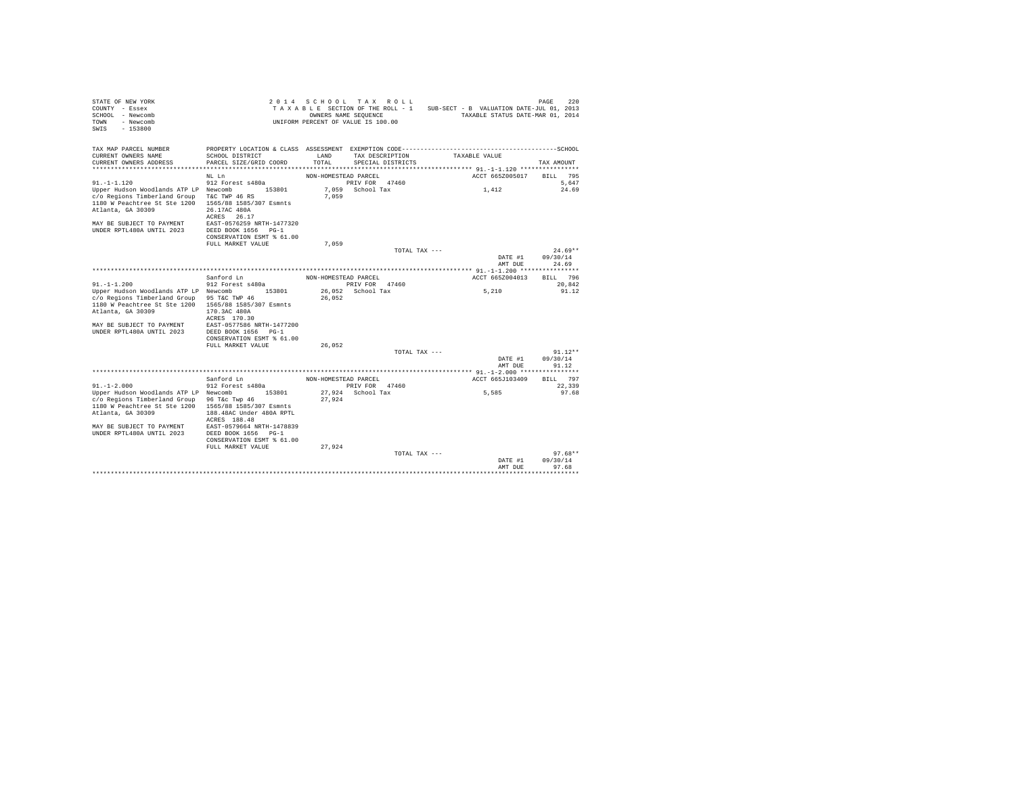| STATE OF NEW YORK<br>COUNTY - Essex<br>SCHOOL - Newcomb<br>- Newcomb<br>TOWN<br>$-153800$<br>SWIS                                                                                    |                                                                                                                                                                                 | OWNERS NAME SEQUENCE | 2014 SCHOOL TAX ROLL<br>TAXABLE SECTION OF THE ROLL - 1<br>UNIFORM PERCENT OF VALUE IS 100.00 | SUB-SECT - B VALUATION DATE-JUL 01, 2013<br>TAXABLE STATUS DATE-MAR 01, 2014                                  | 220<br>PAGE                        |
|--------------------------------------------------------------------------------------------------------------------------------------------------------------------------------------|---------------------------------------------------------------------------------------------------------------------------------------------------------------------------------|----------------------|-----------------------------------------------------------------------------------------------|---------------------------------------------------------------------------------------------------------------|------------------------------------|
| TAX MAP PARCEL NUMBER<br>CURRENT OWNERS NAME<br>CURRENT OWNERS ADDRESS                                                                                                               | SCHOOL DISTRICT<br>PARCEL SIZE/GRID COORD                                                                                                                                       | LAND<br>TOTAL        | TAX DESCRIPTION<br>SPECIAL DISTRICTS                                                          | PROPERTY LOCATION & CLASS ASSESSMENT EXEMPTION CODE-----------------------------------SCHOOL<br>TAXABLE VALUE | TAX AMOUNT                         |
|                                                                                                                                                                                      |                                                                                                                                                                                 |                      |                                                                                               |                                                                                                               |                                    |
| $91. -1 - 1.120$                                                                                                                                                                     | NL Ln<br>912 Forest s480a                                                                                                                                                       | NON-HOMESTEAD PARCEL | PRIV FOR 47460                                                                                | ACCT 665Z005017                                                                                               | 795<br>BILL<br>5.647               |
| Upper Hudson Woodlands ATP LP Newcomb<br>c/o Regions Timberland Group<br>1180 W Peachtree St Ste 1200<br>Atlanta, GA 30309<br>MAY BE SUBJECT TO PAYMENT<br>UNDER RPTL480A UNTIL 2023 | 153801<br>T&C TWP 46 RS<br>1565/88 1585/307 Esmnts<br>26.17AC 480A<br>ACRES 26.17<br>EAST-0576259 NRTH-1477320<br>DEED BOOK 1656 PG-1                                           | 7.059                | 7.059 School Tax                                                                              | 1,412                                                                                                         | 24.69                              |
|                                                                                                                                                                                      | CONSERVATION ESMT % 61.00<br>FULL MARKET VALUE                                                                                                                                  | 7.059                |                                                                                               |                                                                                                               |                                    |
|                                                                                                                                                                                      |                                                                                                                                                                                 |                      | TOTAL TAX ---                                                                                 |                                                                                                               | $24.69**$                          |
|                                                                                                                                                                                      |                                                                                                                                                                                 |                      |                                                                                               | DATE #1                                                                                                       | 09/30/14                           |
|                                                                                                                                                                                      |                                                                                                                                                                                 |                      |                                                                                               | AMT DUE                                                                                                       | 24.69                              |
|                                                                                                                                                                                      | Sanford Ln                                                                                                                                                                      | NON-HOMESTEAD PARCEL |                                                                                               | ACCT 665Z004013                                                                                               | BILL 796                           |
| $91 - 1 - 1$ . 200                                                                                                                                                                   | 912 Forest s480a                                                                                                                                                                |                      | PRIV FOR 47460                                                                                |                                                                                                               | 20.842                             |
| Upper Hudson Woodlands ATP LP Newcomb<br>c/o Regions Timberland Group<br>1180 W Peachtree St Ste 1200<br>Atlanta, GA 30309<br>MAY BE SUBJECT TO PAYMENT<br>UNDER RPTL480A UNTIL 2023 | 153801<br>95 T&C TWP 46<br>1565/88 1585/307 Esmnts<br>170.3AC 480A<br>ACRES 170.30<br>EAST-0577586 NRTH-1477200<br>DEED BOOK 1656 PG-1<br>CONSERVATION ESMT % 61.00             | 26,052               | 26,052 School Tax                                                                             | 5,210                                                                                                         | 91.12                              |
|                                                                                                                                                                                      | FULL MARKET VALUE                                                                                                                                                               | 26,052               |                                                                                               |                                                                                                               |                                    |
|                                                                                                                                                                                      |                                                                                                                                                                                 |                      | TOTAL TAX ---                                                                                 | DATE #1<br>AMT DUE                                                                                            | $91.12**$<br>09/30/14<br>91.12     |
|                                                                                                                                                                                      |                                                                                                                                                                                 |                      |                                                                                               |                                                                                                               |                                    |
| $91. - 1 - 2.000$                                                                                                                                                                    | Sanford Ln<br>912 Forest s480a                                                                                                                                                  | NON-HOMESTEAD PARCEL | PRIV FOR 47460                                                                                | ACCT 665J103409                                                                                               | BILL 797<br>22,339                 |
| Upper Hudson Woodlands ATP LP Newcomb<br>c/o Regions Timberland Group<br>1180 W Peachtree St Ste 1200<br>Atlanta, GA 30309<br>MAY BE SUBJECT TO PAYMENT<br>UNDER RPTL480A UNTIL 2023 | 153801<br>96 T&c Twp 46<br>1565/88 1585/307 Esmnts<br>188.48AC Under 480A RPTL<br>ACRES 188.48<br>EAST-0579664 NRTH-1478839<br>DEED BOOK 1656 PG-1<br>CONSERVATION ESMT % 61.00 | 27.924               | 27.924 School Tax                                                                             | 5.585                                                                                                         | 97.68                              |
|                                                                                                                                                                                      | FULL MARKET VALUE                                                                                                                                                               | 27,924               |                                                                                               |                                                                                                               |                                    |
|                                                                                                                                                                                      |                                                                                                                                                                                 |                      | TOTAL TAX ---                                                                                 | DATE #1<br>AMT DUE                                                                                            | $97.68**$<br>09/30/14<br>97.68<br> |
|                                                                                                                                                                                      |                                                                                                                                                                                 |                      |                                                                                               |                                                                                                               |                                    |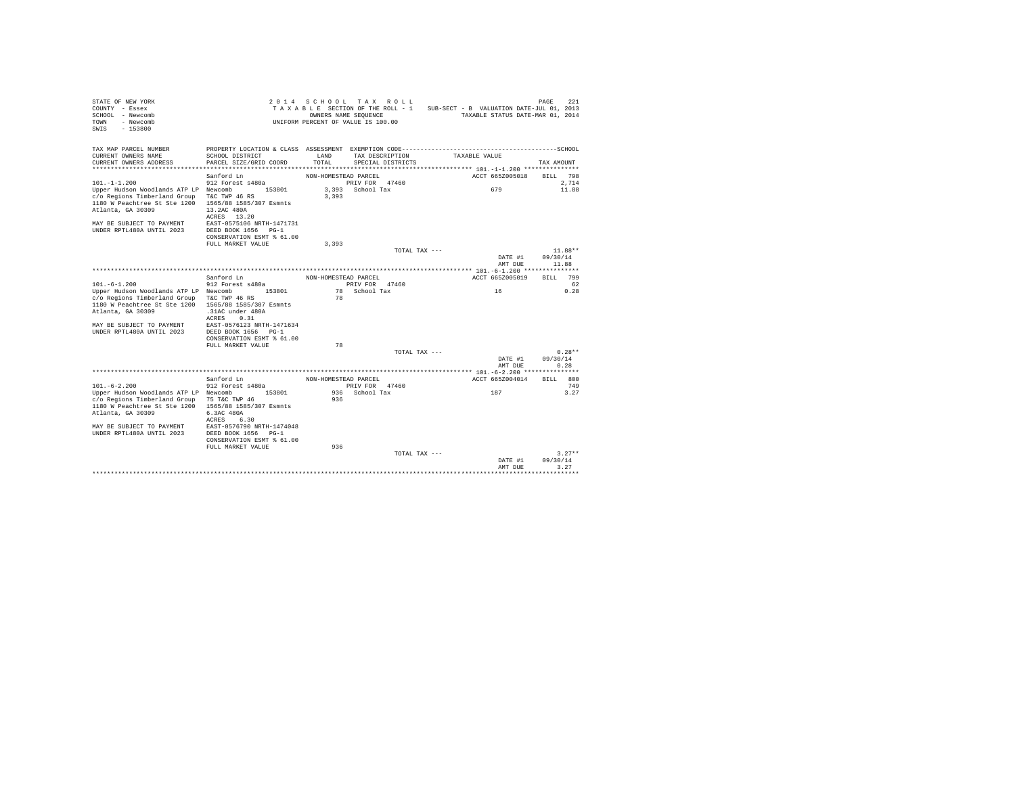| STATE OF NEW YORK<br>COUNTY - Essex<br>SCHOOL - Newcomb<br>TOWN<br>- Newcomb<br>SWTS<br>$-153800$                                 |                                                                        |                                        | 2014 SCHOOL TAX ROLL<br>TAXABLE SECTION OF THE ROLL - 1 SUB-SECT - B VALUATION DATE-JUL 01, 2013<br>OWNERS NAME SEQUENCE<br>UNIFORM PERCENT OF VALUE IS 100.00 | TAXABLE STATUS DATE-MAR 01, 2014                               | 2.21<br>PAGE     |
|-----------------------------------------------------------------------------------------------------------------------------------|------------------------------------------------------------------------|----------------------------------------|----------------------------------------------------------------------------------------------------------------------------------------------------------------|----------------------------------------------------------------|------------------|
| TAX MAP PARCEL NUMBER<br>CURRENT OWNERS NAME<br>CURRENT OWNERS ADDRESS                                                            | SCHOOL DISTRICT<br>PARCEL SIZE/GRID COORD<br>************************* | LAND<br>TOTAL.<br>******************** | TAX DESCRIPTION<br>SPECIAL DISTRICTS                                                                                                                           | TAXABLE VALUE<br>**************** 101.-1-1.200 *************** | TAX AMOUNT       |
|                                                                                                                                   | Sanford Ln                                                             | NON-HOMESTEAD PARCEL                   |                                                                                                                                                                | ACCT 665Z005018                                                | BILL 798         |
| $101. -1 - 1.200$                                                                                                                 | 912 Forest s480a                                                       |                                        | PRIV FOR 47460                                                                                                                                                 |                                                                | 2.714            |
| Upper Hudson Woodlands ATP LP Newcomb 153801<br>c/o Regions Timberland Group<br>1180 W Peachtree St Ste 1200<br>Atlanta, GA 30309 | T&C TWP 46 RS<br>1565/88 1585/307 Esmnts<br>13.2AC 480A<br>ACRES 13.20 | 3,393                                  | 3.393 School Tax                                                                                                                                               | 679                                                            | 11.88            |
| MAY BE SUBJECT TO PAYMENT<br><b>IINDER RPTL480A IINTIL 2023</b>                                                                   | EAST-0575106 NRTH-1471731<br>DEED BOOK 1656 PG-1                       |                                        |                                                                                                                                                                |                                                                |                  |
|                                                                                                                                   | CONSERVATION ESMT % 61.00                                              |                                        |                                                                                                                                                                |                                                                |                  |
|                                                                                                                                   | FULL MARKET VALUE                                                      | 3,393                                  |                                                                                                                                                                |                                                                |                  |
|                                                                                                                                   |                                                                        |                                        | TOTAL TAX ---                                                                                                                                                  |                                                                | $11.88**$        |
|                                                                                                                                   |                                                                        |                                        |                                                                                                                                                                | DATE #1                                                        | 09/30/14         |
|                                                                                                                                   |                                                                        |                                        |                                                                                                                                                                | AMT DUE                                                        | 11.88            |
|                                                                                                                                   |                                                                        |                                        |                                                                                                                                                                |                                                                |                  |
|                                                                                                                                   | Sanford Ln                                                             | NON-HOMESTEAD PARCEL                   |                                                                                                                                                                | ACCT 665Z005019                                                | BTT.T. 799       |
| $101. - 6 - 1.200$                                                                                                                | 912 Forest s480a                                                       |                                        | PRIV FOR 47460                                                                                                                                                 |                                                                | - 62             |
| Upper Hudson Woodlands ATP LP Newcomb 153801                                                                                      | T&C TWP 46 RS                                                          | 78                                     | 78 School Tax                                                                                                                                                  | 16                                                             | 0.28             |
| c/o Regions Timberland Group<br>1180 W Peachtree St Ste 1200                                                                      | 1565/88 1585/307 Esmnts                                                |                                        |                                                                                                                                                                |                                                                |                  |
| Atlanta, GA 30309                                                                                                                 | .31AC under 480A                                                       |                                        |                                                                                                                                                                |                                                                |                  |
|                                                                                                                                   | ACRES 0.31                                                             |                                        |                                                                                                                                                                |                                                                |                  |
| MAY BE SUBJECT TO PAYMENT                                                                                                         | EAST-0576123 NRTH-1471634                                              |                                        |                                                                                                                                                                |                                                                |                  |
| UNDER RPTL480A UNTIL 2023                                                                                                         | DEED BOOK 1656 PG-1                                                    |                                        |                                                                                                                                                                |                                                                |                  |
|                                                                                                                                   | CONSERVATION ESMT % 61.00                                              |                                        |                                                                                                                                                                |                                                                |                  |
|                                                                                                                                   | FULL MARKET VALUE                                                      | 78                                     |                                                                                                                                                                |                                                                |                  |
|                                                                                                                                   |                                                                        |                                        | TOTAL TAX ---                                                                                                                                                  |                                                                | $0.28**$         |
|                                                                                                                                   |                                                                        |                                        |                                                                                                                                                                | DATE #1<br>AMT DUE                                             | 09/30/14<br>0.28 |
|                                                                                                                                   |                                                                        |                                        |                                                                                                                                                                |                                                                |                  |
|                                                                                                                                   | Sanford Ln                                                             | NON-HOMESTEAD PARCEL                   |                                                                                                                                                                | ACCT 665Z004014                                                | BILL 800         |
| $101. - 6 - 2.200$                                                                                                                | 912 Forest s480a                                                       |                                        | PRIV FOR 47460                                                                                                                                                 |                                                                | 749              |
| Upper Hudson Woodlands ATP LP Newcomb                                                                                             | 153801                                                                 |                                        | 936 School Tax                                                                                                                                                 | 187                                                            | 3.27             |
| c/o Regions Timberland Group                                                                                                      | 75 T&C TWP 46                                                          | 936                                    |                                                                                                                                                                |                                                                |                  |
| 1180 W Peachtree St Ste 1200                                                                                                      | 1565/88 1585/307 Esmnts                                                |                                        |                                                                                                                                                                |                                                                |                  |
| Atlanta, GA 30309                                                                                                                 | 6.3AC 480A                                                             |                                        |                                                                                                                                                                |                                                                |                  |
|                                                                                                                                   | ACRES 6.30                                                             |                                        |                                                                                                                                                                |                                                                |                  |
| MAY BE SUBJECT TO PAYMENT<br>UNDER RPTL480A UNTIL 2023                                                                            | EAST-0576790 NRTH-1474048<br>DEED BOOK 1656 PG-1                       |                                        |                                                                                                                                                                |                                                                |                  |
|                                                                                                                                   | CONSERVATION ESMT % 61.00                                              |                                        |                                                                                                                                                                |                                                                |                  |
|                                                                                                                                   | FULL MARKET VALUE                                                      | 936                                    |                                                                                                                                                                |                                                                |                  |
|                                                                                                                                   |                                                                        |                                        | TOTAL TAX ---                                                                                                                                                  |                                                                | $3.27**$         |
|                                                                                                                                   |                                                                        |                                        |                                                                                                                                                                | DATE #1                                                        | 09/30/14         |
|                                                                                                                                   |                                                                        |                                        |                                                                                                                                                                | AMT DHE                                                        | 3.27             |
|                                                                                                                                   |                                                                        |                                        |                                                                                                                                                                |                                                                | *******          |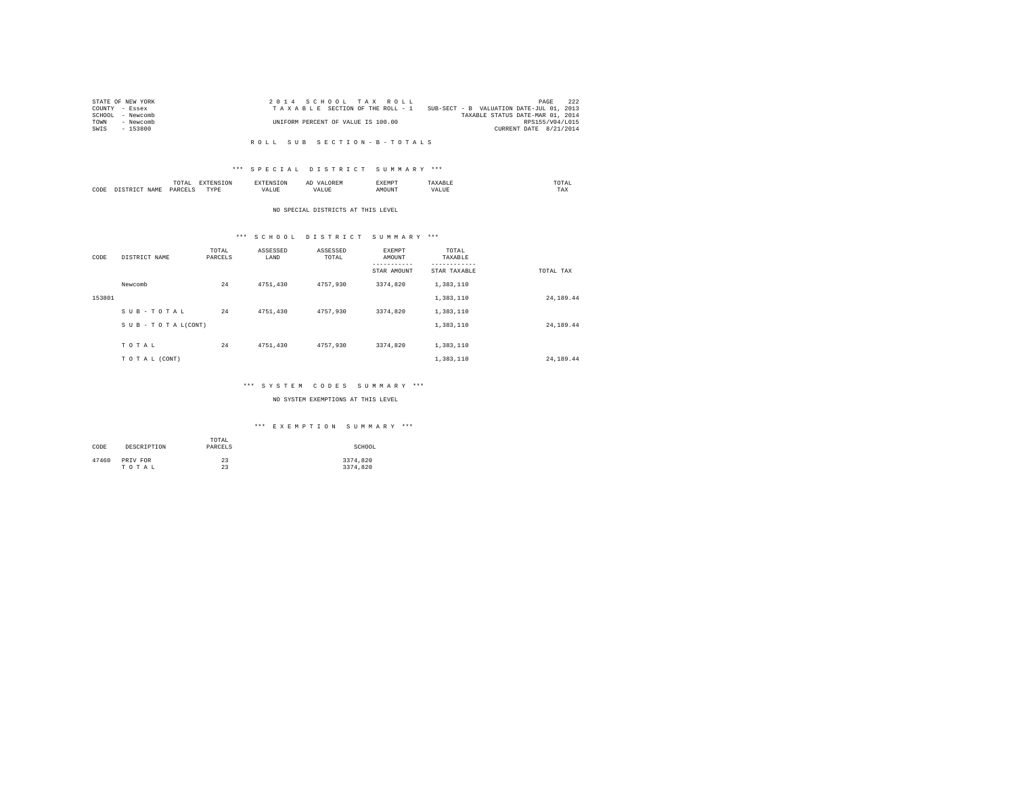| STATE OF NEW YORK | 2014 SCHOOL TAX ROLL                                                        | 222<br>PAGE            |
|-------------------|-----------------------------------------------------------------------------|------------------------|
| COUNTY - Essex    | SUB-SECT - B VALUATION DATE-JUL 01, 2013<br>TAXABLE SECTION OF THE ROLL - 1 |                        |
| SCHOOL - Newcomb  | TAXABLE STATUS DATE-MAR 01, 2014                                            |                        |
| TOWN<br>- Newcomb | UNIFORM PERCENT OF VALUE IS 100.00                                          | RPS155/V04/L015        |
| $-153800$<br>SWIS |                                                                             | CURRENT DATE 8/21/2014 |

### R O L L S U B S E C T I O N - B - T O T A L S

## \*\*\* S P E C I A L D I S T R I C T S U M M A R Y \*\*\*

|      |                  | ----<br>l'O'l'Al               | ----<br>∸  | $\cdots$<br>unan | .      |           | moms:<br>the contract of the contract of the contract of |
|------|------------------|--------------------------------|------------|------------------|--------|-----------|----------------------------------------------------------|
| CODE | <b>CAMP</b><br>. | PARCEL <sup>®</sup><br>_______ | TVDR.<br>. | كالملصد          | AMOUN. | .<br>ALUE | TAX                                                      |

#### NO SPECIAL DISTRICTS AT THIS LEVEL

# \*\*\* S C H O O L D I S T R I C T S U M M A R Y \*\*\*

| CODE   | DISTRICT NAME   | TOTAL<br>PARCELS | ASSESSED<br>LAND | ASSESSED<br>TOTAL | <b>EXEMPT</b><br>AMOUNT<br>---------<br>STAR AMOUNT | TOTAL<br>TAXABLE<br>---------<br>STAR TAXABLE | TOTAL TAX |
|--------|-----------------|------------------|------------------|-------------------|-----------------------------------------------------|-----------------------------------------------|-----------|
|        | Newcomb         | 24               | 4751.430         | 4757.930          | 3374.820                                            | 1,383,110                                     |           |
| 153801 |                 |                  |                  |                   |                                                     | 1,383,110                                     | 24,189.44 |
|        | SUB-TOTAL       | 24               | 4751.430         | 4757,930          | 3374.820                                            | 1,383,110                                     |           |
|        | SUB-TOTAL(CONT) |                  |                  |                   |                                                     | 1,383,110                                     | 24,189.44 |
|        | TOTAL           | 24               | 4751.430         | 4757.930          | 3374.820                                            | 1,383,110                                     |           |
|        | TO TAL (CONT)   |                  |                  |                   |                                                     | 1,383,110                                     | 24,189.44 |

## \*\*\* S Y S T E M C O D E S S U M M A R Y \*\*\*

## NO SYSTEM EXEMPTIONS AT THIS LEVEL

## \*\*\* E X E M P T I O N S U M M A R Y \*\*\*

| CODE  | DESCRIPTION | TOTAL<br>PARCELS | SCHOOL   |
|-------|-------------|------------------|----------|
| 47460 | PRIV FOR    | 23               | 3374.820 |
|       | TOTAL       | 23               | 3374.820 |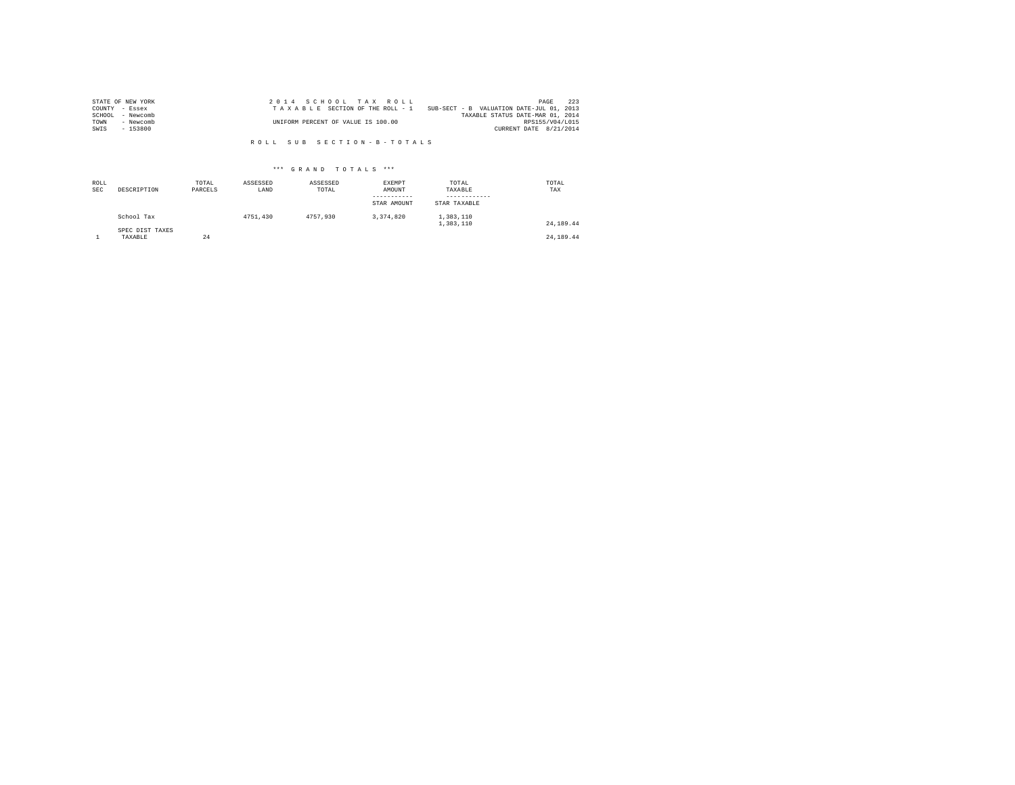| STATE OF NEW YORK   | 2014 SCHOOL TAX ROLL                                                        | PAGE            | 223 |
|---------------------|-----------------------------------------------------------------------------|-----------------|-----|
| COUNTY - Essex      | SUB-SECT - B VALUATION DATE-JUL 01, 2013<br>TAXABLE SECTION OF THE ROLL - 1 |                 |     |
| SCHOOL<br>- Newcomb | TAXABLE STATUS DATE-MAR 01, 2014                                            |                 |     |
| TOWN<br>- Newcomb   | UNIFORM PERCENT OF VALUE IS 100.00                                          | RPS155/V04/L015 |     |
| $-153800$<br>SWIS   | CURRENT DATE 8/21/2014                                                      |                 |     |

R O L L S U B S E C T I O N - B - T O T A L S

## \*\*\* G R A N D T O T A L S \*\*\*

| ROLL<br><b>SEC</b> | DESCRIPTION                | TOTAL<br>PARCELS | ASSESSED<br>LAND | ASSESSED<br>TOTAL | EXEMPT<br>AMOUNT<br>-----------<br>STAR AMOUNT | TOTAL<br>TAXABLE<br>------------<br>STAR TAXABLE | TOTAL<br>TAX |
|--------------------|----------------------------|------------------|------------------|-------------------|------------------------------------------------|--------------------------------------------------|--------------|
|                    | School Tax                 |                  | 4751.430         | 4757.930          | 3.374.820                                      | 1,383,110<br>1,383,110                           | 24, 189, 44  |
|                    | SPEC DIST TAXES<br>TAXABLE | 24               |                  |                   |                                                |                                                  | 24, 189, 44  |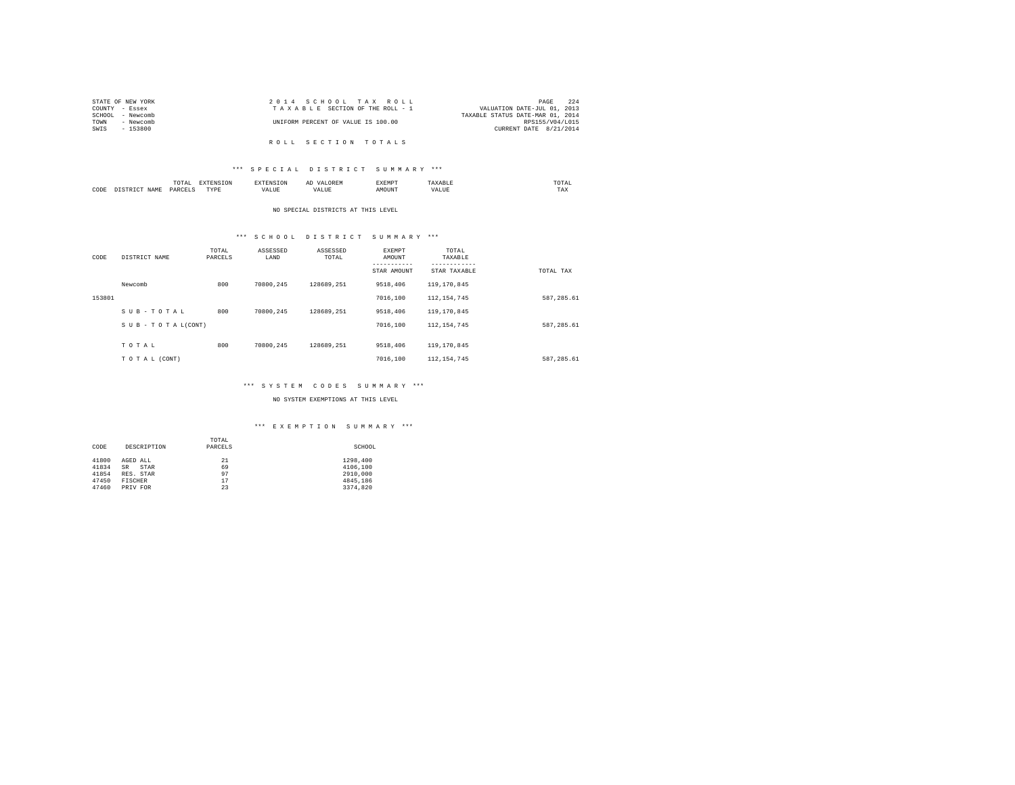| STATE OF NEW YORK | 2014 SCHOOL TAX ROLL               | 224<br>PAGE                      |
|-------------------|------------------------------------|----------------------------------|
| COUNTY - Essex    | TAXABLE SECTION OF THE ROLL - 1    | VALUATION DATE-JUL 01, 2013      |
| SCHOOL - Newcomb  |                                    | TAXABLE STATUS DATE-MAR 01, 2014 |
| TOWN<br>- Newcomb | UNIFORM PERCENT OF VALUE IS 100.00 | RPS155/V04/L015                  |
| SWIS<br>- 153800  |                                    | CURRENT DATE 8/21/2014           |
|                   |                                    |                                  |
|                   | ROLL SECTION TOTALS                |                                  |

## \*\*\* S P E C I A L D I S T R I C T S U M M A R Y \*\*\*

|      | $\cdots$  |   | ▵ |     | the contract of the contract of the contract of |
|------|-----------|---|---|-----|-------------------------------------------------|
| CODE | DΔR-<br>. | . |   | $-$ | ---<br>L'AX                                     |

#### NO SPECIAL DISTRICTS AT THIS LEVEL

# \*\*\* S C H O O L D I S T R I C T S U M M A R Y \*\*\*

| CODE   | DISTRICT NAME   | TOTAL<br>PARCELS | ASSESSED<br>LAND | ASSESSED<br>TOTAL | EXEMPT<br>AMOUNT | TOTAL<br>TAXABLE<br>--------- |            |
|--------|-----------------|------------------|------------------|-------------------|------------------|-------------------------------|------------|
|        |                 |                  |                  |                   | STAR AMOUNT      | STAR TAXABLE                  | TOTAL TAX  |
|        | Newcomb         | 800              | 70800.245        | 128689.251        | 9518,406         | 119, 170, 845                 |            |
| 153801 |                 |                  |                  |                   | 7016,100         | 112, 154, 745                 | 587,285.61 |
|        | SUB-TOTAL       | 800              | 70800.245        | 128689.251        | 9518,406         | 119, 170, 845                 |            |
|        | SUB-TOTAL(CONT) |                  |                  |                   | 7016,100         | 112.154.745                   | 587.285.61 |
|        |                 |                  |                  |                   |                  |                               |            |
|        | TOTAL           | 800              | 70800.245        | 128689.251        | 9518,406         | 119, 170, 845                 |            |
|        | TOTAL (CONT)    |                  |                  |                   | 7016,100         | 112, 154, 745                 | 587.285.61 |

# \*\*\* S Y S T E M C O D E S S U M M A R Y \*\*\*

NO SYSTEM EXEMPTIONS AT THIS LEVEL

## \*\*\* E X E M P T I O N S U M M A R Y \*\*\*

|       |                   | TOTAL   |          |
|-------|-------------------|---------|----------|
| CODE  | DESCRIPTION       | PARCELS | SCHOOL   |
|       |                   |         |          |
| 41800 | AGED ALL          | 21      | 1298,400 |
| 41834 | <b>SR</b><br>STAR | 69      | 4106,100 |
| 41854 | RES. STAR         | 97      | 2910,000 |
| 47450 | FISCHER           | 17      | 4845.186 |
| 47460 | PRIV FOR          | 23      | 3374.820 |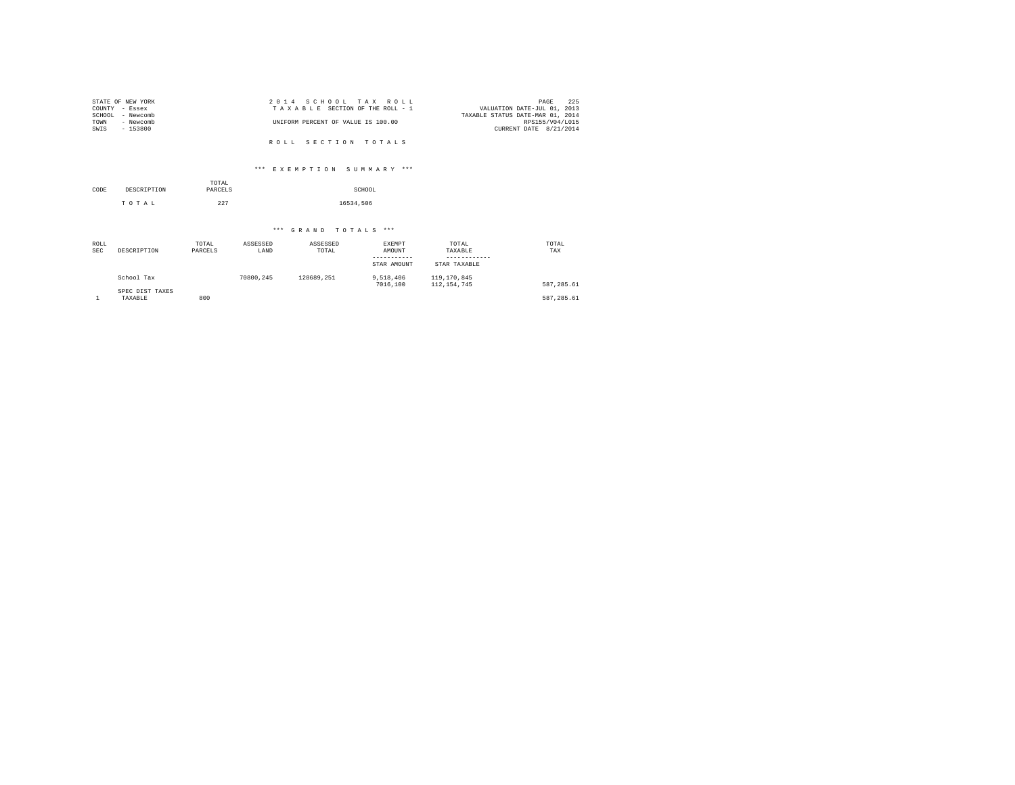| STATE OF NEW YORK | 2014 SCHOOL TAX ROLL               | 225<br>PAGE                      |
|-------------------|------------------------------------|----------------------------------|
| COUNTY - Essex    | TAXABLE SECTION OF THE ROLL - 1    | VALUATION DATE-JUL 01, 2013      |
| SCHOOL - Newcomb  |                                    | TAXABLE STATUS DATE-MAR 01, 2014 |
| TOWN<br>- Newcomb | UNIFORM PERCENT OF VALUE IS 100.00 | RPS155/V04/L015                  |
| SWIS<br>- 153800  |                                    | CURRENT DATE 8/21/2014           |
|                   |                                    |                                  |
|                   | ROLL SECTION TOTALS                |                                  |

\*\*\* E X E M P T I O N S U M M A R Y \*\*\*

| CODE | DESCRIPTION | TOTAL<br>PARCELS | SCHOOL    |
|------|-------------|------------------|-----------|
|      | TOTAL       | 227              | 16534.506 |

\*\*\* G R A N D T O T A L S \*\*\*

| ROLL<br><b>SEC</b> | DESCRIPTION                | TOTAL<br>PARCELS | ASSESSED<br>LAND | ASSESSED<br>TOTAL | EXEMPT<br>AMOUNT<br>-----------<br>STAR AMOUNT | TOTAL<br>TAXABLE<br>------------<br>STAR TAXABLE | TOTAL<br>TAX |
|--------------------|----------------------------|------------------|------------------|-------------------|------------------------------------------------|--------------------------------------------------|--------------|
|                    | School Tax                 |                  | 70800.245        | 128689.251        | 9,518,406<br>7016,100                          | 119,170,845<br>112, 154, 745                     | 587.285.61   |
|                    | SPEC DIST TAXES<br>TAXABLE | 800              |                  |                   |                                                |                                                  | 587,285.61   |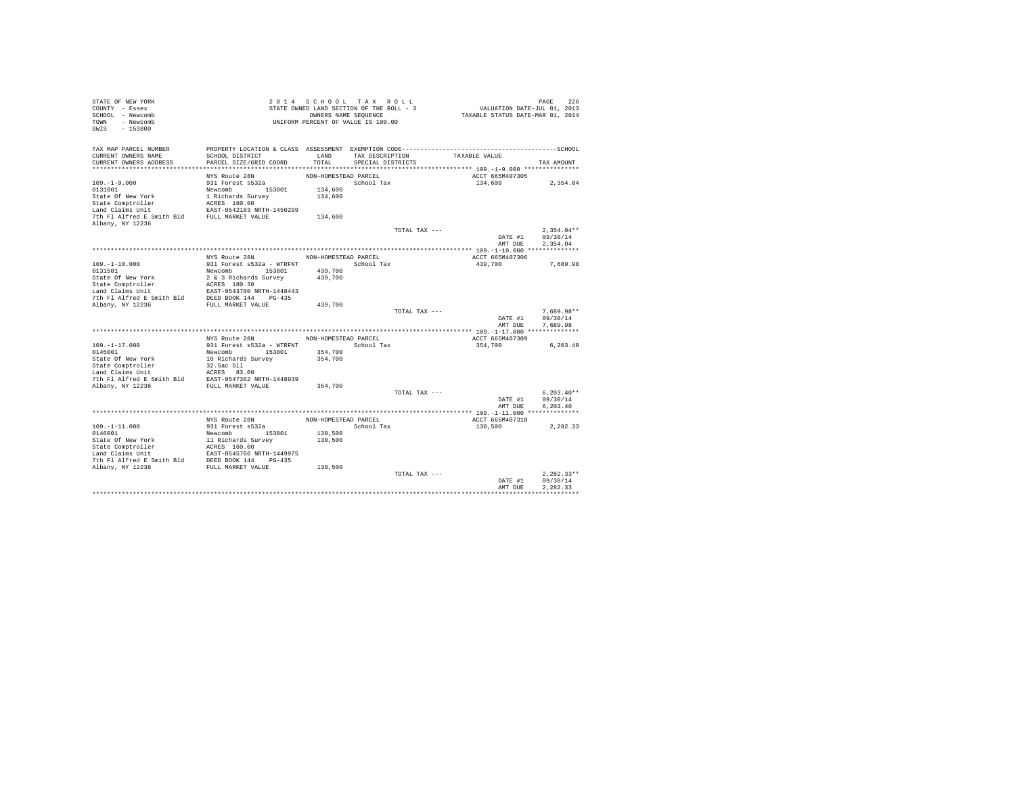| STATE OF NEW YORK<br>COUNTY - Essex<br>SCHOOL - Newcomb<br>TOWN - Newcomb<br>$-153800$<br>SWIS |                                                                                                                 |                      | 2014 SCHOOL TAX ROLL<br>STATE OWNED LAND SECTION OF THE ROLL - 3<br>OWNERS NAME SEQUENCE<br>UNIFORM PERCENT OF VALUE IS 100.00 |               | VALUATION DATE-JUL 01, 2013<br>TAXABLE STATUS DATE-MAR 01, 2014 | PAGE<br>226              |
|------------------------------------------------------------------------------------------------|-----------------------------------------------------------------------------------------------------------------|----------------------|--------------------------------------------------------------------------------------------------------------------------------|---------------|-----------------------------------------------------------------|--------------------------|
| TAX MAP PARCEL NUMBER<br>CURRENT OWNERS NAME                                                   | PROPERTY LOCATION & CLASS ASSESSMENT EXEMPTION CODE-----------------------------------SCHOOL<br>SCHOOL DISTRICT | LAND                 | TAX DESCRIPTION                                                                                                                |               | TAXABLE VALUE                                                   |                          |
| CURRENT OWNERS ADDRESS                                                                         | PARCEL SIZE/GRID COORD                                                                                          | TOTAL                | SPECIAL DISTRICTS                                                                                                              |               |                                                                 | TAX AMOUNT               |
|                                                                                                | NYS Route 28N                                                                                                   | NON-HOMESTEAD PARCEL |                                                                                                                                |               | ACCT 665M407305                                                 |                          |
| $109. - 1 - 9.000$                                                                             | 931 Forest s532a                                                                                                |                      | School Tax                                                                                                                     |               | 134,600                                                         | 2,354.04                 |
| 0131001                                                                                        | Newcomb 153801                                                                                                  | 134,600              |                                                                                                                                |               |                                                                 |                          |
| State Of New York                                                                              | 1 Richards Survey                                                                                               | 134,600              |                                                                                                                                |               |                                                                 |                          |
| State Comptroller                                                                              | ACRES 160.00                                                                                                    |                      |                                                                                                                                |               |                                                                 |                          |
| Land Claims Unit                                                                               | EAST-0542183 NRTH-1450299                                                                                       |                      |                                                                                                                                |               |                                                                 |                          |
| 7th Fl Alfred E Smith Bld FULL MARKET VALUE                                                    |                                                                                                                 | 134,600              |                                                                                                                                |               |                                                                 |                          |
| Albany, NY 12236                                                                               |                                                                                                                 |                      |                                                                                                                                | TOTAL TAX --- |                                                                 | $2.354.04**$             |
|                                                                                                |                                                                                                                 |                      |                                                                                                                                |               | DATE #1                                                         | 09/30/14                 |
|                                                                                                |                                                                                                                 |                      |                                                                                                                                |               | AMT DUE                                                         | 2.354.04                 |
|                                                                                                |                                                                                                                 |                      |                                                                                                                                |               |                                                                 |                          |
|                                                                                                | NYS Route 28N                                                                                                   | NON-HOMESTEAD PARCEL |                                                                                                                                |               | ACCT 665M407306                                                 |                          |
| $109. - 1 - 10.000$                                                                            | 931 Forest s532a - WTRFNT                                                                                       |                      | School Tax                                                                                                                     |               | 439,700                                                         | 7,689.98                 |
| 0131501                                                                                        | Newcomb 153801                                                                                                  | 439,700              |                                                                                                                                |               |                                                                 |                          |
| State Of New York                                                                              | 2 & 3 Richards Survey                                                                                           | 439,700              |                                                                                                                                |               |                                                                 |                          |
| State Comptroller<br>Land Claims Unit                                                          | ACRES 180.30<br>EAST-0543700 NRTH-1448443                                                                       |                      |                                                                                                                                |               |                                                                 |                          |
| 7th Fl Alfred E Smith Bld                                                                      | DEED BOOK 144 PG-435                                                                                            |                      |                                                                                                                                |               |                                                                 |                          |
| Albany, NY 12236                                                                               | FULL MARKET VALUE                                                                                               | 439,700              |                                                                                                                                |               |                                                                 |                          |
|                                                                                                |                                                                                                                 |                      |                                                                                                                                | TOTAL TAX --- |                                                                 | $7.689.98**$             |
|                                                                                                |                                                                                                                 |                      |                                                                                                                                |               | DATE #1                                                         | 09/30/14                 |
|                                                                                                |                                                                                                                 |                      |                                                                                                                                |               | AMT DUE                                                         | 7.689.98                 |
|                                                                                                |                                                                                                                 |                      |                                                                                                                                |               |                                                                 |                          |
|                                                                                                | NYS Route 28N                                                                                                   | NON-HOMESTEAD PARCEL | School Tax                                                                                                                     |               | ACCT 665M407309                                                 |                          |
| $109. -1 - 17.000$<br>0145001                                                                  | 931 Forest s532a - WTRFNT<br>Newcomb 153801                                                                     | 354,700              |                                                                                                                                |               | 354,700                                                         | 6, 203.40                |
| State Of New York                                                                              | 10 Richards Survey                                                                                              | 354,700              |                                                                                                                                |               |                                                                 |                          |
| State Comptroller                                                                              | 32.5ac S11                                                                                                      |                      |                                                                                                                                |               |                                                                 |                          |
| Land Claims Unit                                                                               | ACRES 83.00                                                                                                     |                      |                                                                                                                                |               |                                                                 |                          |
| 7th Fl Alfred E Smith Bld EAST-0547362 NRTH-1448939                                            |                                                                                                                 |                      |                                                                                                                                |               |                                                                 |                          |
| Albany, NY 12236                                                                               | FULL MARKET VALUE                                                                                               | 354,700              |                                                                                                                                |               |                                                                 |                          |
|                                                                                                |                                                                                                                 |                      |                                                                                                                                | TOTAL TAX --- | DATE #1                                                         | $6.203.40**$<br>09/30/14 |
|                                                                                                |                                                                                                                 |                      |                                                                                                                                |               | AMT DUE                                                         | 6.203.40                 |
|                                                                                                |                                                                                                                 |                      |                                                                                                                                |               |                                                                 |                          |
|                                                                                                | NYS Route 28N                                                                                                   | NON-HOMESTEAD PARCEL |                                                                                                                                |               | ACCT 665M407310                                                 |                          |
| $109. - 1 - 11.000$                                                                            | 931 Forest s532a                                                                                                |                      | School Tax                                                                                                                     |               | 130,500                                                         | 2.282.33                 |
| 0146001                                                                                        | Newcomb 153801                                                                                                  | 130,500              |                                                                                                                                |               |                                                                 |                          |
| State Of New York                                                                              | 11 Richards Survey<br>ACRES 160.00<br>EAST-0545766 NRTH-1449975                                                 | 130,500              |                                                                                                                                |               |                                                                 |                          |
| State On New<br>State Comptroller<br>Land Claims Unit                                          |                                                                                                                 |                      |                                                                                                                                |               |                                                                 |                          |
| 7th Fl Alfred E Smith Bld                                                                      | DEED BOOK 144 PG-435                                                                                            |                      |                                                                                                                                |               |                                                                 |                          |
| Albany, NY 12236                                                                               | FULL MARKET VALUE                                                                                               | 130,500              |                                                                                                                                |               |                                                                 |                          |
|                                                                                                |                                                                                                                 |                      |                                                                                                                                | TOTAL TAX --- |                                                                 | $2.282.33**$             |
|                                                                                                |                                                                                                                 |                      |                                                                                                                                |               | DATE #1                                                         | 09/30/14                 |
|                                                                                                |                                                                                                                 |                      |                                                                                                                                |               | AMT DUE                                                         | 2.282.33                 |
|                                                                                                |                                                                                                                 |                      |                                                                                                                                |               |                                                                 |                          |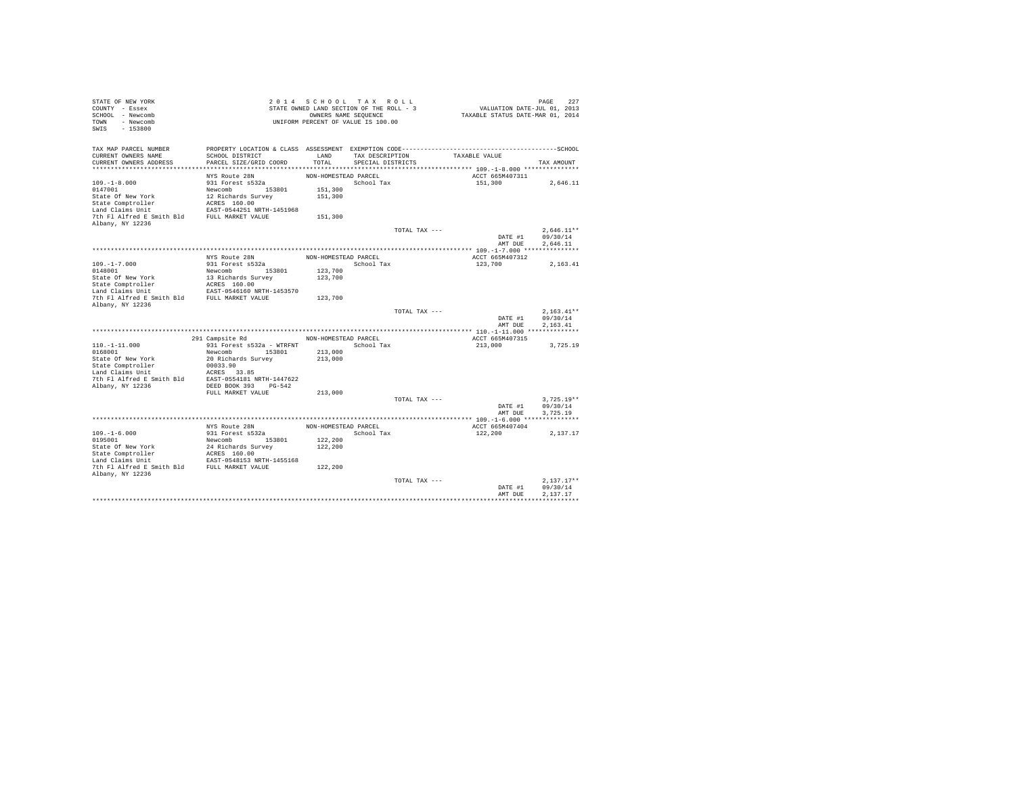| STATE OF NEW YORK<br>COUNTY - Essex               |                                                                 | 2014 SCHOOL TAX ROLL<br>STATE OWNED LAND SECTION OF THE ROLL - 3 |                   |               | VALUATION DATE-JUL $01$ , 2013   |         | PAGE                     | 227      |
|---------------------------------------------------|-----------------------------------------------------------------|------------------------------------------------------------------|-------------------|---------------|----------------------------------|---------|--------------------------|----------|
| SCHOOL - Newcomb                                  |                                                                 | OWNERS NAME SEQUENCE                                             |                   |               | TAXABLE STATUS DATE-MAR 01, 2014 |         |                          |          |
| TOWN - Newcomb                                    |                                                                 | UNIFORM PERCENT OF VALUE IS 100.00                               |                   |               |                                  |         |                          |          |
| SWIS<br>$-153800$                                 |                                                                 |                                                                  |                   |               |                                  |         |                          |          |
| TAX MAP PARCEL NUMBER                             |                                                                 |                                                                  |                   |               |                                  |         |                          |          |
| CURRENT OWNERS NAME                               | SCHOOL DISTRICT                                                 | LAND                                                             | TAX DESCRIPTION   |               | TAXABLE VALUE                    |         |                          |          |
| CURRENT OWNERS ADDRESS                            | PARCEL SIZE/GRID COORD                                          | TOTAL                                                            | SPECIAL DISTRICTS |               |                                  |         | TAX AMOUNT               |          |
|                                                   |                                                                 |                                                                  |                   |               |                                  |         |                          |          |
|                                                   | NYS Route 28N                                                   | NON-HOMESTEAD PARCEL                                             |                   |               | ACCT 665M407311                  |         |                          |          |
| $109. - 1 - 8.000$                                | 931 Forest s532a                                                |                                                                  | School Tax        |               | 151,300                          |         |                          | 2,646.11 |
| 0147001                                           | Newcomb 153801                                                  | 151,300                                                          |                   |               |                                  |         |                          |          |
| State Of New York                                 | 12 Richards Survey                                              | 151,300                                                          |                   |               |                                  |         |                          |          |
| State Comptroller<br>Land Claims Unit             | ACRES 160.00<br>EAST-0544251 NRTH-1451968                       |                                                                  |                   |               |                                  |         |                          |          |
| 7th Fl Alfred E Smith Bld FULL MARKET VALUE       |                                                                 | 151,300                                                          |                   |               |                                  |         |                          |          |
| Albany, NY 12236                                  |                                                                 |                                                                  |                   |               |                                  |         |                          |          |
|                                                   |                                                                 |                                                                  |                   | TOTAL TAX --- |                                  |         | $2.646.11**$             |          |
|                                                   |                                                                 |                                                                  |                   |               |                                  | DATE #1 | 09/30/14                 |          |
|                                                   |                                                                 |                                                                  |                   |               |                                  | AMT DUE | 2.646.11                 |          |
|                                                   |                                                                 |                                                                  |                   |               |                                  |         |                          |          |
|                                                   | NYS Route 28N                                                   | NON-HOMESTEAD PARCEL                                             |                   |               | ACCT 665M407312                  |         |                          |          |
| $109. -1 - 7.000$                                 | 931 Forest s532a                                                |                                                                  | School Tax        |               | 123,700                          |         | 2,163.41                 |          |
| 0148001                                           | Newcomb 153801                                                  | 123,700                                                          |                   |               |                                  |         |                          |          |
| State Of New York                                 | 13 Richards Survey                                              | 123,700                                                          |                   |               |                                  |         |                          |          |
| State Comptroller<br>Land Claims Unit             | ACRES 160.00<br>ACRES 160.00<br>EAST-0546160 NRTH-1453570       |                                                                  |                   |               |                                  |         |                          |          |
| 7th Fl Alfred E Smith Bld FULL MARKET VALUE       |                                                                 | 123,700                                                          |                   |               |                                  |         |                          |          |
| Albany, NY 12236                                  |                                                                 |                                                                  |                   |               |                                  |         |                          |          |
|                                                   |                                                                 |                                                                  |                   | TOTAL TAX --- |                                  |         | $2.163.41**$             |          |
|                                                   |                                                                 |                                                                  |                   |               |                                  | DATE #1 | 09/30/14                 |          |
|                                                   |                                                                 |                                                                  |                   |               |                                  | AMT DUE | 2.163.41                 |          |
|                                                   |                                                                 |                                                                  |                   |               |                                  |         |                          |          |
|                                                   | 291 Campsite Rd NON-HOMESTEAD PARCEL                            |                                                                  |                   |               | ACCT 665M407315                  |         |                          |          |
| $110. - 1 - 11.000$                               | 931 Forest s532a - WTRFNT                                       |                                                                  | School Tax        |               | 213,000                          |         |                          | 3,725.19 |
| 0168001                                           | Newcomb 153801                                                  | 213,000                                                          |                   |               |                                  |         |                          |          |
| State Of New York                                 | 20 Richards Survey                                              | 213,000                                                          |                   |               |                                  |         |                          |          |
| State Comptroller<br>Land Claims Unit<br>00033.90 |                                                                 |                                                                  |                   |               |                                  |         |                          |          |
|                                                   |                                                                 |                                                                  |                   |               |                                  |         |                          |          |
|                                                   |                                                                 |                                                                  |                   |               |                                  |         |                          |          |
| Albany, NY 12236                                  | DEED BOOK 393 PG-542<br>FULL MARKET VALUE                       | 213,000                                                          |                   |               |                                  |         |                          |          |
|                                                   |                                                                 |                                                                  |                   | TOTAL TAX --- |                                  |         | $3,725.19**$             |          |
|                                                   |                                                                 |                                                                  |                   |               |                                  | DATE #1 | 09/30/14                 |          |
|                                                   |                                                                 |                                                                  |                   |               |                                  | AMT DUE | 3.725.19                 |          |
|                                                   |                                                                 |                                                                  |                   |               |                                  |         |                          |          |
|                                                   | NYS Route 28N                                                   | NON-HOMESTEAD PARCEL                                             |                   |               | ACCT 665M407404                  |         |                          |          |
| $109. - 1 - 6.000$                                | 931 Forest s532a                                                |                                                                  | School Tax        |               | 122,200                          |         | 2,137.17                 |          |
| 0195001                                           | Newcomb 153801                                                  | 122,200                                                          |                   |               |                                  |         |                          |          |
| State Of New York                                 |                                                                 | 122,200                                                          |                   |               |                                  |         |                          |          |
| State Comptroller                                 | 24 Richards Survey<br>ACRES 160.00<br>EAST-0548153 NRTH-1455168 |                                                                  |                   |               |                                  |         |                          |          |
| Land Claims Unit                                  |                                                                 |                                                                  |                   |               |                                  |         |                          |          |
| 7th Fl Alfred E Smith Bld FULL MARKET VALUE       |                                                                 | 122,200                                                          |                   |               |                                  |         |                          |          |
| Albany, NY 12236                                  |                                                                 |                                                                  |                   |               |                                  |         |                          |          |
|                                                   |                                                                 |                                                                  |                   | TOTAL TAX --- |                                  | DATE #1 | $2.137.17**$<br>09/30/14 |          |
|                                                   |                                                                 |                                                                  |                   |               |                                  | AMT DUE | 2.137.17                 |          |
|                                                   |                                                                 |                                                                  |                   |               |                                  |         |                          |          |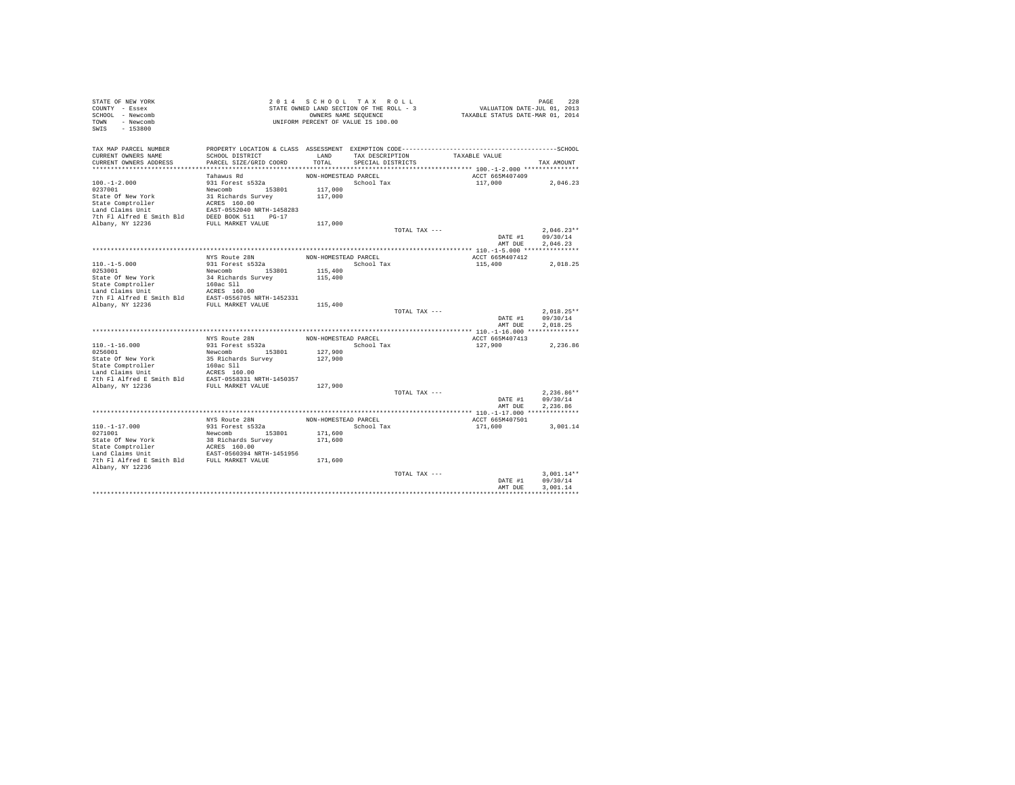| STATE OF NEW YORK<br>COUNTY - Essex<br>SCHOOL - Newcomb<br>TOWN - Newcomb<br>$-153800$<br>SWIS |                                                                                                                 |                      | 2014 SCHOOL TAX ROLL<br>STATE OWNED LAND SECTION OF THE ROLL - 3<br>OWNERS NAME SEQUENCE<br>UNIFORM PERCENT OF VALUE IS 100.00 |               | VALUATION DATE-JUL 01, 2013<br>TAXABLE STATUS DATE-MAR 01, 2014 | PAGE<br>228          |
|------------------------------------------------------------------------------------------------|-----------------------------------------------------------------------------------------------------------------|----------------------|--------------------------------------------------------------------------------------------------------------------------------|---------------|-----------------------------------------------------------------|----------------------|
| TAX MAP PARCEL NUMBER<br>CURRENT OWNERS NAME                                                   | PROPERTY LOCATION & CLASS ASSESSMENT EXEMPTION CODE-----------------------------------SCHOOL<br>SCHOOL DISTRICT | LAND                 | TAX DESCRIPTION                                                                                                                |               | TAXABLE VALUE                                                   |                      |
| CURRENT OWNERS ADDRESS                                                                         | PARCEL SIZE/GRID COORD                                                                                          | TOTAL                | SPECIAL DISTRICTS                                                                                                              |               |                                                                 | TAX AMOUNT           |
|                                                                                                |                                                                                                                 |                      |                                                                                                                                |               |                                                                 |                      |
|                                                                                                | Tahawus Rd                                                                                                      | NON-HOMESTEAD PARCEL |                                                                                                                                |               | ACCT 665M407409                                                 |                      |
| $100. -1 - 2.000$                                                                              | 931 Forest s532a                                                                                                |                      | School Tax                                                                                                                     |               | 117,000                                                         | 2,046.23             |
| 0237001                                                                                        | Newcomb 153801                                                                                                  | 117,000              |                                                                                                                                |               |                                                                 |                      |
| State Of New York<br>State Comptroller                                                         | 31 Richards Survey                                                                                              | 117,000              |                                                                                                                                |               |                                                                 |                      |
| Land Claims Unit                                                                               | ACRES 160.00<br>EAST-0552040 NRTH-1458283                                                                       |                      |                                                                                                                                |               |                                                                 |                      |
| 7th Fl Alfred E Smith Bld                                                                      | DEED BOOK 511 PG-17                                                                                             |                      |                                                                                                                                |               |                                                                 |                      |
| Albany, NY 12236                                                                               | FULL MARKET VALUE                                                                                               | 117,000              |                                                                                                                                |               |                                                                 |                      |
|                                                                                                |                                                                                                                 |                      |                                                                                                                                | TOTAL TAX --- |                                                                 | $2.046.23**$         |
|                                                                                                |                                                                                                                 |                      |                                                                                                                                |               | DATE #1                                                         | 09/30/14             |
|                                                                                                |                                                                                                                 |                      |                                                                                                                                |               | AMT DUE                                                         | 2.046.23             |
|                                                                                                | NYS Route 28N                                                                                                   | NON-HOMESTEAD PARCEL |                                                                                                                                |               | ACCT 665M407412                                                 |                      |
| $110. -1 - 5.000$                                                                              | 931 Forest s532a                                                                                                |                      | School Tax                                                                                                                     |               | 115,400                                                         | 2.018.25             |
| 0253001                                                                                        | Newcomb 153801                                                                                                  | 115,400              |                                                                                                                                |               |                                                                 |                      |
| State Of New York                                                                              | 34 Richards Survey                                                                                              | 115,400              |                                                                                                                                |               |                                                                 |                      |
| State Comptroller                                                                              | 160ac Sll                                                                                                       |                      |                                                                                                                                |               |                                                                 |                      |
| Land Claims Unit                                                                               | ACRES 160.00                                                                                                    |                      |                                                                                                                                |               |                                                                 |                      |
| 7th Fl Alfred E Smith Bld                                                                      | EAST-0556705 NRTH-1452331                                                                                       |                      |                                                                                                                                |               |                                                                 |                      |
| Albany, NY 12236                                                                               | FULL MARKET VALUE                                                                                               | 115,400              |                                                                                                                                | TOTAL TAX --- |                                                                 | $2.018.25**$         |
|                                                                                                |                                                                                                                 |                      |                                                                                                                                |               | DATE #1                                                         | 09/30/14             |
|                                                                                                |                                                                                                                 |                      |                                                                                                                                |               | AMT DUE                                                         | 2.018.25             |
|                                                                                                |                                                                                                                 |                      |                                                                                                                                |               |                                                                 |                      |
|                                                                                                | NYS Route 28N                                                                                                   | NON-HOMESTEAD PARCEL |                                                                                                                                |               | ACCT 665M407413                                                 |                      |
| $110. -1 - 16.000$                                                                             | 931 Forest s532a                                                                                                |                      | School Tax                                                                                                                     |               | 127,900                                                         | 2,236.86             |
| 0256001<br>State Of New York                                                                   | Newcomb 153801<br>35 Richards Survey                                                                            | 127,900<br>127,900   |                                                                                                                                |               |                                                                 |                      |
| State Comptroller                                                                              | 160ac Sll                                                                                                       |                      |                                                                                                                                |               |                                                                 |                      |
| Land Claims Unit                                                                               | ACRES 160.00                                                                                                    |                      |                                                                                                                                |               |                                                                 |                      |
| 7th Fl Alfred E Smith Bld                                                                      | EAST-0558331 NRTH-1450357                                                                                       |                      |                                                                                                                                |               |                                                                 |                      |
| Albany, NY 12236                                                                               | FULL MARKET VALUE                                                                                               | 127,900              |                                                                                                                                |               |                                                                 |                      |
|                                                                                                |                                                                                                                 |                      |                                                                                                                                | TOTAL TAX --- |                                                                 | $2.236.86**$         |
|                                                                                                |                                                                                                                 |                      |                                                                                                                                |               | DATE #1<br>AMT DUE                                              | 09/30/14<br>2.236.86 |
|                                                                                                |                                                                                                                 |                      |                                                                                                                                |               |                                                                 |                      |
|                                                                                                | NYS Route 28N                                                                                                   | NON-HOMESTEAD PARCEL |                                                                                                                                |               | ACCT 665M407501                                                 |                      |
| $110. - 1 - 17.000$                                                                            | 931 Forest s532a                                                                                                |                      | School Tax                                                                                                                     |               | 171,600                                                         | 3,001.14             |
| 0271001                                                                                        | Newcomb 153801                                                                                                  | 171,600              |                                                                                                                                |               |                                                                 |                      |
| State Of New York                                                                              | 38 Richards Survey<br>ACRES 160.00                                                                              | 171,600              |                                                                                                                                |               |                                                                 |                      |
| State Comptroller                                                                              |                                                                                                                 |                      |                                                                                                                                |               |                                                                 |                      |
| Land Claims Unit<br>7th Fl Alfred E Smith Bld FULL MARKET VALUE                                | EAST-0560394 NRTH-1451956                                                                                       | 171,600              |                                                                                                                                |               |                                                                 |                      |
| Albany, NY 12236                                                                               |                                                                                                                 |                      |                                                                                                                                |               |                                                                 |                      |
|                                                                                                |                                                                                                                 |                      |                                                                                                                                | TOTAL TAX --- |                                                                 | $3.001.14**$         |
|                                                                                                |                                                                                                                 |                      |                                                                                                                                |               | DATE #1                                                         | 09/30/14             |
|                                                                                                |                                                                                                                 |                      |                                                                                                                                |               | AMT DUE                                                         | 3.001.14             |
|                                                                                                |                                                                                                                 |                      |                                                                                                                                |               |                                                                 |                      |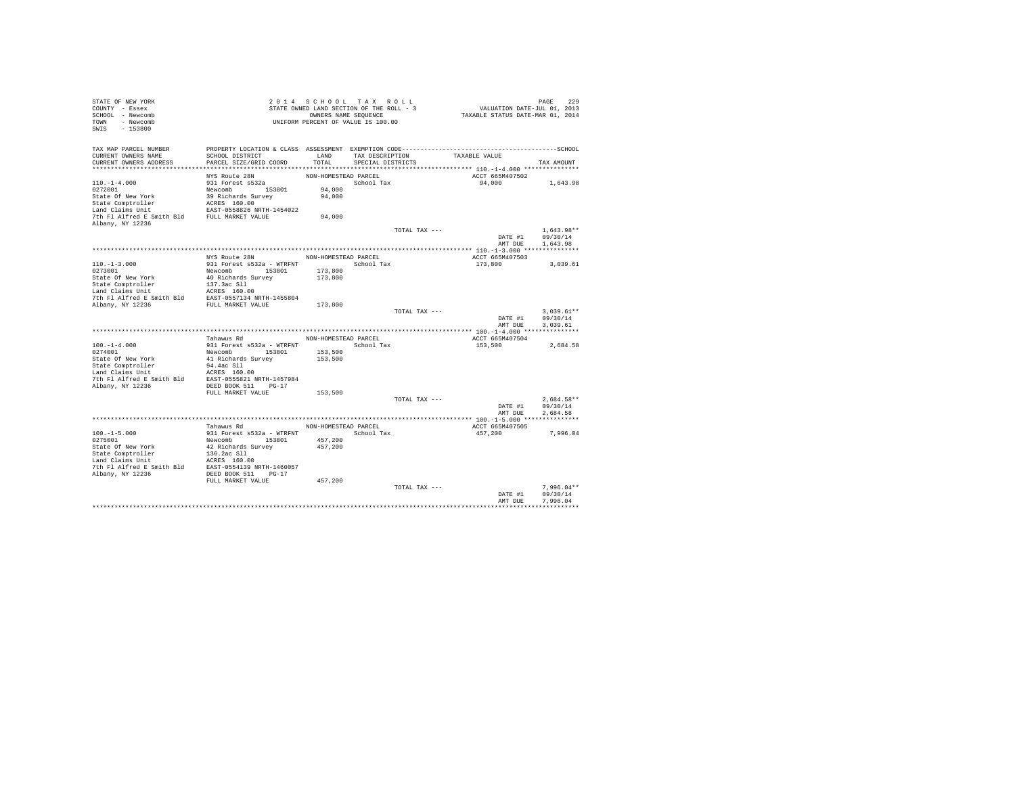| STATE OF NEW YORK                                                                                                                                                                                                                                                                                                                   |                                                                                                 |                                          |                   |                               |                                                                             |                  |
|-------------------------------------------------------------------------------------------------------------------------------------------------------------------------------------------------------------------------------------------------------------------------------------------------------------------------------------|-------------------------------------------------------------------------------------------------|------------------------------------------|-------------------|-------------------------------|-----------------------------------------------------------------------------|------------------|
| COUNTY - Essex                                                                                                                                                                                                                                                                                                                      |                                                                                                 | STATE OWNED LAND SECTION OF THE ROLL - 3 |                   |                               | PAGE 229<br>VALUATION DATE-JUL 01, 2013<br>TAXABLE STATUS DATE-MAR 01, 2014 |                  |
| SCHOOL - Newcomb                                                                                                                                                                                                                                                                                                                    |                                                                                                 | OWNERS NAME SEQUENCE                     |                   |                               |                                                                             |                  |
| TOWN - Newcomb                                                                                                                                                                                                                                                                                                                      |                                                                                                 |                                          |                   |                               |                                                                             |                  |
| $-153800$<br>SWIS                                                                                                                                                                                                                                                                                                                   |                                                                                                 |                                          |                   |                               |                                                                             |                  |
|                                                                                                                                                                                                                                                                                                                                     | STATE OWNED LEADERS NAME SEQUENCE<br>OWNERS NAME SEQUENCE<br>UNIFORM PERCENT OF VALUE IS 100.00 |                                          |                   |                               |                                                                             |                  |
|                                                                                                                                                                                                                                                                                                                                     |                                                                                                 |                                          |                   |                               |                                                                             |                  |
| TAX MAP PARCEL NUMBER THE PROPERTY LOCATION & CLASS ASSESSMENT EXEMPTION CODE--------------------------------SCHOOL                                                                                                                                                                                                                 |                                                                                                 |                                          |                   |                               |                                                                             |                  |
| CURRENT OWNERS NAME                                                                                                                                                                                                                                                                                                                 | SCHOOL DISTRICT                                                                                 | LAND                                     |                   | TAX DESCRIPTION TAXABLE VALUE |                                                                             |                  |
| CURRENT OWNERS ADDRESS                                                                                                                                                                                                                                                                                                              | PARCEL SIZE/GRID COORD                                                                          | TOTAL                                    | SPECIAL DISTRICTS |                               |                                                                             | TAX AMOUNT       |
|                                                                                                                                                                                                                                                                                                                                     |                                                                                                 |                                          |                   |                               |                                                                             |                  |
|                                                                                                                                                                                                                                                                                                                                     | NYS Route 28N                                                                                   | NON-HOMESTEAD PARCEL                     |                   |                               | ACCT 665M407502                                                             |                  |
| $110. - 1 - 4.000$                                                                                                                                                                                                                                                                                                                  | 931 Forest s532a                                                                                |                                          | School Tax        |                               | 94,000 1,643.98                                                             |                  |
| $110.-1-4.000$<br>0272001                                                                                                                                                                                                                                                                                                           |                                                                                                 | 94,000                                   |                   |                               |                                                                             |                  |
|                                                                                                                                                                                                                                                                                                                                     |                                                                                                 | 94,000                                   |                   |                               |                                                                             |                  |
|                                                                                                                                                                                                                                                                                                                                     |                                                                                                 |                                          |                   |                               |                                                                             |                  |
| 102-1-1-1-100<br>2022001 Newcomb 353801<br>State Of New York 39 Richards Survey<br>State Comptroller<br>160.00<br>Land Claims Unit 164022<br>202201 Newcomb 20238362 NRTH-1454022<br>2023 Newcomb 20238362 NRTH-1454022<br>2021 Phillips Smith                                                                                      |                                                                                                 |                                          |                   |                               |                                                                             |                  |
|                                                                                                                                                                                                                                                                                                                                     |                                                                                                 | 94,000                                   |                   |                               |                                                                             |                  |
| Albany, NY 12236                                                                                                                                                                                                                                                                                                                    |                                                                                                 |                                          |                   |                               |                                                                             |                  |
|                                                                                                                                                                                                                                                                                                                                     |                                                                                                 |                                          |                   | TOTAL TAX ---                 |                                                                             | $1.643.98**$     |
|                                                                                                                                                                                                                                                                                                                                     |                                                                                                 |                                          |                   |                               | DATE #1                                                                     | 09/30/14         |
|                                                                                                                                                                                                                                                                                                                                     |                                                                                                 |                                          |                   |                               |                                                                             | AMT DUE 1,643.98 |
|                                                                                                                                                                                                                                                                                                                                     |                                                                                                 |                                          |                   |                               |                                                                             |                  |
|                                                                                                                                                                                                                                                                                                                                     | NYS Route 28N MON-HOMESTEAD PARCEL                                                              |                                          |                   |                               |                                                                             |                  |
|                                                                                                                                                                                                                                                                                                                                     |                                                                                                 |                                          |                   |                               | ACCT 665M407503                                                             |                  |
| $110.-1-3.000$<br>0273001                                                                                                                                                                                                                                                                                                           | 931 Forest s532a - WTRFNT School Tax                                                            |                                          |                   |                               | 173,800                                                                     | 3,039.61         |
|                                                                                                                                                                                                                                                                                                                                     |                                                                                                 |                                          |                   |                               |                                                                             |                  |
|                                                                                                                                                                                                                                                                                                                                     |                                                                                                 |                                          |                   |                               |                                                                             |                  |
|                                                                                                                                                                                                                                                                                                                                     |                                                                                                 |                                          |                   |                               |                                                                             |                  |
|                                                                                                                                                                                                                                                                                                                                     |                                                                                                 |                                          |                   |                               |                                                                             |                  |
|                                                                                                                                                                                                                                                                                                                                     |                                                                                                 |                                          |                   |                               |                                                                             |                  |
| $\begin{tabular}{l c c c c c} \hline $1217$-10701$ & $51601$ & $51824$ & $17814$ \\ \hline 0273001$ & $40$ & $161611$ & $153001$ & $173,800$ \\ \hline State Computer & $40$ & $1616163$ & $173,800$ & $173,800$ \\ \hline State Computer & $137.3ac S11$ & $1214$ & $17414$ & $17414$ & $17414$ & $17414$ & $17414$ & $17414$ & $$ |                                                                                                 |                                          |                   |                               |                                                                             |                  |
|                                                                                                                                                                                                                                                                                                                                     |                                                                                                 |                                          |                   | TOTAL TAX ---                 |                                                                             | $3,039.61**$     |
|                                                                                                                                                                                                                                                                                                                                     |                                                                                                 |                                          |                   |                               |                                                                             | DATE #1 09/30/14 |
|                                                                                                                                                                                                                                                                                                                                     |                                                                                                 |                                          |                   |                               | AMT DUE                                                                     | 3.039.61         |
|                                                                                                                                                                                                                                                                                                                                     |                                                                                                 |                                          |                   |                               |                                                                             |                  |
|                                                                                                                                                                                                                                                                                                                                     | Tahawus Rd                                                                                      | NON-HOMESTEAD PARCEL                     |                   |                               | ACCT 665M407504                                                             |                  |
| $[100. -1-4.000$ $0.014001$ $0.01401$ $0.01401$ $0.01401$ $0.01401$ $0.01401$ $0.01401$ $0.01401$ $0.01401$ $0.01401$ $0.01401$ $0.01401$ $0.01401$ $0.01401$ $0.01401$ $0.01401$ $0.01401$ $0.01401$ $0.01401$ $0.01401$ $0.0$                                                                                                     |                                                                                                 |                                          |                   |                               | 153.500                                                                     | 2,684.58         |
|                                                                                                                                                                                                                                                                                                                                     |                                                                                                 |                                          |                   |                               |                                                                             |                  |
|                                                                                                                                                                                                                                                                                                                                     |                                                                                                 |                                          |                   |                               |                                                                             |                  |
|                                                                                                                                                                                                                                                                                                                                     |                                                                                                 |                                          |                   |                               |                                                                             |                  |
|                                                                                                                                                                                                                                                                                                                                     |                                                                                                 |                                          |                   |                               |                                                                             |                  |
|                                                                                                                                                                                                                                                                                                                                     |                                                                                                 |                                          |                   |                               |                                                                             |                  |
|                                                                                                                                                                                                                                                                                                                                     |                                                                                                 |                                          |                   |                               |                                                                             |                  |
|                                                                                                                                                                                                                                                                                                                                     | FULL MARKET VALUE                                                                               | 153,500                                  |                   |                               |                                                                             |                  |
|                                                                                                                                                                                                                                                                                                                                     |                                                                                                 |                                          |                   | TOTAL TAX ---                 |                                                                             | 2.684.58**       |
|                                                                                                                                                                                                                                                                                                                                     |                                                                                                 |                                          |                   |                               | DATE #1                                                                     | 09/30/14         |
|                                                                                                                                                                                                                                                                                                                                     |                                                                                                 |                                          |                   |                               | AMT DUE                                                                     | 2.684.58         |
|                                                                                                                                                                                                                                                                                                                                     |                                                                                                 |                                          |                   |                               |                                                                             |                  |
|                                                                                                                                                                                                                                                                                                                                     | Tahawus Rd                                                                                      | NON-HOMESTEAD PARCEL                     |                   |                               |                                                                             |                  |
|                                                                                                                                                                                                                                                                                                                                     |                                                                                                 |                                          |                   |                               | ACCT 665M407505                                                             |                  |
|                                                                                                                                                                                                                                                                                                                                     |                                                                                                 |                                          |                   |                               | 457,200                                                                     | 7,996.04         |
|                                                                                                                                                                                                                                                                                                                                     |                                                                                                 |                                          |                   |                               |                                                                             |                  |
|                                                                                                                                                                                                                                                                                                                                     |                                                                                                 |                                          |                   |                               |                                                                             |                  |
|                                                                                                                                                                                                                                                                                                                                     |                                                                                                 |                                          |                   |                               |                                                                             |                  |
|                                                                                                                                                                                                                                                                                                                                     |                                                                                                 |                                          |                   |                               |                                                                             |                  |
|                                                                                                                                                                                                                                                                                                                                     |                                                                                                 |                                          |                   |                               |                                                                             |                  |
| $[100,-1-5.000$ $231\text{ Forest } 5522a - \text{WTRENT}$ PORTSOO1 Tax<br>School Tax<br>School Tax<br>State Of New York<br>State Comptroller<br>12.6.2ac S11<br>14.2ac S12<br>24.2ac S11<br>24.57.200<br>24.57.200<br>24.57.200<br>24.57.200<br>24.57.200<br>24.57.200<br>2                                                        |                                                                                                 |                                          |                   |                               |                                                                             |                  |
|                                                                                                                                                                                                                                                                                                                                     | FULL MARKET VALUE                                                                               | 457,200                                  |                   |                               |                                                                             |                  |
|                                                                                                                                                                                                                                                                                                                                     |                                                                                                 |                                          |                   | TOTAL TAX ---                 |                                                                             | $7.996.04**$     |
|                                                                                                                                                                                                                                                                                                                                     |                                                                                                 |                                          |                   |                               | DATE #1                                                                     | 09/30/14         |
|                                                                                                                                                                                                                                                                                                                                     |                                                                                                 |                                          |                   |                               | AMT DUE                                                                     | 7.996.04         |
|                                                                                                                                                                                                                                                                                                                                     |                                                                                                 |                                          |                   |                               |                                                                             |                  |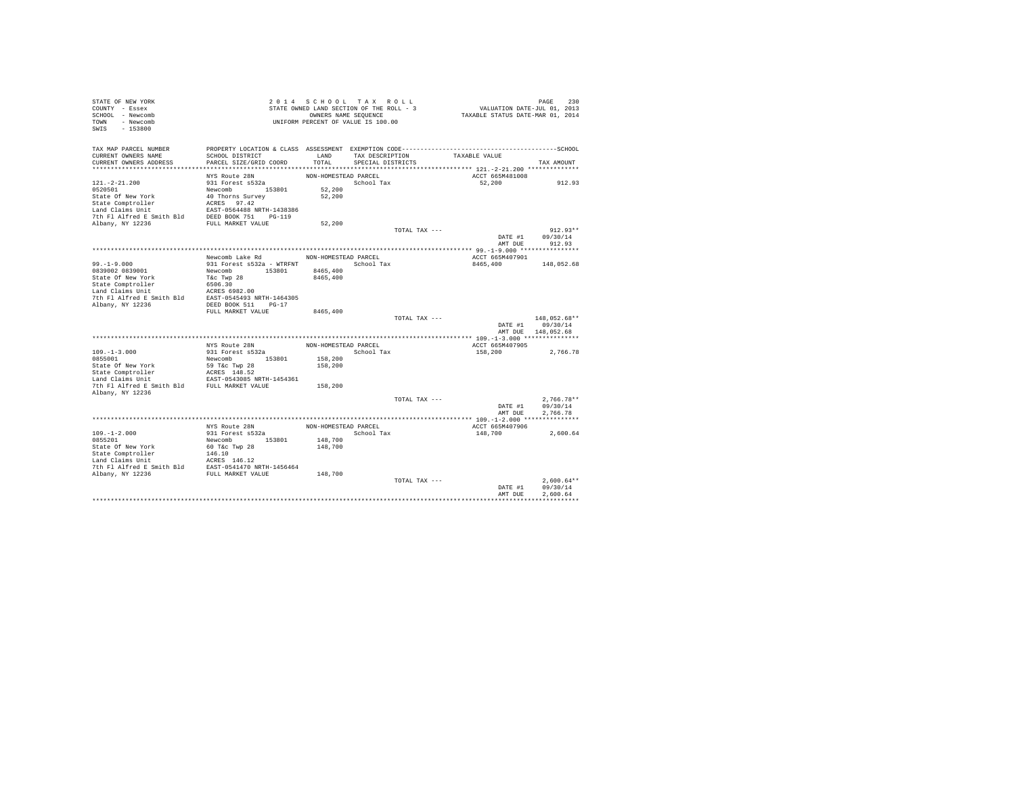| STATE OF NEW YORK<br>COUNTY - Essex                                                                                                                                                                                                                    |                                                            | 2014 SCHOOL TAX ROLL<br>STATE OWNED LAND SECTION OF THE ROLL - 3 |                   |               | PAGE 230<br>VALUATION DATE-JUL 01, 2013 |                    |              |        |
|--------------------------------------------------------------------------------------------------------------------------------------------------------------------------------------------------------------------------------------------------------|------------------------------------------------------------|------------------------------------------------------------------|-------------------|---------------|-----------------------------------------|--------------------|--------------|--------|
| SCHOOL - Newcomb                                                                                                                                                                                                                                       |                                                            | OWNERS NAME SEQUENCE                                             |                   |               | TAXABLE STATUS DATE-MAR 01, 2014        |                    |              |        |
| TOWN - Newcomb                                                                                                                                                                                                                                         |                                                            | UNIFORM PERCENT OF VALUE IS 100.00                               |                   |               |                                         |                    |              |        |
| SWIS<br>$-153800$                                                                                                                                                                                                                                      |                                                            |                                                                  |                   |               |                                         |                    |              |        |
|                                                                                                                                                                                                                                                        |                                                            |                                                                  |                   |               |                                         |                    |              |        |
| TAX MAP PARCEL NUMBER                                                                                                                                                                                                                                  |                                                            |                                                                  |                   |               |                                         |                    |              |        |
| CURRENT OWNERS NAME                                                                                                                                                                                                                                    | SCHOOL DISTRICT                                            | LAND                                                             | TAX DESCRIPTION   |               | TAXABLE VALUE                           |                    |              |        |
| CURRENT OWNERS ADDRESS                                                                                                                                                                                                                                 | PARCEL SIZE/GRID COORD                                     | TOTAL                                                            | SPECIAL DISTRICTS |               |                                         |                    | TAX AMOUNT   |        |
|                                                                                                                                                                                                                                                        | NYS Route 28N                                              | NON-HOMESTEAD PARCEL                                             |                   |               | ACCT 665M481008                         |                    |              |        |
| $121. - 2 - 21.200$                                                                                                                                                                                                                                    | 931 Forest s532a                                           |                                                                  | School Tax        |               | 52,200                                  |                    |              | 912.93 |
| 0520501                                                                                                                                                                                                                                                |                                                            | 52,200                                                           |                   |               |                                         |                    |              |        |
| State Of New York                                                                                                                                                                                                                                      | Newcomb 153801<br>40 Thorns Survey                         | 52,200                                                           |                   |               |                                         |                    |              |        |
|                                                                                                                                                                                                                                                        |                                                            |                                                                  |                   |               |                                         |                    |              |        |
|                                                                                                                                                                                                                                                        |                                                            |                                                                  |                   |               |                                         |                    |              |        |
|                                                                                                                                                                                                                                                        |                                                            |                                                                  |                   |               |                                         |                    |              |        |
| State Comptroller<br>Land Claims Unit<br>Land Claims Unit<br>Land Claims Unit Pack PST PAIR PAIR PAIR PAIR PAIR PAIR PAIR Albany, NY 12236                                                                                                             |                                                            | 52,200                                                           |                   |               |                                         |                    |              |        |
|                                                                                                                                                                                                                                                        |                                                            |                                                                  |                   | TOTAL TAX --- |                                         |                    | $912.93**$   |        |
|                                                                                                                                                                                                                                                        |                                                            |                                                                  |                   |               |                                         | DATE #1            | 09/30/14     |        |
|                                                                                                                                                                                                                                                        |                                                            |                                                                  |                   |               |                                         | AMT DUE            | 912.93       |        |
|                                                                                                                                                                                                                                                        |                                                            |                                                                  |                   |               |                                         |                    |              |        |
| $99. -1 - 9.000$                                                                                                                                                                                                                                       | Newcomb Lake Rd NON-HOMESTEAD PARCEL                       |                                                                  |                   |               | ACCT 665M407901                         |                    |              |        |
| 0839002 0839001                                                                                                                                                                                                                                        | 931 Forest s532a - WTRFNT School Tax                       |                                                                  |                   |               | 8465,400                                |                    | 148,052.68   |        |
| State Of New York                                                                                                                                                                                                                                      | Newcomb 153801<br>T&c Twp 28                               | 8465,400<br>8465,400                                             |                   |               |                                         |                    |              |        |
|                                                                                                                                                                                                                                                        | 6506.30                                                    |                                                                  |                   |               |                                         |                    |              |        |
| State Comptroller<br>Land Claims Unit                                                                                                                                                                                                                  |                                                            |                                                                  |                   |               |                                         |                    |              |        |
| $\begin{tabular}{lllll} \texttt{Land Claus Unit} & \texttt{ACRES 6982.00} \\ \texttt{7th Fl Alfred E Smith Bld} & \texttt{EAST-0545493 NRTH-1464305} \end{tabular}$                                                                                    |                                                            |                                                                  |                   |               |                                         |                    |              |        |
| Albany, NY 12236                                                                                                                                                                                                                                       | DEED BOOK 511 PG-17                                        |                                                                  |                   |               |                                         |                    |              |        |
|                                                                                                                                                                                                                                                        | FULL MARKET VALUE                                          | 8465,400                                                         |                   |               |                                         |                    |              |        |
|                                                                                                                                                                                                                                                        |                                                            |                                                                  |                   | TOTAL TAX --- |                                         |                    | 148,052.68** |        |
|                                                                                                                                                                                                                                                        |                                                            |                                                                  |                   |               |                                         | DATE #1 09/30/14   |              |        |
|                                                                                                                                                                                                                                                        |                                                            |                                                                  |                   |               |                                         | AMT DUE 148,052.68 |              |        |
|                                                                                                                                                                                                                                                        |                                                            |                                                                  |                   |               |                                         |                    |              |        |
|                                                                                                                                                                                                                                                        | NYS Route 28N                                              | NON-HOMESTEAD PARCEL                                             |                   |               | ACCT 665M407905                         |                    |              |        |
| $109. - 1 - 3.000$                                                                                                                                                                                                                                     | 931 Forest s532a                                           |                                                                  | School Tax        |               | 158,200                                 |                    | 2,766.78     |        |
| 0855001                                                                                                                                                                                                                                                | Newcomb 153801                                             | 158,200                                                          |                   |               |                                         |                    |              |        |
| State Of New York                                                                                                                                                                                                                                      | 59 T&c Twp 28<br>ACRES 148.52<br>EAST-0543085 NRTH-1454361 | 158,200                                                          |                   |               |                                         |                    |              |        |
| State Comptroller<br>Land Claims Unit                                                                                                                                                                                                                  |                                                            |                                                                  |                   |               |                                         |                    |              |        |
| 7th Fl Alfred E Smith Bld FULL MARKET VALUE                                                                                                                                                                                                            |                                                            | 158,200                                                          |                   |               |                                         |                    |              |        |
| Albany, NY 12236                                                                                                                                                                                                                                       |                                                            |                                                                  |                   |               |                                         |                    |              |        |
|                                                                                                                                                                                                                                                        |                                                            |                                                                  |                   | TOTAL TAX --- |                                         |                    | $2,766.78**$ |        |
|                                                                                                                                                                                                                                                        |                                                            |                                                                  |                   |               |                                         | DATE #1            | 09/30/14     |        |
|                                                                                                                                                                                                                                                        |                                                            |                                                                  |                   |               |                                         | AMT DUE            | 2.766.78     |        |
|                                                                                                                                                                                                                                                        |                                                            |                                                                  |                   |               |                                         |                    |              |        |
|                                                                                                                                                                                                                                                        | NYS Route 28N                                              | NON-HOMESTEAD PARCEL                                             |                   |               | ACCT 665M407906                         |                    |              |        |
| $109. - 1 - 2.000$                                                                                                                                                                                                                                     | 931 Forest s532a                                           |                                                                  | School Tax        |               | 148,700                                 |                    | 2,600.64     |        |
| 0855201                                                                                                                                                                                                                                                | Newcomb 153801                                             | 148,700                                                          |                   |               |                                         |                    |              |        |
| State Of New York                                                                                                                                                                                                                                      | 60 T&c Twp 28                                              | 148,700                                                          |                   |               |                                         |                    |              |        |
|                                                                                                                                                                                                                                                        |                                                            |                                                                  |                   |               |                                         |                    |              |        |
| State Comptroller<br>Land Claims Unit<br>Land Claims Unit<br>146.10<br>2 146.10<br>2 146.10<br>2 146.10<br>2 148,700<br>2 148,700<br>2 148,700<br>2 148,700<br>2 148,700<br>2 148,700<br>2 148,700<br>2 148,700<br>2 148,700<br>2 148,700<br>2 148,700 |                                                            |                                                                  |                   |               |                                         |                    |              |        |
|                                                                                                                                                                                                                                                        |                                                            |                                                                  |                   |               |                                         |                    |              |        |
|                                                                                                                                                                                                                                                        |                                                            |                                                                  |                   |               |                                         |                    | $2.600.64**$ |        |
|                                                                                                                                                                                                                                                        |                                                            |                                                                  |                   | TOTAL TAX --- |                                         | DATE #1            | 09/30/14     |        |
|                                                                                                                                                                                                                                                        |                                                            |                                                                  |                   |               |                                         | AMT DUE            | 2.600.64     |        |
|                                                                                                                                                                                                                                                        |                                                            |                                                                  |                   |               |                                         |                    |              |        |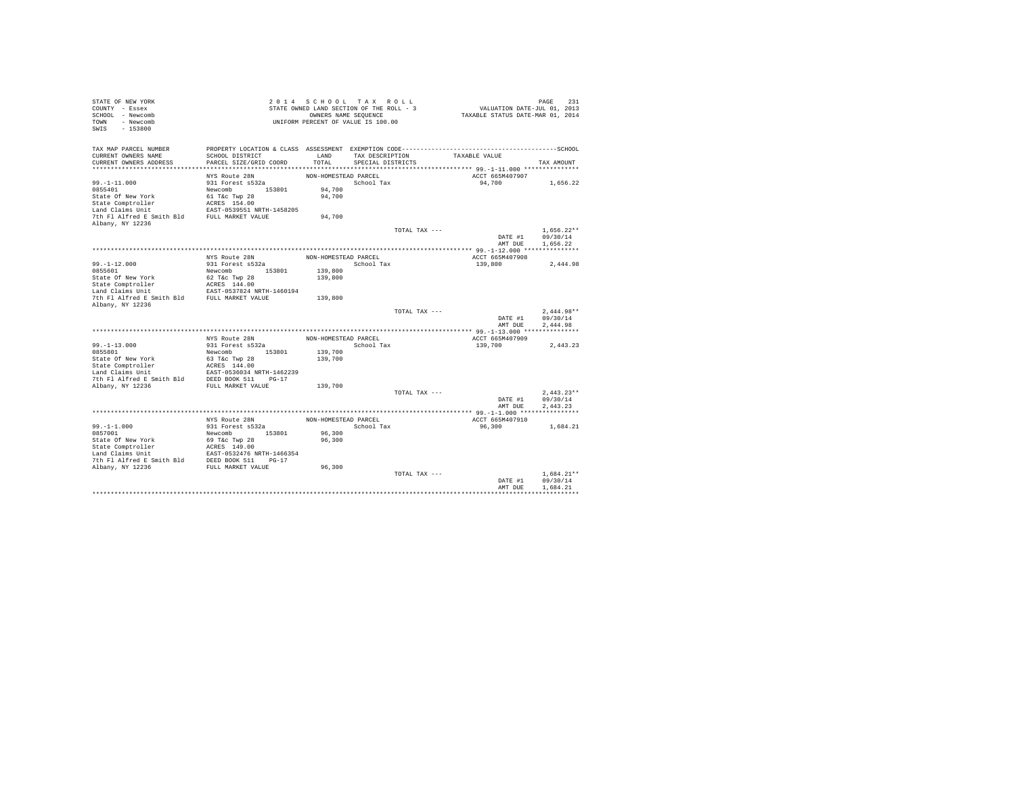| STATE OF NEW YORK<br>COUNTY - Essex<br>SCHOOL - Newcomb<br>TOWN - Newcomb<br>SWIS<br>$-153800$                                |                                           |                      | 2014 SCHOOL TAX ROLL<br>STATE OWNED LAND SECTION OF THE ROLL - 3<br>OWNERS NAME SEQUENCE<br>UNIFORM PERCENT OF VALUE IS 100.00 |               | VALUATION DATE-JUL 01, 2013<br>TAXABLE STATUS DATE-MAR 01, 2014 | PAGE<br>231          |
|-------------------------------------------------------------------------------------------------------------------------------|-------------------------------------------|----------------------|--------------------------------------------------------------------------------------------------------------------------------|---------------|-----------------------------------------------------------------|----------------------|
| TAX MAP PARCEL NUMBER<br>CURRENT OWNERS NAME                                                                                  | SCHOOL DISTRICT                           | LAND                 | TAX DESCRIPTION                                                                                                                |               | TAXABLE VALUE                                                   |                      |
| CURRENT OWNERS ADDRESS                                                                                                        | PARCEL SIZE/GRID COORD                    | TOTAL                | SPECIAL DISTRICTS                                                                                                              |               |                                                                 | TAX AMOUNT           |
|                                                                                                                               |                                           |                      |                                                                                                                                |               |                                                                 |                      |
|                                                                                                                               | NYS Route 28N                             | NON-HOMESTEAD PARCEL |                                                                                                                                |               | ACCT 665M407907                                                 |                      |
| $99. - 1 - 11.000$                                                                                                            | 931 Forest s532a                          |                      | School Tax                                                                                                                     |               | 94,700                                                          | 1,656.22             |
| 0855401                                                                                                                       | Newcomb 153801                            | 94,700               |                                                                                                                                |               |                                                                 |                      |
| State Of New York                                                                                                             | 61 T&C Twp 28                             | 94,700               |                                                                                                                                |               |                                                                 |                      |
| State Comptroller                                                                                                             | ACRES 154.00<br>EAST-0539551 NRTH-1458205 |                      |                                                                                                                                |               |                                                                 |                      |
| Land Claims Unit                                                                                                              |                                           |                      |                                                                                                                                |               |                                                                 |                      |
| 7th Fl Alfred E Smith Bld FULL MARKET VALUE                                                                                   |                                           | 94,700               |                                                                                                                                |               |                                                                 |                      |
| Albany, NY 12236                                                                                                              |                                           |                      |                                                                                                                                |               |                                                                 |                      |
|                                                                                                                               |                                           |                      |                                                                                                                                | TOTAL TAX --- |                                                                 | $1.656.22**$         |
|                                                                                                                               |                                           |                      |                                                                                                                                |               | DATE #1<br>AMT DUE                                              | 09/30/14<br>1,656.22 |
|                                                                                                                               |                                           |                      |                                                                                                                                |               |                                                                 |                      |
|                                                                                                                               | NYS Route 28N                             | NON-HOMESTEAD PARCEL |                                                                                                                                |               | ACCT 665M407908                                                 |                      |
| $99. - 1 - 12.000$                                                                                                            | 931 Forest s532a                          |                      | School Tax                                                                                                                     |               | 139,800                                                         | 2,444.98             |
| 0855601                                                                                                                       | Newcomb 153801                            | 139,800              |                                                                                                                                |               |                                                                 |                      |
| State Of New York                                                                                                             | 62 T&c Twp 28                             | 139,800              |                                                                                                                                |               |                                                                 |                      |
| State Comptroller                                                                                                             | ACRES 144.00                              |                      |                                                                                                                                |               |                                                                 |                      |
|                                                                                                                               |                                           |                      |                                                                                                                                |               |                                                                 |                      |
| Cannot Composite the Constant Capital Claims Unit<br>EAST-0537824 NRTH-1460194<br>7th Fl Alfred E Smith Bld FULL MARKET VALUE |                                           | 139,800              |                                                                                                                                |               |                                                                 |                      |
| Albany, NY 12236                                                                                                              |                                           |                      |                                                                                                                                |               |                                                                 |                      |
|                                                                                                                               |                                           |                      |                                                                                                                                | TOTAL TAX --- |                                                                 | $2.444.98**$         |
|                                                                                                                               |                                           |                      |                                                                                                                                |               | DATE #1<br>AMT DUE                                              | 09/30/14<br>2.444.98 |
|                                                                                                                               |                                           |                      |                                                                                                                                |               |                                                                 |                      |
|                                                                                                                               | NYS Route 28N                             | NON-HOMESTEAD PARCEL |                                                                                                                                |               | ACCT 665M407909                                                 |                      |
| $99. -1 - 13.000$                                                                                                             | 931 Forest s532a                          |                      | School Tax                                                                                                                     |               | 139,700                                                         | 2,443.23             |
| 0855801                                                                                                                       | Newcomb 153801                            | 139,700              |                                                                                                                                |               |                                                                 |                      |
| State Of New York                                                                                                             | 63 T&c Twp 28                             | 139,700              |                                                                                                                                |               |                                                                 |                      |
| State Comptroller                                                                                                             | ACRES 144.00<br>EAST-0536034 NRTH-1462239 |                      |                                                                                                                                |               |                                                                 |                      |
| Land Claims Unit                                                                                                              |                                           |                      |                                                                                                                                |               |                                                                 |                      |
| 7th F1 Alfred E Smith Bld DEED BOOK 511 PG-17                                                                                 |                                           |                      |                                                                                                                                |               |                                                                 |                      |
| Albany, NY 12236                                                                                                              | FULL MARKET VALUE                         | 139,700              |                                                                                                                                |               |                                                                 |                      |
|                                                                                                                               |                                           |                      |                                                                                                                                | TOTAL TAX --- |                                                                 | $2.443.23**$         |
|                                                                                                                               |                                           |                      |                                                                                                                                |               | DATE #1                                                         | 09/30/14             |
|                                                                                                                               |                                           |                      |                                                                                                                                |               | AMT DUE                                                         | 2.443.23             |
|                                                                                                                               | NYS Route 28N                             | NON-HOMESTEAD PARCEL |                                                                                                                                |               | ACCT 665M407910                                                 |                      |
| $99. - 1 - 1.000$                                                                                                             | 931 Forest s532a                          |                      | School Tax                                                                                                                     |               | 96,300                                                          | 1,684.21             |
| 0857001                                                                                                                       | Newcomb 153801                            | 96,300               |                                                                                                                                |               |                                                                 |                      |
|                                                                                                                               |                                           | 96,300               |                                                                                                                                |               |                                                                 |                      |
|                                                                                                                               |                                           |                      |                                                                                                                                |               |                                                                 |                      |
|                                                                                                                               |                                           |                      |                                                                                                                                |               |                                                                 |                      |
|                                                                                                                               |                                           |                      |                                                                                                                                |               |                                                                 |                      |
|                                                                                                                               |                                           | 96,300               |                                                                                                                                |               |                                                                 |                      |
|                                                                                                                               |                                           |                      |                                                                                                                                | TOTAL TAX --- |                                                                 | $1.684.21**$         |
|                                                                                                                               |                                           |                      |                                                                                                                                |               | DATE #1                                                         | 09/30/14<br>1,684.21 |
|                                                                                                                               |                                           |                      |                                                                                                                                |               | AMT DUE                                                         |                      |
|                                                                                                                               |                                           |                      |                                                                                                                                |               |                                                                 |                      |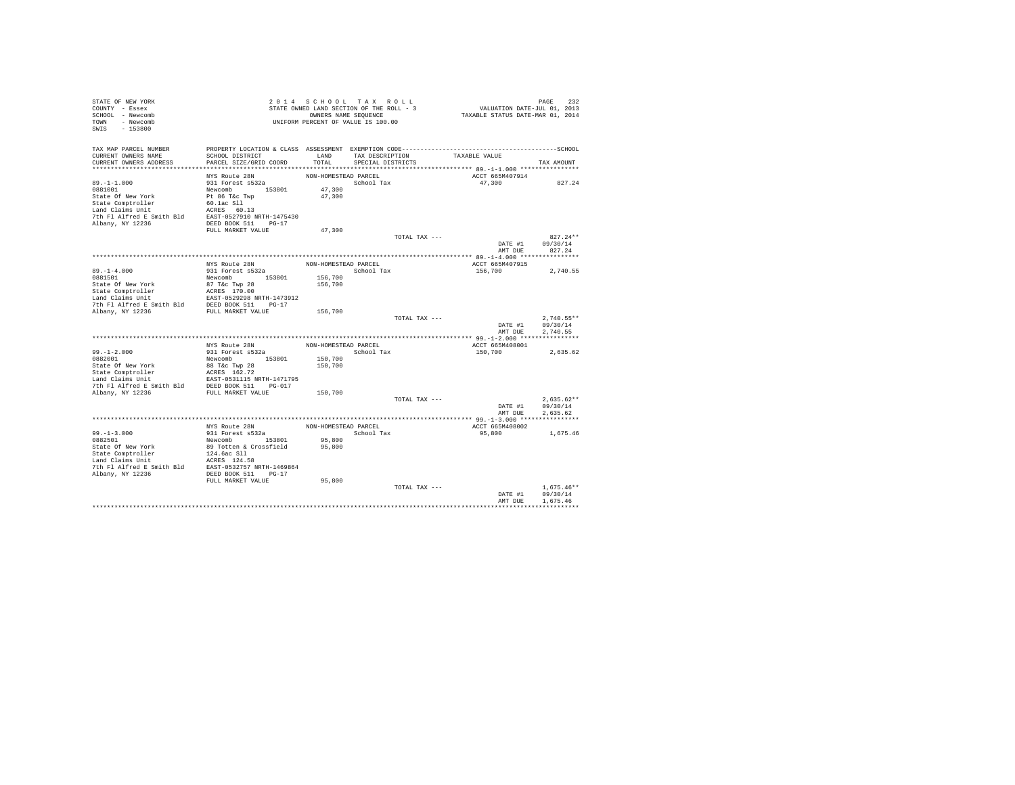| STATE OF NEW YORK                                                                                                                                                                                                                                |                                                                                                             |                      |                         |                                    |                                                                             |                  |
|--------------------------------------------------------------------------------------------------------------------------------------------------------------------------------------------------------------------------------------------------|-------------------------------------------------------------------------------------------------------------|----------------------|-------------------------|------------------------------------|-----------------------------------------------------------------------------|------------------|
| COUNTY - Essex                                                                                                                                                                                                                                   | -<br>STATE OWNED LAND SECTION OF THE ROLL - .<br>OWNERS NAME SEQUENCE<br>UNIFORM PERCENT OF VALUE IS 100.00 |                      |                         |                                    | PAGE 232<br>VALUATION DATE-JUL 01, 2013<br>TAXABLE STATUS DATE-MAR 01, 2014 |                  |
| SCHOOL - Newcomb                                                                                                                                                                                                                                 |                                                                                                             |                      |                         |                                    |                                                                             |                  |
| TOWN - Newcomb                                                                                                                                                                                                                                   |                                                                                                             |                      |                         |                                    |                                                                             |                  |
| SWIS - 153800                                                                                                                                                                                                                                    |                                                                                                             |                      |                         |                                    |                                                                             |                  |
|                                                                                                                                                                                                                                                  |                                                                                                             |                      |                         |                                    |                                                                             |                  |
|                                                                                                                                                                                                                                                  |                                                                                                             |                      |                         |                                    |                                                                             |                  |
| TAX MAP PARCEL NUMBER THE PROPERTY LOCATION & CLASS ASSESSMENT EXEMPTION CODE--------------------------------SCHOOL                                                                                                                              |                                                                                                             |                      |                         |                                    |                                                                             |                  |
| CURRENT OWNERS NAME                                                                                                                                                                                                                              | SCHOOL DISTRICT                                                                                             |                      |                         | LAND TAX DESCRIPTION TAXABLE VALUE |                                                                             |                  |
| CURRENT OWNERS ADDRESS                                                                                                                                                                                                                           | PARCEL SIZE/GRID COORD                                                                                      |                      | TOTAL SPECIAL DISTRICTS |                                    |                                                                             | TAX AMOUNT       |
|                                                                                                                                                                                                                                                  |                                                                                                             |                      |                         |                                    |                                                                             |                  |
|                                                                                                                                                                                                                                                  | NYS Route 28N                                                                                               | NON-HOMESTEAD PARCEL |                         |                                    | ACCT 665M407914                                                             |                  |
| $89. -1 - 1.000$                                                                                                                                                                                                                                 | 931 Forest s532a                                                                                            |                      | School Tax              |                                    |                                                                             | 47,300 827.24    |
| 0881001                                                                                                                                                                                                                                          |                                                                                                             | 47,300               |                         |                                    |                                                                             |                  |
|                                                                                                                                                                                                                                                  |                                                                                                             | 47,300               |                         |                                    |                                                                             |                  |
|                                                                                                                                                                                                                                                  |                                                                                                             |                      |                         |                                    |                                                                             |                  |
| 931-11.000<br>8981001<br>State Of New York Peter Software 153801<br>State Of New York Peter Software 153801<br>Januar Claims Unit<br>17th Pl Alfred E Smith Bld<br>Danny, NY 12236<br>PEDLD MARKET VALUE<br>PEDLD MARKET VALUE<br>PEDLD MARKET V |                                                                                                             |                      |                         |                                    |                                                                             |                  |
|                                                                                                                                                                                                                                                  |                                                                                                             |                      |                         |                                    |                                                                             |                  |
|                                                                                                                                                                                                                                                  |                                                                                                             |                      |                         |                                    |                                                                             |                  |
|                                                                                                                                                                                                                                                  |                                                                                                             | 47,300               |                         |                                    |                                                                             |                  |
|                                                                                                                                                                                                                                                  |                                                                                                             |                      |                         | TOTAL TAX ---                      |                                                                             | $827.24**$       |
|                                                                                                                                                                                                                                                  |                                                                                                             |                      |                         |                                    |                                                                             | DATE #1 09/30/14 |
|                                                                                                                                                                                                                                                  |                                                                                                             |                      |                         |                                    | AMT DUE                                                                     | 827.24           |
|                                                                                                                                                                                                                                                  |                                                                                                             |                      |                         |                                    |                                                                             |                  |
|                                                                                                                                                                                                                                                  | NYS Route 28N                                                                                               | NON-HOMESTEAD PARCEL |                         |                                    | ACCT 665M407915                                                             |                  |
|                                                                                                                                                                                                                                                  | 931 Forest s532a                                                                                            |                      | School Tax              |                                    | 156,700                                                                     | 2.740.55         |
| $89. -1 - 4.000$<br>0881501                                                                                                                                                                                                                      |                                                                                                             |                      |                         |                                    |                                                                             |                  |
|                                                                                                                                                                                                                                                  |                                                                                                             |                      |                         |                                    |                                                                             |                  |
|                                                                                                                                                                                                                                                  |                                                                                                             |                      |                         |                                    |                                                                             |                  |
|                                                                                                                                                                                                                                                  |                                                                                                             |                      |                         |                                    |                                                                             |                  |
|                                                                                                                                                                                                                                                  |                                                                                                             |                      |                         |                                    |                                                                             |                  |
|                                                                                                                                                                                                                                                  |                                                                                                             |                      |                         |                                    |                                                                             |                  |
|                                                                                                                                                                                                                                                  |                                                                                                             |                      |                         | TOTAL TAX ---                      |                                                                             | $2.740.55**$     |
|                                                                                                                                                                                                                                                  |                                                                                                             |                      |                         |                                    | DATE #1                                                                     | 09/30/14         |
|                                                                                                                                                                                                                                                  |                                                                                                             |                      |                         |                                    |                                                                             | AMT DUE 2.740.55 |
|                                                                                                                                                                                                                                                  |                                                                                                             |                      |                         |                                    |                                                                             |                  |
|                                                                                                                                                                                                                                                  |                                                                                                             |                      | NON-HOMESTEAD PARCEL    |                                    | ACCT 665M408001                                                             |                  |
|                                                                                                                                                                                                                                                  | NYS Route 28N<br>931 Forest s532a                                                                           |                      |                         |                                    |                                                                             |                  |
| $99. -1 - 2.000$<br>$0882001$                                                                                                                                                                                                                    | Newcomb 153801                                                                                              |                      | School Tax              |                                    | 150,700                                                                     | 2,635.62         |
|                                                                                                                                                                                                                                                  |                                                                                                             | 150,700              |                         |                                    |                                                                             |                  |
|                                                                                                                                                                                                                                                  |                                                                                                             |                      |                         |                                    |                                                                             |                  |
|                                                                                                                                                                                                                                                  |                                                                                                             |                      |                         |                                    |                                                                             |                  |
|                                                                                                                                                                                                                                                  |                                                                                                             |                      |                         |                                    |                                                                             |                  |
|                                                                                                                                                                                                                                                  |                                                                                                             |                      |                         |                                    |                                                                             |                  |
|                                                                                                                                                                                                                                                  |                                                                                                             |                      |                         |                                    |                                                                             |                  |
|                                                                                                                                                                                                                                                  |                                                                                                             |                      |                         | TOTAL TAX ---                      |                                                                             | $2.635.62**$     |
|                                                                                                                                                                                                                                                  |                                                                                                             |                      |                         |                                    |                                                                             | DATE #1 09/30/14 |
|                                                                                                                                                                                                                                                  |                                                                                                             |                      |                         |                                    |                                                                             | AMT DUE 2.635.62 |
|                                                                                                                                                                                                                                                  |                                                                                                             |                      |                         |                                    |                                                                             |                  |
|                                                                                                                                                                                                                                                  | NYS Route 28N                                                                                               |                      | NON-HOMESTEAD PARCEL    |                                    | ACCT 665M408002                                                             |                  |
| $99. -1 - 3.000$                                                                                                                                                                                                                                 |                                                                                                             |                      | School Tax              |                                    | 95,800                                                                      | 1,675.46         |
|                                                                                                                                                                                                                                                  |                                                                                                             | 95,800               |                         |                                    |                                                                             |                  |
|                                                                                                                                                                                                                                                  |                                                                                                             |                      |                         |                                    |                                                                             |                  |
|                                                                                                                                                                                                                                                  |                                                                                                             |                      |                         |                                    |                                                                             |                  |
|                                                                                                                                                                                                                                                  |                                                                                                             |                      |                         |                                    |                                                                             |                  |
|                                                                                                                                                                                                                                                  |                                                                                                             |                      |                         |                                    |                                                                             |                  |
|                                                                                                                                                                                                                                                  |                                                                                                             |                      |                         |                                    |                                                                             |                  |
|                                                                                                                                                                                                                                                  | FULL MARKET VALUE                                                                                           | 95,800               |                         |                                    |                                                                             |                  |
|                                                                                                                                                                                                                                                  |                                                                                                             |                      |                         | TOTAL TAX ---                      |                                                                             | $1.675.46**$     |
|                                                                                                                                                                                                                                                  |                                                                                                             |                      |                         |                                    | DATE #1                                                                     | 09/30/14         |
|                                                                                                                                                                                                                                                  |                                                                                                             |                      |                         |                                    | AMT DUE                                                                     | 1.675.46         |
|                                                                                                                                                                                                                                                  |                                                                                                             |                      |                         |                                    |                                                                             |                  |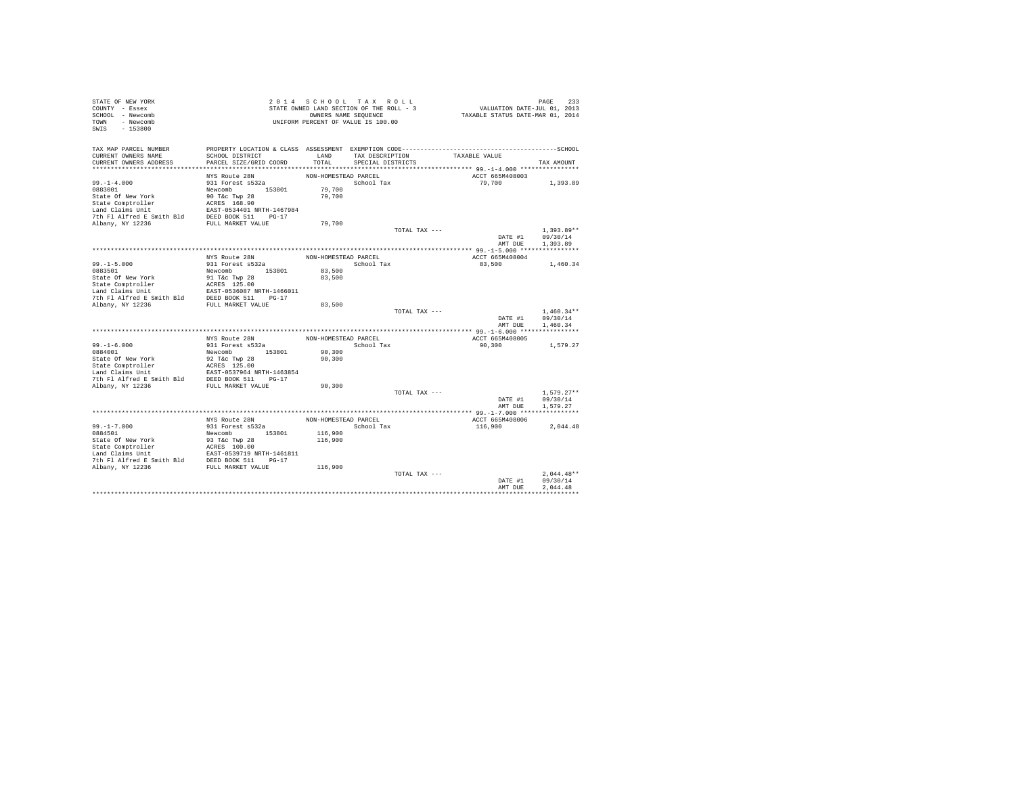| STATE OF NEW YORK<br>COUNTY - Essex<br>SCHOOL - Newcomb<br>TOWN - Newcomb<br>SWIS<br>$-153800$                                                                                                                                             |                        |                      | 2014 SCHOOL TAX ROLL<br>STATE OWNED LAND SECTION OF THE ROLL - 3<br>OWNERS NAME SEQUENCE<br>UNIFORM PERCENT OF VALUE IS 100.00 |               | PAGE 233<br>VALUATION DATE-JUL 01, 2013<br>TAXABLE STATUS DATE-MAR 01, 2014 |                          |
|--------------------------------------------------------------------------------------------------------------------------------------------------------------------------------------------------------------------------------------------|------------------------|----------------------|--------------------------------------------------------------------------------------------------------------------------------|---------------|-----------------------------------------------------------------------------|--------------------------|
| TAX MAP PARCEL NUMBER                                                                                                                                                                                                                      |                        |                      |                                                                                                                                |               |                                                                             |                          |
| CURRENT OWNERS NAME                                                                                                                                                                                                                        | SCHOOL DISTRICT        | LAND                 | TAX DESCRIPTION                                                                                                                |               | TAXABLE VALUE                                                               |                          |
| CURRENT OWNERS ADDRESS                                                                                                                                                                                                                     | PARCEL SIZE/GRID COORD | TOTAL                | SPECIAL DISTRICTS                                                                                                              |               |                                                                             | TAX AMOUNT               |
|                                                                                                                                                                                                                                            | NYS Route 28N          | NON-HOMESTEAD PARCEL |                                                                                                                                |               | ACCT 665M408003                                                             |                          |
| $99. - 1 - 4.000$                                                                                                                                                                                                                          | 931 Forest s532a       |                      | School Tax                                                                                                                     |               | 79,700                                                                      | 1,393.89                 |
| 0883001                                                                                                                                                                                                                                    | Newcomb 153801         | 79,700               |                                                                                                                                |               |                                                                             |                          |
|                                                                                                                                                                                                                                            |                        | 79,700               |                                                                                                                                |               |                                                                             |                          |
|                                                                                                                                                                                                                                            |                        |                      |                                                                                                                                |               |                                                                             |                          |
|                                                                                                                                                                                                                                            |                        |                      |                                                                                                                                |               |                                                                             |                          |
|                                                                                                                                                                                                                                            |                        |                      |                                                                                                                                |               |                                                                             |                          |
|                                                                                                                                                                                                                                            |                        | 79,700               |                                                                                                                                |               |                                                                             |                          |
|                                                                                                                                                                                                                                            |                        |                      |                                                                                                                                | TOTAL TAX --- |                                                                             | $1.393.89**$             |
|                                                                                                                                                                                                                                            |                        |                      |                                                                                                                                |               | DATE #1                                                                     | 09/30/14                 |
|                                                                                                                                                                                                                                            |                        |                      |                                                                                                                                |               | AMT DUE                                                                     | 1,393.89                 |
|                                                                                                                                                                                                                                            | NYS Route 28N          | NON-HOMESTEAD PARCEL |                                                                                                                                |               | ACCT 665M408004                                                             |                          |
| $99. - 1 - 5.000$                                                                                                                                                                                                                          | 931 Forest s532a       | School Tax           |                                                                                                                                |               | 83,500                                                                      | 1,460.34                 |
| 0883501                                                                                                                                                                                                                                    | Newcomb 153801         | 83,500               |                                                                                                                                |               |                                                                             |                          |
|                                                                                                                                                                                                                                            |                        | 83,500               |                                                                                                                                |               |                                                                             |                          |
|                                                                                                                                                                                                                                            |                        |                      |                                                                                                                                |               |                                                                             |                          |
|                                                                                                                                                                                                                                            |                        |                      |                                                                                                                                |               |                                                                             |                          |
|                                                                                                                                                                                                                                            |                        |                      |                                                                                                                                |               |                                                                             |                          |
|                                                                                                                                                                                                                                            |                        | 83,500               |                                                                                                                                |               |                                                                             |                          |
|                                                                                                                                                                                                                                            |                        |                      |                                                                                                                                | TOTAL TAX --- | DATE #1                                                                     | $1.460.34**$<br>09/30/14 |
|                                                                                                                                                                                                                                            |                        |                      |                                                                                                                                |               | AMT DUE                                                                     | 1,460.34                 |
|                                                                                                                                                                                                                                            |                        |                      |                                                                                                                                |               |                                                                             |                          |
|                                                                                                                                                                                                                                            | NYS Route 28N          | NON-HOMESTEAD PARCEL |                                                                                                                                |               | ACCT 665M408005                                                             |                          |
| $99. - 1 - 6.000$                                                                                                                                                                                                                          | 931 Forest s532a       |                      | School Tax                                                                                                                     |               | 90,300                                                                      | 1,579.27                 |
| 0884001                                                                                                                                                                                                                                    | Newcomb 153801         | 90,300               |                                                                                                                                |               |                                                                             |                          |
| State Of New York and State Company 28<br>State Comptroller and SCRS 125.00<br>State Comptroller RACRS 125.00<br>Land Claims Unit<br>The Fl Alfred E Smith Bld DEED BOOK 511 PO-17<br>7th Fl Alfred E Smith Bld DEED BOOK 511 PO-17<br>NDR |                        | 90,300               |                                                                                                                                |               |                                                                             |                          |
|                                                                                                                                                                                                                                            |                        |                      |                                                                                                                                |               |                                                                             |                          |
|                                                                                                                                                                                                                                            |                        |                      |                                                                                                                                |               |                                                                             |                          |
|                                                                                                                                                                                                                                            |                        | 90,300               |                                                                                                                                |               |                                                                             |                          |
|                                                                                                                                                                                                                                            |                        |                      |                                                                                                                                | TOTAL TAX --- |                                                                             | $1.579.27**$             |
|                                                                                                                                                                                                                                            |                        |                      |                                                                                                                                |               | DATE #1                                                                     | 09/30/14                 |
|                                                                                                                                                                                                                                            |                        |                      |                                                                                                                                |               | AMT DUE                                                                     | 1,579.27                 |
|                                                                                                                                                                                                                                            |                        |                      |                                                                                                                                |               |                                                                             |                          |
|                                                                                                                                                                                                                                            | NYS Route 28N          | NON-HOMESTEAD PARCEL |                                                                                                                                |               | ACCT 665M408006                                                             |                          |
| $99. - 1 - 7.000$                                                                                                                                                                                                                          | 931 Forest s532a       |                      | School Tax                                                                                                                     |               | 116,900                                                                     | 2,044.48                 |
| 0884501                                                                                                                                                                                                                                    | Newcomb 153801         | 116,900              |                                                                                                                                |               |                                                                             |                          |
|                                                                                                                                                                                                                                            |                        | 116,900              |                                                                                                                                |               |                                                                             |                          |
|                                                                                                                                                                                                                                            |                        |                      |                                                                                                                                |               |                                                                             |                          |
|                                                                                                                                                                                                                                            |                        |                      |                                                                                                                                |               |                                                                             |                          |
|                                                                                                                                                                                                                                            |                        | 116,900              |                                                                                                                                |               |                                                                             |                          |
|                                                                                                                                                                                                                                            |                        |                      |                                                                                                                                | TOTAL TAX --- |                                                                             | $2.044.48**$             |
|                                                                                                                                                                                                                                            |                        |                      |                                                                                                                                |               | DATE #1                                                                     | 09/30/14                 |
|                                                                                                                                                                                                                                            |                        |                      |                                                                                                                                |               | AMT DUE                                                                     | 2.044.48                 |
|                                                                                                                                                                                                                                            |                        |                      |                                                                                                                                |               |                                                                             |                          |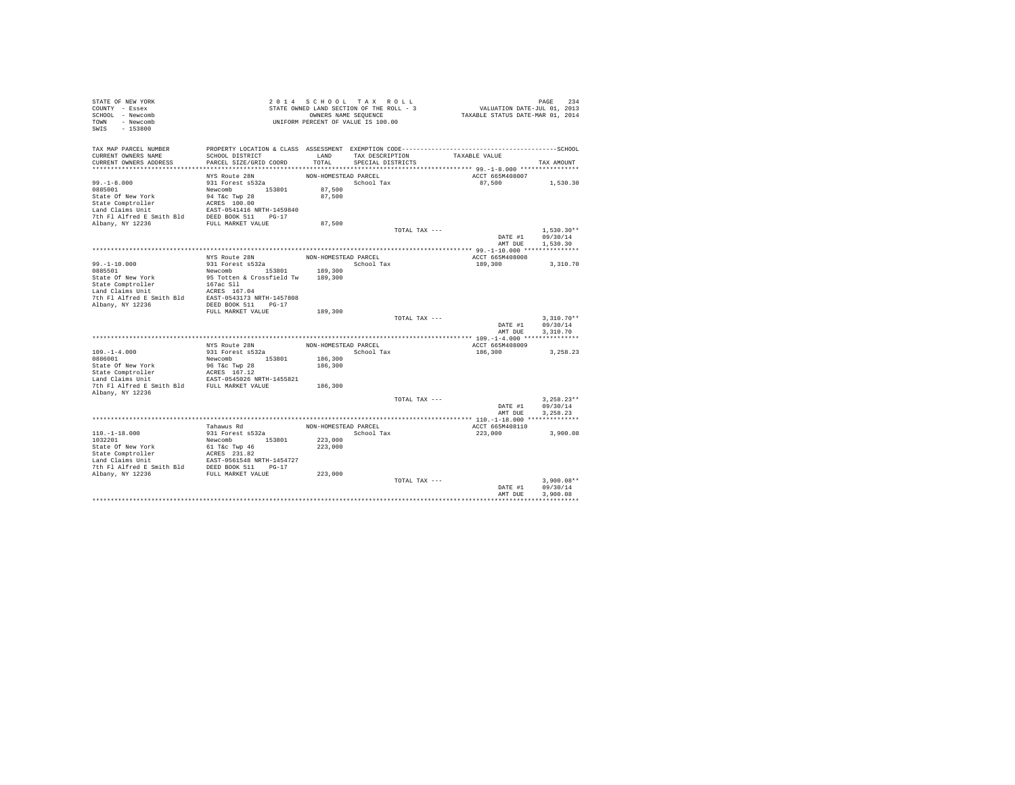| STATE OF NEW YORK<br>COUNTY - Essex         |                                                            |                      | 2014 SCHOOL TAX ROLL<br>STATE OWNED LAND SECTION OF THE ROLL - 3 |               | PAGE 234<br>VALUATION DATE-JUL 01, 2013 |              |
|---------------------------------------------|------------------------------------------------------------|----------------------|------------------------------------------------------------------|---------------|-----------------------------------------|--------------|
| SCHOOL - Newcomb                            |                                                            |                      | OWNERS NAME SEQUENCE                                             |               | TAXABLE STATUS DATE-MAR 01, 2014        |              |
| TOWN - Newcomb                              |                                                            |                      | UNIFORM PERCENT OF VALUE IS 100.00                               |               |                                         |              |
| SWIS<br>$-153800$                           |                                                            |                      |                                                                  |               |                                         |              |
|                                             |                                                            |                      |                                                                  |               |                                         |              |
| TAX MAP PARCEL NUMBER                       |                                                            |                      |                                                                  |               |                                         |              |
| CURRENT OWNERS NAME                         | SCHOOL DISTRICT                                            | LAND                 | TAX DESCRIPTION                                                  |               | TAXABLE VALUE                           |              |
| CURRENT OWNERS ADDRESS                      | PARCEL SIZE/GRID COORD                                     | TOTAL                | SPECIAL DISTRICTS                                                |               |                                         | TAX AMOUNT   |
|                                             |                                                            |                      |                                                                  |               |                                         |              |
| $99. - 1 - 8.000$                           | NYS Route 28N<br>931 Forest s532a                          | NON-HOMESTEAD PARCEL | School Tax                                                       |               | ACCT 665M408007<br>87,500               | 1,530.30     |
| 0885001                                     | Newcomb 153801                                             | 87,500               |                                                                  |               |                                         |              |
| State Of New York                           | 94 T&c Twp 28                                              | 87,500               |                                                                  |               |                                         |              |
| State Comptroller                           | ACRES 100.00                                               |                      |                                                                  |               |                                         |              |
| Land Claims Unit                            |                                                            |                      |                                                                  |               |                                         |              |
|                                             |                                                            |                      |                                                                  |               |                                         |              |
|                                             |                                                            | 87,500               |                                                                  |               |                                         |              |
|                                             |                                                            |                      |                                                                  | TOTAL TAX --- |                                         | $1,530.30**$ |
|                                             |                                                            |                      |                                                                  |               | DATE #1                                 | 09/30/14     |
|                                             |                                                            |                      |                                                                  |               | AMT DUE                                 | 1,530.30     |
|                                             |                                                            |                      |                                                                  |               |                                         |              |
|                                             | NYS Route 28N<br>931 Forest s532a                          | NON-HOMESTEAD PARCEL | School Tax                                                       |               | ACCT 665M408008<br>189,300              | 3,310.70     |
| $99. -1 - 10.000$                           |                                                            | 189,300              |                                                                  |               |                                         |              |
|                                             |                                                            |                      |                                                                  |               |                                         |              |
|                                             |                                                            |                      |                                                                  |               |                                         |              |
|                                             |                                                            |                      |                                                                  |               |                                         |              |
|                                             |                                                            |                      |                                                                  |               |                                         |              |
| Albany, NY 12236                            | DEED BOOK 511 PG-17                                        |                      |                                                                  |               |                                         |              |
|                                             | FULL MARKET VALUE                                          | 189,300              |                                                                  |               |                                         |              |
|                                             |                                                            |                      |                                                                  | TOTAL TAX --- |                                         | $3.310.70**$ |
|                                             |                                                            |                      |                                                                  |               | DATE #1                                 | 09/30/14     |
|                                             |                                                            |                      |                                                                  |               | AMT DUE                                 | 3,310.70     |
|                                             | NYS Route 28N                                              | NON-HOMESTEAD PARCEL |                                                                  |               | ACCT 665M408009                         |              |
| $109. - 1 - 4.000$                          | 931 Forest s532a                                           |                      | School Tax                                                       |               | 186,300                                 | 3,258.23     |
| 0886001                                     | Newcomb 153801                                             | 186,300              |                                                                  |               |                                         |              |
| State Of New York                           |                                                            | 186,300              |                                                                  |               |                                         |              |
| State Comptroller                           |                                                            |                      |                                                                  |               |                                         |              |
| Land Claims Unit                            | 96 T&c Twp 28<br>ACRES 167.12<br>EAST-0545026 NRTH-1455821 |                      |                                                                  |               |                                         |              |
| 7th Fl Alfred E Smith Bld FULL MARKET VALUE |                                                            | 186,300              |                                                                  |               |                                         |              |
| Albany, NY 12236                            |                                                            |                      |                                                                  |               |                                         |              |
|                                             |                                                            |                      |                                                                  | TOTAL TAX --- |                                         | $3,258.23**$ |
|                                             |                                                            |                      |                                                                  |               | DATE #1                                 | 09/30/14     |
|                                             |                                                            |                      |                                                                  |               | AMT DUE                                 | 3.258.23     |
|                                             | Tahawus Rd                                                 | NON-HOMESTEAD PARCEL |                                                                  |               |                                         |              |
| $110. -1 - 18.000$                          | 931 Forest s532a                                           |                      | School Tax                                                       |               | ACCT 665M408110<br>223,000              | 3,900.08     |
| 1032201                                     | Newcomb 153801                                             | 223,000              |                                                                  |               |                                         |              |
|                                             |                                                            | 223,000              |                                                                  |               |                                         |              |
|                                             |                                                            |                      |                                                                  |               |                                         |              |
|                                             |                                                            |                      |                                                                  |               |                                         |              |
|                                             |                                                            |                      |                                                                  |               |                                         |              |
|                                             |                                                            | 223,000              |                                                                  |               |                                         |              |
|                                             |                                                            |                      |                                                                  | TOTAL TAX --- |                                         | $3.900.08**$ |
|                                             |                                                            |                      |                                                                  |               | DATE #1                                 | 09/30/14     |
|                                             |                                                            |                      |                                                                  |               | AMT DUE                                 | 3.900.08     |
|                                             |                                                            |                      |                                                                  |               |                                         |              |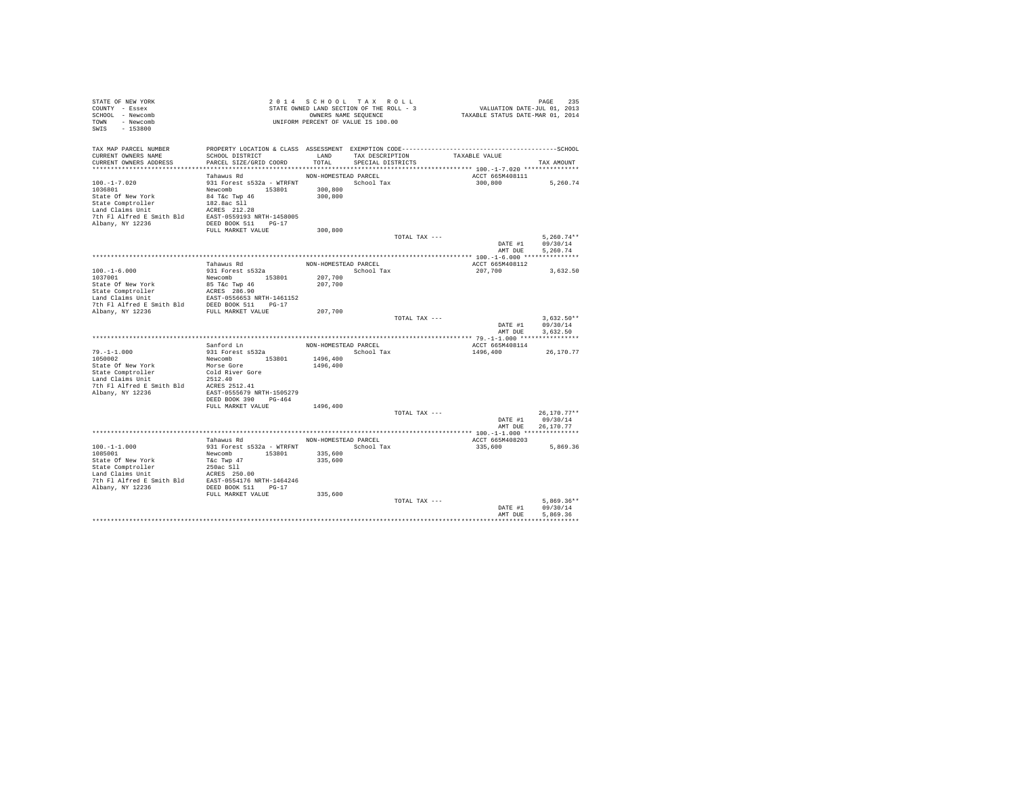| STATE OF NEW YORK<br>COUNTY - Essex<br>SCHOOL - Newcomb<br>TOWN - Newcomb<br>SWIS - 153800                                                                            |                                                                                                                               |                      | 2014 SCHOOL TAX ROLL<br>STATE OWNED LAND SECTION OF THE ROLL - 3<br>OWNERS NAME SEQUENCE<br>UNIFORM PERCENT OF VALUE IS 100.00 | PAGE 235<br>VALUATION DATE-JUL 01, 2013<br>TAXABLE STATUS DATE-MAR 01, 2014 |                                        |
|-----------------------------------------------------------------------------------------------------------------------------------------------------------------------|-------------------------------------------------------------------------------------------------------------------------------|----------------------|--------------------------------------------------------------------------------------------------------------------------------|-----------------------------------------------------------------------------|----------------------------------------|
| TAX MAP PARCEL NUMBER<br>CURRENT OWNERS NAME<br>CURRENT OWNERS ADDRESS                                                                                                | SCHOOL DISTRICT<br>PARCEL SIZE/GRID COORD                                                                                     | LAND<br>TOTAL        | TAX DESCRIPTION<br>SPECIAL DISTRICTS                                                                                           | TAXABLE VALUE                                                               | TAX AMOUNT                             |
|                                                                                                                                                                       |                                                                                                                               |                      |                                                                                                                                |                                                                             |                                        |
|                                                                                                                                                                       | Tahawus Rd                                                                                                                    | NON-HOMESTEAD PARCEL |                                                                                                                                | ACCT 665M408111                                                             |                                        |
| $100. -1 - 7.020$<br>1036801<br>State Of New York<br>State Comptroller<br>Land Claims Unit<br>7th Fl Alfred E Smith Bld EAST-0559193 NRTH-1458005<br>Albany, NY 12236 | 931 Forest s532a - WTRFNT School Tax<br>Newcomb 153801<br>84 T&c Twp 46<br>182.8ac Sll<br>ACRES 212.28<br>DEED BOOK 511 PG-17 | 300,800<br>300,800   |                                                                                                                                | 300,800                                                                     | 5,260.74                               |
|                                                                                                                                                                       | FULL MARKET VALUE                                                                                                             | 300,800              |                                                                                                                                |                                                                             |                                        |
|                                                                                                                                                                       |                                                                                                                               |                      | TOTAL TAX ---                                                                                                                  | DATE #1<br>AMT DUE                                                          | $5.260.74**$<br>09/30/14<br>5.260.74   |
|                                                                                                                                                                       |                                                                                                                               |                      |                                                                                                                                |                                                                             |                                        |
|                                                                                                                                                                       | Tahawus Rd                                                                                                                    |                      | NON-HOMESTEAD PARCEL                                                                                                           | ACCT 665M408112                                                             |                                        |
| $100.-1-6.000$<br>1037001<br>State Of New York<br>State Comptroller<br>Land Claims Unit                                                                               | 931 Forest s532a<br>Newcomb 153801<br>85 T&c Twp 46<br>ACRES 286.90<br>EAST-0556653 NRTH-1461152                              | 207,700<br>207,700   | School Tax                                                                                                                     | 207,700                                                                     | 3,632.50                               |
| Deniu Charles Come of The Political SEED BOOK 511 PG-17<br>Albany, NY 12236 PULL MARKET VALUE                                                                         |                                                                                                                               | 207,700              |                                                                                                                                |                                                                             |                                        |
|                                                                                                                                                                       |                                                                                                                               |                      |                                                                                                                                | TOTAL TAX ---<br>DATE #1<br>AMT DUE                                         | $3.632.50**$<br>09/30/14<br>3.632.50   |
|                                                                                                                                                                       |                                                                                                                               |                      |                                                                                                                                |                                                                             |                                        |
|                                                                                                                                                                       | Sanford Ln                                                                                                                    |                      | NON-HOMESTEAD PARCEL                                                                                                           | ACCT 665M408114                                                             |                                        |
| $79. -1 - 1.000$<br>1050002<br>State Of New York<br>State Comptroller<br>Land Claims Unit<br>7th Fl Alfred E Smith Bld<br>Albany, NY 12236                            | 931 Forest s532a<br>Newcomb 153801<br>Morse Gore<br>Cold River Gore<br>2512.40<br>ACRES 2512.41<br>EAST-0555679 NRTH-1505279  | 1496,400<br>1496,400 | School Tax                                                                                                                     | 1496,400                                                                    | 26,170.77                              |
|                                                                                                                                                                       | DEED BOOK 390 PG-464<br>FULL MARKET VALUE                                                                                     | 1496,400             |                                                                                                                                |                                                                             |                                        |
|                                                                                                                                                                       |                                                                                                                               |                      | TOTAL TAX ---                                                                                                                  | DATE #1<br>AMT DUE                                                          | $26.170.77**$<br>09/30/14<br>26.170.77 |
|                                                                                                                                                                       |                                                                                                                               |                      |                                                                                                                                |                                                                             |                                        |
|                                                                                                                                                                       | Tahawus Rd                                                                                                                    | NON-HOMESTEAD PARCEL |                                                                                                                                | ACCT 665M408203                                                             |                                        |
| $100. -1 - 1.000$<br>1085001<br>State Of New York<br>State Comptroller<br>Land Claims Unit                                                                            | 931 Forest s532a - WTRFNT<br>Newcomb 153801<br>T&c Twp 47<br>250ac S11                                                        | 335,600<br>335,600   | School Tax                                                                                                                     | 335,600                                                                     | 5,869,36                               |
|                                                                                                                                                                       | FULL MARKET VALUE                                                                                                             | 335,600              | TOTAL TAX ---                                                                                                                  |                                                                             | $5.869.36**$                           |
|                                                                                                                                                                       |                                                                                                                               |                      |                                                                                                                                | DATE #1<br>AMT DUE                                                          | 09/30/14<br>5.869.36<br>***********    |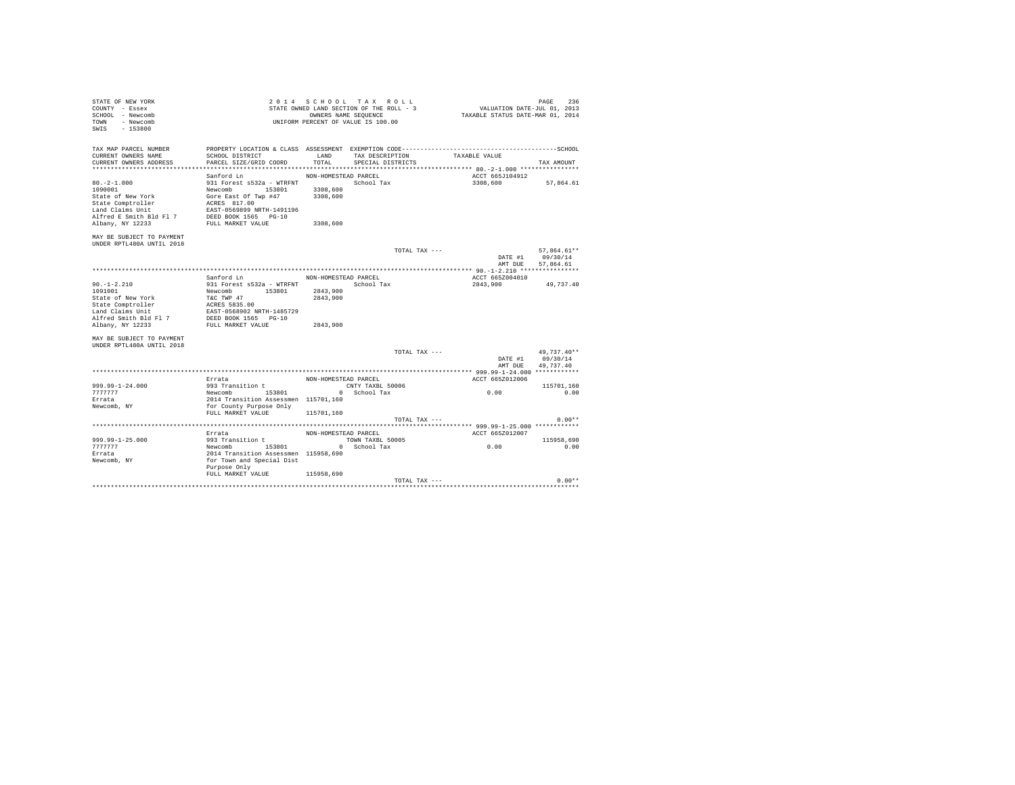| STATE OF NEW YORK<br>COUNTY - Essex<br>SCHOOL - Newcomb<br>TOWN<br>- Newcomb<br>$-153800$<br>SWIS                    |                                                                                                                                             |                      | 2014 SCHOOL TAX ROLL<br>STATE OWNED LAND SECTION OF THE ROLL - 3<br>OWNERS NAME SEQUENCE<br>UNIFORM PERCENT OF VALUE IS 100.00 | VALUATION DATE-JUL 01, 2013<br>TAXABLE STATUS DATE-MAR 01, 2014 | PAGE<br>236      |
|----------------------------------------------------------------------------------------------------------------------|---------------------------------------------------------------------------------------------------------------------------------------------|----------------------|--------------------------------------------------------------------------------------------------------------------------------|-----------------------------------------------------------------|------------------|
| TAX MAP PARCEL NUMBER<br>CURRENT OWNERS NAME<br>CURRENT OWNERS ADDRESS                                               | SCHOOL DISTRICT<br>PARCEL SIZE/GRID COORD                                                                                                   | LAND<br>TOTAL        | TAX DESCRIPTION<br>SPECIAL DISTRICTS                                                                                           | TAXABLE VALUE                                                   | TAX AMOUNT       |
| *************************                                                                                            |                                                                                                                                             |                      |                                                                                                                                |                                                                 |                  |
|                                                                                                                      | Sanford Ln                                                                                                                                  | NON-HOMESTEAD PARCEL |                                                                                                                                | ACCT 665J104912                                                 |                  |
| $80. -2 - 1.000$<br>1090001<br>State of New York<br>State Comptroller<br>Land Claims Unit<br>Alfred E Smith Bld Fl 7 | 931 Forest s532a - WTRFNT<br>153801<br>Newcomb<br>Gore East Of Twp #47<br>ACRES 817.00<br>EAST-0569899 NRTH-1491196<br>DEED BOOK 1565 PG-10 | 3308,600<br>3308,600 | School Tax                                                                                                                     | 3308,600                                                        | 57.864.61        |
| Albany, NY 12233                                                                                                     | FULL MARKET VALUE                                                                                                                           | 3308,600             |                                                                                                                                |                                                                 |                  |
| MAY BE SUBJECT TO PAYMENT<br>UNDER RPTL480A UNTIL 2018                                                               |                                                                                                                                             |                      |                                                                                                                                |                                                                 |                  |
|                                                                                                                      |                                                                                                                                             |                      | TOTAL TAX ---                                                                                                                  |                                                                 | 57.864.61**      |
|                                                                                                                      |                                                                                                                                             |                      |                                                                                                                                | DATE #1                                                         | 09/30/14         |
|                                                                                                                      |                                                                                                                                             |                      |                                                                                                                                | AMT DUE                                                         | 57,864.61        |
|                                                                                                                      |                                                                                                                                             |                      |                                                                                                                                |                                                                 |                  |
|                                                                                                                      | Sanford Ln                                                                                                                                  | NON-HOMESTEAD PARCEL |                                                                                                                                | ACCT 665Z004010                                                 |                  |
| $90. -1 - 2.210$                                                                                                     | 931 Forest s532a - WTRFNT                                                                                                                   |                      | School Tax                                                                                                                     | 2843,900                                                        | 49,737.40        |
| 1091001                                                                                                              | Newcomb 153801                                                                                                                              | 2843,900             |                                                                                                                                |                                                                 |                  |
| State of New York                                                                                                    | T&C TWP 47                                                                                                                                  | 2843,900             |                                                                                                                                |                                                                 |                  |
| State Comptroller<br>Land Claims Unit                                                                                | ACRES 5835.00                                                                                                                               |                      |                                                                                                                                |                                                                 |                  |
|                                                                                                                      | EAST-0568902 NRTH-1485729                                                                                                                   |                      |                                                                                                                                |                                                                 |                  |
| Alfred Smith Bld Fl 7                                                                                                | DEED BOOK 1565 PG-10                                                                                                                        |                      |                                                                                                                                |                                                                 |                  |
| Albany, NY 12233                                                                                                     | FULL MARKET VALUE                                                                                                                           | 2843,900             |                                                                                                                                |                                                                 |                  |
| MAY BE SUBJECT TO PAYMENT<br>UNDER RPTL480A UNTIL 2018                                                               |                                                                                                                                             |                      |                                                                                                                                |                                                                 |                  |
|                                                                                                                      |                                                                                                                                             |                      | TOTAL TAX ---                                                                                                                  |                                                                 | 49.737.40**      |
|                                                                                                                      |                                                                                                                                             |                      |                                                                                                                                |                                                                 | DATE #1 09/30/14 |
|                                                                                                                      |                                                                                                                                             |                      |                                                                                                                                | AMT DUR                                                         | 49.737.40        |
|                                                                                                                      |                                                                                                                                             |                      |                                                                                                                                |                                                                 |                  |
|                                                                                                                      | Errata                                                                                                                                      | NON-HOMESTEAD PARCEL |                                                                                                                                | ACCT 665Z012006                                                 |                  |
| $999.99 - 1 - 24.000$                                                                                                | 993 Transition t                                                                                                                            |                      | CNTY TAXBL 50006                                                                                                               |                                                                 | 115701.160       |
| 7777777                                                                                                              | Newcomb 153801                                                                                                                              |                      | 0 School Tax                                                                                                                   | 0.00                                                            | 0.00             |
| Errata                                                                                                               | 2014 Transition Assessmen 115701,160                                                                                                        |                      |                                                                                                                                |                                                                 |                  |
| Newcomb, NY                                                                                                          | for County Purpose Only                                                                                                                     |                      |                                                                                                                                |                                                                 |                  |
|                                                                                                                      | FULL MARKET VALUE                                                                                                                           | 115701,160           |                                                                                                                                |                                                                 |                  |
|                                                                                                                      |                                                                                                                                             |                      | TOTAL TAX ---                                                                                                                  |                                                                 | $0.00**$         |
|                                                                                                                      |                                                                                                                                             |                      |                                                                                                                                |                                                                 |                  |
|                                                                                                                      | Errata                                                                                                                                      | NON-HOMESTEAD PARCEL |                                                                                                                                | ACCT 665Z012007                                                 |                  |
| $999.99 - 1 - 25.000$                                                                                                | 993 Transition t                                                                                                                            |                      | TOWN TAXBL 50005                                                                                                               |                                                                 | 115958,690       |
| 7777777                                                                                                              | Newcomb 153801                                                                                                                              |                      | 0 School Tax                                                                                                                   | 0.00                                                            | 0.00             |
| Errata                                                                                                               | 2014 Transition Assessmen 115958,690                                                                                                        |                      |                                                                                                                                |                                                                 |                  |
| Newcomb, NY                                                                                                          | for Town and Special Dist                                                                                                                   |                      |                                                                                                                                |                                                                 |                  |
|                                                                                                                      | Purpose Only                                                                                                                                |                      |                                                                                                                                |                                                                 |                  |
|                                                                                                                      | FULL MARKET VALUE                                                                                                                           | 115958,690           |                                                                                                                                |                                                                 |                  |
|                                                                                                                      |                                                                                                                                             |                      | TOTAL TAX ---                                                                                                                  |                                                                 | $0.00**$         |
|                                                                                                                      |                                                                                                                                             |                      |                                                                                                                                | ********************************                                |                  |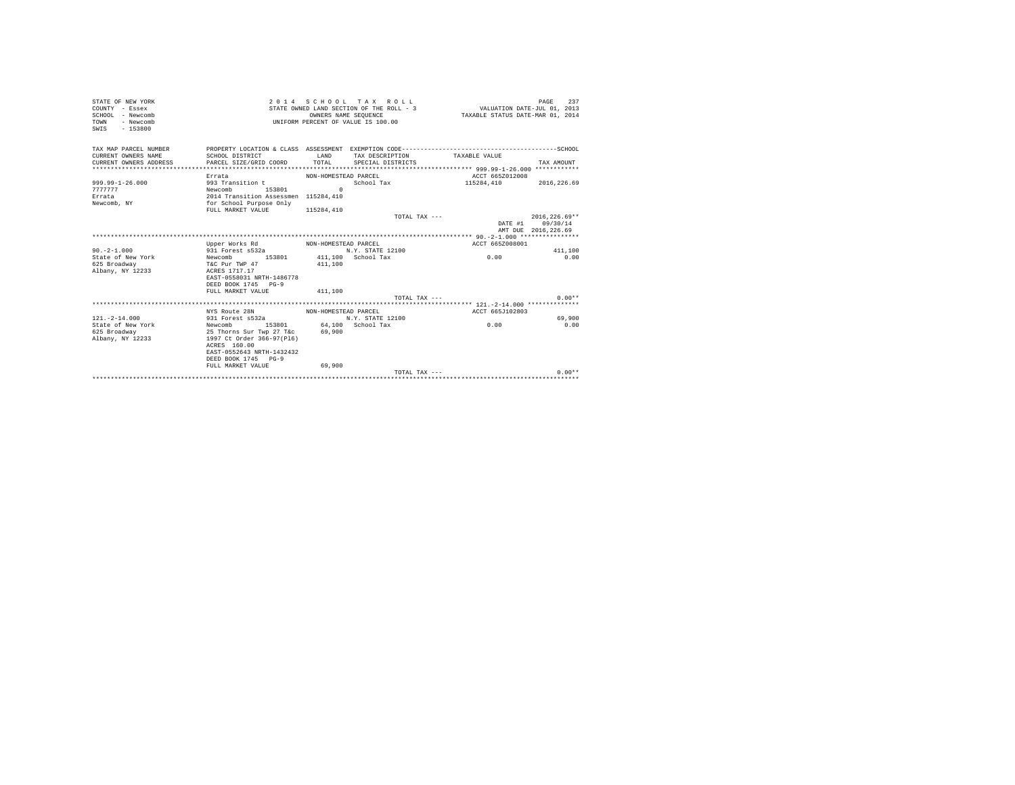| STATE OF NEW YORK<br>COUNTY - Essex<br>$SCHOM - Newcomb$<br>TOWN<br>- Newcomb<br>SWIS - 153800 |                                                                                                                                                                                    |                       | 2014 SCHOOL TAX ROLL<br>STATE OWNED LAND SECTION OF THE ROLL - 3<br>OWNERS NAME SEOUENCE<br>UNIFORM PERCENT OF VALUE IS 100.00 | VALUATION DATE-JUL 01, 2013<br>TAXABLE STATUS DATE-MAR 01, 2014 | 237<br>PAGE                                                |
|------------------------------------------------------------------------------------------------|------------------------------------------------------------------------------------------------------------------------------------------------------------------------------------|-----------------------|--------------------------------------------------------------------------------------------------------------------------------|-----------------------------------------------------------------|------------------------------------------------------------|
| TAX MAP PARCEL NUMBER<br>CURRENT OWNERS NAME<br>CURRENT OWNERS ADDRESS                         | SCHOOL DISTRICT<br>PARCEL SIZE/GRID COORD                                                                                                                                          | <b>T.AND</b><br>TOTAL | TAX DESCRIPTION<br>SPECIAL DISTRICTS                                                                                           | TAXARLE VALUE                                                   | TAX AMOUNT                                                 |
| 999.99-1-26.000<br>7777777<br>Errata<br>Newcomb, NY                                            | Errata<br>993 Transition t<br>Newcomb 153801<br>2014 Transition Assessmen 115284,410<br>for School Purpose Only<br>FULL MARKET VALUE                                               | $\cap$<br>115284,410  | NON-HOMESTEAD PARCEL                                                                                                           | ACCT 665Z012008<br>School Tax $115284,410$ $2016,226.69$        |                                                            |
|                                                                                                |                                                                                                                                                                                    |                       | TOTAL TAX ---                                                                                                                  |                                                                 | $2016.226.69**$<br>DATE #1 09/30/14<br>AMT DUE 2016.226.69 |
|                                                                                                |                                                                                                                                                                                    |                       |                                                                                                                                |                                                                 |                                                            |
|                                                                                                | Upper Works Rd MON-HOMESTEAD PARCEL                                                                                                                                                |                       |                                                                                                                                | ACCT 665Z008001                                                 |                                                            |
| $90 - 2 - 1.000$                                                                               | 931 Forest s532a                                                                                                                                                                   |                       | N.Y. STATE 12100                                                                                                               |                                                                 | 411,100                                                    |
| State of New York<br>625 Broadway<br>Albany, NY 12233                                          | Newcomb 153801 411.100 School Tax<br>T&C Pur TWP 47<br>ACRES 1717.17<br>EAST-0558031 NRTH-1486778<br>DEED BOOK 1745 PG-9<br>FULL MARKET VALUE                                      | 411,100<br>411.100    |                                                                                                                                | 0.00                                                            | 0.00                                                       |
|                                                                                                |                                                                                                                                                                                    |                       | $TOTAI. TAX - - -$                                                                                                             |                                                                 | $0.00**$                                                   |
|                                                                                                |                                                                                                                                                                                    |                       |                                                                                                                                |                                                                 |                                                            |
|                                                                                                | NYS Route 28N NON-HOMESTEAD PARCEL                                                                                                                                                 |                       |                                                                                                                                | ACCT 665J102803                                                 |                                                            |
| $121. - 2 - 14.000$                                                                            | 931 Forest s532a N.Y. STATE 12100                                                                                                                                                  |                       |                                                                                                                                |                                                                 | 69,900                                                     |
| State of New York<br>625 Broadway<br>Albany, NY 12233                                          | Newcomb 153801 64.100 School Tax<br>25 Thorns Sur Twp 27 T&c<br>1997 Ct Order 366-97(P16)<br>ACRES 160.00<br>EAST-0552643 NRTH-1432432<br>DEED BOOK 1745 PG-9<br>FULL MARKET VALUE | 69,900<br>69,900      |                                                                                                                                | 0.00                                                            | 0.00                                                       |
|                                                                                                |                                                                                                                                                                                    |                       | TOTAL TAX $---$                                                                                                                |                                                                 | $0.00**$                                                   |
|                                                                                                |                                                                                                                                                                                    |                       |                                                                                                                                |                                                                 |                                                            |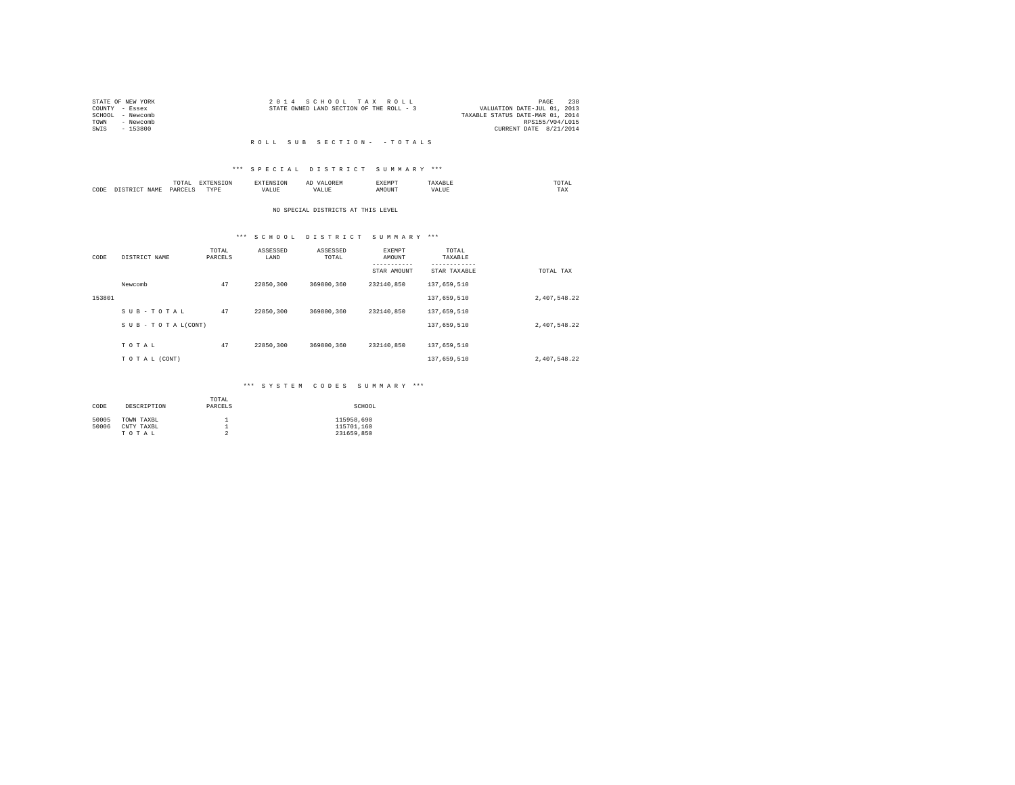| 2014 SCHOOL TAX ROLL                     | 238<br>PAGE                      |
|------------------------------------------|----------------------------------|
| STATE OWNED LAND SECTION OF THE ROLL - 3 | VALUATION DATE-JUL 01, 2013      |
|                                          | TAXABLE STATUS DATE-MAR 01, 2014 |
|                                          | RPS155/V04/L015                  |
|                                          | CURRENT DATE 8/21/2014           |
|                                          |                                  |

### R O L L S U B S E C T I O N - - T O T A L S

## \*\*\* S P E C I A L D I S T R I C T S U M M A R Y \*\*\*

|      |      | momn'<br>ິ    |                | ---- | -41   | SXEMPT |     | 'U'I'AL<br>the contract of the contract of the contract of |  |
|------|------|---------------|----------------|------|-------|--------|-----|------------------------------------------------------------|--|
| CODE | J∆M" | <b>DARCET</b> | 1.1.1.1.1<br>. | ALUE | - --- | 11N    | ۵۵. | TAX                                                        |  |

## NO SPECIAL DISTRICTS AT THIS LEVEL

# \*\*\* S C H O O L D I S T R I C T S U M M A R Y \*\*\*

| CODE   | DISTRICT NAME   | TOTAL<br>PARCELS | ASSESSED<br>LAND | ASSESSED<br>TOTAL | EXEMPT<br>AMOUNT | TOTAL<br>TAXABLE          |              |
|--------|-----------------|------------------|------------------|-------------------|------------------|---------------------------|--------------|
|        |                 |                  |                  |                   | STAR AMOUNT      | ---------<br>STAR TAXABLE | TOTAL TAX    |
|        | Newcomb         | 47               | 22850.300        | 369800.360        | 232140.850       | 137,659,510               |              |
| 153801 |                 |                  |                  |                   |                  | 137,659,510               | 2,407,548.22 |
|        | SUB-TOTAL       | 47               | 22850.300        | 369800.360        | 232140.850       | 137,659,510               |              |
|        | SUB-TOTAL(CONT) |                  |                  |                   |                  | 137,659,510               | 2,407,548.22 |
|        | TOTAL           | 47               | 22850,300        | 369800.360        | 232140.850       | 137,659,510               |              |
|        |                 |                  |                  |                   |                  |                           |              |
|        | TO TAL (CONT)   |                  |                  |                   |                  | 137,659,510               | 2,407,548.22 |

## \*\*\* S Y S T E M C O D E S S U M M A R Y \*\*\*

| CODE  | DESCRIPTION | TOTAL<br>PARCELS | SCHOOL     |
|-------|-------------|------------------|------------|
| 50005 | TOWN TAXBL  |                  | 115958,690 |
| 50006 | CNTY TAXBL  |                  | 115701.160 |
|       | TOTAL       |                  | 231659.850 |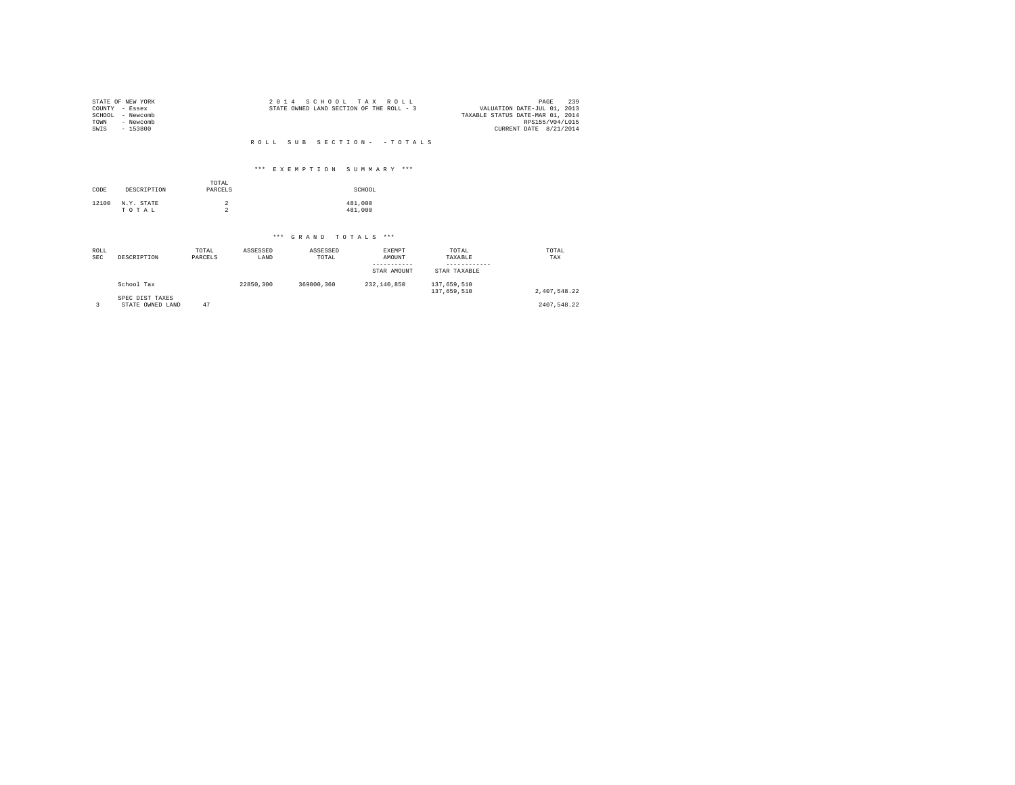| COUNTY<br>SCHOOL<br>TOWN<br>SWIS | STATE OF NEW YORK<br>- Essex<br>- Newcomb<br>- Newcomb<br>$-153800$ |                                  | 2 0 1 4          | S C H O O L          | TAX<br>ROLL<br>STATE OWNED LAND SECTION OF THE ROLL - 3 |                                  | 239<br>PAGE<br>VALUATION DATE-JUL 01, 2013<br>TAXABLE STATUS DATE-MAR 01, 2014<br>RPS155/V04/L015<br>CURRENT DATE 8/21/2014 |
|----------------------------------|---------------------------------------------------------------------|----------------------------------|------------------|----------------------|---------------------------------------------------------|----------------------------------|-----------------------------------------------------------------------------------------------------------------------------|
|                                  |                                                                     |                                  | ROLL.            | SUB                  | SECTION - - TOTALS                                      |                                  |                                                                                                                             |
|                                  |                                                                     |                                  |                  |                      |                                                         |                                  |                                                                                                                             |
|                                  |                                                                     |                                  |                  |                      | *** EXEMPTION SUMMARY ***                               |                                  |                                                                                                                             |
| CODE                             | DESCRIPTION                                                         | TOTAL<br>PARCELS                 |                  |                      | SCHOOL                                                  |                                  |                                                                                                                             |
| 12100                            | N.Y. STATE<br>TOTAL                                                 | $\overline{2}$<br>$\overline{a}$ |                  |                      | 481,000<br>481,000                                      |                                  |                                                                                                                             |
|                                  |                                                                     |                                  |                  | *** GRAND TOTALS *** |                                                         |                                  |                                                                                                                             |
|                                  |                                                                     |                                  |                  |                      |                                                         |                                  |                                                                                                                             |
| <b>ROLL</b><br><b>SEC</b>        | DESCRIPTION                                                         | TOTAL<br>PARCELS                 | ASSESSED<br>LAND | ASSESSED<br>TOTAL    | <b>EXEMPT</b><br>AMOUNT<br>-----------                  | TOTAL<br>TAXABLE<br>------------ | TOTAL<br>TAX                                                                                                                |
|                                  |                                                                     |                                  |                  |                      | STAR AMOUNT                                             | STAR TAXABLE                     |                                                                                                                             |
|                                  | School Tax                                                          |                                  | 22850,300        | 369800.360           | 232,140,850                                             | 137,659,510<br>137,659,510       | 2,407,548.22                                                                                                                |
| 3                                | SPEC DIST TAXES<br>STATE OWNED LAND                                 | 47                               |                  |                      |                                                         |                                  | 2407.548.22                                                                                                                 |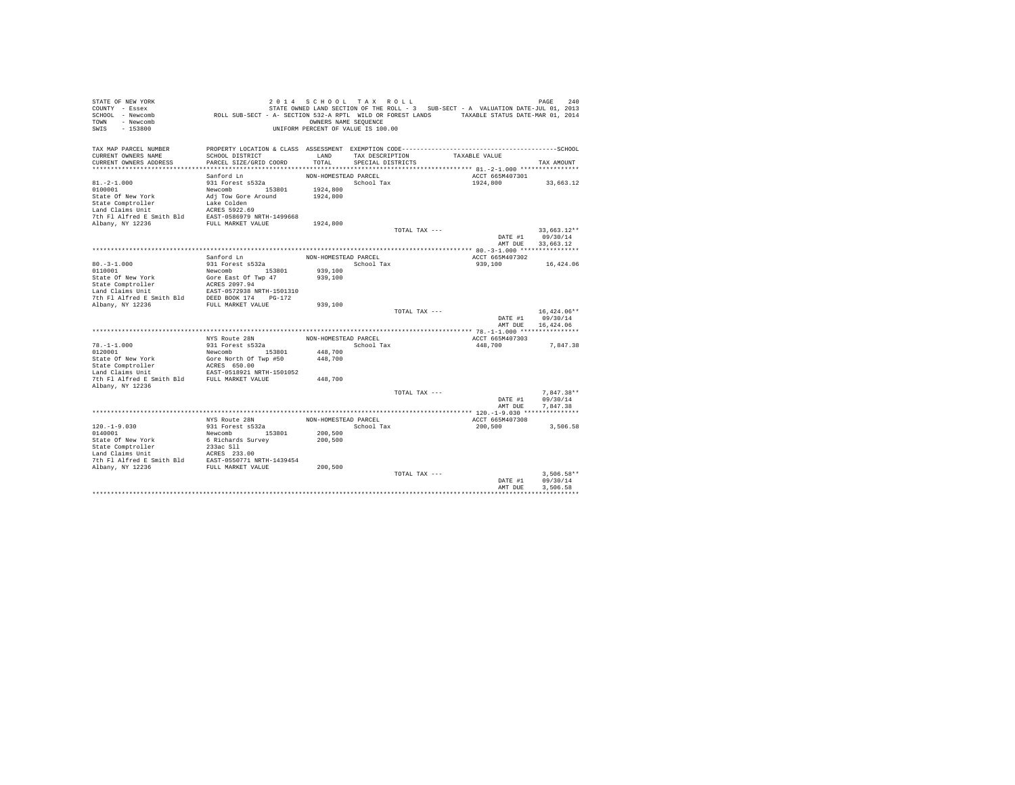| STATE OF NEW YORK<br>COUNTY - Essex<br>SCHOOL - Newcomb<br>TOWN<br>- Newcomb<br>SWIS<br>$-153800$                                                                                                                                                                                               | ROLL SUB-SECT - A- SECTION 532-A RPTL WILD OR FOREST LANDS TAXABLE STATUS DATE-MAR 01, 2014 | 2014 SCHOOL TAX ROLL<br>OWNERS NAME SEOUENCE<br>UNIFORM PERCENT OF VALUE IS 100.00 |                   |               | STATE OWNED LAND SECTION OF THE ROLL - 3 SUB-SECT - A VALUATION DATE-JUL 01, 2013 | PAGE<br>240           |
|-------------------------------------------------------------------------------------------------------------------------------------------------------------------------------------------------------------------------------------------------------------------------------------------------|---------------------------------------------------------------------------------------------|------------------------------------------------------------------------------------|-------------------|---------------|-----------------------------------------------------------------------------------|-----------------------|
| TAX MAP PARCEL NUMBER                                                                                                                                                                                                                                                                           |                                                                                             |                                                                                    |                   |               |                                                                                   |                       |
| CURRENT OWNERS NAME                                                                                                                                                                                                                                                                             | SCHOOL DISTRICT                                                                             | LAND                                                                               | TAX DESCRIPTION   |               | TAXABLE VALUE                                                                     |                       |
| CURRENT OWNERS ADDRESS                                                                                                                                                                                                                                                                          | PARCEL SIZE/GRID COORD                                                                      | TOTAL.                                                                             | SPECIAL DISTRICTS |               |                                                                                   | TAX AMOUNT            |
|                                                                                                                                                                                                                                                                                                 | Sanford Ln                                                                                  | NON-HOMESTEAD PARCEL                                                               |                   |               | ACCT 665M407301                                                                   |                       |
| $81. -2 - 1.000$                                                                                                                                                                                                                                                                                | 931 Forest s532a                                                                            |                                                                                    | School Tax        |               | 1924,800                                                                          | 33,663.12             |
| 0100001                                                                                                                                                                                                                                                                                         | Newcomb 153801                                                                              | 1924,800                                                                           |                   |               |                                                                                   |                       |
| State Of New York                                                                                                                                                                                                                                                                               | Adj Tow Gore Around                                                                         | 1924,800                                                                           |                   |               |                                                                                   |                       |
|                                                                                                                                                                                                                                                                                                 |                                                                                             |                                                                                    |                   |               |                                                                                   |                       |
| $\begin{tabular}{lllllllllll} \texttt{State Comptroller} & \texttt{Take Colden} \\ \texttt{Land Claim Unit} & \texttt{ACRES 5922.69} \\ \texttt{The AIF Alfred E Smith BId} & \texttt{EST-0586979 NRTH-1499668} \\ \texttt{Albany, NY 12236} & \texttt{EWH-0568879 NRTH-1499668} \end{tabular}$ |                                                                                             |                                                                                    |                   |               |                                                                                   |                       |
|                                                                                                                                                                                                                                                                                                 |                                                                                             |                                                                                    |                   |               |                                                                                   |                       |
|                                                                                                                                                                                                                                                                                                 |                                                                                             | 1924,800                                                                           |                   |               |                                                                                   |                       |
|                                                                                                                                                                                                                                                                                                 |                                                                                             |                                                                                    |                   | TOTAL TAX --- |                                                                                   | $33.663.12**$         |
|                                                                                                                                                                                                                                                                                                 |                                                                                             |                                                                                    |                   |               | DATE #1                                                                           | 09/30/14              |
|                                                                                                                                                                                                                                                                                                 |                                                                                             |                                                                                    |                   |               | AMT DUE                                                                           | 33,663.12             |
|                                                                                                                                                                                                                                                                                                 | Sanford Ln                                                                                  | NON-HOMESTEAD PARCEL                                                               |                   |               | ACCT 665M407302                                                                   |                       |
| $80. - 3 - 1.000$                                                                                                                                                                                                                                                                               | 931 Forest s532a                                                                            |                                                                                    | School Tax        |               | 939,100                                                                           | 16,424.06             |
| 0110001                                                                                                                                                                                                                                                                                         | Newcomb 153801                                                                              | 939,100                                                                            |                   |               |                                                                                   |                       |
| State Of New York                                                                                                                                                                                                                                                                               | Gore East Of Twp 47                                                                         | 939,100                                                                            |                   |               |                                                                                   |                       |
| State Comptroller                                                                                                                                                                                                                                                                               | ACRES 2097.94                                                                               |                                                                                    |                   |               |                                                                                   |                       |
| Land Claims Unit                                                                                                                                                                                                                                                                                |                                                                                             |                                                                                    |                   |               |                                                                                   |                       |
| 7th Fl Alfred E Smith Bld                                                                                                                                                                                                                                                                       | EAST-0572938 NRTH-1501310<br>DEED BOOK 174 PG-172                                           |                                                                                    |                   |               |                                                                                   |                       |
| Albany, NY 12236                                                                                                                                                                                                                                                                                | FULL MARKET VALUE                                                                           | 939,100                                                                            |                   |               |                                                                                   |                       |
|                                                                                                                                                                                                                                                                                                 |                                                                                             |                                                                                    |                   | TOTAL TAX --- |                                                                                   | $16,424.06**$         |
|                                                                                                                                                                                                                                                                                                 |                                                                                             |                                                                                    |                   |               | DATE #1<br>AMT DUE                                                                | 09/30/14<br>16,424.06 |
|                                                                                                                                                                                                                                                                                                 |                                                                                             |                                                                                    |                   |               |                                                                                   |                       |
|                                                                                                                                                                                                                                                                                                 | NYS Route 28N                                                                               | NON-HOMESTEAD PARCEL                                                               |                   |               | ACCT 665M407303                                                                   |                       |
| $78. - 1 - 1.000$                                                                                                                                                                                                                                                                               | 931 Forest s532a                                                                            |                                                                                    | School Tax        |               | 448,700                                                                           | 7.847.38              |
| 0120001                                                                                                                                                                                                                                                                                         | Newcomb<br>153801                                                                           | 448,700                                                                            |                   |               |                                                                                   |                       |
| State Of New York                                                                                                                                                                                                                                                                               | Gore North Of Twp #50                                                                       | 448,700                                                                            |                   |               |                                                                                   |                       |
| State Comptroller                                                                                                                                                                                                                                                                               | ACRES 650.00<br>EAST-0518921 NRTH-1501052                                                   |                                                                                    |                   |               |                                                                                   |                       |
| Land Claims Unit                                                                                                                                                                                                                                                                                |                                                                                             |                                                                                    |                   |               |                                                                                   |                       |
| 7th F1 Alfred E Smith Bld FULL MARKET VALUE                                                                                                                                                                                                                                                     |                                                                                             | 448,700                                                                            |                   |               |                                                                                   |                       |
| Albany, NY 12236                                                                                                                                                                                                                                                                                |                                                                                             |                                                                                    |                   | TOTAL TAX --- |                                                                                   | $7.847.38**$          |
|                                                                                                                                                                                                                                                                                                 |                                                                                             |                                                                                    |                   |               | DATE #1                                                                           | 09/30/14              |
|                                                                                                                                                                                                                                                                                                 |                                                                                             |                                                                                    |                   |               | AMT DUE                                                                           | 7,847.38              |
|                                                                                                                                                                                                                                                                                                 |                                                                                             |                                                                                    |                   |               |                                                                                   |                       |
|                                                                                                                                                                                                                                                                                                 | NYS Route 28N                                                                               | NON-HOMESTEAD PARCEL                                                               |                   |               | ACCT 665M407308                                                                   |                       |
| $120. - 1 - 9.030$                                                                                                                                                                                                                                                                              | 931 Forest s532a                                                                            |                                                                                    | School Tax        |               | 200,500                                                                           | 3,506.58              |
| 0140001                                                                                                                                                                                                                                                                                         | Newcomb 153801                                                                              | 200,500                                                                            |                   |               |                                                                                   |                       |
| State Of New York                                                                                                                                                                                                                                                                               | 6 Richards Survey                                                                           | 200,500                                                                            |                   |               |                                                                                   |                       |
| State Comptroller<br>Land Claims Unit                                                                                                                                                                                                                                                           | 233ac Sll                                                                                   |                                                                                    |                   |               |                                                                                   |                       |
|                                                                                                                                                                                                                                                                                                 | ACRES 233.00                                                                                |                                                                                    |                   |               |                                                                                   |                       |
| 7th Fl Alfred E Smith Bld EAST-0550771 NRTH-1439454<br>Albany, NY 12236                                                                                                                                                                                                                         | FULL MARKET VALUE                                                                           | 200,500                                                                            |                   |               |                                                                                   |                       |
|                                                                                                                                                                                                                                                                                                 |                                                                                             |                                                                                    |                   | TOTAL TAX --- |                                                                                   | $3.506.58**$          |
|                                                                                                                                                                                                                                                                                                 |                                                                                             |                                                                                    |                   |               | DATE #1                                                                           | 09/30/14              |
|                                                                                                                                                                                                                                                                                                 |                                                                                             |                                                                                    |                   |               | AMT DUE                                                                           | 3.506.58              |
|                                                                                                                                                                                                                                                                                                 |                                                                                             |                                                                                    |                   |               |                                                                                   |                       |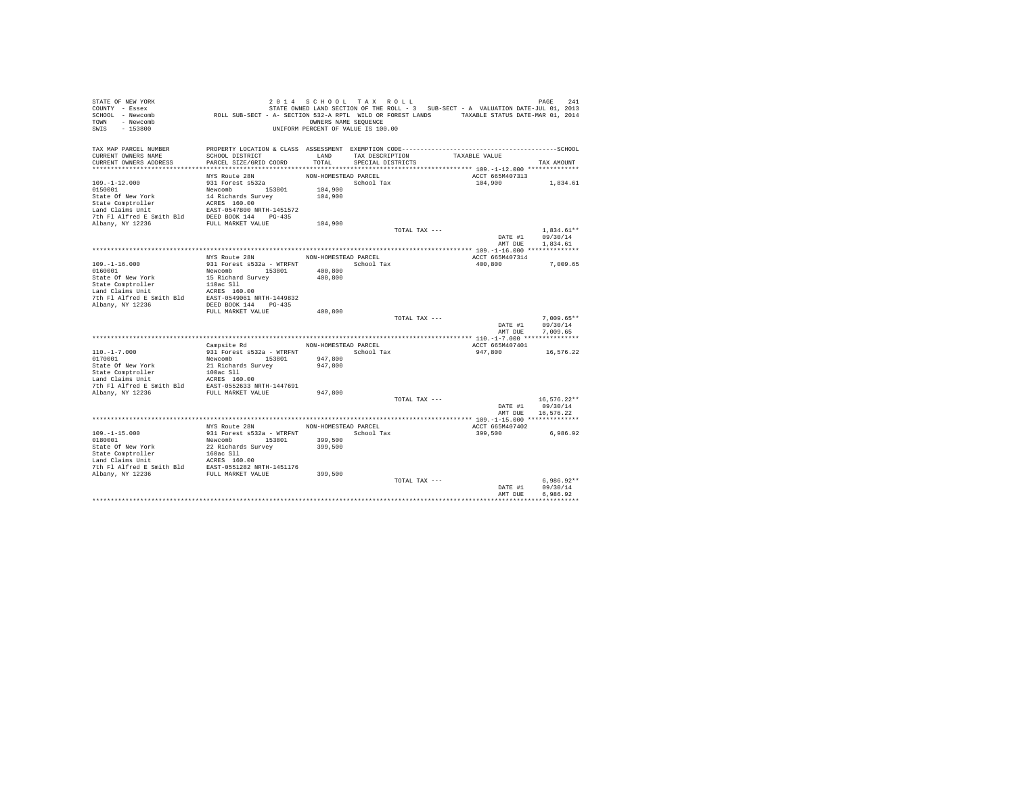| STATE OF NEW YORK                                                                                                                                                                                                                                                                                                                                                          |                                                                                             | 2014 SCHOOL TAX ROLL               |                   |               |                                                                                   | PAGE<br>241   |
|----------------------------------------------------------------------------------------------------------------------------------------------------------------------------------------------------------------------------------------------------------------------------------------------------------------------------------------------------------------------------|---------------------------------------------------------------------------------------------|------------------------------------|-------------------|---------------|-----------------------------------------------------------------------------------|---------------|
| COUNTY - Essex                                                                                                                                                                                                                                                                                                                                                             |                                                                                             |                                    |                   |               | STATE OWNED LAND SECTION OF THE ROLL - 3 SUB-SECT - A VALUATION DATE-JUL 01, 2013 |               |
| SCHOOL - Newcomb                                                                                                                                                                                                                                                                                                                                                           | ROLL SUB-SECT - A- SECTION 532-A RPTL WILD OR FOREST LANDS TAXABLE STATUS DATE-MAR 01, 2014 |                                    |                   |               |                                                                                   |               |
| TOWN - Newcomb                                                                                                                                                                                                                                                                                                                                                             |                                                                                             | OWNERS NAME SEQUENCE               |                   |               |                                                                                   |               |
| SWIS<br>$-153800$                                                                                                                                                                                                                                                                                                                                                          |                                                                                             | UNIFORM PERCENT OF VALUE IS 100.00 |                   |               |                                                                                   |               |
|                                                                                                                                                                                                                                                                                                                                                                            |                                                                                             |                                    |                   |               |                                                                                   |               |
| TAX MAP PARCEL NUMBER                                                                                                                                                                                                                                                                                                                                                      |                                                                                             |                                    |                   |               |                                                                                   |               |
| CURRENT OWNERS NAME                                                                                                                                                                                                                                                                                                                                                        | SCHOOL DISTRICT                                                                             | LAND                               | TAX DESCRIPTION   |               | TAXABLE VALUE                                                                     |               |
| CURRENT OWNERS ADDRESS                                                                                                                                                                                                                                                                                                                                                     | PARCEL SIZE/GRID COORD                                                                      | TOTAL                              | SPECIAL DISTRICTS |               |                                                                                   | TAX AMOUNT    |
|                                                                                                                                                                                                                                                                                                                                                                            |                                                                                             |                                    |                   |               |                                                                                   |               |
|                                                                                                                                                                                                                                                                                                                                                                            | NYS Route 28N                                                                               | NON-HOMESTEAD PARCEL               |                   |               | ACCT 665M407313                                                                   |               |
| $109. - 1 - 12.000$                                                                                                                                                                                                                                                                                                                                                        | 931 Forest s532a                                                                            |                                    | School Tax        |               | 104,900                                                                           | 1,834.61      |
|                                                                                                                                                                                                                                                                                                                                                                            |                                                                                             | 104,900                            |                   |               |                                                                                   |               |
|                                                                                                                                                                                                                                                                                                                                                                            |                                                                                             | 104,900                            |                   |               |                                                                                   |               |
|                                                                                                                                                                                                                                                                                                                                                                            |                                                                                             |                                    |                   |               |                                                                                   |               |
|                                                                                                                                                                                                                                                                                                                                                                            |                                                                                             |                                    |                   |               |                                                                                   |               |
|                                                                                                                                                                                                                                                                                                                                                                            |                                                                                             |                                    |                   |               |                                                                                   |               |
|                                                                                                                                                                                                                                                                                                                                                                            |                                                                                             | 104,900                            |                   |               |                                                                                   |               |
|                                                                                                                                                                                                                                                                                                                                                                            |                                                                                             |                                    |                   | TOTAL TAX --- |                                                                                   | $1,834.61**$  |
|                                                                                                                                                                                                                                                                                                                                                                            |                                                                                             |                                    |                   |               | DATE #1                                                                           | 09/30/14      |
|                                                                                                                                                                                                                                                                                                                                                                            |                                                                                             |                                    |                   |               | AMT DUE                                                                           | 1,834.61      |
|                                                                                                                                                                                                                                                                                                                                                                            |                                                                                             |                                    |                   |               |                                                                                   |               |
|                                                                                                                                                                                                                                                                                                                                                                            | NYS Route 28N                                                                               | NON-HOMESTEAD PARCEL               |                   |               | ACCT 665M407314                                                                   |               |
| $109. - 1 - 16.000$                                                                                                                                                                                                                                                                                                                                                        | 931 Forest s532a - WTRFNT School Tax                                                        |                                    |                   |               | 400,800                                                                           | 7,009.65      |
|                                                                                                                                                                                                                                                                                                                                                                            |                                                                                             | 400,800                            |                   |               |                                                                                   |               |
| $\begin{tabular}{l c c c} \hline 0160001 & {\small 100001} & {\small 100001} & {\small 110001} & {\small 110001} & {\small 110001} & {\small 110001} & {\small 110001} & {\small 110001} & {\small 110001} & {\small 110001} & {\small 110001} & {\small 110001} & {\small 110001} & {\small 110001} & {\small 110001} & {\small 110001} & {\small 110001} & {\small 1100$ |                                                                                             | 400,800                            |                   |               |                                                                                   |               |
|                                                                                                                                                                                                                                                                                                                                                                            |                                                                                             |                                    |                   |               |                                                                                   |               |
|                                                                                                                                                                                                                                                                                                                                                                            |                                                                                             |                                    |                   |               |                                                                                   |               |
|                                                                                                                                                                                                                                                                                                                                                                            |                                                                                             |                                    |                   |               |                                                                                   |               |
| Albany, NY 12236                                                                                                                                                                                                                                                                                                                                                           | DEED BOOK 144 PG-435                                                                        |                                    |                   |               |                                                                                   |               |
|                                                                                                                                                                                                                                                                                                                                                                            | FULL MARKET VALUE                                                                           | 400,800                            |                   |               |                                                                                   |               |
|                                                                                                                                                                                                                                                                                                                                                                            |                                                                                             |                                    |                   | TOTAL TAX --- |                                                                                   | $7,009.65**$  |
|                                                                                                                                                                                                                                                                                                                                                                            |                                                                                             |                                    |                   |               | DATE #1                                                                           | 09/30/14      |
|                                                                                                                                                                                                                                                                                                                                                                            |                                                                                             |                                    |                   |               | AMT DUE                                                                           | 7.009.65      |
|                                                                                                                                                                                                                                                                                                                                                                            |                                                                                             |                                    |                   |               |                                                                                   |               |
|                                                                                                                                                                                                                                                                                                                                                                            | Campsite Rd                                                                                 | NON-HOMESTEAD PARCEL               |                   |               | ACCT 665M407401                                                                   |               |
|                                                                                                                                                                                                                                                                                                                                                                            |                                                                                             | School Tax                         |                   |               | 947,800                                                                           | 16,576.22     |
|                                                                                                                                                                                                                                                                                                                                                                            |                                                                                             | 947,800                            |                   |               |                                                                                   |               |
|                                                                                                                                                                                                                                                                                                                                                                            |                                                                                             | 947,800                            |                   |               |                                                                                   |               |
|                                                                                                                                                                                                                                                                                                                                                                            |                                                                                             |                                    |                   |               |                                                                                   |               |
|                                                                                                                                                                                                                                                                                                                                                                            |                                                                                             |                                    |                   |               |                                                                                   |               |
|                                                                                                                                                                                                                                                                                                                                                                            |                                                                                             | 947.800                            |                   |               |                                                                                   |               |
|                                                                                                                                                                                                                                                                                                                                                                            |                                                                                             |                                    |                   | TOTAL TAX --- |                                                                                   | $16.576.22**$ |
|                                                                                                                                                                                                                                                                                                                                                                            |                                                                                             |                                    |                   |               | DATE #1                                                                           | 09/30/14      |
|                                                                                                                                                                                                                                                                                                                                                                            |                                                                                             |                                    |                   |               | AMT DUE                                                                           | 16,576.22     |
|                                                                                                                                                                                                                                                                                                                                                                            |                                                                                             |                                    |                   |               |                                                                                   |               |
|                                                                                                                                                                                                                                                                                                                                                                            | NYS Route 28N                                                                               | NON-HOMESTEAD PARCEL               |                   |               | ACCT 665M407402                                                                   |               |
| $109. - 1 - 15.000$                                                                                                                                                                                                                                                                                                                                                        | 931 Forest s532a - WTRFNT                                                                   | School Tax                         |                   |               | 399,500                                                                           | 6,986.92      |
| 0180001                                                                                                                                                                                                                                                                                                                                                                    | Newcomb 153801                                                                              | 399,500                            |                   |               |                                                                                   |               |
|                                                                                                                                                                                                                                                                                                                                                                            |                                                                                             | 399,500                            |                   |               |                                                                                   |               |
| State Of New York<br>State Comptroller<br>State Comptoning<br>In the Same State State Compton<br>Land Claims Unit<br>The Plaificed E Smith Bld<br>20236<br>20236<br>20236<br>20236<br>20236<br>20236<br>2024<br>2024<br>2024<br>2024<br>2024<br>2024<br>2024<br>2024                                                                                                       |                                                                                             |                                    |                   |               |                                                                                   |               |
|                                                                                                                                                                                                                                                                                                                                                                            |                                                                                             |                                    |                   |               |                                                                                   |               |
|                                                                                                                                                                                                                                                                                                                                                                            |                                                                                             |                                    |                   |               |                                                                                   |               |
|                                                                                                                                                                                                                                                                                                                                                                            |                                                                                             | 399,500                            |                   |               |                                                                                   |               |
|                                                                                                                                                                                                                                                                                                                                                                            |                                                                                             |                                    |                   | TOTAL TAX --- |                                                                                   | $6.986.92**$  |
|                                                                                                                                                                                                                                                                                                                                                                            |                                                                                             |                                    |                   |               | DATE #1                                                                           | 09/30/14      |
|                                                                                                                                                                                                                                                                                                                                                                            |                                                                                             |                                    |                   |               | AMT DUE                                                                           | 6.986.92      |
|                                                                                                                                                                                                                                                                                                                                                                            |                                                                                             |                                    |                   |               |                                                                                   |               |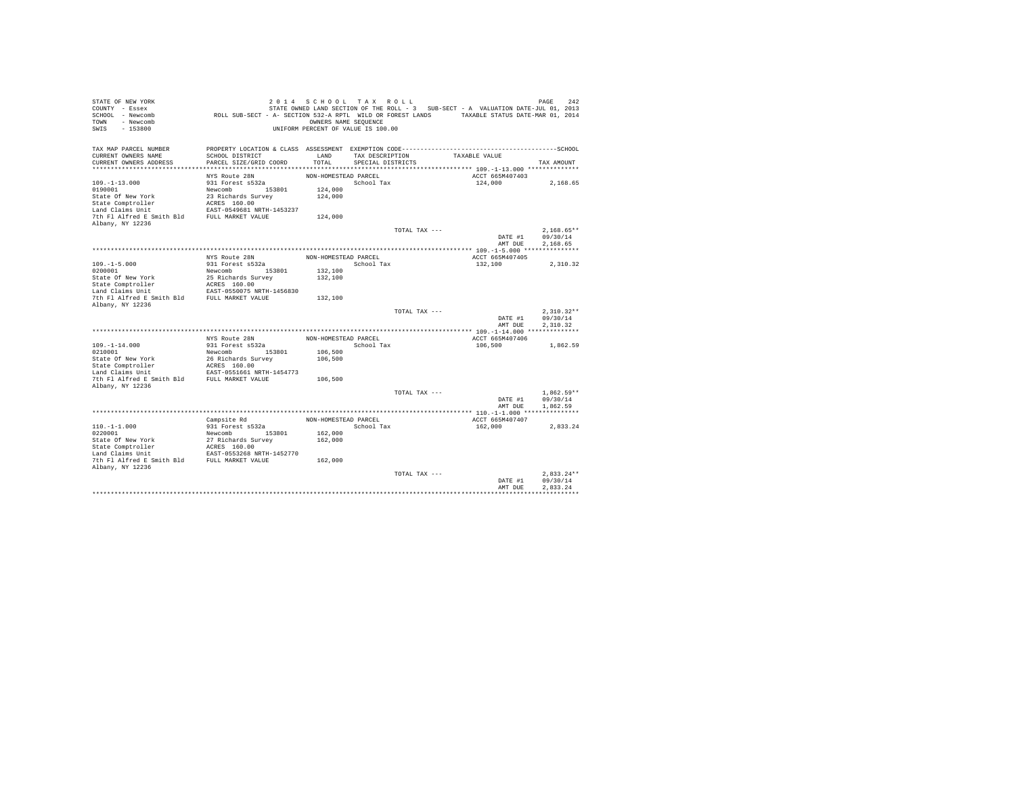| STATE OF NEW YORK<br>COUNTY - Essex<br>SCHOOL - Newcomb<br>- Newcomb<br><b>TOWN</b><br>$-153800$<br>SWIS | ROLL SUB-SECT - A- SECTION 532-A RPTL WILD OR FOREST LANDS TAXABLE STATUS DATE-MAR 01, 2014                     | 2014 SCHOOL TAX ROLL<br>OWNERS NAME SEQUENCE<br>UNIFORM PERCENT OF VALUE IS 100.00 |                   |               | STATE OWNED LAND SECTION OF THE ROLL - 3 SUB-SECT - A VALUATION DATE-JUL 01, 2013 | PAGE<br>242              |
|----------------------------------------------------------------------------------------------------------|-----------------------------------------------------------------------------------------------------------------|------------------------------------------------------------------------------------|-------------------|---------------|-----------------------------------------------------------------------------------|--------------------------|
| TAX MAP PARCEL NUMBER<br>CURRENT OWNERS NAME                                                             | PROPERTY LOCATION & CLASS ASSESSMENT EXEMPTION CODE-----------------------------------SCHOOL<br>SCHOOL DISTRICT | LAND                                                                               | TAX DESCRIPTION   |               | TAXABLE VALUE                                                                     |                          |
| CURRENT OWNERS ADDRESS                                                                                   | PARCEL SIZE/GRID COORD                                                                                          | TOTAL                                                                              | SPECIAL DISTRICTS |               |                                                                                   | TAX AMOUNT               |
|                                                                                                          |                                                                                                                 |                                                                                    |                   |               |                                                                                   |                          |
|                                                                                                          | NYS Route 28N                                                                                                   | NON-HOMESTEAD PARCEL                                                               |                   |               | ACCT 665M407403                                                                   |                          |
| $109. - 1 - 13.000$                                                                                      | 931 Forest s532a                                                                                                |                                                                                    | School Tax        |               | 124,000                                                                           | 2,168.65                 |
| 0190001                                                                                                  | Newcomb 153801                                                                                                  | 124,000                                                                            |                   |               |                                                                                   |                          |
| State Of New York                                                                                        | 23 Richards Survey                                                                                              | 124,000                                                                            |                   |               |                                                                                   |                          |
| State Comptroller<br>Land Claims Unit                                                                    | ACRES 160.00<br>EAST-0549681 NRTH-1453237                                                                       |                                                                                    |                   |               |                                                                                   |                          |
| 7th Fl Alfred E Smith Bld                                                                                | FULL MARKET VALUE                                                                                               | 124,000                                                                            |                   |               |                                                                                   |                          |
| Albany, NY 12236                                                                                         |                                                                                                                 |                                                                                    |                   |               |                                                                                   |                          |
|                                                                                                          |                                                                                                                 |                                                                                    |                   | TOTAL TAX --- |                                                                                   | $2.168.65**$             |
|                                                                                                          |                                                                                                                 |                                                                                    |                   |               | DATE #1                                                                           | 09/30/14                 |
|                                                                                                          |                                                                                                                 |                                                                                    |                   |               | AMT DUE                                                                           | 2.168.65                 |
|                                                                                                          |                                                                                                                 |                                                                                    |                   |               |                                                                                   |                          |
| $109. -1 - 5.000$                                                                                        | NYS Route 28N<br>931 Forest s532a                                                                               | NON-HOMESTEAD PARCEL                                                               | School Tax        |               | ACCT 665M407405<br>132,100                                                        | 2.310.32                 |
| 0200001                                                                                                  | Newcomb<br>153801                                                                                               | 132,100                                                                            |                   |               |                                                                                   |                          |
| State Of New York                                                                                        | 25 Richards Survey                                                                                              | 132,100                                                                            |                   |               |                                                                                   |                          |
| State Comptroller                                                                                        | ACRES 160.00                                                                                                    |                                                                                    |                   |               |                                                                                   |                          |
| Land Claims Unit                                                                                         | EAST-0550075 NRTH-1456830                                                                                       |                                                                                    |                   |               |                                                                                   |                          |
| 7th Fl Alfred E Smith Bld                                                                                | FULL MARKET VALUE                                                                                               | 132,100                                                                            |                   |               |                                                                                   |                          |
| Albany, NY 12236                                                                                         |                                                                                                                 |                                                                                    |                   |               |                                                                                   |                          |
|                                                                                                          |                                                                                                                 |                                                                                    |                   | TOTAL TAX --- | DATE #1                                                                           | $2.310.32**$<br>09/30/14 |
|                                                                                                          |                                                                                                                 |                                                                                    |                   |               | AMT DUE                                                                           | 2.310.32                 |
|                                                                                                          |                                                                                                                 |                                                                                    |                   |               |                                                                                   |                          |
|                                                                                                          | NYS Route 28N                                                                                                   | NON-HOMESTEAD PARCEL                                                               |                   |               | ACCT 665M407406                                                                   |                          |
| $109. -1 - 14.000$                                                                                       | 931 Forest s532a                                                                                                |                                                                                    | School Tax        |               | 106,500                                                                           | 1,862.59                 |
| 0210001                                                                                                  | Newcomb<br>153801                                                                                               | 106,500                                                                            |                   |               |                                                                                   |                          |
| State Of New York                                                                                        | 26 Richards Survey                                                                                              | 106,500                                                                            |                   |               |                                                                                   |                          |
| State Comptroller<br>Land Claims Unit                                                                    | ACRES 160.00<br>EAST-0551661 NRTH-1454773                                                                       |                                                                                    |                   |               |                                                                                   |                          |
| 7th Fl Alfred E Smith Bld                                                                                | FULL MARKET VALUE                                                                                               | 106,500                                                                            |                   |               |                                                                                   |                          |
| Albany, NY 12236                                                                                         |                                                                                                                 |                                                                                    |                   |               |                                                                                   |                          |
|                                                                                                          |                                                                                                                 |                                                                                    |                   | TOTAL TAX --- |                                                                                   | $1.862.59**$             |
|                                                                                                          |                                                                                                                 |                                                                                    |                   |               | DATE #1                                                                           | 09/30/14                 |
|                                                                                                          |                                                                                                                 |                                                                                    |                   |               | AMT DUE                                                                           | 1,862.59                 |
|                                                                                                          |                                                                                                                 | NON-HOMESTEAD PARCEL                                                               |                   |               |                                                                                   |                          |
| $110. -1 - 1.000$                                                                                        | Campsite Rd<br>931 Forest s532a                                                                                 |                                                                                    | School Tax        |               | ACCT 665M407407<br>162,000                                                        | 2.833.24                 |
| 0220001                                                                                                  | Newcomb 153801                                                                                                  | 162,000                                                                            |                   |               |                                                                                   |                          |
| State Of New York                                                                                        | 27 Richards Survey                                                                                              | 162,000                                                                            |                   |               |                                                                                   |                          |
| State Comptroller                                                                                        | ACRES 160.00                                                                                                    |                                                                                    |                   |               |                                                                                   |                          |
| Land Claims Unit                                                                                         | EAST-0553268 NRTH-1452770                                                                                       |                                                                                    |                   |               |                                                                                   |                          |
| 7th Fl Alfred E Smith Bld                                                                                | FULL MARKET VALUE                                                                                               | 162,000                                                                            |                   |               |                                                                                   |                          |
| Albany, NY 12236                                                                                         |                                                                                                                 |                                                                                    |                   |               |                                                                                   |                          |
|                                                                                                          |                                                                                                                 |                                                                                    |                   | TOTAL TAX --- | DATE #1                                                                           | $2.833.24**$<br>09/30/14 |
|                                                                                                          |                                                                                                                 |                                                                                    |                   |               | AMT DUE                                                                           | 2.833.24                 |
|                                                                                                          |                                                                                                                 |                                                                                    |                   |               |                                                                                   |                          |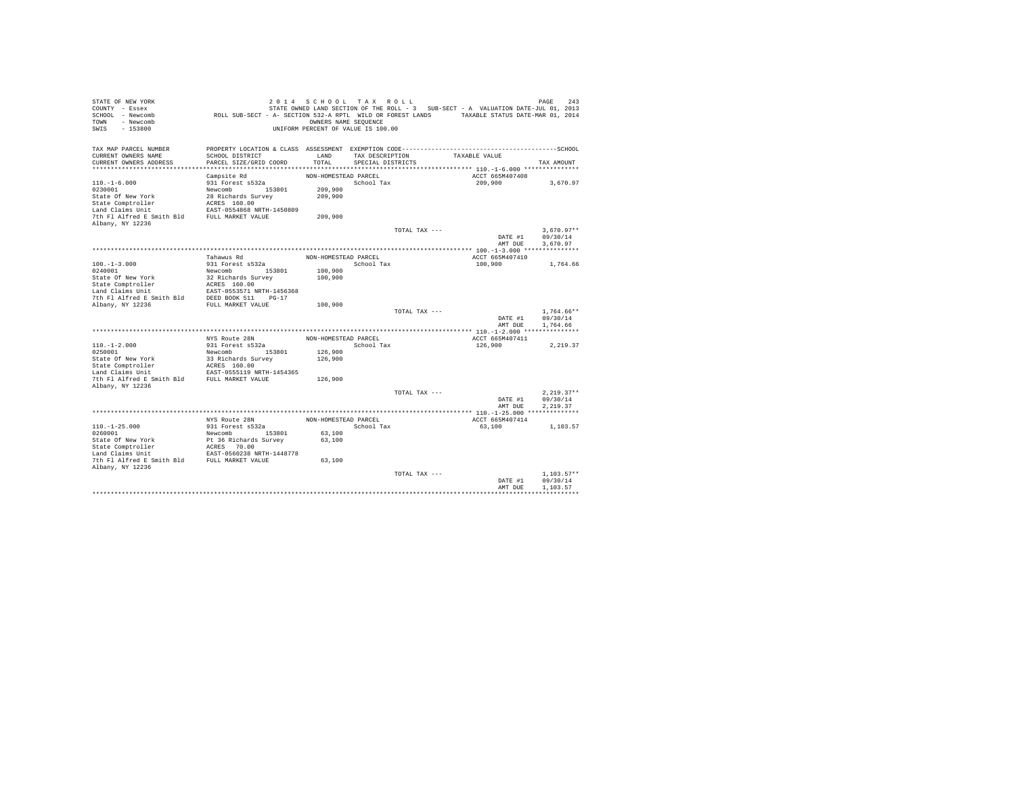| STATE OF NEW YORK<br>COUNTY - Essex<br>SCHOOL - Newcomb<br>- Newcomb<br>TOWN<br>$-153800$<br>SWIS | ROLL SUB-SECT - A- SECTION 532-A RPTL WILD OR FOREST LANDS TAXABLE STATUS DATE-MAR 01, 2014                                               | 2014 SCHOOL TAX ROLL<br>OWNERS NAME SEQUENCE<br>UNIFORM PERCENT OF VALUE IS 100.00 |                                      |               | STATE OWNED LAND SECTION OF THE ROLL - 3 SUB-SECT - A VALUATION DATE-JUL 01, 2013 | 243<br>PAGE  |
|---------------------------------------------------------------------------------------------------|-------------------------------------------------------------------------------------------------------------------------------------------|------------------------------------------------------------------------------------|--------------------------------------|---------------|-----------------------------------------------------------------------------------|--------------|
| TAX MAP PARCEL NUMBER<br>CURRENT OWNERS NAME<br>CURRENT OWNERS ADDRESS                            | PROPERTY LOCATION & CLASS ASSESSMENT EXEMPTION CODE-----------------------------------SCHOOL<br>SCHOOL DISTRICT<br>PARCEL SIZE/GRID COORD | LAND<br>TOTAL                                                                      | TAX DESCRIPTION<br>SPECIAL DISTRICTS |               | TAXABLE VALUE                                                                     | TAX AMOUNT   |
|                                                                                                   |                                                                                                                                           |                                                                                    |                                      |               |                                                                                   |              |
|                                                                                                   | Campsite Rd                                                                                                                               | NON-HOMESTEAD PARCEL                                                               |                                      |               | ACCT 665M407408                                                                   |              |
| $110. - 1 - 6.000$                                                                                | 931 Forest s532a                                                                                                                          |                                                                                    | School Tax                           |               | 209,900                                                                           | 3,670.97     |
| 0230001                                                                                           | Newcomb<br>153801                                                                                                                         | 209,900                                                                            |                                      |               |                                                                                   |              |
| State Of New York                                                                                 | 28 Richards Survey                                                                                                                        | 209,900                                                                            |                                      |               |                                                                                   |              |
| State Comptroller                                                                                 | ACRES 160.00                                                                                                                              |                                                                                    |                                      |               |                                                                                   |              |
| Land Claims Unit                                                                                  | EAST-0554868 NRTH-1450809                                                                                                                 |                                                                                    |                                      |               |                                                                                   |              |
| 7th Fl Alfred E Smith Bld                                                                         | FULL MARKET VALUE                                                                                                                         | 209,900                                                                            |                                      |               |                                                                                   |              |
| Albany, NY 12236                                                                                  |                                                                                                                                           |                                                                                    |                                      | TOTAL TAX --- |                                                                                   | $3.670.97**$ |
|                                                                                                   |                                                                                                                                           |                                                                                    |                                      |               | DATE #1                                                                           | 09/30/14     |
|                                                                                                   |                                                                                                                                           |                                                                                    |                                      |               | AMT DUE                                                                           | 3,670.97     |
|                                                                                                   |                                                                                                                                           |                                                                                    |                                      |               |                                                                                   |              |
|                                                                                                   | Tahawus Rd                                                                                                                                | NON-HOMESTEAD PARCEL                                                               |                                      |               | ACCT 665M407410                                                                   |              |
| $100. -1 - 3.000$                                                                                 | 931 Forest s532a                                                                                                                          |                                                                                    | School Tax                           |               | 100,900                                                                           | 1,764.66     |
| 0240001                                                                                           | Newcomb<br>153801                                                                                                                         | 100,900                                                                            |                                      |               |                                                                                   |              |
| State Of New York                                                                                 | 32 Richards Survey                                                                                                                        | 100,900                                                                            |                                      |               |                                                                                   |              |
| State Comptroller                                                                                 | ACRES 160.00                                                                                                                              |                                                                                    |                                      |               |                                                                                   |              |
| Land Claims Unit                                                                                  | EAST-0553571 NRTH-1456368                                                                                                                 |                                                                                    |                                      |               |                                                                                   |              |
| 7th Fl Alfred E Smith Bld                                                                         | DEED BOOK 511<br>$PG-17$                                                                                                                  |                                                                                    |                                      |               |                                                                                   |              |
| Albany, NY 12236                                                                                  | FULL MARKET VALUE                                                                                                                         | 100,900                                                                            |                                      | TOTAL TAX --- |                                                                                   | $1.764.66**$ |
|                                                                                                   |                                                                                                                                           |                                                                                    |                                      |               | DATE #1                                                                           | 09/30/14     |
|                                                                                                   |                                                                                                                                           |                                                                                    |                                      |               | AMT DUE                                                                           | 1.764.66     |
|                                                                                                   |                                                                                                                                           |                                                                                    |                                      |               |                                                                                   |              |
|                                                                                                   | NYS Route 28N                                                                                                                             | NON-HOMESTEAD PARCEL                                                               |                                      |               | ACCT 665M407411                                                                   |              |
| $110. - 1 - 2.000$                                                                                | 931 Forest s532a                                                                                                                          |                                                                                    | School Tax                           |               | 126,900                                                                           | 2,219.37     |
| 0250001                                                                                           | 153801<br>Newcomb                                                                                                                         | 126,900                                                                            |                                      |               |                                                                                   |              |
| State Of New York                                                                                 | 33 Richards Survey                                                                                                                        | 126,900                                                                            |                                      |               |                                                                                   |              |
| State Comptroller                                                                                 | ACRES 160.00                                                                                                                              |                                                                                    |                                      |               |                                                                                   |              |
| Land Claims Unit<br>7th Fl Alfred E Smith Bld                                                     | EAST-0555119 NRTH-1454365<br>FULL MARKET VALUE                                                                                            | 126,900                                                                            |                                      |               |                                                                                   |              |
| Albany, NY 12236                                                                                  |                                                                                                                                           |                                                                                    |                                      |               |                                                                                   |              |
|                                                                                                   |                                                                                                                                           |                                                                                    |                                      | TOTAL TAX --- |                                                                                   | $2.219.37**$ |
|                                                                                                   |                                                                                                                                           |                                                                                    |                                      |               | DATE #1                                                                           | 09/30/14     |
|                                                                                                   |                                                                                                                                           |                                                                                    |                                      |               | AMT DUE                                                                           | 2.219.37     |
|                                                                                                   |                                                                                                                                           |                                                                                    |                                      |               |                                                                                   |              |
|                                                                                                   | NYS Route 28N                                                                                                                             | NON-HOMESTEAD PARCEL                                                               |                                      |               | ACCT 665M407414                                                                   |              |
| $110. - 1 - 25.000$                                                                               | 931 Forest s532a                                                                                                                          |                                                                                    | School Tax                           |               | 63,100                                                                            | 1,103.57     |
| 0260001                                                                                           | Newcomb 153801                                                                                                                            | 63,100                                                                             |                                      |               |                                                                                   |              |
| State Of New York                                                                                 | Pt 36 Richards Survey                                                                                                                     | 63,100                                                                             |                                      |               |                                                                                   |              |
| State Comptroller<br>Land Claims Unit                                                             | ACRES 70.00<br>EAST-0560238 NRTH-1448778                                                                                                  |                                                                                    |                                      |               |                                                                                   |              |
| 7th Fl Alfred E Smith Bld FULL MARKET VALUE                                                       |                                                                                                                                           | 63,100                                                                             |                                      |               |                                                                                   |              |
| Albany, NY 12236                                                                                  |                                                                                                                                           |                                                                                    |                                      |               |                                                                                   |              |
|                                                                                                   |                                                                                                                                           |                                                                                    |                                      | TOTAL TAX --- |                                                                                   | $1.103.57**$ |
|                                                                                                   |                                                                                                                                           |                                                                                    |                                      |               | DATE #1                                                                           | 09/30/14     |
|                                                                                                   |                                                                                                                                           |                                                                                    |                                      |               | AMT DUE                                                                           | 1,103.57     |
|                                                                                                   |                                                                                                                                           |                                                                                    |                                      |               |                                                                                   |              |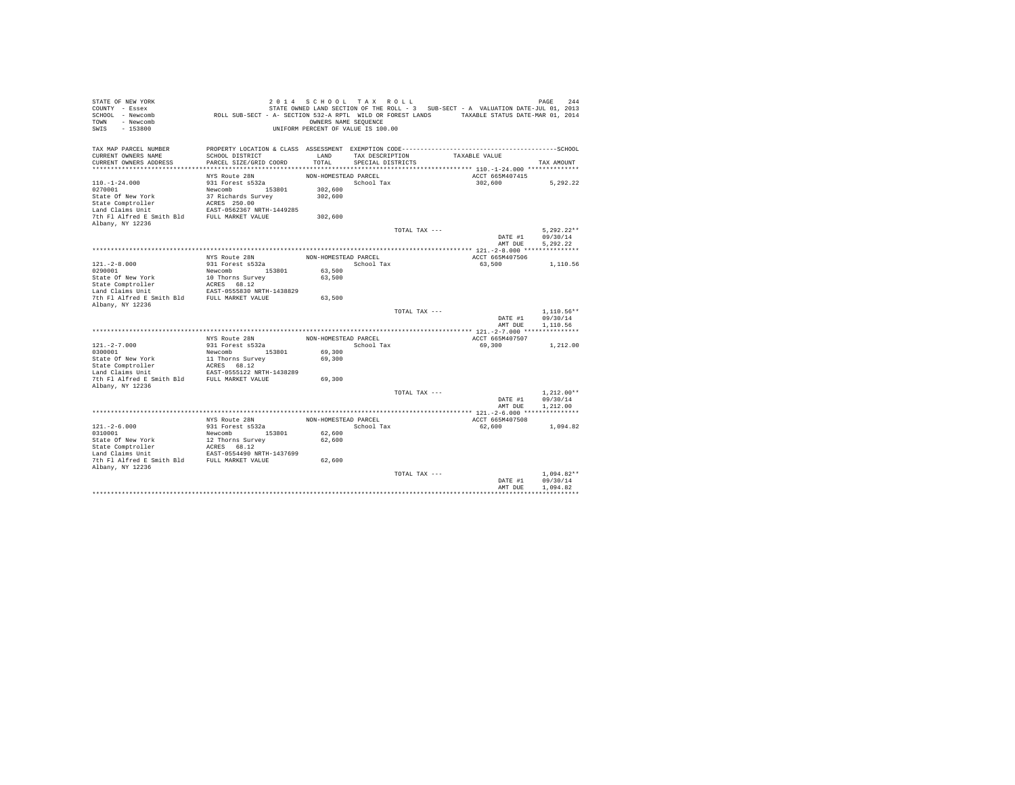| STATE OF NEW YORK<br>COUNTY - Essex<br>SCHOOL - Newcomb<br>- Newcomb<br>TOWN<br>$-153800$<br>SWIS | ROLL SUB-SECT - A- SECTION 532-A RPTL WILD OR FOREST LANDS TAXABLE STATUS DATE-MAR 01, 2014  | OWNERS NAME SEQUENCE | 2014 SCHOOL TAX ROLL<br>UNIFORM PERCENT OF VALUE IS 100.00 |               | STATE OWNED LAND SECTION OF THE ROLL - 3 SUB-SECT - A VALUATION DATE-JUL 01, 2013 | 244<br>PAGE  |
|---------------------------------------------------------------------------------------------------|----------------------------------------------------------------------------------------------|----------------------|------------------------------------------------------------|---------------|-----------------------------------------------------------------------------------|--------------|
| TAX MAP PARCEL NUMBER                                                                             | PROPERTY LOCATION & CLASS ASSESSMENT EXEMPTION CODE-----------------------------------SCHOOL |                      |                                                            |               |                                                                                   |              |
| CURRENT OWNERS NAME<br>CURRENT OWNERS ADDRESS                                                     | SCHOOL DISTRICT<br>PARCEL SIZE/GRID COORD                                                    | LAND<br>TOTAL        | TAX DESCRIPTION<br>SPECIAL DISTRICTS                       |               | TAXABLE VALUE                                                                     | TAX AMOUNT   |
|                                                                                                   |                                                                                              |                      |                                                            |               |                                                                                   |              |
|                                                                                                   | NYS Route 28N                                                                                | NON-HOMESTEAD PARCEL |                                                            |               | ACCT 665M407415                                                                   |              |
| $110. - 1 - 24.000$                                                                               | 931 Forest s532a                                                                             |                      | School Tax                                                 |               | 302,600                                                                           | 5,292.22     |
| 0270001                                                                                           | Newcomb 153801                                                                               | 302,600              |                                                            |               |                                                                                   |              |
| State Of New York                                                                                 | 37 Richards Survey                                                                           | 302,600              |                                                            |               |                                                                                   |              |
| State Comptroller                                                                                 | ACRES 250.00                                                                                 |                      |                                                            |               |                                                                                   |              |
| Land Claims Unit                                                                                  | EAST-0562367 NRTH-1449285                                                                    |                      |                                                            |               |                                                                                   |              |
| 7th Fl Alfred E Smith Bld                                                                         | FULL MARKET VALUE                                                                            | 302,600              |                                                            |               |                                                                                   |              |
| Albany, NY 12236                                                                                  |                                                                                              |                      |                                                            |               |                                                                                   |              |
|                                                                                                   |                                                                                              |                      |                                                            | TOTAL TAX --- |                                                                                   | $5.292.22**$ |
|                                                                                                   |                                                                                              |                      |                                                            |               | DATE #1                                                                           | 09/30/14     |
|                                                                                                   |                                                                                              |                      |                                                            |               | AMT DUE                                                                           | 5.292.22     |
|                                                                                                   | NYS Route 28N                                                                                | NON-HOMESTEAD PARCEL |                                                            |               | ACCT 665M407506                                                                   |              |
| $121. -2 - 8.000$                                                                                 | 931 Forest s532a                                                                             |                      | School Tax                                                 |               | 63,500                                                                            | 1,110.56     |
| 0290001                                                                                           | Newcomb<br>153801                                                                            | 63,500               |                                                            |               |                                                                                   |              |
| State Of New York                                                                                 | 10 Thorns Survey                                                                             | 63,500               |                                                            |               |                                                                                   |              |
| State Comptroller                                                                                 | ACRES 68.12                                                                                  |                      |                                                            |               |                                                                                   |              |
| Land Claims Unit                                                                                  | EAST-0555830 NRTH-1438829                                                                    |                      |                                                            |               |                                                                                   |              |
| 7th Fl Alfred E Smith Bld                                                                         | FULL MARKET VALUE                                                                            | 63,500               |                                                            |               |                                                                                   |              |
| Albany, NY 12236                                                                                  |                                                                                              |                      |                                                            |               |                                                                                   |              |
|                                                                                                   |                                                                                              |                      |                                                            | TOTAL TAX --- |                                                                                   | $1.110.56**$ |
|                                                                                                   |                                                                                              |                      |                                                            |               | DATE #1                                                                           | 09/30/14     |
|                                                                                                   |                                                                                              |                      |                                                            |               | AMT DUE                                                                           | 1,110.56     |
|                                                                                                   | NYS Route 28N                                                                                | NON-HOMESTEAD PARCEL |                                                            |               | ACCT 665M407507                                                                   |              |
| $121. -2 - 7.000$                                                                                 | 931 Forest s532a                                                                             |                      | School Tax                                                 |               | 69,300                                                                            |              |
| 0300001                                                                                           | 153801<br>Newcomb                                                                            | 69,300               |                                                            |               |                                                                                   | 1,212.00     |
| State Of New York                                                                                 | 11 Thorns Survey                                                                             | 69,300               |                                                            |               |                                                                                   |              |
| State Comptroller                                                                                 | ACRES 68.12                                                                                  |                      |                                                            |               |                                                                                   |              |
| Land Claims Unit                                                                                  | EAST-0555122 NRTH-1438289                                                                    |                      |                                                            |               |                                                                                   |              |
| 7th Fl Alfred E Smith Bld                                                                         | FULL MARKET VALUE                                                                            | 69,300               |                                                            |               |                                                                                   |              |
| Albany, NY 12236                                                                                  |                                                                                              |                      |                                                            |               |                                                                                   |              |
|                                                                                                   |                                                                                              |                      |                                                            | TOTAL TAX --- |                                                                                   | $1.212.00**$ |
|                                                                                                   |                                                                                              |                      |                                                            |               | DATE #1                                                                           | 09/30/14     |
|                                                                                                   |                                                                                              |                      |                                                            |               | AMT DUE                                                                           | 1,212.00     |
|                                                                                                   |                                                                                              |                      |                                                            |               |                                                                                   |              |
|                                                                                                   | NYS Route 28N                                                                                | NON-HOMESTEAD PARCEL |                                                            |               | ACCT 665M407508                                                                   |              |
| $121. - 2 - 6.000$<br>0310001                                                                     | 931 Forest s532a<br>Newcomb 153801                                                           | 62,600               | School Tax                                                 |               | 62,600                                                                            | 1.094.82     |
| State Of New York                                                                                 | 12 Thorns Survey                                                                             | 62,600               |                                                            |               |                                                                                   |              |
| State Comptroller                                                                                 | ACRES 68.12                                                                                  |                      |                                                            |               |                                                                                   |              |
| Land Claims Unit                                                                                  | EAST-0554490 NRTH-1437699                                                                    |                      |                                                            |               |                                                                                   |              |
| 7th Fl Alfred E Smith Bld FULL MARKET VALUE                                                       |                                                                                              | 62,600               |                                                            |               |                                                                                   |              |
| Albany, NY 12236                                                                                  |                                                                                              |                      |                                                            |               |                                                                                   |              |
|                                                                                                   |                                                                                              |                      |                                                            | TOTAL TAX --- |                                                                                   | $1.094.82**$ |
|                                                                                                   |                                                                                              |                      |                                                            |               | DATE #1                                                                           | 09/30/14     |
|                                                                                                   |                                                                                              |                      |                                                            |               | AMT DUE                                                                           | 1.094.82     |
|                                                                                                   |                                                                                              |                      |                                                            |               |                                                                                   |              |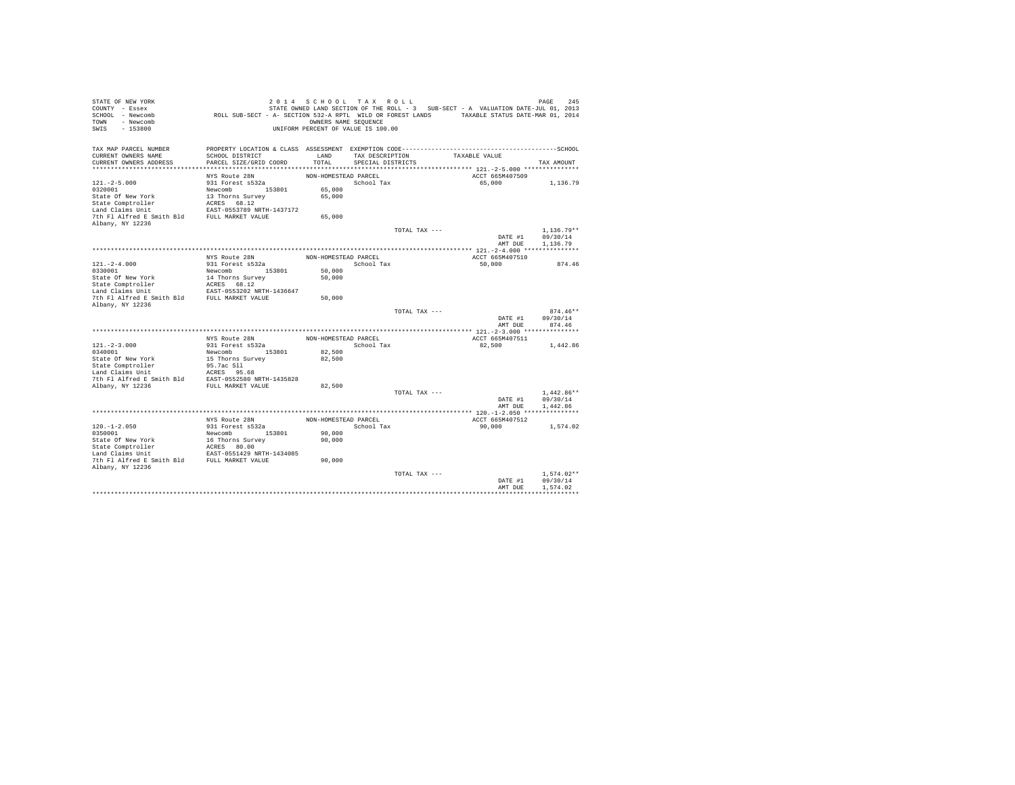| STATE OF NEW YORK<br>COUNTY - Essex<br>SCHOOL - Newcomb<br>- Newcomb<br><b>TOWN</b><br>$-153800$<br>SWIS | ROLL SUB-SECT - A- SECTION 532-A RPTL WILD OR FOREST LANDS TAXABLE STATUS DATE-MAR 01, 2014 | 2014 SCHOOL TAX ROLL<br>OWNERS NAME SEQUENCE<br>UNIFORM PERCENT OF VALUE IS 100.00 |                   |               | STATE OWNED LAND SECTION OF THE ROLL - 3 SUB-SECT - A VALUATION DATE-JUL 01, 2013 | 245<br>PAGE              |
|----------------------------------------------------------------------------------------------------------|---------------------------------------------------------------------------------------------|------------------------------------------------------------------------------------|-------------------|---------------|-----------------------------------------------------------------------------------|--------------------------|
| TAX MAP PARCEL NUMBER                                                                                    |                                                                                             |                                                                                    |                   |               |                                                                                   |                          |
| CURRENT OWNERS NAME                                                                                      | SCHOOL DISTRICT                                                                             | LAND                                                                               | TAX DESCRIPTION   |               | TAXABLE VALUE                                                                     |                          |
| CURRENT OWNERS ADDRESS                                                                                   | PARCEL SIZE/GRID COORD                                                                      | TOTAL                                                                              | SPECIAL DISTRICTS |               |                                                                                   | TAX AMOUNT               |
|                                                                                                          | NYS Route 28N                                                                               | NON-HOMESTEAD PARCEL                                                               |                   |               | ACCT 665M407509                                                                   |                          |
| $121. -2 - 5.000$                                                                                        | 931 Forest s532a                                                                            |                                                                                    | School Tax        |               | 65,000                                                                            | 1,136.79                 |
| 0320001                                                                                                  | Newcomb 153801                                                                              | 65,000                                                                             |                   |               |                                                                                   |                          |
| State Of New York                                                                                        | 13 Thorns Survey                                                                            | 65,000                                                                             |                   |               |                                                                                   |                          |
| State Comptroller                                                                                        | ACRES 68.12                                                                                 |                                                                                    |                   |               |                                                                                   |                          |
| Land Claims Unit                                                                                         | EAST-0553789 NRTH-1437172                                                                   |                                                                                    |                   |               |                                                                                   |                          |
| 7th Fl Alfred E Smith Bld FULL MARKET VALUE                                                              |                                                                                             | 65,000                                                                             |                   |               |                                                                                   |                          |
| Albany, NY 12236                                                                                         |                                                                                             |                                                                                    |                   |               |                                                                                   |                          |
|                                                                                                          |                                                                                             |                                                                                    |                   | TOTAL TAX --- |                                                                                   | $1.136.79**$<br>09/30/14 |
|                                                                                                          |                                                                                             |                                                                                    |                   |               | DATE #1<br>AMT DUE                                                                | 1,136.79                 |
|                                                                                                          |                                                                                             |                                                                                    |                   |               |                                                                                   |                          |
|                                                                                                          | NYS Route 28N                                                                               | NON-HOMESTEAD PARCEL                                                               |                   |               | ACCT 665M407510                                                                   |                          |
| $121. - 2 - 4.000$                                                                                       | 931 Forest s532a                                                                            |                                                                                    | School Tax        |               | 50,000                                                                            | 874.46                   |
| 0330001                                                                                                  | 153801<br>Newcomb                                                                           | 50,000                                                                             |                   |               |                                                                                   |                          |
| State Of New York                                                                                        | 14 Thorns Survey                                                                            | 50,000                                                                             |                   |               |                                                                                   |                          |
| State Comptroller                                                                                        | ACRES 68.12                                                                                 |                                                                                    |                   |               |                                                                                   |                          |
| Land Claims Unit                                                                                         | EAST-0553202 NRTH-1436647                                                                   |                                                                                    |                   |               |                                                                                   |                          |
| 7th Fl Alfred E Smith Bld                                                                                | FULL MARKET VALUE                                                                           | 50,000                                                                             |                   |               |                                                                                   |                          |
| Albany, NY 12236                                                                                         |                                                                                             |                                                                                    |                   | TOTAL TAX --- |                                                                                   | $874.46**$               |
|                                                                                                          |                                                                                             |                                                                                    |                   |               | DATE #1                                                                           | 09/30/14                 |
|                                                                                                          |                                                                                             |                                                                                    |                   |               | AMT DUE                                                                           | 874.46                   |
|                                                                                                          |                                                                                             |                                                                                    |                   |               |                                                                                   |                          |
|                                                                                                          | NYS Route 28N                                                                               | NON-HOMESTEAD PARCEL                                                               |                   |               | ACCT 665M407511                                                                   |                          |
| $121. -2 - 3.000$                                                                                        | 931 Forest s532a                                                                            |                                                                                    | School Tax        |               | 82,500                                                                            | 1,442.86                 |
| 0340001                                                                                                  | Newcomb 153801                                                                              | 82,500                                                                             |                   |               |                                                                                   |                          |
| State Of New York                                                                                        | 15 Thorns Survey                                                                            | 82,500                                                                             |                   |               |                                                                                   |                          |
| State Comptroller<br>Land Claims Unit                                                                    | 95.7ac Sll<br>ACRES 95.68                                                                   |                                                                                    |                   |               |                                                                                   |                          |
| 7th Fl Alfred E Smith Bld EAST-0552580 NRTH-1435828                                                      |                                                                                             |                                                                                    |                   |               |                                                                                   |                          |
| Albany, NY 12236                                                                                         | FULL MARKET VALUE                                                                           | 82,500                                                                             |                   |               |                                                                                   |                          |
|                                                                                                          |                                                                                             |                                                                                    |                   | TOTAL TAX --- |                                                                                   | $1.442.86**$             |
|                                                                                                          |                                                                                             |                                                                                    |                   |               | DATE #1                                                                           | 09/30/14                 |
|                                                                                                          |                                                                                             |                                                                                    |                   |               | AMT DUE                                                                           | 1.442.86                 |
|                                                                                                          |                                                                                             |                                                                                    |                   |               |                                                                                   |                          |
|                                                                                                          | NYS Route 28N                                                                               | NON-HOMESTEAD PARCEL                                                               |                   |               | ACCT 665M407512                                                                   |                          |
| $120. - 1 - 2.050$                                                                                       | 931 Forest s532a                                                                            |                                                                                    | School Tax        |               | 90,000                                                                            | 1,574.02                 |
| 0350001                                                                                                  | Newcomb 153801                                                                              | 90,000                                                                             |                   |               |                                                                                   |                          |
| State Of New York<br>State Comptroller                                                                   | 16 Thorns Survey<br>ACRES 80.00                                                             | 90,000                                                                             |                   |               |                                                                                   |                          |
| Land Claims Unit                                                                                         | EAST-0551429 NRTH-1434085                                                                   |                                                                                    |                   |               |                                                                                   |                          |
| 7th Fl Alfred E Smith Bld FULL MARKET VALUE                                                              |                                                                                             | 90,000                                                                             |                   |               |                                                                                   |                          |
| Albany, NY 12236                                                                                         |                                                                                             |                                                                                    |                   |               |                                                                                   |                          |
|                                                                                                          |                                                                                             |                                                                                    |                   | TOTAL TAX --- |                                                                                   | $1.574.02**$             |
|                                                                                                          |                                                                                             |                                                                                    |                   |               | DATE #1                                                                           | 09/30/14                 |
|                                                                                                          |                                                                                             |                                                                                    |                   |               | AMT DUE                                                                           | 1.574.02                 |
|                                                                                                          |                                                                                             |                                                                                    |                   |               |                                                                                   |                          |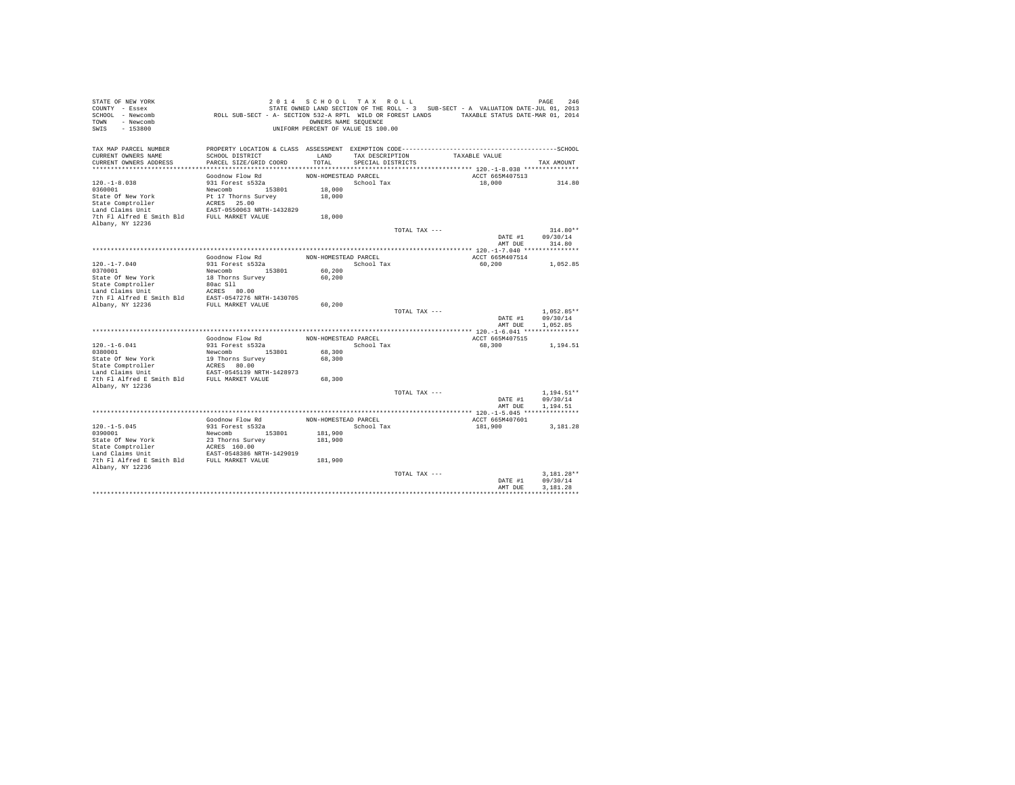| PROPERTY LOCATION & CLASS ASSESSMENT EXEMPTION CODE-----------------------------------SCHOOL<br>TAX MAP PARCEL NUMBER<br>CURRENT OWNERS NAME<br>SCHOOL DISTRICT<br>LAND<br>TAXABLE VALUE<br>TAX DESCRIPTION<br>PARCEL SIZE/GRID COORD<br>TOTAL<br>CURRENT OWNERS ADDRESS<br>SPECIAL DISTRICTS<br>TAX AMOUNT | 314.80     |
|-------------------------------------------------------------------------------------------------------------------------------------------------------------------------------------------------------------------------------------------------------------------------------------------------------------|------------|
|                                                                                                                                                                                                                                                                                                             |            |
|                                                                                                                                                                                                                                                                                                             |            |
|                                                                                                                                                                                                                                                                                                             |            |
| Goodnow Flow Rd<br>NON-HOMESTEAD PARCEL<br>ACCT 665M407513                                                                                                                                                                                                                                                  |            |
| $120. - 1 - 8.038$<br>931 Forest s532a<br>School Tax<br>18,000                                                                                                                                                                                                                                              |            |
| 0360001<br>Newcomb 153801<br>18,000                                                                                                                                                                                                                                                                         |            |
| State Of New York<br>18,000<br>Pt 17 Thorns Survey                                                                                                                                                                                                                                                          |            |
| ACRES 25.00<br>State Comptroller                                                                                                                                                                                                                                                                            |            |
| Land Claims Unit<br>EAST-0550063 NRTH-1432829<br>7th Fl Alfred E Smith Bld<br>FULL MARKET VALUE<br>18,000                                                                                                                                                                                                   |            |
| Albany, NY 12236                                                                                                                                                                                                                                                                                            |            |
| TOTAL TAX ---                                                                                                                                                                                                                                                                                               | $314.80**$ |
| 09/30/14<br>DATE #1                                                                                                                                                                                                                                                                                         |            |
| AMT DUE<br>314.80                                                                                                                                                                                                                                                                                           |            |
|                                                                                                                                                                                                                                                                                                             |            |
| Goodnow Flow Rd<br>NON-HOMESTEAD PARCEL<br>ACCT 665M407514                                                                                                                                                                                                                                                  |            |
| $120. - 1 - 7.040$<br>931 Forest s532a<br>School Tax<br>60,200<br>1,052.85<br>0370001<br>Newcomb<br>153801                                                                                                                                                                                                  |            |
| 60,200<br>State Of New York<br>18 Thorns Survey<br>60,200                                                                                                                                                                                                                                                   |            |
| 80ac S11<br>State Comptroller                                                                                                                                                                                                                                                                               |            |
| Land Claims Unit<br>ACRES 80.00                                                                                                                                                                                                                                                                             |            |
| 7th Fl Alfred E Smith Bld<br>EAST-0547276 NRTH-1430705                                                                                                                                                                                                                                                      |            |
| Albany, NY 12236<br>60,200<br>FULL MARKET VALUE                                                                                                                                                                                                                                                             |            |
| $1.052.85**$<br>TOTAL TAX ---                                                                                                                                                                                                                                                                               |            |
| DATE #1<br>09/30/14<br>1.052.85<br>AMT DUE                                                                                                                                                                                                                                                                  |            |
|                                                                                                                                                                                                                                                                                                             |            |
| Goodnow Flow Rd<br>NON-HOMESTEAD PARCEL<br>ACCT 665M407515                                                                                                                                                                                                                                                  |            |
| $120. - 1 - 6.041$<br>931 Forest s532a<br>School Tax<br>68,300<br>1,194.51                                                                                                                                                                                                                                  |            |
| 0380001<br>153801<br>68,300<br>Newcomb                                                                                                                                                                                                                                                                      |            |
| State Of New York<br>68,300<br>19 Thorns Survey                                                                                                                                                                                                                                                             |            |
| State Comptroller<br>ACRES 80.00                                                                                                                                                                                                                                                                            |            |
| Land Claims Unit<br>EAST-0545139 NRTH-1428973<br>7th Fl Alfred E Smith Bld<br>FULL MARKET VALUE<br>68,300                                                                                                                                                                                                   |            |
| Albany, NY 12236                                                                                                                                                                                                                                                                                            |            |
| TOTAL TAX ---<br>$1.194.51**$                                                                                                                                                                                                                                                                               |            |
| 09/30/14<br>DATE #1                                                                                                                                                                                                                                                                                         |            |
| AMT DUE<br>1,194.51                                                                                                                                                                                                                                                                                         |            |
|                                                                                                                                                                                                                                                                                                             |            |
| Goodnow Flow Rd<br>NON-HOMESTEAD PARCEL<br>ACCT 665M407601                                                                                                                                                                                                                                                  |            |
| School Tax<br>$120. -1 - 5.045$<br>931 Forest s532a<br>181,900<br>0390001<br>Newcomb 153801<br>181,900                                                                                                                                                                                                      | 3,181.28   |
| 181,900<br>State Of New York<br>23 Thorns Survey                                                                                                                                                                                                                                                            |            |
| ACRES 160.00<br>State Comptroller                                                                                                                                                                                                                                                                           |            |
| Land Claims Unit<br>EAST-0548386 NRTH-1429019                                                                                                                                                                                                                                                               |            |
| 7th Fl Alfred E Smith Bld FULL MARKET VALUE<br>181,900                                                                                                                                                                                                                                                      |            |
| Albany, NY 12236                                                                                                                                                                                                                                                                                            |            |
| $3.181.28**$<br>TOTAL TAX ---                                                                                                                                                                                                                                                                               |            |
| DATE #1<br>09/30/14<br>3.181.28<br>AMT DUE                                                                                                                                                                                                                                                                  |            |
|                                                                                                                                                                                                                                                                                                             |            |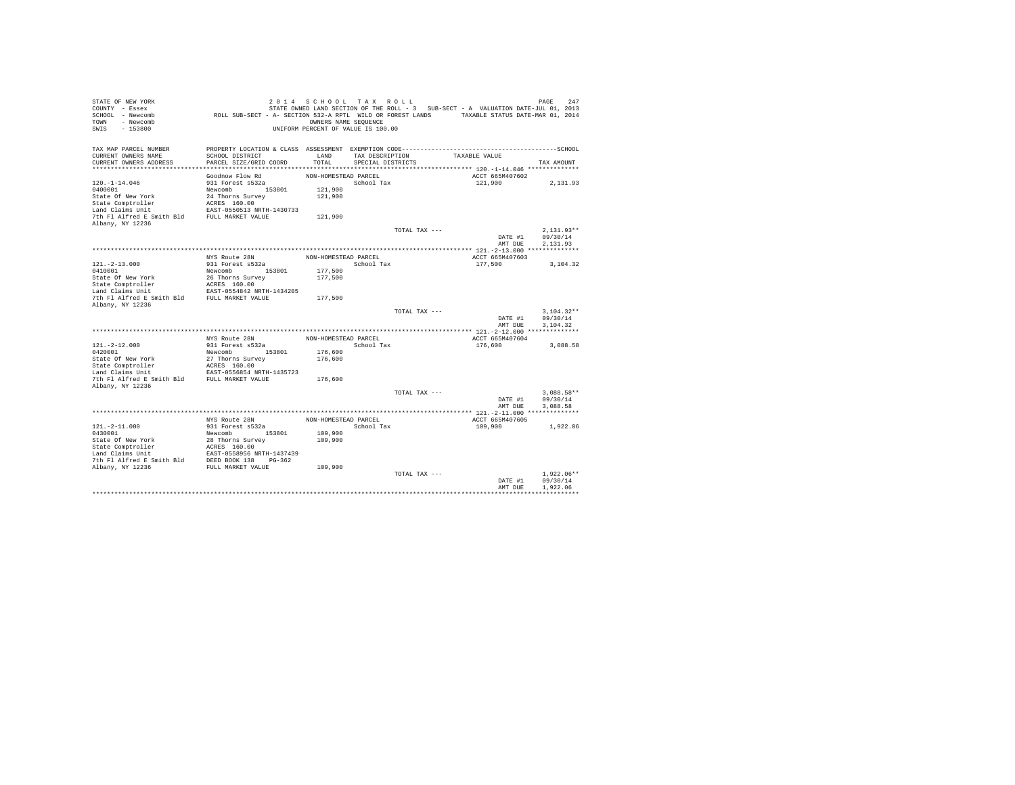| STATE OF NEW YORK<br>COUNTY - Essex<br>SCHOOL - Newcomb<br>- Newcomb<br>TOWN<br>$-153800$<br>SWIS | ROLL SUB-SECT - A- SECTION 532-A RPTL WILD OR FOREST LANDS TAXABLE STATUS DATE-MAR 01, 2014                     | 2014 SCHOOL TAX ROLL<br>OWNERS NAME SEQUENCE<br>UNIFORM PERCENT OF VALUE IS 100.00 |                   |               | STATE OWNED LAND SECTION OF THE ROLL - 3 SUB-SECT - A VALUATION DATE-JUL 01, 2013 | PAGE<br>247          |
|---------------------------------------------------------------------------------------------------|-----------------------------------------------------------------------------------------------------------------|------------------------------------------------------------------------------------|-------------------|---------------|-----------------------------------------------------------------------------------|----------------------|
| TAX MAP PARCEL NUMBER<br>CURRENT OWNERS NAME                                                      | PROPERTY LOCATION & CLASS ASSESSMENT EXEMPTION CODE-----------------------------------SCHOOL<br>SCHOOL DISTRICT | LAND                                                                               | TAX DESCRIPTION   |               | TAXABLE VALUE                                                                     |                      |
| CURRENT OWNERS ADDRESS                                                                            | PARCEL SIZE/GRID COORD                                                                                          | TOTAL                                                                              | SPECIAL DISTRICTS |               |                                                                                   | TAX AMOUNT           |
|                                                                                                   |                                                                                                                 |                                                                                    |                   |               |                                                                                   |                      |
|                                                                                                   | Goodnow Flow Rd                                                                                                 | NON-HOMESTEAD PARCEL                                                               |                   |               | ACCT 665M407602                                                                   |                      |
| $120. - 1 - 14.046$<br>0400001                                                                    | 931 Forest s532a<br>Newcomb 153801                                                                              | 121,900                                                                            | School Tax        |               | 121,900                                                                           | 2,131.93             |
| State Of New York                                                                                 | 24 Thorns Survey                                                                                                | 121,900                                                                            |                   |               |                                                                                   |                      |
| State Comptroller                                                                                 | ACRES 160.00                                                                                                    |                                                                                    |                   |               |                                                                                   |                      |
| Land Claims Unit                                                                                  | EAST-0550513 NRTH-1430733                                                                                       |                                                                                    |                   |               |                                                                                   |                      |
| 7th Fl Alfred E Smith Bld                                                                         | FULL MARKET VALUE                                                                                               | 121,900                                                                            |                   |               |                                                                                   |                      |
| Albany, NY 12236                                                                                  |                                                                                                                 |                                                                                    |                   |               |                                                                                   |                      |
|                                                                                                   |                                                                                                                 |                                                                                    |                   | TOTAL TAX --- |                                                                                   | $2.131.93**$         |
|                                                                                                   |                                                                                                                 |                                                                                    |                   |               | DATE #1                                                                           | 09/30/14             |
|                                                                                                   |                                                                                                                 |                                                                                    |                   |               | AMT DUE                                                                           | 2,131.93             |
|                                                                                                   | NYS Route 28N                                                                                                   | NON-HOMESTEAD PARCEL                                                               |                   |               | ACCT 665M407603                                                                   |                      |
| $121. - 2 - 13.000$                                                                               | 931 Forest s532a                                                                                                |                                                                                    | School Tax        |               | 177.500                                                                           | 3.104.32             |
| 0410001                                                                                           | Newcomb<br>153801                                                                                               | 177,500                                                                            |                   |               |                                                                                   |                      |
| State Of New York                                                                                 | 26 Thorns Survey                                                                                                | 177,500                                                                            |                   |               |                                                                                   |                      |
| State Comptroller                                                                                 | ACRES 160.00                                                                                                    |                                                                                    |                   |               |                                                                                   |                      |
| Land Claims Unit<br>7th Fl Alfred E Smith Bld                                                     | EAST-0554842 NRTH-1434205<br>FULL MARKET VALUE                                                                  | 177,500                                                                            |                   |               |                                                                                   |                      |
| Albany, NY 12236                                                                                  |                                                                                                                 |                                                                                    |                   |               |                                                                                   |                      |
|                                                                                                   |                                                                                                                 |                                                                                    |                   | TOTAL TAX --- |                                                                                   | $3.104.32**$         |
|                                                                                                   |                                                                                                                 |                                                                                    |                   |               | DATE #1                                                                           | 09/30/14             |
|                                                                                                   |                                                                                                                 |                                                                                    |                   |               | AMT DUE                                                                           | 3.104.32             |
|                                                                                                   |                                                                                                                 |                                                                                    |                   |               |                                                                                   |                      |
|                                                                                                   | NYS Route 28N                                                                                                   | NON-HOMESTEAD PARCEL                                                               |                   |               | ACCT 665M407604                                                                   |                      |
| $121. -2 - 12.000$<br>0420001                                                                     | 931 Forest s532a<br>153801<br>Newcomb                                                                           | 176,600                                                                            | School Tax        |               | 176,600                                                                           | 3,088.58             |
| State Of New York                                                                                 | 27 Thorns Survey                                                                                                | 176,600                                                                            |                   |               |                                                                                   |                      |
| State Comptroller                                                                                 | ACRES 160.00                                                                                                    |                                                                                    |                   |               |                                                                                   |                      |
| Land Claims Unit                                                                                  | EAST-0556854 NRTH-1435723                                                                                       |                                                                                    |                   |               |                                                                                   |                      |
| 7th Fl Alfred E Smith Bld                                                                         | FULL MARKET VALUE                                                                                               | 176,600                                                                            |                   |               |                                                                                   |                      |
| Albany, NY 12236                                                                                  |                                                                                                                 |                                                                                    |                   |               |                                                                                   |                      |
|                                                                                                   |                                                                                                                 |                                                                                    |                   | TOTAL TAX --- |                                                                                   | $3.088.58**$         |
|                                                                                                   |                                                                                                                 |                                                                                    |                   |               | DATE #1<br>AMT DUE                                                                | 09/30/14<br>3,088.58 |
|                                                                                                   |                                                                                                                 |                                                                                    |                   |               |                                                                                   |                      |
|                                                                                                   | NYS Route 28N                                                                                                   | NON-HOMESTEAD PARCEL                                                               |                   |               | ACCT 665M407605                                                                   |                      |
| $121. - 2 - 11.000$                                                                               | 931 Forest s532a                                                                                                |                                                                                    | School Tax        |               | 109,900                                                                           | 1,922.06             |
| 0430001                                                                                           | Newcomb 153801                                                                                                  | 109,900                                                                            |                   |               |                                                                                   |                      |
| State Of New York                                                                                 | 28 Thorns Survey                                                                                                | 109,900                                                                            |                   |               |                                                                                   |                      |
| State Comptroller                                                                                 | ACRES 160.00                                                                                                    |                                                                                    |                   |               |                                                                                   |                      |
| Land Claims Unit<br>7th Fl Alfred E Smith Bld                                                     | EAST-0558956 NRTH-1437439<br>DEED BOOK 138 PG-362                                                               |                                                                                    |                   |               |                                                                                   |                      |
| Albany, NY 12236                                                                                  | FULL MARKET VALUE                                                                                               | 109,900                                                                            |                   |               |                                                                                   |                      |
|                                                                                                   |                                                                                                                 |                                                                                    |                   | TOTAL TAX --- |                                                                                   | $1.922.06**$         |
|                                                                                                   |                                                                                                                 |                                                                                    |                   |               | DATE #1                                                                           | 09/30/14             |
|                                                                                                   |                                                                                                                 |                                                                                    |                   |               | AMT DUE                                                                           | 1.922.06             |
|                                                                                                   |                                                                                                                 |                                                                                    |                   |               |                                                                                   |                      |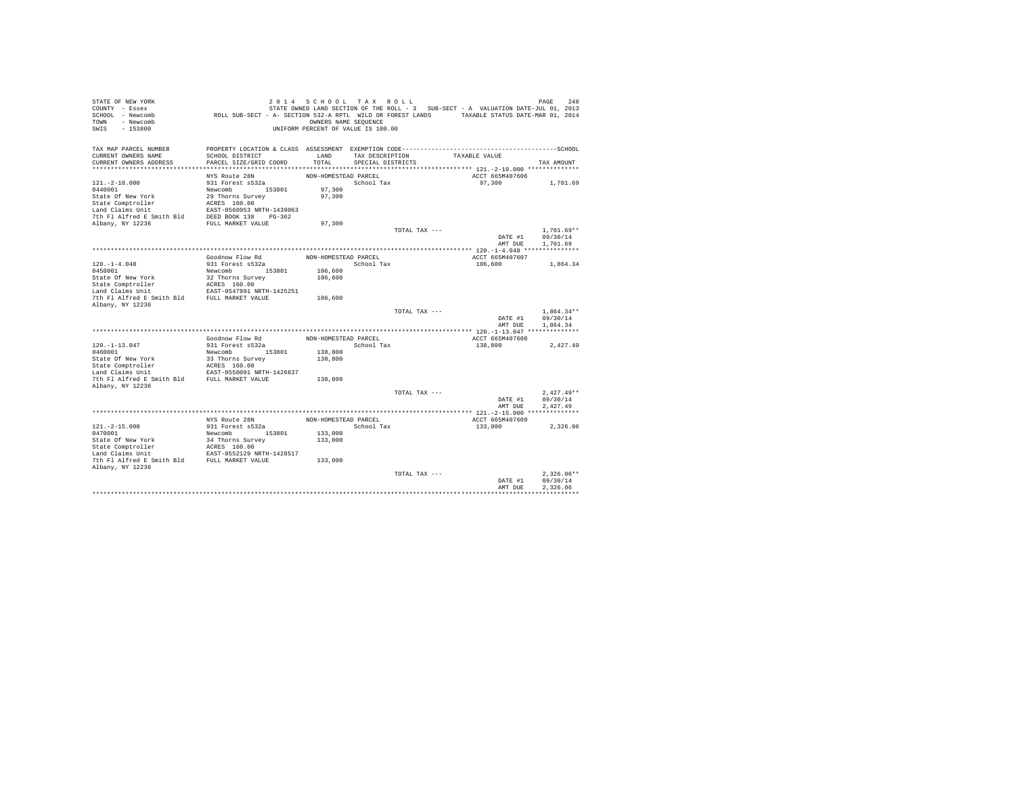| STATE OF NEW YORK<br>COUNTY - Essex<br>SCHOOL - Newcomb<br>TOWN - Newcomb<br>SWIS<br>$-153800$                                                                            | ROLL SUB-SECT - A- SECTION 532-A RPTL WILD OR FOREST LANDS TAXABLE STATUS DATE-MAR 01, 2014 | 2014 SCHOOL TAX ROLL<br>OWNERS NAME SEQUENCE<br>UNIFORM PERCENT OF VALUE IS 100.00 |                   |               | STATE OWNED LAND SECTION OF THE ROLL - 3 SUB-SECT - A VALUATION DATE-JUL 01, 2013 | PAGE<br>248          |
|---------------------------------------------------------------------------------------------------------------------------------------------------------------------------|---------------------------------------------------------------------------------------------|------------------------------------------------------------------------------------|-------------------|---------------|-----------------------------------------------------------------------------------|----------------------|
| TAX MAP PARCEL NUMBER                                                                                                                                                     |                                                                                             |                                                                                    |                   |               |                                                                                   |                      |
| CURRENT OWNERS NAME                                                                                                                                                       | SCHOOL DISTRICT                                                                             | LAND                                                                               | TAX DESCRIPTION   |               | TAXABLE VALUE                                                                     |                      |
| CURRENT OWNERS ADDRESS                                                                                                                                                    | PARCEL SIZE/GRID COORD                                                                      | TOTAL                                                                              | SPECIAL DISTRICTS |               |                                                                                   | TAX AMOUNT           |
|                                                                                                                                                                           | NYS Route 28N                                                                               | NON-HOMESTEAD PARCEL                                                               |                   |               | ACCT 665M407606                                                                   |                      |
| $121. - 2 - 10.000$                                                                                                                                                       | 931 Forest s532a                                                                            |                                                                                    | School Tax        |               | 97,300                                                                            | 1,701.69             |
| 0440001                                                                                                                                                                   | Newcomb 153801                                                                              | 97,300                                                                             |                   |               |                                                                                   |                      |
| State Of New York                                                                                                                                                         | 29 Thorns Survey                                                                            | 97,300                                                                             |                   |               |                                                                                   |                      |
| State Comptroller                                                                                                                                                         | ACRES 160.00                                                                                |                                                                                    |                   |               |                                                                                   |                      |
| Land Claims Unit                                                                                                                                                          | EAST-0560953 NRTH-1439063                                                                   |                                                                                    |                   |               |                                                                                   |                      |
| 7th Fl Alfred E Smith Bld DEED BOOK 138 PG-362                                                                                                                            |                                                                                             |                                                                                    |                   |               |                                                                                   |                      |
| Albany, NY 12236                                                                                                                                                          | FULL MARKET VALUE                                                                           | 97,300                                                                             |                   |               |                                                                                   |                      |
|                                                                                                                                                                           |                                                                                             |                                                                                    |                   | TOTAL TAX --- |                                                                                   | $1.701.69**$         |
|                                                                                                                                                                           |                                                                                             |                                                                                    |                   |               | DATE #1<br>AMT DUE                                                                | 09/30/14<br>1,701.69 |
|                                                                                                                                                                           |                                                                                             |                                                                                    |                   |               |                                                                                   |                      |
|                                                                                                                                                                           | Goodnow Flow Rd                                                                             | NON-HOMESTEAD PARCEL                                                               |                   |               | ACCT 665M407607                                                                   |                      |
| $120. - 1 - 4.048$                                                                                                                                                        | 931 Forest s532a                                                                            |                                                                                    | School Tax        |               | 106,600                                                                           | 1,864.34             |
| 0450001                                                                                                                                                                   | Newcomb 153801                                                                              | 106,600                                                                            |                   |               |                                                                                   |                      |
| State Of New York                                                                                                                                                         | 32 Thorns Survey                                                                            | 106,600                                                                            |                   |               |                                                                                   |                      |
| State Comptroller                                                                                                                                                         | ACRES 160.00                                                                                |                                                                                    |                   |               |                                                                                   |                      |
| $\begin{tabular}{lllllll} \texttt{Land Claus Unit} & \texttt{EAST-0547991 NRTH-1425251} \\ \texttt{7th Fl Alfred E Smith Bld} & \texttt{FULL MARKET VALUE} \end{tabular}$ |                                                                                             |                                                                                    |                   |               |                                                                                   |                      |
|                                                                                                                                                                           |                                                                                             | 106,600                                                                            |                   |               |                                                                                   |                      |
| Albany, NY 12236                                                                                                                                                          |                                                                                             |                                                                                    |                   | TOTAL TAX --- |                                                                                   | $1,864.34**$         |
|                                                                                                                                                                           |                                                                                             |                                                                                    |                   |               | DATE #1                                                                           | 09/30/14             |
|                                                                                                                                                                           |                                                                                             |                                                                                    |                   |               | AMT DUE                                                                           | 1.864.34             |
|                                                                                                                                                                           |                                                                                             |                                                                                    |                   |               |                                                                                   |                      |
|                                                                                                                                                                           | Goodnow Flow Rd                                                                             | NON-HOMESTEAD PARCEL                                                               |                   |               | ACCT 665M407608                                                                   |                      |
| $120. -1 - 13.047$                                                                                                                                                        | 931 Forest s532a                                                                            |                                                                                    | School Tax        |               | 138,800                                                                           | 2,427.49             |
| 0460001                                                                                                                                                                   | Newcomb 153801                                                                              | 138,800                                                                            |                   |               |                                                                                   |                      |
| State Of New York                                                                                                                                                         | 33 Thorns Survey                                                                            | 138,800                                                                            |                   |               |                                                                                   |                      |
| State Comptroller<br>Land Claims Unit                                                                                                                                     | ACRES 160.00                                                                                |                                                                                    |                   |               |                                                                                   |                      |
| 7th Fl Alfred E Smith Bld FULL MARKET VALUE                                                                                                                               | EAST-0550091 NRTH-1426837                                                                   | 138,800                                                                            |                   |               |                                                                                   |                      |
| Albany, NY 12236                                                                                                                                                          |                                                                                             |                                                                                    |                   |               |                                                                                   |                      |
|                                                                                                                                                                           |                                                                                             |                                                                                    |                   | TOTAL TAX --- |                                                                                   | $2.427.49**$         |
|                                                                                                                                                                           |                                                                                             |                                                                                    |                   |               | DATE #1                                                                           | 09/30/14             |
|                                                                                                                                                                           |                                                                                             |                                                                                    |                   |               | AMT DUE                                                                           | 2.427.49             |
|                                                                                                                                                                           |                                                                                             |                                                                                    |                   |               |                                                                                   |                      |
|                                                                                                                                                                           | NYS Route 28N                                                                               | NON-HOMESTEAD PARCEL                                                               |                   |               | ACCT 665M407609                                                                   |                      |
| $121. -2 - 15.000$                                                                                                                                                        | 931 Forest s532a                                                                            |                                                                                    | School Tax        |               | 133,000                                                                           | 2.326.06             |
| 0470001<br>State Of New York                                                                                                                                              | Newcomb 153801                                                                              | 133,000                                                                            |                   |               |                                                                                   |                      |
| State Comptroller                                                                                                                                                         | 34 Thorns Survey<br>ACRES 160.00                                                            | 133,000                                                                            |                   |               |                                                                                   |                      |
| Land Claims Unit                                                                                                                                                          | EAST-0552129 NRTH-1428517                                                                   |                                                                                    |                   |               |                                                                                   |                      |
| 7th Fl Alfred E Smith Bld FULL MARKET VALUE                                                                                                                               |                                                                                             | 133,000                                                                            |                   |               |                                                                                   |                      |
| Albany, NY 12236                                                                                                                                                          |                                                                                             |                                                                                    |                   |               |                                                                                   |                      |
|                                                                                                                                                                           |                                                                                             |                                                                                    |                   | TOTAL TAX --- |                                                                                   | $2.326.06**$         |
|                                                                                                                                                                           |                                                                                             |                                                                                    |                   |               | DATE #1                                                                           | 09/30/14             |
|                                                                                                                                                                           |                                                                                             |                                                                                    |                   |               | AMT DUE                                                                           | 2.326.06             |
|                                                                                                                                                                           |                                                                                             |                                                                                    |                   |               |                                                                                   |                      |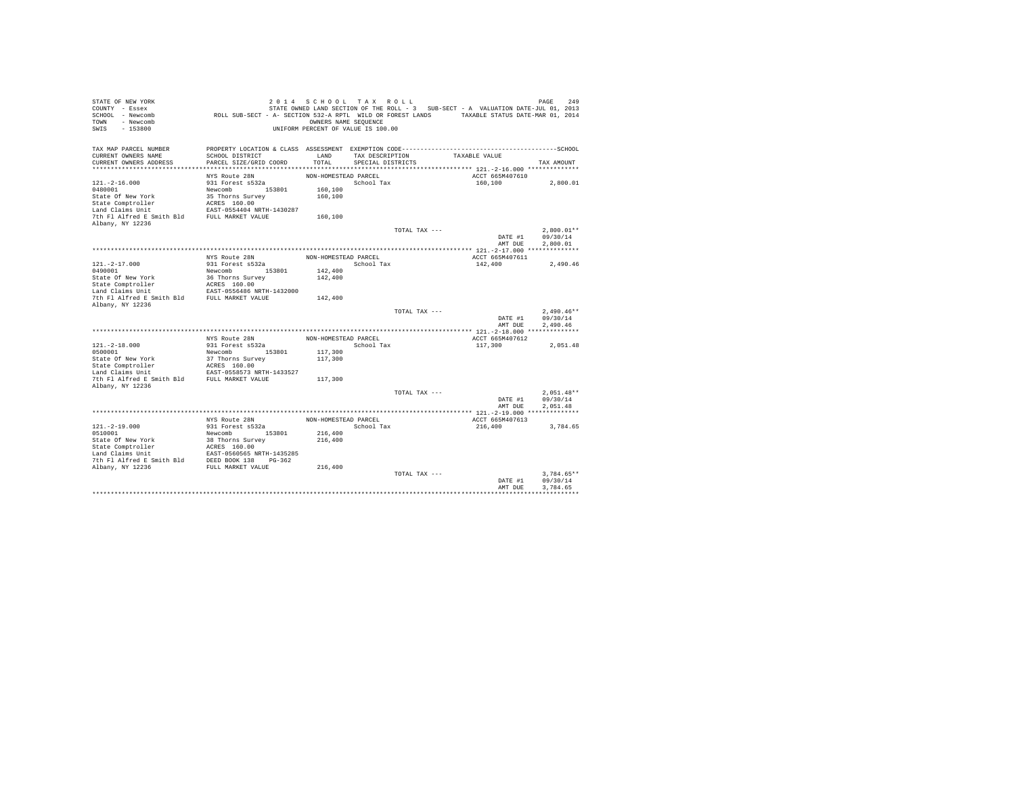| STATE OF NEW YORK<br>COUNTY - Essex<br>SCHOOL - Newcomb<br>- Newcomb<br>TOWN<br>$-153800$<br>SWIS | ROLL SUB-SECT - A- SECTION 532-A RPTL WILD OR FOREST LANDS TAXABLE STATUS DATE-MAR 01, 2014                     | 2014 SCHOOL TAX ROLL<br>OWNERS NAME SEQUENCE<br>UNIFORM PERCENT OF VALUE IS 100.00 |                   |               | STATE OWNED LAND SECTION OF THE ROLL - 3 SUB-SECT - A VALUATION DATE-JUL 01, 2013 | 249<br>PAGE  |
|---------------------------------------------------------------------------------------------------|-----------------------------------------------------------------------------------------------------------------|------------------------------------------------------------------------------------|-------------------|---------------|-----------------------------------------------------------------------------------|--------------|
| TAX MAP PARCEL NUMBER<br>CURRENT OWNERS NAME                                                      | PROPERTY LOCATION & CLASS ASSESSMENT EXEMPTION CODE-----------------------------------SCHOOL<br>SCHOOL DISTRICT | LAND                                                                               | TAX DESCRIPTION   |               | TAXABLE VALUE                                                                     |              |
| CURRENT OWNERS ADDRESS                                                                            | PARCEL SIZE/GRID COORD                                                                                          | TOTAL                                                                              | SPECIAL DISTRICTS |               |                                                                                   | TAX AMOUNT   |
|                                                                                                   |                                                                                                                 |                                                                                    |                   |               |                                                                                   |              |
|                                                                                                   | NYS Route 28N                                                                                                   | NON-HOMESTEAD PARCEL                                                               |                   |               | ACCT 665M407610                                                                   |              |
| $121. -2 - 16.000$                                                                                | 931 Forest s532a                                                                                                |                                                                                    | School Tax        |               | 160,100                                                                           | 2,800.01     |
| 0480001                                                                                           | Newcomb 153801                                                                                                  | 160,100                                                                            |                   |               |                                                                                   |              |
| State Of New York                                                                                 | 35 Thorns Survey                                                                                                | 160,100                                                                            |                   |               |                                                                                   |              |
| State Comptroller<br>Land Claims Unit                                                             | ACRES 160.00<br>EAST-0554404 NRTH-1430287                                                                       |                                                                                    |                   |               |                                                                                   |              |
| 7th Fl Alfred E Smith Bld                                                                         | FULL MARKET VALUE                                                                                               | 160,100                                                                            |                   |               |                                                                                   |              |
| Albany, NY 12236                                                                                  |                                                                                                                 |                                                                                    |                   |               |                                                                                   |              |
|                                                                                                   |                                                                                                                 |                                                                                    |                   | TOTAL TAX --- |                                                                                   | $2.800.01**$ |
|                                                                                                   |                                                                                                                 |                                                                                    |                   |               | DATE #1                                                                           | 09/30/14     |
|                                                                                                   |                                                                                                                 |                                                                                    |                   |               | AMT DUE                                                                           | 2,800.01     |
|                                                                                                   |                                                                                                                 |                                                                                    |                   |               |                                                                                   |              |
| $121. - 2 - 17.000$                                                                               | NYS Route 28N<br>931 Forest s532a                                                                               | NON-HOMESTEAD PARCEL                                                               | School Tax        |               | ACCT 665M407611<br>142,400                                                        | 2.490.46     |
| 0490001                                                                                           | Newcomb<br>153801                                                                                               | 142,400                                                                            |                   |               |                                                                                   |              |
| State Of New York                                                                                 | 36 Thorns Survey                                                                                                | 142,400                                                                            |                   |               |                                                                                   |              |
| State Comptroller                                                                                 | ACRES 160.00                                                                                                    |                                                                                    |                   |               |                                                                                   |              |
| Land Claims Unit                                                                                  | EAST-0556486 NRTH-1432000                                                                                       |                                                                                    |                   |               |                                                                                   |              |
| 7th Fl Alfred E Smith Bld                                                                         | FULL MARKET VALUE                                                                                               | 142,400                                                                            |                   |               |                                                                                   |              |
| Albany, NY 12236                                                                                  |                                                                                                                 |                                                                                    |                   | TOTAL TAX --- |                                                                                   | $2.490.46**$ |
|                                                                                                   |                                                                                                                 |                                                                                    |                   |               | DATE #1                                                                           | 09/30/14     |
|                                                                                                   |                                                                                                                 |                                                                                    |                   |               | AMT DUE                                                                           | 2.490.46     |
|                                                                                                   |                                                                                                                 |                                                                                    |                   |               |                                                                                   |              |
|                                                                                                   | NYS Route 28N                                                                                                   | NON-HOMESTEAD PARCEL                                                               |                   |               | ACCT 665M407612                                                                   |              |
| $121. - 2 - 18.000$                                                                               | 931 Forest s532a                                                                                                |                                                                                    | School Tax        |               | 117,300                                                                           | 2,051.48     |
| 0500001                                                                                           | 153801<br>Newcomb                                                                                               | 117,300                                                                            |                   |               |                                                                                   |              |
| State Of New York<br>State Comptroller                                                            | 37 Thorns Survey<br>ACRES 160.00                                                                                | 117,300                                                                            |                   |               |                                                                                   |              |
| Land Claims Unit                                                                                  | EAST-0558573 NRTH-1433527                                                                                       |                                                                                    |                   |               |                                                                                   |              |
| 7th Fl Alfred E Smith Bld                                                                         | FULL MARKET VALUE                                                                                               | 117,300                                                                            |                   |               |                                                                                   |              |
| Albany, NY 12236                                                                                  |                                                                                                                 |                                                                                    |                   |               |                                                                                   |              |
|                                                                                                   |                                                                                                                 |                                                                                    |                   | TOTAL TAX --- |                                                                                   | $2.051.48**$ |
|                                                                                                   |                                                                                                                 |                                                                                    |                   |               | DATE #1                                                                           | 09/30/14     |
|                                                                                                   |                                                                                                                 |                                                                                    |                   |               | AMT DUE                                                                           | 2.051.48     |
|                                                                                                   | NYS Route 28N                                                                                                   | NON-HOMESTEAD PARCEL                                                               |                   |               | ACCT 665M407613                                                                   |              |
| $121. - 2 - 19.000$                                                                               | 931 Forest s532a                                                                                                |                                                                                    | School Tax        |               | 216,400                                                                           | 3,784.65     |
| 0510001                                                                                           | Newcomb 153801                                                                                                  | 216,400                                                                            |                   |               |                                                                                   |              |
| State Of New York                                                                                 | 38 Thorns Survey                                                                                                | 216,400                                                                            |                   |               |                                                                                   |              |
| State Comptroller                                                                                 | ACRES 160.00                                                                                                    |                                                                                    |                   |               |                                                                                   |              |
| Land Claims Unit                                                                                  | EAST-0560565 NRTH-1435285                                                                                       |                                                                                    |                   |               |                                                                                   |              |
| 7th Fl Alfred E Smith Bld                                                                         | DEED BOOK 138 PG-362                                                                                            |                                                                                    |                   |               |                                                                                   |              |
| Albany, NY 12236                                                                                  | FULL MARKET VALUE                                                                                               | 216,400                                                                            |                   | TOTAL TAX --- |                                                                                   | $3.784.65**$ |
|                                                                                                   |                                                                                                                 |                                                                                    |                   |               | DATE #1                                                                           | 09/30/14     |
|                                                                                                   |                                                                                                                 |                                                                                    |                   |               | AMT DUE                                                                           | 3.784.65     |
|                                                                                                   |                                                                                                                 |                                                                                    |                   |               |                                                                                   |              |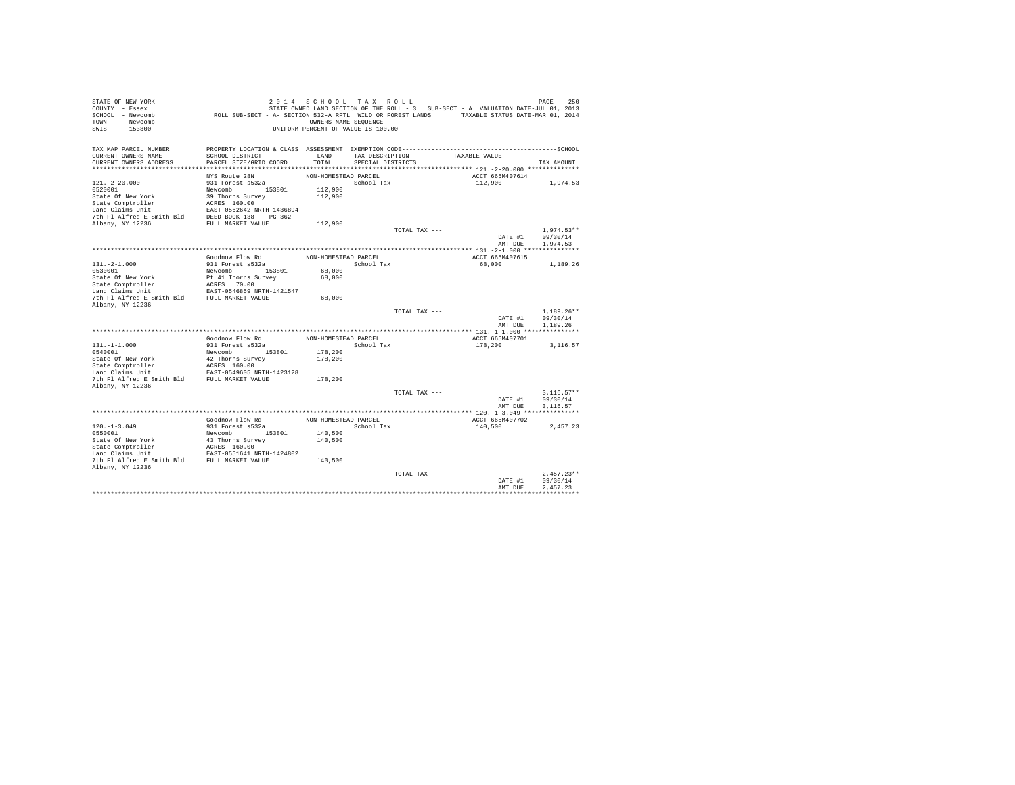| STATE OF NEW YORK<br>COUNTY - Essex         |                                                                                              | 2014 SCHOOL TAX ROLL               |                   |               | STATE OWNED LAND SECTION OF THE ROLL - 3 SUB-SECT - A VALUATION DATE-JUL 01, 2013 | 250<br>PAGE          |
|---------------------------------------------|----------------------------------------------------------------------------------------------|------------------------------------|-------------------|---------------|-----------------------------------------------------------------------------------|----------------------|
| SCHOOL - Newcomb                            | ROLL SUB-SECT - A- SECTION 532-A RPTL WILD OR FOREST LANDS TAXABLE STATUS DATE-MAR 01, 2014  |                                    |                   |               |                                                                                   |                      |
| - Newcomb<br>TOWN                           |                                                                                              | OWNERS NAME SEQUENCE               |                   |               |                                                                                   |                      |
| $-153800$<br>SWIS                           |                                                                                              | UNIFORM PERCENT OF VALUE IS 100.00 |                   |               |                                                                                   |                      |
|                                             |                                                                                              |                                    |                   |               |                                                                                   |                      |
| TAX MAP PARCEL NUMBER                       | PROPERTY LOCATION & CLASS ASSESSMENT EXEMPTION CODE-----------------------------------SCHOOL |                                    |                   |               |                                                                                   |                      |
| CURRENT OWNERS NAME                         | SCHOOL DISTRICT                                                                              | LAND                               | TAX DESCRIPTION   |               | TAXABLE VALUE                                                                     |                      |
| CURRENT OWNERS ADDRESS                      | PARCEL SIZE/GRID COORD                                                                       | TOTAL                              | SPECIAL DISTRICTS |               |                                                                                   | TAX AMOUNT           |
|                                             |                                                                                              |                                    |                   |               |                                                                                   |                      |
|                                             | NYS Route 28N                                                                                | NON-HOMESTEAD PARCEL               |                   |               | ACCT 665M407614                                                                   |                      |
| $121. - 2 - 20.000$                         | 931 Forest s532a                                                                             |                                    | School Tax        |               | 112,900                                                                           | 1,974.53             |
| 0520001                                     | Newcomb 153801                                                                               | 112,900                            |                   |               |                                                                                   |                      |
| State Of New York                           | 39 Thorns Survey                                                                             | 112,900                            |                   |               |                                                                                   |                      |
| State Comptroller                           | ACRES 160.00                                                                                 |                                    |                   |               |                                                                                   |                      |
| Land Claims Unit                            | EAST-0562642 NRTH-1436894                                                                    |                                    |                   |               |                                                                                   |                      |
| 7th Fl Alfred E Smith Bld                   | DEED BOOK 138 PG-362                                                                         |                                    |                   |               |                                                                                   |                      |
| Albany, NY 12236                            | FULL MARKET VALUE                                                                            | 112,900                            |                   |               |                                                                                   |                      |
|                                             |                                                                                              |                                    |                   | TOTAL TAX --- |                                                                                   | $1.974.53**$         |
|                                             |                                                                                              |                                    |                   |               | DATE #1                                                                           | 09/30/14             |
|                                             |                                                                                              |                                    |                   |               | AMT DUE                                                                           | 1,974.53             |
|                                             |                                                                                              |                                    |                   |               |                                                                                   |                      |
|                                             | Goodnow Flow Rd                                                                              | NON-HOMESTEAD PARCEL               |                   |               | ACCT 665M407615                                                                   |                      |
| $131. -2 - 1.000$<br>0530001                | 931 Forest s532a                                                                             |                                    | School Tax        |               | 68,000                                                                            | 1,189.26             |
|                                             | Newcomb<br>153801                                                                            | 68,000                             |                   |               |                                                                                   |                      |
| State Of New York                           | Pt 41 Thorns Survey<br>ACRES 70.00                                                           | 68,000                             |                   |               |                                                                                   |                      |
| State Comptroller<br>Land Claims Unit       | EAST-0546859 NRTH-1421547                                                                    |                                    |                   |               |                                                                                   |                      |
| 7th Fl Alfred E Smith Bld                   | FULL MARKET VALUE                                                                            | 68,000                             |                   |               |                                                                                   |                      |
| Albany, NY 12236                            |                                                                                              |                                    |                   |               |                                                                                   |                      |
|                                             |                                                                                              |                                    |                   | TOTAL TAX --- |                                                                                   | $1.189.26**$         |
|                                             |                                                                                              |                                    |                   |               | DATE #1                                                                           | 09/30/14             |
|                                             |                                                                                              |                                    |                   |               | AMT DUE                                                                           | 1,189.26             |
|                                             |                                                                                              |                                    |                   |               |                                                                                   |                      |
|                                             | Goodnow Flow Rd                                                                              | NON-HOMESTEAD PARCEL               |                   |               | ACCT 665M407701                                                                   |                      |
| $131. -1 -1.000$                            | 931 Forest s532a                                                                             |                                    | School Tax        |               | 178,200                                                                           | 3,116.57             |
| 0540001                                     | Newcomb 153801                                                                               | 178,200                            |                   |               |                                                                                   |                      |
| State Of New York                           | 42 Thorns Survey                                                                             | 178,200                            |                   |               |                                                                                   |                      |
| State Comptroller                           | ACRES 160.00                                                                                 |                                    |                   |               |                                                                                   |                      |
| Land Claims Unit                            | EAST-0549605 NRTH-1423128                                                                    |                                    |                   |               |                                                                                   |                      |
| 7th Fl Alfred E Smith Bld                   | FULL MARKET VALUE                                                                            | 178,200                            |                   |               |                                                                                   |                      |
| Albany, NY 12236                            |                                                                                              |                                    |                   |               |                                                                                   |                      |
|                                             |                                                                                              |                                    |                   | TOTAL TAX --- |                                                                                   | $3.116.57**$         |
|                                             |                                                                                              |                                    |                   |               | DATE #1<br>AMT DUE                                                                | 09/30/14<br>3.116.57 |
|                                             |                                                                                              |                                    |                   |               |                                                                                   |                      |
|                                             | Goodnow Flow Rd                                                                              | NON-HOMESTEAD PARCEL               |                   |               | ACCT 665M407702                                                                   |                      |
| $120. - 1 - 3.049$                          | 931 Forest s532a                                                                             |                                    | School Tax        |               | 140,500                                                                           | 2.457.23             |
| 0550001                                     | Newcomb 153801                                                                               | 140,500                            |                   |               |                                                                                   |                      |
| State Of New York                           | 43 Thorns Survey                                                                             | 140,500                            |                   |               |                                                                                   |                      |
| State Comptroller                           |                                                                                              |                                    |                   |               |                                                                                   |                      |
| Land Claims Unit                            | ACRES 160.00<br>EAST-0551641 NRTH-1424802                                                    |                                    |                   |               |                                                                                   |                      |
| 7th Fl Alfred E Smith Bld FULL MARKET VALUE |                                                                                              | 140,500                            |                   |               |                                                                                   |                      |
| Albany, NY 12236                            |                                                                                              |                                    |                   |               |                                                                                   |                      |
|                                             |                                                                                              |                                    |                   | TOTAL TAX --- |                                                                                   | $2.457.23**$         |
|                                             |                                                                                              |                                    |                   |               | DATE #1                                                                           | 09/30/14             |
|                                             |                                                                                              |                                    |                   |               | AMT DUE                                                                           | 2.457.23             |
|                                             |                                                                                              |                                    |                   |               |                                                                                   |                      |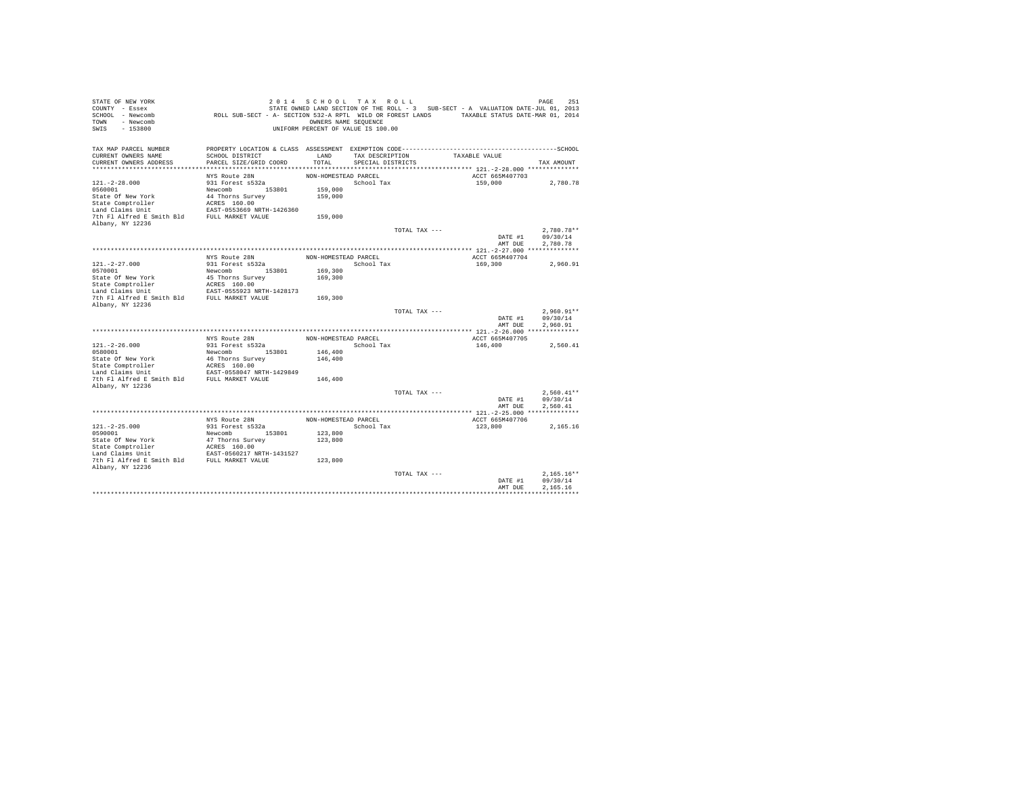| STATE OF NEW YORK<br>COUNTY - Essex<br>SCHOOL - Newcomb<br>- Newcomb<br>TOWN<br>$-153800$<br>SWIS | ROLL SUB-SECT - A- SECTION 532-A RPTL WILD OR FOREST LANDS TAXABLE STATUS DATE-MAR 01, 2014                     | 2014 SCHOOL TAX ROLL<br>OWNERS NAME SEQUENCE<br>UNIFORM PERCENT OF VALUE IS 100.00 |                   |               | STATE OWNED LAND SECTION OF THE ROLL - 3 SUB-SECT - A VALUATION DATE-JUL 01, 2013 | 251<br>PAGE  |
|---------------------------------------------------------------------------------------------------|-----------------------------------------------------------------------------------------------------------------|------------------------------------------------------------------------------------|-------------------|---------------|-----------------------------------------------------------------------------------|--------------|
| TAX MAP PARCEL NUMBER<br>CURRENT OWNERS NAME                                                      | PROPERTY LOCATION & CLASS ASSESSMENT EXEMPTION CODE-----------------------------------SCHOOL<br>SCHOOL DISTRICT | LAND                                                                               | TAX DESCRIPTION   |               | TAXABLE VALUE                                                                     |              |
| CURRENT OWNERS ADDRESS                                                                            | PARCEL SIZE/GRID COORD                                                                                          | TOTAL                                                                              | SPECIAL DISTRICTS |               |                                                                                   | TAX AMOUNT   |
|                                                                                                   |                                                                                                                 |                                                                                    |                   |               |                                                                                   |              |
|                                                                                                   | NYS Route 28N                                                                                                   | NON-HOMESTEAD PARCEL                                                               |                   |               | ACCT 665M407703                                                                   |              |
| $121. - 2 - 28.000$                                                                               | 931 Forest s532a                                                                                                |                                                                                    | School Tax        |               | 159,000                                                                           | 2,780.78     |
| 0560001<br>State Of New York                                                                      | Newcomb 153801<br>44 Thorns Survey                                                                              | 159,000<br>159,000                                                                 |                   |               |                                                                                   |              |
| State Comptroller                                                                                 | ACRES 160.00                                                                                                    |                                                                                    |                   |               |                                                                                   |              |
| Land Claims Unit                                                                                  | EAST-0553669 NRTH-1426360                                                                                       |                                                                                    |                   |               |                                                                                   |              |
| 7th Fl Alfred E Smith Bld                                                                         | FULL MARKET VALUE                                                                                               | 159,000                                                                            |                   |               |                                                                                   |              |
| Albany, NY 12236                                                                                  |                                                                                                                 |                                                                                    |                   |               |                                                                                   |              |
|                                                                                                   |                                                                                                                 |                                                                                    |                   | TOTAL TAX --- |                                                                                   | $2.780.78**$ |
|                                                                                                   |                                                                                                                 |                                                                                    |                   |               | DATE #1<br>AMT DUE                                                                | 09/30/14     |
|                                                                                                   |                                                                                                                 |                                                                                    |                   |               |                                                                                   | 2,780.78     |
|                                                                                                   | NYS Route 28N                                                                                                   | NON-HOMESTEAD PARCEL                                                               |                   |               | ACCT 665M407704                                                                   |              |
| $121. - 2 - 27.000$                                                                               | 931 Forest s532a                                                                                                |                                                                                    | School Tax        |               | 169,300                                                                           | 2.960.91     |
| 0570001                                                                                           | Newcomb<br>153801                                                                                               | 169,300                                                                            |                   |               |                                                                                   |              |
| State Of New York                                                                                 | 45 Thorns Survey                                                                                                | 169,300                                                                            |                   |               |                                                                                   |              |
| State Comptroller<br>Land Claims Unit                                                             | ACRES 160.00<br>EAST-0555923 NRTH-1428173                                                                       |                                                                                    |                   |               |                                                                                   |              |
| 7th Fl Alfred E Smith Bld                                                                         | FULL MARKET VALUE                                                                                               | 169,300                                                                            |                   |               |                                                                                   |              |
| Albany, NY 12236                                                                                  |                                                                                                                 |                                                                                    |                   |               |                                                                                   |              |
|                                                                                                   |                                                                                                                 |                                                                                    |                   | TOTAL TAX --- |                                                                                   | $2.960.91**$ |
|                                                                                                   |                                                                                                                 |                                                                                    |                   |               | DATE #1                                                                           | 09/30/14     |
|                                                                                                   |                                                                                                                 |                                                                                    |                   |               | AMT DUE                                                                           | 2.960.91     |
|                                                                                                   | NYS Route 28N                                                                                                   | NON-HOMESTEAD PARCEL                                                               |                   |               | ACCT 665M407705                                                                   |              |
| $121. - 2 - 26.000$                                                                               | 931 Forest s532a                                                                                                |                                                                                    | School Tax        |               | 146,400                                                                           | 2,560.41     |
| 0580001                                                                                           | 153801<br>Newcomb                                                                                               | 146,400                                                                            |                   |               |                                                                                   |              |
| State Of New York                                                                                 | 46 Thorns Survey                                                                                                | 146,400                                                                            |                   |               |                                                                                   |              |
| State Comptroller                                                                                 | ACRES 160.00                                                                                                    |                                                                                    |                   |               |                                                                                   |              |
| Land Claims Unit<br>7th Fl Alfred E Smith Bld                                                     | EAST-0558047 NRTH-1429849<br>FULL MARKET VALUE                                                                  | 146,400                                                                            |                   |               |                                                                                   |              |
| Albany, NY 12236                                                                                  |                                                                                                                 |                                                                                    |                   |               |                                                                                   |              |
|                                                                                                   |                                                                                                                 |                                                                                    |                   | TOTAL TAX --- |                                                                                   | $2.560.41**$ |
|                                                                                                   |                                                                                                                 |                                                                                    |                   |               | DATE #1                                                                           | 09/30/14     |
|                                                                                                   |                                                                                                                 |                                                                                    |                   |               | AMT DUE                                                                           | 2.560.41     |
|                                                                                                   | NYS Route 28N                                                                                                   | NON-HOMESTEAD PARCEL                                                               |                   |               |                                                                                   |              |
| $121. -2 - 25.000$                                                                                | 931 Forest s532a                                                                                                |                                                                                    | School Tax        |               | ACCT 665M407706<br>123,800                                                        | 2.165.16     |
| 0590001                                                                                           | Newcomb 153801                                                                                                  | 123,800                                                                            |                   |               |                                                                                   |              |
| State Of New York                                                                                 | 47 Thorns Survey                                                                                                | 123,800                                                                            |                   |               |                                                                                   |              |
| State Comptroller                                                                                 | ACRES 160.00                                                                                                    |                                                                                    |                   |               |                                                                                   |              |
| Land Claims Unit                                                                                  | EAST-0560217 NRTH-1431527                                                                                       |                                                                                    |                   |               |                                                                                   |              |
| 7th Fl Alfred E Smith Bld FULL MARKET VALUE<br>Albany, NY 12236                                   |                                                                                                                 | 123,800                                                                            |                   |               |                                                                                   |              |
|                                                                                                   |                                                                                                                 |                                                                                    |                   | TOTAL TAX --- |                                                                                   | $2.165.16**$ |
|                                                                                                   |                                                                                                                 |                                                                                    |                   |               | DATE #1                                                                           | 09/30/14     |
|                                                                                                   |                                                                                                                 |                                                                                    |                   |               | AMT DUE                                                                           | 2.165.16     |
|                                                                                                   |                                                                                                                 |                                                                                    |                   |               |                                                                                   |              |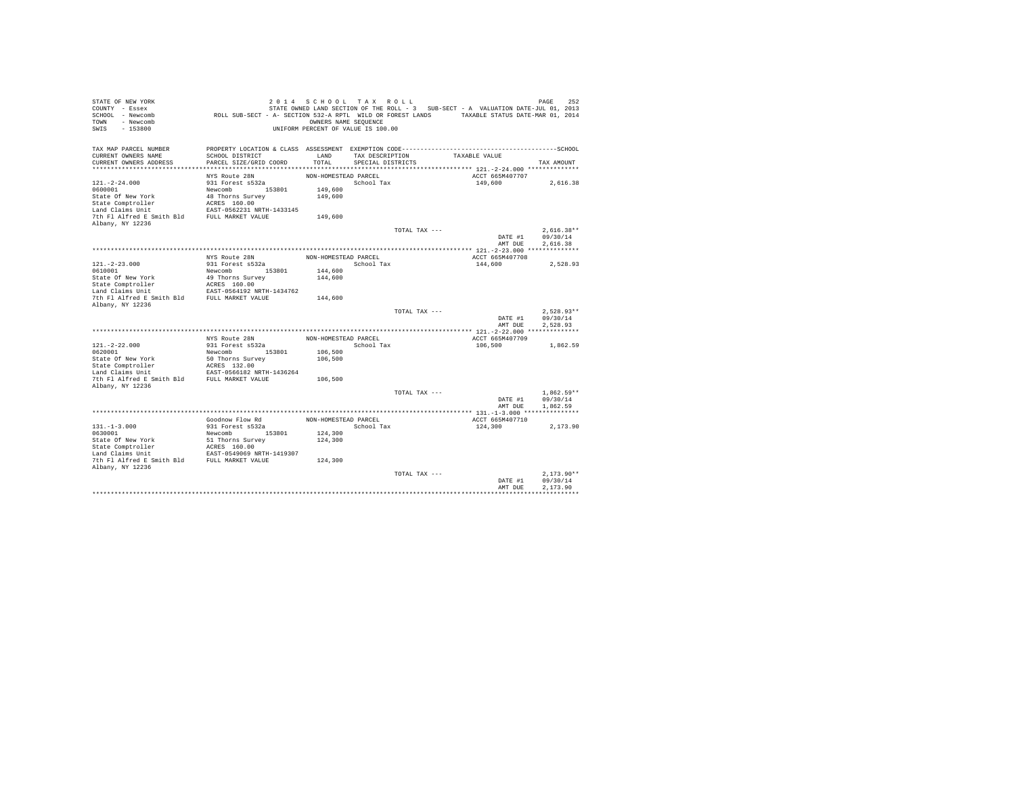| STATE OF NEW YORK<br>COUNTY - Essex<br>SCHOOL - Newcomb<br>- Newcomb<br>TOWN<br>$-153800$<br>SWIS | ROLL SUB-SECT - A- SECTION 532-A RPTL WILD OR FOREST LANDS TAXABLE STATUS DATE-MAR 01, 2014                     | 2014 SCHOOL TAX ROLL<br>OWNERS NAME SEQUENCE<br>UNIFORM PERCENT OF VALUE IS 100.00 |                   |               | STATE OWNED LAND SECTION OF THE ROLL - 3 SUB-SECT - A VALUATION DATE-JUL 01, 2013 | 252<br>PAGE  |
|---------------------------------------------------------------------------------------------------|-----------------------------------------------------------------------------------------------------------------|------------------------------------------------------------------------------------|-------------------|---------------|-----------------------------------------------------------------------------------|--------------|
| TAX MAP PARCEL NUMBER<br>CURRENT OWNERS NAME                                                      | PROPERTY LOCATION & CLASS ASSESSMENT EXEMPTION CODE-----------------------------------SCHOOL<br>SCHOOL DISTRICT | LAND                                                                               | TAX DESCRIPTION   |               | TAXABLE VALUE                                                                     |              |
| CURRENT OWNERS ADDRESS                                                                            | PARCEL SIZE/GRID COORD                                                                                          | TOTAL                                                                              | SPECIAL DISTRICTS |               |                                                                                   | TAX AMOUNT   |
|                                                                                                   |                                                                                                                 |                                                                                    |                   |               |                                                                                   |              |
|                                                                                                   | NYS Route 28N                                                                                                   | NON-HOMESTEAD PARCEL                                                               |                   |               | ACCT 665M407707                                                                   |              |
| $121. - 2 - 24.000$                                                                               | 931 Forest s532a                                                                                                |                                                                                    | School Tax        |               | 149,600                                                                           | 2,616.38     |
| 0600001<br>State Of New York                                                                      | Newcomb 153801<br>48 Thorns Survey                                                                              | 149,600<br>149,600                                                                 |                   |               |                                                                                   |              |
| State Comptroller                                                                                 | ACRES 160.00                                                                                                    |                                                                                    |                   |               |                                                                                   |              |
| Land Claims Unit                                                                                  | EAST-0562231 NRTH-1433145                                                                                       |                                                                                    |                   |               |                                                                                   |              |
| 7th Fl Alfred E Smith Bld                                                                         | FULL MARKET VALUE                                                                                               | 149,600                                                                            |                   |               |                                                                                   |              |
| Albany, NY 12236                                                                                  |                                                                                                                 |                                                                                    |                   |               |                                                                                   |              |
|                                                                                                   |                                                                                                                 |                                                                                    |                   | TOTAL TAX --- |                                                                                   | $2.616.38**$ |
|                                                                                                   |                                                                                                                 |                                                                                    |                   |               | DATE #1                                                                           | 09/30/14     |
|                                                                                                   |                                                                                                                 |                                                                                    |                   |               | AMT DUE                                                                           | 2.616.38     |
|                                                                                                   | NYS Route 28N                                                                                                   | NON-HOMESTEAD PARCEL                                                               |                   |               | ACCT 665M407708                                                                   |              |
| $121. - 2 - 23.000$                                                                               | 931 Forest s532a                                                                                                |                                                                                    | School Tax        |               | 144,600                                                                           | 2.528.93     |
| 0610001                                                                                           | Newcomb<br>153801                                                                                               | 144,600                                                                            |                   |               |                                                                                   |              |
| State Of New York                                                                                 | 49 Thorns Survey                                                                                                | 144,600                                                                            |                   |               |                                                                                   |              |
| State Comptroller                                                                                 | ACRES 160.00                                                                                                    |                                                                                    |                   |               |                                                                                   |              |
| Land Claims Unit<br>7th Fl Alfred E Smith Bld                                                     | EAST-0564192 NRTH-1434762<br>FULL MARKET VALUE                                                                  |                                                                                    |                   |               |                                                                                   |              |
| Albany, NY 12236                                                                                  |                                                                                                                 | 144,600                                                                            |                   |               |                                                                                   |              |
|                                                                                                   |                                                                                                                 |                                                                                    |                   | TOTAL TAX --- |                                                                                   | $2.528.93**$ |
|                                                                                                   |                                                                                                                 |                                                                                    |                   |               | DATE #1                                                                           | 09/30/14     |
|                                                                                                   |                                                                                                                 |                                                                                    |                   |               | AMT DUE                                                                           | 2.528.93     |
|                                                                                                   |                                                                                                                 |                                                                                    |                   |               |                                                                                   |              |
| $121. -2 - 22.000$                                                                                | NYS Route 28N<br>931 Forest s532a                                                                               | NON-HOMESTEAD PARCEL                                                               | School Tax        |               | ACCT 665M407709<br>106,500                                                        |              |
| 0620001                                                                                           | 153801<br>Newcomb                                                                                               | 106,500                                                                            |                   |               |                                                                                   | 1,862.59     |
| State Of New York                                                                                 | 50 Thorns Survey                                                                                                | 106,500                                                                            |                   |               |                                                                                   |              |
| State Comptroller                                                                                 | ACRES 132.00                                                                                                    |                                                                                    |                   |               |                                                                                   |              |
| Land Claims Unit                                                                                  | EAST-0566182 NRTH-1436264                                                                                       |                                                                                    |                   |               |                                                                                   |              |
| 7th Fl Alfred E Smith Bld                                                                         | FULL MARKET VALUE                                                                                               | 106,500                                                                            |                   |               |                                                                                   |              |
| Albany, NY 12236                                                                                  |                                                                                                                 |                                                                                    |                   | TOTAL TAX --- |                                                                                   | $1.862.59**$ |
|                                                                                                   |                                                                                                                 |                                                                                    |                   |               | DATE #1                                                                           | 09/30/14     |
|                                                                                                   |                                                                                                                 |                                                                                    |                   |               | AMT DUE                                                                           | 1,862.59     |
|                                                                                                   |                                                                                                                 |                                                                                    |                   |               |                                                                                   |              |
|                                                                                                   | Goodnow Flow Rd                                                                                                 | NON-HOMESTEAD PARCEL                                                               |                   |               | ACCT 665M407710                                                                   |              |
| $131. -1 - 3.000$                                                                                 | 931 Forest s532a                                                                                                |                                                                                    | School Tax        |               | 124,300                                                                           | 2.173.90     |
| 0630001                                                                                           | Newcomb 153801                                                                                                  | 124,300                                                                            |                   |               |                                                                                   |              |
| State Of New York                                                                                 | 51 Thorns Survey                                                                                                | 124,300                                                                            |                   |               |                                                                                   |              |
| State Comptroller<br>Land Claims Unit                                                             | ACRES 160.00<br>EAST-0549069 NRTH-1419307                                                                       |                                                                                    |                   |               |                                                                                   |              |
| 7th Fl Alfred E Smith Bld FULL MARKET VALUE                                                       |                                                                                                                 | 124,300                                                                            |                   |               |                                                                                   |              |
| Albany, NY 12236                                                                                  |                                                                                                                 |                                                                                    |                   |               |                                                                                   |              |
|                                                                                                   |                                                                                                                 |                                                                                    |                   | TOTAL TAX --- |                                                                                   | $2.173.90**$ |
|                                                                                                   |                                                                                                                 |                                                                                    |                   |               | DATE #1                                                                           | 09/30/14     |
|                                                                                                   |                                                                                                                 |                                                                                    |                   |               | AMT DUE                                                                           | 2.173.90     |
|                                                                                                   |                                                                                                                 |                                                                                    |                   |               |                                                                                   |              |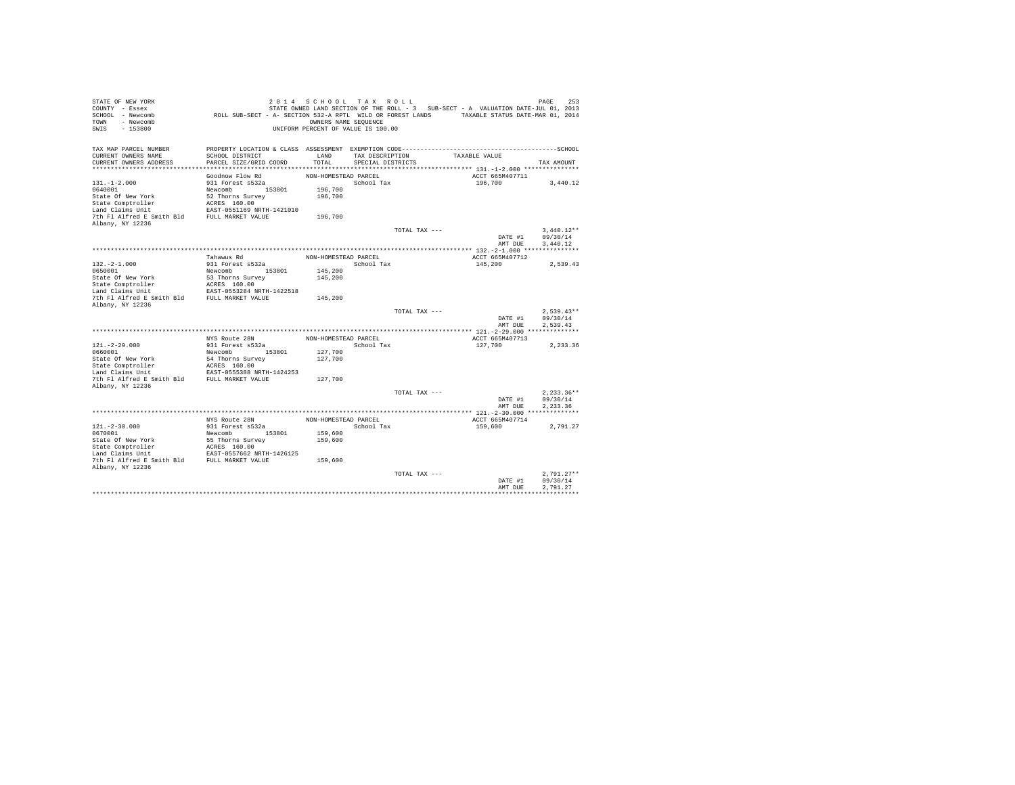| STATE OF NEW YORK<br>COUNTY - Essex<br>SCHOOL - Newcomb<br>- Newcomb<br>TOWN<br>$-153800$<br>SWIS | ROLL SUB-SECT - A- SECTION 532-A RPTL WILD OR FOREST LANDS TAXABLE STATUS DATE-MAR 01, 2014                                               | 2014 SCHOOL TAX ROLL<br>OWNERS NAME SEQUENCE<br>UNIFORM PERCENT OF VALUE IS 100.00 |                                      |               | STATE OWNED LAND SECTION OF THE ROLL - 3 SUB-SECT - A VALUATION DATE-JUL 01, 2013 | 253<br>PAGE  |
|---------------------------------------------------------------------------------------------------|-------------------------------------------------------------------------------------------------------------------------------------------|------------------------------------------------------------------------------------|--------------------------------------|---------------|-----------------------------------------------------------------------------------|--------------|
| TAX MAP PARCEL NUMBER<br>CURRENT OWNERS NAME<br>CURRENT OWNERS ADDRESS                            | PROPERTY LOCATION & CLASS ASSESSMENT EXEMPTION CODE-----------------------------------SCHOOL<br>SCHOOL DISTRICT<br>PARCEL SIZE/GRID COORD | LAND<br>TOTAL                                                                      | TAX DESCRIPTION<br>SPECIAL DISTRICTS |               | TAXABLE VALUE                                                                     | TAX AMOUNT   |
|                                                                                                   |                                                                                                                                           |                                                                                    |                                      |               |                                                                                   |              |
|                                                                                                   | Goodnow Flow Rd                                                                                                                           | NON-HOMESTEAD PARCEL                                                               |                                      |               | ACCT 665M407711                                                                   |              |
| $131. - 1 - 2.000$                                                                                | 931 Forest s532a                                                                                                                          |                                                                                    | School Tax                           |               | 196,700                                                                           | 3,440.12     |
| 0640001                                                                                           | Newcomb 153801                                                                                                                            | 196,700                                                                            |                                      |               |                                                                                   |              |
| State Of New York                                                                                 | 52 Thorns Survey                                                                                                                          | 196,700                                                                            |                                      |               |                                                                                   |              |
| State Comptroller                                                                                 | ACRES 160.00                                                                                                                              |                                                                                    |                                      |               |                                                                                   |              |
| Land Claims Unit                                                                                  | EAST-0551169 NRTH-1421010                                                                                                                 |                                                                                    |                                      |               |                                                                                   |              |
| 7th Fl Alfred E Smith Bld                                                                         | FULL MARKET VALUE                                                                                                                         | 196,700                                                                            |                                      |               |                                                                                   |              |
| Albany, NY 12236                                                                                  |                                                                                                                                           |                                                                                    |                                      |               |                                                                                   |              |
|                                                                                                   |                                                                                                                                           |                                                                                    |                                      | TOTAL TAX --- |                                                                                   | $3.440.12**$ |
|                                                                                                   |                                                                                                                                           |                                                                                    |                                      |               | DATE #1                                                                           | 09/30/14     |
|                                                                                                   |                                                                                                                                           |                                                                                    |                                      |               | AMT DUE                                                                           | 3.440.12     |
|                                                                                                   |                                                                                                                                           |                                                                                    |                                      |               |                                                                                   |              |
| $132. -2 - 1.000$                                                                                 | Tahawus Rd<br>931 Forest s532a                                                                                                            | NON-HOMESTEAD PARCEL                                                               | School Tax                           |               | ACCT 665M407712<br>145,200                                                        | 2.539.43     |
| 0650001                                                                                           | Newcomb<br>153801                                                                                                                         | 145,200                                                                            |                                      |               |                                                                                   |              |
| State Of New York                                                                                 | 53 Thorns Survey                                                                                                                          | 145,200                                                                            |                                      |               |                                                                                   |              |
| State Comptroller                                                                                 | ACRES 160.00                                                                                                                              |                                                                                    |                                      |               |                                                                                   |              |
| Land Claims Unit                                                                                  | EAST-0553284 NRTH-1422518                                                                                                                 |                                                                                    |                                      |               |                                                                                   |              |
| 7th Fl Alfred E Smith Bld                                                                         | FULL MARKET VALUE                                                                                                                         | 145,200                                                                            |                                      |               |                                                                                   |              |
| Albany, NY 12236                                                                                  |                                                                                                                                           |                                                                                    |                                      |               |                                                                                   |              |
|                                                                                                   |                                                                                                                                           |                                                                                    |                                      | TOTAL TAX --- |                                                                                   | $2.539.43**$ |
|                                                                                                   |                                                                                                                                           |                                                                                    |                                      |               | DATE #1                                                                           | 09/30/14     |
|                                                                                                   |                                                                                                                                           |                                                                                    |                                      |               | AMT DUE                                                                           | 2.539.43     |
|                                                                                                   |                                                                                                                                           |                                                                                    |                                      |               |                                                                                   |              |
| $121. - 2 - 29.000$                                                                               | NYS Route 28N<br>931 Forest s532a                                                                                                         | NON-HOMESTEAD PARCEL                                                               | School Tax                           |               | ACCT 665M407713                                                                   |              |
| 0660001                                                                                           | 153801<br>Newcomb                                                                                                                         | 127,700                                                                            |                                      |               | 127,700                                                                           | 2,233.36     |
| State Of New York                                                                                 | 54 Thorns Survey                                                                                                                          | 127,700                                                                            |                                      |               |                                                                                   |              |
| State Comptroller                                                                                 | ACRES 160.00                                                                                                                              |                                                                                    |                                      |               |                                                                                   |              |
| Land Claims Unit                                                                                  | EAST-0555388 NRTH-1424253                                                                                                                 |                                                                                    |                                      |               |                                                                                   |              |
| 7th Fl Alfred E Smith Bld                                                                         | FULL MARKET VALUE                                                                                                                         | 127,700                                                                            |                                      |               |                                                                                   |              |
| Albany, NY 12236                                                                                  |                                                                                                                                           |                                                                                    |                                      |               |                                                                                   |              |
|                                                                                                   |                                                                                                                                           |                                                                                    |                                      | TOTAL TAX --- |                                                                                   | $2.233.36**$ |
|                                                                                                   |                                                                                                                                           |                                                                                    |                                      |               | DATE #1                                                                           | 09/30/14     |
|                                                                                                   |                                                                                                                                           |                                                                                    |                                      |               | AMT DUE                                                                           | 2.233.36     |
|                                                                                                   |                                                                                                                                           |                                                                                    |                                      |               |                                                                                   |              |
|                                                                                                   | NYS Route 28N                                                                                                                             | NON-HOMESTEAD PARCEL                                                               |                                      |               | ACCT 665M407714                                                                   |              |
| $121. - 2 - 30.000$<br>0670001                                                                    | 931 Forest s532a<br>Newcomb 153801                                                                                                        | 159,600                                                                            | School Tax                           |               | 159,600                                                                           | 2.791.27     |
| State Of New York                                                                                 | 55 Thorns Survey                                                                                                                          | 159,600                                                                            |                                      |               |                                                                                   |              |
| State Comptroller                                                                                 | ACRES 160.00                                                                                                                              |                                                                                    |                                      |               |                                                                                   |              |
| Land Claims Unit                                                                                  | EAST-0557662 NRTH-1426125                                                                                                                 |                                                                                    |                                      |               |                                                                                   |              |
| 7th Fl Alfred E Smith Bld FULL MARKET VALUE                                                       |                                                                                                                                           | 159,600                                                                            |                                      |               |                                                                                   |              |
| Albany, NY 12236                                                                                  |                                                                                                                                           |                                                                                    |                                      |               |                                                                                   |              |
|                                                                                                   |                                                                                                                                           |                                                                                    |                                      | TOTAL TAX --- |                                                                                   | $2.791.27**$ |
|                                                                                                   |                                                                                                                                           |                                                                                    |                                      |               | DATE #1                                                                           | 09/30/14     |
|                                                                                                   |                                                                                                                                           |                                                                                    |                                      |               | AMT DUE                                                                           | 2.791.27     |
|                                                                                                   |                                                                                                                                           |                                                                                    |                                      |               |                                                                                   |              |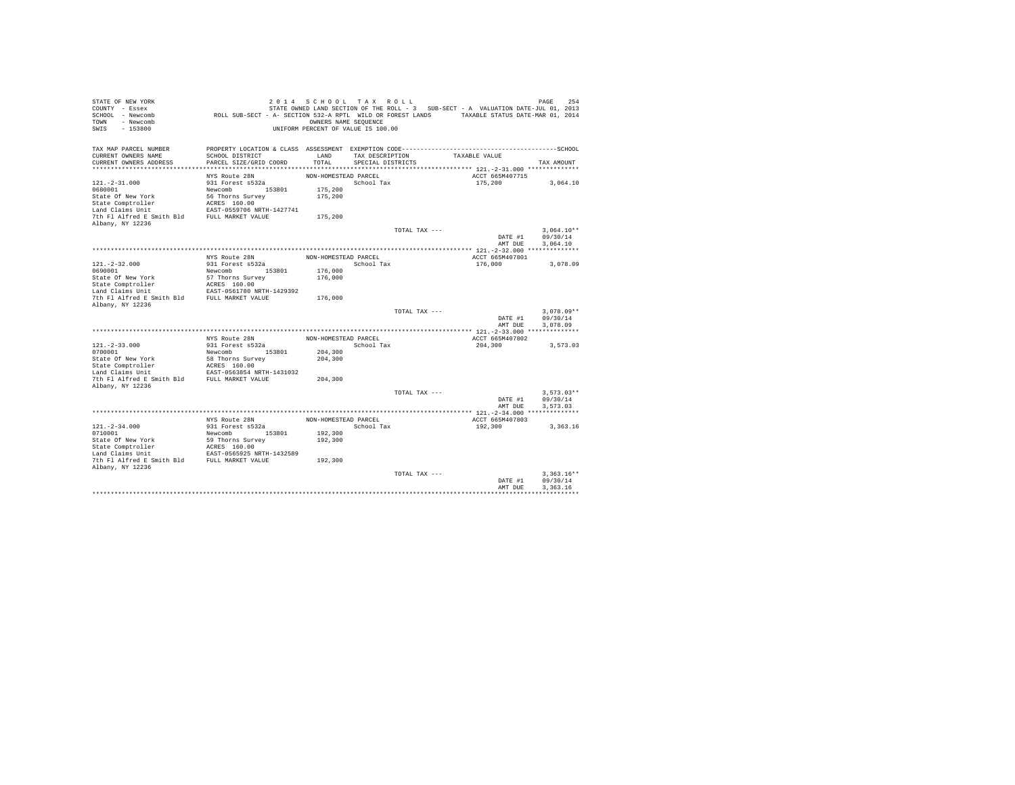| STATE OF NEW YORK<br>COUNTY - Essex<br>SCHOOL - Newcomb<br>- Newcomb<br>TOWN<br>$-153800$<br>SWIS | ROLL SUB-SECT - A- SECTION 532-A RPTL WILD OR FOREST LANDS TAXABLE STATUS DATE-MAR 01, 2014                     | 2014 SCHOOL TAX ROLL<br>OWNERS NAME SEQUENCE<br>UNIFORM PERCENT OF VALUE IS 100.00 |                   |               | STATE OWNED LAND SECTION OF THE ROLL - 3 SUB-SECT - A VALUATION DATE-JUL 01, 2013 | 254<br>PAGE  |
|---------------------------------------------------------------------------------------------------|-----------------------------------------------------------------------------------------------------------------|------------------------------------------------------------------------------------|-------------------|---------------|-----------------------------------------------------------------------------------|--------------|
| TAX MAP PARCEL NUMBER<br>CURRENT OWNERS NAME                                                      | PROPERTY LOCATION & CLASS ASSESSMENT EXEMPTION CODE-----------------------------------SCHOOL<br>SCHOOL DISTRICT | LAND                                                                               | TAX DESCRIPTION   |               | TAXABLE VALUE                                                                     |              |
| CURRENT OWNERS ADDRESS                                                                            | PARCEL SIZE/GRID COORD                                                                                          | TOTAL                                                                              | SPECIAL DISTRICTS |               |                                                                                   | TAX AMOUNT   |
|                                                                                                   |                                                                                                                 |                                                                                    |                   |               |                                                                                   |              |
|                                                                                                   | NYS Route 28N                                                                                                   | NON-HOMESTEAD PARCEL                                                               |                   |               | ACCT 665M407715                                                                   |              |
| $121. - 2 - 31.000$                                                                               | 931 Forest s532a                                                                                                |                                                                                    | School Tax        |               | 175,200                                                                           | 3,064.10     |
| 0680001<br>State Of New York                                                                      | Newcomb 153801                                                                                                  | 175,200<br>175,200                                                                 |                   |               |                                                                                   |              |
| State Comptroller                                                                                 | 56 Thorns Survey<br>ACRES 160.00                                                                                |                                                                                    |                   |               |                                                                                   |              |
| Land Claims Unit                                                                                  | EAST-0559706 NRTH-1427741                                                                                       |                                                                                    |                   |               |                                                                                   |              |
| 7th Fl Alfred E Smith Bld                                                                         | FULL MARKET VALUE                                                                                               | 175,200                                                                            |                   |               |                                                                                   |              |
| Albany, NY 12236                                                                                  |                                                                                                                 |                                                                                    |                   |               |                                                                                   |              |
|                                                                                                   |                                                                                                                 |                                                                                    |                   | TOTAL TAX --- |                                                                                   | $3.064.10**$ |
|                                                                                                   |                                                                                                                 |                                                                                    |                   |               | DATE #1                                                                           | 09/30/14     |
|                                                                                                   |                                                                                                                 |                                                                                    |                   |               | AMT DUE                                                                           | 3,064.10     |
|                                                                                                   | NYS Route 28N                                                                                                   | NON-HOMESTEAD PARCEL                                                               |                   |               | ACCT 665M407801                                                                   |              |
| $121. -2 - 32.000$                                                                                | 931 Forest s532a                                                                                                |                                                                                    | School Tax        |               | 176,000                                                                           | 3,078.09     |
| 0690001                                                                                           | Newcomb<br>153801                                                                                               | 176,000                                                                            |                   |               |                                                                                   |              |
| State Of New York                                                                                 | 57 Thorns Survey                                                                                                | 176,000                                                                            |                   |               |                                                                                   |              |
| State Comptroller                                                                                 | ACRES 160.00                                                                                                    |                                                                                    |                   |               |                                                                                   |              |
| Land Claims Unit<br>7th Fl Alfred E Smith Bld                                                     | EAST-0561780 NRTH-1429392<br>FULL MARKET VALUE                                                                  | 176,000                                                                            |                   |               |                                                                                   |              |
| Albany, NY 12236                                                                                  |                                                                                                                 |                                                                                    |                   |               |                                                                                   |              |
|                                                                                                   |                                                                                                                 |                                                                                    |                   | TOTAL TAX --- |                                                                                   | $3.078.09**$ |
|                                                                                                   |                                                                                                                 |                                                                                    |                   |               | DATE #1                                                                           | 09/30/14     |
|                                                                                                   |                                                                                                                 |                                                                                    |                   |               | AMT DUE                                                                           | 3,078,09     |
|                                                                                                   | NYS Route 28N                                                                                                   | NON-HOMESTEAD PARCEL                                                               |                   |               | ACCT 665M407802                                                                   |              |
| $121. -2 - 33.000$                                                                                | 931 Forest s532a                                                                                                |                                                                                    | School Tax        |               | 204,300                                                                           | 3,573.03     |
| 0700001                                                                                           | 153801<br>Newcomb                                                                                               | 204,300                                                                            |                   |               |                                                                                   |              |
| State Of New York                                                                                 | 58 Thorns Survey                                                                                                | 204,300                                                                            |                   |               |                                                                                   |              |
| State Comptroller                                                                                 | ACRES 160.00                                                                                                    |                                                                                    |                   |               |                                                                                   |              |
| Land Claims Unit                                                                                  | EAST-0563854 NRTH-1431032                                                                                       |                                                                                    |                   |               |                                                                                   |              |
| 7th Fl Alfred E Smith Bld<br>Albany, NY 12236                                                     | FULL MARKET VALUE                                                                                               | 204,300                                                                            |                   |               |                                                                                   |              |
|                                                                                                   |                                                                                                                 |                                                                                    |                   | TOTAL TAX --- |                                                                                   | $3.573.03**$ |
|                                                                                                   |                                                                                                                 |                                                                                    |                   |               | DATE #1                                                                           | 09/30/14     |
|                                                                                                   |                                                                                                                 |                                                                                    |                   |               | AMT DUE                                                                           | 3.573.03     |
|                                                                                                   |                                                                                                                 |                                                                                    |                   |               |                                                                                   |              |
|                                                                                                   | NYS Route 28N                                                                                                   | NON-HOMESTEAD PARCEL                                                               |                   |               | ACCT 665M407803                                                                   |              |
| $121. - 2 - 34.000$<br>0710001                                                                    | 931 Forest s532a<br>Newcomb 153801                                                                              | 192,300                                                                            | School Tax        |               | 192,300                                                                           | 3.363.16     |
| State Of New York                                                                                 | 59 Thorns Survey                                                                                                | 192,300                                                                            |                   |               |                                                                                   |              |
| State Comptroller                                                                                 | ACRES 160.00                                                                                                    |                                                                                    |                   |               |                                                                                   |              |
| Land Claims Unit                                                                                  | EAST-0565925 NRTH-1432589                                                                                       |                                                                                    |                   |               |                                                                                   |              |
| 7th Fl Alfred E Smith Bld FULL MARKET VALUE<br>Albany, NY 12236                                   |                                                                                                                 | 192,300                                                                            |                   |               |                                                                                   |              |
|                                                                                                   |                                                                                                                 |                                                                                    |                   | TOTAL TAX --- |                                                                                   | $3.363.16**$ |
|                                                                                                   |                                                                                                                 |                                                                                    |                   |               | DATE #1                                                                           | 09/30/14     |
|                                                                                                   |                                                                                                                 |                                                                                    |                   |               | AMT DUE                                                                           | 3.363.16     |
|                                                                                                   |                                                                                                                 |                                                                                    |                   |               |                                                                                   |              |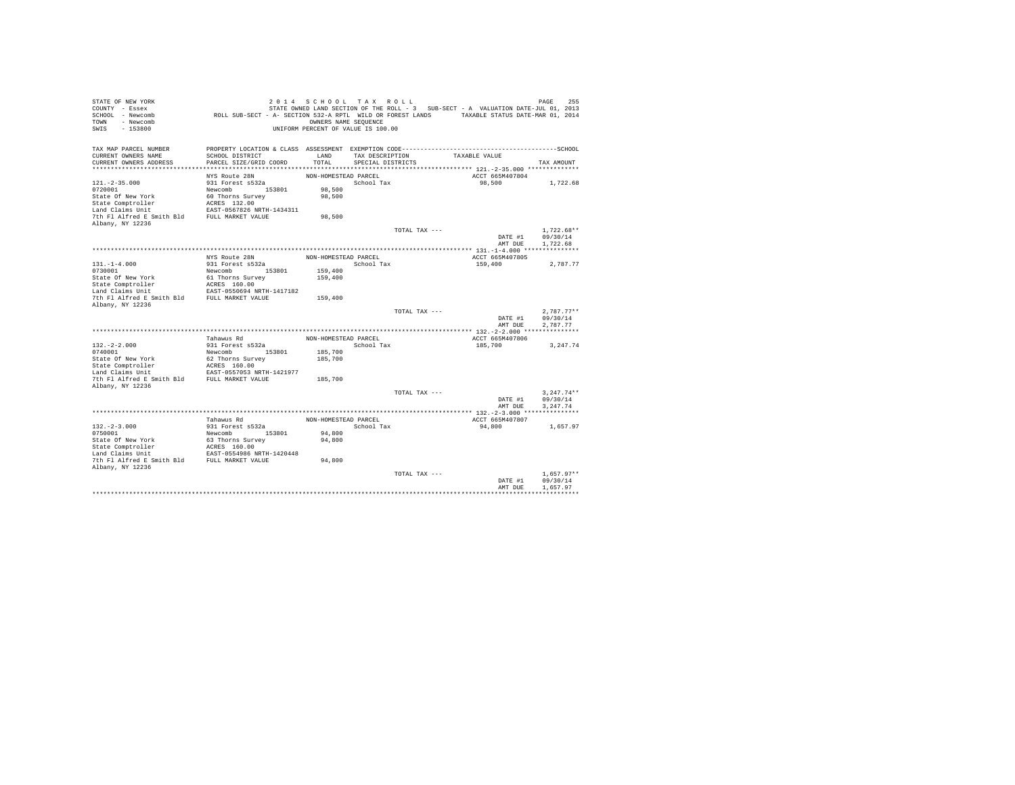| STATE OF NEW YORK<br>COUNTY - Essex<br>SCHOOL - Newcomb<br>- Newcomb<br>TOWN<br>$-153800$<br>SWIS | ROLL SUB-SECT - A- SECTION 532-A RPTL WILD OR FOREST LANDS TAXABLE STATUS DATE-MAR 01, 2014                     | 2014 SCHOOL TAX ROLL<br>OWNERS NAME SEQUENCE<br>UNIFORM PERCENT OF VALUE IS 100.00 |                   |               | STATE OWNED LAND SECTION OF THE ROLL - 3 SUB-SECT - A VALUATION DATE-JUL 01, 2013 | 255<br>PAGE          |
|---------------------------------------------------------------------------------------------------|-----------------------------------------------------------------------------------------------------------------|------------------------------------------------------------------------------------|-------------------|---------------|-----------------------------------------------------------------------------------|----------------------|
| TAX MAP PARCEL NUMBER<br>CURRENT OWNERS NAME                                                      | PROPERTY LOCATION & CLASS ASSESSMENT EXEMPTION CODE-----------------------------------SCHOOL<br>SCHOOL DISTRICT | LAND                                                                               | TAX DESCRIPTION   |               | TAXABLE VALUE                                                                     |                      |
| CURRENT OWNERS ADDRESS                                                                            | PARCEL SIZE/GRID COORD                                                                                          | TOTAL                                                                              | SPECIAL DISTRICTS |               |                                                                                   | TAX AMOUNT           |
|                                                                                                   |                                                                                                                 |                                                                                    |                   |               |                                                                                   |                      |
|                                                                                                   | NYS Route 28N                                                                                                   | NON-HOMESTEAD PARCEL                                                               |                   |               | ACCT 665M407804                                                                   |                      |
| $121. -2 - 35.000$<br>0720001                                                                     | 931 Forest s532a<br>Newcomb 153801                                                                              | 98,500                                                                             | School Tax        |               | 98,500                                                                            | 1,722.68             |
| State Of New York                                                                                 | 60 Thorns Survey                                                                                                | 98,500                                                                             |                   |               |                                                                                   |                      |
| State Comptroller                                                                                 | ACRES 132.00                                                                                                    |                                                                                    |                   |               |                                                                                   |                      |
| Land Claims Unit                                                                                  | EAST-0567826 NRTH-1434311                                                                                       |                                                                                    |                   |               |                                                                                   |                      |
| 7th Fl Alfred E Smith Bld                                                                         | FULL MARKET VALUE                                                                                               | 98,500                                                                             |                   |               |                                                                                   |                      |
| Albany, NY 12236                                                                                  |                                                                                                                 |                                                                                    |                   |               |                                                                                   |                      |
|                                                                                                   |                                                                                                                 |                                                                                    |                   | TOTAL TAX --- |                                                                                   | $1.722.68**$         |
|                                                                                                   |                                                                                                                 |                                                                                    |                   |               | DATE #1                                                                           | 09/30/14             |
|                                                                                                   |                                                                                                                 |                                                                                    |                   |               | AMT DUE                                                                           | 1,722.68             |
|                                                                                                   | NYS Route 28N                                                                                                   | NON-HOMESTEAD PARCEL                                                               |                   |               | ACCT 665M407805                                                                   |                      |
| $131. -1 - 4.000$                                                                                 | 931 Forest s532a                                                                                                |                                                                                    | School Tax        |               | 159,400                                                                           | 2.787.77             |
| 0730001                                                                                           | Newcomb<br>153801                                                                                               | 159,400                                                                            |                   |               |                                                                                   |                      |
| State Of New York                                                                                 | 61 Thorns Survey                                                                                                | 159,400                                                                            |                   |               |                                                                                   |                      |
| State Comptroller                                                                                 | ACRES 160.00                                                                                                    |                                                                                    |                   |               |                                                                                   |                      |
| Land Claims Unit<br>7th Fl Alfred E Smith Bld                                                     | EAST-0550694 NRTH-1417182<br>FULL MARKET VALUE                                                                  |                                                                                    |                   |               |                                                                                   |                      |
| Albany, NY 12236                                                                                  |                                                                                                                 | 159,400                                                                            |                   |               |                                                                                   |                      |
|                                                                                                   |                                                                                                                 |                                                                                    |                   | TOTAL TAX --- |                                                                                   | $2.787.77**$         |
|                                                                                                   |                                                                                                                 |                                                                                    |                   |               | DATE #1                                                                           | 09/30/14             |
|                                                                                                   |                                                                                                                 |                                                                                    |                   |               | AMT DUE                                                                           | 2.787.77             |
|                                                                                                   |                                                                                                                 |                                                                                    |                   |               |                                                                                   |                      |
|                                                                                                   | Tahawus Rd                                                                                                      | NON-HOMESTEAD PARCEL                                                               |                   |               | ACCT 665M407806                                                                   |                      |
| $132. -2 - 2.000$<br>0740001                                                                      | 931 Forest s532a                                                                                                | 185,700                                                                            | School Tax        |               | 185,700                                                                           | 3,247.74             |
| State Of New York                                                                                 | Newcomb 153801<br>62 Thorns Survey                                                                              | 185,700                                                                            |                   |               |                                                                                   |                      |
| State Comptroller                                                                                 | ACRES 160.00                                                                                                    |                                                                                    |                   |               |                                                                                   |                      |
| Land Claims Unit                                                                                  | EAST-0557053 NRTH-1421977                                                                                       |                                                                                    |                   |               |                                                                                   |                      |
| 7th Fl Alfred E Smith Bld                                                                         | FULL MARKET VALUE                                                                                               | 185,700                                                                            |                   |               |                                                                                   |                      |
| Albany, NY 12236                                                                                  |                                                                                                                 |                                                                                    |                   |               |                                                                                   |                      |
|                                                                                                   |                                                                                                                 |                                                                                    |                   | TOTAL TAX --- |                                                                                   | $3.247.74**$         |
|                                                                                                   |                                                                                                                 |                                                                                    |                   |               | DATE #1<br>AMT DUE                                                                | 09/30/14<br>3.247.74 |
|                                                                                                   |                                                                                                                 |                                                                                    |                   |               |                                                                                   |                      |
|                                                                                                   | Tahawus Rd                                                                                                      | NON-HOMESTEAD PARCEL                                                               |                   |               | ACCT 665M407807                                                                   |                      |
| $132. -2 - 3.000$                                                                                 | 931 Forest s532a                                                                                                |                                                                                    | School Tax        |               | 94,800                                                                            | 1,657.97             |
| 0750001                                                                                           | Newcomb 153801                                                                                                  | 94,800                                                                             |                   |               |                                                                                   |                      |
| State Of New York                                                                                 | 63 Thorns Survey                                                                                                | 94,800                                                                             |                   |               |                                                                                   |                      |
| State Comptroller                                                                                 | ACRES 160.00                                                                                                    |                                                                                    |                   |               |                                                                                   |                      |
| Land Claims Unit                                                                                  | EAST-0554986 NRTH-1420448                                                                                       |                                                                                    |                   |               |                                                                                   |                      |
| 7th Fl Alfred E Smith Bld FULL MARKET VALUE<br>Albany, NY 12236                                   |                                                                                                                 | 94,800                                                                             |                   |               |                                                                                   |                      |
|                                                                                                   |                                                                                                                 |                                                                                    |                   | TOTAL TAX --- |                                                                                   | $1.657.97**$         |
|                                                                                                   |                                                                                                                 |                                                                                    |                   |               | DATE #1                                                                           | 09/30/14             |
|                                                                                                   |                                                                                                                 |                                                                                    |                   |               | AMT DUE                                                                           | 1.657.97             |
|                                                                                                   |                                                                                                                 |                                                                                    |                   |               |                                                                                   |                      |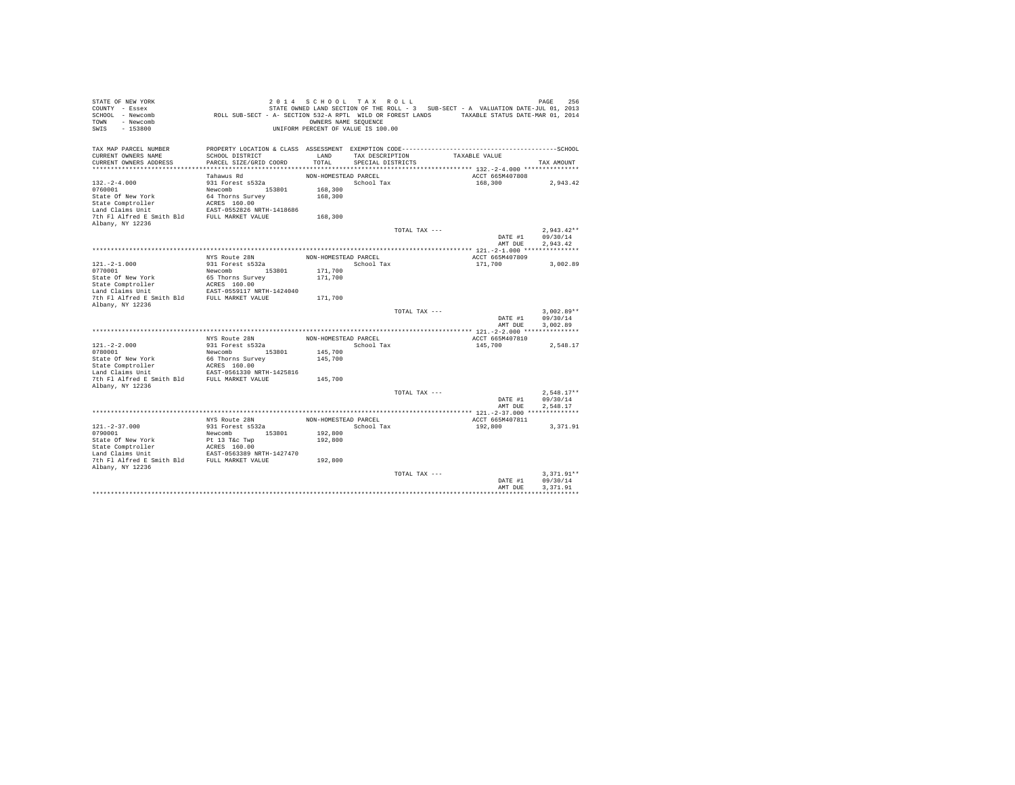| STATE OF NEW YORK<br>COUNTY - Essex<br>SCHOOL - Newcomb<br>TOWN<br>- Newcomb<br>SWIS<br>$-153800$ | ROLL SUB-SECT - A- SECTION 532-A RPTL WILD OR FOREST LANDS TAXABLE STATUS DATE-MAR 01, 2014 | OWNERS NAME SEOUENCE | 2014 SCHOOL TAX ROLL<br>UNIFORM PERCENT OF VALUE IS 100.00 |               | STATE OWNED LAND SECTION OF THE ROLL - 3 SUB-SECT - A VALUATION DATE-JUL 01, 2013 | PAGE<br>256          |
|---------------------------------------------------------------------------------------------------|---------------------------------------------------------------------------------------------|----------------------|------------------------------------------------------------|---------------|-----------------------------------------------------------------------------------|----------------------|
| TAX MAP PARCEL NUMBER                                                                             |                                                                                             |                      |                                                            |               |                                                                                   |                      |
| CURRENT OWNERS NAME<br>CURRENT OWNERS ADDRESS                                                     | SCHOOL DISTRICT<br>PARCEL SIZE/GRID COORD                                                   | LAND<br>TOTAL.       | TAX DESCRIPTION                                            |               | TAXABLE VALUE                                                                     |                      |
| ***********************                                                                           |                                                                                             |                      | SPECIAL DISTRICTS                                          |               |                                                                                   | TAX AMOUNT           |
|                                                                                                   | Tahawus Rd                                                                                  | NON-HOMESTEAD PARCEL |                                                            |               | ACCT 665M407808                                                                   |                      |
| $132. -2 - 4.000$                                                                                 | 931 Forest s532a                                                                            |                      | School Tax                                                 |               | 168,300                                                                           | 2,943.42             |
| 0760001                                                                                           | Newcomb 153801                                                                              | 168,300              |                                                            |               |                                                                                   |                      |
| State Of New York                                                                                 | 64 Thorns Survey                                                                            | 168,300              |                                                            |               |                                                                                   |                      |
| State Comptroller                                                                                 | ACRES 160.00                                                                                |                      |                                                            |               |                                                                                   |                      |
| Land Claims Unit                                                                                  | EAST-0552826 NRTH-1418686                                                                   |                      |                                                            |               |                                                                                   |                      |
| 7th Fl Alfred E Smith Bld FULL MARKET VALUE                                                       |                                                                                             | 168,300              |                                                            |               |                                                                                   |                      |
| Albany, NY 12236                                                                                  |                                                                                             |                      |                                                            |               |                                                                                   |                      |
|                                                                                                   |                                                                                             |                      |                                                            | TOTAL TAX --- |                                                                                   | $2.943.42**$         |
|                                                                                                   |                                                                                             |                      |                                                            |               | DATE #1<br>AMT DUE                                                                | 09/30/14<br>2.943.42 |
|                                                                                                   |                                                                                             |                      |                                                            |               |                                                                                   |                      |
|                                                                                                   | NYS Route 28N                                                                               | NON-HOMESTEAD PARCEL |                                                            |               | ACCT 665M407809                                                                   |                      |
| $121. -2 - 1.000$                                                                                 | 931 Forest s532a                                                                            |                      | School Tax                                                 |               | 171,700                                                                           | 3.002.89             |
| 0770001                                                                                           | Newcomb<br>153801                                                                           | 171,700              |                                                            |               |                                                                                   |                      |
| State Of New York                                                                                 | 65 Thorns Survey                                                                            | 171,700              |                                                            |               |                                                                                   |                      |
| State Comptroller                                                                                 | ACRES 160.00                                                                                |                      |                                                            |               |                                                                                   |                      |
| Land Claims Unit                                                                                  | EAST-0559117 NRTH-1424040                                                                   |                      |                                                            |               |                                                                                   |                      |
| 7th Fl Alfred E Smith Bld FULL MARKET VALUE                                                       |                                                                                             | 171,700              |                                                            |               |                                                                                   |                      |
| Albany, NY 12236                                                                                  |                                                                                             |                      |                                                            | TOTAL TAX --- |                                                                                   | $3.002.89**$         |
|                                                                                                   |                                                                                             |                      |                                                            |               | DATE #1                                                                           | 09/30/14             |
|                                                                                                   |                                                                                             |                      |                                                            |               | AMT DUE                                                                           | 3.002.89             |
|                                                                                                   |                                                                                             |                      |                                                            |               |                                                                                   |                      |
|                                                                                                   | NYS Route 28N                                                                               | NON-HOMESTEAD PARCEL |                                                            |               | ACCT 665M407810                                                                   |                      |
| $121. -2 - 2.000$                                                                                 | 931 Forest s532a                                                                            |                      | School Tax                                                 |               | 145,700                                                                           | 2.548.17             |
| 0780001                                                                                           | Newcomb<br>153801                                                                           | 145,700              |                                                            |               |                                                                                   |                      |
| State Of New York                                                                                 | 66 Thorns Survey                                                                            | 145,700              |                                                            |               |                                                                                   |                      |
| State Comptroller                                                                                 | ACRES 160.00                                                                                |                      |                                                            |               |                                                                                   |                      |
| Land Claims Unit<br>7th Fl Alfred E Smith Bld                                                     | EAST-0561330 NRTH-1425816<br>FULL MARKET VALUE                                              | 145,700              |                                                            |               |                                                                                   |                      |
| Albany, NY 12236                                                                                  |                                                                                             |                      |                                                            |               |                                                                                   |                      |
|                                                                                                   |                                                                                             |                      |                                                            | TOTAL TAX --- |                                                                                   | $2.548.17**$         |
|                                                                                                   |                                                                                             |                      |                                                            |               | DATE #1                                                                           | 09/30/14             |
|                                                                                                   |                                                                                             |                      |                                                            |               | AMT DUE                                                                           | 2.548.17             |
|                                                                                                   |                                                                                             |                      |                                                            |               |                                                                                   |                      |
|                                                                                                   | NYS Route 28N                                                                               | NON-HOMESTEAD PARCEL |                                                            |               | ACCT 665M407811                                                                   |                      |
| $121. - 2 - 37.000$                                                                               | 931 Forest s532a                                                                            |                      | School Tax                                                 |               | 192,800                                                                           | 3, 371, 91           |
| 0790001                                                                                           | Newcomb 153801                                                                              | 192,800              |                                                            |               |                                                                                   |                      |
| State Of New York                                                                                 | Pt 13 T&c Twp                                                                               | 192,800              |                                                            |               |                                                                                   |                      |
| State Comptroller<br>Land Claims Unit                                                             | ACRES 160.00<br>EAST-0563389 NRTH-1427470                                                   |                      |                                                            |               |                                                                                   |                      |
| 7th Fl Alfred E Smith Bld FULL MARKET VALUE                                                       |                                                                                             | 192,800              |                                                            |               |                                                                                   |                      |
| Albany, NY 12236                                                                                  |                                                                                             |                      |                                                            |               |                                                                                   |                      |
|                                                                                                   |                                                                                             |                      |                                                            | TOTAL TAX --- |                                                                                   | $3.371.91**$         |
|                                                                                                   |                                                                                             |                      |                                                            |               | DATE #1                                                                           | 09/30/14             |
|                                                                                                   |                                                                                             |                      |                                                            |               | AMT DUE                                                                           | 3.371.91             |
|                                                                                                   |                                                                                             |                      |                                                            |               |                                                                                   |                      |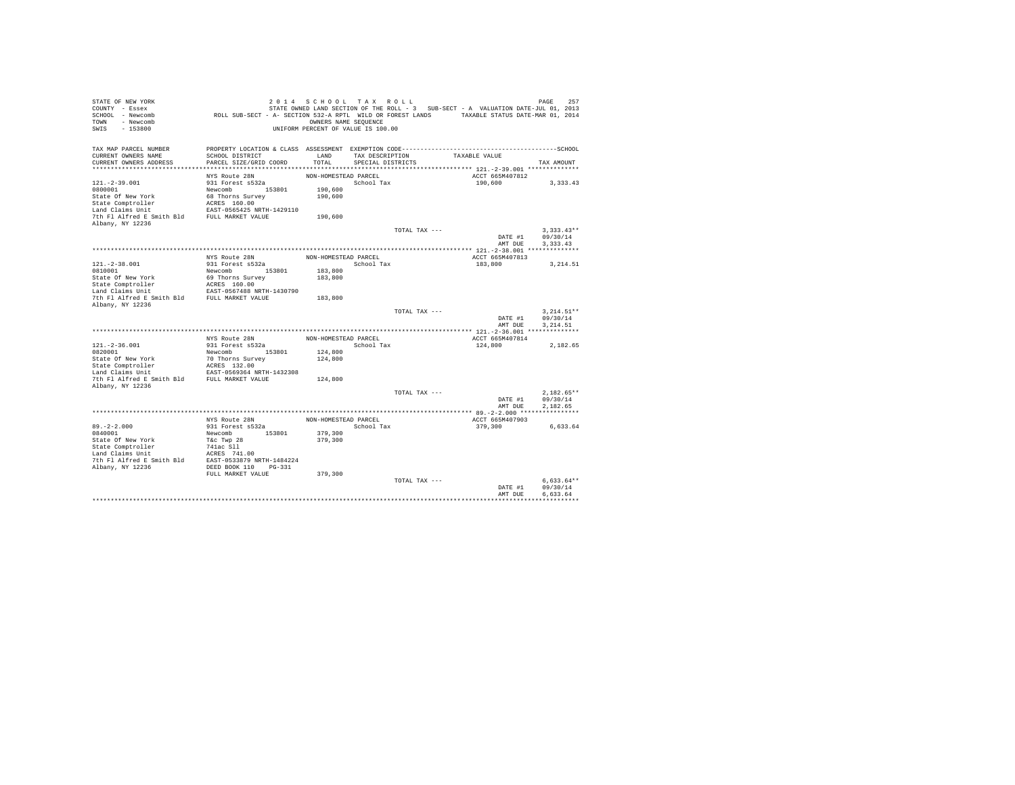| STATE OF NEW YORK              |                                                                                             | 2014 SCHOOL TAX ROLL               |                   |               |                                                                                   | 257<br>PAGE  |
|--------------------------------|---------------------------------------------------------------------------------------------|------------------------------------|-------------------|---------------|-----------------------------------------------------------------------------------|--------------|
| COUNTY - Essex                 |                                                                                             |                                    |                   |               | STATE OWNED LAND SECTION OF THE ROLL - 3 SUB-SECT - A VALUATION DATE-JUL 01, 2013 |              |
| SCHOOL - Newcomb               | ROLL SUB-SECT - A- SECTION 532-A RPTL WILD OR FOREST LANDS TAXABLE STATUS DATE-MAR 01, 2014 |                                    |                   |               |                                                                                   |              |
| - Newcomb<br>TOWN              |                                                                                             | OWNERS NAME SEQUENCE               |                   |               |                                                                                   |              |
| SWIS<br>$-153800$              |                                                                                             | UNIFORM PERCENT OF VALUE IS 100.00 |                   |               |                                                                                   |              |
|                                |                                                                                             |                                    |                   |               |                                                                                   |              |
|                                |                                                                                             |                                    |                   |               |                                                                                   |              |
| TAX MAP PARCEL NUMBER          |                                                                                             |                                    |                   |               |                                                                                   |              |
| CURRENT OWNERS NAME            | SCHOOL DISTRICT                                                                             | LAND                               | TAX DESCRIPTION   |               | TAXABLE VALUE                                                                     |              |
| CURRENT OWNERS ADDRESS         | PARCEL SIZE/GRID COORD                                                                      | TOTAL                              | SPECIAL DISTRICTS |               |                                                                                   | TAX AMOUNT   |
|                                | NYS Route 28N                                                                               | NON-HOMESTEAD PARCEL               |                   |               | ACCT 665M407812                                                                   |              |
| $121. -2 - 39.001$             | 931 Forest s532a                                                                            |                                    | School Tax        |               | 190,600                                                                           | 3.333.43     |
|                                |                                                                                             |                                    |                   |               |                                                                                   |              |
| 0800001                        | Newcomb 153801                                                                              | 190,600                            |                   |               |                                                                                   |              |
| State Of New York              | 68 Thorns Survey                                                                            | 190,600                            |                   |               |                                                                                   |              |
| State Comptroller              | ACRES 160.00                                                                                |                                    |                   |               |                                                                                   |              |
| Land Claims Unit               | EAST-0565425 NRTH-1429110                                                                   |                                    |                   |               |                                                                                   |              |
| 7th Fl Alfred E Smith Bld      | FULL MARKET VALUE                                                                           | 190,600                            |                   |               |                                                                                   |              |
| Albany, NY 12236               |                                                                                             |                                    |                   |               |                                                                                   | $3.333.43**$ |
|                                |                                                                                             |                                    |                   | TOTAL TAX --- |                                                                                   | 09/30/14     |
|                                |                                                                                             |                                    |                   |               | DATE #1<br>AMT DUE                                                                | 3.333.43     |
|                                |                                                                                             |                                    |                   |               |                                                                                   |              |
|                                |                                                                                             |                                    |                   |               |                                                                                   |              |
|                                | NYS Route 28N                                                                               | NON-HOMESTEAD PARCEL               |                   |               | ACCT 665M407813                                                                   |              |
| $121. - 2 - 38.001$<br>0810001 | 931 Forest s532a                                                                            |                                    | School Tax        |               | 183,800                                                                           | 3,214.51     |
|                                | Newcomb<br>153801                                                                           | 183,800                            |                   |               |                                                                                   |              |
| State Of New York              | 69 Thorns Survey                                                                            | 183,800                            |                   |               |                                                                                   |              |
| State Comptroller              | ACRES 160.00                                                                                |                                    |                   |               |                                                                                   |              |
| Land Claims Unit               | EAST-0567488 NRTH-1430790                                                                   |                                    |                   |               |                                                                                   |              |
| 7th Fl Alfred E Smith Bld      | FULL MARKET VALUE                                                                           | 183,800                            |                   |               |                                                                                   |              |
| Albany, NY 12236               |                                                                                             |                                    |                   |               |                                                                                   | $3.214.51**$ |
|                                |                                                                                             |                                    |                   | TOTAL TAX --- | DATE #1                                                                           | 09/30/14     |
|                                |                                                                                             |                                    |                   |               | AMT DUE                                                                           | 3.214.51     |
|                                |                                                                                             |                                    |                   |               |                                                                                   |              |
|                                | NYS Route 28N                                                                               | NON-HOMESTEAD PARCEL               |                   |               | ACCT 665M407814                                                                   |              |
|                                |                                                                                             |                                    |                   |               |                                                                                   |              |
| $121. - 2 - 36.001$<br>0820001 | 931 Forest s532a<br>Newcomb 153801                                                          | 124,800                            | School Tax        |               | 124,800                                                                           | 2.182.65     |
|                                |                                                                                             |                                    |                   |               |                                                                                   |              |
| State Of New York              | 70 Thorns Survey                                                                            | 124,800                            |                   |               |                                                                                   |              |
| State Comptroller              | ACRES 132.00                                                                                |                                    |                   |               |                                                                                   |              |
| Land Claims Unit               | EAST-0569364 NRTH-1432308                                                                   |                                    |                   |               |                                                                                   |              |
| 7th Fl Alfred E Smith Bld      | FULL MARKET VALUE                                                                           | 124,800                            |                   |               |                                                                                   |              |
| Albany, NY 12236               |                                                                                             |                                    |                   | TOTAL TAX --- |                                                                                   | $2,182.65**$ |
|                                |                                                                                             |                                    |                   |               | DATE #1                                                                           | 09/30/14     |
|                                |                                                                                             |                                    |                   |               | AMT DUE                                                                           | 2,182.65     |
|                                |                                                                                             |                                    |                   |               |                                                                                   |              |
|                                | NYS Route 28N                                                                               | NON-HOMESTEAD PARCEL               |                   |               | ACCT 665M407903                                                                   |              |
|                                |                                                                                             |                                    |                   |               |                                                                                   |              |
| $89. -2 - 2.000$               | 931 Forest s532a                                                                            |                                    | School Tax        |               | 379,300                                                                           | 6,633.64     |
| 0840001                        | 153801<br>Newcomb                                                                           | 379,300                            |                   |               |                                                                                   |              |
| State Of New York              | T&c Twp 28                                                                                  | 379,300                            |                   |               |                                                                                   |              |
| State Comptroller              | 741ac Sll                                                                                   |                                    |                   |               |                                                                                   |              |
| Land Claims Unit               | ACRES 741.00                                                                                |                                    |                   |               |                                                                                   |              |
| 7th Fl Alfred E Smith Bld      | EAST-0533879 NRTH-1484224                                                                   |                                    |                   |               |                                                                                   |              |
| Albany, NY 12236               | DEED BOOK 110 PG-331                                                                        |                                    |                   |               |                                                                                   |              |
|                                | FULL MARKET VALUE                                                                           | 379,300                            |                   |               |                                                                                   |              |
|                                |                                                                                             |                                    |                   | TOTAL TAX --- |                                                                                   | $6.633.64**$ |
|                                |                                                                                             |                                    |                   |               | DATE #1                                                                           | 09/30/14     |
|                                |                                                                                             |                                    |                   |               | AMT DUE                                                                           | 6.633.64     |
|                                |                                                                                             |                                    |                   |               |                                                                                   |              |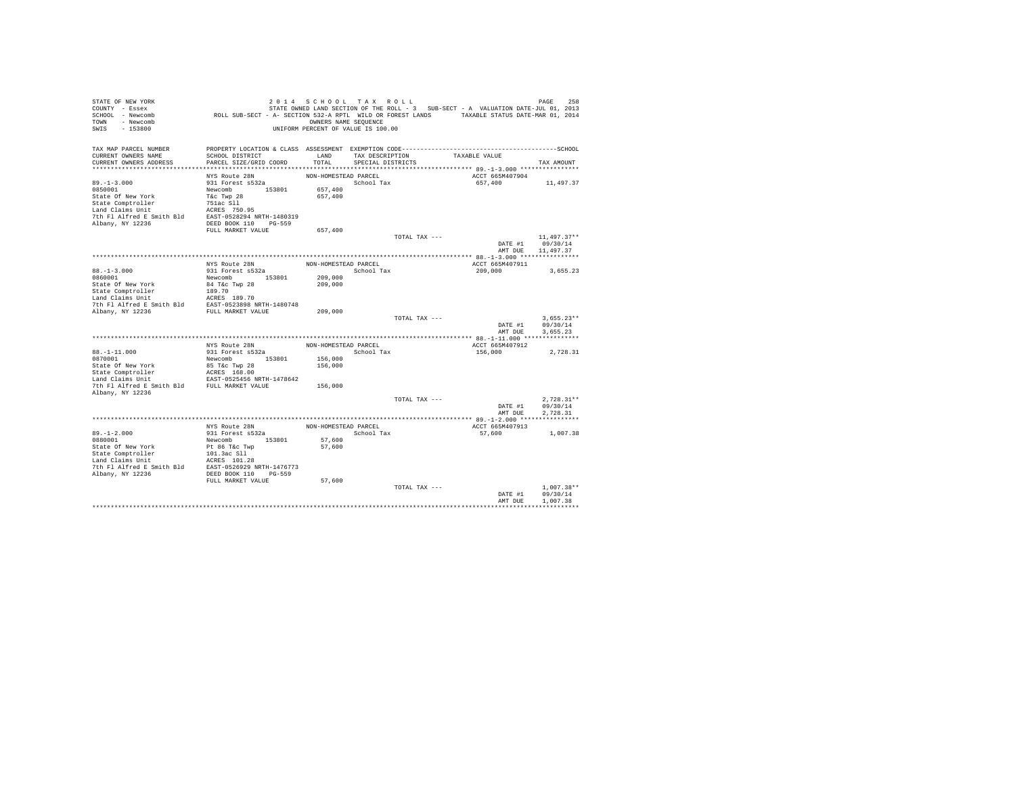| STATE OF NEW YORK<br>COUNTY - Essex<br>SCHOOL - Newcomb<br>- Newcomb<br>TOWN<br>$-153800$<br>SWIS | ROLL SUB-SECT - A- SECTION 532-A RPTL WILD OR FOREST LANDS TAXABLE STATUS DATE-MAR 01, 2014 | 2014 SCHOOL TAX ROLL<br>OWNERS NAME SEQUENCE<br>UNIFORM PERCENT OF VALUE IS 100.00 |                   |               | STATE OWNED LAND SECTION OF THE ROLL - 3 SUB-SECT - A VALUATION DATE-JUL 01, 2013 | PAGE                     | 258 |
|---------------------------------------------------------------------------------------------------|---------------------------------------------------------------------------------------------|------------------------------------------------------------------------------------|-------------------|---------------|-----------------------------------------------------------------------------------|--------------------------|-----|
| TAX MAP PARCEL NUMBER                                                                             |                                                                                             |                                                                                    |                   |               |                                                                                   |                          |     |
| CURRENT OWNERS NAME                                                                               | SCHOOL DISTRICT                                                                             | LAND                                                                               | TAX DESCRIPTION   |               | TAXABLE VALUE                                                                     |                          |     |
| CURRENT OWNERS ADDRESS                                                                            | PARCEL SIZE/GRID COORD                                                                      | TOTAL                                                                              | SPECIAL DISTRICTS |               |                                                                                   | TAX AMOUNT               |     |
|                                                                                                   | NYS Route 28N                                                                               | NON-HOMESTEAD PARCEL                                                               |                   |               | ACCT 665M407904                                                                   |                          |     |
| $89. -1 - 3.000$                                                                                  | 931 Forest s532a                                                                            |                                                                                    | School Tax        |               | 657,400                                                                           | 11,497.37                |     |
| 0850001                                                                                           | Newcomb 153801                                                                              | 657,400                                                                            |                   |               |                                                                                   |                          |     |
| State Of New York                                                                                 | T&c Twp 28                                                                                  | 657,400                                                                            |                   |               |                                                                                   |                          |     |
| State Comptroller                                                                                 | 751ac Sll                                                                                   |                                                                                    |                   |               |                                                                                   |                          |     |
| Land Claims Unit                                                                                  | ACRES 750.95                                                                                |                                                                                    |                   |               |                                                                                   |                          |     |
| 7th Fl Alfred E Smith Bld                                                                         | EAST-0528294 NRTH-1480319                                                                   |                                                                                    |                   |               |                                                                                   |                          |     |
| Albany, NY 12236                                                                                  | DEED BOOK 110 PG-559<br>FULL MARKET VALUE                                                   | 657,400                                                                            |                   |               |                                                                                   |                          |     |
|                                                                                                   |                                                                                             |                                                                                    |                   | TOTAL TAX --- |                                                                                   | $11,497.37**$            |     |
|                                                                                                   |                                                                                             |                                                                                    |                   |               | DATE #1<br>AMT DUE                                                                | 09/30/14<br>11,497.37    |     |
|                                                                                                   |                                                                                             |                                                                                    |                   |               |                                                                                   |                          |     |
|                                                                                                   | NYS Route 28N                                                                               | NON-HOMESTEAD PARCEL                                                               |                   |               | ACCT 665M407911                                                                   |                          |     |
| $88. - 1 - 3.000$                                                                                 | 931 Forest s532a                                                                            |                                                                                    | School Tax        |               | 209,000                                                                           | 3,655.23                 |     |
| 0860001                                                                                           | Newcomb 153801<br>84 T&c Twp 28                                                             | 209,000<br>209,000                                                                 |                   |               |                                                                                   |                          |     |
| State Of New York<br>State Comptroller                                                            | 189.70                                                                                      |                                                                                    |                   |               |                                                                                   |                          |     |
| Land Claims Unit                                                                                  | ACRES 189.70                                                                                |                                                                                    |                   |               |                                                                                   |                          |     |
|                                                                                                   |                                                                                             |                                                                                    |                   |               |                                                                                   |                          |     |
| The F1 Alfred E Smith Bld<br>The F1 Alfred E Smith Bld<br>FULL MARKET VALUE<br>FULL MARKET VALUE  |                                                                                             | 209,000                                                                            |                   |               |                                                                                   |                          |     |
|                                                                                                   |                                                                                             |                                                                                    |                   | TOTAL TAX --- |                                                                                   | $3.655.23**$             |     |
|                                                                                                   |                                                                                             |                                                                                    |                   |               | DATE #1                                                                           | 09/30/14                 |     |
|                                                                                                   |                                                                                             |                                                                                    |                   |               | AMT DUE                                                                           | 3,655.23                 |     |
|                                                                                                   | NYS Route 28N                                                                               | NON-HOMESTEAD PARCEL                                                               |                   |               | ACCT 665M407912                                                                   |                          |     |
| $88. -1 - 11.000$                                                                                 | 931 Forest s532a                                                                            |                                                                                    | School Tax        |               | 156,000                                                                           | 2,728.31                 |     |
| 0870001                                                                                           | Newcomb 153801                                                                              | 156,000                                                                            |                   |               |                                                                                   |                          |     |
| State Of New York                                                                                 | 85 T&c Twp 28                                                                               | 156,000                                                                            |                   |               |                                                                                   |                          |     |
| State Comptroller                                                                                 | ACRES 168.00                                                                                |                                                                                    |                   |               |                                                                                   |                          |     |
| Land Claims Unit                                                                                  | EAST-0525456 NRTH-1478642                                                                   |                                                                                    |                   |               |                                                                                   |                          |     |
| 7th Fl Alfred E Smith Bld FULL MARKET VALUE<br>Albany, NY 12236                                   |                                                                                             | 156,000                                                                            |                   |               |                                                                                   |                          |     |
|                                                                                                   |                                                                                             |                                                                                    |                   | TOTAL TAX --- | DATE #1                                                                           | $2.728.31**$<br>09/30/14 |     |
|                                                                                                   |                                                                                             |                                                                                    |                   |               | AMT DUE                                                                           | 2.728.31                 |     |
|                                                                                                   |                                                                                             |                                                                                    |                   |               |                                                                                   |                          |     |
| $89. - 1 - 2.000$                                                                                 | NYS Route 28N<br>931 Forest s532a                                                           | NON-HOMESTEAD PARCEL                                                               | School Tax        |               | ACCT 665M407913<br>57,600                                                         | 1,007.38                 |     |
| 0880001                                                                                           | Newcomb 153801                                                                              | 57,600                                                                             |                   |               |                                                                                   |                          |     |
| State Of New York                                                                                 | Pt 86 T&c Twp                                                                               | 57,600                                                                             |                   |               |                                                                                   |                          |     |
| State Comptroller                                                                                 | 101.3ac Sll                                                                                 |                                                                                    |                   |               |                                                                                   |                          |     |
| Land Claims Unit                                                                                  | ACRES 101.28                                                                                |                                                                                    |                   |               |                                                                                   |                          |     |
| 7th Fl Alfred E Smith Bld                                                                         | EAST-0526929 NRTH-1476773                                                                   |                                                                                    |                   |               |                                                                                   |                          |     |
| Albany, NY 12236                                                                                  | DEED BOOK 110 PG-559                                                                        |                                                                                    |                   |               |                                                                                   |                          |     |
|                                                                                                   | FULL MARKET VALUE                                                                           | 57,600                                                                             |                   |               |                                                                                   |                          |     |
|                                                                                                   |                                                                                             |                                                                                    |                   | TOTAL TAX --- | DATE #1                                                                           | $1.007.38**$<br>09/30/14 |     |
|                                                                                                   |                                                                                             |                                                                                    |                   |               | AMT DUE                                                                           | 1,007.38                 |     |
|                                                                                                   |                                                                                             |                                                                                    |                   |               |                                                                                   |                          |     |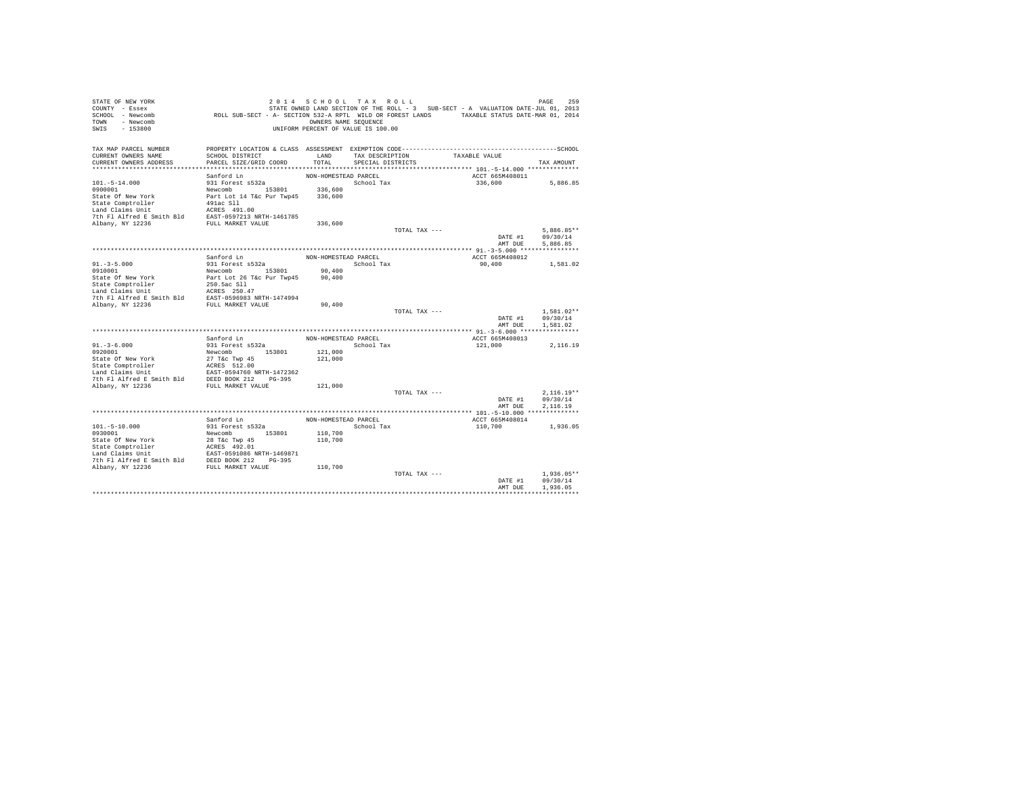| STATE OF NEW YORK<br>COUNTY - Essex<br>SCHOOL - Newcomb<br>TOWN - Newcomb<br>SWIS<br>$-153800$                              | ROLL SUB-SECT - A- SECTION 532-A RPTL WILD OR FOREST LANDS TAXABLE STATUS DATE-MAR 01, 2014 | 2014 SCHOOL TAX ROLL<br>OWNERS NAME SEQUENCE<br>UNIFORM PERCENT OF VALUE IS 100.00 |                                      |               | STATE OWNED LAND SECTION OF THE ROLL - 3 SUB-SECT - A VALUATION DATE-JUL 01, 2013 | PAGE<br>259              |
|-----------------------------------------------------------------------------------------------------------------------------|---------------------------------------------------------------------------------------------|------------------------------------------------------------------------------------|--------------------------------------|---------------|-----------------------------------------------------------------------------------|--------------------------|
| TAX MAP PARCEL NUMBER                                                                                                       |                                                                                             |                                                                                    |                                      |               |                                                                                   |                          |
| CURRENT OWNERS NAME<br>CURRENT OWNERS ADDRESS                                                                               | SCHOOL DISTRICT<br>PARCEL SIZE/GRID COORD                                                   | LAND<br>TOTAL                                                                      | TAX DESCRIPTION<br>SPECIAL DISTRICTS |               | TAXABLE VALUE                                                                     | TAX AMOUNT               |
|                                                                                                                             |                                                                                             |                                                                                    |                                      |               |                                                                                   |                          |
|                                                                                                                             | Sanford Ln                                                                                  | NON-HOMESTEAD PARCEL                                                               |                                      |               | ACCT 665M408011                                                                   |                          |
| $101. - 5 - 14.000$                                                                                                         | 931 Forest s532a                                                                            |                                                                                    | School Tax                           |               | 336,600                                                                           | 5,886.85                 |
| 0900001                                                                                                                     | Newcomb 153801                                                                              | 336,600                                                                            |                                      |               |                                                                                   |                          |
| State Of New York                                                                                                           | Part Lot 14 T&c Pur Twp45                                                                   | 336,600                                                                            |                                      |               |                                                                                   |                          |
| State Comptroller                                                                                                           | 491ac Sll                                                                                   |                                                                                    |                                      |               |                                                                                   |                          |
| State Computerior Mark 1991.00<br>The F1 Alfred E Smith Bld EAST-0597213 NRTH-1461785<br>Albany, NY 12236 FULL MARKET VALUE |                                                                                             |                                                                                    |                                      |               |                                                                                   |                          |
|                                                                                                                             |                                                                                             | 336,600                                                                            |                                      |               |                                                                                   |                          |
|                                                                                                                             |                                                                                             |                                                                                    |                                      | TOTAL TAX --- |                                                                                   | $5.886.85**$             |
|                                                                                                                             |                                                                                             |                                                                                    |                                      |               | DATE #1                                                                           | 09/30/14                 |
|                                                                                                                             |                                                                                             |                                                                                    |                                      |               | AMT DUE                                                                           | 5.886.85                 |
|                                                                                                                             |                                                                                             |                                                                                    |                                      |               |                                                                                   |                          |
|                                                                                                                             | Sanford Ln                                                                                  | NON-HOMESTEAD PARCEL                                                               |                                      |               | ACCT 665M408012                                                                   |                          |
| $91. - 3 - 5.000$<br>0910001                                                                                                | 931 Forest s532a<br>Newcomb 153801                                                          | 90,400                                                                             | School Tax                           |               | 90,400                                                                            | 1,581.02                 |
| State Of New York                                                                                                           | Part Lot 26 T&c Pur Twp45                                                                   | 90,400                                                                             |                                      |               |                                                                                   |                          |
| State Comptroller                                                                                                           | 250.5ac S11                                                                                 |                                                                                    |                                      |               |                                                                                   |                          |
| Land Claims Unit                                                                                                            | ACRES 250.47                                                                                |                                                                                    |                                      |               |                                                                                   |                          |
| 7th Fl Alfred E Smith Bld                                                                                                   | EAST-0596983 NRTH-1474994                                                                   |                                                                                    |                                      |               |                                                                                   |                          |
| Albany, NY 12236                                                                                                            | FULL MARKET VALUE                                                                           | 90,400                                                                             |                                      |               |                                                                                   |                          |
|                                                                                                                             |                                                                                             |                                                                                    |                                      | TOTAL TAX --- | DATE #1                                                                           | $1.581.02**$<br>09/30/14 |
|                                                                                                                             |                                                                                             |                                                                                    |                                      |               | AMT DUE                                                                           | 1,581.02                 |
|                                                                                                                             |                                                                                             |                                                                                    |                                      |               |                                                                                   |                          |
|                                                                                                                             | Sanford Ln                                                                                  | NON-HOMESTEAD PARCEL                                                               |                                      |               | ACCT 665M408013                                                                   |                          |
| $91. - 3 - 6.000$                                                                                                           | 931 Forest s532a                                                                            |                                                                                    | School Tax                           |               | 121,000                                                                           | 2,116.19                 |
| 0920001                                                                                                                     | Newcomb 153801                                                                              | 121,000                                                                            |                                      |               |                                                                                   |                          |
| State Of New York                                                                                                           | 27 T&c Twp 45                                                                               | 121,000                                                                            |                                      |               |                                                                                   |                          |
| State Comptroller<br>Land Claims Unit                                                                                       | ACRES 512.00<br>EAST-0594760 NRTH-1472362                                                   |                                                                                    |                                      |               |                                                                                   |                          |
| 7th Fl Alfred E Smith Bld DEED BOOK 212 PG-395                                                                              |                                                                                             |                                                                                    |                                      |               |                                                                                   |                          |
| Albany, NY 12236                                                                                                            | FULL MARKET VALUE                                                                           | 121,000                                                                            |                                      |               |                                                                                   |                          |
|                                                                                                                             |                                                                                             |                                                                                    |                                      | TOTAL TAX --- |                                                                                   | $2.116.19**$             |
|                                                                                                                             |                                                                                             |                                                                                    |                                      |               | DATE #1                                                                           | 09/30/14                 |
|                                                                                                                             |                                                                                             |                                                                                    |                                      |               | AMT DUE                                                                           | 2.116.19                 |
|                                                                                                                             |                                                                                             |                                                                                    |                                      |               |                                                                                   |                          |
| $101. - 5 - 10.000$                                                                                                         | Sanford Ln<br>931 Forest s532a                                                              | NON-HOMESTEAD PARCEL                                                               | School Tax                           |               | ACCT 665M408014                                                                   | 1,936.05                 |
| 0930001                                                                                                                     | Newcomb 153801                                                                              | 110,700                                                                            |                                      |               | 110,700                                                                           |                          |
|                                                                                                                             |                                                                                             | 110,700                                                                            |                                      |               |                                                                                   |                          |
|                                                                                                                             |                                                                                             |                                                                                    |                                      |               |                                                                                   |                          |
|                                                                                                                             |                                                                                             |                                                                                    |                                      |               |                                                                                   |                          |
|                                                                                                                             |                                                                                             |                                                                                    |                                      |               |                                                                                   |                          |
|                                                                                                                             |                                                                                             | 110,700                                                                            |                                      |               |                                                                                   |                          |
|                                                                                                                             |                                                                                             |                                                                                    |                                      | TOTAL TAX --- | DATE #1                                                                           | $1.936.05**$<br>09/30/14 |
|                                                                                                                             |                                                                                             |                                                                                    |                                      |               | AMT DUE                                                                           | 1,936.05                 |
|                                                                                                                             |                                                                                             |                                                                                    |                                      |               |                                                                                   |                          |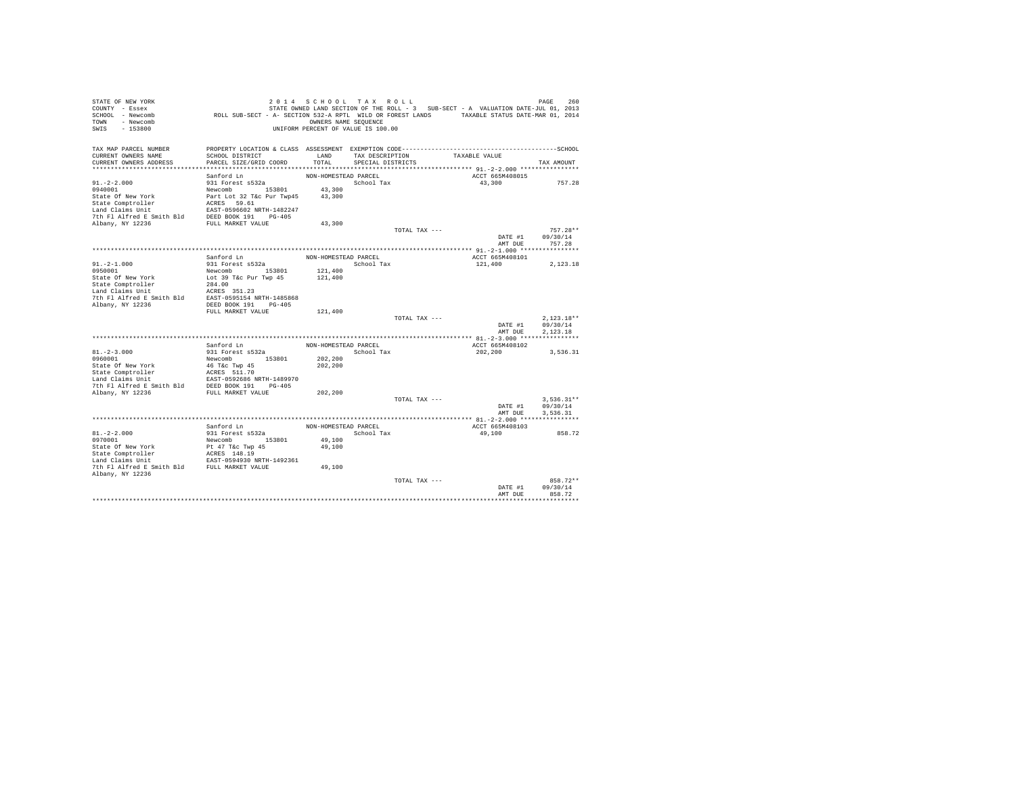| STATE OF NEW YORK                                                                                                                                                             |                                                                                             | 2014 SCHOOL TAX ROLL               |                   |               |                                                                                   | PAGE<br>260  |
|-------------------------------------------------------------------------------------------------------------------------------------------------------------------------------|---------------------------------------------------------------------------------------------|------------------------------------|-------------------|---------------|-----------------------------------------------------------------------------------|--------------|
| COUNTY - Essex                                                                                                                                                                |                                                                                             |                                    |                   |               | STATE OWNED LAND SECTION OF THE ROLL - 3 SUB-SECT - A VALUATION DATE-JUL 01, 2013 |              |
| SCHOOL - Newcomb                                                                                                                                                              | ROLL SUB-SECT - A- SECTION 532-A RPTL WILD OR FOREST LANDS TAXABLE STATUS DATE-MAR 01, 2014 |                                    |                   |               |                                                                                   |              |
| TOWN - Newcomb                                                                                                                                                                |                                                                                             | OWNERS NAME SEQUENCE               |                   |               |                                                                                   |              |
| SWIS<br>$-153800$                                                                                                                                                             |                                                                                             | UNIFORM PERCENT OF VALUE IS 100.00 |                   |               |                                                                                   |              |
|                                                                                                                                                                               |                                                                                             |                                    |                   |               |                                                                                   |              |
|                                                                                                                                                                               |                                                                                             |                                    |                   |               |                                                                                   |              |
| TAX MAP PARCEL NUMBER                                                                                                                                                         |                                                                                             |                                    |                   |               |                                                                                   |              |
| CURRENT OWNERS NAME                                                                                                                                                           | SCHOOL DISTRICT                                                                             | LAND                               | TAX DESCRIPTION   |               | TAXABLE VALUE                                                                     |              |
| CURRENT OWNERS ADDRESS                                                                                                                                                        | PARCEL SIZE/GRID COORD                                                                      | TOTAL                              | SPECIAL DISTRICTS |               |                                                                                   | TAX AMOUNT   |
|                                                                                                                                                                               |                                                                                             |                                    |                   |               |                                                                                   |              |
|                                                                                                                                                                               | Sanford Ln                                                                                  | NON-HOMESTEAD PARCEL               |                   |               | ACCT 665M408015                                                                   |              |
| $91, -2 - 2,000$                                                                                                                                                              | 931 Forest s532a                                                                            |                                    | School Tax        |               | 43,300                                                                            | 757.28       |
| 0940001                                                                                                                                                                       | Newcomb 153801                                                                              | 43,300                             |                   |               |                                                                                   |              |
| State Of New York                                                                                                                                                             | Part Lot 32 T&c Pur Twp45                                                                   | 43,300                             |                   |               |                                                                                   |              |
| State Comptroller and MCRS 59.61<br>Tand Claims birth 1989<br>The Packer-05956020 RETH-1482247<br>The Flatfred E Smith Bld DEED BOOK 191<br>Rhany, NY 12236 FULL MARKET VALUE |                                                                                             |                                    |                   |               |                                                                                   |              |
|                                                                                                                                                                               |                                                                                             |                                    |                   |               |                                                                                   |              |
|                                                                                                                                                                               |                                                                                             |                                    |                   |               |                                                                                   |              |
|                                                                                                                                                                               |                                                                                             | 43,300                             |                   |               |                                                                                   |              |
|                                                                                                                                                                               |                                                                                             |                                    |                   | TOTAL TAX --- |                                                                                   | $757.28**$   |
|                                                                                                                                                                               |                                                                                             |                                    |                   |               | DATE #1                                                                           | 09/30/14     |
|                                                                                                                                                                               |                                                                                             |                                    |                   |               | AMT DUE                                                                           | 757.28       |
|                                                                                                                                                                               |                                                                                             |                                    |                   |               |                                                                                   |              |
|                                                                                                                                                                               | Sanford Ln                                                                                  | NON-HOMESTEAD PARCEL               |                   |               | ACCT 665M408101                                                                   |              |
| $91. -2 - 1.000$                                                                                                                                                              | 931 Forest s532a                                                                            |                                    | School Tax        |               | 121,400                                                                           | 2,123.18     |
| 0950001                                                                                                                                                                       |                                                                                             | 121,400                            |                   |               |                                                                                   |              |
| State Of New York                                                                                                                                                             | Newcomb 153801<br>Lot 39 T&c Pur Twp 45<br>284.00                                           | 121,400                            |                   |               |                                                                                   |              |
| State Comptroller<br>Land Claims Unit                                                                                                                                         |                                                                                             |                                    |                   |               |                                                                                   |              |
|                                                                                                                                                                               |                                                                                             |                                    |                   |               |                                                                                   |              |
| Land Claims Unit<br>The I alfred E Smith Bld<br>EAST-0595154 NRTH-1485868<br>Nham W 19926                                                                                     |                                                                                             |                                    |                   |               |                                                                                   |              |
| Albany, NY 12236                                                                                                                                                              | DEED BOOK 191 PG-405                                                                        |                                    |                   |               |                                                                                   |              |
|                                                                                                                                                                               | FULL MARKET VALUE                                                                           | 121,400                            |                   |               |                                                                                   |              |
|                                                                                                                                                                               |                                                                                             |                                    |                   | TOTAL TAX --- |                                                                                   | $2,123.18**$ |
|                                                                                                                                                                               |                                                                                             |                                    |                   |               | DATE #1                                                                           | 09/30/14     |
|                                                                                                                                                                               |                                                                                             |                                    |                   |               | AMT DUE                                                                           | 2.123.18     |
|                                                                                                                                                                               |                                                                                             |                                    |                   |               |                                                                                   |              |
|                                                                                                                                                                               | Sanford Ln                                                                                  | NON-HOMESTEAD PARCEL               |                   |               | ACCT 665M408102                                                                   |              |
| $81. - 2 - 3.000$                                                                                                                                                             | 931 Forest s532a                                                                            |                                    | School Tax        |               | 202,200                                                                           | 3,536.31     |
| 0960001                                                                                                                                                                       |                                                                                             | 202,200                            |                   |               |                                                                                   |              |
|                                                                                                                                                                               | Newcomb 153801                                                                              |                                    |                   |               |                                                                                   |              |
|                                                                                                                                                                               |                                                                                             | 202,200                            |                   |               |                                                                                   |              |
|                                                                                                                                                                               |                                                                                             |                                    |                   |               |                                                                                   |              |
|                                                                                                                                                                               |                                                                                             |                                    |                   |               |                                                                                   |              |
|                                                                                                                                                                               |                                                                                             |                                    |                   |               |                                                                                   |              |
|                                                                                                                                                                               |                                                                                             | 202,200                            |                   |               |                                                                                   |              |
|                                                                                                                                                                               |                                                                                             |                                    |                   | TOTAL TAX --- |                                                                                   | $3.536.31**$ |
|                                                                                                                                                                               |                                                                                             |                                    |                   |               | DATE #1                                                                           | 09/30/14     |
|                                                                                                                                                                               |                                                                                             |                                    |                   |               | AMT DUE                                                                           | 3,536.31     |
|                                                                                                                                                                               |                                                                                             |                                    |                   |               |                                                                                   |              |
|                                                                                                                                                                               | Sanford Ln                                                                                  | NON-HOMESTEAD PARCEL               |                   |               | ACCT 665M408103                                                                   |              |
| $81. - 2 - 2.000$                                                                                                                                                             | 931 Forest s532a                                                                            |                                    | School Tax        |               | 49,100                                                                            | 858.72       |
| 0970001                                                                                                                                                                       | Newcomb 153801                                                                              | 49,100                             |                   |               |                                                                                   |              |
| State Of New York                                                                                                                                                             | Pt 47 T&c Twp 45<br>ACRES 148.19<br>EAST-0594930 NRTH-1492361                               | 49,100                             |                   |               |                                                                                   |              |
|                                                                                                                                                                               |                                                                                             |                                    |                   |               |                                                                                   |              |
| State of held<br>State Comptroller                                                                                                                                            |                                                                                             |                                    |                   |               |                                                                                   |              |
| 7th Fl Alfred E Smith Bld FULL MARKET VALUE                                                                                                                                   |                                                                                             | 49,100                             |                   |               |                                                                                   |              |
| Albany, NY 12236                                                                                                                                                              |                                                                                             |                                    |                   |               |                                                                                   |              |
|                                                                                                                                                                               |                                                                                             |                                    |                   | TOTAL TAX --- |                                                                                   | 858.72**     |
|                                                                                                                                                                               |                                                                                             |                                    |                   |               | DATE #1                                                                           | 09/30/14     |
|                                                                                                                                                                               |                                                                                             |                                    |                   |               | AMT DUE                                                                           | 858.72       |
|                                                                                                                                                                               |                                                                                             |                                    |                   |               |                                                                                   |              |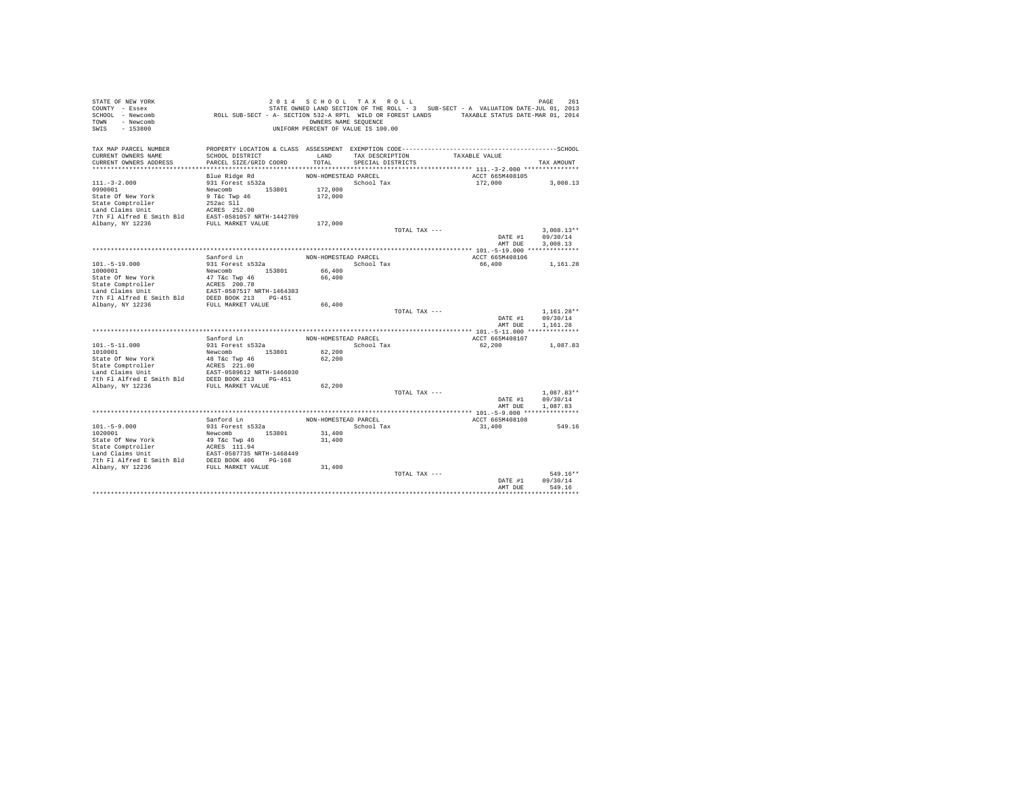| STATE OF NEW YORK<br>COUNTY - Essex<br>SCHOOL - Newcomb<br>TOWN - Newcomb<br>SWIS<br>$-153800$                                                                                                                                                             | ROLL SUB-SECT - A- SECTION 532-A RPTL WILD OR FOREST LANDS TAXABLE STATUS DATE-MAR 01, 2014 | 2014 SCHOOL TAX ROLL<br>OWNERS NAME SEQUENCE<br>UNIFORM PERCENT OF VALUE IS 100.00 |                                      |               | STATE OWNED LAND SECTION OF THE ROLL - 3 SUB-SECT - A VALUATION DATE-JUL 01, 2013 | 261<br>PAGE  |
|------------------------------------------------------------------------------------------------------------------------------------------------------------------------------------------------------------------------------------------------------------|---------------------------------------------------------------------------------------------|------------------------------------------------------------------------------------|--------------------------------------|---------------|-----------------------------------------------------------------------------------|--------------|
| TAX MAP PARCEL NUMBER                                                                                                                                                                                                                                      |                                                                                             |                                                                                    |                                      |               |                                                                                   |              |
| CURRENT OWNERS NAME<br>CURRENT OWNERS ADDRESS                                                                                                                                                                                                              | SCHOOL DISTRICT<br>PARCEL SIZE/GRID COORD                                                   | LAND<br>TOTAL                                                                      | TAX DESCRIPTION<br>SPECIAL DISTRICTS |               | TAXABLE VALUE                                                                     | TAX AMOUNT   |
|                                                                                                                                                                                                                                                            |                                                                                             |                                                                                    |                                      |               |                                                                                   |              |
|                                                                                                                                                                                                                                                            | Blue Ridge Rd                                                                               | NON-HOMESTEAD PARCEL                                                               |                                      |               | ACCT 665M408105                                                                   |              |
| $111. - 3 - 2.000$                                                                                                                                                                                                                                         | 931 Forest s532a                                                                            |                                                                                    | School Tax                           |               | 172,000                                                                           | 3,008.13     |
| 0990001                                                                                                                                                                                                                                                    | Newcomb 153801                                                                              | 172,000                                                                            |                                      |               |                                                                                   |              |
| State Of New York                                                                                                                                                                                                                                          | 9 T&c Twp 46                                                                                | 172,000                                                                            |                                      |               |                                                                                   |              |
| State Comptroller                                                                                                                                                                                                                                          | 252ac Sll                                                                                   |                                                                                    |                                      |               |                                                                                   |              |
| Land Claims Unit<br>The Unit School (1818) 252.00<br>The Fl Alfred E Smith Bld EAST-0581057 NRTH-1442709<br>Albany, NY 12236 FULL MARKET VALUE                                                                                                             |                                                                                             |                                                                                    |                                      |               |                                                                                   |              |
|                                                                                                                                                                                                                                                            |                                                                                             |                                                                                    |                                      |               |                                                                                   |              |
|                                                                                                                                                                                                                                                            |                                                                                             | 172,000                                                                            |                                      |               |                                                                                   |              |
|                                                                                                                                                                                                                                                            |                                                                                             |                                                                                    |                                      | TOTAL TAX --- |                                                                                   | $3.008.13**$ |
|                                                                                                                                                                                                                                                            |                                                                                             |                                                                                    |                                      |               | DATE #1                                                                           | 09/30/14     |
|                                                                                                                                                                                                                                                            |                                                                                             |                                                                                    |                                      |               | AMT DUE                                                                           | 3,008.13     |
|                                                                                                                                                                                                                                                            | Sanford Ln                                                                                  | NON-HOMESTEAD PARCEL                                                               |                                      |               | ACCT 665M408106                                                                   |              |
| $101. - 5 - 19.000$                                                                                                                                                                                                                                        | 931 Forest s532a                                                                            |                                                                                    | School Tax                           |               | 66,400                                                                            | 1,161,28     |
| 1000001                                                                                                                                                                                                                                                    | Newcomb 153801                                                                              | 66,400                                                                             |                                      |               |                                                                                   |              |
| State Of New York                                                                                                                                                                                                                                          | 47 T&c Twp 46                                                                               | 66,400                                                                             |                                      |               |                                                                                   |              |
| State Comptroller                                                                                                                                                                                                                                          | ACRES 200.78                                                                                |                                                                                    |                                      |               |                                                                                   |              |
| Land Claims Unit                                                                                                                                                                                                                                           |                                                                                             |                                                                                    |                                      |               |                                                                                   |              |
| 7th Fl Alfred E Smith Bld                                                                                                                                                                                                                                  | EAST-0587517 NRTH-1464383<br>h Bld DEED BOOK 213 PG-451                                     |                                                                                    |                                      |               |                                                                                   |              |
| Albany, NY 12236                                                                                                                                                                                                                                           | FULL MARKET VALUE                                                                           | 66,400                                                                             |                                      |               |                                                                                   |              |
|                                                                                                                                                                                                                                                            |                                                                                             |                                                                                    |                                      | TOTAL TAX --- |                                                                                   | $1.161.28**$ |
|                                                                                                                                                                                                                                                            |                                                                                             |                                                                                    |                                      |               | DATE #1                                                                           | 09/30/14     |
|                                                                                                                                                                                                                                                            |                                                                                             |                                                                                    |                                      |               | AMT DUE                                                                           | 1.161.28     |
|                                                                                                                                                                                                                                                            | Sanford Ln                                                                                  | NON-HOMESTEAD PARCEL                                                               |                                      |               | ACCT 665M408107                                                                   |              |
| $101.-5-11.000$                                                                                                                                                                                                                                            | 931 Forest s532a                                                                            |                                                                                    | School Tax                           |               | 62,200                                                                            | 1,087.83     |
| 1010001                                                                                                                                                                                                                                                    | Newcomb 153801                                                                              | 62,200                                                                             |                                      |               |                                                                                   |              |
| State Of New York                                                                                                                                                                                                                                          | 48 T&c Twp 46                                                                               | 62,200                                                                             |                                      |               |                                                                                   |              |
|                                                                                                                                                                                                                                                            |                                                                                             |                                                                                    |                                      |               |                                                                                   |              |
| State Comptroller<br>Land Claims Unit<br>The F1 Alfred E Smith Bld<br>DEED BOOK 213 PG-451<br>PC ALSO DEED BOOK 213 PG-451                                                                                                                                 |                                                                                             |                                                                                    |                                      |               |                                                                                   |              |
|                                                                                                                                                                                                                                                            |                                                                                             |                                                                                    |                                      |               |                                                                                   |              |
| Albany, NY 12236                                                                                                                                                                                                                                           | FULL MARKET VALUE                                                                           | 62,200                                                                             |                                      |               |                                                                                   |              |
|                                                                                                                                                                                                                                                            |                                                                                             |                                                                                    |                                      | TOTAL TAX --- |                                                                                   | $1.087.83**$ |
|                                                                                                                                                                                                                                                            |                                                                                             |                                                                                    |                                      |               | DATE #1                                                                           | 09/30/14     |
|                                                                                                                                                                                                                                                            |                                                                                             |                                                                                    |                                      |               | AMT DUE                                                                           | 1,087.83     |
|                                                                                                                                                                                                                                                            | Sanford Ln                                                                                  | NON-HOMESTEAD PARCEL                                                               |                                      |               | ACCT 665M408108                                                                   |              |
| $101. - 5 - 9.000$                                                                                                                                                                                                                                         | 931 Forest s532a                                                                            |                                                                                    | School Tax                           |               | 31,400                                                                            | 549.16       |
| 1020001                                                                                                                                                                                                                                                    | Newcomb 153801                                                                              | 31,400                                                                             |                                      |               |                                                                                   |              |
| State Of New York                                                                                                                                                                                                                                          | 49 T&c Twp 46                                                                               | 31,400                                                                             |                                      |               |                                                                                   |              |
| State Comptroller<br>Mark Comptroller<br>Land Claims Unit<br>Land Claims Unit<br>The Flalfred E Smith Bld<br>2006 MOK<br>2006 PEULL MARKET VALUE<br>2006 MOK<br>2006 MOK<br>2006 MOK<br>2006 MOK<br>2006 MOK<br>2006 MOK<br>2006 MOK<br>2006 PULL MARKET V |                                                                                             |                                                                                    |                                      |               |                                                                                   |              |
|                                                                                                                                                                                                                                                            |                                                                                             |                                                                                    |                                      |               |                                                                                   |              |
|                                                                                                                                                                                                                                                            |                                                                                             |                                                                                    |                                      |               |                                                                                   |              |
|                                                                                                                                                                                                                                                            |                                                                                             | 31,400                                                                             |                                      |               |                                                                                   |              |
|                                                                                                                                                                                                                                                            |                                                                                             |                                                                                    |                                      | TOTAL TAX --- |                                                                                   | $549.16**$   |
|                                                                                                                                                                                                                                                            |                                                                                             |                                                                                    |                                      |               | DATE #1                                                                           | 09/30/14     |
|                                                                                                                                                                                                                                                            |                                                                                             |                                                                                    |                                      |               | AMT DUE                                                                           | 549.16       |
|                                                                                                                                                                                                                                                            |                                                                                             |                                                                                    |                                      |               |                                                                                   |              |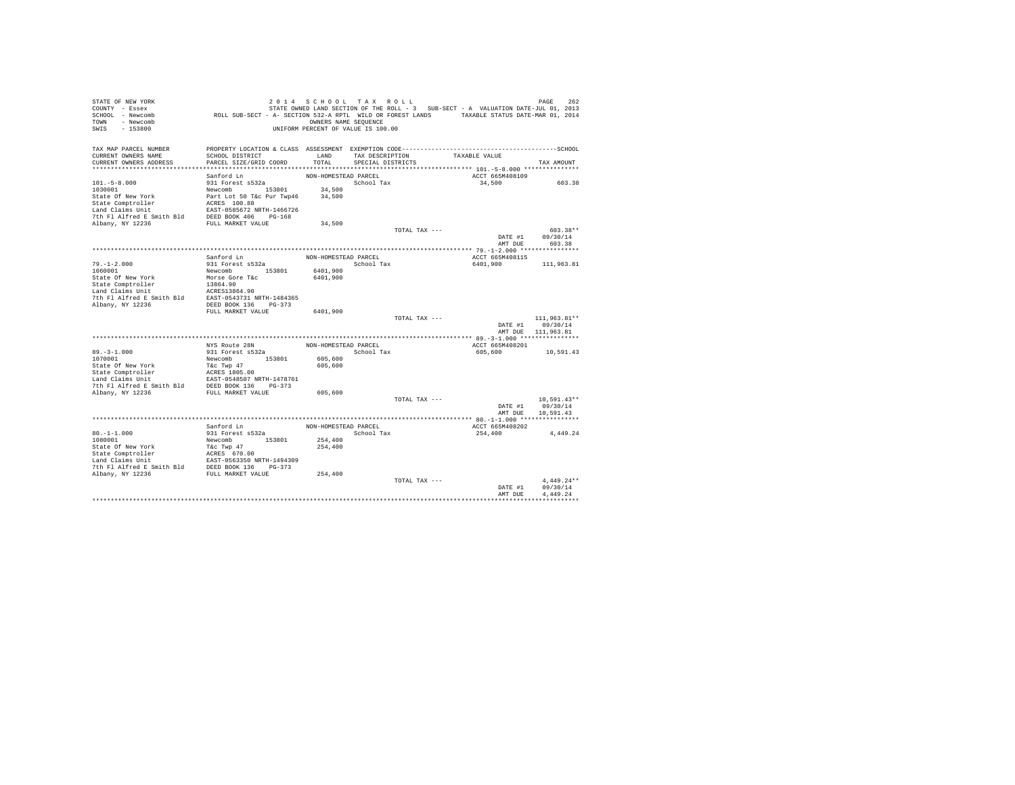| STATE OF NEW YORK                                                                                                                                                                                                          |                                                                                             | 2014 SCHOOL TAX ROLL               |                   |               |                                                                                   | PAGE<br>262        |
|----------------------------------------------------------------------------------------------------------------------------------------------------------------------------------------------------------------------------|---------------------------------------------------------------------------------------------|------------------------------------|-------------------|---------------|-----------------------------------------------------------------------------------|--------------------|
| COUNTY - Essex                                                                                                                                                                                                             |                                                                                             |                                    |                   |               | STATE OWNED LAND SECTION OF THE ROLL - 3 SUB-SECT - A VALUATION DATE-JUL 01, 2013 |                    |
| SCHOOL - Newcomb                                                                                                                                                                                                           | ROLL SUB-SECT - A- SECTION 532-A RPTL WILD OR FOREST LANDS TAXABLE STATUS DATE-MAR 01, 2014 |                                    |                   |               |                                                                                   |                    |
| TOWN - Newcomb                                                                                                                                                                                                             |                                                                                             | OWNERS NAME SEQUENCE               |                   |               |                                                                                   |                    |
| SWIS<br>$-153800$                                                                                                                                                                                                          |                                                                                             | UNIFORM PERCENT OF VALUE IS 100.00 |                   |               |                                                                                   |                    |
|                                                                                                                                                                                                                            |                                                                                             |                                    |                   |               |                                                                                   |                    |
|                                                                                                                                                                                                                            |                                                                                             |                                    |                   |               |                                                                                   |                    |
| TAX MAP PARCEL NUMBER                                                                                                                                                                                                      |                                                                                             |                                    |                   |               |                                                                                   |                    |
| CURRENT OWNERS NAME                                                                                                                                                                                                        | SCHOOL DISTRICT                                                                             | LAND                               | TAX DESCRIPTION   |               | TAXABLE VALUE                                                                     |                    |
| CURRENT OWNERS ADDRESS                                                                                                                                                                                                     | PARCEL SIZE/GRID COORD                                                                      | TOTAL                              | SPECIAL DISTRICTS |               |                                                                                   | TAX AMOUNT         |
|                                                                                                                                                                                                                            |                                                                                             |                                    |                   |               |                                                                                   |                    |
|                                                                                                                                                                                                                            | Sanford Ln                                                                                  | NON-HOMESTEAD PARCEL               |                   |               | ACCT 665M408109                                                                   |                    |
| $101. - 5 - 8.000$                                                                                                                                                                                                         | 931 Forest s532a                                                                            |                                    | School Tax        |               | 34,500                                                                            | 603.38             |
|                                                                                                                                                                                                                            |                                                                                             | 34,500                             |                   |               |                                                                                   |                    |
|                                                                                                                                                                                                                            |                                                                                             | 34,500                             |                   |               |                                                                                   |                    |
|                                                                                                                                                                                                                            |                                                                                             |                                    |                   |               |                                                                                   |                    |
|                                                                                                                                                                                                                            |                                                                                             |                                    |                   |               |                                                                                   |                    |
|                                                                                                                                                                                                                            |                                                                                             |                                    |                   |               |                                                                                   |                    |
|                                                                                                                                                                                                                            |                                                                                             | 34,500                             |                   |               |                                                                                   |                    |
|                                                                                                                                                                                                                            |                                                                                             |                                    |                   | TOTAL TAX --- |                                                                                   | 603.38**           |
|                                                                                                                                                                                                                            |                                                                                             |                                    |                   |               | DATE #1                                                                           | 09/30/14           |
|                                                                                                                                                                                                                            |                                                                                             |                                    |                   |               | AMT DUE                                                                           | 603.38             |
|                                                                                                                                                                                                                            |                                                                                             |                                    |                   |               |                                                                                   |                    |
|                                                                                                                                                                                                                            | Sanford Ln                                                                                  | NON-HOMESTEAD PARCEL               |                   |               | ACCT 665M408115                                                                   |                    |
| $79. - 1 - 2.000$                                                                                                                                                                                                          | 931 Forest s532a                                                                            |                                    | School Tax        |               | 6401,900                                                                          | 111,963.81         |
| 1060001                                                                                                                                                                                                                    | Newcomb 153801                                                                              | 6401,900                           |                   |               |                                                                                   |                    |
| State Of New York Morse Gore T&C<br>State Comptroller 13864.90<br>State Comptroller 13864.90<br>The FI Alfred E Smith Bld RAST-0543731 NRTH-1484365                                                                        |                                                                                             | 6401,900                           |                   |               |                                                                                   |                    |
|                                                                                                                                                                                                                            |                                                                                             |                                    |                   |               |                                                                                   |                    |
|                                                                                                                                                                                                                            |                                                                                             |                                    |                   |               |                                                                                   |                    |
|                                                                                                                                                                                                                            |                                                                                             |                                    |                   |               |                                                                                   |                    |
| Albany, NY 12236                                                                                                                                                                                                           | DEED BOOK 136 PG-373                                                                        |                                    |                   |               |                                                                                   |                    |
|                                                                                                                                                                                                                            | FULL MARKET VALUE 6401,900                                                                  |                                    |                   |               |                                                                                   |                    |
|                                                                                                                                                                                                                            |                                                                                             |                                    |                   | TOTAL TAX --- |                                                                                   | 111,963.81**       |
|                                                                                                                                                                                                                            |                                                                                             |                                    |                   |               |                                                                                   | DATE #1 09/30/14   |
|                                                                                                                                                                                                                            |                                                                                             |                                    |                   |               |                                                                                   | AMT DUE 111,963.81 |
|                                                                                                                                                                                                                            |                                                                                             |                                    |                   |               |                                                                                   |                    |
|                                                                                                                                                                                                                            | NYS Route 28N                                                                               | NON-HOMESTEAD PARCEL               |                   |               | ACCT 665M408201                                                                   |                    |
| $89. - 3 - 1.000$                                                                                                                                                                                                          | 931 Forest s532a                                                                            |                                    | School Tax        |               | 605,600                                                                           | 10,591.43          |
| 1070001                                                                                                                                                                                                                    | Newcomb 153801                                                                              | 605,600                            |                   |               |                                                                                   |                    |
| State of New York<br>The Tac Twp 47<br>State Comptroller<br>and Claims Unit<br>EAST -0548507 NRTH-1478761<br>The Fl Alfred E Smith Bld<br>DEED BOOK 136<br>DEED Albany, NY 12236<br>FULL MARKET VALUE<br>POLE MARKET VALUE |                                                                                             | 605,600                            |                   |               |                                                                                   |                    |
|                                                                                                                                                                                                                            |                                                                                             |                                    |                   |               |                                                                                   |                    |
|                                                                                                                                                                                                                            |                                                                                             |                                    |                   |               |                                                                                   |                    |
|                                                                                                                                                                                                                            |                                                                                             |                                    |                   |               |                                                                                   |                    |
|                                                                                                                                                                                                                            |                                                                                             | 605,600                            |                   |               |                                                                                   |                    |
|                                                                                                                                                                                                                            |                                                                                             |                                    |                   | TOTAL TAX --- |                                                                                   | $10.591.43**$      |
|                                                                                                                                                                                                                            |                                                                                             |                                    |                   |               | DATE #1                                                                           | 09/30/14           |
|                                                                                                                                                                                                                            |                                                                                             |                                    |                   |               | AMT DUE                                                                           | 10,591.43          |
|                                                                                                                                                                                                                            |                                                                                             |                                    |                   |               |                                                                                   |                    |
|                                                                                                                                                                                                                            | Sanford Ln                                                                                  | NON-HOMESTEAD PARCEL               |                   |               | ACCT 665M408202                                                                   |                    |
| $80. -1 - 1.000$                                                                                                                                                                                                           | 931 Forest s532a                                                                            |                                    | School Tax        |               | 254,400                                                                           | 4,449.24           |
| 1080001                                                                                                                                                                                                                    | Newcomb 153801                                                                              | 254,400                            |                   |               |                                                                                   |                    |
|                                                                                                                                                                                                                            |                                                                                             | 254,400                            |                   |               |                                                                                   |                    |
|                                                                                                                                                                                                                            |                                                                                             |                                    |                   |               |                                                                                   |                    |
|                                                                                                                                                                                                                            |                                                                                             |                                    |                   |               |                                                                                   |                    |
|                                                                                                                                                                                                                            |                                                                                             |                                    |                   |               |                                                                                   |                    |
|                                                                                                                                                                                                                            |                                                                                             | 254,400                            |                   |               |                                                                                   |                    |
|                                                                                                                                                                                                                            |                                                                                             |                                    |                   | TOTAL TAX --- |                                                                                   | $4.449.24**$       |
|                                                                                                                                                                                                                            |                                                                                             |                                    |                   |               | DATE #1                                                                           | 09/30/14           |
|                                                                                                                                                                                                                            |                                                                                             |                                    |                   |               | AMT DUE                                                                           | 4.449.24           |
|                                                                                                                                                                                                                            |                                                                                             |                                    |                   |               |                                                                                   |                    |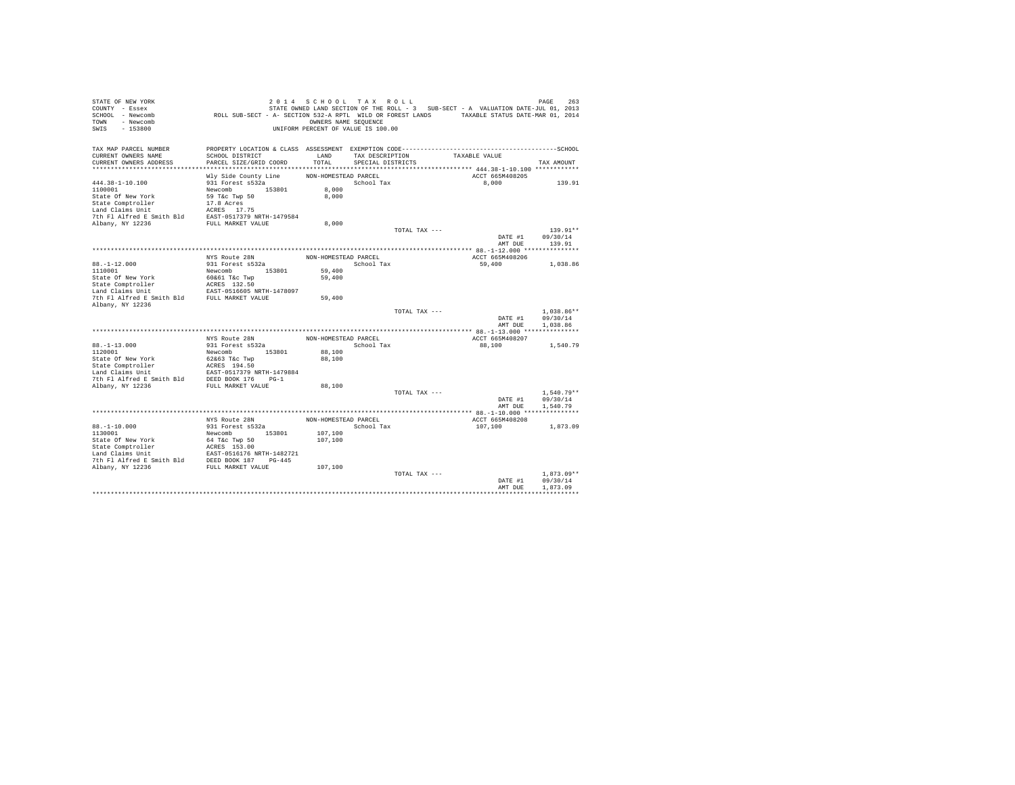| STATE OF NEW YORK<br>COUNTY - Essex<br>SCHOOL - Newcomb<br>TOWN - Newcomb<br>SWIS<br>$-153800$                                                                      | ROLL SUB-SECT - A- SECTION 532-A RPTL WILD OR FOREST LANDS TAXABLE STATUS DATE-MAR 01, 2014 | 2014 SCHOOL TAX ROLL<br>OWNERS NAME SEQUENCE<br>UNIFORM PERCENT OF VALUE IS 100.00 |                   |               | STATE OWNED LAND SECTION OF THE ROLL - 3 SUB-SECT - A VALUATION DATE-JUL 01, 2013 | 263<br>PAGE  |
|---------------------------------------------------------------------------------------------------------------------------------------------------------------------|---------------------------------------------------------------------------------------------|------------------------------------------------------------------------------------|-------------------|---------------|-----------------------------------------------------------------------------------|--------------|
| TAX MAP PARCEL NUMBER                                                                                                                                               |                                                                                             |                                                                                    |                   |               |                                                                                   |              |
| CURRENT OWNERS NAME                                                                                                                                                 | SCHOOL DISTRICT                                                                             | LAND                                                                               | TAX DESCRIPTION   |               | TAXABLE VALUE                                                                     |              |
| CURRENT OWNERS ADDRESS                                                                                                                                              | PARCEL SIZE/GRID COORD                                                                      | TOTAL                                                                              | SPECIAL DISTRICTS |               |                                                                                   | TAX AMOUNT   |
|                                                                                                                                                                     |                                                                                             |                                                                                    |                   |               |                                                                                   |              |
| $444.38 - 1 - 10.100$                                                                                                                                               | Wly Side County Line<br>931 Forest s532a                                                    | NON-HOMESTEAD PARCEL                                                               | School Tax        |               | ACCT 665M408205<br>8,000                                                          | 139.91       |
| 1100001                                                                                                                                                             | Newcomb 153801                                                                              | 8,000                                                                              |                   |               |                                                                                   |              |
| State Of New York                                                                                                                                                   | 59 T&c Twp 50                                                                               | 8,000                                                                              |                   |               |                                                                                   |              |
| State Comptroller                                                                                                                                                   | 17.8 Acres                                                                                  |                                                                                    |                   |               |                                                                                   |              |
| Land Claims Unit                                                                                                                                                    | ACRES 17.75                                                                                 |                                                                                    |                   |               |                                                                                   |              |
| 7th Fl Alfred E Smith Bld EAST-0517379 NRTH-1479584                                                                                                                 |                                                                                             |                                                                                    |                   |               |                                                                                   |              |
| Albany, NY 12236                                                                                                                                                    | FULL MARKET VALUE                                                                           | 8,000                                                                              |                   |               |                                                                                   |              |
|                                                                                                                                                                     |                                                                                             |                                                                                    |                   | TOTAL TAX --- |                                                                                   | $139.91**$   |
|                                                                                                                                                                     |                                                                                             |                                                                                    |                   |               | DATE #1                                                                           | 09/30/14     |
|                                                                                                                                                                     |                                                                                             |                                                                                    |                   |               | AMT DUE                                                                           | 139.91       |
|                                                                                                                                                                     |                                                                                             |                                                                                    |                   |               |                                                                                   |              |
|                                                                                                                                                                     | NYS Route 28N                                                                               | NON-HOMESTEAD PARCEL                                                               |                   |               | ACCT 665M408206                                                                   |              |
| $88. - 1 - 12.000$<br>1110001                                                                                                                                       | 931 Forest s532a<br>Newcomb 153801                                                          |                                                                                    | School Tax        |               | 59,400                                                                            | 1,038.86     |
| State Of New York                                                                                                                                                   | 60&61 T&c Twp                                                                               | 59,400<br>59,400                                                                   |                   |               |                                                                                   |              |
| State Comptroller                                                                                                                                                   | ACRES 132.50                                                                                |                                                                                    |                   |               |                                                                                   |              |
|                                                                                                                                                                     |                                                                                             |                                                                                    |                   |               |                                                                                   |              |
| Land Claims Unit<br>FAST-0516605 NRTH-1478097<br>7th Fl Alfred E Smith Bld<br>FULL MARKET VALUE                                                                     |                                                                                             | 59,400                                                                             |                   |               |                                                                                   |              |
| Albany, NY 12236                                                                                                                                                    |                                                                                             |                                                                                    |                   |               |                                                                                   |              |
|                                                                                                                                                                     |                                                                                             |                                                                                    |                   | TOTAL TAX --- |                                                                                   | $1.038.86**$ |
|                                                                                                                                                                     |                                                                                             |                                                                                    |                   |               | DATE #1                                                                           | 09/30/14     |
|                                                                                                                                                                     |                                                                                             |                                                                                    |                   |               | AMT DUE                                                                           | 1.038.86     |
|                                                                                                                                                                     | NYS Route 28N                                                                               | NON-HOMESTEAD PARCEL                                                               |                   |               | ACCT 665M408207                                                                   |              |
| $88. -1 - 13.000$                                                                                                                                                   | 931 Forest s532a                                                                            |                                                                                    | School Tax        |               | 88,100                                                                            | 1,540.79     |
| 1120001                                                                                                                                                             | Newcomb 153801                                                                              | 88,100                                                                             |                   |               |                                                                                   |              |
| State Of New York                                                                                                                                                   | 62&63 T&c Twp                                                                               | 88,100                                                                             |                   |               |                                                                                   |              |
|                                                                                                                                                                     |                                                                                             |                                                                                    |                   |               |                                                                                   |              |
|                                                                                                                                                                     |                                                                                             |                                                                                    |                   |               |                                                                                   |              |
|                                                                                                                                                                     |                                                                                             |                                                                                    |                   |               |                                                                                   |              |
| Albany, NY 12236                                                                                                                                                    | FULL MARKET VALUE                                                                           | 88,100                                                                             |                   |               |                                                                                   |              |
|                                                                                                                                                                     |                                                                                             |                                                                                    |                   | TOTAL TAX --- |                                                                                   | $1.540.79**$ |
|                                                                                                                                                                     |                                                                                             |                                                                                    |                   |               | DATE #1                                                                           | 09/30/14     |
|                                                                                                                                                                     |                                                                                             |                                                                                    |                   |               | AMT DUE                                                                           | 1,540.79     |
|                                                                                                                                                                     | NYS Route 28N                                                                               | NON-HOMESTEAD PARCEL                                                               |                   |               | ACCT 665M408208                                                                   |              |
| $88. - 1 - 10.000$                                                                                                                                                  | 931 Forest s532a                                                                            |                                                                                    | School Tax        |               | 107,100                                                                           | 1,873.09     |
| 1130001                                                                                                                                                             | Newcomb 153801                                                                              | 107,100                                                                            |                   |               |                                                                                   |              |
| State Of New York                                                                                                                                                   | 64 T&c Twp 50                                                                               | 107,100                                                                            |                   |               |                                                                                   |              |
|                                                                                                                                                                     |                                                                                             |                                                                                    |                   |               |                                                                                   |              |
|                                                                                                                                                                     |                                                                                             |                                                                                    |                   |               |                                                                                   |              |
|                                                                                                                                                                     |                                                                                             |                                                                                    |                   |               |                                                                                   |              |
| State Urew rork<br>1948 Tack Comptroller<br>1940 MCRES 153.00<br>1940 Mand Claims Unit<br>1941 Albany, NY 12236<br>1958 MULL MARKET VALUB<br>2000 MCLL MARKET VALUB |                                                                                             | 107,100                                                                            |                   |               |                                                                                   |              |
|                                                                                                                                                                     |                                                                                             |                                                                                    |                   | TOTAL TAX --- |                                                                                   | $1.873.09**$ |
|                                                                                                                                                                     |                                                                                             |                                                                                    |                   |               | DATE #1                                                                           | 09/30/14     |
|                                                                                                                                                                     |                                                                                             |                                                                                    |                   |               | AMT DUE                                                                           | 1,873.09     |
|                                                                                                                                                                     |                                                                                             |                                                                                    |                   |               |                                                                                   |              |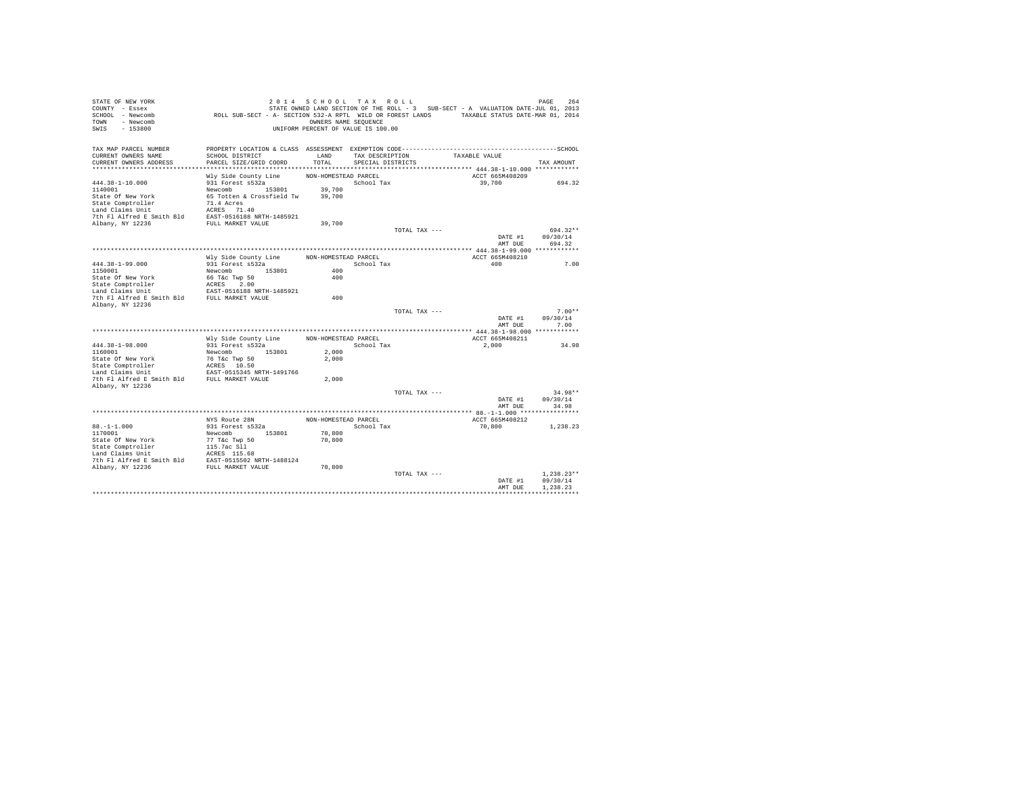| STATE OF NEW YORK<br>COUNTY - Essex   |                                                                                              | 2014 SCHOOL TAX ROLL                                       |                   |               | STATE OWNED LAND SECTION OF THE ROLL - 3 SUB-SECT - A VALUATION DATE-JUL 01, 2013 | 264<br>PAGE  |
|---------------------------------------|----------------------------------------------------------------------------------------------|------------------------------------------------------------|-------------------|---------------|-----------------------------------------------------------------------------------|--------------|
| SCHOOL - Newcomb<br>- Newcomb<br>TOWN | ROLL SUB-SECT - A- SECTION 532-A RPTL WILD OR FOREST LANDS TAXABLE STATUS DATE-MAR 01, 2014  |                                                            |                   |               |                                                                                   |              |
| $-153800$<br>SWIS                     |                                                                                              | OWNERS NAME SEQUENCE<br>UNIFORM PERCENT OF VALUE IS 100.00 |                   |               |                                                                                   |              |
|                                       |                                                                                              |                                                            |                   |               |                                                                                   |              |
| TAX MAP PARCEL NUMBER                 | PROPERTY LOCATION & CLASS ASSESSMENT EXEMPTION CODE-----------------------------------SCHOOL |                                                            |                   |               |                                                                                   |              |
| CURRENT OWNERS NAME                   | SCHOOL DISTRICT                                                                              | LAND                                                       | TAX DESCRIPTION   |               | TAXABLE VALUE                                                                     |              |
| CURRENT OWNERS ADDRESS                | PARCEL SIZE/GRID COORD                                                                       | TOTAL                                                      | SPECIAL DISTRICTS |               |                                                                                   | TAX AMOUNT   |
|                                       |                                                                                              |                                                            |                   |               |                                                                                   |              |
|                                       | Wly Side County Line                                                                         | NON-HOMESTEAD PARCEL                                       |                   |               | ACCT 665M408209                                                                   |              |
| $444.38 - 1 - 10.000$<br>1140001      | 931 Forest s532a<br>Newcomb 153801                                                           |                                                            | School Tax        |               | 39,700                                                                            | 694.32       |
| State Of New York                     | 65 Totten & Crossfield Tw                                                                    | 39,700<br>39,700                                           |                   |               |                                                                                   |              |
| State Comptroller                     | 71.4 Acres                                                                                   |                                                            |                   |               |                                                                                   |              |
| Land Claims Unit                      | ACRES 71.40                                                                                  |                                                            |                   |               |                                                                                   |              |
| 7th Fl Alfred E Smith Bld             | EAST-0516188 NRTH-1485921                                                                    |                                                            |                   |               |                                                                                   |              |
| Albany, NY 12236                      | FULL MARKET VALUE                                                                            | 39,700                                                     |                   |               |                                                                                   |              |
|                                       |                                                                                              |                                                            |                   | TOTAL TAX --- |                                                                                   | 694.32**     |
|                                       |                                                                                              |                                                            |                   |               | DATE #1                                                                           | 09/30/14     |
|                                       |                                                                                              |                                                            |                   |               | AMT DUE                                                                           | 694.32       |
|                                       |                                                                                              |                                                            |                   |               |                                                                                   |              |
|                                       | Wly Side County Line                                                                         | NON-HOMESTEAD PARCEL                                       |                   |               | ACCT 665M408210                                                                   |              |
| $444.38 - 1 - 99.000$                 | 931 Forest s532a                                                                             | 400                                                        | School Tax        |               | 400                                                                               | 7.00         |
| 1150001<br>State Of New York          | Newcomb 153801<br>66 T&c Twp 50                                                              | 400                                                        |                   |               |                                                                                   |              |
| State Comptroller                     | ACRES 2.00                                                                                   |                                                            |                   |               |                                                                                   |              |
| Land Claims Unit                      | EAST-0516188 NRTH-1485921                                                                    |                                                            |                   |               |                                                                                   |              |
| 7th Fl Alfred E Smith Bld             | FULL MARKET VALUE                                                                            | 400                                                        |                   |               |                                                                                   |              |
| Albany, NY 12236                      |                                                                                              |                                                            |                   |               |                                                                                   |              |
|                                       |                                                                                              |                                                            |                   | TOTAL TAX --- |                                                                                   | $7.00**$     |
|                                       |                                                                                              |                                                            |                   |               | DATE #1                                                                           | 09/30/14     |
|                                       |                                                                                              |                                                            |                   |               | AMT DUR                                                                           | 7.00         |
|                                       |                                                                                              |                                                            |                   |               |                                                                                   |              |
|                                       | Wly Side County Line                                                                         | NON-HOMESTEAD PARCEL                                       |                   |               | ACCT 665M408211                                                                   |              |
| 444.38-1-98.000                       | 931 Forest s532a                                                                             |                                                            | School Tax        |               | 2,000                                                                             | 34.98        |
| 1160001<br>State Of New York          | 153801<br>Newcomb<br>76 T&c Twp 50                                                           | 2,000<br>2,000                                             |                   |               |                                                                                   |              |
| State Comptroller                     | ACRES 10.50                                                                                  |                                                            |                   |               |                                                                                   |              |
| Land Claims Unit                      | EAST-0515345 NRTH-1491766                                                                    |                                                            |                   |               |                                                                                   |              |
| 7th Fl Alfred E Smith Bld             | FULL MARKET VALUE                                                                            | 2,000                                                      |                   |               |                                                                                   |              |
| Albany, NY 12236                      |                                                                                              |                                                            |                   |               |                                                                                   |              |
|                                       |                                                                                              |                                                            |                   | TOTAL TAX --- |                                                                                   | $34.98**$    |
|                                       |                                                                                              |                                                            |                   |               | DATE #1                                                                           | 09/30/14     |
|                                       |                                                                                              |                                                            |                   |               | AMT DUE                                                                           | 34.98        |
|                                       | NYS Route 28N                                                                                | NON-HOMESTEAD PARCEL                                       |                   |               | ACCT 665M408212                                                                   |              |
| $88. - 1 - 1.000$                     | 931 Forest s532a                                                                             |                                                            | School Tax        |               | 70,800                                                                            | 1,238.23     |
| 1170001                               | Newcomb 153801                                                                               | 70,800                                                     |                   |               |                                                                                   |              |
| State Of New York                     | 77 T&c Twp 50                                                                                | 70,800                                                     |                   |               |                                                                                   |              |
| State Comptroller                     | 115.7ac Sll                                                                                  |                                                            |                   |               |                                                                                   |              |
| Land Claims Unit                      | ACRES 115.68                                                                                 |                                                            |                   |               |                                                                                   |              |
| 7th Fl Alfred E Smith Bld             | EAST-0515502 NRTH-1488124                                                                    |                                                            |                   |               |                                                                                   |              |
| Albany, NY 12236                      | FULL MARKET VALUE                                                                            | 70,800                                                     |                   |               |                                                                                   |              |
|                                       |                                                                                              |                                                            |                   | TOTAL TAX --- |                                                                                   | $1.238.23**$ |
|                                       |                                                                                              |                                                            |                   |               | DATE #1                                                                           | 09/30/14     |
|                                       |                                                                                              |                                                            |                   |               | AMT DUE                                                                           | 1.238.23     |
|                                       |                                                                                              |                                                            |                   |               |                                                                                   |              |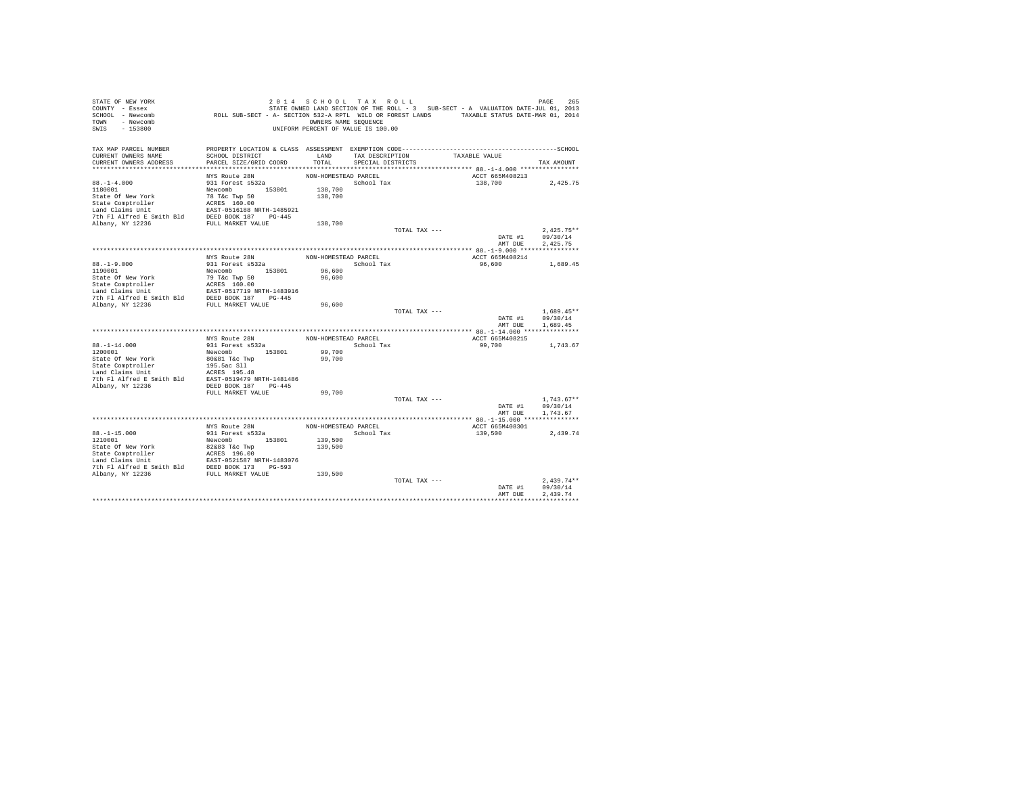| STATE OF NEW YORK           |                                                                                                                                                                                                                                                    | 2014 SCHOOL TAX ROLL               |                         |                 |                 | 265<br>PAGE      |
|-----------------------------|----------------------------------------------------------------------------------------------------------------------------------------------------------------------------------------------------------------------------------------------------|------------------------------------|-------------------------|-----------------|-----------------|------------------|
| COUNTY - Essex              | STATE OWNED LAND SECTION OF THE ROLL - 3 SUB-SECT - A VALUATION DATE-JUL 01, 2013<br>ROLL SUB-SECT - A- SECTION 532-A RPTL WILD OR FOREST LANDS TAXABLE STATUS DATE-MAR 01, 2014                                                                   |                                    |                         |                 |                 |                  |
| SCHOOL - Newcomb            |                                                                                                                                                                                                                                                    |                                    |                         |                 |                 |                  |
| TOWN - Newcomb              |                                                                                                                                                                                                                                                    | OWNERS NAME SEQUENCE               |                         |                 |                 |                  |
| SWIS<br>$-153800$           |                                                                                                                                                                                                                                                    | UNIFORM PERCENT OF VALUE IS 100.00 |                         |                 |                 |                  |
|                             |                                                                                                                                                                                                                                                    |                                    |                         |                 |                 |                  |
| TAX MAP PARCEL NUMBER       |                                                                                                                                                                                                                                                    |                                    |                         |                 |                 |                  |
| CURRENT OWNERS NAME         | SCHOOL DISTRICT                                                                                                                                                                                                                                    | LAND                               |                         | TAX DESCRIPTION | TAXABLE VALUE   |                  |
| CURRENT OWNERS ADDRESS      | PARCEL SIZE/GRID COORD                                                                                                                                                                                                                             |                                    | TOTAL SPECIAL DISTRICTS |                 |                 | TAX AMOUNT       |
|                             |                                                                                                                                                                                                                                                    |                                    |                         |                 |                 |                  |
|                             | NYS Route 28N                                                                                                                                                                                                                                      | NON-HOMESTEAD PARCEL               |                         |                 | ACCT 665M408213 |                  |
| $88. - 1 - 4.000$           | 931 Forest s532a                                                                                                                                                                                                                                   |                                    | School Tax              |                 | 138,700         | 2,425.75         |
|                             |                                                                                                                                                                                                                                                    | 138,700                            |                         |                 |                 |                  |
|                             |                                                                                                                                                                                                                                                    | 138,700                            |                         |                 |                 |                  |
|                             |                                                                                                                                                                                                                                                    |                                    |                         |                 |                 |                  |
|                             |                                                                                                                                                                                                                                                    |                                    |                         |                 |                 |                  |
|                             |                                                                                                                                                                                                                                                    |                                    |                         |                 |                 |                  |
|                             |                                                                                                                                                                                                                                                    | 138,700                            |                         |                 |                 |                  |
|                             |                                                                                                                                                                                                                                                    |                                    |                         | TOTAL TAX ---   |                 | $2.425.75**$     |
|                             |                                                                                                                                                                                                                                                    |                                    |                         |                 |                 | DATE #1 09/30/14 |
|                             |                                                                                                                                                                                                                                                    |                                    |                         |                 |                 | AMT DUE 2.425.75 |
|                             |                                                                                                                                                                                                                                                    |                                    |                         |                 |                 |                  |
|                             |                                                                                                                                                                                                                                                    | NON-HOMESTEAD PARCEL               |                         |                 | ACCT 665M408214 |                  |
|                             | NYS Route 28N<br>931 Forest s532a                                                                                                                                                                                                                  |                                    | School Tax              |                 | 96,600 1,689.45 |                  |
| $88. -1 - 9.000$<br>1190001 | Newcomb 153801                                                                                                                                                                                                                                     | 96,600                             |                         |                 |                 |                  |
|                             |                                                                                                                                                                                                                                                    | 96,600                             |                         |                 |                 |                  |
|                             |                                                                                                                                                                                                                                                    |                                    |                         |                 |                 |                  |
|                             |                                                                                                                                                                                                                                                    |                                    |                         |                 |                 |                  |
|                             |                                                                                                                                                                                                                                                    |                                    |                         |                 |                 |                  |
| Albany, NY 12236            | FULL MARKET VALUE                                                                                                                                                                                                                                  | 96,600                             |                         |                 |                 |                  |
|                             |                                                                                                                                                                                                                                                    |                                    |                         | TOTAL TAX ---   |                 | $1.689.45**$     |
|                             |                                                                                                                                                                                                                                                    |                                    |                         |                 |                 | DATE #1 09/30/14 |
|                             |                                                                                                                                                                                                                                                    |                                    |                         |                 | AMT DUE         | 1,689.45         |
|                             |                                                                                                                                                                                                                                                    |                                    |                         |                 |                 |                  |
|                             | NYS Route 28N                                                                                                                                                                                                                                      | NON-HOMESTEAD PARCEL               |                         |                 | ACCT 665M408215 |                  |
| $88. - 1 - 14.000$          |                                                                                                                                                                                                                                                    |                                    | School Tax              |                 | 99,700          | 1,743.67         |
| 1200001                     | 931 Forest s532a<br>Newcomb 153801                                                                                                                                                                                                                 | 99,700                             |                         |                 |                 |                  |
| State Of New York           |                                                                                                                                                                                                                                                    | 99,700                             |                         |                 |                 |                  |
|                             | 80&81 T&c Twp                                                                                                                                                                                                                                      |                                    |                         |                 |                 |                  |
|                             |                                                                                                                                                                                                                                                    |                                    |                         |                 |                 |                  |
|                             |                                                                                                                                                                                                                                                    |                                    |                         |                 |                 |                  |
|                             | State Comptroller (195.5ac S11)<br>Land Claims Unit (195.5ac S11)<br>Tand Claims Unit (195.48)<br>7th F1 Alfred E Smith Bld (2019)<br>2021 (197.445 (2019)<br>2021 (197.445 (2019)                                                                 |                                    |                         |                 |                 |                  |
|                             | FULL MARKET VALUE                                                                                                                                                                                                                                  | 99,700                             |                         |                 |                 |                  |
|                             |                                                                                                                                                                                                                                                    |                                    |                         | TOTAL TAX ---   |                 | $1,743.67**$     |
|                             |                                                                                                                                                                                                                                                    |                                    |                         |                 | DATE #1         | 09/30/14         |
|                             |                                                                                                                                                                                                                                                    |                                    |                         |                 | AMT DUE         | 1,743.67         |
|                             |                                                                                                                                                                                                                                                    |                                    |                         |                 |                 |                  |
|                             | NYS Route 28N                                                                                                                                                                                                                                      | NON-HOMESTEAD PARCEL               |                         |                 | ACCT 665M408301 |                  |
| $88. -1 - 15.000$           |                                                                                                                                                                                                                                                    |                                    | School Tax              |                 |                 |                  |
|                             | 931 Forest s532a<br>Newcomb 153801                                                                                                                                                                                                                 |                                    |                         |                 | 139,500         | 2,439.74         |
| 1210001                     |                                                                                                                                                                                                                                                    | 139,500                            |                         |                 |                 |                  |
|                             |                                                                                                                                                                                                                                                    | 139,500                            |                         |                 |                 |                  |
|                             |                                                                                                                                                                                                                                                    |                                    |                         |                 |                 |                  |
|                             |                                                                                                                                                                                                                                                    |                                    |                         |                 |                 |                  |
|                             | State of New York (2008)<br>State Comptroller (2008)<br>State Comptroller (2008)<br>State Comptroller (2008)<br>EXEC 1991 AIRTH-1483076<br>The Plaired E Smith Bld (2008)<br>2008 IV (2008)<br>2008 (2008)<br>2008 (2008)<br>2008 (2008)<br>2008 F |                                    |                         |                 |                 |                  |
|                             |                                                                                                                                                                                                                                                    | 139,500                            |                         |                 |                 |                  |
|                             |                                                                                                                                                                                                                                                    |                                    |                         | TOTAL TAX ---   |                 | $2.439.74**$     |
|                             |                                                                                                                                                                                                                                                    |                                    |                         |                 | DATE #1         | 09/30/14         |
|                             |                                                                                                                                                                                                                                                    |                                    |                         |                 | AMT DUE         | 2.439.74         |
|                             |                                                                                                                                                                                                                                                    |                                    |                         |                 |                 |                  |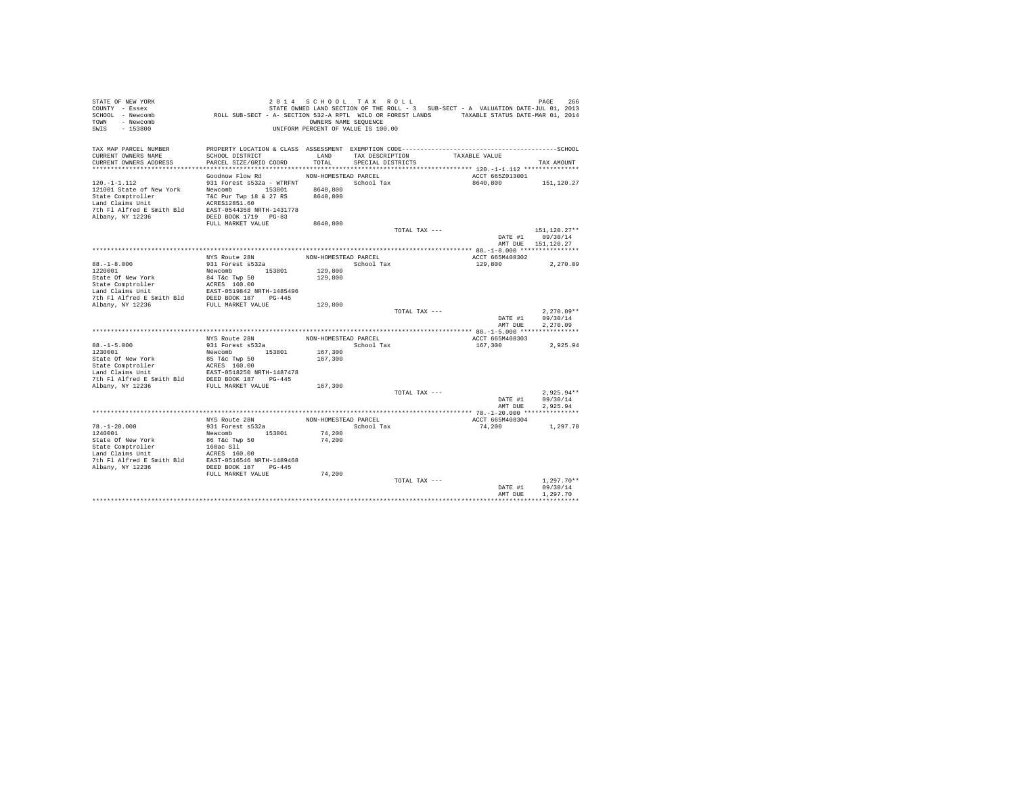| STATE OF NEW YORK         |                                                                                                                                                                                                          | 2014 SCHOOL TAX ROLL               |                   |                 |                                                                                   | PAGE<br>266        |
|---------------------------|----------------------------------------------------------------------------------------------------------------------------------------------------------------------------------------------------------|------------------------------------|-------------------|-----------------|-----------------------------------------------------------------------------------|--------------------|
| COUNTY - Essex            |                                                                                                                                                                                                          |                                    |                   |                 | STATE OWNED LAND SECTION OF THE ROLL - 3 SUB-SECT - A VALUATION DATE-JUL 01, 2013 |                    |
| SCHOOL - Newcomb          | ROLL SUB-SECT - A- SECTION 532-A RPTL WILD OR FOREST LANDS TAXABLE STATUS DATE-MAR 01, 2014                                                                                                              |                                    |                   |                 |                                                                                   |                    |
| TOWN - Newcomb            |                                                                                                                                                                                                          | OWNERS NAME SEQUENCE               |                   |                 |                                                                                   |                    |
| SWIS<br>$-153800$         |                                                                                                                                                                                                          | UNIFORM PERCENT OF VALUE IS 100.00 |                   |                 |                                                                                   |                    |
|                           |                                                                                                                                                                                                          |                                    |                   |                 |                                                                                   |                    |
| TAX MAP PARCEL NUMBER     |                                                                                                                                                                                                          |                                    |                   |                 |                                                                                   |                    |
| CURRENT OWNERS NAME       | SCHOOL DISTRICT                                                                                                                                                                                          | LAND                               |                   | TAX DESCRIPTION | TAXABLE VALUE                                                                     |                    |
| CURRENT OWNERS ADDRESS    | PARCEL SIZE/GRID COORD                                                                                                                                                                                   | TOTAL                              | SPECIAL DISTRICTS |                 |                                                                                   | TAX AMOUNT         |
|                           |                                                                                                                                                                                                          |                                    |                   |                 |                                                                                   |                    |
|                           |                                                                                                                                                                                                          |                                    |                   |                 | ACCT 665Z013001                                                                   |                    |
|                           | Goodnow Flow Rd                                                                                                                                                                                          | NON-HOMESTEAD PARCEL               |                   |                 |                                                                                   |                    |
| $120. -1 - 1.112$         | 931 Forest s532a - WTRFNT                                                                                                                                                                                | School Tax                         |                   |                 | 8640,800                                                                          | 151,120.27         |
| 121001 State of New York  | Newcomb 153801                                                                                                                                                                                           | 8640,800                           |                   |                 |                                                                                   |                    |
| State Comptroller         | T&C Pur Twp 18 & 27 RS                                                                                                                                                                                   | 8640,800                           |                   |                 |                                                                                   |                    |
| Land Claims Unit          | ACRES12851.60                                                                                                                                                                                            |                                    |                   |                 |                                                                                   |                    |
| 7th Fl Alfred E Smith Bld | EAST-0544358 NRTH-1431778                                                                                                                                                                                |                                    |                   |                 |                                                                                   |                    |
| Albany, NY 12236          | DEED BOOK 1719 PG-83                                                                                                                                                                                     |                                    |                   |                 |                                                                                   |                    |
|                           | FULL MARKET VALUE                                                                                                                                                                                        | 8640,800                           |                   |                 |                                                                                   |                    |
|                           |                                                                                                                                                                                                          |                                    |                   | TOTAL TAX ---   |                                                                                   | 151,120.27**       |
|                           |                                                                                                                                                                                                          |                                    |                   |                 |                                                                                   | DATE #1 09/30/14   |
|                           |                                                                                                                                                                                                          |                                    |                   |                 |                                                                                   | AMT DUE 151.120.27 |
|                           |                                                                                                                                                                                                          |                                    |                   |                 |                                                                                   |                    |
|                           | NYS Route 28N                                                                                                                                                                                            | NON-HOMESTEAD PARCEL               |                   |                 | ACCT 665M408302                                                                   |                    |
| $88. -1 - 8.000$          | 931 Forest s532a                                                                                                                                                                                         |                                    | School Tax        |                 | 129,800                                                                           | 2,270.09           |
| 1220001                   | Newcomb 153801                                                                                                                                                                                           | 129,800                            |                   |                 |                                                                                   |                    |
|                           |                                                                                                                                                                                                          | 129,800                            |                   |                 |                                                                                   |                    |
|                           |                                                                                                                                                                                                          |                                    |                   |                 |                                                                                   |                    |
|                           |                                                                                                                                                                                                          |                                    |                   |                 |                                                                                   |                    |
|                           |                                                                                                                                                                                                          |                                    |                   |                 |                                                                                   |                    |
| Albany, NY 12236          | FULL MARKET VALUE                                                                                                                                                                                        | 129,800                            |                   |                 |                                                                                   |                    |
|                           |                                                                                                                                                                                                          |                                    |                   | TOTAL TAX ---   |                                                                                   | $2.270.09**$       |
|                           |                                                                                                                                                                                                          |                                    |                   |                 | DATE #1                                                                           | 09/30/14           |
|                           |                                                                                                                                                                                                          |                                    |                   |                 | AMT DUE                                                                           | 2.270.09           |
|                           |                                                                                                                                                                                                          |                                    |                   |                 |                                                                                   |                    |
|                           | NYS Route 28N                                                                                                                                                                                            | NON-HOMESTEAD PARCEL               |                   |                 | ACCT 665M408303                                                                   |                    |
| $88. - 1 - 5.000$         | 931 Forest s532a                                                                                                                                                                                         |                                    | School Tax        |                 | 167,300                                                                           | 2.925.94           |
| 1230001                   | Newcomb 153801                                                                                                                                                                                           | 167,300                            |                   |                 |                                                                                   |                    |
| State Of New York         | 85 T&c Twp 50                                                                                                                                                                                            | 167,300                            |                   |                 |                                                                                   |                    |
|                           |                                                                                                                                                                                                          |                                    |                   |                 |                                                                                   |                    |
|                           |                                                                                                                                                                                                          |                                    |                   |                 |                                                                                   |                    |
|                           |                                                                                                                                                                                                          |                                    |                   |                 |                                                                                   |                    |
|                           | State Comptroller Package 160.00<br>Land Claims Unit EAST-0518250 NRTH-1487478<br>7th Fl Alfred E Smith Bld<br>2DEED BOOK 187<br>2DEED BOOK 187<br>2DEED BOOK 187<br>2DEED BOOK 187<br>FULL MARKET VALUE | 167,300                            |                   |                 |                                                                                   |                    |
|                           |                                                                                                                                                                                                          |                                    |                   | TOTAL TAX ---   |                                                                                   | $2,925.94**$       |
|                           |                                                                                                                                                                                                          |                                    |                   |                 | DATE #1                                                                           | 09/30/14           |
|                           |                                                                                                                                                                                                          |                                    |                   |                 | AMT DUE                                                                           | 2,925.94           |
|                           |                                                                                                                                                                                                          |                                    |                   |                 |                                                                                   |                    |
|                           | NYS Route 28N                                                                                                                                                                                            | NON-HOMESTEAD PARCEL               |                   |                 | ACCT 665M408304                                                                   |                    |
| $78. - 1 - 20.000$        | 931 Forest s532a                                                                                                                                                                                         |                                    | School Tax        |                 | 74,200                                                                            | 1,297.70           |
| 1240001                   | Newcomb 153801                                                                                                                                                                                           | 74,200                             |                   |                 |                                                                                   |                    |
|                           |                                                                                                                                                                                                          |                                    |                   |                 |                                                                                   |                    |
| State Of New York         | 86 T&c Twp 50<br>160ac Sll                                                                                                                                                                               | 74,200                             |                   |                 |                                                                                   |                    |
| State Comptroller         |                                                                                                                                                                                                          |                                    |                   |                 |                                                                                   |                    |
| Land Claims Unit          | ACRES 160.00                                                                                                                                                                                             |                                    |                   |                 |                                                                                   |                    |
| 7th Fl Alfred E Smith Bld | EAST-0516546 NRTH-1489468                                                                                                                                                                                |                                    |                   |                 |                                                                                   |                    |
| Albany, NY 12236          | DEED BOOK 187 PG-445                                                                                                                                                                                     |                                    |                   |                 |                                                                                   |                    |
|                           | FULL MARKET VALUE                                                                                                                                                                                        | 74,200                             |                   |                 |                                                                                   |                    |
|                           |                                                                                                                                                                                                          |                                    |                   | TOTAL TAX ---   |                                                                                   | $1.297.70**$       |
|                           |                                                                                                                                                                                                          |                                    |                   |                 | DATE #1                                                                           | 09/30/14           |
|                           |                                                                                                                                                                                                          |                                    |                   |                 | AMT DUE                                                                           | 1,297.70           |
|                           |                                                                                                                                                                                                          |                                    |                   |                 |                                                                                   |                    |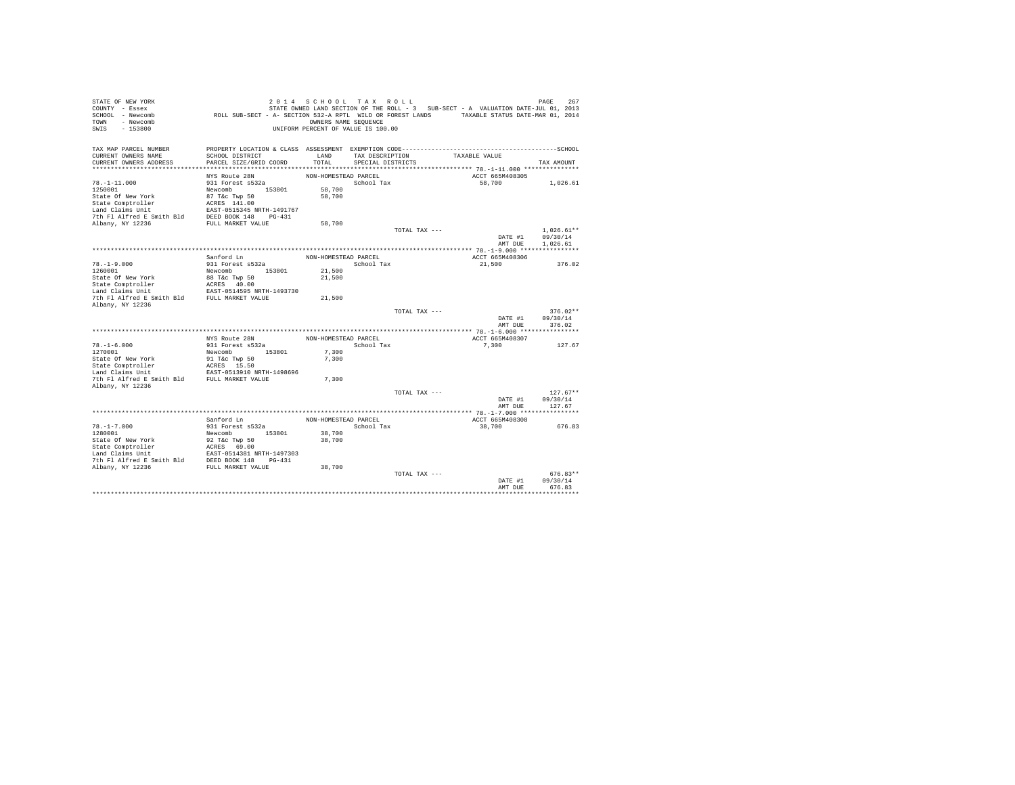| STATE OF NEW YORK<br>COUNTY - Essex                                                                                                             |                                                                                             | 2014 SCHOOL TAX ROLL               |                   |               | STATE OWNED LAND SECTION OF THE ROLL - 3 SUB-SECT - A VALUATION DATE-JUL 01, 2013 | PAGE<br>267              |
|-------------------------------------------------------------------------------------------------------------------------------------------------|---------------------------------------------------------------------------------------------|------------------------------------|-------------------|---------------|-----------------------------------------------------------------------------------|--------------------------|
| SCHOOL - Newcomb                                                                                                                                | ROLL SUB-SECT - A- SECTION 532-A RPTL WILD OR FOREST LANDS TAXABLE STATUS DATE-MAR 01, 2014 |                                    |                   |               |                                                                                   |                          |
| TOWN - Newcomb                                                                                                                                  |                                                                                             | OWNERS NAME SEQUENCE               |                   |               |                                                                                   |                          |
| $-153800$<br>SWIS                                                                                                                               |                                                                                             | UNIFORM PERCENT OF VALUE IS 100.00 |                   |               |                                                                                   |                          |
| TAX MAP PARCEL NUMBER                                                                                                                           |                                                                                             |                                    |                   |               |                                                                                   |                          |
| CURRENT OWNERS NAME                                                                                                                             | SCHOOL DISTRICT                                                                             | LAND                               | TAX DESCRIPTION   |               | TAXABLE VALUE                                                                     |                          |
| CURRENT OWNERS ADDRESS                                                                                                                          | PARCEL SIZE/GRID COORD                                                                      | TOTAL                              | SPECIAL DISTRICTS |               |                                                                                   | TAX AMOUNT               |
|                                                                                                                                                 |                                                                                             |                                    |                   |               |                                                                                   |                          |
|                                                                                                                                                 | NYS Route 28N                                                                               | NON-HOMESTEAD PARCEL               |                   |               | ACCT 665M408305                                                                   |                          |
| $78. - 1 - 11.000$                                                                                                                              | 931 Forest s532a                                                                            |                                    | School Tax        |               | 58,700                                                                            | 1,026.61                 |
| 1250001                                                                                                                                         | Newcomb 153801                                                                              | 58,700                             |                   |               |                                                                                   |                          |
| State Of New York                                                                                                                               | 87 T&c Twp 50                                                                               | 58,700                             |                   |               |                                                                                   |                          |
| State Comptroller                                                                                                                               | ACRES 141.00                                                                                |                                    |                   |               |                                                                                   |                          |
| Land Claims Unit                                                                                                                                | EAST-0515345 NRTH-1491767                                                                   |                                    |                   |               |                                                                                   |                          |
| 7th Fl Alfred E Smith Bld                                                                                                                       | DEED BOOK 148 PG-431                                                                        |                                    |                   |               |                                                                                   |                          |
| Albany, NY 12236                                                                                                                                | FULL MARKET VALUE                                                                           | 58,700                             |                   |               |                                                                                   |                          |
|                                                                                                                                                 |                                                                                             |                                    |                   | TOTAL TAX --- |                                                                                   | $1.026.61**$<br>09/30/14 |
|                                                                                                                                                 |                                                                                             |                                    |                   |               | DATE #1<br>AMT DUE                                                                | 1,026.61                 |
|                                                                                                                                                 |                                                                                             |                                    |                   |               |                                                                                   |                          |
|                                                                                                                                                 | Sanford Ln                                                                                  | NON-HOMESTEAD PARCEL               |                   |               | ACCT 665M408306                                                                   |                          |
| $78. - 1 - 9.000$                                                                                                                               | 931 Forest s532a                                                                            |                                    | School Tax        |               | 21,500                                                                            | 376.02                   |
| 1260001                                                                                                                                         | Newcomb 153801                                                                              | 21,500                             |                   |               |                                                                                   |                          |
| State Of New York                                                                                                                               | 88 T&c Twp 50                                                                               | 21,500                             |                   |               |                                                                                   |                          |
| State Comptroller                                                                                                                               | ACRES 40.00                                                                                 |                                    |                   |               |                                                                                   |                          |
| Land Claims Unit                                                                                                                                | EAST-0514595 NRTH-1493730                                                                   |                                    |                   |               |                                                                                   |                          |
| 7th Fl Alfred E Smith Bld                                                                                                                       | FULL MARKET VALUE                                                                           | 21,500                             |                   |               |                                                                                   |                          |
| Albany, NY 12236                                                                                                                                |                                                                                             |                                    |                   |               |                                                                                   |                          |
|                                                                                                                                                 |                                                                                             |                                    |                   | TOTAL TAX --- |                                                                                   | $376.02**$               |
|                                                                                                                                                 |                                                                                             |                                    |                   |               | DATE #1                                                                           | 09/30/14                 |
|                                                                                                                                                 |                                                                                             |                                    |                   |               | AMT DUE                                                                           | 376.02                   |
|                                                                                                                                                 | NYS Route 28N                                                                               | NON-HOMESTEAD PARCEL               |                   |               | ACCT 665M408307                                                                   |                          |
| $78. - 1 - 6.000$                                                                                                                               | 931 Forest s532a                                                                            |                                    | School Tax        |               | 7,300                                                                             | 127.67                   |
| 1270001                                                                                                                                         | 153801<br>Newcomb                                                                           | 7.300                              |                   |               |                                                                                   |                          |
| State Of New York                                                                                                                               | 91 T&c Twp 50                                                                               | 7.300                              |                   |               |                                                                                   |                          |
| State Comptroller                                                                                                                               | ACRES 15.50                                                                                 |                                    |                   |               |                                                                                   |                          |
| Land Claims Unit                                                                                                                                | EAST-0513910 NRTH-1498696                                                                   |                                    |                   |               |                                                                                   |                          |
| 7th Fl Alfred E Smith Bld FULL MARKET VALUE                                                                                                     |                                                                                             | 7.300                              |                   |               |                                                                                   |                          |
| Albany, NY 12236                                                                                                                                |                                                                                             |                                    |                   |               |                                                                                   |                          |
|                                                                                                                                                 |                                                                                             |                                    |                   | TOTAL TAX --- |                                                                                   | $127.67**$               |
|                                                                                                                                                 |                                                                                             |                                    |                   |               | DATE #1                                                                           | 09/30/14                 |
|                                                                                                                                                 |                                                                                             |                                    |                   |               | AMT DUE                                                                           | 127.67                   |
|                                                                                                                                                 |                                                                                             |                                    |                   |               |                                                                                   |                          |
|                                                                                                                                                 | Sanford Ln                                                                                  | NON-HOMESTEAD PARCEL               |                   |               | ACCT 665M408308                                                                   |                          |
| $78. - 1 - 7.000$<br>1280001                                                                                                                    | 931 Forest s532a<br>Newcomb 153801                                                          | 38,700                             | School Tax        |               | 38,700                                                                            | 676.83                   |
| State Of New York                                                                                                                               | 92 T&c Twp 50                                                                               | 38,700                             |                   |               |                                                                                   |                          |
| State Comptroller                                                                                                                               |                                                                                             |                                    |                   |               |                                                                                   |                          |
|                                                                                                                                                 |                                                                                             |                                    |                   |               |                                                                                   |                          |
| State Comptroller<br>Land Claims Unit<br>The F1 Alfred E Smith Bld<br>DEED BOOK 148 PG-431<br>The F1 Alfred E Smith Bld<br>DEED BOOK 148 PG-431 |                                                                                             |                                    |                   |               |                                                                                   |                          |
| Albany, NY 12236                                                                                                                                | FULL MARKET VALUE                                                                           | 38,700                             |                   |               |                                                                                   |                          |
|                                                                                                                                                 |                                                                                             |                                    |                   | TOTAL TAX --- |                                                                                   | $676.83**$               |
|                                                                                                                                                 |                                                                                             |                                    |                   |               | DATE #1                                                                           | 09/30/14                 |
|                                                                                                                                                 |                                                                                             |                                    |                   |               | AMT DUE                                                                           | 676.83                   |
|                                                                                                                                                 |                                                                                             |                                    |                   |               |                                                                                   |                          |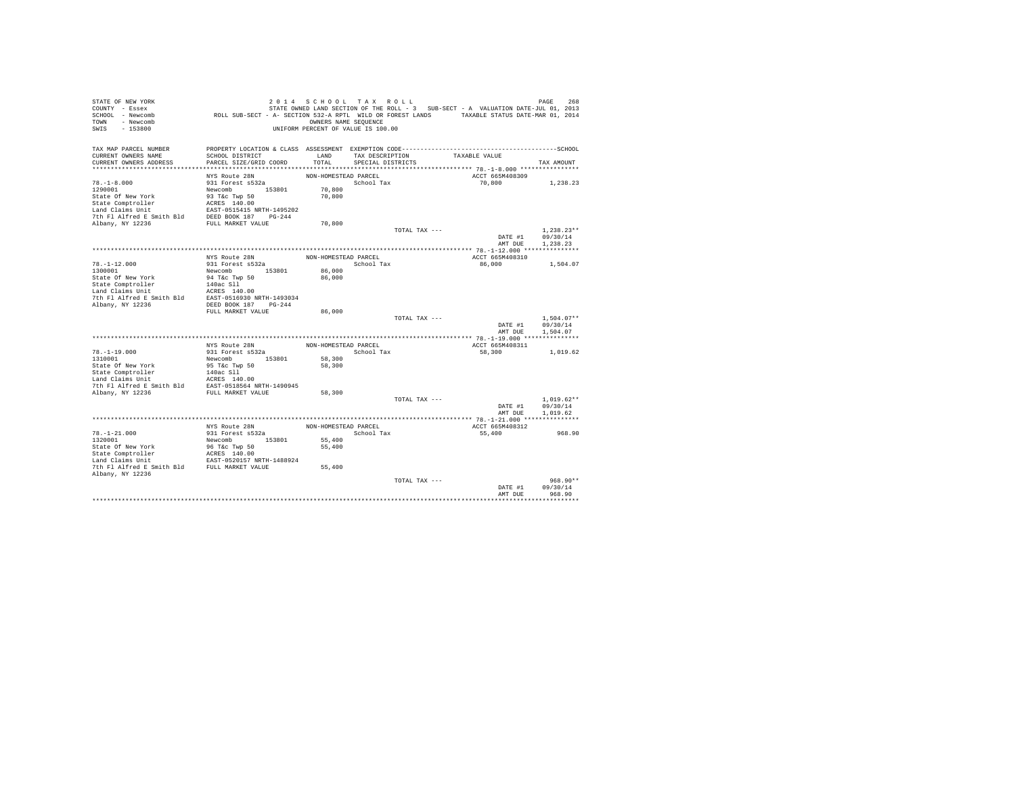| STATE OF NEW YORK                                                                                                                                                                                                                        |                                                                                             | 2014 SCHOOL TAX ROLL               |                   |               | STATE OWNED LAND SECTION OF THE ROLL - 3 SUB-SECT - A VALUATION DATE-JUL 01, 2013 | PAGE<br>268                  |
|------------------------------------------------------------------------------------------------------------------------------------------------------------------------------------------------------------------------------------------|---------------------------------------------------------------------------------------------|------------------------------------|-------------------|---------------|-----------------------------------------------------------------------------------|------------------------------|
| COUNTY - Essex<br>SCHOOL - Newcomb                                                                                                                                                                                                       | ROLL SUB-SECT - A- SECTION 532-A RPTL WILD OR FOREST LANDS TAXABLE STATUS DATE-MAR 01, 2014 |                                    |                   |               |                                                                                   |                              |
| TOWN - Newcomb                                                                                                                                                                                                                           |                                                                                             | OWNERS NAME SEQUENCE               |                   |               |                                                                                   |                              |
| SWIS<br>$-153800$                                                                                                                                                                                                                        |                                                                                             | UNIFORM PERCENT OF VALUE IS 100.00 |                   |               |                                                                                   |                              |
|                                                                                                                                                                                                                                          |                                                                                             |                                    |                   |               |                                                                                   |                              |
| TAX MAP PARCEL NUMBER                                                                                                                                                                                                                    |                                                                                             |                                    |                   |               |                                                                                   |                              |
| CURRENT OWNERS NAME                                                                                                                                                                                                                      | SCHOOL DISTRICT                                                                             | LAND                               | TAX DESCRIPTION   |               | TAXABLE VALUE                                                                     |                              |
| CURRENT OWNERS ADDRESS                                                                                                                                                                                                                   | PARCEL SIZE/GRID COORD                                                                      | TOTAL                              | SPECIAL DISTRICTS |               |                                                                                   | TAX AMOUNT                   |
|                                                                                                                                                                                                                                          |                                                                                             |                                    |                   |               |                                                                                   |                              |
|                                                                                                                                                                                                                                          | NYS Route 28N                                                                               | NON-HOMESTEAD PARCEL               |                   |               | ACCT 665M408309                                                                   |                              |
| $78. - 1 - 8.000$                                                                                                                                                                                                                        | 931 Forest s532a                                                                            |                                    | School Tax        |               | 70,800                                                                            | 1,238.23                     |
| 1290001                                                                                                                                                                                                                                  | Newcomb 153801<br>93 T&c Twp 50                                                             | 70,800                             |                   |               |                                                                                   |                              |
| State Of New York                                                                                                                                                                                                                        |                                                                                             | 70,800                             |                   |               |                                                                                   |                              |
| State Comptroller Package 140.00<br>Land Claims Unit EAST-0515415 NRTH-1495202<br>7th F1 Alfred E Smith Bld DEED BOOK 187<br>7th F1 Alfred E Smith Bld DEED BOOK 187<br>2h<br>Albany, NY 12236                                           |                                                                                             |                                    |                   |               |                                                                                   |                              |
|                                                                                                                                                                                                                                          |                                                                                             |                                    |                   |               |                                                                                   |                              |
|                                                                                                                                                                                                                                          |                                                                                             |                                    |                   |               |                                                                                   |                              |
|                                                                                                                                                                                                                                          |                                                                                             | 70,800                             |                   |               |                                                                                   |                              |
|                                                                                                                                                                                                                                          |                                                                                             |                                    |                   | TOTAL TAX --- |                                                                                   | $1.238.23**$                 |
|                                                                                                                                                                                                                                          |                                                                                             |                                    |                   |               | AMT DUE                                                                           | DATE #1 09/30/14<br>1,238.23 |
|                                                                                                                                                                                                                                          |                                                                                             |                                    |                   |               |                                                                                   |                              |
|                                                                                                                                                                                                                                          |                                                                                             | NON-HOMESTEAD PARCEL               |                   |               | ACCT 665M408310                                                                   |                              |
| $78. -1 - 12.000$                                                                                                                                                                                                                        | NYS Route 28N<br>931 Forest s532a                                                           |                                    | School Tax        |               | 86,000                                                                            | 1,504.07                     |
|                                                                                                                                                                                                                                          |                                                                                             | 86,000                             |                   |               |                                                                                   |                              |
|                                                                                                                                                                                                                                          |                                                                                             | 86,000                             |                   |               |                                                                                   |                              |
|                                                                                                                                                                                                                                          |                                                                                             |                                    |                   |               |                                                                                   |                              |
|                                                                                                                                                                                                                                          |                                                                                             |                                    |                   |               |                                                                                   |                              |
|                                                                                                                                                                                                                                          |                                                                                             |                                    |                   |               |                                                                                   |                              |
| Albany, NY 12236                                                                                                                                                                                                                         | DEED BOOK 187 PG-244                                                                        |                                    |                   |               |                                                                                   |                              |
|                                                                                                                                                                                                                                          | FULL MARKET VALUE                                                                           | 86,000                             |                   |               |                                                                                   |                              |
|                                                                                                                                                                                                                                          |                                                                                             |                                    |                   | TOTAL TAX --- |                                                                                   | $1.504.07**$                 |
|                                                                                                                                                                                                                                          |                                                                                             |                                    |                   |               |                                                                                   | DATE #1 09/30/14             |
|                                                                                                                                                                                                                                          |                                                                                             |                                    |                   |               | AMT DUE                                                                           | 1,504.07                     |
|                                                                                                                                                                                                                                          |                                                                                             |                                    |                   |               |                                                                                   |                              |
|                                                                                                                                                                                                                                          | NYS Route 28N                                                                               | NON-HOMESTEAD PARCEL               |                   |               | ACCT 665M408311                                                                   |                              |
| $78. -1 - 19.000$                                                                                                                                                                                                                        | 931 Forest s532a                                                                            |                                    | School Tax        |               | 58,300                                                                            | 1,019.62                     |
| 1310001                                                                                                                                                                                                                                  | Newcomb 153801                                                                              | 58,300                             |                   |               |                                                                                   |                              |
|                                                                                                                                                                                                                                          |                                                                                             | 58,300                             |                   |               |                                                                                   |                              |
|                                                                                                                                                                                                                                          |                                                                                             |                                    |                   |               |                                                                                   |                              |
|                                                                                                                                                                                                                                          |                                                                                             |                                    |                   |               |                                                                                   |                              |
| State Of New York (SITE TWP 50<br>State Comptroller (SITE 140ac SI1<br>State Comptroller (SITE 140ac SI1<br>Land Claims Unit (SITE 1405 140.00)<br>7th Pl Alfred E Smith Bld EAST-0518564 NRTH-1490945<br>7th Pl Alfred E SMith Bld EAST |                                                                                             | 58,300                             |                   |               |                                                                                   |                              |
|                                                                                                                                                                                                                                          |                                                                                             |                                    |                   | TOTAL TAX --- |                                                                                   | $1,019.62**$                 |
|                                                                                                                                                                                                                                          |                                                                                             |                                    |                   |               | DATE #1                                                                           | 09/30/14                     |
|                                                                                                                                                                                                                                          |                                                                                             |                                    |                   |               | AMT DUE                                                                           | 1,019.62                     |
|                                                                                                                                                                                                                                          |                                                                                             |                                    |                   |               |                                                                                   |                              |
|                                                                                                                                                                                                                                          | NYS Route 28N                                                                               | NON-HOMESTEAD PARCEL               |                   |               | ACCT 665M408312                                                                   |                              |
| $78. - 1 - 21.000$                                                                                                                                                                                                                       | 931 Forest s532a                                                                            |                                    | School Tax        |               | 55,400                                                                            | 968.90                       |
| 1320001                                                                                                                                                                                                                                  | Newcomb 153801                                                                              | 55,400                             |                   |               |                                                                                   |                              |
|                                                                                                                                                                                                                                          |                                                                                             | 55,400                             |                   |               |                                                                                   |                              |
| State Of New York and So Tac Twp 50<br>State Comptroller and CRESS 140.00<br>Land Claims Unit EAST-0520157 NRTH-1488924<br>The F1 Alfred E Smith Bld FULL MARKET VALUE                                                                   |                                                                                             |                                    |                   |               |                                                                                   |                              |
|                                                                                                                                                                                                                                          |                                                                                             |                                    |                   |               |                                                                                   |                              |
|                                                                                                                                                                                                                                          |                                                                                             | 55,400                             |                   |               |                                                                                   |                              |
| Albany, NY 12236                                                                                                                                                                                                                         |                                                                                             |                                    |                   |               |                                                                                   |                              |
|                                                                                                                                                                                                                                          |                                                                                             |                                    |                   | TOTAL TAX --- |                                                                                   | 968.90**                     |
|                                                                                                                                                                                                                                          |                                                                                             |                                    |                   |               | DATE #1                                                                           | 09/30/14<br>968.90           |
|                                                                                                                                                                                                                                          |                                                                                             |                                    |                   |               | AMT DUE                                                                           |                              |
|                                                                                                                                                                                                                                          |                                                                                             |                                    |                   |               |                                                                                   |                              |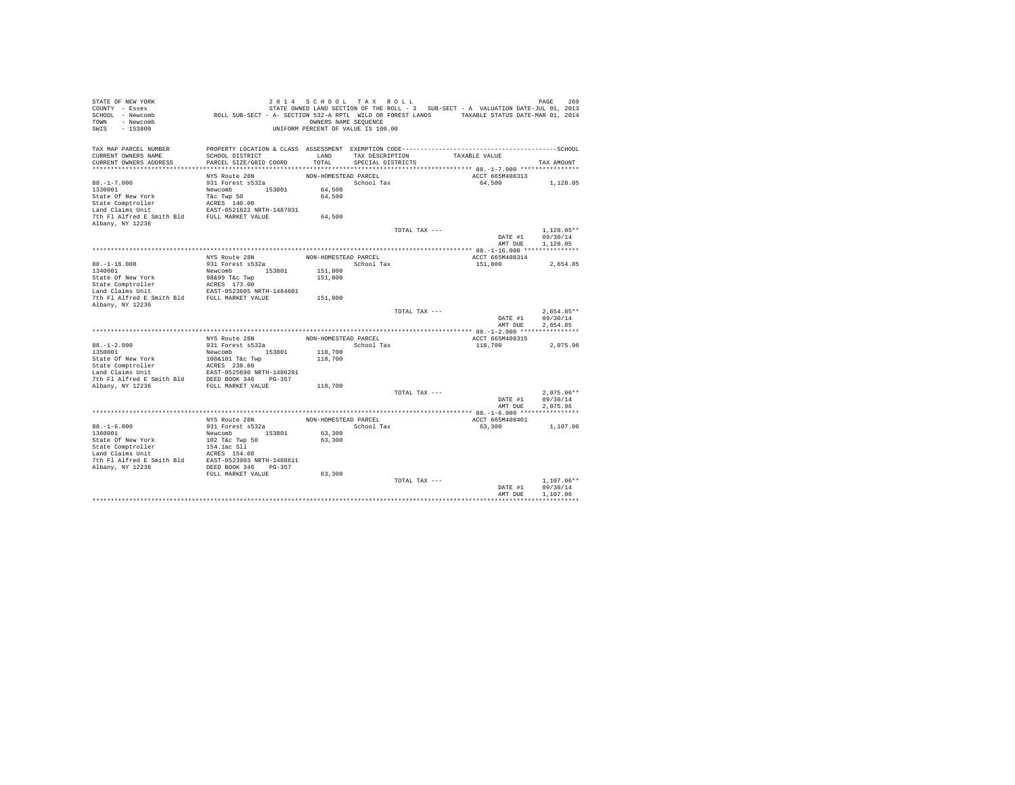| STATE OF NEW YORK                              |                                                                                             | 2014 SCHOOL TAX ROLL               |                   |               |                                                                                   | PAGE<br>269  |
|------------------------------------------------|---------------------------------------------------------------------------------------------|------------------------------------|-------------------|---------------|-----------------------------------------------------------------------------------|--------------|
| COUNTY - Essex                                 |                                                                                             |                                    |                   |               | STATE OWNED LAND SECTION OF THE ROLL - 3 SUB-SECT - A VALUATION DATE-JUL 01, 2013 |              |
| SCHOOL - Newcomb                               | ROLL SUB-SECT - A- SECTION 532-A RPTL WILD OR FOREST LANDS TAXABLE STATUS DATE-MAR 01, 2014 |                                    |                   |               |                                                                                   |              |
| TOWN - Newcomb                                 |                                                                                             | OWNERS NAME SEQUENCE               |                   |               |                                                                                   |              |
| SWIS<br>$-153800$                              |                                                                                             | UNIFORM PERCENT OF VALUE IS 100.00 |                   |               |                                                                                   |              |
|                                                |                                                                                             |                                    |                   |               |                                                                                   |              |
|                                                |                                                                                             |                                    |                   |               |                                                                                   |              |
| TAX MAP PARCEL NUMBER<br>CURRENT OWNERS NAME   | SCHOOL DISTRICT                                                                             | LAND                               |                   |               | TAXABLE VALUE                                                                     |              |
|                                                |                                                                                             |                                    | TAX DESCRIPTION   |               |                                                                                   |              |
| CURRENT OWNERS ADDRESS                         | PARCEL SIZE/GRID COORD                                                                      | TOTAL                              | SPECIAL DISTRICTS |               |                                                                                   | TAX AMOUNT   |
|                                                | NYS Route 28N                                                                               | NON-HOMESTEAD PARCEL               |                   |               | ACCT 665M408313                                                                   |              |
|                                                |                                                                                             |                                    |                   |               |                                                                                   |              |
| $88. - 1 - 7.000$                              | 931 Forest s532a                                                                            |                                    | School Tax        |               | 64,500                                                                            | 1,128.05     |
| 1330001                                        | Newcomb 153801                                                                              | 64,500                             |                   |               |                                                                                   |              |
| State Of New York                              | T&c Twp 50                                                                                  | 64,500                             |                   |               |                                                                                   |              |
| State Comptroller                              | ACRES 140.00                                                                                |                                    |                   |               |                                                                                   |              |
| Land Claims Unit                               | EAST-0521822 NRTH-1487031                                                                   |                                    |                   |               |                                                                                   |              |
| 7th Fl Alfred E Smith Bld FULL MARKET VALUE    |                                                                                             | 64,500                             |                   |               |                                                                                   |              |
| Albany, NY 12236                               |                                                                                             |                                    |                   |               |                                                                                   |              |
|                                                |                                                                                             |                                    |                   | TOTAL TAX --- |                                                                                   | $1.128.05**$ |
|                                                |                                                                                             |                                    |                   |               | DATE #1                                                                           | 09/30/14     |
|                                                |                                                                                             |                                    |                   |               | AMT DUE                                                                           | 1,128.05     |
|                                                |                                                                                             |                                    |                   |               |                                                                                   |              |
|                                                | NYS Route 28N                                                                               | NON-HOMESTEAD PARCEL               |                   |               | ACCT 665M408314                                                                   |              |
| $88. - 1 - 16.000$                             | 931 Forest s532a                                                                            |                                    | School Tax        |               | 151,800                                                                           | 2,654.85     |
| 1340001                                        | Newcomb 153801                                                                              | 151,800                            |                   |               |                                                                                   |              |
| State Of New York                              | 98&99 T&c Twp                                                                               | 151,800                            |                   |               |                                                                                   |              |
| State Comptroller                              | ACRES 173.00                                                                                |                                    |                   |               |                                                                                   |              |
| Land Claims Unit                               | EAST-0523605 NRTH-1484601                                                                   |                                    |                   |               |                                                                                   |              |
| 7th Fl Alfred E Smith Bld FULL MARKET VALUE    |                                                                                             | 151,800                            |                   |               |                                                                                   |              |
| Albany, NY 12236                               |                                                                                             |                                    |                   |               |                                                                                   |              |
|                                                |                                                                                             |                                    |                   | TOTAL TAX --- |                                                                                   | $2.654.85**$ |
|                                                |                                                                                             |                                    |                   |               | DATE #1                                                                           | 09/30/14     |
|                                                |                                                                                             |                                    |                   |               | AMT DUE                                                                           | 2.654.85     |
|                                                |                                                                                             |                                    |                   |               |                                                                                   |              |
|                                                | NYS Route 28N                                                                               | NON-HOMESTEAD PARCEL               |                   |               | ACCT 665M408315                                                                   |              |
| $88. - 1 - 2.000$                              | 931 Forest s532a                                                                            |                                    | School Tax        |               | 118,700                                                                           | 2.075.96     |
| 1350001                                        | Newcomb 153801                                                                              | 118,700                            |                   |               |                                                                                   |              |
| State Of New York                              | 100&101 T&c Twp                                                                             | 118,700                            |                   |               |                                                                                   |              |
|                                                | ACRES 238.80                                                                                |                                    |                   |               |                                                                                   |              |
| State Comptroller<br>Land Claims Unit          | EAST-0525690 NRTH-1486281                                                                   |                                    |                   |               |                                                                                   |              |
| 7th Fl Alfred E Smith Bld DEED BOOK 346 PG-357 |                                                                                             |                                    |                   |               |                                                                                   |              |
| Albany, NY 12236                               | FULL MARKET VALUE                                                                           | 118,700                            |                   |               |                                                                                   |              |
|                                                |                                                                                             |                                    |                   | TOTAL TAX --- |                                                                                   | $2,075.96**$ |
|                                                |                                                                                             |                                    |                   |               | DATE #1                                                                           | 09/30/14     |
|                                                |                                                                                             |                                    |                   |               | AMT DUE                                                                           | 2.075.96     |
|                                                |                                                                                             |                                    |                   |               |                                                                                   |              |
|                                                | NYS Route 28N                                                                               | NON-HOMESTEAD PARCEL               |                   |               | ACCT 665M408401                                                                   |              |
| $88. - 1 - 6.000$                              | 931 Forest s532a                                                                            |                                    | School Tax        |               | 63,300                                                                            | 1,107.06     |
| 1360001                                        | Newcomb 153801                                                                              | 63,300                             |                   |               |                                                                                   |              |
| State Of New York                              | 102 T&c Twp 50                                                                              | 63,300                             |                   |               |                                                                                   |              |
| State Comptroller                              | 154.1ac Sll                                                                                 |                                    |                   |               |                                                                                   |              |
| Land Claims Unit                               | ACRES 154.08                                                                                |                                    |                   |               |                                                                                   |              |
| 7th Fl Alfred E Smith Bld                      | EAST-0523903 NRTH-1488611                                                                   |                                    |                   |               |                                                                                   |              |
| Albany, NY 12236                               | DEED BOOK 346 PG-357                                                                        |                                    |                   |               |                                                                                   |              |
|                                                | FULL MARKET VALUE                                                                           | 63,300                             |                   |               |                                                                                   |              |
|                                                |                                                                                             |                                    |                   | TOTAL TAX --- |                                                                                   | $1.107.06**$ |
|                                                |                                                                                             |                                    |                   |               | DATE #1                                                                           | 09/30/14     |
|                                                |                                                                                             |                                    |                   |               | AMT DUE                                                                           | 1,107.06     |
|                                                |                                                                                             |                                    |                   |               |                                                                                   |              |
|                                                |                                                                                             |                                    |                   |               |                                                                                   |              |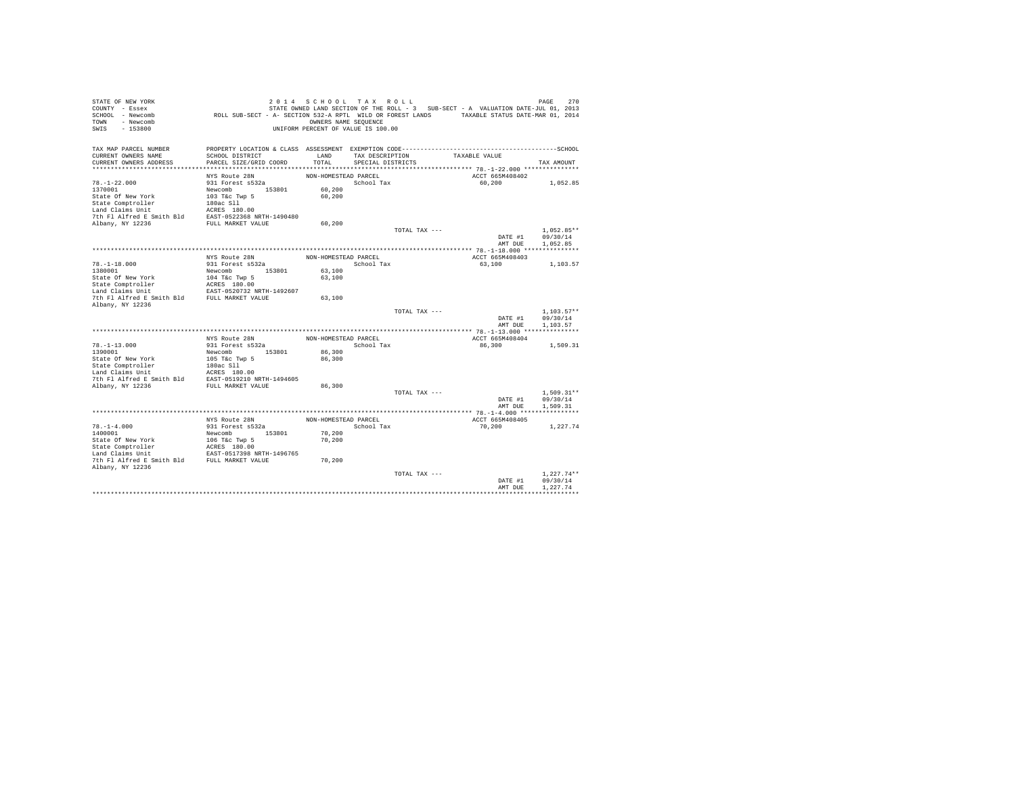| STATE OF NEW YORK<br>COUNTY - Essex<br>SCHOOL - Newcomb<br>TOWN - Newcomb<br>SWIS<br>$-153800$                                                                                | ROLL SUB-SECT - A- SECTION 532-A RPTL WILD OR FOREST LANDS TAXABLE STATUS DATE-MAR 01, 2014 | 2014 SCHOOL TAX ROLL<br>OWNERS NAME SEQUENCE<br>UNIFORM PERCENT OF VALUE IS 100.00 |                   |               | STATE OWNED LAND SECTION OF THE ROLL - 3 SUB-SECT - A VALUATION DATE-JUL 01, 2013 | 270<br>PAGE          |
|-------------------------------------------------------------------------------------------------------------------------------------------------------------------------------|---------------------------------------------------------------------------------------------|------------------------------------------------------------------------------------|-------------------|---------------|-----------------------------------------------------------------------------------|----------------------|
| TAX MAP PARCEL NUMBER                                                                                                                                                         |                                                                                             |                                                                                    |                   |               |                                                                                   |                      |
| CURRENT OWNERS NAME                                                                                                                                                           | SCHOOL DISTRICT                                                                             | LAND                                                                               | TAX DESCRIPTION   |               | TAXABLE VALUE                                                                     |                      |
| CURRENT OWNERS ADDRESS                                                                                                                                                        | PARCEL SIZE/GRID COORD                                                                      | TOTAL                                                                              | SPECIAL DISTRICTS |               |                                                                                   | TAX AMOUNT           |
|                                                                                                                                                                               | NYS Route 28N                                                                               | NON-HOMESTEAD PARCEL                                                               |                   |               | ACCT 665M408402                                                                   |                      |
| $78. - 1 - 22.000$                                                                                                                                                            | 931 Forest s532a                                                                            |                                                                                    | School Tax        |               | 60,200                                                                            | 1,052.85             |
| 1370001                                                                                                                                                                       | Newcomb 153801                                                                              | 60,200                                                                             |                   |               |                                                                                   |                      |
| State Of New York                                                                                                                                                             | 103 T&c Twp 5                                                                               | 60,200                                                                             |                   |               |                                                                                   |                      |
| State Comptroller                                                                                                                                                             | 180ac Sll                                                                                   |                                                                                    |                   |               |                                                                                   |                      |
| Land Claims Unit                                                                                                                                                              | ACRES 180.00                                                                                |                                                                                    |                   |               |                                                                                   |                      |
| 7th Fl Alfred E Smith Bld EAST-0522368 NRTH-1490480                                                                                                                           |                                                                                             |                                                                                    |                   |               |                                                                                   |                      |
| Albany, NY 12236                                                                                                                                                              | FULL MARKET VALUE                                                                           | 60,200                                                                             |                   |               |                                                                                   |                      |
|                                                                                                                                                                               |                                                                                             |                                                                                    |                   | TOTAL TAX --- |                                                                                   | $1.052.85**$         |
|                                                                                                                                                                               |                                                                                             |                                                                                    |                   |               | DATE #1                                                                           | 09/30/14             |
|                                                                                                                                                                               |                                                                                             |                                                                                    |                   |               | AMT DUE                                                                           | 1,052.85             |
|                                                                                                                                                                               | NYS Route 28N                                                                               | NON-HOMESTEAD PARCEL                                                               |                   |               | ACCT 665M408403                                                                   |                      |
| $78. - 1 - 18.000$                                                                                                                                                            | 931 Forest s532a                                                                            |                                                                                    | School Tax        |               | 63,100                                                                            | 1,103.57             |
| 1380001                                                                                                                                                                       | Newcomb 153801                                                                              | 63,100                                                                             |                   |               |                                                                                   |                      |
| State Of New York                                                                                                                                                             | 104 T&c Twp 5                                                                               | 63,100                                                                             |                   |               |                                                                                   |                      |
| State Comptroller                                                                                                                                                             | ACRES 180.00                                                                                |                                                                                    |                   |               |                                                                                   |                      |
|                                                                                                                                                                               |                                                                                             |                                                                                    |                   |               |                                                                                   |                      |
| $\begin{tabular}{lllllllllll} \texttt{Land Claus Unit} & \texttt{EAST-0520732 NRTH-1492607} \\ \texttt{7th Fl Alfred E Smith Bld} & \texttt{FULL MARKET VALUE} \end{tabular}$ |                                                                                             | 63,100                                                                             |                   |               |                                                                                   |                      |
| Albany, NY 12236                                                                                                                                                              |                                                                                             |                                                                                    |                   |               |                                                                                   |                      |
|                                                                                                                                                                               |                                                                                             |                                                                                    |                   | TOTAL TAX --- |                                                                                   | $1.103.57**$         |
|                                                                                                                                                                               |                                                                                             |                                                                                    |                   |               | DATE #1<br>AMT DUE                                                                | 09/30/14<br>1,103.57 |
|                                                                                                                                                                               |                                                                                             |                                                                                    |                   |               |                                                                                   |                      |
|                                                                                                                                                                               | NYS Route 28N                                                                               | NON-HOMESTEAD PARCEL                                                               |                   |               | ACCT 665M408404                                                                   |                      |
| $78. - 1 - 13.000$                                                                                                                                                            | 931 Forest s532a                                                                            |                                                                                    | School Tax        |               | 86,300                                                                            | 1,509.31             |
| 1390001                                                                                                                                                                       | Newcomb 153801                                                                              | 86,300                                                                             |                   |               |                                                                                   |                      |
| State Of New York                                                                                                                                                             | 105 T&c Twp 5                                                                               | 86,300                                                                             |                   |               |                                                                                   |                      |
| State Comptroller                                                                                                                                                             | 180ac Sll                                                                                   |                                                                                    |                   |               |                                                                                   |                      |
| Land Claims Unit                                                                                                                                                              | ACRES 180.00                                                                                |                                                                                    |                   |               |                                                                                   |                      |
| 7th Fl Alfred E Smith Bld EAST-0519210 NRTH-1494605                                                                                                                           | FULL MARKET VALUE                                                                           | 86,300                                                                             |                   |               |                                                                                   |                      |
| Albany, NY 12236                                                                                                                                                              |                                                                                             |                                                                                    |                   | TOTAL TAX --- |                                                                                   | $1.509.31**$         |
|                                                                                                                                                                               |                                                                                             |                                                                                    |                   |               | DATE #1                                                                           | 09/30/14             |
|                                                                                                                                                                               |                                                                                             |                                                                                    |                   |               | AMT DUE                                                                           | 1,509.31             |
|                                                                                                                                                                               |                                                                                             |                                                                                    |                   |               |                                                                                   |                      |
|                                                                                                                                                                               | NYS Route 28N                                                                               | NON-HOMESTEAD PARCEL                                                               |                   |               | ACCT 665M408405                                                                   |                      |
| $78. - 1 - 4.000$                                                                                                                                                             | 931 Forest s532a                                                                            |                                                                                    | School Tax        |               | 70,200                                                                            | 1,227.74             |
| 1400001                                                                                                                                                                       | Newcomb 153801                                                                              | 70,200                                                                             |                   |               |                                                                                   |                      |
| State Of New York                                                                                                                                                             | 106 T&c Twp 5<br>ACRES 180.00<br>EAST-0517398 NRTH-1496765                                  | 70,200                                                                             |                   |               |                                                                                   |                      |
| State Comptroller                                                                                                                                                             |                                                                                             |                                                                                    |                   |               |                                                                                   |                      |
| Land Claims Unit                                                                                                                                                              |                                                                                             |                                                                                    |                   |               |                                                                                   |                      |
| 7th Fl Alfred E Smith Bld FULL MARKET VALUE<br>Albany, NY 12236                                                                                                               |                                                                                             | 70,200                                                                             |                   |               |                                                                                   |                      |
|                                                                                                                                                                               |                                                                                             |                                                                                    |                   | TOTAL TAX --- |                                                                                   | $1.227.74**$         |
|                                                                                                                                                                               |                                                                                             |                                                                                    |                   |               | DATE #1                                                                           | 09/30/14             |
|                                                                                                                                                                               |                                                                                             |                                                                                    |                   |               | AMT DUE                                                                           | 1.227.74             |
|                                                                                                                                                                               |                                                                                             |                                                                                    |                   |               |                                                                                   |                      |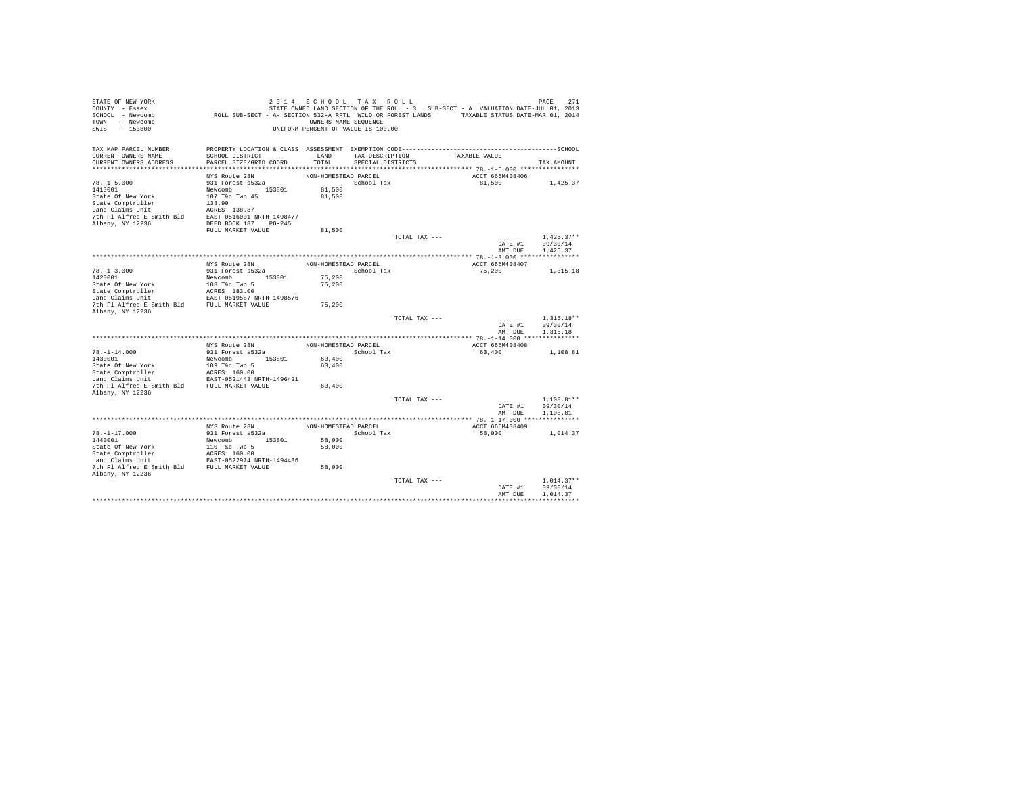| STATE OF NEW YORK<br>COUNTY - Essex<br>SCHOOL - Newcomb<br>TOWN<br>- Newcomb<br>SWIS<br>$-153800$ | ROLL SUB-SECT - A- SECTION 532-A RPTL WILD OR FOREST LANDS TAXABLE STATUS DATE-MAR 01, 2014 | 2014 SCHOOL TAX ROLL<br>OWNERS NAME SEQUENCE<br>UNIFORM PERCENT OF VALUE IS 100.00 |                                      |               | STATE OWNED LAND SECTION OF THE ROLL - 3 SUB-SECT - A VALUATION DATE-JUL 01, 2013 | PAGE<br>271          |
|---------------------------------------------------------------------------------------------------|---------------------------------------------------------------------------------------------|------------------------------------------------------------------------------------|--------------------------------------|---------------|-----------------------------------------------------------------------------------|----------------------|
| TAX MAP PARCEL NUMBER<br>CURRENT OWNERS NAME<br>CURRENT OWNERS ADDRESS                            | SCHOOL DISTRICT<br>PARCEL SIZE/GRID COORD                                                   | LAND<br>TOTAL                                                                      | TAX DESCRIPTION<br>SPECIAL DISTRICTS |               | TAXABLE VALUE                                                                     | TAX AMOUNT           |
|                                                                                                   |                                                                                             |                                                                                    |                                      |               |                                                                                   |                      |
|                                                                                                   | NYS Route 28N                                                                               | NON-HOMESTEAD PARCEL                                                               |                                      |               | ACCT 665M408406                                                                   |                      |
| $78. - 1 - 5.000$                                                                                 | 931 Forest s532a                                                                            |                                                                                    | School Tax                           |               | 81,500                                                                            | 1,425.37             |
| 1410001                                                                                           | Newcomb 153801                                                                              | 81,500                                                                             |                                      |               |                                                                                   |                      |
| State Of New York                                                                                 | 107 T&c Twp 45                                                                              | 81,500                                                                             |                                      |               |                                                                                   |                      |
| State Comptroller<br>Land Claims Unit                                                             | 138.90<br>ACRES 138.87                                                                      |                                                                                    |                                      |               |                                                                                   |                      |
| 7th Fl Alfred E Smith Bld EAST-0516001 NRTH-1498477                                               |                                                                                             |                                                                                    |                                      |               |                                                                                   |                      |
| Albany, NY 12236                                                                                  | DEED BOOK 187 PG-245                                                                        |                                                                                    |                                      |               |                                                                                   |                      |
|                                                                                                   | FULL MARKET VALUE                                                                           | 81,500                                                                             |                                      |               |                                                                                   |                      |
|                                                                                                   |                                                                                             |                                                                                    |                                      | TOTAL TAX --- |                                                                                   | $1.425.37**$         |
|                                                                                                   |                                                                                             |                                                                                    |                                      |               | DATE #1                                                                           | 09/30/14             |
|                                                                                                   |                                                                                             |                                                                                    |                                      |               | AMT DUE                                                                           | 1,425.37             |
|                                                                                                   | NYS Route 28N                                                                               |                                                                                    |                                      |               | ACCT 665M408407                                                                   |                      |
| $78. - 1 - 3.000$                                                                                 | 931 Forest s532a                                                                            | NON-HOMESTEAD PARCEL                                                               | School Tax                           |               | 75,200                                                                            | 1,315.18             |
| 1420001                                                                                           | Newcomb 153801                                                                              | 75,200                                                                             |                                      |               |                                                                                   |                      |
| State Of New York                                                                                 | 108 T&c Twp 5                                                                               | 75,200                                                                             |                                      |               |                                                                                   |                      |
| State Comptroller                                                                                 | ACRES 183.00<br>EAST-0519587 NRTH-1498576                                                   |                                                                                    |                                      |               |                                                                                   |                      |
| Land Claims Unit                                                                                  |                                                                                             |                                                                                    |                                      |               |                                                                                   |                      |
| 7th Fl Alfred E Smith Bld FULL MARKET VALUE                                                       |                                                                                             | 75,200                                                                             |                                      |               |                                                                                   |                      |
| Albany, NY 12236                                                                                  |                                                                                             |                                                                                    |                                      | TOTAL TAX --- |                                                                                   | $1.315.18**$         |
|                                                                                                   |                                                                                             |                                                                                    |                                      |               | DATE #1<br>AMT DUE                                                                | 09/30/14<br>1.315.18 |
|                                                                                                   |                                                                                             |                                                                                    |                                      |               |                                                                                   |                      |
|                                                                                                   | NYS Route 28N                                                                               | NON-HOMESTEAD PARCEL                                                               |                                      |               | ACCT 665M408408                                                                   |                      |
| $78. - 1 - 14.000$                                                                                | 931 Forest s532a                                                                            |                                                                                    | School Tax                           |               | 63,400                                                                            | 1,108.81             |
| 1430001                                                                                           | Newcomb<br>153801                                                                           | 63,400                                                                             |                                      |               |                                                                                   |                      |
| State Of New York<br>State Comptroller                                                            | 109 T&c Twp 5<br>ACRES 160.00                                                               | 63,400                                                                             |                                      |               |                                                                                   |                      |
| Land Claims Unit                                                                                  | EAST-0521443 NRTH-1496421                                                                   |                                                                                    |                                      |               |                                                                                   |                      |
| 7th Fl Alfred E Smith Bld FULL MARKET VALUE                                                       |                                                                                             | 63,400                                                                             |                                      |               |                                                                                   |                      |
| Albany, NY 12236                                                                                  |                                                                                             |                                                                                    |                                      |               |                                                                                   |                      |
|                                                                                                   |                                                                                             |                                                                                    |                                      | TOTAL TAX --- |                                                                                   | $1,108.81**$         |
|                                                                                                   |                                                                                             |                                                                                    |                                      |               | DATE #1                                                                           | 09/30/14             |
|                                                                                                   |                                                                                             |                                                                                    |                                      |               | AMT DUE                                                                           | 1,108.81             |
|                                                                                                   | NYS Route 28N                                                                               | NON-HOMESTEAD PARCEL                                                               |                                      |               | ACCT 665M408409                                                                   |                      |
| $78. - 1 - 17.000$                                                                                | 931 Forest s532a                                                                            |                                                                                    | School Tax                           |               | 58,000                                                                            | 1,014.37             |
| 1440001                                                                                           | Newcomb 153801                                                                              | 58,000                                                                             |                                      |               |                                                                                   |                      |
| State Of New York                                                                                 |                                                                                             | 58,000                                                                             |                                      |               |                                                                                   |                      |
| State Comptroller                                                                                 | 110 T&C Twp 5<br>ACRES 160.00                                                               |                                                                                    |                                      |               |                                                                                   |                      |
| Land Claims Unit                                                                                  | EAST-0522974 NRTH-1494436                                                                   |                                                                                    |                                      |               |                                                                                   |                      |
| 7th Fl Alfred E Smith Bld FULL MARKET VALUE<br>Albany, NY 12236                                   |                                                                                             | 58,000                                                                             |                                      |               |                                                                                   |                      |
|                                                                                                   |                                                                                             |                                                                                    |                                      | TOTAL TAX --- |                                                                                   | $1.014.37**$         |
|                                                                                                   |                                                                                             |                                                                                    |                                      |               | DATE #1                                                                           | 09/30/14             |
|                                                                                                   |                                                                                             |                                                                                    |                                      |               | AMT DUE                                                                           | 1,014.37             |
|                                                                                                   |                                                                                             |                                                                                    |                                      |               |                                                                                   |                      |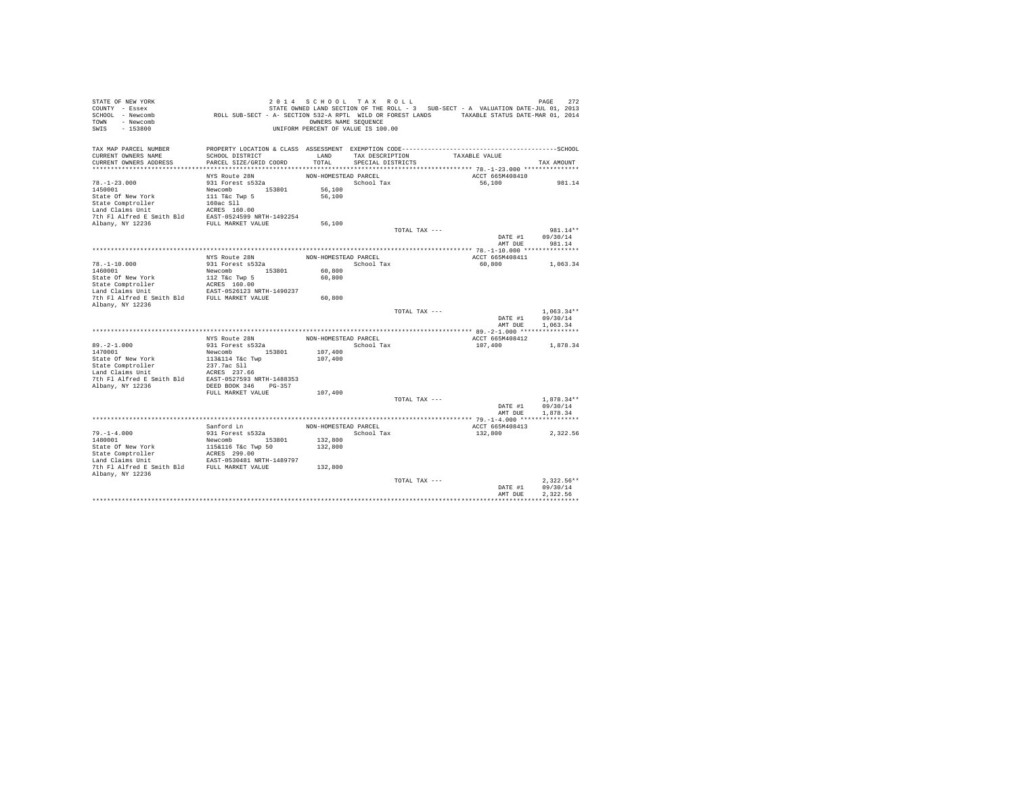| STATE OF NEW YORK<br>COUNTY - Essex                                                                                                                                                                                  |                                                                                             | 2014 SCHOOL TAX ROLL               |                   |               | STATE OWNED LAND SECTION OF THE ROLL - 3 SUB-SECT - A VALUATION DATE-JUL 01, 2013 | 272<br>PAGE      |
|----------------------------------------------------------------------------------------------------------------------------------------------------------------------------------------------------------------------|---------------------------------------------------------------------------------------------|------------------------------------|-------------------|---------------|-----------------------------------------------------------------------------------|------------------|
| SCHOOL - Newcomb                                                                                                                                                                                                     | ROLL SUB-SECT - A- SECTION 532-A RPTL WILD OR FOREST LANDS TAXABLE STATUS DATE-MAR 01, 2014 |                                    |                   |               |                                                                                   |                  |
| TOWN - Newcomb                                                                                                                                                                                                       |                                                                                             | OWNERS NAME SEQUENCE               |                   |               |                                                                                   |                  |
| SWIS<br>$-153800$                                                                                                                                                                                                    |                                                                                             | UNIFORM PERCENT OF VALUE IS 100.00 |                   |               |                                                                                   |                  |
|                                                                                                                                                                                                                      |                                                                                             |                                    |                   |               |                                                                                   |                  |
| TAX MAP PARCEL NUMBER<br>CURRENT OWNERS NAME                                                                                                                                                                         | SCHOOL DISTRICT                                                                             | LAND                               | TAX DESCRIPTION   |               | TAXABLE VALUE                                                                     |                  |
| CURRENT OWNERS ADDRESS                                                                                                                                                                                               | PARCEL SIZE/GRID COORD                                                                      | TOTAL                              | SPECIAL DISTRICTS |               |                                                                                   | TAX AMOUNT       |
|                                                                                                                                                                                                                      |                                                                                             |                                    |                   |               |                                                                                   |                  |
|                                                                                                                                                                                                                      | NYS Route 28N                                                                               | NON-HOMESTEAD PARCEL               |                   |               | ACCT 665M408410                                                                   |                  |
| $78. - 1 - 23.000$                                                                                                                                                                                                   | 931 Forest s532a                                                                            |                                    | School Tax        |               | 56,100                                                                            | 981.14           |
| 1450001                                                                                                                                                                                                              | Newcomb 153801<br>111 T&c Twp 5                                                             | 56,100                             |                   |               |                                                                                   |                  |
| State Of New York                                                                                                                                                                                                    |                                                                                             | 56,100                             |                   |               |                                                                                   |                  |
|                                                                                                                                                                                                                      |                                                                                             |                                    |                   |               |                                                                                   |                  |
|                                                                                                                                                                                                                      |                                                                                             |                                    |                   |               |                                                                                   |                  |
| State Comptroller 160ac S11<br>160ac S11<br>Land Claims Unit 160ac S160.00<br>The F1 Alfred E Smith B1d EAST-0524599 NETH-1492254<br>Albany, NY 12236 FULL MARKET VALUE                                              |                                                                                             | 56,100                             |                   |               |                                                                                   |                  |
|                                                                                                                                                                                                                      |                                                                                             |                                    |                   | TOTAL TAX --- |                                                                                   | 981.14**         |
|                                                                                                                                                                                                                      |                                                                                             |                                    |                   |               | DATE #1                                                                           | 09/30/14         |
|                                                                                                                                                                                                                      |                                                                                             |                                    |                   |               | AMT DUE                                                                           | 981.14           |
|                                                                                                                                                                                                                      |                                                                                             |                                    |                   |               |                                                                                   |                  |
|                                                                                                                                                                                                                      | NYS Route 28N<br>931 Forest s532a                                                           | NON-HOMESTEAD PARCEL               |                   |               | ACCT 665M408411                                                                   |                  |
| $78. - 1 - 10.000$                                                                                                                                                                                                   |                                                                                             |                                    | School Tax        |               | 60,800                                                                            | 1,063.34         |
| 1460001                                                                                                                                                                                                              | Newcomb<br>112 T&c Twp 5<br>ACRES 160.00<br>EAST-0526123 NRTH-1490237                       | 60,800                             |                   |               |                                                                                   |                  |
| State Of New York                                                                                                                                                                                                    |                                                                                             | 60,800                             |                   |               |                                                                                   |                  |
| State Comptroller<br>Land Claims Unit                                                                                                                                                                                |                                                                                             |                                    |                   |               |                                                                                   |                  |
| 7th F1 Alfred E Smith Bld FULL MARKET VALUE                                                                                                                                                                          |                                                                                             | 60,800                             |                   |               |                                                                                   |                  |
| Albany, NY 12236                                                                                                                                                                                                     |                                                                                             |                                    |                   |               |                                                                                   |                  |
|                                                                                                                                                                                                                      |                                                                                             |                                    |                   | TOTAL TAX --- |                                                                                   | $1.063.34**$     |
|                                                                                                                                                                                                                      |                                                                                             |                                    |                   |               |                                                                                   | DATE #1 09/30/14 |
|                                                                                                                                                                                                                      |                                                                                             |                                    |                   |               | AMT DUE                                                                           | 1,063.34         |
|                                                                                                                                                                                                                      |                                                                                             |                                    |                   |               |                                                                                   |                  |
|                                                                                                                                                                                                                      | NYS Route 28N                                                                               | NON-HOMESTEAD PARCEL               |                   |               | ACCT 665M408412                                                                   |                  |
| $89. -2 - 1.000$                                                                                                                                                                                                     | 931 Forest s532a                                                                            |                                    | School Tax        |               | 107,400                                                                           | 1,878.34         |
| 1470001                                                                                                                                                                                                              | Newcomb<br>153801<br>113&114 T&c Twp                                                        | 107,400                            |                   |               |                                                                                   |                  |
| State Of New York                                                                                                                                                                                                    |                                                                                             | 107,400                            |                   |               |                                                                                   |                  |
|                                                                                                                                                                                                                      |                                                                                             |                                    |                   |               |                                                                                   |                  |
| State Comptroller<br>1987 - 237.7ac S11<br>1988 - 237.7ac S11<br>1988 - 237.7ac S11<br>1988 - 237.7ac S1275933<br>237.7ac S1275933<br>238.8RTH-1488353<br>248.8RTH-1488353<br>248.8RTH-1488353<br>248.8RTH-1488353   |                                                                                             |                                    |                   |               |                                                                                   |                  |
|                                                                                                                                                                                                                      |                                                                                             |                                    |                   |               |                                                                                   |                  |
|                                                                                                                                                                                                                      | FULL MARKET VALUE                                                                           | 107,400                            |                   |               |                                                                                   |                  |
|                                                                                                                                                                                                                      |                                                                                             |                                    |                   | TOTAL TAX --- |                                                                                   | $1,878.34**$     |
|                                                                                                                                                                                                                      |                                                                                             |                                    |                   |               | DATE #1                                                                           | 09/30/14         |
|                                                                                                                                                                                                                      |                                                                                             |                                    |                   |               | AMT DUE                                                                           | 1,878.34         |
|                                                                                                                                                                                                                      |                                                                                             |                                    |                   |               |                                                                                   |                  |
|                                                                                                                                                                                                                      | Sanford Ln                                                                                  | NON-HOMESTEAD PARCEL               |                   |               | ACCT 665M408413                                                                   |                  |
| $79. - 1 - 4.000$                                                                                                                                                                                                    | 931 Forest s532a                                                                            |                                    | School Tax        |               | 132,800                                                                           | 2,322.56         |
| 1480001                                                                                                                                                                                                              | Newcomb 153801                                                                              | 132,800                            |                   |               |                                                                                   |                  |
|                                                                                                                                                                                                                      |                                                                                             | 132,800                            |                   |               |                                                                                   |                  |
| State of New York 115&116 Tkc Twp 50<br>State Comptroller and CRESS 299.00<br>Land Claims Unit EAST-0530481 NRTH-1489797<br>Jan Claims Unit East-0530481 NRTH-1489797<br>The Fl Alfred E Smith Bld FULL MARKET VALUE |                                                                                             |                                    |                   |               |                                                                                   |                  |
|                                                                                                                                                                                                                      |                                                                                             | 132,800                            |                   |               |                                                                                   |                  |
| Albany, NY 12236                                                                                                                                                                                                     |                                                                                             |                                    |                   |               |                                                                                   |                  |
|                                                                                                                                                                                                                      |                                                                                             |                                    |                   | TOTAL TAX --- |                                                                                   | $2.322.56**$     |
|                                                                                                                                                                                                                      |                                                                                             |                                    |                   |               | DATE #1                                                                           | 09/30/14         |
|                                                                                                                                                                                                                      |                                                                                             |                                    |                   |               | AMT DUE                                                                           | 2.322.56         |
|                                                                                                                                                                                                                      |                                                                                             |                                    |                   |               |                                                                                   |                  |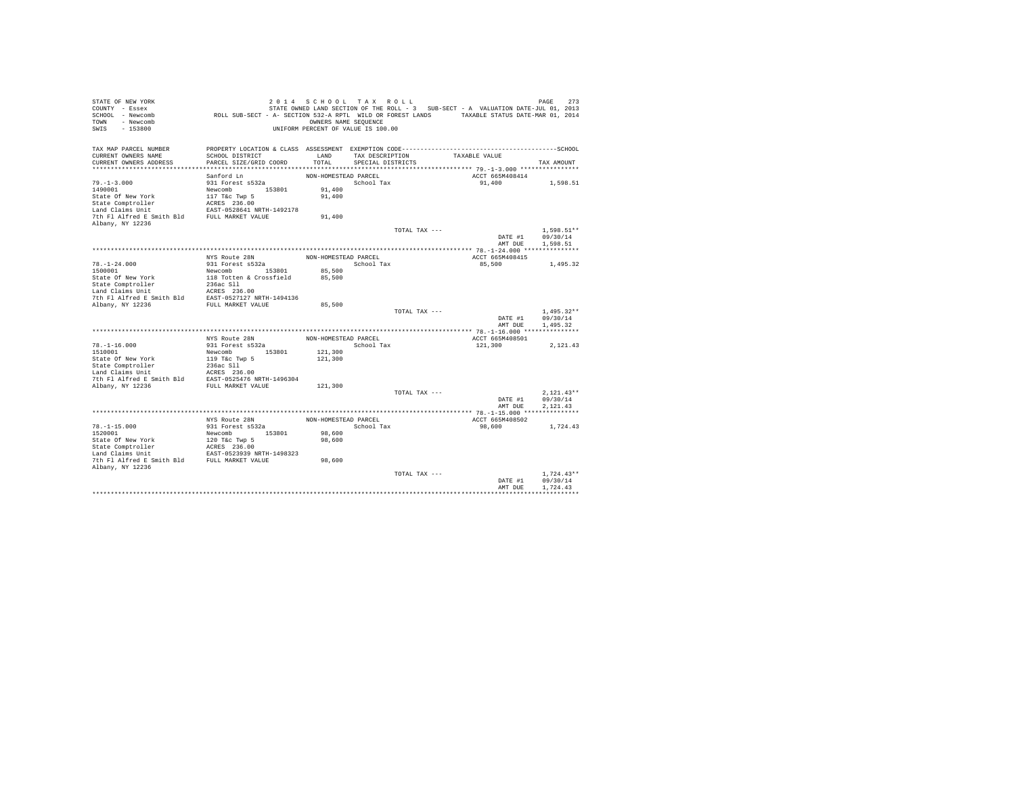| STATE OF NEW YORK<br>COUNTY - Essex<br>SCHOOL - Newcomb<br>TOWN - Newcomb<br>$-153800$<br>SWIS | ROLL SUB-SECT - A- SECTION 532-A RPTL WILD OR FOREST LANDS TAXABLE STATUS DATE-MAR 01, 2014 | OWNERS NAME SEQUENCE | 2014 SCHOOL TAX ROLL<br>UNIFORM PERCENT OF VALUE IS 100.00 |               | STATE OWNED LAND SECTION OF THE ROLL - 3 SUB-SECT - A VALUATION DATE-JUL 01, 2013 | 273<br>PAGE  |
|------------------------------------------------------------------------------------------------|---------------------------------------------------------------------------------------------|----------------------|------------------------------------------------------------|---------------|-----------------------------------------------------------------------------------|--------------|
| TAX MAP PARCEL NUMBER<br>CURRENT OWNERS NAME                                                   | SCHOOL DISTRICT                                                                             | LAND                 |                                                            |               | TAXABLE VALUE                                                                     |              |
| CURRENT OWNERS ADDRESS                                                                         | PARCEL SIZE/GRID COORD                                                                      | TOTAL                | TAX DESCRIPTION<br>SPECIAL DISTRICTS                       |               |                                                                                   | TAX AMOUNT   |
|                                                                                                |                                                                                             |                      |                                                            |               |                                                                                   |              |
|                                                                                                | Sanford Ln                                                                                  | NON-HOMESTEAD PARCEL |                                                            |               | ACCT 665M408414                                                                   |              |
| $79. - 1 - 3.000$                                                                              | 931 Forest s532a                                                                            |                      | School Tax                                                 |               | 91,400                                                                            | 1,598.51     |
| 1490001                                                                                        | Newcomb 153801                                                                              | 91,400               |                                                            |               |                                                                                   |              |
| State Of New York                                                                              | 117 T&c Twp 5                                                                               | 91,400               |                                                            |               |                                                                                   |              |
| State Comptroller                                                                              | ACRES 236.00                                                                                |                      |                                                            |               |                                                                                   |              |
| Land Claims Unit                                                                               | EAST-0528641 NRTH-1492178                                                                   |                      |                                                            |               |                                                                                   |              |
| 7th Fl Alfred E Smith Bld                                                                      | FULL MARKET VALUE                                                                           | 91,400               |                                                            |               |                                                                                   |              |
| Albany, NY 12236                                                                               |                                                                                             |                      |                                                            |               |                                                                                   | 1.598.51**   |
|                                                                                                |                                                                                             |                      |                                                            | TOTAL TAX --- | DATE #1                                                                           | 09/30/14     |
|                                                                                                |                                                                                             |                      |                                                            |               | AMT DUE                                                                           | 1,598.51     |
|                                                                                                |                                                                                             |                      |                                                            |               |                                                                                   |              |
|                                                                                                | NYS Route 28N                                                                               | NON-HOMESTEAD PARCEL |                                                            |               | ACCT 665M408415                                                                   |              |
| $78. - 1 - 24.000$                                                                             | 931 Forest s532a                                                                            |                      | School Tax                                                 |               | 85,500                                                                            | 1,495.32     |
| 1500001                                                                                        | Newcomb 153801                                                                              | 85,500               |                                                            |               |                                                                                   |              |
| State Of New York                                                                              | 118 Totten & Crossfield                                                                     | 85,500               |                                                            |               |                                                                                   |              |
| State Comptroller                                                                              | 236ac Sll                                                                                   |                      |                                                            |               |                                                                                   |              |
| Land Claims Unit                                                                               | ACRES 236.00                                                                                |                      |                                                            |               |                                                                                   |              |
| 7th Fl Alfred E Smith Bld                                                                      | EAST-0527127 NRTH-1494136                                                                   |                      |                                                            |               |                                                                                   |              |
| Albany, NY 12236                                                                               | FULL MARKET VALUE                                                                           | 85,500               |                                                            | TOTAL TAX --- |                                                                                   | $1.495.32**$ |
|                                                                                                |                                                                                             |                      |                                                            |               | DATE #1                                                                           | 09/30/14     |
|                                                                                                |                                                                                             |                      |                                                            |               | AMT DUE                                                                           | 1,495.32     |
|                                                                                                |                                                                                             |                      |                                                            |               |                                                                                   |              |
|                                                                                                | NYS Route 28N                                                                               | NON-HOMESTEAD PARCEL |                                                            |               | ACCT 665M408501                                                                   |              |
| $78. - 1 - 16.000$                                                                             | 931 Forest s532a                                                                            |                      | School Tax                                                 |               | 121,300                                                                           | 2,121.43     |
| 1510001                                                                                        | Newcomb 153801                                                                              | 121,300              |                                                            |               |                                                                                   |              |
| State Of New York                                                                              | 119 T&c Twp 5                                                                               | 121,300              |                                                            |               |                                                                                   |              |
| State Comptroller                                                                              | 236ac Sll                                                                                   |                      |                                                            |               |                                                                                   |              |
| Land Claims Unit<br>7th Fl Alfred E Smith Bld                                                  | ACRES 236.00<br>EAST-0525476 NRTH-1496304                                                   |                      |                                                            |               |                                                                                   |              |
| Albany, NY 12236                                                                               | FULL MARKET VALUE                                                                           | 121,300              |                                                            |               |                                                                                   |              |
|                                                                                                |                                                                                             |                      |                                                            | TOTAL TAX --- |                                                                                   | $2.121.43**$ |
|                                                                                                |                                                                                             |                      |                                                            |               | DATE #1                                                                           | 09/30/14     |
|                                                                                                |                                                                                             |                      |                                                            |               | AMT DUE                                                                           | 2.121.43     |
|                                                                                                |                                                                                             |                      |                                                            |               |                                                                                   |              |
|                                                                                                | NYS Route 28N                                                                               | NON-HOMESTEAD PARCEL |                                                            |               | ACCT 665M408502                                                                   |              |
| $78. - 1 - 15.000$                                                                             | 931 Forest s532a                                                                            |                      | School Tax                                                 |               | 98,600                                                                            | 1,724.43     |
| 1520001                                                                                        | Newcomb 153801                                                                              | 98,600               |                                                            |               |                                                                                   |              |
| State Of New York                                                                              | 120 T&c Twp 5<br>ACRES 236.00<br>EAST-0523939 NRTH-1498323                                  | 98,600               |                                                            |               |                                                                                   |              |
| State Comptroller                                                                              |                                                                                             |                      |                                                            |               |                                                                                   |              |
| Land Claims Unit<br>7th Fl Alfred E Smith Bld FULL MARKET VALUE                                |                                                                                             | 98,600               |                                                            |               |                                                                                   |              |
| Albany, NY 12236                                                                               |                                                                                             |                      |                                                            |               |                                                                                   |              |
|                                                                                                |                                                                                             |                      |                                                            | TOTAL TAX --- |                                                                                   | $1.724.43**$ |
|                                                                                                |                                                                                             |                      |                                                            |               | DATE #1                                                                           | 09/30/14     |
|                                                                                                |                                                                                             |                      |                                                            |               | AMT DUE                                                                           | 1.724.43     |
|                                                                                                |                                                                                             |                      |                                                            |               |                                                                                   |              |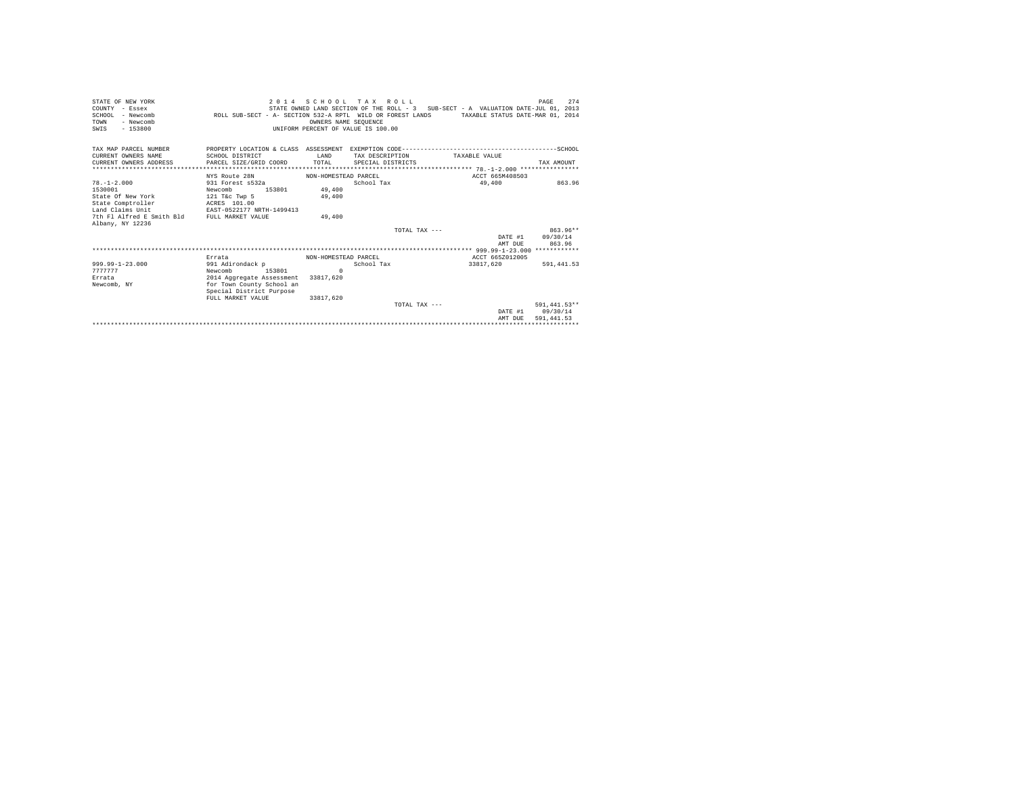| STATE OF NEW YORK<br>COUNTY - Essex<br>SCHOOL - Newcomb<br>- Newcomb<br>TOWN<br>$-153800$<br>SWIS | ROLL SUB-SECT - A- SECTION 532-A RPTL WILD OR FOREST LANDS TAXABLE STATUS DATE-MAR 01, 2014 | OWNERS NAME SEOUENCE<br>UNIFORM PERCENT OF VALUE IS 100.00 | 2014 SCHOOL TAX ROLL<br>STATE OWNED LAND SECTION OF THE ROLL - 3 SUB-SECT - A VALUATION DATE-JUL 01, 2013 |                 | 274<br>PAGE      |
|---------------------------------------------------------------------------------------------------|---------------------------------------------------------------------------------------------|------------------------------------------------------------|-----------------------------------------------------------------------------------------------------------|-----------------|------------------|
| TAX MAP PARCEL NUMBER<br>CURRENT OWNERS NAME                                                      | SCHOOL DISTRICT                                                                             | <b>T.AND</b>                                               | TAX DESCRIPTION                                                                                           | TAXABLE VALUE   |                  |
| CURRENT OWNERS ADDRESS                                                                            | PARCEL SIZE/GRID COORD                                                                      | TOTAL                                                      | SPECIAL DISTRICTS                                                                                         |                 | TAX AMOUNT       |
|                                                                                                   |                                                                                             |                                                            |                                                                                                           |                 |                  |
|                                                                                                   | NYS Route 28N                                                                               | NON-HOMESTEAD PARCEL                                       |                                                                                                           | ACCT 665M408503 |                  |
| $78. - 1 - 2.000$                                                                                 | 931 Forest s532a                                                                            |                                                            | School Tax                                                                                                | 49,400          | 863.96           |
| 1530001                                                                                           | 153801<br>Newcomb                                                                           | 49,400                                                     |                                                                                                           |                 |                  |
| State Of New York                                                                                 | 121 T&c Twp 5                                                                               | 49,400                                                     |                                                                                                           |                 |                  |
| State Comptroller                                                                                 | ACRES 101.00                                                                                |                                                            |                                                                                                           |                 |                  |
| Land Claims Unit                                                                                  | EAST-0522177 NRTH-1499413                                                                   |                                                            |                                                                                                           |                 |                  |
| 7th Fl Alfred E Smith Bld<br>Albany, NY 12236                                                     | FULL MARKET VALUE                                                                           | 49,400                                                     |                                                                                                           |                 |                  |
|                                                                                                   |                                                                                             |                                                            | TOTAL TAX $---$                                                                                           |                 | $863.96**$       |
|                                                                                                   |                                                                                             |                                                            |                                                                                                           |                 | DATE #1 09/30/14 |
|                                                                                                   |                                                                                             |                                                            |                                                                                                           | AMT DUE         | 863.96           |
|                                                                                                   |                                                                                             |                                                            |                                                                                                           |                 |                  |
|                                                                                                   | Errata                                                                                      | NON-HOMESTEAD PARCEL                                       |                                                                                                           | ACCT 665Z012005 |                  |
| $999.99 - 1 - 23.000$                                                                             | 991 Adirondack p                                                                            |                                                            | School Tax                                                                                                | 33817.620       | 591,441.53       |
| 7777777                                                                                           | Newcomb<br>153801                                                                           | $\mathbf{r}$                                               |                                                                                                           |                 |                  |
| Errata                                                                                            | 2014 Aggregate Assessment                                                                   | 33817,620                                                  |                                                                                                           |                 |                  |
| Newcomb, NY                                                                                       | for Town County School an                                                                   |                                                            |                                                                                                           |                 |                  |
|                                                                                                   | Special District Purpose                                                                    |                                                            |                                                                                                           |                 |                  |
|                                                                                                   | FULL MARKET VALUE                                                                           | 33817.620                                                  | TOTAL TAX ---                                                                                             |                 | 591,441.53**     |
|                                                                                                   |                                                                                             |                                                            |                                                                                                           |                 | DATE #1 09/30/14 |
|                                                                                                   |                                                                                             |                                                            |                                                                                                           | AMT DUE         | 591, 441, 53     |
|                                                                                                   |                                                                                             |                                                            |                                                                                                           |                 |                  |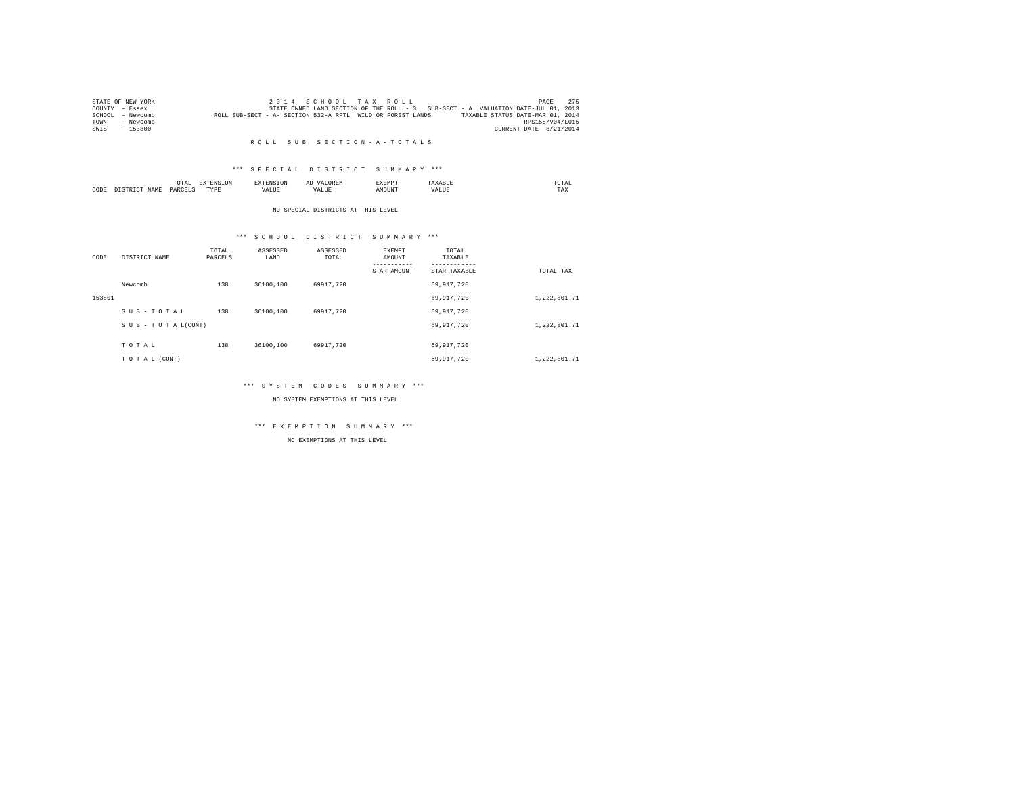|      | STATE OF NEW YORK |                                                            |  | 2014 SCHOOL TAX ROLL |  |                                                                                   |                                  | PAGE                   | 275 |
|------|-------------------|------------------------------------------------------------|--|----------------------|--|-----------------------------------------------------------------------------------|----------------------------------|------------------------|-----|
|      | COUNTY - Essex    |                                                            |  |                      |  | STATE OWNED LAND SECTION OF THE ROLL - 3 SUB-SECT - A VALUATION DATE-JUL 01, 2013 |                                  |                        |     |
|      | SCHOOL - Newcomb  | ROLL SUB-SECT - A- SECTION 532-A RPTL WILD OR FOREST LANDS |  |                      |  |                                                                                   | TAXABLE STATUS DATE-MAR 01, 2014 |                        |     |
| TOWN | - Newcomb         |                                                            |  |                      |  |                                                                                   |                                  | RPS155/V04/L015        |     |
| SWIS | - 153800          |                                                            |  |                      |  |                                                                                   |                                  | CURRENT DATE 8/21/2014 |     |

#### R O L L S U B S E C T I O N - A - T O T A L S

## \*\*\* S P E C I A L D I S T R I C T S U M M A R Y \*\*\*

|      |             | ------<br>IUIAI    |          |   | $\sim$ | .XEMP' |       | UIAI<br>the contract of the contract of the contract of |  |
|------|-------------|--------------------|----------|---|--------|--------|-------|---------------------------------------------------------|--|
| CODE | <b>NAME</b> | DADCET<br>________ | wpt<br>. | . |        |        | . ۱ ۵ | 1 M.A                                                   |  |

#### NO SPECIAL DISTRICTS AT THIS LEVEL

## \*\*\* S C H O O L D I S T R I C T S U M M A R Y \*\*\*

| CODE   | DISTRICT NAME   | TOTAL<br>PARCELS | ASSESSED<br>LAND | ASSESSED<br>TOTAL | EXEMPT<br>AMOUNT<br>-------- | TOTAL<br>TAXABLE |              |
|--------|-----------------|------------------|------------------|-------------------|------------------------------|------------------|--------------|
|        |                 |                  |                  |                   | STAR AMOUNT                  | STAR TAXABLE     | TOTAL TAX    |
|        | Newcomb         | 138              | 36100,100        | 69917.720         |                              | 69,917,720       |              |
| 153801 |                 |                  |                  |                   |                              | 69,917,720       | 1,222,801.71 |
|        | SUB-TOTAL       | 138              | 36100,100        | 69917.720         |                              | 69,917,720       |              |
|        | SUB-TOTAL(CONT) |                  |                  |                   |                              | 69,917,720       | 1,222,801.71 |
|        |                 |                  |                  |                   |                              |                  |              |
|        | TOTAL           | 138              | 36100,100        | 69917.720         |                              | 69,917,720       |              |
|        | TO TAL (CONT)   |                  |                  |                   |                              | 69,917,720       | 1,222,801.71 |

## \*\*\* S Y S T E M C O D E S S U M M A R Y \*\*\*

NO SYSTEM EXEMPTIONS AT THIS LEVEL

## \*\*\* E X E M P T I O N S U M M A R Y \*\*\*

NO EXEMPTIONS AT THIS LEVEL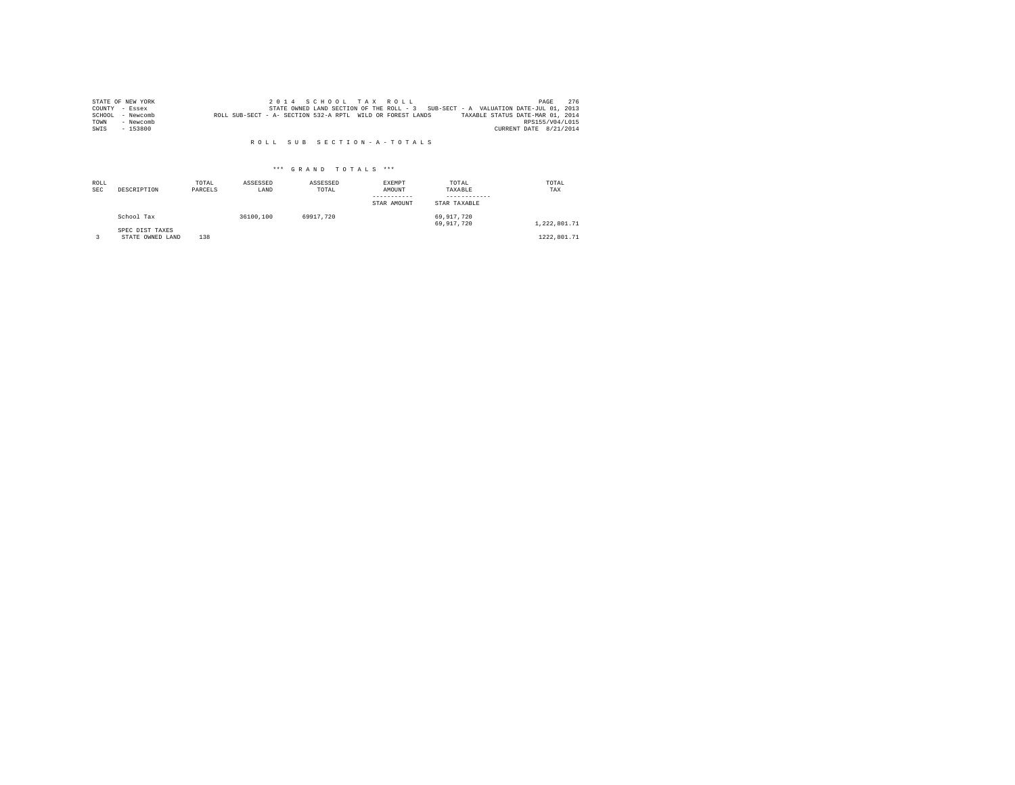|      | STATE OF NEW YORK |                                                            |  |  | 2014 SCHOOL TAX ROLL |                                                                                   |                                  |                        | PAGE            | 276 |
|------|-------------------|------------------------------------------------------------|--|--|----------------------|-----------------------------------------------------------------------------------|----------------------------------|------------------------|-----------------|-----|
|      | COUNTY - Essex    |                                                            |  |  |                      | STATE OWNED LAND SECTION OF THE ROLL - 3 SUB-SECT - A VALUATION DATE-JUL 01, 2013 |                                  |                        |                 |     |
|      | SCHOOL - Newcomb  | ROLL SUB-SECT - A- SECTION 532-A RPTL WILD OR FOREST LANDS |  |  |                      |                                                                                   | TAXABLE STATUS DATE-MAR 01, 2014 |                        |                 |     |
| TOWN | - Newcomb         |                                                            |  |  |                      |                                                                                   |                                  |                        | RPS155/V04/L015 |     |
| SWIS | $-153800$         |                                                            |  |  |                      |                                                                                   |                                  | CURRENT DATE 8/21/2014 |                 |     |

#### R O L L S U B S E C T I O N - A - T O T A L S

## \*\*\* G R A N D T O T A L S \*\*\*

| ROLL<br><b>SEC</b> | DESCRIPTION                         | TOTAL<br>PARCELS | ASSESSED<br>LAND | ASSESSED<br>TOTAL | EXEMPT<br>AMOUNT<br>-----------<br>STAR AMOUNT | TOTAL<br>TAXABLE<br>------------<br>STAR TAXABLE | TOTAL<br>TAX |
|--------------------|-------------------------------------|------------------|------------------|-------------------|------------------------------------------------|--------------------------------------------------|--------------|
|                    | School Tax                          |                  | 36100.100        | 69917.720         |                                                | 69.917.720<br>69.917.720                         | 1,222,801.71 |
|                    | SPEC DIST TAXES<br>STATE OWNED LAND | 138              |                  |                   |                                                |                                                  | 1222,801.71  |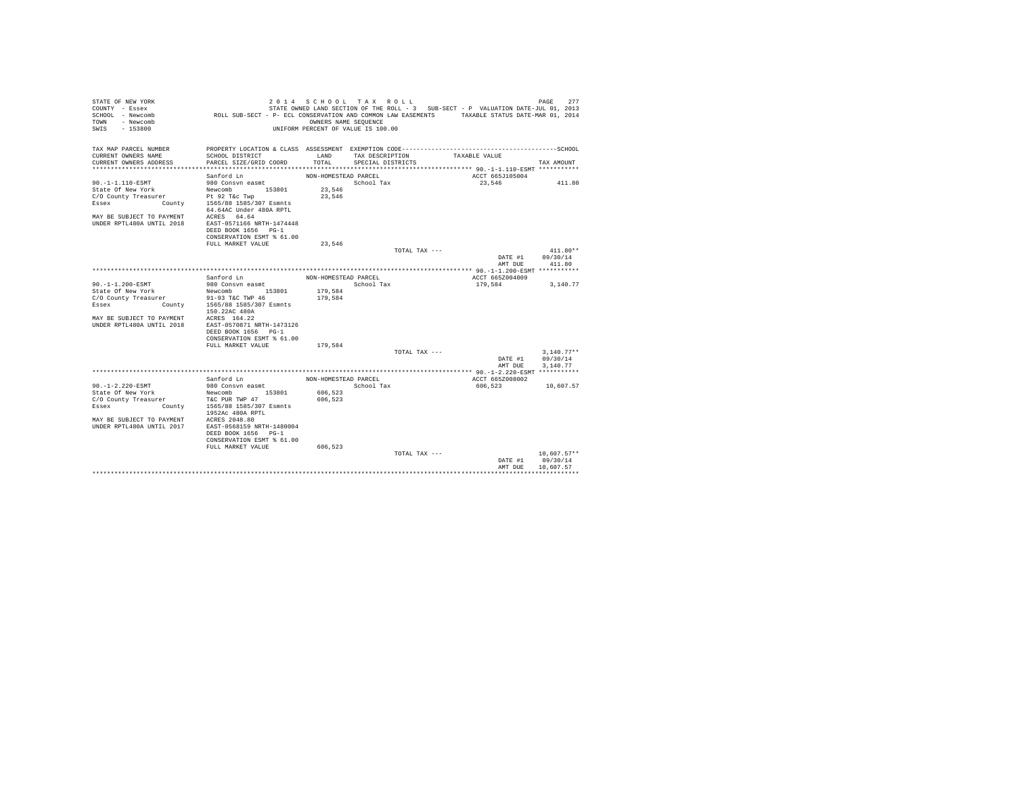| STATE OF NEW YORK<br>COUNTY - Essex<br>SCHOOL - Newcomb | ROLL SUB-SECT - P- ECL CONSERVATION AND COMMON LAW EASEMENTS TAXABLE STATUS DATE-MAR 01, 2014 | 2014 SCHOOL TAX ROLL                                       |                   |               | STATE OWNED LAND SECTION OF THE ROLL - 3 SUB-SECT - P VALUATION DATE-JUL 01, 2013 | PAGE<br>277            |
|---------------------------------------------------------|-----------------------------------------------------------------------------------------------|------------------------------------------------------------|-------------------|---------------|-----------------------------------------------------------------------------------|------------------------|
| - Newcomb<br>TOWN<br>SWTS<br>$-153800$                  |                                                                                               | OWNERS NAME SEOUENCE<br>UNIFORM PERCENT OF VALUE IS 100.00 |                   |               |                                                                                   |                        |
| TAX MAP PARCEL NUMBER<br>CURRENT OWNERS NAME            | PROPERTY LOCATION & CLASS ASSESSMENT EXEMPTION CODE-----------------------<br>SCHOOL DISTRICT | LAND                                                       | TAX DESCRIPTION   |               | TAXABLE VALUE                                                                     | ----------------SCHOOL |
| CURRENT OWNERS ADDRESS                                  | PARCEL SIZE/GRID COORD                                                                        | TOTAL                                                      | SPECIAL DISTRICTS |               |                                                                                   | TAX AMOUNT             |
|                                                         |                                                                                               |                                                            |                   |               |                                                                                   |                        |
|                                                         | Sanford Ln                                                                                    | NON-HOMESTEAD PARCEL                                       |                   |               | ACCT 665J105004                                                                   |                        |
| 90. -1-1.110-ESMT                                       | 980 Consvn easmt                                                                              |                                                            | School Tax        |               | 23,546                                                                            | 411.80                 |
| State Of New York                                       | 153801<br>Newcomb                                                                             | 23,546                                                     |                   |               |                                                                                   |                        |
| C/O County Treasurer                                    | urer Pt 92 T&c Twp<br>County 1565/88 1585/307 Esmnts                                          | 23.546                                                     |                   |               |                                                                                   |                        |
| Essex                                                   | 64.64AC Under 480A RPTL                                                                       |                                                            |                   |               |                                                                                   |                        |
| MAY BE SUBJECT TO PAYMENT                               | ACRES 64.64                                                                                   |                                                            |                   |               |                                                                                   |                        |
| IINDER RPTL480A IINTIL 2018                             | EAST-0571166 NRTH-1474448                                                                     |                                                            |                   |               |                                                                                   |                        |
|                                                         | DEED BOOK 1656 PG-1                                                                           |                                                            |                   |               |                                                                                   |                        |
|                                                         | CONSERVATION ESMT % 61.00                                                                     |                                                            |                   |               |                                                                                   |                        |
|                                                         | FULL MARKET VALUE                                                                             | 23.546                                                     |                   |               |                                                                                   |                        |
|                                                         |                                                                                               |                                                            |                   | TOTAL TAX --- |                                                                                   | $411.80**$             |
|                                                         |                                                                                               |                                                            |                   |               | DATE #1<br>AMT DUE                                                                | 09/30/14<br>411.80     |
|                                                         |                                                                                               |                                                            |                   |               |                                                                                   |                        |
|                                                         | Sanford Ln                                                                                    | NON-HOMESTEAD PARCEL                                       |                   |               | ACCT 665Z004009                                                                   |                        |
| 90. -1-1.200-ESMT                                       | 980 Consvn easmt                                                                              |                                                            | School Tax        |               | 179,584                                                                           | 3,140.77               |
| State Of New York                                       | Newcomb 153801                                                                                | 179.584                                                    |                   |               |                                                                                   |                        |
| C/O County Treasurer                                    | 91-93 T&C TWP 46                                                                              | 179,584                                                    |                   |               |                                                                                   |                        |
| Essex                                                   | County 1565/88 1585/307 Esmnts<br>150.22AC 480A                                               |                                                            |                   |               |                                                                                   |                        |
| MAY BE SUBJECT TO PAYMENT                               | ACRES 164.22                                                                                  |                                                            |                   |               |                                                                                   |                        |
| UNDER RPTL480A UNTIL 2018                               | EAST-0570871 NRTH-1473126                                                                     |                                                            |                   |               |                                                                                   |                        |
|                                                         | DEED BOOK 1656 PG-1                                                                           |                                                            |                   |               |                                                                                   |                        |
|                                                         | CONSERVATION ESMT % 61.00                                                                     |                                                            |                   |               |                                                                                   |                        |
|                                                         | FULL MARKET VALUE                                                                             | 179.584                                                    |                   |               |                                                                                   |                        |
|                                                         |                                                                                               |                                                            |                   | TOTAL TAX --- |                                                                                   | $3.140.77**$           |
|                                                         |                                                                                               |                                                            |                   |               | DATE #1<br>AMT DUE                                                                | 09/30/14<br>3,140.77   |
|                                                         |                                                                                               |                                                            |                   |               |                                                                                   |                        |
|                                                         | Sanford Ln                                                                                    | NON-HOMESTEAD PARCEL                                       |                   |               | ACCT 665Z008002                                                                   |                        |
| $90. -1 - 2.220 - ESMT$                                 | 980 Consvn easmt                                                                              |                                                            | School Tax        |               | 606,523                                                                           | 10,607.57              |
| State Of New York                                       | Newcomb 153801                                                                                | 606,523                                                    |                   |               |                                                                                   |                        |
| C/O County Treasurer                                    | T&C PUR TWP 47                                                                                | 606,523                                                    |                   |               |                                                                                   |                        |
| County<br>Essex                                         | 1565/88 1585/307 Esmnts<br>1952Ac 480A RPTL                                                   |                                                            |                   |               |                                                                                   |                        |
| MAY BE SUBJECT TO PAYMENT                               | ACRES 2048.80                                                                                 |                                                            |                   |               |                                                                                   |                        |
| IINDER RPTL480A IINTIL 2017                             | EAST-0568159 NRTH-1480004                                                                     |                                                            |                   |               |                                                                                   |                        |
|                                                         | DEED BOOK 1656 PG-1                                                                           |                                                            |                   |               |                                                                                   |                        |
|                                                         | CONSERVATION ESMT % 61.00                                                                     |                                                            |                   |               |                                                                                   |                        |
|                                                         | FULL MARKET VALUE                                                                             | 606,523                                                    |                   |               |                                                                                   |                        |
|                                                         |                                                                                               |                                                            |                   | TOTAL TAX --- |                                                                                   | $10,607.57**$          |
|                                                         |                                                                                               |                                                            |                   |               | DATE #1<br>AMT DHE                                                                | 09/30/14<br>10.607.57  |
|                                                         |                                                                                               |                                                            |                   |               |                                                                                   |                        |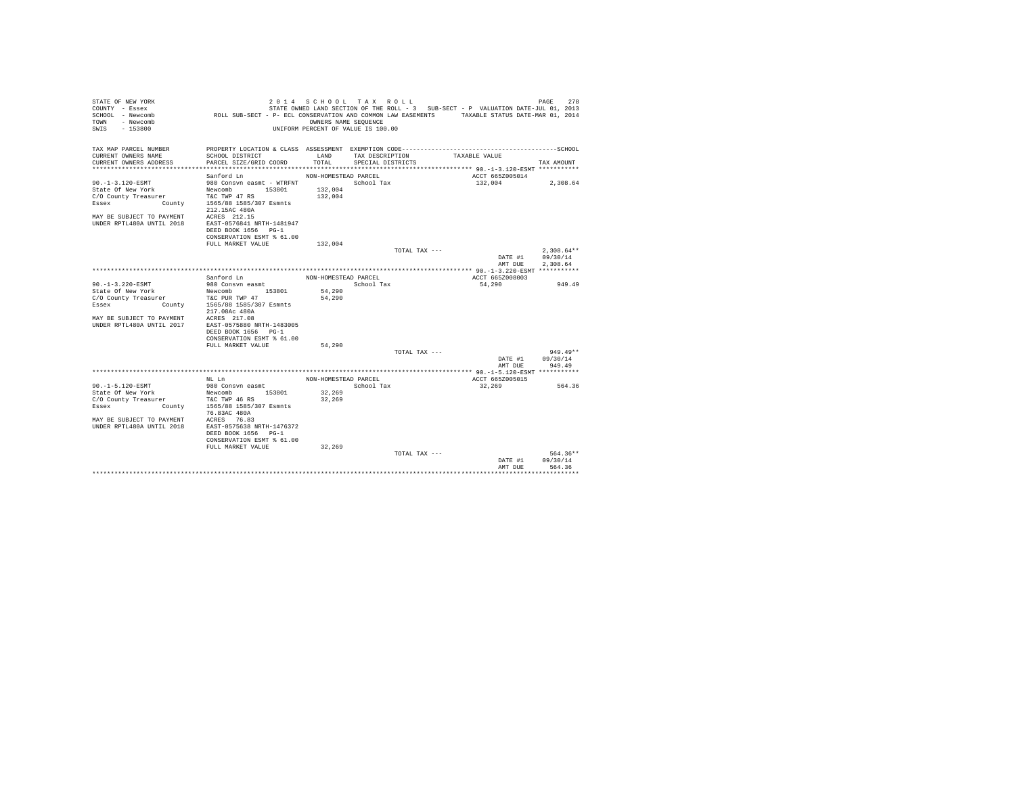| STATE OF NEW YORK<br>COUNTY - Essex     |                                                                                               | 2014 SCHOOL TAX ROLL               |                   |               | STATE OWNED LAND SECTION OF THE ROLL - 3 SUB-SECT - P VALUATION DATE-JUL 01, 2013 | 278<br>PAGE           |
|-----------------------------------------|-----------------------------------------------------------------------------------------------|------------------------------------|-------------------|---------------|-----------------------------------------------------------------------------------|-----------------------|
| SCHOOL - Newcomb                        | ROLL SUB-SECT - P- ECL CONSERVATION AND COMMON LAW EASEMENTS TAXABLE STATUS DATE-MAR 01, 2014 |                                    |                   |               |                                                                                   |                       |
| - Newcomb<br>TOWN                       |                                                                                               | OWNERS NAME SEOUENCE               |                   |               |                                                                                   |                       |
| SWIS<br>$-153800$                       |                                                                                               | UNIFORM PERCENT OF VALUE IS 100.00 |                   |               |                                                                                   |                       |
|                                         |                                                                                               |                                    |                   |               |                                                                                   |                       |
|                                         |                                                                                               |                                    |                   |               |                                                                                   |                       |
| TAX MAP PARCEL NUMBER                   | PROPERTY LOCATION & CLASS ASSESSMENT EXEMPTION CODE------------------------                   |                                    |                   |               |                                                                                   | ---------------SCHOOL |
| CURRENT OWNERS NAME                     | SCHOOL DISTRICT                                                                               | LAND                               | TAX DESCRIPTION   |               | TAXABLE VALUE                                                                     |                       |
| CURRENT OWNERS ADDRESS                  | PARCEL SIZE/GRID COORD                                                                        | TOTAL                              | SPECIAL DISTRICTS |               |                                                                                   | TAX AMOUNT            |
|                                         |                                                                                               |                                    |                   |               |                                                                                   |                       |
| 90. -1-3.120-ESMT                       | Sanford Ln<br>980 Consvn easmt - WTRFNT                                                       | NON-HOMESTEAD PARCEL               | School Tax        |               | ACCT 665Z005014<br>132,004                                                        | 2,308.64              |
| State Of New York                       | 153801<br>Newcomb                                                                             | 132,004                            |                   |               |                                                                                   |                       |
| C/O County Treasurer                    | T&C TWP 47 RS                                                                                 | 132,004                            |                   |               |                                                                                   |                       |
| Essex                                   | County 1565/88 1585/307 Esmnts                                                                |                                    |                   |               |                                                                                   |                       |
|                                         | 212.15AC 480A                                                                                 |                                    |                   |               |                                                                                   |                       |
| MAY BE SUBJECT TO PAYMENT               | ACRES 212.15                                                                                  |                                    |                   |               |                                                                                   |                       |
| <b>IINDER RPTL480A IINTIL 2018</b>      | EAST-0576841 NRTH-1481947                                                                     |                                    |                   |               |                                                                                   |                       |
|                                         | DEED BOOK 1656 PG-1                                                                           |                                    |                   |               |                                                                                   |                       |
|                                         | CONSERVATION ESMT % 61.00                                                                     |                                    |                   |               |                                                                                   |                       |
|                                         | FULL MARKET VALUE                                                                             | 132,004                            |                   |               |                                                                                   |                       |
|                                         |                                                                                               |                                    |                   | TOTAL TAX --- |                                                                                   | $2,308.64**$          |
|                                         |                                                                                               |                                    |                   |               | DATE #1<br>AMT DUE                                                                | 09/30/14<br>2,308.64  |
|                                         |                                                                                               |                                    |                   |               |                                                                                   |                       |
|                                         | Sanford Ln                                                                                    | NON-HOMESTEAD PARCEL               |                   |               | ACCT 665Z008003                                                                   |                       |
| 90.-1-3.220-ESMT                        | 980 Consvn easmt                                                                              |                                    | School Tax        |               | 54,290                                                                            | 949.49                |
| State Of New York                       | Newcomb 153801                                                                                | 54,290                             |                   |               |                                                                                   |                       |
| C/O County Treasurer                    | T&C PUR TWP 47                                                                                | 54,290                             |                   |               |                                                                                   |                       |
| Essex                                   | County 1565/88 1585/307 Esmnts                                                                |                                    |                   |               |                                                                                   |                       |
|                                         | 217.08Ac 480A                                                                                 |                                    |                   |               |                                                                                   |                       |
| MAY BE SUBJECT TO PAYMENT               | ACRES 217.08                                                                                  |                                    |                   |               |                                                                                   |                       |
| UNDER RPTL480A UNTIL 2017               | EAST-0575880 NRTH-1483005<br>DEED BOOK 1656 PG-1                                              |                                    |                   |               |                                                                                   |                       |
|                                         | CONSERVATION ESMT % 61.00                                                                     |                                    |                   |               |                                                                                   |                       |
|                                         | FULL MARKET VALUE                                                                             | 54,290                             |                   |               |                                                                                   |                       |
|                                         |                                                                                               |                                    |                   | TOTAL TAX --- |                                                                                   | $949.49**$            |
|                                         |                                                                                               |                                    |                   |               | DATE #1                                                                           | 09/30/14              |
|                                         |                                                                                               |                                    |                   |               | AMT DUE                                                                           | 949.49                |
|                                         |                                                                                               |                                    |                   |               |                                                                                   |                       |
|                                         | NT. T.n                                                                                       | NON-HOMESTEAD PARCEL               |                   |               | ACCT 665Z005015                                                                   |                       |
| 90. -1-5.120-ESMT                       | 980 Consyn easmt                                                                              |                                    | School Tax        |               | 32,269                                                                            | 564.36                |
| State Of New York                       | 153801<br>Newcomb                                                                             | 32,269                             |                   |               |                                                                                   |                       |
| C/O County Treasurer<br>County<br>Essex | T&C TWP 46 RS<br>1565/88 1585/307 Esmnts                                                      | 32,269                             |                   |               |                                                                                   |                       |
|                                         | 76.83AC 480A                                                                                  |                                    |                   |               |                                                                                   |                       |
| MAY BE SUBJECT TO PAYMENT               | ACRES 76.83                                                                                   |                                    |                   |               |                                                                                   |                       |
| <b>IINDER RPTL480A IINTIL 2018</b>      | EAST-0575638 NRTH-1476372                                                                     |                                    |                   |               |                                                                                   |                       |
|                                         | DEED BOOK 1656 PG-1                                                                           |                                    |                   |               |                                                                                   |                       |
|                                         | CONSERVATION ESMT % 61.00                                                                     |                                    |                   |               |                                                                                   |                       |
|                                         | FULL MARKET VALUE                                                                             | 32,269                             |                   |               |                                                                                   |                       |
|                                         |                                                                                               |                                    |                   | TOTAL TAX --- |                                                                                   | 564.36**              |
|                                         |                                                                                               |                                    |                   |               | DATE #1                                                                           | 09/30/14<br>564.36    |
|                                         |                                                                                               |                                    |                   |               | AMT DUE                                                                           |                       |
|                                         |                                                                                               |                                    |                   |               |                                                                                   |                       |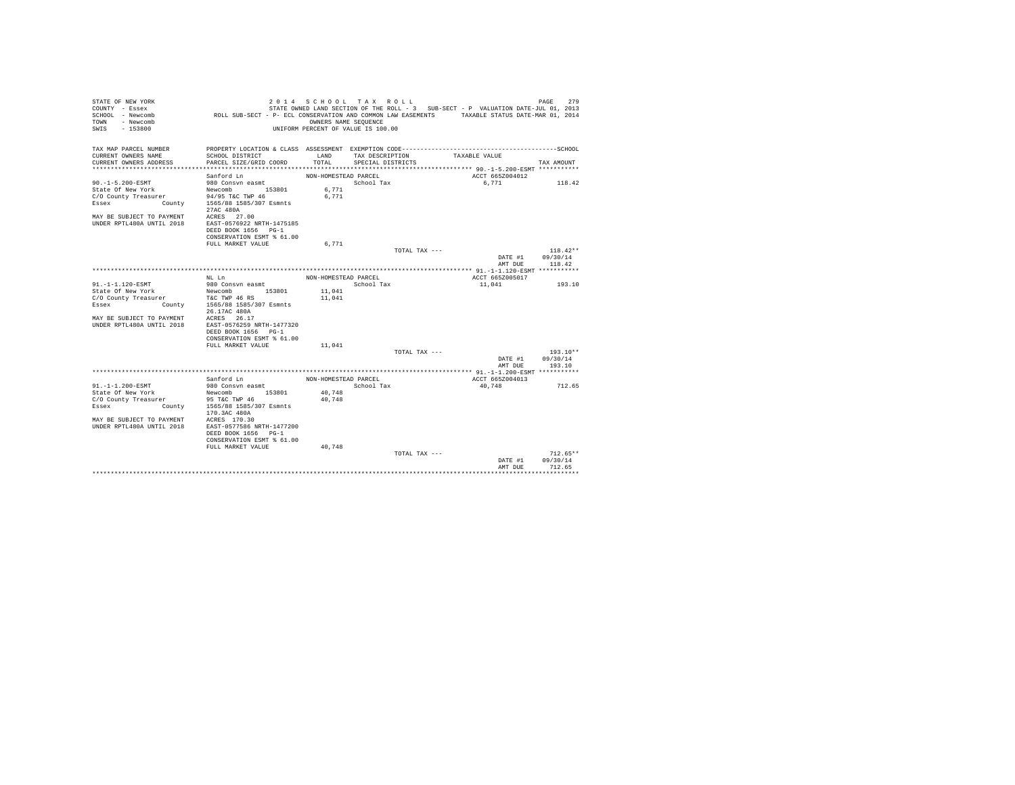| STATE OF NEW YORK<br>COUNTY - Essex                        |                                                                                               | 2014 SCHOOL TAX ROLL                                       |                   |               | STATE OWNED LAND SECTION OF THE ROLL - 3 SUB-SECT - P VALUATION DATE-JUL 01, 2013 | PAGE<br>279            |
|------------------------------------------------------------|-----------------------------------------------------------------------------------------------|------------------------------------------------------------|-------------------|---------------|-----------------------------------------------------------------------------------|------------------------|
| SCHOOL - Newcomb<br>- Newcomb<br>TOWN<br>SWTS<br>$-153800$ | ROLL SUB-SECT - P- ECL CONSERVATION AND COMMON LAW EASEMENTS TAXABLE STATUS DATE-MAR 01, 2014 | OWNERS NAME SEOUENCE<br>UNIFORM PERCENT OF VALUE IS 100.00 |                   |               |                                                                                   |                        |
|                                                            |                                                                                               |                                                            |                   |               |                                                                                   |                        |
| TAX MAP PARCEL NUMBER<br>CURRENT OWNERS NAME               | PROPERTY LOCATION & CLASS ASSESSMENT EXEMPTION CODE-----------------------<br>SCHOOL DISTRICT | LAND                                                       | TAX DESCRIPTION   |               | TAXABLE VALUE                                                                     | ----------------SCHOOL |
| CURRENT OWNERS ADDRESS                                     | PARCEL SIZE/GRID COORD                                                                        | TOTAL                                                      | SPECIAL DISTRICTS |               |                                                                                   | TAX AMOUNT             |
|                                                            |                                                                                               |                                                            |                   |               |                                                                                   |                        |
|                                                            | Sanford Ln                                                                                    | NON-HOMESTEAD PARCEL                                       |                   |               | ACCT 665Z004012                                                                   |                        |
| $90. -1 - 5.200 - ESMT$                                    | 980 Consvn easmt                                                                              |                                                            | School Tax        |               | 6.771                                                                             | 118.42                 |
| State Of New York                                          | 153801<br>Newcomb                                                                             | 6,771                                                      |                   |               |                                                                                   |                        |
| C/O County Treasurer                                       | 94/95 T&C TWP 46                                                                              | 6.771                                                      |                   |               |                                                                                   |                        |
| County<br>Essex                                            | 1565/88 1585/307 Esmnts<br>27AC 480A                                                          |                                                            |                   |               |                                                                                   |                        |
| MAY BE SUBJECT TO PAYMENT                                  | ACRES 27.00                                                                                   |                                                            |                   |               |                                                                                   |                        |
| IINDER RPTL480A IINTIL 2018                                | EAST-0576922 NRTH-1475185                                                                     |                                                            |                   |               |                                                                                   |                        |
|                                                            | DEED BOOK 1656 PG-1                                                                           |                                                            |                   |               |                                                                                   |                        |
|                                                            | CONSERVATION ESMT % 61.00                                                                     |                                                            |                   |               |                                                                                   |                        |
|                                                            | FULL MARKET VALUE                                                                             | 6.771                                                      |                   | TOTAL TAX --- |                                                                                   | $118.42**$             |
|                                                            |                                                                                               |                                                            |                   |               | DATE #1                                                                           | 09/30/14               |
|                                                            |                                                                                               |                                                            |                   |               | AMT DUE                                                                           | 118.42                 |
|                                                            |                                                                                               |                                                            |                   |               |                                                                                   |                        |
|                                                            | NT. T.n                                                                                       | NON-HOMESTEAD PARCEL                                       |                   |               | ACCT 665Z005017                                                                   |                        |
| 91.-1-1.120-ESMT                                           | 980 Consvn easmt                                                                              |                                                            | School Tax        |               | 11,041                                                                            | 193.10                 |
| State Of New York                                          | Newcomb 153801                                                                                | 11,041                                                     |                   |               |                                                                                   |                        |
| C/O County Treasurer                                       | T&C TWP 46 RS                                                                                 | 11,041                                                     |                   |               |                                                                                   |                        |
| Essex                                                      | County 1565/88 1585/307 Esmnts<br>26.17AC 480A                                                |                                                            |                   |               |                                                                                   |                        |
| MAY RE SUBJECT TO PAYMENT                                  | ACRES 26.17                                                                                   |                                                            |                   |               |                                                                                   |                        |
| UNDER RPTL480A UNTIL 2018                                  | EAST-0576259 NRTH-1477320                                                                     |                                                            |                   |               |                                                                                   |                        |
|                                                            | DEED BOOK 1656 PG-1                                                                           |                                                            |                   |               |                                                                                   |                        |
|                                                            | CONSERVATION ESMT % 61.00                                                                     |                                                            |                   |               |                                                                                   |                        |
|                                                            | FULL MARKET VALUE                                                                             | 11,041                                                     |                   |               |                                                                                   |                        |
|                                                            |                                                                                               |                                                            |                   | TOTAL TAX --- |                                                                                   | $193.10**$             |
|                                                            |                                                                                               |                                                            |                   |               | DATE #1                                                                           | 09/30/14               |
|                                                            |                                                                                               |                                                            |                   |               | AMT DUE                                                                           | 193.10                 |
|                                                            | Sanford Ln                                                                                    | NON-HOMESTEAD PARCEL                                       |                   |               | ACCT 665Z004013                                                                   |                        |
| 91. -1-1.200-ESMT                                          | 980 Consvn easmt                                                                              |                                                            | School Tax        |               | 40.748                                                                            | 712.65                 |
| State Of New York                                          | 153801<br>Newcomb                                                                             | 40.748                                                     |                   |               |                                                                                   |                        |
| C/O County Treasurer                                       | 95 T&C TWP 46                                                                                 | 40,748                                                     |                   |               |                                                                                   |                        |
| County<br>Essex                                            | 1565/88 1585/307 Esmnts<br>170.3AC 480A                                                       |                                                            |                   |               |                                                                                   |                        |
| MAY BE SUBJECT TO PAYMENT                                  | ACRES 170.30                                                                                  |                                                            |                   |               |                                                                                   |                        |
| IINDER RPTL480A IINTIL 2018                                | EAST-0577586 NRTH-1477200                                                                     |                                                            |                   |               |                                                                                   |                        |
|                                                            | DEED BOOK 1656 PG-1                                                                           |                                                            |                   |               |                                                                                   |                        |
|                                                            | CONSERVATION ESMT % 61.00                                                                     |                                                            |                   |               |                                                                                   |                        |
|                                                            | FULL MARKET VALUE                                                                             | 40.748                                                     |                   | TOTAL TAX --- |                                                                                   | $712.65**$             |
|                                                            |                                                                                               |                                                            |                   |               | DATE #1                                                                           | 09/30/14               |
|                                                            |                                                                                               |                                                            |                   |               | AMT DUE                                                                           | 712.65                 |
|                                                            |                                                                                               |                                                            |                   |               |                                                                                   |                        |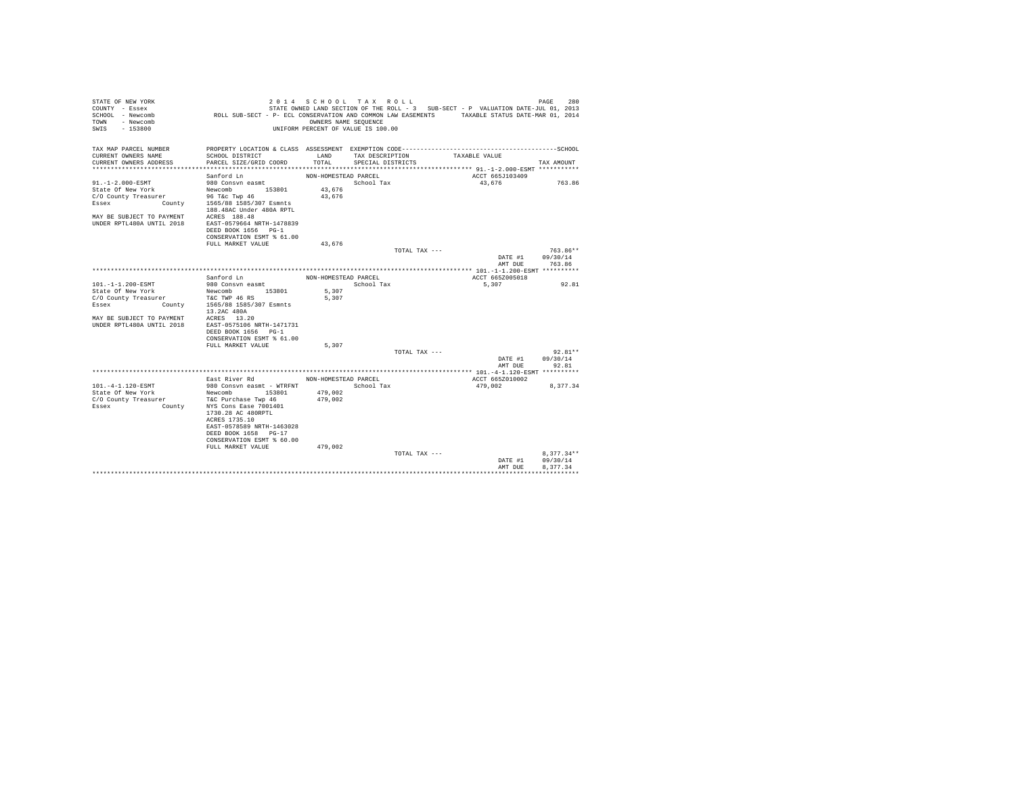| STATE OF NEW YORK<br>COUNTY - Essex<br>SCHOOL - Newcomb | ROLL SUB-SECT - P- ECL CONSERVATION AND COMMON LAW EASEMENTS TAXABLE STATUS DATE-MAR 01, 2014 | 2014 SCHOOL TAX ROLL                                       |                   |               | STATE OWNED LAND SECTION OF THE ROLL - 3 SUB-SECT - P VALUATION DATE-JUL 01, 2013 | PAGE<br>280           |
|---------------------------------------------------------|-----------------------------------------------------------------------------------------------|------------------------------------------------------------|-------------------|---------------|-----------------------------------------------------------------------------------|-----------------------|
| - Newcomb<br>TOWN<br>SWTS<br>$-153800$                  |                                                                                               | OWNERS NAME SEOUENCE<br>UNIFORM PERCENT OF VALUE IS 100.00 |                   |               |                                                                                   |                       |
| TAX MAP PARCEL NUMBER<br>CURRENT OWNERS NAME            | PROPERTY LOCATION & CLASS ASSESSMENT EXEMPTION CODE-----------------------<br>SCHOOL DISTRICT | LAND                                                       | TAX DESCRIPTION   |               | TAXABLE VALUE                                                                     | ---------------SCHOOL |
| CURRENT OWNERS ADDRESS                                  | PARCEL SIZE/GRID COORD                                                                        | TOTAL                                                      | SPECIAL DISTRICTS |               |                                                                                   | TAX AMOUNT            |
|                                                         |                                                                                               |                                                            |                   |               |                                                                                   |                       |
|                                                         | Sanford Ln                                                                                    | NON-HOMESTEAD PARCEL                                       |                   |               | ACCT 665J103409                                                                   |                       |
| $91. - 1 - 2.000 - ESMT$                                | 980 Consvn easmt                                                                              |                                                            | School Tax        |               | 43,676                                                                            | 763.86                |
| State Of New York                                       | Newcomb<br>153801                                                                             | 43,676<br>43.676                                           |                   |               |                                                                                   |                       |
| C/O County Treasurer<br>Essex                           | 96 T&c Twp 46<br>County 1565/88 1585/307 Esmnts<br>188.48AC Under 480A RPTL                   |                                                            |                   |               |                                                                                   |                       |
| MAY BE SUBJECT TO PAYMENT                               | ACRES 188.48                                                                                  |                                                            |                   |               |                                                                                   |                       |
| IINDER RPTL480A IINTIL 2018                             | EAST-0579664 NRTH-1478839                                                                     |                                                            |                   |               |                                                                                   |                       |
|                                                         | DEED BOOK 1656 PG-1                                                                           |                                                            |                   |               |                                                                                   |                       |
|                                                         | CONSERVATION ESMT % 61.00                                                                     |                                                            |                   |               |                                                                                   |                       |
|                                                         | FULL MARKET VALUE                                                                             | 43.676                                                     |                   |               |                                                                                   |                       |
|                                                         |                                                                                               |                                                            |                   | TOTAL TAX --- |                                                                                   | 763.86**              |
|                                                         |                                                                                               |                                                            |                   |               | DATE #1                                                                           | 09/30/14              |
|                                                         |                                                                                               |                                                            |                   |               | AMT DUE                                                                           | 763.86                |
|                                                         | Sanford Ln                                                                                    | NON-HOMESTEAD PARCEL                                       |                   |               | ACCT 665Z005018                                                                   |                       |
| 101.-1-1.200-ESMT                                       | 980 Consvn easmt                                                                              |                                                            | School Tax        |               | 5,307                                                                             | 92.81                 |
| State Of New York                                       | Newcomb 153801                                                                                | 5,307                                                      |                   |               |                                                                                   |                       |
| C/O County Treasurer                                    | T&C TWP 46 RS                                                                                 | 5.307                                                      |                   |               |                                                                                   |                       |
| County<br>Essex                                         | 1565/88 1585/307 Esmnts                                                                       |                                                            |                   |               |                                                                                   |                       |
|                                                         | 13.2AC 480A                                                                                   |                                                            |                   |               |                                                                                   |                       |
| MAY BE SUBJECT TO PAYMENT                               | ACRES 13.20                                                                                   |                                                            |                   |               |                                                                                   |                       |
| UNDER RPTL480A UNTIL 2018                               | EAST-0575106 NRTH-1471731<br>DEED BOOK 1656 PG-1                                              |                                                            |                   |               |                                                                                   |                       |
|                                                         | CONSERVATION ESMT % 61.00                                                                     |                                                            |                   |               |                                                                                   |                       |
|                                                         | FULL MARKET VALUE                                                                             | 5,307                                                      |                   |               |                                                                                   |                       |
|                                                         |                                                                                               |                                                            |                   | TOTAL TAX --- |                                                                                   | $92.81**$             |
|                                                         |                                                                                               |                                                            |                   |               | DATE #1                                                                           | 09/30/14              |
|                                                         |                                                                                               |                                                            |                   |               | AMT DUE                                                                           | 92.81                 |
|                                                         |                                                                                               |                                                            |                   |               |                                                                                   |                       |
| 101.-4-1.120-ESMT                                       | East River Rd<br>980 Consyn easmt - WTRFNT                                                    | NON-HOMESTEAD PARCEL                                       | School Tax        |               | ACCT 665Z010002<br>479.002                                                        | 8.377.34              |
| State Of New York                                       | Newcomb<br>153801                                                                             | 479,002                                                    |                   |               |                                                                                   |                       |
| C/O County Treasurer                                    | T&C Purchase Twp 46                                                                           | 479,002                                                    |                   |               |                                                                                   |                       |
| Essex<br>County                                         | NYS Cons Ease 7001401                                                                         |                                                            |                   |               |                                                                                   |                       |
|                                                         | 1730.28 AC 480RPTL                                                                            |                                                            |                   |               |                                                                                   |                       |
|                                                         | ACRES 1735.10                                                                                 |                                                            |                   |               |                                                                                   |                       |
|                                                         | EAST-0578589 NRTH-1463028                                                                     |                                                            |                   |               |                                                                                   |                       |
|                                                         | DEED BOOK 1658 PG-17                                                                          |                                                            |                   |               |                                                                                   |                       |
|                                                         | CONSERVATION ESMT % 60.00                                                                     |                                                            |                   |               |                                                                                   |                       |
|                                                         | FULL MARKET VALUE                                                                             | 479,002                                                    |                   | TOTAL TAX --- |                                                                                   | $8,377.34**$          |
|                                                         |                                                                                               |                                                            |                   |               | DATE #1                                                                           | 09/30/14              |
|                                                         |                                                                                               |                                                            |                   |               | AMT DUE                                                                           | 8.377.34              |
|                                                         |                                                                                               |                                                            |                   |               |                                                                                   |                       |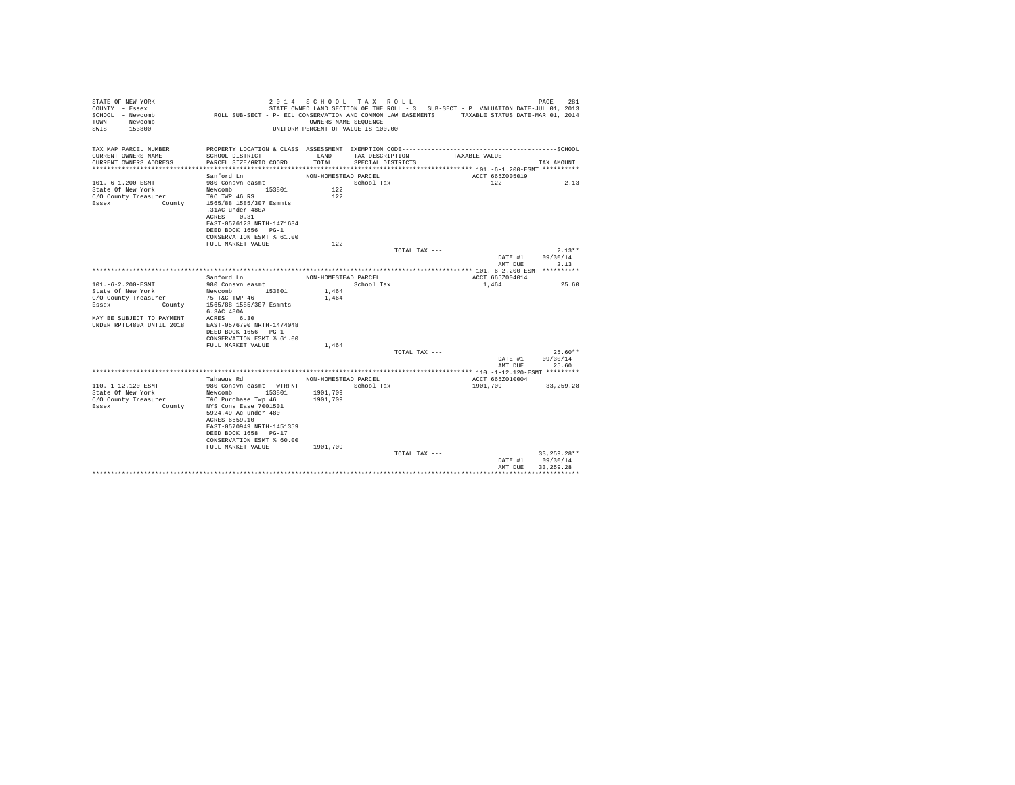| STATE OF NEW YORK<br>COUNTY - Essex   |                                                                                               | 2014 SCHOOL TAX ROLL               |                   |                 | STATE OWNED LAND SECTION OF THE ROLL - 3 SUB-SECT - P VALUATION DATE-JUL 01, 2013 |                    | 281<br>PAGE           |
|---------------------------------------|-----------------------------------------------------------------------------------------------|------------------------------------|-------------------|-----------------|-----------------------------------------------------------------------------------|--------------------|-----------------------|
| SCHOOL - Newcomb<br>TOWN<br>- Newcomb | ROLL SUB-SECT - P- ECL CONSERVATION AND COMMON LAW EASEMENTS TAXABLE STATUS DATE-MAR 01, 2014 | OWNERS NAME SEOUENCE               |                   |                 |                                                                                   |                    |                       |
| SWIS<br>- 153800                      |                                                                                               | UNIFORM PERCENT OF VALUE IS 100.00 |                   |                 |                                                                                   |                    |                       |
| TAX MAP PARCEL NUMBER                 | PROPERTY LOCATION & CLASS ASSESSMENT EXEMPTION CODE---------------------                      |                                    |                   |                 |                                                                                   |                    | ---------------SCHOOL |
| CURRENT OWNERS NAME                   | SCHOOL DISTRICT                                                                               | LAND                               | TAX DESCRIPTION   |                 | TAXABLE VALUE                                                                     |                    |                       |
| CURRENT OWNERS ADDRESS                | PARCEL SIZE/GRID COORD                                                                        | TOTAL                              | SPECIAL DISTRICTS |                 |                                                                                   |                    | TAX AMOUNT            |
|                                       | Sanford Ln                                                                                    | NON-HOMESTEAD PARCEL               |                   |                 |                                                                                   | ACCT 665Z005019    |                       |
| 101. -6-1.200-ESMT                    | 980 Consvn easmt                                                                              |                                    | School Tax        |                 |                                                                                   | 122                | 2.13                  |
| State Of New York                     | Newcomb 153801                                                                                | 122                                |                   |                 |                                                                                   |                    |                       |
| C/O County Treasurer                  | T&C TWP 46 RS                                                                                 | 122                                |                   |                 |                                                                                   |                    |                       |
| Essex<br>County                       | 1565/88 1585/307 Esmnts                                                                       |                                    |                   |                 |                                                                                   |                    |                       |
|                                       | .31AC under 480A<br>ACRES 0.31                                                                |                                    |                   |                 |                                                                                   |                    |                       |
|                                       | EAST-0576123 NRTH-1471634                                                                     |                                    |                   |                 |                                                                                   |                    |                       |
|                                       | DEED BOOK 1656 PG-1                                                                           |                                    |                   |                 |                                                                                   |                    |                       |
|                                       | CONSERVATION ESMT % 61.00                                                                     |                                    |                   |                 |                                                                                   |                    |                       |
|                                       | FULL MARKET VALUE                                                                             | 122                                |                   |                 |                                                                                   |                    |                       |
|                                       |                                                                                               |                                    |                   | TOTAL TAX ---   |                                                                                   |                    | $2.13**$              |
|                                       |                                                                                               |                                    |                   |                 |                                                                                   | DATE #1<br>AMT DUE | 09/30/14<br>2.13      |
|                                       |                                                                                               |                                    |                   |                 |                                                                                   |                    |                       |
|                                       | Sanford Ln                                                                                    | NON-HOMESTEAD PARCEL               |                   |                 |                                                                                   | ACCT 665Z004014    |                       |
| 101.-6-2.200-ESMT                     | 980 Consvn easmt                                                                              |                                    | School Tax        |                 | 1,464                                                                             |                    | 25.60                 |
| State Of New York                     | Newcomb 153801                                                                                | 1,464                              |                   |                 |                                                                                   |                    |                       |
| C/O County Treasurer                  | 75 T&C TWP 46                                                                                 | 1,464                              |                   |                 |                                                                                   |                    |                       |
| Essex                                 | County 1565/88 1585/307 Esmnts<br>6.3AC 480A                                                  |                                    |                   |                 |                                                                                   |                    |                       |
| MAY BE SUBJECT TO PAYMENT             | ACRES 6.30                                                                                    |                                    |                   |                 |                                                                                   |                    |                       |
| UNDER RPTL480A UNTIL 2018             | EAST-0576790 NRTH-1474048                                                                     |                                    |                   |                 |                                                                                   |                    |                       |
|                                       | DEED BOOK 1656 PG-1                                                                           |                                    |                   |                 |                                                                                   |                    |                       |
|                                       | CONSERVATION ESMT % 61.00                                                                     |                                    |                   |                 |                                                                                   |                    |                       |
|                                       | FULL MARKET VALUE                                                                             | 1,464                              |                   | TOTAL TAX $---$ |                                                                                   |                    | $25.60**$             |
|                                       |                                                                                               |                                    |                   |                 |                                                                                   | DATE #1            | 09/30/14              |
|                                       |                                                                                               |                                    |                   |                 |                                                                                   | AMT DUE            | 25.60                 |
|                                       |                                                                                               |                                    |                   |                 |                                                                                   |                    |                       |
| 110. -1-12.120-ESMT                   | Tahawus Rd                                                                                    | NON-HOMESTEAD PARCEL               |                   |                 |                                                                                   | ACCT 665Z010004    |                       |
| State Of New York                     | 980 Consyn easmt - WTRFNT<br>Newcomb<br>153801                                                | 1901,709                           | School Tax        |                 | 1901,709                                                                          |                    | 33, 259, 28           |
| C/O County Treasurer                  | T&C Purchase Twp 46                                                                           | 1901,709                           |                   |                 |                                                                                   |                    |                       |
| Essex<br>County                       | NYS Cons Ease 7001501                                                                         |                                    |                   |                 |                                                                                   |                    |                       |
|                                       | 5924.49 Ac under 480                                                                          |                                    |                   |                 |                                                                                   |                    |                       |
|                                       | ACRES 6659.10                                                                                 |                                    |                   |                 |                                                                                   |                    |                       |
|                                       | EAST-0570949 NRTH-1451359<br>DEED BOOK 1658 PG-17                                             |                                    |                   |                 |                                                                                   |                    |                       |
|                                       | CONSERVATION ESMT % 60.00                                                                     |                                    |                   |                 |                                                                                   |                    |                       |
|                                       | FULL MARKET VALUE                                                                             | 1901,709                           |                   |                 |                                                                                   |                    |                       |
|                                       |                                                                                               |                                    |                   | TOTAL TAX ---   |                                                                                   |                    | 33, 259. 28**         |
|                                       |                                                                                               |                                    |                   |                 |                                                                                   | DATE #1            | 09/30/14              |
|                                       |                                                                                               |                                    |                   |                 |                                                                                   | AMT DHE            | 33, 259, 28           |
|                                       |                                                                                               |                                    |                   |                 |                                                                                   |                    |                       |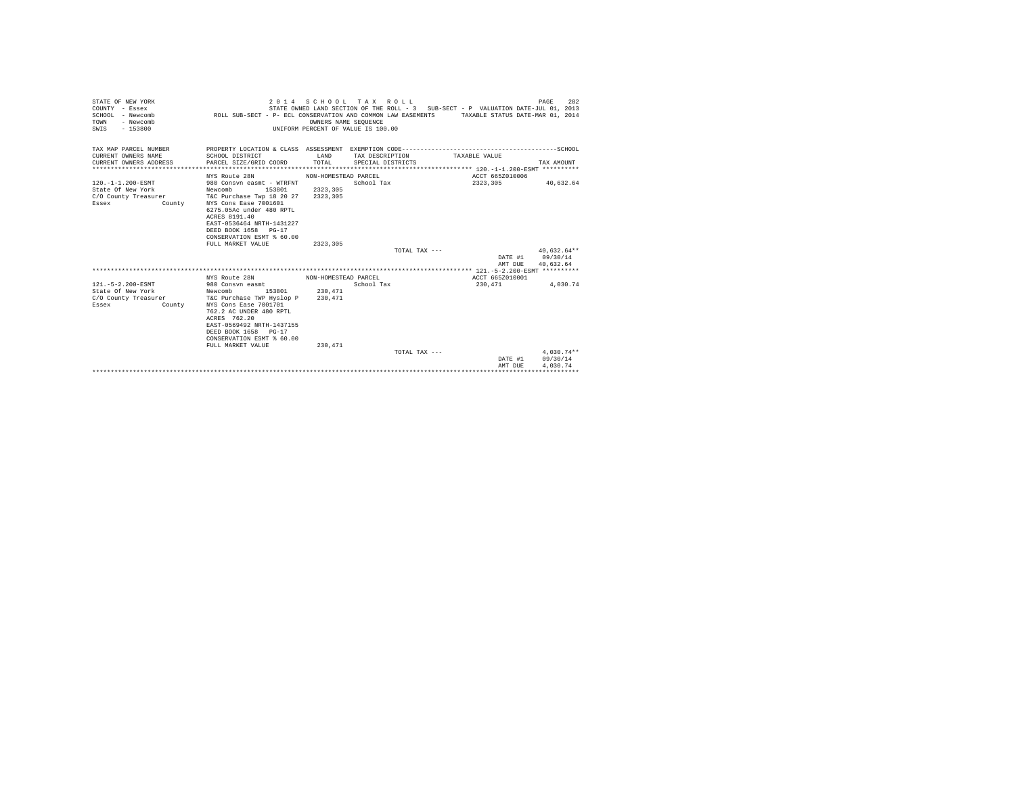| STATE OF NEW YORK<br>COUNTY - Essex<br>$SCHOM. - Newcomb$<br>TOWN<br>- Newcomb<br>$-153800$<br>SWIS |                                                                                                                                                                                                                                                          | OWNERS NAME SEOUENCE             | 2014 SCHOOL TAX ROLL<br>UNIFORM PERCENT OF VALUE IS 100.00 | STATE OWNED LAND SECTION OF THE ROLL - 3 SUB-SECT - P VALUATION DATE-JUL 01, 2013<br>ROLL SUB-SECT - P- ECL CONSERVATION AND COMMON LAW EASEMENTS TAXABLE STATUS DATE-MAR 01, 2014 | 282<br>PAGE                          |
|-----------------------------------------------------------------------------------------------------|----------------------------------------------------------------------------------------------------------------------------------------------------------------------------------------------------------------------------------------------------------|----------------------------------|------------------------------------------------------------|------------------------------------------------------------------------------------------------------------------------------------------------------------------------------------|--------------------------------------|
| TAX MAP PARCEL NUMBER<br>CURRENT OWNERS NAME<br>CURRENT OWNERS ADDRESS                              | SCHOOL DISTRICT<br>PARCEL SIZE/GRID COORD                                                                                                                                                                                                                | LAND<br>TOTAL                    | TAX DESCRIPTION<br>SPECIAL DISTRICTS                       | TAXABLE VALUE                                                                                                                                                                      | TAX AMOUNT                           |
|                                                                                                     |                                                                                                                                                                                                                                                          |                                  |                                                            |                                                                                                                                                                                    |                                      |
|                                                                                                     | NYS Route 28N                                                                                                                                                                                                                                            | NON-HOMESTEAD PARCEL             |                                                            | ACCT 665Z010006                                                                                                                                                                    |                                      |
| 120. -1-1.200-ESMT<br>State Of New York<br>C/O County Treasurer<br>Essex<br>County                  | 980 Consyn easmt - WTRFNT<br>153801<br>Newcomb<br>T&C Purchase Twp 18 20 27<br>NYS Cons Ease 7001601<br>6275.05Ac under 480 RPTL<br>ACRES 8191.40<br>EAST-0536464 NRTH-1431227<br>DEED BOOK 1658 PG-17<br>CONSERVATION ESMT % 60.00<br>FULL MARKET VALUE | 2323,305<br>2323,305<br>2323,305 | School Tax<br>TOTAL TAX ---                                | 2323,305                                                                                                                                                                           | 40.632.64<br>$40.632.64**$           |
|                                                                                                     |                                                                                                                                                                                                                                                          |                                  |                                                            | DATE #1                                                                                                                                                                            | 09/30/14                             |
|                                                                                                     |                                                                                                                                                                                                                                                          |                                  |                                                            | AMT DUE                                                                                                                                                                            | 40.632.64                            |
|                                                                                                     |                                                                                                                                                                                                                                                          |                                  |                                                            |                                                                                                                                                                                    |                                      |
|                                                                                                     | NYS Route 28N                                                                                                                                                                                                                                            | NON-HOMESTEAD PARCEL             |                                                            | ACCT 665Z010001                                                                                                                                                                    |                                      |
| 121. - 5 - 2.200 - ESMT<br>State Of New York<br>C/O County Treasurer<br>Essex<br>County             | 980 Consyn easmt<br>153801<br>Newcomb<br>T&C Purchase TWP Hyslop P<br>NYS Cons Ease 7001701<br>762.2 AC UNDER 480 RPTL<br>ACRES 762.20<br>EAST-0569492 NRTH-1437155<br>DEED BOOK 1658 PG-17<br>CONSERVATION ESMT % 60.00                                 | 230,471<br>230,471               | School Tax                                                 | 230.471                                                                                                                                                                            | 4.030.74                             |
|                                                                                                     | FULL MARKET VALUE                                                                                                                                                                                                                                        | 230.471                          |                                                            |                                                                                                                                                                                    |                                      |
|                                                                                                     |                                                                                                                                                                                                                                                          |                                  | TOTAL TAX ---                                              | DATE #1<br>AMT DUE                                                                                                                                                                 | $4.030.74**$<br>09/30/14<br>4.030.74 |
|                                                                                                     |                                                                                                                                                                                                                                                          |                                  |                                                            |                                                                                                                                                                                    |                                      |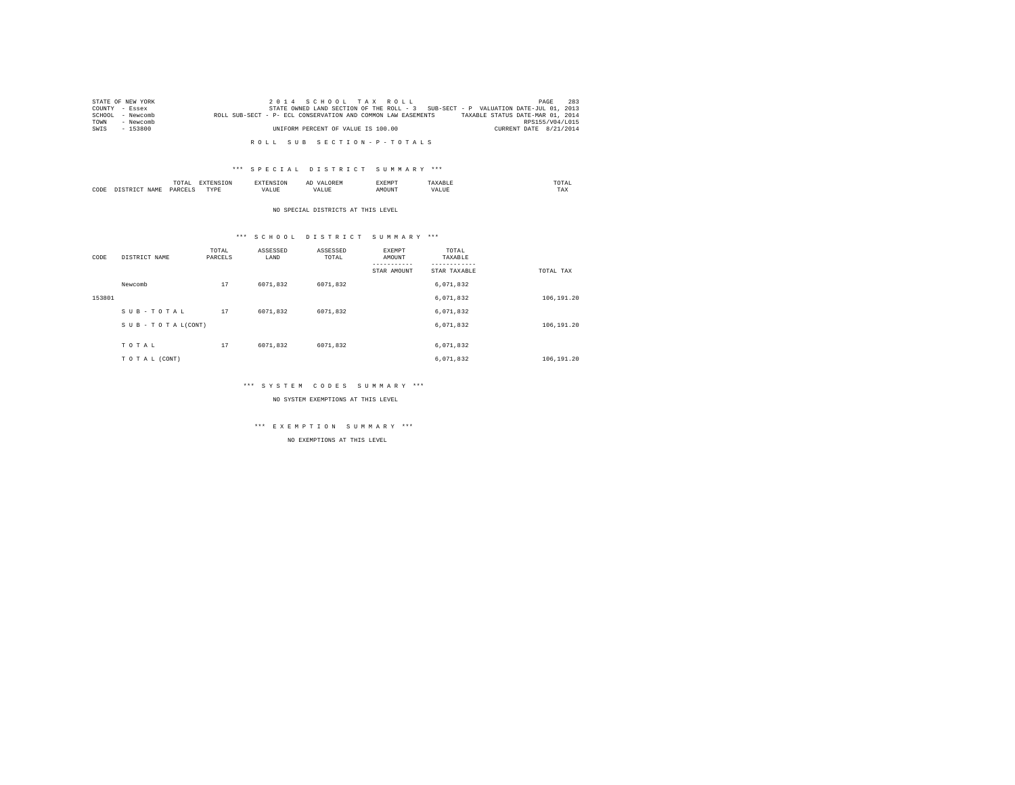|      | STATE OF NEW YORK | 2014 SCHOOL TAX ROLL                                                                             | PAGE            | 283 |
|------|-------------------|--------------------------------------------------------------------------------------------------|-----------------|-----|
|      | COUNTY - Essex    | STATE OWNED LAND SECTION OF THE ROLL - 3 SUB-SECT - P VALUATION DATE-JUL 01, 2013                |                 |     |
|      | SCHOOL - Newcomb  | TAXABLE STATUS DATE-MAR 01, 2014<br>ROLL SUB-SECT - P- ECL CONSERVATION AND COMMON LAW EASEMENTS |                 |     |
| TOWN | - Newcomb         |                                                                                                  | RPS155/V04/L015 |     |
| SWIS | - 153800          | UNIFORM PERCENT OF VALUE IS 100.00<br>CURRENT DATE 8/21/2014                                     |                 |     |
|      |                   |                                                                                                  |                 |     |

R O L L S U B S E C T I O N - P - T O T A L S

## \*\*\* S P E C I A L D I S T R I C T S U M M A R Y \*\*\*

|      |     | ----<br>TUTAI |   |     | SABMP |     | OTAI<br>the contract of the contract of the contract of |  |
|------|-----|---------------|---|-----|-------|-----|---------------------------------------------------------|--|
| CODE | J∆M | D A R         | . | , , |       | мa. | TAX                                                     |  |

NO SPECIAL DISTRICTS AT THIS LEVEL

## \*\*\* S C H O O L D I S T R I C T S U M M A R Y \*\*\*

| CODE   | DISTRICT NAME   | TOTAL<br>PARCELS | ASSESSED<br>LAND | ASSESSED<br>TOTAL | <b>EXEMPT</b><br>AMOUNT<br>STAR AMOUNT | TOTAL<br>TAXABLE<br>STAR TAXABLE | TOTAL TAX  |
|--------|-----------------|------------------|------------------|-------------------|----------------------------------------|----------------------------------|------------|
|        | Newcomb         | 17               | 6071.832         | 6071,832          |                                        | 6,071,832                        |            |
| 153801 |                 |                  |                  |                   |                                        | 6,071,832                        | 106,191.20 |
|        | SUB-TOTAL       | 17               | 6071.832         | 6071.832          |                                        | 6,071,832                        |            |
|        | SUB-TOTAL(CONT) |                  |                  |                   |                                        | 6,071,832                        | 106,191.20 |
|        | TOTAL           | 17               | 6071.832         | 6071.832          |                                        | 6.071.832                        |            |
|        | TO TAL (CONT)   |                  |                  |                   |                                        | 6,071,832                        | 106,191.20 |

## \*\*\* S Y S T E M C O D E S S U M M A R Y \*\*\*

NO SYSTEM EXEMPTIONS AT THIS LEVEL

# \*\*\* E X E M P T I O N S U M M A R Y \*\*\*

NO EXEMPTIONS AT THIS LEVEL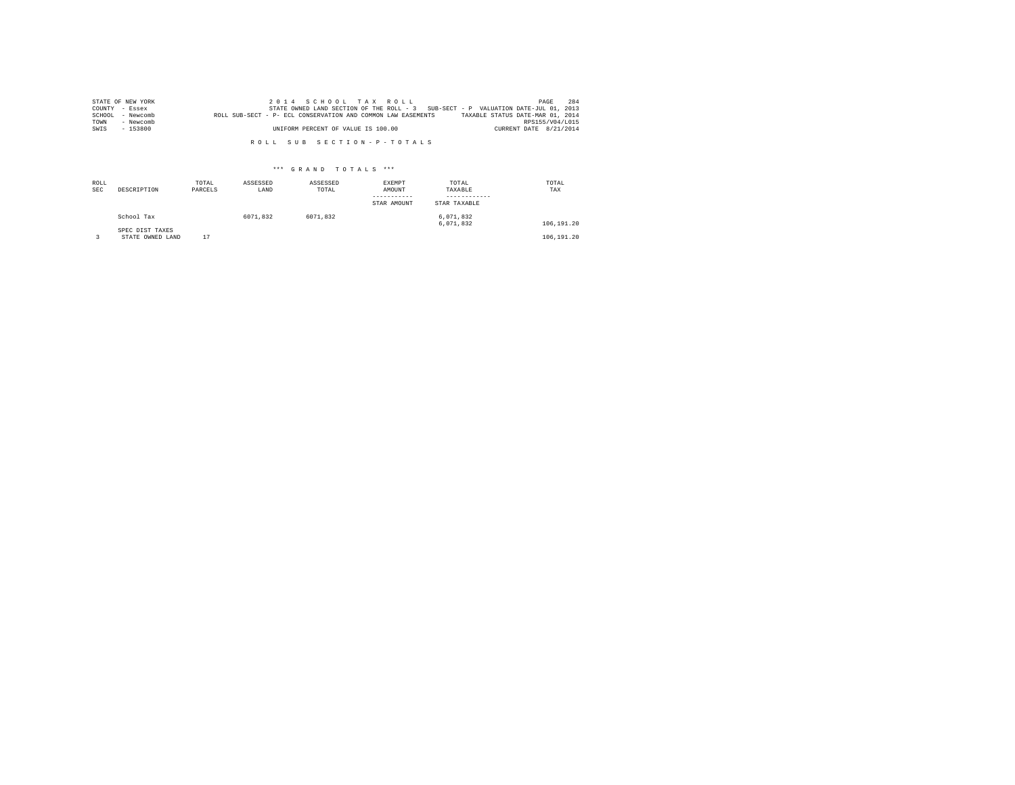|      | STATE OF NEW YORK |                                                              | 2014 SCHOOL TAX ROLL               |  |  | PAGE                                                                              | 284 |
|------|-------------------|--------------------------------------------------------------|------------------------------------|--|--|-----------------------------------------------------------------------------------|-----|
|      | COUNTY - Essex    |                                                              |                                    |  |  | STATE OWNED LAND SECTION OF THE ROLL - 3 SUB-SECT - P VALUATION DATE-JUL 01, 2013 |     |
|      | SCHOOL - Newcomb  | ROLL SUB-SECT - P- ECL CONSERVATION AND COMMON LAW EASEMENTS |                                    |  |  | TAXABLE STATUS DATE-MAR 01, 2014                                                  |     |
| TOWN | - Newcomb         |                                                              |                                    |  |  | RPS155/V04/L015                                                                   |     |
| SWIS | $-153800$         |                                                              | UNIFORM PERCENT OF VALUE IS 100.00 |  |  | CURRENT DATE 8/21/2014                                                            |     |

R O L L S U B S E C T I O N - P - T O T A L S

## \*\*\* G R A N D T O T A L S \*\*\*

| ROLL<br><b>SEC</b> | DESCRIPTION                         | TOTAL<br>PARCELS | ASSESSED<br>LAND | ASSESSED<br>TOTAL | EXEMPT<br>AMOUNT<br>STAR AMOUNT | TOTAL<br>TAXABLE<br>STAR TAXABLE | TOTAL<br>TAX |
|--------------------|-------------------------------------|------------------|------------------|-------------------|---------------------------------|----------------------------------|--------------|
|                    | School Tax                          |                  | 6071.832         | 6071.832          |                                 | 6,071,832<br>6.071.832           | 106,191.20   |
|                    | SPEC DIST TAXES<br>STATE OWNED LAND | 17               |                  |                   |                                 |                                  | 106,191.20   |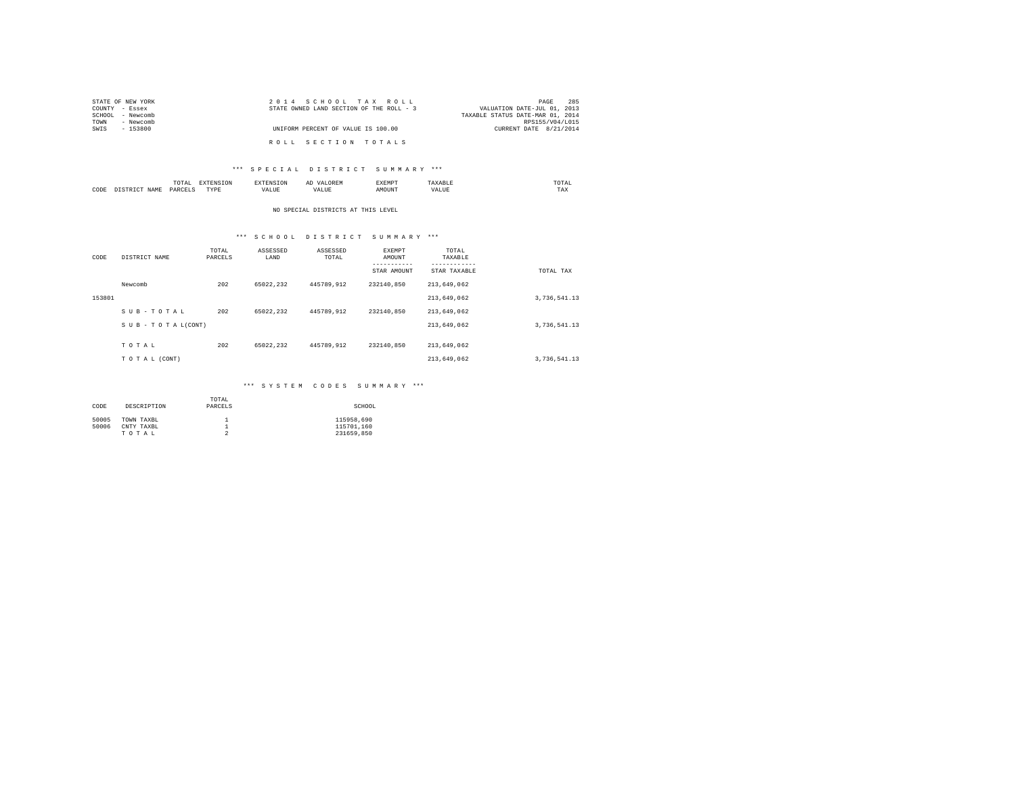| STATE OF NEW YORK | 2014 SCHOOL TAX ROLL                     | 285<br>PAGE                      |  |
|-------------------|------------------------------------------|----------------------------------|--|
| COUNTY - Essex    | STATE OWNED LAND SECTION OF THE ROLL - 3 | VALUATION DATE-JUL 01, 2013      |  |
| SCHOOL - Newcomb  |                                          | TAXABLE STATUS DATE-MAR 01, 2014 |  |
| - Newcomb<br>TOWN |                                          | RPS155/V04/L015                  |  |
| SWIS<br>- 153800  | UNIFORM PERCENT OF VALUE IS 100.00       | CURRENT DATE 8/21/2014           |  |
|                   | ROLL SECTION TOTALS                      |                                  |  |

## \*\*\* S P E C I A L D I S T R I C T S U M M A R Y \*\*\*

|      | .<br>the contract of the contract of the contract of | the contract of the contract of the contract of the contract of the contract of | ≖ | .<br>. | 7000 | the contract of the contract of the contract of |
|------|------------------------------------------------------|---------------------------------------------------------------------------------|---|--------|------|-------------------------------------------------|
| CODE | ODP'                                                 | M 19 L<br>.                                                                     |   | )UN'   |      | ⊥ ⊶∆                                            |

## NO SPECIAL DISTRICTS AT THIS LEVEL

## \*\*\* S C H O O L D I S T R I C T S U M M A R Y \*\*\*

| CODE   | DISTRICT NAME   | TOTAL<br>PARCELS | ASSESSED<br>LAND | ASSESSED<br>TOTAL | EXEMPT<br>AMOUNT | TOTAL<br>TAXABLE          |              |
|--------|-----------------|------------------|------------------|-------------------|------------------|---------------------------|--------------|
|        |                 |                  |                  |                   | STAR AMOUNT      | ---------<br>STAR TAXABLE | TOTAL TAX    |
|        | Newcomb         | 202              | 65022.232        | 445789.912        | 232140.850       | 213,649,062               |              |
| 153801 |                 |                  |                  |                   |                  | 213,649,062               | 3,736,541.13 |
|        | SUB-TOTAL       | 202              | 65022.232        | 445789.912        | 232140.850       | 213,649,062               |              |
|        | SUB-TOTAL(CONT) |                  |                  |                   |                  | 213,649,062               | 3,736,541.13 |
|        | TOTAL           | 202              | 65022.232        | 445789.912        | 232140.850       | 213,649,062               |              |
|        |                 |                  |                  |                   |                  |                           |              |
|        | TO TAL (CONT)   |                  |                  |                   |                  | 213,649,062               | 3,736,541.13 |

## \*\*\* S Y S T E M C O D E S S U M M A R Y \*\*\*

| CODE  | DESCRIPTION | TOTAL<br>PARCELS | SCHOOL     |
|-------|-------------|------------------|------------|
| 50005 | TOWN TAXBL  |                  | 115958.690 |
| 50006 | CNTY TAXBL  |                  | 115701.160 |
|       | TOTAL       | ≘                | 231659.850 |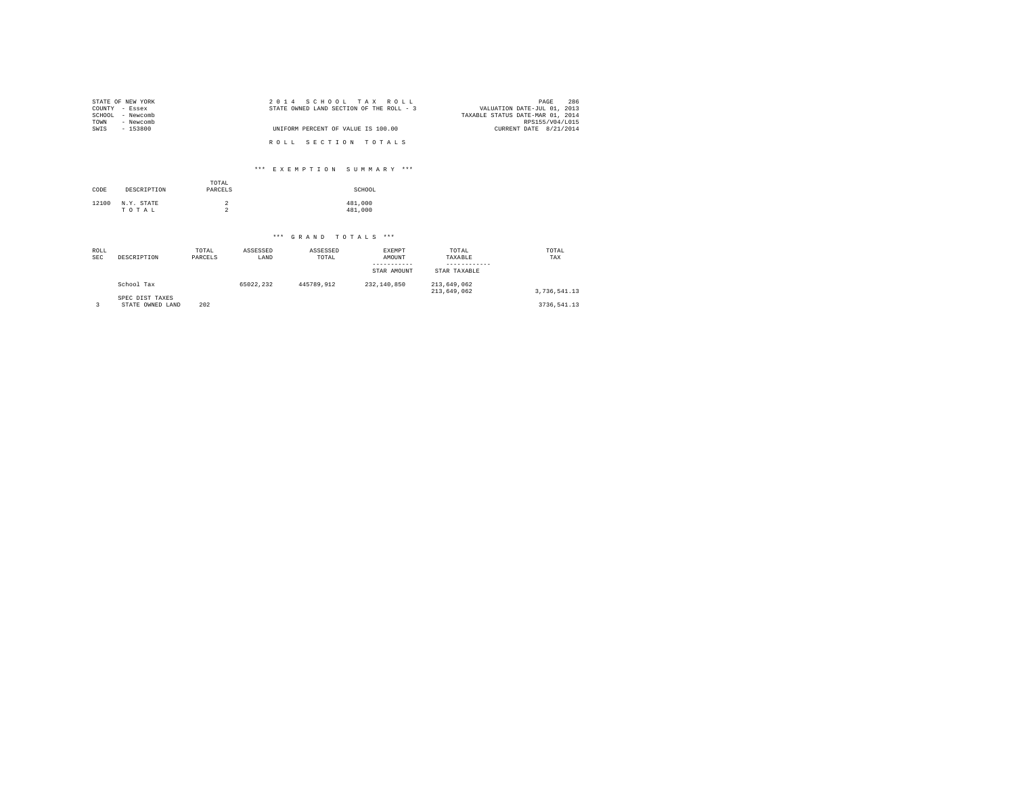| STATE OF NEW YORK<br>COUNTY - Essex<br>- Newcomb<br>SCHOOL<br>- Newcomb<br>TOWN | 2014 SCHOOL TAX ROLL<br>STATE OWNED LAND SECTION OF THE ROLL - 3 | 286<br>PAGE<br>VALUATION DATE-JUL 01, 2013<br>TAXABLE STATUS DATE-MAR 01, 2014<br>RPS155/V04/L015 |
|---------------------------------------------------------------------------------|------------------------------------------------------------------|---------------------------------------------------------------------------------------------------|
| $-153800$<br>SWIS                                                               | UNIFORM PERCENT OF VALUE IS 100.00                               | CURRENT DATE 8/21/2014                                                                            |
|                                                                                 | ROLL SECTION TOTALS                                              |                                                                                                   |
|                                                                                 | *** EXEMPTION SUMMARY ***                                        |                                                                                                   |

| CODE  | DESCRIPTION         | TOTAL<br>PARCELS | SCHOOL             |
|-------|---------------------|------------------|--------------------|
| 12100 | N.Y. STATE<br>TOTAL |                  | 481,000<br>481,000 |

# \*\*\* G R A N D T O T A L S \*\*\*

| ROLL<br><b>SEC</b> | DESCRIPTION                         | TOTAL<br>PARCELS | ASSESSED<br>LAND | ASSESSED<br>TOTAL | EXEMPT<br>AMOUNT<br>STAR AMOUNT | TOTAL<br>TAXABLE<br>STAR TAXABLE | TOTAL<br>TAX |
|--------------------|-------------------------------------|------------------|------------------|-------------------|---------------------------------|----------------------------------|--------------|
|                    | School Tax                          |                  | 65022.232        | 445789.912        | 232.140.850                     | 213,649,062<br>213.649.062       | 3.736.541.13 |
|                    | SPEC DIST TAXES<br>STATE OWNED LAND | 202              |                  |                   |                                 |                                  | 3736.541.13  |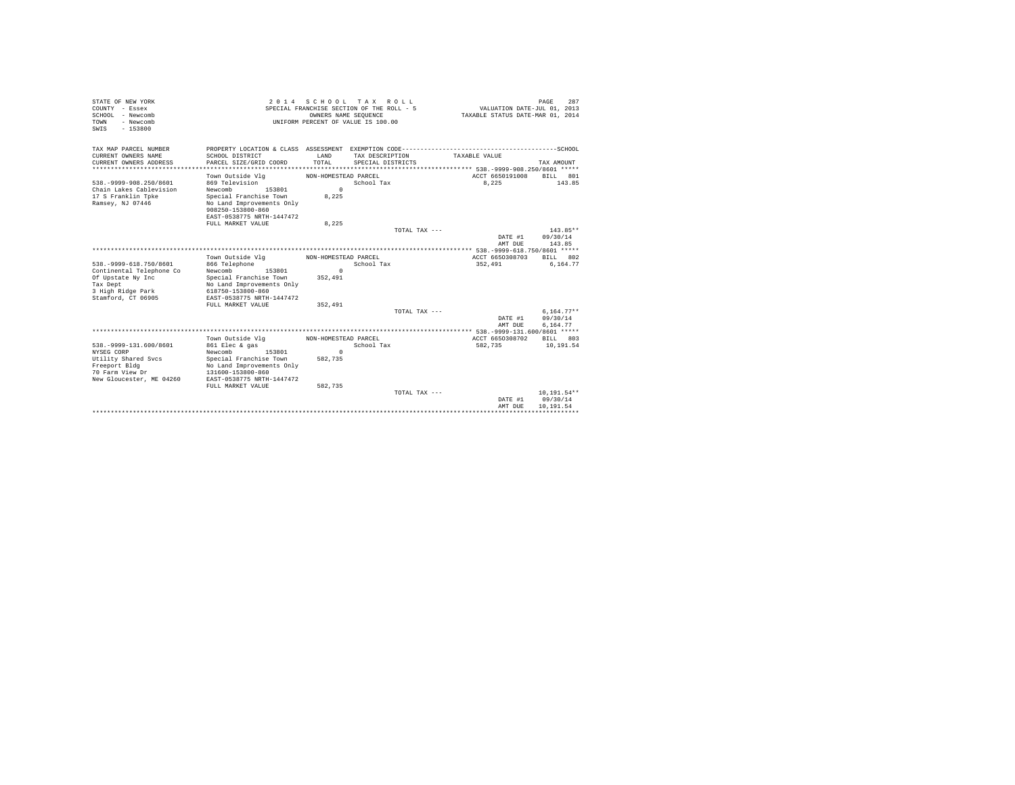| STATE OF NEW YORK<br>COUNTY - Essex<br>SCHOOL - Newcomb<br>- Newcomb<br>TOWN<br>$-153800$<br>SWIS                             | 2014 SCHOOL TAX ROLL<br>SPECIAL FRANCHISE SECTION OF THE ROLL - 5<br>OWNERS NAME SEQUENCE<br>UNIFORM PERCENT OF VALUE IS 100.00                                                       |                                                        |                                      | TAXABLE STATUS DATE-MAR 01, 2014 | 287<br>PAGE<br>VALUATION DATE-JUL 01, 2013 |
|-------------------------------------------------------------------------------------------------------------------------------|---------------------------------------------------------------------------------------------------------------------------------------------------------------------------------------|--------------------------------------------------------|--------------------------------------|----------------------------------|--------------------------------------------|
| TAX MAP PARCEL NUMBER                                                                                                         |                                                                                                                                                                                       |                                                        |                                      |                                  |                                            |
| CURRENT OWNERS NAME<br>CURRENT OWNERS ADDRESS<br>******************                                                           | SCHOOL DISTRICT<br>PARCEL SIZE/GRID COORD                                                                                                                                             | LAND<br>TOTAL                                          | TAX DESCRIPTION<br>SPECIAL DISTRICTS | TAXABLE VALUE                    | TAX AMOUNT                                 |
|                                                                                                                               | Town Outside Vlg                                                                                                                                                                      | NON-HOMESTEAD PARCEL                                   |                                      | ACCT 6650191008                  | BILL 801                                   |
| 538. - 9999 - 908. 250/8601<br>Chain Lakes Cablevision<br>17 S Franklin Toke<br>Ramsey, NJ 07446                              | 869 Television<br>153801<br>Newcomb<br>Special Franchise Town<br>No Land Improvements Only<br>908250-153800-860<br>EAST-0538775 NRTH-1447472<br>FULL MARKET VALUE                     | $\Omega$<br>8.225                                      | School Tax                           | 8.225                            | 143.85                                     |
|                                                                                                                               |                                                                                                                                                                                       | 8,225                                                  | TOTAL TAX ---                        |                                  | 143.85**                                   |
|                                                                                                                               |                                                                                                                                                                                       |                                                        |                                      | DATE #1<br>AMT DUE               | 09/30/14<br>143.85                         |
|                                                                                                                               |                                                                                                                                                                                       |                                                        |                                      |                                  |                                            |
| 538. - 9999-618. 750/8601<br>Continental Telephone Co<br>Of Upstate Ny Inc<br>Tax Dept                                        | Town Outside Vla<br>866 Telephone<br>Newcomb<br>153801<br>Special Franchise Town<br>No Land Improvements Only                                                                         | NON-HOMESTEAD PARCEL<br>$\mathbf{r}$<br>352,491        | School Tax                           | ACCT 6650308703<br>352,491       | RTT.T. 802<br>6,164.77                     |
| 3 High Ridge Park<br>Stamford, CT 06905                                                                                       | 618750-153800-860<br>EAST-0538775 NRTH-1447472<br>FULL MARKET VALUE                                                                                                                   | 352,491                                                |                                      |                                  |                                            |
|                                                                                                                               |                                                                                                                                                                                       |                                                        | TOTAL TAX ---                        | DATE #1<br>AMT DUE               | $6.164.77**$<br>09/30/14<br>6.164.77       |
|                                                                                                                               |                                                                                                                                                                                       |                                                        |                                      |                                  |                                            |
| 538. - 9999-131.600/8601<br>NYSEG CORP<br>Utility Shared Svcs<br>Freeport Bldg<br>70 Farm View Dr<br>New Gloucester, ME 04260 | Town Outside Vlg<br>861 Elec & gas<br>Newcomb<br>153801<br>Special Franchise Town<br>No Land Improvements Only<br>131600-153800-860<br>EAST-0538775 NRTH-1447472<br>FULL MARKET VALUE | NON-HOMESTEAD PARCEL<br>$\Omega$<br>582.735<br>582.735 | School Tax                           | ACCT 6650308702<br>582,735       | BILL 803<br>10,191.54                      |
|                                                                                                                               |                                                                                                                                                                                       |                                                        | TOTAL TAX ---                        | DATE #1<br>AMT DUE               | $10, 191.54**$<br>09/30/14<br>10.191.54    |
|                                                                                                                               |                                                                                                                                                                                       |                                                        |                                      |                                  |                                            |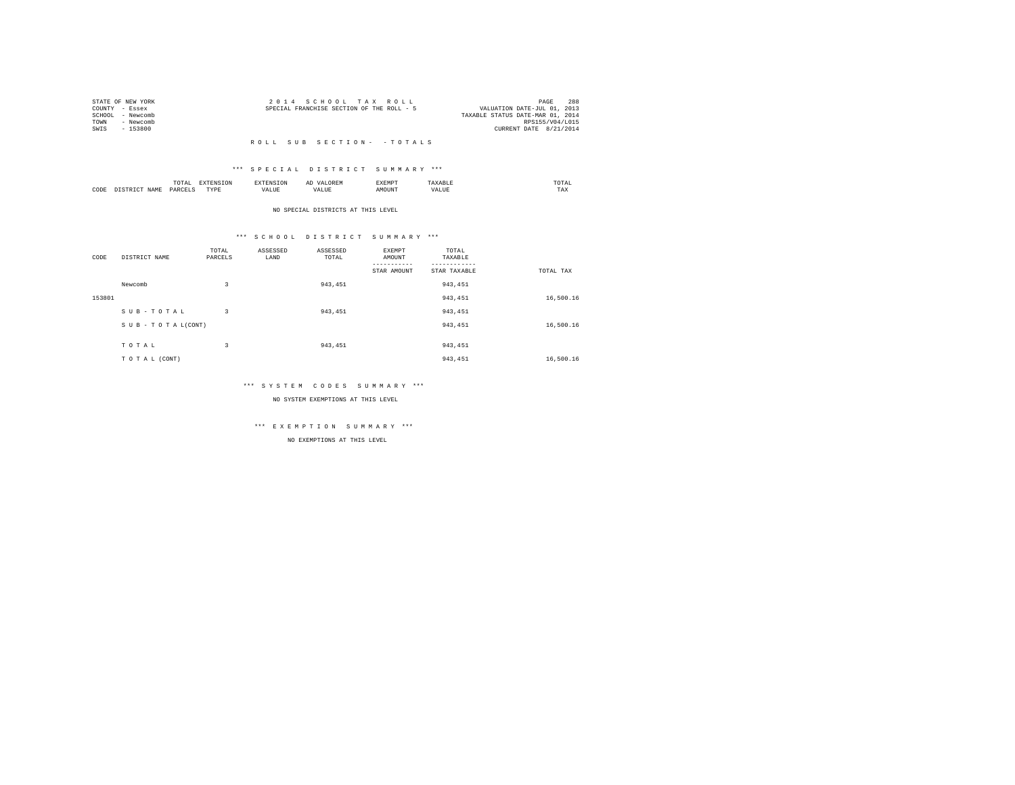|      | STATE OF NEW YORK | 2014 SCHOOL TAX ROLL                      | PAGE                        | 288 |
|------|-------------------|-------------------------------------------|-----------------------------|-----|
|      | COUNTY - Essex    | SPECIAL FRANCHISE SECTION OF THE ROLL - 5 | VALUATION DATE-JUL 01, 2013 |     |
|      | SCHOOL - Newcomb  | TAXABLE STATUS DATE-MAR 01, 2014          |                             |     |
| TOWN | - Newcomb         |                                           | RPS155/V04/L015             |     |
| SWTS | - 153800          |                                           | CURRENT DATE 8/21/2014      |     |
|      |                   |                                           |                             |     |

#### R O L L S U B S E C T I O N - - T O T A L S

## \*\*\* S P E C I A L D I S T R I C T S U M M A R Y \*\*\*

|      |      | 10171      |           |       |   | .XEMP" | 'I Al<br>the contract of the contract of the contract of |
|------|------|------------|-----------|-------|---|--------|----------------------------------------------------------|
| CODE | ч∆м. | DΔ⊧<br>. . | ----<br>. | - --- | . |        | 1 A.A                                                    |

NO SPECIAL DISTRICTS AT THIS LEVEL

## \*\*\* S C H O O L D I S T R I C T S U M M A R Y \*\*\*

| CODE   | DISTRICT NAME      | TOTAL<br>PARCELS | ASSESSED<br>LAND | ASSESSED<br>TOTAL | EXEMPT<br>AMOUNT | TOTAL<br>TAXABLE |           |
|--------|--------------------|------------------|------------------|-------------------|------------------|------------------|-----------|
|        |                    |                  |                  |                   | STAR AMOUNT      | STAR TAXABLE     | TOTAL TAX |
|        | Newcomb            | 3                |                  | 943.451           |                  | 943.451          |           |
| 153801 |                    |                  |                  |                   |                  | 943,451          | 16,500.16 |
|        | SUB-TOTAL          | 3                |                  | 943.451           |                  | 943.451          |           |
|        | SUB - TO TAL(CONT) |                  |                  |                   |                  | 943,451          | 16,500.16 |
|        |                    |                  |                  |                   |                  |                  |           |
|        | TOTAL              | 3                |                  | 943.451           |                  | 943.451          |           |
|        | TO TAL (CONT)      |                  |                  |                   |                  | 943.451          | 16,500.16 |

## \*\*\* S Y S T E M C O D E S S U M M A R Y \*\*\*

NO SYSTEM EXEMPTIONS AT THIS LEVEL

# \*\*\* E X E M P T I O N S U M M A R Y \*\*\*

NO EXEMPTIONS AT THIS LEVEL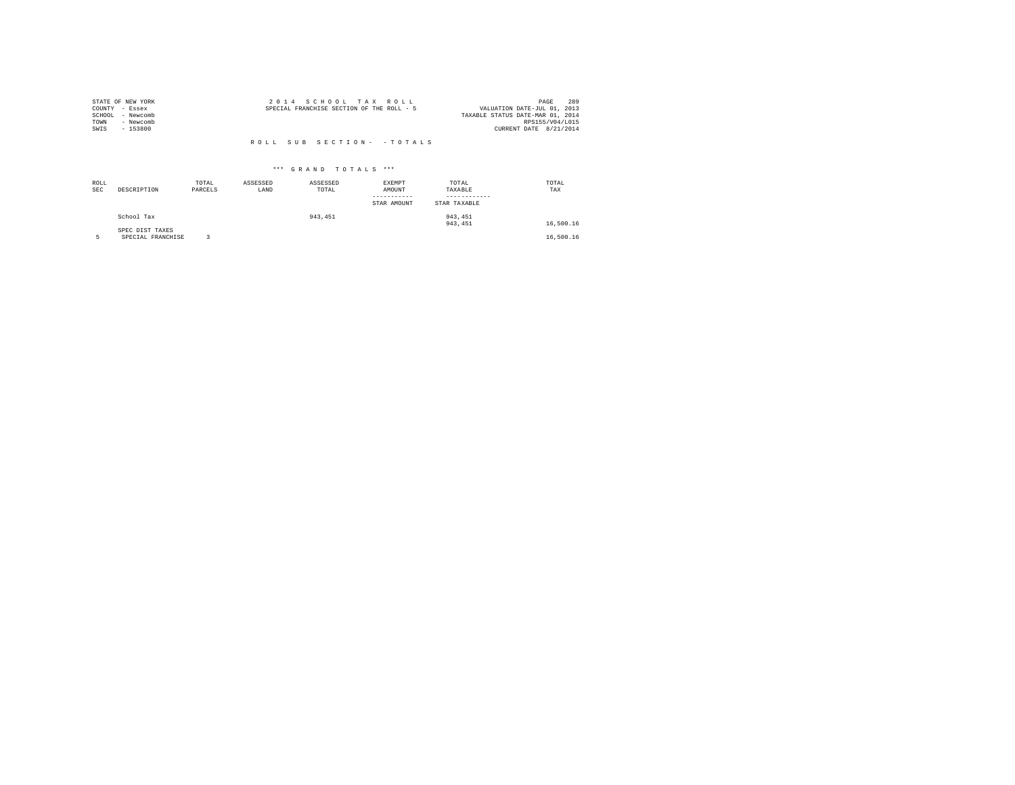|                | STATE OF NEW YORK | 2014 SCHOOL TAX ROLL                                                     | 289<br>PAGE            |
|----------------|-------------------|--------------------------------------------------------------------------|------------------------|
| COUNTY - Essex |                   | VALUATION DATE-JUL 01, 2013<br>SPECIAL FRANCHISE SECTION OF THE ROLL - 5 |                        |
|                | SCHOOL - Newcomb  | TAXABLE STATUS DATE-MAR 01, 2014                                         |                        |
| TOWN           | - Newcomb         |                                                                          | RPS155/V04/L015        |
| SWIS           | - 153800          |                                                                          | CURRENT DATE 8/21/2014 |
|                |                   |                                                                          |                        |
|                |                   | ROLL SUB SECTION- - TOTALS                                               |                        |

| ROLL<br>SEC | DESCRIPTION                          | TOTAL<br>PARCELS | ASSESSED<br>LAND | ASSESSED<br>TOTAL | EXEMPT<br>AMOUNT<br>STAR AMOUNT | TOTAL<br>TAXABLE<br>STAR TAXABLE | TOTAL<br>TAX |
|-------------|--------------------------------------|------------------|------------------|-------------------|---------------------------------|----------------------------------|--------------|
|             | School Tax                           |                  |                  | 943.451           |                                 | 943, 451<br>943, 451             | 16,500.16    |
|             | SPEC DIST TAXES<br>SPECIAL FRANCHISE |                  |                  |                   |                                 |                                  | 16,500.16    |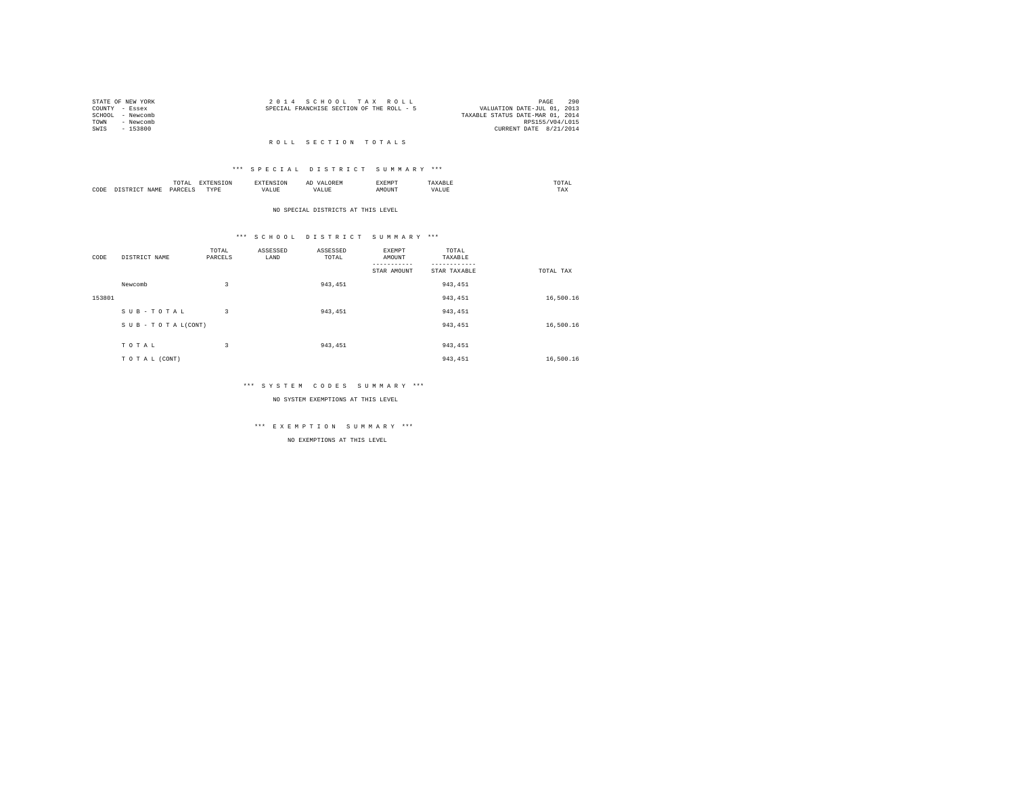| STATE OF NEW YORK |           | 2014 SCHOOL TAX ROLL                      |  |  |                                  |                 | PAGE | 290 |
|-------------------|-----------|-------------------------------------------|--|--|----------------------------------|-----------------|------|-----|
| COUNTY - Essex    |           | SPECIAL FRANCHISE SECTION OF THE ROLL - 5 |  |  | VALUATION DATE-JUL 01, 2013      |                 |      |     |
| SCHOOL - Newcomb  |           |                                           |  |  | TAXABLE STATUS DATE-MAR 01, 2014 |                 |      |     |
| TOWN              | - Newcomb |                                           |  |  |                                  | RPS155/V04/L015 |      |     |
| SWIS              | - 153800  |                                           |  |  | CURRENT DATE 8/21/2014           |                 |      |     |
|                   |           |                                           |  |  |                                  |                 |      |     |

#### R O L L S E C T I O N T O T A L S

### \*\*\* S P E C I A L D I S T R I C T S U M M A R Y \*\*\*

|      |     | .   | the contract of the contract of the contract of the contract of the contract of the contract of the contract of |       | .   | SXEMP" | /LAL<br>the contract of the contract of the contract of |
|------|-----|-----|-----------------------------------------------------------------------------------------------------------------|-------|-----|--------|---------------------------------------------------------|
| CODE | JΔM | ط∆ت | TVD<br>.                                                                                                        | - --- | ι Δ |        | TAX                                                     |

NO SPECIAL DISTRICTS AT THIS LEVEL

### \*\*\* S C H O O L D I S T R I C T S U M M A R Y \*\*\*

| CODE   | DISTRICT NAME      | TOTAL<br>PARCELS | ASSESSED<br>LAND | ASSESSED<br>TOTAL | EXEMPT<br>AMOUNT | TOTAL<br>TAXABLE |           |
|--------|--------------------|------------------|------------------|-------------------|------------------|------------------|-----------|
|        |                    |                  |                  |                   | STAR AMOUNT      | STAR TAXABLE     | TOTAL TAX |
|        |                    |                  |                  |                   |                  |                  |           |
|        | Newcomb            | 3                |                  | 943.451           |                  | 943.451          |           |
| 153801 |                    |                  |                  |                   |                  | 943,451          | 16,500.16 |
|        | SUB-TOTAL          | 3                |                  | 943.451           |                  | 943.451          |           |
|        | SUB - TO TAL(CONT) |                  |                  |                   |                  | 943,451          | 16,500.16 |
|        |                    |                  |                  |                   |                  |                  |           |
|        | TOTAL              | 3                |                  | 943.451           |                  | 943.451          |           |
|        | TO TAL (CONT)      |                  |                  |                   |                  | 943.451          | 16,500.16 |

### \*\*\* S Y S T E M C O D E S S U M M A R Y \*\*\*

NO SYSTEM EXEMPTIONS AT THIS LEVEL

# \*\*\* E X E M P T I O N S U M M A R Y \*\*\*

NO EXEMPTIONS AT THIS LEVEL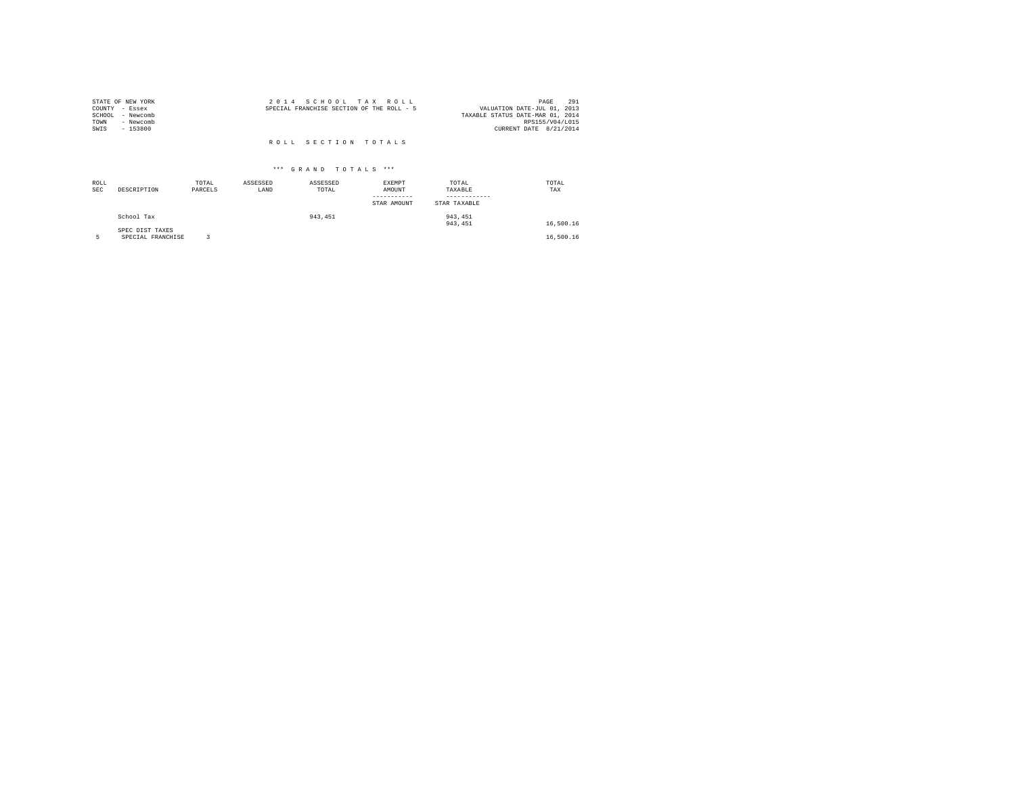| 2014 SCHOOL TAX ROLL                      | 291<br>PAGE                      |
|-------------------------------------------|----------------------------------|
| SPECIAL FRANCHISE SECTION OF THE ROLL - 5 | VALUATION DATE-JUL 01, 2013      |
|                                           | TAXABLE STATUS DATE-MAR 01, 2014 |
|                                           | RPS155/V04/L015                  |
|                                           | CURRENT DATE 8/21/2014           |
|                                           |                                  |
| ROLL SECTION TOTALS                       |                                  |
|                                           |                                  |

| ROLL<br><b>SEC</b> | DESCRIPTION                          | TOTAL<br>PARCELS | ASSESSED<br>LAND | ASSESSED<br>TOTAL | <b>EXEMPT</b><br>AMOUNT<br>STAR AMOUNT | TOTAL<br>TAXABLE<br>STAR TAXABLE | TOTAL<br>TAX |
|--------------------|--------------------------------------|------------------|------------------|-------------------|----------------------------------------|----------------------------------|--------------|
|                    | School Tax                           |                  |                  | 943,451           |                                        | 943, 451<br>943, 451             | 16,500.16    |
|                    | SPEC DIST TAXES<br>SPECIAL FRANCHISE |                  |                  |                   |                                        |                                  | 16,500.16    |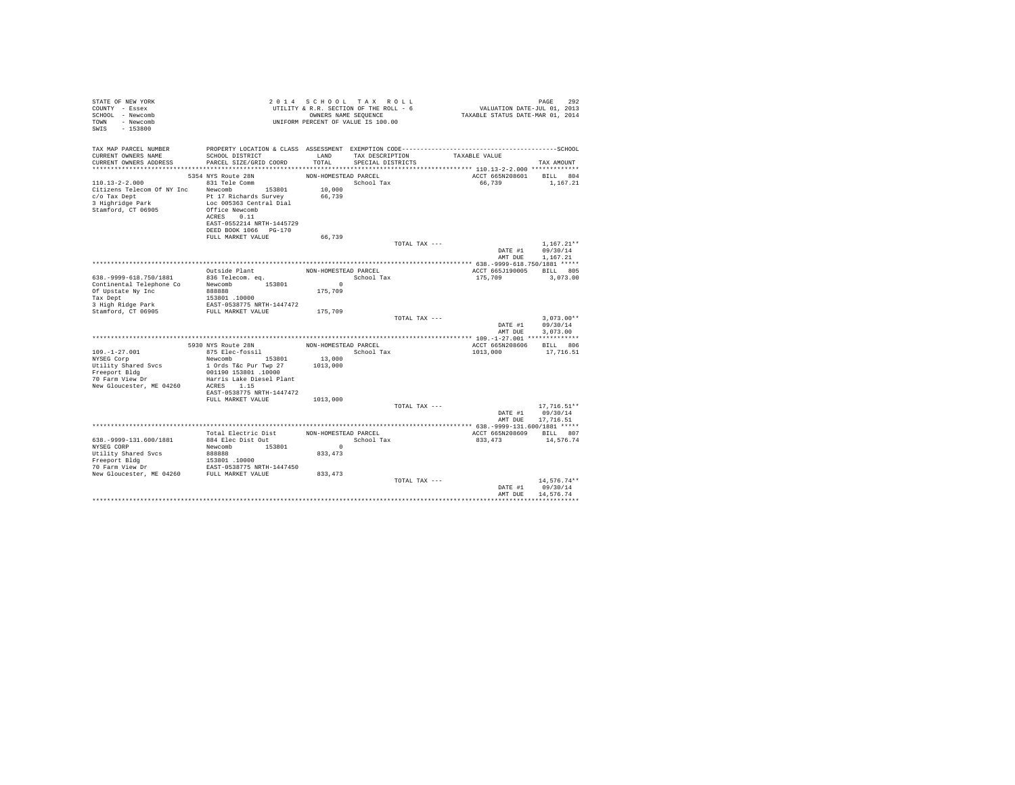| STATE OF NEW YORK<br>COUNTY - Essex<br>SCHOOL - Newcomb<br>TOWN - Newcomb<br>SWIS - 153800                               |                                                                                                                                                                                                             |                                             | 2014 SCHOOL TAX ROLL<br>UTILITY & R.R. SECTION OF THE ROLL - 6<br>OWNERS NAME SEQUENCE<br>UNIFORM PERCENT OF VALUE IS 100.00 | PAGE 292<br>2013 VALUATION DATE-JUL<br>2014 TAXABLE STATUS DATE-MAR | PAGE<br>292                                    |
|--------------------------------------------------------------------------------------------------------------------------|-------------------------------------------------------------------------------------------------------------------------------------------------------------------------------------------------------------|---------------------------------------------|------------------------------------------------------------------------------------------------------------------------------|---------------------------------------------------------------------|------------------------------------------------|
| TAX MAP PARCEL NUMBER<br>CURRENT OWNERS NAME<br>CURRENT OWNERS ADDRESS                                                   | SCHOOL DISTRICT<br>PARCEL SIZE/GRID COORD                                                                                                                                                                   | LAND<br>TOTAL                               | TAX DESCRIPTION<br>SPECIAL DISTRICTS                                                                                         | TAXABLE VALUE                                                       | TAX AMOUNT                                     |
| 110.13-2-2.000 831 Tele Comm<br>Citizens Telecom Of NY Inc Newcomb 153801                                                | 5354 NYS Route 28N<br>Loc 005363 Central Dial<br>ACRES 0.11<br>EAST-0552214 NRTH-1445729<br>DEED BOOK 1066 PG-170                                                                                           | NON-HOMESTEAD PARCEL<br>66,739              | $\begin{minipage}{.4\linewidth} \textbf{School Tax} \\ \textbf{10,000} \end{minipage}$                                       | ACCT 665N208601 BILL 804<br>66,739                                  | 1,167.21                                       |
|                                                                                                                          | FULL MARKET VALUE                                                                                                                                                                                           | 66,739                                      | TOTAL TAX ---                                                                                                                | AMT DUE                                                             | $1.167.21**$<br>DATE #1 09/30/14<br>1,167.21   |
|                                                                                                                          |                                                                                                                                                                                                             |                                             |                                                                                                                              |                                                                     |                                                |
| 638. - 9999-618. 750/1881<br>Continental Telephone Co Newcomb 153801<br>Of Upstate Ny Inc 888888<br>Tax Dept             | Outside Plant<br>836 Telecom. eq.<br>153801 .10000                                                                                                                                                          | $\sim$ 0<br>175,709                         | NON-HOMESTEAD PARCEL<br>School Tax                                                                                           | ACCT 665J190005 BILL 805<br>175,709                                 | 3,073.00                                       |
| 3 High Ridge Park<br>Stamford, CT 06905                                                                                  | EAST-0538775 NRTH-1447472<br>FULL MARKET VALUE                                                                                                                                                              | 175,709                                     |                                                                                                                              |                                                                     |                                                |
|                                                                                                                          |                                                                                                                                                                                                             |                                             | TOTAL TAX ---                                                                                                                | DATE #1<br>AMT DUE                                                  | $3.073.00**$<br>09/30/14<br>3,073,00           |
|                                                                                                                          |                                                                                                                                                                                                             |                                             |                                                                                                                              |                                                                     |                                                |
| $109. - 1 - 27.001$<br>NYSEG Corp<br>Utility Shared Svcs<br>Freeport Bldg<br>70 Farm View Dr<br>New Gloucester, ME 04260 | 5930 NYS Route 28N NON-HOMESTEAD PARCEL<br>875 Elec-fossil<br>Newcomb 153801 13,000<br>1 Ords T&c Pur Twp 27<br>001190 153801 .10000<br>Harris Lake Diesel Plant<br>ACRES 1.15<br>EAST-0538775 NRTH-1447472 | 1013,000                                    | School Tax                                                                                                                   | ACCT 665N208606<br>1013,000                                         | BILL 806<br>17,716.51                          |
|                                                                                                                          | FULL MARKET VALUE                                                                                                                                                                                           | 1013,000                                    |                                                                                                                              |                                                                     |                                                |
|                                                                                                                          |                                                                                                                                                                                                             |                                             | TOTAL TAX ---                                                                                                                | AMT DUE                                                             | $17,716.51**$<br>DATE #1 09/30/14<br>17,716.51 |
|                                                                                                                          |                                                                                                                                                                                                             |                                             |                                                                                                                              |                                                                     |                                                |
| 638. - 9999-131. 600/1881<br>NYSEG CORP<br>Utility Shared Svcs                                                           | Total Electric Dist<br>884 Elec Dist Out<br>Newcomb 153801<br>888888                                                                                                                                        | NON-HOMESTEAD PARCEL<br>$\Omega$<br>833,473 | School Tax                                                                                                                   | ACCT 665N208609 BILL 807<br>833, 473 14, 576. 74                    |                                                |
|                                                                                                                          |                                                                                                                                                                                                             |                                             | TOTAL TAX ---                                                                                                                | DATE #1<br>AMT DUE                                                  | 14.576.74**<br>09/30/14<br>14.576.74           |
|                                                                                                                          |                                                                                                                                                                                                             |                                             |                                                                                                                              |                                                                     |                                                |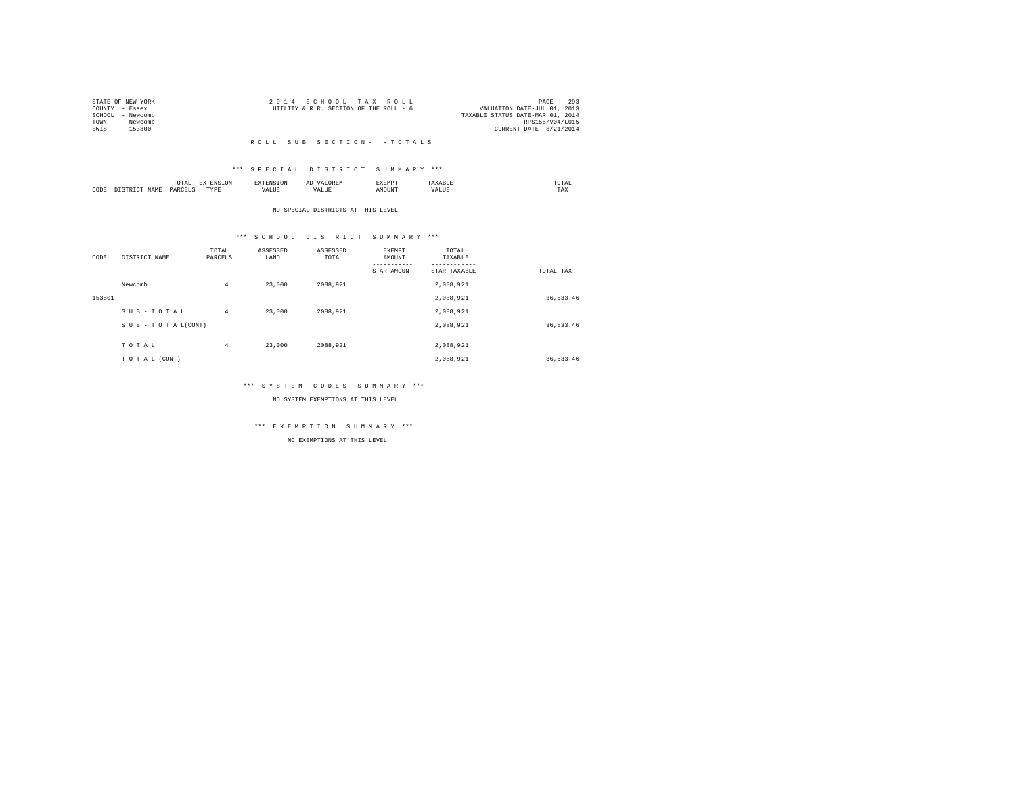|                | STATE OF NEW YORK | 2014 SCHOOL TAX ROLL                   |  |  | 293<br>PAGE                      |
|----------------|-------------------|----------------------------------------|--|--|----------------------------------|
| COUNTY - Essex |                   | UTILITY & R.R. SECTION OF THE ROLL - 6 |  |  | VALUATION DATE-JUL 01, 2013      |
|                | SCHOOL - Newcomb  |                                        |  |  | TAXABLE STATUS DATE-MAR 01, 2014 |
| TOWN           | - Newcomb         |                                        |  |  | RPS155/V04/L015                  |
| SWIS           | - 153800          |                                        |  |  | CURRENT DATE 8/21/2014           |
|                |                   |                                        |  |  |                                  |

#### R O L L S U B S E C T I O N - - T O T A L S

### \*\*\* S P E C I A L D I S T R I C T S U M M A R Y \*\*\*

|      |       | .               |                  |       | $\cdots$<br>- | CXEMP" | JIAL<br>the contract of the contract of the contract of |
|------|-------|-----------------|------------------|-------|---------------|--------|---------------------------------------------------------|
| CODE | VT∆MT | <b>UAW</b><br>. | <b>TVDI</b><br>. | - --- | <u>гд,</u>    |        | 1'AX                                                    |

#### NO SPECIAL DISTRICTS AT THIS LEVEL

### \*\*\* S C H O O L D I S T R I C T S U M M A R Y \*\*\*

| CODE   | DISTRICT NAME      | TOTAL<br>PARCELS | ASSESSED<br>LAND | ASSESSED<br>TOTAL | EXEMPT<br>AMOUNT<br>STAR AMOUNT | TOTAL<br>TAXABLE<br>STAR TAXABLE | TOTAL TAX |
|--------|--------------------|------------------|------------------|-------------------|---------------------------------|----------------------------------|-----------|
|        | Newcomb            | 4                | 23,000           | 2088.921          |                                 | 2,088,921                        |           |
| 153801 |                    |                  |                  |                   |                                 | 2,088,921                        | 36,533.46 |
|        | SUB-TOTAL          | 4                | 23,000           | 2088.921          |                                 | 2.088.921                        |           |
|        | SUB - TO TAL(CONT) |                  |                  |                   |                                 | 2,088,921                        | 36,533.46 |
|        | TOTAL              | 4                | 23,000           | 2088.921          |                                 | 2,088,921                        |           |
|        | TO TAL (CONT)      |                  |                  |                   |                                 | 2.088.921                        | 36,533.46 |

### \*\*\* S Y S T E M C O D E S S U M M A R Y \*\*\*

NO SYSTEM EXEMPTIONS AT THIS LEVEL

## \*\*\* E X E M P T I O N S U M M A R Y \*\*\*

NO EXEMPTIONS AT THIS LEVEL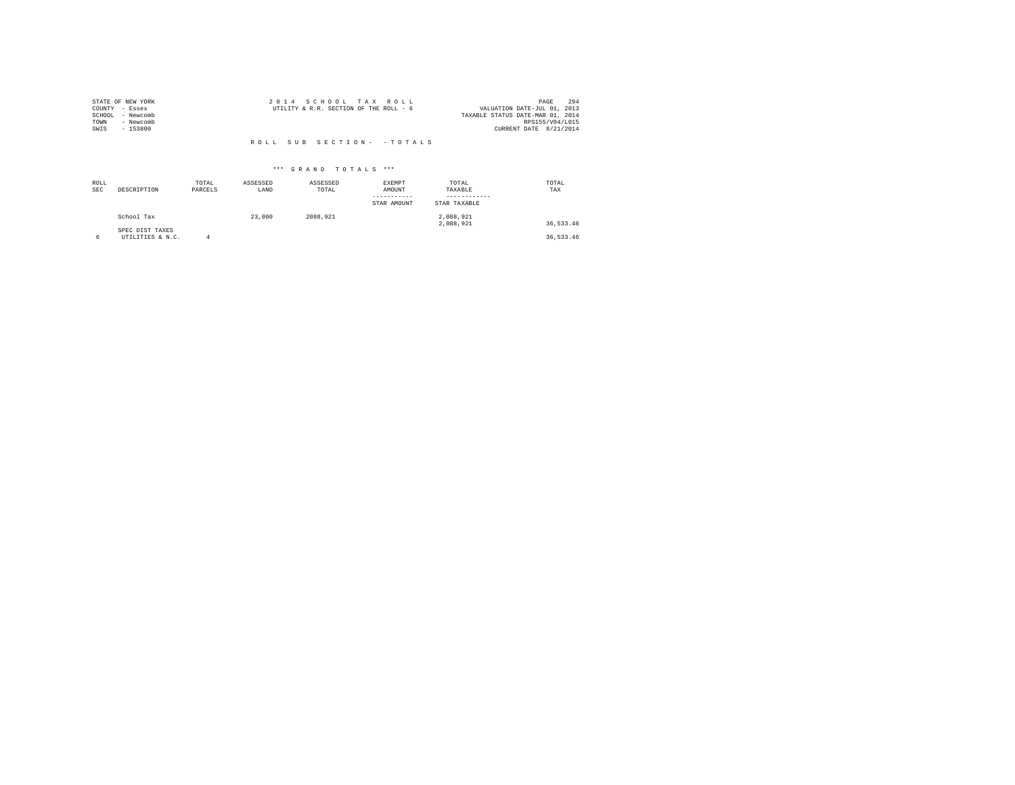|                | STATE OF NEW YORK | 2014 SCHOOL TAX ROLL                                                  | 294<br>PAGE            |
|----------------|-------------------|-----------------------------------------------------------------------|------------------------|
| COUNTY - Essex |                   | VALUATION DATE-JUL 01, 2013<br>UTILITY & R.R. SECTION OF THE ROLL - 6 |                        |
|                | SCHOOL - Newcomb  | TAXABLE STATUS DATE-MAR 01, 2014                                      |                        |
| TOWN           | - Newcomb         |                                                                       | RPS155/V04/L015        |
| SWIS           | $-153800$         |                                                                       | CURRENT DATE 8/21/2014 |
|                |                   |                                                                       |                        |
|                |                   | ROLL SUB SECTION- - TOTALS                                            |                        |

| ROLL<br><b>SEC</b> | DESCRIPTION                         | TOTAL<br>PARCELS | ASSESSED<br>LAND | ASSESSED<br>TOTAL | EXEMPT<br>AMOUNT<br>STAR AMOUNT | TOTAL<br>TAXABLE<br>STAR TAXABLE | TOTAL<br>TAX |
|--------------------|-------------------------------------|------------------|------------------|-------------------|---------------------------------|----------------------------------|--------------|
|                    | School Tax                          |                  | 23,000           | 2088.921          |                                 | 2,088,921<br>2.088.921           | 36,533.46    |
| 6                  | SPEC DIST TAXES<br>UTILITIES & N.C. |                  |                  |                   |                                 |                                  | 36,533.46    |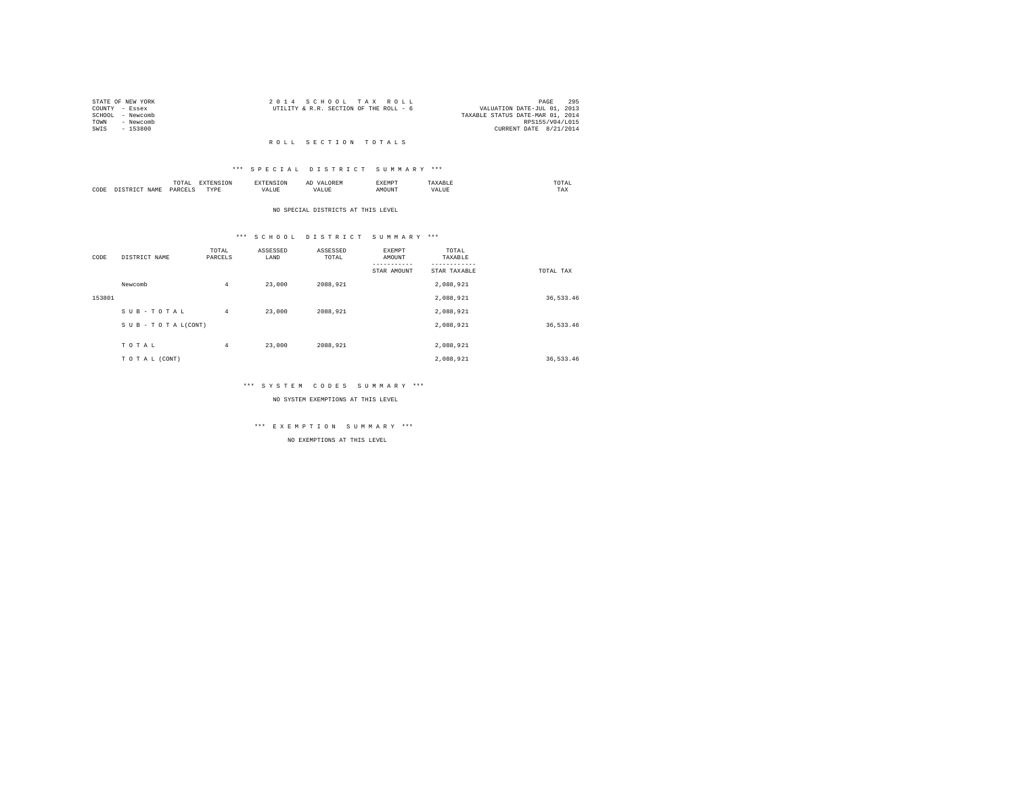|                | STATE OF NEW YORK | 2014 SCHOOL TAX ROLL                   |  |                                  | PAGE                   | 295 |
|----------------|-------------------|----------------------------------------|--|----------------------------------|------------------------|-----|
| COUNTY - Essex |                   | UTILITY & R.R. SECTION OF THE ROLL - 6 |  | VALUATION DATE-JUL 01, 2013      |                        |     |
|                | SCHOOL - Newcomb  |                                        |  | TAXABLE STATUS DATE-MAR 01, 2014 |                        |     |
| TOWN           | - Newcomb         |                                        |  |                                  | RPS155/V04/L015        |     |
| SWIS           | $-153800$         |                                        |  |                                  | CURRENT DATE 8/21/2014 |     |
|                |                   |                                        |  |                                  |                        |     |

#### R O L L S E C T I O N T O T A L S

### \*\*\* S P E C I A L D I S T R I C T S U M M A R Y \*\*\*

|      |     | .<br>the contract of the contract of the contract of the contract of the contract of | the contract of the contract of the contract of the contract of the contract of |            |      | × m ∟ |                 | ---<br>UTAL<br>the contract of the contract of the contract of |
|------|-----|--------------------------------------------------------------------------------------|---------------------------------------------------------------------------------|------------|------|-------|-----------------|----------------------------------------------------------------|
| CODE | īΔM | OARC                                                                                 | <b>TVD</b><br>.                                                                 | -----<br>a | ALUI | יאודר | $\sim$ - $\sim$ | $m + n$<br>1 A.A                                               |

#### NO SPECIAL DISTRICTS AT THIS LEVEL

## \*\*\* S C H O O L D I S T R I C T S U M M A R Y \*\*\*

| CODE   | DISTRICT NAME   | TOTAL<br>PARCELS | ASSESSED<br>LAND | ASSESSED<br>TOTAL | EXEMPT<br>AMOUNT | TOTAL<br>TAXABLE |           |
|--------|-----------------|------------------|------------------|-------------------|------------------|------------------|-----------|
|        |                 |                  |                  |                   | STAR AMOUNT      | STAR TAXABLE     | TOTAL TAX |
|        | Newcomb         | $\overline{4}$   | 23,000           | 2088.921          |                  | 2,088,921        |           |
| 153801 |                 |                  |                  |                   |                  | 2,088,921        | 36,533.46 |
|        | SUB-TOTAL       | $\overline{4}$   | 23,000           | 2088.921          |                  | 2.088.921        |           |
|        | SUB-TOTAL(CONT) |                  |                  |                   |                  | 2,088,921        | 36,533.46 |
|        |                 |                  |                  |                   |                  |                  |           |
|        | TOTAL           | $\overline{4}$   | 23,000           | 2088.921          |                  | 2,088,921        |           |
|        | TO TAL (CONT)   |                  |                  |                   |                  | 2.088.921        | 36,533.46 |

## \*\*\* S Y S T E M C O D E S S U M M A R Y \*\*\*

NO SYSTEM EXEMPTIONS AT THIS LEVEL

## \*\*\* E X E M P T I O N S U M M A R Y \*\*\*

NO EXEMPTIONS AT THIS LEVEL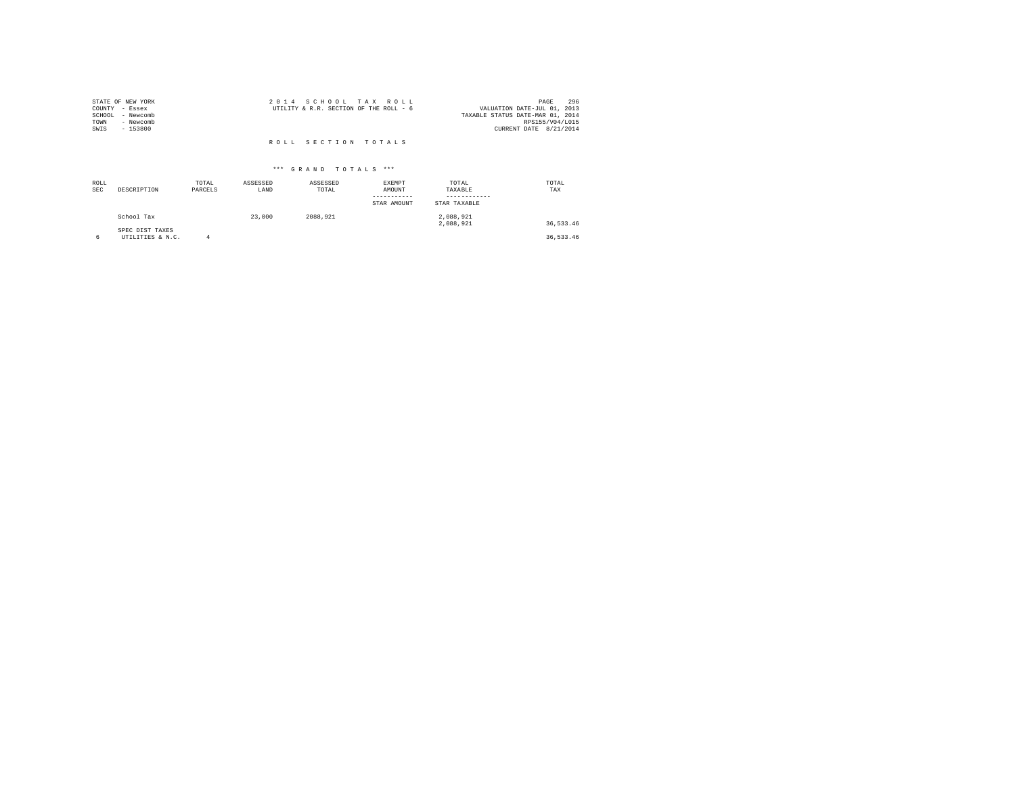| STATE OF NEW YORK<br>COUNTY - Essex<br>SCHOOL<br>- Newcomb<br>- Newcomb<br>TOWN<br>SWIS<br>- 153800 | 2014 SCHOOL TAX ROLL<br>UTILITY & R.R. SECTION OF THE ROLL - 6 | 296<br>PAGE<br>VALUATION DATE-JUL 01, 2013<br>TAXABLE STATUS DATE-MAR 01, 2014<br>RPS155/V04/L015<br>CURRENT DATE 8/21/2014 |
|-----------------------------------------------------------------------------------------------------|----------------------------------------------------------------|-----------------------------------------------------------------------------------------------------------------------------|
|                                                                                                     | ROLL SECTION TOTALS                                            |                                                                                                                             |

| ROLL<br><b>SEC</b> | DESCRIPTION                         | TOTAL<br>PARCELS | ASSESSED<br>LAND | ASSESSED<br>TOTAL | EXEMPT<br>AMOUNT<br>--------<br>STAR AMOUNT | TOTAL<br>TAXABLE<br>STAR TAXABLE | TOTAL<br>TAX |
|--------------------|-------------------------------------|------------------|------------------|-------------------|---------------------------------------------|----------------------------------|--------------|
|                    | School Tax                          |                  | 23,000           | 2088.921          |                                             | 2,088,921<br>2.088.921           | 36,533.46    |
| 6                  | SPEC DIST TAXES<br>UTILITIES & N.C. |                  |                  |                   |                                             |                                  | 36,533.46    |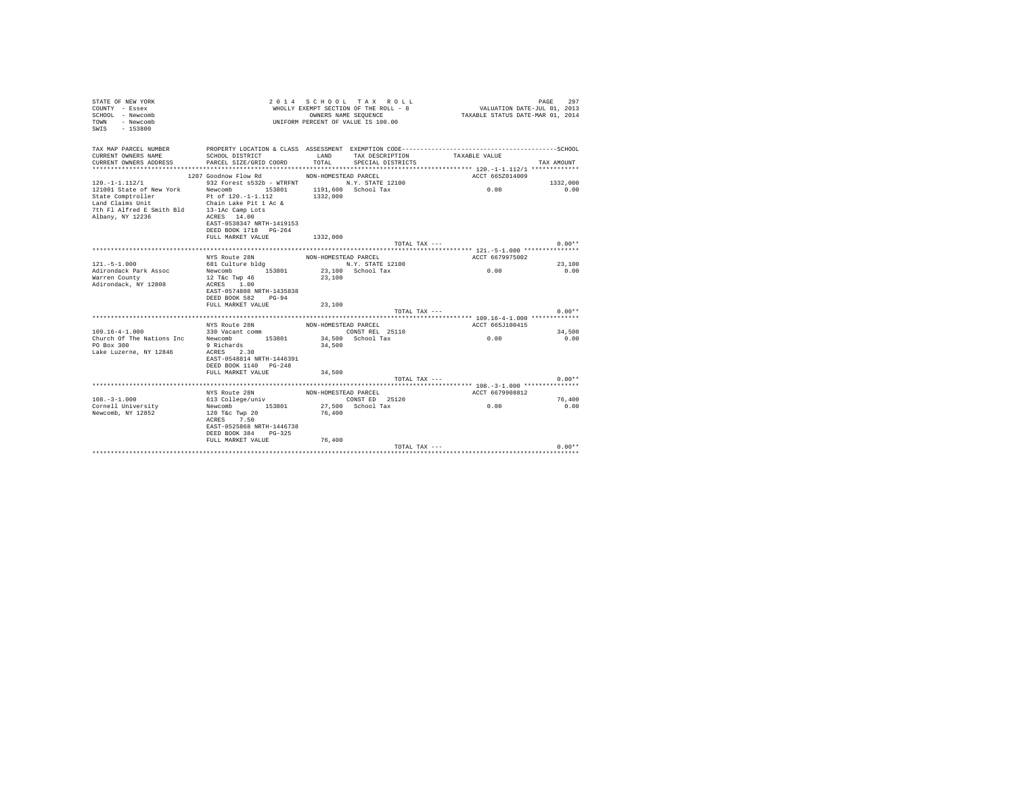| TAX MAP PARCEL NUMBER PROPERTY LOCATION & CLASS ASSESSMENT EXEMPTION CODE---------------------------------SCHOOL<br>CURRENT OWNERS NAME<br>SCHOOL DISTRICT TAX DESCRIPTION<br>TAXABLE VALUE<br>TOTAL<br>CURRENT OWNERS ADDRESS<br>PARCEL SIZE/GRID COORD<br>SPECIAL DISTRICTS<br>TAX AMOUNT<br>1207 Goodnow Flow Rd<br>NON-HOMESTEAD PARCEL<br>ACCT 665Z014009<br>$120. -1 - 1.112/1$<br>932 Forest s532b - WTRFNT M.Y. STATE 12100<br>1332,000<br>0.00<br>121001 State of New York Mewcomb 153801 1191.600 School Tax<br>0.00<br>State Comptroller Pt of 120.-1-1.112<br>Land Claims Unit Chain Lake Pit 1 Ac &<br>7th F1 Alfred E Smith Bld 13-1Ac Camp Lots<br>albany W 1336<br>1332,000<br>ACRES 14.00<br>Albany, NY 12236<br>EAST-0538347 NRTH-1419153<br>DEED BOOK 1718 PG-264<br>FULL MARKET VALUE 1332,000<br>TOTAL TAX ---<br>$0.00**$<br>NYS Route 28N<br>NON-HOMESTEAD PARCEL<br>ACCT 6679975002<br>681 Culture bldg<br>$121. - 5 - 1.000$<br>N.Y. STATE 12100<br>23,100<br>Newcomb 153801 23,100 School Tax<br>0.00<br>Adirondack Park Assoc<br>0.00<br>Warren County<br>12 T&c Twp 46<br>23,100<br>ACRES 1.00<br>Adirondack, NY 12808<br>EAST-0574808 NRTH-1435838<br>DEED BOOK 582 PG-94<br>FULL MARKET VALUE<br>23,100<br>TOTAL TAX ---<br>$0.00**$<br>NYS Route 28N<br>ACCT 665J100415<br>NON-HOMESTEAD PARCEL<br>$109.16 - 4 - 1.000$<br>330 Vacant comm<br>CONST REL 25110<br>34,500<br>Church Of The Nations Inc Newcomb 153801 34,500 School Tax<br>0.00<br>0.00<br>PO Box 300<br>9 Richards<br>34,500<br>Lake Luzerne, NY 12846<br>ACRES 2.30<br>EAST-0548814 NRTH-1446391<br>DEED BOOK 1140 PG-248<br>FULL MARKET VALUE<br>34,500<br>TOTAL TAX ---<br>$0.00**$<br>NYS Route 28N<br>ACCT 6679908812<br>NON-HOMESTEAD PARCEL<br>$108. - 3 - 1.000$<br>CONST ED 25120<br>613 College/univ<br>76,400<br>Newcomb 153801 27,500 School Tax<br>0.00<br>Cornell University<br>0.00<br>Newcomb, NY 12852<br>120 T&c Twp 20<br>76,400<br>ACRES 7.50<br>EAST-0525868 NRTH-1446738<br>DEED BOOK 384 PG-325<br>FULL MARKET VALUE<br>76,400<br>$0.00**$<br>TOTAL TAX $---$ | STATE OF NEW YORK<br>COUNTY - Essex<br>SCHOOL - Newcomb<br>TOWN - Newcomb<br>SWIS - 153800 | 2014 SCHOOL TAX ROLL<br>PAGE<br>، دے ہے<br>2013 ,01 VALUATION DATE-JUL<br>2014 TAXABLE STATUS DATE-MAR<br>WHOLLY EXEMPT SECTION OF THE ROLL - 8<br>OWNERS NAME SEQUENCE<br>UNIFORM PERCENT OF VALUE IS 100.00 |  |  |  |  |  |  |  |
|------------------------------------------------------------------------------------------------------------------------------------------------------------------------------------------------------------------------------------------------------------------------------------------------------------------------------------------------------------------------------------------------------------------------------------------------------------------------------------------------------------------------------------------------------------------------------------------------------------------------------------------------------------------------------------------------------------------------------------------------------------------------------------------------------------------------------------------------------------------------------------------------------------------------------------------------------------------------------------------------------------------------------------------------------------------------------------------------------------------------------------------------------------------------------------------------------------------------------------------------------------------------------------------------------------------------------------------------------------------------------------------------------------------------------------------------------------------------------------------------------------------------------------------------------------------------------------------------------------------------------------------------------------------------------------------------------------------------------------------------------------------------------------------------------------------------------------------------------------------------------------------------------------------------------------------------------------------------------------------------------------------------------------------------------------------------------------|--------------------------------------------------------------------------------------------|---------------------------------------------------------------------------------------------------------------------------------------------------------------------------------------------------------------|--|--|--|--|--|--|--|
|                                                                                                                                                                                                                                                                                                                                                                                                                                                                                                                                                                                                                                                                                                                                                                                                                                                                                                                                                                                                                                                                                                                                                                                                                                                                                                                                                                                                                                                                                                                                                                                                                                                                                                                                                                                                                                                                                                                                                                                                                                                                                    |                                                                                            |                                                                                                                                                                                                               |  |  |  |  |  |  |  |
|                                                                                                                                                                                                                                                                                                                                                                                                                                                                                                                                                                                                                                                                                                                                                                                                                                                                                                                                                                                                                                                                                                                                                                                                                                                                                                                                                                                                                                                                                                                                                                                                                                                                                                                                                                                                                                                                                                                                                                                                                                                                                    |                                                                                            |                                                                                                                                                                                                               |  |  |  |  |  |  |  |
|                                                                                                                                                                                                                                                                                                                                                                                                                                                                                                                                                                                                                                                                                                                                                                                                                                                                                                                                                                                                                                                                                                                                                                                                                                                                                                                                                                                                                                                                                                                                                                                                                                                                                                                                                                                                                                                                                                                                                                                                                                                                                    |                                                                                            |                                                                                                                                                                                                               |  |  |  |  |  |  |  |
|                                                                                                                                                                                                                                                                                                                                                                                                                                                                                                                                                                                                                                                                                                                                                                                                                                                                                                                                                                                                                                                                                                                                                                                                                                                                                                                                                                                                                                                                                                                                                                                                                                                                                                                                                                                                                                                                                                                                                                                                                                                                                    |                                                                                            |                                                                                                                                                                                                               |  |  |  |  |  |  |  |
|                                                                                                                                                                                                                                                                                                                                                                                                                                                                                                                                                                                                                                                                                                                                                                                                                                                                                                                                                                                                                                                                                                                                                                                                                                                                                                                                                                                                                                                                                                                                                                                                                                                                                                                                                                                                                                                                                                                                                                                                                                                                                    |                                                                                            |                                                                                                                                                                                                               |  |  |  |  |  |  |  |
|                                                                                                                                                                                                                                                                                                                                                                                                                                                                                                                                                                                                                                                                                                                                                                                                                                                                                                                                                                                                                                                                                                                                                                                                                                                                                                                                                                                                                                                                                                                                                                                                                                                                                                                                                                                                                                                                                                                                                                                                                                                                                    |                                                                                            |                                                                                                                                                                                                               |  |  |  |  |  |  |  |
|                                                                                                                                                                                                                                                                                                                                                                                                                                                                                                                                                                                                                                                                                                                                                                                                                                                                                                                                                                                                                                                                                                                                                                                                                                                                                                                                                                                                                                                                                                                                                                                                                                                                                                                                                                                                                                                                                                                                                                                                                                                                                    |                                                                                            |                                                                                                                                                                                                               |  |  |  |  |  |  |  |
|                                                                                                                                                                                                                                                                                                                                                                                                                                                                                                                                                                                                                                                                                                                                                                                                                                                                                                                                                                                                                                                                                                                                                                                                                                                                                                                                                                                                                                                                                                                                                                                                                                                                                                                                                                                                                                                                                                                                                                                                                                                                                    |                                                                                            |                                                                                                                                                                                                               |  |  |  |  |  |  |  |
|                                                                                                                                                                                                                                                                                                                                                                                                                                                                                                                                                                                                                                                                                                                                                                                                                                                                                                                                                                                                                                                                                                                                                                                                                                                                                                                                                                                                                                                                                                                                                                                                                                                                                                                                                                                                                                                                                                                                                                                                                                                                                    |                                                                                            |                                                                                                                                                                                                               |  |  |  |  |  |  |  |
|                                                                                                                                                                                                                                                                                                                                                                                                                                                                                                                                                                                                                                                                                                                                                                                                                                                                                                                                                                                                                                                                                                                                                                                                                                                                                                                                                                                                                                                                                                                                                                                                                                                                                                                                                                                                                                                                                                                                                                                                                                                                                    |                                                                                            |                                                                                                                                                                                                               |  |  |  |  |  |  |  |
|                                                                                                                                                                                                                                                                                                                                                                                                                                                                                                                                                                                                                                                                                                                                                                                                                                                                                                                                                                                                                                                                                                                                                                                                                                                                                                                                                                                                                                                                                                                                                                                                                                                                                                                                                                                                                                                                                                                                                                                                                                                                                    |                                                                                            |                                                                                                                                                                                                               |  |  |  |  |  |  |  |
|                                                                                                                                                                                                                                                                                                                                                                                                                                                                                                                                                                                                                                                                                                                                                                                                                                                                                                                                                                                                                                                                                                                                                                                                                                                                                                                                                                                                                                                                                                                                                                                                                                                                                                                                                                                                                                                                                                                                                                                                                                                                                    |                                                                                            |                                                                                                                                                                                                               |  |  |  |  |  |  |  |
|                                                                                                                                                                                                                                                                                                                                                                                                                                                                                                                                                                                                                                                                                                                                                                                                                                                                                                                                                                                                                                                                                                                                                                                                                                                                                                                                                                                                                                                                                                                                                                                                                                                                                                                                                                                                                                                                                                                                                                                                                                                                                    |                                                                                            |                                                                                                                                                                                                               |  |  |  |  |  |  |  |
|                                                                                                                                                                                                                                                                                                                                                                                                                                                                                                                                                                                                                                                                                                                                                                                                                                                                                                                                                                                                                                                                                                                                                                                                                                                                                                                                                                                                                                                                                                                                                                                                                                                                                                                                                                                                                                                                                                                                                                                                                                                                                    |                                                                                            |                                                                                                                                                                                                               |  |  |  |  |  |  |  |
|                                                                                                                                                                                                                                                                                                                                                                                                                                                                                                                                                                                                                                                                                                                                                                                                                                                                                                                                                                                                                                                                                                                                                                                                                                                                                                                                                                                                                                                                                                                                                                                                                                                                                                                                                                                                                                                                                                                                                                                                                                                                                    |                                                                                            |                                                                                                                                                                                                               |  |  |  |  |  |  |  |
|                                                                                                                                                                                                                                                                                                                                                                                                                                                                                                                                                                                                                                                                                                                                                                                                                                                                                                                                                                                                                                                                                                                                                                                                                                                                                                                                                                                                                                                                                                                                                                                                                                                                                                                                                                                                                                                                                                                                                                                                                                                                                    |                                                                                            |                                                                                                                                                                                                               |  |  |  |  |  |  |  |
|                                                                                                                                                                                                                                                                                                                                                                                                                                                                                                                                                                                                                                                                                                                                                                                                                                                                                                                                                                                                                                                                                                                                                                                                                                                                                                                                                                                                                                                                                                                                                                                                                                                                                                                                                                                                                                                                                                                                                                                                                                                                                    |                                                                                            |                                                                                                                                                                                                               |  |  |  |  |  |  |  |
|                                                                                                                                                                                                                                                                                                                                                                                                                                                                                                                                                                                                                                                                                                                                                                                                                                                                                                                                                                                                                                                                                                                                                                                                                                                                                                                                                                                                                                                                                                                                                                                                                                                                                                                                                                                                                                                                                                                                                                                                                                                                                    |                                                                                            |                                                                                                                                                                                                               |  |  |  |  |  |  |  |
|                                                                                                                                                                                                                                                                                                                                                                                                                                                                                                                                                                                                                                                                                                                                                                                                                                                                                                                                                                                                                                                                                                                                                                                                                                                                                                                                                                                                                                                                                                                                                                                                                                                                                                                                                                                                                                                                                                                                                                                                                                                                                    |                                                                                            |                                                                                                                                                                                                               |  |  |  |  |  |  |  |
|                                                                                                                                                                                                                                                                                                                                                                                                                                                                                                                                                                                                                                                                                                                                                                                                                                                                                                                                                                                                                                                                                                                                                                                                                                                                                                                                                                                                                                                                                                                                                                                                                                                                                                                                                                                                                                                                                                                                                                                                                                                                                    |                                                                                            |                                                                                                                                                                                                               |  |  |  |  |  |  |  |
|                                                                                                                                                                                                                                                                                                                                                                                                                                                                                                                                                                                                                                                                                                                                                                                                                                                                                                                                                                                                                                                                                                                                                                                                                                                                                                                                                                                                                                                                                                                                                                                                                                                                                                                                                                                                                                                                                                                                                                                                                                                                                    |                                                                                            |                                                                                                                                                                                                               |  |  |  |  |  |  |  |
|                                                                                                                                                                                                                                                                                                                                                                                                                                                                                                                                                                                                                                                                                                                                                                                                                                                                                                                                                                                                                                                                                                                                                                                                                                                                                                                                                                                                                                                                                                                                                                                                                                                                                                                                                                                                                                                                                                                                                                                                                                                                                    |                                                                                            |                                                                                                                                                                                                               |  |  |  |  |  |  |  |
|                                                                                                                                                                                                                                                                                                                                                                                                                                                                                                                                                                                                                                                                                                                                                                                                                                                                                                                                                                                                                                                                                                                                                                                                                                                                                                                                                                                                                                                                                                                                                                                                                                                                                                                                                                                                                                                                                                                                                                                                                                                                                    |                                                                                            |                                                                                                                                                                                                               |  |  |  |  |  |  |  |
|                                                                                                                                                                                                                                                                                                                                                                                                                                                                                                                                                                                                                                                                                                                                                                                                                                                                                                                                                                                                                                                                                                                                                                                                                                                                                                                                                                                                                                                                                                                                                                                                                                                                                                                                                                                                                                                                                                                                                                                                                                                                                    |                                                                                            |                                                                                                                                                                                                               |  |  |  |  |  |  |  |
|                                                                                                                                                                                                                                                                                                                                                                                                                                                                                                                                                                                                                                                                                                                                                                                                                                                                                                                                                                                                                                                                                                                                                                                                                                                                                                                                                                                                                                                                                                                                                                                                                                                                                                                                                                                                                                                                                                                                                                                                                                                                                    |                                                                                            |                                                                                                                                                                                                               |  |  |  |  |  |  |  |
|                                                                                                                                                                                                                                                                                                                                                                                                                                                                                                                                                                                                                                                                                                                                                                                                                                                                                                                                                                                                                                                                                                                                                                                                                                                                                                                                                                                                                                                                                                                                                                                                                                                                                                                                                                                                                                                                                                                                                                                                                                                                                    |                                                                                            |                                                                                                                                                                                                               |  |  |  |  |  |  |  |
|                                                                                                                                                                                                                                                                                                                                                                                                                                                                                                                                                                                                                                                                                                                                                                                                                                                                                                                                                                                                                                                                                                                                                                                                                                                                                                                                                                                                                                                                                                                                                                                                                                                                                                                                                                                                                                                                                                                                                                                                                                                                                    |                                                                                            |                                                                                                                                                                                                               |  |  |  |  |  |  |  |
|                                                                                                                                                                                                                                                                                                                                                                                                                                                                                                                                                                                                                                                                                                                                                                                                                                                                                                                                                                                                                                                                                                                                                                                                                                                                                                                                                                                                                                                                                                                                                                                                                                                                                                                                                                                                                                                                                                                                                                                                                                                                                    |                                                                                            |                                                                                                                                                                                                               |  |  |  |  |  |  |  |
|                                                                                                                                                                                                                                                                                                                                                                                                                                                                                                                                                                                                                                                                                                                                                                                                                                                                                                                                                                                                                                                                                                                                                                                                                                                                                                                                                                                                                                                                                                                                                                                                                                                                                                                                                                                                                                                                                                                                                                                                                                                                                    |                                                                                            |                                                                                                                                                                                                               |  |  |  |  |  |  |  |
|                                                                                                                                                                                                                                                                                                                                                                                                                                                                                                                                                                                                                                                                                                                                                                                                                                                                                                                                                                                                                                                                                                                                                                                                                                                                                                                                                                                                                                                                                                                                                                                                                                                                                                                                                                                                                                                                                                                                                                                                                                                                                    |                                                                                            |                                                                                                                                                                                                               |  |  |  |  |  |  |  |
|                                                                                                                                                                                                                                                                                                                                                                                                                                                                                                                                                                                                                                                                                                                                                                                                                                                                                                                                                                                                                                                                                                                                                                                                                                                                                                                                                                                                                                                                                                                                                                                                                                                                                                                                                                                                                                                                                                                                                                                                                                                                                    |                                                                                            |                                                                                                                                                                                                               |  |  |  |  |  |  |  |
|                                                                                                                                                                                                                                                                                                                                                                                                                                                                                                                                                                                                                                                                                                                                                                                                                                                                                                                                                                                                                                                                                                                                                                                                                                                                                                                                                                                                                                                                                                                                                                                                                                                                                                                                                                                                                                                                                                                                                                                                                                                                                    |                                                                                            |                                                                                                                                                                                                               |  |  |  |  |  |  |  |
|                                                                                                                                                                                                                                                                                                                                                                                                                                                                                                                                                                                                                                                                                                                                                                                                                                                                                                                                                                                                                                                                                                                                                                                                                                                                                                                                                                                                                                                                                                                                                                                                                                                                                                                                                                                                                                                                                                                                                                                                                                                                                    |                                                                                            |                                                                                                                                                                                                               |  |  |  |  |  |  |  |
|                                                                                                                                                                                                                                                                                                                                                                                                                                                                                                                                                                                                                                                                                                                                                                                                                                                                                                                                                                                                                                                                                                                                                                                                                                                                                                                                                                                                                                                                                                                                                                                                                                                                                                                                                                                                                                                                                                                                                                                                                                                                                    |                                                                                            |                                                                                                                                                                                                               |  |  |  |  |  |  |  |
|                                                                                                                                                                                                                                                                                                                                                                                                                                                                                                                                                                                                                                                                                                                                                                                                                                                                                                                                                                                                                                                                                                                                                                                                                                                                                                                                                                                                                                                                                                                                                                                                                                                                                                                                                                                                                                                                                                                                                                                                                                                                                    |                                                                                            |                                                                                                                                                                                                               |  |  |  |  |  |  |  |
|                                                                                                                                                                                                                                                                                                                                                                                                                                                                                                                                                                                                                                                                                                                                                                                                                                                                                                                                                                                                                                                                                                                                                                                                                                                                                                                                                                                                                                                                                                                                                                                                                                                                                                                                                                                                                                                                                                                                                                                                                                                                                    |                                                                                            |                                                                                                                                                                                                               |  |  |  |  |  |  |  |
|                                                                                                                                                                                                                                                                                                                                                                                                                                                                                                                                                                                                                                                                                                                                                                                                                                                                                                                                                                                                                                                                                                                                                                                                                                                                                                                                                                                                                                                                                                                                                                                                                                                                                                                                                                                                                                                                                                                                                                                                                                                                                    |                                                                                            |                                                                                                                                                                                                               |  |  |  |  |  |  |  |
|                                                                                                                                                                                                                                                                                                                                                                                                                                                                                                                                                                                                                                                                                                                                                                                                                                                                                                                                                                                                                                                                                                                                                                                                                                                                                                                                                                                                                                                                                                                                                                                                                                                                                                                                                                                                                                                                                                                                                                                                                                                                                    |                                                                                            |                                                                                                                                                                                                               |  |  |  |  |  |  |  |
|                                                                                                                                                                                                                                                                                                                                                                                                                                                                                                                                                                                                                                                                                                                                                                                                                                                                                                                                                                                                                                                                                                                                                                                                                                                                                                                                                                                                                                                                                                                                                                                                                                                                                                                                                                                                                                                                                                                                                                                                                                                                                    |                                                                                            |                                                                                                                                                                                                               |  |  |  |  |  |  |  |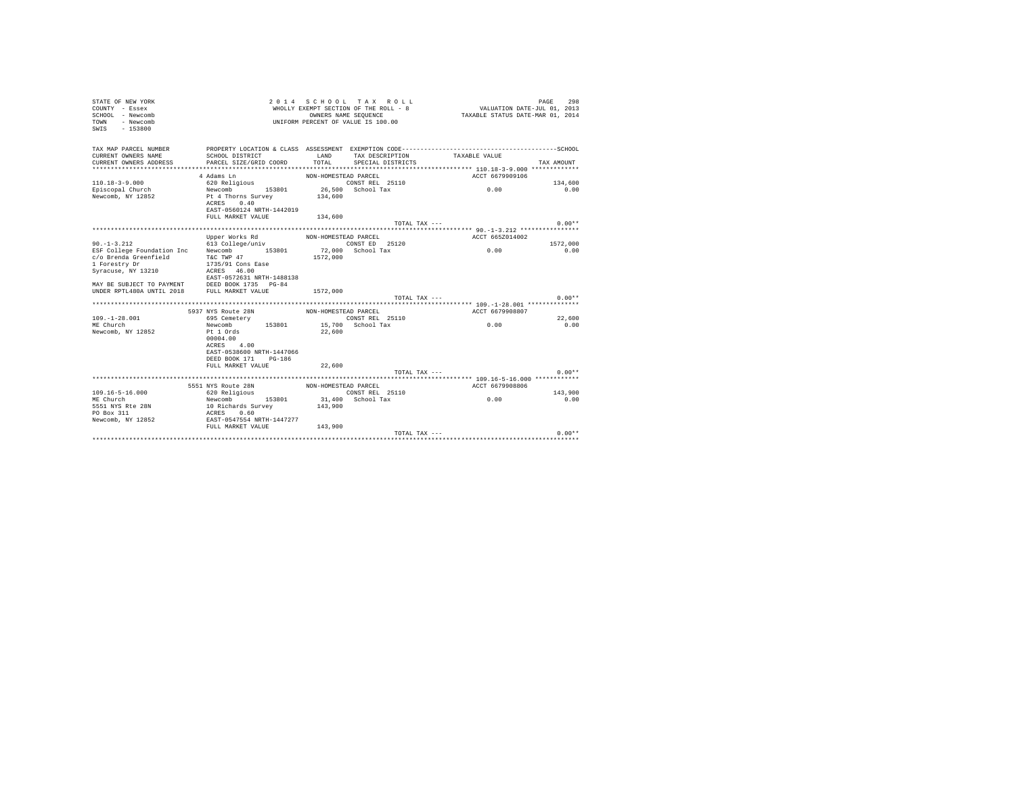| STATE OF NEW YORK<br>COUNTY - Essex<br>SCHOOL - Newcomb<br>- Newcomb<br>TOWN<br>$-153800$<br>SWIS | 2 0 1 4                                                                               | OWNERS NAME SEQUENCE | SCHOOL TAX ROLL<br>WHOLLY EXEMPT SECTION OF THE ROLL - 8<br>UNIFORM PERCENT OF VALUE IS 100.00 | VALUATION DATE-JUL 01, 2013<br>TAXABLE STATUS DATE-MAR 01, 2014 | PAGE<br>298    |
|---------------------------------------------------------------------------------------------------|---------------------------------------------------------------------------------------|----------------------|------------------------------------------------------------------------------------------------|-----------------------------------------------------------------|----------------|
| TAX MAP PARCEL NUMBER                                                                             |                                                                                       |                      |                                                                                                |                                                                 |                |
| CURRENT OWNERS NAME                                                                               | SCHOOL DISTRICT                                                                       | LAND                 | TAX DESCRIPTION                                                                                | TAXABLE VALUE                                                   |                |
| CURRENT OWNERS ADDRESS<br>**************************                                              | PARCEL SIZE/GRID COORD                                                                | TOTAL                | SPECIAL DISTRICTS                                                                              |                                                                 | TAX AMOUNT     |
|                                                                                                   | 4 Adams Ln                                                                            | NON-HOMESTEAD PARCEL |                                                                                                | ACCT 6679909106                                                 |                |
| $110.18 - 3 - 9.000$                                                                              | 620 Religious                                                                         |                      | CONST REL 25110                                                                                |                                                                 | 134,600        |
| Episcopal Church                                                                                  | Newcomb 153801                                                                        |                      | 26,500 School Tax                                                                              | 0.00                                                            | 0.00           |
| Newcomb, NY 12852                                                                                 | Pt 4 Thorns Survey<br>0.40<br>ACRES<br>EAST-0560124 NRTH-1442019<br>FULL MARKET VALUE | 134,600<br>134,600   |                                                                                                |                                                                 |                |
|                                                                                                   |                                                                                       |                      | TOTAL TAX ---                                                                                  |                                                                 | $0.00**$       |
|                                                                                                   |                                                                                       |                      |                                                                                                |                                                                 |                |
|                                                                                                   | Upper Works Rd                                                                        | NON-HOMESTEAD PARCEL |                                                                                                | ACCT 665Z014002                                                 |                |
| $90. -1 - 3.212$                                                                                  | 613 College/univ                                                                      |                      | CONST ED 25120                                                                                 |                                                                 | 1572,000       |
| ESF College Foundation Inc Newcomb 153801                                                         |                                                                                       |                      | 72,000 School Tax                                                                              | 0.00                                                            | 0.00           |
| c/o Brenda Greenfield                                                                             | T&C TWP 47                                                                            | 1572,000             |                                                                                                |                                                                 |                |
| 1 Forestry Dr                                                                                     | 1735/91 Cons Ease<br>46.00<br>ACRES                                                   |                      |                                                                                                |                                                                 |                |
| Syracuse, NY 13210                                                                                | EAST-0572631 NRTH-1488138                                                             |                      |                                                                                                |                                                                 |                |
|                                                                                                   |                                                                                       |                      |                                                                                                |                                                                 |                |
|                                                                                                   |                                                                                       | 1572,000             |                                                                                                |                                                                 |                |
|                                                                                                   |                                                                                       |                      | TOTAL TAX ---                                                                                  |                                                                 | $0.00**$       |
|                                                                                                   |                                                                                       |                      |                                                                                                | ************ 109.-1-28.001 ***************                      |                |
|                                                                                                   | 5937 NYS Route 28N                                                                    | NON-HOMESTEAD PARCEL |                                                                                                | ACCT 6679908807                                                 |                |
| $109. - 1 - 28.001$<br>ME Church                                                                  | 695 Cemetery                                                                          |                      | CONST REL 25110                                                                                | 0.00                                                            | 22,600<br>0.00 |
| Newcomb, NY 12852                                                                                 | 153801<br>Newcomb<br>Pt 1 Ords                                                        | 22,600               | 15,700 School Tax                                                                              |                                                                 |                |
|                                                                                                   | 00004.00                                                                              |                      |                                                                                                |                                                                 |                |
|                                                                                                   | 4.00<br>ACRES                                                                         |                      |                                                                                                |                                                                 |                |
|                                                                                                   | EAST-0538600 NRTH-1447066                                                             |                      |                                                                                                |                                                                 |                |
|                                                                                                   | DEED BOOK 171 PG-186<br>FULL MARKET VALUE                                             | 22,600               |                                                                                                |                                                                 |                |
|                                                                                                   |                                                                                       |                      | TOTAL TAX ---                                                                                  |                                                                 | $0.00**$       |
|                                                                                                   |                                                                                       |                      |                                                                                                |                                                                 |                |
|                                                                                                   | 5551 NYS Route 28N                                                                    | NON-HOMESTEAD PARCEL |                                                                                                | ACCT 6679908806                                                 |                |
| $109.16 - 5 - 16.000$                                                                             | 620 Religious                                                                         |                      | CONST REL 25110                                                                                |                                                                 | 143,900        |
| ME Church                                                                                         | Newcomb<br>153801                                                                     |                      | 31,400 School Tax                                                                              | 0.00                                                            | 0.00           |
| 5551 NYS Rte 28N                                                                                  | 10 Richards Survey                                                                    | 143,900              |                                                                                                |                                                                 |                |
| PO Box 311                                                                                        | ACRES<br>0.60                                                                         |                      |                                                                                                |                                                                 |                |
| Newcomb, NY 12852                                                                                 | EAST-0547554 NRTH-1447277                                                             |                      |                                                                                                |                                                                 |                |
|                                                                                                   | FULL MARKET VALUE                                                                     | 143,900              | TOTAL TAX ---                                                                                  |                                                                 | $0.00**$       |
|                                                                                                   |                                                                                       |                      |                                                                                                |                                                                 |                |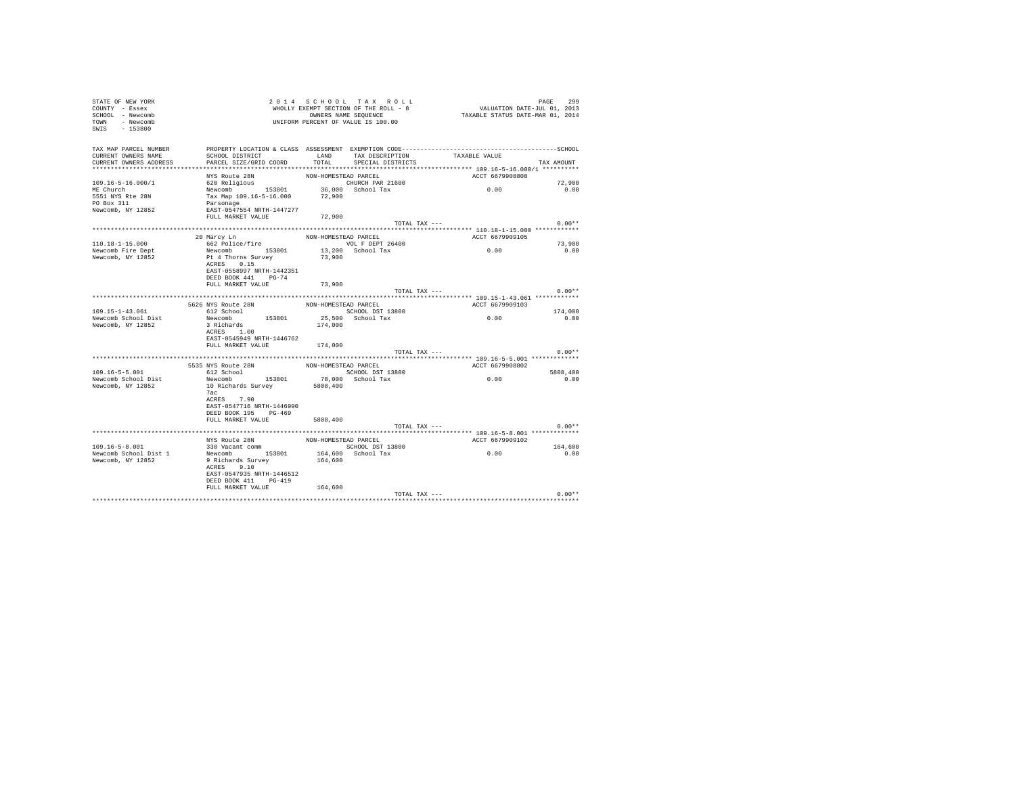| STATE OF NEW YORK<br>COUNTY - Essex<br>SCHOOL - Newcomb<br>TOWN - Newcomb<br>SWIS - 153800 | UNIFORM PERCENT OF VALUE IS 100.00                                                                                                         |         | 2014 SCHOOL TAX ROLL         | 2014 SCHOOL TAX ROLL<br>WHOLLY EXENPT SECTION OF THE ROLL - 8<br>WHOLLY EXENCT SURFACT DOWNERS NAME SEQUENCE - 8 | PAGE<br>299 |
|--------------------------------------------------------------------------------------------|--------------------------------------------------------------------------------------------------------------------------------------------|---------|------------------------------|------------------------------------------------------------------------------------------------------------------|-------------|
| TAX MAP PARCEL NUMBER<br>CURRENT OWNERS NAME<br>CURRENT OWNERS ADDRESS                     | SCHOOL DISTRICT                     LAND        TAX DESCRIPTION                  TAXABLE VALUE<br>PARCEL SIZE/GRID COORD                   | TOTAL   | SPECIAL DISTRICTS            |                                                                                                                  | TAX AMOUNT  |
|                                                                                            |                                                                                                                                            |         |                              |                                                                                                                  |             |
|                                                                                            | NYS Route 28N NON-HOMESTEAD PARCEL<br>620 Religious CHURCH PAR 21600<br>Newcomb 153801 36,000 School Tax<br>Tax Map 109.16-5-16.000 72,900 |         |                              | ACCT 6679908808                                                                                                  |             |
| 109.16-5-16.000/1                                                                          |                                                                                                                                            |         |                              |                                                                                                                  | 72,900      |
| ME Church                                                                                  |                                                                                                                                            |         |                              | 0.00                                                                                                             | 0.00        |
| 5551 NYS Rte 28N                                                                           |                                                                                                                                            |         |                              |                                                                                                                  |             |
| PO Box 311                                                                                 | Parsonage                                                                                                                                  |         |                              |                                                                                                                  |             |
| Newcomb, NY 12852                                                                          | EAST-0547554 NRTH-1447277                                                                                                                  |         |                              |                                                                                                                  |             |
|                                                                                            | FULL MARKET VALUE                                                                                                                          | 72,900  |                              |                                                                                                                  |             |
|                                                                                            |                                                                                                                                            |         | TOTAL TAX ---                |                                                                                                                  | $0.00**$    |
|                                                                                            |                                                                                                                                            |         |                              | ACCT 6679909105                                                                                                  |             |
| $110.18 - 1 - 15.000$                                                                      | 20 Marcy Ln<br>662 Police/fire MON-HOMESTEAD PARCEL<br>VOL F DEPT 2640                                                                     |         | VOL F DEPT 26400             |                                                                                                                  | 73,900      |
| Newcomb Fire Dept                                                                          | Newcomb 153801 13,200 School Tax                                                                                                           |         |                              | 0.00                                                                                                             | 0.00        |
| Newcomb, NY 12852                                                                          | Pt 4 Thorns Survey                                                                                                                         | 73,900  |                              |                                                                                                                  |             |
|                                                                                            | ACRES 0.15<br>EAST-0558997 NRTH-1442351<br>DEED BOOK 441 PG-74                                                                             |         |                              |                                                                                                                  |             |
|                                                                                            | FULL MARKET VALUE                                                                                                                          | 73,900  |                              |                                                                                                                  |             |
|                                                                                            |                                                                                                                                            |         | TOTAL TAX ---                |                                                                                                                  | $0.00**$    |
|                                                                                            |                                                                                                                                            |         |                              |                                                                                                                  |             |
|                                                                                            | 5626 NYS Route 28N<br>612 School                                                                                                           |         | NON-HOMESTEAD PARCEL         | ACCT 6679909103                                                                                                  |             |
| $109.15 - 1 - 43.061$                                                                      |                                                                                                                                            |         | SCHOOL DST 13800             | 0.00                                                                                                             | 174,000     |
| Newcomb School Dist<br>Newcomb, NY 12852                                                   | Newcomb 153801<br>3 Richards<br>ACRES 1.00<br>EAST-0545949 NRTH-1446762                                                                    |         | 25,500 School Tax<br>174,000 |                                                                                                                  | 0.00        |
|                                                                                            | FULL MARKET VALUE 174,000                                                                                                                  |         |                              |                                                                                                                  |             |
|                                                                                            |                                                                                                                                            |         | TOTAL TAX ---                |                                                                                                                  | $0.00**$    |
|                                                                                            |                                                                                                                                            |         |                              |                                                                                                                  |             |
|                                                                                            | 5535 NYS Route 28N NON-HOMESTEAD PARCEL<br>612 School 612 School SCHOOL DST 13800                                                          |         |                              | ACCT 6679908802                                                                                                  |             |
| $109.16 - 5 - 5.001$                                                                       |                                                                                                                                            |         |                              |                                                                                                                  | 5808,400    |
| Newcomb School Dist                                                                        | Newcomb 153801<br>Newcomb 153801 78,000 School Tax<br>10 Richards Survey 5808,400                                                          |         |                              | 0.00                                                                                                             | 0.00        |
| Newcomb, NY 12852                                                                          | 7ac<br>ACRES 7.90<br>EAST-0547716 NRTH-1446990<br>DEED BOOK 195 PG-469                                                                     |         |                              |                                                                                                                  |             |
|                                                                                            | FULL MARKET VALUE 5808, 400                                                                                                                |         |                              |                                                                                                                  |             |
|                                                                                            |                                                                                                                                            |         | TOTAL TAX ---                |                                                                                                                  | $0.00**$    |
|                                                                                            |                                                                                                                                            |         |                              |                                                                                                                  |             |
|                                                                                            | NYS Route 28N MON-HOMESTEAD PARCEL<br>330 Vacant comm SCHOOL DST 13800                                                                     |         |                              | ACCT 6679909102                                                                                                  |             |
| 109.16-5-8.001                                                                             |                                                                                                                                            |         |                              | 0.00                                                                                                             | 164,600     |
| Newcomb School Dist 1<br>Newcomb, NY 12852                                                 | Newcomb 153801<br>9 Richards Survey<br>ACRES 9.10<br>EAST-0547935 NRTH-1446512<br>DEED BOOK 411 PG-419                                     | 164,600 | 164,600 School Tax           |                                                                                                                  | 0.00        |
|                                                                                            | FULL MARKET VALUE                                                                                                                          | 164,600 |                              |                                                                                                                  |             |
|                                                                                            |                                                                                                                                            |         |                              | TOTAL TAX ---                                                                                                    | $0.00**$    |
|                                                                                            |                                                                                                                                            |         |                              |                                                                                                                  |             |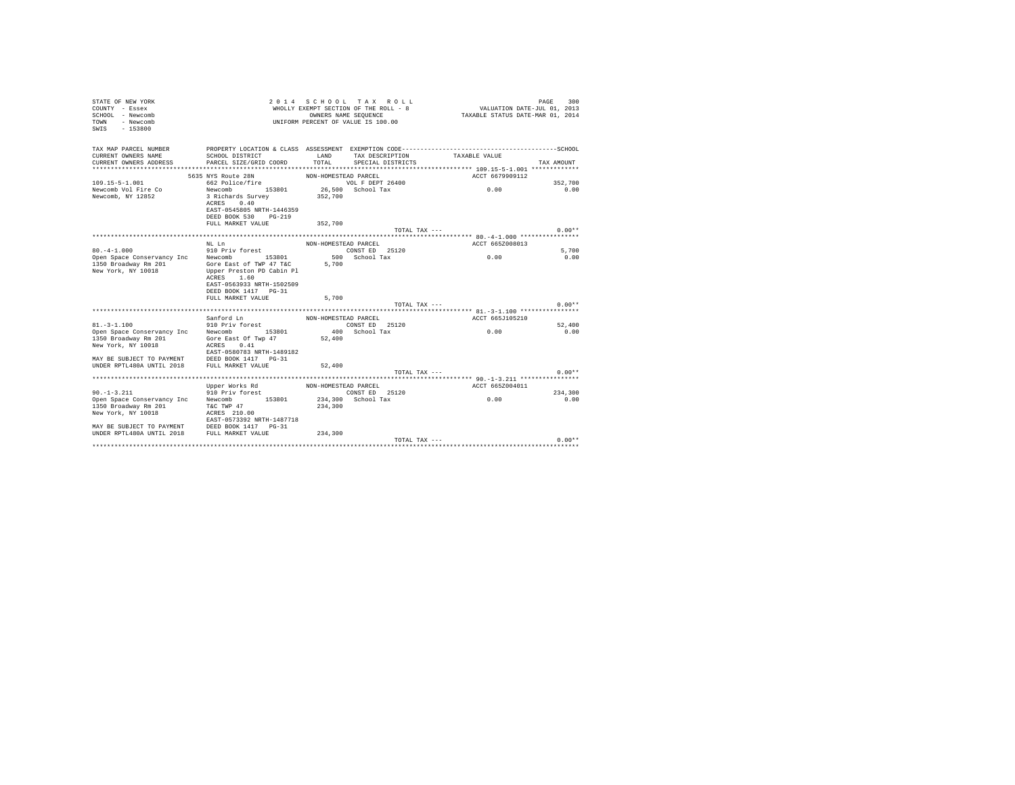| TAX MAP PARCEL NUMBER<br>CURRENT OWNERS NAME<br>SCHOOL DISTRICT<br>LAND<br>TAX DESCRIPTION<br>TAXABLE VALUE<br>TOTAL<br>CURRENT OWNERS ADDRESS<br>PARCEL SIZE/GRID COORD<br>SPECIAL DISTRICTS<br>TAX AMOUNT<br>*************************<br>5635 NYS Route 28N<br>NON-HOMESTEAD PARCEL<br>ACCT 6679909112<br>$109.15 - 5 - 1.001$<br>662 Police/fire<br>VOL F DEPT 26400<br>352,700<br>0.00<br>26.500 School Tax<br>Newcomb Vol Fire Co<br>Newcomb 153801<br>0.00<br>Newcomb, NY 12852<br>3 Richards Survey<br>352,700<br>ACRES<br>0.40<br>EAST-0545805 NRTH-1446359<br>DEED BOOK 530 PG-219<br>FULL MARKET VALUE<br>352,700<br>$0.00**$<br>TOTAL TAX ---<br>ACCT 665Z008013<br>NT. T.n<br>NON-HOMESTEAD PARCEL<br>$80. -4 - 1.000$<br>CONST ED 25120<br>910 Priv forest<br>5,700<br>500 School Tax<br>Newcomb<br>153801<br>0.00<br>0.00<br>Open Space Conservancy Inc<br>1350 Broadway Rm 201<br>Gore East of TWP 47 T&C<br>5,700<br>New York, NY 10018<br>Upper Preston PD Cabin Pl<br>ACRES 1.60<br>EAST-0563933 NRTH-1502509<br>DEED BOOK 1417 PG-31<br>5,700<br>FULL MARKET VALUE<br>$0.00**$<br>TOTAL TAX ---<br>Sanford Ln<br>ACCT 665J105210<br>NON-HOMESTEAD PARCEL<br>910 Priv forest<br>$81. - 3 - 1.100$<br>CONST ED 25120<br>52,400<br>400 School Tax<br>0.00<br>Open Space Conservancy Inc Newcomb 153801<br>0.00<br>1350 Broadway Rm 201 Gore East Of Twp 47 52,400<br>New York, NY 10018<br>ACRES 0.41<br>EAST-0580783 NRTH-1489182<br>MAY BE SUBJECT TO PAYMENT DEED BOOK 1417 PG-31<br>UNDER RPTL480A UNTIL 2018 FULL MARKET VALUE<br>52,400<br>$0.00**$<br>TOTAL TAX ---<br>ACCT 665Z004011<br>Upper Works Rd MON-HOMESTEAD PARCEL<br>$90. -1 - 3.211$<br>CONST ED 25120<br>910 Priv forest<br>234,300<br>Newcomb 153801<br>Open Space Conservancy Inc<br>234,300 School Tax<br>0.00<br>0.00<br>T&C TWP 47<br>1350 Broadway Rm 201<br>234,300<br>New York, NY 10018<br>ACRES 210.00<br>EAST-0573392 NRTH-1487718<br>234,300<br>$0.00**$<br>TOTAL TAX --- | 2014 SCHOOL TAX ROLL<br>300<br>STATE OF NEW YORK<br>PAGE<br>VALUATION DATE-JUL 01, 2013<br>WHOLLY EXEMPT SECTION OF THE ROLL - 8<br>COUNTY - Essex<br>TAXABLE STATUS DATE-MAR 01, 2014<br>OWNERS NAME SEQUENCE<br>SCHOOL - Newcomb<br>UNIFORM PERCENT OF VALUE IS 100.00<br>- Newcomb<br>TOWN<br>SWTS<br>$-153800$ |  |  |  |  |  |  |  |  |
|-----------------------------------------------------------------------------------------------------------------------------------------------------------------------------------------------------------------------------------------------------------------------------------------------------------------------------------------------------------------------------------------------------------------------------------------------------------------------------------------------------------------------------------------------------------------------------------------------------------------------------------------------------------------------------------------------------------------------------------------------------------------------------------------------------------------------------------------------------------------------------------------------------------------------------------------------------------------------------------------------------------------------------------------------------------------------------------------------------------------------------------------------------------------------------------------------------------------------------------------------------------------------------------------------------------------------------------------------------------------------------------------------------------------------------------------------------------------------------------------------------------------------------------------------------------------------------------------------------------------------------------------------------------------------------------------------------------------------------------------------------------------------------------------------------------------------------------------------------------------------------------------------------------------------------------------------------------------------------|--------------------------------------------------------------------------------------------------------------------------------------------------------------------------------------------------------------------------------------------------------------------------------------------------------------------|--|--|--|--|--|--|--|--|
|                                                                                                                                                                                                                                                                                                                                                                                                                                                                                                                                                                                                                                                                                                                                                                                                                                                                                                                                                                                                                                                                                                                                                                                                                                                                                                                                                                                                                                                                                                                                                                                                                                                                                                                                                                                                                                                                                                                                                                             |                                                                                                                                                                                                                                                                                                                    |  |  |  |  |  |  |  |  |
|                                                                                                                                                                                                                                                                                                                                                                                                                                                                                                                                                                                                                                                                                                                                                                                                                                                                                                                                                                                                                                                                                                                                                                                                                                                                                                                                                                                                                                                                                                                                                                                                                                                                                                                                                                                                                                                                                                                                                                             |                                                                                                                                                                                                                                                                                                                    |  |  |  |  |  |  |  |  |
|                                                                                                                                                                                                                                                                                                                                                                                                                                                                                                                                                                                                                                                                                                                                                                                                                                                                                                                                                                                                                                                                                                                                                                                                                                                                                                                                                                                                                                                                                                                                                                                                                                                                                                                                                                                                                                                                                                                                                                             |                                                                                                                                                                                                                                                                                                                    |  |  |  |  |  |  |  |  |
|                                                                                                                                                                                                                                                                                                                                                                                                                                                                                                                                                                                                                                                                                                                                                                                                                                                                                                                                                                                                                                                                                                                                                                                                                                                                                                                                                                                                                                                                                                                                                                                                                                                                                                                                                                                                                                                                                                                                                                             |                                                                                                                                                                                                                                                                                                                    |  |  |  |  |  |  |  |  |
|                                                                                                                                                                                                                                                                                                                                                                                                                                                                                                                                                                                                                                                                                                                                                                                                                                                                                                                                                                                                                                                                                                                                                                                                                                                                                                                                                                                                                                                                                                                                                                                                                                                                                                                                                                                                                                                                                                                                                                             |                                                                                                                                                                                                                                                                                                                    |  |  |  |  |  |  |  |  |
|                                                                                                                                                                                                                                                                                                                                                                                                                                                                                                                                                                                                                                                                                                                                                                                                                                                                                                                                                                                                                                                                                                                                                                                                                                                                                                                                                                                                                                                                                                                                                                                                                                                                                                                                                                                                                                                                                                                                                                             |                                                                                                                                                                                                                                                                                                                    |  |  |  |  |  |  |  |  |
|                                                                                                                                                                                                                                                                                                                                                                                                                                                                                                                                                                                                                                                                                                                                                                                                                                                                                                                                                                                                                                                                                                                                                                                                                                                                                                                                                                                                                                                                                                                                                                                                                                                                                                                                                                                                                                                                                                                                                                             |                                                                                                                                                                                                                                                                                                                    |  |  |  |  |  |  |  |  |
|                                                                                                                                                                                                                                                                                                                                                                                                                                                                                                                                                                                                                                                                                                                                                                                                                                                                                                                                                                                                                                                                                                                                                                                                                                                                                                                                                                                                                                                                                                                                                                                                                                                                                                                                                                                                                                                                                                                                                                             |                                                                                                                                                                                                                                                                                                                    |  |  |  |  |  |  |  |  |
|                                                                                                                                                                                                                                                                                                                                                                                                                                                                                                                                                                                                                                                                                                                                                                                                                                                                                                                                                                                                                                                                                                                                                                                                                                                                                                                                                                                                                                                                                                                                                                                                                                                                                                                                                                                                                                                                                                                                                                             |                                                                                                                                                                                                                                                                                                                    |  |  |  |  |  |  |  |  |
|                                                                                                                                                                                                                                                                                                                                                                                                                                                                                                                                                                                                                                                                                                                                                                                                                                                                                                                                                                                                                                                                                                                                                                                                                                                                                                                                                                                                                                                                                                                                                                                                                                                                                                                                                                                                                                                                                                                                                                             |                                                                                                                                                                                                                                                                                                                    |  |  |  |  |  |  |  |  |
|                                                                                                                                                                                                                                                                                                                                                                                                                                                                                                                                                                                                                                                                                                                                                                                                                                                                                                                                                                                                                                                                                                                                                                                                                                                                                                                                                                                                                                                                                                                                                                                                                                                                                                                                                                                                                                                                                                                                                                             |                                                                                                                                                                                                                                                                                                                    |  |  |  |  |  |  |  |  |
|                                                                                                                                                                                                                                                                                                                                                                                                                                                                                                                                                                                                                                                                                                                                                                                                                                                                                                                                                                                                                                                                                                                                                                                                                                                                                                                                                                                                                                                                                                                                                                                                                                                                                                                                                                                                                                                                                                                                                                             |                                                                                                                                                                                                                                                                                                                    |  |  |  |  |  |  |  |  |
|                                                                                                                                                                                                                                                                                                                                                                                                                                                                                                                                                                                                                                                                                                                                                                                                                                                                                                                                                                                                                                                                                                                                                                                                                                                                                                                                                                                                                                                                                                                                                                                                                                                                                                                                                                                                                                                                                                                                                                             |                                                                                                                                                                                                                                                                                                                    |  |  |  |  |  |  |  |  |
|                                                                                                                                                                                                                                                                                                                                                                                                                                                                                                                                                                                                                                                                                                                                                                                                                                                                                                                                                                                                                                                                                                                                                                                                                                                                                                                                                                                                                                                                                                                                                                                                                                                                                                                                                                                                                                                                                                                                                                             |                                                                                                                                                                                                                                                                                                                    |  |  |  |  |  |  |  |  |
|                                                                                                                                                                                                                                                                                                                                                                                                                                                                                                                                                                                                                                                                                                                                                                                                                                                                                                                                                                                                                                                                                                                                                                                                                                                                                                                                                                                                                                                                                                                                                                                                                                                                                                                                                                                                                                                                                                                                                                             |                                                                                                                                                                                                                                                                                                                    |  |  |  |  |  |  |  |  |
|                                                                                                                                                                                                                                                                                                                                                                                                                                                                                                                                                                                                                                                                                                                                                                                                                                                                                                                                                                                                                                                                                                                                                                                                                                                                                                                                                                                                                                                                                                                                                                                                                                                                                                                                                                                                                                                                                                                                                                             |                                                                                                                                                                                                                                                                                                                    |  |  |  |  |  |  |  |  |
|                                                                                                                                                                                                                                                                                                                                                                                                                                                                                                                                                                                                                                                                                                                                                                                                                                                                                                                                                                                                                                                                                                                                                                                                                                                                                                                                                                                                                                                                                                                                                                                                                                                                                                                                                                                                                                                                                                                                                                             |                                                                                                                                                                                                                                                                                                                    |  |  |  |  |  |  |  |  |
|                                                                                                                                                                                                                                                                                                                                                                                                                                                                                                                                                                                                                                                                                                                                                                                                                                                                                                                                                                                                                                                                                                                                                                                                                                                                                                                                                                                                                                                                                                                                                                                                                                                                                                                                                                                                                                                                                                                                                                             |                                                                                                                                                                                                                                                                                                                    |  |  |  |  |  |  |  |  |
|                                                                                                                                                                                                                                                                                                                                                                                                                                                                                                                                                                                                                                                                                                                                                                                                                                                                                                                                                                                                                                                                                                                                                                                                                                                                                                                                                                                                                                                                                                                                                                                                                                                                                                                                                                                                                                                                                                                                                                             |                                                                                                                                                                                                                                                                                                                    |  |  |  |  |  |  |  |  |
|                                                                                                                                                                                                                                                                                                                                                                                                                                                                                                                                                                                                                                                                                                                                                                                                                                                                                                                                                                                                                                                                                                                                                                                                                                                                                                                                                                                                                                                                                                                                                                                                                                                                                                                                                                                                                                                                                                                                                                             |                                                                                                                                                                                                                                                                                                                    |  |  |  |  |  |  |  |  |
|                                                                                                                                                                                                                                                                                                                                                                                                                                                                                                                                                                                                                                                                                                                                                                                                                                                                                                                                                                                                                                                                                                                                                                                                                                                                                                                                                                                                                                                                                                                                                                                                                                                                                                                                                                                                                                                                                                                                                                             |                                                                                                                                                                                                                                                                                                                    |  |  |  |  |  |  |  |  |
|                                                                                                                                                                                                                                                                                                                                                                                                                                                                                                                                                                                                                                                                                                                                                                                                                                                                                                                                                                                                                                                                                                                                                                                                                                                                                                                                                                                                                                                                                                                                                                                                                                                                                                                                                                                                                                                                                                                                                                             |                                                                                                                                                                                                                                                                                                                    |  |  |  |  |  |  |  |  |
|                                                                                                                                                                                                                                                                                                                                                                                                                                                                                                                                                                                                                                                                                                                                                                                                                                                                                                                                                                                                                                                                                                                                                                                                                                                                                                                                                                                                                                                                                                                                                                                                                                                                                                                                                                                                                                                                                                                                                                             |                                                                                                                                                                                                                                                                                                                    |  |  |  |  |  |  |  |  |
|                                                                                                                                                                                                                                                                                                                                                                                                                                                                                                                                                                                                                                                                                                                                                                                                                                                                                                                                                                                                                                                                                                                                                                                                                                                                                                                                                                                                                                                                                                                                                                                                                                                                                                                                                                                                                                                                                                                                                                             |                                                                                                                                                                                                                                                                                                                    |  |  |  |  |  |  |  |  |
|                                                                                                                                                                                                                                                                                                                                                                                                                                                                                                                                                                                                                                                                                                                                                                                                                                                                                                                                                                                                                                                                                                                                                                                                                                                                                                                                                                                                                                                                                                                                                                                                                                                                                                                                                                                                                                                                                                                                                                             |                                                                                                                                                                                                                                                                                                                    |  |  |  |  |  |  |  |  |
|                                                                                                                                                                                                                                                                                                                                                                                                                                                                                                                                                                                                                                                                                                                                                                                                                                                                                                                                                                                                                                                                                                                                                                                                                                                                                                                                                                                                                                                                                                                                                                                                                                                                                                                                                                                                                                                                                                                                                                             |                                                                                                                                                                                                                                                                                                                    |  |  |  |  |  |  |  |  |
|                                                                                                                                                                                                                                                                                                                                                                                                                                                                                                                                                                                                                                                                                                                                                                                                                                                                                                                                                                                                                                                                                                                                                                                                                                                                                                                                                                                                                                                                                                                                                                                                                                                                                                                                                                                                                                                                                                                                                                             |                                                                                                                                                                                                                                                                                                                    |  |  |  |  |  |  |  |  |
|                                                                                                                                                                                                                                                                                                                                                                                                                                                                                                                                                                                                                                                                                                                                                                                                                                                                                                                                                                                                                                                                                                                                                                                                                                                                                                                                                                                                                                                                                                                                                                                                                                                                                                                                                                                                                                                                                                                                                                             |                                                                                                                                                                                                                                                                                                                    |  |  |  |  |  |  |  |  |
|                                                                                                                                                                                                                                                                                                                                                                                                                                                                                                                                                                                                                                                                                                                                                                                                                                                                                                                                                                                                                                                                                                                                                                                                                                                                                                                                                                                                                                                                                                                                                                                                                                                                                                                                                                                                                                                                                                                                                                             |                                                                                                                                                                                                                                                                                                                    |  |  |  |  |  |  |  |  |
|                                                                                                                                                                                                                                                                                                                                                                                                                                                                                                                                                                                                                                                                                                                                                                                                                                                                                                                                                                                                                                                                                                                                                                                                                                                                                                                                                                                                                                                                                                                                                                                                                                                                                                                                                                                                                                                                                                                                                                             |                                                                                                                                                                                                                                                                                                                    |  |  |  |  |  |  |  |  |
|                                                                                                                                                                                                                                                                                                                                                                                                                                                                                                                                                                                                                                                                                                                                                                                                                                                                                                                                                                                                                                                                                                                                                                                                                                                                                                                                                                                                                                                                                                                                                                                                                                                                                                                                                                                                                                                                                                                                                                             |                                                                                                                                                                                                                                                                                                                    |  |  |  |  |  |  |  |  |
|                                                                                                                                                                                                                                                                                                                                                                                                                                                                                                                                                                                                                                                                                                                                                                                                                                                                                                                                                                                                                                                                                                                                                                                                                                                                                                                                                                                                                                                                                                                                                                                                                                                                                                                                                                                                                                                                                                                                                                             |                                                                                                                                                                                                                                                                                                                    |  |  |  |  |  |  |  |  |
|                                                                                                                                                                                                                                                                                                                                                                                                                                                                                                                                                                                                                                                                                                                                                                                                                                                                                                                                                                                                                                                                                                                                                                                                                                                                                                                                                                                                                                                                                                                                                                                                                                                                                                                                                                                                                                                                                                                                                                             |                                                                                                                                                                                                                                                                                                                    |  |  |  |  |  |  |  |  |
|                                                                                                                                                                                                                                                                                                                                                                                                                                                                                                                                                                                                                                                                                                                                                                                                                                                                                                                                                                                                                                                                                                                                                                                                                                                                                                                                                                                                                                                                                                                                                                                                                                                                                                                                                                                                                                                                                                                                                                             |                                                                                                                                                                                                                                                                                                                    |  |  |  |  |  |  |  |  |
|                                                                                                                                                                                                                                                                                                                                                                                                                                                                                                                                                                                                                                                                                                                                                                                                                                                                                                                                                                                                                                                                                                                                                                                                                                                                                                                                                                                                                                                                                                                                                                                                                                                                                                                                                                                                                                                                                                                                                                             |                                                                                                                                                                                                                                                                                                                    |  |  |  |  |  |  |  |  |
|                                                                                                                                                                                                                                                                                                                                                                                                                                                                                                                                                                                                                                                                                                                                                                                                                                                                                                                                                                                                                                                                                                                                                                                                                                                                                                                                                                                                                                                                                                                                                                                                                                                                                                                                                                                                                                                                                                                                                                             |                                                                                                                                                                                                                                                                                                                    |  |  |  |  |  |  |  |  |
|                                                                                                                                                                                                                                                                                                                                                                                                                                                                                                                                                                                                                                                                                                                                                                                                                                                                                                                                                                                                                                                                                                                                                                                                                                                                                                                                                                                                                                                                                                                                                                                                                                                                                                                                                                                                                                                                                                                                                                             |                                                                                                                                                                                                                                                                                                                    |  |  |  |  |  |  |  |  |
|                                                                                                                                                                                                                                                                                                                                                                                                                                                                                                                                                                                                                                                                                                                                                                                                                                                                                                                                                                                                                                                                                                                                                                                                                                                                                                                                                                                                                                                                                                                                                                                                                                                                                                                                                                                                                                                                                                                                                                             |                                                                                                                                                                                                                                                                                                                    |  |  |  |  |  |  |  |  |
|                                                                                                                                                                                                                                                                                                                                                                                                                                                                                                                                                                                                                                                                                                                                                                                                                                                                                                                                                                                                                                                                                                                                                                                                                                                                                                                                                                                                                                                                                                                                                                                                                                                                                                                                                                                                                                                                                                                                                                             |                                                                                                                                                                                                                                                                                                                    |  |  |  |  |  |  |  |  |
|                                                                                                                                                                                                                                                                                                                                                                                                                                                                                                                                                                                                                                                                                                                                                                                                                                                                                                                                                                                                                                                                                                                                                                                                                                                                                                                                                                                                                                                                                                                                                                                                                                                                                                                                                                                                                                                                                                                                                                             |                                                                                                                                                                                                                                                                                                                    |  |  |  |  |  |  |  |  |
|                                                                                                                                                                                                                                                                                                                                                                                                                                                                                                                                                                                                                                                                                                                                                                                                                                                                                                                                                                                                                                                                                                                                                                                                                                                                                                                                                                                                                                                                                                                                                                                                                                                                                                                                                                                                                                                                                                                                                                             |                                                                                                                                                                                                                                                                                                                    |  |  |  |  |  |  |  |  |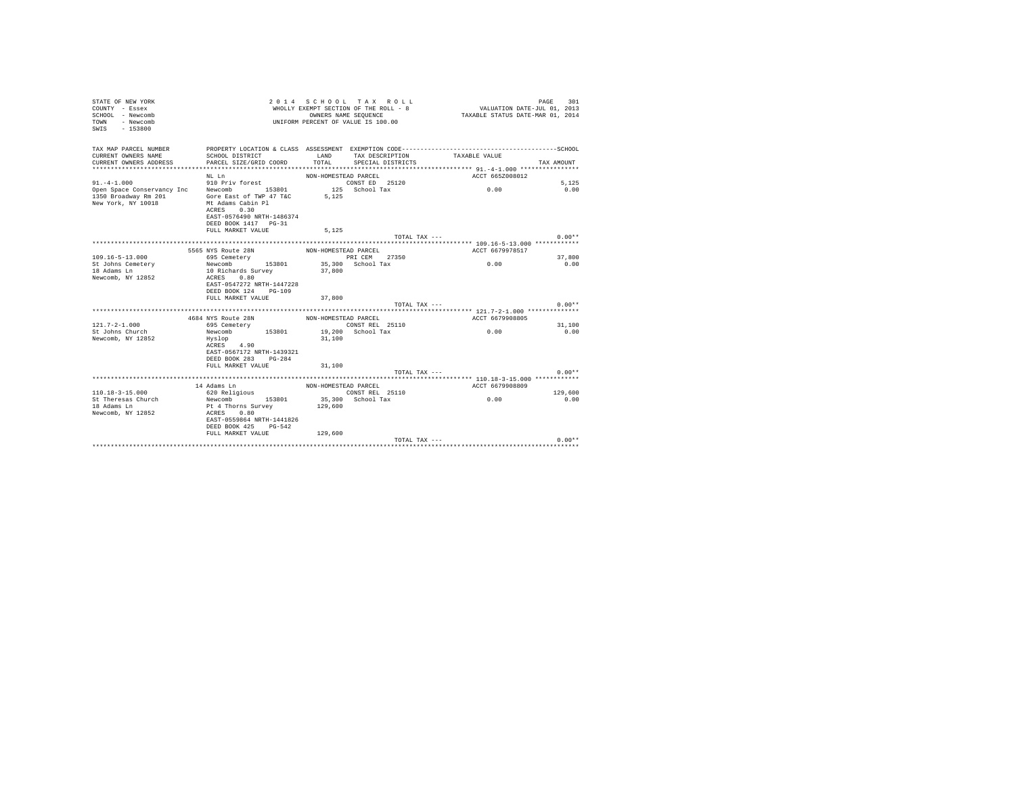| STATE OF NEW YORK<br>COUNTY - Essex<br>SCHOOL - Newcomb<br>- Newcomb<br>TOWN<br>SWIS - 153800 |                                                                   |                      | 2014 SCHOOL TAX ROLL<br>WHOLLY EXEMPT SECTION OF THE ROLL - 8<br>OWNERS NAME SEQUENCE<br>UNIFORM PERCENT OF VALUE IS 100.00 | VALUATION DATE-JUL 01, 2013<br>TAXABLE STATUS DATE-MAR 01, 2014                              | 301<br>PAGE |
|-----------------------------------------------------------------------------------------------|-------------------------------------------------------------------|----------------------|-----------------------------------------------------------------------------------------------------------------------------|----------------------------------------------------------------------------------------------|-------------|
| TAX MAP PARCEL NUMBER                                                                         |                                                                   |                      |                                                                                                                             | PROPERTY LOCATION & CLASS ASSESSMENT EXEMPTION CODE-----------------------------------SCHOOL |             |
| CURRENT OWNERS NAME                                                                           | SCHOOL DISTRICT<br>PARCEL SIZE/GRID COORD                         | LAND<br>TOTAL        | TAX DESCRIPTION<br>SPECIAL DISTRICTS                                                                                        | TAXABLE VALUE                                                                                | TAX AMOUNT  |
| CURRENT OWNERS ADDRESS                                                                        |                                                                   |                      |                                                                                                                             |                                                                                              |             |
|                                                                                               | NL Ln                                                             | NON-HOMESTEAD PARCEL |                                                                                                                             | ACCT 665Z008012                                                                              |             |
| $91. -4 - 1.000$                                                                              | 910 Priv forest                                                   |                      | CONST ED 25120                                                                                                              |                                                                                              | 5.125       |
| Open Space Conservancy Inc Newcomb                                                            | 153801 125 School Tax                                             |                      |                                                                                                                             | 0.00                                                                                         | 0.00        |
| 1350 Broadway Rm 201                                                                          | Gore East of TWP 47 T&C                                           | 5.125                |                                                                                                                             |                                                                                              |             |
| New York, NY 10018                                                                            | Mt Adams Cabin Pl                                                 |                      |                                                                                                                             |                                                                                              |             |
|                                                                                               | ACRES<br>0.30                                                     |                      |                                                                                                                             |                                                                                              |             |
|                                                                                               | EAST-0576490 NRTH-1486374                                         |                      |                                                                                                                             |                                                                                              |             |
|                                                                                               | DEED BOOK 1417 PG-31<br>FULL MARKET VALUE                         | 5.125                |                                                                                                                             |                                                                                              |             |
|                                                                                               |                                                                   |                      | TOTAL TAX ---                                                                                                               |                                                                                              | $0.00**$    |
|                                                                                               |                                                                   |                      |                                                                                                                             |                                                                                              |             |
|                                                                                               | 5565 NYS Route 28N                                                | NON-HOMESTEAD PARCEL |                                                                                                                             | ACCT 6679978517                                                                              |             |
| $109.16 - 5 - 13.000$                                                                         | 695 Cemetery                                                      |                      | PRI CEM 27350                                                                                                               |                                                                                              | 37,800      |
| St Johns Cemetery                                                                             | Newcomb 153801                                                    |                      | 35,300 School Tax                                                                                                           | 0.00                                                                                         | 0.00        |
| 18 Adams Ln                                                                                   | 10 Richards Survey                                                | 37,800               |                                                                                                                             |                                                                                              |             |
| Newcomb, NY 12852                                                                             | ACRES 0.80<br>EAST-0547272 NRTH-1447228                           |                      |                                                                                                                             |                                                                                              |             |
|                                                                                               | DEED BOOK 124<br>PG-109                                           |                      |                                                                                                                             |                                                                                              |             |
|                                                                                               | FULL MARKET VALUE                                                 | 37,800               |                                                                                                                             |                                                                                              |             |
|                                                                                               |                                                                   |                      | TOTAL TAX ---                                                                                                               |                                                                                              | $0.00**$    |
|                                                                                               |                                                                   |                      |                                                                                                                             |                                                                                              |             |
|                                                                                               | 4684 NYS Route 28N NON-HOMESTEAD PARCEL<br>695 Cemetery CONST REL |                      |                                                                                                                             | ACCT 6679908805                                                                              |             |
| $121.7 - 2 - 1.000$                                                                           | 695 Cemetery                                                      |                      | CONST REL 25110                                                                                                             |                                                                                              | 31,100      |
| St Johns Church                                                                               | 153801<br>Newcomb                                                 |                      | 19,200 School Tax                                                                                                           | 0.00                                                                                         | 0.00        |
| Newcomb, NY 12852                                                                             | Hyslop                                                            | 31,100               |                                                                                                                             |                                                                                              |             |
|                                                                                               | ACRES 4.90<br>EAST-0567172 NRTH-1439321                           |                      |                                                                                                                             |                                                                                              |             |
|                                                                                               | DEED BOOK 283 PG-284                                              |                      |                                                                                                                             |                                                                                              |             |
|                                                                                               | FULL MARKET VALUE                                                 | 31,100               |                                                                                                                             |                                                                                              |             |
|                                                                                               |                                                                   |                      | TOTAL TAX ---                                                                                                               |                                                                                              | $0.00**$    |
|                                                                                               |                                                                   |                      |                                                                                                                             |                                                                                              |             |
|                                                                                               | 14 Adams Ln                                                       | NON-HOMESTEAD PARCEL |                                                                                                                             | ACCT 6679908809                                                                              |             |
| $110.18 - 3 - 15.000$                                                                         | 620 Religious                                                     |                      | CONST REL 25110                                                                                                             |                                                                                              | 129,600     |
| St Theresas Church                                                                            | Newcomb<br>153801                                                 |                      | 35,300 School Tax                                                                                                           | 0.00                                                                                         | 0.00        |
| 18 Adams Ln<br>Newcomb, NY 12852                                                              | Pt 4 Thorns Survey<br>ACRES 0.80                                  | 129,600              |                                                                                                                             |                                                                                              |             |
|                                                                                               | EAST-0559864 NRTH-1441826                                         |                      |                                                                                                                             |                                                                                              |             |
|                                                                                               | DEED BOOK 425 PG-542                                              |                      |                                                                                                                             |                                                                                              |             |
|                                                                                               | FULL MARKET VALUE                                                 | 129,600              |                                                                                                                             |                                                                                              |             |
|                                                                                               |                                                                   |                      | TOTAL TAX ---                                                                                                               |                                                                                              | $0.00**$    |
|                                                                                               |                                                                   |                      |                                                                                                                             |                                                                                              |             |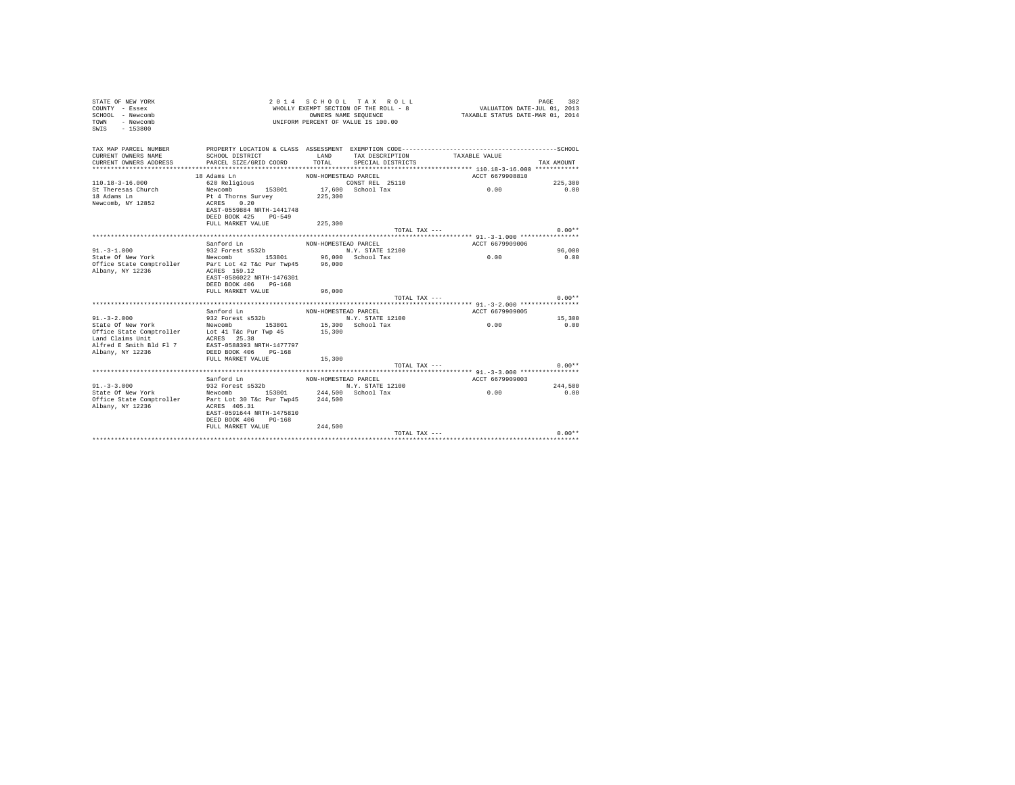| TAX MAP PARCEL NUMBER<br>PROPERTY LOCATION & CLASS ASSESSMENT EXEMPTION CODE-----------------------------------SCHOOL<br>LAND<br>CURRENT OWNERS NAME<br>SCHOOL DISTRICT<br>TAX DESCRIPTION<br>TAXABLE VALUE<br>TOTAL<br>CURRENT OWNERS ADDRESS<br>PARCEL SIZE/GRID COORD<br>SPECIAL DISTRICTS<br>TAX AMOUNT<br>18 Adams Ln<br>ACCT 6679908810<br>NON-HOMESTEAD PARCEL<br>$110.18 - 3 - 16.000$<br>620 Religious<br>CONST REL 25110<br>225,300<br>17,600 School Tax<br>153801<br>St Theresas Church<br>0.00<br>0.00<br>Newcomb<br>18 Adams Ln<br>225,300<br>Pt 4 Thorns Survey<br>Newcomb, NY 12852<br>0.20<br>ACRES<br>EAST-0559884 NRTH-1441748<br>DEED BOOK 425<br>$PG-549$<br>FULL MARKET VALUE<br>225,300<br>$0.00**$<br>TOTAL TAX ---<br>Sanford Ln<br>ACCT 6679909006<br>NON-HOMESTEAD PARCEL<br>932 Forest s532b<br>$91 - 3 - 1.000$<br>N.Y. STATE 12100<br>96,000<br>State Of New York<br>Newcomb 153801 96,000 School Tax<br>0.00<br>0.00<br>Office State Comptroller Part Lot 42 T&c Pur Twp45 96,000<br>Albany, NY 12236<br>ACRES 159.12<br>EAST-0586022 NRTH-1476301<br>DEED BOOK 406 PG-168<br>FULL MARKET VALUE<br>96,000<br>$0.00**$<br>TOTAL TAX ---<br>Sanford Ln<br>ACCT 6679909005<br>NON-HOMESTEAD PARCEL<br>$91. - 3 - 2.000$<br>932 Forest s532b<br>N.Y. STATE 12100<br>15,300<br>State Of New York<br>Newcomb 153801<br>0.00<br>15,300 School Tax<br>0.00<br>Office State Comptroller Lot 41 T&c Pur Twp 45<br>15,300<br>Land Claims Unit<br>ACRES 25.38<br>Alfred E Smith Bld Fl 7<br>EAST-0588393 NRTH-1477797<br>Albany, NY 12236<br>DEED BOOK 406 PG-168<br>15,300<br>FULL MARKET VALUE<br>$0.00**$<br>TOTAL TAX $---$<br>Sanford Ln<br>ACCT 6679909003<br>NON-HOMESTEAD PARCEL<br>932 Forest s532b<br>$91. - 3 - 3.000$<br>N.Y. STATE 12100<br>244.500<br>State Of New York<br>244.500 School Tax<br>0.00<br>Newcomb 153801<br>0.00<br>244,500<br>Office State Comptroller Part Lot 30 T&c Pur Twp45<br>Albany, NY 12236<br>ACRES 405.31<br>EAST-0591644 NRTH-1475810<br>DEED BOOK 406 PG-168<br>FULL MARKET VALUE<br>244,500<br>$0.00**$<br>TOTAL TAX --- | 2014 SCHOOL TAX ROLL<br>STATE OF NEW YORK<br>302<br>PAGE<br>VALUATION DATE-JUL 01, 2013<br>WHOLLY EXEMPT SECTION OF THE ROLL - 8<br>COUNTY - Essex<br>TAXABLE STATUS DATE-MAR 01, 2014<br>SCHOOL - Newcomb<br>OWNERS NAME SEQUENCE<br>- Newcomb<br>UNIFORM PERCENT OF VALUE IS 100.00<br><b>TOWN</b><br>$-153800$<br>SWIS |  |  |  |  |  |  |  |  |
|----------------------------------------------------------------------------------------------------------------------------------------------------------------------------------------------------------------------------------------------------------------------------------------------------------------------------------------------------------------------------------------------------------------------------------------------------------------------------------------------------------------------------------------------------------------------------------------------------------------------------------------------------------------------------------------------------------------------------------------------------------------------------------------------------------------------------------------------------------------------------------------------------------------------------------------------------------------------------------------------------------------------------------------------------------------------------------------------------------------------------------------------------------------------------------------------------------------------------------------------------------------------------------------------------------------------------------------------------------------------------------------------------------------------------------------------------------------------------------------------------------------------------------------------------------------------------------------------------------------------------------------------------------------------------------------------------------------------------------------------------------------------------------------------------------------------------------------------------------------------------------------------------------------------------------------------------------------------------------------------------------------------------------------------------------------------------------------|---------------------------------------------------------------------------------------------------------------------------------------------------------------------------------------------------------------------------------------------------------------------------------------------------------------------------|--|--|--|--|--|--|--|--|
|                                                                                                                                                                                                                                                                                                                                                                                                                                                                                                                                                                                                                                                                                                                                                                                                                                                                                                                                                                                                                                                                                                                                                                                                                                                                                                                                                                                                                                                                                                                                                                                                                                                                                                                                                                                                                                                                                                                                                                                                                                                                                        |                                                                                                                                                                                                                                                                                                                           |  |  |  |  |  |  |  |  |
|                                                                                                                                                                                                                                                                                                                                                                                                                                                                                                                                                                                                                                                                                                                                                                                                                                                                                                                                                                                                                                                                                                                                                                                                                                                                                                                                                                                                                                                                                                                                                                                                                                                                                                                                                                                                                                                                                                                                                                                                                                                                                        |                                                                                                                                                                                                                                                                                                                           |  |  |  |  |  |  |  |  |
|                                                                                                                                                                                                                                                                                                                                                                                                                                                                                                                                                                                                                                                                                                                                                                                                                                                                                                                                                                                                                                                                                                                                                                                                                                                                                                                                                                                                                                                                                                                                                                                                                                                                                                                                                                                                                                                                                                                                                                                                                                                                                        |                                                                                                                                                                                                                                                                                                                           |  |  |  |  |  |  |  |  |
|                                                                                                                                                                                                                                                                                                                                                                                                                                                                                                                                                                                                                                                                                                                                                                                                                                                                                                                                                                                                                                                                                                                                                                                                                                                                                                                                                                                                                                                                                                                                                                                                                                                                                                                                                                                                                                                                                                                                                                                                                                                                                        |                                                                                                                                                                                                                                                                                                                           |  |  |  |  |  |  |  |  |
|                                                                                                                                                                                                                                                                                                                                                                                                                                                                                                                                                                                                                                                                                                                                                                                                                                                                                                                                                                                                                                                                                                                                                                                                                                                                                                                                                                                                                                                                                                                                                                                                                                                                                                                                                                                                                                                                                                                                                                                                                                                                                        |                                                                                                                                                                                                                                                                                                                           |  |  |  |  |  |  |  |  |
|                                                                                                                                                                                                                                                                                                                                                                                                                                                                                                                                                                                                                                                                                                                                                                                                                                                                                                                                                                                                                                                                                                                                                                                                                                                                                                                                                                                                                                                                                                                                                                                                                                                                                                                                                                                                                                                                                                                                                                                                                                                                                        |                                                                                                                                                                                                                                                                                                                           |  |  |  |  |  |  |  |  |
|                                                                                                                                                                                                                                                                                                                                                                                                                                                                                                                                                                                                                                                                                                                                                                                                                                                                                                                                                                                                                                                                                                                                                                                                                                                                                                                                                                                                                                                                                                                                                                                                                                                                                                                                                                                                                                                                                                                                                                                                                                                                                        |                                                                                                                                                                                                                                                                                                                           |  |  |  |  |  |  |  |  |
|                                                                                                                                                                                                                                                                                                                                                                                                                                                                                                                                                                                                                                                                                                                                                                                                                                                                                                                                                                                                                                                                                                                                                                                                                                                                                                                                                                                                                                                                                                                                                                                                                                                                                                                                                                                                                                                                                                                                                                                                                                                                                        |                                                                                                                                                                                                                                                                                                                           |  |  |  |  |  |  |  |  |
|                                                                                                                                                                                                                                                                                                                                                                                                                                                                                                                                                                                                                                                                                                                                                                                                                                                                                                                                                                                                                                                                                                                                                                                                                                                                                                                                                                                                                                                                                                                                                                                                                                                                                                                                                                                                                                                                                                                                                                                                                                                                                        |                                                                                                                                                                                                                                                                                                                           |  |  |  |  |  |  |  |  |
|                                                                                                                                                                                                                                                                                                                                                                                                                                                                                                                                                                                                                                                                                                                                                                                                                                                                                                                                                                                                                                                                                                                                                                                                                                                                                                                                                                                                                                                                                                                                                                                                                                                                                                                                                                                                                                                                                                                                                                                                                                                                                        |                                                                                                                                                                                                                                                                                                                           |  |  |  |  |  |  |  |  |
|                                                                                                                                                                                                                                                                                                                                                                                                                                                                                                                                                                                                                                                                                                                                                                                                                                                                                                                                                                                                                                                                                                                                                                                                                                                                                                                                                                                                                                                                                                                                                                                                                                                                                                                                                                                                                                                                                                                                                                                                                                                                                        |                                                                                                                                                                                                                                                                                                                           |  |  |  |  |  |  |  |  |
|                                                                                                                                                                                                                                                                                                                                                                                                                                                                                                                                                                                                                                                                                                                                                                                                                                                                                                                                                                                                                                                                                                                                                                                                                                                                                                                                                                                                                                                                                                                                                                                                                                                                                                                                                                                                                                                                                                                                                                                                                                                                                        |                                                                                                                                                                                                                                                                                                                           |  |  |  |  |  |  |  |  |
|                                                                                                                                                                                                                                                                                                                                                                                                                                                                                                                                                                                                                                                                                                                                                                                                                                                                                                                                                                                                                                                                                                                                                                                                                                                                                                                                                                                                                                                                                                                                                                                                                                                                                                                                                                                                                                                                                                                                                                                                                                                                                        |                                                                                                                                                                                                                                                                                                                           |  |  |  |  |  |  |  |  |
|                                                                                                                                                                                                                                                                                                                                                                                                                                                                                                                                                                                                                                                                                                                                                                                                                                                                                                                                                                                                                                                                                                                                                                                                                                                                                                                                                                                                                                                                                                                                                                                                                                                                                                                                                                                                                                                                                                                                                                                                                                                                                        |                                                                                                                                                                                                                                                                                                                           |  |  |  |  |  |  |  |  |
|                                                                                                                                                                                                                                                                                                                                                                                                                                                                                                                                                                                                                                                                                                                                                                                                                                                                                                                                                                                                                                                                                                                                                                                                                                                                                                                                                                                                                                                                                                                                                                                                                                                                                                                                                                                                                                                                                                                                                                                                                                                                                        |                                                                                                                                                                                                                                                                                                                           |  |  |  |  |  |  |  |  |
|                                                                                                                                                                                                                                                                                                                                                                                                                                                                                                                                                                                                                                                                                                                                                                                                                                                                                                                                                                                                                                                                                                                                                                                                                                                                                                                                                                                                                                                                                                                                                                                                                                                                                                                                                                                                                                                                                                                                                                                                                                                                                        |                                                                                                                                                                                                                                                                                                                           |  |  |  |  |  |  |  |  |
|                                                                                                                                                                                                                                                                                                                                                                                                                                                                                                                                                                                                                                                                                                                                                                                                                                                                                                                                                                                                                                                                                                                                                                                                                                                                                                                                                                                                                                                                                                                                                                                                                                                                                                                                                                                                                                                                                                                                                                                                                                                                                        |                                                                                                                                                                                                                                                                                                                           |  |  |  |  |  |  |  |  |
|                                                                                                                                                                                                                                                                                                                                                                                                                                                                                                                                                                                                                                                                                                                                                                                                                                                                                                                                                                                                                                                                                                                                                                                                                                                                                                                                                                                                                                                                                                                                                                                                                                                                                                                                                                                                                                                                                                                                                                                                                                                                                        |                                                                                                                                                                                                                                                                                                                           |  |  |  |  |  |  |  |  |
|                                                                                                                                                                                                                                                                                                                                                                                                                                                                                                                                                                                                                                                                                                                                                                                                                                                                                                                                                                                                                                                                                                                                                                                                                                                                                                                                                                                                                                                                                                                                                                                                                                                                                                                                                                                                                                                                                                                                                                                                                                                                                        |                                                                                                                                                                                                                                                                                                                           |  |  |  |  |  |  |  |  |
|                                                                                                                                                                                                                                                                                                                                                                                                                                                                                                                                                                                                                                                                                                                                                                                                                                                                                                                                                                                                                                                                                                                                                                                                                                                                                                                                                                                                                                                                                                                                                                                                                                                                                                                                                                                                                                                                                                                                                                                                                                                                                        |                                                                                                                                                                                                                                                                                                                           |  |  |  |  |  |  |  |  |
|                                                                                                                                                                                                                                                                                                                                                                                                                                                                                                                                                                                                                                                                                                                                                                                                                                                                                                                                                                                                                                                                                                                                                                                                                                                                                                                                                                                                                                                                                                                                                                                                                                                                                                                                                                                                                                                                                                                                                                                                                                                                                        |                                                                                                                                                                                                                                                                                                                           |  |  |  |  |  |  |  |  |
|                                                                                                                                                                                                                                                                                                                                                                                                                                                                                                                                                                                                                                                                                                                                                                                                                                                                                                                                                                                                                                                                                                                                                                                                                                                                                                                                                                                                                                                                                                                                                                                                                                                                                                                                                                                                                                                                                                                                                                                                                                                                                        |                                                                                                                                                                                                                                                                                                                           |  |  |  |  |  |  |  |  |
|                                                                                                                                                                                                                                                                                                                                                                                                                                                                                                                                                                                                                                                                                                                                                                                                                                                                                                                                                                                                                                                                                                                                                                                                                                                                                                                                                                                                                                                                                                                                                                                                                                                                                                                                                                                                                                                                                                                                                                                                                                                                                        |                                                                                                                                                                                                                                                                                                                           |  |  |  |  |  |  |  |  |
|                                                                                                                                                                                                                                                                                                                                                                                                                                                                                                                                                                                                                                                                                                                                                                                                                                                                                                                                                                                                                                                                                                                                                                                                                                                                                                                                                                                                                                                                                                                                                                                                                                                                                                                                                                                                                                                                                                                                                                                                                                                                                        |                                                                                                                                                                                                                                                                                                                           |  |  |  |  |  |  |  |  |
|                                                                                                                                                                                                                                                                                                                                                                                                                                                                                                                                                                                                                                                                                                                                                                                                                                                                                                                                                                                                                                                                                                                                                                                                                                                                                                                                                                                                                                                                                                                                                                                                                                                                                                                                                                                                                                                                                                                                                                                                                                                                                        |                                                                                                                                                                                                                                                                                                                           |  |  |  |  |  |  |  |  |
|                                                                                                                                                                                                                                                                                                                                                                                                                                                                                                                                                                                                                                                                                                                                                                                                                                                                                                                                                                                                                                                                                                                                                                                                                                                                                                                                                                                                                                                                                                                                                                                                                                                                                                                                                                                                                                                                                                                                                                                                                                                                                        |                                                                                                                                                                                                                                                                                                                           |  |  |  |  |  |  |  |  |
|                                                                                                                                                                                                                                                                                                                                                                                                                                                                                                                                                                                                                                                                                                                                                                                                                                                                                                                                                                                                                                                                                                                                                                                                                                                                                                                                                                                                                                                                                                                                                                                                                                                                                                                                                                                                                                                                                                                                                                                                                                                                                        |                                                                                                                                                                                                                                                                                                                           |  |  |  |  |  |  |  |  |
|                                                                                                                                                                                                                                                                                                                                                                                                                                                                                                                                                                                                                                                                                                                                                                                                                                                                                                                                                                                                                                                                                                                                                                                                                                                                                                                                                                                                                                                                                                                                                                                                                                                                                                                                                                                                                                                                                                                                                                                                                                                                                        |                                                                                                                                                                                                                                                                                                                           |  |  |  |  |  |  |  |  |
|                                                                                                                                                                                                                                                                                                                                                                                                                                                                                                                                                                                                                                                                                                                                                                                                                                                                                                                                                                                                                                                                                                                                                                                                                                                                                                                                                                                                                                                                                                                                                                                                                                                                                                                                                                                                                                                                                                                                                                                                                                                                                        |                                                                                                                                                                                                                                                                                                                           |  |  |  |  |  |  |  |  |
|                                                                                                                                                                                                                                                                                                                                                                                                                                                                                                                                                                                                                                                                                                                                                                                                                                                                                                                                                                                                                                                                                                                                                                                                                                                                                                                                                                                                                                                                                                                                                                                                                                                                                                                                                                                                                                                                                                                                                                                                                                                                                        |                                                                                                                                                                                                                                                                                                                           |  |  |  |  |  |  |  |  |
|                                                                                                                                                                                                                                                                                                                                                                                                                                                                                                                                                                                                                                                                                                                                                                                                                                                                                                                                                                                                                                                                                                                                                                                                                                                                                                                                                                                                                                                                                                                                                                                                                                                                                                                                                                                                                                                                                                                                                                                                                                                                                        |                                                                                                                                                                                                                                                                                                                           |  |  |  |  |  |  |  |  |
|                                                                                                                                                                                                                                                                                                                                                                                                                                                                                                                                                                                                                                                                                                                                                                                                                                                                                                                                                                                                                                                                                                                                                                                                                                                                                                                                                                                                                                                                                                                                                                                                                                                                                                                                                                                                                                                                                                                                                                                                                                                                                        |                                                                                                                                                                                                                                                                                                                           |  |  |  |  |  |  |  |  |
|                                                                                                                                                                                                                                                                                                                                                                                                                                                                                                                                                                                                                                                                                                                                                                                                                                                                                                                                                                                                                                                                                                                                                                                                                                                                                                                                                                                                                                                                                                                                                                                                                                                                                                                                                                                                                                                                                                                                                                                                                                                                                        |                                                                                                                                                                                                                                                                                                                           |  |  |  |  |  |  |  |  |
|                                                                                                                                                                                                                                                                                                                                                                                                                                                                                                                                                                                                                                                                                                                                                                                                                                                                                                                                                                                                                                                                                                                                                                                                                                                                                                                                                                                                                                                                                                                                                                                                                                                                                                                                                                                                                                                                                                                                                                                                                                                                                        |                                                                                                                                                                                                                                                                                                                           |  |  |  |  |  |  |  |  |
|                                                                                                                                                                                                                                                                                                                                                                                                                                                                                                                                                                                                                                                                                                                                                                                                                                                                                                                                                                                                                                                                                                                                                                                                                                                                                                                                                                                                                                                                                                                                                                                                                                                                                                                                                                                                                                                                                                                                                                                                                                                                                        |                                                                                                                                                                                                                                                                                                                           |  |  |  |  |  |  |  |  |
|                                                                                                                                                                                                                                                                                                                                                                                                                                                                                                                                                                                                                                                                                                                                                                                                                                                                                                                                                                                                                                                                                                                                                                                                                                                                                                                                                                                                                                                                                                                                                                                                                                                                                                                                                                                                                                                                                                                                                                                                                                                                                        |                                                                                                                                                                                                                                                                                                                           |  |  |  |  |  |  |  |  |
|                                                                                                                                                                                                                                                                                                                                                                                                                                                                                                                                                                                                                                                                                                                                                                                                                                                                                                                                                                                                                                                                                                                                                                                                                                                                                                                                                                                                                                                                                                                                                                                                                                                                                                                                                                                                                                                                                                                                                                                                                                                                                        |                                                                                                                                                                                                                                                                                                                           |  |  |  |  |  |  |  |  |
|                                                                                                                                                                                                                                                                                                                                                                                                                                                                                                                                                                                                                                                                                                                                                                                                                                                                                                                                                                                                                                                                                                                                                                                                                                                                                                                                                                                                                                                                                                                                                                                                                                                                                                                                                                                                                                                                                                                                                                                                                                                                                        |                                                                                                                                                                                                                                                                                                                           |  |  |  |  |  |  |  |  |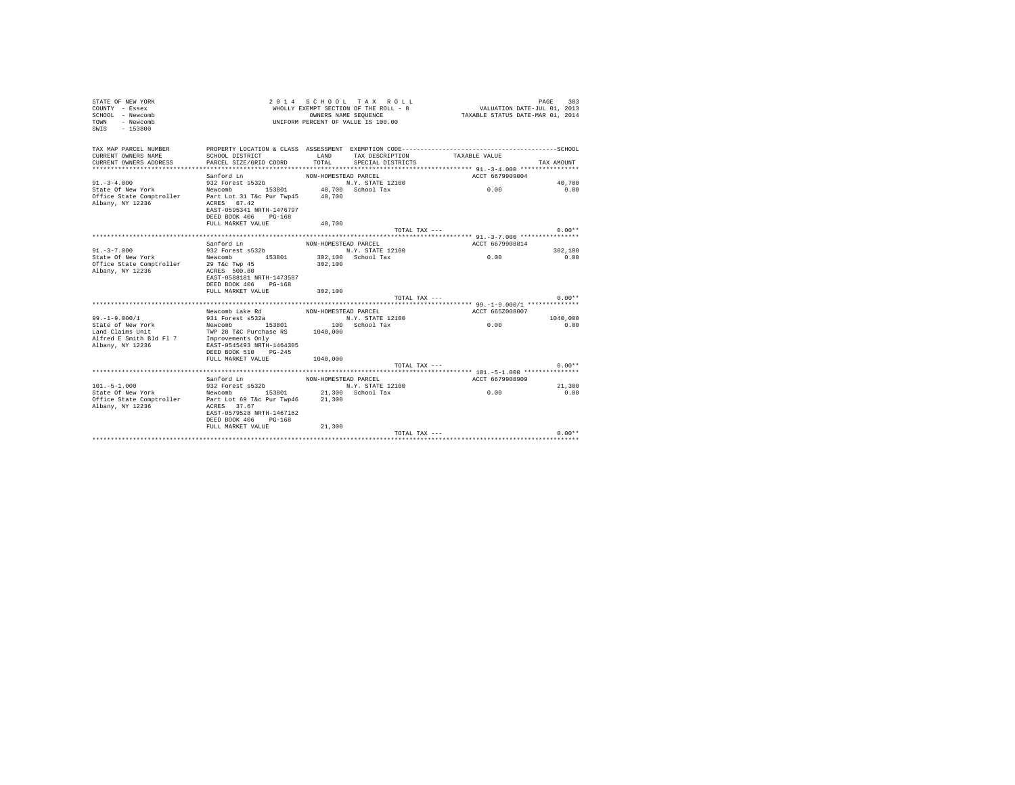| STATE OF NEW YORK<br>COUNTY - Essex<br>SCHOOL - Newcomb<br>- Newcomb<br><b>TOWN</b><br>$-153800$<br>SWIS |                                                                                                                                        |                      | 2014 SCHOOL TAX ROLL<br>WHOLLY EXEMPT SECTION OF THE ROLL - 8<br>OWNERS NAME SEQUENCE<br>UNIFORM PERCENT OF VALUE IS 100.00 | VALUATION DATE-JUL 01, 2013<br>TAXABLE STATUS DATE-MAR 01, 2014                                               | PAGE<br>303 |
|----------------------------------------------------------------------------------------------------------|----------------------------------------------------------------------------------------------------------------------------------------|----------------------|-----------------------------------------------------------------------------------------------------------------------------|---------------------------------------------------------------------------------------------------------------|-------------|
| TAX MAP PARCEL NUMBER<br>CURRENT OWNERS NAME<br>CURRENT OWNERS ADDRESS                                   | SCHOOL DISTRICT<br>PARCEL SIZE/GRID COORD                                                                                              | LAND<br>TOTAL        | TAX DESCRIPTION<br>SPECIAL DISTRICTS                                                                                        | PROPERTY LOCATION & CLASS ASSESSMENT EXEMPTION CODE-----------------------------------SCHOOL<br>TAXABLE VALUE | TAX AMOUNT  |
|                                                                                                          | Sanford Ln                                                                                                                             | NON-HOMESTEAD PARCEL |                                                                                                                             | ACCT 6679909004                                                                                               |             |
| $91. - 3 - 4.000$                                                                                        | 932 Forest s532b                                                                                                                       |                      | N.Y. STATE 12100                                                                                                            |                                                                                                               | 40.700      |
| State Of New York<br>Office State Comptroller<br>Albany, NY 12236                                        | Newcomb 153801 40,700 School Tax<br>Part Lot 31 T&c Pur Twp45<br>ACRES 67.42<br>EAST-0595341 NRTH-1476797<br>DEED BOOK 406<br>$PG-168$ | 40,700               |                                                                                                                             | 0.00                                                                                                          | 0.00        |
|                                                                                                          | FULL MARKET VALUE                                                                                                                      | 40,700               |                                                                                                                             |                                                                                                               |             |
|                                                                                                          |                                                                                                                                        |                      | TOTAL TAX ---                                                                                                               |                                                                                                               | $0.00**$    |
|                                                                                                          |                                                                                                                                        |                      |                                                                                                                             |                                                                                                               |             |
|                                                                                                          | Sanford Ln                                                                                                                             | NON-HOMESTEAD PARCEL |                                                                                                                             | ACCT 6679908814                                                                                               |             |
| $91 - 3 - 7.000$                                                                                         | 932 Forest s532b                                                                                                                       |                      | N.Y. STATE 12100                                                                                                            |                                                                                                               | 302,100     |
| State Of New York<br>Office State Comptroller<br>Albany, NY 12236                                        | Newcomb 153801<br>29 T&c Twp 45<br>ACRES 500.80<br>EAST-0588181 NRTH-1473587<br>DEED BOOK 406 PG-168                                   | 302,100              | 302.100 School Tax                                                                                                          | 0.00                                                                                                          | 0.00        |
|                                                                                                          | FULL MARKET VALUE                                                                                                                      | 302,100              |                                                                                                                             |                                                                                                               |             |
|                                                                                                          |                                                                                                                                        |                      | TOTAL TAX ---                                                                                                               |                                                                                                               | $0.00**$    |
|                                                                                                          | Newcomb Lake Rd                                                                                                                        | NON-HOMESTEAD PARCEL |                                                                                                                             | ACCT 665Z008007                                                                                               |             |
| $99. - 1 - 9.000 / 1$                                                                                    | 931 Forest s532a                                                                                                                       |                      | N.Y. STATE 12100                                                                                                            |                                                                                                               | 1040,000    |
| State of New York                                                                                        | 153801<br>Newcomb                                                                                                                      |                      | 100 School Tax                                                                                                              | 0.00                                                                                                          | 0.00        |
| Land Claims Unit<br>Alfred E Smith Bld Fl 7 Improvements Only<br>Albany, NY 12236                        | TWP 28 T&C Purchase RS<br>EAST-0545493 NRTH-1464305<br>DEED BOOK 510 PG-245<br>FULL MARKET VALUE                                       | 1040,000<br>1040,000 |                                                                                                                             |                                                                                                               |             |
|                                                                                                          |                                                                                                                                        |                      | TOTAL TAX $---$                                                                                                             |                                                                                                               | $0.00**$    |
|                                                                                                          |                                                                                                                                        |                      |                                                                                                                             |                                                                                                               |             |
|                                                                                                          | Sanford Ln                                                                                                                             | NON-HOMESTEAD PARCEL |                                                                                                                             | ACCT 6679908909                                                                                               |             |
| $101. - 5 - 1.000$                                                                                       | 932 Forest s532b                                                                                                                       |                      | N.Y. STATE 12100                                                                                                            |                                                                                                               | 21,300      |
| State Of New York<br>Office State Comptroller<br>Albany, NY 12236                                        | Newcomb 153801<br>Part Lot 69 T&c Pur Twp46<br>ACRES 37.67<br>EAST-0579528 NRTH-1467162<br>DEED BOOK 406 PG-168                        | 21,300               | 21,300 School Tax                                                                                                           | 0.00                                                                                                          | 0.00        |
|                                                                                                          | FULL MARKET VALUE                                                                                                                      | 21,300               |                                                                                                                             |                                                                                                               |             |
|                                                                                                          |                                                                                                                                        |                      | TOTAL TAX ---                                                                                                               |                                                                                                               | $0.00**$    |
|                                                                                                          |                                                                                                                                        |                      |                                                                                                                             |                                                                                                               |             |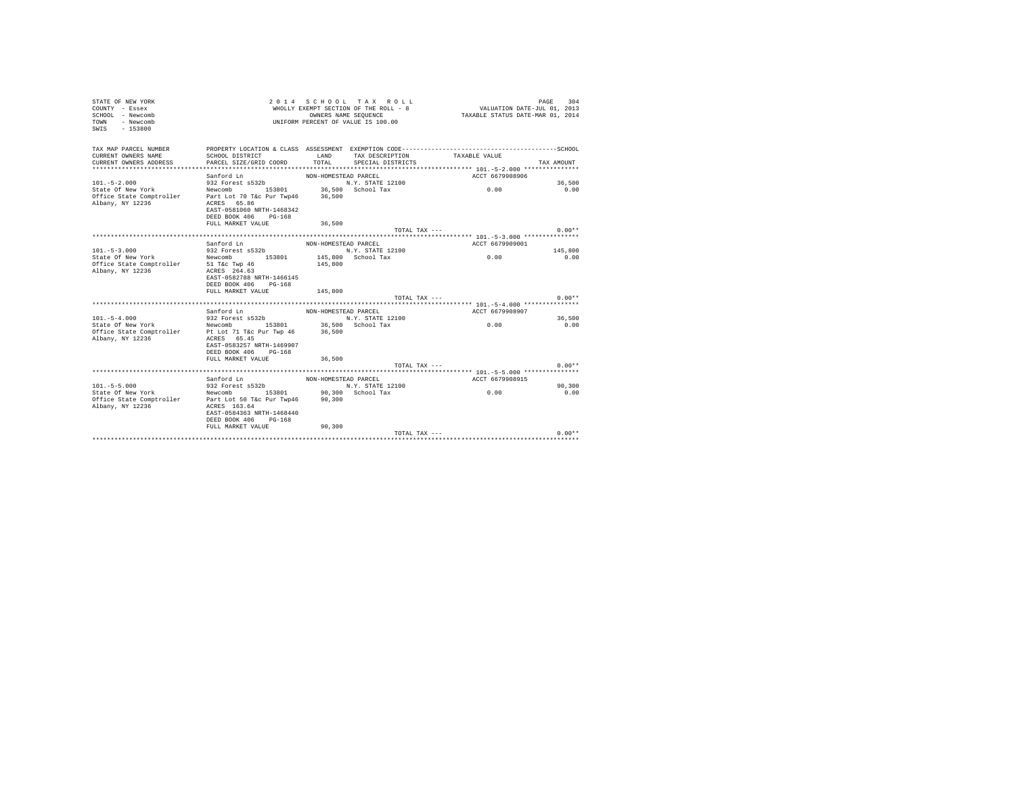| STATE OF NEW YORK<br>COUNTY - Essex<br>SCHOOL - Newcomb<br>- Newcomb<br><b>TOWN</b><br>$-153800$<br>SWIS |                                                                                                                                                       | OWNERS NAME SEQUENCE | 2014 SCHOOL TAX ROLL<br>WHOLLY EXEMPT SECTION OF THE ROLL - 8<br>UNIFORM PERCENT OF VALUE IS 100.00 | VALUATION DATE-JUL 01, 2013<br>TAXABLE STATUS DATE-MAR 01, 2014 | PAGE<br>304 |
|----------------------------------------------------------------------------------------------------------|-------------------------------------------------------------------------------------------------------------------------------------------------------|----------------------|-----------------------------------------------------------------------------------------------------|-----------------------------------------------------------------|-------------|
| TAX MAP PARCEL NUMBER<br>CURRENT OWNERS NAME<br>CURRENT OWNERS ADDRESS                                   | SCHOOL DISTRICT<br>PARCEL SIZE/GRID COORD                                                                                                             | LAND<br>TOTAL        | TAX DESCRIPTION TAXABLE VALUE<br>SPECIAL DISTRICTS                                                  |                                                                 | TAX AMOUNT  |
|                                                                                                          | Sanford Ln                                                                                                                                            | NON-HOMESTEAD PARCEL |                                                                                                     | ACCT 6679908906                                                 |             |
| $101. - 5 - 2.000$                                                                                       | 932 Forest s532b                                                                                                                                      |                      | N.Y. STATE 12100                                                                                    |                                                                 | 36,500      |
| State Of New York<br>Office State Comptroller<br>Albany, NY 12236                                        | Newcomb 153801 36,500 School Tax<br>Part Lot 70 T&c Pur Twp46<br>ACRES 65.86<br>EAST-0581060 NRTH-1468342<br>DEED BOOK 406 PG-168                     | 36,500               |                                                                                                     | 0.00                                                            | 0.00        |
|                                                                                                          | FULL MARKET VALUE                                                                                                                                     | 36,500               |                                                                                                     |                                                                 |             |
|                                                                                                          |                                                                                                                                                       |                      | TOTAL TAX ---                                                                                       |                                                                 | $0.00**$    |
|                                                                                                          |                                                                                                                                                       |                      |                                                                                                     |                                                                 |             |
|                                                                                                          | Sanford Ln                                                                                                                                            | NON-HOMESTEAD PARCEL |                                                                                                     | ACCT 6679909001                                                 |             |
| $101 - 5 - 3.000$                                                                                        | 932 Forest s532b                                                                                                                                      |                      | N.Y. STATE 12100                                                                                    |                                                                 | 145,800     |
| State Of New York<br>Office State Comptroller 51 T&c Twp 46<br>Albany, NY 12236                          | Newcomb 153801<br>ACRES 264.63<br>EAST-0582788 NRTH-1466145<br>DEED BOOK 406 PG-168                                                                   | 145,800              | 145,800 School Tax                                                                                  | 0.00                                                            | 0.00        |
|                                                                                                          | FULL MARKET VALUE                                                                                                                                     | 145,800              |                                                                                                     |                                                                 |             |
|                                                                                                          |                                                                                                                                                       |                      | TOTAL TAX ---                                                                                       |                                                                 | $0.00**$    |
|                                                                                                          |                                                                                                                                                       |                      |                                                                                                     |                                                                 |             |
|                                                                                                          | Sanford Ln                                                                                                                                            | NON-HOMESTEAD PARCEL |                                                                                                     | ACCT 6679908907                                                 |             |
| $101. - 5 - 4.000$                                                                                       | 932 Forest s532b                                                                                                                                      |                      | N.Y. STATE 12100                                                                                    |                                                                 | 36,500      |
| State Of New York<br>Office State Comptroller<br>Albany, NY 12236                                        | Newcomb 153801 36,500 School Tax<br>Pt Lot 71 T&c Pur Twp 46<br>ACRES 65.45<br>EAST-0583257 NRTH-1469907<br>DEED BOOK 406 PG-168<br>FULL MARKET VALUE | 36,500<br>36,500     |                                                                                                     | 0.00                                                            | 0.00        |
|                                                                                                          |                                                                                                                                                       |                      | TOTAL TAX $---$                                                                                     |                                                                 | $0.00**$    |
|                                                                                                          |                                                                                                                                                       |                      |                                                                                                     |                                                                 |             |
|                                                                                                          | Sanford Ln                                                                                                                                            | NON-HOMESTEAD PARCEL |                                                                                                     | ACCT 6679908915                                                 |             |
| $101. - 5 - 5.000$                                                                                       | $932$ Forest $s532b$                                                                                                                                  |                      | N.Y. STATE 12100                                                                                    |                                                                 | 90,300      |
| State Of New York<br>Office State Comptroller Part Lot 50 T&c Pur Twp46<br>Albany, NY 12236              | Newcomb 153801 90.300 School Tax<br>ACRES 163.64<br>EAST-0584363 NRTH-1468440<br>DEED BOOK 406 PG-168                                                 | 90, 300              |                                                                                                     | 0.00                                                            | 0.00        |
|                                                                                                          | FULL MARKET VALUE                                                                                                                                     | 90.300               |                                                                                                     |                                                                 |             |
|                                                                                                          |                                                                                                                                                       |                      | TOTAL TAX ---                                                                                       |                                                                 | $0.00**$    |
|                                                                                                          |                                                                                                                                                       |                      |                                                                                                     |                                                                 |             |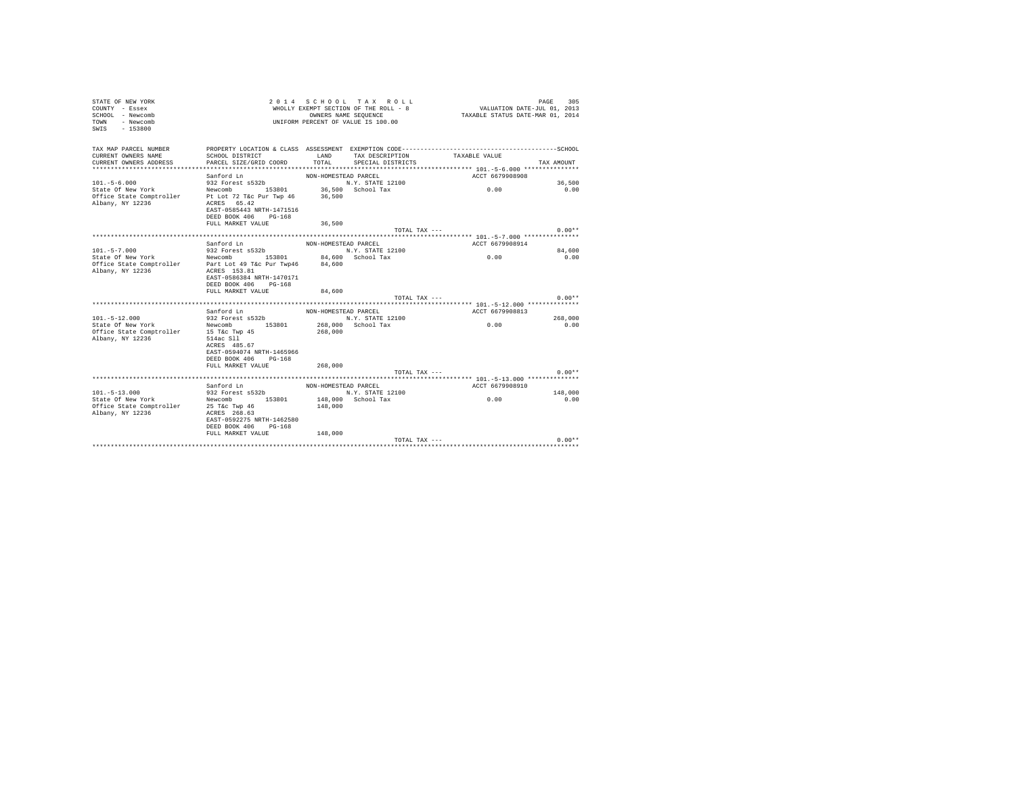| COUNTY - Essex<br>SCHOOL - Newcomb<br>TOWN - Newcomb<br>SWIS - 153800 | UNIFORM PERCENT OF VALUE IS 100.00                                                                                                                                                   |                      | WHOLLY EXEMPT SECTION OF THE ROLL - 8<br>OWNERS NAME SEQUENCE | VALUATION DATE-JUL 01, 2013<br>TAXABLE STATUS DATE-MAR 01, 2014 |                 |
|-----------------------------------------------------------------------|--------------------------------------------------------------------------------------------------------------------------------------------------------------------------------------|----------------------|---------------------------------------------------------------|-----------------------------------------------------------------|-----------------|
| CURRENT OWNERS NAME<br>CURRENT OWNERS ADDRESS                         | TAX MAP PARCEL NUMBER PROPERTY LOCATION & CLASS ASSESSMENT EXEMPTION CODE--------------------------------SCHOOL<br>SCHOOL DISTRICT<br>PARCEL SIZE/GRID COORD                         | TOTAL                | LAND TAX DESCRIPTION<br>SPECIAL DISTRICTS                     | TAXABLE VALUE                                                   | TAX AMOUNT      |
|                                                                       | Sanford Ln                                                                                                                                                                           | NON-HOMESTEAD PARCEL |                                                               | ACCT 6679908908                                                 |                 |
| $101. - 5 - 6.000$                                                    | 932 Forest s532b                                                                                                                                                                     |                      | N.Y. STATE 12100                                              |                                                                 | 36,500          |
|                                                                       |                                                                                                                                                                                      |                      |                                                               | 0.00                                                            | 0.00            |
| Albany, NY 12236                                                      | State Of New York Mewcomb 153801 36,500 School Tax<br>Office State Comptroller Pt Lot 72 T&c Pur Twp 46 36,500<br>ACRES 65.42<br>EAST-0585443 NRTH-1471516<br>DEED BOOK 406 PG-168   |                      |                                                               |                                                                 |                 |
|                                                                       | FULL MARKET VALUE                                                                                                                                                                    | 36,500               |                                                               |                                                                 |                 |
|                                                                       |                                                                                                                                                                                      |                      | TOTAL TAX ---                                                 |                                                                 | $0.00**$        |
|                                                                       | Sanford Ln                                                                                                                                                                           | NON-HOMESTEAD PARCEL |                                                               | ACCT 6679908914                                                 |                 |
| $101. -5 - 7.000$                                                     | 932 Forest s532b                                                                                                                                                                     |                      | N.Y. STATE 12100                                              |                                                                 | 84,600          |
|                                                                       |                                                                                                                                                                                      |                      |                                                               | 0.00                                                            | 0.00            |
| Albany, NY 12236                                                      | State Of New York Mewcomb 153801 84,600 School Tax<br>Office State Comptroller Part Lot 49 T&c Pur Twp46 84,600<br>ACRES 153.81<br>EAST-0586384 NRTH-1470171<br>DEED BOOK 406 PG-168 |                      |                                                               |                                                                 |                 |
|                                                                       | FULL MARKET VALUE                                                                                                                                                                    | 84,600               |                                                               |                                                                 |                 |
|                                                                       |                                                                                                                                                                                      |                      | TOTAL TAX ---                                                 |                                                                 | $0.00**$        |
|                                                                       |                                                                                                                                                                                      |                      |                                                               |                                                                 |                 |
|                                                                       | Sanford Ln                                                                                                                                                                           | NON-HOMESTEAD PARCEL |                                                               | ACCT 6679908813                                                 |                 |
| $101. - 5 - 12.000$<br>State Of New York                              | 932 Forest s532b<br>Newcomb 153801 268,000 School Tax                                                                                                                                |                      | N.Y. STATE 12100                                              | 0.00                                                            | 268,000<br>0.00 |
| office State Comptroller 15 T&c Twp 45<br>Albany, NY 12236 514ac Sll  | ACRES 485.67<br>EAST-0594074 NRTH-1465966<br>DEED BOOK 406 PG-168                                                                                                                    | 268,000              |                                                               |                                                                 |                 |
|                                                                       | FULL MARKET VALUE                                                                                                                                                                    | 268,000              |                                                               |                                                                 |                 |
|                                                                       |                                                                                                                                                                                      |                      | TOTAL TAX ---                                                 |                                                                 | $0.00**$        |
|                                                                       | Sanford Ln                                                                                                                                                                           |                      |                                                               |                                                                 |                 |
| $101. - 5 - 13.000$                                                   | 932 Forest s532b N.Y. STATE 12100                                                                                                                                                    | NON-HOMESTEAD PARCEL |                                                               | ACCT 6679908910                                                 | 148,000         |
| State Of New York                                                     | Newcomb 153801 148,000 School Tax                                                                                                                                                    |                      |                                                               | 0.00                                                            | 0.00            |
|                                                                       | Office State Comptroller 25 T&C Twp 46 148,000<br>Albany, NY 12236 268.63<br>EAST-0592275 NRTH-1462580<br>DEED BOOK 406 PG-168                                                       |                      |                                                               |                                                                 |                 |
|                                                                       | FULL MARKET VALUE 148,000                                                                                                                                                            |                      |                                                               |                                                                 |                 |
|                                                                       |                                                                                                                                                                                      |                      | TOTAL TAX ---                                                 |                                                                 | $0.00**$        |
|                                                                       |                                                                                                                                                                                      |                      |                                                               |                                                                 |                 |

STATE OF NEW YORK 2 0 1 4 S C H O O L T A X R O L L PAGE 305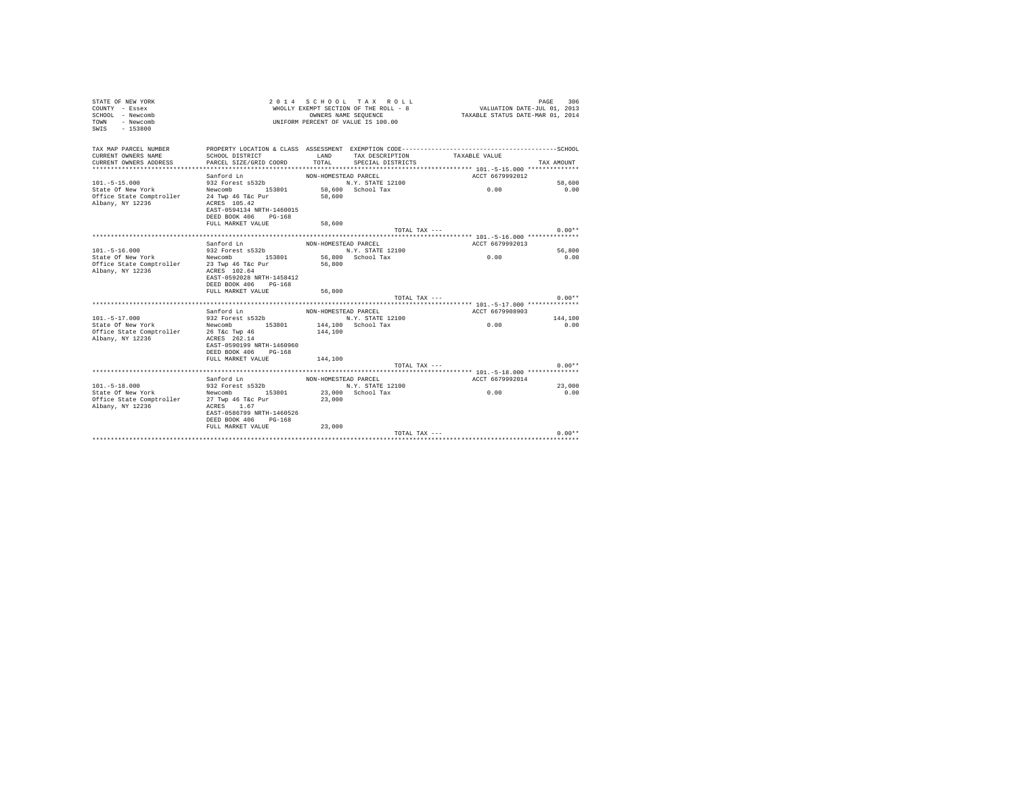| STATE OF NEW YORK<br>COUNTY - Essex<br>SCHOOL - Newcomb<br>- Newcomb<br><b>TOWN</b><br>$-153800$<br>SWIS |                                           | OWNERS NAME SEQUENCE | 2014 SCHOOL TAX ROLL<br>WHOLLY EXEMPT SECTION OF THE ROLL - 8<br>UNIFORM PERCENT OF VALUE IS 100.00 | VALUATION DATE-JUL 01, 2013<br>TAXABLE STATUS DATE-MAR 01, 2014                                               | PAGE<br>306 |
|----------------------------------------------------------------------------------------------------------|-------------------------------------------|----------------------|-----------------------------------------------------------------------------------------------------|---------------------------------------------------------------------------------------------------------------|-------------|
| TAX MAP PARCEL NUMBER<br>CURRENT OWNERS NAME<br>CURRENT OWNERS ADDRESS                                   | SCHOOL DISTRICT<br>PARCEL SIZE/GRID COORD | LAND<br>TOTAL        | TAX DESCRIPTION<br>SPECIAL DISTRICTS                                                                | PROPERTY LOCATION & CLASS ASSESSMENT EXEMPTION CODE-----------------------------------SCHOOL<br>TAXABLE VALUE | TAX AMOUNT  |
|                                                                                                          | Sanford Ln                                | NON-HOMESTEAD PARCEL |                                                                                                     | ACCT 6679992012                                                                                               |             |
| $101. - 5 - 15.000$                                                                                      | 932 Forest s532b                          |                      | N.Y. STATE 12100                                                                                    |                                                                                                               | 58,600      |
| State Of New York                                                                                        | Newcomb 153801                            |                      | 58,600 School Tax                                                                                   | 0.00                                                                                                          | 0.00        |
| Office State Comptroller                                                                                 | 24 Twp 46 T&c Pur                         | 58,600               |                                                                                                     |                                                                                                               |             |
| Albany, NY 12236                                                                                         | ACRES 105.42                              |                      |                                                                                                     |                                                                                                               |             |
|                                                                                                          | EAST-0594134 NRTH-1460015                 |                      |                                                                                                     |                                                                                                               |             |
|                                                                                                          | DEED BOOK 406 PG-168                      |                      |                                                                                                     |                                                                                                               |             |
|                                                                                                          | FULL MARKET VALUE                         | 58,600               | TOTAL TAX ---                                                                                       |                                                                                                               | $0.00**$    |
|                                                                                                          |                                           |                      |                                                                                                     |                                                                                                               |             |
|                                                                                                          | Sanford Ln                                | NON-HOMESTEAD PARCEL |                                                                                                     | ACCT 6679992013                                                                                               |             |
| $101 - 5 - 16.000$                                                                                       | 932 Forest s532b                          |                      | N.Y. STATE 12100                                                                                    |                                                                                                               | 56,800      |
| State Of New York                                                                                        | Newcomb 153801                            |                      | 56,800 School Tax                                                                                   | 0.00                                                                                                          | 0.00        |
| Office State Comptroller                                                                                 | 23 Twp 46 T&c Pur                         | 56,800               |                                                                                                     |                                                                                                               |             |
| Albany, NY 12236                                                                                         | ACRES 102.64                              |                      |                                                                                                     |                                                                                                               |             |
|                                                                                                          | EAST-0592028 NRTH-1458412                 |                      |                                                                                                     |                                                                                                               |             |
|                                                                                                          | DEED BOOK 406 PG-168                      |                      |                                                                                                     |                                                                                                               |             |
|                                                                                                          | FULL MARKET VALUE                         | 56,800               | TOTAL TAX ---                                                                                       |                                                                                                               | $0.00**$    |
|                                                                                                          |                                           |                      |                                                                                                     |                                                                                                               |             |
|                                                                                                          | Sanford Ln                                | NON-HOMESTEAD PARCEL |                                                                                                     | ACCT 6679908903                                                                                               |             |
| $101. - 5 - 17.000$                                                                                      | 932 Forest s532b                          |                      | N.Y. STATE 12100                                                                                    |                                                                                                               | 144,100     |
| State Of New York                                                                                        | Newcomb 153801                            |                      | 144.100 School Tax                                                                                  | 0.00                                                                                                          | 0.00        |
| Office State Comptroller                                                                                 | 26 T&c Twp 46                             | 144,100              |                                                                                                     |                                                                                                               |             |
| Albany, NY 12236                                                                                         | ACRES 262.14                              |                      |                                                                                                     |                                                                                                               |             |
|                                                                                                          | EAST-0590199 NRTH-1460960                 |                      |                                                                                                     |                                                                                                               |             |
|                                                                                                          | DEED BOOK 406 PG-168                      |                      |                                                                                                     |                                                                                                               |             |
|                                                                                                          | FULL MARKET VALUE                         | 144,100              |                                                                                                     |                                                                                                               |             |
|                                                                                                          |                                           |                      | TOTAL TAX $---$                                                                                     |                                                                                                               | $0.00**$    |
|                                                                                                          |                                           |                      |                                                                                                     |                                                                                                               |             |
| $101. - 5 - 18.000$                                                                                      | Sanford Ln<br>932 Forest $s532b$          | NON-HOMESTEAD PARCEL | N.Y. STATE 12100                                                                                    | ACCT 6679992014                                                                                               | 23,000      |
| State Of New York                                                                                        | Newcomb 153801                            |                      | 23,000 School Tax                                                                                   | 0.00                                                                                                          | 0.00        |
| Office State Comptroller                                                                                 | 27 Twp 46 T&c Pur                         | 23,000               |                                                                                                     |                                                                                                               |             |
| Albany, NY 12236                                                                                         | ACRES 1.67                                |                      |                                                                                                     |                                                                                                               |             |
|                                                                                                          | EAST-0586799 NRTH-1460526                 |                      |                                                                                                     |                                                                                                               |             |
|                                                                                                          | DEED BOOK 406 PG-168                      |                      |                                                                                                     |                                                                                                               |             |
|                                                                                                          | FULL MARKET VALUE                         | 23,000               |                                                                                                     |                                                                                                               |             |
|                                                                                                          |                                           |                      | TOTAL TAX ---                                                                                       |                                                                                                               | $0.00**$    |
|                                                                                                          |                                           |                      |                                                                                                     |                                                                                                               |             |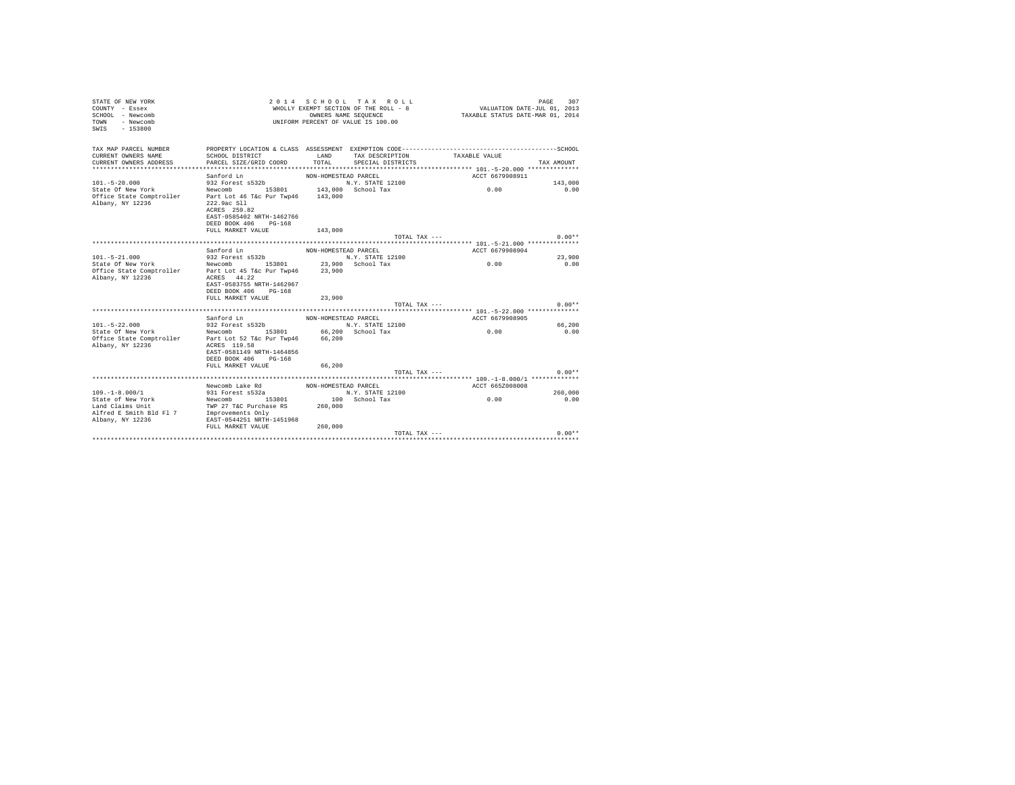| STATE OF NEW YORK<br>COUNTY - Essex<br>SCHOOL - Newcomb<br>- Newcomb<br>TOWN<br>$-153800$<br>SWTS | 2 0 1 4                                                                                                                                                    |                      | SCHOOL TAX ROLL<br>WHOLLY EXEMPT SECTION OF THE ROLL - 8<br>OWNERS NAME SEOUENCE<br>UNIFORM PERCENT OF VALUE IS 100.00 | VALUATION DATE-JUL 01, 2013<br>TAXABLE STATUS DATE-MAR 01, 2014 | PAGE<br>307 |
|---------------------------------------------------------------------------------------------------|------------------------------------------------------------------------------------------------------------------------------------------------------------|----------------------|------------------------------------------------------------------------------------------------------------------------|-----------------------------------------------------------------|-------------|
| TAX MAP PARCEL NUMBER                                                                             |                                                                                                                                                            |                      |                                                                                                                        |                                                                 |             |
| CURRENT OWNERS NAME<br>CURRENT OWNERS ADDRESS                                                     | SCHOOL DISTRICT<br>PARCEL SIZE/GRID COORD                                                                                                                  | LAND<br>TOTAL        | TAX DESCRIPTION<br>SPECIAL DISTRICTS                                                                                   | TAXABLE VALUE                                                   | TAX AMOUNT  |
|                                                                                                   |                                                                                                                                                            |                      |                                                                                                                        |                                                                 |             |
| $101. - 5 - 20.000$                                                                               | Sanford Ln<br>932 Forest s532b                                                                                                                             | NON-HOMESTEAD PARCEL | N.Y. STATE 12100                                                                                                       | ACCT 6679908911                                                 | 143,000     |
| State Of New York                                                                                 | Newcomb 153801                                                                                                                                             |                      | 143,000 School Tax                                                                                                     | 0.00                                                            | 0.00        |
| Office State Comptroller<br>Albany, NY 12236                                                      | Part Lot 46 T&c Pur Twp46 143,000<br>222.9ac S11<br>ACRES 259.82<br>EAST-0585402 NRTH-1462766<br>DEED BOOK 406 PG-168<br>FULL MARKET VALUE                 | 143,000              |                                                                                                                        |                                                                 |             |
|                                                                                                   |                                                                                                                                                            |                      | TOTAL TAX $---$                                                                                                        |                                                                 | $0.00**$    |
|                                                                                                   |                                                                                                                                                            |                      |                                                                                                                        |                                                                 |             |
|                                                                                                   | Sanford Ln                                                                                                                                                 | NON-HOMESTEAD PARCEL |                                                                                                                        | ACCT 6679908904                                                 |             |
| $101. - 5 - 21.000$                                                                               | 932 Forest s532b                                                                                                                                           |                      | N.Y. STATE 12100                                                                                                       |                                                                 | 23,900      |
| State Of New York<br>Office State Comptroller<br>Albany, NY 12236                                 | Newcomb 153801<br>Part Lot 45 T&c Pur Twp46<br>ACRES 44.22<br>EAST-0583755 NRTH-1462967<br>DEED BOOK 406 PG-168                                            | 23,900               | 23,900 School Tax                                                                                                      | 0.00                                                            | 0.00        |
|                                                                                                   | FULL MARKET VALUE                                                                                                                                          | 23,900               |                                                                                                                        |                                                                 |             |
|                                                                                                   |                                                                                                                                                            |                      | TOTAL TAX $---$                                                                                                        |                                                                 | $0.00**$    |
|                                                                                                   | Sanford Ln                                                                                                                                                 |                      |                                                                                                                        | ACCT 6679908905                                                 |             |
| $101. - 5 - 22.000$                                                                               | 932 Forest s532b                                                                                                                                           | NON-HOMESTEAD PARCEL | N.Y. STATE 12100                                                                                                       |                                                                 | 66,200      |
| State Of New York<br>Office State Comptroller<br>Albany, NY 12236                                 | 153801 66,200 School Tax<br>Newcomb<br>Part Lot 52 T&c Pur Twp46<br>ACRES 119.58<br>EAST-0581149 NRTH-1464856<br>DEED BOOK 406 PG-168<br>FULL MARKET VALUE | 66,200<br>66,200     |                                                                                                                        | 0.00                                                            | 0.00        |
|                                                                                                   |                                                                                                                                                            |                      | TOTAL TAX ---                                                                                                          |                                                                 | $0.00**$    |
|                                                                                                   |                                                                                                                                                            |                      |                                                                                                                        |                                                                 |             |
|                                                                                                   | Newcomb Lake Rd                                                                                                                                            | NON-HOMESTEAD PARCEL |                                                                                                                        | ACCT 665Z008008                                                 |             |
| $109. - 1 - 8.000 / 1$                                                                            | 931 Forest s532a                                                                                                                                           |                      | N.Y. STATE 12100                                                                                                       |                                                                 | 260,000     |
| State of New York<br>Land Claims Unit<br>Alfred E Smith Bld Fl 7<br>Albany, NY 12236              | 153801<br>Newcomb<br>TWP 27 T&C Purchase RS<br>Improvements Only<br>EAST-0544251 NRTH-1451968                                                              | 260,000              | 100 School Tax                                                                                                         | 0.00                                                            | 0.00        |
|                                                                                                   | FULL MARKET VALUE                                                                                                                                          | 260,000              |                                                                                                                        |                                                                 |             |
|                                                                                                   |                                                                                                                                                            |                      | TOTAL TAX ---                                                                                                          |                                                                 | $0.00**$    |
|                                                                                                   |                                                                                                                                                            |                      |                                                                                                                        |                                                                 |             |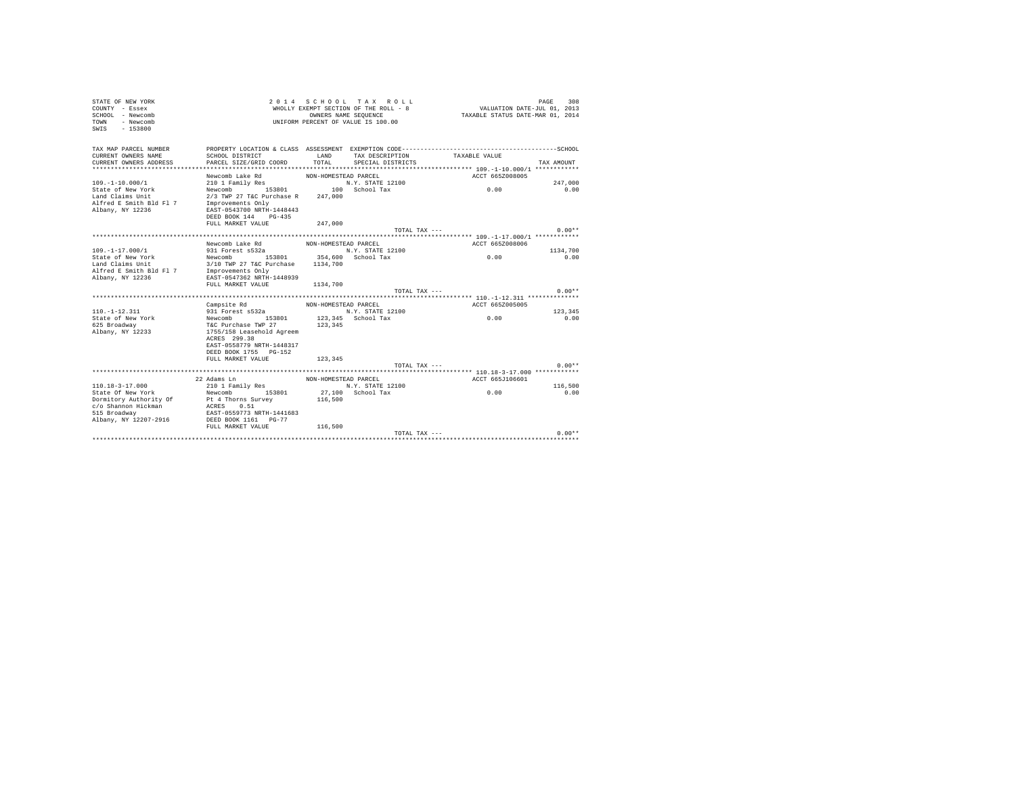| STATE OF NEW YORK<br>COUNTY - Essex<br>SCHOOL - Newcomb<br>- Newcomb<br><b>TOWN</b><br>SWIS<br>$-153800$ |                                           | OWNERS NAME SEQUENCE | 2014 SCHOOL TAX ROLL<br>WHOLLY EXEMPT SECTION OF THE ROLL - 8<br>UNIFORM PERCENT OF VALUE IS 100.00 | VALUATION DATE-JUL 01, 2013<br>TAXABLE STATUS DATE-MAR 01, 2014 | PAGE<br>308     |
|----------------------------------------------------------------------------------------------------------|-------------------------------------------|----------------------|-----------------------------------------------------------------------------------------------------|-----------------------------------------------------------------|-----------------|
| TAX MAP PARCEL NUMBER<br>CURRENT OWNERS NAME<br>CURRENT OWNERS ADDRESS                                   | SCHOOL DISTRICT<br>PARCEL SIZE/GRID COORD | LAND<br>TOTAL        | TAX DESCRIPTION<br>SPECIAL DISTRICTS                                                                | TAXABLE VALUE                                                   | TAX AMOUNT      |
|                                                                                                          | Newcomb Lake Rd                           | NON-HOMESTEAD PARCEL |                                                                                                     | ACCT 665Z008005                                                 |                 |
| $109. - 1 - 10.000 / 1$                                                                                  | 210 1 Family Res                          |                      | N.Y. STATE 12100                                                                                    |                                                                 | 247.000         |
| State of New York                                                                                        | Newcomb<br>153801                         |                      | 100 School Tax                                                                                      | 0.00                                                            | 0.00            |
| Land Claims Unit                                                                                         | 2/3 TWP 27 T&C Purchase R                 | 247,000              |                                                                                                     |                                                                 |                 |
| Alfred E Smith Bld Fl 7                                                                                  | Improvements Only                         |                      |                                                                                                     |                                                                 |                 |
| Albany, NY 12236                                                                                         | EAST-0543700 NRTH-1448443                 |                      |                                                                                                     |                                                                 |                 |
|                                                                                                          | DEED BOOK 144 PG-435                      |                      |                                                                                                     |                                                                 |                 |
|                                                                                                          | FULL MARKET VALUE                         | 247.000              |                                                                                                     |                                                                 | $0.00**$        |
|                                                                                                          |                                           |                      | TOTAL TAX ---                                                                                       |                                                                 |                 |
|                                                                                                          | Newcomb Lake Rd                           | NON-HOMESTEAD PARCEL |                                                                                                     | ACCT 665Z008006                                                 |                 |
| $109. - 1 - 17.000/1$                                                                                    | 931 Forest s532a                          |                      | N.Y. STATE 12100                                                                                    |                                                                 | 1134,700        |
| State of New York                                                                                        | Newcomb 153801 354,600 School Tax         |                      |                                                                                                     | 0.00                                                            | 0.00            |
| Land Claims Unit                                                                                         | 3/10 TWP 27 T&C Purchase                  | 1134,700             |                                                                                                     |                                                                 |                 |
| Alfred E Smith Bld Fl 7                                                                                  | Improvements Only                         |                      |                                                                                                     |                                                                 |                 |
| Albany, NY 12236                                                                                         | EAST-0547362 NRTH-1448939                 |                      |                                                                                                     |                                                                 |                 |
|                                                                                                          | FULL MARKET VALUE                         | 1134,700             |                                                                                                     |                                                                 |                 |
|                                                                                                          |                                           |                      | TOTAL TAX $---$                                                                                     |                                                                 | $0.00**$        |
|                                                                                                          |                                           |                      |                                                                                                     |                                                                 |                 |
|                                                                                                          | Campsite Rd                               | NON-HOMESTEAD PARCEL |                                                                                                     | ACCT 665Z005005                                                 |                 |
| $110. -1 - 12.311$<br>State of New York                                                                  | 931 Forest s532a<br>Newcomb<br>153801     |                      | N.Y. STATE 12100<br>123,345 School Tax                                                              | 0.00                                                            | 123,345<br>0.00 |
| 625 Broadway                                                                                             | T&C Purchase TWP 27                       | 123,345              |                                                                                                     |                                                                 |                 |
| Albany, NY 12233                                                                                         | 1755/158 Leasehold Agreem                 |                      |                                                                                                     |                                                                 |                 |
|                                                                                                          | ACRES 299.38                              |                      |                                                                                                     |                                                                 |                 |
|                                                                                                          | EAST-0558779 NRTH-1448317                 |                      |                                                                                                     |                                                                 |                 |
|                                                                                                          | DEED BOOK 1755 PG-152                     |                      |                                                                                                     |                                                                 |                 |
|                                                                                                          | FULL MARKET VALUE                         | 123,345              |                                                                                                     |                                                                 |                 |
|                                                                                                          |                                           |                      | TOTAL TAX $---$                                                                                     |                                                                 | $0.00**$        |
|                                                                                                          |                                           |                      |                                                                                                     |                                                                 |                 |
|                                                                                                          | 22 Adams Ln                               | NON-HOMESTEAD PARCEL |                                                                                                     | ACCT 665J106601                                                 |                 |
| $110.18 - 3 - 17.000$                                                                                    | 210 1 Family Res                          |                      | N.Y. STATE 12100                                                                                    |                                                                 | 116,500         |
| State Of New York<br>Dormitory Authority Of                                                              | Newcomb<br>153801<br>Pt 4 Thorns Survey   | 116,500              | 27.100 School Tax                                                                                   | 0.00                                                            | 0.00            |
| c/o Shannon Hickman                                                                                      | ACRES<br>0.51                             |                      |                                                                                                     |                                                                 |                 |
| 515 Broadway                                                                                             | EAST-0559773 NRTH-1441683                 |                      |                                                                                                     |                                                                 |                 |
| Albany, NY 12207-2916                                                                                    | DEED BOOK 1161 PG-77                      |                      |                                                                                                     |                                                                 |                 |
|                                                                                                          | FULL MARKET VALUE                         | 116,500              |                                                                                                     |                                                                 |                 |
|                                                                                                          |                                           |                      | TOTAL TAX ---                                                                                       |                                                                 | $0.00**$        |
|                                                                                                          |                                           |                      |                                                                                                     |                                                                 |                 |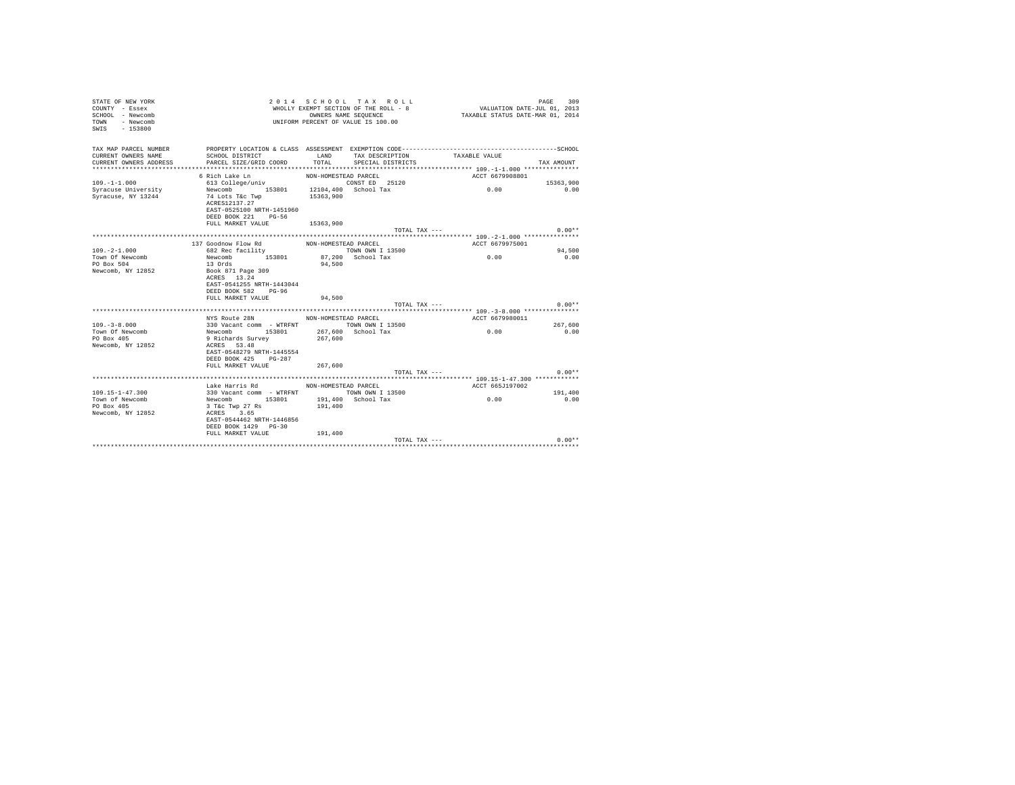| STATE OF NEW YORK<br>COUNTY - Essex<br>SCHOOL - Newcomb<br>TOWN - Newcomb<br>$-153800$<br>SWIS |                                                                                              |                      | 2014 SCHOOL TAX ROLL<br>WHOLLY EXEMPT SECTION OF THE ROLL - 8<br>OWNERS NAME SEQUENCE<br>UNIFORM PERCENT OF VALUE IS 100.00 | VALUATION DATE-JUL 01, 2013<br>TAXABLE STATUS DATE-MAR 01, 2014 | 309<br>PAGE |
|------------------------------------------------------------------------------------------------|----------------------------------------------------------------------------------------------|----------------------|-----------------------------------------------------------------------------------------------------------------------------|-----------------------------------------------------------------|-------------|
| TAX MAP PARCEL NUMBER                                                                          | PROPERTY LOCATION & CLASS ASSESSMENT EXEMPTION CODE-----------------------------------SCHOOL |                      |                                                                                                                             |                                                                 |             |
| CURRENT OWNERS NAME                                                                            | SCHOOL DISTRICT                                                                              | LAND                 | TAX DESCRIPTION                                                                                                             | TAXABLE VALUE                                                   |             |
| CURRENT OWNERS ADDRESS                                                                         | PARCEL SIZE/GRID COORD                                                                       | TOTAL.               | SPECIAL DISTRICTS                                                                                                           |                                                                 | TAX AMOUNT  |
|                                                                                                |                                                                                              |                      |                                                                                                                             |                                                                 |             |
| $109. - 1 - 1.000$                                                                             | 6 Rich Lake Ln<br>613 College/univ                                                           | NON-HOMESTEAD PARCEL | CONST ED 25120                                                                                                              | ACCT 6679908801                                                 | 15363,900   |
| Syracuse University                                                                            | Newcomb<br>153801 12104,400 School Tax                                                       |                      |                                                                                                                             | 0.00                                                            | 0.00        |
| Syracuse, NY 13244                                                                             | 74 Lots T&c Twp                                                                              | 15363,900            |                                                                                                                             |                                                                 |             |
|                                                                                                | ACRES12137.27                                                                                |                      |                                                                                                                             |                                                                 |             |
|                                                                                                | EAST-0525100 NRTH-1451960                                                                    |                      |                                                                                                                             |                                                                 |             |
|                                                                                                | DEED BOOK 221 PG-56                                                                          |                      |                                                                                                                             |                                                                 |             |
|                                                                                                | FULL MARKET VALUE                                                                            | 15363,900            |                                                                                                                             |                                                                 |             |
|                                                                                                |                                                                                              |                      | TOTAL TAX ---                                                                                                               |                                                                 | $0.00**$    |
|                                                                                                |                                                                                              |                      |                                                                                                                             |                                                                 |             |
|                                                                                                | 137 Goodnow Flow Rd MON-HOMESTEAD PARCEL                                                     |                      |                                                                                                                             | ACCT 6679975001                                                 |             |
| $109. -2 - 1.000$                                                                              | 682 Rec facility                                                                             |                      | TOWN OWN I 13500                                                                                                            |                                                                 | 94,500      |
| Town Of Newcomb                                                                                | Newcomb<br>153801                                                                            |                      | 87.200 School Tax                                                                                                           | 0.00                                                            | 0.00        |
| PO Box 504                                                                                     | 13 Ords                                                                                      | 94,500               |                                                                                                                             |                                                                 |             |
| Newcomb, NY 12852                                                                              | Book 871 Page 309                                                                            |                      |                                                                                                                             |                                                                 |             |
|                                                                                                | ACRES 13.24                                                                                  |                      |                                                                                                                             |                                                                 |             |
|                                                                                                | EAST-0541255 NRTH-1443044<br>DEED BOOK 582 PG-96                                             |                      |                                                                                                                             |                                                                 |             |
|                                                                                                | FULL MARKET VALUE                                                                            | 94,500               |                                                                                                                             |                                                                 |             |
|                                                                                                |                                                                                              |                      | TOTAL TAX ---                                                                                                               |                                                                 | $0.00**$    |
|                                                                                                |                                                                                              |                      |                                                                                                                             |                                                                 |             |
|                                                                                                | NYS Route 28N                                                                                | NON-HOMESTEAD PARCEL |                                                                                                                             | ACCT 6679980011                                                 |             |
| $109. - 3 - 8.000$                                                                             | 330 Vacant comm - WTRFNT                                                                     |                      | TOWN OWN I 13500                                                                                                            |                                                                 | 267,600     |
| Town Of Newcomb                                                                                | Newcomb 153801                                                                               |                      | 267.600 School Tax                                                                                                          | 0.00                                                            | 0.00        |
| PO Box 405                                                                                     | 9 Richards Survey                                                                            | 267,600              |                                                                                                                             |                                                                 |             |
| Newcomb, NY 12852                                                                              | ACRES 53.48                                                                                  |                      |                                                                                                                             |                                                                 |             |
|                                                                                                | EAST-0548279 NRTH-1445554                                                                    |                      |                                                                                                                             |                                                                 |             |
|                                                                                                | DEED BOOK 425 PG-287                                                                         |                      |                                                                                                                             |                                                                 |             |
|                                                                                                | FULL MARKET VALUE                                                                            | 267,600              |                                                                                                                             |                                                                 |             |
|                                                                                                |                                                                                              |                      | TOTAL TAX ---                                                                                                               |                                                                 | $0.00**$    |
|                                                                                                | Lake Harris Rd                                                                               | NON-HOMESTEAD PARCEL |                                                                                                                             |                                                                 |             |
| $109.15 - 1 - 47.300$                                                                          | 330 Vacant comm - WTRFNT TOWN OWN I 13500                                                    |                      |                                                                                                                             | ACCT 665J197002                                                 | 191,400     |
| Town of Newcomb                                                                                | Newcomb 153801                                                                               |                      | 191,400 School Tax                                                                                                          | 0.00                                                            | 0.00        |
| PO Box 405                                                                                     | 3 T&c Twp 27 Rs                                                                              | 191,400              |                                                                                                                             |                                                                 |             |
| Newcomb, NY 12852                                                                              | ACRES 3.65                                                                                   |                      |                                                                                                                             |                                                                 |             |
|                                                                                                | EAST-0544462 NRTH-1446856                                                                    |                      |                                                                                                                             |                                                                 |             |
|                                                                                                | DEED BOOK 1429 PG-30                                                                         |                      |                                                                                                                             |                                                                 |             |
|                                                                                                | FULL MARKET VALUE                                                                            | 191,400              |                                                                                                                             |                                                                 |             |
|                                                                                                |                                                                                              |                      | TOTAL TAX ---                                                                                                               |                                                                 | $0.00**$    |
|                                                                                                |                                                                                              |                      |                                                                                                                             |                                                                 |             |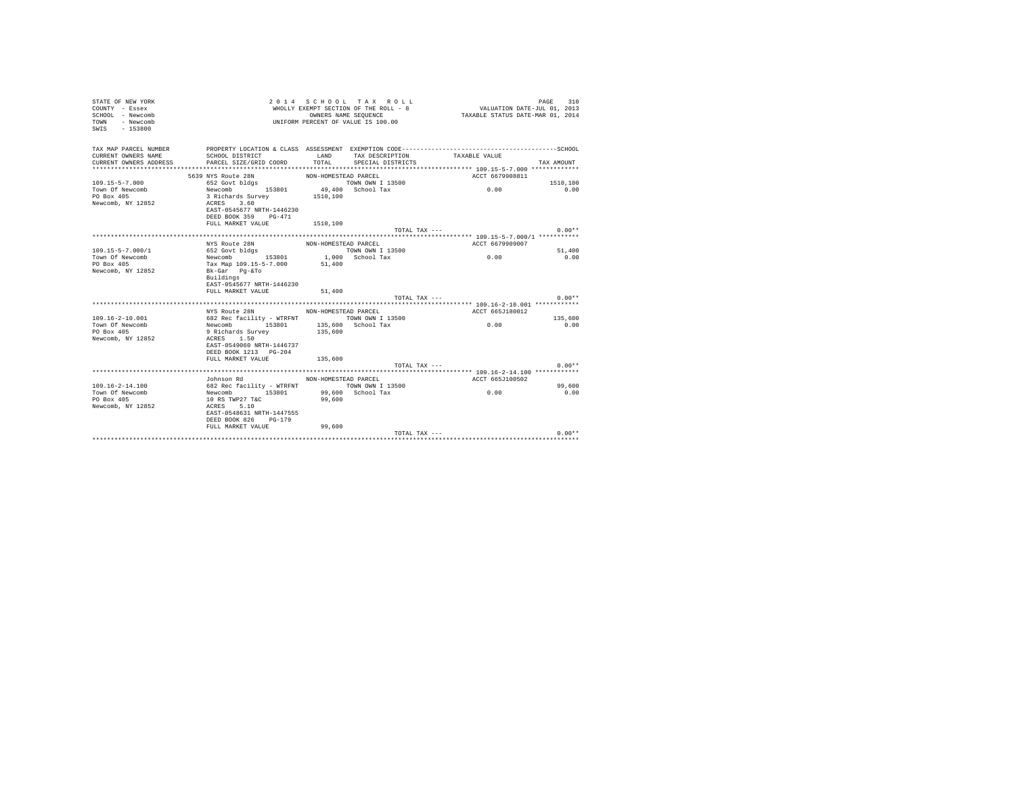| VALUATION DATE-JUL 01, 2013<br>TAXABLE STATUS DATE-MAR 01, 2014<br>OWNERS NAME SEQUENCE<br>SCHOOL - Newcomb<br>- Newcomb<br>UNIFORM PERCENT OF VALUE IS 100.00<br>TOWN<br>SWIS<br>$-153800$ |      |
|---------------------------------------------------------------------------------------------------------------------------------------------------------------------------------------------|------|
| TAX MAP PARCEL NUMBER                                                                                                                                                                       |      |
| CURRENT OWNERS NAME<br>SCHOOL DISTRICT<br>LAND<br>TAX DESCRIPTION<br>TAXABLE VALUE                                                                                                          |      |
| TOTAL SPECIAL DISTRICTS<br>CURRENT OWNERS ADDRESS<br>PARCEL SIZE/GRID COORD<br>TAX AMOUNT                                                                                                   |      |
|                                                                                                                                                                                             |      |
| 5639 NYS Route 28N<br>ACCT 6679908811<br>NON-HOMESTEAD PARCEL                                                                                                                               |      |
| $109.15 - 5 - 7.000$<br>1510,100                                                                                                                                                            |      |
| 0.00<br>Town Of Newcomb<br>PO Box 405<br>3 Richards Survey<br>1510,100                                                                                                                      | 0.00 |
| ACRES 3.60<br>Newcomb, NY 12852                                                                                                                                                             |      |
| EAST-0545677 NRTH-1446230                                                                                                                                                                   |      |
| DEED BOOK 359 PG-471                                                                                                                                                                        |      |
| FULL MARKET VALUE 1510.100                                                                                                                                                                  |      |
| $0.00**$<br>TOTAL TAX ---                                                                                                                                                                   |      |
|                                                                                                                                                                                             |      |
| ACCT 6679909007<br>NYS Route 28N<br>NON-HOMESTEAD PARCEL                                                                                                                                    |      |
| $109.15 - 5 - 7.000 / 1$<br>652 Govt bldgs<br>TOWN OWN I 13500<br>51,400                                                                                                                    |      |
| 1,000 School Tax<br>Newcomb 153801<br>0.00<br>0.00<br>Town Of Newcomb                                                                                                                       |      |
| PO Box 405<br>Tax Map 109.15-5-7.000<br>51,400<br>Newcomb, NY 12852                                                                                                                         |      |
| Bk-Gar Pg-&To<br>Buildings                                                                                                                                                                  |      |
| EAST-0545677 NRTH-1446230                                                                                                                                                                   |      |
| FULL MARKET VALUE<br>51,400                                                                                                                                                                 |      |
| $0.00**$<br>TOTAL TAX ---                                                                                                                                                                   |      |
|                                                                                                                                                                                             |      |
| NYS Route 28N NON-HOMESTEAD PARCEL<br>ACCT 665J180012                                                                                                                                       |      |
| 109.16-2-10.001<br>682 Rec facility - WTRFNT TOWN OWN I 13500<br>135,600<br>0.00                                                                                                            |      |
| Newcomb 153801 135,600 School Tax<br>Town Of Newcomb<br>0.00                                                                                                                                |      |
| PO Box 405<br>9 Richards Survey<br>135,600                                                                                                                                                  |      |
| Newcomb, NY 12852<br>ACRES 1.50                                                                                                                                                             |      |
| EAST-0549060 NRTH-1446737<br>DEED BOOK 1213 PG-204                                                                                                                                          |      |
| 135,600<br>FULL MARKET VALUE                                                                                                                                                                |      |
| $0.00**$<br>TOTAL TAX ---                                                                                                                                                                   |      |
|                                                                                                                                                                                             |      |
| Johnson Rd<br>ACCT 665J100502<br>NON-HOMESTEAD PARCEL                                                                                                                                       |      |
| 682 Rec facility - WTRFNT TOWN OWN I 13500<br>$109.16 - 2 - 14.100$<br>99,600                                                                                                               |      |
| Town Of Newcomb<br>Newcomb 153801<br>99,600 School Tax<br>0.00<br>0.00                                                                                                                      |      |
| PO Box 405<br>99,600<br>10 RS TWP27 T&C                                                                                                                                                     |      |
| Newcomb, NY 12852<br>ACRES 5.10                                                                                                                                                             |      |
| EAST-0548631 NRTH-1447555                                                                                                                                                                   |      |
| DEED BOOK 826 PG-179                                                                                                                                                                        |      |
| FULL MARKET VALUE<br>99,600<br>TOTAL TAX ---<br>$0.00**$                                                                                                                                    |      |
|                                                                                                                                                                                             |      |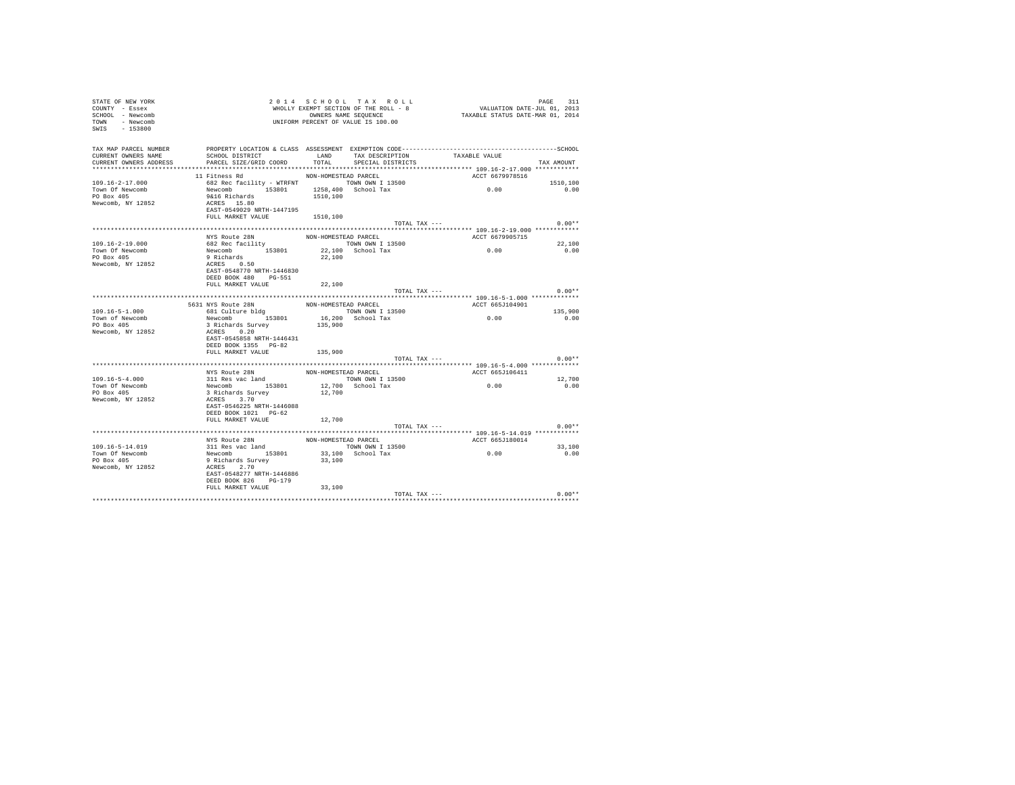| STATE OF NEW YORK<br>COUNTY - Essex<br>SCHOOL - Newcomb<br>TOWN - Newcomb<br>SWIS - 153800 |                                                                                                                                                       |                      | 2014 SCHOOL TAX ROLL<br>WHOLLY EXEMPT SECTION OF THE ROLL - 8<br>OWNERS NAME SEQUENCE<br>UNIFORM PERCENT OF VALUE IS 100.00 | FAGE 511<br>VALUATION DATE-JUL 01, 2013<br>TAXABLE STATUS DATE-MAR 01, 2014                  | PAGE<br>311    |
|--------------------------------------------------------------------------------------------|-------------------------------------------------------------------------------------------------------------------------------------------------------|----------------------|-----------------------------------------------------------------------------------------------------------------------------|----------------------------------------------------------------------------------------------|----------------|
| TAX MAP PARCEL NUMBER<br>CURRENT OWNERS NAME<br>CURRENT OWNERS ADDRESS                     | SCHOOL DISTRICT                        LAND         TAX DESCRIPTION                   TAXABLE VALUE<br>PARCEL SIZE/GRID COORD TOTAL SPECIAL DISTRICTS |                      |                                                                                                                             | PROPERTY LOCATION & CLASS ASSESSMENT EXEMPTION CODE-----------------------------------SCHOOL | TAX AMOUNT     |
|                                                                                            | 11 Fitness Rd                                                                                                                                         | NON-HOMESTEAD PARCEL |                                                                                                                             | ACCT 6679978516                                                                              |                |
| $109.16 - 2 - 17.000$                                                                      |                                                                                                                                                       |                      |                                                                                                                             |                                                                                              | 1510,100       |
| Town Of Newcomb<br>PO Box 405<br>Newcomb, NY 12852                                         | 682 Rec facility - WTRFNT TOWN OWN I 13500<br>Newcomb 153801 1258,400 School Tax<br>9&16 Richards<br>ACRES 15.80<br>EAST-0549029 NRTH-1447195         | 1510,100             |                                                                                                                             | 0.00                                                                                         | 0.00           |
|                                                                                            | FULL MARKET VALUE 1510,100                                                                                                                            |                      |                                                                                                                             |                                                                                              |                |
|                                                                                            |                                                                                                                                                       |                      | TOTAL TAX ---                                                                                                               |                                                                                              | $0.00**$       |
|                                                                                            |                                                                                                                                                       |                      |                                                                                                                             |                                                                                              |                |
| $109.16 - 2 - 19.000$                                                                      | NYS Route 28N                                                                                                                                         | NON-HOMESTEAD PARCEL |                                                                                                                             | ACCT 6679905715                                                                              |                |
| Town Of Newcomb                                                                            |                                                                                                                                                       |                      |                                                                                                                             | 0.00                                                                                         | 22,100<br>0.00 |
| PO Box 405<br>Newcomb, NY 12852                                                            | EAST-0548770 NRTH-1446830                                                                                                                             |                      |                                                                                                                             |                                                                                              |                |
|                                                                                            | DEED BOOK 480 PG-551                                                                                                                                  |                      |                                                                                                                             |                                                                                              |                |
|                                                                                            | FULL MARKET VALUE                                                                                                                                     | 22,100               |                                                                                                                             |                                                                                              |                |
|                                                                                            |                                                                                                                                                       |                      | TOTAL TAX ---                                                                                                               |                                                                                              | $0.00**$       |
|                                                                                            | 5631 NYS Route 28N                                                                                                                                    | NON-HOMESTEAD PARCEL |                                                                                                                             | ACCT 665J104901                                                                              |                |
| $109.16 - 5 - 1.000$                                                                       | 681 Culture bldg                                                                                                                                      |                      | TOWN OWN I 13500                                                                                                            |                                                                                              | 135,900        |
| Town of Newcomb                                                                            |                                                                                                                                                       |                      |                                                                                                                             | 0.00                                                                                         | 0.00           |
| PO Box 405                                                                                 |                                                                                                                                                       |                      | 16,200 School Tax<br>135,900                                                                                                |                                                                                              |                |
| Newcomb, NY 12852                                                                          |                                                                                                                                                       |                      |                                                                                                                             |                                                                                              |                |
|                                                                                            | EAST-0545858 NRTH-1446431                                                                                                                             |                      |                                                                                                                             |                                                                                              |                |
|                                                                                            | DEED BOOK 1355 PG-82                                                                                                                                  |                      |                                                                                                                             |                                                                                              |                |
|                                                                                            | FULL MARKET VALUE                                                                                                                                     | 135,900              | TOTAL TAX ---                                                                                                               |                                                                                              | $0.00**$       |
|                                                                                            |                                                                                                                                                       |                      |                                                                                                                             |                                                                                              |                |
|                                                                                            |                                                                                                                                                       |                      |                                                                                                                             | ACCT 665J106411                                                                              |                |
| $109.16 - 5 - 4.000$                                                                       |                                                                                                                                                       |                      |                                                                                                                             | 0.00                                                                                         | 12,700         |
| Town Of Newcomb                                                                            | MYS Route 28N MON-HOMESTEAD PARCEL<br>311 Res vac land<br>Newcomb 153801 12,700 School Tax<br>3 Richards Survey 12,700                                |                      |                                                                                                                             |                                                                                              | 0.00           |
| PO Box 405<br>Newcomb, NY 12852                                                            | ACRES 3.70                                                                                                                                            |                      |                                                                                                                             |                                                                                              |                |
|                                                                                            | EAST-0546225 NRTH-1446088<br>DEED BOOK 1021 PG-62                                                                                                     |                      |                                                                                                                             |                                                                                              |                |
|                                                                                            | FULL MARKET VALUE                                                                                                                                     | 12,700               |                                                                                                                             |                                                                                              |                |
|                                                                                            |                                                                                                                                                       |                      | TOTAL TAX ---                                                                                                               |                                                                                              | $0.00**$       |
|                                                                                            |                                                                                                                                                       |                      |                                                                                                                             |                                                                                              |                |
|                                                                                            | NYS Route 28N                                                                                                                                         | NON-HOMESTEAD PARCEL |                                                                                                                             | ACCT 665J180014                                                                              |                |
| 109.16-5-14.019<br>Town Of Newcomb                                                         |                                                                                                                                                       |                      | TOWN OWN I 13500<br>33,100 School Tax                                                                                       | 0.00                                                                                         | 33,100<br>0.00 |
| PO Box 405                                                                                 |                                                                                                                                                       | 33,100               |                                                                                                                             |                                                                                              |                |
| Newcomb, NY 12852                                                                          | The value com<br>311 Res vac land<br>Newcomb 153801<br>9 Richards Survey<br>ACRES 2.70                                                                |                      |                                                                                                                             |                                                                                              |                |
|                                                                                            | EAST-0548277 NRTH-1446886                                                                                                                             |                      |                                                                                                                             |                                                                                              |                |
|                                                                                            | DEED BOOK 826 PG-179                                                                                                                                  |                      |                                                                                                                             |                                                                                              |                |
|                                                                                            | FULL MARKET VALUE                                                                                                                                     | 33,100               |                                                                                                                             | TOTAL TAX ---                                                                                | $0.00**$       |
|                                                                                            |                                                                                                                                                       |                      |                                                                                                                             |                                                                                              |                |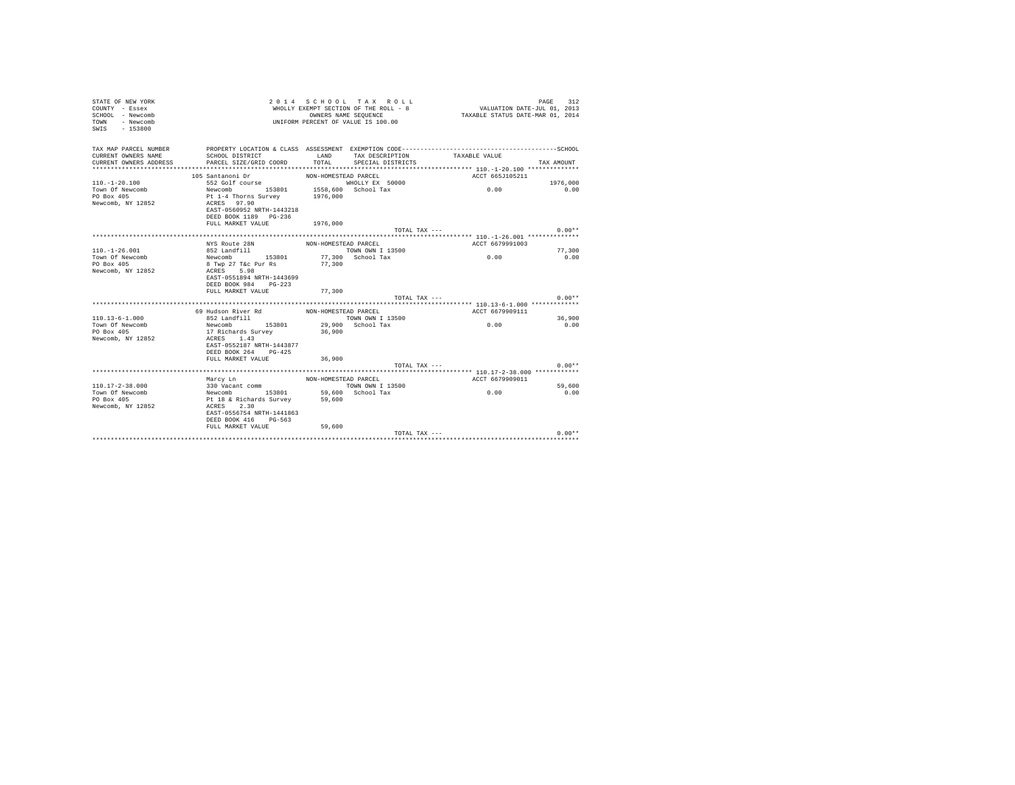| STATE OF NEW YORK<br>COUNTY - Essex<br>SCHOOL - Newcomb<br>- Newcomb<br>TOWN<br>SWIS<br>$-153800$ |                                          |                                 | 2014 SCHOOL TAX ROLL<br>WHOLLY EXEMPT SECTION OF THE ROLL - 8<br>OWNERS NAME SEQUENCE<br>UNIFORM PERCENT OF VALUE IS 100.00 | VALUATION DATE-JUL 01, 2013<br>TAXABLE STATUS DATE-MAR 01, 2014 | PAGE<br>312 |
|---------------------------------------------------------------------------------------------------|------------------------------------------|---------------------------------|-----------------------------------------------------------------------------------------------------------------------------|-----------------------------------------------------------------|-------------|
| TAX MAP PARCEL NUMBER                                                                             |                                          |                                 |                                                                                                                             |                                                                 |             |
| CURRENT OWNERS NAME                                                                               | SCHOOL DISTRICT                          | LAND                            | TAX DESCRIPTION                                                                                                             | TAXABLE VALUE                                                   |             |
| CURRENT OWNERS ADDRESS                                                                            | PARCEL SIZE/GRID COORD                   | TOTAL                           | SPECIAL DISTRICTS                                                                                                           |                                                                 | TAX AMOUNT  |
|                                                                                                   |                                          |                                 |                                                                                                                             |                                                                 |             |
|                                                                                                   | 105 Santanoni Dr                         | NON-HOMESTEAD PARCEL            |                                                                                                                             | ACCT 665J105211                                                 |             |
| $110 - 1 - 20 - 100$                                                                              | 552 Golf course                          |                                 | WHOLLY EX 50000                                                                                                             |                                                                 | 1976,000    |
| Town Of Newcomb<br>PO Box 405                                                                     | Newcomb 153801<br>Pt 1-4 Thorns Survey   | 1558,600 School Tax<br>1976,000 |                                                                                                                             | 0.00                                                            | 0.00        |
| Newcomb, NY 12852                                                                                 | ACRES 97.90                              |                                 |                                                                                                                             |                                                                 |             |
|                                                                                                   | EAST-0560952 NRTH-1443218                |                                 |                                                                                                                             |                                                                 |             |
|                                                                                                   | DEED BOOK 1189 PG-236                    |                                 |                                                                                                                             |                                                                 |             |
|                                                                                                   | FULL MARKET VALUE                        | 1976,000                        |                                                                                                                             |                                                                 |             |
|                                                                                                   |                                          |                                 | TOTAL TAX ---                                                                                                               |                                                                 | $0.00**$    |
|                                                                                                   |                                          |                                 |                                                                                                                             |                                                                 |             |
|                                                                                                   | NYS Route 28N                            | NON-HOMESTEAD PARCEL            |                                                                                                                             | ACCT 6679991003                                                 |             |
| $110. - 1 - 26.001$                                                                               | 852 Landfill                             |                                 | TOWN OWN I 13500                                                                                                            |                                                                 | 77,300      |
| Town Of Newcomb<br>PO Box 405                                                                     | 153801<br>Newcomb<br>8 Twp 27 T&c Pur Rs | 77,300                          | 77.300 School Tax                                                                                                           | 0.00                                                            | 0.00        |
| Newcomb, NY 12852                                                                                 | ACRES 5.98                               |                                 |                                                                                                                             |                                                                 |             |
|                                                                                                   | EAST-0551894 NRTH-1443699                |                                 |                                                                                                                             |                                                                 |             |
|                                                                                                   | DEED BOOK 984 PG-223                     |                                 |                                                                                                                             |                                                                 |             |
|                                                                                                   | FULL MARKET VALUE                        | 77,300                          |                                                                                                                             |                                                                 |             |
|                                                                                                   |                                          |                                 | TOTAL TAX ---                                                                                                               |                                                                 | $0.00**$    |
|                                                                                                   |                                          |                                 |                                                                                                                             |                                                                 |             |
|                                                                                                   | 69 Hudson River Rd                       | NON-HOMESTEAD PARCEL            |                                                                                                                             | ACCT 6679909111                                                 |             |
| $110.13 - 6 - 1.000$                                                                              | 852 Landfill                             |                                 | TOWN OWN I 13500                                                                                                            |                                                                 | 36,900      |
| Town Of Newcomb                                                                                   | 153801<br>Newcomb                        |                                 | 29,900 School Tax                                                                                                           | 0.00                                                            | 0.00        |
| PO Box 405                                                                                        | 17 Richards Survey<br>ACRES 1.43         | 36,900                          |                                                                                                                             |                                                                 |             |
| Newcomb, NY 12852                                                                                 | EAST-0552187 NRTH-1443877                |                                 |                                                                                                                             |                                                                 |             |
|                                                                                                   | DEED BOOK 264 PG-425                     |                                 |                                                                                                                             |                                                                 |             |
|                                                                                                   | FULL MARKET VALUE                        | 36,900                          |                                                                                                                             |                                                                 |             |
|                                                                                                   |                                          |                                 | TOTAL TAX ---                                                                                                               |                                                                 | $0.00**$    |
|                                                                                                   |                                          |                                 |                                                                                                                             |                                                                 |             |
|                                                                                                   | Marcy Ln                                 | NON-HOMESTEAD PARCEL            |                                                                                                                             | ACCT 6679909011                                                 |             |
| $110.17 - 2 - 38.000$                                                                             | 330 Vacant comm                          |                                 | TOWN OWN I 13500                                                                                                            |                                                                 | 59,600      |
| Town Of Newcomb                                                                                   | Newcomb 153801                           |                                 | 59,600 School Tax                                                                                                           | 0.00                                                            | 0.00        |
| PO Box 405                                                                                        | Pt 18 & Richards Survey                  | 59,600                          |                                                                                                                             |                                                                 |             |
| Newcomb, NY 12852                                                                                 | ACRES 2.30                               |                                 |                                                                                                                             |                                                                 |             |
|                                                                                                   | EAST-0556754 NRTH-1441863                |                                 |                                                                                                                             |                                                                 |             |
|                                                                                                   | DEED BOOK 416 PG-563                     |                                 |                                                                                                                             |                                                                 |             |
|                                                                                                   | FULL MARKET VALUE                        | 59,600                          | TOTAL TAX ---                                                                                                               |                                                                 | $0.00**$    |
|                                                                                                   |                                          |                                 |                                                                                                                             |                                                                 |             |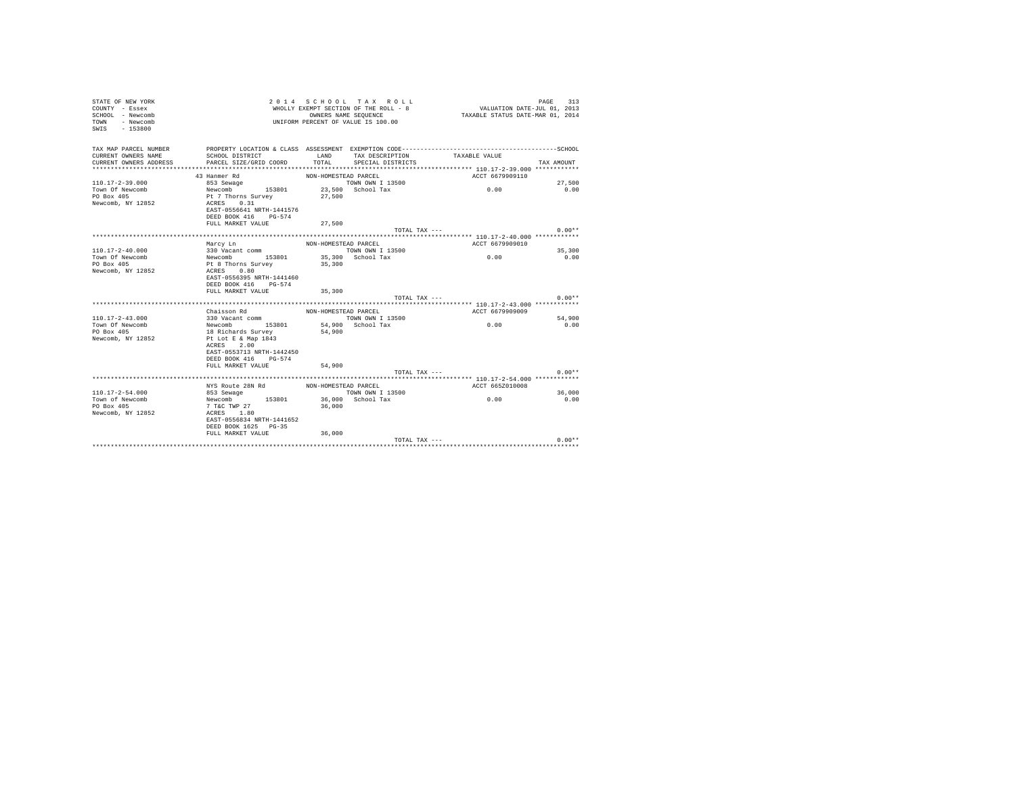| STATE OF NEW YORK<br>COUNTY - Essex<br>SCHOOL - Newcomb<br>- Newcomb<br><b>TOWN</b><br>SWIS<br>$-153800$ |                                           | OWNERS NAME SEOUENCE | 2014 SCHOOL TAX ROLL<br>WHOLLY EXEMPT SECTION OF THE ROLL - 8<br>UNIFORM PERCENT OF VALUE IS 100.00 | VALUATION DATE-JUL 01, 2013<br>TAXABLE STATUS DATE-MAR 01, 2014 | PAGE<br>313    |
|----------------------------------------------------------------------------------------------------------|-------------------------------------------|----------------------|-----------------------------------------------------------------------------------------------------|-----------------------------------------------------------------|----------------|
| TAX MAP PARCEL NUMBER                                                                                    |                                           |                      |                                                                                                     |                                                                 |                |
| CURRENT OWNERS NAME                                                                                      | SCHOOL DISTRICT                           | LAND                 | TAX DESCRIPTION                                                                                     | TAXABLE VALUE                                                   |                |
| CURRENT OWNERS ADDRESS                                                                                   | PARCEL SIZE/GRID COORD                    | TOTAL.               | SPECIAL DISTRICTS                                                                                   |                                                                 | TAX AMOUNT     |
|                                                                                                          |                                           |                      |                                                                                                     |                                                                 |                |
|                                                                                                          | 43 Hanmer Rd                              | NON-HOMESTEAD PARCEL | TOWN OWN I 13500                                                                                    | ACCT 6679909110                                                 |                |
| $110.17 - 2 - 39.000$<br>Town Of Newcomb                                                                 | 853 Sewage<br>Newcomb 153801              |                      | 23,500 School Tax                                                                                   | 0.00                                                            | 27,500<br>0.00 |
| PO Box 405                                                                                               | Pt 7 Thorns Survey                        | 27,500               |                                                                                                     |                                                                 |                |
| Newcomb, NY 12852                                                                                        | ACRES 0.31                                |                      |                                                                                                     |                                                                 |                |
|                                                                                                          | EAST-0556641 NRTH-1441576                 |                      |                                                                                                     |                                                                 |                |
|                                                                                                          | DEED BOOK 416 PG-574                      |                      |                                                                                                     |                                                                 |                |
|                                                                                                          | FULL MARKET VALUE                         | 27,500               |                                                                                                     |                                                                 |                |
|                                                                                                          |                                           |                      | TOTAL TAX ---                                                                                       |                                                                 | $0.00**$       |
|                                                                                                          |                                           |                      |                                                                                                     |                                                                 |                |
|                                                                                                          | Marcy Ln                                  | NON-HOMESTEAD PARCEL |                                                                                                     | ACCT 6679909010                                                 |                |
| $110.17 - 2 - 40.000$                                                                                    | 330 Vacant comm                           |                      | TOWN OWN I 13500                                                                                    |                                                                 | 35,300         |
| Town Of Newcomb                                                                                          | Newcomb 153801                            |                      | 35,300 School Tax                                                                                   | 0.00                                                            | 0.00           |
| PO Box 405                                                                                               | Pt 8 Thorns Survey<br>0.80<br>ACRES       | 35,300               |                                                                                                     |                                                                 |                |
| Newcomb, NY 12852                                                                                        | EAST-0556395 NRTH-1441460                 |                      |                                                                                                     |                                                                 |                |
|                                                                                                          | DEED BOOK 416 PG-574                      |                      |                                                                                                     |                                                                 |                |
|                                                                                                          | FULL MARKET VALUE                         | 35,300               |                                                                                                     |                                                                 |                |
|                                                                                                          |                                           |                      | TOTAL TAX ---                                                                                       |                                                                 | $0.00**$       |
|                                                                                                          |                                           |                      |                                                                                                     |                                                                 |                |
|                                                                                                          | Chaisson Rd                               | NON-HOMESTEAD PARCEL |                                                                                                     | ACCT 6679909009                                                 |                |
| $110.17 - 2 - 43.000$                                                                                    | 330 Vacant comm                           |                      | TOWN OWN I 13500                                                                                    |                                                                 | 54,900         |
| Town Of Newcomb                                                                                          | Newcomb 153801                            |                      | 54,900 School Tax                                                                                   | 0.00                                                            | 0.00           |
| PO Box 405                                                                                               | 18 Richards Survey                        | 54,900               |                                                                                                     |                                                                 |                |
| Newcomb, NY 12852                                                                                        | Pt Lot E & Map 1843<br>ACRES 2.00         |                      |                                                                                                     |                                                                 |                |
|                                                                                                          | EAST-0553713 NRTH-1442450                 |                      |                                                                                                     |                                                                 |                |
|                                                                                                          | DEED BOOK 416 PG-574                      |                      |                                                                                                     |                                                                 |                |
|                                                                                                          | FULL MARKET VALUE                         | 54,900               |                                                                                                     |                                                                 |                |
|                                                                                                          |                                           |                      | TOTAL TAX ---                                                                                       |                                                                 | $0.00**$       |
|                                                                                                          |                                           |                      |                                                                                                     |                                                                 |                |
|                                                                                                          | NYS Route 28N Rd                          | NON-HOMESTEAD PARCEL |                                                                                                     | ACCT 665Z010008                                                 |                |
| $110.17 - 2 - 54.000$                                                                                    | 853 Sewage                                |                      | TOWN OWN I 13500                                                                                    |                                                                 | 36,000         |
| Town of Newcomb                                                                                          | Newcomb 153801                            |                      | 36,000 School Tax                                                                                   | 0.00                                                            | 0.00           |
| PO Box 405                                                                                               | 7 T&C TWP 27                              | 36,000               |                                                                                                     |                                                                 |                |
| Newcomb, NY 12852                                                                                        | ACRES 1.80                                |                      |                                                                                                     |                                                                 |                |
|                                                                                                          | EAST-0556834 NRTH-1441652                 |                      |                                                                                                     |                                                                 |                |
|                                                                                                          | DEED BOOK 1625 PG-35<br>FULL MARKET VALUE | 36,000               |                                                                                                     |                                                                 |                |
|                                                                                                          |                                           |                      | TOTAL TAX ---                                                                                       |                                                                 | $0.00**$       |
|                                                                                                          |                                           |                      |                                                                                                     |                                                                 |                |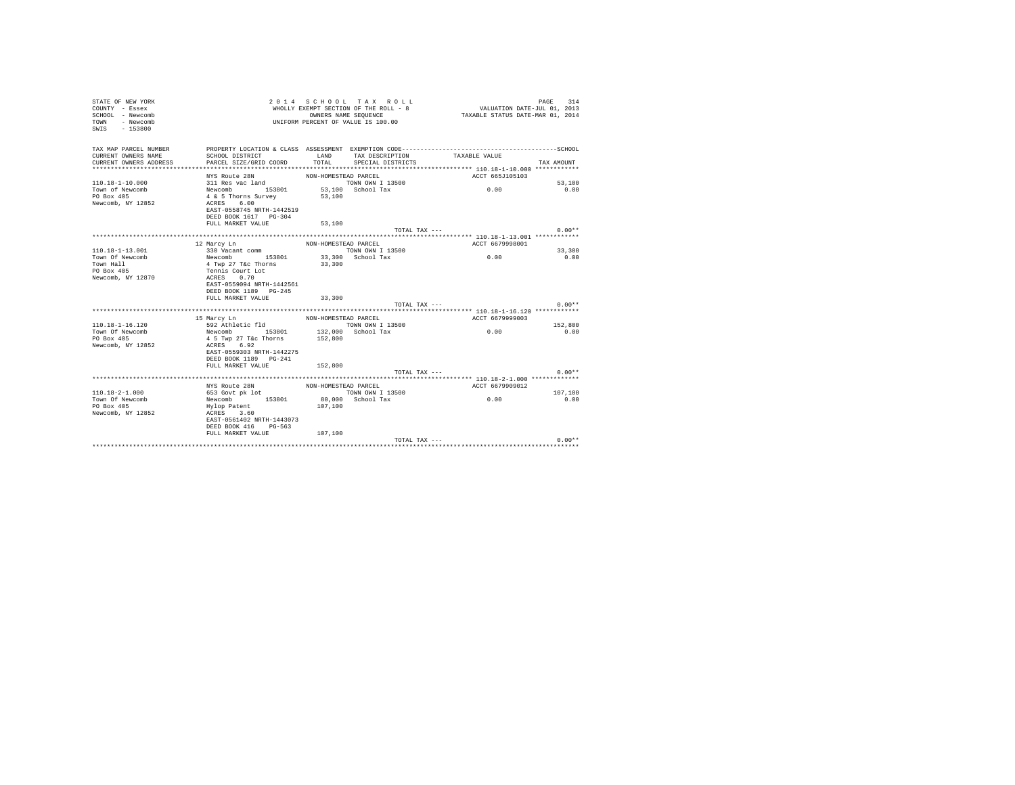| STATE OF NEW YORK<br>COUNTY - Essex<br>SCHOOL - Newcomb<br>- Newcomb<br>TOWN<br>SWIS<br>$-153800$ |                                            | OWNERS NAME SEOUENCE | 2014 SCHOOL TAX ROLL<br>WHOLLY EXEMPT SECTION OF THE ROLL - 8<br>UNIFORM PERCENT OF VALUE IS 100.00 | VALUATION DATE-JUL 01, 2013<br>TAXABLE STATUS DATE-MAR 01, 2014                              | PAGE<br>314    |
|---------------------------------------------------------------------------------------------------|--------------------------------------------|----------------------|-----------------------------------------------------------------------------------------------------|----------------------------------------------------------------------------------------------|----------------|
| TAX MAP PARCEL NUMBER                                                                             |                                            |                      |                                                                                                     | PROPERTY LOCATION & CLASS ASSESSMENT EXEMPTION CODE-----------------------------------SCHOOL |                |
| CURRENT OWNERS NAME                                                                               | SCHOOL DISTRICT                            | LAND                 | TAX DESCRIPTION                                                                                     | TAXABLE VALUE                                                                                |                |
| CURRENT OWNERS ADDRESS                                                                            | PARCEL SIZE/GRID COORD                     | TOTAL.               | SPECIAL DISTRICTS                                                                                   |                                                                                              | TAX AMOUNT     |
|                                                                                                   |                                            |                      |                                                                                                     |                                                                                              |                |
|                                                                                                   | NYS Route 28N                              | NON-HOMESTEAD PARCEL |                                                                                                     | ACCT 665J105103                                                                              |                |
| $110.18 - 1 - 10.000$<br>Town of Newcomb                                                          | 311 Res vac land<br>Newcomb 153801         |                      | TOWN OWN I 13500<br>53.100 School Tax                                                               | 0.00                                                                                         | 53,100<br>0.00 |
| PO Box 405                                                                                        | 4 & 5 Thorns Survey                        | 53,100               |                                                                                                     |                                                                                              |                |
| Newcomb, NY 12852                                                                                 | ACRES 6.00                                 |                      |                                                                                                     |                                                                                              |                |
|                                                                                                   | EAST-0558745 NRTH-1442519                  |                      |                                                                                                     |                                                                                              |                |
|                                                                                                   | DEED BOOK 1617 PG-304                      |                      |                                                                                                     |                                                                                              |                |
|                                                                                                   | FULL MARKET VALUE                          | 53,100               |                                                                                                     |                                                                                              |                |
|                                                                                                   |                                            |                      | TOTAL TAX $---$                                                                                     |                                                                                              | $0.00**$       |
|                                                                                                   |                                            |                      |                                                                                                     |                                                                                              |                |
|                                                                                                   | 12 Marcy Ln                                | NON-HOMESTEAD PARCEL |                                                                                                     | ACCT 6679998001                                                                              |                |
| $110.18 - 1 - 13.001$                                                                             | 330 Vacant comm                            |                      | TOWN OWN I 13500                                                                                    |                                                                                              | 33,300         |
| Town Of Newcomb                                                                                   | Newcomb 153801                             |                      | 33,300 School Tax                                                                                   | 0.00                                                                                         | 0.00           |
| Town Hall                                                                                         | 4 Twp 27 T&c Thorns                        | 33,300               |                                                                                                     |                                                                                              |                |
| PO Box 405                                                                                        | Tennis Court Lot                           |                      |                                                                                                     |                                                                                              |                |
| Newcomb, NY 12870                                                                                 | 0.70<br>ACRES<br>EAST-0559094 NRTH-1442561 |                      |                                                                                                     |                                                                                              |                |
|                                                                                                   | DEED BOOK 1189 PG-245                      |                      |                                                                                                     |                                                                                              |                |
|                                                                                                   | FULL MARKET VALUE                          | 33,300               |                                                                                                     |                                                                                              |                |
|                                                                                                   |                                            |                      | TOTAL TAX ---                                                                                       |                                                                                              | $0.00**$       |
|                                                                                                   |                                            |                      |                                                                                                     |                                                                                              |                |
|                                                                                                   | 15 Marcy Ln                                | NON-HOMESTEAD PARCEL |                                                                                                     | ACCT 6679999003                                                                              |                |
| $110.18 - 1 - 16.120$                                                                             | 592 Athletic fld                           |                      | TOWN OWN I 13500                                                                                    |                                                                                              | 152,800        |
| Town Of Newcomb                                                                                   | Newcomb 153801                             |                      | 132,000 School Tax                                                                                  | 0.00                                                                                         | 0.00           |
| PO Box 405                                                                                        | 4 5 Twp 27 T&c Thorns                      | 152,800              |                                                                                                     |                                                                                              |                |
| Newcomb, NY 12852                                                                                 | ACRES 6.92                                 |                      |                                                                                                     |                                                                                              |                |
|                                                                                                   | EAST-0559303 NRTH-1442275                  |                      |                                                                                                     |                                                                                              |                |
|                                                                                                   | DEED BOOK 1189 PG-241                      |                      |                                                                                                     |                                                                                              |                |
|                                                                                                   | FULL MARKET VALUE                          | 152,800              |                                                                                                     |                                                                                              |                |
|                                                                                                   |                                            |                      | TOTAL TAX ---                                                                                       |                                                                                              | $0.00**$       |
|                                                                                                   |                                            |                      |                                                                                                     |                                                                                              |                |
| $110.18 - 2 - 1.000$                                                                              | NYS Route 28N                              | NON-HOMESTEAD PARCEL | TOWN OWN I 13500                                                                                    | ACCT 6679909012                                                                              | 107,100        |
| Town Of Newcomb                                                                                   | 653 Govt pk lot<br>Newcomb<br>153801       |                      | 80.000 School Tax                                                                                   | 0.00                                                                                         | 0.00           |
| PO Box 405                                                                                        | Hylop Patent                               | 107,100              |                                                                                                     |                                                                                              |                |
| Newcomb, NY 12852                                                                                 | ACRES 3.60                                 |                      |                                                                                                     |                                                                                              |                |
|                                                                                                   | EAST-0561402 NRTH-1443073                  |                      |                                                                                                     |                                                                                              |                |
|                                                                                                   | DEED BOOK 416 PG-563                       |                      |                                                                                                     |                                                                                              |                |
|                                                                                                   | FULL MARKET VALUE                          | 107,100              |                                                                                                     |                                                                                              |                |
|                                                                                                   |                                            |                      | TOTAL TAX ---                                                                                       |                                                                                              | $0.00**$       |
|                                                                                                   |                                            |                      |                                                                                                     |                                                                                              |                |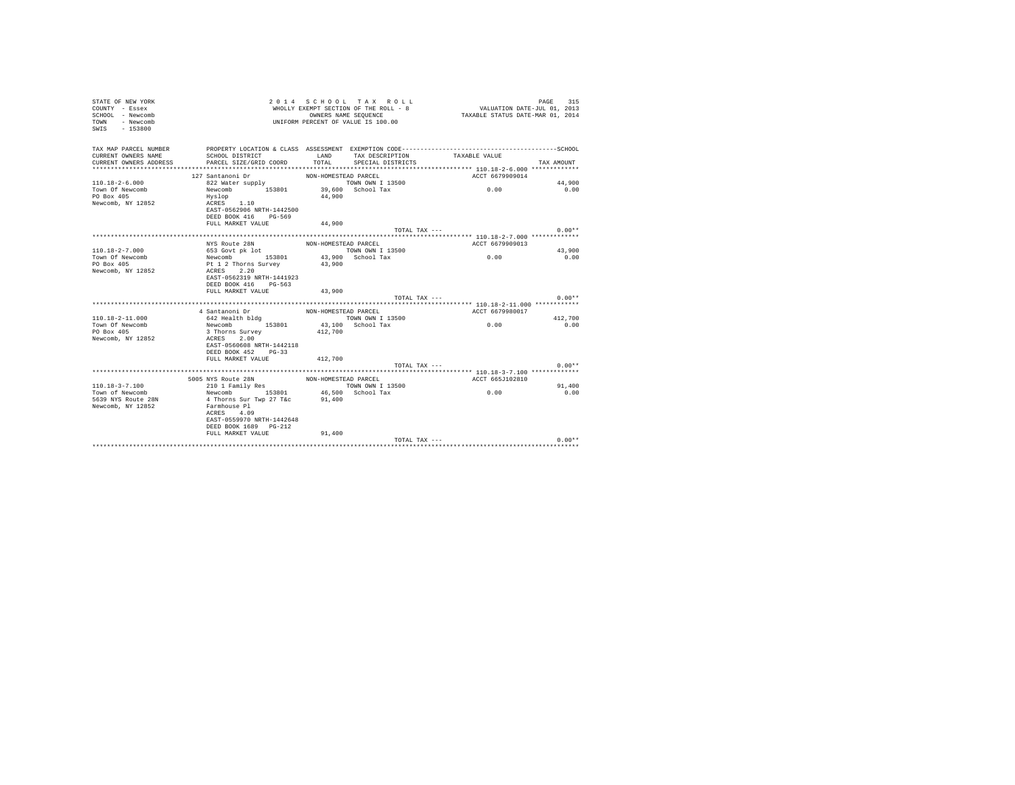| STATE OF NEW YORK<br>COUNTY - Essex<br>SCHOOL - Newcomb<br>TOWN - Newcomb<br>SWIS - 153800 |                                          |                      | 2014 SCHOOL TAX ROLL<br>WHOLLY EXEMPT SECTION OF THE ROLL - 8<br>OWNERS NAME SEQUENCE<br>UNIFORM PERCENT OF VALUE IS 100.00 | VALUATION DATE-JUL 01, 2013<br>TAXABLE STATUS DATE-MAR 01, 2014 | 315<br>PAGE |
|--------------------------------------------------------------------------------------------|------------------------------------------|----------------------|-----------------------------------------------------------------------------------------------------------------------------|-----------------------------------------------------------------|-------------|
| TAX MAP PARCEL NUMBER                                                                      |                                          |                      |                                                                                                                             |                                                                 |             |
| CURRENT OWNERS NAME                                                                        | SCHOOL DISTRICT                          | LAND                 | TAX DESCRIPTION                                                                                                             | TAXABLE VALUE                                                   |             |
| CURRENT OWNERS ADDRESS                                                                     | PARCEL SIZE/GRID COORD                   |                      | TOTAL SPECIAL DISTRICTS                                                                                                     |                                                                 | TAX AMOUNT  |
|                                                                                            |                                          |                      |                                                                                                                             |                                                                 |             |
| $110.18 - 2 - 6.000$                                                                       | 127 Santanoni Dr                         | NON-HOMESTEAD PARCEL | TOWN OWN I 13500                                                                                                            | ACCT 6679909014                                                 | 44,900      |
| Town Of Newcomb                                                                            | 822 Water supply<br>Newcomb 153801       |                      | $39,600$ School Tax                                                                                                         | 0.00                                                            | 0.00        |
| PO Box 405                                                                                 | Hvslop                                   | 44,900               |                                                                                                                             |                                                                 |             |
| Newcomb, NY 12852                                                                          | ACRES 1.10                               |                      |                                                                                                                             |                                                                 |             |
|                                                                                            | EAST-0562906 NRTH-1442500                |                      |                                                                                                                             |                                                                 |             |
|                                                                                            | DEED BOOK 416 PG-569                     |                      |                                                                                                                             |                                                                 |             |
|                                                                                            | FULL MARKET VALUE                        | 44.900               |                                                                                                                             |                                                                 |             |
|                                                                                            |                                          |                      | TOTAL TAX ---                                                                                                               |                                                                 | $0.00**$    |
|                                                                                            |                                          |                      |                                                                                                                             |                                                                 |             |
|                                                                                            | NYS Route 28N                            | NON-HOMESTEAD PARCEL |                                                                                                                             | ACCT 6679909013                                                 |             |
| $110.18 - 2 - 7.000$                                                                       | 653 Govt pk lot                          |                      | TOWN OWN I 13500                                                                                                            |                                                                 | 43,900      |
| Town Of Newcomb                                                                            | Newcomb 153801                           |                      | 43,900 School Tax                                                                                                           | 0.00                                                            | 0.00        |
| PO Box 405<br>Newcomb, NY 12852                                                            | Pt 1 2 Thorns Survey<br>ACRES 2.20       | 43,900               |                                                                                                                             |                                                                 |             |
|                                                                                            | EAST-0562319 NRTH-1441923                |                      |                                                                                                                             |                                                                 |             |
|                                                                                            | DEED BOOK 416 PG-563                     |                      |                                                                                                                             |                                                                 |             |
|                                                                                            | FULL MARKET VALUE 43,900                 |                      |                                                                                                                             |                                                                 |             |
|                                                                                            |                                          |                      | TOTAL TAX ---                                                                                                               |                                                                 | $0.00**$    |
|                                                                                            |                                          |                      |                                                                                                                             |                                                                 |             |
|                                                                                            | 4 Santanoni Dr                           | NON-HOMESTEAD PARCEL |                                                                                                                             | ACCT 6679980017                                                 |             |
| $110.18 - 2 - 11.000$                                                                      | 642 Health bldg                          |                      | TOWN OWN I 13500                                                                                                            |                                                                 | 412,700     |
| Town Of Newcomb                                                                            | Newcomb 153801                           |                      | 43.100 School Tax                                                                                                           | 0.00                                                            | 0.00        |
| PO Box 405                                                                                 | 3 Thorns Survey                          | 412,700              |                                                                                                                             |                                                                 |             |
| Newcomb, NY 12852                                                                          | ACRES 2.00                               |                      |                                                                                                                             |                                                                 |             |
|                                                                                            | EAST-0560608 NRTH-1442118                |                      |                                                                                                                             |                                                                 |             |
|                                                                                            | DEED BOOK 452 PG-33<br>FULL MARKET VALUE | 412,700              |                                                                                                                             |                                                                 |             |
|                                                                                            |                                          |                      |                                                                                                                             | TOTAL TAX ---                                                   | $0.00**$    |
|                                                                                            |                                          |                      |                                                                                                                             |                                                                 |             |
|                                                                                            | 5005 NYS Route 28N                       | NON-HOMESTEAD PARCEL |                                                                                                                             | ACCT 665J102810                                                 |             |
| 110.18-3-7.100                                                                             | 210 1 Family Res                         |                      | TOWN OWN I 13500                                                                                                            |                                                                 | 91,400      |
| Town of Newcomb                                                                            | Newcomb 153801 46,500 School Tax         |                      |                                                                                                                             | 0.00                                                            | 0.00        |
| 5639 NYS Route 28N                                                                         | 4 Thorns Sur Twp 27 T&c 91,400           |                      |                                                                                                                             |                                                                 |             |
| Newcomb, NY 12852                                                                          | Farmhouse Pl                             |                      |                                                                                                                             |                                                                 |             |
|                                                                                            | ACRES 4.09                               |                      |                                                                                                                             |                                                                 |             |
|                                                                                            | EAST-0559970 NRTH-1442648                |                      |                                                                                                                             |                                                                 |             |
|                                                                                            | DEED BOOK 1689 PG-212                    |                      |                                                                                                                             |                                                                 |             |
|                                                                                            | FULL MARKET VALUE                        | 91,400               |                                                                                                                             |                                                                 |             |
|                                                                                            |                                          |                      | TOTAL TAX ---                                                                                                               |                                                                 | $0.00**$    |
|                                                                                            |                                          |                      |                                                                                                                             |                                                                 |             |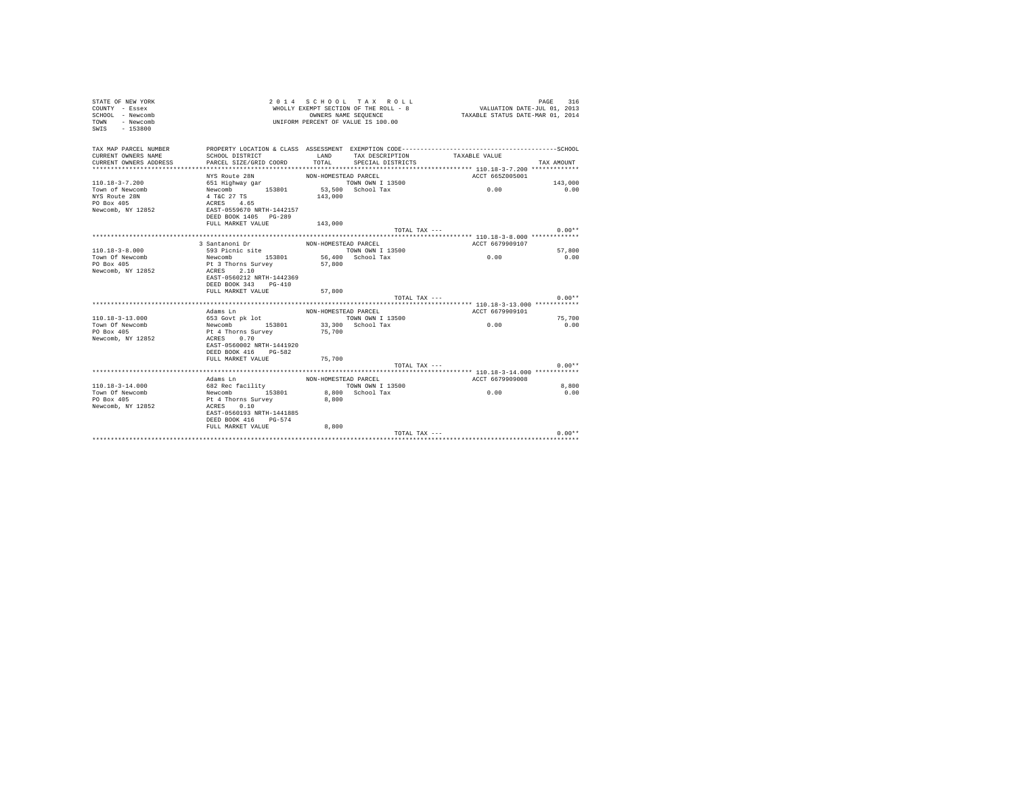| STATE OF NEW YORK<br>COUNTY - Essex<br>SCHOOL - Newcomb<br>- Newcomb<br>TOWN<br>SWIS<br>$-153800$ |                                                                                       |                      | 2014 SCHOOL TAX ROLL<br>WHOLLY EXEMPT SECTION OF THE ROLL - 8<br>OWNERS NAME SEQUENCE<br>UNIFORM PERCENT OF VALUE IS 100.00 | VALUATION DATE-JUL 01, 2013<br>TAXABLE STATUS DATE-MAR 01, 2014 | PAGE<br>316   |
|---------------------------------------------------------------------------------------------------|---------------------------------------------------------------------------------------|----------------------|-----------------------------------------------------------------------------------------------------------------------------|-----------------------------------------------------------------|---------------|
| TAX MAP PARCEL NUMBER                                                                             |                                                                                       |                      |                                                                                                                             |                                                                 |               |
| CURRENT OWNERS NAME                                                                               | SCHOOL DISTRICT                                                                       | LAND                 | TAX DESCRIPTION                                                                                                             | TAXABLE VALUE                                                   |               |
| CURRENT OWNERS ADDRESS                                                                            | PARCEL SIZE/GRID COORD                                                                | TOTAL                | SPECIAL DISTRICTS                                                                                                           |                                                                 | TAX AMOUNT    |
|                                                                                                   |                                                                                       |                      |                                                                                                                             |                                                                 |               |
| $110.18 - 3 - 7.200$                                                                              | NYS Route 28N                                                                         | NON-HOMESTEAD PARCEL | TOWN OWN I 13500                                                                                                            | ACCT 665Z005001                                                 | 143,000       |
| Town of Newcomb                                                                                   | 651 Highway gar<br>Newcomb 153801                                                     |                      | 53,500 School Tax                                                                                                           | 0.00                                                            | 0.00          |
| NYS Route 28N                                                                                     | 4 T&C 27 TS                                                                           | 143,000              |                                                                                                                             |                                                                 |               |
| PO Box 405                                                                                        | ACRES 4.65                                                                            |                      |                                                                                                                             |                                                                 |               |
| Newcomb, NY 12852                                                                                 | EAST-0559670 NRTH-1442157                                                             |                      |                                                                                                                             |                                                                 |               |
|                                                                                                   | DEED BOOK 1405 PG-289                                                                 |                      |                                                                                                                             |                                                                 |               |
|                                                                                                   | FULL MARKET VALUE                                                                     | 143,000              |                                                                                                                             |                                                                 |               |
|                                                                                                   |                                                                                       |                      | TOTAL TAX ---                                                                                                               |                                                                 | $0.00**$      |
|                                                                                                   |                                                                                       |                      |                                                                                                                             |                                                                 |               |
|                                                                                                   | 3 Santanoni Dr<br>593 Picnic site                                                     | NON-HOMESTEAD PARCEL |                                                                                                                             | ACCT 6679909107                                                 |               |
| $110.18 - 3 - 8.000$                                                                              |                                                                                       |                      | TOWN OWN I 13500                                                                                                            |                                                                 | 57,800        |
| Town Of Newcomb                                                                                   | Newcomb 153801                                                                        |                      | 56,400 School Tax                                                                                                           | 0.00                                                            | 0.00          |
| PO Box 405<br>Newcomb, NY 12852                                                                   | Pt 3 Thorns Survey<br>ACRES 2.10<br>EAST-0560212 NRTH-1442369<br>DEED BOOK 343 PG-410 | 57,800               |                                                                                                                             |                                                                 |               |
|                                                                                                   | FULL MARKET VALUE                                                                     | 57,800               |                                                                                                                             |                                                                 |               |
|                                                                                                   |                                                                                       |                      | TOTAL TAX ---                                                                                                               |                                                                 | $0.00**$      |
|                                                                                                   |                                                                                       |                      |                                                                                                                             |                                                                 |               |
|                                                                                                   | Adams Ln                                                                              | NON-HOMESTEAD PARCEL |                                                                                                                             | ACCT 6679909101                                                 |               |
| $110.18 - 3 - 13.000$                                                                             | 653 Govt pk lot                                                                       |                      | TOWN OWN I 13500                                                                                                            |                                                                 | 75,700        |
| Town Of Newcomb                                                                                   | Newcomb 153801                                                                        |                      | 33,300 School Tax                                                                                                           | 0.00                                                            | 0.00          |
| PO Box 405                                                                                        | Pt 4 Thorns Survey                                                                    | 75,700               |                                                                                                                             |                                                                 |               |
| Newcomb, NY 12852                                                                                 | ACRES 0.70                                                                            |                      |                                                                                                                             |                                                                 |               |
|                                                                                                   | EAST-0560002 NRTH-1441920                                                             |                      |                                                                                                                             |                                                                 |               |
|                                                                                                   | DEED BOOK 416 PG-582                                                                  |                      |                                                                                                                             |                                                                 |               |
|                                                                                                   | FULL MARKET VALUE                                                                     | 75,700               |                                                                                                                             |                                                                 |               |
|                                                                                                   |                                                                                       |                      | TOTAL TAX ---                                                                                                               |                                                                 | $0.00**$      |
|                                                                                                   |                                                                                       |                      |                                                                                                                             |                                                                 |               |
| $110.18 - 3 - 14.000$                                                                             | Adams In                                                                              | NON-HOMESTEAD PARCEL |                                                                                                                             | ACCT 6679909008                                                 |               |
| Town Of Newcomb                                                                                   | 682 Rec facility<br>Newcomb 153801                                                    |                      | TOWN OWN I 13500<br>8,800 School Tax                                                                                        | 0.00                                                            | 8,800<br>0.00 |
| PO Box 405                                                                                        | Pt 4 Thorns Survey                                                                    | 8,800                |                                                                                                                             |                                                                 |               |
| Newcomb, NY 12852                                                                                 | ACRES 0.10                                                                            |                      |                                                                                                                             |                                                                 |               |
|                                                                                                   | EAST-0560193 NRTH-1441885<br>DEED BOOK 416 PG-574                                     |                      |                                                                                                                             |                                                                 |               |
|                                                                                                   | FULL MARKET VALUE                                                                     | 8,800                |                                                                                                                             |                                                                 |               |
|                                                                                                   |                                                                                       |                      | TOTAL TAX ---                                                                                                               |                                                                 | $0.00**$      |
|                                                                                                   |                                                                                       |                      |                                                                                                                             |                                                                 |               |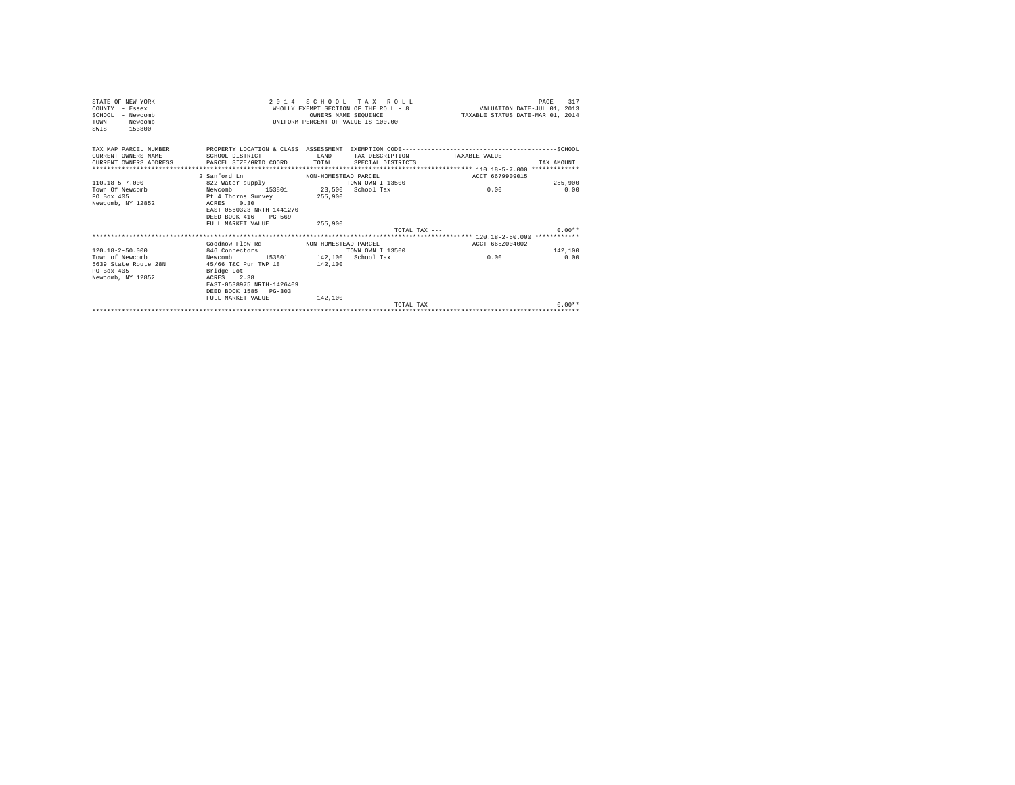| STATE OF NEW YORK<br>COUNTY - Essex<br>SCHOOL - Newcomb<br>TOWN<br>- Newcomb | 2014 SCHOOL TAX ROLL<br>WHOLLY EXEMPT SECTION OF THE ROLL - 8 VALUATION DATE-JUL 01, 2013<br>OWNERS NAME SEOUENCE<br>UNIFORM PERCENT OF VALUE IS 100.00                     |                      |                   | 317<br>PAGE<br>TAXABLE STATUS DATE-MAR 01, 2014 |            |  |
|------------------------------------------------------------------------------|-----------------------------------------------------------------------------------------------------------------------------------------------------------------------------|----------------------|-------------------|-------------------------------------------------|------------|--|
| $-153800$<br>SWIS                                                            |                                                                                                                                                                             |                      |                   |                                                 |            |  |
| TAX MAP PARCEL NUMBER<br>CURRENT OWNERS NAME                                 | <b>LAND</b><br>SCHOOL DISTRICT                                                                                                                                              |                      | TAX DESCRIPTION   | TAXABLE VALUE                                   |            |  |
| CURRENT OWNERS ADDRESS PARCEL SIZE/GRID COORD TOTAL                          |                                                                                                                                                                             |                      | SPECIAL DISTRICTS |                                                 | TAX AMOUNT |  |
|                                                                              | 2 Sanford Ln                                                                                                                                                                | NON-HOMESTEAD PARCEL |                   | ACCT 6679909015                                 |            |  |
| $110.18 - 5 - 7.000$                                                         | 822 Water supply                                                                                                                                                            |                      | TOWN OWN T 13500  |                                                 | 255,900    |  |
| Town Of Newcomb<br>PO Box 405<br>Newcomb, NY 12852                           | 153801 23.500 School Tax<br>Newcomb<br>Pt 4 Thorns Survey<br>ACRES 0.30<br>EAST-0560323 NRTH-1441270<br>DEED BOOK 416 PG-569                                                | 255,900              |                   | 0.00                                            | 0.00       |  |
|                                                                              | FULL MARKET VALUE                                                                                                                                                           | 255,900              |                   |                                                 |            |  |
|                                                                              |                                                                                                                                                                             |                      | TOTAL TAX $---$   |                                                 | $0.00**$   |  |
|                                                                              | Goodnow Flow Rd MON-HOMESTEAD PARCEL                                                                                                                                        |                      |                   | ACCT 665Z004002                                 |            |  |
| $120.18 - 2 - 50.000$                                                        | 846 Connectors                                                                                                                                                              |                      | TOWN OWN I 13500  |                                                 | 142,100    |  |
| Town of Newcomb<br>5639 State Route 28N<br>PO Box 405<br>Newcomb, NY 12852   | 153801 142,100 School Tax<br>Newcomb<br>45/66 T&C Pur TWP 18 142,100<br>Bridge Lot<br>ACRES 2.38<br>EAST-0538975 NRTH-1426409<br>DEED BOOK 1585 PG-303<br>FULL MARKET VALUE | 142,100              |                   | 0.00                                            | 0.00       |  |
|                                                                              |                                                                                                                                                                             |                      | TOTAL TAX $---$   |                                                 | $0.00**$   |  |
|                                                                              |                                                                                                                                                                             |                      |                   |                                                 |            |  |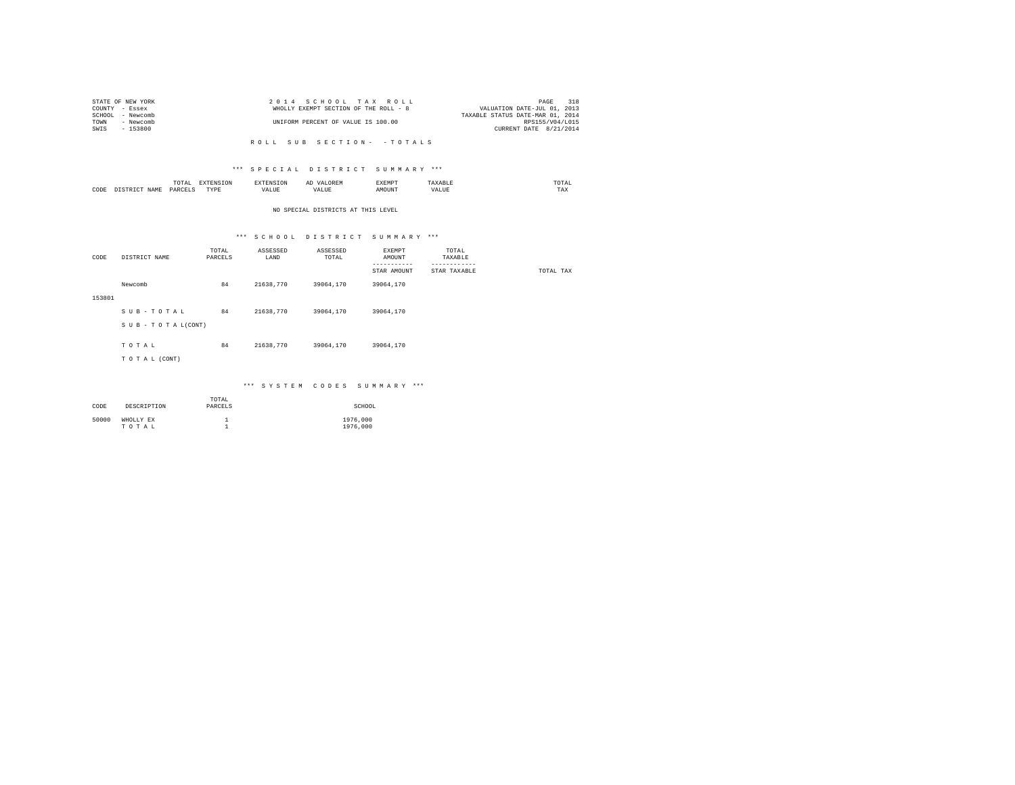| 2014 SCHOOL TAX ROLL                  | 318<br>PAGE                      |
|---------------------------------------|----------------------------------|
| WHOLLY EXEMPT SECTION OF THE ROLL - 8 | VALUATION DATE-JUL 01, 2013      |
|                                       | TAXABLE STATUS DATE-MAR 01, 2014 |
| UNIFORM PERCENT OF VALUE IS 100.00    | RPS155/V04/L015                  |
|                                       | CURRENT DATE 8/21/2014           |
|                                       |                                  |

#### R O L L S U B S E C T I O N - - T O T A L S

### \*\*\* S P E C I A L D I S T R I C T S U M M A R Y \*\*\*

|      | ----<br>IUIAL<br>the contract of the contract of the contract of | ----<br>the contract of the contract of the contract of the contract of the contract of |                 | ΑΙ<br>e m: nv  | EXEMPT | A 111 | $m \wedge m \wedge$<br>the contract of the contract of the contract of |
|------|------------------------------------------------------------------|-----------------------------------------------------------------------------------------|-----------------|----------------|--------|-------|------------------------------------------------------------------------|
| CODE | DARCELS<br>.                                                     | <b>TVDK</b><br>.                                                                        | - ---<br>′ALU L | n<br>التاسلين. |        | ALUE  | 1 A.A                                                                  |

### NO SPECIAL DISTRICTS AT THIS LEVEL

## \*\*\* S C H O O L D I S T R I C T S U M M A R Y \*\*\*

| CODE   | DISTRICT NAME   | TOTAL<br>PARCELS | ASSESSED<br>LAND | ASSESSED<br>TOTAL | EXEMPT<br>AMOUNT | TOTAL<br>TAXABLE             |           |
|--------|-----------------|------------------|------------------|-------------------|------------------|------------------------------|-----------|
|        |                 |                  |                  |                   | .<br>STAR AMOUNT | ------------<br>STAR TAXABLE | TOTAL TAX |
|        | Newcomb         | 84               | 21638,770        | 39064,170         | 39064,170        |                              |           |
| 153801 |                 |                  |                  |                   |                  |                              |           |
|        | SUB-TOTAL       | 84               | 21638,770        | 39064.170         | 39064,170        |                              |           |
|        | SUB-TOTAL(CONT) |                  |                  |                   |                  |                              |           |
|        | TOTAL           | 84               | 21638,770        | 39064,170         | 39064,170        |                              |           |
|        | TO TAL (CONT)   |                  |                  |                   |                  |                              |           |
|        |                 |                  |                  |                   |                  |                              |           |

### \*\*\* S Y S T E M C O D E S S U M M A R Y \*\*\*

| CODE  | DESCRIPTION        | TOTAL<br>PARCELS | SCHOOL               |
|-------|--------------------|------------------|----------------------|
| 50000 | WHOLLY EX<br>TOTAL |                  | 1976,000<br>1976,000 |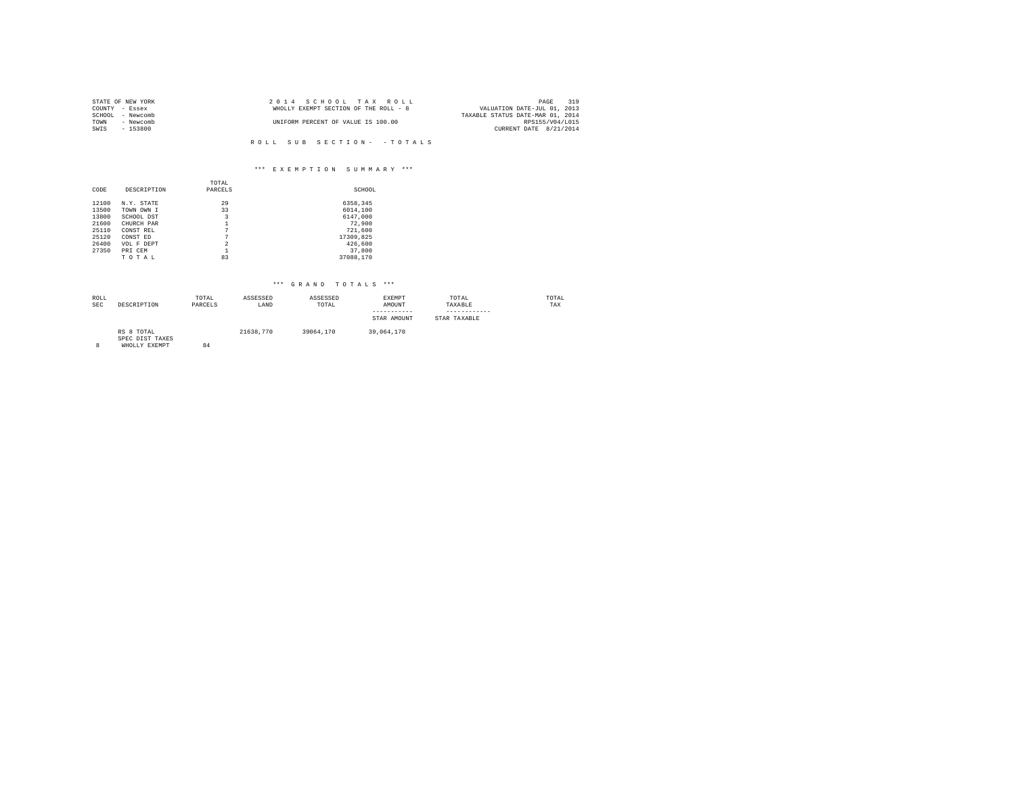|      | STATE OF NEW YORK | 2014 SCHOOL TAX ROLL                  | 319<br>PAGE                      |
|------|-------------------|---------------------------------------|----------------------------------|
|      | COUNTY - Essex    | WHOLLY EXEMPT SECTION OF THE ROLL - 8 | VALUATION DATE-JUL 01, 2013      |
|      | SCHOOL - Newcomb  |                                       | TAXABLE STATUS DATE-MAR 01, 2014 |
| TOWN | - Newcomb         | UNIFORM PERCENT OF VALUE IS 100.00    | RPS155/V04/L015                  |
| SWIS | $-153800$         |                                       | CURRENT DATE 8/21/2014           |
|      |                   |                                       |                                  |

# R O L L S U B S E C T I O N - - T O T A L S

## \*\*\* E X E M P T I O N S U M M A R Y \*\*\*

|       |             | TOTAL                    |           |
|-------|-------------|--------------------------|-----------|
| CODE  | DESCRIPTION | PARCELS                  | SCHOOL    |
| 12100 | N.Y. STATE  | 29                       | 6358,345  |
| 13500 | TOWN OWN I  | 33                       | 6014,100  |
| 13800 | SCHOOL DST  | 3                        | 6147.000  |
| 21600 | CHURCH PAR  |                          | 72.900    |
| 25110 | CONST REL   | 7                        | 721,600   |
| 25120 | CONST ED    | 7                        | 17309.825 |
| 26400 | VOL F DEPT  | $\overline{\phantom{a}}$ | 426,600   |
| 27350 | PRI CEM     |                          | 37,800    |
|       | TOTAL       | 83                       | 37088.170 |

| ROLL<br>SEC | DESCRIPTION                                    | TOTAL<br>PARCELS | ASSESSED<br>LAND | ASSESSED<br>TOTAL | EXEMPT<br>AMOUNT<br>-----------<br>STAR AMOUNT | TOTAL<br>TAXABLE<br>------------<br>STAR TAXABLE | TOTAL<br>TAX |
|-------------|------------------------------------------------|------------------|------------------|-------------------|------------------------------------------------|--------------------------------------------------|--------------|
| g           | RS 8 TOTAL<br>SPEC DIST TAXES<br>WHOLLY EXEMPT | 84               | 21638,770        | 39064.170         | 39,064,170                                     |                                                  |              |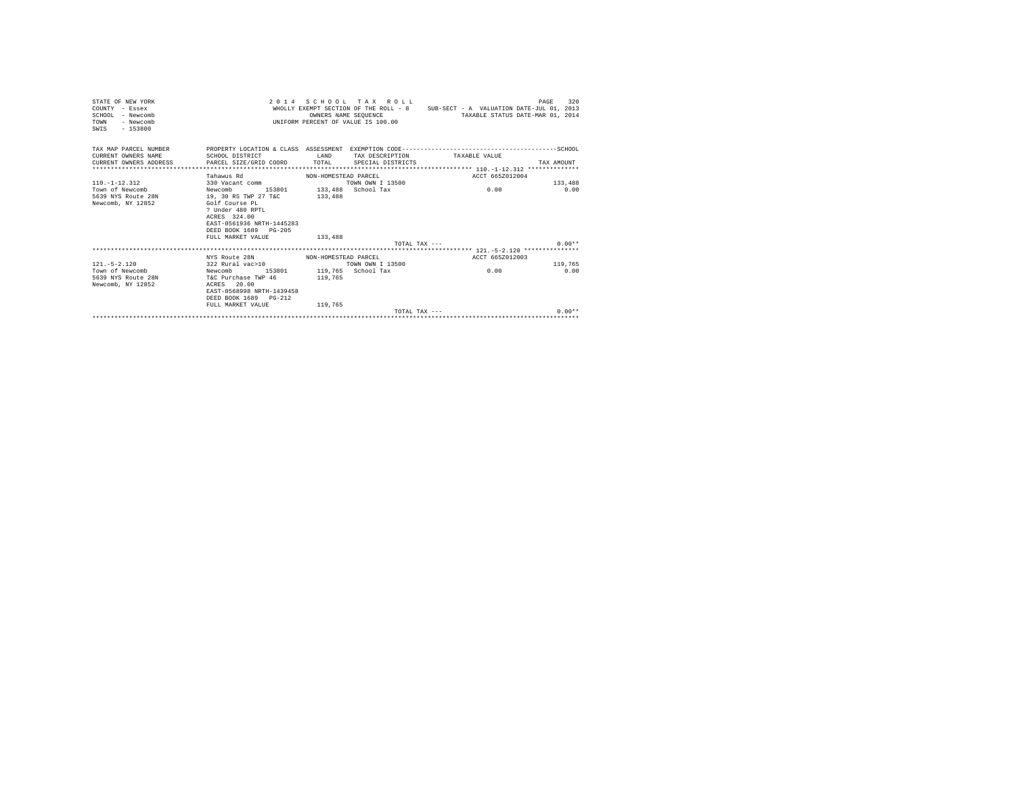| STATE OF NEW YORK<br>$CONTINTY - Resex$<br>SCHOOL - Newcomb<br>- Newcomb<br>TOWN<br>$SWTS = 153800$ |                                                       |                      | 2014 SCHOOL TAX ROLL<br>OWNERS NAME SEOUENCE<br>INIFORM PERCENT OF VALUE IS 100.00 | WHOLLY EXEMPT SECTION OF THE ROLL - 8 SUB-SECT - A VALUATION DATE-JUL 01, 2013<br>TAXABLE STATUS DATE-MAR 01, 2014 | 320<br>PAGE |
|-----------------------------------------------------------------------------------------------------|-------------------------------------------------------|----------------------|------------------------------------------------------------------------------------|--------------------------------------------------------------------------------------------------------------------|-------------|
| TAX MAP PARCEL NUMBER<br>CURRENT OWNERS NAME                                                        | SCHOOL DISTRICT<br><b>ELAND</b>                       |                      |                                                                                    | TAX DESCRIPTION TAXABLE VALUE                                                                                      |             |
| CURRENT OWNERS ADDRESS                                                                              | PARCEL SIZE/GRID COORD TOTAL SPECIAL DISTRICTS        |                      |                                                                                    |                                                                                                                    | TAX AMOUNT  |
|                                                                                                     |                                                       |                      |                                                                                    |                                                                                                                    |             |
| $110 - 1 - 12$ , $312$                                                                              | Tahawus Rd<br>330 Vacant comm                         | NON-HOMESTEAD PARCEL | TOWN OWN T 13500                                                                   | ACCT 665Z012004                                                                                                    | 133,488     |
| Town of Newcomb                                                                                     | 153801 133.488 School Tax<br>Newcomb                  |                      |                                                                                    | 0.00                                                                                                               | 0.00        |
| 5639 NYS Route 28N                                                                                  | 19, 30 RS TWP 27 T&C                                  | 133,488              |                                                                                    |                                                                                                                    |             |
| Newcomb, NY 12852                                                                                   | Golf Course PL                                        |                      |                                                                                    |                                                                                                                    |             |
|                                                                                                     | ? Under 480 RPTL                                      |                      |                                                                                    |                                                                                                                    |             |
|                                                                                                     | ACRES 324.00                                          |                      |                                                                                    |                                                                                                                    |             |
|                                                                                                     | EAST-0561936 NRTH-1445283                             |                      |                                                                                    |                                                                                                                    |             |
|                                                                                                     | DEED BOOK 1689 PG-205                                 |                      |                                                                                    |                                                                                                                    |             |
|                                                                                                     | FULL MARKET VALUE                                     | 133,488              |                                                                                    |                                                                                                                    |             |
|                                                                                                     |                                                       |                      |                                                                                    | $TOTAI. TAX - - -$                                                                                                 | $0.00**$    |
|                                                                                                     |                                                       |                      |                                                                                    |                                                                                                                    |             |
| $121 - 5 - 2.120$                                                                                   | NYS Route 28N MON-HOMESTEAD PARCEL                    |                      | TOWN OWN I 13500                                                                   | ACCT 665Z012003                                                                                                    | 119,765     |
| Town of Newcomb                                                                                     | 322 Rural vac>10<br>Newcomb 153801 119,765 School Tax |                      |                                                                                    | 0.00                                                                                                               | 0.00        |
| 5639 NYS Route 28N T&C Purchase TWP 46 119,765                                                      |                                                       |                      |                                                                                    |                                                                                                                    |             |
| Newcomb, NY 12852                                                                                   | ACRES 20.00                                           |                      |                                                                                    |                                                                                                                    |             |
|                                                                                                     | EAST-0568998 NRTH-1439458                             |                      |                                                                                    |                                                                                                                    |             |
|                                                                                                     | DEED BOOK 1689 PG-212                                 |                      |                                                                                    |                                                                                                                    |             |
|                                                                                                     | FULL MARKET VALUE                                     | 119,765              |                                                                                    |                                                                                                                    |             |
|                                                                                                     |                                                       |                      | $TOTAT. TAX - - -$                                                                 |                                                                                                                    | $0.00**$    |
|                                                                                                     |                                                       |                      |                                                                                    |                                                                                                                    |             |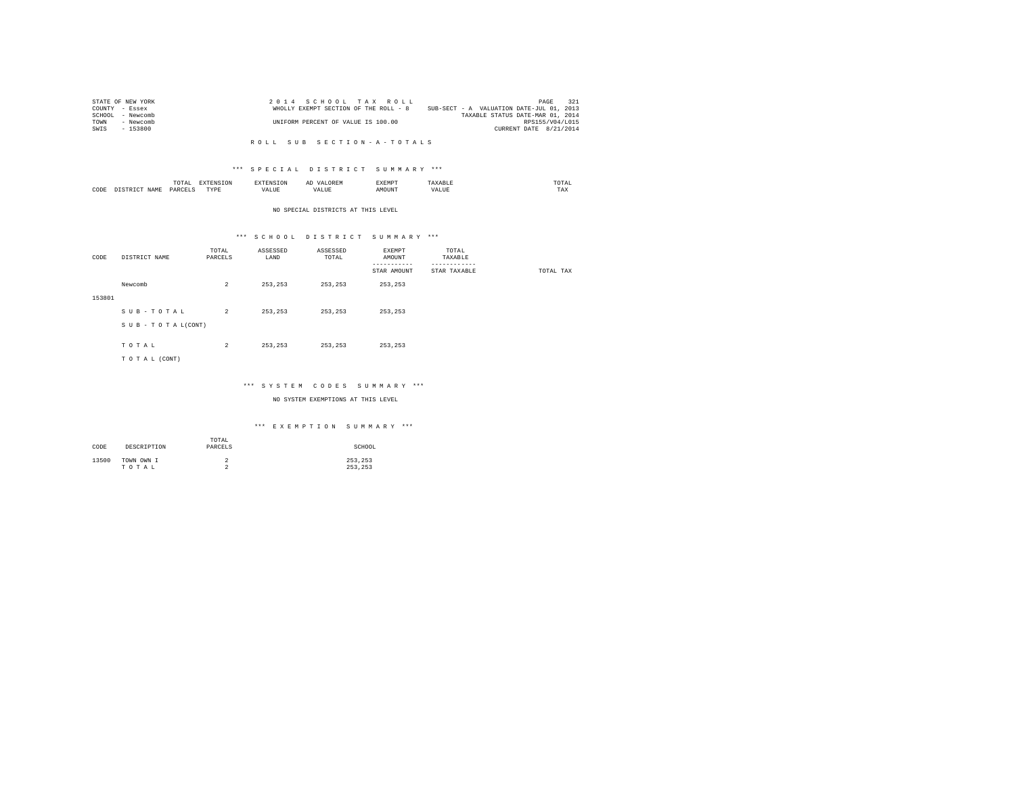| STATE OF NEW YORK | 2014 SCHOOL TAX ROLL                  | 321<br>PAGE                              |
|-------------------|---------------------------------------|------------------------------------------|
| COUNTY - Essex    | WHOLLY EXEMPT SECTION OF THE ROLL - 8 | SUB-SECT - A VALUATION DATE-JUL 01, 2013 |
| SCHOOL - Newcomb  |                                       | TAXABLE STATUS DATE-MAR 01, 2014         |
| TOWN<br>- Newcomb | UNIFORM PERCENT OF VALUE IS 100.00    | RPS155/V04/L015                          |
| $-153800$<br>SWIS |                                       | CURRENT DATE 8/21/2014                   |

#### R O L L S U B S E C T I O N - A - T O T A L S

### \*\*\* S P E C I A L D I S T R I C T S U M M A R Y \*\*\*

|      | .UTAI        | $- - - -$                  |              |   | "YEMP" |      | <b>BOBB</b><br>the contract of the contract of the contract of |
|------|--------------|----------------------------|--------------|---|--------|------|----------------------------------------------------------------|
| CODE | DARCEL!<br>. | $- - - -$<br>$\cdots$<br>. | - ---<br>, . | n |        | ∺⊥บอ | 1 A.A                                                          |

#### NO SPECIAL DISTRICTS AT THIS LEVEL

## \*\*\* S C H O O L D I S T R I C T S U M M A R Y \*\*\*

| CODE   | DISTRICT NAME   | TOTAL<br>PARCELS | ASSESSED<br>LAND | ASSESSED<br>TOTAL | EXEMPT<br>AMOUNT<br>-------- | TOTAL<br>TAXABLE<br>--------- |           |
|--------|-----------------|------------------|------------------|-------------------|------------------------------|-------------------------------|-----------|
|        |                 |                  |                  |                   | STAR AMOUNT                  | STAR TAXABLE                  | TOTAL TAX |
|        | Newcomb         | $\overline{2}$   | 253.253          | 253,253           | 253,253                      |                               |           |
| 153801 |                 |                  |                  |                   |                              |                               |           |
|        | SUB-TOTAL       | $\overline{a}$   | 253,253          | 253,253           | 253,253                      |                               |           |
|        | SUB-TOTAL(CONT) |                  |                  |                   |                              |                               |           |
|        |                 |                  |                  |                   |                              |                               |           |
|        | TOTAL           | $\overline{2}$   | 253.253          | 253.253           | 253,253                      |                               |           |
|        | TO TAL (CONT)   |                  |                  |                   |                              |                               |           |
|        |                 |                  |                  |                   |                              |                               |           |

## \*\*\* S Y S T E M C O D E S S U M M A R Y \*\*\*

NO SYSTEM EXEMPTIONS AT THIS LEVEL

### \*\*\* E X E M P T I O N S U M M A R Y \*\*\*

| CODE  | DESCRIPTION         | TOTAL<br>PARCELS | SCHOOL             |
|-------|---------------------|------------------|--------------------|
| 13500 | TOWN OWN I<br>TOTAL | ∠<br>$\sim$<br>∼ | 253,253<br>253.253 |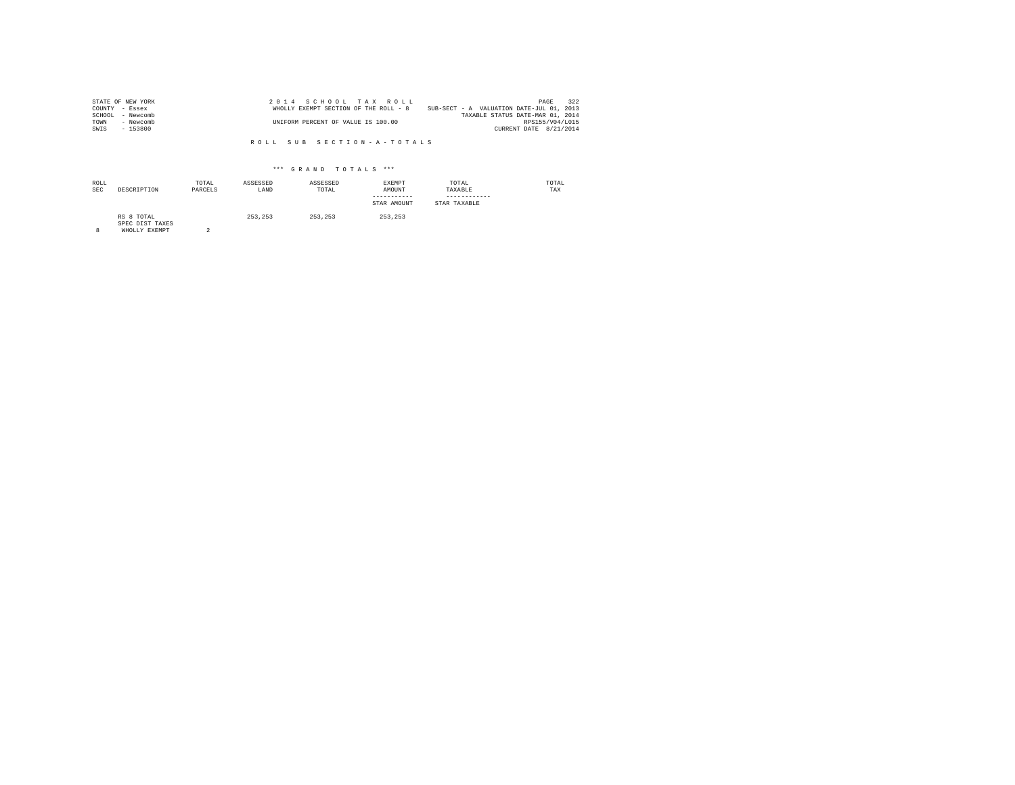| STATE OF NEW YORK   | 2014 SCHOOL TAX ROLL                                                              | PAGE                   | 322 |
|---------------------|-----------------------------------------------------------------------------------|------------------------|-----|
| COUNTY - Essex      | SUB-SECT - A VALUATION DATE-JUL 01, 2013<br>WHOLLY EXEMPT SECTION OF THE ROLL - 8 |                        |     |
| SCHOOL<br>- Newcomb | TAXABLE STATUS DATE-MAR 01, 2014                                                  |                        |     |
| TOWN<br>- Newcomb   | UNIFORM PERCENT OF VALUE IS 100.00                                                | RPS155/V04/L015        |     |
| SWIS<br>- 153800    |                                                                                   | CURRENT DATE 8/21/2014 |     |

R O L L S U B S E C T I O N - A - T O T A L S

| ROLL<br><b>SEC</b> | DESCRIPTION                                    | TOTAL<br>PARCELS | ASSESSED<br>LAND | ASSESSED<br>TOTAL | EXEMPT<br>AMOUNT<br>-----------<br>STAR AMOUNT | TOTAL<br>TAXABLE<br>------------<br>STAR TAXABLE | TOTAL<br>TAX |
|--------------------|------------------------------------------------|------------------|------------------|-------------------|------------------------------------------------|--------------------------------------------------|--------------|
| 8                  | RS 8 TOTAL<br>SPEC DIST TAXES<br>WHOLLY EXEMPT | $\Omega$         | 253.253          | 253.253           | 253.253                                        |                                                  |              |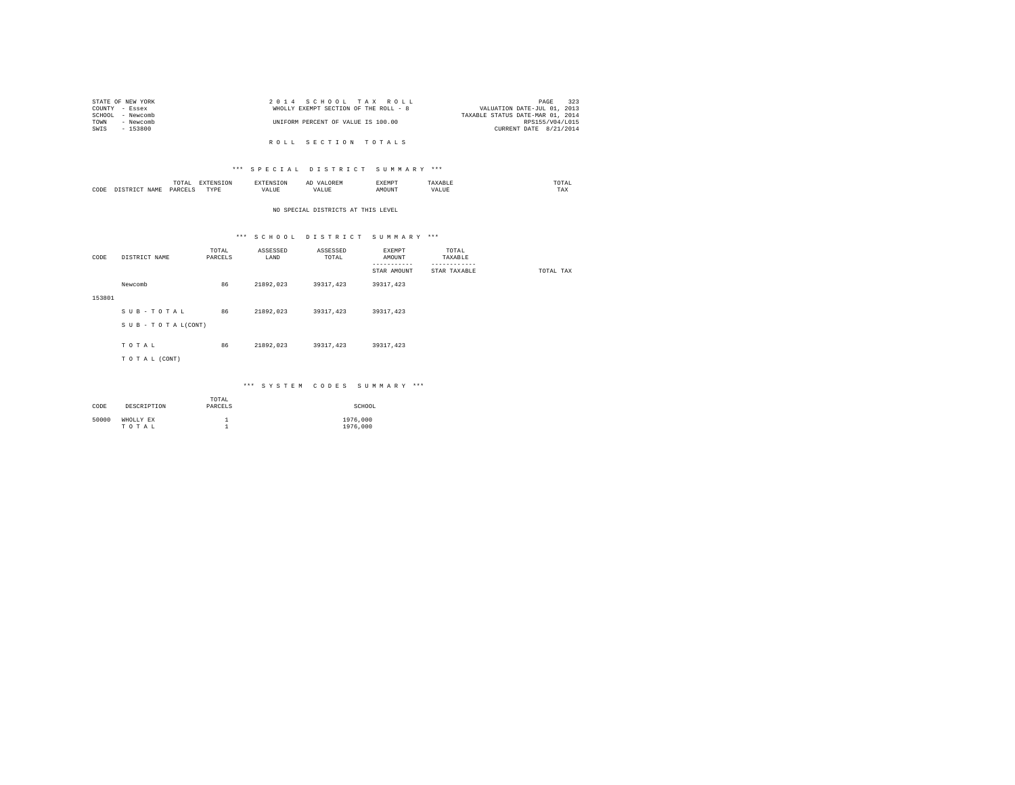|                | STATE OF NEW YORK |  |                                    |  | 2014 SCHOOL TAX ROLL                  | 323<br>PAGE                      |
|----------------|-------------------|--|------------------------------------|--|---------------------------------------|----------------------------------|
| COUNTY - Essex |                   |  |                                    |  | WHOLLY EXEMPT SECTION OF THE ROLL - 8 | VALUATION DATE-JUL 01, 2013      |
|                | SCHOOL - Newcomb  |  |                                    |  |                                       | TAXABLE STATUS DATE-MAR 01, 2014 |
| TOWN           | - Newcomb         |  | UNIFORM PERCENT OF VALUE IS 100.00 |  |                                       | RPS155/V04/L015                  |
| SWIS           | - 153800          |  |                                    |  |                                       | CURRENT DATE 8/21/2014           |
|                |                   |  |                                    |  |                                       |                                  |
|                |                   |  |                                    |  | ROLL SECTION TOTALS                   |                                  |

### \*\*\* S P E C I A L D I S T R I C T S U M M A R Y \*\*\*

|          | the contract of the contract of the contract of | the contract of the contract of the contract of the contract of the contract of |                         | $\sim$<br>.     | XEMP' |   | the contract of the contract of the contract of |
|----------|-------------------------------------------------|---------------------------------------------------------------------------------|-------------------------|-----------------|-------|---|-------------------------------------------------|
| CODE<br> |                                                 | <b>TVDL</b>                                                                     | <b>TAT TTE</b><br>'ALUE | $-$<br>$\cdots$ |       | . | -56                                             |

### NO SPECIAL DISTRICTS AT THIS LEVEL

## \*\*\* S C H O O L D I S T R I C T S U M M A R Y \*\*\*

| CODE   | DISTRICT NAME   | TOTAL<br>PARCELS | ASSESSED<br>LAND | ASSESSED<br>TOTAL | EXEMPT<br>AMOUNT        | TOTAL<br>TAXABLE             |           |
|--------|-----------------|------------------|------------------|-------------------|-------------------------|------------------------------|-----------|
|        |                 |                  |                  |                   | --------<br>STAR AMOUNT | ------------<br>STAR TAXABLE | TOTAL TAX |
|        | Newcomb         | 86               | 21892,023        | 39317,423         | 39317,423               |                              |           |
| 153801 |                 |                  |                  |                   |                         |                              |           |
|        | SUB-TOTAL       | 86               | 21892,023        | 39317,423         | 39317,423               |                              |           |
|        | SUB-TOTAL(CONT) |                  |                  |                   |                         |                              |           |
|        | TOTAL           | 86               | 21892.023        | 39317,423         | 39317,423               |                              |           |
|        | TO TAL (CONT)   |                  |                  |                   |                         |                              |           |
|        |                 |                  |                  |                   |                         |                              |           |

### \*\*\* S Y S T E M C O D E S S U M M A R Y \*\*\*

| CODE  | DESCRIPTION        | TOTAL<br>PARCELS | SCHOOL               |
|-------|--------------------|------------------|----------------------|
| 50000 | WHOLLY EX<br>TOTAL |                  | 1976,000<br>1976,000 |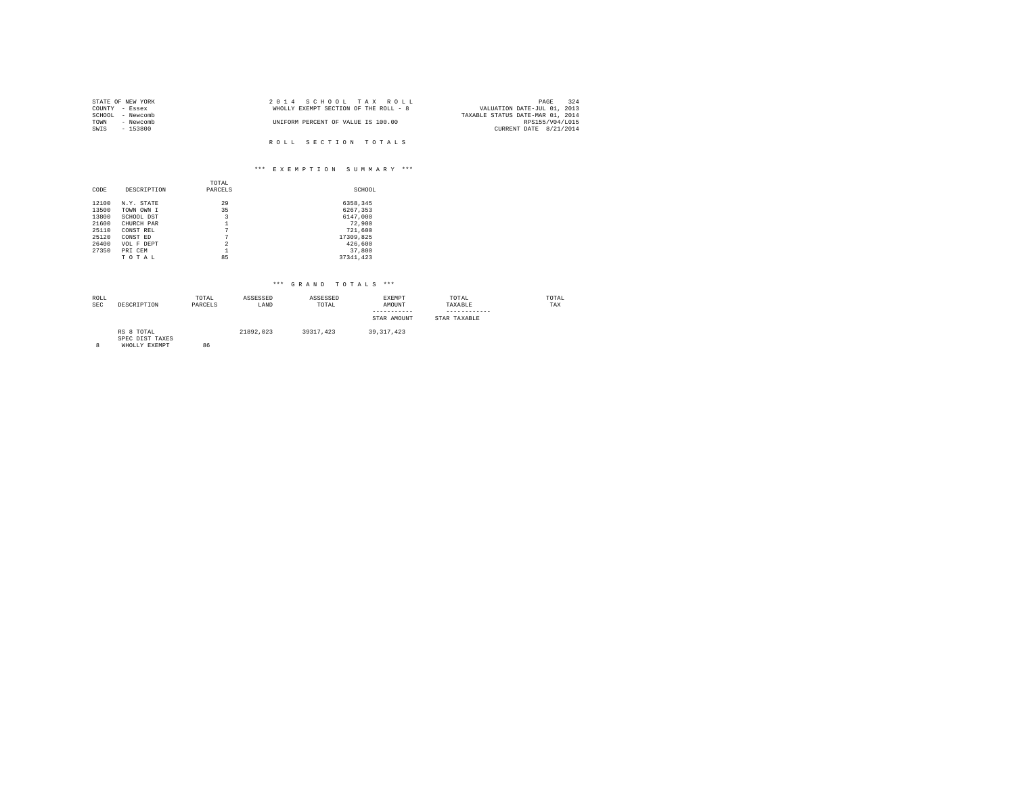| STATE OF NEW YORK |           | 2014 SCHOOL TAX ROLL                  | 324<br>PAGE                      |
|-------------------|-----------|---------------------------------------|----------------------------------|
| COUNTY - Essex    |           | WHOLLY EXEMPT SECTION OF THE ROLL - 8 | VALUATION DATE-JUL 01, 2013      |
| SCHOOL - Newcomb  |           |                                       | TAXABLE STATUS DATE-MAR 01, 2014 |
| TOWN              | - Newcomb | UNIFORM PERCENT OF VALUE IS 100.00    | RPS155/V04/L015                  |
| SWIS<br>$-153800$ |           |                                       | CURRENT DATE 8/21/2014           |
|                   |           |                                       |                                  |
|                   |           | ROLL SECTION TOTALS                   |                                  |

## \*\*\* E X E M P T I O N S U M M A R Y \*\*\*

|       |             | TOTAL          |           |
|-------|-------------|----------------|-----------|
| CODE  | DESCRIPTION | PARCELS        | SCHOOL    |
| 12100 | N.Y. STATE  | 29             | 6358.345  |
| 13500 | TOWN OWN I  | 35             | 6267,353  |
| 13800 | SCHOOL DST  | 3              | 6147,000  |
| 21600 | CHURCH PAR  |                | 72,900    |
| 25110 | CONST REL   | 7              | 721,600   |
| 25120 | CONST ED    | 7              | 17309,825 |
| 26400 | VOL F DEPT  | $\overline{2}$ | 426,600   |
| 27350 | PRI CEM     |                | 37,800    |
|       | TOTAL       | 85             | 37341.423 |

| ROLL<br><b>SEC</b> | DESCRIPTION                                    | TOTAL<br>PARCELS | ASSESSED<br>LAND | ASSESSED<br>TOTAL | EXEMPT<br>AMOUNT<br>-----------<br>STAR AMOUNT | TOTAL<br>TAXABLE<br>-----------<br>STAR TAXABLE | TOTAL<br>TAX |
|--------------------|------------------------------------------------|------------------|------------------|-------------------|------------------------------------------------|-------------------------------------------------|--------------|
|                    | RS 8 TOTAL<br>SPEC DIST TAXES<br>WHOLLY EXEMPT | 86               | 21892.023        | 39317.423         | 39, 317, 423                                   |                                                 |              |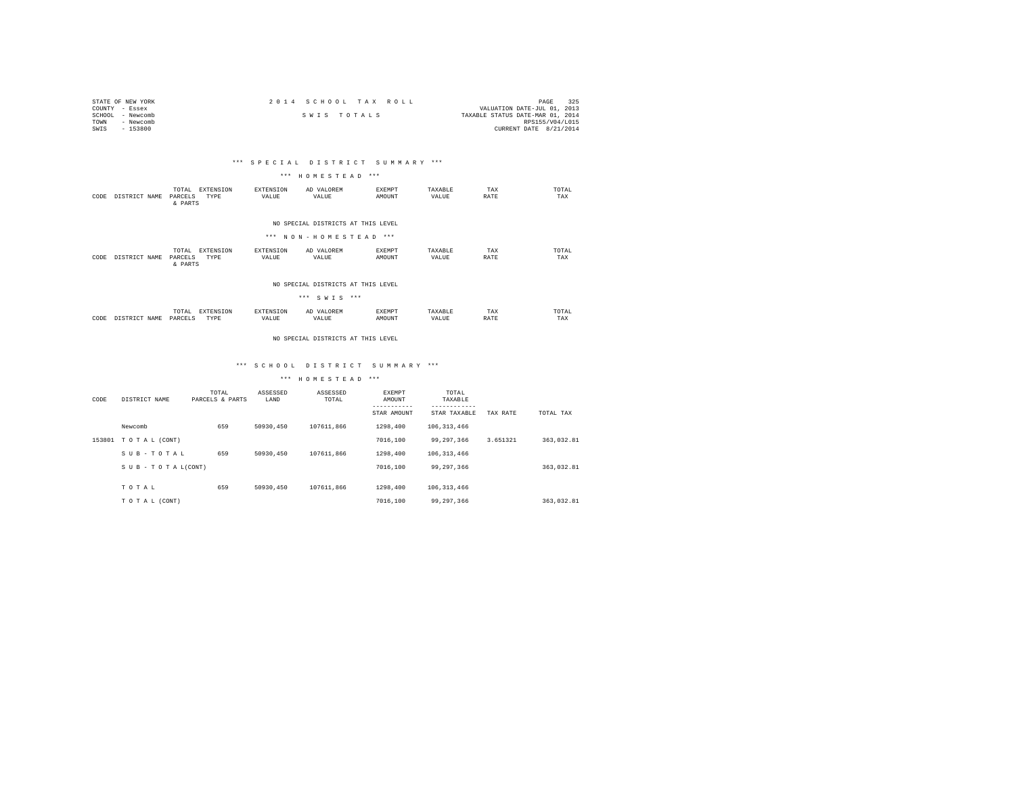| STATE OF NEW YORK | 2014 SCHOOL TAX ROLL | 325<br>PAGE                      |
|-------------------|----------------------|----------------------------------|
| COUNTY - Essex    |                      | VALUATION DATE-JUL 01, 2013      |
| SCHOOL - Newcomb  | SWIS TOTALS          | TAXABLE STATUS DATE-MAR 01, 2014 |
| TOWN<br>- Newcomb |                      | RPS155/V04/L015                  |
| $-153800$<br>SWIS |                      | CURRENT DATE 8/21/2014           |

# \*\*\* S P E C I A L D I S T R I C T S U M M A R Y \*\*\*

#### \*\*\* H O M E S T E A D \*\*\*

| CODE | DISTRICT NAME | EXTENSION<br>TOTAL<br>TYPE<br>PARCELS<br>& PARTS  | EXTENSION<br>VALUE | AD VALOREM<br>VALUE                                         | EXEMPT<br>AMOUNT        | TAXABLE<br>VALUE | TAX<br>RATE | TOTAL<br>TAX |
|------|---------------|---------------------------------------------------|--------------------|-------------------------------------------------------------|-------------------------|------------------|-------------|--------------|
|      |               |                                                   |                    | NO SPECIAL DISTRICTS AT THIS LEVEL<br>*** NON-HOMESTEAD *** |                         |                  |             |              |
| CODE | DISTRICT NAME | EXTENSION<br>TOTAL.<br>TYPE<br>PARCELS<br>& PARTS | EXTENSION<br>VALUE | AD VALOREM<br>VALUE                                         | <b>EXEMPT</b><br>AMOUNT | TAXARLE<br>VALUE | TAX<br>RATE | TOTAL<br>TAX |

#### NO SPECIAL DISTRICTS AT THIS LEVEL

|      |               |                  |                   |                    | *** SWIS ***        |                         |                  |             |              |
|------|---------------|------------------|-------------------|--------------------|---------------------|-------------------------|------------------|-------------|--------------|
| CODE | DISTRICT NAME | TOTAL<br>PARCELS | EXTENSION<br>TYPE | EXTENSION<br>VALUE | AD VALOREM<br>VALUE | <b>EXEMPT</b><br>AMOUNT | TAXARLE<br>VALUE | TAX<br>RATE | TOTAL<br>TAX |

#### NO SPECIAL DISTRICTS AT THIS LEVEL

# \*\*\* S C H O O L D I S T R I C T S U M M A R Y \*\*\*

| CODE   | DISTRICT NAME   | TOTAL<br>PARCELS & PARTS | ASSESSED<br>LAND | ASSESSED<br>TOTAL | EXEMPT<br>AMOUNT<br>STAR AMOUNT | TOTAL<br>TAXABLE<br>STAR TAXABLE | TAX RATE | TOTAL TAX  |
|--------|-----------------|--------------------------|------------------|-------------------|---------------------------------|----------------------------------|----------|------------|
|        | Newcomb         | 659                      | 50930.450        | 107611.866        | 1298,400                        | 106, 313, 466                    |          |            |
| 153801 | TO TAL (CONT)   |                          |                  |                   | 7016,100                        | 99.297.366                       | 3.651321 | 363.032.81 |
|        | SUB-TOTAL       | 659                      | 50930.450        | 107611.866        | 1298,400                        | 106, 313, 466                    |          |            |
|        | SUB-TOTAL(CONT) |                          |                  |                   | 7016,100                        | 99.297.366                       |          | 363.032.81 |
|        | TOTAL           | 659                      | 50930.450        | 107611.866        | 1298,400                        | 106, 313, 466                    |          |            |
|        | TO TAL (CONT)   |                          |                  |                   | 7016,100                        | 99.297.366                       |          | 363.032.81 |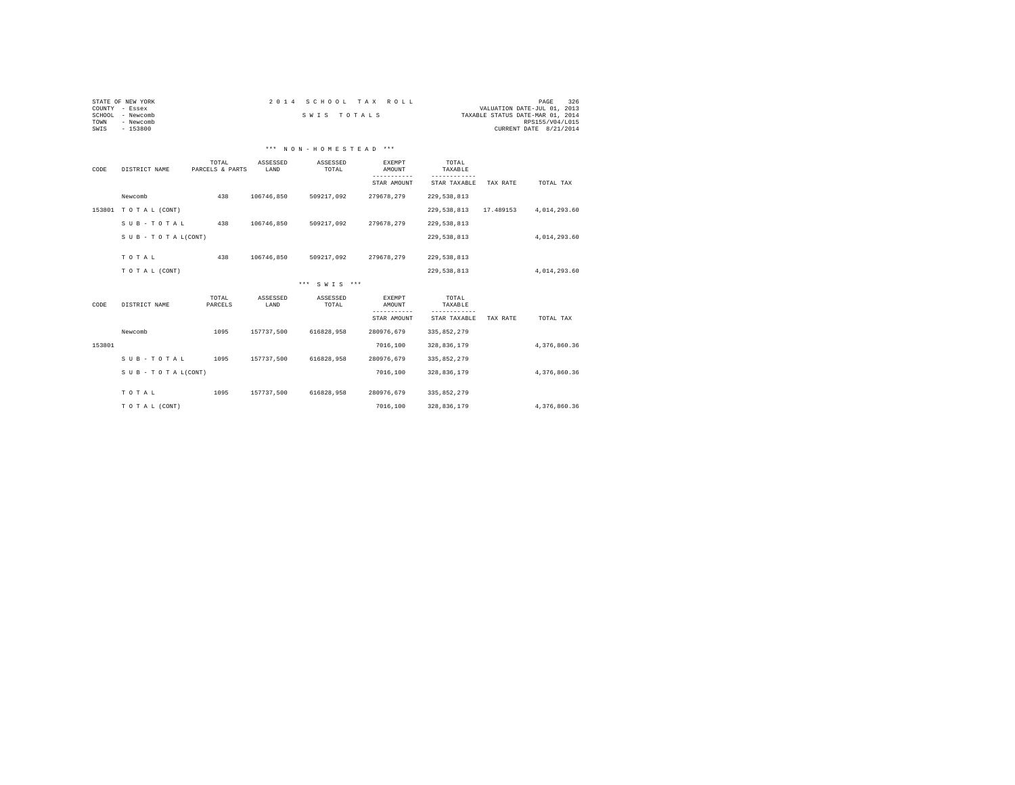| STATE OF NEW YORK   |       |          | 2014 SCHOOL TAX ROLL  |        | 326<br>PAGE                      |
|---------------------|-------|----------|-----------------------|--------|----------------------------------|
| COUNTY<br>- Essex   |       |          |                       |        | VALUATION DATE-JUL 01, 2013      |
| - Newcomb<br>SCHOOL |       |          | SWIS TOTALS           |        | TAXABLE STATUS DATE-MAR 01, 2014 |
| TOWN<br>- Newcomb   |       |          |                       |        | RPS155/V04/L015                  |
| $-153800$<br>SWIS   |       |          |                       |        | CURRENT DATE 8/21/2014           |
|                     |       |          |                       |        |                                  |
|                     |       |          |                       |        |                                  |
|                     |       |          | *** NON-HOMESTEAD *** |        |                                  |
|                     |       |          |                       |        |                                  |
|                     | TOTAL | ASSESSED | ASSESSED              | EXEMPT | TOTAL                            |

| CODE   | DISTRICT NAME       | -----<br>PARCELS & PARTS | LAND             | TOTAL             | --------<br>AMOUNT<br>----------- | ------<br>TAXABLE<br>------------ |           |              |  |
|--------|---------------------|--------------------------|------------------|-------------------|-----------------------------------|-----------------------------------|-----------|--------------|--|
|        |                     |                          |                  |                   | STAR AMOUNT                       | STAR TAXABLE                      | TAX RATE  | TOTAL TAX    |  |
|        | Newcomb             | 438                      | 106746,850       | 509217,092        | 279678,279                        | 229,538,813                       |           |              |  |
|        | 153801 TOTAL (CONT) |                          |                  |                   |                                   | 229,538,813                       | 17.489153 | 4,014,293.60 |  |
|        | SUB-TOTAL           | 438                      | 106746,850       | 509217,092        | 279678,279                        | 229,538,813                       |           |              |  |
|        | SUB - TO TAL(CONT)  |                          |                  |                   |                                   | 229,538,813                       |           | 4,014,293.60 |  |
|        | TOTAL               | 438                      | 106746.850       | 509217,092        | 279678.279                        | 229,538,813                       |           |              |  |
|        |                     |                          |                  |                   |                                   |                                   |           |              |  |
|        | TO TAL (CONT)       |                          |                  |                   |                                   | 229,538,813                       |           | 4,014,293.60 |  |
|        |                     |                          |                  | *** SWTS ***      |                                   |                                   |           |              |  |
| CODE   | DISTRICT NAME       | TOTAL<br>PARCELS         | ASSESSED<br>LAND | ASSESSED<br>TOTAL | <b>EXEMPT</b><br>AMOUNT           | TOTAL<br>TAXABLE                  |           |              |  |
|        |                     |                          |                  |                   | STAR AMOUNT                       | STAR TAXABLE                      | TAX RATE  | TOTAL TAX    |  |
|        | Newcomb             | 1095                     | 157737,500       | 616828,958        | 280976,679                        | 335,852,279                       |           |              |  |
| 153801 |                     |                          |                  |                   | 7016,100                          | 328,836,179                       |           | 4.376.860.36 |  |
|        | SUB-TOTAL           | 1095                     | 157737.500       | 616828.958        | 280976.679                        | 335,852,279                       |           |              |  |
|        | SUB - TO TAL(CONT)  |                          |                  |                   | 7016,100                          | 328,836,179                       |           | 4,376,860.36 |  |
|        | TOTAL               | 1095                     | 157737,500       | 616828,958        | 280976,679                        | 335,852,279                       |           |              |  |
|        |                     |                          |                  |                   |                                   |                                   |           |              |  |
|        |                     |                          |                  |                   | 7016,100                          | 328,836,179                       |           | 4,376,860.36 |  |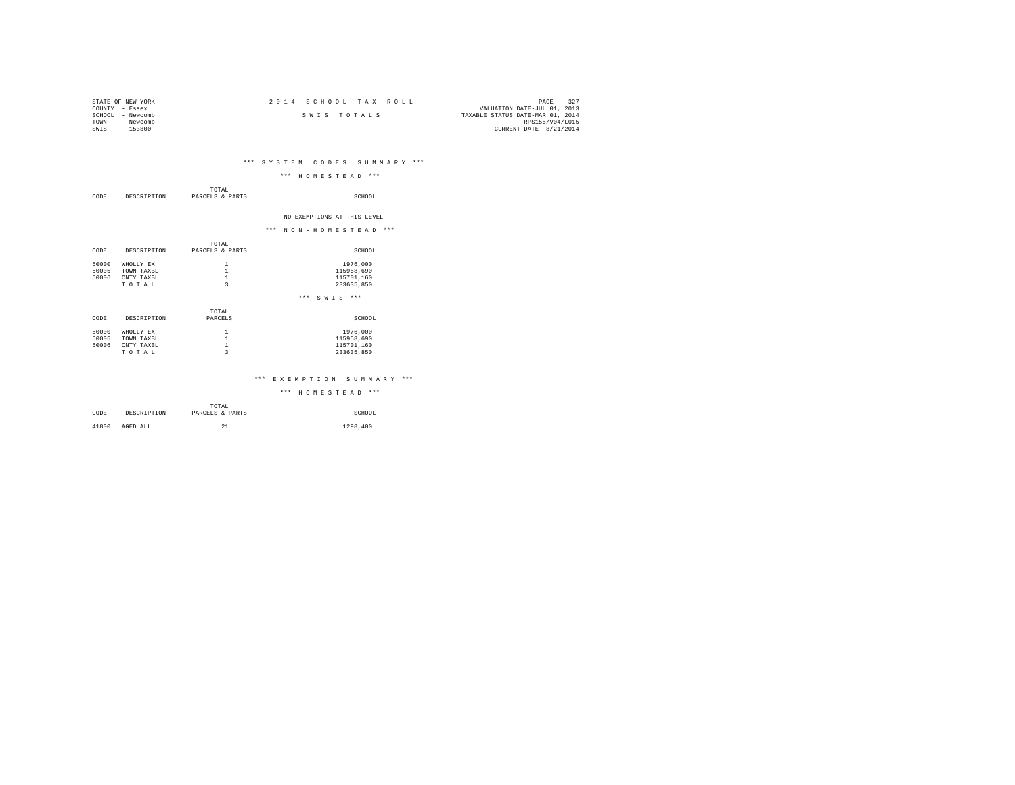| STATE OF NEW YORK   | 2014 SCHOOL TAX ROLL | 327<br>PAGE                      |
|---------------------|----------------------|----------------------------------|
| COUNTY - Essex      |                      | VALUATION DATE-JUL 01, 2013      |
| - Newcomb<br>SCHOOL | SWIS TOTALS          | TAXABLE STATUS DATE-MAR 01, 2014 |
| - Newcomb<br>TOWN   |                      | RPS155/V04/L015                  |
| $-153800$<br>SWIS   |                      | CURRENT DATE 8/21/2014           |
|                     |                      |                                  |

# \*\*\* S Y S T E M C O D E S S U M M A R Y \*\*\*

| CODE                    | DESCRIPTION                                    | TOTAL<br>PARCELS & PARTS                                | SCHOOL                                             |
|-------------------------|------------------------------------------------|---------------------------------------------------------|----------------------------------------------------|
|                         |                                                |                                                         | NO EXEMPTIONS AT THIS LEVEL                        |
|                         |                                                |                                                         | *** NON-HOMESTEAD<br>$***$                         |
| CODE                    | DESCRIPTION                                    | TOTAL<br>PARCELS & PARTS                                | SCHOOL                                             |
| 50000<br>50005<br>50006 | WHOLLY EX<br>TOWN TAXBL<br>CNTY TAXBL<br>TOTAL | 1<br>$\mathbf{1}$<br>$\,1\,$<br>$\overline{\mathbf{3}}$ | 1976,000<br>115958,690<br>115701,160<br>233635,850 |
|                         |                                                |                                                         | $***$<br>$S W I S$ ***                             |
| CODE                    | DESCRIPTION                                    | TOTAL<br>PARCELS                                        | SCHOOL                                             |

| 50000 | WHOLLY EX  | 1976,000   |
|-------|------------|------------|
| 50005 | TOWN TAXBL | 115958,690 |
| 50006 | CNTY TAXBL | 115701.160 |
|       | TOTAL      | 233635,850 |
|       |            |            |
|       |            |            |

# \*\*\* E X E M P T I O N S U M M A R Y \*\*\*

|       |             | TOTAL           |          |
|-------|-------------|-----------------|----------|
| CODE  | DESCRIPTION | PARCELS & PARTS | SCHOOL   |
|       |             |                 |          |
| 41800 | AGED ALL    | 21              | 1298,400 |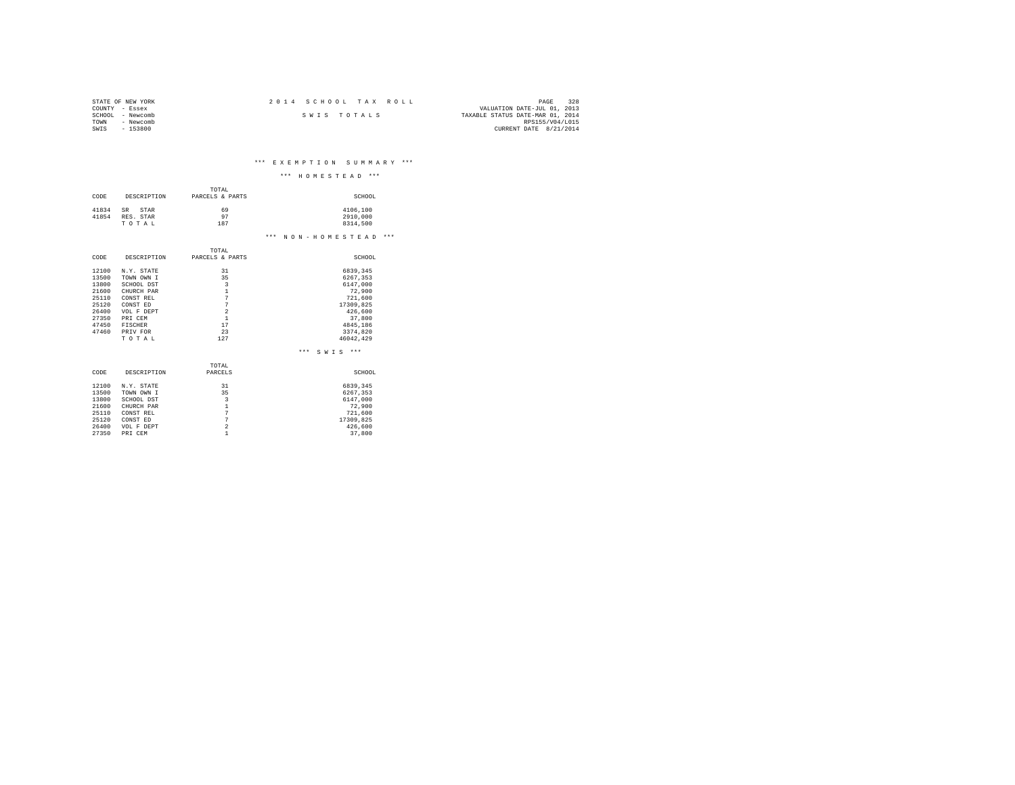| STATE OF NEW YORK | 2014 SCHOOL TAX ROLL | 328<br>PAGE                      |
|-------------------|----------------------|----------------------------------|
| COUNTY - Essex    |                      | VALUATION DATE-JUL 01, 2013      |
| SCHOOL - Newcomb  | SWIS TOTALS          | TAXABLE STATUS DATE-MAR 01, 2014 |
| - Newcomb<br>TOWN |                      | RPS155/V04/L015                  |
| $-153800$<br>SWIS |                      | CURRENT DATE 8/21/2014           |

\*\*\* E X E M P T I O N S U M M A R Y \*\*\*

|       |             |                                  | *** HOMESTEAD<br>$***$     |
|-------|-------------|----------------------------------|----------------------------|
|       |             | TOTAL                            |                            |
| CODE  | DESCRIPTION | PARCELS & PARTS                  | SCHOOL                     |
|       |             |                                  |                            |
| 41834 | SR<br>STAR  | 69                               | 4106,100                   |
| 41854 | RES. STAR   | 97                               | 2910,000                   |
|       | TOTAL       | 187                              | 8314,500                   |
|       |             |                                  | *** NON-HOMESTEAD<br>$***$ |
|       |             | TOTAL                            |                            |
| CODE  | DESCRIPTION | PARCELS & PARTS                  | SCHOOL                     |
|       |             |                                  |                            |
| 12100 | N.Y. STATE  | 31                               | 6839.345                   |
| 13500 | TOWN OWN I  | 35                               | 6267.353                   |
| 13800 | SCHOOL DST  | $\overline{\mathbf{3}}$          | 6147.000                   |
| 21600 | CHURCH PAR  | $\mathbf{1}$                     | 72,900                     |
| 25110 | CONST REL   | 7                                | 721,600                    |
| 25120 | CONST ED    | $\overline{7}$                   | 17309,825                  |
| 26400 | VOL F DEPT  | $\overline{a}$                   | 426,600                    |
| 27350 | PRI CEM     | $\mathbf{1}$                     | 37,800                     |
| 47450 | FISCHER     | 17                               | 4845,186                   |
| 47460 | PRIV FOR    | 23                               | 3374,820                   |
|       | TOTAL       | 127                              | 46042.429                  |
|       |             |                                  | $***$<br>$***$<br>SWIS     |
|       |             | TOTAL                            |                            |
| CODE  | DESCRIPTION | PARCELS                          | SCHOOL                     |
|       |             |                                  |                            |
| 12100 | N.Y. STATE  | 31                               | 6839.345                   |
| 13500 | TOWN OWN I  | 35                               | 6267.353                   |
| 13800 | SCHOOL DST  | $\overline{3}$                   | 6147.000                   |
| 21600 | CHURCH PAR  | $\mathbf{1}$                     | 72,900                     |
| 25110 | CONST REL   | 7                                | 721,600                    |
| 25120 | CONST ED    |                                  | 17309,825                  |
| 26400 | VOL F DEPT  |                                  | 426,600                    |
| 27350 | PRI CEM     | 1                                | 37,800                     |
|       |             | $\overline{7}$<br>$\overline{a}$ |                            |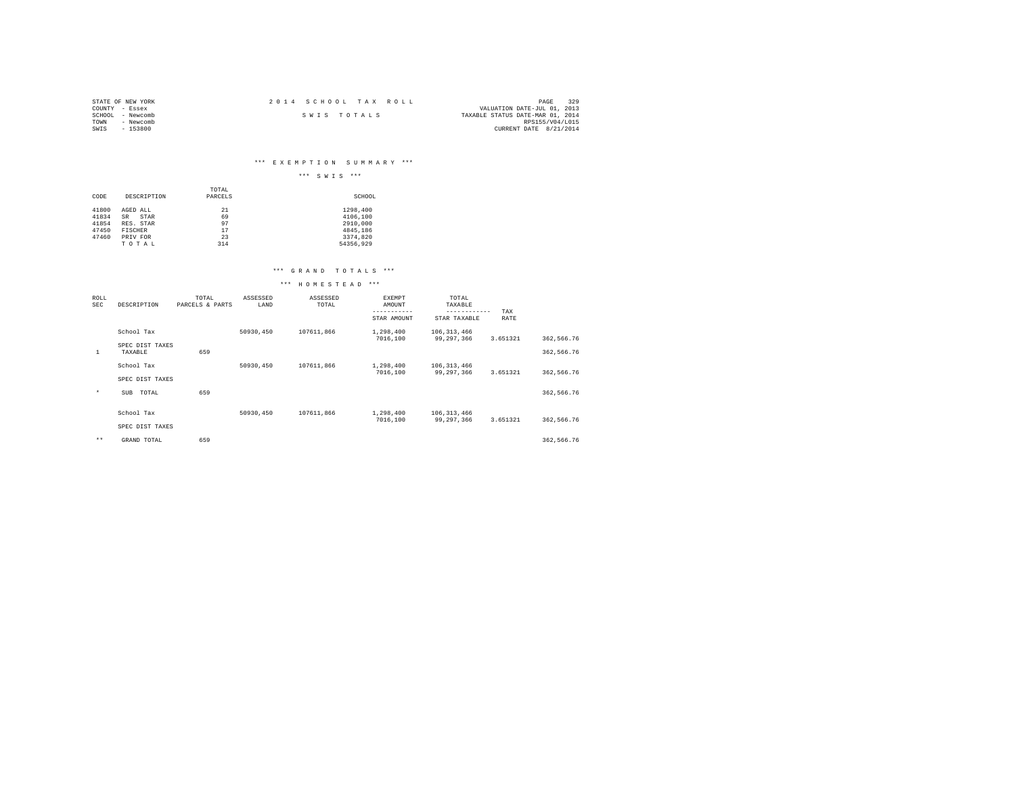| STATE OF NEW YORK | 2014 SCHOOL TAX ROLL | 329<br>PAGE                      |
|-------------------|----------------------|----------------------------------|
| COUNTY - Essex    |                      | VALUATION DATE-JUL 01, 2013      |
| SCHOOL - Newcomb  | SWIS TOTALS          | TAXABLE STATUS DATE-MAR 01, 2014 |
| TOWN<br>- Newcomb |                      | RPS155/V04/L015                  |
| $-153800$<br>SWIS |                      | CURRENT DATE 8/21/2014           |

# \*\*\* E X E M P T I O N S U M M A R Y \*\*\*

|                         |                                     |                  | $***$<br>$***$<br>SWIS            |
|-------------------------|-------------------------------------|------------------|-----------------------------------|
| CODE                    | DESCRIPTION                         | TOTAL<br>PARCELS | SCHOOL                            |
| 41800<br>41834<br>41854 | AGED ALL<br>SR<br>STAR<br>RES. STAR | 21<br>69<br>97   | 1298,400<br>4106,100<br>2910,000  |
| 47450<br>47460          | <b>FISCHER</b><br>PRIV FOR<br>TOTAL | 17<br>23<br>314  | 4845,186<br>3374,820<br>54356.929 |

# \*\*\* G R A N D T O T A L S \*\*\*

| ROLL<br>SEC | DESCRIPTION                | TOTAL<br>PARCELS & PARTS | ASSESSED<br>LAND | ASSESSED<br>TOTAL | EXEMPT<br>AMOUNT<br>----------- | TOTAL<br>TAXABLE<br>------------ | TAX      |            |  |
|-------------|----------------------------|--------------------------|------------------|-------------------|---------------------------------|----------------------------------|----------|------------|--|
|             |                            |                          |                  |                   | STAR AMOUNT                     | STAR TAXABLE                     | RATE     |            |  |
|             | School Tax                 |                          | 50930,450        | 107611,866        | 1,298,400<br>7016,100           | 106, 313, 466<br>99,297,366      | 3.651321 | 362,566.76 |  |
| 1           | SPEC DIST TAXES<br>TAXABLE | 659                      |                  |                   |                                 |                                  |          | 362,566.76 |  |
|             | School Tax                 |                          | 50930,450        | 107611.866        | 1,298,400<br>7016,100           | 106, 313, 466                    | 3.651321 |            |  |
|             | SPEC DIST TAXES            |                          |                  |                   |                                 | 99.297.366                       |          | 362,566.76 |  |
| $\star$     | TOTAL<br>SUB               | 659                      |                  |                   |                                 |                                  |          | 362,566.76 |  |
|             | School Tax                 |                          | 50930,450        | 107611.866        | 1,298,400<br>7016,100           | 106, 313, 466<br>99,297,366      | 3.651321 | 362,566.76 |  |
|             | SPEC DIST TAXES            |                          |                  |                   |                                 |                                  |          |            |  |
| $***$       | GRAND TOTAL                | 659                      |                  |                   |                                 |                                  |          | 362.566.76 |  |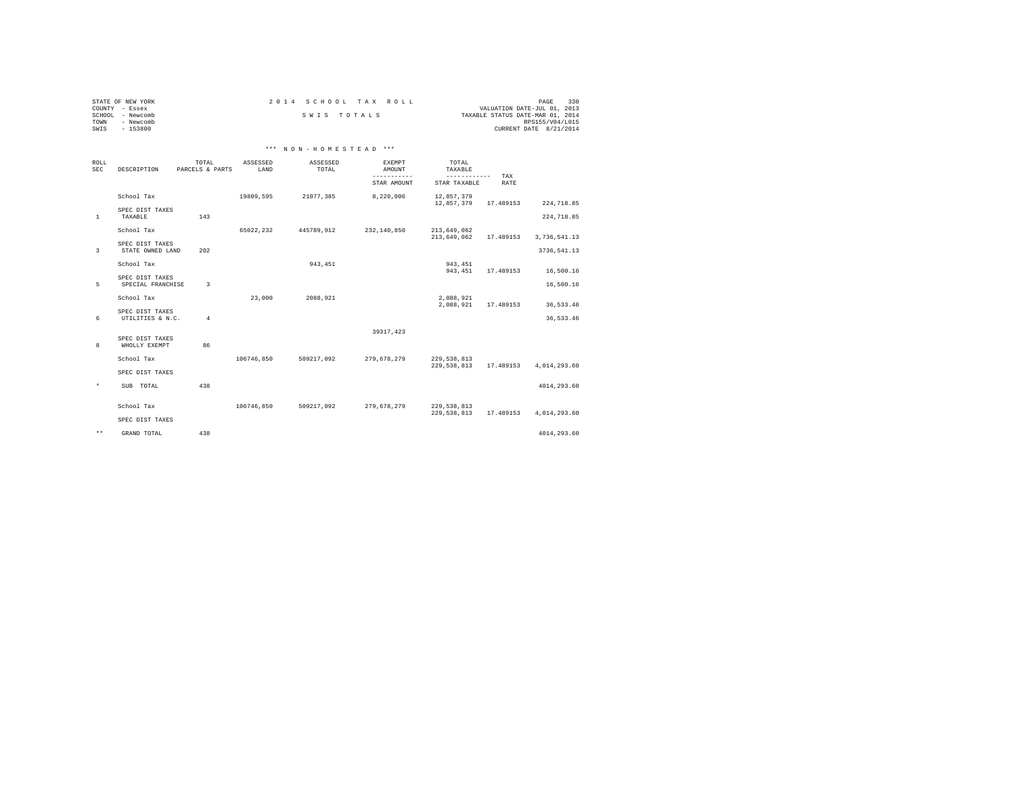|                | STATE OF NEW YORK | 2014 SCHOOL TAX ROLL |  |                                  | PAGE                   | 330 |
|----------------|-------------------|----------------------|--|----------------------------------|------------------------|-----|
| COUNTY - Essex |                   |                      |  | VALUATION DATE-JUL 01, 2013      |                        |     |
|                | SCHOOL - Newcomb  | SWIS TOTALS          |  | TAXABLE STATUS DATE-MAR 01, 2014 |                        |     |
| TOWN           | - Newcomb         |                      |  |                                  | RPS155/V04/L015        |     |
| SWIS           | $-153800$         |                      |  |                                  | CURRENT DATE 8/21/2014 |     |

# \*\*\* N O N - H O M E S T E A D \*\*\*

| ROLL<br><b>SEC</b> | DESCRIPTION                          | TOTAL<br>PARCELS & PARTS | ASSESSED<br>LAND | ASSESSED<br>TOTAL | <b>EXEMPT</b><br>AMOUNT<br>-----------<br>STAR AMOUNT | <b>TOTAL</b><br>TAXABLE<br>------------<br>STAR TAXABLE | TAX<br>RATE |               |  |
|--------------------|--------------------------------------|--------------------------|------------------|-------------------|-------------------------------------------------------|---------------------------------------------------------|-------------|---------------|--|
|                    | School Tax                           |                          | 19809.595        | 21077,385         | 8,220,006                                             | 12,857,379<br>12,857,379                                | 17.489153   | 224,718.85    |  |
| $\mathbf{1}$       | SPEC DIST TAXES<br>TAXABLE           | 143                      |                  |                   |                                                       |                                                         |             | 224,718.85    |  |
|                    | School Tax                           |                          | 65022,232        | 445789,912        | 232,140,850                                           | 213,649,062<br>213,649,062                              | 17.489153   | 3,736,541.13  |  |
| 3                  | SPEC DIST TAXES<br>STATE OWNED LAND  | 202                      |                  |                   |                                                       |                                                         |             | 3736,541.13   |  |
|                    | School Tax                           |                          |                  | 943,451           |                                                       | 943, 451<br>943.451                                     | 17.489153   | 16,500.16     |  |
| 5                  | SPEC DIST TAXES<br>SPECIAL FRANCHISE | 3                        |                  |                   |                                                       |                                                         |             | 16,500.16     |  |
|                    | School Tax                           |                          | 23,000           | 2088.921          |                                                       | 2.088.921<br>2,088,921                                  | 17.489153   | 36,533.46     |  |
| 6                  | SPEC DIST TAXES<br>UTILITIES & N.C.  | $\overline{4}$           |                  |                   |                                                       |                                                         |             | 36,533.46     |  |
|                    | SPEC DIST TAXES                      |                          |                  |                   | 39317,423                                             |                                                         |             |               |  |
| 8                  | WHOLLY EXEMPT                        | 86                       |                  |                   |                                                       |                                                         |             |               |  |
|                    | School Tax                           |                          | 106746,850       | 509217,092        | 279,678,279                                           | 229,538,813<br>229.538.813                              | 17.489153   | 4.014.293.60  |  |
|                    | SPEC DIST TAXES                      |                          |                  |                   |                                                       |                                                         |             |               |  |
| $^\star$           | SUB TOTAL                            | 438                      |                  |                   |                                                       |                                                         |             | 4014, 293, 60 |  |
|                    | School Tax                           |                          | 106746,850       | 509217,092        | 279,678,279                                           | 229,538,813<br>229,538,813                              | 17.489153   | 4,014,293.60  |  |
|                    | SPEC DIST TAXES                      |                          |                  |                   |                                                       |                                                         |             |               |  |
| $\star\star$       | GRAND TOTAL                          | 438                      |                  |                   |                                                       |                                                         |             | 4014,293.60   |  |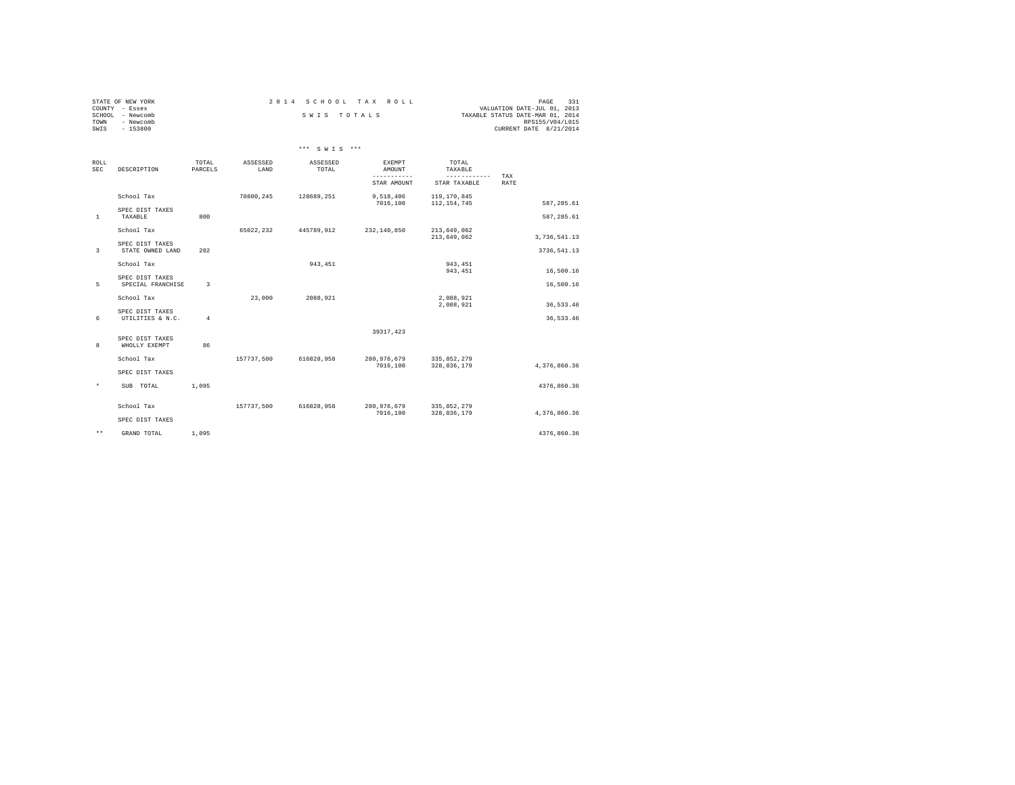| STATE OF NEW YORK   | 2014 SCHOOL TAX ROLL | - 331<br>PAGE                    |
|---------------------|----------------------|----------------------------------|
| COUNTY - Essex      |                      | VALUATION DATE-JUL 01, 2013      |
| SCHOOL<br>- Newcomb | SWIS TOTALS          | TAXABLE STATUS DATE-MAR 01, 2014 |
| TOWN<br>- Newcomb   |                      | RPS155/V04/L015                  |
| $-153800$<br>SWIS   |                      | CURRENT DATE 8/21/2014           |

|                    |                                     |                         |                  | *** SWIS ***      |                                 |                              |              |
|--------------------|-------------------------------------|-------------------------|------------------|-------------------|---------------------------------|------------------------------|--------------|
| ROLL<br><b>SEC</b> | DESCRIPTION                         | TOTAL<br>PARCELS        | ASSESSED<br>LAND | ASSESSED<br>TOTAL | EXEMPT<br>AMOUNT<br>----------- | TOTAL<br>TAXABLE             |              |
|                    |                                     |                         |                  |                   | STAR AMOUNT                     | ------------<br>STAR TAXABLE | TAX<br>RATE  |
|                    | School Tax                          |                         | 70800,245        | 128689,251        | 9,518,406<br>7016,100           | 119,170,845<br>112, 154, 745 | 587, 285.61  |
| <sup>1</sup>       | SPEC DIST TAXES<br>TAXABLE          | 800                     |                  |                   |                                 |                              | 587,285.61   |
|                    | School Tax                          |                         | 65022,232        | 445789,912        | 232,140,850                     | 213,649,062                  |              |
|                    | SPEC DIST TAXES                     |                         |                  |                   |                                 | 213,649,062                  | 3,736,541.13 |
| 3                  | STATE OWNED LAND<br>School Tax      | 202                     |                  | 943,451           |                                 | 943, 451                     | 3736,541.13  |
|                    | SPEC DIST TAXES                     |                         |                  |                   |                                 | 943, 451                     | 16,500.16    |
| 5                  | SPECIAL FRANCHISE                   | $\overline{\mathbf{3}}$ |                  |                   |                                 |                              | 16,500.16    |
|                    | School Tax                          |                         | 23,000           | 2088,921          |                                 | 2,088,921<br>2,088,921       | 36,533.46    |
| 6                  | SPEC DIST TAXES<br>UTILITIES & N.C. | $\overline{4}$          |                  |                   |                                 |                              | 36,533.46    |
|                    |                                     |                         |                  |                   | 39317, 423                      |                              |              |
| 8                  | SPEC DIST TAXES<br>WHOLLY EXEMPT    | 86                      |                  |                   |                                 |                              |              |
|                    | School Tax                          |                         | 157737,500       | 616828.958        | 280, 976, 679<br>7016,100       | 335,852,279<br>328,836,179   | 4,376,860.36 |
|                    | SPEC DIST TAXES                     |                         |                  |                   |                                 |                              |              |
| $\star$            | SUB TOTAL                           | 1,095                   |                  |                   |                                 |                              | 4376,860.36  |
|                    | School Tax                          |                         | 157737,500       | 616828.958        | 280, 976, 679                   | 335,852,279                  |              |
|                    | SPEC DIST TAXES                     |                         |                  |                   | 7016,100                        | 328,836,179                  | 4,376,860.36 |
| $\star\star$       | GRAND TOTAL                         | 1,095                   |                  |                   |                                 |                              | 4376.860.36  |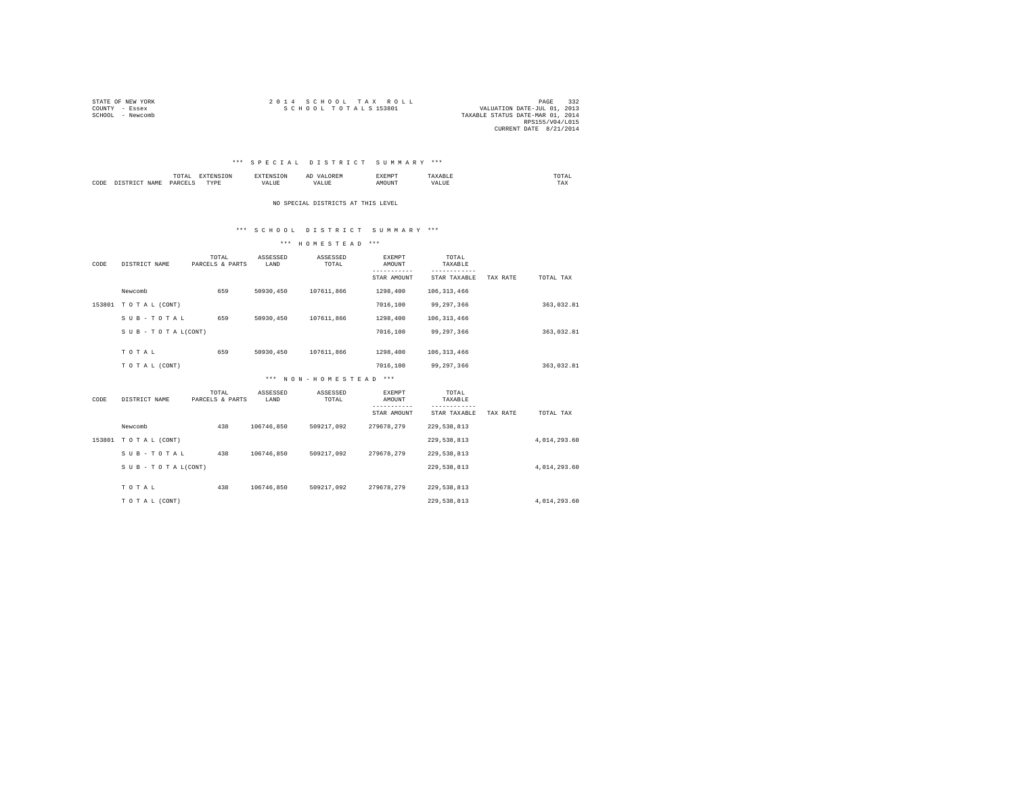| STATE OF NEW YORK | 2014 SCHOOL TAX ROLL | 332<br>PAGE                      |  |
|-------------------|----------------------|----------------------------------|--|
| COUNTY - Essex    | SCHOOL TOTALS 153801 | VALUATION DATE-JUL 01, 2013      |  |
| SCHOOL - Newcomb  |                      | TAXABLE STATUS DATE-MAR 01, 2014 |  |
|                   |                      | RPS155/V04/L015                  |  |
|                   |                      | CURRENT DATE 8/21/2014           |  |

# \*\*\* S P E C I A L D I S T R I C T S U M M A R Y \*\*\*

|      | . .  |   | $\sim$<br>. | . | the contract of the contract of the contract of |
|------|------|---|-------------|---|-------------------------------------------------|
| CODI | 127L | . |             |   | ---<br>1 A.A                                    |

NO SPECIAL DISTRICTS AT THIS LEVEL

# \*\*\* S C H O O L D I S T R I C T S U M M A R Y \*\*\*

| CODE | DISTRICT NAME             | TOTAL<br>PARCELS & PARTS | ASSESSED<br>LAND | ASSESSED<br>TOTAL     | <b>EXEMPT</b><br>AMOUNT | TOTAL<br>TAXABLE |          |              |  |
|------|---------------------------|--------------------------|------------------|-----------------------|-------------------------|------------------|----------|--------------|--|
|      |                           |                          |                  |                       | STAR AMOUNT             | STAR TAXABLE     | TAX RATE | TOTAL TAX    |  |
|      | Newcomb                   | 659                      | 50930,450        | 107611,866            | 1298,400                | 106, 313, 466    |          |              |  |
|      | 153801 TOTAL (CONT)       |                          |                  |                       | 7016,100                | 99.297.366       |          | 363,032.81   |  |
|      | SUB-TOTAL                 | 659                      | 50930,450        | 107611,866            | 1298,400                | 106, 313, 466    |          |              |  |
|      | $S$ U B - T O T A L(CONT) |                          |                  |                       | 7016,100                | 99.297.366       |          | 363,032.81   |  |
|      |                           |                          |                  |                       |                         |                  |          |              |  |
|      | TOTAL                     | 659                      | 50930.450        | 107611.866            | 1298,400                | 106, 313, 466    |          |              |  |
|      | TO TAL (CONT)             |                          |                  |                       | 7016,100                | 99,297,366       |          | 363,032.81   |  |
|      |                           |                          |                  | *** NON-HOMESTEAD *** |                         |                  |          |              |  |
| CODE | DISTRICT NAME             | TOTAL<br>PARCELS & PARTS | ASSESSED<br>LAND | ASSESSED<br>TOTAL     | EXEMPT<br>AMOUNT        | TOTAL<br>TAXABLE |          |              |  |
|      |                           |                          |                  |                       | --------                |                  |          |              |  |
|      |                           |                          |                  |                       | STAR AMOUNT             | STAR TAXABLE     | TAX RATE | TOTAL TAX    |  |
|      | Newcomb                   | 438                      | 106746.850       | 509217.092            | 279678.279              | 229,538,813      |          |              |  |
|      | 153801 TOTAL (CONT)       |                          |                  |                       |                         | 229,538,813      |          | 4,014,293.60 |  |
|      | SUB-TOTAL                 | 438                      | 106746.850       | 509217.092            | 279678.279              | 229,538,813      |          |              |  |
|      | SUB - TO TAL(CONT)        |                          |                  |                       |                         | 229,538,813      |          | 4,014,293.60 |  |
|      |                           |                          |                  |                       |                         |                  |          |              |  |
|      | TOTAL                     | 438                      | 106746.850       | 509217.092            | 279678.279              | 229,538,813      |          |              |  |
|      | TO TAL (CONT)             |                          |                  |                       |                         | 229,538,813      |          | 4,014,293.60 |  |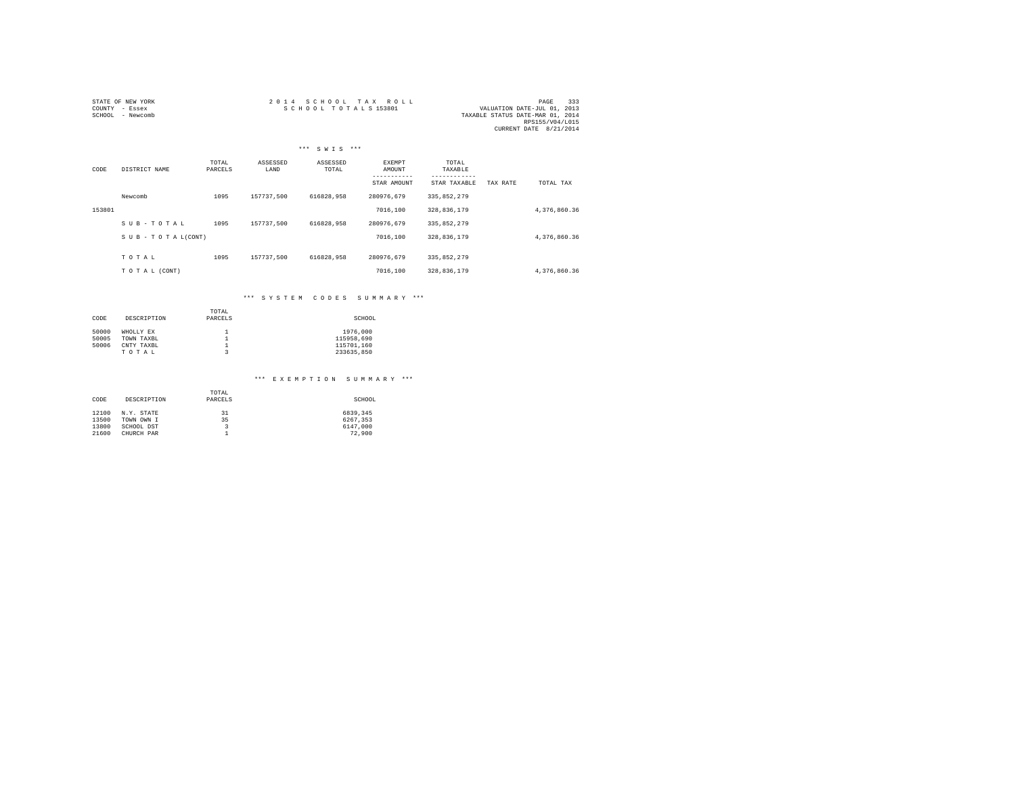| STATE OF NEW YORK | 2014 SCHOOL TAX ROLL                                | PAGE            | 333 |
|-------------------|-----------------------------------------------------|-----------------|-----|
| COUNTY - Essex    | SCHOOL TOTALS 153801<br>VALUATION DATE-JUL 01, 2013 |                 |     |
| SCHOOL - Newcomb  | TAXABLE STATUS DATE-MAR 01, 2014                    |                 |     |
|                   |                                                     | RPS155/V04/L015 |     |
|                   | CURRENT DATE 8/21/2014                              |                 |     |

|        |                    |                  | $***$            | SWIS ***          |                         |                  |          |              |
|--------|--------------------|------------------|------------------|-------------------|-------------------------|------------------|----------|--------------|
| CODE   | DISTRICT NAME      | TOTAL<br>PARCELS | ASSESSED<br>LAND | ASSESSED<br>TOTAL | <b>EXEMPT</b><br>AMOUNT | TOTAL<br>TAXABLE |          |              |
|        |                    |                  |                  |                   | STAR AMOUNT             | STAR TAXABLE     | TAX RATE | TOTAL TAX    |
|        | Newcomb            | 1095             | 157737.500       | 616828.958        | 280976.679              | 335,852,279      |          |              |
| 153801 |                    |                  |                  |                   | 7016,100                | 328,836,179      |          | 4,376,860.36 |
|        | SUB-TOTAL          | 1095             | 157737.500       | 616828.958        | 280976.679              | 335,852,279      |          |              |
|        | SUB - TO TAL(CONT) |                  |                  |                   | 7016,100                | 328,836,179      |          | 4,376,860.36 |
|        |                    |                  |                  |                   |                         |                  |          |              |
|        | TOTAL              | 1095             | 157737.500       | 616828.958        | 280976.679              | 335, 852, 279    |          |              |
|        | TO TAL (CONT)      |                  |                  |                   | 7016,100                | 328,836,179      |          | 4,376,860.36 |

# \*\*\* S Y S T E M C O D E S S U M M A R Y \*\*\*

| CODE  | DESCRIPTION | TOTAL<br>PARCELS | SCHOOL     |
|-------|-------------|------------------|------------|
| 50000 | WHOLLY EX   |                  | 1976,000   |
| 50005 | TOWN TAXBL  |                  | 115958.690 |
| 50006 | CNTY TAXBL  |                  | 115701.160 |
|       | TOTAL       | 3                | 233635.850 |

# \*\*\* E X E M P T I O N S U M M A R Y \*\*\*

| CODE  | DESCRIPTION | TOTAL<br>PARCELS | SCHOOL   |  |  |  |
|-------|-------------|------------------|----------|--|--|--|
| 12100 | N.Y. STATE  | 31               | 6839,345 |  |  |  |
| 13500 | TOWN OWN I  | 35               | 6267.353 |  |  |  |
| 13800 | SCHOOL DST  | 3                | 6147.000 |  |  |  |
| 21600 | CHURCH PAR  |                  | 72,900   |  |  |  |